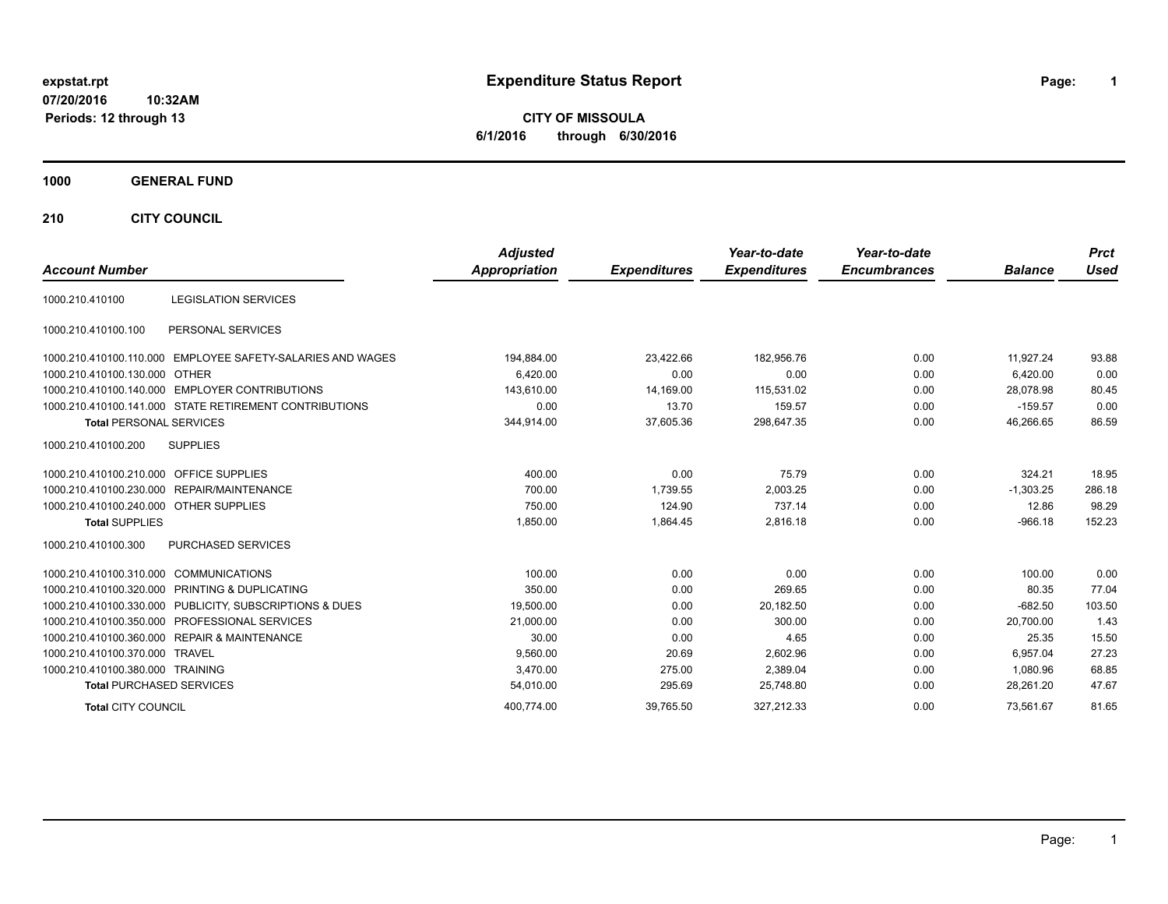# **expstat.rpt Expenditure Status Report Page:**

**1**

**CITY OF MISSOULA 6/1/2016 through 6/30/2016**

### **1000 GENERAL FUND**

**210 CITY COUNCIL**

| <b>Account Number</b>                                      | <b>Adjusted</b><br>Appropriation | <b>Expenditures</b> | Year-to-date<br><b>Expenditures</b> | Year-to-date<br><b>Encumbrances</b> | <b>Balance</b> | <b>Prct</b><br><b>Used</b> |
|------------------------------------------------------------|----------------------------------|---------------------|-------------------------------------|-------------------------------------|----------------|----------------------------|
|                                                            |                                  |                     |                                     |                                     |                |                            |
| <b>LEGISLATION SERVICES</b><br>1000.210.410100             |                                  |                     |                                     |                                     |                |                            |
| PERSONAL SERVICES<br>1000.210.410100.100                   |                                  |                     |                                     |                                     |                |                            |
| 1000.210.410100.110.000 EMPLOYEE SAFETY-SALARIES AND WAGES | 194,884.00                       | 23,422.66           | 182,956.76                          | 0.00                                | 11,927.24      | 93.88                      |
| 1000.210.410100.130.000 OTHER                              | 6.420.00                         | 0.00                | 0.00                                | 0.00                                | 6.420.00       | 0.00                       |
| 1000.210.410100.140.000 EMPLOYER CONTRIBUTIONS             | 143,610.00                       | 14,169.00           | 115,531.02                          | 0.00                                | 28,078.98      | 80.45                      |
| 1000.210.410100.141.000 STATE RETIREMENT CONTRIBUTIONS     | 0.00                             | 13.70               | 159.57                              | 0.00                                | $-159.57$      | 0.00                       |
| <b>Total PERSONAL SERVICES</b>                             | 344,914.00                       | 37,605.36           | 298,647.35                          | 0.00                                | 46,266.65      | 86.59                      |
| 1000.210.410100.200<br><b>SUPPLIES</b>                     |                                  |                     |                                     |                                     |                |                            |
| <b>OFFICE SUPPLIES</b><br>1000.210.410100.210.000          | 400.00                           | 0.00                | 75.79                               | 0.00                                | 324.21         | 18.95                      |
| 1000.210.410100.230.000 REPAIR/MAINTENANCE                 | 700.00                           | 1,739.55            | 2,003.25                            | 0.00                                | $-1,303.25$    | 286.18                     |
| 1000.210.410100.240.000 OTHER SUPPLIES                     | 750.00                           | 124.90              | 737.14                              | 0.00                                | 12.86          | 98.29                      |
| <b>Total SUPPLIES</b>                                      | 1,850.00                         | 1,864.45            | 2,816.18                            | 0.00                                | $-966.18$      | 152.23                     |
| 1000.210.410100.300<br>PURCHASED SERVICES                  |                                  |                     |                                     |                                     |                |                            |
| 1000.210.410100.310.000 COMMUNICATIONS                     | 100.00                           | 0.00                | 0.00                                | 0.00                                | 100.00         | 0.00                       |
| 1000.210.410100.320.000 PRINTING & DUPLICATING             | 350.00                           | 0.00                | 269.65                              | 0.00                                | 80.35          | 77.04                      |
| 1000.210.410100.330.000 PUBLICITY, SUBSCRIPTIONS & DUES    | 19,500.00                        | 0.00                | 20,182.50                           | 0.00                                | $-682.50$      | 103.50                     |
| 1000.210.410100.350.000 PROFESSIONAL SERVICES              | 21,000.00                        | 0.00                | 300.00                              | 0.00                                | 20.700.00      | 1.43                       |
| 1000.210.410100.360.000 REPAIR & MAINTENANCE               | 30.00                            | 0.00                | 4.65                                | 0.00                                | 25.35          | 15.50                      |
| 1000.210.410100.370.000 TRAVEL                             | 9,560.00                         | 20.69               | 2,602.96                            | 0.00                                | 6,957.04       | 27.23                      |
| 1000.210.410100.380.000 TRAINING                           | 3,470.00                         | 275.00              | 2,389.04                            | 0.00                                | 1.080.96       | 68.85                      |
| <b>Total PURCHASED SERVICES</b>                            | 54,010.00                        | 295.69              | 25,748.80                           | 0.00                                | 28,261.20      | 47.67                      |
| <b>Total CITY COUNCIL</b>                                  | 400,774.00                       | 39,765.50           | 327,212.33                          | 0.00                                | 73.561.67      | 81.65                      |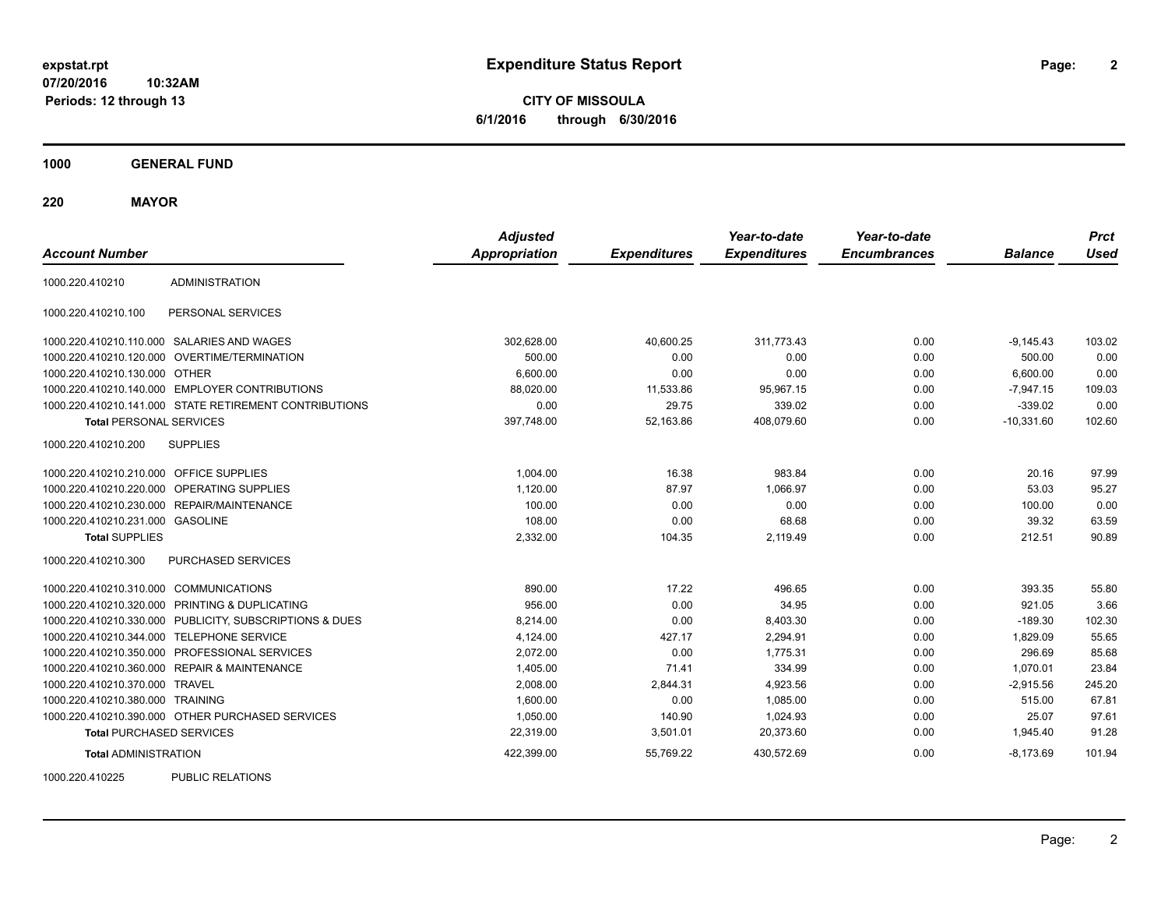**CITY OF MISSOULA 6/1/2016 through 6/30/2016**

**1000 GENERAL FUND**

**220 MAYOR**

| <b>Account Number</b>                   |                                                         | <b>Adjusted</b><br><b>Appropriation</b> | <b>Expenditures</b> | Year-to-date<br><b>Expenditures</b> | Year-to-date<br><b>Encumbrances</b> | <b>Balance</b> | <b>Prct</b><br><b>Used</b> |
|-----------------------------------------|---------------------------------------------------------|-----------------------------------------|---------------------|-------------------------------------|-------------------------------------|----------------|----------------------------|
| 1000.220.410210                         | <b>ADMINISTRATION</b>                                   |                                         |                     |                                     |                                     |                |                            |
| 1000.220.410210.100                     | PERSONAL SERVICES                                       |                                         |                     |                                     |                                     |                |                            |
|                                         | 1000.220.410210.110.000 SALARIES AND WAGES              | 302,628.00                              | 40,600.25           | 311,773.43                          | 0.00                                | $-9,145.43$    | 103.02                     |
|                                         | 1000.220.410210.120.000 OVERTIME/TERMINATION            | 500.00                                  | 0.00                | 0.00                                | 0.00                                | 500.00         | 0.00                       |
| 1000.220.410210.130.000 OTHER           |                                                         | 6,600.00                                | 0.00                | 0.00                                | 0.00                                | 6,600.00       | 0.00                       |
|                                         | 1000.220.410210.140.000 EMPLOYER CONTRIBUTIONS          | 88,020.00                               | 11,533.86           | 95,967.15                           | 0.00                                | $-7,947.15$    | 109.03                     |
|                                         | 1000.220.410210.141.000 STATE RETIREMENT CONTRIBUTIONS  | 0.00                                    | 29.75               | 339.02                              | 0.00                                | $-339.02$      | 0.00                       |
| <b>Total PERSONAL SERVICES</b>          |                                                         | 397,748.00                              | 52,163.86           | 408,079.60                          | 0.00                                | $-10,331.60$   | 102.60                     |
| 1000.220.410210.200                     | <b>SUPPLIES</b>                                         |                                         |                     |                                     |                                     |                |                            |
| 1000.220.410210.210.000 OFFICE SUPPLIES |                                                         | 1,004.00                                | 16.38               | 983.84                              | 0.00                                | 20.16          | 97.99                      |
|                                         | 1000.220.410210.220.000 OPERATING SUPPLIES              | 1,120.00                                | 87.97               | 1,066.97                            | 0.00                                | 53.03          | 95.27                      |
|                                         | 1000.220.410210.230.000 REPAIR/MAINTENANCE              | 100.00                                  | 0.00                | 0.00                                | 0.00                                | 100.00         | 0.00                       |
| 1000.220.410210.231.000 GASOLINE        |                                                         | 108.00                                  | 0.00                | 68.68                               | 0.00                                | 39.32          | 63.59                      |
| <b>Total SUPPLIES</b>                   |                                                         | 2,332.00                                | 104.35              | 2,119.49                            | 0.00                                | 212.51         | 90.89                      |
| 1000.220.410210.300                     | PURCHASED SERVICES                                      |                                         |                     |                                     |                                     |                |                            |
| 1000.220.410210.310.000 COMMUNICATIONS  |                                                         | 890.00                                  | 17.22               | 496.65                              | 0.00                                | 393.35         | 55.80                      |
|                                         | 1000.220.410210.320.000 PRINTING & DUPLICATING          | 956.00                                  | 0.00                | 34.95                               | 0.00                                | 921.05         | 3.66                       |
|                                         | 1000.220.410210.330.000 PUBLICITY, SUBSCRIPTIONS & DUES | 8,214.00                                | 0.00                | 8,403.30                            | 0.00                                | $-189.30$      | 102.30                     |
|                                         | 1000.220.410210.344.000 TELEPHONE SERVICE               | 4,124.00                                | 427.17              | 2,294.91                            | 0.00                                | 1,829.09       | 55.65                      |
|                                         | 1000.220.410210.350.000 PROFESSIONAL SERVICES           | 2,072.00                                | 0.00                | 1,775.31                            | 0.00                                | 296.69         | 85.68                      |
|                                         | 1000.220.410210.360.000 REPAIR & MAINTENANCE            | 1,405.00                                | 71.41               | 334.99                              | 0.00                                | 1,070.01       | 23.84                      |
| 1000.220.410210.370.000 TRAVEL          |                                                         | 2,008.00                                | 2,844.31            | 4,923.56                            | 0.00                                | $-2,915.56$    | 245.20                     |
| 1000.220.410210.380.000 TRAINING        |                                                         | 1,600.00                                | 0.00                | 1,085.00                            | 0.00                                | 515.00         | 67.81                      |
|                                         | 1000.220.410210.390.000 OTHER PURCHASED SERVICES        | 1,050.00                                | 140.90              | 1,024.93                            | 0.00                                | 25.07          | 97.61                      |
| <b>Total PURCHASED SERVICES</b>         |                                                         | 22,319.00                               | 3,501.01            | 20,373.60                           | 0.00                                | 1,945.40       | 91.28                      |
| <b>Total ADMINISTRATION</b>             |                                                         | 422,399.00                              | 55,769.22           | 430,572.69                          | 0.00                                | $-8.173.69$    | 101.94                     |
| 1000000110005                           | <b>DUDLIO DEL ATIONO</b>                                |                                         |                     |                                     |                                     |                |                            |

1000.220.410225 PUBLIC RELATIONS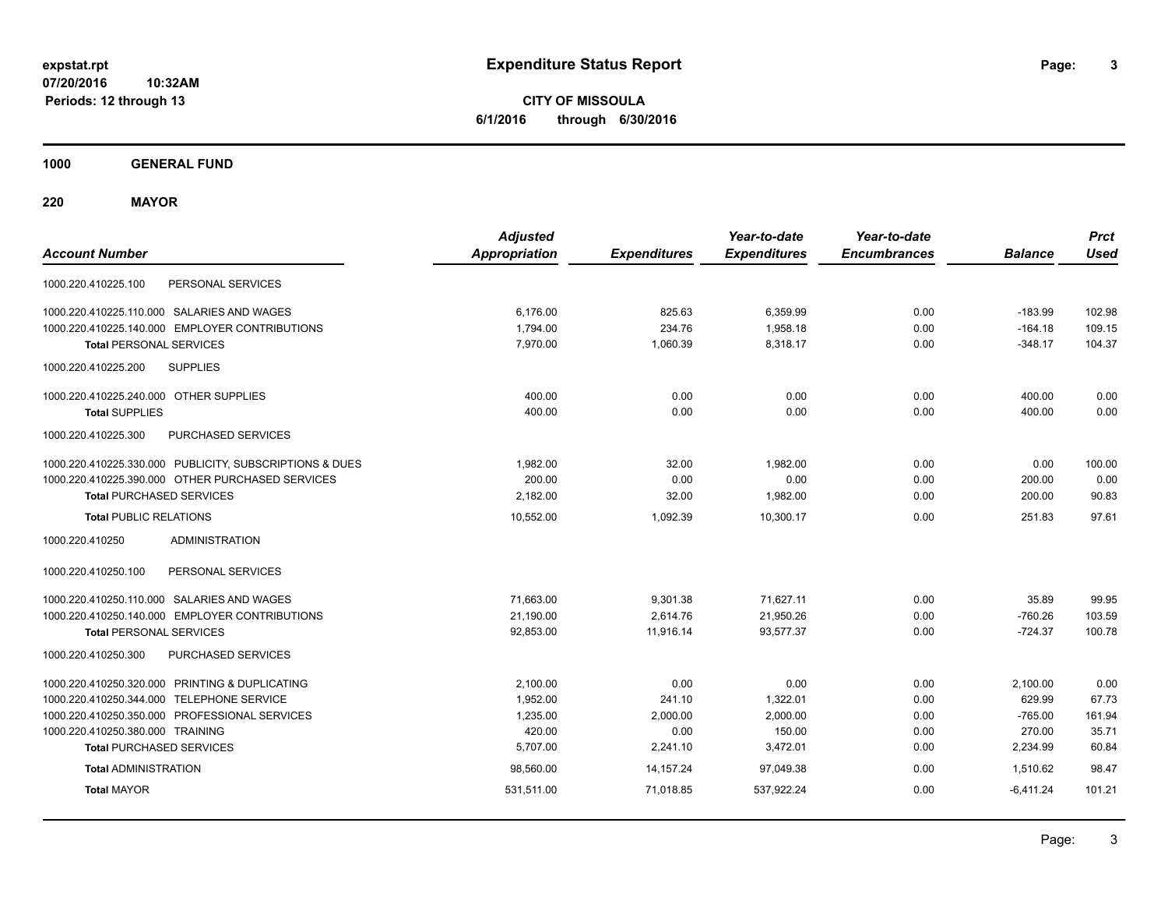**CITY OF MISSOULA 6/1/2016 through 6/30/2016**

**1000 GENERAL FUND**

**220 MAYOR**

| <b>Account Number</b>                                   | <b>Adjusted</b><br><b>Appropriation</b> | <b>Expenditures</b> | Year-to-date<br><b>Expenditures</b> | Year-to-date<br><b>Encumbrances</b> | <b>Balance</b> | <b>Prct</b><br><b>Used</b> |
|---------------------------------------------------------|-----------------------------------------|---------------------|-------------------------------------|-------------------------------------|----------------|----------------------------|
| PERSONAL SERVICES<br>1000.220.410225.100                |                                         |                     |                                     |                                     |                |                            |
| 1000.220.410225.110.000 SALARIES AND WAGES              | 6,176.00                                | 825.63              | 6,359.99                            | 0.00                                | $-183.99$      | 102.98                     |
| 1000.220.410225.140.000 EMPLOYER CONTRIBUTIONS          | 1,794.00                                | 234.76              | 1,958.18                            | 0.00                                | $-164.18$      | 109.15                     |
| <b>Total PERSONAL SERVICES</b>                          | 7,970.00                                | 1,060.39            | 8,318.17                            | 0.00                                | $-348.17$      | 104.37                     |
| <b>SUPPLIES</b><br>1000.220.410225.200                  |                                         |                     |                                     |                                     |                |                            |
| 1000.220.410225.240.000 OTHER SUPPLIES                  | 400.00                                  | 0.00                | 0.00                                | 0.00                                | 400.00         | 0.00                       |
| <b>Total SUPPLIES</b>                                   | 400.00                                  | 0.00                | 0.00                                | 0.00                                | 400.00         | 0.00                       |
| <b>PURCHASED SERVICES</b><br>1000.220.410225.300        |                                         |                     |                                     |                                     |                |                            |
| 1000.220.410225.330.000 PUBLICITY, SUBSCRIPTIONS & DUES | 1,982.00                                | 32.00               | 1,982.00                            | 0.00                                | 0.00           | 100.00                     |
| 1000.220.410225.390.000 OTHER PURCHASED SERVICES        | 200.00                                  | 0.00                | 0.00                                | 0.00                                | 200.00         | 0.00                       |
| <b>Total PURCHASED SERVICES</b>                         | 2,182.00                                | 32.00               | 1,982.00                            | 0.00                                | 200.00         | 90.83                      |
| <b>Total PUBLIC RELATIONS</b>                           | 10,552.00                               | 1,092.39            | 10.300.17                           | 0.00                                | 251.83         | 97.61                      |
| <b>ADMINISTRATION</b><br>1000.220.410250                |                                         |                     |                                     |                                     |                |                            |
| 1000.220.410250.100<br>PERSONAL SERVICES                |                                         |                     |                                     |                                     |                |                            |
| 1000.220.410250.110.000 SALARIES AND WAGES              | 71,663.00                               | 9,301.38            | 71,627.11                           | 0.00                                | 35.89          | 99.95                      |
| 1000.220.410250.140.000 EMPLOYER CONTRIBUTIONS          | 21,190.00                               | 2,614.76            | 21,950.26                           | 0.00                                | $-760.26$      | 103.59                     |
| <b>Total PERSONAL SERVICES</b>                          | 92,853.00                               | 11,916.14           | 93,577.37                           | 0.00                                | $-724.37$      | 100.78                     |
| 1000.220.410250.300<br>PURCHASED SERVICES               |                                         |                     |                                     |                                     |                |                            |
| 1000.220.410250.320.000 PRINTING & DUPLICATING          | 2.100.00                                | 0.00                | 0.00                                | 0.00                                | 2,100.00       | 0.00                       |
| 1000.220.410250.344.000 TELEPHONE SERVICE               | 1,952.00                                | 241.10              | 1,322.01                            | 0.00                                | 629.99         | 67.73                      |
| 1000.220.410250.350.000 PROFESSIONAL SERVICES           | 1,235.00                                | 2,000.00            | 2,000.00                            | 0.00                                | $-765.00$      | 161.94                     |
| 1000.220.410250.380.000 TRAINING                        | 420.00                                  | 0.00                | 150.00                              | 0.00                                | 270.00         | 35.71                      |
| <b>Total PURCHASED SERVICES</b>                         | 5,707.00                                | 2,241.10            | 3,472.01                            | 0.00                                | 2,234.99       | 60.84                      |
| <b>Total ADMINISTRATION</b>                             | 98,560.00                               | 14, 157. 24         | 97,049.38                           | 0.00                                | 1.510.62       | 98.47                      |
| <b>Total MAYOR</b>                                      | 531,511.00                              | 71,018.85           | 537,922.24                          | 0.00                                | $-6,411.24$    | 101.21                     |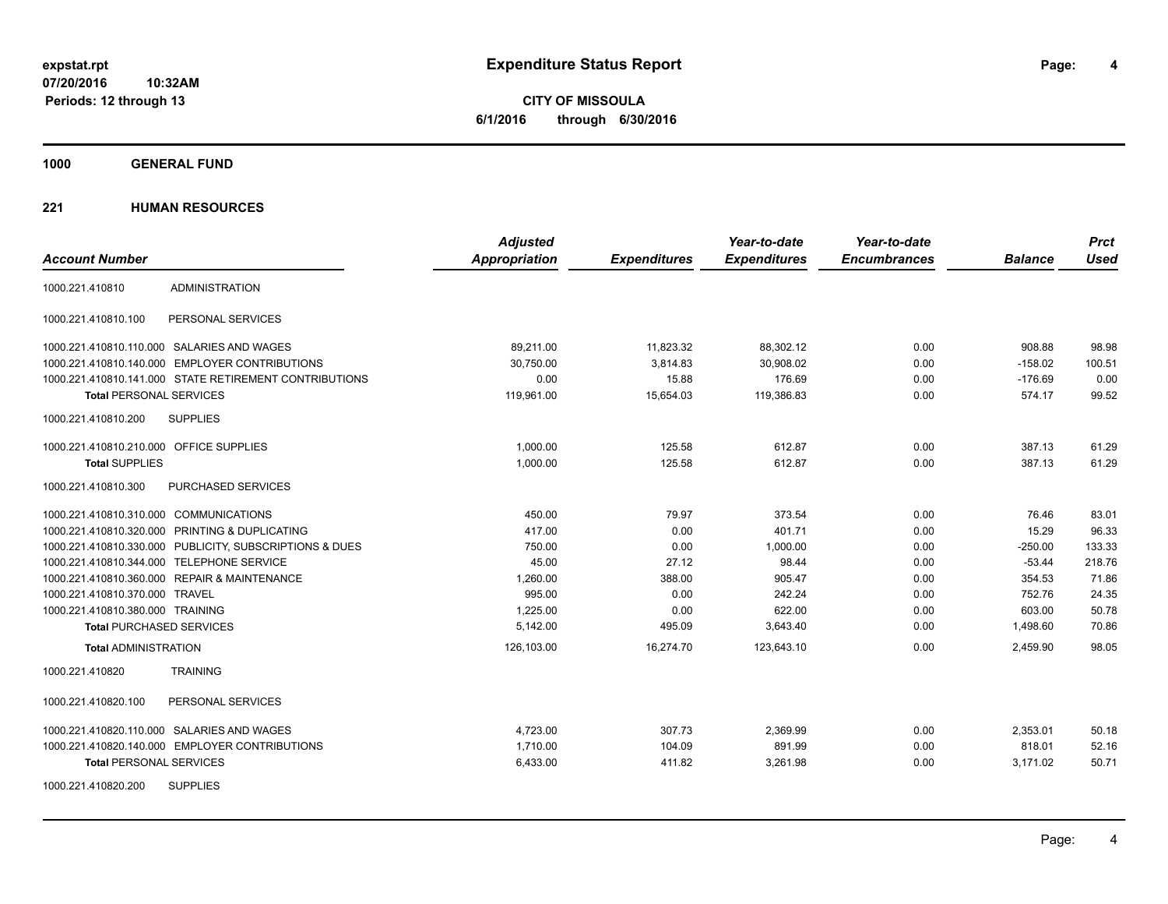**4**

**CITY OF MISSOULA 6/1/2016 through 6/30/2016**

**1000 GENERAL FUND**

|                                                         | <b>Adjusted</b>      |                     | Year-to-date        | Year-to-date        |                | <b>Prct</b> |
|---------------------------------------------------------|----------------------|---------------------|---------------------|---------------------|----------------|-------------|
| <b>Account Number</b>                                   | <b>Appropriation</b> | <b>Expenditures</b> | <b>Expenditures</b> | <b>Encumbrances</b> | <b>Balance</b> | <b>Used</b> |
| <b>ADMINISTRATION</b><br>1000.221.410810                |                      |                     |                     |                     |                |             |
| 1000.221.410810.100<br>PERSONAL SERVICES                |                      |                     |                     |                     |                |             |
| 1000.221.410810.110.000 SALARIES AND WAGES              | 89,211.00            | 11,823.32           | 88,302.12           | 0.00                | 908.88         | 98.98       |
| 1000.221.410810.140.000 EMPLOYER CONTRIBUTIONS          | 30.750.00            | 3,814.83            | 30,908.02           | 0.00                | $-158.02$      | 100.51      |
| 1000.221.410810.141.000 STATE RETIREMENT CONTRIBUTIONS  | 0.00                 | 15.88               | 176.69              | 0.00                | $-176.69$      | 0.00        |
| <b>Total PERSONAL SERVICES</b>                          | 119,961.00           | 15,654.03           | 119,386.83          | 0.00                | 574.17         | 99.52       |
| <b>SUPPLIES</b><br>1000.221.410810.200                  |                      |                     |                     |                     |                |             |
| 1000.221.410810.210.000 OFFICE SUPPLIES                 | 1.000.00             | 125.58              | 612.87              | 0.00                | 387.13         | 61.29       |
| <b>Total SUPPLIES</b>                                   | 1,000.00             | 125.58              | 612.87              | 0.00                | 387.13         | 61.29       |
| PURCHASED SERVICES<br>1000.221.410810.300               |                      |                     |                     |                     |                |             |
| 1000.221.410810.310.000 COMMUNICATIONS                  | 450.00               | 79.97               | 373.54              | 0.00                | 76.46          | 83.01       |
| 1000.221.410810.320.000 PRINTING & DUPLICATING          | 417.00               | 0.00                | 401.71              | 0.00                | 15.29          | 96.33       |
| 1000.221.410810.330.000 PUBLICITY, SUBSCRIPTIONS & DUES | 750.00               | 0.00                | 1,000.00            | 0.00                | $-250.00$      | 133.33      |
| 1000.221.410810.344.000 TELEPHONE SERVICE               | 45.00                | 27.12               | 98.44               | 0.00                | $-53.44$       | 218.76      |
| 1000.221.410810.360.000 REPAIR & MAINTENANCE            | 1,260.00             | 388.00              | 905.47              | 0.00                | 354.53         | 71.86       |
| 1000.221.410810.370.000 TRAVEL                          | 995.00               | 0.00                | 242.24              | 0.00                | 752.76         | 24.35       |
| 1000.221.410810.380.000 TRAINING                        | 1,225.00             | 0.00                | 622.00              | 0.00                | 603.00         | 50.78       |
| <b>Total PURCHASED SERVICES</b>                         | 5,142.00             | 495.09              | 3,643.40            | 0.00                | 1,498.60       | 70.86       |
| <b>Total ADMINISTRATION</b>                             | 126,103.00           | 16,274.70           | 123,643.10          | 0.00                | 2,459.90       | 98.05       |
| <b>TRAINING</b><br>1000.221.410820                      |                      |                     |                     |                     |                |             |
| 1000.221.410820.100<br>PERSONAL SERVICES                |                      |                     |                     |                     |                |             |
| 1000.221.410820.110.000 SALARIES AND WAGES              | 4,723.00             | 307.73              | 2,369.99            | 0.00                | 2,353.01       | 50.18       |
| 1000.221.410820.140.000 EMPLOYER CONTRIBUTIONS          | 1,710.00             | 104.09              | 891.99              | 0.00                | 818.01         | 52.16       |
| <b>Total PERSONAL SERVICES</b>                          | 6,433.00             | 411.82              | 3,261.98            | 0.00                | 3,171.02       | 50.71       |
| <b>SUPPLIES</b><br>1000.221.410820.200                  |                      |                     |                     |                     |                |             |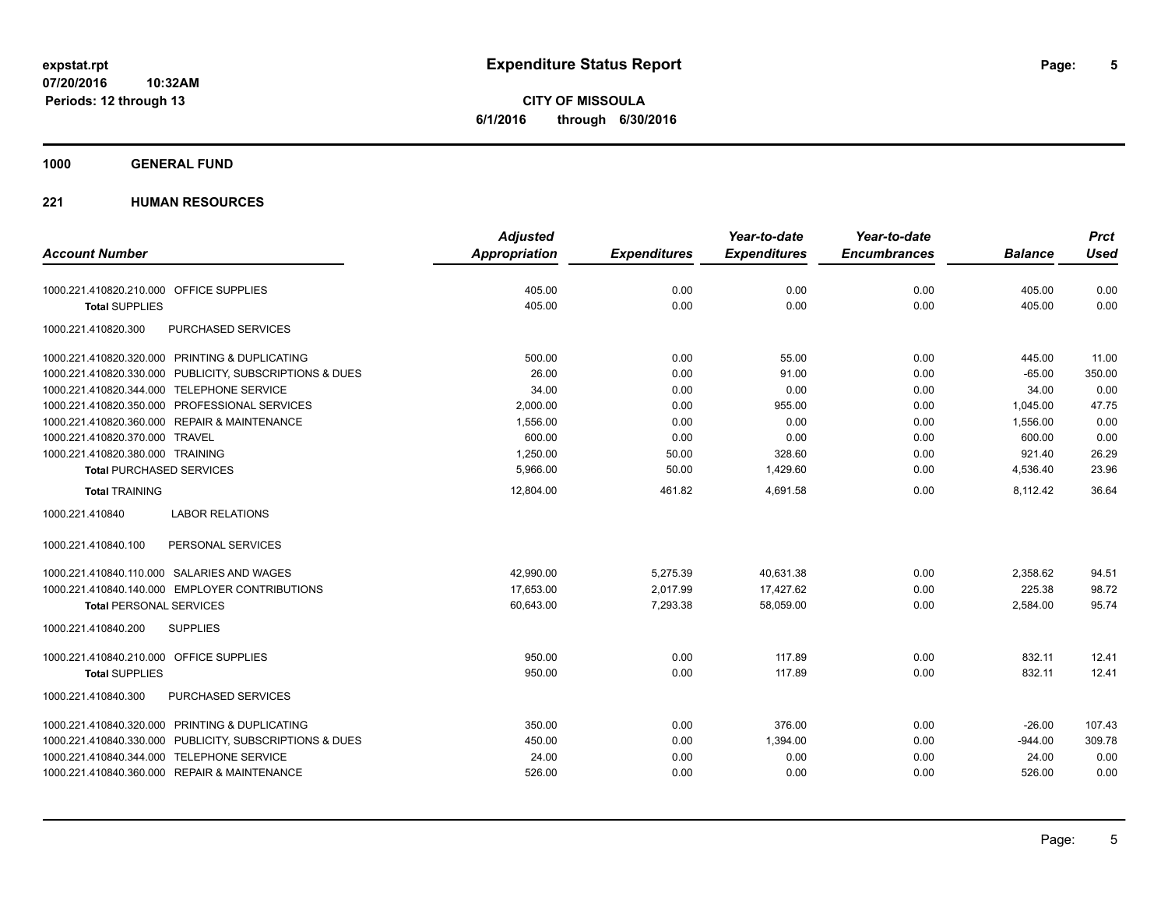**CITY OF MISSOULA 6/1/2016 through 6/30/2016**

### **1000 GENERAL FUND**

|                                                         | <b>Adjusted</b> |                     | Year-to-date        | Year-to-date        |                | <b>Prct</b> |
|---------------------------------------------------------|-----------------|---------------------|---------------------|---------------------|----------------|-------------|
| <b>Account Number</b>                                   | Appropriation   | <b>Expenditures</b> | <b>Expenditures</b> | <b>Encumbrances</b> | <b>Balance</b> | <b>Used</b> |
| 1000.221.410820.210.000 OFFICE SUPPLIES                 | 405.00          | 0.00                | 0.00                | 0.00                | 405.00         | 0.00        |
| <b>Total SUPPLIES</b>                                   | 405.00          | 0.00                | 0.00                | 0.00                | 405.00         | 0.00        |
| 1000.221.410820.300<br>PURCHASED SERVICES               |                 |                     |                     |                     |                |             |
| 1000.221.410820.320.000 PRINTING & DUPLICATING          | 500.00          | 0.00                | 55.00               | 0.00                | 445.00         | 11.00       |
| 1000.221.410820.330.000 PUBLICITY, SUBSCRIPTIONS & DUES | 26.00           | 0.00                | 91.00               | 0.00                | $-65.00$       | 350.00      |
| 1000.221.410820.344.000 TELEPHONE SERVICE               | 34.00           | 0.00                | 0.00                | 0.00                | 34.00          | 0.00        |
| 1000.221.410820.350.000 PROFESSIONAL SERVICES           | 2,000.00        | 0.00                | 955.00              | 0.00                | 1,045.00       | 47.75       |
| 1000.221.410820.360.000 REPAIR & MAINTENANCE            | 1,556.00        | 0.00                | 0.00                | 0.00                | 1,556.00       | 0.00        |
| 1000.221.410820.370.000 TRAVEL                          | 600.00          | 0.00                | 0.00                | 0.00                | 600.00         | 0.00        |
| 1000.221.410820.380.000 TRAINING                        | 1,250.00        | 50.00               | 328.60              | 0.00                | 921.40         | 26.29       |
| <b>Total PURCHASED SERVICES</b>                         | 5,966.00        | 50.00               | 1,429.60            | 0.00                | 4,536.40       | 23.96       |
| <b>Total TRAINING</b>                                   | 12,804.00       | 461.82              | 4,691.58            | 0.00                | 8,112.42       | 36.64       |
| <b>LABOR RELATIONS</b><br>1000.221.410840               |                 |                     |                     |                     |                |             |
| 1000.221.410840.100<br>PERSONAL SERVICES                |                 |                     |                     |                     |                |             |
| 1000.221.410840.110.000 SALARIES AND WAGES              | 42,990.00       | 5,275.39            | 40,631.38           | 0.00                | 2,358.62       | 94.51       |
| 1000.221.410840.140.000 EMPLOYER CONTRIBUTIONS          | 17,653.00       | 2,017.99            | 17,427.62           | 0.00                | 225.38         | 98.72       |
| <b>Total PERSONAL SERVICES</b>                          | 60,643.00       | 7,293.38            | 58,059.00           | 0.00                | 2,584.00       | 95.74       |
| 1000.221.410840.200<br><b>SUPPLIES</b>                  |                 |                     |                     |                     |                |             |
| 1000.221.410840.210.000 OFFICE SUPPLIES                 | 950.00          | 0.00                | 117.89              | 0.00                | 832.11         | 12.41       |
| <b>Total SUPPLIES</b>                                   | 950.00          | 0.00                | 117.89              | 0.00                | 832.11         | 12.41       |
| 1000.221.410840.300<br>PURCHASED SERVICES               |                 |                     |                     |                     |                |             |
| 1000.221.410840.320.000 PRINTING & DUPLICATING          | 350.00          | 0.00                | 376.00              | 0.00                | $-26.00$       | 107.43      |
| 1000.221.410840.330.000 PUBLICITY, SUBSCRIPTIONS & DUES | 450.00          | 0.00                | 1,394.00            | 0.00                | $-944.00$      | 309.78      |
| 1000.221.410840.344.000 TELEPHONE SERVICE               | 24.00           | 0.00                | 0.00                | 0.00                | 24.00          | 0.00        |
| 1000.221.410840.360.000 REPAIR & MAINTENANCE            | 526.00          | 0.00                | 0.00                | 0.00                | 526.00         | 0.00        |
|                                                         |                 |                     |                     |                     |                |             |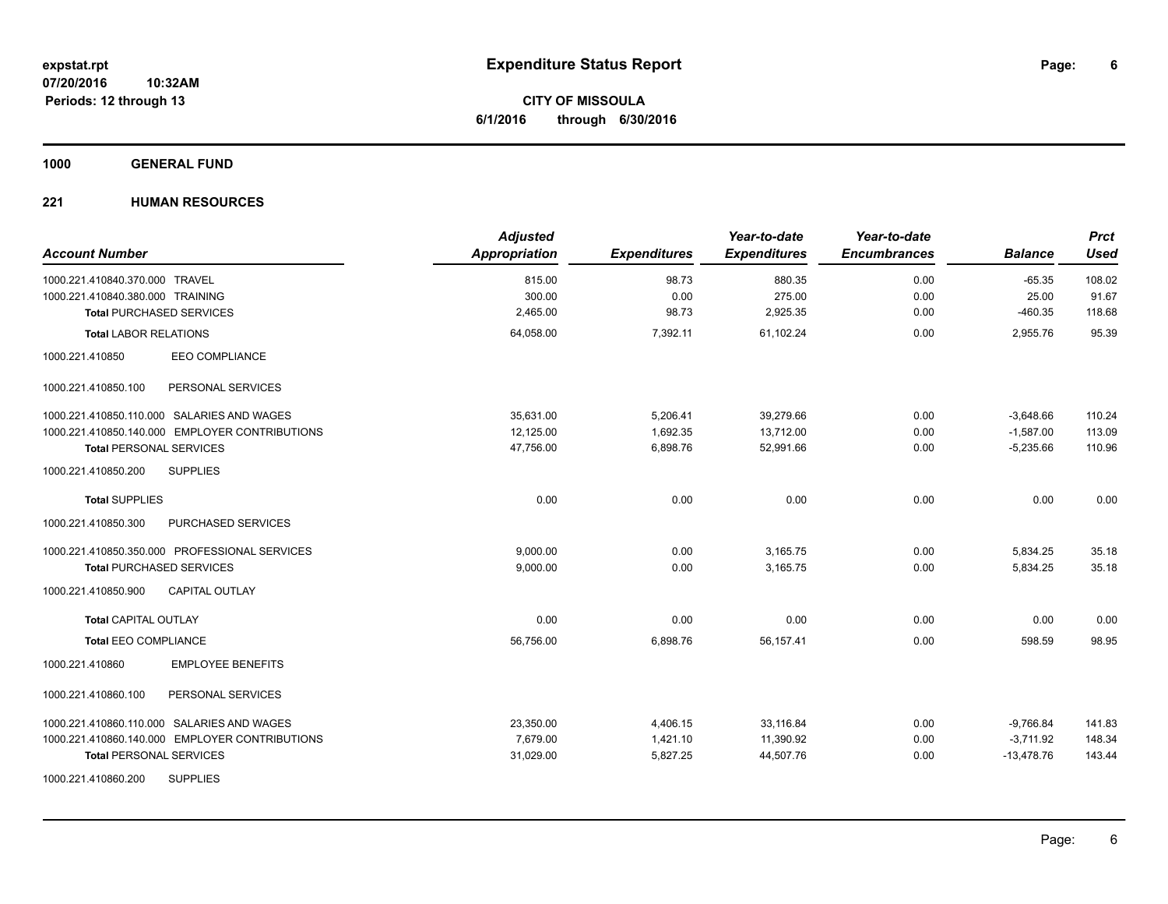**CITY OF MISSOULA 6/1/2016 through 6/30/2016**

### **1000 GENERAL FUND**

| <b>Account Number</b>                          | <b>Adjusted</b><br>Appropriation | <b>Expenditures</b> | Year-to-date<br><b>Expenditures</b> | Year-to-date<br><b>Encumbrances</b> | <b>Balance</b> | <b>Prct</b><br><b>Used</b> |
|------------------------------------------------|----------------------------------|---------------------|-------------------------------------|-------------------------------------|----------------|----------------------------|
| 1000.221.410840.370.000 TRAVEL                 | 815.00                           | 98.73               | 880.35                              | 0.00                                | $-65.35$       | 108.02                     |
| 1000.221.410840.380.000 TRAINING               | 300.00                           | 0.00                | 275.00                              | 0.00                                | 25.00          | 91.67                      |
| <b>Total PURCHASED SERVICES</b>                | 2,465.00                         | 98.73               | 2,925.35                            | 0.00                                | $-460.35$      | 118.68                     |
| <b>Total LABOR RELATIONS</b>                   | 64,058.00                        | 7,392.11            | 61,102.24                           | 0.00                                | 2,955.76       | 95.39                      |
| EEO COMPLIANCE<br>1000.221.410850              |                                  |                     |                                     |                                     |                |                            |
| PERSONAL SERVICES<br>1000.221.410850.100       |                                  |                     |                                     |                                     |                |                            |
| 1000.221.410850.110.000 SALARIES AND WAGES     | 35,631.00                        | 5,206.41            | 39,279.66                           | 0.00                                | $-3,648.66$    | 110.24                     |
| 1000.221.410850.140.000 EMPLOYER CONTRIBUTIONS | 12,125.00                        | 1,692.35            | 13,712.00                           | 0.00                                | $-1,587.00$    | 113.09                     |
| <b>Total PERSONAL SERVICES</b>                 | 47,756.00                        | 6,898.76            | 52,991.66                           | 0.00                                | $-5,235.66$    | 110.96                     |
| <b>SUPPLIES</b><br>1000.221.410850.200         |                                  |                     |                                     |                                     |                |                            |
| <b>Total SUPPLIES</b>                          | 0.00                             | 0.00                | 0.00                                | 0.00                                | 0.00           | 0.00                       |
| 1000.221.410850.300<br>PURCHASED SERVICES      |                                  |                     |                                     |                                     |                |                            |
| 1000.221.410850.350.000 PROFESSIONAL SERVICES  | 9,000.00                         | 0.00                | 3,165.75                            | 0.00                                | 5,834.25       | 35.18                      |
| <b>Total PURCHASED SERVICES</b>                | 9,000.00                         | 0.00                | 3,165.75                            | 0.00                                | 5,834.25       | 35.18                      |
| 1000.221.410850.900<br><b>CAPITAL OUTLAY</b>   |                                  |                     |                                     |                                     |                |                            |
| <b>Total CAPITAL OUTLAY</b>                    | 0.00                             | 0.00                | 0.00                                | 0.00                                | 0.00           | 0.00                       |
| <b>Total EEO COMPLIANCE</b>                    | 56,756.00                        | 6,898.76            | 56.157.41                           | 0.00                                | 598.59         | 98.95                      |
| <b>EMPLOYEE BENEFITS</b><br>1000.221.410860    |                                  |                     |                                     |                                     |                |                            |
| 1000.221.410860.100<br>PERSONAL SERVICES       |                                  |                     |                                     |                                     |                |                            |
| 1000.221.410860.110.000 SALARIES AND WAGES     | 23,350.00                        | 4,406.15            | 33,116.84                           | 0.00                                | $-9,766.84$    | 141.83                     |
| 1000.221.410860.140.000 EMPLOYER CONTRIBUTIONS | 7,679.00                         | 1,421.10            | 11,390.92                           | 0.00                                | $-3,711.92$    | 148.34                     |
| <b>Total PERSONAL SERVICES</b>                 | 31,029.00                        | 5,827.25            | 44,507.76                           | 0.00                                | $-13,478.76$   | 143.44                     |
| <b>SUPPLIES</b><br>1000.221.410860.200         |                                  |                     |                                     |                                     |                |                            |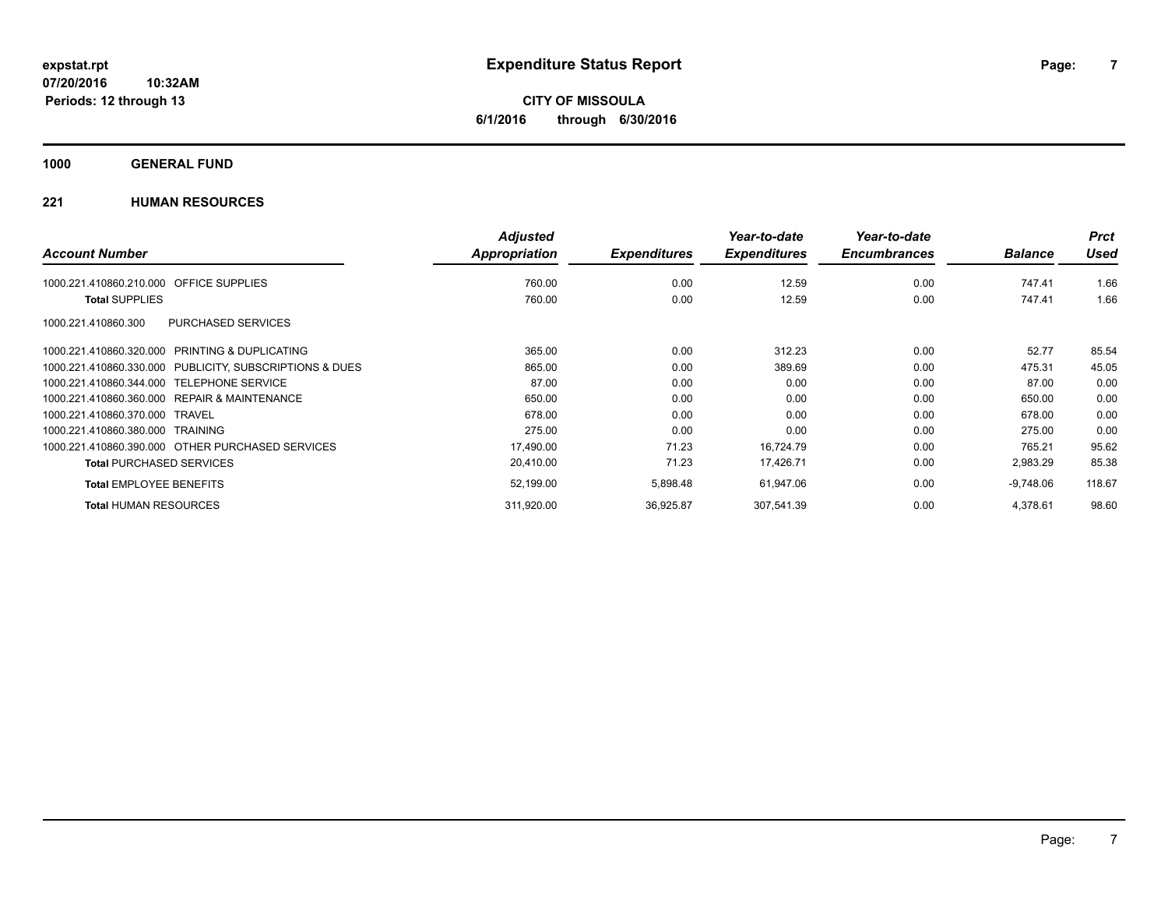**CITY OF MISSOULA 6/1/2016 through 6/30/2016**

### **1000 GENERAL FUND**

|                                                         | <b>Adjusted</b> |                     | Year-to-date        | Year-to-date        |                | <b>Prct</b> |
|---------------------------------------------------------|-----------------|---------------------|---------------------|---------------------|----------------|-------------|
| <b>Account Number</b>                                   | Appropriation   | <b>Expenditures</b> | <b>Expenditures</b> | <b>Encumbrances</b> | <b>Balance</b> | <b>Used</b> |
| OFFICE SUPPLIES<br>1000.221.410860.210.000              | 760.00          | 0.00                | 12.59               | 0.00                | 747.41         | 1.66        |
| <b>Total SUPPLIES</b>                                   | 760.00          | 0.00                | 12.59               | 0.00                | 747.41         | 1.66        |
| <b>PURCHASED SERVICES</b><br>1000.221.410860.300        |                 |                     |                     |                     |                |             |
| 1000.221.410860.320.000 PRINTING & DUPLICATING          | 365.00          | 0.00                | 312.23              | 0.00                | 52.77          | 85.54       |
| 1000.221.410860.330.000 PUBLICITY, SUBSCRIPTIONS & DUES | 865.00          | 0.00                | 389.69              | 0.00                | 475.31         | 45.05       |
| 1000.221.410860.344.000 TELEPHONE SERVICE               | 87.00           | 0.00                | 0.00                | 0.00                | 87.00          | 0.00        |
| 1000.221.410860.360.000 REPAIR & MAINTENANCE            | 650.00          | 0.00                | 0.00                | 0.00                | 650.00         | 0.00        |
| 1000.221.410860.370.000 TRAVEL                          | 678.00          | 0.00                | 0.00                | 0.00                | 678.00         | 0.00        |
| 1000.221.410860.380.000 TRAINING                        | 275.00          | 0.00                | 0.00                | 0.00                | 275.00         | 0.00        |
| 1000.221.410860.390.000 OTHER PURCHASED SERVICES        | 17,490.00       | 71.23               | 16,724.79           | 0.00                | 765.21         | 95.62       |
| <b>Total PURCHASED SERVICES</b>                         | 20,410.00       | 71.23               | 17,426.71           | 0.00                | 2,983.29       | 85.38       |
| <b>Total EMPLOYEE BENEFITS</b>                          | 52,199.00       | 5,898.48            | 61,947.06           | 0.00                | $-9,748.06$    | 118.67      |
| <b>Total HUMAN RESOURCES</b>                            | 311,920.00      | 36,925.87           | 307,541.39          | 0.00                | 4,378.61       | 98.60       |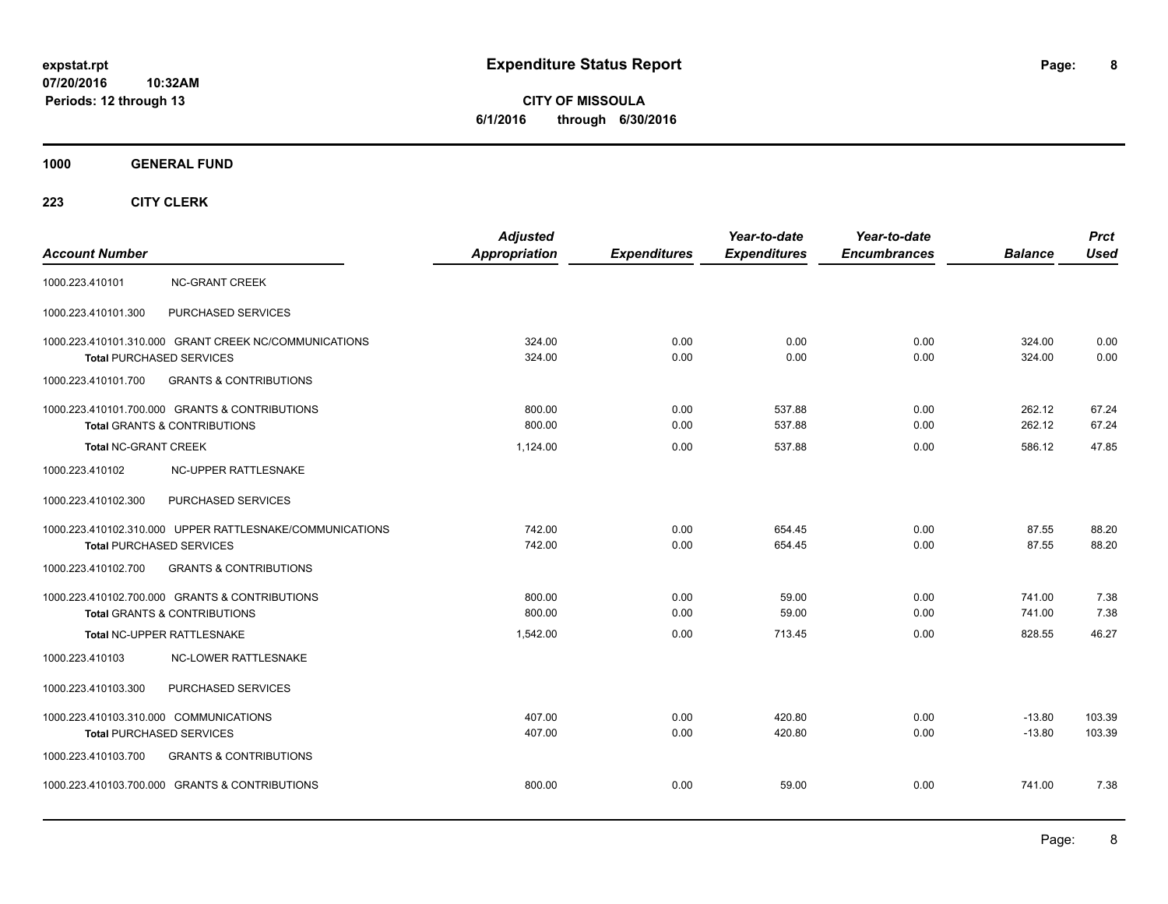**CITY OF MISSOULA 6/1/2016 through 6/30/2016**

**1000 GENERAL FUND**

| <b>Account Number</b>                                                                       | <b>Adjusted</b><br><b>Appropriation</b> | <b>Expenditures</b> | Year-to-date<br><b>Expenditures</b> | Year-to-date<br><b>Encumbrances</b> | <b>Balance</b>       | <b>Prct</b><br><b>Used</b> |
|---------------------------------------------------------------------------------------------|-----------------------------------------|---------------------|-------------------------------------|-------------------------------------|----------------------|----------------------------|
| 1000.223.410101<br><b>NC-GRANT CREEK</b>                                                    |                                         |                     |                                     |                                     |                      |                            |
| 1000.223.410101.300<br>PURCHASED SERVICES                                                   |                                         |                     |                                     |                                     |                      |                            |
| 1000.223.410101.310.000 GRANT CREEK NC/COMMUNICATIONS<br><b>Total PURCHASED SERVICES</b>    | 324.00<br>324.00                        | 0.00<br>0.00        | 0.00<br>0.00                        | 0.00<br>0.00                        | 324.00<br>324.00     | 0.00<br>0.00               |
| <b>GRANTS &amp; CONTRIBUTIONS</b><br>1000.223.410101.700                                    |                                         |                     |                                     |                                     |                      |                            |
| 1000.223.410101.700.000 GRANTS & CONTRIBUTIONS<br><b>Total GRANTS &amp; CONTRIBUTIONS</b>   | 800.00<br>800.00                        | 0.00<br>0.00        | 537.88<br>537.88                    | 0.00<br>0.00                        | 262.12<br>262.12     | 67.24<br>67.24             |
| <b>Total NC-GRANT CREEK</b>                                                                 | 1,124.00                                | 0.00                | 537.88                              | 0.00                                | 586.12               | 47.85                      |
| 1000.223.410102<br>NC-UPPER RATTLESNAKE                                                     |                                         |                     |                                     |                                     |                      |                            |
| 1000.223.410102.300<br>PURCHASED SERVICES                                                   |                                         |                     |                                     |                                     |                      |                            |
| 1000.223.410102.310.000 UPPER RATTLESNAKE/COMMUNICATIONS<br><b>Total PURCHASED SERVICES</b> | 742.00<br>742.00                        | 0.00<br>0.00        | 654.45<br>654.45                    | 0.00<br>0.00                        | 87.55<br>87.55       | 88.20<br>88.20             |
| 1000.223.410102.700<br><b>GRANTS &amp; CONTRIBUTIONS</b>                                    |                                         |                     |                                     |                                     |                      |                            |
| 1000.223.410102.700.000 GRANTS & CONTRIBUTIONS<br><b>Total GRANTS &amp; CONTRIBUTIONS</b>   | 800.00<br>800.00                        | 0.00<br>0.00        | 59.00<br>59.00                      | 0.00<br>0.00                        | 741.00<br>741.00     | 7.38<br>7.38               |
| Total NC-UPPER RATTLESNAKE                                                                  | 1,542.00                                | 0.00                | 713.45                              | 0.00                                | 828.55               | 46.27                      |
| NC-LOWER RATTLESNAKE<br>1000.223.410103                                                     |                                         |                     |                                     |                                     |                      |                            |
| PURCHASED SERVICES<br>1000.223.410103.300                                                   |                                         |                     |                                     |                                     |                      |                            |
| 1000.223.410103.310.000 COMMUNICATIONS<br><b>Total PURCHASED SERVICES</b>                   | 407.00<br>407.00                        | 0.00<br>0.00        | 420.80<br>420.80                    | 0.00<br>0.00                        | $-13.80$<br>$-13.80$ | 103.39<br>103.39           |
| 1000.223.410103.700<br><b>GRANTS &amp; CONTRIBUTIONS</b>                                    |                                         |                     |                                     |                                     |                      |                            |
| 1000.223.410103.700.000 GRANTS & CONTRIBUTIONS                                              | 800.00                                  | 0.00                | 59.00                               | 0.00                                | 741.00               | 7.38                       |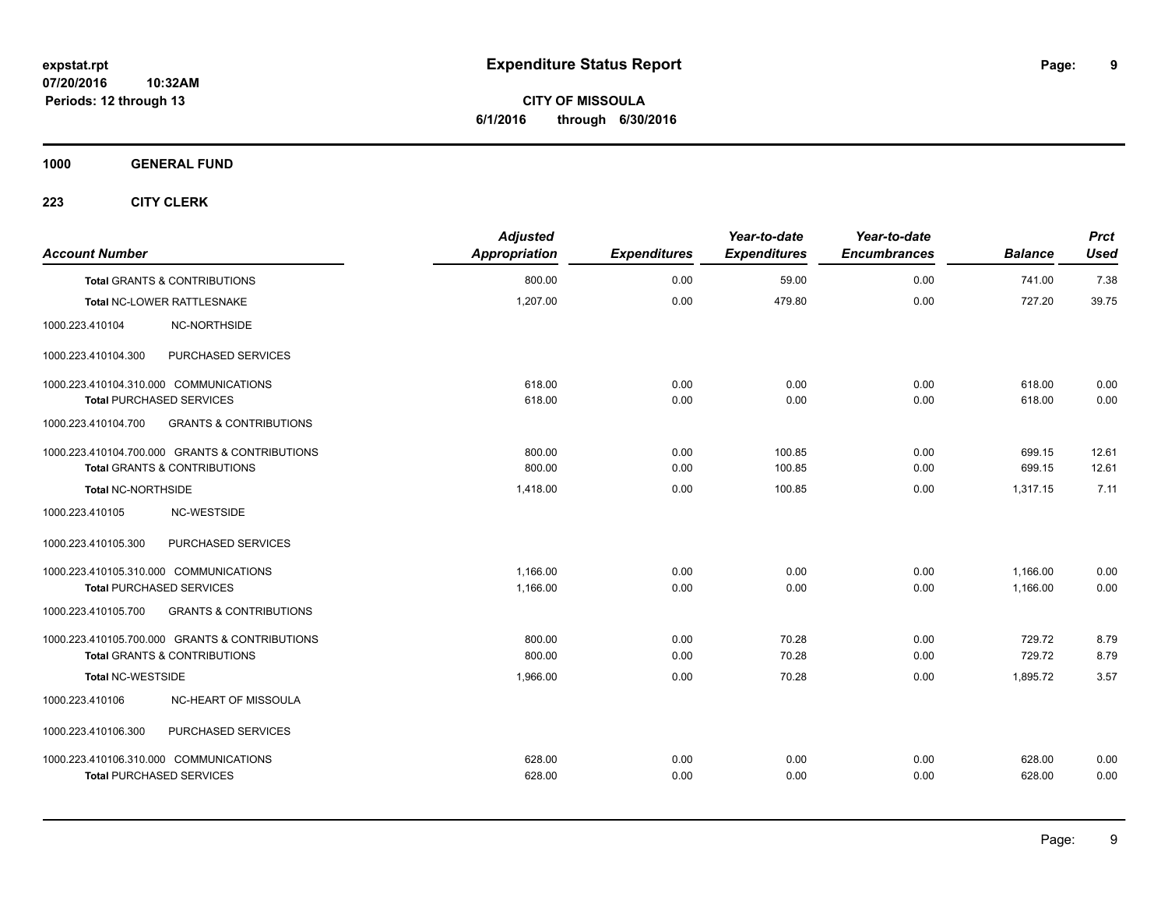**CITY OF MISSOULA 6/1/2016 through 6/30/2016**

**1000 GENERAL FUND**

| <b>Account Number</b>                  |                                                | <b>Adjusted</b><br>Appropriation | <b>Expenditures</b> | Year-to-date<br><b>Expenditures</b> | Year-to-date<br><b>Encumbrances</b> | <b>Balance</b> | <b>Prct</b><br><b>Used</b> |
|----------------------------------------|------------------------------------------------|----------------------------------|---------------------|-------------------------------------|-------------------------------------|----------------|----------------------------|
|                                        | <b>Total GRANTS &amp; CONTRIBUTIONS</b>        | 800.00                           | 0.00                | 59.00                               | 0.00                                | 741.00         | 7.38                       |
|                                        | Total NC-LOWER RATTLESNAKE                     | 1,207.00                         | 0.00                | 479.80                              | 0.00                                | 727.20         | 39.75                      |
| 1000.223.410104                        | <b>NC-NORTHSIDE</b>                            |                                  |                     |                                     |                                     |                |                            |
| 1000.223.410104.300                    | PURCHASED SERVICES                             |                                  |                     |                                     |                                     |                |                            |
| 1000.223.410104.310.000 COMMUNICATIONS |                                                | 618.00                           | 0.00                | 0.00                                | 0.00                                | 618.00         | 0.00                       |
| <b>Total PURCHASED SERVICES</b>        |                                                | 618.00                           | 0.00                | 0.00                                | 0.00                                | 618.00         | 0.00                       |
| 1000.223.410104.700                    | <b>GRANTS &amp; CONTRIBUTIONS</b>              |                                  |                     |                                     |                                     |                |                            |
|                                        | 1000.223.410104.700.000 GRANTS & CONTRIBUTIONS | 800.00                           | 0.00                | 100.85                              | 0.00                                | 699.15         | 12.61                      |
|                                        | <b>Total GRANTS &amp; CONTRIBUTIONS</b>        | 800.00                           | 0.00                | 100.85                              | 0.00                                | 699.15         | 12.61                      |
| Total NC-NORTHSIDE                     |                                                | 1,418.00                         | 0.00                | 100.85                              | 0.00                                | 1.317.15       | 7.11                       |
| 1000.223.410105                        | NC-WESTSIDE                                    |                                  |                     |                                     |                                     |                |                            |
| 1000.223.410105.300                    | PURCHASED SERVICES                             |                                  |                     |                                     |                                     |                |                            |
| 1000.223.410105.310.000 COMMUNICATIONS |                                                | 1,166.00                         | 0.00                | 0.00                                | 0.00                                | 1,166.00       | 0.00                       |
| <b>Total PURCHASED SERVICES</b>        |                                                | 1,166.00                         | 0.00                | 0.00                                | 0.00                                | 1,166.00       | 0.00                       |
| 1000.223.410105.700                    | <b>GRANTS &amp; CONTRIBUTIONS</b>              |                                  |                     |                                     |                                     |                |                            |
|                                        | 1000.223.410105.700.000 GRANTS & CONTRIBUTIONS | 800.00                           | 0.00                | 70.28                               | 0.00                                | 729.72         | 8.79                       |
|                                        | Total GRANTS & CONTRIBUTIONS                   | 800.00                           | 0.00                | 70.28                               | 0.00                                | 729.72         | 8.79                       |
| <b>Total NC-WESTSIDE</b>               |                                                | 1,966.00                         | 0.00                | 70.28                               | 0.00                                | 1,895.72       | 3.57                       |
| 1000.223.410106                        | NC-HEART OF MISSOULA                           |                                  |                     |                                     |                                     |                |                            |
| 1000.223.410106.300                    | PURCHASED SERVICES                             |                                  |                     |                                     |                                     |                |                            |
| 1000.223.410106.310.000 COMMUNICATIONS |                                                | 628.00                           | 0.00                | 0.00                                | 0.00                                | 628.00         | 0.00                       |
| <b>Total PURCHASED SERVICES</b>        |                                                | 628.00                           | 0.00                | 0.00                                | 0.00                                | 628.00         | 0.00                       |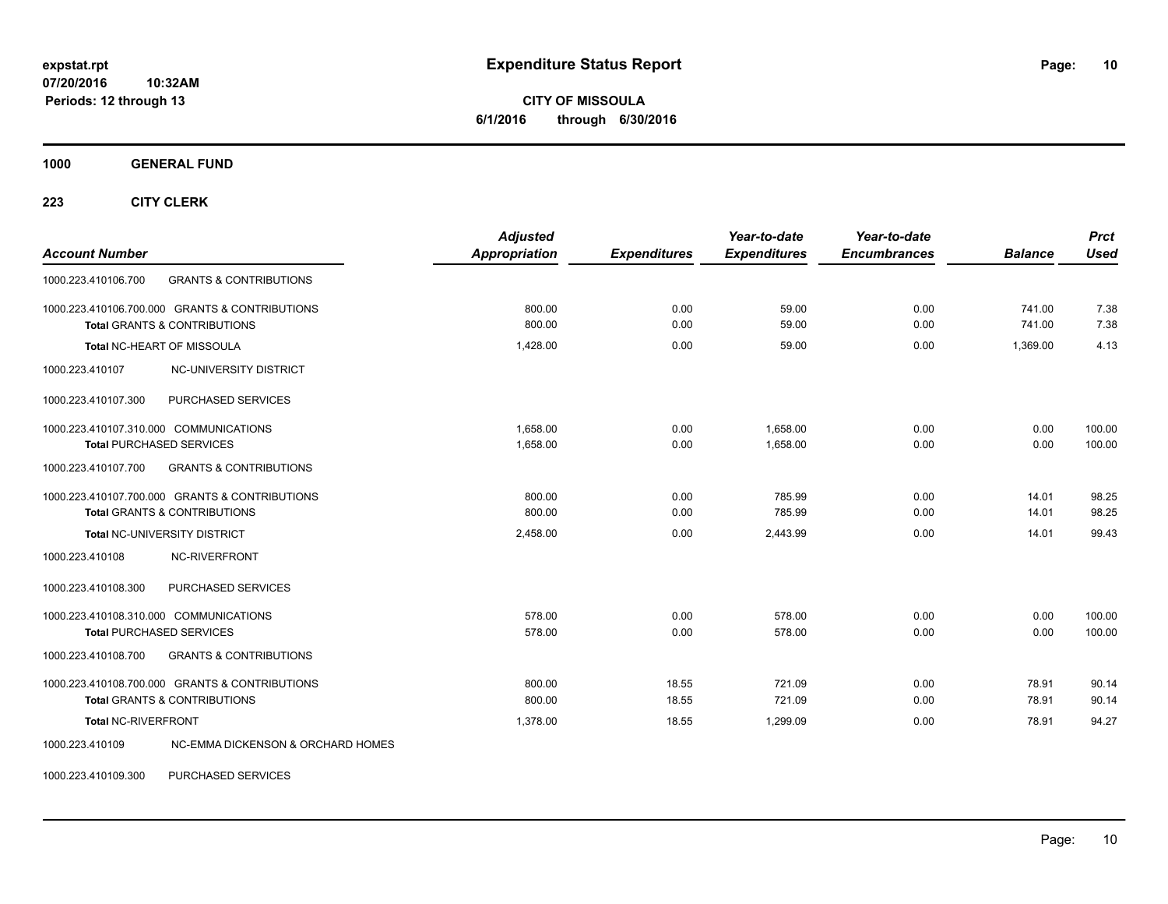**CITY OF MISSOULA 6/1/2016 through 6/30/2016**

**1000 GENERAL FUND**

**223 CITY CLERK**

| <b>Account Number</b>                                                                     | <b>Adjusted</b><br><b>Appropriation</b> | <b>Expenditures</b> | Year-to-date<br><b>Expenditures</b> | Year-to-date<br><b>Encumbrances</b> | <b>Balance</b>   | <b>Prct</b><br><b>Used</b> |
|-------------------------------------------------------------------------------------------|-----------------------------------------|---------------------|-------------------------------------|-------------------------------------|------------------|----------------------------|
| 1000.223.410106.700<br><b>GRANTS &amp; CONTRIBUTIONS</b>                                  |                                         |                     |                                     |                                     |                  |                            |
| 1000.223.410106.700.000 GRANTS & CONTRIBUTIONS<br><b>Total GRANTS &amp; CONTRIBUTIONS</b> | 800.00<br>800.00                        | 0.00<br>0.00        | 59.00<br>59.00                      | 0.00<br>0.00                        | 741.00<br>741.00 | 7.38<br>7.38               |
| Total NC-HEART OF MISSOULA                                                                | 1.428.00                                | 0.00                | 59.00                               | 0.00                                | 1.369.00         | 4.13                       |
| NC-UNIVERSITY DISTRICT<br>1000.223.410107                                                 |                                         |                     |                                     |                                     |                  |                            |
| PURCHASED SERVICES<br>1000.223.410107.300                                                 |                                         |                     |                                     |                                     |                  |                            |
| 1000.223.410107.310.000 COMMUNICATIONS<br><b>Total PURCHASED SERVICES</b>                 | 1,658.00<br>1,658.00                    | 0.00<br>0.00        | 1,658.00<br>1,658.00                | 0.00<br>0.00                        | 0.00<br>0.00     | 100.00<br>100.00           |
| 1000.223.410107.700<br><b>GRANTS &amp; CONTRIBUTIONS</b>                                  |                                         |                     |                                     |                                     |                  |                            |
| 1000.223.410107.700.000 GRANTS & CONTRIBUTIONS<br><b>Total GRANTS &amp; CONTRIBUTIONS</b> | 800.00<br>800.00                        | 0.00<br>0.00        | 785.99<br>785.99                    | 0.00<br>0.00                        | 14.01<br>14.01   | 98.25<br>98.25             |
| Total NC-UNIVERSITY DISTRICT                                                              | 2,458.00                                | 0.00                | 2.443.99                            | 0.00                                | 14.01            | 99.43                      |
| 1000.223.410108<br>NC-RIVERFRONT                                                          |                                         |                     |                                     |                                     |                  |                            |
| PURCHASED SERVICES<br>1000.223.410108.300                                                 |                                         |                     |                                     |                                     |                  |                            |
| 1000.223.410108.310.000 COMMUNICATIONS<br><b>Total PURCHASED SERVICES</b>                 | 578.00<br>578.00                        | 0.00<br>0.00        | 578.00<br>578.00                    | 0.00<br>0.00                        | 0.00<br>0.00     | 100.00<br>100.00           |
| <b>GRANTS &amp; CONTRIBUTIONS</b><br>1000.223.410108.700                                  |                                         |                     |                                     |                                     |                  |                            |
| 1000.223.410108.700.000 GRANTS & CONTRIBUTIONS<br><b>Total GRANTS &amp; CONTRIBUTIONS</b> | 800.00<br>800.00                        | 18.55<br>18.55      | 721.09<br>721.09                    | 0.00<br>0.00                        | 78.91<br>78.91   | 90.14<br>90.14             |
| <b>Total NC-RIVERFRONT</b>                                                                | 1,378.00                                | 18.55               | 1.299.09                            | 0.00                                | 78.91            | 94.27                      |
| 1000.223.410109<br>NC-EMMA DICKENSON & ORCHARD HOMES                                      |                                         |                     |                                     |                                     |                  |                            |

1000.223.410109.300 PURCHASED SERVICES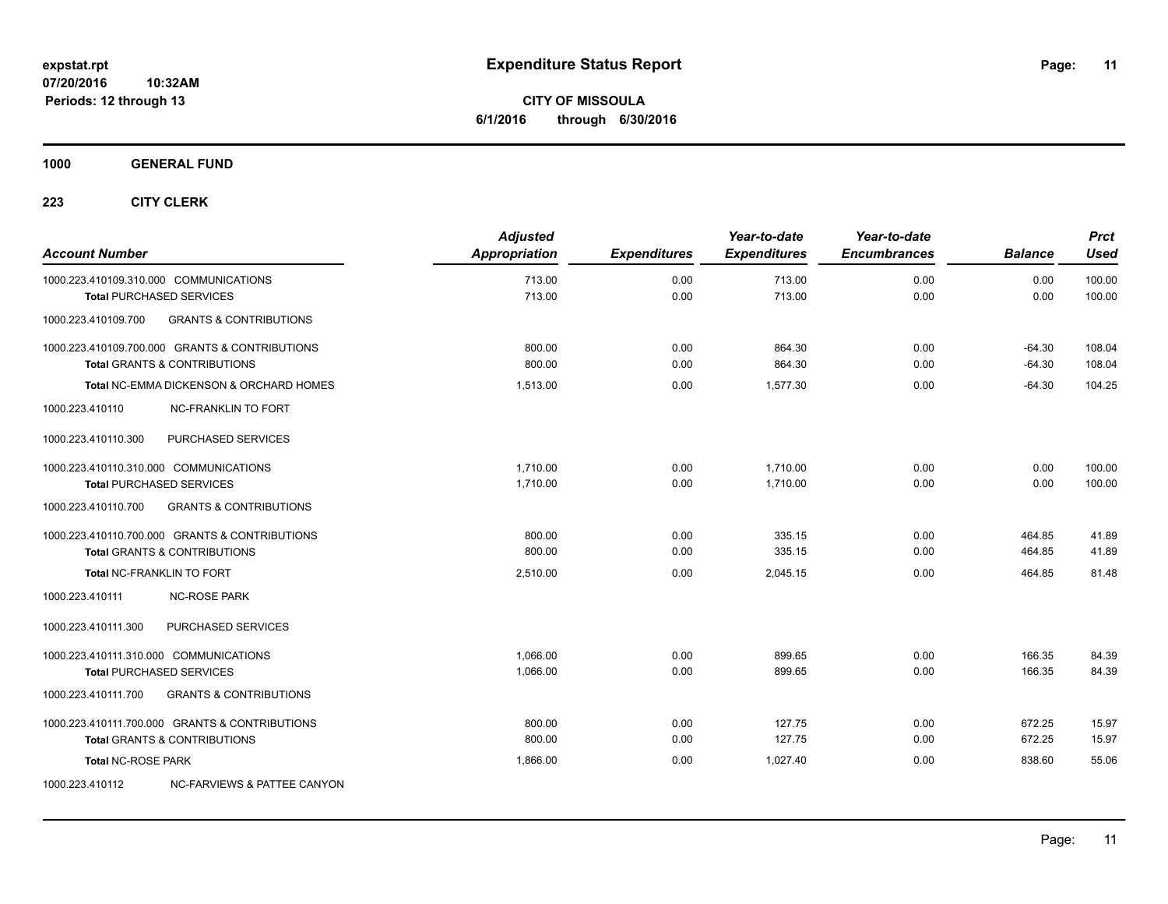**CITY OF MISSOULA 6/1/2016 through 6/30/2016**

**1000 GENERAL FUND**

| <b>Account Number</b>     |                                                    | <b>Adjusted</b><br>Appropriation | <b>Expenditures</b> | Year-to-date<br><b>Expenditures</b> | Year-to-date<br><b>Encumbrances</b> | <b>Balance</b> | <b>Prct</b><br><b>Used</b> |
|---------------------------|----------------------------------------------------|----------------------------------|---------------------|-------------------------------------|-------------------------------------|----------------|----------------------------|
|                           | 1000.223.410109.310.000 COMMUNICATIONS             | 713.00                           | 0.00                | 713.00                              | 0.00                                | 0.00           | 100.00                     |
|                           | <b>Total PURCHASED SERVICES</b>                    | 713.00                           | 0.00                | 713.00                              | 0.00                                | 0.00           | 100.00                     |
| 1000.223.410109.700       | <b>GRANTS &amp; CONTRIBUTIONS</b>                  |                                  |                     |                                     |                                     |                |                            |
|                           | 1000.223.410109.700.000 GRANTS & CONTRIBUTIONS     | 800.00                           | 0.00                | 864.30                              | 0.00                                | $-64.30$       | 108.04                     |
|                           | <b>Total GRANTS &amp; CONTRIBUTIONS</b>            | 800.00                           | 0.00                | 864.30                              | 0.00                                | $-64.30$       | 108.04                     |
|                           | <b>Total NC-EMMA DICKENSON &amp; ORCHARD HOMES</b> | 1,513.00                         | 0.00                | 1.577.30                            | 0.00                                | $-64.30$       | 104.25                     |
| 1000.223.410110           | <b>NC-FRANKLIN TO FORT</b>                         |                                  |                     |                                     |                                     |                |                            |
| 1000.223.410110.300       | PURCHASED SERVICES                                 |                                  |                     |                                     |                                     |                |                            |
|                           | 1000.223.410110.310.000 COMMUNICATIONS             | 1,710.00                         | 0.00                | 1,710.00                            | 0.00                                | 0.00           | 100.00                     |
|                           | <b>Total PURCHASED SERVICES</b>                    | 1,710.00                         | 0.00                | 1,710.00                            | 0.00                                | 0.00           | 100.00                     |
| 1000.223.410110.700       | <b>GRANTS &amp; CONTRIBUTIONS</b>                  |                                  |                     |                                     |                                     |                |                            |
|                           | 1000.223.410110.700.000 GRANTS & CONTRIBUTIONS     | 800.00                           | 0.00                | 335.15                              | 0.00                                | 464.85         | 41.89                      |
|                           | <b>Total GRANTS &amp; CONTRIBUTIONS</b>            | 800.00                           | 0.00                | 335.15                              | 0.00                                | 464.85         | 41.89                      |
|                           | <b>Total NC-FRANKLIN TO FORT</b>                   | 2,510.00                         | 0.00                | 2,045.15                            | 0.00                                | 464.85         | 81.48                      |
| 1000.223.410111           | <b>NC-ROSE PARK</b>                                |                                  |                     |                                     |                                     |                |                            |
| 1000.223.410111.300       | PURCHASED SERVICES                                 |                                  |                     |                                     |                                     |                |                            |
|                           | 1000.223.410111.310.000 COMMUNICATIONS             | 1.066.00                         | 0.00                | 899.65                              | 0.00                                | 166.35         | 84.39                      |
|                           | <b>Total PURCHASED SERVICES</b>                    | 1,066.00                         | 0.00                | 899.65                              | 0.00                                | 166.35         | 84.39                      |
| 1000.223.410111.700       | <b>GRANTS &amp; CONTRIBUTIONS</b>                  |                                  |                     |                                     |                                     |                |                            |
|                           | 1000.223.410111.700.000 GRANTS & CONTRIBUTIONS     | 800.00                           | 0.00                | 127.75                              | 0.00                                | 672.25         | 15.97                      |
|                           | <b>Total GRANTS &amp; CONTRIBUTIONS</b>            | 800.00                           | 0.00                | 127.75                              | 0.00                                | 672.25         | 15.97                      |
| <b>Total NC-ROSE PARK</b> |                                                    | 1,866.00                         | 0.00                | 1.027.40                            | 0.00                                | 838.60         | 55.06                      |
| 1000.223.410112           | <b>NC-FARVIEWS &amp; PATTEE CANYON</b>             |                                  |                     |                                     |                                     |                |                            |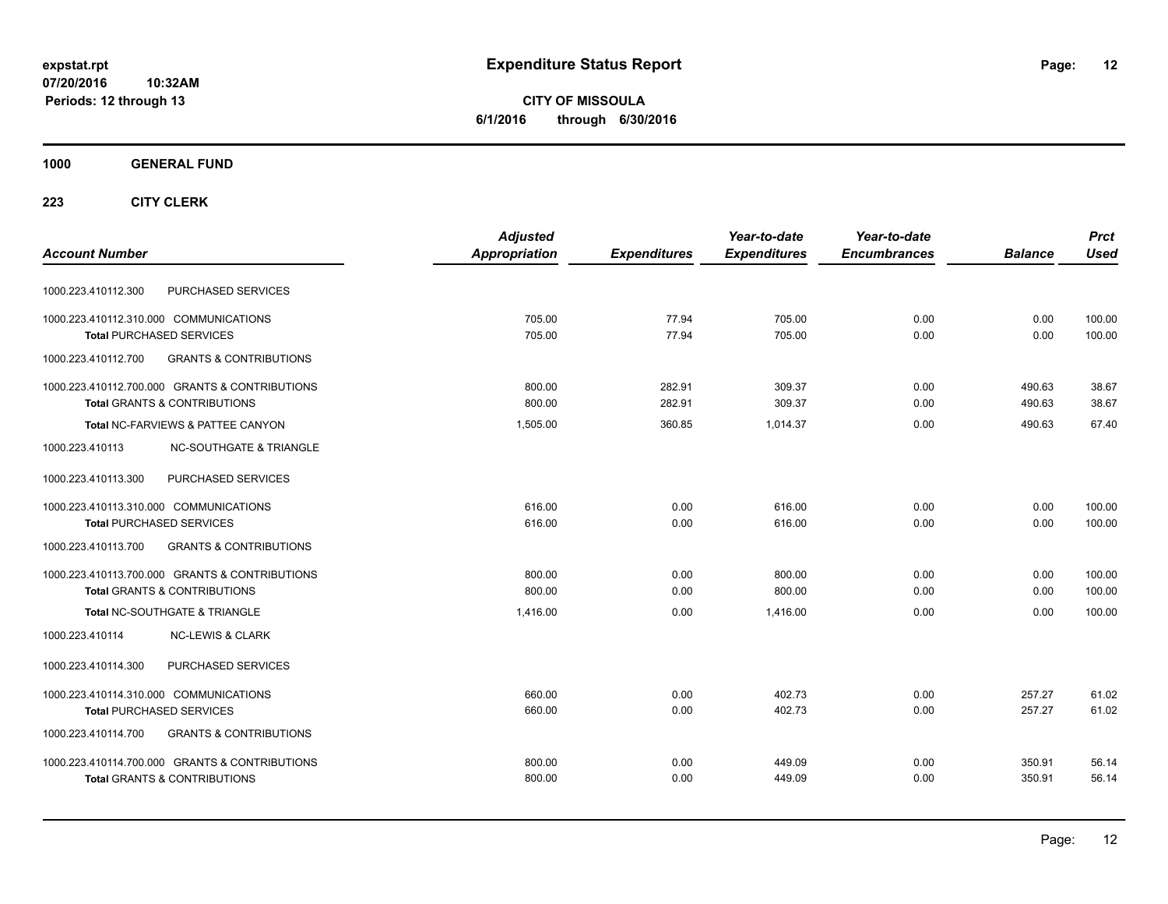**CITY OF MISSOULA 6/1/2016 through 6/30/2016**

### **1000 GENERAL FUND**

|                                                          | <b>Adjusted</b> |                     | Year-to-date        | Year-to-date        |                | <b>Prct</b> |
|----------------------------------------------------------|-----------------|---------------------|---------------------|---------------------|----------------|-------------|
| <b>Account Number</b>                                    | Appropriation   | <b>Expenditures</b> | <b>Expenditures</b> | <b>Encumbrances</b> | <b>Balance</b> | <b>Used</b> |
| PURCHASED SERVICES<br>1000.223.410112.300                |                 |                     |                     |                     |                |             |
| 1000.223.410112.310.000 COMMUNICATIONS                   | 705.00          | 77.94               | 705.00              | 0.00                | 0.00           | 100.00      |
| <b>Total PURCHASED SERVICES</b>                          | 705.00          | 77.94               | 705.00              | 0.00                | 0.00           | 100.00      |
| 1000.223.410112.700<br><b>GRANTS &amp; CONTRIBUTIONS</b> |                 |                     |                     |                     |                |             |
| 1000.223.410112.700.000 GRANTS & CONTRIBUTIONS           | 800.00          | 282.91              | 309.37              | 0.00                | 490.63         | 38.67       |
| <b>Total GRANTS &amp; CONTRIBUTIONS</b>                  | 800.00          | 282.91              | 309.37              | 0.00                | 490.63         | 38.67       |
| Total NC-FARVIEWS & PATTEE CANYON                        | 1,505.00        | 360.85              | 1.014.37            | 0.00                | 490.63         | 67.40       |
| 1000.223.410113<br><b>NC-SOUTHGATE &amp; TRIANGLE</b>    |                 |                     |                     |                     |                |             |
| 1000.223.410113.300<br>PURCHASED SERVICES                |                 |                     |                     |                     |                |             |
| 1000.223.410113.310.000 COMMUNICATIONS                   | 616.00          | 0.00                | 616.00              | 0.00                | 0.00           | 100.00      |
| <b>Total PURCHASED SERVICES</b>                          | 616.00          | 0.00                | 616.00              | 0.00                | 0.00           | 100.00      |
| 1000.223.410113.700<br><b>GRANTS &amp; CONTRIBUTIONS</b> |                 |                     |                     |                     |                |             |
| 1000.223.410113.700.000 GRANTS & CONTRIBUTIONS           | 800.00          | 0.00                | 800.00              | 0.00                | 0.00           | 100.00      |
| <b>Total GRANTS &amp; CONTRIBUTIONS</b>                  | 800.00          | 0.00                | 800.00              | 0.00                | 0.00           | 100.00      |
| Total NC-SOUTHGATE & TRIANGLE                            | 1.416.00        | 0.00                | 1.416.00            | 0.00                | 0.00           | 100.00      |
| 1000.223.410114<br><b>NC-LEWIS &amp; CLARK</b>           |                 |                     |                     |                     |                |             |
| PURCHASED SERVICES<br>1000.223.410114.300                |                 |                     |                     |                     |                |             |
| 1000.223.410114.310.000 COMMUNICATIONS                   | 660.00          | 0.00                | 402.73              | 0.00                | 257.27         | 61.02       |
| <b>Total PURCHASED SERVICES</b>                          | 660.00          | 0.00                | 402.73              | 0.00                | 257.27         | 61.02       |
| <b>GRANTS &amp; CONTRIBUTIONS</b><br>1000.223.410114.700 |                 |                     |                     |                     |                |             |
| 1000.223.410114.700.000 GRANTS & CONTRIBUTIONS           | 800.00          | 0.00                | 449.09              | 0.00                | 350.91         | 56.14       |
| <b>Total GRANTS &amp; CONTRIBUTIONS</b>                  | 800.00          | 0.00                | 449.09              | 0.00                | 350.91         | 56.14       |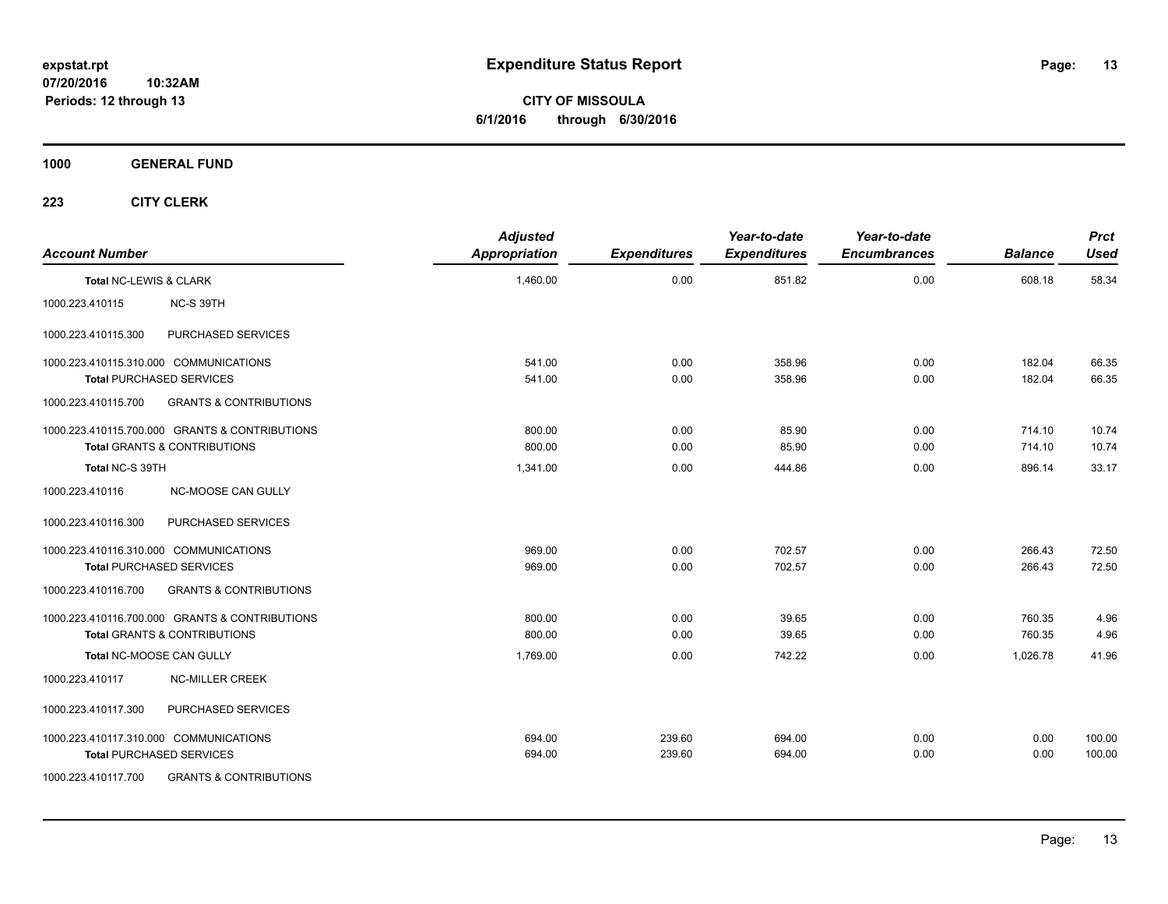**CITY OF MISSOULA 6/1/2016 through 6/30/2016**

**1000 GENERAL FUND**

| <b>Account Number</b>  |                                                                                | <b>Adjusted</b><br><b>Appropriation</b> | <b>Expenditures</b> | Year-to-date<br><b>Expenditures</b> | Year-to-date<br><b>Encumbrances</b> | <b>Balance</b>   | <b>Prct</b><br><b>Used</b> |
|------------------------|--------------------------------------------------------------------------------|-----------------------------------------|---------------------|-------------------------------------|-------------------------------------|------------------|----------------------------|
| Total NC-LEWIS & CLARK |                                                                                | 1,460.00                                | 0.00                | 851.82                              | 0.00                                | 608.18           | 58.34                      |
| 1000.223.410115        | NC-S 39TH                                                                      |                                         |                     |                                     |                                     |                  |                            |
| 1000.223.410115.300    | PURCHASED SERVICES                                                             |                                         |                     |                                     |                                     |                  |                            |
|                        | 1000.223.410115.310.000 COMMUNICATIONS<br><b>Total PURCHASED SERVICES</b>      | 541.00<br>541.00                        | 0.00<br>0.00        | 358.96<br>358.96                    | 0.00<br>0.00                        | 182.04<br>182.04 | 66.35<br>66.35             |
| 1000.223.410115.700    | <b>GRANTS &amp; CONTRIBUTIONS</b>                                              |                                         |                     |                                     |                                     |                  |                            |
|                        | 1000.223.410115.700.000 GRANTS & CONTRIBUTIONS<br>Total GRANTS & CONTRIBUTIONS | 800.00<br>800.00                        | 0.00<br>0.00        | 85.90<br>85.90                      | 0.00<br>0.00                        | 714.10<br>714.10 | 10.74<br>10.74             |
| Total NC-S 39TH        |                                                                                | 1,341.00                                | 0.00                | 444.86                              | 0.00                                | 896.14           | 33.17                      |
| 1000.223.410116        | NC-MOOSE CAN GULLY                                                             |                                         |                     |                                     |                                     |                  |                            |
| 1000.223.410116.300    | PURCHASED SERVICES                                                             |                                         |                     |                                     |                                     |                  |                            |
|                        | 1000.223.410116.310.000 COMMUNICATIONS<br><b>Total PURCHASED SERVICES</b>      | 969.00<br>969.00                        | 0.00<br>0.00        | 702.57<br>702.57                    | 0.00<br>0.00                        | 266.43<br>266.43 | 72.50<br>72.50             |
| 1000.223.410116.700    | <b>GRANTS &amp; CONTRIBUTIONS</b>                                              |                                         |                     |                                     |                                     |                  |                            |
|                        | 1000.223.410116.700.000 GRANTS & CONTRIBUTIONS<br>Total GRANTS & CONTRIBUTIONS | 800.00<br>800.00                        | 0.00<br>0.00        | 39.65<br>39.65                      | 0.00<br>0.00                        | 760.35<br>760.35 | 4.96<br>4.96               |
|                        | Total NC-MOOSE CAN GULLY                                                       | 1,769.00                                | 0.00                | 742.22                              | 0.00                                | 1,026.78         | 41.96                      |
| 1000.223.410117        | <b>NC-MILLER CREEK</b>                                                         |                                         |                     |                                     |                                     |                  |                            |
| 1000.223.410117.300    | PURCHASED SERVICES                                                             |                                         |                     |                                     |                                     |                  |                            |
|                        | 1000.223.410117.310.000 COMMUNICATIONS<br><b>Total PURCHASED SERVICES</b>      | 694.00<br>694.00                        | 239.60<br>239.60    | 694.00<br>694.00                    | 0.00<br>0.00                        | 0.00<br>0.00     | 100.00<br>100.00           |
| 1000.223.410117.700    | <b>GRANTS &amp; CONTRIBUTIONS</b>                                              |                                         |                     |                                     |                                     |                  |                            |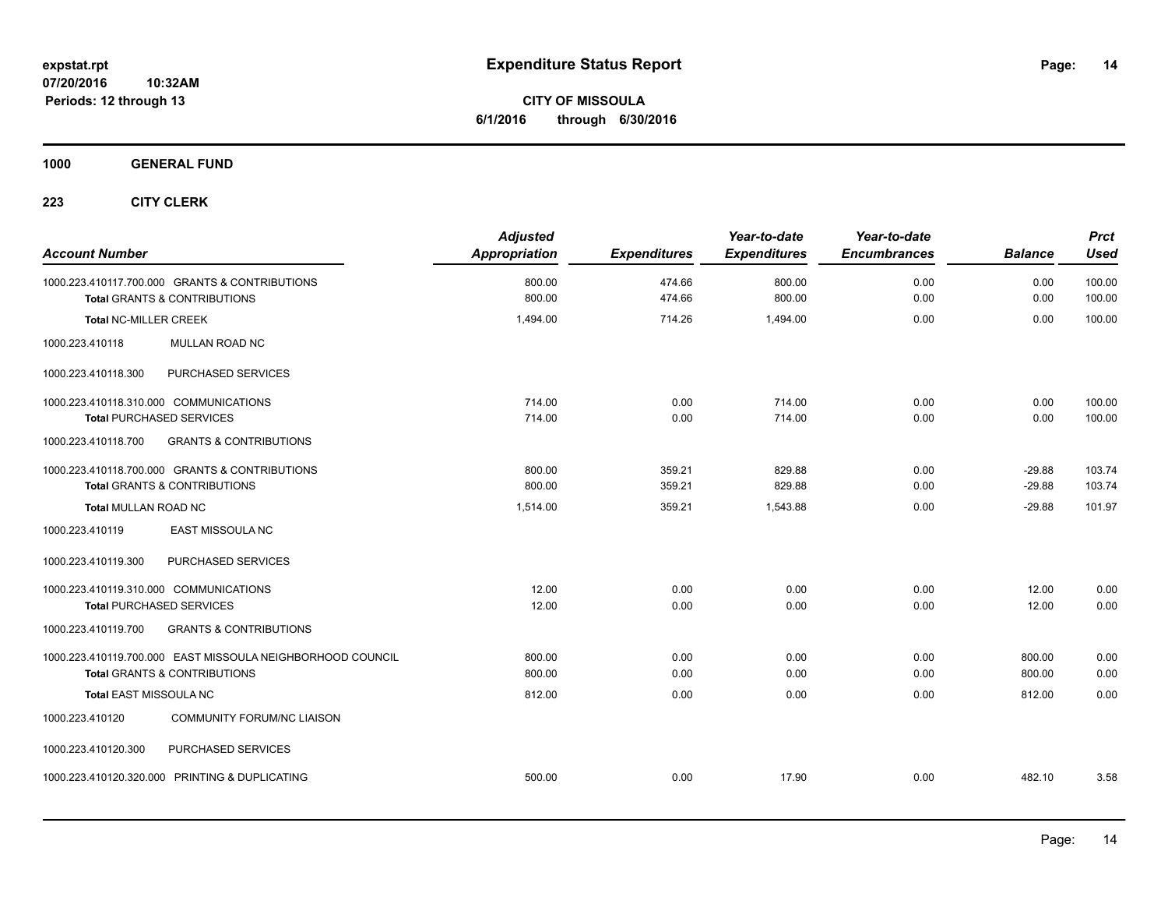**CITY OF MISSOULA 6/1/2016 through 6/30/2016**

**1000 GENERAL FUND**

| <b>Account Number</b>                                                                     | <b>Adjusted</b><br><b>Appropriation</b> | <b>Expenditures</b> | Year-to-date<br><b>Expenditures</b> | Year-to-date<br><b>Encumbrances</b> | <b>Balance</b> | <b>Prct</b><br><b>Used</b> |
|-------------------------------------------------------------------------------------------|-----------------------------------------|---------------------|-------------------------------------|-------------------------------------|----------------|----------------------------|
| 1000.223.410117.700.000 GRANTS & CONTRIBUTIONS<br><b>Total GRANTS &amp; CONTRIBUTIONS</b> | 800.00<br>800.00                        | 474.66<br>474.66    | 800.00<br>800.00                    | 0.00<br>0.00                        | 0.00<br>0.00   | 100.00<br>100.00           |
| <b>Total NC-MILLER CREEK</b>                                                              | 1,494.00                                | 714.26              | 1,494.00                            | 0.00                                | 0.00           | 100.00                     |
| 1000.223.410118<br><b>MULLAN ROAD NC</b>                                                  |                                         |                     |                                     |                                     |                |                            |
| 1000.223.410118.300<br>PURCHASED SERVICES                                                 |                                         |                     |                                     |                                     |                |                            |
| 1000.223.410118.310.000 COMMUNICATIONS                                                    | 714.00                                  | 0.00                | 714.00                              | 0.00                                | 0.00           | 100.00                     |
| <b>Total PURCHASED SERVICES</b>                                                           | 714.00                                  | 0.00                | 714.00                              | 0.00                                | 0.00           | 100.00                     |
| <b>GRANTS &amp; CONTRIBUTIONS</b><br>1000.223.410118.700                                  |                                         |                     |                                     |                                     |                |                            |
| 1000.223.410118.700.000 GRANTS & CONTRIBUTIONS                                            | 800.00                                  | 359.21              | 829.88                              | 0.00                                | $-29.88$       | 103.74                     |
| <b>Total GRANTS &amp; CONTRIBUTIONS</b>                                                   | 800.00                                  | 359.21              | 829.88                              | 0.00                                | $-29.88$       | 103.74                     |
| Total MULLAN ROAD NC                                                                      | 1,514.00                                | 359.21              | 1,543.88                            | 0.00                                | $-29.88$       | 101.97                     |
| EAST MISSOULA NC<br>1000.223.410119                                                       |                                         |                     |                                     |                                     |                |                            |
| PURCHASED SERVICES<br>1000.223.410119.300                                                 |                                         |                     |                                     |                                     |                |                            |
| 1000.223.410119.310.000 COMMUNICATIONS                                                    | 12.00                                   | 0.00                | 0.00                                | 0.00                                | 12.00          | 0.00                       |
| <b>Total PURCHASED SERVICES</b>                                                           | 12.00                                   | 0.00                | 0.00                                | 0.00                                | 12.00          | 0.00                       |
| 1000.223.410119.700<br><b>GRANTS &amp; CONTRIBUTIONS</b>                                  |                                         |                     |                                     |                                     |                |                            |
| 1000.223.410119.700.000 EAST MISSOULA NEIGHBORHOOD COUNCIL                                | 800.00                                  | 0.00                | 0.00                                | 0.00                                | 800.00         | 0.00                       |
| <b>Total GRANTS &amp; CONTRIBUTIONS</b>                                                   | 800.00                                  | 0.00                | 0.00                                | 0.00                                | 800.00         | 0.00                       |
| Total EAST MISSOULA NC                                                                    | 812.00                                  | 0.00                | 0.00                                | 0.00                                | 812.00         | 0.00                       |
| 1000.223.410120<br><b>COMMUNITY FORUM/NC LIAISON</b>                                      |                                         |                     |                                     |                                     |                |                            |
| PURCHASED SERVICES<br>1000.223.410120.300                                                 |                                         |                     |                                     |                                     |                |                            |
| 1000.223.410120.320.000 PRINTING & DUPLICATING                                            | 500.00                                  | 0.00                | 17.90                               | 0.00                                | 482.10         | 3.58                       |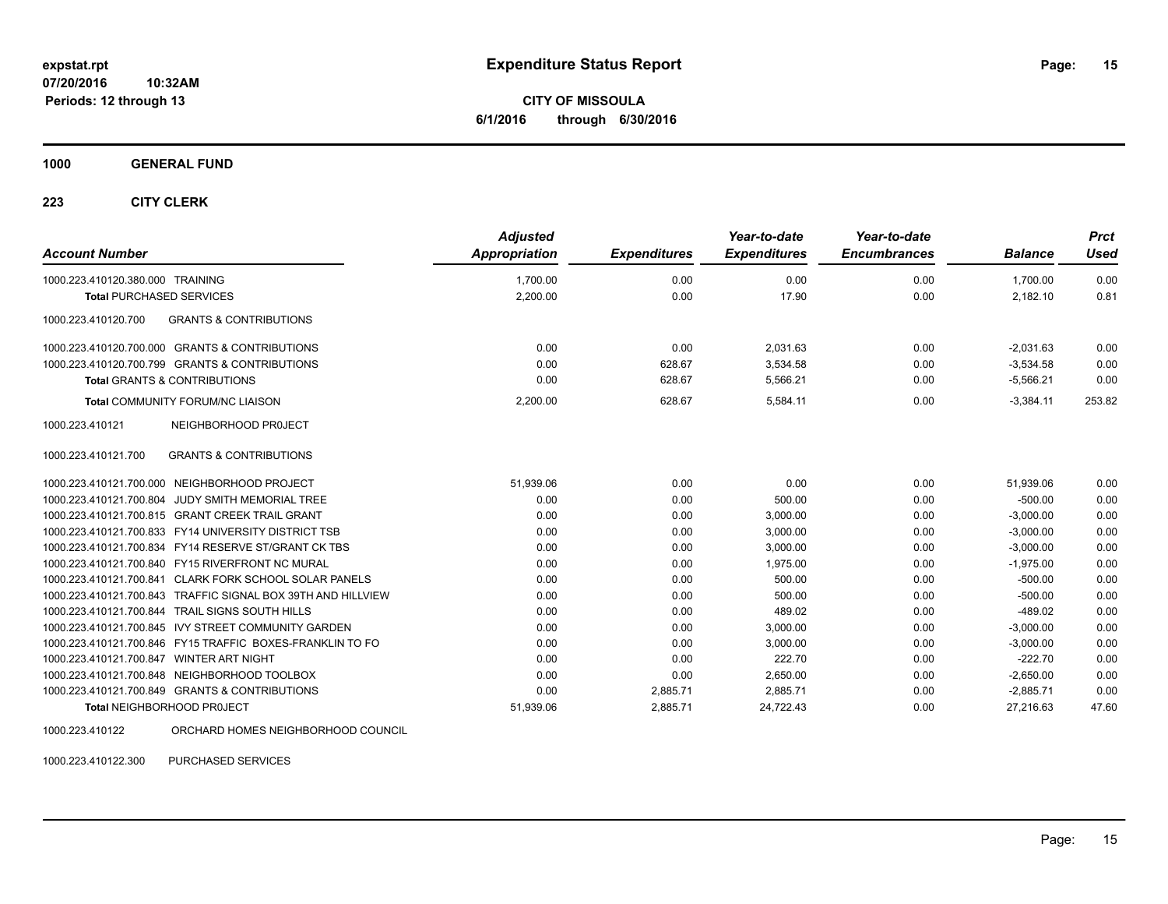**CITY OF MISSOULA 6/1/2016 through 6/30/2016**

#### **1000 GENERAL FUND**

### **223 CITY CLERK**

| <b>Account Number</b>                                        | <b>Adjusted</b><br>Appropriation | <b>Expenditures</b> | Year-to-date<br><b>Expenditures</b> | Year-to-date<br><b>Encumbrances</b> | <b>Balance</b> | <b>Prct</b><br><b>Used</b> |
|--------------------------------------------------------------|----------------------------------|---------------------|-------------------------------------|-------------------------------------|----------------|----------------------------|
| 1000.223.410120.380.000 TRAINING                             | 1,700.00                         | 0.00                | 0.00                                | 0.00                                | 1.700.00       | 0.00                       |
| <b>Total PURCHASED SERVICES</b>                              | 2,200.00                         | 0.00                | 17.90                               | 0.00                                | 2,182.10       | 0.81                       |
| 1000.223.410120.700<br><b>GRANTS &amp; CONTRIBUTIONS</b>     |                                  |                     |                                     |                                     |                |                            |
| 1000.223.410120.700.000 GRANTS & CONTRIBUTIONS               | 0.00                             | 0.00                | 2.031.63                            | 0.00                                | $-2,031.63$    | 0.00                       |
| 1000.223.410120.700.799 GRANTS & CONTRIBUTIONS               | 0.00                             | 628.67              | 3,534.58                            | 0.00                                | $-3,534.58$    | 0.00                       |
| <b>Total GRANTS &amp; CONTRIBUTIONS</b>                      | 0.00                             | 628.67              | 5,566.21                            | 0.00                                | $-5,566.21$    | 0.00                       |
| <b>Total COMMUNITY FORUM/NC LIAISON</b>                      | 2,200.00                         | 628.67              | 5.584.11                            | 0.00                                | $-3.384.11$    | 253.82                     |
| 1000.223.410121<br>NEIGHBORHOOD PROJECT                      |                                  |                     |                                     |                                     |                |                            |
| <b>GRANTS &amp; CONTRIBUTIONS</b><br>1000.223.410121.700     |                                  |                     |                                     |                                     |                |                            |
| 1000.223.410121.700.000 NEIGHBORHOOD PROJECT                 | 51,939.06                        | 0.00                | 0.00                                | 0.00                                | 51,939.06      | 0.00                       |
| JUDY SMITH MEMORIAL TREE<br>1000.223.410121.700.804          | 0.00                             | 0.00                | 500.00                              | 0.00                                | $-500.00$      | 0.00                       |
| 1000.223.410121.700.815 GRANT CREEK TRAIL GRANT              | 0.00                             | 0.00                | 3,000.00                            | 0.00                                | $-3,000.00$    | 0.00                       |
| 1000.223.410121.700.833 FY14 UNIVERSITY DISTRICT TSB         | 0.00                             | 0.00                | 3.000.00                            | 0.00                                | $-3.000.00$    | 0.00                       |
| 1000.223.410121.700.834 FY14 RESERVE ST/GRANT CK TBS         | 0.00                             | 0.00                | 3,000.00                            | 0.00                                | $-3,000.00$    | 0.00                       |
| 1000.223.410121.700.840 FY15 RIVERFRONT NC MURAL             | 0.00                             | 0.00                | 1,975.00                            | 0.00                                | $-1,975.00$    | 0.00                       |
| 1000.223.410121.700.841 CLARK FORK SCHOOL SOLAR PANELS       | 0.00                             | 0.00                | 500.00                              | 0.00                                | $-500.00$      | 0.00                       |
| 1000.223.410121.700.843 TRAFFIC SIGNAL BOX 39TH AND HILLVIEW | 0.00                             | 0.00                | 500.00                              | 0.00                                | $-500.00$      | 0.00                       |
| 1000.223.410121.700.844 TRAIL SIGNS SOUTH HILLS              | 0.00                             | 0.00                | 489.02                              | 0.00                                | $-489.02$      | 0.00                       |
| 1000.223.410121.700.845 IVY STREET COMMUNITY GARDEN          | 0.00                             | 0.00                | 3.000.00                            | 0.00                                | $-3,000.00$    | 0.00                       |
| 1000.223.410121.700.846 FY15 TRAFFIC BOXES-FRANKLIN TO FO    | 0.00                             | 0.00                | 3,000.00                            | 0.00                                | $-3,000.00$    | 0.00                       |
| 1000.223.410121.700.847 WINTER ART NIGHT                     | 0.00                             | 0.00                | 222.70                              | 0.00                                | $-222.70$      | 0.00                       |
| 1000.223.410121.700.848 NEIGHBORHOOD TOOLBOX                 | 0.00                             | 0.00                | 2,650.00                            | 0.00                                | $-2,650.00$    | 0.00                       |
| 1000.223.410121.700.849 GRANTS & CONTRIBUTIONS               | 0.00                             | 2,885.71            | 2,885.71                            | 0.00                                | $-2,885.71$    | 0.00                       |
| <b>Total NEIGHBORHOOD PROJECT</b>                            | 51,939.06                        | 2,885.71            | 24,722.43                           | 0.00                                | 27,216.63      | 47.60                      |
|                                                              |                                  |                     |                                     |                                     |                |                            |

1000.223.410122 ORCHARD HOMES NEIGHBORHOOD COUNCIL

1000.223.410122.300 PURCHASED SERVICES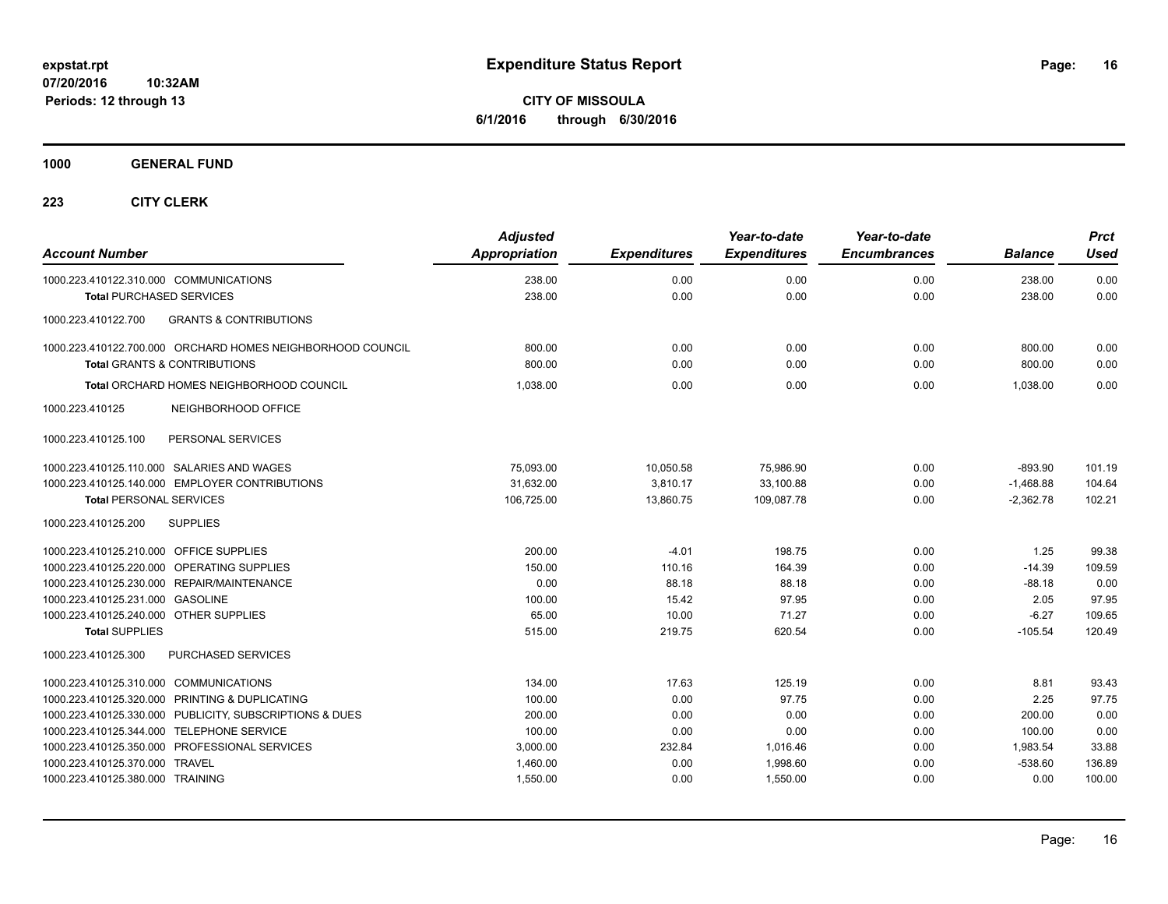**CITY OF MISSOULA 6/1/2016 through 6/30/2016**

**1000 GENERAL FUND**

| <b>Account Number</b>                           |                                                            | <b>Adjusted</b><br><b>Appropriation</b> | <b>Expenditures</b> | Year-to-date<br><b>Expenditures</b> | Year-to-date<br><b>Encumbrances</b> | <b>Balance</b> | <b>Prct</b><br><b>Used</b> |
|-------------------------------------------------|------------------------------------------------------------|-----------------------------------------|---------------------|-------------------------------------|-------------------------------------|----------------|----------------------------|
| 1000.223.410122.310.000 COMMUNICATIONS          |                                                            | 238.00                                  | 0.00                | 0.00                                | 0.00                                | 238.00         | 0.00                       |
| <b>Total PURCHASED SERVICES</b>                 |                                                            | 238.00                                  | 0.00                | 0.00                                | 0.00                                | 238.00         | 0.00                       |
| 1000.223.410122.700                             | <b>GRANTS &amp; CONTRIBUTIONS</b>                          |                                         |                     |                                     |                                     |                |                            |
|                                                 | 1000.223.410122.700.000 ORCHARD HOMES NEIGHBORHOOD COUNCIL | 800.00                                  | 0.00                | 0.00                                | 0.00                                | 800.00         | 0.00                       |
|                                                 | <b>Total GRANTS &amp; CONTRIBUTIONS</b>                    | 800.00                                  | 0.00                | 0.00                                | 0.00                                | 800.00         | 0.00                       |
| <b>Total ORCHARD HOMES NEIGHBORHOOD COUNCIL</b> |                                                            | 1,038.00                                | 0.00                | 0.00                                | 0.00                                | 1.038.00       | 0.00                       |
| 1000.223.410125                                 | NEIGHBORHOOD OFFICE                                        |                                         |                     |                                     |                                     |                |                            |
| 1000.223.410125.100                             | PERSONAL SERVICES                                          |                                         |                     |                                     |                                     |                |                            |
|                                                 | 1000.223.410125.110.000 SALARIES AND WAGES                 | 75,093.00                               | 10,050.58           | 75,986.90                           | 0.00                                | $-893.90$      | 101.19                     |
|                                                 | 1000.223.410125.140.000 EMPLOYER CONTRIBUTIONS             | 31,632.00                               | 3,810.17            | 33,100.88                           | 0.00                                | $-1,468.88$    | 104.64                     |
| <b>Total PERSONAL SERVICES</b>                  |                                                            | 106,725.00                              | 13,860.75           | 109,087.78                          | 0.00                                | $-2,362.78$    | 102.21                     |
| 1000.223.410125.200                             | <b>SUPPLIES</b>                                            |                                         |                     |                                     |                                     |                |                            |
| 1000.223.410125.210.000 OFFICE SUPPLIES         |                                                            | 200.00                                  | $-4.01$             | 198.75                              | 0.00                                | 1.25           | 99.38                      |
|                                                 | 1000.223.410125.220.000 OPERATING SUPPLIES                 | 150.00                                  | 110.16              | 164.39                              | 0.00                                | $-14.39$       | 109.59                     |
|                                                 | 1000.223.410125.230.000 REPAIR/MAINTENANCE                 | 0.00                                    | 88.18               | 88.18                               | 0.00                                | $-88.18$       | 0.00                       |
| 1000.223.410125.231.000 GASOLINE                |                                                            | 100.00                                  | 15.42               | 97.95                               | 0.00                                | 2.05           | 97.95                      |
| 1000.223.410125.240.000 OTHER SUPPLIES          |                                                            | 65.00                                   | 10.00               | 71.27                               | 0.00                                | $-6.27$        | 109.65                     |
| <b>Total SUPPLIES</b>                           |                                                            | 515.00                                  | 219.75              | 620.54                              | 0.00                                | $-105.54$      | 120.49                     |
| 1000.223.410125.300                             | PURCHASED SERVICES                                         |                                         |                     |                                     |                                     |                |                            |
| 1000.223.410125.310.000 COMMUNICATIONS          |                                                            | 134.00                                  | 17.63               | 125.19                              | 0.00                                | 8.81           | 93.43                      |
|                                                 | 1000.223.410125.320.000 PRINTING & DUPLICATING             | 100.00                                  | 0.00                | 97.75                               | 0.00                                | 2.25           | 97.75                      |
|                                                 | 1000.223.410125.330.000 PUBLICITY, SUBSCRIPTIONS & DUES    | 200.00                                  | 0.00                | 0.00                                | 0.00                                | 200.00         | 0.00                       |
|                                                 | 1000.223.410125.344.000 TELEPHONE SERVICE                  | 100.00                                  | 0.00                | 0.00                                | 0.00                                | 100.00         | 0.00                       |
|                                                 | 1000.223.410125.350.000 PROFESSIONAL SERVICES              | 3,000.00                                | 232.84              | 1,016.46                            | 0.00                                | 1.983.54       | 33.88                      |
| 1000.223.410125.370.000 TRAVEL                  |                                                            | 1,460.00                                | 0.00                | 1,998.60                            | 0.00                                | $-538.60$      | 136.89                     |
| 1000.223.410125.380.000 TRAINING                |                                                            | 1,550.00                                | 0.00                | 1,550.00                            | 0.00                                | 0.00           | 100.00                     |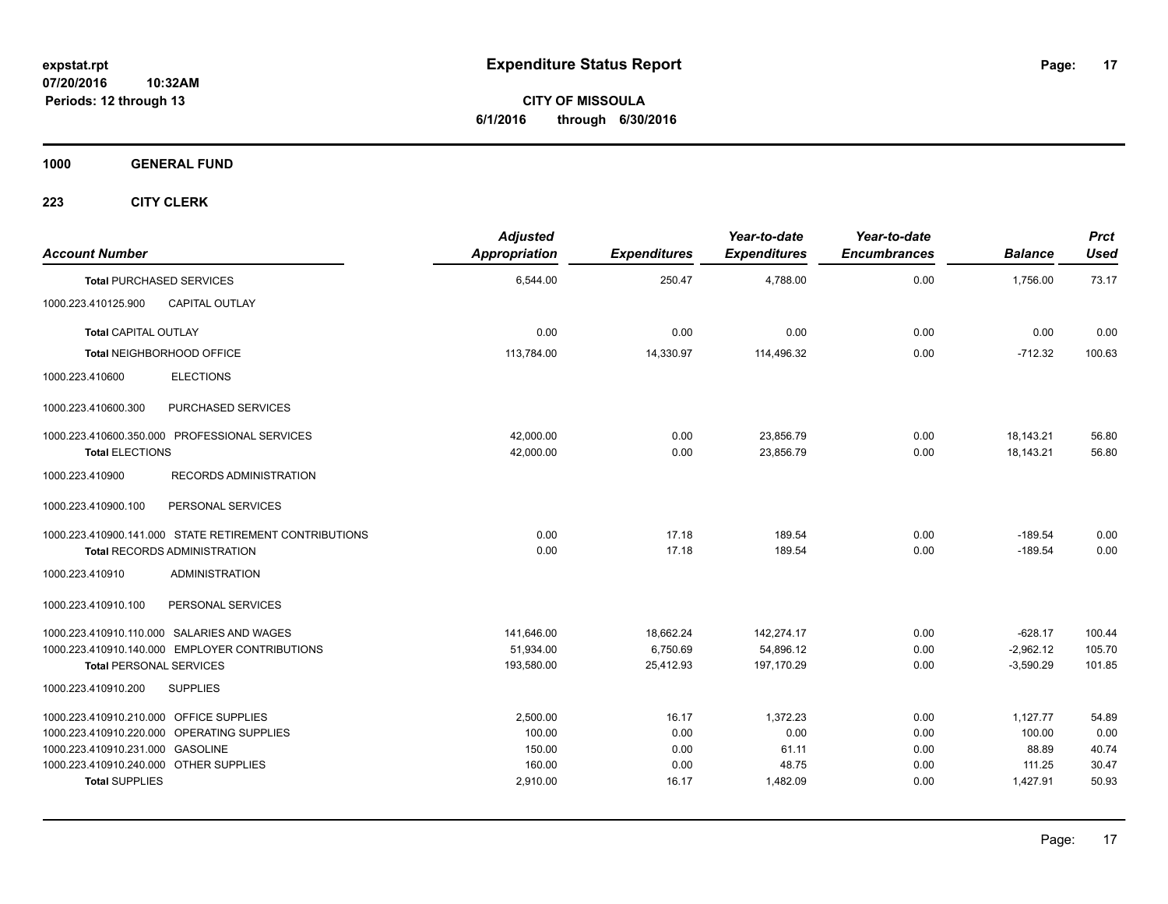**CITY OF MISSOULA 6/1/2016 through 6/30/2016**

**1000 GENERAL FUND**

| <b>Account Number</b>                   |                                                        | <b>Adjusted</b><br><b>Appropriation</b> | <b>Expenditures</b> | Year-to-date<br><b>Expenditures</b> | Year-to-date<br><b>Encumbrances</b> | <b>Balance</b> | <b>Prct</b><br><b>Used</b> |
|-----------------------------------------|--------------------------------------------------------|-----------------------------------------|---------------------|-------------------------------------|-------------------------------------|----------------|----------------------------|
|                                         | <b>Total PURCHASED SERVICES</b>                        | 6,544.00                                | 250.47              | 4,788.00                            | 0.00                                | 1,756.00       | 73.17                      |
| 1000.223.410125.900                     | <b>CAPITAL OUTLAY</b>                                  |                                         |                     |                                     |                                     |                |                            |
| <b>Total CAPITAL OUTLAY</b>             |                                                        | 0.00                                    | 0.00                | 0.00                                | 0.00                                | 0.00           | 0.00                       |
|                                         | Total NEIGHBORHOOD OFFICE                              | 113,784.00                              | 14,330.97           | 114,496.32                          | 0.00                                | $-712.32$      | 100.63                     |
| 1000.223.410600                         | <b>ELECTIONS</b>                                       |                                         |                     |                                     |                                     |                |                            |
| 1000.223.410600.300                     | PURCHASED SERVICES                                     |                                         |                     |                                     |                                     |                |                            |
|                                         | 1000.223.410600.350.000 PROFESSIONAL SERVICES          | 42,000.00                               | 0.00                | 23,856.79                           | 0.00                                | 18,143.21      | 56.80                      |
| <b>Total ELECTIONS</b>                  |                                                        | 42,000.00                               | 0.00                | 23.856.79                           | 0.00                                | 18.143.21      | 56.80                      |
| 1000.223.410900                         | RECORDS ADMINISTRATION                                 |                                         |                     |                                     |                                     |                |                            |
| 1000.223.410900.100                     | PERSONAL SERVICES                                      |                                         |                     |                                     |                                     |                |                            |
|                                         | 1000.223.410900.141.000 STATE RETIREMENT CONTRIBUTIONS | 0.00                                    | 17.18               | 189.54                              | 0.00                                | $-189.54$      | 0.00                       |
|                                         | <b>Total RECORDS ADMINISTRATION</b>                    | 0.00                                    | 17.18               | 189.54                              | 0.00                                | $-189.54$      | 0.00                       |
| 1000.223.410910                         | <b>ADMINISTRATION</b>                                  |                                         |                     |                                     |                                     |                |                            |
| 1000.223.410910.100                     | PERSONAL SERVICES                                      |                                         |                     |                                     |                                     |                |                            |
|                                         | 1000.223.410910.110.000 SALARIES AND WAGES             | 141,646.00                              | 18,662.24           | 142,274.17                          | 0.00                                | $-628.17$      | 100.44                     |
|                                         | 1000.223.410910.140.000 EMPLOYER CONTRIBUTIONS         | 51,934.00                               | 6,750.69            | 54,896.12                           | 0.00                                | $-2,962.12$    | 105.70                     |
| <b>Total PERSONAL SERVICES</b>          |                                                        | 193,580.00                              | 25,412.93           | 197,170.29                          | 0.00                                | $-3,590.29$    | 101.85                     |
| 1000.223.410910.200                     | <b>SUPPLIES</b>                                        |                                         |                     |                                     |                                     |                |                            |
| 1000.223.410910.210.000 OFFICE SUPPLIES |                                                        | 2,500.00                                | 16.17               | 1,372.23                            | 0.00                                | 1,127.77       | 54.89                      |
|                                         | 1000.223.410910.220.000 OPERATING SUPPLIES             | 100.00                                  | 0.00                | 0.00                                | 0.00                                | 100.00         | 0.00                       |
| 1000.223.410910.231.000 GASOLINE        |                                                        | 150.00                                  | 0.00                | 61.11                               | 0.00                                | 88.89          | 40.74                      |
| 1000.223.410910.240.000 OTHER SUPPLIES  |                                                        | 160.00                                  | 0.00                | 48.75                               | 0.00                                | 111.25         | 30.47                      |
| <b>Total SUPPLIES</b>                   |                                                        | 2,910.00                                | 16.17               | 1,482.09                            | 0.00                                | 1,427.91       | 50.93                      |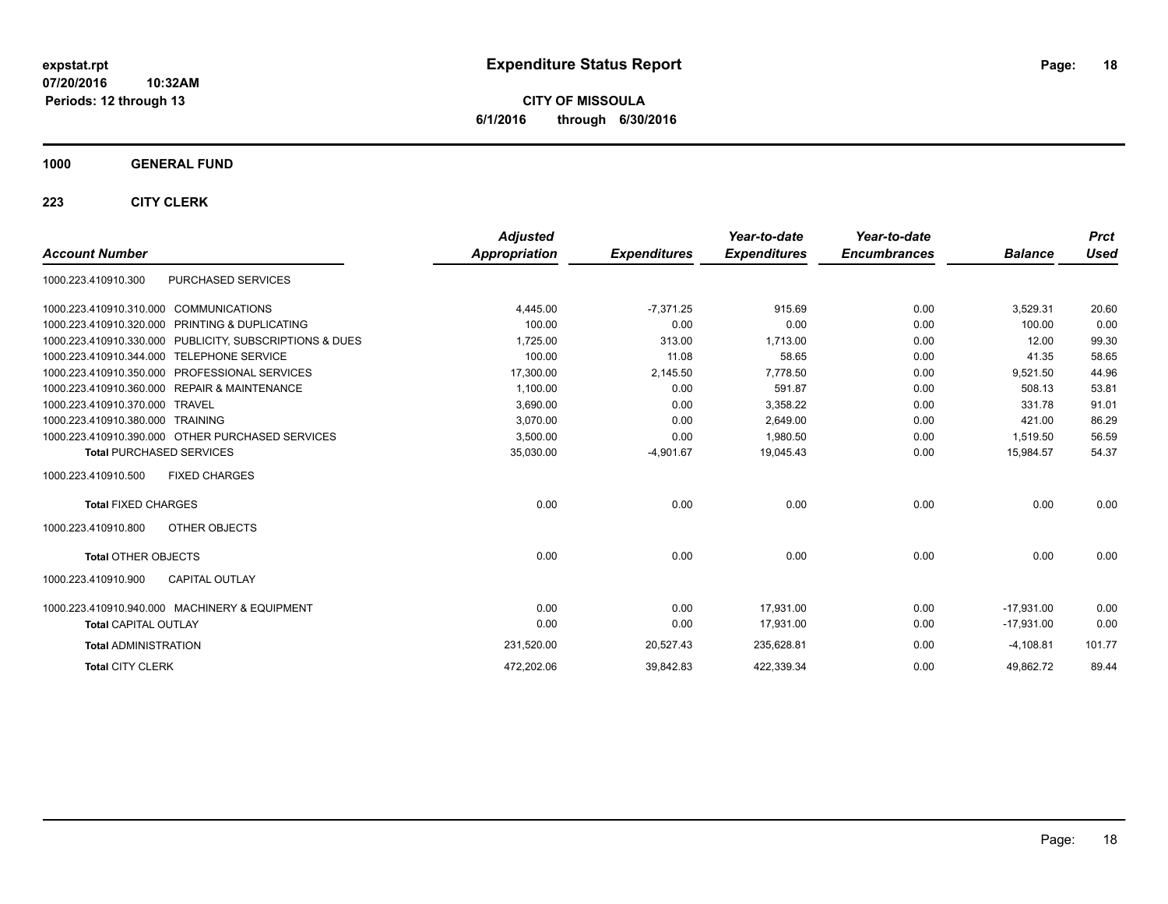**CITY OF MISSOULA 6/1/2016 through 6/30/2016**

### **1000 GENERAL FUND**

|                                                         | <b>Adjusted</b> |                     | Year-to-date        | Year-to-date        |                | <b>Prct</b> |
|---------------------------------------------------------|-----------------|---------------------|---------------------|---------------------|----------------|-------------|
| <b>Account Number</b>                                   | Appropriation   | <b>Expenditures</b> | <b>Expenditures</b> | <b>Encumbrances</b> | <b>Balance</b> | <b>Used</b> |
| PURCHASED SERVICES<br>1000.223.410910.300               |                 |                     |                     |                     |                |             |
| 1000.223.410910.310.000 COMMUNICATIONS                  | 4,445.00        | $-7.371.25$         | 915.69              | 0.00                | 3,529.31       | 20.60       |
| 1000.223.410910.320.000 PRINTING & DUPLICATING          | 100.00          | 0.00                | 0.00                | 0.00                | 100.00         | 0.00        |
| 1000.223.410910.330.000 PUBLICITY, SUBSCRIPTIONS & DUES | 1,725.00        | 313.00              | 1,713.00            | 0.00                | 12.00          | 99.30       |
| <b>TELEPHONE SERVICE</b><br>1000.223.410910.344.000     | 100.00          | 11.08               | 58.65               | 0.00                | 41.35          | 58.65       |
| 1000.223.410910.350.000 PROFESSIONAL SERVICES           | 17,300.00       | 2,145.50            | 7,778.50            | 0.00                | 9,521.50       | 44.96       |
| 1000.223.410910.360.000 REPAIR & MAINTENANCE            | 1,100.00        | 0.00                | 591.87              | 0.00                | 508.13         | 53.81       |
| 1000.223.410910.370.000<br><b>TRAVEL</b>                | 3,690.00        | 0.00                | 3,358.22            | 0.00                | 331.78         | 91.01       |
| 1000.223.410910.380.000 TRAINING                        | 3.070.00        | 0.00                | 2,649.00            | 0.00                | 421.00         | 86.29       |
| 1000.223.410910.390.000 OTHER PURCHASED SERVICES        | 3,500.00        | 0.00                | 1,980.50            | 0.00                | 1,519.50       | 56.59       |
| <b>Total PURCHASED SERVICES</b>                         | 35,030.00       | $-4,901.67$         | 19,045.43           | 0.00                | 15,984.57      | 54.37       |
| <b>FIXED CHARGES</b><br>1000.223.410910.500             |                 |                     |                     |                     |                |             |
| <b>Total FIXED CHARGES</b>                              | 0.00            | 0.00                | 0.00                | 0.00                | 0.00           | 0.00        |
| 1000.223.410910.800<br>OTHER OBJECTS                    |                 |                     |                     |                     |                |             |
| <b>Total OTHER OBJECTS</b>                              | 0.00            | 0.00                | 0.00                | 0.00                | 0.00           | 0.00        |
| <b>CAPITAL OUTLAY</b><br>1000.223.410910.900            |                 |                     |                     |                     |                |             |
| 1000.223.410910.940.000 MACHINERY & EQUIPMENT           | 0.00            | 0.00                | 17,931.00           | 0.00                | $-17.931.00$   | 0.00        |
| <b>Total CAPITAL OUTLAY</b>                             | 0.00            | 0.00                | 17,931.00           | 0.00                | $-17,931.00$   | 0.00        |
| <b>Total ADMINISTRATION</b>                             | 231,520.00      | 20,527.43           | 235,628.81          | 0.00                | $-4,108.81$    | 101.77      |
| <b>Total CITY CLERK</b>                                 | 472.202.06      | 39,842.83           | 422,339.34          | 0.00                | 49.862.72      | 89.44       |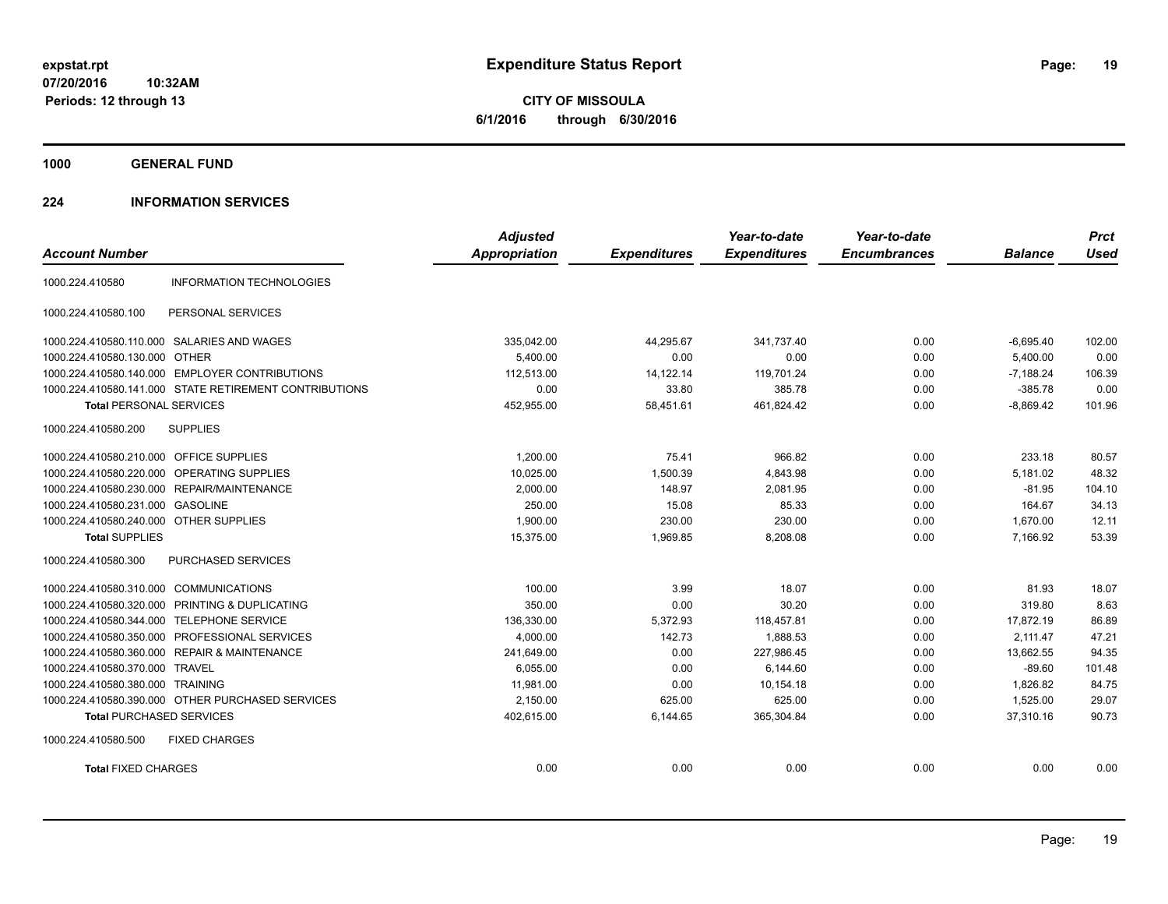**CITY OF MISSOULA 6/1/2016 through 6/30/2016**

**1000 GENERAL FUND**

### **224 INFORMATION SERVICES**

|                                         |                                                        | <b>Adjusted</b>      |                     | Year-to-date        | Year-to-date        |                | <b>Prct</b> |
|-----------------------------------------|--------------------------------------------------------|----------------------|---------------------|---------------------|---------------------|----------------|-------------|
| <b>Account Number</b>                   |                                                        | <b>Appropriation</b> | <b>Expenditures</b> | <b>Expenditures</b> | <b>Encumbrances</b> | <b>Balance</b> | <b>Used</b> |
| 1000.224.410580                         | <b>INFORMATION TECHNOLOGIES</b>                        |                      |                     |                     |                     |                |             |
| 1000.224.410580.100                     | PERSONAL SERVICES                                      |                      |                     |                     |                     |                |             |
|                                         | 1000.224.410580.110.000 SALARIES AND WAGES             | 335,042.00           | 44,295.67           | 341,737.40          | 0.00                | $-6,695.40$    | 102.00      |
| 1000.224.410580.130.000 OTHER           |                                                        | 5.400.00             | 0.00                | 0.00                | 0.00                | 5,400.00       | 0.00        |
|                                         | 1000.224.410580.140.000 EMPLOYER CONTRIBUTIONS         | 112,513.00           | 14,122.14           | 119,701.24          | 0.00                | $-7,188.24$    | 106.39      |
|                                         | 1000.224.410580.141.000 STATE RETIREMENT CONTRIBUTIONS | 0.00                 | 33.80               | 385.78              | 0.00                | $-385.78$      | 0.00        |
| <b>Total PERSONAL SERVICES</b>          |                                                        | 452,955.00           | 58,451.61           | 461,824.42          | 0.00                | $-8,869.42$    | 101.96      |
| 1000.224.410580.200                     | <b>SUPPLIES</b>                                        |                      |                     |                     |                     |                |             |
| 1000.224.410580.210.000 OFFICE SUPPLIES |                                                        | 1,200.00             | 75.41               | 966.82              | 0.00                | 233.18         | 80.57       |
| 1000.224.410580.220.000                 | OPERATING SUPPLIES                                     | 10,025.00            | 1,500.39            | 4,843.98            | 0.00                | 5,181.02       | 48.32       |
|                                         | 1000.224.410580.230.000 REPAIR/MAINTENANCE             | 2,000.00             | 148.97              | 2.081.95            | 0.00                | $-81.95$       | 104.10      |
| 1000.224.410580.231.000 GASOLINE        |                                                        | 250.00               | 15.08               | 85.33               | 0.00                | 164.67         | 34.13       |
| 1000.224.410580.240.000 OTHER SUPPLIES  |                                                        | 1,900.00             | 230.00              | 230.00              | 0.00                | 1,670.00       | 12.11       |
| <b>Total SUPPLIES</b>                   |                                                        | 15,375.00            | 1,969.85            | 8,208.08            | 0.00                | 7,166.92       | 53.39       |
| 1000.224.410580.300                     | <b>PURCHASED SERVICES</b>                              |                      |                     |                     |                     |                |             |
| 1000.224.410580.310.000 COMMUNICATIONS  |                                                        | 100.00               | 3.99                | 18.07               | 0.00                | 81.93          | 18.07       |
| 1000.224.410580.320.000                 | PRINTING & DUPLICATING                                 | 350.00               | 0.00                | 30.20               | 0.00                | 319.80         | 8.63        |
| 1000.224.410580.344.000                 | <b>TELEPHONE SERVICE</b>                               | 136,330.00           | 5,372.93            | 118,457.81          | 0.00                | 17,872.19      | 86.89       |
|                                         | 1000.224.410580.350.000 PROFESSIONAL SERVICES          | 4,000.00             | 142.73              | 1,888.53            | 0.00                | 2.111.47       | 47.21       |
|                                         | 1000.224.410580.360.000 REPAIR & MAINTENANCE           | 241,649.00           | 0.00                | 227,986.45          | 0.00                | 13,662.55      | 94.35       |
| 1000.224.410580.370.000 TRAVEL          |                                                        | 6.055.00             | 0.00                | 6.144.60            | 0.00                | $-89.60$       | 101.48      |
| 1000.224.410580.380.000                 | <b>TRAINING</b>                                        | 11.981.00            | 0.00                | 10.154.18           | 0.00                | 1.826.82       | 84.75       |
|                                         | 1000.224.410580.390.000 OTHER PURCHASED SERVICES       | 2,150.00             | 625.00              | 625.00              | 0.00                | 1,525.00       | 29.07       |
| <b>Total PURCHASED SERVICES</b>         |                                                        | 402,615.00           | 6,144.65            | 365,304.84          | 0.00                | 37,310.16      | 90.73       |
| 1000.224.410580.500                     | <b>FIXED CHARGES</b>                                   |                      |                     |                     |                     |                |             |
| <b>Total FIXED CHARGES</b>              |                                                        | 0.00                 | 0.00                | 0.00                | 0.00                | 0.00           | 0.00        |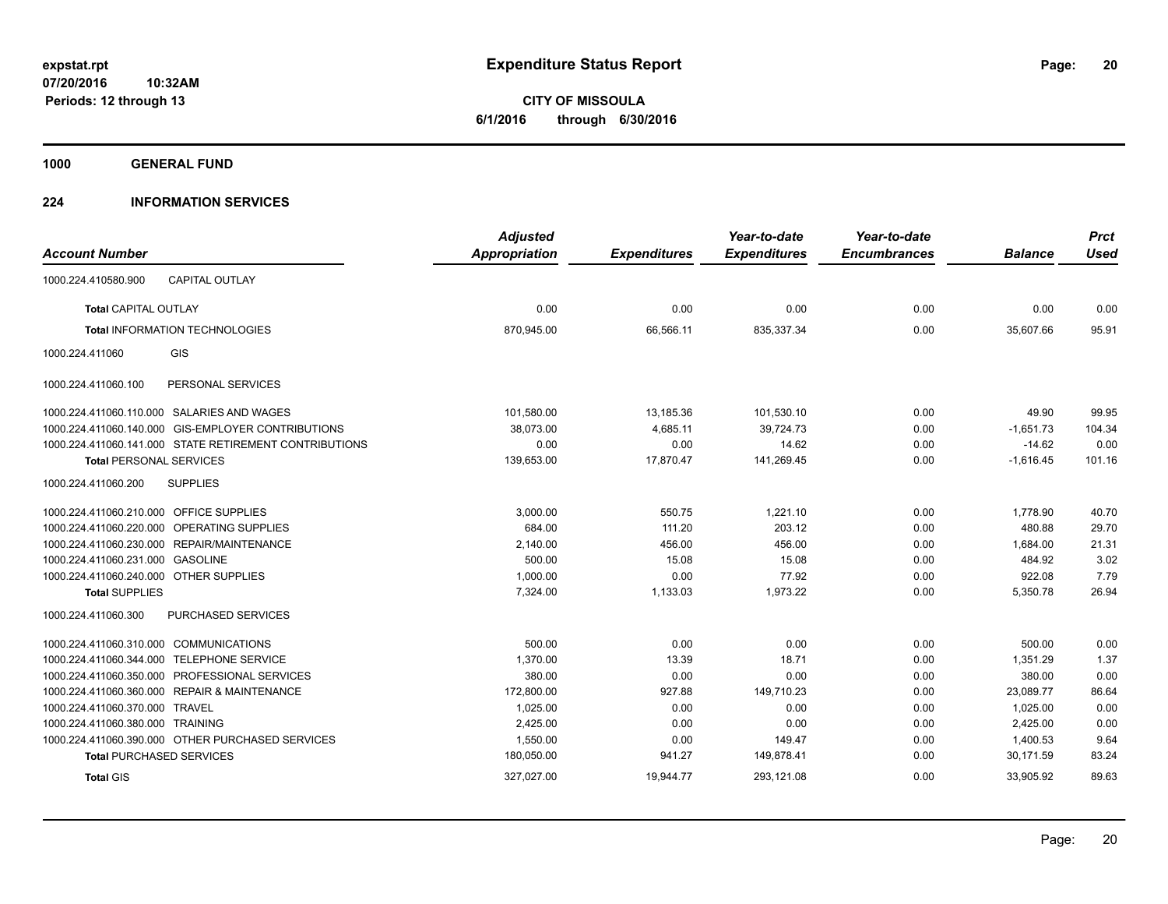**CITY OF MISSOULA 6/1/2016 through 6/30/2016**

**1000 GENERAL FUND**

### **224 INFORMATION SERVICES**

| <b>Account Number</b>                                      | <b>Adjusted</b><br><b>Appropriation</b> | <b>Expenditures</b> | Year-to-date<br><b>Expenditures</b> | Year-to-date<br><b>Encumbrances</b> | <b>Balance</b> | <b>Prct</b><br><b>Used</b> |
|------------------------------------------------------------|-----------------------------------------|---------------------|-------------------------------------|-------------------------------------|----------------|----------------------------|
| <b>CAPITAL OUTLAY</b><br>1000.224.410580.900               |                                         |                     |                                     |                                     |                |                            |
|                                                            |                                         |                     |                                     |                                     |                |                            |
| <b>Total CAPITAL OUTLAY</b>                                | 0.00                                    | 0.00                | 0.00                                | 0.00                                | 0.00           | 0.00                       |
| <b>Total INFORMATION TECHNOLOGIES</b>                      | 870,945.00                              | 66,566.11           | 835,337.34                          | 0.00                                | 35,607.66      | 95.91                      |
| GIS<br>1000.224.411060                                     |                                         |                     |                                     |                                     |                |                            |
| 1000.224.411060.100<br>PERSONAL SERVICES                   |                                         |                     |                                     |                                     |                |                            |
| 1000.224.411060.110.000 SALARIES AND WAGES                 | 101,580.00                              | 13,185.36           | 101,530.10                          | 0.00                                | 49.90          | 99.95                      |
| 1000.224.411060.140.000 GIS-EMPLOYER CONTRIBUTIONS         | 38,073.00                               | 4,685.11            | 39,724.73                           | 0.00                                | $-1,651.73$    | 104.34                     |
| 1000.224.411060.141.000 STATE RETIREMENT CONTRIBUTIONS     | 0.00                                    | 0.00                | 14.62                               | 0.00                                | $-14.62$       | 0.00                       |
| <b>Total PERSONAL SERVICES</b>                             | 139,653.00                              | 17,870.47           | 141,269.45                          | 0.00                                | $-1,616.45$    | 101.16                     |
| <b>SUPPLIES</b><br>1000.224.411060.200                     |                                         |                     |                                     |                                     |                |                            |
| 1000.224.411060.210.000 OFFICE SUPPLIES                    | 3,000.00                                | 550.75              | 1,221.10                            | 0.00                                | 1,778.90       | 40.70                      |
| 1000.224.411060.220.000 OPERATING SUPPLIES                 | 684.00                                  | 111.20              | 203.12                              | 0.00                                | 480.88         | 29.70                      |
| 1000.224.411060.230.000 REPAIR/MAINTENANCE                 | 2,140.00                                | 456.00              | 456.00                              | 0.00                                | 1,684.00       | 21.31                      |
| 1000.224.411060.231.000 GASOLINE                           | 500.00                                  | 15.08               | 15.08                               | 0.00                                | 484.92         | 3.02                       |
| 1000.224.411060.240.000 OTHER SUPPLIES                     | 1,000.00                                | 0.00                | 77.92                               | 0.00                                | 922.08         | 7.79                       |
| <b>Total SUPPLIES</b>                                      | 7,324.00                                | 1,133.03            | 1,973.22                            | 0.00                                | 5,350.78       | 26.94                      |
| 1000.224.411060.300<br><b>PURCHASED SERVICES</b>           |                                         |                     |                                     |                                     |                |                            |
| 1000.224.411060.310.000 COMMUNICATIONS                     | 500.00                                  | 0.00                | 0.00                                | 0.00                                | 500.00         | 0.00                       |
| <b>TELEPHONE SERVICE</b><br>1000.224.411060.344.000        | 1,370.00                                | 13.39               | 18.71                               | 0.00                                | 1,351.29       | 1.37                       |
| 1000.224.411060.350.000<br>PROFESSIONAL SERVICES           | 380.00                                  | 0.00                | 0.00                                | 0.00                                | 380.00         | 0.00                       |
| 1000.224.411060.360.000<br><b>REPAIR &amp; MAINTENANCE</b> | 172,800.00                              | 927.88              | 149,710.23                          | 0.00                                | 23,089.77      | 86.64                      |
| <b>TRAVEL</b><br>1000.224.411060.370.000                   | 1,025.00                                | 0.00                | 0.00                                | 0.00                                | 1,025.00       | 0.00                       |
| 1000.224.411060.380.000 TRAINING                           | 2,425.00                                | 0.00                | 0.00                                | 0.00                                | 2,425.00       | 0.00                       |
| 1000.224.411060.390.000 OTHER PURCHASED SERVICES           | 1,550.00                                | 0.00                | 149.47                              | 0.00                                | 1,400.53       | 9.64                       |
| <b>Total PURCHASED SERVICES</b>                            | 180,050.00                              | 941.27              | 149,878.41                          | 0.00                                | 30,171.59      | 83.24                      |
| <b>Total GIS</b>                                           | 327,027.00                              | 19,944.77           | 293,121.08                          | 0.00                                | 33,905.92      | 89.63                      |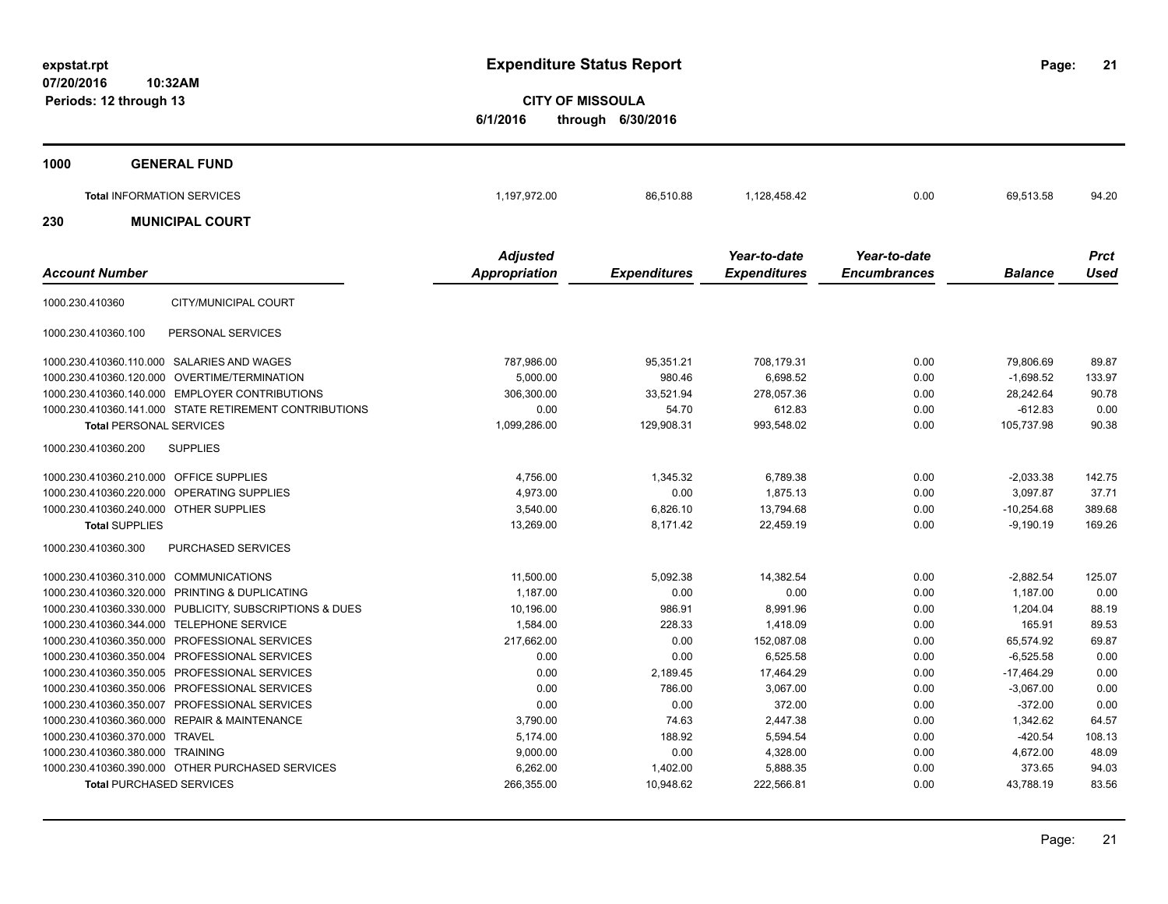**21**

**CITY OF MISSOULA 6/1/2016 through 6/30/2016**

| 1000 | <b>GENERAL FUND</b>               |                                         |                     |                                     |                                     |                |                     |
|------|-----------------------------------|-----------------------------------------|---------------------|-------------------------------------|-------------------------------------|----------------|---------------------|
|      | <b>Total INFORMATION SERVICES</b> | 197,972.00                              | 86,510.88           | 1,128,458.42                        | 0.00                                | 69,513.58      | 94.20               |
| 230  | <b>MUNICIPAL COURT</b>            |                                         |                     |                                     |                                     |                |                     |
|      | <b>Account Number</b>             | <b>Adjusted</b><br><b>Appropriation</b> | <b>Expenditures</b> | Year-to-date<br><b>Expenditures</b> | Year-to-date<br><b>Encumbrances</b> | <b>Balance</b> | <b>Prct</b><br>Used |

|                                         |                                                        | . .<br>- 11  |            |            |      |              |        |
|-----------------------------------------|--------------------------------------------------------|--------------|------------|------------|------|--------------|--------|
| 1000.230.410360                         | CITY/MUNICIPAL COURT                                   |              |            |            |      |              |        |
| 1000.230.410360.100                     | PERSONAL SERVICES                                      |              |            |            |      |              |        |
|                                         | 1000.230.410360.110.000 SALARIES AND WAGES             | 787,986.00   | 95,351.21  | 708.179.31 | 0.00 | 79,806.69    | 89.87  |
| 1000.230.410360.120.000                 | <b>OVERTIME/TERMINATION</b>                            | 5,000.00     | 980.46     | 6,698.52   | 0.00 | $-1,698.52$  | 133.97 |
| 1000.230.410360.140.000                 | <b>EMPLOYER CONTRIBUTIONS</b>                          | 306,300.00   | 33,521.94  | 278.057.36 | 0.00 | 28.242.64    | 90.78  |
|                                         | 1000.230.410360.141.000 STATE RETIREMENT CONTRIBUTIONS | 0.00         | 54.70      | 612.83     | 0.00 | $-612.83$    | 0.00   |
| <b>Total PERSONAL SERVICES</b>          |                                                        | 1,099,286.00 | 129,908.31 | 993,548.02 | 0.00 | 105,737.98   | 90.38  |
| 1000.230.410360.200                     | <b>SUPPLIES</b>                                        |              |            |            |      |              |        |
| 1000.230.410360.210.000 OFFICE SUPPLIES |                                                        | 4.756.00     | 1,345.32   | 6,789.38   | 0.00 | $-2.033.38$  | 142.75 |
|                                         | 1000.230.410360.220.000 OPERATING SUPPLIES             | 4,973.00     | 0.00       | 1.875.13   | 0.00 | 3.097.87     | 37.71  |
| 1000.230.410360.240.000 OTHER SUPPLIES  |                                                        | 3,540.00     | 6,826.10   | 13,794.68  | 0.00 | $-10,254.68$ | 389.68 |
| <b>Total SUPPLIES</b>                   |                                                        | 13,269.00    | 8,171.42   | 22,459.19  | 0.00 | $-9,190.19$  | 169.26 |
| 1000.230.410360.300                     | <b>PURCHASED SERVICES</b>                              |              |            |            |      |              |        |
| 1000.230.410360.310.000 COMMUNICATIONS  |                                                        | 11,500.00    | 5,092.38   | 14,382.54  | 0.00 | $-2.882.54$  | 125.07 |
| 1000.230.410360.320.000                 | PRINTING & DUPLICATING                                 | 1,187.00     | 0.00       | 0.00       | 0.00 | 1,187.00     | 0.00   |
| 1000.230.410360.330.000                 | PUBLICITY, SUBSCRIPTIONS & DUES                        | 10,196.00    | 986.91     | 8,991.96   | 0.00 | 1,204.04     | 88.19  |
| 1000.230.410360.344.000                 | <b>TELEPHONE SERVICE</b>                               | 1.584.00     | 228.33     | 1.418.09   | 0.00 | 165.91       | 89.53  |
| 1000.230.410360.350.000                 | <b>PROFESSIONAL SERVICES</b>                           | 217,662.00   | 0.00       | 152,087.08 | 0.00 | 65.574.92    | 69.87  |
| 1000.230.410360.350.004                 | PROFESSIONAL SERVICES                                  | 0.00         | 0.00       | 6,525.58   | 0.00 | $-6,525.58$  | 0.00   |
| 1000.230.410360.350.005                 | PROFESSIONAL SERVICES                                  | 0.00         | 2,189.45   | 17,464.29  | 0.00 | $-17,464.29$ | 0.00   |
| 1000.230.410360.350.006                 | PROFESSIONAL SERVICES                                  | 0.00         | 786.00     | 3,067.00   | 0.00 | $-3,067.00$  | 0.00   |
| 1000.230.410360.350.007                 | <b>PROFESSIONAL SERVICES</b>                           | 0.00         | 0.00       | 372.00     | 0.00 | $-372.00$    | 0.00   |
| 1000.230.410360.360.000                 | <b>REPAIR &amp; MAINTENANCE</b>                        | 3.790.00     | 74.63      | 2,447.38   | 0.00 | 1,342.62     | 64.57  |
| 1000.230.410360.370.000                 | <b>TRAVEL</b>                                          | 5,174.00     | 188.92     | 5,594.54   | 0.00 | $-420.54$    | 108.13 |
| 1000.230.410360.380.000 TRAINING        |                                                        | 9,000.00     | 0.00       | 4,328.00   | 0.00 | 4,672.00     | 48.09  |
|                                         | 1000.230.410360.390.000 OTHER PURCHASED SERVICES       | 6,262.00     | 1,402.00   | 5,888.35   | 0.00 | 373.65       | 94.03  |
| <b>Total PURCHASED SERVICES</b>         |                                                        | 266,355.00   | 10.948.62  | 222,566.81 | 0.00 | 43,788.19    | 83.56  |
|                                         |                                                        |              |            |            |      |              |        |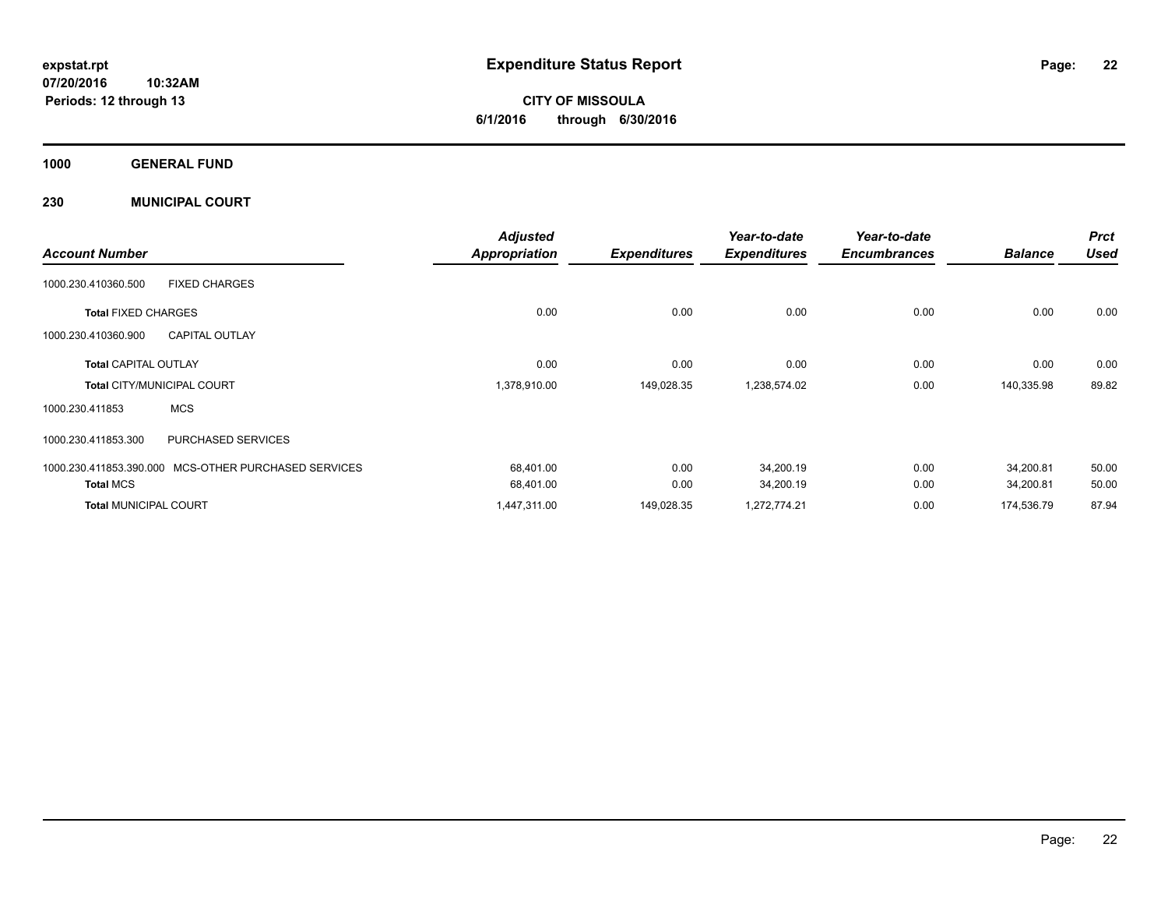**CITY OF MISSOULA 6/1/2016 through 6/30/2016**

**1000 GENERAL FUND**

**230 MUNICIPAL COURT**

|                              |                              | <b>Adjusted</b>      |                     | Year-to-date        | Year-to-date        |                | <b>Prct</b> |
|------------------------------|------------------------------|----------------------|---------------------|---------------------|---------------------|----------------|-------------|
| <b>Account Number</b>        |                              | <b>Appropriation</b> | <b>Expenditures</b> | <b>Expenditures</b> | <b>Encumbrances</b> | <b>Balance</b> | <b>Used</b> |
| 1000.230.410360.500          | <b>FIXED CHARGES</b>         |                      |                     |                     |                     |                |             |
| <b>Total FIXED CHARGES</b>   |                              | 0.00                 | 0.00                | 0.00                | 0.00                | 0.00           | 0.00        |
| 1000.230.410360.900          | <b>CAPITAL OUTLAY</b>        |                      |                     |                     |                     |                |             |
| <b>Total CAPITAL OUTLAY</b>  |                              | 0.00                 | 0.00                | 0.00                | 0.00                | 0.00           | 0.00        |
|                              | Total CITY/MUNICIPAL COURT   | 1,378,910.00         | 149,028.35          | 1,238,574.02        | 0.00                | 140,335.98     | 89.82       |
| 1000.230.411853              | <b>MCS</b>                   |                      |                     |                     |                     |                |             |
| 1000.230.411853.300          | <b>PURCHASED SERVICES</b>    |                      |                     |                     |                     |                |             |
| 1000.230.411853.390.000      | MCS-OTHER PURCHASED SERVICES | 68,401.00            | 0.00                | 34,200.19           | 0.00                | 34.200.81      | 50.00       |
| <b>Total MCS</b>             |                              | 68,401.00            | 0.00                | 34,200.19           | 0.00                | 34,200.81      | 50.00       |
| <b>Total MUNICIPAL COURT</b> |                              | 1,447,311.00         | 149,028.35          | 1,272,774.21        | 0.00                | 174,536.79     | 87.94       |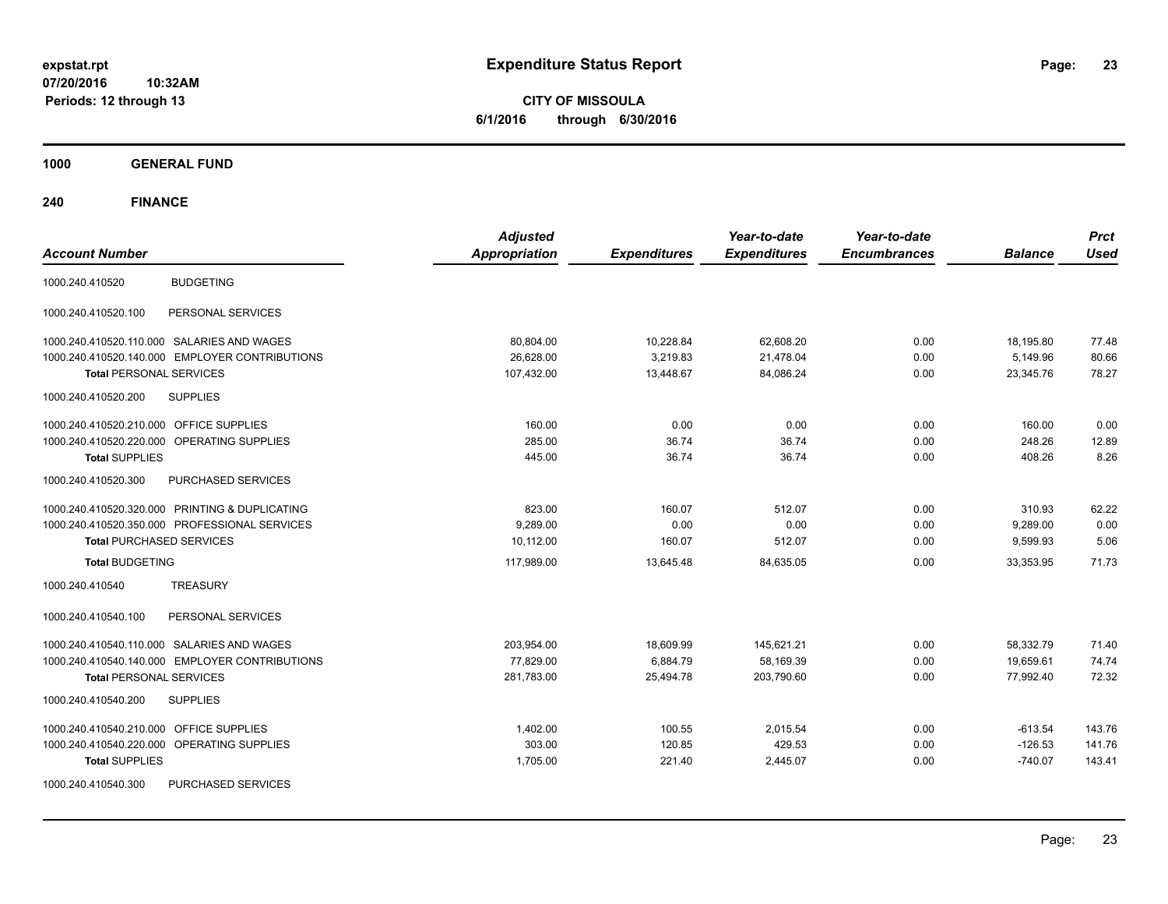**CITY OF MISSOULA 6/1/2016 through 6/30/2016**

**1000 GENERAL FUND**

| <b>Account Number</b>                                | <b>Adjusted</b><br><b>Appropriation</b> | <b>Expenditures</b> | Year-to-date<br><b>Expenditures</b> | Year-to-date<br><b>Encumbrances</b> | <b>Balance</b> | <b>Prct</b><br><b>Used</b> |
|------------------------------------------------------|-----------------------------------------|---------------------|-------------------------------------|-------------------------------------|----------------|----------------------------|
| <b>BUDGETING</b><br>1000.240.410520                  |                                         |                     |                                     |                                     |                |                            |
| 1000.240.410520.100<br>PERSONAL SERVICES             |                                         |                     |                                     |                                     |                |                            |
| 1000.240.410520.110.000 SALARIES AND WAGES           | 80,804.00                               | 10,228.84           | 62,608.20                           | 0.00                                | 18,195.80      | 77.48                      |
| 1000.240.410520.140.000 EMPLOYER CONTRIBUTIONS       | 26,628.00                               | 3,219.83            | 21,478.04                           | 0.00                                | 5,149.96       | 80.66                      |
| <b>Total PERSONAL SERVICES</b>                       | 107,432.00                              | 13,448.67           | 84,086.24                           | 0.00                                | 23,345.76      | 78.27                      |
| 1000.240.410520.200<br><b>SUPPLIES</b>               |                                         |                     |                                     |                                     |                |                            |
| OFFICE SUPPLIES<br>1000.240.410520.210.000           | 160.00                                  | 0.00                | 0.00                                | 0.00                                | 160.00         | 0.00                       |
| 1000.240.410520.220.000<br><b>OPERATING SUPPLIES</b> | 285.00                                  | 36.74               | 36.74                               | 0.00                                | 248.26         | 12.89                      |
| <b>Total SUPPLIES</b>                                | 445.00                                  | 36.74               | 36.74                               | 0.00                                | 408.26         | 8.26                       |
| 1000.240.410520.300<br>PURCHASED SERVICES            |                                         |                     |                                     |                                     |                |                            |
| 1000.240.410520.320.000 PRINTING & DUPLICATING       | 823.00                                  | 160.07              | 512.07                              | 0.00                                | 310.93         | 62.22                      |
| 1000.240.410520.350.000 PROFESSIONAL SERVICES        | 9,289.00                                | 0.00                | 0.00                                | 0.00                                | 9,289.00       | 0.00                       |
| <b>Total PURCHASED SERVICES</b>                      | 10,112.00                               | 160.07              | 512.07                              | 0.00                                | 9,599.93       | 5.06                       |
| <b>Total BUDGETING</b>                               | 117,989.00                              | 13,645.48           | 84,635.05                           | 0.00                                | 33,353.95      | 71.73                      |
| <b>TREASURY</b><br>1000.240.410540                   |                                         |                     |                                     |                                     |                |                            |
| 1000.240.410540.100<br>PERSONAL SERVICES             |                                         |                     |                                     |                                     |                |                            |
| 1000.240.410540.110.000 SALARIES AND WAGES           | 203,954.00                              | 18,609.99           | 145,621.21                          | 0.00                                | 58,332.79      | 71.40                      |
| 1000.240.410540.140.000 EMPLOYER CONTRIBUTIONS       | 77,829.00                               | 6,884.79            | 58,169.39                           | 0.00                                | 19,659.61      | 74.74                      |
| <b>Total PERSONAL SERVICES</b>                       | 281,783.00                              | 25,494.78           | 203,790.60                          | 0.00                                | 77,992.40      | 72.32                      |
| <b>SUPPLIES</b><br>1000.240.410540.200               |                                         |                     |                                     |                                     |                |                            |
| <b>OFFICE SUPPLIES</b><br>1000.240.410540.210.000    | 1,402.00                                | 100.55              | 2,015.54                            | 0.00                                | $-613.54$      | 143.76                     |
| OPERATING SUPPLIES<br>1000.240.410540.220.000        | 303.00                                  | 120.85              | 429.53                              | 0.00                                | $-126.53$      | 141.76                     |
| <b>Total SUPPLIES</b>                                | 1,705.00                                | 221.40              | 2,445.07                            | 0.00                                | $-740.07$      | 143.41                     |
| PURCHASED SERVICES<br>1000.240.410540.300            |                                         |                     |                                     |                                     |                |                            |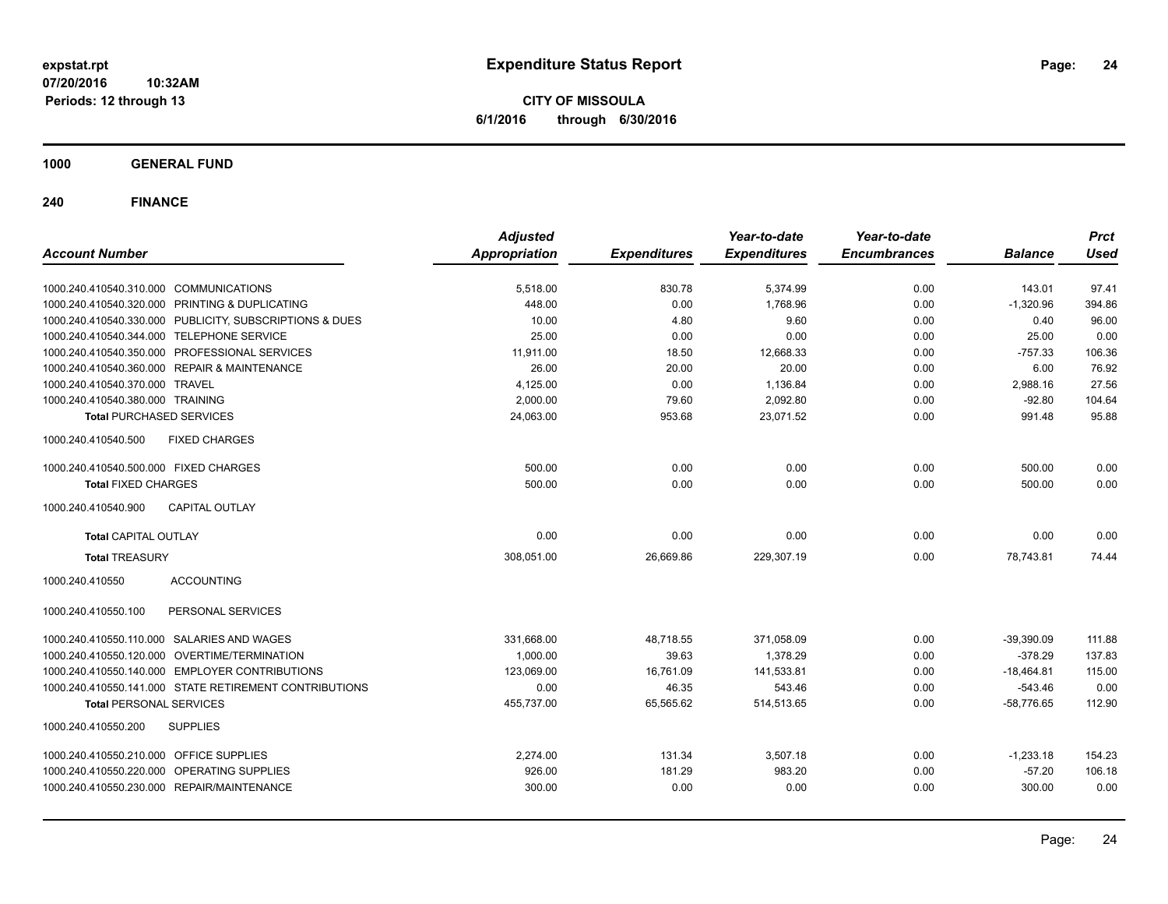**CITY OF MISSOULA 6/1/2016 through 6/30/2016**

**1000 GENERAL FUND**

| <b>Account Number</b>                                   | <b>Adjusted</b><br><b>Appropriation</b> | <b>Expenditures</b> | Year-to-date<br><b>Expenditures</b> | Year-to-date<br><b>Encumbrances</b> | <b>Balance</b> | <b>Prct</b><br><b>Used</b> |
|---------------------------------------------------------|-----------------------------------------|---------------------|-------------------------------------|-------------------------------------|----------------|----------------------------|
|                                                         |                                         |                     |                                     |                                     |                |                            |
| 1000.240.410540.310.000 COMMUNICATIONS                  | 5,518.00                                | 830.78              | 5,374.99                            | 0.00                                | 143.01         | 97.41                      |
| 1000.240.410540.320.000 PRINTING & DUPLICATING          | 448.00                                  | 0.00                | 1,768.96                            | 0.00                                | $-1,320.96$    | 394.86                     |
| 1000.240.410540.330.000 PUBLICITY, SUBSCRIPTIONS & DUES | 10.00                                   | 4.80                | 9.60                                | 0.00                                | 0.40           | 96.00                      |
| 1000.240.410540.344.000 TELEPHONE SERVICE               | 25.00                                   | 0.00                | 0.00                                | 0.00                                | 25.00          | 0.00                       |
| 1000.240.410540.350.000 PROFESSIONAL SERVICES           | 11.911.00                               | 18.50               | 12,668.33                           | 0.00                                | $-757.33$      | 106.36                     |
| 1000.240.410540.360.000 REPAIR & MAINTENANCE            | 26.00                                   | 20.00               | 20.00                               | 0.00                                | 6.00           | 76.92                      |
| 1000.240.410540.370.000 TRAVEL                          | 4,125.00                                | 0.00                | 1,136.84                            | 0.00                                | 2,988.16       | 27.56                      |
| 1000.240.410540.380.000 TRAINING                        | 2,000.00                                | 79.60               | 2,092.80                            | 0.00                                | $-92.80$       | 104.64                     |
| <b>Total PURCHASED SERVICES</b>                         | 24,063.00                               | 953.68              | 23,071.52                           | 0.00                                | 991.48         | 95.88                      |
| <b>FIXED CHARGES</b><br>1000.240.410540.500             |                                         |                     |                                     |                                     |                |                            |
| 1000.240.410540.500.000 FIXED CHARGES                   | 500.00                                  | 0.00                | 0.00                                | 0.00                                | 500.00         | 0.00                       |
| <b>Total FIXED CHARGES</b>                              | 500.00                                  | 0.00                | 0.00                                | 0.00                                | 500.00         | 0.00                       |
| <b>CAPITAL OUTLAY</b><br>1000.240.410540.900            |                                         |                     |                                     |                                     |                |                            |
| <b>Total CAPITAL OUTLAY</b>                             | 0.00                                    | 0.00                | 0.00                                | 0.00                                | 0.00           | 0.00                       |
| <b>Total TREASURY</b>                                   | 308,051.00                              | 26,669.86           | 229,307.19                          | 0.00                                | 78,743.81      | 74.44                      |
| 1000.240.410550<br><b>ACCOUNTING</b>                    |                                         |                     |                                     |                                     |                |                            |
| 1000.240.410550.100<br>PERSONAL SERVICES                |                                         |                     |                                     |                                     |                |                            |
| 1000.240.410550.110.000 SALARIES AND WAGES              | 331,668.00                              | 48,718.55           | 371,058.09                          | 0.00                                | $-39,390.09$   | 111.88                     |
| 1000.240.410550.120.000 OVERTIME/TERMINATION            | 1,000.00                                | 39.63               | 1,378.29                            | 0.00                                | $-378.29$      | 137.83                     |
| 1000.240.410550.140.000 EMPLOYER CONTRIBUTIONS          | 123,069.00                              | 16,761.09           | 141,533.81                          | 0.00                                | $-18,464.81$   | 115.00                     |
| 1000.240.410550.141.000 STATE RETIREMENT CONTRIBUTIONS  | 0.00                                    | 46.35               | 543.46                              | 0.00                                | $-543.46$      | 0.00                       |
| <b>Total PERSONAL SERVICES</b>                          | 455,737.00                              | 65,565.62           | 514,513.65                          | 0.00                                | $-58,776.65$   | 112.90                     |
| 1000.240.410550.200<br><b>SUPPLIES</b>                  |                                         |                     |                                     |                                     |                |                            |
| 1000.240.410550.210.000 OFFICE SUPPLIES                 | 2,274.00                                | 131.34              | 3,507.18                            | 0.00                                | $-1,233.18$    | 154.23                     |
| 1000.240.410550.220.000 OPERATING SUPPLIES              | 926.00                                  | 181.29              | 983.20                              | 0.00                                | $-57.20$       | 106.18                     |
| 1000.240.410550.230.000 REPAIR/MAINTENANCE              | 300.00                                  | 0.00                | 0.00                                | 0.00                                | 300.00         | 0.00                       |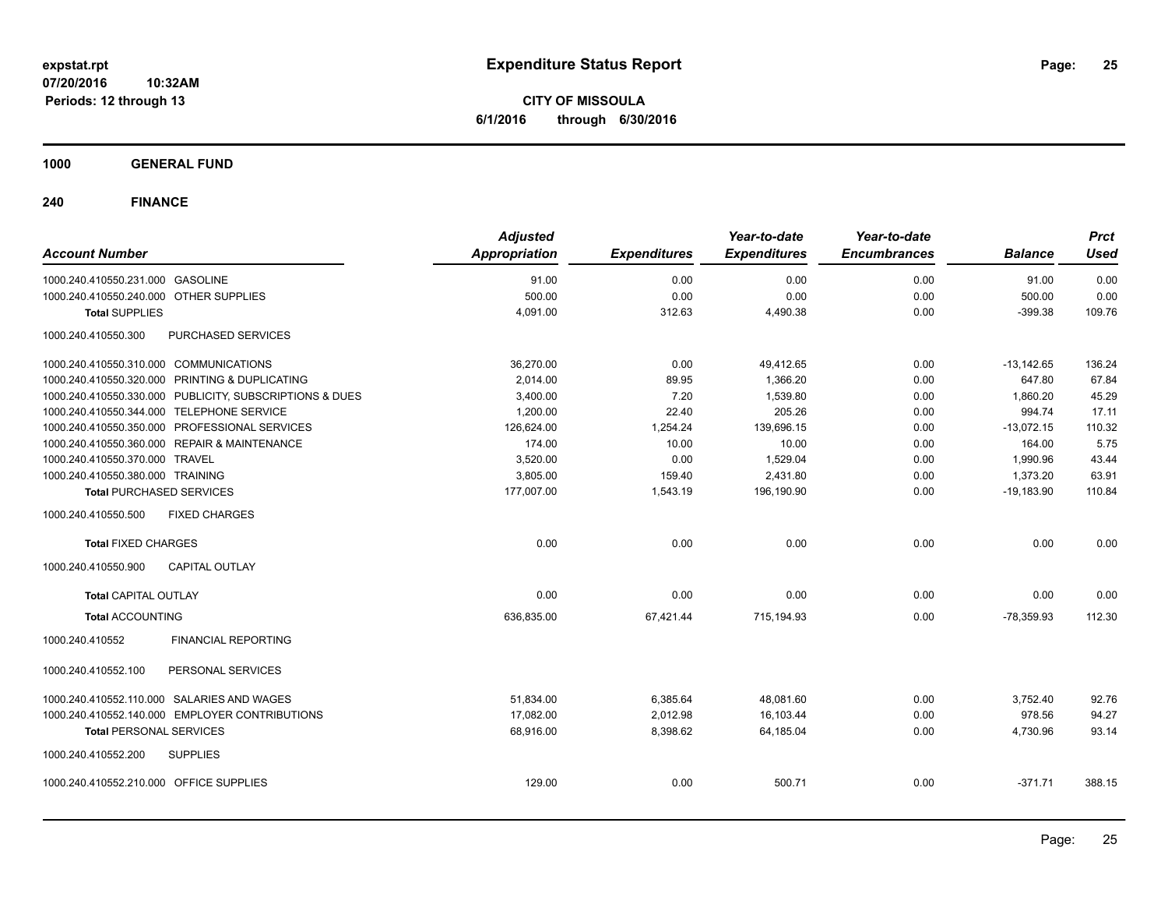**CITY OF MISSOULA 6/1/2016 through 6/30/2016**

### **1000 GENERAL FUND**

|                                            |                                                         | <b>Adjusted</b> |                     | Year-to-date        | Year-to-date        |                | <b>Prct</b> |
|--------------------------------------------|---------------------------------------------------------|-----------------|---------------------|---------------------|---------------------|----------------|-------------|
| <b>Account Number</b>                      |                                                         | Appropriation   | <b>Expenditures</b> | <b>Expenditures</b> | <b>Encumbrances</b> | <b>Balance</b> | Used        |
| 1000.240.410550.231.000 GASOLINE           |                                                         | 91.00           | 0.00                | 0.00                | 0.00                | 91.00          | 0.00        |
| 1000.240.410550.240.000 OTHER SUPPLIES     |                                                         | 500.00          | 0.00                | 0.00                | 0.00                | 500.00         | 0.00        |
| <b>Total SUPPLIES</b>                      |                                                         | 4,091.00        | 312.63              | 4,490.38            | 0.00                | $-399.38$      | 109.76      |
| 1000.240.410550.300                        | PURCHASED SERVICES                                      |                 |                     |                     |                     |                |             |
| 1000.240.410550.310.000 COMMUNICATIONS     |                                                         | 36,270.00       | 0.00                | 49,412.65           | 0.00                | $-13,142.65$   | 136.24      |
|                                            | 1000.240.410550.320.000 PRINTING & DUPLICATING          | 2,014.00        | 89.95               | 1,366.20            | 0.00                | 647.80         | 67.84       |
|                                            | 1000.240.410550.330.000 PUBLICITY, SUBSCRIPTIONS & DUES | 3,400.00        | 7.20                | 1,539.80            | 0.00                | 1,860.20       | 45.29       |
| 1000.240.410550.344.000 TELEPHONE SERVICE  |                                                         | 1,200.00        | 22.40               | 205.26              | 0.00                | 994.74         | 17.11       |
|                                            | 1000.240.410550.350.000 PROFESSIONAL SERVICES           | 126,624.00      | 1,254.24            | 139,696.15          | 0.00                | $-13,072.15$   | 110.32      |
|                                            | 1000.240.410550.360.000 REPAIR & MAINTENANCE            | 174.00          | 10.00               | 10.00               | 0.00                | 164.00         | 5.75        |
| 1000.240.410550.370.000 TRAVEL             |                                                         | 3,520.00        | 0.00                | 1,529.04            | 0.00                | 1,990.96       | 43.44       |
| 1000.240.410550.380.000 TRAINING           |                                                         | 3,805.00        | 159.40              | 2,431.80            | 0.00                | 1,373.20       | 63.91       |
| <b>Total PURCHASED SERVICES</b>            |                                                         | 177,007.00      | 1,543.19            | 196,190.90          | 0.00                | $-19,183.90$   | 110.84      |
| 1000.240.410550.500                        | <b>FIXED CHARGES</b>                                    |                 |                     |                     |                     |                |             |
| <b>Total FIXED CHARGES</b>                 |                                                         | 0.00            | 0.00                | 0.00                | 0.00                | 0.00           | 0.00        |
| 1000.240.410550.900                        | <b>CAPITAL OUTLAY</b>                                   |                 |                     |                     |                     |                |             |
| <b>Total CAPITAL OUTLAY</b>                |                                                         | 0.00            | 0.00                | 0.00                | 0.00                | 0.00           | 0.00        |
| <b>Total ACCOUNTING</b>                    |                                                         | 636,835.00      | 67,421.44           | 715,194.93          | 0.00                | $-78,359.93$   | 112.30      |
| 1000.240.410552                            | <b>FINANCIAL REPORTING</b>                              |                 |                     |                     |                     |                |             |
| 1000.240.410552.100                        | PERSONAL SERVICES                                       |                 |                     |                     |                     |                |             |
| 1000.240.410552.110.000 SALARIES AND WAGES |                                                         | 51,834.00       | 6,385.64            | 48,081.60           | 0.00                | 3,752.40       | 92.76       |
|                                            | 1000.240.410552.140.000 EMPLOYER CONTRIBUTIONS          | 17,082.00       | 2,012.98            | 16,103.44           | 0.00                | 978.56         | 94.27       |
| <b>Total PERSONAL SERVICES</b>             |                                                         | 68,916.00       | 8,398.62            | 64.185.04           | 0.00                | 4,730.96       | 93.14       |
| 1000.240.410552.200                        | <b>SUPPLIES</b>                                         |                 |                     |                     |                     |                |             |
| 1000.240.410552.210.000 OFFICE SUPPLIES    |                                                         | 129.00          | 0.00                | 500.71              | 0.00                | $-371.71$      | 388.15      |
|                                            |                                                         |                 |                     |                     |                     |                |             |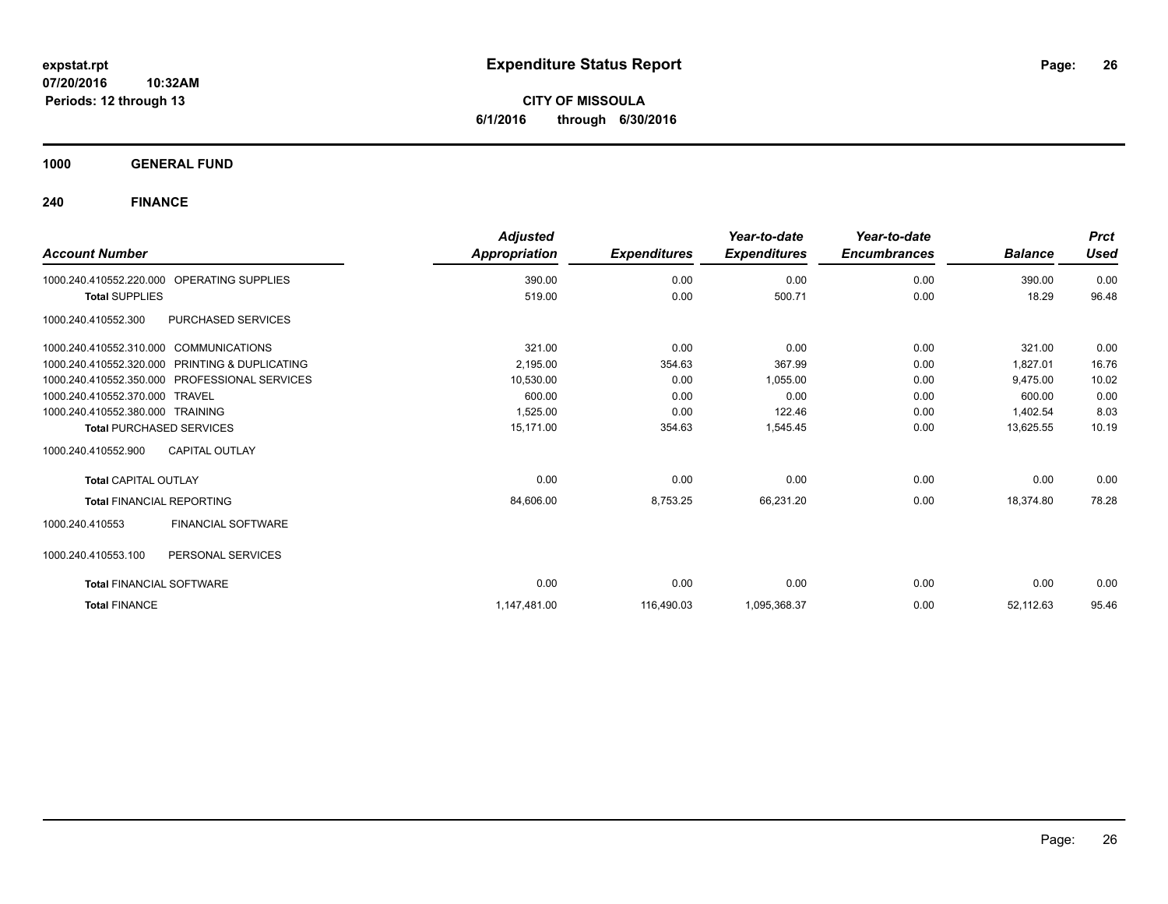**CITY OF MISSOULA 6/1/2016 through 6/30/2016**

**1000 GENERAL FUND**

|                                        |                                                | <b>Adjusted</b> |                     | Year-to-date        | Year-to-date        |                | <b>Prct</b> |
|----------------------------------------|------------------------------------------------|-----------------|---------------------|---------------------|---------------------|----------------|-------------|
| <b>Account Number</b>                  |                                                | Appropriation   | <b>Expenditures</b> | <b>Expenditures</b> | <b>Encumbrances</b> | <b>Balance</b> | <b>Used</b> |
| 1000.240.410552.220.000                | <b>OPERATING SUPPLIES</b>                      | 390.00          | 0.00                | 0.00                | 0.00                | 390.00         | 0.00        |
| <b>Total SUPPLIES</b>                  |                                                | 519.00          | 0.00                | 500.71              | 0.00                | 18.29          | 96.48       |
| 1000.240.410552.300                    | PURCHASED SERVICES                             |                 |                     |                     |                     |                |             |
| 1000.240.410552.310.000 COMMUNICATIONS |                                                | 321.00          | 0.00                | 0.00                | 0.00                | 321.00         | 0.00        |
|                                        | 1000.240.410552.320.000 PRINTING & DUPLICATING | 2.195.00        | 354.63              | 367.99              | 0.00                | 1.827.01       | 16.76       |
|                                        | 1000.240.410552.350.000 PROFESSIONAL SERVICES  | 10,530.00       | 0.00                | 1,055.00            | 0.00                | 9,475.00       | 10.02       |
| 1000.240.410552.370.000 TRAVEL         |                                                | 600.00          | 0.00                | 0.00                | 0.00                | 600.00         | 0.00        |
| 1000.240.410552.380.000 TRAINING       |                                                | 1,525.00        | 0.00                | 122.46              | 0.00                | 1,402.54       | 8.03        |
| <b>Total PURCHASED SERVICES</b>        |                                                | 15.171.00       | 354.63              | 1,545.45            | 0.00                | 13,625.55      | 10.19       |
| 1000.240.410552.900                    | CAPITAL OUTLAY                                 |                 |                     |                     |                     |                |             |
| <b>Total CAPITAL OUTLAY</b>            |                                                | 0.00            | 0.00                | 0.00                | 0.00                | 0.00           | 0.00        |
| <b>Total FINANCIAL REPORTING</b>       |                                                | 84,606.00       | 8,753.25            | 66,231.20           | 0.00                | 18,374.80      | 78.28       |
| 1000.240.410553                        | <b>FINANCIAL SOFTWARE</b>                      |                 |                     |                     |                     |                |             |
| 1000.240.410553.100                    | PERSONAL SERVICES                              |                 |                     |                     |                     |                |             |
| <b>Total FINANCIAL SOFTWARE</b>        |                                                | 0.00            | 0.00                | 0.00                | 0.00                | 0.00           | 0.00        |
| <b>Total FINANCE</b>                   |                                                | 1,147,481.00    | 116,490.03          | 1,095,368.37        | 0.00                | 52,112.63      | 95.46       |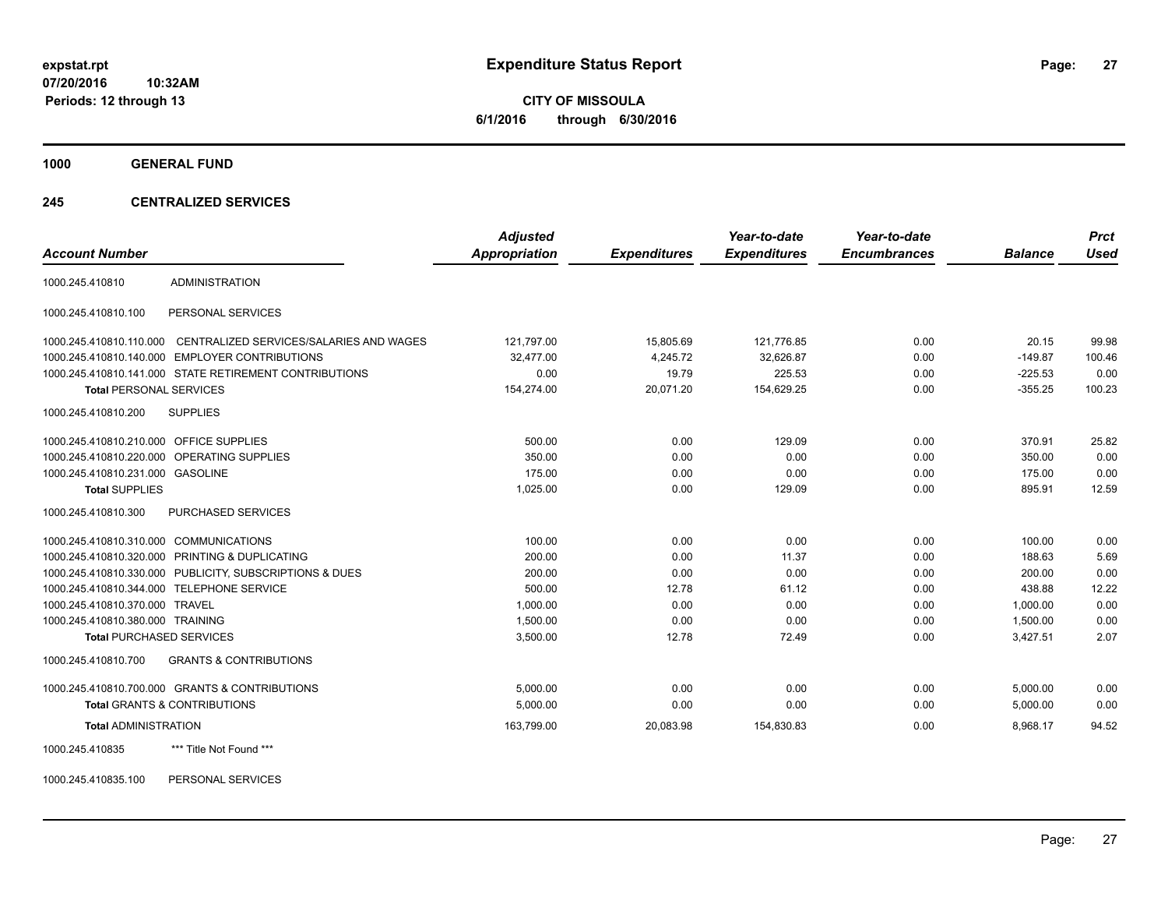**CITY OF MISSOULA 6/1/2016 through 6/30/2016**

**1000 GENERAL FUND**

### **245 CENTRALIZED SERVICES**

| <b>Account Number</b>                   |                                                         | <b>Adjusted</b><br>Appropriation | <b>Expenditures</b> | Year-to-date<br><b>Expenditures</b> | Year-to-date<br><b>Encumbrances</b> | <b>Balance</b> | <b>Prct</b><br><b>Used</b> |
|-----------------------------------------|---------------------------------------------------------|----------------------------------|---------------------|-------------------------------------|-------------------------------------|----------------|----------------------------|
| 1000.245.410810                         | <b>ADMINISTRATION</b>                                   |                                  |                     |                                     |                                     |                |                            |
| 1000.245.410810.100                     | PERSONAL SERVICES                                       |                                  |                     |                                     |                                     |                |                            |
| 1000.245.410810.110.000                 | CENTRALIZED SERVICES/SALARIES AND WAGES                 | 121,797.00                       | 15,805.69           | 121.776.85                          | 0.00                                | 20.15          | 99.98                      |
|                                         | 1000.245.410810.140.000 EMPLOYER CONTRIBUTIONS          | 32.477.00                        | 4,245.72            | 32,626.87                           | 0.00                                | $-149.87$      | 100.46                     |
|                                         | 1000.245.410810.141.000 STATE RETIREMENT CONTRIBUTIONS  | 0.00                             | 19.79               | 225.53                              | 0.00                                | $-225.53$      | 0.00                       |
| <b>Total PERSONAL SERVICES</b>          |                                                         | 154,274.00                       | 20,071.20           | 154,629.25                          | 0.00                                | $-355.25$      | 100.23                     |
| 1000.245.410810.200                     | <b>SUPPLIES</b>                                         |                                  |                     |                                     |                                     |                |                            |
| 1000.245.410810.210.000 OFFICE SUPPLIES |                                                         | 500.00                           | 0.00                | 129.09                              | 0.00                                | 370.91         | 25.82                      |
|                                         | 1000.245.410810.220.000 OPERATING SUPPLIES              | 350.00                           | 0.00                | 0.00                                | 0.00                                | 350.00         | 0.00                       |
| 1000.245.410810.231.000 GASOLINE        |                                                         | 175.00                           | 0.00                | 0.00                                | 0.00                                | 175.00         | 0.00                       |
| <b>Total SUPPLIES</b>                   |                                                         | 1,025.00                         | 0.00                | 129.09                              | 0.00                                | 895.91         | 12.59                      |
| 1000.245.410810.300                     | PURCHASED SERVICES                                      |                                  |                     |                                     |                                     |                |                            |
| 1000.245.410810.310.000 COMMUNICATIONS  |                                                         | 100.00                           | 0.00                | 0.00                                | 0.00                                | 100.00         | 0.00                       |
| 1000.245.410810.320.000                 | PRINTING & DUPLICATING                                  | 200.00                           | 0.00                | 11.37                               | 0.00                                | 188.63         | 5.69                       |
|                                         | 1000.245.410810.330.000 PUBLICITY, SUBSCRIPTIONS & DUES | 200.00                           | 0.00                | 0.00                                | 0.00                                | 200.00         | 0.00                       |
|                                         | 1000.245.410810.344.000 TELEPHONE SERVICE               | 500.00                           | 12.78               | 61.12                               | 0.00                                | 438.88         | 12.22                      |
| 1000.245.410810.370.000                 | <b>TRAVEL</b>                                           | 1.000.00                         | 0.00                | 0.00                                | 0.00                                | 1.000.00       | 0.00                       |
| 1000.245.410810.380.000 TRAINING        |                                                         | 1,500.00                         | 0.00                | 0.00                                | 0.00                                | 1,500.00       | 0.00                       |
| <b>Total PURCHASED SERVICES</b>         |                                                         | 3,500.00                         | 12.78               | 72.49                               | 0.00                                | 3,427.51       | 2.07                       |
| 1000.245.410810.700                     | <b>GRANTS &amp; CONTRIBUTIONS</b>                       |                                  |                     |                                     |                                     |                |                            |
|                                         | 1000.245.410810.700.000 GRANTS & CONTRIBUTIONS          | 5,000.00                         | 0.00                | 0.00                                | 0.00                                | 5,000.00       | 0.00                       |
|                                         | <b>Total GRANTS &amp; CONTRIBUTIONS</b>                 | 5,000.00                         | 0.00                | 0.00                                | 0.00                                | 5,000.00       | 0.00                       |
| <b>Total ADMINISTRATION</b>             |                                                         | 163,799.00                       | 20,083.98           | 154,830.83                          | 0.00                                | 8,968.17       | 94.52                      |
| 1000.245.410835                         | *** Title Not Found ***                                 |                                  |                     |                                     |                                     |                |                            |

1000.245.410835.100 PERSONAL SERVICES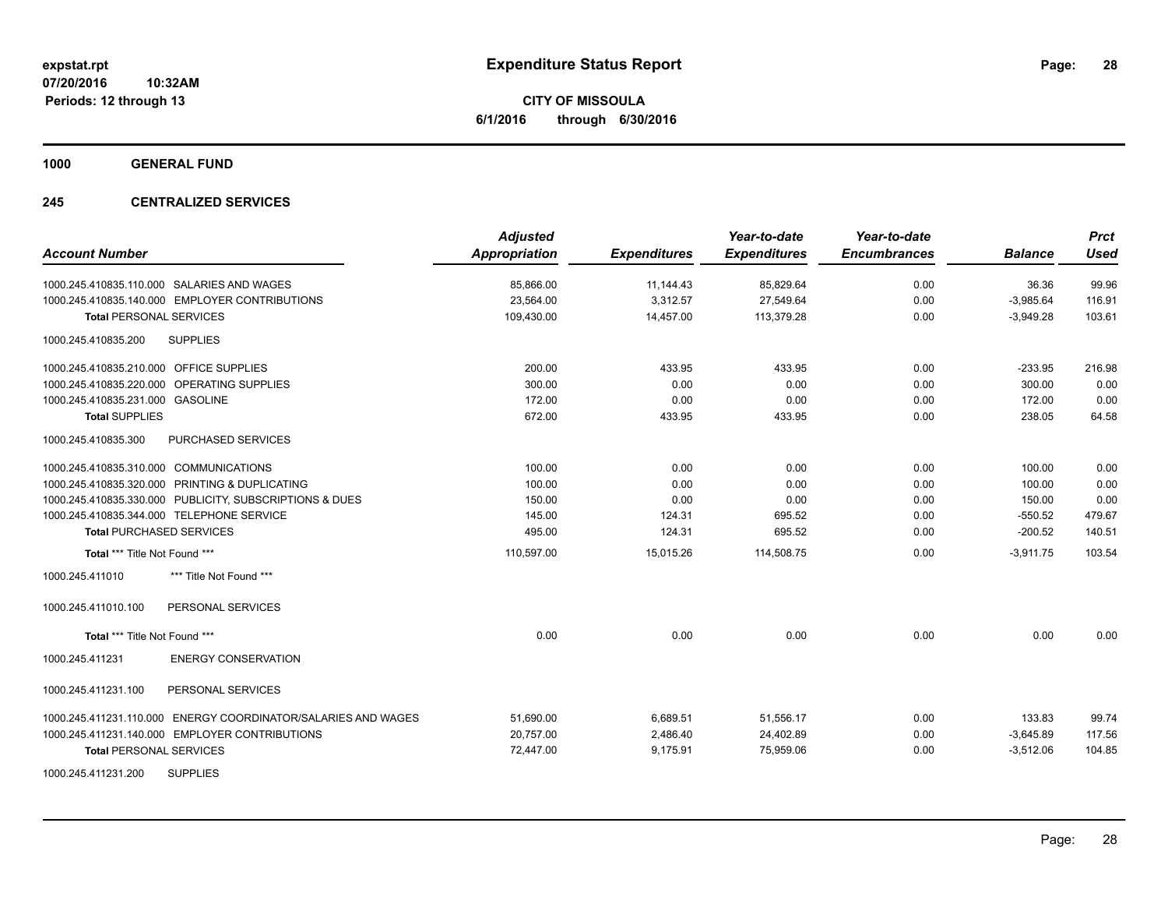**CITY OF MISSOULA 6/1/2016 through 6/30/2016**

**1000 GENERAL FUND**

### **245 CENTRALIZED SERVICES**

| <b>Account Number</b>                                            | <b>Adjusted</b><br><b>Appropriation</b> | <b>Expenditures</b> | Year-to-date<br><b>Expenditures</b> | Year-to-date<br><b>Encumbrances</b> | <b>Balance</b> | <b>Prct</b><br><b>Used</b> |
|------------------------------------------------------------------|-----------------------------------------|---------------------|-------------------------------------|-------------------------------------|----------------|----------------------------|
| 1000.245.410835.110.000 SALARIES AND WAGES                       | 85,866.00                               | 11,144.43           | 85,829.64                           | 0.00                                | 36.36          | 99.96                      |
| 1000.245.410835.140.000 EMPLOYER CONTRIBUTIONS                   | 23,564.00                               | 3,312.57            | 27,549.64                           | 0.00                                | $-3,985.64$    | 116.91                     |
| <b>Total PERSONAL SERVICES</b>                                   | 109,430.00                              | 14,457.00           | 113,379.28                          | 0.00                                | $-3,949.28$    | 103.61                     |
| <b>SUPPLIES</b><br>1000.245.410835.200                           |                                         |                     |                                     |                                     |                |                            |
| 1000.245.410835.210.000 OFFICE SUPPLIES                          | 200.00                                  | 433.95              | 433.95                              | 0.00                                | $-233.95$      | 216.98                     |
| 1000.245.410835.220.000 OPERATING SUPPLIES                       | 300.00                                  | 0.00                | 0.00                                | 0.00                                | 300.00         | 0.00                       |
| 1000.245.410835.231.000 GASOLINE                                 | 172.00                                  | 0.00                | 0.00                                | 0.00                                | 172.00         | 0.00                       |
| <b>Total SUPPLIES</b>                                            | 672.00                                  | 433.95              | 433.95                              | 0.00                                | 238.05         | 64.58                      |
| 1000.245.410835.300<br><b>PURCHASED SERVICES</b>                 |                                         |                     |                                     |                                     |                |                            |
| 1000.245.410835.310.000 COMMUNICATIONS                           | 100.00                                  | 0.00                | 0.00                                | 0.00                                | 100.00         | 0.00                       |
| 1000.245.410835.320.000 PRINTING & DUPLICATING                   | 100.00                                  | 0.00                | 0.00                                | 0.00                                | 100.00         | 0.00                       |
| 1000.245.410835.330.000 PUBLICITY, SUBSCRIPTIONS & DUES          | 150.00                                  | 0.00                | 0.00                                | 0.00                                | 150.00         | 0.00                       |
| 1000.245.410835.344.000 TELEPHONE SERVICE                        | 145.00                                  | 124.31              | 695.52                              | 0.00                                | $-550.52$      | 479.67                     |
| <b>Total PURCHASED SERVICES</b>                                  | 495.00                                  | 124.31              | 695.52                              | 0.00                                | $-200.52$      | 140.51                     |
| Total *** Title Not Found ***                                    | 110,597.00                              | 15,015.26           | 114,508.75                          | 0.00                                | $-3,911.75$    | 103.54                     |
| 1000.245.411010<br>*** Title Not Found ***                       |                                         |                     |                                     |                                     |                |                            |
| PERSONAL SERVICES<br>1000.245.411010.100                         |                                         |                     |                                     |                                     |                |                            |
| Total *** Title Not Found ***                                    | 0.00                                    | 0.00                | 0.00                                | 0.00                                | 0.00           | 0.00                       |
| <b>ENERGY CONSERVATION</b><br>1000.245.411231                    |                                         |                     |                                     |                                     |                |                            |
| 1000.245.411231.100<br>PERSONAL SERVICES                         |                                         |                     |                                     |                                     |                |                            |
| ENERGY COORDINATOR/SALARIES AND WAGES<br>1000.245.411231.110.000 | 51,690.00                               | 6,689.51            | 51,556.17                           | 0.00                                | 133.83         | 99.74                      |
| 1000.245.411231.140.000 EMPLOYER CONTRIBUTIONS                   | 20,757.00                               | 2,486.40            | 24,402.89                           | 0.00                                | $-3,645.89$    | 117.56                     |
| <b>Total PERSONAL SERVICES</b>                                   | 72,447.00                               | 9,175.91            | 75,959.06                           | 0.00                                | $-3,512.06$    | 104.85                     |
| <b>SUPPLIES</b><br>1000.245.411231.200                           |                                         |                     |                                     |                                     |                |                            |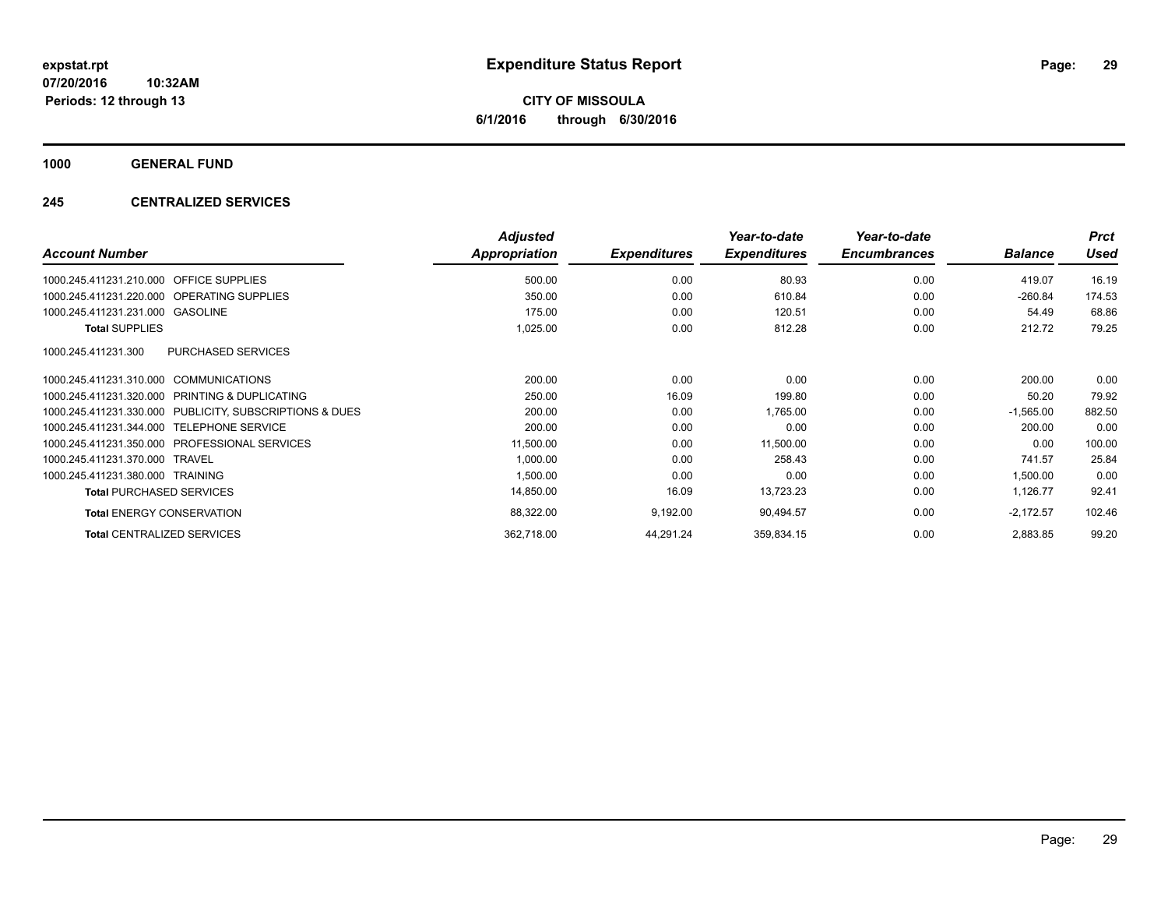**CITY OF MISSOULA 6/1/2016 through 6/30/2016**

**1000 GENERAL FUND**

### **245 CENTRALIZED SERVICES**

| <b>Account Number</b>                                   | <b>Adjusted</b><br>Appropriation | <b>Expenditures</b> | Year-to-date<br><b>Expenditures</b> | Year-to-date<br><b>Encumbrances</b> | <b>Balance</b> | <b>Prct</b><br><b>Used</b> |
|---------------------------------------------------------|----------------------------------|---------------------|-------------------------------------|-------------------------------------|----------------|----------------------------|
|                                                         |                                  |                     |                                     |                                     |                |                            |
| <b>OFFICE SUPPLIES</b><br>1000.245.411231.210.000       | 500.00                           | 0.00                | 80.93                               | 0.00                                | 419.07         | 16.19                      |
| 1000.245.411231.220.000 OPERATING SUPPLIES              | 350.00                           | 0.00                | 610.84                              | 0.00                                | $-260.84$      | 174.53                     |
| 1000.245.411231.231.000 GASOLINE                        | 175.00                           | 0.00                | 120.51                              | 0.00                                | 54.49          | 68.86                      |
| <b>Total SUPPLIES</b>                                   | 1,025.00                         | 0.00                | 812.28                              | 0.00                                | 212.72         | 79.25                      |
| 1000.245.411231.300<br><b>PURCHASED SERVICES</b>        |                                  |                     |                                     |                                     |                |                            |
| 1000.245.411231.310.000 COMMUNICATIONS                  | 200.00                           | 0.00                | 0.00                                | 0.00                                | 200.00         | 0.00                       |
| 1000.245.411231.320.000<br>PRINTING & DUPLICATING       | 250.00                           | 16.09               | 199.80                              | 0.00                                | 50.20          | 79.92                      |
| 1000.245.411231.330.000 PUBLICITY, SUBSCRIPTIONS & DUES | 200.00                           | 0.00                | 1,765.00                            | 0.00                                | $-1,565.00$    | 882.50                     |
| 1000.245.411231.344.000 TELEPHONE SERVICE               | 200.00                           | 0.00                | 0.00                                | 0.00                                | 200.00         | 0.00                       |
| 1000.245.411231.350.000 PROFESSIONAL SERVICES           | 11,500.00                        | 0.00                | 11,500.00                           | 0.00                                | 0.00           | 100.00                     |
| 1000.245.411231.370.000 TRAVEL                          | 1,000.00                         | 0.00                | 258.43                              | 0.00                                | 741.57         | 25.84                      |
| 1000.245.411231.380.000 TRAINING                        | 1,500.00                         | 0.00                | 0.00                                | 0.00                                | 1,500.00       | 0.00                       |
| <b>Total PURCHASED SERVICES</b>                         | 14,850.00                        | 16.09               | 13,723.23                           | 0.00                                | 1,126.77       | 92.41                      |
| <b>Total ENERGY CONSERVATION</b>                        | 88,322.00                        | 9,192.00            | 90,494.57                           | 0.00                                | $-2,172.57$    | 102.46                     |
| <b>Total CENTRALIZED SERVICES</b>                       | 362,718.00                       | 44,291.24           | 359,834.15                          | 0.00                                | 2,883.85       | 99.20                      |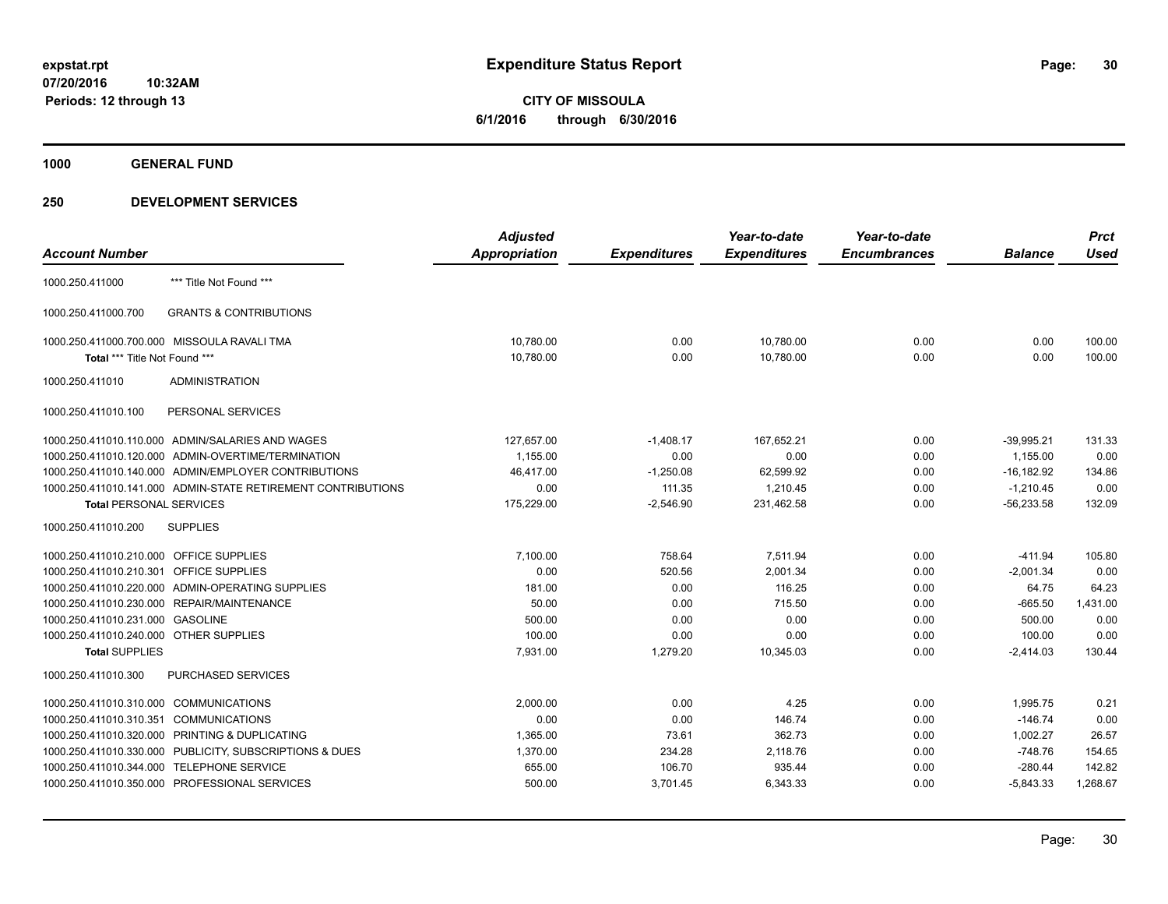**CITY OF MISSOULA 6/1/2016 through 6/30/2016**

**1000 GENERAL FUND**

### **250 DEVELOPMENT SERVICES**

|                                         |                                                              | <b>Adjusted</b>      |                     | Year-to-date        | Year-to-date        |                | <b>Prct</b> |
|-----------------------------------------|--------------------------------------------------------------|----------------------|---------------------|---------------------|---------------------|----------------|-------------|
| <b>Account Number</b>                   |                                                              | <b>Appropriation</b> | <b>Expenditures</b> | <b>Expenditures</b> | <b>Encumbrances</b> | <b>Balance</b> | <b>Used</b> |
| 1000.250.411000                         | *** Title Not Found ***                                      |                      |                     |                     |                     |                |             |
| 1000.250.411000.700                     | <b>GRANTS &amp; CONTRIBUTIONS</b>                            |                      |                     |                     |                     |                |             |
|                                         | 1000.250.411000.700.000 MISSOULA RAVALI TMA                  | 10,780.00            | 0.00                | 10,780.00           | 0.00                | 0.00           | 100.00      |
| Total *** Title Not Found ***           |                                                              | 10,780.00            | 0.00                | 10,780.00           | 0.00                | 0.00           | 100.00      |
| 1000.250.411010                         | <b>ADMINISTRATION</b>                                        |                      |                     |                     |                     |                |             |
| 1000.250.411010.100                     | PERSONAL SERVICES                                            |                      |                     |                     |                     |                |             |
|                                         | 1000.250.411010.110.000 ADMIN/SALARIES AND WAGES             | 127,657.00           | $-1,408.17$         | 167.652.21          | 0.00                | $-39,995.21$   | 131.33      |
|                                         | 1000.250.411010.120.000 ADMIN-OVERTIME/TERMINATION           | 1,155.00             | 0.00                | 0.00                | 0.00                | 1,155.00       | 0.00        |
|                                         | 1000.250.411010.140.000 ADMIN/EMPLOYER CONTRIBUTIONS         | 46,417.00            | $-1,250.08$         | 62,599.92           | 0.00                | $-16, 182.92$  | 134.86      |
|                                         | 1000.250.411010.141.000 ADMIN-STATE RETIREMENT CONTRIBUTIONS | 0.00                 | 111.35              | 1,210.45            | 0.00                | $-1,210.45$    | 0.00        |
| <b>Total PERSONAL SERVICES</b>          |                                                              | 175,229.00           | $-2,546.90$         | 231,462.58          | 0.00                | $-56,233.58$   | 132.09      |
| 1000.250.411010.200                     | <b>SUPPLIES</b>                                              |                      |                     |                     |                     |                |             |
| 1000.250.411010.210.000 OFFICE SUPPLIES |                                                              | 7,100.00             | 758.64              | 7.511.94            | 0.00                | $-411.94$      | 105.80      |
| 1000.250.411010.210.301 OFFICE SUPPLIES |                                                              | 0.00                 | 520.56              | 2,001.34            | 0.00                | $-2,001.34$    | 0.00        |
|                                         | 1000.250.411010.220.000 ADMIN-OPERATING SUPPLIES             | 181.00               | 0.00                | 116.25              | 0.00                | 64.75          | 64.23       |
|                                         | 1000.250.411010.230.000 REPAIR/MAINTENANCE                   | 50.00                | 0.00                | 715.50              | 0.00                | $-665.50$      | 1,431.00    |
| 1000.250.411010.231.000 GASOLINE        |                                                              | 500.00               | 0.00                | 0.00                | 0.00                | 500.00         | 0.00        |
| 1000.250.411010.240.000 OTHER SUPPLIES  |                                                              | 100.00               | 0.00                | 0.00                | 0.00                | 100.00         | 0.00        |
| <b>Total SUPPLIES</b>                   |                                                              | 7,931.00             | 1,279.20            | 10,345.03           | 0.00                | $-2,414.03$    | 130.44      |
| 1000.250.411010.300                     | PURCHASED SERVICES                                           |                      |                     |                     |                     |                |             |
| 1000.250.411010.310.000 COMMUNICATIONS  |                                                              | 2.000.00             | 0.00                | 4.25                | 0.00                | 1.995.75       | 0.21        |
| 1000.250.411010.310.351 COMMUNICATIONS  |                                                              | 0.00                 | 0.00                | 146.74              | 0.00                | $-146.74$      | 0.00        |
|                                         | 1000.250.411010.320.000 PRINTING & DUPLICATING               | 1,365.00             | 73.61               | 362.73              | 0.00                | 1,002.27       | 26.57       |
|                                         | 1000.250.411010.330.000 PUBLICITY, SUBSCRIPTIONS & DUES      | 1,370.00             | 234.28              | 2,118.76            | 0.00                | $-748.76$      | 154.65      |
|                                         | 1000.250.411010.344.000 TELEPHONE SERVICE                    | 655.00               | 106.70              | 935.44              | 0.00                | $-280.44$      | 142.82      |
|                                         | 1000.250.411010.350.000 PROFESSIONAL SERVICES                | 500.00               | 3,701.45            | 6,343.33            | 0.00                | $-5,843.33$    | 1,268.67    |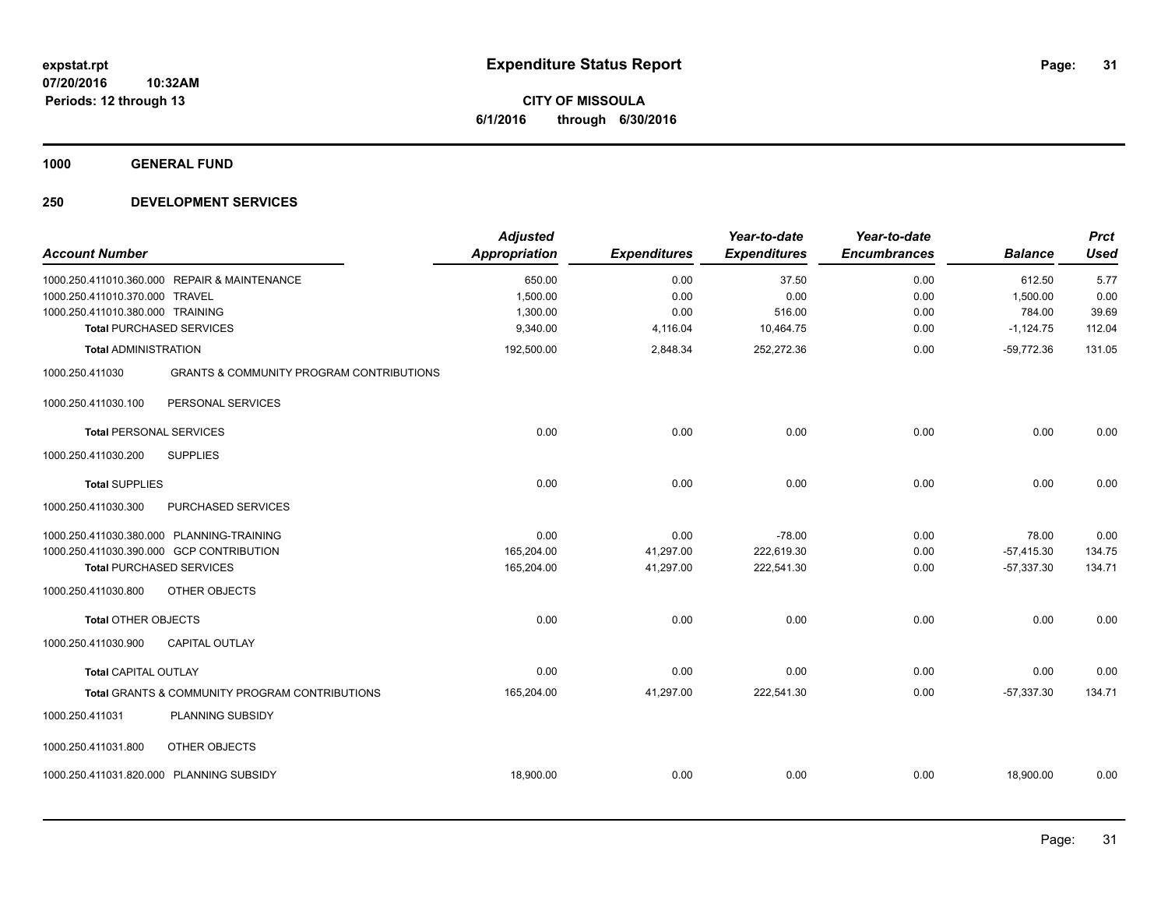**CITY OF MISSOULA 6/1/2016 through 6/30/2016**

**1000 GENERAL FUND**

### **250 DEVELOPMENT SERVICES**

| <b>Account Number</b>                                                                                                    | <b>Adjusted</b><br><b>Appropriation</b> | <b>Expenditures</b>            | Year-to-date<br><b>Expenditures</b>  | Year-to-date<br><b>Encumbrances</b> | <b>Balance</b>                        | <b>Prct</b><br><b>Used</b> |
|--------------------------------------------------------------------------------------------------------------------------|-----------------------------------------|--------------------------------|--------------------------------------|-------------------------------------|---------------------------------------|----------------------------|
| 1000.250.411010.360.000 REPAIR & MAINTENANCE<br>1000.250.411010.370.000 TRAVEL<br>1000.250.411010.380.000 TRAINING       | 650.00<br>1,500.00<br>1,300.00          | 0.00<br>0.00<br>0.00           | 37.50<br>0.00<br>516.00              | 0.00<br>0.00<br>0.00                | 612.50<br>1,500.00<br>784.00          | 5.77<br>0.00<br>39.69      |
| <b>Total PURCHASED SERVICES</b><br><b>Total ADMINISTRATION</b>                                                           | 9,340.00<br>192,500.00                  | 4,116.04<br>2,848.34           | 10,464.75<br>252,272.36              | 0.00<br>0.00                        | $-1,124.75$<br>$-59,772.36$           | 112.04<br>131.05           |
| 1000.250.411030<br><b>GRANTS &amp; COMMUNITY PROGRAM CONTRIBUTIONS</b>                                                   |                                         |                                |                                      |                                     |                                       |                            |
| PERSONAL SERVICES<br>1000.250.411030.100                                                                                 |                                         |                                |                                      |                                     |                                       |                            |
| <b>Total PERSONAL SERVICES</b>                                                                                           | 0.00                                    | 0.00                           | 0.00                                 | 0.00                                | 0.00                                  | 0.00                       |
| <b>SUPPLIES</b><br>1000.250.411030.200                                                                                   |                                         |                                |                                      |                                     |                                       |                            |
| <b>Total SUPPLIES</b>                                                                                                    | 0.00                                    | 0.00                           | 0.00                                 | 0.00                                | 0.00                                  | 0.00                       |
| 1000.250.411030.300<br>PURCHASED SERVICES                                                                                |                                         |                                |                                      |                                     |                                       |                            |
| 1000.250.411030.380.000 PLANNING-TRAINING<br>1000.250.411030.390.000 GCP CONTRIBUTION<br><b>Total PURCHASED SERVICES</b> | 0.00<br>165,204.00<br>165,204.00        | 0.00<br>41,297.00<br>41,297.00 | $-78.00$<br>222,619.30<br>222,541.30 | 0.00<br>0.00<br>0.00                | 78.00<br>$-57,415.30$<br>$-57,337.30$ | 0.00<br>134.75<br>134.71   |
| 1000.250.411030.800<br>OTHER OBJECTS                                                                                     |                                         |                                |                                      |                                     |                                       |                            |
| <b>Total OTHER OBJECTS</b><br>1000.250.411030.900<br><b>CAPITAL OUTLAY</b>                                               | 0.00                                    | 0.00                           | 0.00                                 | 0.00                                | 0.00                                  | 0.00                       |
| <b>Total CAPITAL OUTLAY</b>                                                                                              | 0.00                                    | 0.00                           | 0.00                                 | 0.00                                | 0.00                                  | 0.00                       |
| <b>Total GRANTS &amp; COMMUNITY PROGRAM CONTRIBUTIONS</b>                                                                | 165,204.00                              | 41,297.00                      | 222,541.30                           | 0.00                                | $-57,337.30$                          | 134.71                     |
| 1000.250.411031<br>PLANNING SUBSIDY                                                                                      |                                         |                                |                                      |                                     |                                       |                            |
| OTHER OBJECTS<br>1000.250.411031.800                                                                                     |                                         |                                |                                      |                                     |                                       |                            |
| 1000.250.411031.820.000 PLANNING SUBSIDY                                                                                 | 18,900.00                               | 0.00                           | 0.00                                 | 0.00                                | 18,900.00                             | 0.00                       |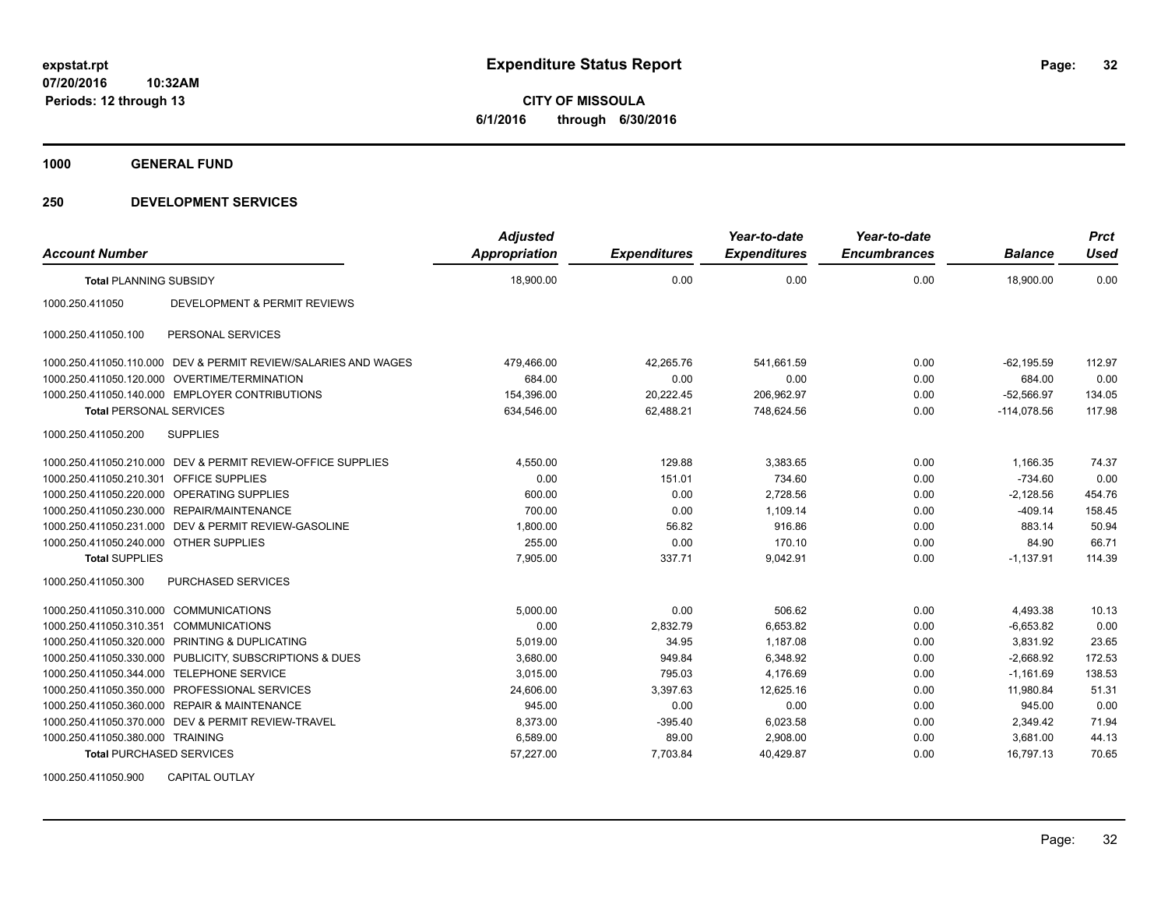**CITY OF MISSOULA 6/1/2016 through 6/30/2016**

**1000 GENERAL FUND**

### **250 DEVELOPMENT SERVICES**

| <b>Account Number</b>                  |                                                                | <b>Adjusted</b><br><b>Appropriation</b> | <b>Expenditures</b> | Year-to-date<br><b>Expenditures</b> | Year-to-date<br><b>Encumbrances</b> | <b>Balance</b> | <b>Prct</b><br><b>Used</b> |
|----------------------------------------|----------------------------------------------------------------|-----------------------------------------|---------------------|-------------------------------------|-------------------------------------|----------------|----------------------------|
| <b>Total PLANNING SUBSIDY</b>          |                                                                | 18,900.00                               | 0.00                | 0.00                                | 0.00                                | 18,900.00      | 0.00                       |
| 1000.250.411050                        | DEVELOPMENT & PERMIT REVIEWS                                   |                                         |                     |                                     |                                     |                |                            |
| 1000.250.411050.100                    | PERSONAL SERVICES                                              |                                         |                     |                                     |                                     |                |                            |
|                                        | 1000.250.411050.110.000 DEV & PERMIT REVIEW/SALARIES AND WAGES | 479,466.00                              | 42.265.76           | 541,661.59                          | 0.00                                | $-62.195.59$   | 112.97                     |
|                                        | 1000.250.411050.120.000 OVERTIME/TERMINATION                   | 684.00                                  | 0.00                | 0.00                                | 0.00                                | 684.00         | 0.00                       |
|                                        | 1000.250.411050.140.000 EMPLOYER CONTRIBUTIONS                 | 154,396.00                              | 20,222.45           | 206,962.97                          | 0.00                                | $-52,566.97$   | 134.05                     |
| <b>Total PERSONAL SERVICES</b>         |                                                                | 634,546.00                              | 62,488.21           | 748,624.56                          | 0.00                                | $-114,078.56$  | 117.98                     |
| 1000.250.411050.200                    | <b>SUPPLIES</b>                                                |                                         |                     |                                     |                                     |                |                            |
|                                        | 1000.250.411050.210.000 DEV & PERMIT REVIEW-OFFICE SUPPLIES    | 4,550.00                                | 129.88              | 3,383.65                            | 0.00                                | 1,166.35       | 74.37                      |
| 1000.250.411050.210.301                | <b>OFFICE SUPPLIES</b>                                         | 0.00                                    | 151.01              | 734.60                              | 0.00                                | $-734.60$      | 0.00                       |
|                                        | 1000.250.411050.220.000 OPERATING SUPPLIES                     | 600.00                                  | 0.00                | 2.728.56                            | 0.00                                | $-2,128.56$    | 454.76                     |
|                                        | 1000.250.411050.230.000 REPAIR/MAINTENANCE                     | 700.00                                  | 0.00                | 1,109.14                            | 0.00                                | $-409.14$      | 158.45                     |
|                                        | 1000.250.411050.231.000 DEV & PERMIT REVIEW-GASOLINE           | 1,800.00                                | 56.82               | 916.86                              | 0.00                                | 883.14         | 50.94                      |
| 1000.250.411050.240.000 OTHER SUPPLIES |                                                                | 255.00                                  | 0.00                | 170.10                              | 0.00                                | 84.90          | 66.71                      |
| <b>Total SUPPLIES</b>                  |                                                                | 7,905.00                                | 337.71              | 9,042.91                            | 0.00                                | $-1,137.91$    | 114.39                     |
| 1000.250.411050.300                    | <b>PURCHASED SERVICES</b>                                      |                                         |                     |                                     |                                     |                |                            |
| 1000.250.411050.310.000 COMMUNICATIONS |                                                                | 5,000.00                                | 0.00                | 506.62                              | 0.00                                | 4,493.38       | 10.13                      |
| 1000.250.411050.310.351                | <b>COMMUNICATIONS</b>                                          | 0.00                                    | 2,832.79            | 6,653.82                            | 0.00                                | $-6,653.82$    | 0.00                       |
|                                        | 1000.250.411050.320.000 PRINTING & DUPLICATING                 | 5.019.00                                | 34.95               | 1,187.08                            | 0.00                                | 3,831.92       | 23.65                      |
|                                        | 1000.250.411050.330.000 PUBLICITY, SUBSCRIPTIONS & DUES        | 3,680.00                                | 949.84              | 6,348.92                            | 0.00                                | $-2,668.92$    | 172.53                     |
|                                        | 1000.250.411050.344.000 TELEPHONE SERVICE                      | 3,015.00                                | 795.03              | 4,176.69                            | 0.00                                | $-1,161.69$    | 138.53                     |
|                                        | 1000.250.411050.350.000 PROFESSIONAL SERVICES                  | 24.606.00                               | 3,397.63            | 12.625.16                           | 0.00                                | 11.980.84      | 51.31                      |
|                                        | 1000.250.411050.360.000 REPAIR & MAINTENANCE                   | 945.00                                  | 0.00                | 0.00                                | 0.00                                | 945.00         | 0.00                       |
|                                        | 1000.250.411050.370.000 DEV & PERMIT REVIEW-TRAVEL             | 8,373.00                                | $-395.40$           | 6,023.58                            | 0.00                                | 2,349.42       | 71.94                      |
| 1000.250.411050.380.000 TRAINING       |                                                                | 6,589.00                                | 89.00               | 2,908.00                            | 0.00                                | 3,681.00       | 44.13                      |
| <b>Total PURCHASED SERVICES</b>        |                                                                | 57,227.00                               | 7,703.84            | 40,429.87                           | 0.00                                | 16,797.13      | 70.65                      |

1000.250.411050.900 CAPITAL OUTLAY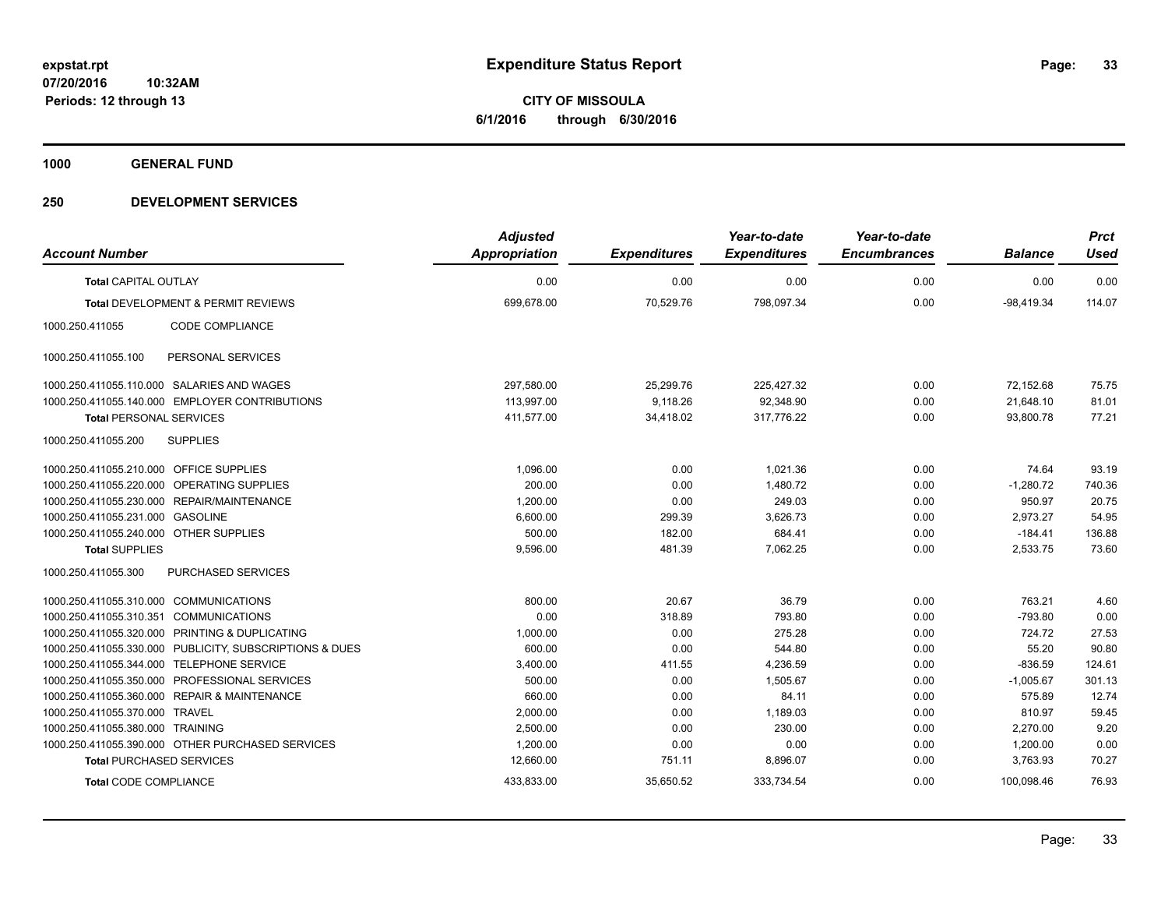**Periods: 12 through 13**

**33**

**CITY OF MISSOULA 6/1/2016 through 6/30/2016**

**1000 GENERAL FUND**

### **250 DEVELOPMENT SERVICES**

**10:32AM**

| <b>Account Number</b>                   |                                                         | <b>Adjusted</b><br><b>Appropriation</b> | <b>Expenditures</b> | Year-to-date<br><b>Expenditures</b> | Year-to-date<br><b>Encumbrances</b> | <b>Balance</b> | <b>Prct</b><br><b>Used</b> |
|-----------------------------------------|---------------------------------------------------------|-----------------------------------------|---------------------|-------------------------------------|-------------------------------------|----------------|----------------------------|
| <b>Total CAPITAL OUTLAY</b>             |                                                         | 0.00                                    | 0.00                | 0.00                                | 0.00                                | 0.00           | 0.00                       |
|                                         | <b>Total DEVELOPMENT &amp; PERMIT REVIEWS</b>           | 699,678.00                              | 70,529.76           | 798,097.34                          | 0.00                                | $-98,419.34$   | 114.07                     |
| 1000.250.411055                         | <b>CODE COMPLIANCE</b>                                  |                                         |                     |                                     |                                     |                |                            |
| 1000.250.411055.100                     | PERSONAL SERVICES                                       |                                         |                     |                                     |                                     |                |                            |
|                                         | 1000.250.411055.110.000 SALARIES AND WAGES              | 297,580.00                              | 25,299.76           | 225,427.32                          | 0.00                                | 72,152.68      | 75.75                      |
|                                         | 1000.250.411055.140.000 EMPLOYER CONTRIBUTIONS          | 113,997.00                              | 9,118.26            | 92,348.90                           | 0.00                                | 21,648.10      | 81.01                      |
| <b>Total PERSONAL SERVICES</b>          |                                                         | 411,577.00                              | 34,418.02           | 317,776.22                          | 0.00                                | 93,800.78      | 77.21                      |
| 1000.250.411055.200                     | <b>SUPPLIES</b>                                         |                                         |                     |                                     |                                     |                |                            |
| 1000.250.411055.210.000 OFFICE SUPPLIES |                                                         | 1,096.00                                | 0.00                | 1,021.36                            | 0.00                                | 74.64          | 93.19                      |
|                                         | 1000.250.411055.220.000 OPERATING SUPPLIES              | 200.00                                  | 0.00                | 1,480.72                            | 0.00                                | $-1,280.72$    | 740.36                     |
|                                         | 1000.250.411055.230.000 REPAIR/MAINTENANCE              | 1,200.00                                | 0.00                | 249.03                              | 0.00                                | 950.97         | 20.75                      |
| 1000.250.411055.231.000 GASOLINE        |                                                         | 6,600.00                                | 299.39              | 3,626.73                            | 0.00                                | 2,973.27       | 54.95                      |
| 1000.250.411055.240.000 OTHER SUPPLIES  |                                                         | 500.00                                  | 182.00              | 684.41                              | 0.00                                | $-184.41$      | 136.88                     |
| <b>Total SUPPLIES</b>                   |                                                         | 9,596.00                                | 481.39              | 7,062.25                            | 0.00                                | 2,533.75       | 73.60                      |
| 1000.250.411055.300                     | <b>PURCHASED SERVICES</b>                               |                                         |                     |                                     |                                     |                |                            |
| 1000.250.411055.310.000 COMMUNICATIONS  |                                                         | 800.00                                  | 20.67               | 36.79                               | 0.00                                | 763.21         | 4.60                       |
| 1000.250.411055.310.351 COMMUNICATIONS  |                                                         | 0.00                                    | 318.89              | 793.80                              | 0.00                                | $-793.80$      | 0.00                       |
|                                         | 1000.250.411055.320.000 PRINTING & DUPLICATING          | 1,000.00                                | 0.00                | 275.28                              | 0.00                                | 724.72         | 27.53                      |
|                                         | 1000.250.411055.330.000 PUBLICITY, SUBSCRIPTIONS & DUES | 600.00                                  | 0.00                | 544.80                              | 0.00                                | 55.20          | 90.80                      |
|                                         | 1000.250.411055.344.000 TELEPHONE SERVICE               | 3,400.00                                | 411.55              | 4,236.59                            | 0.00                                | $-836.59$      | 124.61                     |
|                                         | 1000.250.411055.350.000 PROFESSIONAL SERVICES           | 500.00                                  | 0.00                | 1.505.67                            | 0.00                                | $-1,005.67$    | 301.13                     |
|                                         | 1000.250.411055.360.000 REPAIR & MAINTENANCE            | 660.00                                  | 0.00                | 84.11                               | 0.00                                | 575.89         | 12.74                      |
| 1000.250.411055.370.000 TRAVEL          |                                                         | 2,000.00                                | 0.00                | 1,189.03                            | 0.00                                | 810.97         | 59.45                      |
| 1000.250.411055.380.000 TRAINING        |                                                         | 2,500.00                                | 0.00                | 230.00                              | 0.00                                | 2,270.00       | 9.20                       |
|                                         | 1000.250.411055.390.000 OTHER PURCHASED SERVICES        | 1,200.00                                | 0.00                | 0.00                                | 0.00                                | 1,200.00       | 0.00                       |
| <b>Total PURCHASED SERVICES</b>         |                                                         | 12,660.00                               | 751.11              | 8,896.07                            | 0.00                                | 3,763.93       | 70.27                      |
| <b>Total CODE COMPLIANCE</b>            |                                                         | 433,833.00                              | 35,650.52           | 333,734.54                          | 0.00                                | 100,098.46     | 76.93                      |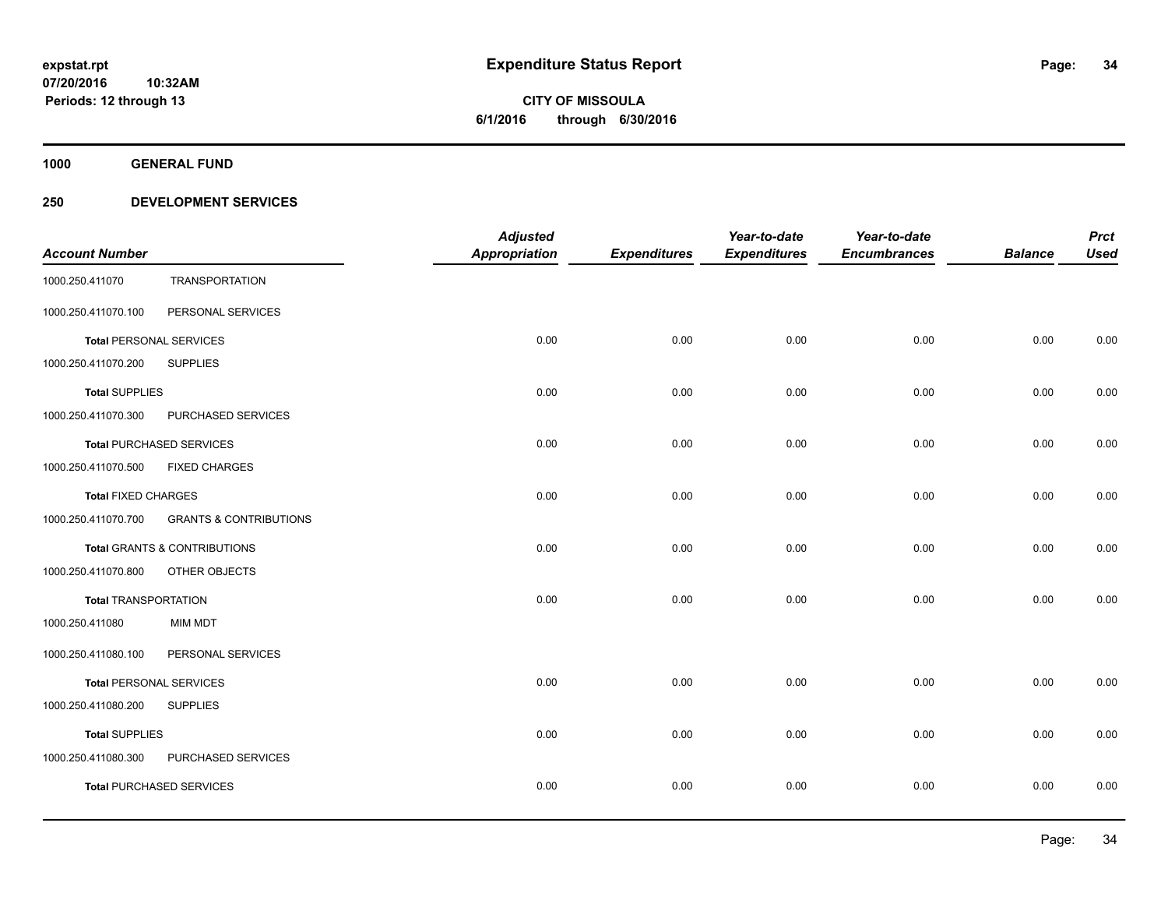# **CITY OF MISSOULA 6/1/2016 through 6/30/2016**

**1000 GENERAL FUND**

### **250 DEVELOPMENT SERVICES**

| <b>Account Number</b>          |                                         | <b>Adjusted</b><br><b>Appropriation</b> | <b>Expenditures</b> | Year-to-date<br><b>Expenditures</b> | Year-to-date<br><b>Encumbrances</b> | <b>Balance</b> | <b>Prct</b><br><b>Used</b> |
|--------------------------------|-----------------------------------------|-----------------------------------------|---------------------|-------------------------------------|-------------------------------------|----------------|----------------------------|
| 1000.250.411070                | <b>TRANSPORTATION</b>                   |                                         |                     |                                     |                                     |                |                            |
| 1000.250.411070.100            | PERSONAL SERVICES                       |                                         |                     |                                     |                                     |                |                            |
| <b>Total PERSONAL SERVICES</b> |                                         | 0.00                                    | 0.00                | 0.00                                | 0.00                                | 0.00           | 0.00                       |
| 1000.250.411070.200            | <b>SUPPLIES</b>                         |                                         |                     |                                     |                                     |                |                            |
| <b>Total SUPPLIES</b>          |                                         | 0.00                                    | 0.00                | 0.00                                | 0.00                                | 0.00           | 0.00                       |
| 1000.250.411070.300            | PURCHASED SERVICES                      |                                         |                     |                                     |                                     |                |                            |
|                                | <b>Total PURCHASED SERVICES</b>         | 0.00                                    | 0.00                | 0.00                                | 0.00                                | 0.00           | 0.00                       |
| 1000.250.411070.500            | <b>FIXED CHARGES</b>                    |                                         |                     |                                     |                                     |                |                            |
| <b>Total FIXED CHARGES</b>     |                                         | 0.00                                    | 0.00                | 0.00                                | 0.00                                | 0.00           | 0.00                       |
| 1000.250.411070.700            | <b>GRANTS &amp; CONTRIBUTIONS</b>       |                                         |                     |                                     |                                     |                |                            |
|                                | <b>Total GRANTS &amp; CONTRIBUTIONS</b> | 0.00                                    | 0.00                | 0.00                                | 0.00                                | 0.00           | 0.00                       |
| 1000.250.411070.800            | OTHER OBJECTS                           |                                         |                     |                                     |                                     |                |                            |
| <b>Total TRANSPORTATION</b>    |                                         | 0.00                                    | 0.00                | 0.00                                | 0.00                                | 0.00           | 0.00                       |
| 1000.250.411080                | <b>MIM MDT</b>                          |                                         |                     |                                     |                                     |                |                            |
| 1000.250.411080.100            | PERSONAL SERVICES                       |                                         |                     |                                     |                                     |                |                            |
| <b>Total PERSONAL SERVICES</b> |                                         | 0.00                                    | 0.00                | 0.00                                | 0.00                                | 0.00           | 0.00                       |
| 1000.250.411080.200            | <b>SUPPLIES</b>                         |                                         |                     |                                     |                                     |                |                            |
| <b>Total SUPPLIES</b>          |                                         | 0.00                                    | 0.00                | 0.00                                | 0.00                                | 0.00           | 0.00                       |
| 1000.250.411080.300            | PURCHASED SERVICES                      |                                         |                     |                                     |                                     |                |                            |
|                                | <b>Total PURCHASED SERVICES</b>         | 0.00                                    | 0.00                | 0.00                                | 0.00                                | 0.00           | 0.00                       |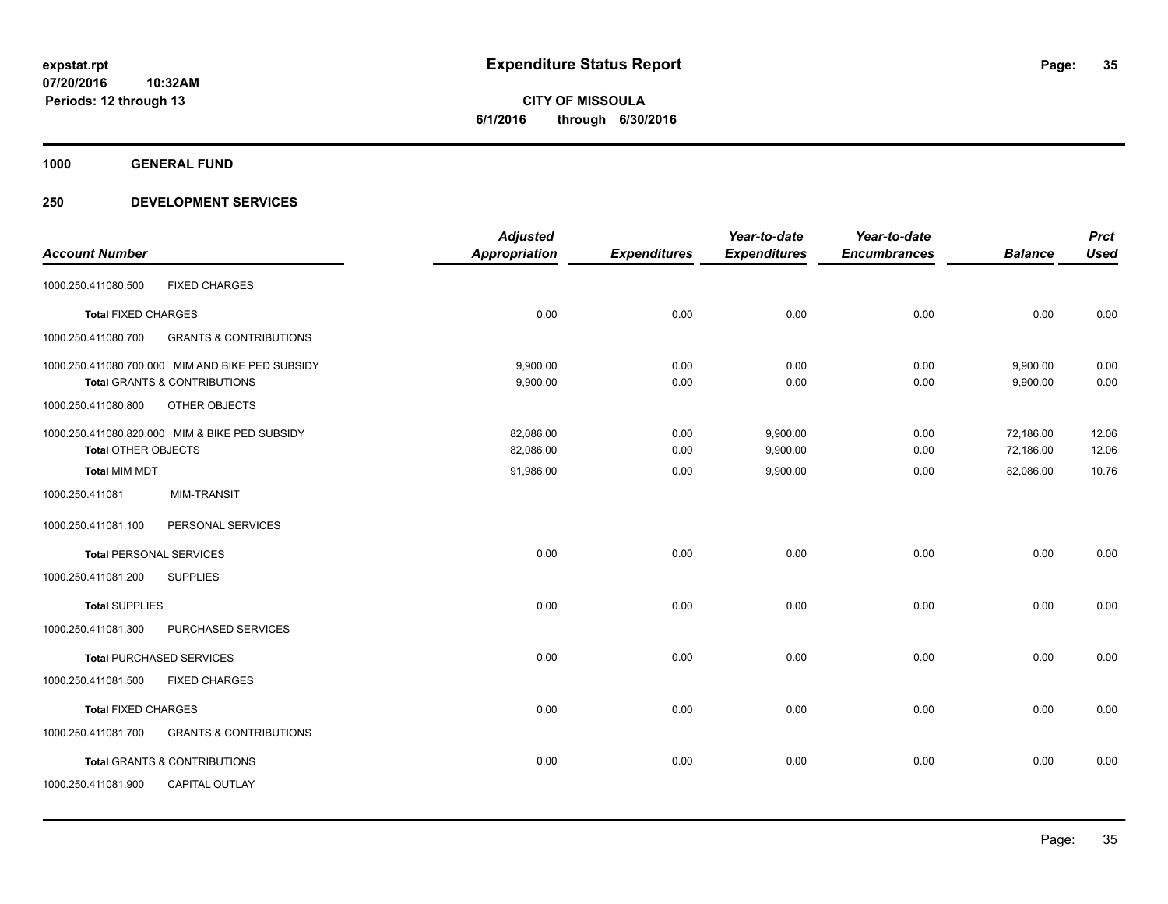**CITY OF MISSOULA 6/1/2016 through 6/30/2016**

**1000 GENERAL FUND**

**Periods: 12 through 13**

### **250 DEVELOPMENT SERVICES**

**10:32AM**

|                                |                                                  | <b>Adjusted</b>      |                     | Year-to-date        | Year-to-date        |                | <b>Prct</b> |
|--------------------------------|--------------------------------------------------|----------------------|---------------------|---------------------|---------------------|----------------|-------------|
| <b>Account Number</b>          |                                                  | <b>Appropriation</b> | <b>Expenditures</b> | <b>Expenditures</b> | <b>Encumbrances</b> | <b>Balance</b> | <b>Used</b> |
| 1000.250.411080.500            | <b>FIXED CHARGES</b>                             |                      |                     |                     |                     |                |             |
| <b>Total FIXED CHARGES</b>     |                                                  | 0.00                 | 0.00                | 0.00                | 0.00                | 0.00           | 0.00        |
| 1000.250.411080.700            | <b>GRANTS &amp; CONTRIBUTIONS</b>                |                      |                     |                     |                     |                |             |
|                                | 1000.250.411080.700.000 MIM AND BIKE PED SUBSIDY | 9,900.00             | 0.00                | 0.00                | 0.00                | 9,900.00       | 0.00        |
|                                | <b>Total GRANTS &amp; CONTRIBUTIONS</b>          | 9,900.00             | 0.00                | 0.00                | 0.00                | 9,900.00       | 0.00        |
| 1000.250.411080.800            | OTHER OBJECTS                                    |                      |                     |                     |                     |                |             |
|                                | 1000.250.411080.820.000 MIM & BIKE PED SUBSIDY   | 82,086.00            | 0.00                | 9,900.00            | 0.00                | 72,186.00      | 12.06       |
| <b>Total OTHER OBJECTS</b>     |                                                  | 82,086.00            | 0.00                | 9,900.00            | 0.00                | 72,186.00      | 12.06       |
| <b>Total MIM MDT</b>           |                                                  | 91,986.00            | 0.00                | 9,900.00            | 0.00                | 82,086.00      | 10.76       |
| 1000.250.411081                | <b>MIM-TRANSIT</b>                               |                      |                     |                     |                     |                |             |
| 1000.250.411081.100            | PERSONAL SERVICES                                |                      |                     |                     |                     |                |             |
| <b>Total PERSONAL SERVICES</b> |                                                  | 0.00                 | 0.00                | 0.00                | 0.00                | 0.00           | 0.00        |
| 1000.250.411081.200            | <b>SUPPLIES</b>                                  |                      |                     |                     |                     |                |             |
| <b>Total SUPPLIES</b>          |                                                  | 0.00                 | 0.00                | 0.00                | 0.00                | 0.00           | 0.00        |
| 1000.250.411081.300            | PURCHASED SERVICES                               |                      |                     |                     |                     |                |             |
|                                | <b>Total PURCHASED SERVICES</b>                  | 0.00                 | 0.00                | 0.00                | 0.00                | 0.00           | 0.00        |
| 1000.250.411081.500            | <b>FIXED CHARGES</b>                             |                      |                     |                     |                     |                |             |
| <b>Total FIXED CHARGES</b>     |                                                  | 0.00                 | 0.00                | 0.00                | 0.00                | 0.00           | 0.00        |
| 1000.250.411081.700            | <b>GRANTS &amp; CONTRIBUTIONS</b>                |                      |                     |                     |                     |                |             |
|                                | <b>Total GRANTS &amp; CONTRIBUTIONS</b>          | 0.00                 | 0.00                | 0.00                | 0.00                | 0.00           | 0.00        |
| 1000.250.411081.900            | <b>CAPITAL OUTLAY</b>                            |                      |                     |                     |                     |                |             |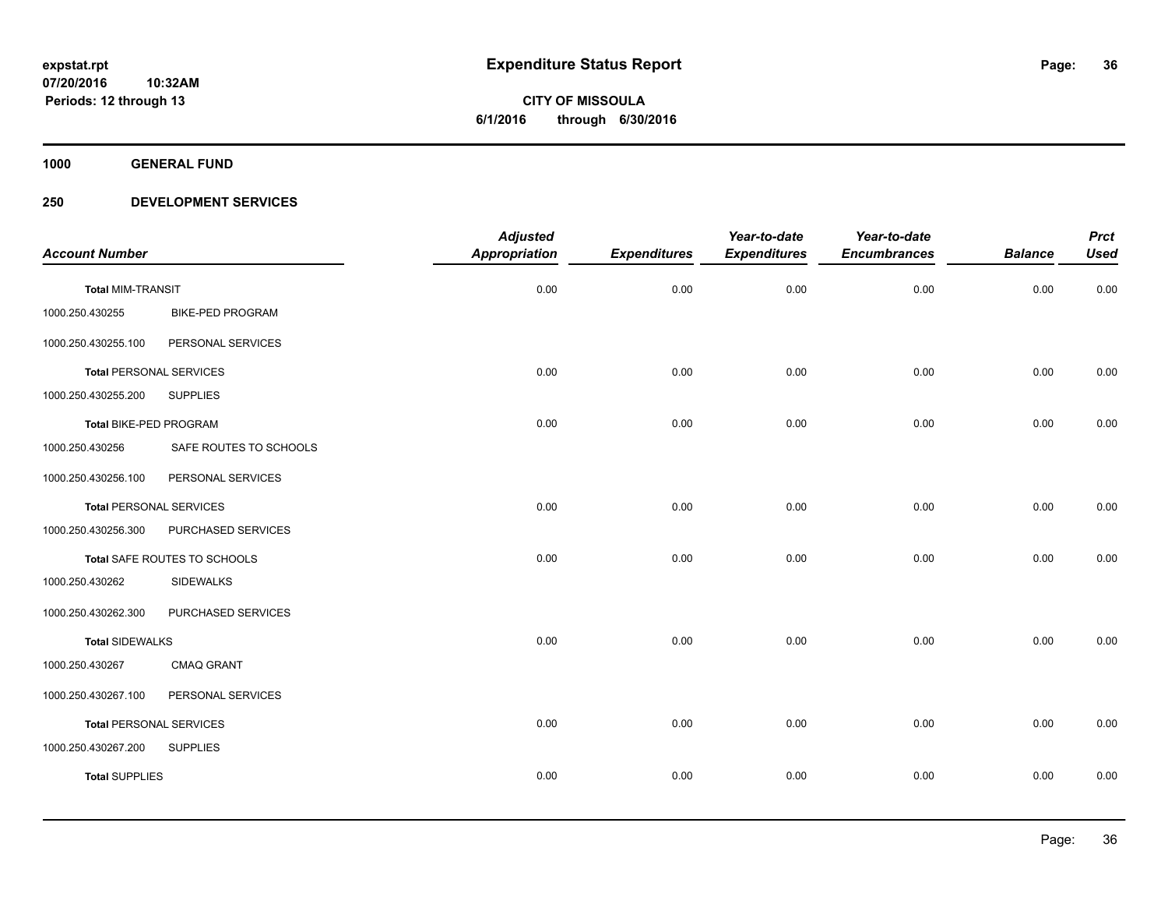**CITY OF MISSOULA 6/1/2016 through 6/30/2016**

**1000 GENERAL FUND**

### **250 DEVELOPMENT SERVICES**

|                                |                         | <b>Adjusted</b>      |                     | Year-to-date        | Year-to-date        |                | <b>Prct</b> |
|--------------------------------|-------------------------|----------------------|---------------------|---------------------|---------------------|----------------|-------------|
| <b>Account Number</b>          |                         | <b>Appropriation</b> | <b>Expenditures</b> | <b>Expenditures</b> | <b>Encumbrances</b> | <b>Balance</b> | <b>Used</b> |
| <b>Total MIM-TRANSIT</b>       |                         | 0.00                 | 0.00                | 0.00                | 0.00                | 0.00           | 0.00        |
| 1000.250.430255                | <b>BIKE-PED PROGRAM</b> |                      |                     |                     |                     |                |             |
| 1000.250.430255.100            | PERSONAL SERVICES       |                      |                     |                     |                     |                |             |
| <b>Total PERSONAL SERVICES</b> |                         | 0.00                 | 0.00                | 0.00                | 0.00                | 0.00           | 0.00        |
| 1000.250.430255.200            | <b>SUPPLIES</b>         |                      |                     |                     |                     |                |             |
| Total BIKE-PED PROGRAM         |                         | 0.00                 | 0.00                | 0.00                | 0.00                | 0.00           | 0.00        |
| 1000.250.430256                | SAFE ROUTES TO SCHOOLS  |                      |                     |                     |                     |                |             |
| 1000.250.430256.100            | PERSONAL SERVICES       |                      |                     |                     |                     |                |             |
| <b>Total PERSONAL SERVICES</b> |                         | 0.00                 | 0.00                | 0.00                | 0.00                | 0.00           | 0.00        |
| 1000.250.430256.300            | PURCHASED SERVICES      |                      |                     |                     |                     |                |             |
| Total SAFE ROUTES TO SCHOOLS   |                         | 0.00                 | 0.00                | 0.00                | 0.00                | 0.00           | 0.00        |
| 1000.250.430262                | <b>SIDEWALKS</b>        |                      |                     |                     |                     |                |             |
| 1000.250.430262.300            | PURCHASED SERVICES      |                      |                     |                     |                     |                |             |
| <b>Total SIDEWALKS</b>         |                         | 0.00                 | 0.00                | 0.00                | 0.00                | 0.00           | 0.00        |
| 1000.250.430267                | CMAQ GRANT              |                      |                     |                     |                     |                |             |
| 1000.250.430267.100            | PERSONAL SERVICES       |                      |                     |                     |                     |                |             |
| <b>Total PERSONAL SERVICES</b> |                         | 0.00                 | 0.00                | 0.00                | 0.00                | 0.00           | 0.00        |
| 1000.250.430267.200            | <b>SUPPLIES</b>         |                      |                     |                     |                     |                |             |
| <b>Total SUPPLIES</b>          |                         | 0.00                 | 0.00                | 0.00                | 0.00                | 0.00           | 0.00        |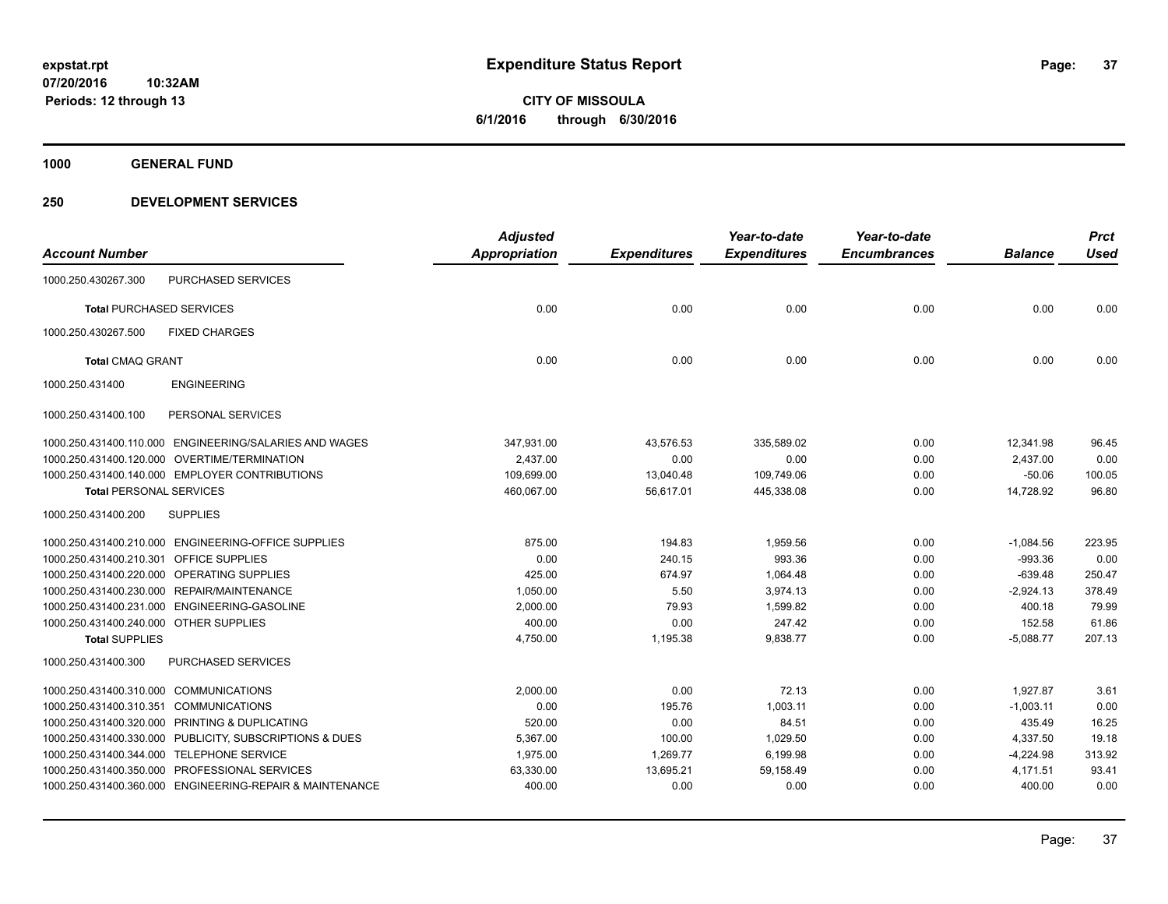**1000 GENERAL FUND**

### **250 DEVELOPMENT SERVICES**

| <b>Account Number</b>                   |                                                          | <b>Adjusted</b><br><b>Appropriation</b> |                     | Year-to-date<br><b>Expenditures</b> | Year-to-date<br><b>Encumbrances</b> | <b>Balance</b> | <b>Prct</b><br><b>Used</b> |
|-----------------------------------------|----------------------------------------------------------|-----------------------------------------|---------------------|-------------------------------------|-------------------------------------|----------------|----------------------------|
|                                         |                                                          |                                         | <b>Expenditures</b> |                                     |                                     |                |                            |
| 1000.250.430267.300                     | <b>PURCHASED SERVICES</b>                                |                                         |                     |                                     |                                     |                |                            |
| <b>Total PURCHASED SERVICES</b>         |                                                          | 0.00                                    | 0.00                | 0.00                                | 0.00                                | 0.00           | 0.00                       |
| 1000.250.430267.500                     | <b>FIXED CHARGES</b>                                     |                                         |                     |                                     |                                     |                |                            |
| <b>Total CMAQ GRANT</b>                 |                                                          | 0.00                                    | 0.00                | 0.00                                | 0.00                                | 0.00           | 0.00                       |
| 1000.250.431400                         | <b>ENGINEERING</b>                                       |                                         |                     |                                     |                                     |                |                            |
| 1000.250.431400.100                     | PERSONAL SERVICES                                        |                                         |                     |                                     |                                     |                |                            |
|                                         | 1000.250.431400.110.000 ENGINEERING/SALARIES AND WAGES   | 347,931.00                              | 43,576.53           | 335,589.02                          | 0.00                                | 12,341.98      | 96.45                      |
|                                         | 1000.250.431400.120.000 OVERTIME/TERMINATION             | 2,437.00                                | 0.00                | 0.00                                | 0.00                                | 2,437.00       | 0.00                       |
|                                         | 1000.250.431400.140.000 EMPLOYER CONTRIBUTIONS           | 109,699.00                              | 13,040.48           | 109,749.06                          | 0.00                                | $-50.06$       | 100.05                     |
| <b>Total PERSONAL SERVICES</b>          |                                                          | 460,067.00                              | 56,617.01           | 445,338.08                          | 0.00                                | 14,728.92      | 96.80                      |
| 1000.250.431400.200                     | <b>SUPPLIES</b>                                          |                                         |                     |                                     |                                     |                |                            |
|                                         | 1000.250.431400.210.000 ENGINEERING-OFFICE SUPPLIES      | 875.00                                  | 194.83              | 1,959.56                            | 0.00                                | $-1,084.56$    | 223.95                     |
| 1000.250.431400.210.301 OFFICE SUPPLIES |                                                          | 0.00                                    | 240.15              | 993.36                              | 0.00                                | $-993.36$      | 0.00                       |
|                                         | 1000.250.431400.220.000 OPERATING SUPPLIES               | 425.00                                  | 674.97              | 1,064.48                            | 0.00                                | $-639.48$      | 250.47                     |
|                                         | 1000.250.431400.230.000 REPAIR/MAINTENANCE               | 1,050.00                                | 5.50                | 3,974.13                            | 0.00                                | $-2,924.13$    | 378.49                     |
|                                         | 1000.250.431400.231.000 ENGINEERING-GASOLINE             | 2,000.00                                | 79.93               | 1,599.82                            | 0.00                                | 400.18         | 79.99                      |
| 1000.250.431400.240.000 OTHER SUPPLIES  |                                                          | 400.00                                  | 0.00                | 247.42                              | 0.00                                | 152.58         | 61.86                      |
| <b>Total SUPPLIES</b>                   |                                                          | 4,750.00                                | 1,195.38            | 9,838.77                            | 0.00                                | $-5,088.77$    | 207.13                     |
| 1000.250.431400.300                     | PURCHASED SERVICES                                       |                                         |                     |                                     |                                     |                |                            |
| 1000.250.431400.310.000 COMMUNICATIONS  |                                                          | 2,000.00                                | 0.00                | 72.13                               | 0.00                                | 1,927.87       | 3.61                       |
| 1000.250.431400.310.351 COMMUNICATIONS  |                                                          | 0.00                                    | 195.76              | 1,003.11                            | 0.00                                | $-1,003.11$    | 0.00                       |
|                                         | 1000.250.431400.320.000 PRINTING & DUPLICATING           | 520.00                                  | 0.00                | 84.51                               | 0.00                                | 435.49         | 16.25                      |
|                                         | 1000.250.431400.330.000 PUBLICITY, SUBSCRIPTIONS & DUES  | 5,367.00                                | 100.00              | 1,029.50                            | 0.00                                | 4,337.50       | 19.18                      |
|                                         | 1000.250.431400.344.000 TELEPHONE SERVICE                | 1,975.00                                | 1,269.77            | 6,199.98                            | 0.00                                | $-4,224.98$    | 313.92                     |
|                                         | 1000.250.431400.350.000 PROFESSIONAL SERVICES            | 63,330.00                               | 13,695.21           | 59,158.49                           | 0.00                                | 4,171.51       | 93.41                      |
|                                         | 1000.250.431400.360.000 ENGINEERING-REPAIR & MAINTENANCE | 400.00                                  | 0.00                | 0.00                                | 0.00                                | 400.00         | 0.00                       |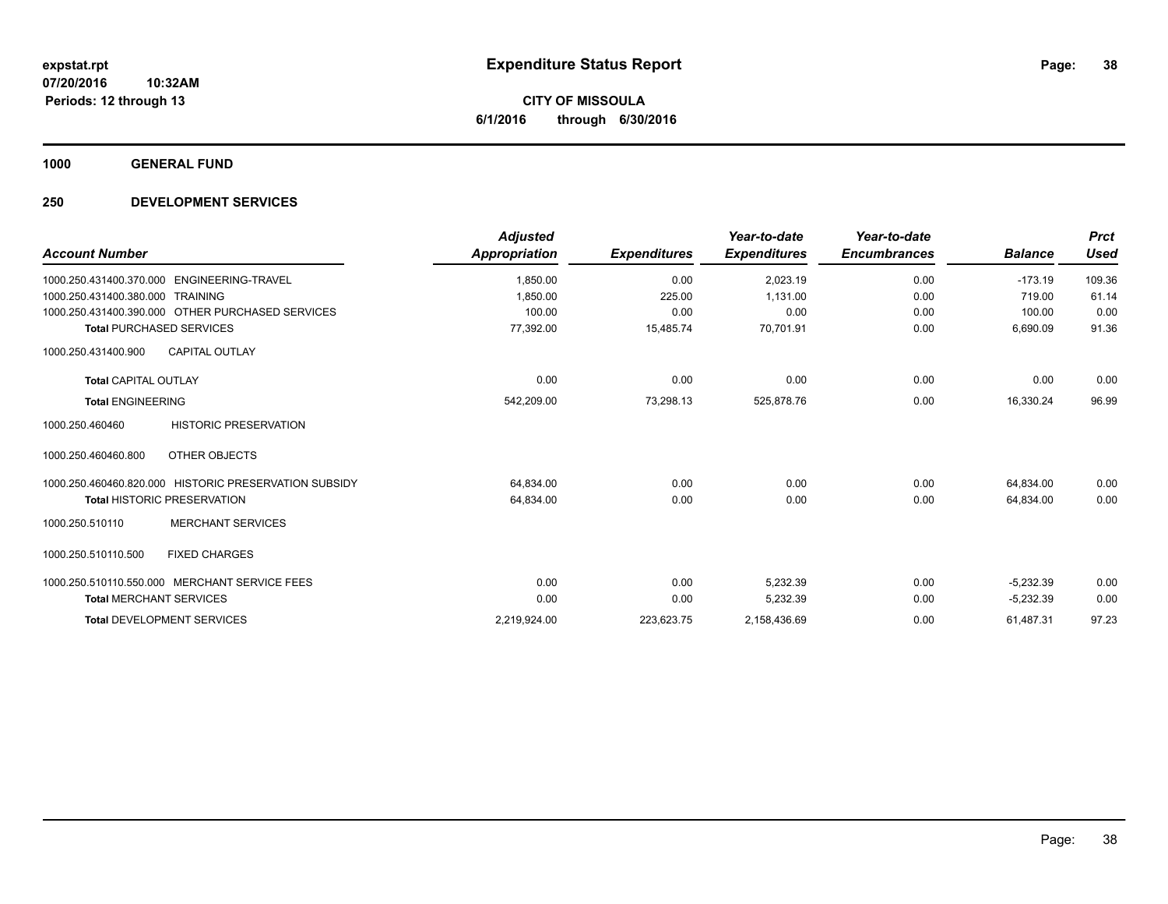**1000 GENERAL FUND**

### **250 DEVELOPMENT SERVICES**

| <b>Account Number</b>                                 | <b>Adjusted</b><br>Appropriation | <b>Expenditures</b> | Year-to-date<br><b>Expenditures</b> | Year-to-date<br><b>Encumbrances</b> | <b>Balance</b> | <b>Prct</b><br><b>Used</b> |
|-------------------------------------------------------|----------------------------------|---------------------|-------------------------------------|-------------------------------------|----------------|----------------------------|
| 1000.250.431400.370.000 ENGINEERING-TRAVEL            | 1,850.00                         | 0.00                | 2,023.19                            | 0.00                                | $-173.19$      | 109.36                     |
| 1000.250.431400.380.000 TRAINING                      | 1.850.00                         | 225.00              | 1.131.00                            | 0.00                                | 719.00         | 61.14                      |
| 1000.250.431400.390.000 OTHER PURCHASED SERVICES      | 100.00                           | 0.00                | 0.00                                | 0.00                                | 100.00         | 0.00                       |
| <b>Total PURCHASED SERVICES</b>                       | 77,392.00                        | 15,485.74           | 70,701.91                           | 0.00                                | 6,690.09       | 91.36                      |
| <b>CAPITAL OUTLAY</b><br>1000.250.431400.900          |                                  |                     |                                     |                                     |                |                            |
| <b>Total CAPITAL OUTLAY</b>                           | 0.00                             | 0.00                | 0.00                                | 0.00                                | 0.00           | 0.00                       |
| <b>Total ENGINEERING</b>                              | 542,209.00                       | 73,298.13           | 525,878.76                          | 0.00                                | 16,330.24      | 96.99                      |
| <b>HISTORIC PRESERVATION</b><br>1000.250.460460       |                                  |                     |                                     |                                     |                |                            |
| 1000.250.460460.800<br>OTHER OBJECTS                  |                                  |                     |                                     |                                     |                |                            |
| 1000.250.460460.820.000 HISTORIC PRESERVATION SUBSIDY | 64,834.00                        | 0.00                | 0.00                                | 0.00                                | 64,834.00      | 0.00                       |
| <b>Total HISTORIC PRESERVATION</b>                    | 64,834.00                        | 0.00                | 0.00                                | 0.00                                | 64.834.00      | 0.00                       |
| <b>MERCHANT SERVICES</b><br>1000.250.510110           |                                  |                     |                                     |                                     |                |                            |
| 1000.250.510110.500<br><b>FIXED CHARGES</b>           |                                  |                     |                                     |                                     |                |                            |
| 1000.250.510110.550.000 MERCHANT SERVICE FEES         | 0.00                             | 0.00                | 5.232.39                            | 0.00                                | $-5,232.39$    | 0.00                       |
| <b>Total MERCHANT SERVICES</b>                        | 0.00                             | 0.00                | 5,232.39                            | 0.00                                | $-5,232.39$    | 0.00                       |
| <b>Total DEVELOPMENT SERVICES</b>                     | 2,219,924.00                     | 223,623.75          | 2,158,436.69                        | 0.00                                | 61,487.31      | 97.23                      |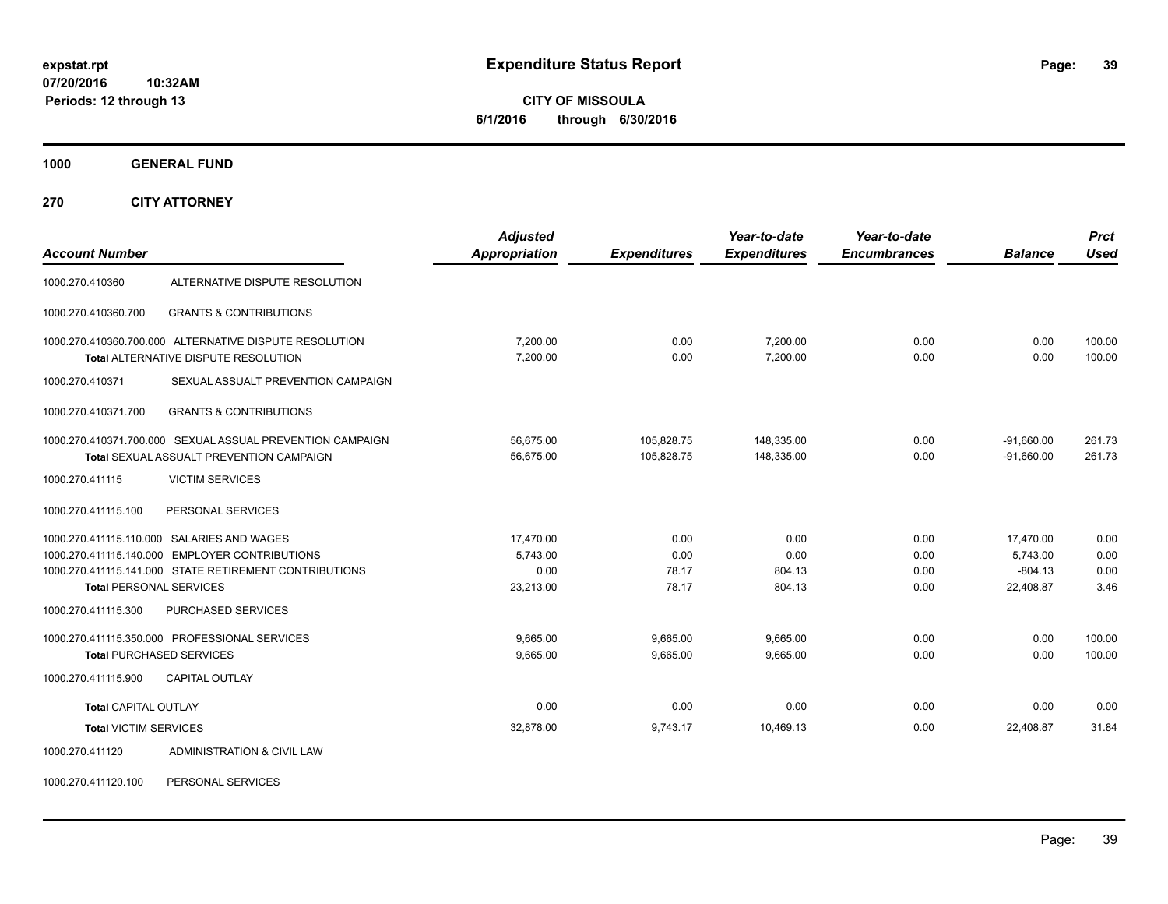**CITY OF MISSOULA 6/1/2016 through 6/30/2016**

**1000 GENERAL FUND**

**270 CITY ATTORNEY**

| <b>Account Number</b>          |                                                                                                                                                        | <b>Adjusted</b><br>Appropriation           | <b>Expenditures</b>            | Year-to-date<br><b>Expenditures</b> | Year-to-date<br><b>Encumbrances</b> | <b>Balance</b>                                  | <b>Prct</b><br><b>Used</b>   |
|--------------------------------|--------------------------------------------------------------------------------------------------------------------------------------------------------|--------------------------------------------|--------------------------------|-------------------------------------|-------------------------------------|-------------------------------------------------|------------------------------|
| 1000.270.410360                | ALTERNATIVE DISPUTE RESOLUTION                                                                                                                         |                                            |                                |                                     |                                     |                                                 |                              |
| 1000.270.410360.700            | <b>GRANTS &amp; CONTRIBUTIONS</b>                                                                                                                      |                                            |                                |                                     |                                     |                                                 |                              |
|                                | 1000.270.410360.700.000 ALTERNATIVE DISPUTE RESOLUTION<br><b>Total ALTERNATIVE DISPUTE RESOLUTION</b>                                                  | 7.200.00<br>7,200.00                       | 0.00<br>0.00                   | 7.200.00<br>7,200.00                | 0.00<br>0.00                        | 0.00<br>0.00                                    | 100.00<br>100.00             |
| 1000.270.410371                | SEXUAL ASSUALT PREVENTION CAMPAIGN                                                                                                                     |                                            |                                |                                     |                                     |                                                 |                              |
| 1000.270.410371.700            | <b>GRANTS &amp; CONTRIBUTIONS</b>                                                                                                                      |                                            |                                |                                     |                                     |                                                 |                              |
|                                | 1000.270.410371.700.000 SEXUAL ASSUAL PREVENTION CAMPAIGN<br>Total SEXUAL ASSUALT PREVENTION CAMPAIGN                                                  | 56,675.00<br>56,675.00                     | 105,828.75<br>105,828.75       | 148,335.00<br>148,335.00            | 0.00<br>0.00                        | $-91,660.00$<br>$-91,660.00$                    | 261.73<br>261.73             |
| 1000.270.411115                | <b>VICTIM SERVICES</b>                                                                                                                                 |                                            |                                |                                     |                                     |                                                 |                              |
| 1000.270.411115.100            | PERSONAL SERVICES                                                                                                                                      |                                            |                                |                                     |                                     |                                                 |                              |
| <b>Total PERSONAL SERVICES</b> | 1000.270.411115.110.000 SALARIES AND WAGES<br>1000.270.411115.140.000 EMPLOYER CONTRIBUTIONS<br>1000.270.411115.141.000 STATE RETIREMENT CONTRIBUTIONS | 17,470.00<br>5.743.00<br>0.00<br>23,213.00 | 0.00<br>0.00<br>78.17<br>78.17 | 0.00<br>0.00<br>804.13<br>804.13    | 0.00<br>0.00<br>0.00<br>0.00        | 17,470.00<br>5.743.00<br>$-804.13$<br>22,408.87 | 0.00<br>0.00<br>0.00<br>3.46 |
| 1000.270.411115.300            | PURCHASED SERVICES                                                                                                                                     |                                            |                                |                                     |                                     |                                                 |                              |
| 1000.270.411115.900            | 1000.270.411115.350.000 PROFESSIONAL SERVICES<br><b>Total PURCHASED SERVICES</b><br><b>CAPITAL OUTLAY</b>                                              | 9.665.00<br>9,665.00                       | 9.665.00<br>9,665.00           | 9.665.00<br>9,665.00                | 0.00<br>0.00                        | 0.00<br>0.00                                    | 100.00<br>100.00             |
|                                |                                                                                                                                                        |                                            |                                |                                     |                                     |                                                 |                              |
| <b>Total CAPITAL OUTLAY</b>    |                                                                                                                                                        | 0.00                                       | 0.00                           | 0.00                                | 0.00                                | 0.00                                            | 0.00                         |
| <b>Total VICTIM SERVICES</b>   |                                                                                                                                                        | 32,878.00                                  | 9,743.17                       | 10,469.13                           | 0.00                                | 22,408.87                                       | 31.84                        |
| 1000.270.411120                | ADMINISTRATION & CIVIL LAW                                                                                                                             |                                            |                                |                                     |                                     |                                                 |                              |

1000.270.411120.100 PERSONAL SERVICES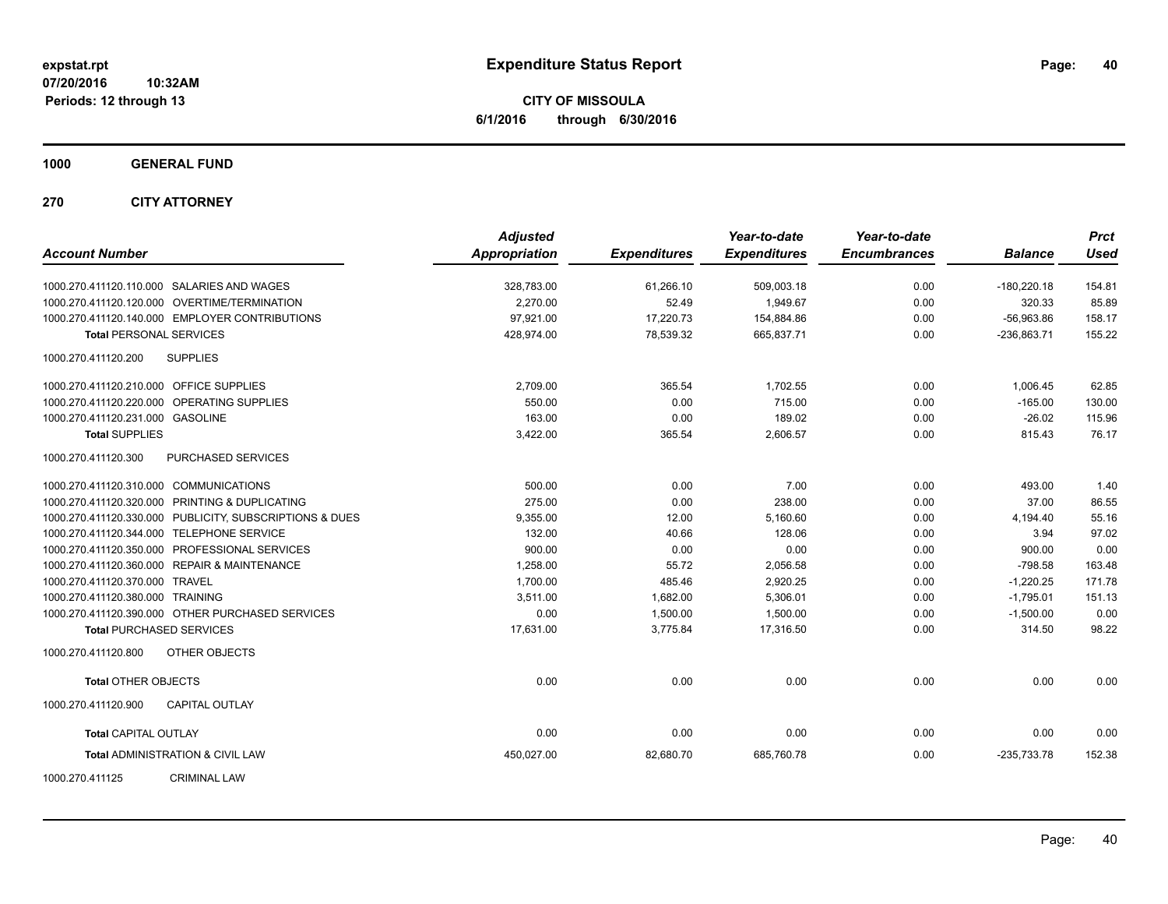**CITY OF MISSOULA 6/1/2016 through 6/30/2016**

**1000 GENERAL FUND**

**270 CITY ATTORNEY**

| <b>Account Number</b>                                   | <b>Adjusted</b><br><b>Appropriation</b> | <b>Expenditures</b> | Year-to-date<br><b>Expenditures</b> | Year-to-date<br><b>Encumbrances</b> | <b>Balance</b> | <b>Prct</b><br><b>Used</b> |
|---------------------------------------------------------|-----------------------------------------|---------------------|-------------------------------------|-------------------------------------|----------------|----------------------------|
| 1000.270.411120.110.000 SALARIES AND WAGES              | 328,783.00                              | 61,266.10           | 509,003.18                          | 0.00                                | $-180,220.18$  | 154.81                     |
| 1000.270.411120.120.000 OVERTIME/TERMINATION            | 2.270.00                                | 52.49               | 1.949.67                            | 0.00                                | 320.33         | 85.89                      |
| 1000.270.411120.140.000 EMPLOYER CONTRIBUTIONS          | 97.921.00                               | 17,220.73           | 154,884.86                          | 0.00                                | $-56,963.86$   | 158.17                     |
| <b>Total PERSONAL SERVICES</b>                          | 428,974.00                              | 78,539.32           | 665,837.71                          | 0.00                                | $-236,863.71$  | 155.22                     |
| <b>SUPPLIES</b><br>1000.270.411120.200                  |                                         |                     |                                     |                                     |                |                            |
| 1000.270.411120.210.000 OFFICE SUPPLIES                 | 2,709.00                                | 365.54              | 1,702.55                            | 0.00                                | 1,006.45       | 62.85                      |
| 1000.270.411120.220.000 OPERATING SUPPLIES              | 550.00                                  | 0.00                | 715.00                              | 0.00                                | $-165.00$      | 130.00                     |
| 1000.270.411120.231.000 GASOLINE                        | 163.00                                  | 0.00                | 189.02                              | 0.00                                | $-26.02$       | 115.96                     |
| <b>Total SUPPLIES</b>                                   | 3,422.00                                | 365.54              | 2,606.57                            | 0.00                                | 815.43         | 76.17                      |
| PURCHASED SERVICES<br>1000.270.411120.300               |                                         |                     |                                     |                                     |                |                            |
| 1000.270.411120.310.000 COMMUNICATIONS                  | 500.00                                  | 0.00                | 7.00                                | 0.00                                | 493.00         | 1.40                       |
| 1000.270.411120.320.000 PRINTING & DUPLICATING          | 275.00                                  | 0.00                | 238.00                              | 0.00                                | 37.00          | 86.55                      |
| 1000.270.411120.330.000 PUBLICITY, SUBSCRIPTIONS & DUES | 9,355.00                                | 12.00               | 5,160.60                            | 0.00                                | 4,194.40       | 55.16                      |
| 1000.270.411120.344.000 TELEPHONE SERVICE               | 132.00                                  | 40.66               | 128.06                              | 0.00                                | 3.94           | 97.02                      |
| 1000.270.411120.350.000 PROFESSIONAL SERVICES           | 900.00                                  | 0.00                | 0.00                                | 0.00                                | 900.00         | 0.00                       |
| 1000.270.411120.360.000 REPAIR & MAINTENANCE            | 1,258.00                                | 55.72               | 2,056.58                            | 0.00                                | $-798.58$      | 163.48                     |
| 1000.270.411120.370.000 TRAVEL                          | 1,700.00                                | 485.46              | 2,920.25                            | 0.00                                | $-1,220.25$    | 171.78                     |
| 1000.270.411120.380.000 TRAINING                        | 3,511.00                                | 1,682.00            | 5,306.01                            | 0.00                                | $-1,795.01$    | 151.13                     |
| 1000.270.411120.390.000 OTHER PURCHASED SERVICES        | 0.00                                    | 1,500.00            | 1,500.00                            | 0.00                                | $-1,500.00$    | 0.00                       |
| <b>Total PURCHASED SERVICES</b>                         | 17,631.00                               | 3,775.84            | 17,316.50                           | 0.00                                | 314.50         | 98.22                      |
| 1000.270.411120.800<br>OTHER OBJECTS                    |                                         |                     |                                     |                                     |                |                            |
| <b>Total OTHER OBJECTS</b>                              | 0.00                                    | 0.00                | 0.00                                | 0.00                                | 0.00           | 0.00                       |
| 1000.270.411120.900<br><b>CAPITAL OUTLAY</b>            |                                         |                     |                                     |                                     |                |                            |
| <b>Total CAPITAL OUTLAY</b>                             | 0.00                                    | 0.00                | 0.00                                | 0.00                                | 0.00           | 0.00                       |
| <b>Total ADMINISTRATION &amp; CIVIL LAW</b>             | 450,027.00                              | 82,680.70           | 685,760.78                          | 0.00                                | $-235,733.78$  | 152.38                     |
| <b>CRIMINAL LAW</b><br>1000.270.411125                  |                                         |                     |                                     |                                     |                |                            |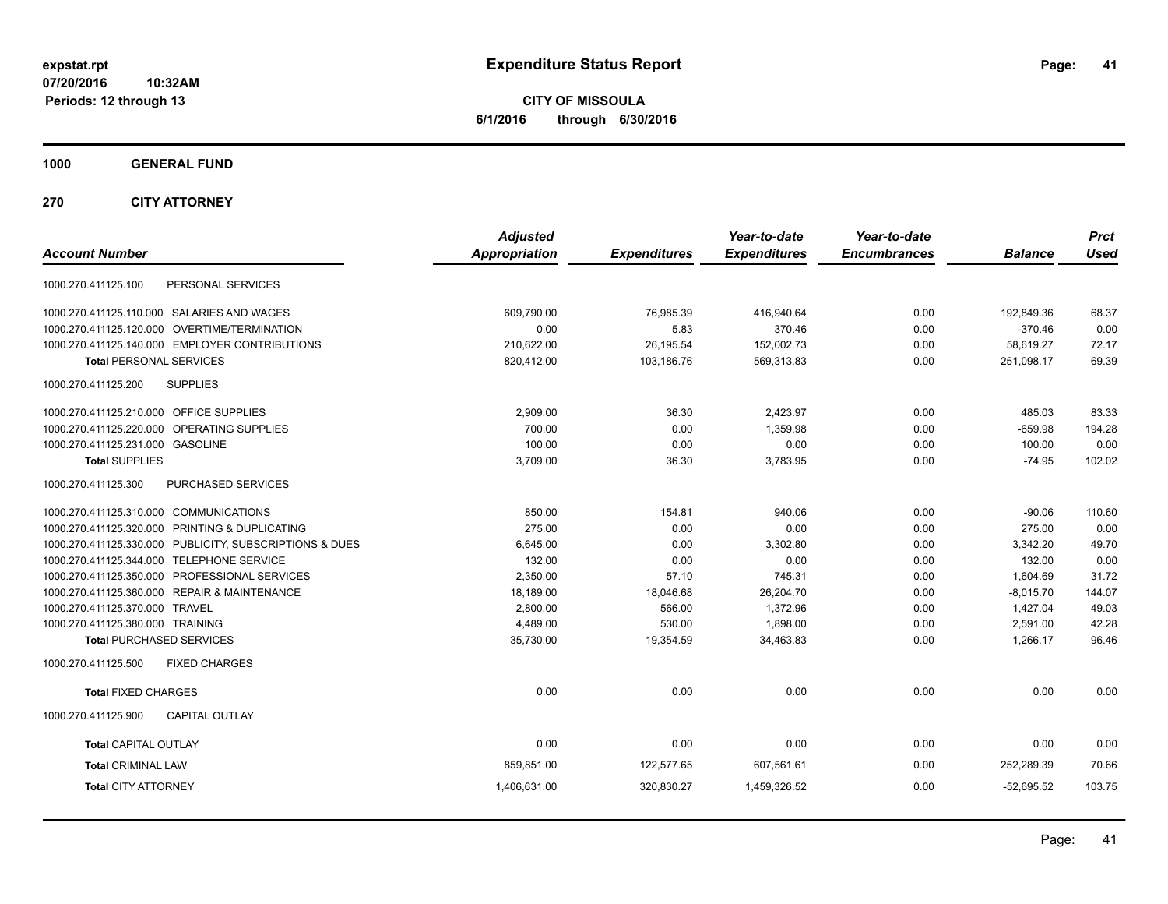**CITY OF MISSOULA 6/1/2016 through 6/30/2016**

**1000 GENERAL FUND**

**270 CITY ATTORNEY**

| <b>Account Number</b>                                   | <b>Adjusted</b><br>Appropriation | <b>Expenditures</b> | Year-to-date<br><b>Expenditures</b> | Year-to-date<br><b>Encumbrances</b> | <b>Balance</b> | <b>Prct</b><br><b>Used</b> |
|---------------------------------------------------------|----------------------------------|---------------------|-------------------------------------|-------------------------------------|----------------|----------------------------|
|                                                         |                                  |                     |                                     |                                     |                |                            |
| PERSONAL SERVICES<br>1000.270.411125.100                |                                  |                     |                                     |                                     |                |                            |
| 1000.270.411125.110.000 SALARIES AND WAGES              | 609,790.00                       | 76,985.39           | 416,940.64                          | 0.00                                | 192,849.36     | 68.37                      |
| 1000.270.411125.120.000 OVERTIME/TERMINATION            | 0.00                             | 5.83                | 370.46                              | 0.00                                | $-370.46$      | 0.00                       |
| 1000.270.411125.140.000 EMPLOYER CONTRIBUTIONS          | 210,622.00                       | 26,195.54           | 152,002.73                          | 0.00                                | 58,619.27      | 72.17                      |
| <b>Total PERSONAL SERVICES</b>                          | 820,412.00                       | 103,186.76          | 569,313.83                          | 0.00                                | 251,098.17     | 69.39                      |
| 1000.270.411125.200<br><b>SUPPLIES</b>                  |                                  |                     |                                     |                                     |                |                            |
| 1000.270.411125.210.000 OFFICE SUPPLIES                 | 2,909.00                         | 36.30               | 2,423.97                            | 0.00                                | 485.03         | 83.33                      |
| 1000.270.411125.220.000 OPERATING SUPPLIES              | 700.00                           | 0.00                | 1.359.98                            | 0.00                                | $-659.98$      | 194.28                     |
| 1000.270.411125.231.000 GASOLINE                        | 100.00                           | 0.00                | 0.00                                | 0.00                                | 100.00         | 0.00                       |
| <b>Total SUPPLIES</b>                                   | 3,709.00                         | 36.30               | 3,783.95                            | 0.00                                | $-74.95$       | 102.02                     |
| 1000.270.411125.300<br><b>PURCHASED SERVICES</b>        |                                  |                     |                                     |                                     |                |                            |
| 1000.270.411125.310.000 COMMUNICATIONS                  | 850.00                           | 154.81              | 940.06                              | 0.00                                | $-90.06$       | 110.60                     |
| 1000.270.411125.320.000 PRINTING & DUPLICATING          | 275.00                           | 0.00                | 0.00                                | 0.00                                | 275.00         | 0.00                       |
| 1000.270.411125.330.000 PUBLICITY, SUBSCRIPTIONS & DUES | 6,645.00                         | 0.00                | 3,302.80                            | 0.00                                | 3,342.20       | 49.70                      |
| 1000.270.411125.344.000 TELEPHONE SERVICE               | 132.00                           | 0.00                | 0.00                                | 0.00                                | 132.00         | 0.00                       |
| 1000.270.411125.350.000 PROFESSIONAL SERVICES           | 2,350.00                         | 57.10               | 745.31                              | 0.00                                | 1,604.69       | 31.72                      |
| 1000.270.411125.360.000 REPAIR & MAINTENANCE            | 18.189.00                        | 18,046.68           | 26,204.70                           | 0.00                                | $-8,015.70$    | 144.07                     |
| 1000.270.411125.370.000 TRAVEL                          | 2,800.00                         | 566.00              | 1,372.96                            | 0.00                                | 1,427.04       | 49.03                      |
| 1000.270.411125.380.000 TRAINING                        | 4,489.00                         | 530.00              | 1,898.00                            | 0.00                                | 2,591.00       | 42.28                      |
| <b>Total PURCHASED SERVICES</b>                         | 35,730.00                        | 19,354.59           | 34,463.83                           | 0.00                                | 1.266.17       | 96.46                      |
| 1000.270.411125.500<br><b>FIXED CHARGES</b>             |                                  |                     |                                     |                                     |                |                            |
| <b>Total FIXED CHARGES</b>                              | 0.00                             | 0.00                | 0.00                                | 0.00                                | 0.00           | 0.00                       |
| 1000.270.411125.900<br><b>CAPITAL OUTLAY</b>            |                                  |                     |                                     |                                     |                |                            |
| <b>Total CAPITAL OUTLAY</b>                             | 0.00                             | 0.00                | 0.00                                | 0.00                                | 0.00           | 0.00                       |
| <b>Total CRIMINAL LAW</b>                               | 859,851.00                       | 122,577.65          | 607,561.61                          | 0.00                                | 252,289.39     | 70.66                      |
| <b>Total CITY ATTORNEY</b>                              | 1,406,631.00                     | 320,830.27          | 1,459,326.52                        | 0.00                                | $-52,695.52$   | 103.75                     |
|                                                         |                                  |                     |                                     |                                     |                |                            |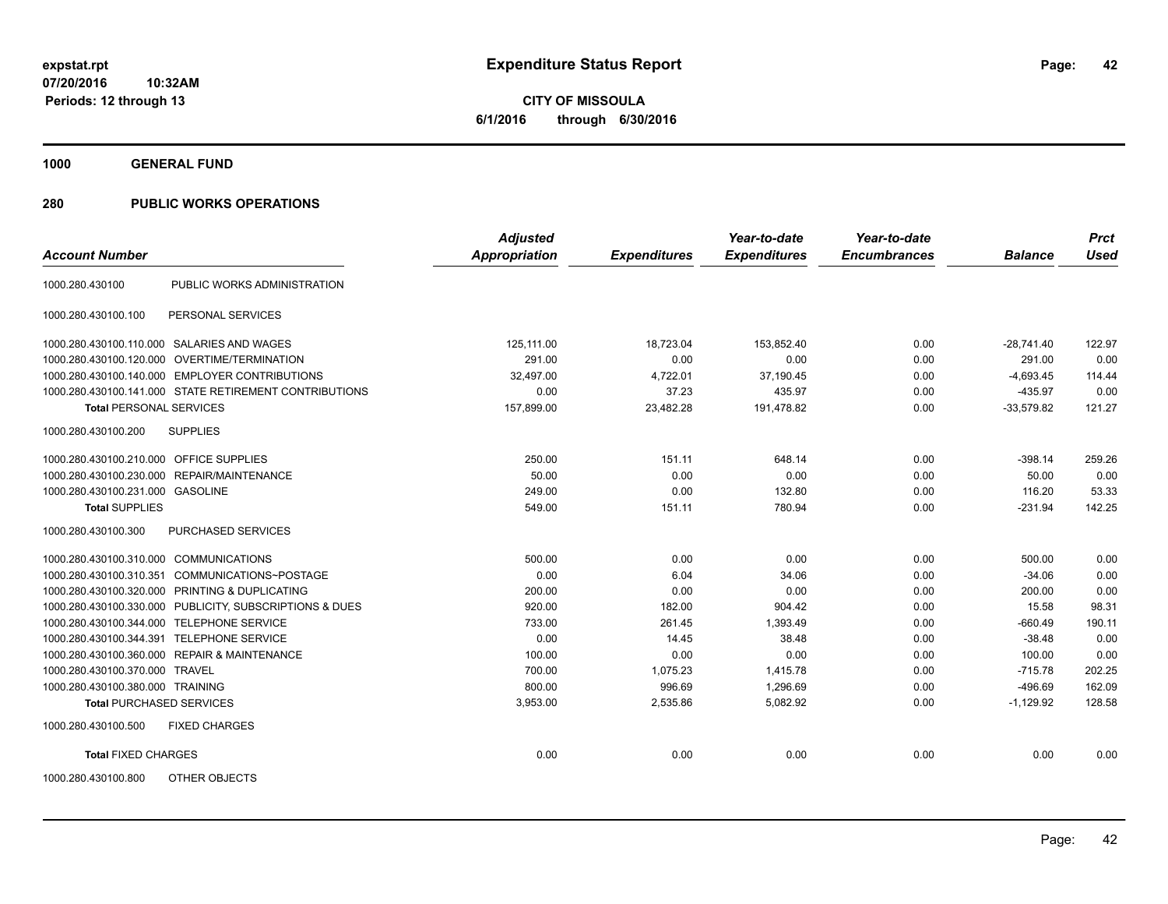**1000 GENERAL FUND**

| <b>Account Number</b>                   |                                                         | <b>Adjusted</b><br>Appropriation | <b>Expenditures</b> | Year-to-date<br><b>Expenditures</b> | Year-to-date<br><b>Encumbrances</b> | <b>Balance</b> | <b>Prct</b><br><b>Used</b> |
|-----------------------------------------|---------------------------------------------------------|----------------------------------|---------------------|-------------------------------------|-------------------------------------|----------------|----------------------------|
|                                         |                                                         |                                  |                     |                                     |                                     |                |                            |
| 1000.280.430100                         | PUBLIC WORKS ADMINISTRATION                             |                                  |                     |                                     |                                     |                |                            |
| 1000.280.430100.100                     | PERSONAL SERVICES                                       |                                  |                     |                                     |                                     |                |                            |
|                                         | 1000.280.430100.110.000 SALARIES AND WAGES              | 125.111.00                       | 18,723.04           | 153,852.40                          | 0.00                                | $-28,741.40$   | 122.97                     |
| 1000.280.430100.120.000                 | OVERTIME/TERMINATION                                    | 291.00                           | 0.00                | 0.00                                | 0.00                                | 291.00         | 0.00                       |
|                                         | 1000.280.430100.140.000 EMPLOYER CONTRIBUTIONS          | 32.497.00                        | 4,722.01            | 37,190.45                           | 0.00                                | $-4.693.45$    | 114.44                     |
|                                         | 1000.280.430100.141.000 STATE RETIREMENT CONTRIBUTIONS  | 0.00                             | 37.23               | 435.97                              | 0.00                                | $-435.97$      | 0.00                       |
| <b>Total PERSONAL SERVICES</b>          |                                                         | 157,899.00                       | 23,482.28           | 191,478.82                          | 0.00                                | $-33,579.82$   | 121.27                     |
| 1000.280.430100.200                     | <b>SUPPLIES</b>                                         |                                  |                     |                                     |                                     |                |                            |
| 1000.280.430100.210.000 OFFICE SUPPLIES |                                                         | 250.00                           | 151.11              | 648.14                              | 0.00                                | $-398.14$      | 259.26                     |
| 1000.280.430100.230.000                 | REPAIR/MAINTENANCE                                      | 50.00                            | 0.00                | 0.00                                | 0.00                                | 50.00          | 0.00                       |
| 1000.280.430100.231.000 GASOLINE        |                                                         | 249.00                           | 0.00                | 132.80                              | 0.00                                | 116.20         | 53.33                      |
| <b>Total SUPPLIES</b>                   |                                                         | 549.00                           | 151.11              | 780.94                              | 0.00                                | $-231.94$      | 142.25                     |
| 1000.280.430100.300                     | <b>PURCHASED SERVICES</b>                               |                                  |                     |                                     |                                     |                |                            |
| 1000.280.430100.310.000                 | <b>COMMUNICATIONS</b>                                   | 500.00                           | 0.00                | 0.00                                | 0.00                                | 500.00         | 0.00                       |
| 1000.280.430100.310.351                 | COMMUNICATIONS~POSTAGE                                  | 0.00                             | 6.04                | 34.06                               | 0.00                                | $-34.06$       | 0.00                       |
| 1000.280.430100.320.000                 | PRINTING & DUPLICATING                                  | 200.00                           | 0.00                | 0.00                                | 0.00                                | 200.00         | 0.00                       |
|                                         | 1000.280.430100.330.000 PUBLICITY, SUBSCRIPTIONS & DUES | 920.00                           | 182.00              | 904.42                              | 0.00                                | 15.58          | 98.31                      |
| 1000.280.430100.344.000                 | <b>TELEPHONE SERVICE</b>                                | 733.00                           | 261.45              | 1,393.49                            | 0.00                                | $-660.49$      | 190.11                     |
| 1000.280.430100.344.391                 | <b>TELEPHONE SERVICE</b>                                | 0.00                             | 14.45               | 38.48                               | 0.00                                | $-38.48$       | 0.00                       |
|                                         | 1000.280.430100.360.000 REPAIR & MAINTENANCE            | 100.00                           | 0.00                | 0.00                                | 0.00                                | 100.00         | 0.00                       |
| 1000.280.430100.370.000 TRAVEL          |                                                         | 700.00                           | 1,075.23            | 1,415.78                            | 0.00                                | $-715.78$      | 202.25                     |
| 1000.280.430100.380.000 TRAINING        |                                                         | 800.00                           | 996.69              | 1,296.69                            | 0.00                                | $-496.69$      | 162.09                     |
| <b>Total PURCHASED SERVICES</b>         |                                                         | 3,953.00                         | 2,535.86            | 5,082.92                            | 0.00                                | $-1,129.92$    | 128.58                     |
| 1000.280.430100.500                     | <b>FIXED CHARGES</b>                                    |                                  |                     |                                     |                                     |                |                            |
| <b>Total FIXED CHARGES</b>              |                                                         | 0.00                             | 0.00                | 0.00                                | 0.00                                | 0.00           | 0.00                       |
| 1000.280.430100.800                     | OTHER OBJECTS                                           |                                  |                     |                                     |                                     |                |                            |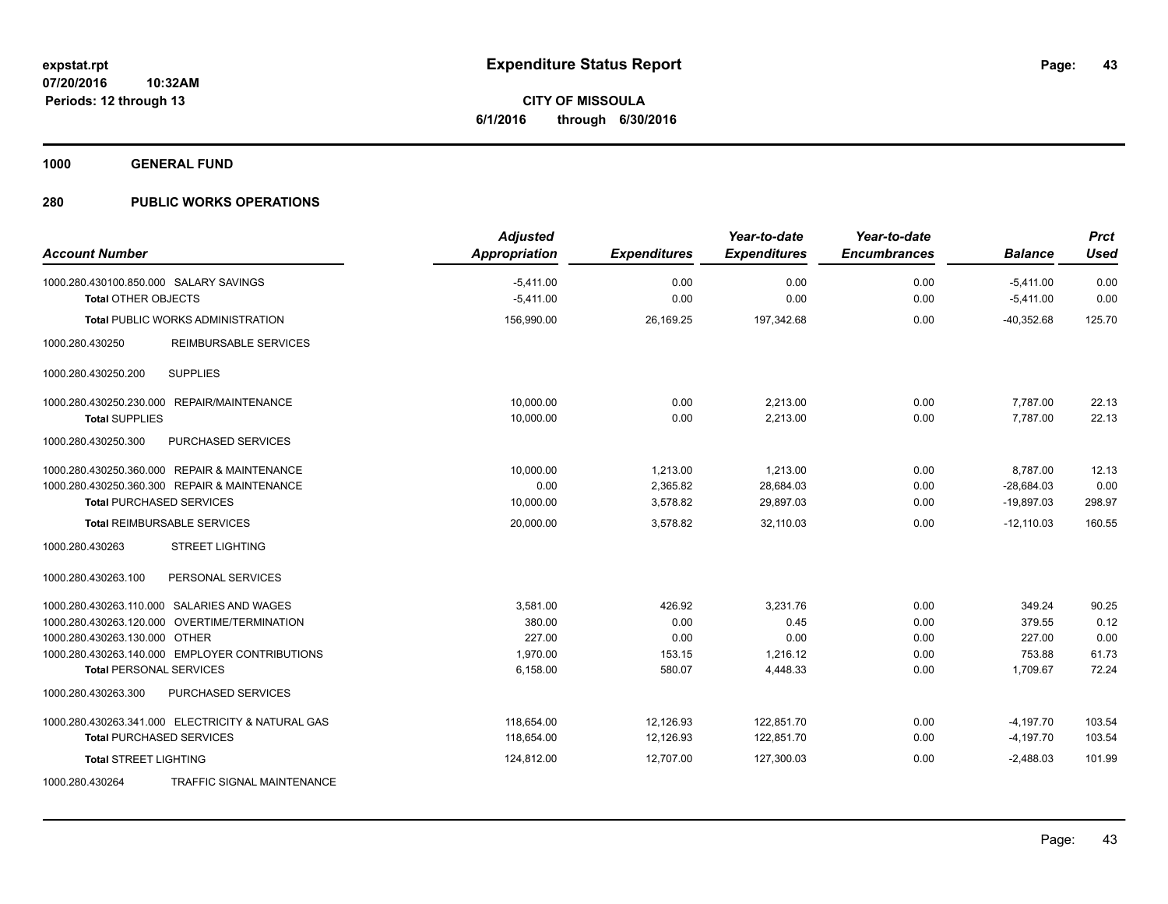**1000 GENERAL FUND**

|                                                      | <b>Adjusted</b>      |                     | Year-to-date        | Year-to-date        |                | <b>Prct</b> |
|------------------------------------------------------|----------------------|---------------------|---------------------|---------------------|----------------|-------------|
| <b>Account Number</b>                                | <b>Appropriation</b> | <b>Expenditures</b> | <b>Expenditures</b> | <b>Encumbrances</b> | <b>Balance</b> | <b>Used</b> |
| 1000.280.430100.850.000 SALARY SAVINGS               | $-5,411.00$          | 0.00                | 0.00                | 0.00                | $-5,411.00$    | 0.00        |
| <b>Total OTHER OBJECTS</b>                           | $-5,411.00$          | 0.00                | 0.00                | 0.00                | $-5,411.00$    | 0.00        |
| Total PUBLIC WORKS ADMINISTRATION                    | 156,990.00           | 26,169.25           | 197,342.68          | 0.00                | $-40,352.68$   | 125.70      |
| 1000.280.430250<br><b>REIMBURSABLE SERVICES</b>      |                      |                     |                     |                     |                |             |
| <b>SUPPLIES</b><br>1000.280.430250.200               |                      |                     |                     |                     |                |             |
| 1000.280.430250.230.000 REPAIR/MAINTENANCE           | 10,000.00            | 0.00                | 2,213.00            | 0.00                | 7,787.00       | 22.13       |
| <b>Total SUPPLIES</b>                                | 10,000.00            | 0.00                | 2,213.00            | 0.00                | 7,787.00       | 22.13       |
| 1000.280.430250.300<br>PURCHASED SERVICES            |                      |                     |                     |                     |                |             |
| 1000.280.430250.360.000 REPAIR & MAINTENANCE         | 10,000.00            | 1,213.00            | 1,213.00            | 0.00                | 8,787.00       | 12.13       |
| 1000.280.430250.360.300 REPAIR & MAINTENANCE         | 0.00                 | 2,365.82            | 28,684.03           | 0.00                | $-28,684.03$   | 0.00        |
| <b>Total PURCHASED SERVICES</b>                      | 10,000.00            | 3,578.82            | 29,897.03           | 0.00                | $-19,897.03$   | 298.97      |
| <b>Total REIMBURSABLE SERVICES</b>                   | 20,000.00            | 3,578.82            | 32,110.03           | 0.00                | $-12,110.03$   | 160.55      |
| 1000.280.430263<br><b>STREET LIGHTING</b>            |                      |                     |                     |                     |                |             |
| 1000.280.430263.100<br>PERSONAL SERVICES             |                      |                     |                     |                     |                |             |
| 1000.280.430263.110.000 SALARIES AND WAGES           | 3,581.00             | 426.92              | 3,231.76            | 0.00                | 349.24         | 90.25       |
| 1000.280.430263.120.000 OVERTIME/TERMINATION         | 380.00               | 0.00                | 0.45                | 0.00                | 379.55         | 0.12        |
| 1000.280.430263.130.000 OTHER                        | 227.00               | 0.00                | 0.00                | 0.00                | 227.00         | 0.00        |
| 1000.280.430263.140.000 EMPLOYER CONTRIBUTIONS       | 1,970.00             | 153.15              | 1,216.12            | 0.00                | 753.88         | 61.73       |
| <b>Total PERSONAL SERVICES</b>                       | 6,158.00             | 580.07              | 4,448.33            | 0.00                | 1,709.67       | 72.24       |
| 1000.280.430263.300<br>PURCHASED SERVICES            |                      |                     |                     |                     |                |             |
| 1000.280.430263.341.000 ELECTRICITY & NATURAL GAS    | 118,654.00           | 12,126.93           | 122,851.70          | 0.00                | $-4,197.70$    | 103.54      |
| <b>Total PURCHASED SERVICES</b>                      | 118,654.00           | 12,126.93           | 122,851.70          | 0.00                | $-4,197.70$    | 103.54      |
| <b>Total STREET LIGHTING</b>                         | 124,812.00           | 12,707.00           | 127,300.03          | 0.00                | $-2,488.03$    | 101.99      |
| <b>TRAFFIC SIGNAL MAINTENANCE</b><br>1000.280.430264 |                      |                     |                     |                     |                |             |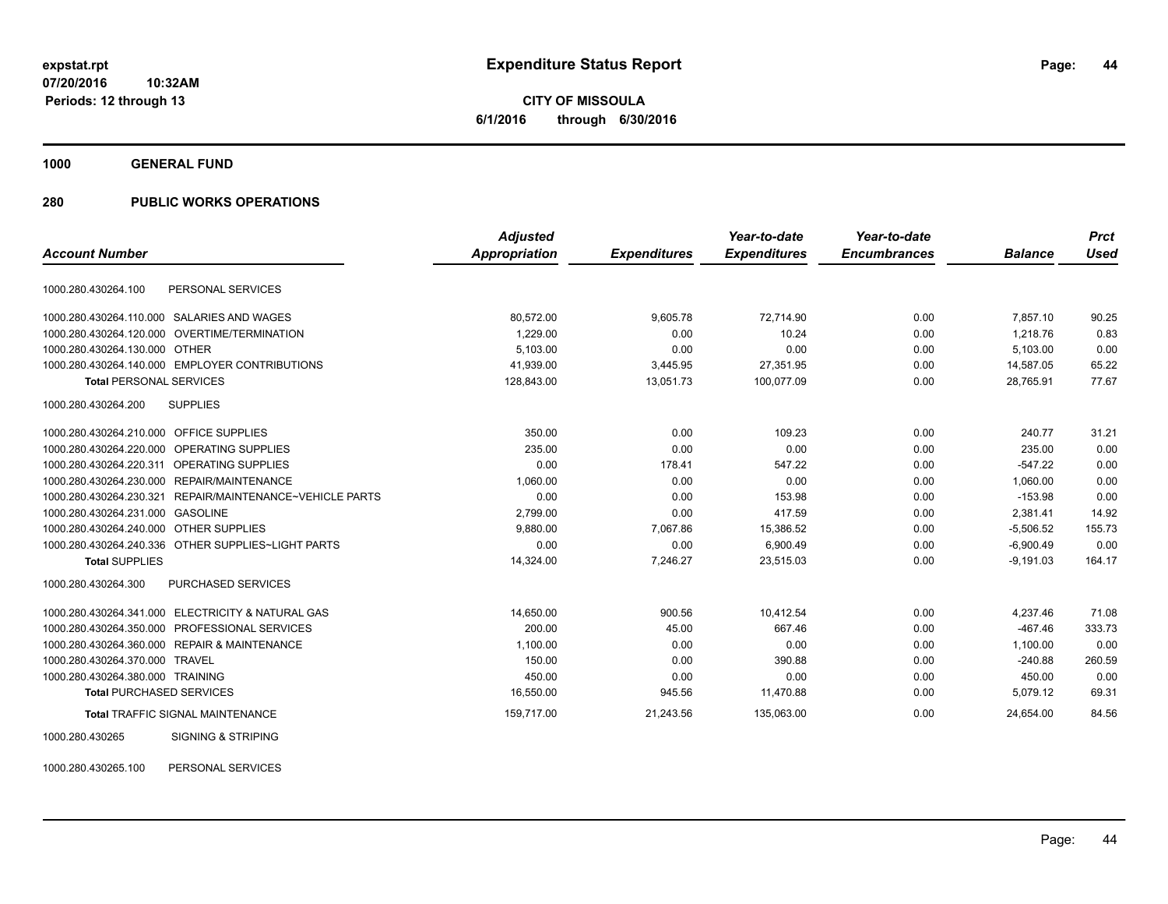**1000 GENERAL FUND**

### **280 PUBLIC WORKS OPERATIONS**

|                                                                 | <b>Adjusted</b> |                     | Year-to-date        | Year-to-date        |                | <b>Prct</b> |
|-----------------------------------------------------------------|-----------------|---------------------|---------------------|---------------------|----------------|-------------|
| <b>Account Number</b>                                           | Appropriation   | <b>Expenditures</b> | <b>Expenditures</b> | <b>Encumbrances</b> | <b>Balance</b> | <b>Used</b> |
| PERSONAL SERVICES<br>1000.280.430264.100                        |                 |                     |                     |                     |                |             |
| SALARIES AND WAGES<br>1000.280.430264.110.000                   | 80,572.00       | 9,605.78            | 72,714.90           | 0.00                | 7,857.10       | 90.25       |
| OVERTIME/TERMINATION<br>1000.280.430264.120.000                 | 1.229.00        | 0.00                | 10.24               | 0.00                | 1.218.76       | 0.83        |
| <b>OTHER</b><br>1000.280.430264.130.000                         | 5,103.00        | 0.00                | 0.00                | 0.00                | 5,103.00       | 0.00        |
| 1000.280.430264.140.000 EMPLOYER CONTRIBUTIONS                  | 41,939.00       | 3,445.95            | 27,351.95           | 0.00                | 14,587.05      | 65.22       |
| <b>Total PERSONAL SERVICES</b>                                  | 128,843.00      | 13,051.73           | 100,077.09          | 0.00                | 28,765.91      | 77.67       |
| 1000.280.430264.200<br><b>SUPPLIES</b>                          |                 |                     |                     |                     |                |             |
| <b>OFFICE SUPPLIES</b><br>1000.280.430264.210.000               | 350.00          | 0.00                | 109.23              | 0.00                | 240.77         | 31.21       |
| OPERATING SUPPLIES<br>1000.280.430264.220.000                   | 235.00          | 0.00                | 0.00                | 0.00                | 235.00         | 0.00        |
| 1000.280.430264.220.311<br><b>OPERATING SUPPLIES</b>            | 0.00            | 178.41              | 547.22              | 0.00                | $-547.22$      | 0.00        |
| 1000.280.430264.230.000<br>REPAIR/MAINTENANCE                   | 1,060.00        | 0.00                | 0.00                | 0.00                | 1,060.00       | 0.00        |
| 1000.280.430264.230.321<br>REPAIR/MAINTENANCE~VEHICLE PARTS     | 0.00            | 0.00                | 153.98              | 0.00                | $-153.98$      | 0.00        |
| 1000.280.430264.231.000<br>GASOLINE                             | 2,799.00        | 0.00                | 417.59              | 0.00                | 2,381.41       | 14.92       |
| <b>OTHER SUPPLIES</b><br>1000.280.430264.240.000                | 9,880.00        | 7,067.86            | 15,386.52           | 0.00                | $-5,506.52$    | 155.73      |
| 1000.280.430264.240.336<br>OTHER SUPPLIES~LIGHT PARTS           | 0.00            | 0.00                | 6,900.49            | 0.00                | $-6,900.49$    | 0.00        |
| <b>Total SUPPLIES</b>                                           | 14,324.00       | 7,246.27            | 23,515.03           | 0.00                | $-9,191.03$    | 164.17      |
| 1000.280.430264.300<br>PURCHASED SERVICES                       |                 |                     |                     |                     |                |             |
| <b>ELECTRICITY &amp; NATURAL GAS</b><br>1000.280.430264.341.000 | 14,650.00       | 900.56              | 10,412.54           | 0.00                | 4,237.46       | 71.08       |
| PROFESSIONAL SERVICES<br>1000.280.430264.350.000                | 200.00          | 45.00               | 667.46              | 0.00                | $-467.46$      | 333.73      |
| 1000.280.430264.360.000 REPAIR & MAINTENANCE                    | 1,100.00        | 0.00                | 0.00                | 0.00                | 1,100.00       | 0.00        |
| 1000.280.430264.370.000<br><b>TRAVEL</b>                        | 150.00          | 0.00                | 390.88              | 0.00                | $-240.88$      | 260.59      |
| 1000.280.430264.380.000 TRAINING                                | 450.00          | 0.00                | 0.00                | 0.00                | 450.00         | 0.00        |
| <b>Total PURCHASED SERVICES</b>                                 | 16,550.00       | 945.56              | 11,470.88           | 0.00                | 5,079.12       | 69.31       |
| <b>Total TRAFFIC SIGNAL MAINTENANCE</b>                         | 159,717.00      | 21,243.56           | 135,063.00          | 0.00                | 24,654.00      | 84.56       |
| <b>SIGNING &amp; STRIPING</b><br>1000.280.430265                |                 |                     |                     |                     |                |             |

1000.280.430265.100 PERSONAL SERVICES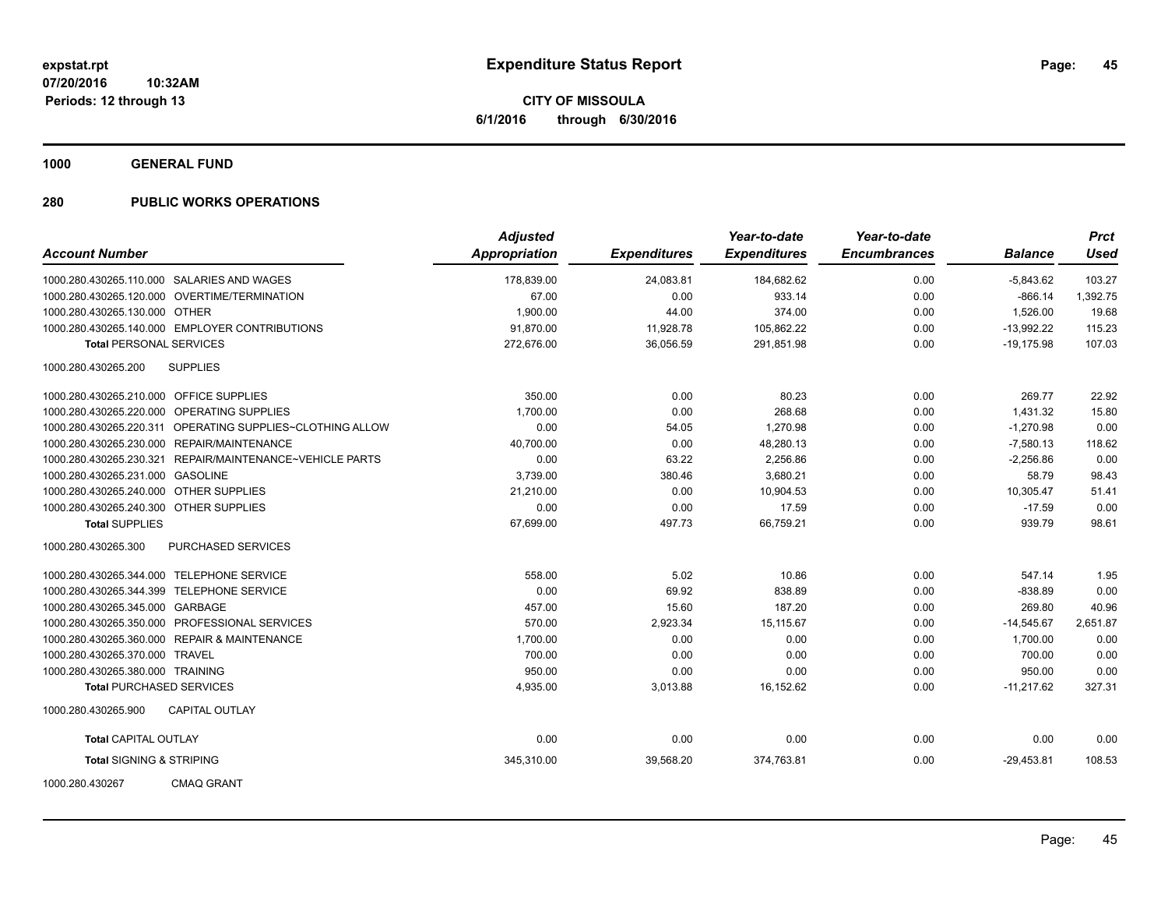**1000 GENERAL FUND**

| <b>Account Number</b>                   |                                                           | <b>Adjusted</b><br><b>Appropriation</b> | <b>Expenditures</b> | Year-to-date<br><b>Expenditures</b> | Year-to-date<br><b>Encumbrances</b> | <b>Balance</b> | <b>Prct</b><br><b>Used</b> |
|-----------------------------------------|-----------------------------------------------------------|-----------------------------------------|---------------------|-------------------------------------|-------------------------------------|----------------|----------------------------|
|                                         | 1000.280.430265.110.000 SALARIES AND WAGES                | 178,839.00                              | 24,083.81           | 184,682.62                          | 0.00                                | $-5,843.62$    | 103.27                     |
|                                         | 1000.280.430265.120.000 OVERTIME/TERMINATION              | 67.00                                   | 0.00                | 933.14                              | 0.00                                | $-866.14$      | 1,392.75                   |
| 1000.280.430265.130.000 OTHER           |                                                           | 1,900.00                                | 44.00               | 374.00                              | 0.00                                | 1,526.00       | 19.68                      |
|                                         | 1000.280.430265.140.000 EMPLOYER CONTRIBUTIONS            | 91,870.00                               | 11,928.78           | 105,862.22                          | 0.00                                | $-13,992.22$   | 115.23                     |
| <b>Total PERSONAL SERVICES</b>          |                                                           | 272,676.00                              | 36,056.59           | 291,851.98                          | 0.00                                | $-19,175.98$   | 107.03                     |
|                                         |                                                           |                                         |                     |                                     |                                     |                |                            |
| 1000.280.430265.200                     | <b>SUPPLIES</b>                                           |                                         |                     |                                     |                                     |                |                            |
| 1000.280.430265.210.000 OFFICE SUPPLIES |                                                           | 350.00                                  | 0.00                | 80.23                               | 0.00                                | 269.77         | 22.92                      |
|                                         | 1000.280.430265.220.000 OPERATING SUPPLIES                | 1,700.00                                | 0.00                | 268.68                              | 0.00                                | 1,431.32       | 15.80                      |
|                                         | 1000.280.430265.220.311 OPERATING SUPPLIES~CLOTHING ALLOW | 0.00                                    | 54.05               | 1,270.98                            | 0.00                                | $-1,270.98$    | 0.00                       |
|                                         | 1000.280.430265.230.000 REPAIR/MAINTENANCE                | 40,700.00                               | 0.00                | 48,280.13                           | 0.00                                | $-7,580.13$    | 118.62                     |
|                                         | 1000.280.430265.230.321 REPAIR/MAINTENANCE~VEHICLE PARTS  | 0.00                                    | 63.22               | 2,256.86                            | 0.00                                | $-2,256.86$    | 0.00                       |
| 1000.280.430265.231.000 GASOLINE        |                                                           | 3,739.00                                | 380.46              | 3,680.21                            | 0.00                                | 58.79          | 98.43                      |
| 1000.280.430265.240.000 OTHER SUPPLIES  |                                                           | 21,210.00                               | 0.00                | 10,904.53                           | 0.00                                | 10,305.47      | 51.41                      |
| 1000.280.430265.240.300 OTHER SUPPLIES  |                                                           | 0.00                                    | 0.00                | 17.59                               | 0.00                                | $-17.59$       | 0.00                       |
| <b>Total SUPPLIES</b>                   |                                                           | 67,699.00                               | 497.73              | 66,759.21                           | 0.00                                | 939.79         | 98.61                      |
| 1000.280.430265.300                     | PURCHASED SERVICES                                        |                                         |                     |                                     |                                     |                |                            |
|                                         | 1000.280.430265.344.000 TELEPHONE SERVICE                 | 558.00                                  | 5.02                | 10.86                               | 0.00                                | 547.14         | 1.95                       |
|                                         | 1000.280.430265.344.399 TELEPHONE SERVICE                 | 0.00                                    | 69.92               | 838.89                              | 0.00                                | $-838.89$      | 0.00                       |
| 1000.280.430265.345.000 GARBAGE         |                                                           | 457.00                                  | 15.60               | 187.20                              | 0.00                                | 269.80         | 40.96                      |
|                                         | 1000.280.430265.350.000 PROFESSIONAL SERVICES             | 570.00                                  | 2,923.34            | 15,115.67                           | 0.00                                | $-14,545.67$   | 2,651.87                   |
|                                         | 1000.280.430265.360.000 REPAIR & MAINTENANCE              | 1,700.00                                | 0.00                | 0.00                                | 0.00                                | 1,700.00       | 0.00                       |
| 1000.280.430265.370.000 TRAVEL          |                                                           | 700.00                                  | 0.00                | 0.00                                | 0.00                                | 700.00         | 0.00                       |
| 1000.280.430265.380.000 TRAINING        |                                                           | 950.00                                  | 0.00                | 0.00                                | 0.00                                | 950.00         | 0.00                       |
| <b>Total PURCHASED SERVICES</b>         |                                                           | 4,935.00                                | 3,013.88            | 16,152.62                           | 0.00                                | $-11,217.62$   | 327.31                     |
| 1000.280.430265.900                     | <b>CAPITAL OUTLAY</b>                                     |                                         |                     |                                     |                                     |                |                            |
| <b>Total CAPITAL OUTLAY</b>             |                                                           | 0.00                                    | 0.00                | 0.00                                | 0.00                                | 0.00           | 0.00                       |
| <b>Total SIGNING &amp; STRIPING</b>     |                                                           | 345,310.00                              | 39,568.20           | 374,763.81                          | 0.00                                | $-29,453.81$   | 108.53                     |
| 1000.280.430267                         | <b>CMAQ GRANT</b>                                         |                                         |                     |                                     |                                     |                |                            |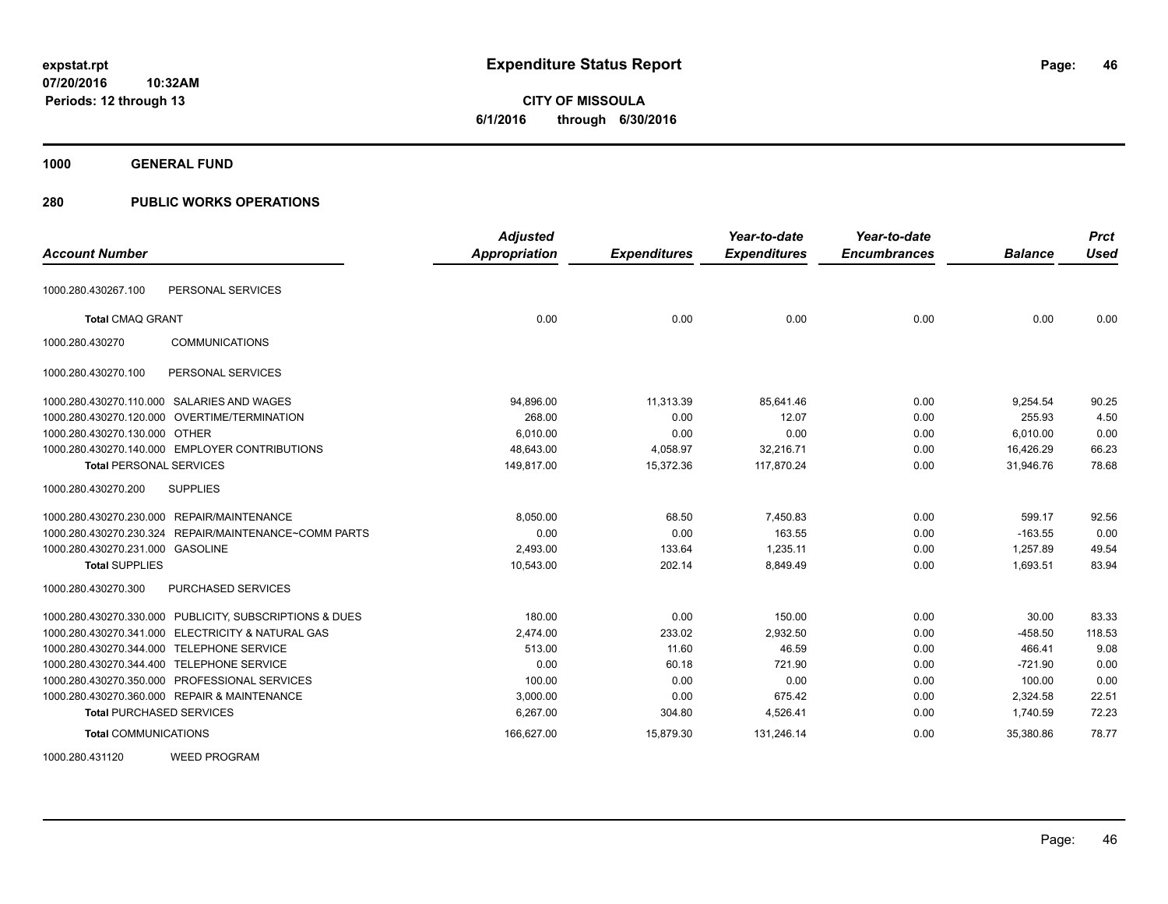**46**

**07/20/2016 10:32AM Periods: 12 through 13**

# **CITY OF MISSOULA 6/1/2016 through 6/30/2016**

**1000 GENERAL FUND**

| <b>Account Number</b>                                   | <b>Adjusted</b><br><b>Appropriation</b> | <b>Expenditures</b> | Year-to-date<br><b>Expenditures</b> | Year-to-date<br><b>Encumbrances</b> | <b>Balance</b> | <b>Prct</b><br><b>Used</b> |
|---------------------------------------------------------|-----------------------------------------|---------------------|-------------------------------------|-------------------------------------|----------------|----------------------------|
|                                                         |                                         |                     |                                     |                                     |                |                            |
| PERSONAL SERVICES<br>1000.280.430267.100                |                                         |                     |                                     |                                     |                |                            |
| <b>Total CMAQ GRANT</b>                                 | 0.00                                    | 0.00                | 0.00                                | 0.00                                | 0.00           | 0.00                       |
| 1000.280.430270<br><b>COMMUNICATIONS</b>                |                                         |                     |                                     |                                     |                |                            |
| PERSONAL SERVICES<br>1000.280.430270.100                |                                         |                     |                                     |                                     |                |                            |
| 1000.280.430270.110.000 SALARIES AND WAGES              | 94,896.00                               | 11,313.39           | 85,641.46                           | 0.00                                | 9,254.54       | 90.25                      |
| 1000.280.430270.120.000 OVERTIME/TERMINATION            | 268.00                                  | 0.00                | 12.07                               | 0.00                                | 255.93         | 4.50                       |
| 1000.280.430270.130.000 OTHER                           | 6.010.00                                | 0.00                | 0.00                                | 0.00                                | 6,010.00       | 0.00                       |
| 1000.280.430270.140.000 EMPLOYER CONTRIBUTIONS          | 48,643.00                               | 4,058.97            | 32,216.71                           | 0.00                                | 16,426.29      | 66.23                      |
| <b>Total PERSONAL SERVICES</b>                          | 149,817.00                              | 15,372.36           | 117,870.24                          | 0.00                                | 31,946.76      | 78.68                      |
| 1000.280.430270.200<br><b>SUPPLIES</b>                  |                                         |                     |                                     |                                     |                |                            |
| 1000.280.430270.230.000 REPAIR/MAINTENANCE              | 8.050.00                                | 68.50               | 7,450.83                            | 0.00                                | 599.17         | 92.56                      |
| 1000.280.430270.230.324 REPAIR/MAINTENANCE~COMM PARTS   | 0.00                                    | 0.00                | 163.55                              | 0.00                                | $-163.55$      | 0.00                       |
| 1000.280.430270.231.000 GASOLINE                        | 2,493.00                                | 133.64              | 1,235.11                            | 0.00                                | 1,257.89       | 49.54                      |
| <b>Total SUPPLIES</b>                                   | 10,543.00                               | 202.14              | 8,849.49                            | 0.00                                | 1,693.51       | 83.94                      |
| 1000.280.430270.300<br>PURCHASED SERVICES               |                                         |                     |                                     |                                     |                |                            |
| 1000.280.430270.330.000 PUBLICITY, SUBSCRIPTIONS & DUES | 180.00                                  | 0.00                | 150.00                              | 0.00                                | 30.00          | 83.33                      |
| 1000.280.430270.341.000 ELECTRICITY & NATURAL GAS       | 2.474.00                                | 233.02              | 2.932.50                            | 0.00                                | $-458.50$      | 118.53                     |
| 1000.280.430270.344.000 TELEPHONE SERVICE               | 513.00                                  | 11.60               | 46.59                               | 0.00                                | 466.41         | 9.08                       |
| 1000.280.430270.344.400 TELEPHONE SERVICE               | 0.00                                    | 60.18               | 721.90                              | 0.00                                | $-721.90$      | 0.00                       |
| 1000.280.430270.350.000 PROFESSIONAL SERVICES           | 100.00                                  | 0.00                | 0.00                                | 0.00                                | 100.00         | 0.00                       |
| 1000.280.430270.360.000 REPAIR & MAINTENANCE            | 3.000.00                                | 0.00                | 675.42                              | 0.00                                | 2,324.58       | 22.51                      |
| <b>Total PURCHASED SERVICES</b>                         | 6,267.00                                | 304.80              | 4,526.41                            | 0.00                                | 1,740.59       | 72.23                      |
| <b>Total COMMUNICATIONS</b>                             | 166,627.00                              | 15,879.30           | 131,246.14                          | 0.00                                | 35,380.86      | 78.77                      |
| <b>WEED PROGRAM</b><br>1000.280.431120                  |                                         |                     |                                     |                                     |                |                            |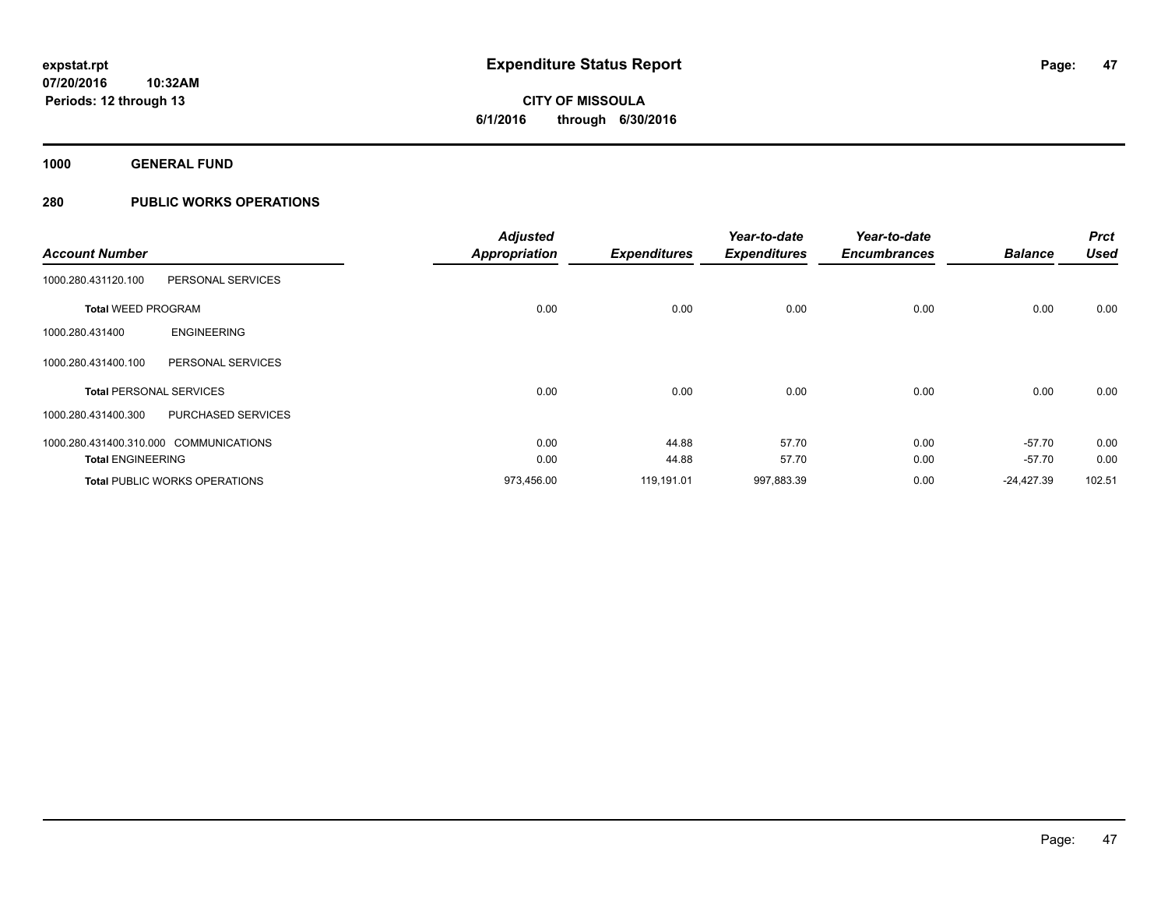**1000 GENERAL FUND**

| <b>Account Number</b>                  |                                      | <b>Adjusted</b><br><b>Appropriation</b> | <b>Expenditures</b> | Year-to-date<br><b>Expenditures</b> | Year-to-date<br><b>Encumbrances</b> | <b>Balance</b> | <b>Prct</b><br><b>Used</b> |
|----------------------------------------|--------------------------------------|-----------------------------------------|---------------------|-------------------------------------|-------------------------------------|----------------|----------------------------|
| 1000.280.431120.100                    | PERSONAL SERVICES                    |                                         |                     |                                     |                                     |                |                            |
| <b>Total WEED PROGRAM</b>              |                                      | 0.00                                    | 0.00                | 0.00                                | 0.00                                | 0.00           | 0.00                       |
| 1000.280.431400                        | <b>ENGINEERING</b>                   |                                         |                     |                                     |                                     |                |                            |
| 1000.280.431400.100                    | PERSONAL SERVICES                    |                                         |                     |                                     |                                     |                |                            |
| <b>Total PERSONAL SERVICES</b>         |                                      | 0.00                                    | 0.00                | 0.00                                | 0.00                                | 0.00           | 0.00                       |
| 1000.280.431400.300                    | <b>PURCHASED SERVICES</b>            |                                         |                     |                                     |                                     |                |                            |
| 1000.280.431400.310.000 COMMUNICATIONS |                                      | 0.00                                    | 44.88               | 57.70                               | 0.00                                | $-57.70$       | 0.00                       |
| <b>Total ENGINEERING</b>               |                                      | 0.00                                    | 44.88               | 57.70                               | 0.00                                | $-57.70$       | 0.00                       |
|                                        | <b>Total PUBLIC WORKS OPERATIONS</b> | 973,456.00                              | 119,191.01          | 997,883.39                          | 0.00                                | $-24,427.39$   | 102.51                     |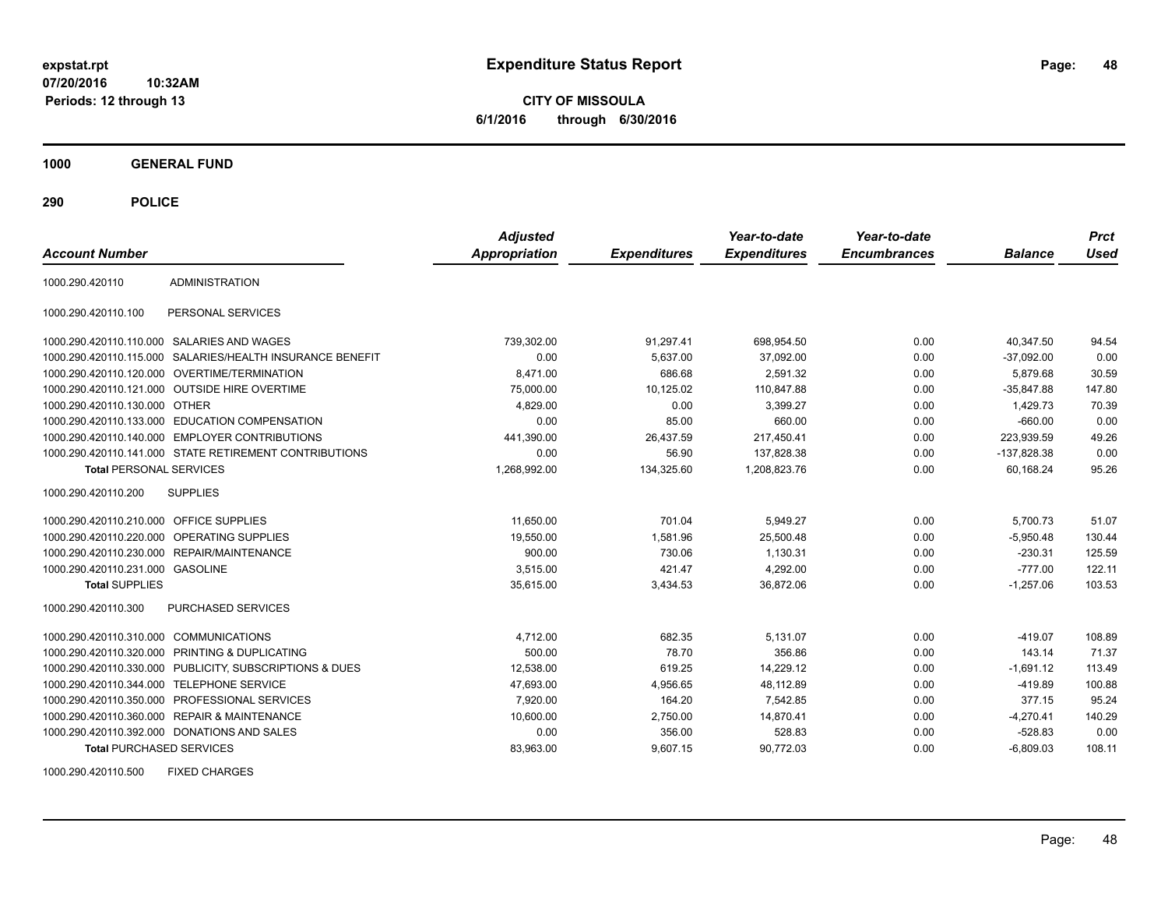**CITY OF MISSOULA 6/1/2016 through 6/30/2016**

**1000 GENERAL FUND**

**290 POLICE**

| <b>Account Number</b>                   |                                                         | <b>Adjusted</b><br><b>Appropriation</b> | <b>Expenditures</b> | Year-to-date<br><b>Expenditures</b> | Year-to-date<br><b>Encumbrances</b> | <b>Balance</b> | <b>Prct</b><br>Used |
|-----------------------------------------|---------------------------------------------------------|-----------------------------------------|---------------------|-------------------------------------|-------------------------------------|----------------|---------------------|
| 1000.290.420110                         | <b>ADMINISTRATION</b>                                   |                                         |                     |                                     |                                     |                |                     |
| 1000.290.420110.100                     | PERSONAL SERVICES                                       |                                         |                     |                                     |                                     |                |                     |
|                                         | 1000.290.420110.110.000 SALARIES AND WAGES              | 739,302.00                              | 91,297.41           | 698,954.50                          | 0.00                                | 40,347.50      | 94.54               |
| 1000.290.420110.115.000                 | SALARIES/HEALTH INSURANCE BENEFIT                       | 0.00                                    | 5,637.00            | 37,092.00                           | 0.00                                | $-37,092.00$   | 0.00                |
|                                         | 1000.290.420110.120.000 OVERTIME/TERMINATION            | 8.471.00                                | 686.68              | 2.591.32                            | 0.00                                | 5,879.68       | 30.59               |
|                                         | 1000.290.420110.121.000 OUTSIDE HIRE OVERTIME           | 75,000.00                               | 10,125.02           | 110.847.88                          | 0.00                                | $-35.847.88$   | 147.80              |
| 1000.290.420110.130.000 OTHER           |                                                         | 4,829.00                                | 0.00                | 3,399.27                            | 0.00                                | 1,429.73       | 70.39               |
|                                         | 1000.290.420110.133.000 EDUCATION COMPENSATION          | 0.00                                    | 85.00               | 660.00                              | 0.00                                | $-660.00$      | 0.00                |
|                                         | 1000.290.420110.140.000 EMPLOYER CONTRIBUTIONS          | 441,390.00                              | 26,437.59           | 217,450.41                          | 0.00                                | 223,939.59     | 49.26               |
|                                         | 1000.290.420110.141.000 STATE RETIREMENT CONTRIBUTIONS  | 0.00                                    | 56.90               | 137,828.38                          | 0.00                                | $-137,828.38$  | 0.00                |
| <b>Total PERSONAL SERVICES</b>          |                                                         | 1,268,992.00                            | 134,325.60          | 1,208,823.76                        | 0.00                                | 60.168.24      | 95.26               |
| 1000.290.420110.200                     | <b>SUPPLIES</b>                                         |                                         |                     |                                     |                                     |                |                     |
| 1000.290.420110.210.000 OFFICE SUPPLIES |                                                         | 11,650.00                               | 701.04              | 5,949.27                            | 0.00                                | 5,700.73       | 51.07               |
|                                         | 1000.290.420110.220.000 OPERATING SUPPLIES              | 19,550.00                               | 1,581.96            | 25,500.48                           | 0.00                                | $-5,950.48$    | 130.44              |
| 1000.290.420110.230.000                 | REPAIR/MAINTENANCE                                      | 900.00                                  | 730.06              | 1,130.31                            | 0.00                                | $-230.31$      | 125.59              |
| 1000.290.420110.231.000 GASOLINE        |                                                         | 3.515.00                                | 421.47              | 4,292.00                            | 0.00                                | $-777.00$      | 122.11              |
| <b>Total SUPPLIES</b>                   |                                                         | 35,615.00                               | 3,434.53            | 36,872.06                           | 0.00                                | $-1,257.06$    | 103.53              |
| 1000.290.420110.300                     | PURCHASED SERVICES                                      |                                         |                     |                                     |                                     |                |                     |
| 1000.290.420110.310.000 COMMUNICATIONS  |                                                         | 4,712.00                                | 682.35              | 5,131.07                            | 0.00                                | $-419.07$      | 108.89              |
|                                         | 1000.290.420110.320.000 PRINTING & DUPLICATING          | 500.00                                  | 78.70               | 356.86                              | 0.00                                | 143.14         | 71.37               |
|                                         | 1000.290.420110.330.000 PUBLICITY, SUBSCRIPTIONS & DUES | 12,538.00                               | 619.25              | 14,229.12                           | 0.00                                | $-1,691.12$    | 113.49              |
|                                         | 1000.290.420110.344.000 TELEPHONE SERVICE               | 47,693.00                               | 4,956.65            | 48,112.89                           | 0.00                                | $-419.89$      | 100.88              |
|                                         | 1000.290.420110.350.000 PROFESSIONAL SERVICES           | 7,920.00                                | 164.20              | 7,542.85                            | 0.00                                | 377.15         | 95.24               |
|                                         | 1000.290.420110.360.000 REPAIR & MAINTENANCE            | 10,600.00                               | 2,750.00            | 14,870.41                           | 0.00                                | $-4,270.41$    | 140.29              |
|                                         | 1000.290.420110.392.000 DONATIONS AND SALES             | 0.00                                    | 356.00              | 528.83                              | 0.00                                | $-528.83$      | 0.00                |
| <b>Total PURCHASED SERVICES</b>         |                                                         | 83,963.00                               | 9,607.15            | 90,772.03                           | 0.00                                | $-6,809.03$    | 108.11              |

1000.290.420110.500 FIXED CHARGES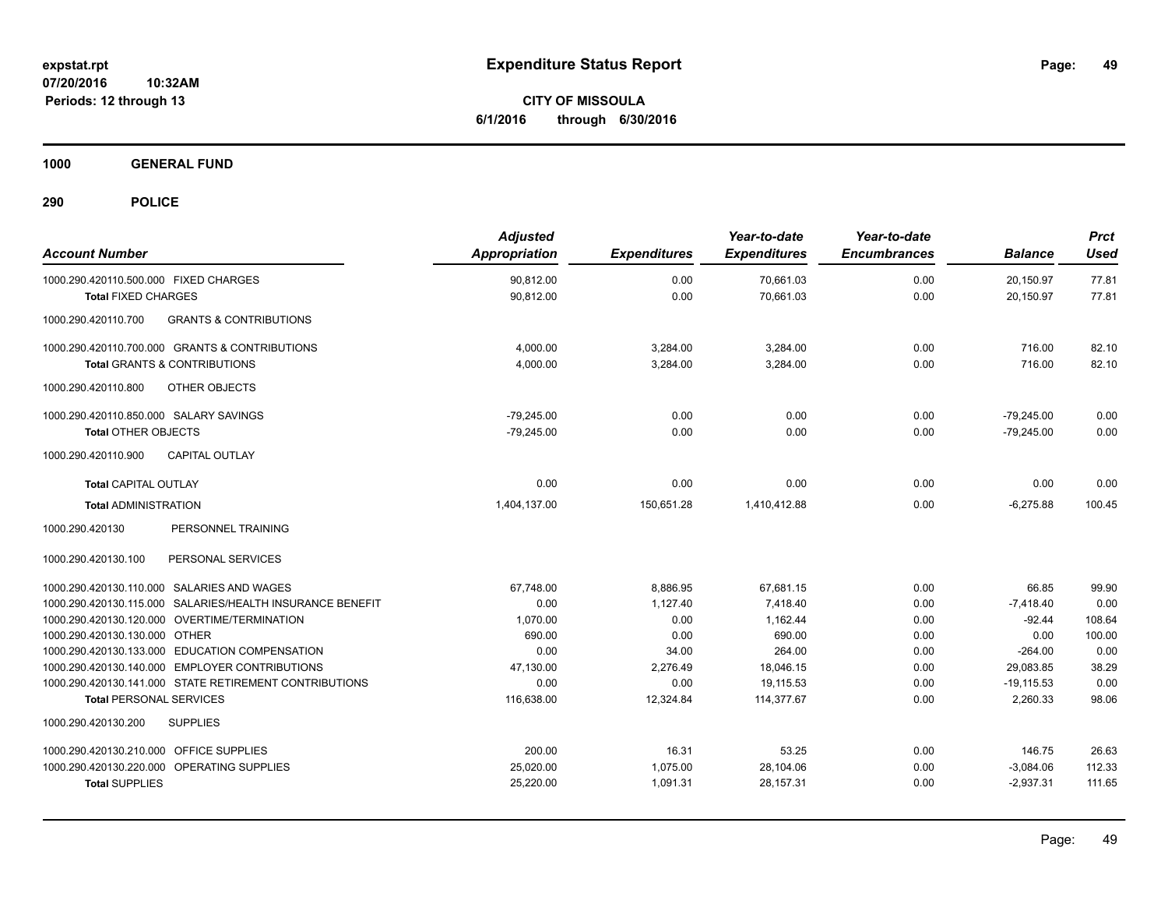**CITY OF MISSOULA 6/1/2016 through 6/30/2016**

**1000 GENERAL FUND**

| <b>Account Number</b>                                                                            | <b>Adjusted</b><br><b>Appropriation</b> | <b>Expenditures</b> | Year-to-date<br><b>Expenditures</b> | Year-to-date<br><b>Encumbrances</b> | <b>Balance</b>         | <b>Prct</b><br><b>Used</b> |
|--------------------------------------------------------------------------------------------------|-----------------------------------------|---------------------|-------------------------------------|-------------------------------------|------------------------|----------------------------|
| 1000.290.420110.500.000 FIXED CHARGES                                                            | 90,812.00                               | 0.00                | 70,661.03                           | 0.00                                | 20,150.97              | 77.81                      |
| <b>Total FIXED CHARGES</b>                                                                       | 90,812.00                               | 0.00                | 70,661.03                           | 0.00                                | 20,150.97              | 77.81                      |
| <b>GRANTS &amp; CONTRIBUTIONS</b><br>1000.290.420110.700                                         |                                         |                     |                                     |                                     |                        |                            |
| 1000.290.420110.700.000 GRANTS & CONTRIBUTIONS                                                   | 4,000.00                                | 3,284.00            | 3,284.00                            | 0.00                                | 716.00                 | 82.10                      |
| <b>Total GRANTS &amp; CONTRIBUTIONS</b>                                                          | 4,000.00                                | 3,284.00            | 3.284.00                            | 0.00                                | 716.00                 | 82.10                      |
| 1000.290.420110.800<br><b>OTHER OBJECTS</b>                                                      |                                         |                     |                                     |                                     |                        |                            |
| 1000.290.420110.850.000 SALARY SAVINGS                                                           | $-79,245.00$                            | 0.00                | 0.00                                | 0.00                                | $-79,245.00$           | 0.00                       |
| <b>Total OTHER OBJECTS</b>                                                                       | $-79,245.00$                            | 0.00                | 0.00                                | 0.00                                | $-79,245.00$           | 0.00                       |
| 1000.290.420110.900<br><b>CAPITAL OUTLAY</b>                                                     |                                         |                     |                                     |                                     |                        |                            |
| <b>Total CAPITAL OUTLAY</b>                                                                      | 0.00                                    | 0.00                | 0.00                                | 0.00                                | 0.00                   | 0.00                       |
| <b>Total ADMINISTRATION</b>                                                                      | 1,404,137.00                            | 150,651.28          | 1,410,412.88                        | 0.00                                | $-6,275.88$            | 100.45                     |
| 1000.290.420130<br>PERSONNEL TRAINING                                                            |                                         |                     |                                     |                                     |                        |                            |
| PERSONAL SERVICES<br>1000.290.420130.100                                                         |                                         |                     |                                     |                                     |                        |                            |
| 1000.290.420130.110.000 SALARIES AND WAGES                                                       | 67,748.00                               | 8,886.95            | 67,681.15                           | 0.00                                | 66.85                  | 99.90                      |
| 1000.290.420130.115.000 SALARIES/HEALTH INSURANCE BENEFIT                                        | 0.00                                    | 1.127.40            | 7.418.40                            | 0.00                                | $-7,418.40$            | 0.00                       |
| 1000.290.420130.120.000 OVERTIME/TERMINATION                                                     | 1,070.00                                | 0.00                | 1.162.44                            | 0.00                                | $-92.44$               | 108.64                     |
| 1000.290.420130.130.000 OTHER                                                                    | 690.00                                  | 0.00                | 690.00                              | 0.00                                | 0.00                   | 100.00                     |
| 1000.290.420130.133.000 EDUCATION COMPENSATION<br>1000.290.420130.140.000 EMPLOYER CONTRIBUTIONS | 0.00<br>47.130.00                       | 34.00<br>2.276.49   | 264.00<br>18.046.15                 | 0.00<br>0.00                        | $-264.00$<br>29.083.85 | 0.00<br>38.29              |
| 1000.290.420130.141.000 STATE RETIREMENT CONTRIBUTIONS                                           | 0.00                                    | 0.00                | 19,115.53                           | 0.00                                | $-19,115.53$           | 0.00                       |
| <b>Total PERSONAL SERVICES</b>                                                                   | 116,638.00                              | 12,324.84           | 114,377.67                          | 0.00                                | 2,260.33               | 98.06                      |
| 1000.290.420130.200<br><b>SUPPLIES</b>                                                           |                                         |                     |                                     |                                     |                        |                            |
| 1000.290.420130.210.000 OFFICE SUPPLIES                                                          | 200.00                                  | 16.31               | 53.25                               | 0.00                                | 146.75                 | 26.63                      |
| 1000.290.420130.220.000 OPERATING SUPPLIES                                                       | 25,020.00                               | 1,075.00            | 28,104.06                           | 0.00                                | $-3,084.06$            | 112.33                     |
| <b>Total SUPPLIES</b>                                                                            | 25,220.00                               | 1,091.31            | 28,157.31                           | 0.00                                | $-2,937.31$            | 111.65                     |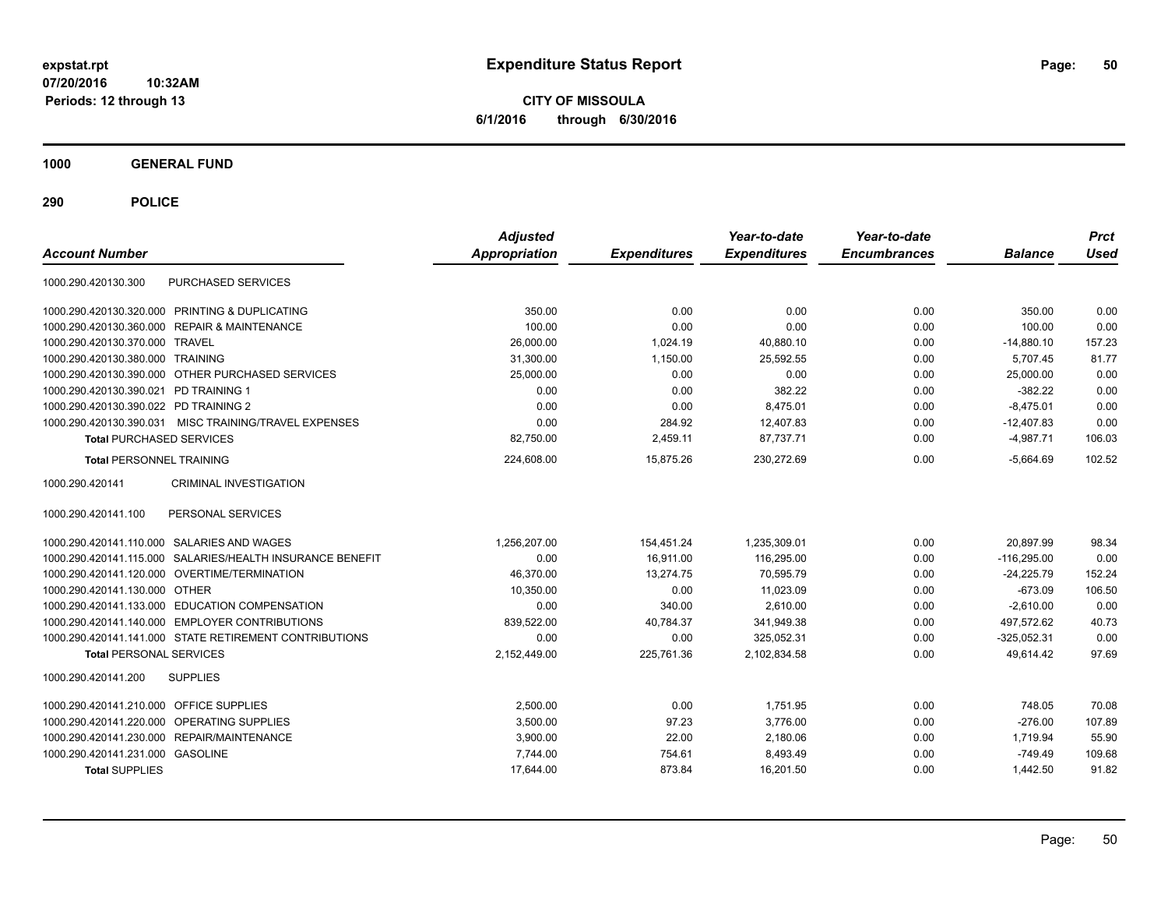**CITY OF MISSOULA 6/1/2016 through 6/30/2016**

**1000 GENERAL FUND**

| <b>Account Number</b>                 |                                                        | <b>Adjusted</b><br><b>Appropriation</b> | <b>Expenditures</b> | Year-to-date<br><b>Expenditures</b> | Year-to-date<br><b>Encumbrances</b> | <b>Balance</b> | <b>Prct</b><br><b>Used</b> |
|---------------------------------------|--------------------------------------------------------|-----------------------------------------|---------------------|-------------------------------------|-------------------------------------|----------------|----------------------------|
| 1000.290.420130.300                   | PURCHASED SERVICES                                     |                                         |                     |                                     |                                     |                |                            |
|                                       | 1000.290.420130.320.000 PRINTING & DUPLICATING         | 350.00                                  | 0.00                | 0.00                                | 0.00                                | 350.00         | 0.00                       |
| 1000.290.420130.360.000               | <b>REPAIR &amp; MAINTENANCE</b>                        | 100.00                                  | 0.00                | 0.00                                | 0.00                                | 100.00         | 0.00                       |
| 1000.290.420130.370.000               | <b>TRAVEL</b>                                          | 26,000.00                               | 1,024.19            | 40,880.10                           | 0.00                                | $-14,880.10$   | 157.23                     |
| 1000.290.420130.380.000 TRAINING      |                                                        | 31,300.00                               | 1,150.00            | 25,592.55                           | 0.00                                | 5,707.45       | 81.77                      |
|                                       | 1000.290.420130.390.000 OTHER PURCHASED SERVICES       | 25,000.00                               | 0.00                | 0.00                                | 0.00                                | 25,000.00      | 0.00                       |
| 1000.290.420130.390.021               | PD TRAINING 1                                          | 0.00                                    | 0.00                | 382.22                              | 0.00                                | $-382.22$      | 0.00                       |
| 1000.290.420130.390.022 PD TRAINING 2 |                                                        | 0.00                                    | 0.00                | 8,475.01                            | 0.00                                | $-8,475.01$    | 0.00                       |
| 1000.290.420130.390.031               | MISC TRAINING/TRAVEL EXPENSES                          | 0.00                                    | 284.92              | 12,407.83                           | 0.00                                | $-12.407.83$   | 0.00                       |
| <b>Total PURCHASED SERVICES</b>       |                                                        | 82,750.00                               | 2,459.11            | 87,737.71                           | 0.00                                | $-4,987.71$    | 106.03                     |
| <b>Total PERSONNEL TRAINING</b>       |                                                        | 224,608.00                              | 15,875.26           | 230,272.69                          | 0.00                                | $-5,664.69$    | 102.52                     |
| 1000.290.420141                       | <b>CRIMINAL INVESTIGATION</b>                          |                                         |                     |                                     |                                     |                |                            |
| 1000.290.420141.100                   | PERSONAL SERVICES                                      |                                         |                     |                                     |                                     |                |                            |
| 1000.290.420141.110.000               | SALARIES AND WAGES                                     | 1,256,207.00                            | 154,451.24          | 1,235,309.01                        | 0.00                                | 20.897.99      | 98.34                      |
| 1000.290.420141.115.000               | SALARIES/HEALTH INSURANCE BENEFIT                      | 0.00                                    | 16.911.00           | 116,295.00                          | 0.00                                | $-116.295.00$  | 0.00                       |
| 1000.290.420141.120.000               | OVERTIME/TERMINATION                                   | 46,370.00                               | 13,274.75           | 70,595.79                           | 0.00                                | $-24,225.79$   | 152.24                     |
| 1000.290.420141.130.000 OTHER         |                                                        | 10,350.00                               | 0.00                | 11,023.09                           | 0.00                                | $-673.09$      | 106.50                     |
|                                       | 1000.290.420141.133.000 EDUCATION COMPENSATION         | 0.00                                    | 340.00              | 2,610.00                            | 0.00                                | $-2,610.00$    | 0.00                       |
|                                       | 1000.290.420141.140.000 EMPLOYER CONTRIBUTIONS         | 839,522.00                              | 40,784.37           | 341,949.38                          | 0.00                                | 497,572.62     | 40.73                      |
|                                       | 1000.290.420141.141.000 STATE RETIREMENT CONTRIBUTIONS | 0.00                                    | 0.00                | 325,052.31                          | 0.00                                | $-325.052.31$  | 0.00                       |
| <b>Total PERSONAL SERVICES</b>        |                                                        | 2,152,449.00                            | 225,761.36          | 2,102,834.58                        | 0.00                                | 49,614.42      | 97.69                      |
| 1000.290.420141.200                   | <b>SUPPLIES</b>                                        |                                         |                     |                                     |                                     |                |                            |
| 1000.290.420141.210.000               | <b>OFFICE SUPPLIES</b>                                 | 2.500.00                                | 0.00                | 1.751.95                            | 0.00                                | 748.05         | 70.08                      |
| 1000.290.420141.220.000               | OPERATING SUPPLIES                                     | 3,500.00                                | 97.23               | 3,776.00                            | 0.00                                | $-276.00$      | 107.89                     |
| 1000.290.420141.230.000               | REPAIR/MAINTENANCE                                     | 3,900.00                                | 22.00               | 2,180.06                            | 0.00                                | 1,719.94       | 55.90                      |
| 1000.290.420141.231.000 GASOLINE      |                                                        | 7,744.00                                | 754.61              | 8,493.49                            | 0.00                                | $-749.49$      | 109.68                     |
| <b>Total SUPPLIES</b>                 |                                                        | 17,644.00                               | 873.84              | 16,201.50                           | 0.00                                | 1,442.50       | 91.82                      |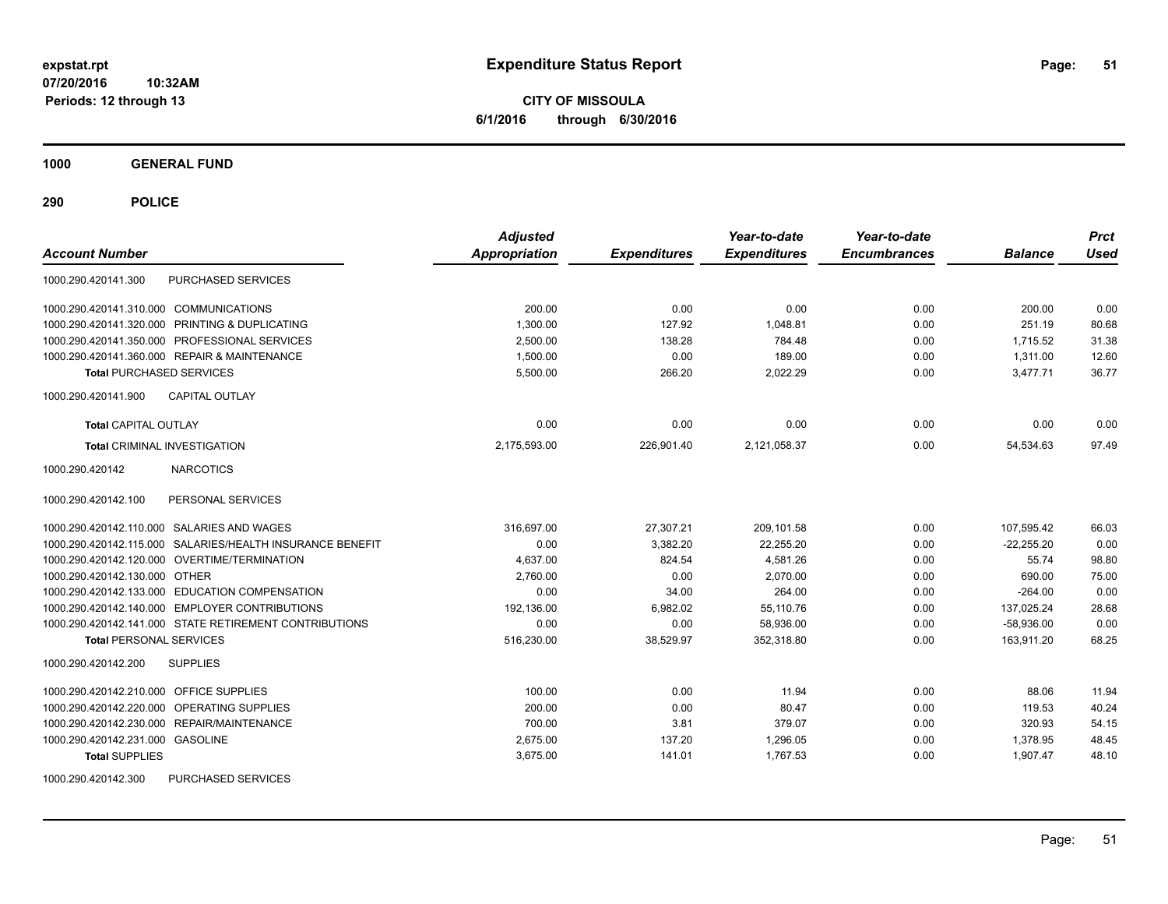**CITY OF MISSOULA 6/1/2016 through 6/30/2016**

**1000 GENERAL FUND**

| <b>Account Number</b>                                     | <b>Adjusted</b><br><b>Appropriation</b> | <b>Expenditures</b> | Year-to-date<br><b>Expenditures</b> | Year-to-date<br><b>Encumbrances</b> | <b>Balance</b> | <b>Prct</b><br><b>Used</b> |
|-----------------------------------------------------------|-----------------------------------------|---------------------|-------------------------------------|-------------------------------------|----------------|----------------------------|
| PURCHASED SERVICES<br>1000.290.420141.300                 |                                         |                     |                                     |                                     |                |                            |
| 1000.290.420141.310.000 COMMUNICATIONS                    | 200.00                                  | 0.00                | 0.00                                | 0.00                                | 200.00         | 0.00                       |
| 1000.290.420141.320.000 PRINTING & DUPLICATING            | 1.300.00                                | 127.92              | 1.048.81                            | 0.00                                | 251.19         | 80.68                      |
| 1000.290.420141.350.000 PROFESSIONAL SERVICES             | 2,500.00                                | 138.28              | 784.48                              | 0.00                                | 1,715.52       | 31.38                      |
| 1000.290.420141.360.000 REPAIR & MAINTENANCE              | 1,500.00                                | 0.00                | 189.00                              | 0.00                                | 1,311.00       | 12.60                      |
| <b>Total PURCHASED SERVICES</b>                           | 5,500.00                                | 266.20              | 2,022.29                            | 0.00                                | 3.477.71       | 36.77                      |
| <b>CAPITAL OUTLAY</b><br>1000.290.420141.900              |                                         |                     |                                     |                                     |                |                            |
| <b>Total CAPITAL OUTLAY</b>                               | 0.00                                    | 0.00                | 0.00                                | 0.00                                | 0.00           | 0.00                       |
| <b>Total CRIMINAL INVESTIGATION</b>                       | 2,175,593.00                            | 226,901.40          | 2,121,058.37                        | 0.00                                | 54,534.63      | 97.49                      |
| 1000.290.420142<br><b>NARCOTICS</b>                       |                                         |                     |                                     |                                     |                |                            |
| 1000.290.420142.100<br>PERSONAL SERVICES                  |                                         |                     |                                     |                                     |                |                            |
| 1000.290.420142.110.000 SALARIES AND WAGES                | 316,697.00                              | 27,307.21           | 209,101.58                          | 0.00                                | 107,595.42     | 66.03                      |
| 1000.290.420142.115.000 SALARIES/HEALTH INSURANCE BENEFIT | 0.00                                    | 3,382.20            | 22,255.20                           | 0.00                                | $-22,255.20$   | 0.00                       |
| 1000.290.420142.120.000 OVERTIME/TERMINATION              | 4.637.00                                | 824.54              | 4,581.26                            | 0.00                                | 55.74          | 98.80                      |
| 1000.290.420142.130.000 OTHER                             | 2,760.00                                | 0.00                | 2,070.00                            | 0.00                                | 690.00         | 75.00                      |
| 1000.290.420142.133.000 EDUCATION COMPENSATION            | 0.00                                    | 34.00               | 264.00                              | 0.00                                | $-264.00$      | 0.00                       |
| 1000.290.420142.140.000 EMPLOYER CONTRIBUTIONS            | 192,136.00                              | 6,982.02            | 55,110.76                           | 0.00                                | 137,025.24     | 28.68                      |
| 1000.290.420142.141.000 STATE RETIREMENT CONTRIBUTIONS    | 0.00                                    | 0.00                | 58,936.00                           | 0.00                                | $-58,936.00$   | 0.00                       |
| <b>Total PERSONAL SERVICES</b>                            | 516,230.00                              | 38,529.97           | 352,318.80                          | 0.00                                | 163,911.20     | 68.25                      |
| <b>SUPPLIES</b><br>1000.290.420142.200                    |                                         |                     |                                     |                                     |                |                            |
| 1000.290.420142.210.000 OFFICE SUPPLIES                   | 100.00                                  | 0.00                | 11.94                               | 0.00                                | 88.06          | 11.94                      |
| 1000.290.420142.220.000 OPERATING SUPPLIES                | 200.00                                  | 0.00                | 80.47                               | 0.00                                | 119.53         | 40.24                      |
| <b>REPAIR/MAINTENANCE</b><br>1000.290.420142.230.000      | 700.00                                  | 3.81                | 379.07                              | 0.00                                | 320.93         | 54.15                      |
| 1000.290.420142.231.000 GASOLINE                          | 2,675.00                                | 137.20              | 1,296.05                            | 0.00                                | 1,378.95       | 48.45                      |
| <b>Total SUPPLIES</b>                                     | 3,675.00                                | 141.01              | 1,767.53                            | 0.00                                | 1,907.47       | 48.10                      |
| 1000.290.420142.300<br>PURCHASED SERVICES                 |                                         |                     |                                     |                                     |                |                            |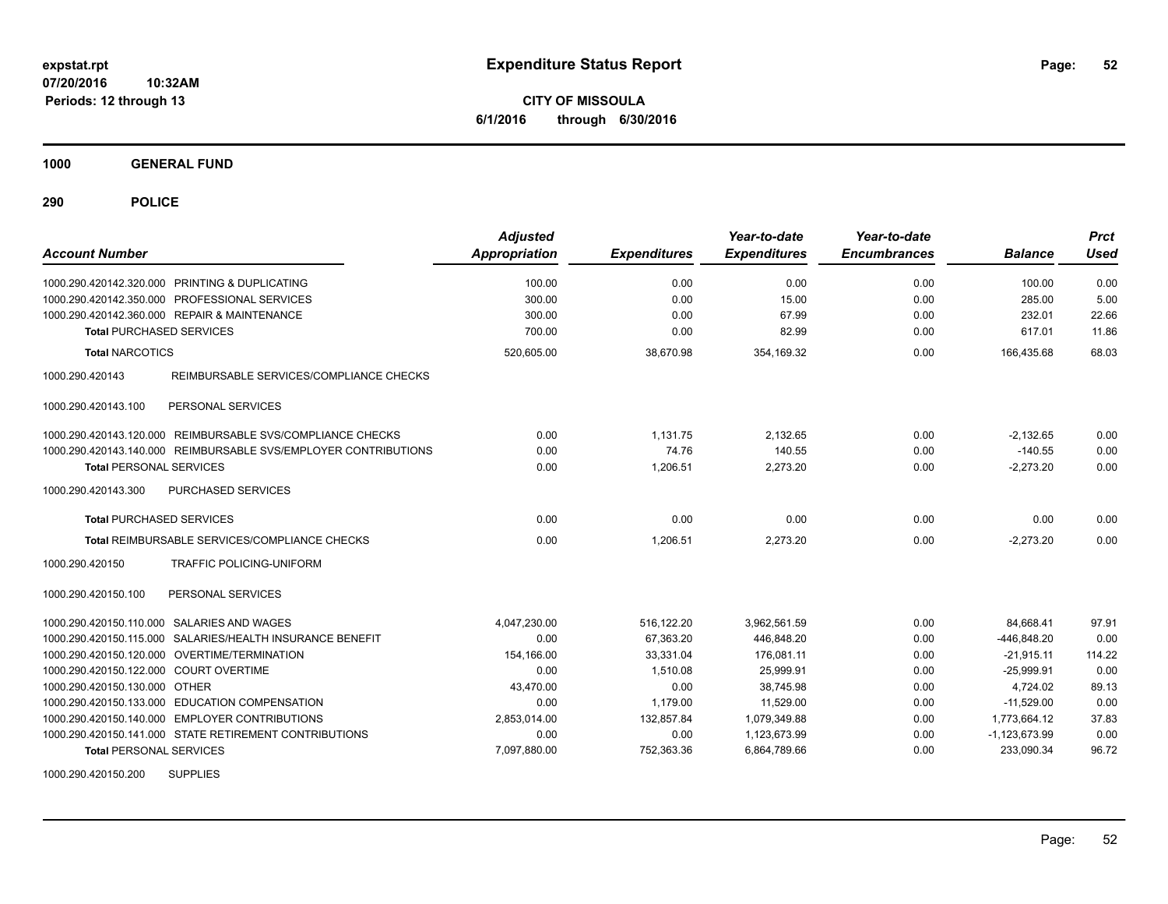**CITY OF MISSOULA 6/1/2016 through 6/30/2016**

**1000 GENERAL FUND**

**290 POLICE**

| <b>Account Number</b>                                           | <b>Adjusted</b><br><b>Appropriation</b> | <b>Expenditures</b> | Year-to-date<br><b>Expenditures</b> | Year-to-date<br><b>Encumbrances</b> | <b>Balance</b>  | <b>Prct</b><br><b>Used</b> |
|-----------------------------------------------------------------|-----------------------------------------|---------------------|-------------------------------------|-------------------------------------|-----------------|----------------------------|
| 1000.290.420142.320.000 PRINTING & DUPLICATING                  | 100.00                                  | 0.00                | 0.00                                | 0.00                                | 100.00          | 0.00                       |
| 1000.290.420142.350.000 PROFESSIONAL SERVICES                   | 300.00                                  | 0.00                | 15.00                               | 0.00                                | 285.00          | 5.00                       |
| 1000.290.420142.360.000 REPAIR & MAINTENANCE                    | 300.00                                  | 0.00                | 67.99                               | 0.00                                | 232.01          | 22.66                      |
| <b>Total PURCHASED SERVICES</b>                                 | 700.00                                  | 0.00                | 82.99                               | 0.00                                | 617.01          | 11.86                      |
| <b>Total NARCOTICS</b>                                          | 520,605.00                              | 38,670.98           | 354,169.32                          | 0.00                                | 166,435.68      | 68.03                      |
| 1000.290.420143<br>REIMBURSABLE SERVICES/COMPLIANCE CHECKS      |                                         |                     |                                     |                                     |                 |                            |
| 1000.290.420143.100<br>PERSONAL SERVICES                        |                                         |                     |                                     |                                     |                 |                            |
| 1000.290.420143.120.000 REIMBURSABLE SVS/COMPLIANCE CHECKS      | 0.00                                    | 1,131.75            | 2,132.65                            | 0.00                                | $-2,132.65$     | 0.00                       |
| 1000.290.420143.140.000 REIMBURSABLE SVS/EMPLOYER CONTRIBUTIONS | 0.00                                    | 74.76               | 140.55                              | 0.00                                | $-140.55$       | 0.00                       |
| <b>Total PERSONAL SERVICES</b>                                  | 0.00                                    | 1.206.51            | 2,273.20                            | 0.00                                | $-2,273.20$     | 0.00                       |
| 1000.290.420143.300<br><b>PURCHASED SERVICES</b>                |                                         |                     |                                     |                                     |                 |                            |
| <b>Total PURCHASED SERVICES</b>                                 | 0.00                                    | 0.00                | 0.00                                | 0.00                                | 0.00            | 0.00                       |
| Total REIMBURSABLE SERVICES/COMPLIANCE CHECKS                   | 0.00                                    | 1,206.51            | 2,273.20                            | 0.00                                | $-2,273.20$     | 0.00                       |
| 1000.290.420150<br><b>TRAFFIC POLICING-UNIFORM</b>              |                                         |                     |                                     |                                     |                 |                            |
| 1000.290.420150.100<br>PERSONAL SERVICES                        |                                         |                     |                                     |                                     |                 |                            |
| SALARIES AND WAGES<br>1000.290.420150.110.000                   | 4.047.230.00                            | 516.122.20          | 3.962.561.59                        | 0.00                                | 84.668.41       | 97.91                      |
| SALARIES/HEALTH INSURANCE BENEFIT<br>1000.290.420150.115.000    | 0.00                                    | 67,363.20           | 446,848.20                          | 0.00                                | -446,848.20     | 0.00                       |
| 1000.290.420150.120.000 OVERTIME/TERMINATION                    | 154,166.00                              | 33,331.04           | 176,081.11                          | 0.00                                | $-21.915.11$    | 114.22                     |
| 1000.290.420150.122.000 COURT OVERTIME                          | 0.00                                    | 1,510.08            | 25,999.91                           | 0.00                                | $-25,999.91$    | 0.00                       |
| 1000.290.420150.130.000 OTHER                                   | 43,470.00                               | 0.00                | 38,745.98                           | 0.00                                | 4,724.02        | 89.13                      |
| 1000.290.420150.133.000 EDUCATION COMPENSATION                  | 0.00                                    | 1,179.00            | 11.529.00                           | 0.00                                | $-11.529.00$    | 0.00                       |
| 1000.290.420150.140.000 EMPLOYER CONTRIBUTIONS                  | 2,853,014.00                            | 132,857.84          | 1,079,349.88                        | 0.00                                | 1,773,664.12    | 37.83                      |
| 1000.290.420150.141.000 STATE RETIREMENT CONTRIBUTIONS          | 0.00                                    | 0.00                | 1,123,673.99                        | 0.00                                | $-1,123,673.99$ | 0.00                       |
| <b>Total PERSONAL SERVICES</b>                                  | 7,097,880.00                            | 752,363.36          | 6,864,789.66                        | 0.00                                | 233,090.34      | 96.72                      |
| <b>SUPPLIES</b><br>1000.290.420150.200                          |                                         |                     |                                     |                                     |                 |                            |

Page: 52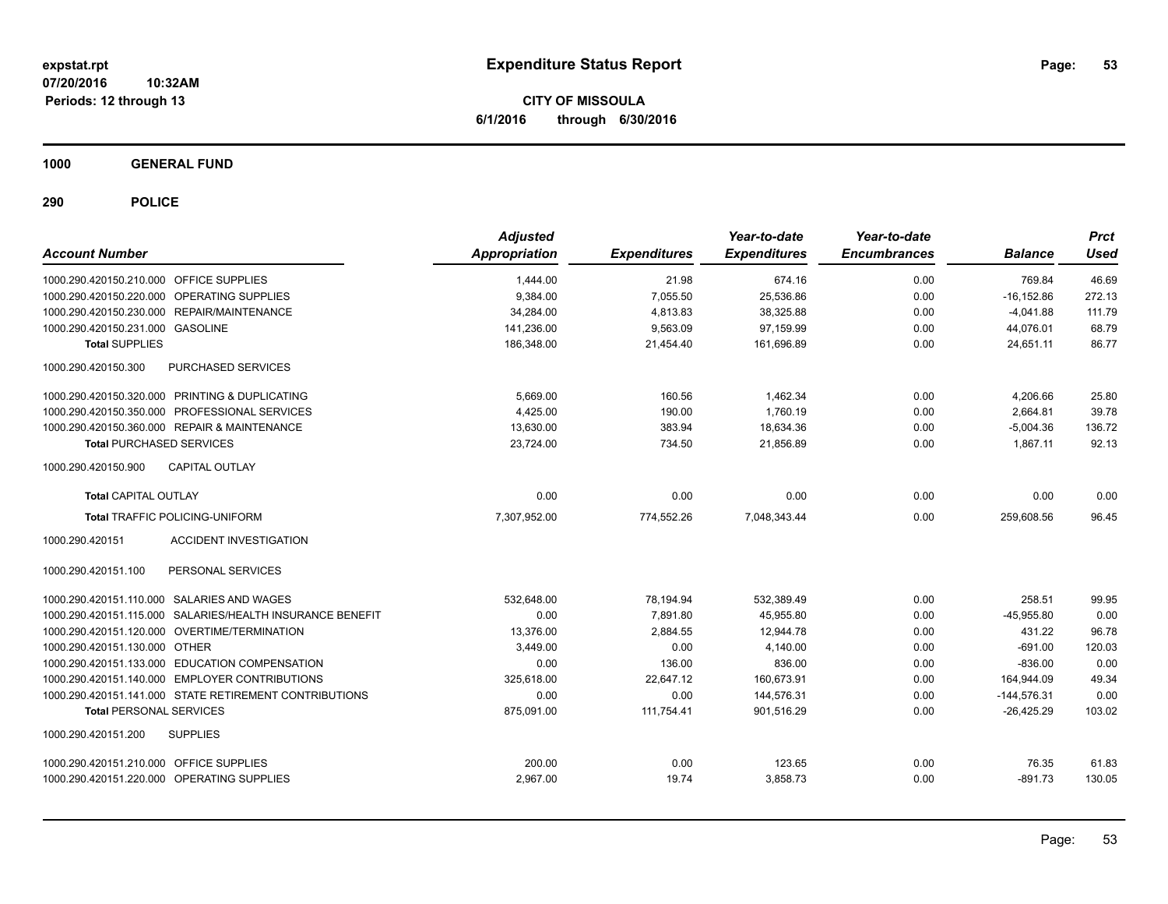**CITY OF MISSOULA 6/1/2016 through 6/30/2016**

**1000 GENERAL FUND**

| <b>Account Number</b>                   |                                                           | <b>Adjusted</b><br>Appropriation | <b>Expenditures</b> | Year-to-date<br><b>Expenditures</b> | Year-to-date<br><b>Encumbrances</b> | <b>Balance</b> | <b>Prct</b><br><b>Used</b> |
|-----------------------------------------|-----------------------------------------------------------|----------------------------------|---------------------|-------------------------------------|-------------------------------------|----------------|----------------------------|
| 1000.290.420150.210.000 OFFICE SUPPLIES |                                                           | 1,444.00                         | 21.98               | 674.16                              | 0.00                                | 769.84         | 46.69                      |
|                                         | 1000.290.420150.220.000 OPERATING SUPPLIES                | 9.384.00                         | 7,055.50            | 25,536.86                           | 0.00                                | $-16, 152.86$  | 272.13                     |
|                                         | 1000.290.420150.230.000 REPAIR/MAINTENANCE                | 34.284.00                        | 4,813.83            | 38,325.88                           | 0.00                                | $-4.041.88$    | 111.79                     |
| 1000.290.420150.231.000 GASOLINE        |                                                           | 141,236.00                       | 9,563.09            | 97,159.99                           | 0.00                                | 44,076.01      | 68.79                      |
| <b>Total SUPPLIES</b>                   |                                                           | 186,348.00                       | 21,454.40           | 161,696.89                          | 0.00                                | 24.651.11      | 86.77                      |
| 1000.290.420150.300                     | PURCHASED SERVICES                                        |                                  |                     |                                     |                                     |                |                            |
|                                         | 1000.290.420150.320.000 PRINTING & DUPLICATING            | 5,669.00                         | 160.56              | 1,462.34                            | 0.00                                | 4,206.66       | 25.80                      |
|                                         | 1000.290.420150.350.000 PROFESSIONAL SERVICES             | 4,425.00                         | 190.00              | 1.760.19                            | 0.00                                | 2,664.81       | 39.78                      |
|                                         | 1000.290.420150.360.000 REPAIR & MAINTENANCE              | 13,630.00                        | 383.94              | 18,634.36                           | 0.00                                | $-5,004.36$    | 136.72                     |
| <b>Total PURCHASED SERVICES</b>         |                                                           | 23,724.00                        | 734.50              | 21.856.89                           | 0.00                                | 1.867.11       | 92.13                      |
| 1000.290.420150.900                     | <b>CAPITAL OUTLAY</b>                                     |                                  |                     |                                     |                                     |                |                            |
| <b>Total CAPITAL OUTLAY</b>             |                                                           | 0.00                             | 0.00                | 0.00                                | 0.00                                | 0.00           | 0.00                       |
|                                         | <b>Total TRAFFIC POLICING-UNIFORM</b>                     | 7,307,952.00                     | 774,552.26          | 7,048,343.44                        | 0.00                                | 259,608.56     | 96.45                      |
| 1000.290.420151                         | <b>ACCIDENT INVESTIGATION</b>                             |                                  |                     |                                     |                                     |                |                            |
| 1000.290.420151.100                     | PERSONAL SERVICES                                         |                                  |                     |                                     |                                     |                |                            |
|                                         | 1000.290.420151.110.000 SALARIES AND WAGES                | 532.648.00                       | 78,194.94           | 532.389.49                          | 0.00                                | 258.51         | 99.95                      |
|                                         | 1000.290.420151.115.000 SALARIES/HEALTH INSURANCE BENEFIT | 0.00                             | 7,891.80            | 45,955.80                           | 0.00                                | $-45,955.80$   | 0.00                       |
|                                         | 1000.290.420151.120.000 OVERTIME/TERMINATION              | 13,376.00                        | 2,884.55            | 12,944.78                           | 0.00                                | 431.22         | 96.78                      |
| 1000.290.420151.130.000 OTHER           |                                                           | 3,449.00                         | 0.00                | 4.140.00                            | 0.00                                | $-691.00$      | 120.03                     |
|                                         | 1000.290.420151.133.000 EDUCATION COMPENSATION            | 0.00                             | 136.00              | 836.00                              | 0.00                                | $-836.00$      | 0.00                       |
|                                         | 1000.290.420151.140.000 EMPLOYER CONTRIBUTIONS            | 325,618.00                       | 22.647.12           | 160.673.91                          | 0.00                                | 164,944.09     | 49.34                      |
|                                         | 1000.290.420151.141.000 STATE RETIREMENT CONTRIBUTIONS    | 0.00                             | 0.00                | 144,576.31                          | 0.00                                | $-144,576.31$  | 0.00                       |
| <b>Total PERSONAL SERVICES</b>          |                                                           | 875,091.00                       | 111.754.41          | 901,516.29                          | 0.00                                | $-26.425.29$   | 103.02                     |
| 1000.290.420151.200                     | <b>SUPPLIES</b>                                           |                                  |                     |                                     |                                     |                |                            |
| 1000.290.420151.210.000 OFFICE SUPPLIES |                                                           | 200.00                           | 0.00                | 123.65                              | 0.00                                | 76.35          | 61.83                      |
|                                         | 1000.290.420151.220.000 OPERATING SUPPLIES                | 2,967.00                         | 19.74               | 3,858.73                            | 0.00                                | $-891.73$      | 130.05                     |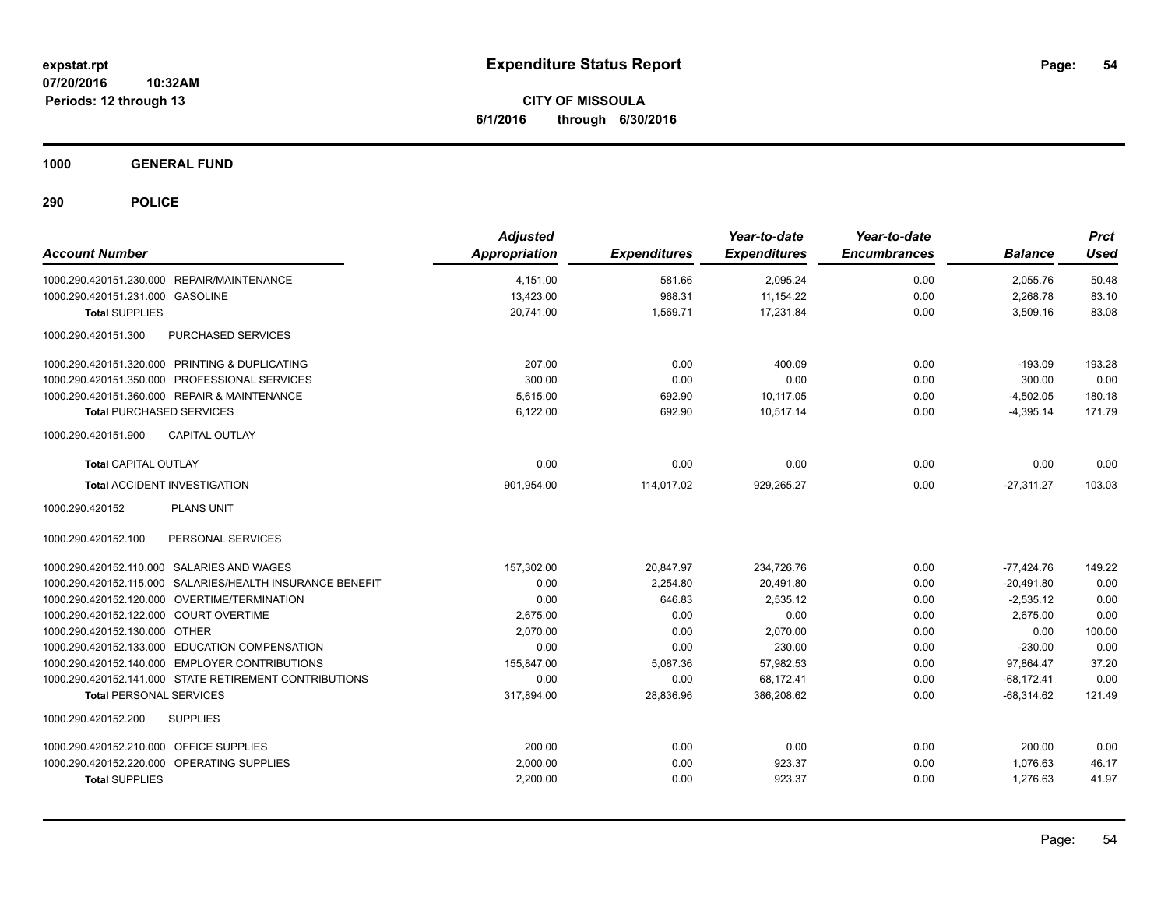**CITY OF MISSOULA 6/1/2016 through 6/30/2016**

**1000 GENERAL FUND**

| <b>Account Number</b>                                     | <b>Adjusted</b><br>Appropriation | <b>Expenditures</b> | Year-to-date<br><b>Expenditures</b> | Year-to-date<br><b>Encumbrances</b> | <b>Balance</b> | <b>Prct</b><br>Used |
|-----------------------------------------------------------|----------------------------------|---------------------|-------------------------------------|-------------------------------------|----------------|---------------------|
| 1000.290.420151.230.000 REPAIR/MAINTENANCE                | 4,151.00                         | 581.66              | 2,095.24                            | 0.00                                | 2,055.76       | 50.48               |
| 1000.290.420151.231.000 GASOLINE                          | 13,423.00                        | 968.31              | 11,154.22                           | 0.00                                | 2,268.78       | 83.10               |
| <b>Total SUPPLIES</b>                                     | 20,741.00                        | 1,569.71            | 17,231.84                           | 0.00                                | 3,509.16       | 83.08               |
| PURCHASED SERVICES<br>1000.290.420151.300                 |                                  |                     |                                     |                                     |                |                     |
| 1000.290.420151.320.000 PRINTING & DUPLICATING            | 207.00                           | 0.00                | 400.09                              | 0.00                                | $-193.09$      | 193.28              |
| 1000.290.420151.350.000 PROFESSIONAL SERVICES             | 300.00                           | 0.00                | 0.00                                | 0.00                                | 300.00         | 0.00                |
| 1000.290.420151.360.000 REPAIR & MAINTENANCE              | 5,615.00                         | 692.90              | 10,117.05                           | 0.00                                | $-4,502.05$    | 180.18              |
| <b>Total PURCHASED SERVICES</b>                           | 6,122.00                         | 692.90              | 10.517.14                           | 0.00                                | $-4,395.14$    | 171.79              |
| <b>CAPITAL OUTLAY</b><br>1000.290.420151.900              |                                  |                     |                                     |                                     |                |                     |
| <b>Total CAPITAL OUTLAY</b>                               | 0.00                             | 0.00                | 0.00                                | 0.00                                | 0.00           | 0.00                |
| <b>Total ACCIDENT INVESTIGATION</b>                       | 901,954.00                       | 114,017.02          | 929,265.27                          | 0.00                                | $-27.311.27$   | 103.03              |
| <b>PLANS UNIT</b><br>1000.290.420152                      |                                  |                     |                                     |                                     |                |                     |
| PERSONAL SERVICES<br>1000.290.420152.100                  |                                  |                     |                                     |                                     |                |                     |
| 1000.290.420152.110.000 SALARIES AND WAGES                | 157.302.00                       | 20,847.97           | 234.726.76                          | 0.00                                | $-77.424.76$   | 149.22              |
| 1000.290.420152.115.000 SALARIES/HEALTH INSURANCE BENEFIT | 0.00                             | 2,254.80            | 20,491.80                           | 0.00                                | $-20,491.80$   | 0.00                |
| 1000.290.420152.120.000 OVERTIME/TERMINATION              | 0.00                             | 646.83              | 2,535.12                            | 0.00                                | $-2,535.12$    | 0.00                |
| 1000.290.420152.122.000 COURT OVERTIME                    | 2,675.00                         | 0.00                | 0.00                                | 0.00                                | 2,675.00       | 0.00                |
| 1000.290.420152.130.000 OTHER                             | 2.070.00                         | 0.00                | 2.070.00                            | 0.00                                | 0.00           | 100.00              |
| 1000.290.420152.133.000 EDUCATION COMPENSATION            | 0.00                             | 0.00                | 230.00                              | 0.00                                | $-230.00$      | 0.00                |
| 1000.290.420152.140.000 EMPLOYER CONTRIBUTIONS            | 155.847.00                       | 5,087.36            | 57,982.53                           | 0.00                                | 97,864.47      | 37.20               |
| 1000.290.420152.141.000 STATE RETIREMENT CONTRIBUTIONS    | 0.00                             | 0.00                | 68,172.41                           | 0.00                                | $-68,172.41$   | 0.00                |
| <b>Total PERSONAL SERVICES</b>                            | 317,894.00                       | 28,836.96           | 386,208.62                          | 0.00                                | $-68.314.62$   | 121.49              |
| 1000.290.420152.200<br><b>SUPPLIES</b>                    |                                  |                     |                                     |                                     |                |                     |
| 1000.290.420152.210.000 OFFICE SUPPLIES                   | 200.00                           | 0.00                | 0.00                                | 0.00                                | 200.00         | 0.00                |
| 1000.290.420152.220.000 OPERATING SUPPLIES                | 2,000.00                         | 0.00                | 923.37                              | 0.00                                | 1,076.63       | 46.17               |
| <b>Total SUPPLIES</b>                                     | 2,200.00                         | 0.00                | 923.37                              | 0.00                                | 1,276.63       | 41.97               |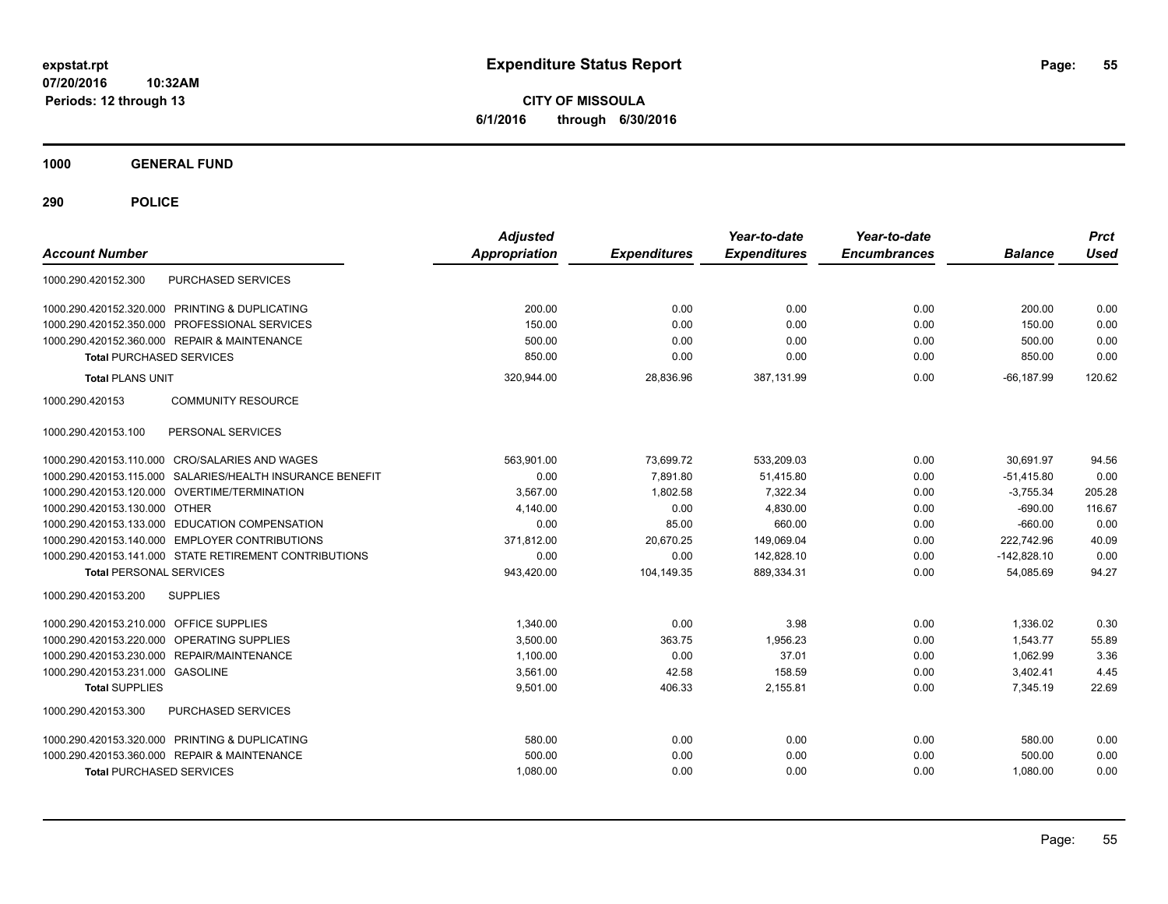**CITY OF MISSOULA 6/1/2016 through 6/30/2016**

**1000 GENERAL FUND**

| <b>Account Number</b>                                        | <b>Adjusted</b><br><b>Appropriation</b> | <b>Expenditures</b> | Year-to-date<br><b>Expenditures</b> | Year-to-date<br><b>Encumbrances</b> | <b>Balance</b> | <b>Prct</b><br><b>Used</b> |
|--------------------------------------------------------------|-----------------------------------------|---------------------|-------------------------------------|-------------------------------------|----------------|----------------------------|
| <b>PURCHASED SERVICES</b><br>1000.290.420152.300             |                                         |                     |                                     |                                     |                |                            |
| 1000.290.420152.320.000 PRINTING & DUPLICATING               | 200.00                                  | 0.00                | 0.00                                | 0.00                                | 200.00         | 0.00                       |
| 1000.290.420152.350.000 PROFESSIONAL SERVICES                | 150.00                                  | 0.00                | 0.00                                | 0.00                                | 150.00         | 0.00                       |
| 1000.290.420152.360.000 REPAIR & MAINTENANCE                 | 500.00                                  | 0.00                | 0.00                                | 0.00                                | 500.00         | 0.00                       |
| <b>Total PURCHASED SERVICES</b>                              | 850.00                                  | 0.00                | 0.00                                | 0.00                                | 850.00         | 0.00                       |
| <b>Total PLANS UNIT</b>                                      | 320,944.00                              | 28,836.96           | 387,131.99                          | 0.00                                | $-66, 187.99$  | 120.62                     |
| <b>COMMUNITY RESOURCE</b><br>1000.290.420153                 |                                         |                     |                                     |                                     |                |                            |
| PERSONAL SERVICES<br>1000.290.420153.100                     |                                         |                     |                                     |                                     |                |                            |
| 1000.290.420153.110.000 CRO/SALARIES AND WAGES               | 563.901.00                              | 73.699.72           | 533.209.03                          | 0.00                                | 30.691.97      | 94.56                      |
| 1000.290.420153.115.000<br>SALARIES/HEALTH INSURANCE BENEFIT | 0.00                                    | 7,891.80            | 51,415.80                           | 0.00                                | $-51,415.80$   | 0.00                       |
| 1000.290.420153.120.000 OVERTIME/TERMINATION                 | 3,567.00                                | 1,802.58            | 7,322.34                            | 0.00                                | $-3,755.34$    | 205.28                     |
| 1000.290.420153.130.000 OTHER                                | 4,140.00                                | 0.00                | 4,830.00                            | 0.00                                | $-690.00$      | 116.67                     |
| 1000.290.420153.133.000 EDUCATION COMPENSATION               | 0.00                                    | 85.00               | 660.00                              | 0.00                                | $-660.00$      | 0.00                       |
| 1000.290.420153.140.000 EMPLOYER CONTRIBUTIONS               | 371,812.00                              | 20,670.25           | 149,069.04                          | 0.00                                | 222.742.96     | 40.09                      |
| 1000.290.420153.141.000 STATE RETIREMENT CONTRIBUTIONS       | 0.00                                    | 0.00                | 142,828.10                          | 0.00                                | $-142,828.10$  | 0.00                       |
| <b>Total PERSONAL SERVICES</b>                               | 943,420.00                              | 104,149.35          | 889,334.31                          | 0.00                                | 54,085.69      | 94.27                      |
| 1000.290.420153.200<br><b>SUPPLIES</b>                       |                                         |                     |                                     |                                     |                |                            |
| 1000.290.420153.210.000 OFFICE SUPPLIES                      | 1,340.00                                | 0.00                | 3.98                                | 0.00                                | 1,336.02       | 0.30                       |
| OPERATING SUPPLIES<br>1000.290.420153.220.000                | 3,500.00                                | 363.75              | 1,956.23                            | 0.00                                | 1,543.77       | 55.89                      |
| 1000.290.420153.230.000 REPAIR/MAINTENANCE                   | 1,100.00                                | 0.00                | 37.01                               | 0.00                                | 1,062.99       | 3.36                       |
| 1000.290.420153.231.000 GASOLINE                             | 3,561.00                                | 42.58               | 158.59                              | 0.00                                | 3,402.41       | 4.45                       |
| <b>Total SUPPLIES</b>                                        | 9,501.00                                | 406.33              | 2,155.81                            | 0.00                                | 7,345.19       | 22.69                      |
| 1000.290.420153.300<br><b>PURCHASED SERVICES</b>             |                                         |                     |                                     |                                     |                |                            |
| 1000.290.420153.320.000 PRINTING & DUPLICATING               | 580.00                                  | 0.00                | 0.00                                | 0.00                                | 580.00         | 0.00                       |
| 1000.290.420153.360.000 REPAIR & MAINTENANCE                 | 500.00                                  | 0.00                | 0.00                                | 0.00                                | 500.00         | 0.00                       |
| <b>Total PURCHASED SERVICES</b>                              | 1,080.00                                | 0.00                | 0.00                                | 0.00                                | 1,080.00       | 0.00                       |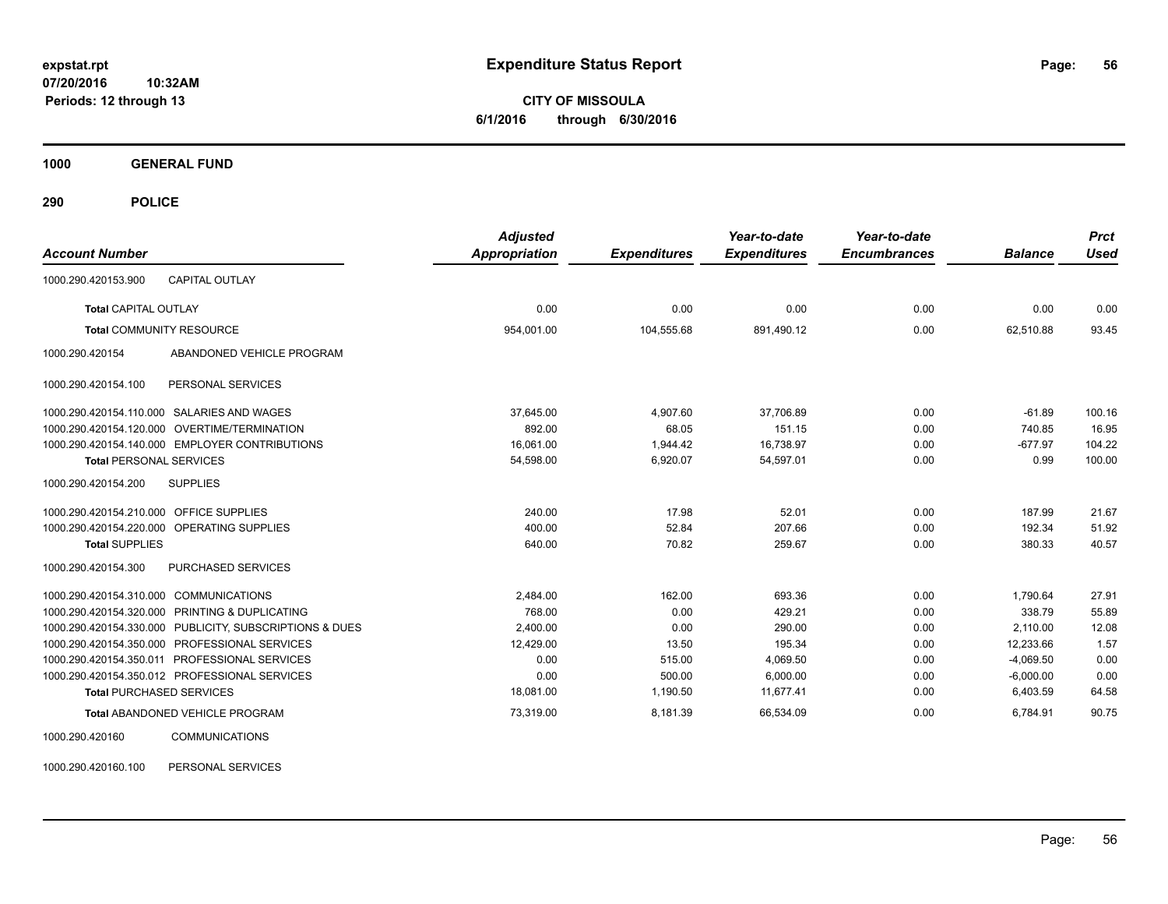**CITY OF MISSOULA 6/1/2016 through 6/30/2016**

**1000 GENERAL FUND**

**290 POLICE**

| <b>Account Number</b>                                   | <b>Adjusted</b><br><b>Appropriation</b> | <b>Expenditures</b> | Year-to-date<br><b>Expenditures</b> | Year-to-date<br><b>Encumbrances</b> | <b>Balance</b> | <b>Prct</b><br><b>Used</b> |
|---------------------------------------------------------|-----------------------------------------|---------------------|-------------------------------------|-------------------------------------|----------------|----------------------------|
|                                                         |                                         |                     |                                     |                                     |                |                            |
| <b>CAPITAL OUTLAY</b><br>1000.290.420153.900            |                                         |                     |                                     |                                     |                |                            |
| <b>Total CAPITAL OUTLAY</b>                             | 0.00                                    | 0.00                | 0.00                                | 0.00                                | 0.00           | 0.00                       |
| <b>Total COMMUNITY RESOURCE</b>                         | 954,001.00                              | 104,555.68          | 891,490.12                          | 0.00                                | 62.510.88      | 93.45                      |
| ABANDONED VEHICLE PROGRAM<br>1000.290.420154            |                                         |                     |                                     |                                     |                |                            |
| 1000.290.420154.100<br>PERSONAL SERVICES                |                                         |                     |                                     |                                     |                |                            |
| 1000.290.420154.110.000 SALARIES AND WAGES              | 37,645.00                               | 4,907.60            | 37,706.89                           | 0.00                                | $-61.89$       | 100.16                     |
| 1000.290.420154.120.000 OVERTIME/TERMINATION            | 892.00                                  | 68.05               | 151.15                              | 0.00                                | 740.85         | 16.95                      |
| 1000.290.420154.140.000 EMPLOYER CONTRIBUTIONS          | 16.061.00                               | 1.944.42            | 16,738.97                           | 0.00                                | $-677.97$      | 104.22                     |
| <b>Total PERSONAL SERVICES</b>                          | 54,598.00                               | 6,920.07            | 54,597.01                           | 0.00                                | 0.99           | 100.00                     |
| <b>SUPPLIES</b><br>1000.290.420154.200                  |                                         |                     |                                     |                                     |                |                            |
| 1000.290.420154.210.000 OFFICE SUPPLIES                 | 240.00                                  | 17.98               | 52.01                               | 0.00                                | 187.99         | 21.67                      |
| 1000.290.420154.220.000 OPERATING SUPPLIES              | 400.00                                  | 52.84               | 207.66                              | 0.00                                | 192.34         | 51.92                      |
| <b>Total SUPPLIES</b>                                   | 640.00                                  | 70.82               | 259.67                              | 0.00                                | 380.33         | 40.57                      |
| 1000.290.420154.300<br><b>PURCHASED SERVICES</b>        |                                         |                     |                                     |                                     |                |                            |
| 1000.290.420154.310.000 COMMUNICATIONS                  | 2,484.00                                | 162.00              | 693.36                              | 0.00                                | 1,790.64       | 27.91                      |
| 1000.290.420154.320.000 PRINTING & DUPLICATING          | 768.00                                  | 0.00                | 429.21                              | 0.00                                | 338.79         | 55.89                      |
| 1000.290.420154.330.000 PUBLICITY, SUBSCRIPTIONS & DUES | 2.400.00                                | 0.00                | 290.00                              | 0.00                                | 2.110.00       | 12.08                      |
| 1000.290.420154.350.000 PROFESSIONAL SERVICES           | 12,429.00                               | 13.50               | 195.34                              | 0.00                                | 12,233.66      | 1.57                       |
| 1000.290.420154.350.011 PROFESSIONAL SERVICES           | 0.00                                    | 515.00              | 4,069.50                            | 0.00                                | $-4,069.50$    | 0.00                       |
| 1000.290.420154.350.012 PROFESSIONAL SERVICES           | 0.00                                    | 500.00              | 6.000.00                            | 0.00                                | $-6,000.00$    | 0.00                       |
| <b>Total PURCHASED SERVICES</b>                         | 18,081.00                               | 1,190.50            | 11,677.41                           | 0.00                                | 6,403.59       | 64.58                      |
| <b>Total ABANDONED VEHICLE PROGRAM</b>                  | 73,319.00                               | 8,181.39            | 66,534.09                           | 0.00                                | 6,784.91       | 90.75                      |
| <b>COMMUNICATIONS</b><br>1000.290.420160                |                                         |                     |                                     |                                     |                |                            |

1000.290.420160.100 PERSONAL SERVICES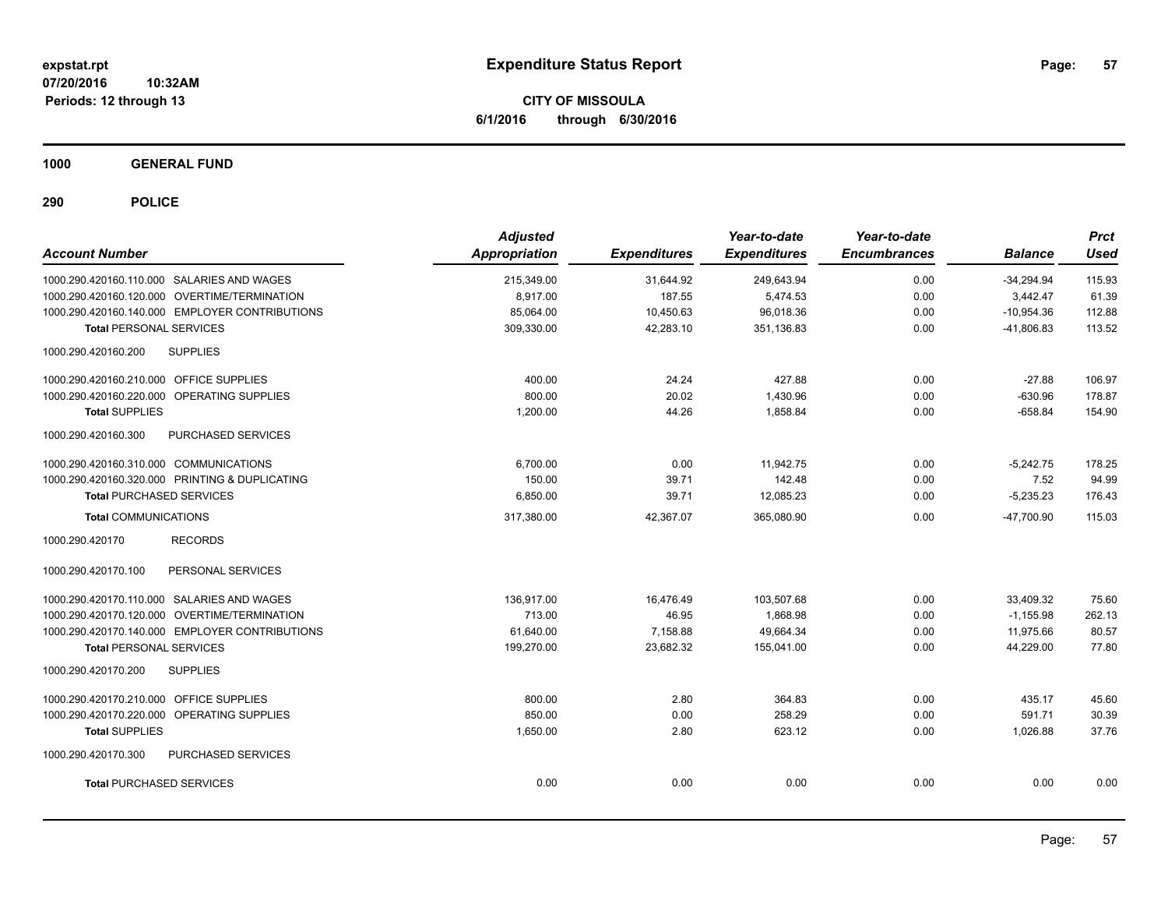**CITY OF MISSOULA 6/1/2016 through 6/30/2016**

**1000 GENERAL FUND**

| <b>Account Number</b>                          | <b>Adjusted</b><br>Appropriation | <b>Expenditures</b> | Year-to-date<br><b>Expenditures</b> | Year-to-date<br><b>Encumbrances</b> | <b>Balance</b> | <b>Prct</b><br><b>Used</b> |
|------------------------------------------------|----------------------------------|---------------------|-------------------------------------|-------------------------------------|----------------|----------------------------|
| 1000.290.420160.110.000 SALARIES AND WAGES     | 215,349.00                       | 31,644.92           | 249,643.94                          | 0.00                                | $-34,294.94$   | 115.93                     |
| 1000.290.420160.120.000 OVERTIME/TERMINATION   | 8,917.00                         | 187.55              | 5,474.53                            | 0.00                                | 3,442.47       | 61.39                      |
| 1000.290.420160.140.000 EMPLOYER CONTRIBUTIONS | 85,064.00                        | 10,450.63           | 96,018.36                           | 0.00                                | $-10,954.36$   | 112.88                     |
| <b>Total PERSONAL SERVICES</b>                 | 309,330.00                       | 42,283.10           | 351,136.83                          | 0.00                                | $-41,806.83$   | 113.52                     |
| <b>SUPPLIES</b><br>1000.290.420160.200         |                                  |                     |                                     |                                     |                |                            |
| 1000.290.420160.210.000 OFFICE SUPPLIES        | 400.00                           | 24.24               | 427.88                              | 0.00                                | $-27.88$       | 106.97                     |
| 1000.290.420160.220.000 OPERATING SUPPLIES     | 800.00                           | 20.02               | 1,430.96                            | 0.00                                | $-630.96$      | 178.87                     |
| <b>Total SUPPLIES</b>                          | 1,200.00                         | 44.26               | 1,858.84                            | 0.00                                | $-658.84$      | 154.90                     |
| 1000.290.420160.300<br>PURCHASED SERVICES      |                                  |                     |                                     |                                     |                |                            |
| 1000.290.420160.310.000 COMMUNICATIONS         | 6.700.00                         | 0.00                | 11,942.75                           | 0.00                                | $-5,242.75$    | 178.25                     |
| 1000.290.420160.320.000 PRINTING & DUPLICATING | 150.00                           | 39.71               | 142.48                              | 0.00                                | 7.52           | 94.99                      |
| <b>Total PURCHASED SERVICES</b>                | 6,850.00                         | 39.71               | 12,085.23                           | 0.00                                | $-5,235.23$    | 176.43                     |
| <b>Total COMMUNICATIONS</b>                    | 317,380.00                       | 42.367.07           | 365,080.90                          | 0.00                                | $-47.700.90$   | 115.03                     |
| 1000.290.420170<br><b>RECORDS</b>              |                                  |                     |                                     |                                     |                |                            |
| 1000.290.420170.100<br>PERSONAL SERVICES       |                                  |                     |                                     |                                     |                |                            |
| 1000.290.420170.110.000 SALARIES AND WAGES     | 136,917.00                       | 16,476.49           | 103,507.68                          | 0.00                                | 33,409.32      | 75.60                      |
| 1000.290.420170.120.000 OVERTIME/TERMINATION   | 713.00                           | 46.95               | 1.868.98                            | 0.00                                | $-1.155.98$    | 262.13                     |
| 1000.290.420170.140.000 EMPLOYER CONTRIBUTIONS | 61,640.00                        | 7,158.88            | 49.664.34                           | 0.00                                | 11,975.66      | 80.57                      |
| <b>Total PERSONAL SERVICES</b>                 | 199,270.00                       | 23,682.32           | 155,041.00                          | 0.00                                | 44,229.00      | 77.80                      |
| <b>SUPPLIES</b><br>1000.290.420170.200         |                                  |                     |                                     |                                     |                |                            |
| 1000.290.420170.210.000 OFFICE SUPPLIES        | 800.00                           | 2.80                | 364.83                              | 0.00                                | 435.17         | 45.60                      |
| 1000.290.420170.220.000 OPERATING SUPPLIES     | 850.00                           | 0.00                | 258.29                              | 0.00                                | 591.71         | 30.39                      |
| <b>Total SUPPLIES</b>                          | 1,650.00                         | 2.80                | 623.12                              | 0.00                                | 1,026.88       | 37.76                      |
| 1000.290.420170.300<br>PURCHASED SERVICES      |                                  |                     |                                     |                                     |                |                            |
| <b>Total PURCHASED SERVICES</b>                | 0.00                             | 0.00                | 0.00                                | 0.00                                | 0.00           | 0.00                       |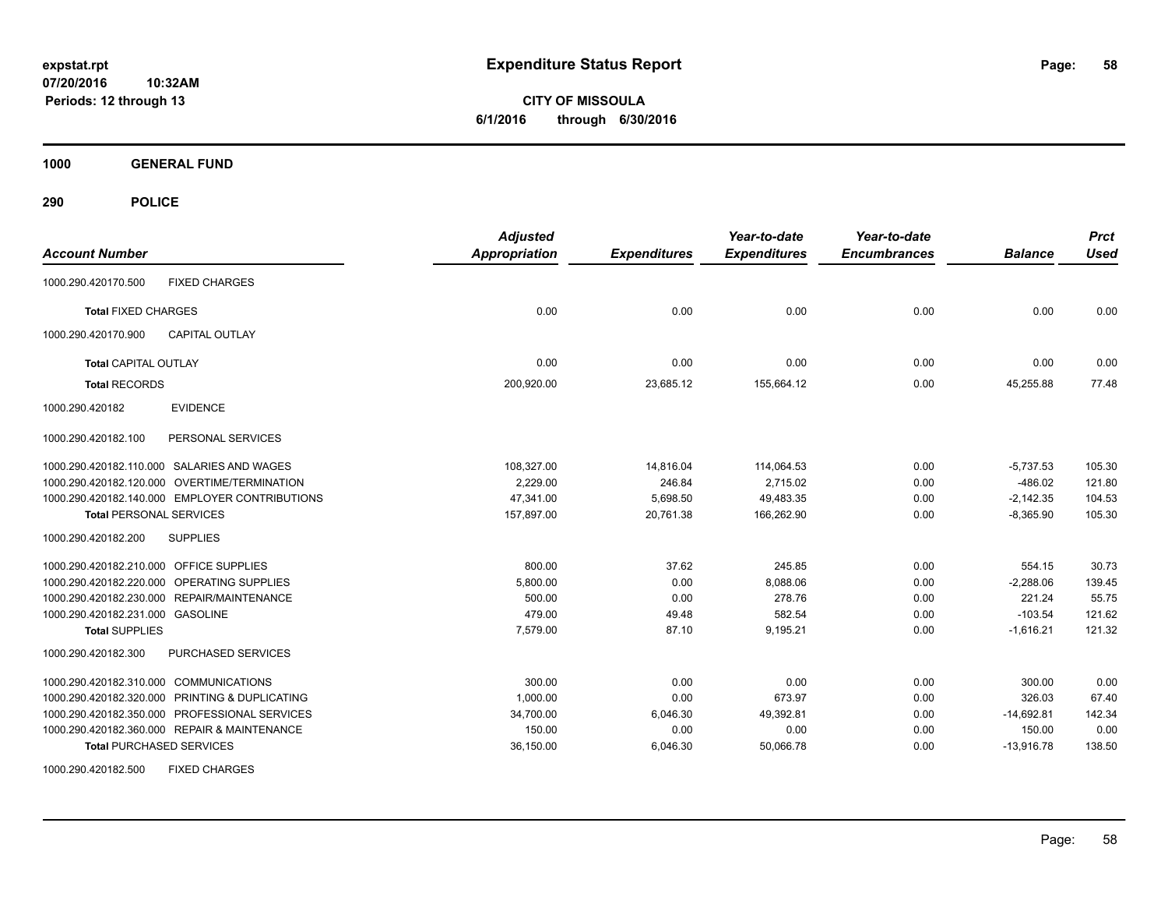**CITY OF MISSOULA 6/1/2016 through 6/30/2016**

**1000 GENERAL FUND**

| <b>Account Number</b>                          | <b>Adjusted</b><br><b>Appropriation</b> | <b>Expenditures</b> | Year-to-date<br><b>Expenditures</b> | Year-to-date<br><b>Encumbrances</b> | <b>Balance</b> | <b>Prct</b><br><b>Used</b> |
|------------------------------------------------|-----------------------------------------|---------------------|-------------------------------------|-------------------------------------|----------------|----------------------------|
| <b>FIXED CHARGES</b><br>1000.290.420170.500    |                                         |                     |                                     |                                     |                |                            |
| <b>Total FIXED CHARGES</b>                     | 0.00                                    | 0.00                | 0.00                                | 0.00                                | 0.00           | 0.00                       |
| <b>CAPITAL OUTLAY</b><br>1000.290.420170.900   |                                         |                     |                                     |                                     |                |                            |
| <b>Total CAPITAL OUTLAY</b>                    | 0.00                                    | 0.00                | 0.00                                | 0.00                                | 0.00           | 0.00                       |
| <b>Total RECORDS</b>                           | 200,920.00                              | 23,685.12           | 155,664.12                          | 0.00                                | 45,255.88      | 77.48                      |
| 1000.290.420182<br><b>EVIDENCE</b>             |                                         |                     |                                     |                                     |                |                            |
| PERSONAL SERVICES<br>1000.290.420182.100       |                                         |                     |                                     |                                     |                |                            |
| 1000.290.420182.110.000 SALARIES AND WAGES     | 108,327.00                              | 14,816.04           | 114,064.53                          | 0.00                                | $-5,737.53$    | 105.30                     |
| 1000.290.420182.120.000 OVERTIME/TERMINATION   | 2,229.00                                | 246.84              | 2,715.02                            | 0.00                                | $-486.02$      | 121.80                     |
| 1000.290.420182.140.000 EMPLOYER CONTRIBUTIONS | 47.341.00                               | 5,698.50            | 49,483.35                           | 0.00                                | $-2,142.35$    | 104.53                     |
| <b>Total PERSONAL SERVICES</b>                 | 157,897.00                              | 20.761.38           | 166.262.90                          | 0.00                                | $-8,365.90$    | 105.30                     |
| 1000.290.420182.200<br><b>SUPPLIES</b>         |                                         |                     |                                     |                                     |                |                            |
| 1000.290.420182.210.000 OFFICE SUPPLIES        | 800.00                                  | 37.62               | 245.85                              | 0.00                                | 554.15         | 30.73                      |
| 1000.290.420182.220.000 OPERATING SUPPLIES     | 5,800.00                                | 0.00                | 8,088.06                            | 0.00                                | $-2,288.06$    | 139.45                     |
| 1000.290.420182.230.000 REPAIR/MAINTENANCE     | 500.00                                  | 0.00                | 278.76                              | 0.00                                | 221.24         | 55.75                      |
| 1000.290.420182.231.000 GASOLINE               | 479.00                                  | 49.48               | 582.54                              | 0.00                                | $-103.54$      | 121.62                     |
| <b>Total SUPPLIES</b>                          | 7,579.00                                | 87.10               | 9,195.21                            | 0.00                                | $-1,616.21$    | 121.32                     |
| 1000.290.420182.300<br>PURCHASED SERVICES      |                                         |                     |                                     |                                     |                |                            |
| 1000.290.420182.310.000 COMMUNICATIONS         | 300.00                                  | 0.00                | 0.00                                | 0.00                                | 300.00         | 0.00                       |
| 1000.290.420182.320.000 PRINTING & DUPLICATING | 1,000.00                                | 0.00                | 673.97                              | 0.00                                | 326.03         | 67.40                      |
| 1000.290.420182.350.000 PROFESSIONAL SERVICES  | 34,700.00                               | 6,046.30            | 49,392.81                           | 0.00                                | $-14,692.81$   | 142.34                     |
| 1000.290.420182.360.000 REPAIR & MAINTENANCE   | 150.00                                  | 0.00                | 0.00                                | 0.00                                | 150.00         | 0.00                       |
| <b>Total PURCHASED SERVICES</b>                | 36,150.00                               | 6,046.30            | 50,066.78                           | 0.00                                | $-13,916.78$   | 138.50                     |
| <b>FIXED CHARGES</b><br>1000.290.420182.500    |                                         |                     |                                     |                                     |                |                            |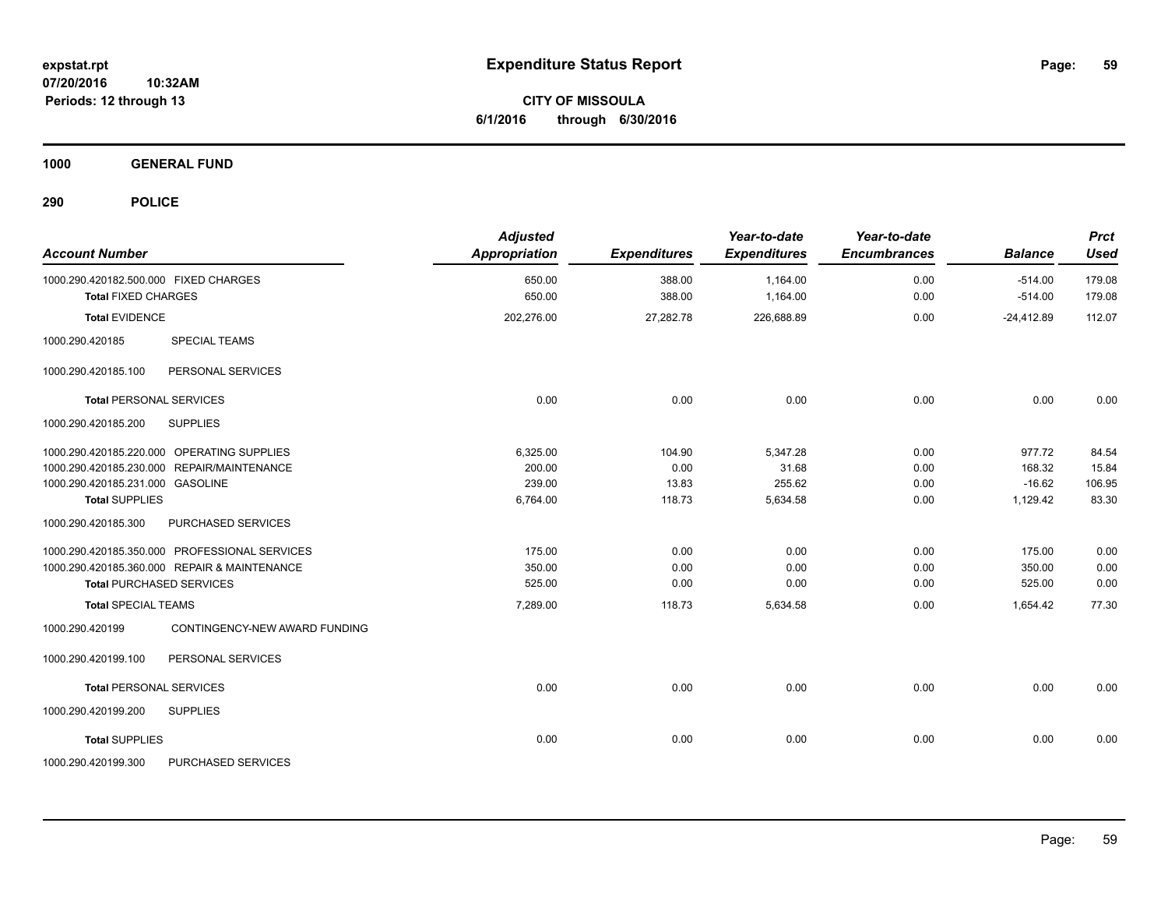**CITY OF MISSOULA 6/1/2016 through 6/30/2016**

**1000 GENERAL FUND**

| <b>Account Number</b>                                               | <b>Adjusted</b><br><b>Appropriation</b> | <b>Expenditures</b> | Year-to-date<br><b>Expenditures</b> | Year-to-date<br><b>Encumbrances</b> | <b>Balance</b>         | <b>Prct</b><br><b>Used</b> |
|---------------------------------------------------------------------|-----------------------------------------|---------------------|-------------------------------------|-------------------------------------|------------------------|----------------------------|
| 1000.290.420182.500.000 FIXED CHARGES<br><b>Total FIXED CHARGES</b> | 650.00<br>650.00                        | 388.00<br>388.00    | 1,164.00<br>1,164.00                | 0.00<br>0.00                        | $-514.00$<br>$-514.00$ | 179.08<br>179.08           |
| <b>Total EVIDENCE</b>                                               | 202,276.00                              | 27,282.78           | 226,688.89                          | 0.00                                | $-24,412.89$           | 112.07                     |
| <b>SPECIAL TEAMS</b><br>1000.290.420185                             |                                         |                     |                                     |                                     |                        |                            |
| PERSONAL SERVICES<br>1000.290.420185.100                            |                                         |                     |                                     |                                     |                        |                            |
| <b>Total PERSONAL SERVICES</b>                                      | 0.00                                    | 0.00                | 0.00                                | 0.00                                | 0.00                   | 0.00                       |
| 1000.290.420185.200<br><b>SUPPLIES</b>                              |                                         |                     |                                     |                                     |                        |                            |
| 1000.290.420185.220.000 OPERATING SUPPLIES                          | 6,325.00                                | 104.90              | 5,347.28                            | 0.00                                | 977.72                 | 84.54                      |
| 1000.290.420185.230.000 REPAIR/MAINTENANCE                          | 200.00                                  | 0.00                | 31.68                               | 0.00                                | 168.32                 | 15.84                      |
| 1000.290.420185.231.000 GASOLINE                                    | 239.00                                  | 13.83               | 255.62                              | 0.00                                | $-16.62$               | 106.95                     |
| <b>Total SUPPLIES</b>                                               | 6,764.00                                | 118.73              | 5,634.58                            | 0.00                                | 1,129.42               | 83.30                      |
| 1000.290.420185.300<br>PURCHASED SERVICES                           |                                         |                     |                                     |                                     |                        |                            |
| 1000.290.420185.350.000 PROFESSIONAL SERVICES                       | 175.00                                  | 0.00                | 0.00                                | 0.00                                | 175.00                 | 0.00                       |
| 1000.290.420185.360.000 REPAIR & MAINTENANCE                        | 350.00                                  | 0.00                | 0.00                                | 0.00                                | 350.00                 | 0.00                       |
| <b>Total PURCHASED SERVICES</b>                                     | 525.00                                  | 0.00                | 0.00                                | 0.00                                | 525.00                 | 0.00                       |
| <b>Total SPECIAL TEAMS</b>                                          | 7,289.00                                | 118.73              | 5,634.58                            | 0.00                                | 1,654.42               | 77.30                      |
| 1000.290.420199<br>CONTINGENCY-NEW AWARD FUNDING                    |                                         |                     |                                     |                                     |                        |                            |
| 1000.290.420199.100<br>PERSONAL SERVICES                            |                                         |                     |                                     |                                     |                        |                            |
| <b>Total PERSONAL SERVICES</b>                                      | 0.00                                    | 0.00                | 0.00                                | 0.00                                | 0.00                   | 0.00                       |
| 1000.290.420199.200<br><b>SUPPLIES</b>                              |                                         |                     |                                     |                                     |                        |                            |
| <b>Total SUPPLIES</b>                                               | 0.00                                    | 0.00                | 0.00                                | 0.00                                | 0.00                   | 0.00                       |
| 1000.290.420199.300<br>PURCHASED SERVICES                           |                                         |                     |                                     |                                     |                        |                            |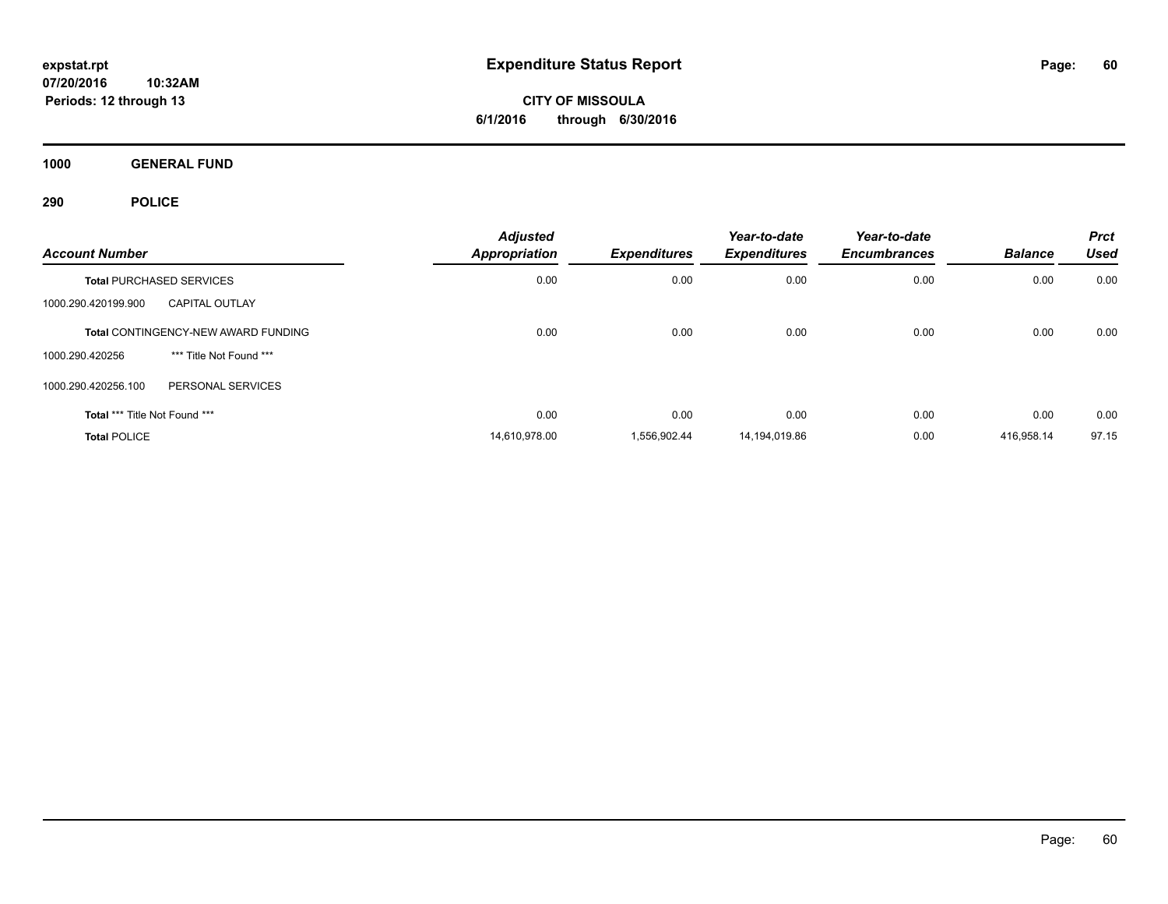**CITY OF MISSOULA 6/1/2016 through 6/30/2016**

**1000 GENERAL FUND**

| <b>Account Number</b>         |                                            | <b>Adjusted</b><br><b>Appropriation</b> | <b>Expenditures</b> | Year-to-date<br><b>Expenditures</b> | Year-to-date<br><b>Encumbrances</b> | <b>Balance</b> | <b>Prct</b><br><b>Used</b> |
|-------------------------------|--------------------------------------------|-----------------------------------------|---------------------|-------------------------------------|-------------------------------------|----------------|----------------------------|
|                               | <b>Total PURCHASED SERVICES</b>            | 0.00                                    | 0.00                | 0.00                                | 0.00                                | 0.00           | 0.00                       |
| 1000.290.420199.900           | <b>CAPITAL OUTLAY</b>                      |                                         |                     |                                     |                                     |                |                            |
|                               | <b>Total CONTINGENCY-NEW AWARD FUNDING</b> | 0.00                                    | 0.00                | 0.00                                | 0.00                                | 0.00           | 0.00                       |
| 1000.290.420256               | *** Title Not Found ***                    |                                         |                     |                                     |                                     |                |                            |
| 1000.290.420256.100           | PERSONAL SERVICES                          |                                         |                     |                                     |                                     |                |                            |
| Total *** Title Not Found *** |                                            | 0.00                                    | 0.00                | 0.00                                | 0.00                                | 0.00           | 0.00                       |
| <b>Total POLICE</b>           |                                            | 14,610,978.00                           | 1,556,902.44        | 14,194,019.86                       | 0.00                                | 416,958.14     | 97.15                      |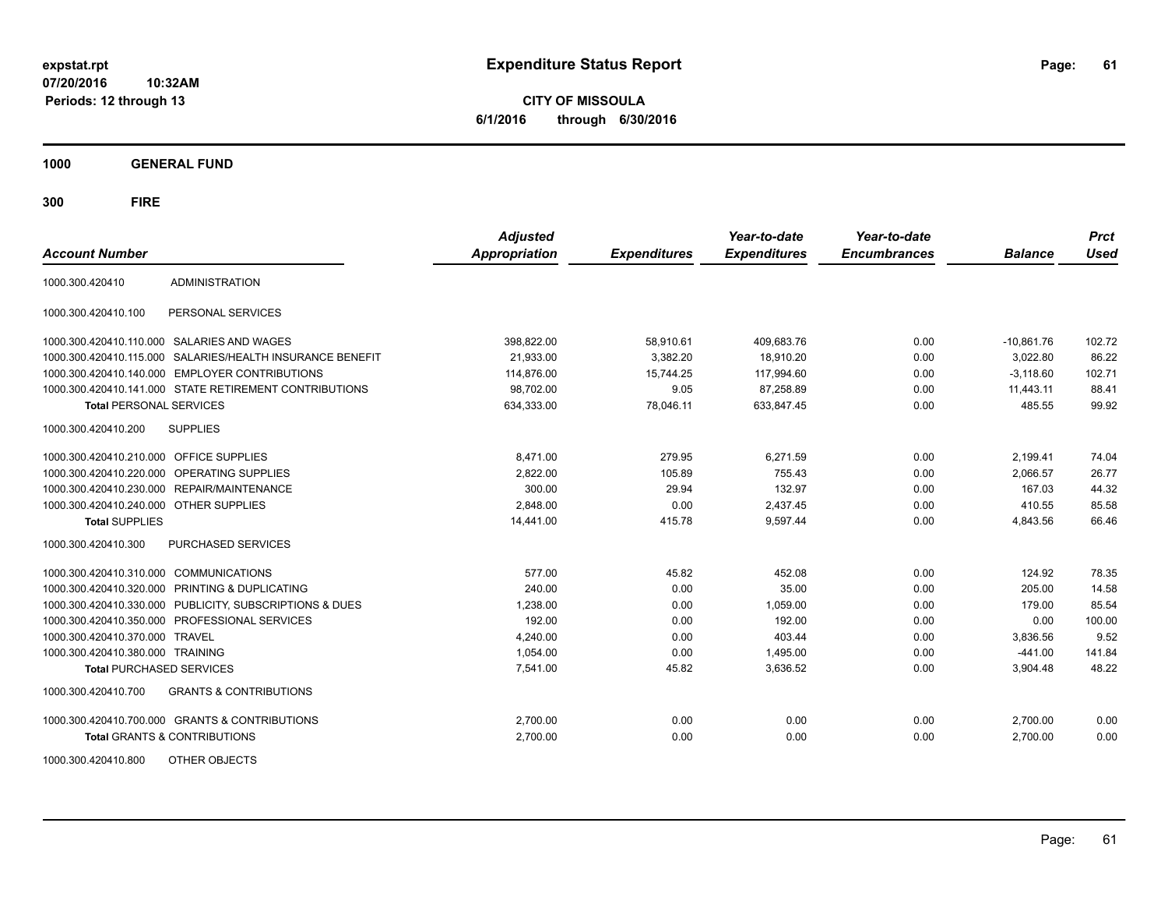**CITY OF MISSOULA 6/1/2016 through 6/30/2016**

**1000 GENERAL FUND**

| <b>Account Number</b>                   |                                                           | <b>Adjusted</b><br><b>Appropriation</b> | <b>Expenditures</b> | Year-to-date<br><b>Expenditures</b> | Year-to-date<br><b>Encumbrances</b> | <b>Balance</b> | <b>Prct</b><br><b>Used</b> |
|-----------------------------------------|-----------------------------------------------------------|-----------------------------------------|---------------------|-------------------------------------|-------------------------------------|----------------|----------------------------|
| 1000.300.420410                         | <b>ADMINISTRATION</b>                                     |                                         |                     |                                     |                                     |                |                            |
| 1000.300.420410.100                     | PERSONAL SERVICES                                         |                                         |                     |                                     |                                     |                |                            |
|                                         | 1000.300.420410.110.000 SALARIES AND WAGES                | 398,822.00                              | 58,910.61           | 409,683.76                          | 0.00                                | $-10,861.76$   | 102.72                     |
|                                         | 1000.300.420410.115.000 SALARIES/HEALTH INSURANCE BENEFIT | 21,933.00                               | 3,382.20            | 18,910.20                           | 0.00                                | 3,022.80       | 86.22                      |
|                                         | 1000.300.420410.140.000 EMPLOYER CONTRIBUTIONS            | 114,876.00                              | 15,744.25           | 117,994.60                          | 0.00                                | $-3.118.60$    | 102.71                     |
|                                         | 1000.300.420410.141.000 STATE RETIREMENT CONTRIBUTIONS    | 98,702.00                               | 9.05                | 87,258.89                           | 0.00                                | 11,443.11      | 88.41                      |
| <b>Total PERSONAL SERVICES</b>          |                                                           | 634,333.00                              | 78,046.11           | 633,847.45                          | 0.00                                | 485.55         | 99.92                      |
| 1000.300.420410.200                     | <b>SUPPLIES</b>                                           |                                         |                     |                                     |                                     |                |                            |
| 1000.300.420410.210.000 OFFICE SUPPLIES |                                                           | 8,471.00                                | 279.95              | 6,271.59                            | 0.00                                | 2,199.41       | 74.04                      |
|                                         | 1000.300.420410.220.000 OPERATING SUPPLIES                | 2,822.00                                | 105.89              | 755.43                              | 0.00                                | 2,066.57       | 26.77                      |
| 1000.300.420410.230.000                 | REPAIR/MAINTENANCE                                        | 300.00                                  | 29.94               | 132.97                              | 0.00                                | 167.03         | 44.32                      |
| 1000.300.420410.240.000                 | <b>OTHER SUPPLIES</b>                                     | 2,848.00                                | 0.00                | 2,437.45                            | 0.00                                | 410.55         | 85.58                      |
| <b>Total SUPPLIES</b>                   |                                                           | 14,441.00                               | 415.78              | 9,597.44                            | 0.00                                | 4,843.56       | 66.46                      |
| 1000.300.420410.300                     | PURCHASED SERVICES                                        |                                         |                     |                                     |                                     |                |                            |
| 1000.300.420410.310.000                 | <b>COMMUNICATIONS</b>                                     | 577.00                                  | 45.82               | 452.08                              | 0.00                                | 124.92         | 78.35                      |
| 1000.300.420410.320.000                 | <b>PRINTING &amp; DUPLICATING</b>                         | 240.00                                  | 0.00                | 35.00                               | 0.00                                | 205.00         | 14.58                      |
| 1000.300.420410.330.000                 | PUBLICITY, SUBSCRIPTIONS & DUES                           | 1,238.00                                | 0.00                | 1.059.00                            | 0.00                                | 179.00         | 85.54                      |
| 1000.300.420410.350.000                 | PROFESSIONAL SERVICES                                     | 192.00                                  | 0.00                | 192.00                              | 0.00                                | 0.00           | 100.00                     |
| 1000.300.420410.370.000                 | <b>TRAVEL</b>                                             | 4,240.00                                | 0.00                | 403.44                              | 0.00                                | 3,836.56       | 9.52                       |
| 1000.300.420410.380.000 TRAINING        |                                                           | 1,054.00                                | 0.00                | 1,495.00                            | 0.00                                | $-441.00$      | 141.84                     |
| <b>Total PURCHASED SERVICES</b>         |                                                           | 7,541.00                                | 45.82               | 3,636.52                            | 0.00                                | 3,904.48       | 48.22                      |
| 1000.300.420410.700                     | <b>GRANTS &amp; CONTRIBUTIONS</b>                         |                                         |                     |                                     |                                     |                |                            |
|                                         | 1000.300.420410.700.000 GRANTS & CONTRIBUTIONS            | 2,700.00                                | 0.00                | 0.00                                | 0.00                                | 2,700.00       | 0.00                       |
|                                         | <b>Total GRANTS &amp; CONTRIBUTIONS</b>                   | 2,700.00                                | 0.00                | 0.00                                | 0.00                                | 2,700.00       | 0.00                       |
| 1000.300.420410.800                     | OTHER OBJECTS                                             |                                         |                     |                                     |                                     |                |                            |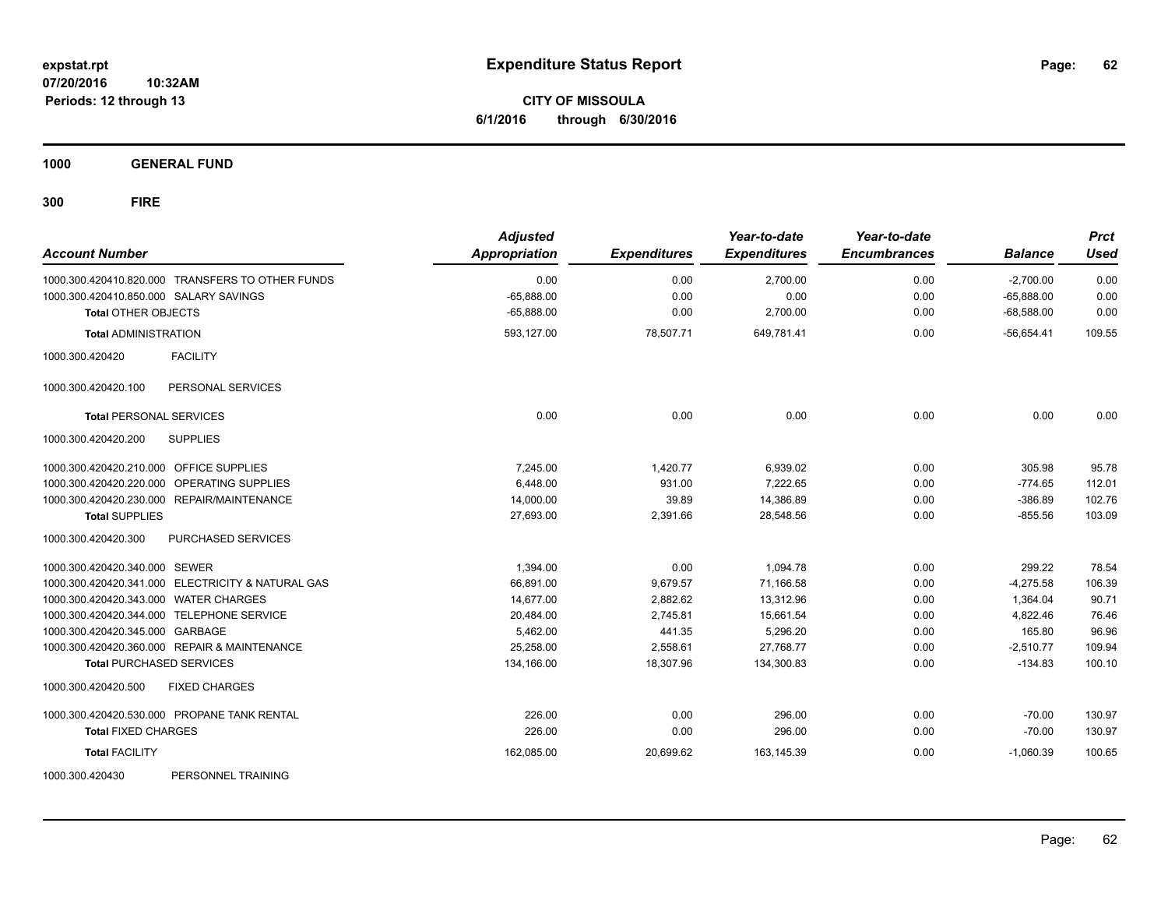**CITY OF MISSOULA 6/1/2016 through 6/30/2016**

**1000 GENERAL FUND**

| <b>Account Number</b>                        |                                                   | <b>Adjusted</b><br><b>Appropriation</b> | <b>Expenditures</b> | Year-to-date<br><b>Expenditures</b> | Year-to-date<br><b>Encumbrances</b> | <b>Balance</b> | <b>Prct</b><br><b>Used</b> |
|----------------------------------------------|---------------------------------------------------|-----------------------------------------|---------------------|-------------------------------------|-------------------------------------|----------------|----------------------------|
|                                              | 1000.300.420410.820.000 TRANSFERS TO OTHER FUNDS  | 0.00                                    | 0.00                | 2,700.00                            | 0.00                                | $-2,700.00$    | 0.00                       |
| 1000.300.420410.850.000 SALARY SAVINGS       |                                                   | $-65,888.00$                            | 0.00                | 0.00                                | 0.00                                | $-65.888.00$   | 0.00                       |
| <b>Total OTHER OBJECTS</b>                   |                                                   | $-65,888.00$                            | 0.00                | 2,700.00                            | 0.00                                | $-68,588.00$   | 0.00                       |
| <b>Total ADMINISTRATION</b>                  |                                                   | 593,127.00                              | 78,507.71           | 649,781.41                          | 0.00                                | $-56,654.41$   | 109.55                     |
| 1000.300.420420                              | <b>FACILITY</b>                                   |                                         |                     |                                     |                                     |                |                            |
| 1000.300.420420.100                          | PERSONAL SERVICES                                 |                                         |                     |                                     |                                     |                |                            |
| <b>Total PERSONAL SERVICES</b>               |                                                   | 0.00                                    | 0.00                | 0.00                                | 0.00                                | 0.00           | 0.00                       |
| 1000.300.420420.200                          | <b>SUPPLIES</b>                                   |                                         |                     |                                     |                                     |                |                            |
| 1000.300.420420.210.000 OFFICE SUPPLIES      |                                                   | 7,245.00                                | 1,420.77            | 6,939.02                            | 0.00                                | 305.98         | 95.78                      |
| 1000.300.420420.220.000                      | OPERATING SUPPLIES                                | 6.448.00                                | 931.00              | 7,222.65                            | 0.00                                | $-774.65$      | 112.01                     |
| 1000.300.420420.230.000 REPAIR/MAINTENANCE   |                                                   | 14,000.00                               | 39.89               | 14,386.89                           | 0.00                                | $-386.89$      | 102.76                     |
| <b>Total SUPPLIES</b>                        |                                                   | 27,693.00                               | 2,391.66            | 28,548.56                           | 0.00                                | $-855.56$      | 103.09                     |
| 1000.300.420420.300                          | PURCHASED SERVICES                                |                                         |                     |                                     |                                     |                |                            |
| 1000.300.420420.340.000 SEWER                |                                                   | 1,394.00                                | 0.00                | 1,094.78                            | 0.00                                | 299.22         | 78.54                      |
|                                              | 1000.300.420420.341.000 ELECTRICITY & NATURAL GAS | 66,891.00                               | 9,679.57            | 71,166.58                           | 0.00                                | $-4,275.58$    | 106.39                     |
| 1000.300.420420.343.000 WATER CHARGES        |                                                   | 14,677.00                               | 2,882.62            | 13,312.96                           | 0.00                                | 1,364.04       | 90.71                      |
| 1000.300.420420.344.000 TELEPHONE SERVICE    |                                                   | 20,484.00                               | 2,745.81            | 15,661.54                           | 0.00                                | 4,822.46       | 76.46                      |
| 1000.300.420420.345.000 GARBAGE              |                                                   | 5,462.00                                | 441.35              | 5,296.20                            | 0.00                                | 165.80         | 96.96                      |
| 1000.300.420420.360.000 REPAIR & MAINTENANCE |                                                   | 25,258.00                               | 2,558.61            | 27,768.77                           | 0.00                                | $-2,510.77$    | 109.94                     |
| <b>Total PURCHASED SERVICES</b>              |                                                   | 134,166.00                              | 18,307.96           | 134,300.83                          | 0.00                                | $-134.83$      | 100.10                     |
| 1000.300.420420.500                          | <b>FIXED CHARGES</b>                              |                                         |                     |                                     |                                     |                |                            |
| 1000.300.420420.530.000 PROPANE TANK RENTAL  |                                                   | 226.00                                  | 0.00                | 296.00                              | 0.00                                | $-70.00$       | 130.97                     |
| <b>Total FIXED CHARGES</b>                   |                                                   | 226.00                                  | 0.00                | 296.00                              | 0.00                                | $-70.00$       | 130.97                     |
| <b>Total FACILITY</b>                        |                                                   | 162,085.00                              | 20,699.62           | 163,145.39                          | 0.00                                | $-1,060.39$    | 100.65                     |
| 1000.300.420430                              | PERSONNEL TRAINING                                |                                         |                     |                                     |                                     |                |                            |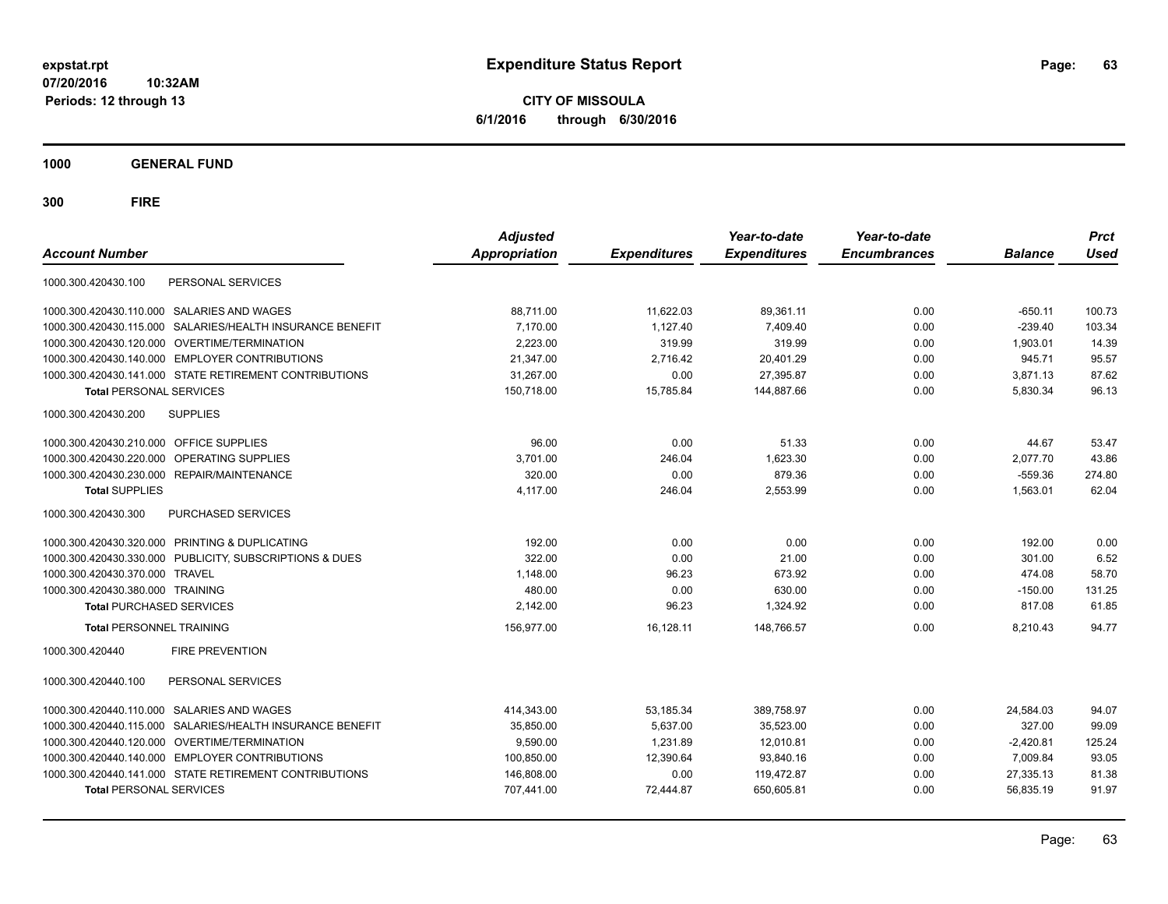**CITY OF MISSOULA 6/1/2016 through 6/30/2016**

**1000 GENERAL FUND**

| <b>Account Number</b>                                        | <b>Adjusted</b><br><b>Appropriation</b> | <b>Expenditures</b> | Year-to-date<br><b>Expenditures</b> | Year-to-date<br><b>Encumbrances</b> | <b>Balance</b> | <b>Prct</b><br><b>Used</b> |
|--------------------------------------------------------------|-----------------------------------------|---------------------|-------------------------------------|-------------------------------------|----------------|----------------------------|
| 1000.300.420430.100<br>PERSONAL SERVICES                     |                                         |                     |                                     |                                     |                |                            |
| 1000.300.420430.110.000 SALARIES AND WAGES                   | 88,711.00                               | 11,622.03           | 89,361.11                           | 0.00                                | $-650.11$      | 100.73                     |
| 1000.300.420430.115.000<br>SALARIES/HEALTH INSURANCE BENEFIT | 7.170.00                                | 1.127.40            | 7.409.40                            | 0.00                                | $-239.40$      | 103.34                     |
| OVERTIME/TERMINATION<br>1000.300.420430.120.000              | 2.223.00                                | 319.99              | 319.99                              | 0.00                                | 1,903.01       | 14.39                      |
| 1000.300.420430.140.000 EMPLOYER CONTRIBUTIONS               | 21,347.00                               | 2.716.42            | 20,401.29                           | 0.00                                | 945.71         | 95.57                      |
| 1000.300.420430.141.000 STATE RETIREMENT CONTRIBUTIONS       | 31,267.00                               | 0.00                | 27,395.87                           | 0.00                                | 3,871.13       | 87.62                      |
| <b>Total PERSONAL SERVICES</b>                               | 150.718.00                              | 15,785.84           | 144.887.66                          | 0.00                                | 5,830.34       | 96.13                      |
| 1000.300.420430.200<br><b>SUPPLIES</b>                       |                                         |                     |                                     |                                     |                |                            |
| <b>OFFICE SUPPLIES</b><br>1000.300.420430.210.000            | 96.00                                   | 0.00                | 51.33                               | 0.00                                | 44.67          | 53.47                      |
| OPERATING SUPPLIES<br>1000.300.420430.220.000                | 3.701.00                                | 246.04              | 1.623.30                            | 0.00                                | 2.077.70       | 43.86                      |
| 1000.300.420430.230.000 REPAIR/MAINTENANCE                   | 320.00                                  | 0.00                | 879.36                              | 0.00                                | $-559.36$      | 274.80                     |
| <b>Total SUPPLIES</b>                                        | 4,117.00                                | 246.04              | 2,553.99                            | 0.00                                | 1,563.01       | 62.04                      |
| PURCHASED SERVICES<br>1000.300.420430.300                    |                                         |                     |                                     |                                     |                |                            |
| 1000.300.420430.320.000 PRINTING & DUPLICATING               | 192.00                                  | 0.00                | 0.00                                | 0.00                                | 192.00         | 0.00                       |
| 1000.300.420430.330.000 PUBLICITY, SUBSCRIPTIONS & DUES      | 322.00                                  | 0.00                | 21.00                               | 0.00                                | 301.00         | 6.52                       |
| 1000.300.420430.370.000 TRAVEL                               | 1,148.00                                | 96.23               | 673.92                              | 0.00                                | 474.08         | 58.70                      |
| 1000.300.420430.380.000 TRAINING                             | 480.00                                  | 0.00                | 630.00                              | 0.00                                | $-150.00$      | 131.25                     |
| <b>Total PURCHASED SERVICES</b>                              | 2,142.00                                | 96.23               | 1,324.92                            | 0.00                                | 817.08         | 61.85                      |
| <b>Total PERSONNEL TRAINING</b>                              | 156,977.00                              | 16,128.11           | 148,766.57                          | 0.00                                | 8,210.43       | 94.77                      |
| <b>FIRE PREVENTION</b><br>1000.300.420440                    |                                         |                     |                                     |                                     |                |                            |
| PERSONAL SERVICES<br>1000.300.420440.100                     |                                         |                     |                                     |                                     |                |                            |
| 1000.300.420440.110.000 SALARIES AND WAGES                   | 414,343.00                              | 53,185.34           | 389,758.97                          | 0.00                                | 24,584.03      | 94.07                      |
| SALARIES/HEALTH INSURANCE BENEFIT<br>1000.300.420440.115.000 | 35,850.00                               | 5,637.00            | 35,523.00                           | 0.00                                | 327.00         | 99.09                      |
| 1000.300.420440.120.000 OVERTIME/TERMINATION                 | 9,590.00                                | 1,231.89            | 12,010.81                           | 0.00                                | $-2,420.81$    | 125.24                     |
| 1000.300.420440.140.000 EMPLOYER CONTRIBUTIONS               | 100,850.00                              | 12,390.64           | 93,840.16                           | 0.00                                | 7,009.84       | 93.05                      |
| 1000.300.420440.141.000 STATE RETIREMENT CONTRIBUTIONS       | 146,808.00                              | 0.00                | 119,472.87                          | 0.00                                | 27,335.13      | 81.38                      |
| <b>Total PERSONAL SERVICES</b>                               | 707,441.00                              | 72,444.87           | 650,605.81                          | 0.00                                | 56,835.19      | 91.97                      |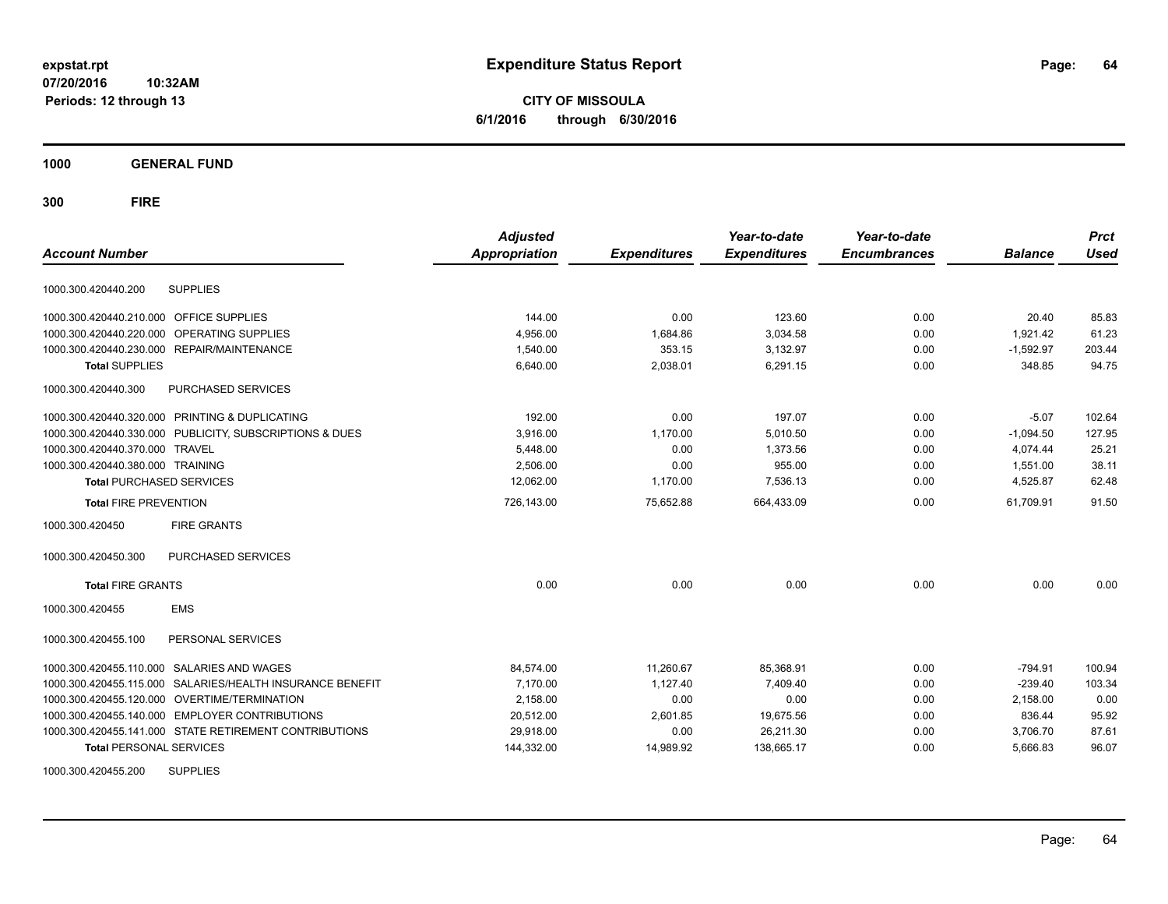**CITY OF MISSOULA 6/1/2016 through 6/30/2016**

**1000 GENERAL FUND**

**300 FIRE**

|                                                              | <b>Adjusted</b> |                     | Year-to-date        | Year-to-date        |                | <b>Prct</b> |
|--------------------------------------------------------------|-----------------|---------------------|---------------------|---------------------|----------------|-------------|
| <b>Account Number</b>                                        | Appropriation   | <b>Expenditures</b> | <b>Expenditures</b> | <b>Encumbrances</b> | <b>Balance</b> | <b>Used</b> |
| 1000.300.420440.200<br><b>SUPPLIES</b>                       |                 |                     |                     |                     |                |             |
| 1000.300.420440.210.000 OFFICE SUPPLIES                      | 144.00          | 0.00                | 123.60              | 0.00                | 20.40          | 85.83       |
| OPERATING SUPPLIES<br>1000.300.420440.220.000                | 4,956.00        | 1,684.86            | 3,034.58            | 0.00                | 1,921.42       | 61.23       |
| 1000.300.420440.230.000 REPAIR/MAINTENANCE                   | 1,540.00        | 353.15              | 3,132.97            | 0.00                | $-1,592.97$    | 203.44      |
| <b>Total SUPPLIES</b>                                        | 6,640.00        | 2,038.01            | 6,291.15            | 0.00                | 348.85         | 94.75       |
| 1000.300.420440.300<br>PURCHASED SERVICES                    |                 |                     |                     |                     |                |             |
| 1000.300.420440.320.000 PRINTING & DUPLICATING               | 192.00          | 0.00                | 197.07              | 0.00                | $-5.07$        | 102.64      |
| 1000.300.420440.330.000 PUBLICITY, SUBSCRIPTIONS & DUES      | 3,916.00        | 1,170.00            | 5,010.50            | 0.00                | $-1,094.50$    | 127.95      |
| 1000.300.420440.370.000<br><b>TRAVEL</b>                     | 5,448.00        | 0.00                | 1.373.56            | 0.00                | 4,074.44       | 25.21       |
| 1000.300.420440.380.000 TRAINING                             | 2,506.00        | 0.00                | 955.00              | 0.00                | 1,551.00       | 38.11       |
| <b>Total PURCHASED SERVICES</b>                              | 12,062.00       | 1,170.00            | 7,536.13            | 0.00                | 4,525.87       | 62.48       |
| <b>Total FIRE PREVENTION</b>                                 | 726,143.00      | 75,652.88           | 664,433.09          | 0.00                | 61,709.91      | 91.50       |
| 1000.300.420450<br><b>FIRE GRANTS</b>                        |                 |                     |                     |                     |                |             |
| 1000.300.420450.300<br>PURCHASED SERVICES                    |                 |                     |                     |                     |                |             |
| <b>Total FIRE GRANTS</b>                                     | 0.00            | 0.00                | 0.00                | 0.00                | 0.00           | 0.00        |
| <b>EMS</b><br>1000.300.420455                                |                 |                     |                     |                     |                |             |
| PERSONAL SERVICES<br>1000.300.420455.100                     |                 |                     |                     |                     |                |             |
| 1000.300.420455.110.000 SALARIES AND WAGES                   | 84,574.00       | 11,260.67           | 85,368.91           | 0.00                | $-794.91$      | 100.94      |
| SALARIES/HEALTH INSURANCE BENEFIT<br>1000.300.420455.115.000 | 7,170.00        | 1,127.40            | 7,409.40            | 0.00                | $-239.40$      | 103.34      |
| 1000.300.420455.120.000 OVERTIME/TERMINATION                 | 2,158.00        | 0.00                | 0.00                | 0.00                | 2,158.00       | 0.00        |
| 1000.300.420455.140.000 EMPLOYER CONTRIBUTIONS               | 20,512.00       | 2,601.85            | 19,675.56           | 0.00                | 836.44         | 95.92       |
| 1000.300.420455.141.000 STATE RETIREMENT CONTRIBUTIONS       | 29,918.00       | 0.00                | 26,211.30           | 0.00                | 3,706.70       | 87.61       |
| <b>Total PERSONAL SERVICES</b>                               | 144,332.00      | 14,989.92           | 138,665.17          | 0.00                | 5,666.83       | 96.07       |
| 1000000010015500<br>0.1001100                                |                 |                     |                     |                     |                |             |

1000.300.420455.200 SUPPLIES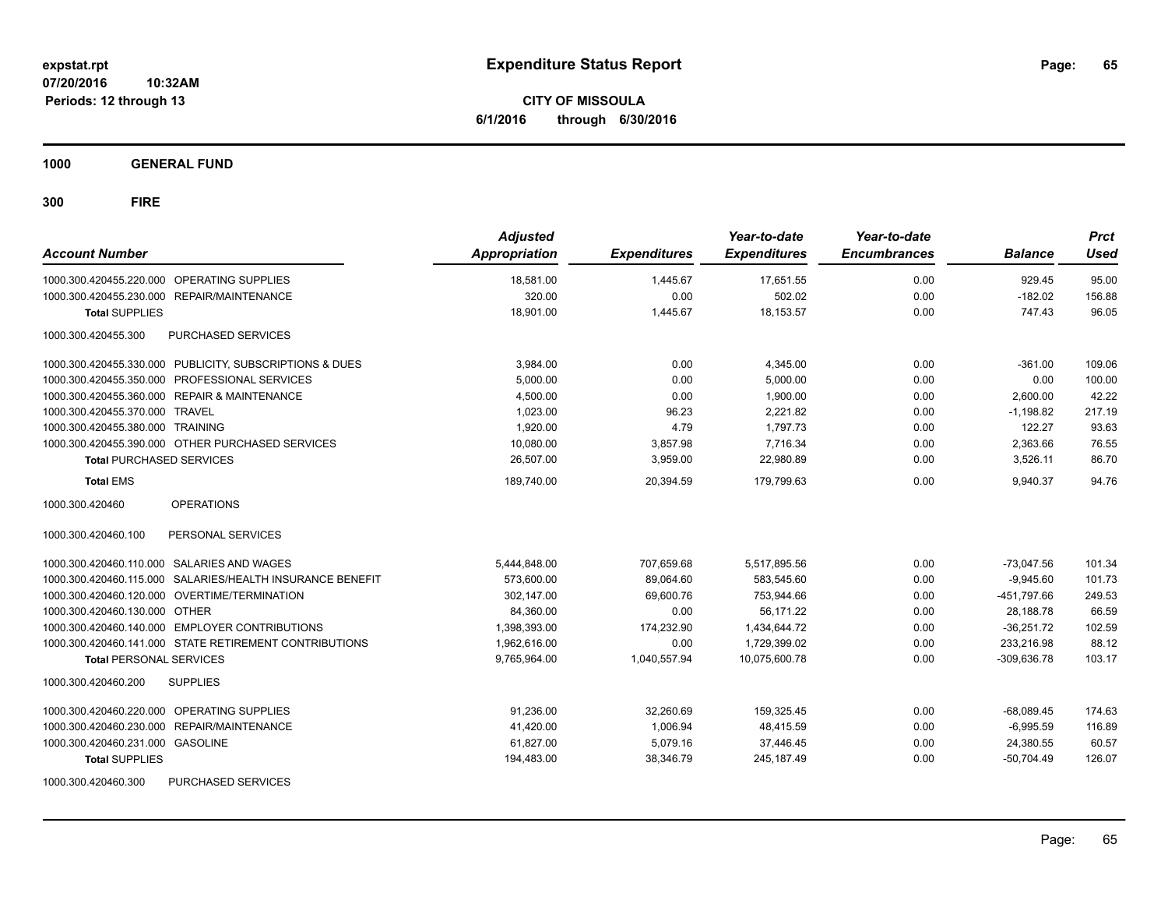**CITY OF MISSOULA 6/1/2016 through 6/30/2016**

**1000 GENERAL FUND**

| <b>Account Number</b>                                     | <b>Adjusted</b><br><b>Appropriation</b> | <b>Expenditures</b> | Year-to-date<br><b>Expenditures</b> | Year-to-date<br><b>Encumbrances</b> | <b>Balance</b> | <b>Prct</b><br><b>Used</b> |
|-----------------------------------------------------------|-----------------------------------------|---------------------|-------------------------------------|-------------------------------------|----------------|----------------------------|
| 1000.300.420455.220.000 OPERATING SUPPLIES                | 18,581.00                               | 1,445.67            | 17,651.55                           | 0.00                                | 929.45         | 95.00                      |
| 1000.300.420455.230.000 REPAIR/MAINTENANCE                | 320.00                                  | 0.00                | 502.02                              | 0.00                                | $-182.02$      | 156.88                     |
| <b>Total SUPPLIES</b>                                     | 18.901.00                               | 1.445.67            | 18.153.57                           | 0.00                                | 747.43         | 96.05                      |
| 1000.300.420455.300<br><b>PURCHASED SERVICES</b>          |                                         |                     |                                     |                                     |                |                            |
| 1000.300.420455.330.000 PUBLICITY, SUBSCRIPTIONS & DUES   | 3,984.00                                | 0.00                | 4,345.00                            | 0.00                                | $-361.00$      | 109.06                     |
| 1000.300.420455.350.000 PROFESSIONAL SERVICES             | 5,000.00                                | 0.00                | 5,000.00                            | 0.00                                | 0.00           | 100.00                     |
| 1000.300.420455.360.000 REPAIR & MAINTENANCE              | 4,500.00                                | 0.00                | 1,900.00                            | 0.00                                | 2,600.00       | 42.22                      |
| 1000.300.420455.370.000 TRAVEL                            | 1,023.00                                | 96.23               | 2,221.82                            | 0.00                                | $-1,198.82$    | 217.19                     |
| 1000.300.420455.380.000 TRAINING                          | 1,920.00                                | 4.79                | 1,797.73                            | 0.00                                | 122.27         | 93.63                      |
| 1000.300.420455.390.000 OTHER PURCHASED SERVICES          | 10,080.00                               | 3,857.98            | 7,716.34                            | 0.00                                | 2,363.66       | 76.55                      |
| <b>Total PURCHASED SERVICES</b>                           | 26,507.00                               | 3,959.00            | 22,980.89                           | 0.00                                | 3,526.11       | 86.70                      |
| <b>Total EMS</b>                                          | 189,740.00                              | 20,394.59           | 179,799.63                          | 0.00                                | 9,940.37       | 94.76                      |
| <b>OPERATIONS</b><br>1000.300.420460                      |                                         |                     |                                     |                                     |                |                            |
| 1000.300.420460.100<br>PERSONAL SERVICES                  |                                         |                     |                                     |                                     |                |                            |
| 1000.300.420460.110.000 SALARIES AND WAGES                | 5,444,848.00                            | 707,659.68          | 5,517,895.56                        | 0.00                                | $-73,047.56$   | 101.34                     |
| 1000.300.420460.115.000 SALARIES/HEALTH INSURANCE BENEFIT | 573,600.00                              | 89,064.60           | 583,545.60                          | 0.00                                | $-9,945.60$    | 101.73                     |
| 1000.300.420460.120.000 OVERTIME/TERMINATION              | 302,147.00                              | 69,600.76           | 753,944.66                          | 0.00                                | -451,797.66    | 249.53                     |
| 1000.300.420460.130.000 OTHER                             | 84,360.00                               | 0.00                | 56,171.22                           | 0.00                                | 28,188.78      | 66.59                      |
| 1000.300.420460.140.000 EMPLOYER CONTRIBUTIONS            | 1.398.393.00                            | 174.232.90          | 1.434.644.72                        | 0.00                                | $-36.251.72$   | 102.59                     |
| 1000.300.420460.141.000 STATE RETIREMENT CONTRIBUTIONS    | 1,962,616.00                            | 0.00                | 1,729,399.02                        | 0.00                                | 233,216.98     | 88.12                      |
| <b>Total PERSONAL SERVICES</b>                            | 9.765.964.00                            | 1,040,557.94        | 10.075.600.78                       | 0.00                                | $-309.636.78$  | 103.17                     |
| 1000.300.420460.200<br><b>SUPPLIES</b>                    |                                         |                     |                                     |                                     |                |                            |
| 1000.300.420460.220.000 OPERATING SUPPLIES                | 91.236.00                               | 32,260.69           | 159,325.45                          | 0.00                                | $-68,089.45$   | 174.63                     |
| 1000.300.420460.230.000 REPAIR/MAINTENANCE                | 41,420.00                               | 1,006.94            | 48,415.59                           | 0.00                                | $-6,995.59$    | 116.89                     |
| 1000.300.420460.231.000 GASOLINE                          | 61,827.00                               | 5,079.16            | 37,446.45                           | 0.00                                | 24,380.55      | 60.57                      |
| <b>Total SUPPLIES</b>                                     | 194,483.00                              | 38,346.79           | 245, 187.49                         | 0.00                                | $-50,704.49$   | 126.07                     |
| <b>PURCHASED SERVICES</b><br>1000.300.420460.300          |                                         |                     |                                     |                                     |                |                            |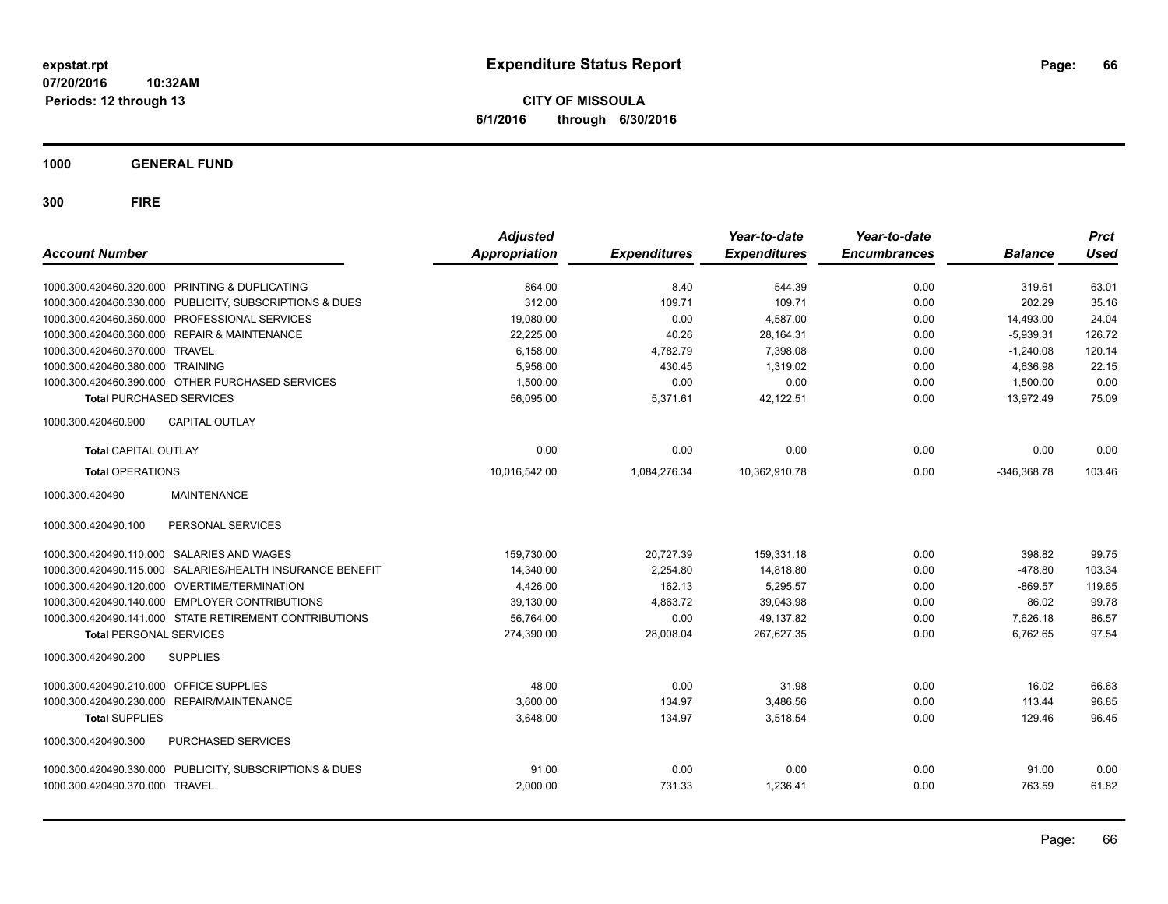**CITY OF MISSOULA 6/1/2016 through 6/30/2016**

**1000 GENERAL FUND**

| <b>Account Number</b>                      |                                                         | <b>Adjusted</b><br>Appropriation | <b>Expenditures</b> | Year-to-date<br><b>Expenditures</b> | Year-to-date<br><b>Encumbrances</b> | <b>Balance</b> | <b>Prct</b><br><b>Used</b> |
|--------------------------------------------|---------------------------------------------------------|----------------------------------|---------------------|-------------------------------------|-------------------------------------|----------------|----------------------------|
|                                            | 1000.300.420460.320.000 PRINTING & DUPLICATING          | 864.00                           | 8.40                | 544.39                              | 0.00                                | 319.61         | 63.01                      |
| 1000.300.420460.330.000                    | PUBLICITY, SUBSCRIPTIONS & DUES                         | 312.00                           | 109.71              | 109.71                              | 0.00                                | 202.29         | 35.16                      |
| 1000.300.420460.350.000                    | PROFESSIONAL SERVICES                                   | 19,080.00                        | 0.00                | 4,587.00                            | 0.00                                | 14,493.00      | 24.04                      |
|                                            | 1000.300.420460.360.000 REPAIR & MAINTENANCE            | 22,225.00                        | 40.26               | 28,164.31                           | 0.00                                | $-5,939.31$    | 126.72                     |
| 1000.300.420460.370.000 TRAVEL             |                                                         | 6,158.00                         | 4,782.79            | 7,398.08                            | 0.00                                | $-1,240.08$    | 120.14                     |
| 1000.300.420460.380.000 TRAINING           |                                                         | 5,956.00                         | 430.45              | 1.319.02                            | 0.00                                | 4.636.98       | 22.15                      |
|                                            | 1000.300.420460.390.000 OTHER PURCHASED SERVICES        | 1,500.00                         | 0.00                | 0.00                                | 0.00                                | 1,500.00       | 0.00                       |
| <b>Total PURCHASED SERVICES</b>            |                                                         | 56,095.00                        | 5,371.61            | 42,122.51                           | 0.00                                | 13,972.49      | 75.09                      |
| 1000.300.420460.900                        | <b>CAPITAL OUTLAY</b>                                   |                                  |                     |                                     |                                     |                |                            |
| <b>Total CAPITAL OUTLAY</b>                |                                                         | 0.00                             | 0.00                | 0.00                                | 0.00                                | 0.00           | 0.00                       |
| <b>Total OPERATIONS</b>                    |                                                         | 10,016,542.00                    | 1,084,276.34        | 10,362,910.78                       | 0.00                                | $-346,368.78$  | 103.46                     |
| 1000.300.420490                            | <b>MAINTENANCE</b>                                      |                                  |                     |                                     |                                     |                |                            |
| 1000.300.420490.100                        | PERSONAL SERVICES                                       |                                  |                     |                                     |                                     |                |                            |
| 1000.300.420490.110.000 SALARIES AND WAGES |                                                         | 159,730.00                       | 20,727.39           | 159,331.18                          | 0.00                                | 398.82         | 99.75                      |
| 1000.300.420490.115.000                    | SALARIES/HEALTH INSURANCE BENEFIT                       | 14,340.00                        | 2,254.80            | 14,818.80                           | 0.00                                | $-478.80$      | 103.34                     |
|                                            | 1000.300.420490.120.000 OVERTIME/TERMINATION            | 4,426.00                         | 162.13              | 5,295.57                            | 0.00                                | $-869.57$      | 119.65                     |
|                                            | 1000.300.420490.140.000 EMPLOYER CONTRIBUTIONS          | 39,130.00                        | 4,863.72            | 39,043.98                           | 0.00                                | 86.02          | 99.78                      |
|                                            | 1000.300.420490.141.000 STATE RETIREMENT CONTRIBUTIONS  | 56,764.00                        | 0.00                | 49,137.82                           | 0.00                                | 7.626.18       | 86.57                      |
| <b>Total PERSONAL SERVICES</b>             |                                                         | 274,390.00                       | 28,008.04           | 267,627.35                          | 0.00                                | 6,762.65       | 97.54                      |
| 1000.300.420490.200                        | <b>SUPPLIES</b>                                         |                                  |                     |                                     |                                     |                |                            |
| 1000.300.420490.210.000                    | <b>OFFICE SUPPLIES</b>                                  | 48.00                            | 0.00                | 31.98                               | 0.00                                | 16.02          | 66.63                      |
| 1000.300.420490.230.000                    | REPAIR/MAINTENANCE                                      | 3,600.00                         | 134.97              | 3,486.56                            | 0.00                                | 113.44         | 96.85                      |
| <b>Total SUPPLIES</b>                      |                                                         | 3,648.00                         | 134.97              | 3,518.54                            | 0.00                                | 129.46         | 96.45                      |
| 1000.300.420490.300                        | PURCHASED SERVICES                                      |                                  |                     |                                     |                                     |                |                            |
|                                            | 1000.300.420490.330.000 PUBLICITY, SUBSCRIPTIONS & DUES | 91.00                            | 0.00                | 0.00                                | 0.00                                | 91.00          | 0.00                       |
| 1000.300.420490.370.000 TRAVEL             |                                                         | 2,000.00                         | 731.33              | 1,236.41                            | 0.00                                | 763.59         | 61.82                      |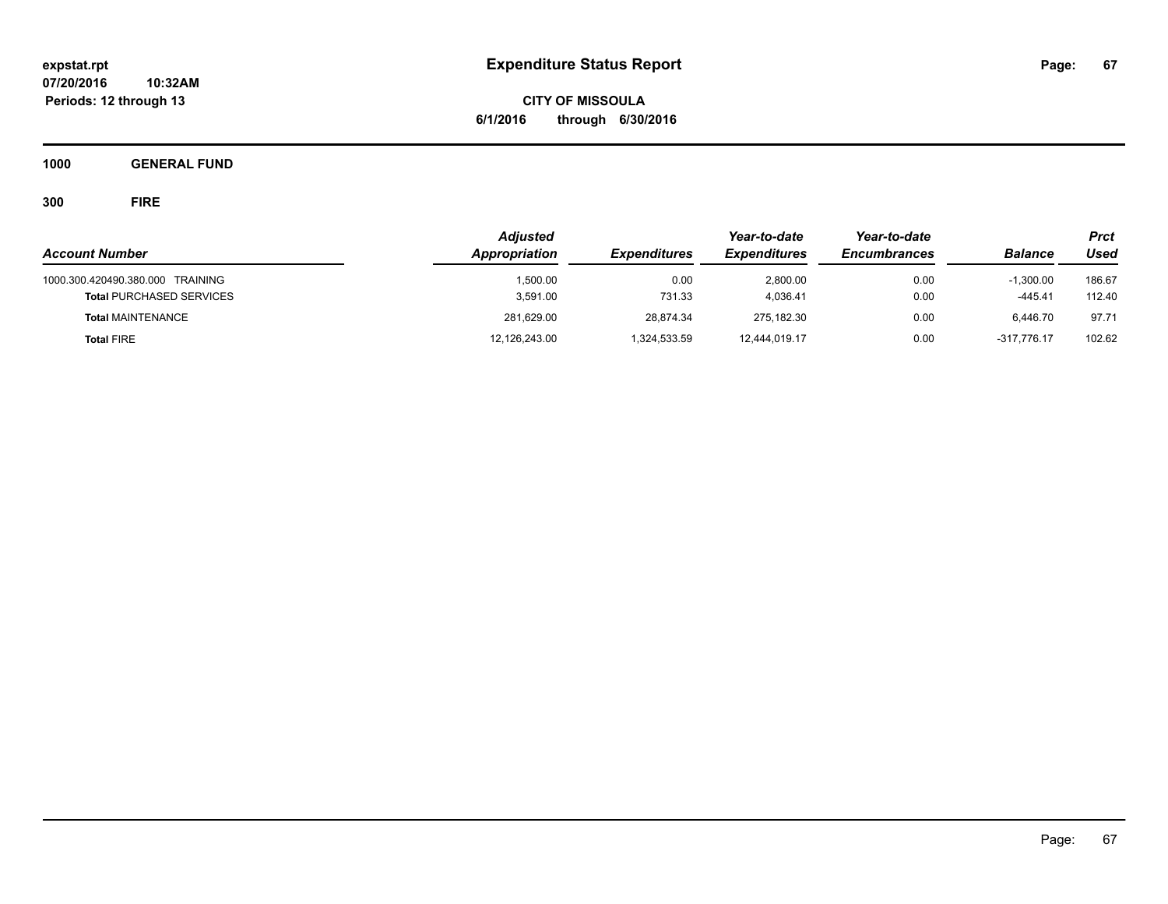**CITY OF MISSOULA 6/1/2016 through 6/30/2016**

**1000 GENERAL FUND**

|                                                                     | <b>Adjusted</b>      |                     | Year-to-date         | Year-to-date        |                        | Prct             |
|---------------------------------------------------------------------|----------------------|---------------------|----------------------|---------------------|------------------------|------------------|
| <b>Account Number</b>                                               | Appropriation        | <b>Expenditures</b> | <b>Expenditures</b>  | <b>Encumbrances</b> | <b>Balance</b>         | Used             |
| 1000.300.420490.380.000 TRAINING<br><b>Total PURCHASED SERVICES</b> | 1.500.00<br>3,591.00 | 0.00<br>731.33      | 2.800.00<br>4.036.41 | 0.00<br>0.00        | $-1.300.00$<br>-445.41 | 186.67<br>112.40 |
| <b>Total MAINTENANCE</b>                                            | 281,629.00           | 28,874.34           | 275.182.30           | 0.00                | 6.446.70               | 97.71            |
| <b>Total FIRE</b>                                                   | 12,126,243.00        | 1,324,533.59        | 12,444,019.17        | 0.00                | -317.776.17            | 102.62           |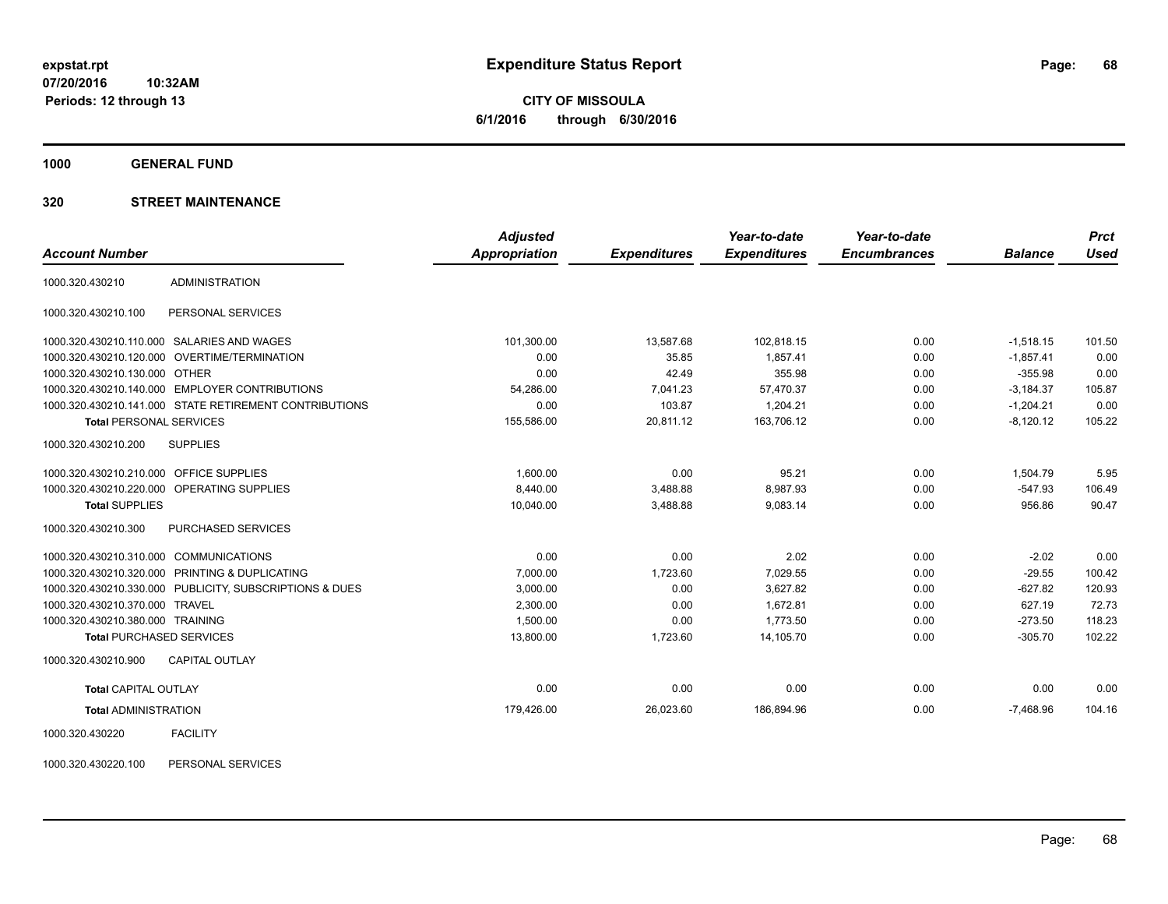**CITY OF MISSOULA 6/1/2016 through 6/30/2016**

**1000 GENERAL FUND**

### **320 STREET MAINTENANCE**

|                                         |                                                         | <b>Adjusted</b> |                     | Year-to-date        | Year-to-date        |                | <b>Prct</b> |
|-----------------------------------------|---------------------------------------------------------|-----------------|---------------------|---------------------|---------------------|----------------|-------------|
| <b>Account Number</b>                   |                                                         | Appropriation   | <b>Expenditures</b> | <b>Expenditures</b> | <b>Encumbrances</b> | <b>Balance</b> | <b>Used</b> |
| 1000.320.430210                         | <b>ADMINISTRATION</b>                                   |                 |                     |                     |                     |                |             |
| 1000.320.430210.100                     | PERSONAL SERVICES                                       |                 |                     |                     |                     |                |             |
|                                         | 1000.320.430210.110.000 SALARIES AND WAGES              | 101,300.00      | 13,587.68           | 102,818.15          | 0.00                | $-1,518.15$    | 101.50      |
|                                         | 1000.320.430210.120.000 OVERTIME/TERMINATION            | 0.00            | 35.85               | 1,857.41            | 0.00                | $-1,857.41$    | 0.00        |
| 1000.320.430210.130.000 OTHER           |                                                         | 0.00            | 42.49               | 355.98              | 0.00                | $-355.98$      | 0.00        |
|                                         | 1000.320.430210.140.000 EMPLOYER CONTRIBUTIONS          | 54,286.00       | 7,041.23            | 57,470.37           | 0.00                | $-3,184.37$    | 105.87      |
|                                         | 1000.320.430210.141.000 STATE RETIREMENT CONTRIBUTIONS  | 0.00            | 103.87              | 1,204.21            | 0.00                | $-1,204.21$    | 0.00        |
| <b>Total PERSONAL SERVICES</b>          |                                                         | 155,586.00      | 20,811.12           | 163,706.12          | 0.00                | $-8,120.12$    | 105.22      |
| 1000.320.430210.200                     | <b>SUPPLIES</b>                                         |                 |                     |                     |                     |                |             |
| 1000.320.430210.210.000 OFFICE SUPPLIES |                                                         | 1.600.00        | 0.00                | 95.21               | 0.00                | 1,504.79       | 5.95        |
|                                         | 1000.320.430210.220.000 OPERATING SUPPLIES              | 8,440.00        | 3,488.88            | 8,987.93            | 0.00                | $-547.93$      | 106.49      |
| <b>Total SUPPLIES</b>                   |                                                         | 10,040.00       | 3,488.88            | 9,083.14            | 0.00                | 956.86         | 90.47       |
| 1000.320.430210.300                     | PURCHASED SERVICES                                      |                 |                     |                     |                     |                |             |
| 1000.320.430210.310.000 COMMUNICATIONS  |                                                         | 0.00            | 0.00                | 2.02                | 0.00                | $-2.02$        | 0.00        |
|                                         | 1000.320.430210.320.000 PRINTING & DUPLICATING          | 7,000.00        | 1,723.60            | 7,029.55            | 0.00                | $-29.55$       | 100.42      |
|                                         | 1000.320.430210.330.000 PUBLICITY, SUBSCRIPTIONS & DUES | 3,000.00        | 0.00                | 3,627.82            | 0.00                | $-627.82$      | 120.93      |
| 1000.320.430210.370.000 TRAVEL          |                                                         | 2,300.00        | 0.00                | 1,672.81            | 0.00                | 627.19         | 72.73       |
| 1000.320.430210.380.000 TRAINING        |                                                         | 1,500.00        | 0.00                | 1.773.50            | 0.00                | $-273.50$      | 118.23      |
| <b>Total PURCHASED SERVICES</b>         |                                                         | 13,800.00       | 1,723.60            | 14,105.70           | 0.00                | $-305.70$      | 102.22      |
| 1000.320.430210.900                     | <b>CAPITAL OUTLAY</b>                                   |                 |                     |                     |                     |                |             |
| <b>Total CAPITAL OUTLAY</b>             |                                                         | 0.00            | 0.00                | 0.00                | 0.00                | 0.00           | 0.00        |
| <b>Total ADMINISTRATION</b>             |                                                         | 179,426.00      | 26,023.60           | 186,894.96          | 0.00                | $-7.468.96$    | 104.16      |
|                                         |                                                         |                 |                     |                     |                     |                |             |

1000.320.430220 FACILITY

1000.320.430220.100 PERSONAL SERVICES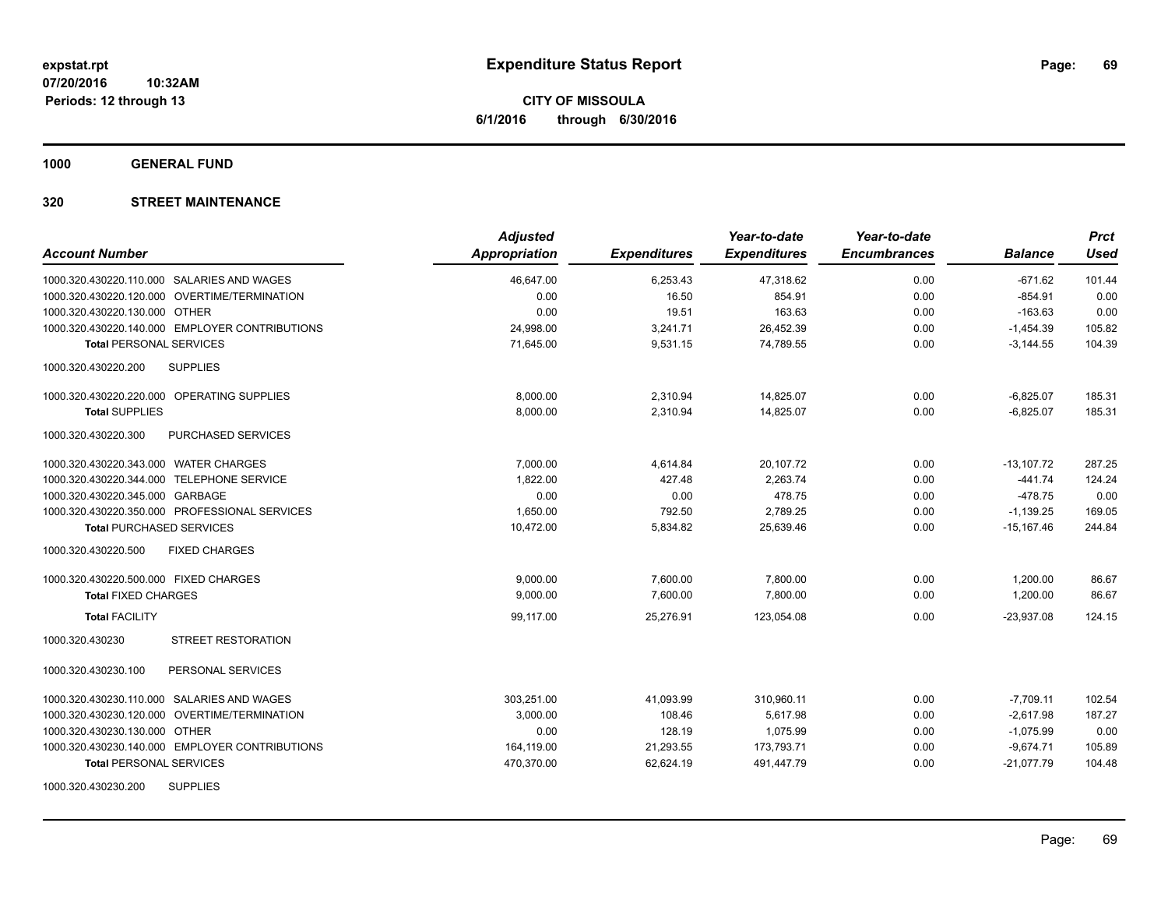**1000 GENERAL FUND**

| <b>Account Number</b>                          | <b>Adjusted</b><br><b>Appropriation</b> | <b>Expenditures</b> | Year-to-date<br><b>Expenditures</b> | Year-to-date<br><b>Encumbrances</b> | <b>Balance</b> | <b>Prct</b><br><b>Used</b> |
|------------------------------------------------|-----------------------------------------|---------------------|-------------------------------------|-------------------------------------|----------------|----------------------------|
| 1000.320.430220.110.000 SALARIES AND WAGES     | 46,647.00                               | 6,253.43            | 47,318.62                           | 0.00                                | $-671.62$      | 101.44                     |
| 1000.320.430220.120.000 OVERTIME/TERMINATION   | 0.00                                    | 16.50               | 854.91                              | 0.00                                | $-854.91$      | 0.00                       |
| 1000.320.430220.130.000 OTHER                  | 0.00                                    | 19.51               | 163.63                              | 0.00                                | $-163.63$      | 0.00                       |
| 1000.320.430220.140.000 EMPLOYER CONTRIBUTIONS | 24,998.00                               | 3,241.71            | 26,452.39                           | 0.00                                | $-1,454.39$    | 105.82                     |
| <b>Total PERSONAL SERVICES</b>                 | 71,645.00                               | 9,531.15            | 74,789.55                           | 0.00                                | $-3,144.55$    | 104.39                     |
| 1000.320.430220.200<br><b>SUPPLIES</b>         |                                         |                     |                                     |                                     |                |                            |
| 1000.320.430220.220.000 OPERATING SUPPLIES     | 8,000.00                                | 2,310.94            | 14,825.07                           | 0.00                                | $-6,825.07$    | 185.31                     |
| <b>Total SUPPLIES</b>                          | 8,000.00                                | 2,310.94            | 14,825.07                           | 0.00                                | $-6,825.07$    | 185.31                     |
| 1000.320.430220.300<br>PURCHASED SERVICES      |                                         |                     |                                     |                                     |                |                            |
| 1000.320.430220.343.000 WATER CHARGES          | 7,000.00                                | 4,614.84            | 20,107.72                           | 0.00                                | $-13,107.72$   | 287.25                     |
| 1000.320.430220.344.000 TELEPHONE SERVICE      | 1,822.00                                | 427.48              | 2,263.74                            | 0.00                                | $-441.74$      | 124.24                     |
| 1000.320.430220.345.000 GARBAGE                | 0.00                                    | 0.00                | 478.75                              | 0.00                                | $-478.75$      | 0.00                       |
| 1000.320.430220.350.000 PROFESSIONAL SERVICES  | 1,650.00                                | 792.50              | 2,789.25                            | 0.00                                | $-1,139.25$    | 169.05                     |
| <b>Total PURCHASED SERVICES</b>                | 10,472.00                               | 5,834.82            | 25,639.46                           | 0.00                                | $-15,167.46$   | 244.84                     |
| 1000.320.430220.500<br><b>FIXED CHARGES</b>    |                                         |                     |                                     |                                     |                |                            |
| 1000.320.430220.500.000 FIXED CHARGES          | 9,000.00                                | 7,600.00            | 7,800.00                            | 0.00                                | 1,200.00       | 86.67                      |
| <b>Total FIXED CHARGES</b>                     | 9.000.00                                | 7.600.00            | 7.800.00                            | 0.00                                | 1.200.00       | 86.67                      |
| <b>Total FACILITY</b>                          | 99,117.00                               | 25,276.91           | 123,054.08                          | 0.00                                | $-23,937.08$   | 124.15                     |
| <b>STREET RESTORATION</b><br>1000.320.430230   |                                         |                     |                                     |                                     |                |                            |
| PERSONAL SERVICES<br>1000.320.430230.100       |                                         |                     |                                     |                                     |                |                            |
| 1000.320.430230.110.000 SALARIES AND WAGES     | 303,251.00                              | 41,093.99           | 310,960.11                          | 0.00                                | $-7,709.11$    | 102.54                     |
| 1000.320.430230.120.000 OVERTIME/TERMINATION   | 3,000.00                                | 108.46              | 5,617.98                            | 0.00                                | $-2,617.98$    | 187.27                     |
| 1000.320.430230.130.000 OTHER                  | 0.00                                    | 128.19              | 1,075.99                            | 0.00                                | $-1,075.99$    | 0.00                       |
| 1000.320.430230.140.000 EMPLOYER CONTRIBUTIONS | 164,119.00                              | 21,293.55           | 173,793.71                          | 0.00                                | $-9,674.71$    | 105.89                     |
| <b>Total PERSONAL SERVICES</b>                 | 470,370.00                              | 62,624.19           | 491,447.79                          | 0.00                                | $-21,077.79$   | 104.48                     |
| <b>SUPPLIES</b><br>1000.320.430230.200         |                                         |                     |                                     |                                     |                |                            |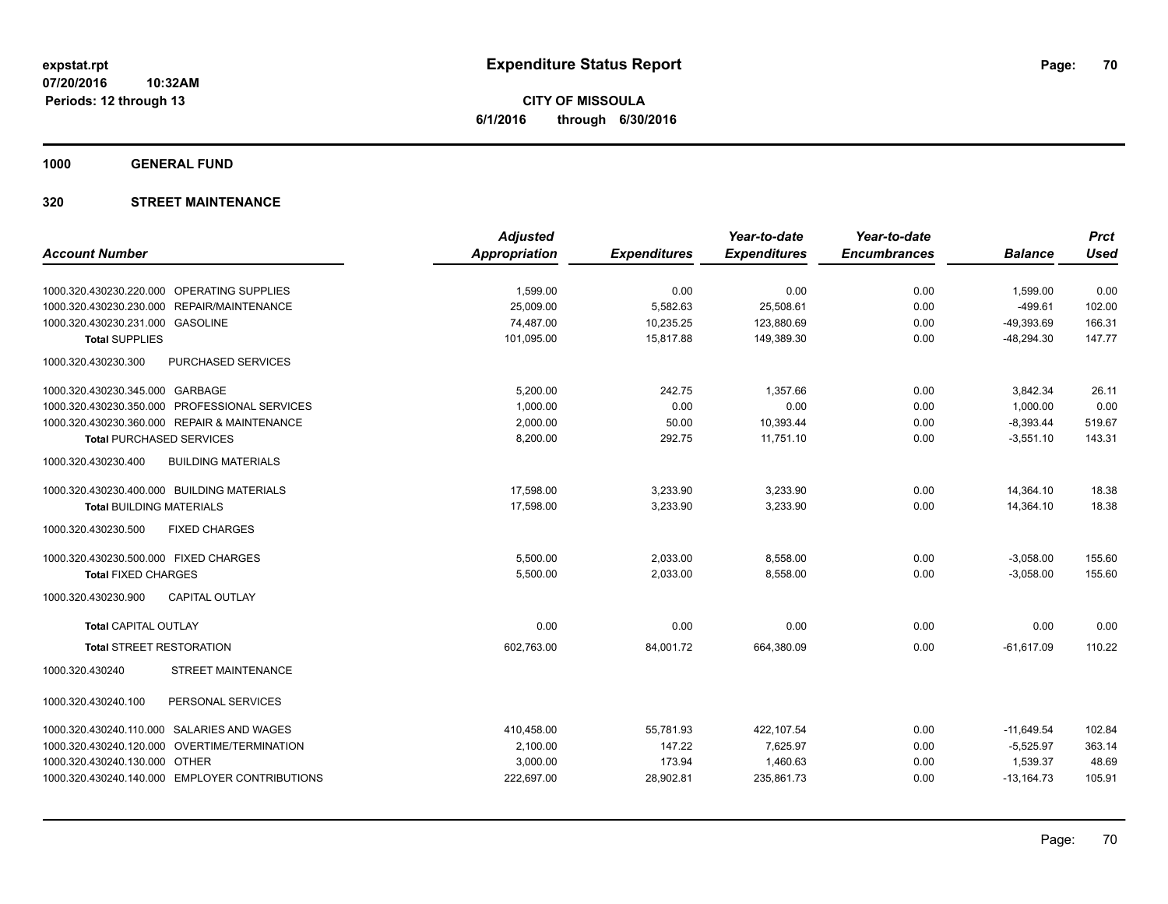**CITY OF MISSOULA 6/1/2016 through 6/30/2016**

**1000 GENERAL FUND**

|                                                  | <b>Adjusted</b> |                     | Year-to-date        | Year-to-date        |                | <b>Prct</b> |
|--------------------------------------------------|-----------------|---------------------|---------------------|---------------------|----------------|-------------|
| <b>Account Number</b>                            | Appropriation   | <b>Expenditures</b> | <b>Expenditures</b> | <b>Encumbrances</b> | <b>Balance</b> | <b>Used</b> |
| 1000.320.430230.220.000 OPERATING SUPPLIES       | 1,599.00        | 0.00                | 0.00                | 0.00                | 1,599.00       | 0.00        |
| 1000.320.430230.230.000 REPAIR/MAINTENANCE       | 25.009.00       | 5,582.63            | 25,508.61           | 0.00                | $-499.61$      | 102.00      |
| 1000.320.430230.231.000 GASOLINE                 | 74,487.00       | 10,235.25           | 123,880.69          | 0.00                | $-49,393.69$   | 166.31      |
| <b>Total SUPPLIES</b>                            | 101,095.00      | 15.817.88           | 149,389.30          | 0.00                | $-48,294.30$   | 147.77      |
| PURCHASED SERVICES<br>1000.320.430230.300        |                 |                     |                     |                     |                |             |
| 1000.320.430230.345.000 GARBAGE                  | 5,200.00        | 242.75              | 1,357.66            | 0.00                | 3,842.34       | 26.11       |
| 1000.320.430230.350.000 PROFESSIONAL SERVICES    | 1,000.00        | 0.00                | 0.00                | 0.00                | 1,000.00       | 0.00        |
| 1000.320.430230.360.000 REPAIR & MAINTENANCE     | 2,000.00        | 50.00               | 10,393.44           | 0.00                | $-8,393.44$    | 519.67      |
| <b>Total PURCHASED SERVICES</b>                  | 8,200.00        | 292.75              | 11,751.10           | 0.00                | $-3,551.10$    | 143.31      |
| <b>BUILDING MATERIALS</b><br>1000.320.430230.400 |                 |                     |                     |                     |                |             |
| 1000.320.430230.400.000 BUILDING MATERIALS       | 17,598.00       | 3,233.90            | 3,233.90            | 0.00                | 14,364.10      | 18.38       |
| <b>Total BUILDING MATERIALS</b>                  | 17,598.00       | 3,233.90            | 3,233.90            | 0.00                | 14,364.10      | 18.38       |
| 1000.320.430230.500<br><b>FIXED CHARGES</b>      |                 |                     |                     |                     |                |             |
| 1000.320.430230.500.000 FIXED CHARGES            | 5,500.00        | 2,033.00            | 8,558.00            | 0.00                | $-3,058.00$    | 155.60      |
| <b>Total FIXED CHARGES</b>                       | 5,500.00        | 2,033.00            | 8,558.00            | 0.00                | $-3,058.00$    | 155.60      |
| <b>CAPITAL OUTLAY</b><br>1000.320.430230.900     |                 |                     |                     |                     |                |             |
| <b>Total CAPITAL OUTLAY</b>                      | 0.00            | 0.00                | 0.00                | 0.00                | 0.00           | 0.00        |
| <b>Total STREET RESTORATION</b>                  | 602,763.00      | 84,001.72           | 664,380.09          | 0.00                | $-61,617.09$   | 110.22      |
| STREET MAINTENANCE<br>1000.320.430240            |                 |                     |                     |                     |                |             |
| PERSONAL SERVICES<br>1000.320.430240.100         |                 |                     |                     |                     |                |             |
| 1000.320.430240.110.000 SALARIES AND WAGES       | 410,458.00      | 55,781.93           | 422,107.54          | 0.00                | $-11,649.54$   | 102.84      |
| OVERTIME/TERMINATION<br>1000.320.430240.120.000  | 2,100.00        | 147.22              | 7,625.97            | 0.00                | $-5,525.97$    | 363.14      |
| 1000.320.430240.130.000 OTHER                    | 3,000.00        | 173.94              | 1,460.63            | 0.00                | 1,539.37       | 48.69       |
| 1000.320.430240.140.000 EMPLOYER CONTRIBUTIONS   | 222,697.00      | 28,902.81           | 235,861.73          | 0.00                | $-13,164.73$   | 105.91      |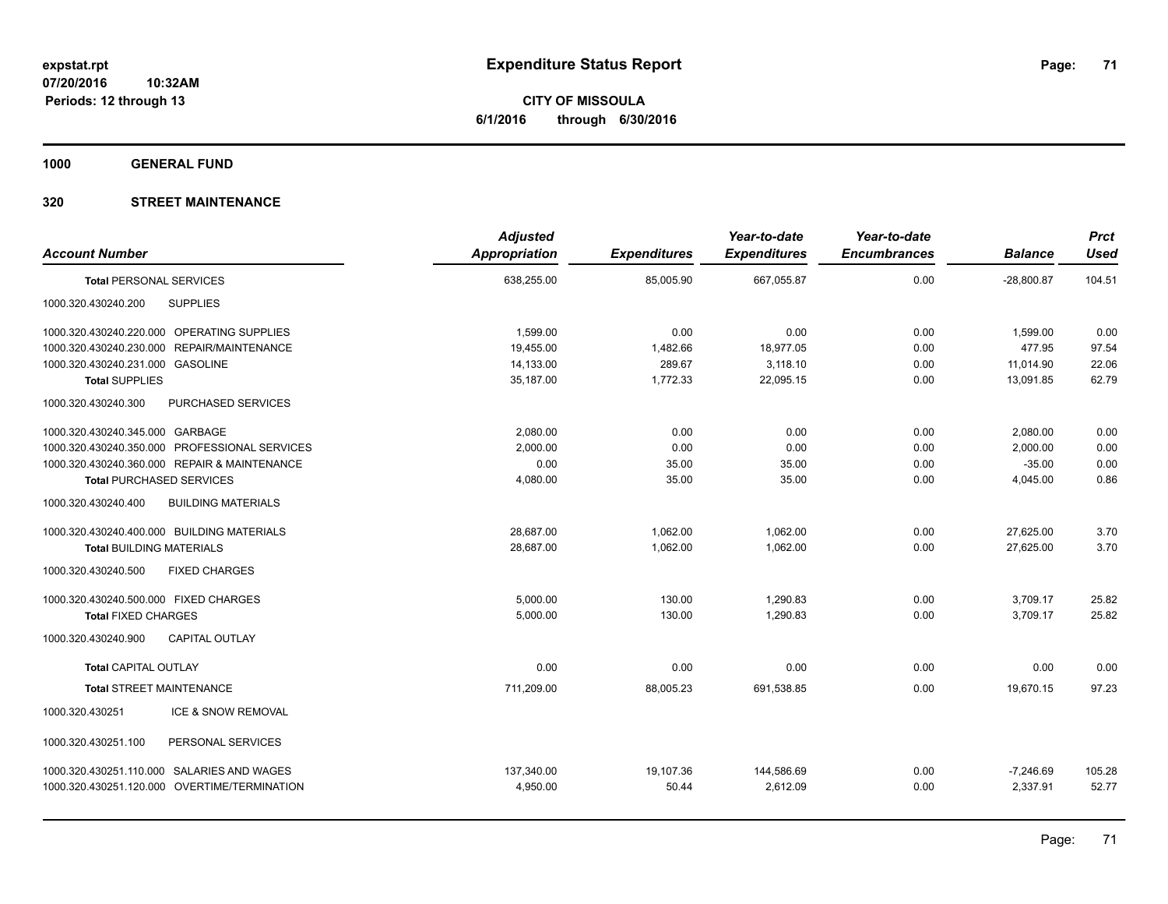**1000 GENERAL FUND**

| <b>Account Number</b>                            | <b>Adjusted</b><br><b>Appropriation</b> | <b>Expenditures</b> | Year-to-date<br><b>Expenditures</b> | Year-to-date<br><b>Encumbrances</b> | <b>Balance</b> | <b>Prct</b><br><b>Used</b> |
|--------------------------------------------------|-----------------------------------------|---------------------|-------------------------------------|-------------------------------------|----------------|----------------------------|
| <b>Total PERSONAL SERVICES</b>                   | 638,255.00                              | 85,005.90           | 667,055.87                          | 0.00                                | $-28,800.87$   | 104.51                     |
| <b>SUPPLIES</b><br>1000.320.430240.200           |                                         |                     |                                     |                                     |                |                            |
| 1000.320.430240.220.000 OPERATING SUPPLIES       | 1,599.00                                | 0.00                | 0.00                                | 0.00                                | 1,599.00       | 0.00                       |
| 1000.320.430240.230.000 REPAIR/MAINTENANCE       | 19,455.00                               | 1,482.66            | 18,977.05                           | 0.00                                | 477.95         | 97.54                      |
| 1000.320.430240.231.000 GASOLINE                 | 14,133.00                               | 289.67              | 3,118.10                            | 0.00                                | 11,014.90      | 22.06                      |
| <b>Total SUPPLIES</b>                            | 35,187.00                               | 1,772.33            | 22,095.15                           | 0.00                                | 13,091.85      | 62.79                      |
| 1000.320.430240.300<br>PURCHASED SERVICES        |                                         |                     |                                     |                                     |                |                            |
| 1000.320.430240.345.000 GARBAGE                  | 2,080.00                                | 0.00                | 0.00                                | 0.00                                | 2,080.00       | 0.00                       |
| 1000.320.430240.350.000 PROFESSIONAL SERVICES    | 2,000.00                                | 0.00                | 0.00                                | 0.00                                | 2,000.00       | 0.00                       |
| 1000.320.430240.360.000 REPAIR & MAINTENANCE     | 0.00                                    | 35.00               | 35.00                               | 0.00                                | $-35.00$       | 0.00                       |
| <b>Total PURCHASED SERVICES</b>                  | 4,080.00                                | 35.00               | 35.00                               | 0.00                                | 4,045.00       | 0.86                       |
| 1000.320.430240.400<br><b>BUILDING MATERIALS</b> |                                         |                     |                                     |                                     |                |                            |
| 1000.320.430240.400.000 BUILDING MATERIALS       | 28,687.00                               | 1,062.00            | 1,062.00                            | 0.00                                | 27,625.00      | 3.70                       |
| <b>Total BUILDING MATERIALS</b>                  | 28,687.00                               | 1,062.00            | 1.062.00                            | 0.00                                | 27.625.00      | 3.70                       |
| 1000.320.430240.500<br><b>FIXED CHARGES</b>      |                                         |                     |                                     |                                     |                |                            |
| 1000.320.430240.500.000 FIXED CHARGES            | 5,000.00                                | 130.00              | 1,290.83                            | 0.00                                | 3,709.17       | 25.82                      |
| <b>Total FIXED CHARGES</b>                       | 5,000.00                                | 130.00              | 1,290.83                            | 0.00                                | 3,709.17       | 25.82                      |
| 1000.320.430240.900<br><b>CAPITAL OUTLAY</b>     |                                         |                     |                                     |                                     |                |                            |
| <b>Total CAPITAL OUTLAY</b>                      | 0.00                                    | 0.00                | 0.00                                | 0.00                                | 0.00           | 0.00                       |
| <b>Total STREET MAINTENANCE</b>                  | 711,209.00                              | 88,005.23           | 691,538.85                          | 0.00                                | 19,670.15      | 97.23                      |
| ICE & SNOW REMOVAL<br>1000.320.430251            |                                         |                     |                                     |                                     |                |                            |
| 1000.320.430251.100<br>PERSONAL SERVICES         |                                         |                     |                                     |                                     |                |                            |
| 1000.320.430251.110.000 SALARIES AND WAGES       | 137,340.00                              | 19,107.36           | 144,586.69                          | 0.00                                | $-7,246.69$    | 105.28                     |
| 1000.320.430251.120.000 OVERTIME/TERMINATION     | 4,950.00                                | 50.44               | 2.612.09                            | 0.00                                | 2.337.91       | 52.77                      |
|                                                  |                                         |                     |                                     |                                     |                |                            |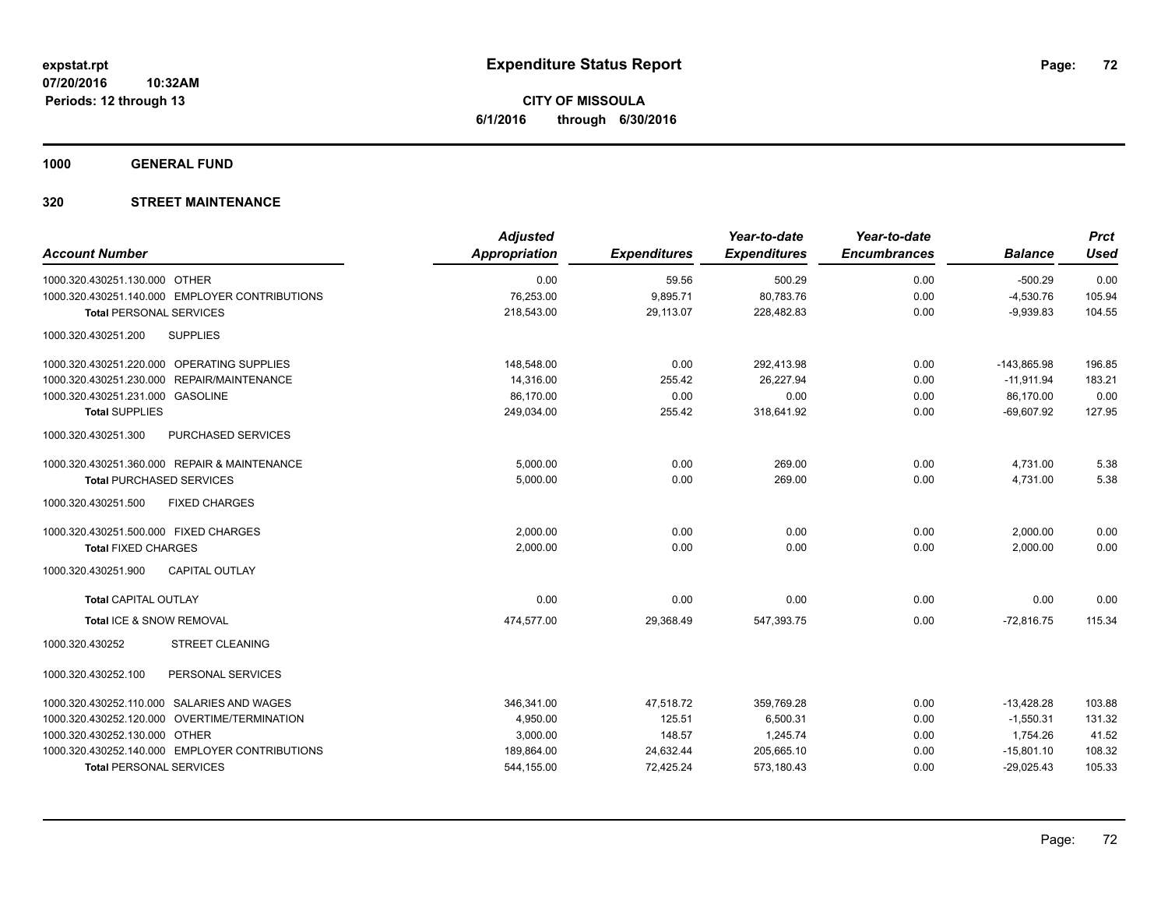**1000 GENERAL FUND**

|                                                | <b>Adjusted</b>      |                     | Year-to-date        | Year-to-date        |                | <b>Prct</b> |
|------------------------------------------------|----------------------|---------------------|---------------------|---------------------|----------------|-------------|
| <b>Account Number</b>                          | <b>Appropriation</b> | <b>Expenditures</b> | <b>Expenditures</b> | <b>Encumbrances</b> | <b>Balance</b> | <b>Used</b> |
| 1000.320.430251.130.000 OTHER                  | 0.00                 | 59.56               | 500.29              | 0.00                | $-500.29$      | 0.00        |
| 1000.320.430251.140.000 EMPLOYER CONTRIBUTIONS | 76,253.00            | 9,895.71            | 80,783.76           | 0.00                | $-4,530.76$    | 105.94      |
| <b>Total PERSONAL SERVICES</b>                 | 218,543.00           | 29.113.07           | 228,482.83          | 0.00                | $-9,939.83$    | 104.55      |
| 1000.320.430251.200<br><b>SUPPLIES</b>         |                      |                     |                     |                     |                |             |
| 1000.320.430251.220.000 OPERATING SUPPLIES     | 148,548.00           | 0.00                | 292,413.98          | 0.00                | $-143,865.98$  | 196.85      |
| 1000.320.430251.230.000 REPAIR/MAINTENANCE     | 14,316.00            | 255.42              | 26,227.94           | 0.00                | $-11,911.94$   | 183.21      |
| 1000.320.430251.231.000 GASOLINE               | 86,170.00            | 0.00                | 0.00                | 0.00                | 86,170.00      | 0.00        |
| <b>Total SUPPLIES</b>                          | 249,034.00           | 255.42              | 318,641.92          | 0.00                | $-69,607.92$   | 127.95      |
| 1000.320.430251.300<br>PURCHASED SERVICES      |                      |                     |                     |                     |                |             |
| 1000.320.430251.360.000 REPAIR & MAINTENANCE   | 5,000.00             | 0.00                | 269.00              | 0.00                | 4,731.00       | 5.38        |
| <b>Total PURCHASED SERVICES</b>                | 5,000.00             | 0.00                | 269.00              | 0.00                | 4,731.00       | 5.38        |
| 1000.320.430251.500<br><b>FIXED CHARGES</b>    |                      |                     |                     |                     |                |             |
| 1000.320.430251.500.000 FIXED CHARGES          | 2,000.00             | 0.00                | 0.00                | 0.00                | 2,000.00       | 0.00        |
| <b>Total FIXED CHARGES</b>                     | 2,000.00             | 0.00                | 0.00                | 0.00                | 2,000.00       | 0.00        |
| <b>CAPITAL OUTLAY</b><br>1000.320.430251.900   |                      |                     |                     |                     |                |             |
| <b>Total CAPITAL OUTLAY</b>                    | 0.00                 | 0.00                | 0.00                | 0.00                | 0.00           | 0.00        |
| Total ICE & SNOW REMOVAL                       | 474,577.00           | 29,368.49           | 547,393.75          | 0.00                | $-72,816.75$   | 115.34      |
| 1000.320.430252<br><b>STREET CLEANING</b>      |                      |                     |                     |                     |                |             |
| PERSONAL SERVICES<br>1000.320.430252.100       |                      |                     |                     |                     |                |             |
| 1000.320.430252.110.000 SALARIES AND WAGES     | 346,341.00           | 47,518.72           | 359,769.28          | 0.00                | $-13,428.28$   | 103.88      |
| 1000.320.430252.120.000 OVERTIME/TERMINATION   | 4,950.00             | 125.51              | 6,500.31            | 0.00                | $-1,550.31$    | 131.32      |
| 1000.320.430252.130.000 OTHER                  | 3,000.00             | 148.57              | 1,245.74            | 0.00                | 1,754.26       | 41.52       |
| 1000.320.430252.140.000 EMPLOYER CONTRIBUTIONS | 189,864.00           | 24,632.44           | 205,665.10          | 0.00                | $-15,801.10$   | 108.32      |
| <b>Total PERSONAL SERVICES</b>                 | 544,155.00           | 72,425.24           | 573,180.43          | 0.00                | $-29,025.43$   | 105.33      |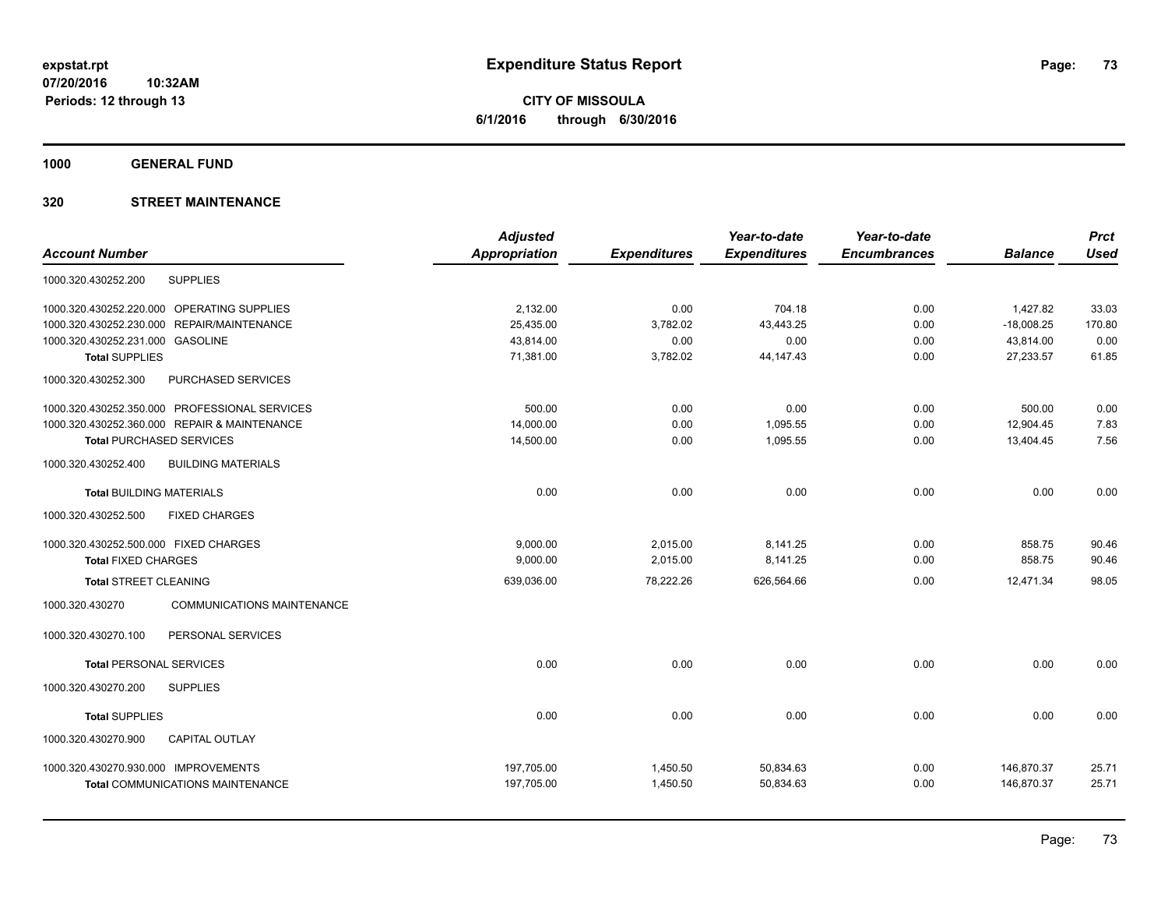**CITY OF MISSOULA 6/1/2016 through 6/30/2016**

**1000 GENERAL FUND**

## **320 STREET MAINTENANCE**

|                                                      | <b>Adjusted</b>      |                     | Year-to-date        | Year-to-date        |                | <b>Prct</b> |
|------------------------------------------------------|----------------------|---------------------|---------------------|---------------------|----------------|-------------|
| <b>Account Number</b>                                | <b>Appropriation</b> | <b>Expenditures</b> | <b>Expenditures</b> | <b>Encumbrances</b> | <b>Balance</b> | <b>Used</b> |
| <b>SUPPLIES</b><br>1000.320.430252.200               |                      |                     |                     |                     |                |             |
| 1000.320.430252.220.000 OPERATING SUPPLIES           | 2.132.00             | 0.00                | 704.18              | 0.00                | 1,427.82       | 33.03       |
| 1000.320.430252.230.000 REPAIR/MAINTENANCE           | 25,435.00            | 3,782.02            | 43,443.25           | 0.00                | $-18,008.25$   | 170.80      |
| 1000.320.430252.231.000 GASOLINE                     | 43.814.00            | 0.00                | 0.00                | 0.00                | 43,814.00      | 0.00        |
| <b>Total SUPPLIES</b>                                | 71,381.00            | 3,782.02            | 44, 147. 43         | 0.00                | 27,233.57      | 61.85       |
| 1000.320.430252.300<br>PURCHASED SERVICES            |                      |                     |                     |                     |                |             |
| 1000.320.430252.350.000 PROFESSIONAL SERVICES        | 500.00               | 0.00                | 0.00                | 0.00                | 500.00         | 0.00        |
| 1000.320.430252.360.000 REPAIR & MAINTENANCE         | 14.000.00            | 0.00                | 1.095.55            | 0.00                | 12.904.45      | 7.83        |
| <b>Total PURCHASED SERVICES</b>                      | 14,500.00            | 0.00                | 1,095.55            | 0.00                | 13,404.45      | 7.56        |
| 1000.320.430252.400<br><b>BUILDING MATERIALS</b>     |                      |                     |                     |                     |                |             |
| <b>Total BUILDING MATERIALS</b>                      | 0.00                 | 0.00                | 0.00                | 0.00                | 0.00           | 0.00        |
| 1000.320.430252.500<br><b>FIXED CHARGES</b>          |                      |                     |                     |                     |                |             |
| 1000.320.430252.500.000 FIXED CHARGES                | 9.000.00             | 2,015.00            | 8,141.25            | 0.00                | 858.75         | 90.46       |
| <b>Total FIXED CHARGES</b>                           | 9,000.00             | 2,015.00            | 8,141.25            | 0.00                | 858.75         | 90.46       |
| <b>Total STREET CLEANING</b>                         | 639,036.00           | 78,222.26           | 626,564.66          | 0.00                | 12,471.34      | 98.05       |
| 1000.320.430270<br><b>COMMUNICATIONS MAINTENANCE</b> |                      |                     |                     |                     |                |             |
| PERSONAL SERVICES<br>1000.320.430270.100             |                      |                     |                     |                     |                |             |
| <b>Total PERSONAL SERVICES</b>                       | 0.00                 | 0.00                | 0.00                | 0.00                | 0.00           | 0.00        |
| 1000.320.430270.200<br><b>SUPPLIES</b>               |                      |                     |                     |                     |                |             |
| <b>Total SUPPLIES</b>                                | 0.00                 | 0.00                | 0.00                | 0.00                | 0.00           | 0.00        |
| 1000.320.430270.900<br><b>CAPITAL OUTLAY</b>         |                      |                     |                     |                     |                |             |
| 1000.320.430270.930.000 IMPROVEMENTS                 | 197,705.00           | 1,450.50            | 50,834.63           | 0.00                | 146,870.37     | 25.71       |
| <b>Total COMMUNICATIONS MAINTENANCE</b>              | 197,705.00           | 1.450.50            | 50.834.63           | 0.00                | 146.870.37     | 25.71       |
|                                                      |                      |                     |                     |                     |                |             |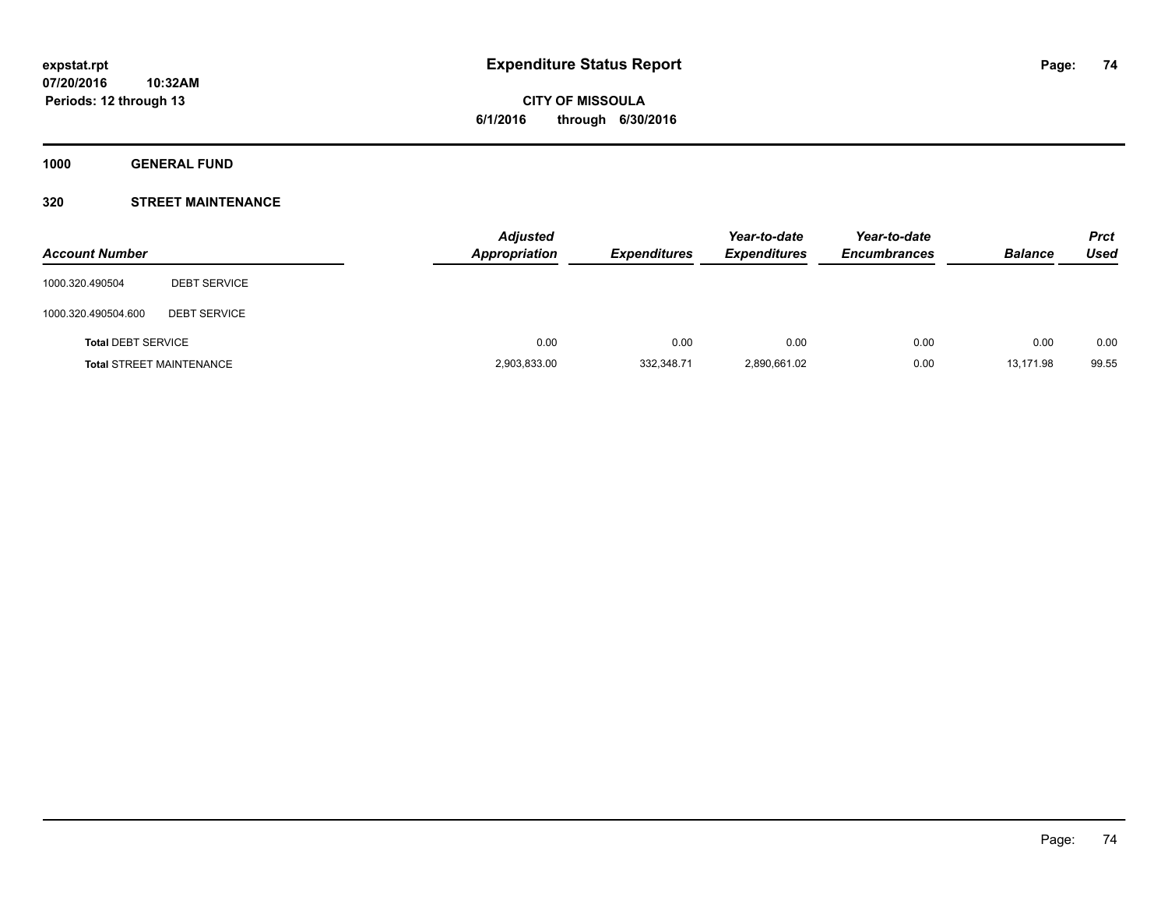**1000 GENERAL FUND**

## **320 STREET MAINTENANCE**

| <b>Account Number</b>     |                                 | <b>Adjusted</b><br><b>Appropriation</b> | <b>Expenditures</b> | Year-to-date<br><b>Expenditures</b> | Year-to-date<br><b>Encumbrances</b> | <b>Balance</b> | <b>Prct</b><br>Used |
|---------------------------|---------------------------------|-----------------------------------------|---------------------|-------------------------------------|-------------------------------------|----------------|---------------------|
| 1000.320.490504           | <b>DEBT SERVICE</b>             |                                         |                     |                                     |                                     |                |                     |
| 1000.320.490504.600       | <b>DEBT SERVICE</b>             |                                         |                     |                                     |                                     |                |                     |
| <b>Total DEBT SERVICE</b> |                                 | 0.00                                    | 0.00                | 0.00                                | 0.00                                | 0.00           | 0.00                |
|                           | <b>Total STREET MAINTENANCE</b> | 2,903,833.00                            | 332,348.71          | 2,890,661.02                        | 0.00                                | 13,171.98      | 99.55               |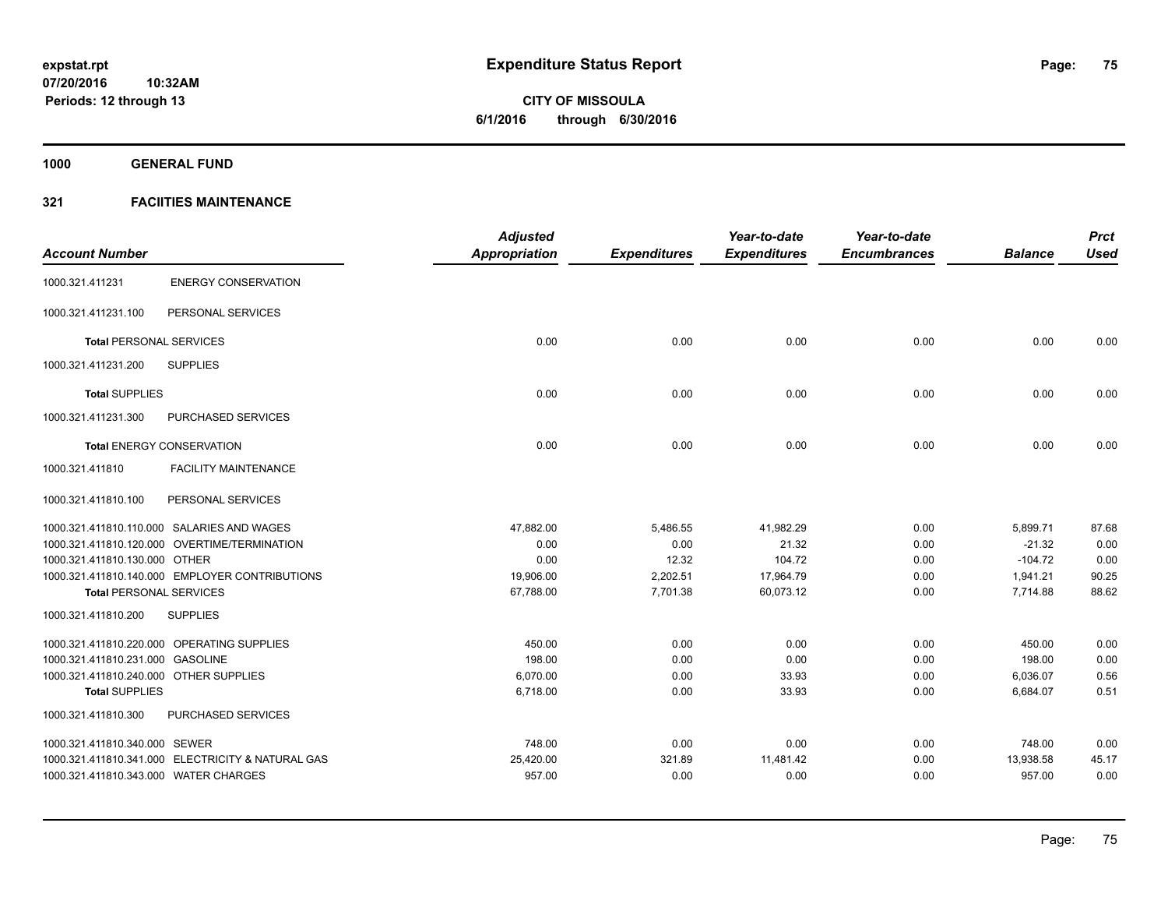**Periods: 12 through 13**

**75**

**CITY OF MISSOULA 6/1/2016 through 6/30/2016**

**1000 GENERAL FUND**

## **321 FACIITIES MAINTENANCE**

**10:32AM**

|                                        |                                                   | <b>Adjusted</b>      |                     | Year-to-date        | Year-to-date        |                | <b>Prct</b> |
|----------------------------------------|---------------------------------------------------|----------------------|---------------------|---------------------|---------------------|----------------|-------------|
| <b>Account Number</b>                  |                                                   | <b>Appropriation</b> | <b>Expenditures</b> | <b>Expenditures</b> | <b>Encumbrances</b> | <b>Balance</b> | <b>Used</b> |
| 1000.321.411231                        | <b>ENERGY CONSERVATION</b>                        |                      |                     |                     |                     |                |             |
| 1000.321.411231.100                    | PERSONAL SERVICES                                 |                      |                     |                     |                     |                |             |
| <b>Total PERSONAL SERVICES</b>         |                                                   | 0.00                 | 0.00                | 0.00                | 0.00                | 0.00           | 0.00        |
| 1000.321.411231.200                    | <b>SUPPLIES</b>                                   |                      |                     |                     |                     |                |             |
| <b>Total SUPPLIES</b>                  |                                                   | 0.00                 | 0.00                | 0.00                | 0.00                | 0.00           | 0.00        |
| 1000.321.411231.300                    | PURCHASED SERVICES                                |                      |                     |                     |                     |                |             |
|                                        | <b>Total ENERGY CONSERVATION</b>                  | 0.00                 | 0.00                | 0.00                | 0.00                | 0.00           | 0.00        |
| 1000.321.411810                        | <b>FACILITY MAINTENANCE</b>                       |                      |                     |                     |                     |                |             |
| 1000.321.411810.100                    | PERSONAL SERVICES                                 |                      |                     |                     |                     |                |             |
|                                        | 1000.321.411810.110.000 SALARIES AND WAGES        | 47,882.00            | 5,486.55            | 41,982.29           | 0.00                | 5,899.71       | 87.68       |
|                                        | 1000.321.411810.120.000 OVERTIME/TERMINATION      | 0.00                 | 0.00                | 21.32               | 0.00                | $-21.32$       | 0.00        |
| 1000.321.411810.130.000 OTHER          |                                                   | 0.00                 | 12.32               | 104.72              | 0.00                | $-104.72$      | 0.00        |
|                                        | 1000.321.411810.140.000 EMPLOYER CONTRIBUTIONS    | 19,906.00            | 2,202.51            | 17,964.79           | 0.00                | 1,941.21       | 90.25       |
| <b>Total PERSONAL SERVICES</b>         |                                                   | 67,788.00            | 7,701.38            | 60,073.12           | 0.00                | 7,714.88       | 88.62       |
| 1000.321.411810.200                    | <b>SUPPLIES</b>                                   |                      |                     |                     |                     |                |             |
|                                        | 1000.321.411810.220.000 OPERATING SUPPLIES        | 450.00               | 0.00                | 0.00                | 0.00                | 450.00         | 0.00        |
| 1000.321.411810.231.000 GASOLINE       |                                                   | 198.00               | 0.00                | 0.00                | 0.00                | 198.00         | 0.00        |
| 1000.321.411810.240.000 OTHER SUPPLIES |                                                   | 6,070.00             | 0.00                | 33.93               | 0.00                | 6,036.07       | 0.56        |
| <b>Total SUPPLIES</b>                  |                                                   | 6,718.00             | 0.00                | 33.93               | 0.00                | 6,684.07       | 0.51        |
| 1000.321.411810.300                    | PURCHASED SERVICES                                |                      |                     |                     |                     |                |             |
| 1000.321.411810.340.000 SEWER          |                                                   | 748.00               | 0.00                | 0.00                | 0.00                | 748.00         | 0.00        |
|                                        | 1000.321.411810.341.000 ELECTRICITY & NATURAL GAS | 25,420.00            | 321.89              | 11,481.42           | 0.00                | 13,938.58      | 45.17       |
| 1000.321.411810.343.000 WATER CHARGES  |                                                   | 957.00               | 0.00                | 0.00                | 0.00                | 957.00         | 0.00        |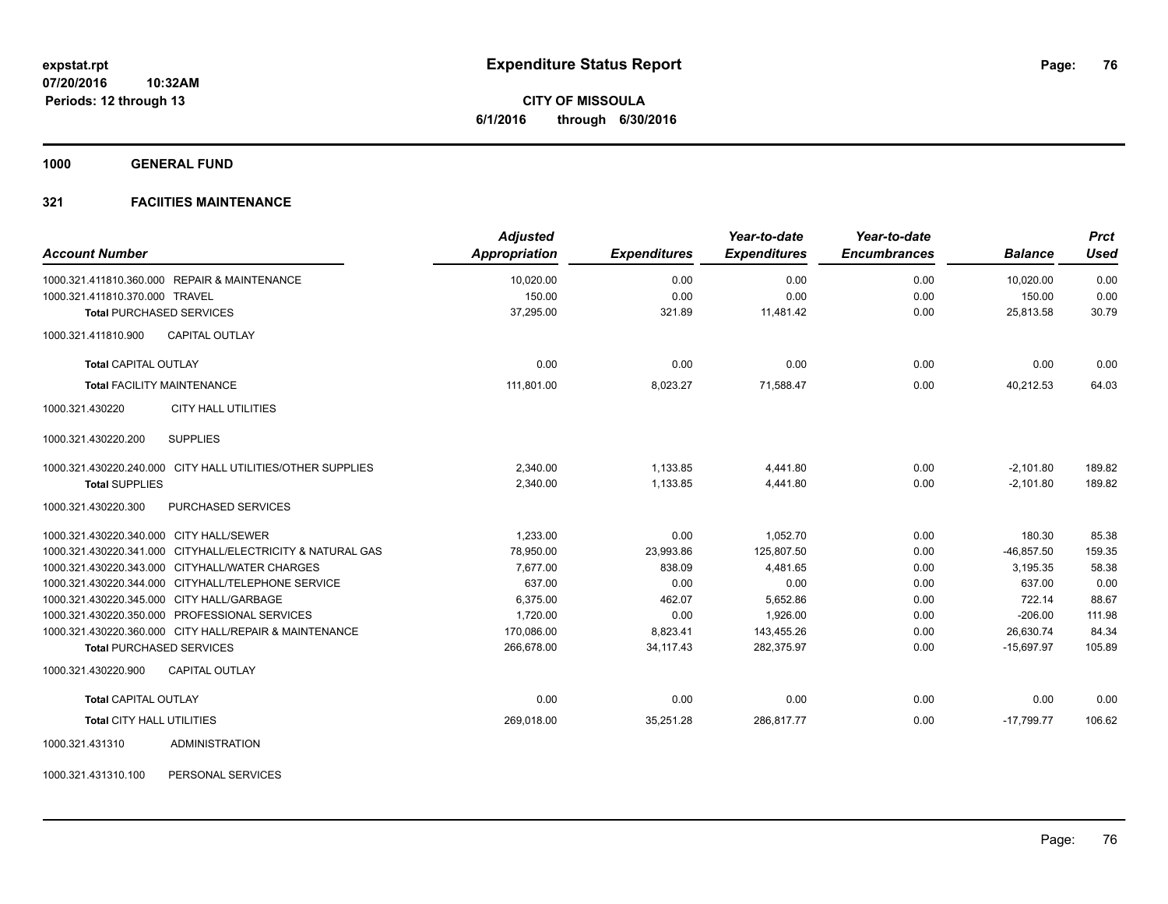**1000 GENERAL FUND**

## **321 FACIITIES MAINTENANCE**

| <b>Account Number</b>                                      | <b>Adjusted</b><br><b>Appropriation</b> | <b>Expenditures</b> | Year-to-date<br><b>Expenditures</b> | Year-to-date<br><b>Encumbrances</b> | <b>Balance</b> | <b>Prct</b><br><b>Used</b> |
|------------------------------------------------------------|-----------------------------------------|---------------------|-------------------------------------|-------------------------------------|----------------|----------------------------|
| 1000.321.411810.360.000 REPAIR & MAINTENANCE               | 10,020.00                               | 0.00                | 0.00                                | 0.00                                | 10,020.00      | 0.00                       |
| 1000.321.411810.370.000 TRAVEL                             | 150.00                                  | 0.00                | 0.00                                | 0.00                                | 150.00         | 0.00                       |
| <b>Total PURCHASED SERVICES</b>                            | 37,295.00                               | 321.89              | 11.481.42                           | 0.00                                | 25,813.58      | 30.79                      |
| <b>CAPITAL OUTLAY</b><br>1000.321.411810.900               |                                         |                     |                                     |                                     |                |                            |
| <b>Total CAPITAL OUTLAY</b>                                | 0.00                                    | 0.00                | 0.00                                | 0.00                                | 0.00           | 0.00                       |
| <b>Total FACILITY MAINTENANCE</b>                          | 111,801.00                              | 8,023.27            | 71,588.47                           | 0.00                                | 40,212.53      | 64.03                      |
| <b>CITY HALL UTILITIES</b><br>1000.321.430220              |                                         |                     |                                     |                                     |                |                            |
| <b>SUPPLIES</b><br>1000.321.430220.200                     |                                         |                     |                                     |                                     |                |                            |
| 1000.321.430220.240.000 CITY HALL UTILITIES/OTHER SUPPLIES | 2,340.00                                | 1,133.85            | 4,441.80                            | 0.00                                | $-2,101.80$    | 189.82                     |
| <b>Total SUPPLIES</b>                                      | 2,340.00                                | 1,133.85            | 4,441.80                            | 0.00                                | $-2,101.80$    | 189.82                     |
| PURCHASED SERVICES<br>1000.321.430220.300                  |                                         |                     |                                     |                                     |                |                            |
| 1000.321.430220.340.000 CITY HALL/SEWER                    | 1,233.00                                | 0.00                | 1,052.70                            | 0.00                                | 180.30         | 85.38                      |
| 1000.321.430220.341.000 CITYHALL/ELECTRICITY & NATURAL GAS | 78,950.00                               | 23,993.86           | 125,807.50                          | 0.00                                | $-46,857.50$   | 159.35                     |
| 1000.321.430220.343.000 CITYHALL/WATER CHARGES             | 7.677.00                                | 838.09              | 4.481.65                            | 0.00                                | 3.195.35       | 58.38                      |
| 1000.321.430220.344.000 CITYHALL/TELEPHONE SERVICE         | 637.00                                  | 0.00                | 0.00                                | 0.00                                | 637.00         | 0.00                       |
| 1000.321.430220.345.000 CITY HALL/GARBAGE                  | 6,375.00                                | 462.07              | 5,652.86                            | 0.00                                | 722.14         | 88.67                      |
| 1000.321.430220.350.000 PROFESSIONAL SERVICES              | 1,720.00                                | 0.00                | 1,926.00                            | 0.00                                | $-206.00$      | 111.98                     |
| 1000.321.430220.360.000 CITY HALL/REPAIR & MAINTENANCE     | 170,086.00                              | 8,823.41            | 143,455.26                          | 0.00                                | 26,630.74      | 84.34                      |
| <b>Total PURCHASED SERVICES</b>                            | 266,678.00                              | 34,117.43           | 282,375.97                          | 0.00                                | $-15,697.97$   | 105.89                     |
| 1000.321.430220.900<br><b>CAPITAL OUTLAY</b>               |                                         |                     |                                     |                                     |                |                            |
| <b>Total CAPITAL OUTLAY</b>                                | 0.00                                    | 0.00                | 0.00                                | 0.00                                | 0.00           | 0.00                       |
| Total CITY HALL UTILITIES                                  | 269,018.00                              | 35,251.28           | 286,817.77                          | 0.00                                | $-17,799.77$   | 106.62                     |
| <b>ADMINISTRATION</b><br>1000.321.431310                   |                                         |                     |                                     |                                     |                |                            |

1000.321.431310.100 PERSONAL SERVICES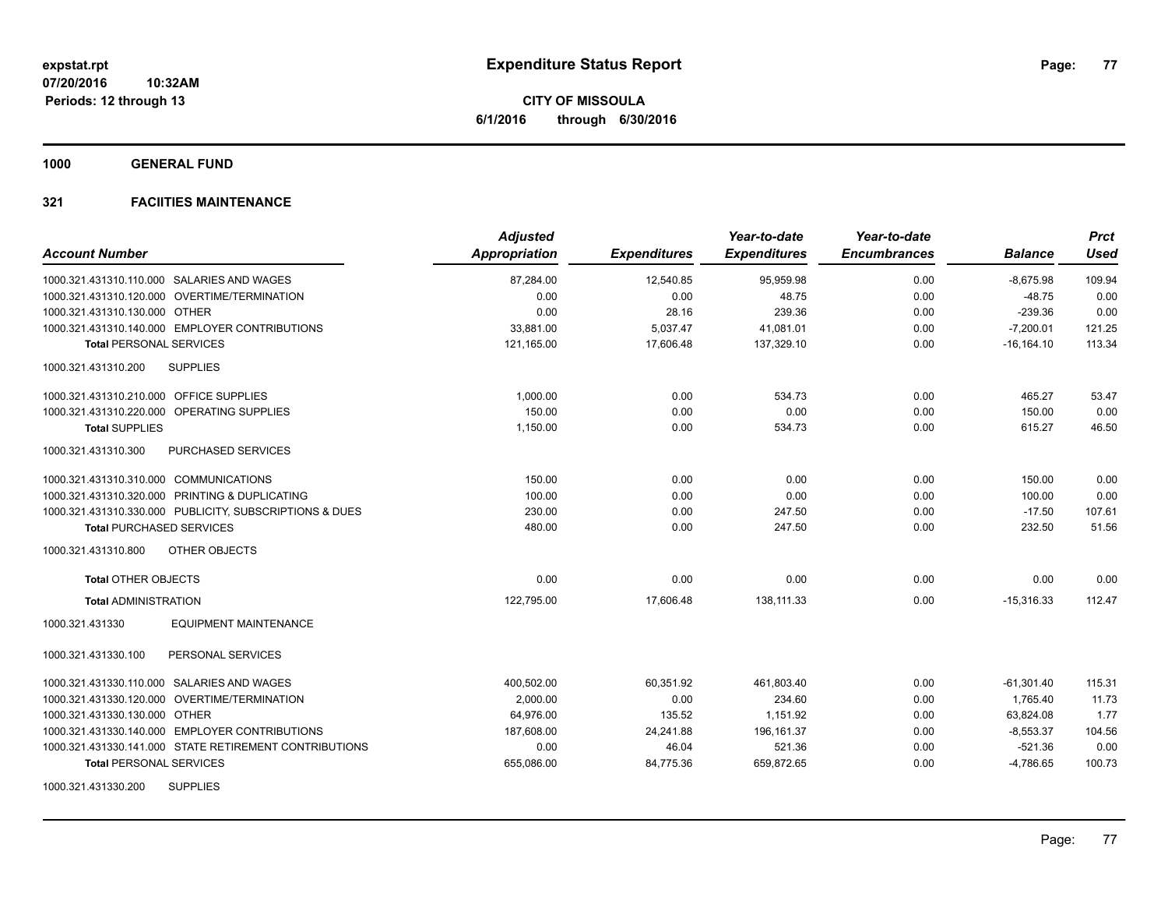**1000 GENERAL FUND**

## **321 FACIITIES MAINTENANCE**

| <b>Account Number</b>                                   | <b>Adjusted</b><br>Appropriation | <b>Expenditures</b> | Year-to-date<br><b>Expenditures</b> | Year-to-date<br><b>Encumbrances</b> | <b>Balance</b> | <b>Prct</b><br><b>Used</b> |
|---------------------------------------------------------|----------------------------------|---------------------|-------------------------------------|-------------------------------------|----------------|----------------------------|
| 1000.321.431310.110.000 SALARIES AND WAGES              | 87,284.00                        | 12,540.85           | 95,959.98                           | 0.00                                | $-8,675.98$    | 109.94                     |
| 1000.321.431310.120.000 OVERTIME/TERMINATION            | 0.00                             | 0.00                | 48.75                               | 0.00                                | $-48.75$       | 0.00                       |
| 1000.321.431310.130.000 OTHER                           | 0.00                             | 28.16               | 239.36                              | 0.00                                | $-239.36$      | 0.00                       |
| 1000.321.431310.140.000 EMPLOYER CONTRIBUTIONS          | 33,881.00                        | 5,037.47            | 41,081.01                           | 0.00                                | $-7,200.01$    | 121.25                     |
| <b>Total PERSONAL SERVICES</b>                          | 121,165.00                       | 17,606.48           | 137,329.10                          | 0.00                                | $-16, 164.10$  | 113.34                     |
| 1000.321.431310.200<br><b>SUPPLIES</b>                  |                                  |                     |                                     |                                     |                |                            |
| 1000.321.431310.210.000 OFFICE SUPPLIES                 | 1,000.00                         | 0.00                | 534.73                              | 0.00                                | 465.27         | 53.47                      |
| 1000.321.431310.220.000 OPERATING SUPPLIES              | 150.00                           | 0.00                | 0.00                                | 0.00                                | 150.00         | 0.00                       |
| <b>Total SUPPLIES</b>                                   | 1,150.00                         | 0.00                | 534.73                              | 0.00                                | 615.27         | 46.50                      |
| PURCHASED SERVICES<br>1000.321.431310.300               |                                  |                     |                                     |                                     |                |                            |
| 1000.321.431310.310.000 COMMUNICATIONS                  | 150.00                           | 0.00                | 0.00                                | 0.00                                | 150.00         | 0.00                       |
| 1000.321.431310.320.000 PRINTING & DUPLICATING          | 100.00                           | 0.00                | 0.00                                | 0.00                                | 100.00         | 0.00                       |
| 1000.321.431310.330.000 PUBLICITY, SUBSCRIPTIONS & DUES | 230.00                           | 0.00                | 247.50                              | 0.00                                | $-17.50$       | 107.61                     |
| <b>Total PURCHASED SERVICES</b>                         | 480.00                           | 0.00                | 247.50                              | 0.00                                | 232.50         | 51.56                      |
| 1000.321.431310.800<br>OTHER OBJECTS                    |                                  |                     |                                     |                                     |                |                            |
| <b>Total OTHER OBJECTS</b>                              | 0.00                             | 0.00                | 0.00                                | 0.00                                | 0.00           | 0.00                       |
| <b>Total ADMINISTRATION</b>                             | 122,795.00                       | 17,606.48           | 138,111.33                          | 0.00                                | $-15,316.33$   | 112.47                     |
| <b>EQUIPMENT MAINTENANCE</b><br>1000.321.431330         |                                  |                     |                                     |                                     |                |                            |
| 1000.321.431330.100<br>PERSONAL SERVICES                |                                  |                     |                                     |                                     |                |                            |
| 1000.321.431330.110.000 SALARIES AND WAGES              | 400,502.00                       | 60,351.92           | 461,803.40                          | 0.00                                | $-61,301.40$   | 115.31                     |
| 1000.321.431330.120.000 OVERTIME/TERMINATION            | 2,000.00                         | 0.00                | 234.60                              | 0.00                                | 1,765.40       | 11.73                      |
| 1000.321.431330.130.000 OTHER                           | 64,976.00                        | 135.52              | 1,151.92                            | 0.00                                | 63,824.08      | 1.77                       |
| 1000.321.431330.140.000 EMPLOYER CONTRIBUTIONS          | 187,608.00                       | 24,241.88           | 196, 161.37                         | 0.00                                | $-8,553.37$    | 104.56                     |
| 1000.321.431330.141.000 STATE RETIREMENT CONTRIBUTIONS  | 0.00                             | 46.04               | 521.36                              | 0.00                                | $-521.36$      | 0.00                       |
| <b>Total PERSONAL SERVICES</b>                          | 655,086.00                       | 84,775.36           | 659,872.65                          | 0.00                                | $-4,786.65$    | 100.73                     |
| 1000.321.431330.200<br><b>SUPPLIES</b>                  |                                  |                     |                                     |                                     |                |                            |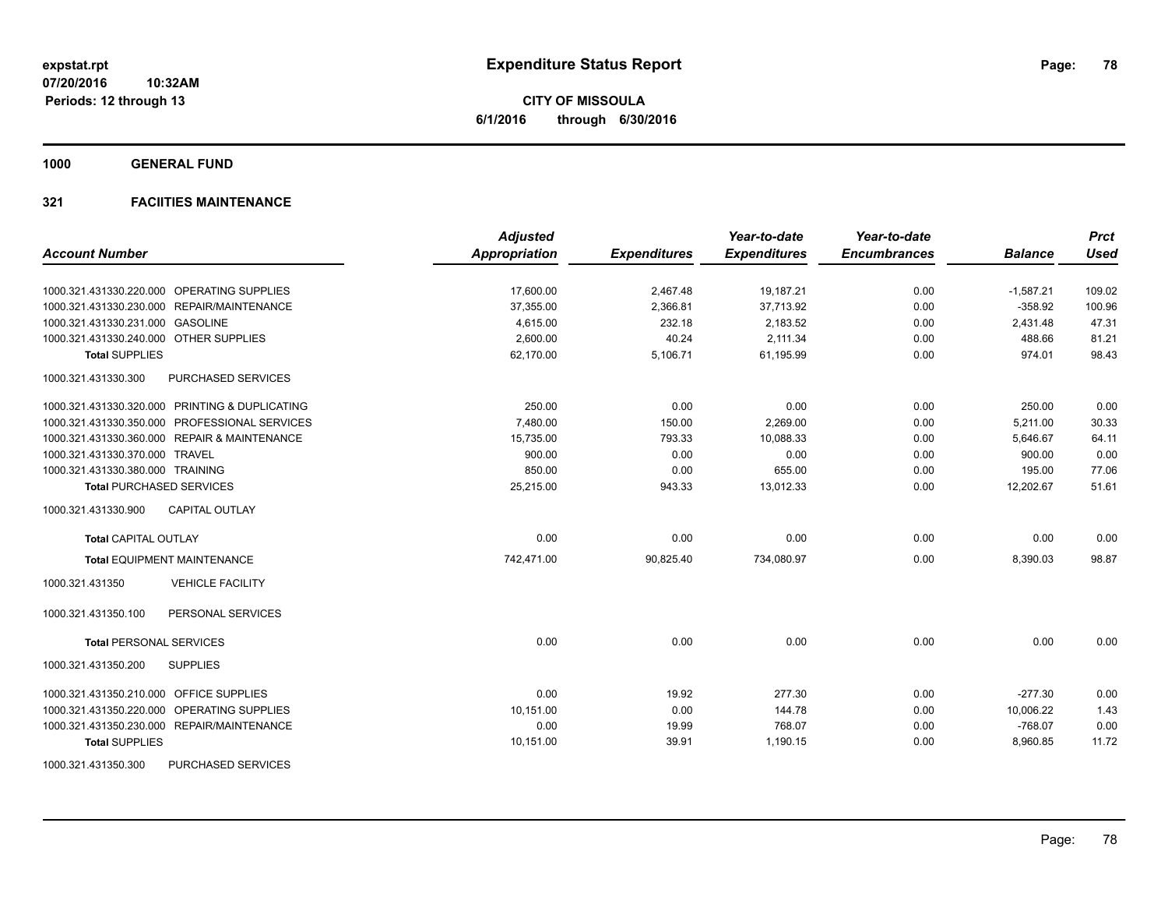**1000 GENERAL FUND**

## **321 FACIITIES MAINTENANCE**

|                                                  | <b>Adjusted</b> |                     | Year-to-date        | Year-to-date        |                | <b>Prct</b> |
|--------------------------------------------------|-----------------|---------------------|---------------------|---------------------|----------------|-------------|
| <b>Account Number</b>                            | Appropriation   | <b>Expenditures</b> | <b>Expenditures</b> | <b>Encumbrances</b> | <b>Balance</b> | <b>Used</b> |
| 1000.321.431330.220.000 OPERATING SUPPLIES       | 17,600.00       | 2,467.48            | 19,187.21           | 0.00                | $-1,587.21$    | 109.02      |
| 1000.321.431330.230.000 REPAIR/MAINTENANCE       | 37,355.00       | 2,366.81            | 37,713.92           | 0.00                | $-358.92$      | 100.96      |
| 1000.321.431330.231.000 GASOLINE                 | 4,615.00        | 232.18              | 2,183.52            | 0.00                | 2,431.48       | 47.31       |
| 1000.321.431330.240.000 OTHER SUPPLIES           | 2,600.00        | 40.24               | 2,111.34            | 0.00                | 488.66         | 81.21       |
| <b>Total SUPPLIES</b>                            | 62,170.00       | 5,106.71            | 61,195.99           | 0.00                | 974.01         | 98.43       |
| 1000.321.431330.300<br><b>PURCHASED SERVICES</b> |                 |                     |                     |                     |                |             |
| 1000.321.431330.320.000 PRINTING & DUPLICATING   | 250.00          | 0.00                | 0.00                | 0.00                | 250.00         | 0.00        |
| 1000.321.431330.350.000 PROFESSIONAL SERVICES    | 7.480.00        | 150.00              | 2,269.00            | 0.00                | 5,211.00       | 30.33       |
| 1000.321.431330.360.000 REPAIR & MAINTENANCE     | 15,735.00       | 793.33              | 10,088.33           | 0.00                | 5,646.67       | 64.11       |
| 1000.321.431330.370.000 TRAVEL                   | 900.00          | 0.00                | 0.00                | 0.00                | 900.00         | 0.00        |
| 1000.321.431330.380.000 TRAINING                 | 850.00          | 0.00                | 655.00              | 0.00                | 195.00         | 77.06       |
| <b>Total PURCHASED SERVICES</b>                  | 25,215.00       | 943.33              | 13,012.33           | 0.00                | 12,202.67      | 51.61       |
| 1000.321.431330.900<br><b>CAPITAL OUTLAY</b>     |                 |                     |                     |                     |                |             |
| <b>Total CAPITAL OUTLAY</b>                      | 0.00            | 0.00                | 0.00                | 0.00                | 0.00           | 0.00        |
| <b>Total EQUIPMENT MAINTENANCE</b>               | 742,471.00      | 90,825.40           | 734,080.97          | 0.00                | 8,390.03       | 98.87       |
| 1000.321.431350<br><b>VEHICLE FACILITY</b>       |                 |                     |                     |                     |                |             |
| PERSONAL SERVICES<br>1000.321.431350.100         |                 |                     |                     |                     |                |             |
| <b>Total PERSONAL SERVICES</b>                   | 0.00            | 0.00                | 0.00                | 0.00                | 0.00           | 0.00        |
| 1000.321.431350.200<br><b>SUPPLIES</b>           |                 |                     |                     |                     |                |             |
| 1000.321.431350.210.000 OFFICE SUPPLIES          | 0.00            | 19.92               | 277.30              | 0.00                | $-277.30$      | 0.00        |
| 1000.321.431350.220.000 OPERATING SUPPLIES       | 10,151.00       | 0.00                | 144.78              | 0.00                | 10,006.22      | 1.43        |
| 1000.321.431350.230.000 REPAIR/MAINTENANCE       | 0.00            | 19.99               | 768.07              | 0.00                | $-768.07$      | 0.00        |
| <b>Total SUPPLIES</b>                            | 10,151.00       | 39.91               | 1,190.15            | 0.00                | 8,960.85       | 11.72       |
| 1000.321.431350.300<br><b>PURCHASED SERVICES</b> |                 |                     |                     |                     |                |             |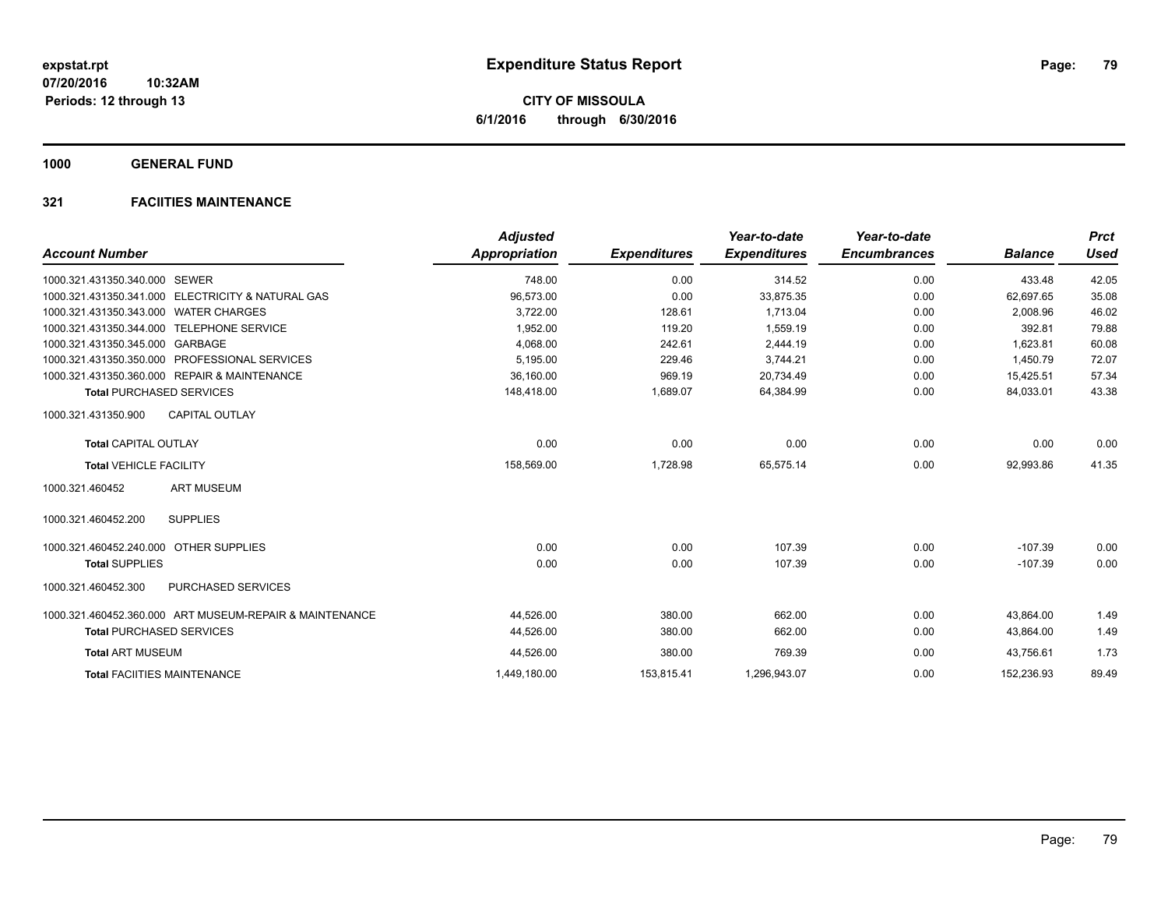**1000 GENERAL FUND**

# **321 FACIITIES MAINTENANCE**

| <b>Account Number</b>                                   | <b>Adjusted</b><br><b>Appropriation</b> | <b>Expenditures</b> | Year-to-date<br><b>Expenditures</b> | Year-to-date<br><b>Encumbrances</b> | <b>Balance</b> | <b>Prct</b><br><b>Used</b> |
|---------------------------------------------------------|-----------------------------------------|---------------------|-------------------------------------|-------------------------------------|----------------|----------------------------|
|                                                         |                                         |                     |                                     |                                     |                |                            |
| 1000.321.431350.340.000 SEWER                           | 748.00                                  | 0.00                | 314.52                              | 0.00                                | 433.48         | 42.05                      |
| 1000.321.431350.341.000 ELECTRICITY & NATURAL GAS       | 96,573.00                               | 0.00                | 33.875.35                           | 0.00                                | 62.697.65      | 35.08                      |
| 1000.321.431350.343.000 WATER CHARGES                   | 3,722.00                                | 128.61              | 1.713.04                            | 0.00                                | 2,008.96       | 46.02                      |
| 1000.321.431350.344.000 TELEPHONE SERVICE               | 1,952.00                                | 119.20              | 1,559.19                            | 0.00                                | 392.81         | 79.88                      |
| 1000.321.431350.345.000 GARBAGE                         | 4,068.00                                | 242.61              | 2,444.19                            | 0.00                                | 1,623.81       | 60.08                      |
| 1000.321.431350.350.000 PROFESSIONAL SERVICES           | 5,195.00                                | 229.46              | 3,744.21                            | 0.00                                | 1.450.79       | 72.07                      |
| 1000.321.431350.360.000 REPAIR & MAINTENANCE            | 36,160.00                               | 969.19              | 20,734.49                           | 0.00                                | 15,425.51      | 57.34                      |
| <b>Total PURCHASED SERVICES</b>                         | 148,418.00                              | 1,689.07            | 64,384.99                           | 0.00                                | 84,033.01      | 43.38                      |
| <b>CAPITAL OUTLAY</b><br>1000.321.431350.900            |                                         |                     |                                     |                                     |                |                            |
| <b>Total CAPITAL OUTLAY</b>                             | 0.00                                    | 0.00                | 0.00                                | 0.00                                | 0.00           | 0.00                       |
| <b>Total VEHICLE FACILITY</b>                           | 158,569.00                              | 1,728.98            | 65,575.14                           | 0.00                                | 92,993.86      | 41.35                      |
| <b>ART MUSEUM</b><br>1000.321.460452                    |                                         |                     |                                     |                                     |                |                            |
| <b>SUPPLIES</b><br>1000.321.460452.200                  |                                         |                     |                                     |                                     |                |                            |
| 1000.321.460452.240.000 OTHER SUPPLIES                  | 0.00                                    | 0.00                | 107.39                              | 0.00                                | $-107.39$      | 0.00                       |
| <b>Total SUPPLIES</b>                                   | 0.00                                    | 0.00                | 107.39                              | 0.00                                | $-107.39$      | 0.00                       |
| PURCHASED SERVICES<br>1000.321.460452.300               |                                         |                     |                                     |                                     |                |                            |
| 1000.321.460452.360.000 ART MUSEUM-REPAIR & MAINTENANCE | 44,526.00                               | 380.00              | 662.00                              | 0.00                                | 43,864.00      | 1.49                       |
| <b>Total PURCHASED SERVICES</b>                         | 44,526.00                               | 380.00              | 662.00                              | 0.00                                | 43,864.00      | 1.49                       |
| <b>Total ART MUSEUM</b>                                 | 44,526.00                               | 380.00              | 769.39                              | 0.00                                | 43,756.61      | 1.73                       |
| <b>Total FACIITIES MAINTENANCE</b>                      | 1,449,180.00                            | 153,815.41          | 1,296,943.07                        | 0.00                                | 152,236.93     | 89.49                      |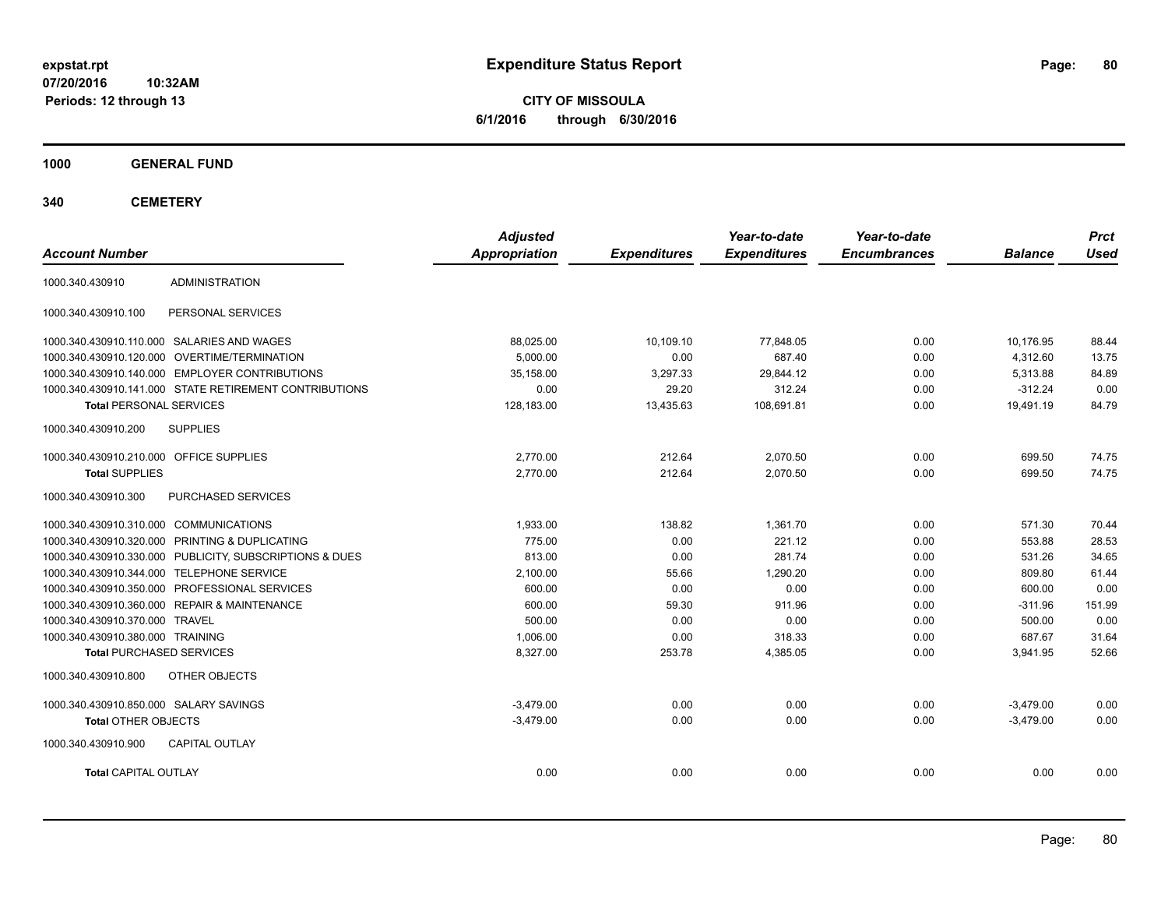**CITY OF MISSOULA 6/1/2016 through 6/30/2016**

**1000 GENERAL FUND**

| <b>Account Number</b>                   |                                                         | <b>Adjusted</b><br><b>Appropriation</b> | <b>Expenditures</b> | Year-to-date<br><b>Expenditures</b> | Year-to-date<br><b>Encumbrances</b> | <b>Balance</b> | <b>Prct</b><br><b>Used</b> |
|-----------------------------------------|---------------------------------------------------------|-----------------------------------------|---------------------|-------------------------------------|-------------------------------------|----------------|----------------------------|
| 1000.340.430910                         | <b>ADMINISTRATION</b>                                   |                                         |                     |                                     |                                     |                |                            |
| 1000.340.430910.100                     | PERSONAL SERVICES                                       |                                         |                     |                                     |                                     |                |                            |
|                                         | 1000.340.430910.110.000 SALARIES AND WAGES              | 88,025.00                               | 10,109.10           | 77,848.05                           | 0.00                                | 10,176.95      | 88.44                      |
|                                         | 1000.340.430910.120.000 OVERTIME/TERMINATION            | 5.000.00                                | 0.00                | 687.40                              | 0.00                                | 4,312.60       | 13.75                      |
|                                         | 1000.340.430910.140.000 EMPLOYER CONTRIBUTIONS          | 35,158.00                               | 3,297.33            | 29,844.12                           | 0.00                                | 5,313.88       | 84.89                      |
|                                         | 1000.340.430910.141.000 STATE RETIREMENT CONTRIBUTIONS  | 0.00                                    | 29.20               | 312.24                              | 0.00                                | $-312.24$      | 0.00                       |
| <b>Total PERSONAL SERVICES</b>          |                                                         | 128,183.00                              | 13,435.63           | 108,691.81                          | 0.00                                | 19,491.19      | 84.79                      |
| 1000.340.430910.200                     | <b>SUPPLIES</b>                                         |                                         |                     |                                     |                                     |                |                            |
| 1000.340.430910.210.000 OFFICE SUPPLIES |                                                         | 2.770.00                                | 212.64              | 2,070.50                            | 0.00                                | 699.50         | 74.75                      |
| <b>Total SUPPLIES</b>                   |                                                         | 2,770.00                                | 212.64              | 2,070.50                            | 0.00                                | 699.50         | 74.75                      |
| 1000.340.430910.300                     | PURCHASED SERVICES                                      |                                         |                     |                                     |                                     |                |                            |
| 1000.340.430910.310.000 COMMUNICATIONS  |                                                         | 1,933.00                                | 138.82              | 1,361.70                            | 0.00                                | 571.30         | 70.44                      |
|                                         | 1000.340.430910.320.000 PRINTING & DUPLICATING          | 775.00                                  | 0.00                | 221.12                              | 0.00                                | 553.88         | 28.53                      |
|                                         | 1000.340.430910.330.000 PUBLICITY, SUBSCRIPTIONS & DUES | 813.00                                  | 0.00                | 281.74                              | 0.00                                | 531.26         | 34.65                      |
|                                         | 1000.340.430910.344.000 TELEPHONE SERVICE               | 2,100.00                                | 55.66               | 1,290.20                            | 0.00                                | 809.80         | 61.44                      |
|                                         | 1000.340.430910.350.000 PROFESSIONAL SERVICES           | 600.00                                  | 0.00                | 0.00                                | 0.00                                | 600.00         | 0.00                       |
|                                         | 1000.340.430910.360.000 REPAIR & MAINTENANCE            | 600.00                                  | 59.30               | 911.96                              | 0.00                                | $-311.96$      | 151.99                     |
| 1000.340.430910.370.000 TRAVEL          |                                                         | 500.00                                  | 0.00                | 0.00                                | 0.00                                | 500.00         | 0.00                       |
| 1000.340.430910.380.000 TRAINING        |                                                         | 1,006.00                                | 0.00                | 318.33                              | 0.00                                | 687.67         | 31.64                      |
| <b>Total PURCHASED SERVICES</b>         |                                                         | 8,327.00                                | 253.78              | 4,385.05                            | 0.00                                | 3,941.95       | 52.66                      |
| 1000.340.430910.800                     | OTHER OBJECTS                                           |                                         |                     |                                     |                                     |                |                            |
| 1000.340.430910.850.000 SALARY SAVINGS  |                                                         | $-3.479.00$                             | 0.00                | 0.00                                | 0.00                                | $-3,479.00$    | 0.00                       |
| <b>Total OTHER OBJECTS</b>              |                                                         | $-3,479.00$                             | 0.00                | 0.00                                | 0.00                                | $-3,479.00$    | 0.00                       |
| 1000.340.430910.900                     | CAPITAL OUTLAY                                          |                                         |                     |                                     |                                     |                |                            |
| <b>Total CAPITAL OUTLAY</b>             |                                                         | 0.00                                    | 0.00                | 0.00                                | 0.00                                | 0.00           | 0.00                       |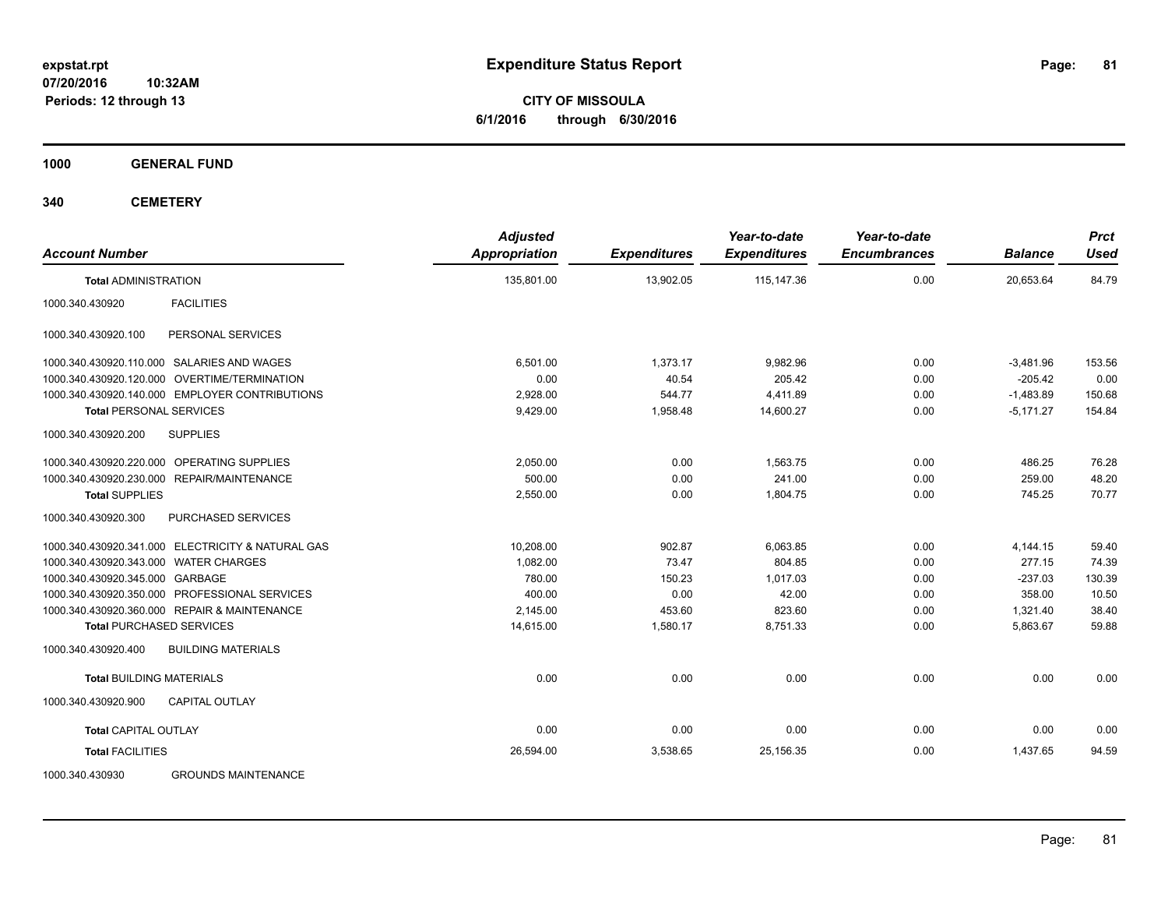**CITY OF MISSOULA 6/1/2016 through 6/30/2016**

**1000 GENERAL FUND**

| <b>Account Number</b>                             | <b>Adjusted</b><br><b>Appropriation</b> | <b>Expenditures</b> | Year-to-date<br><b>Expenditures</b> | Year-to-date<br><b>Encumbrances</b> | <b>Balance</b> | <b>Prct</b><br><b>Used</b> |
|---------------------------------------------------|-----------------------------------------|---------------------|-------------------------------------|-------------------------------------|----------------|----------------------------|
| <b>Total ADMINISTRATION</b>                       | 135.801.00                              | 13.902.05           | 115.147.36                          | 0.00                                | 20.653.64      | 84.79                      |
| <b>FACILITIES</b><br>1000.340.430920              |                                         |                     |                                     |                                     |                |                            |
| 1000.340.430920.100<br>PERSONAL SERVICES          |                                         |                     |                                     |                                     |                |                            |
| 1000.340.430920.110.000 SALARIES AND WAGES        | 6,501.00                                | 1,373.17            | 9,982.96                            | 0.00                                | $-3,481.96$    | 153.56                     |
| 1000.340.430920.120.000 OVERTIME/TERMINATION      | 0.00                                    | 40.54               | 205.42                              | 0.00                                | $-205.42$      | 0.00                       |
| 1000.340.430920.140.000 EMPLOYER CONTRIBUTIONS    | 2,928.00                                | 544.77              | 4,411.89                            | 0.00                                | $-1,483.89$    | 150.68                     |
| <b>Total PERSONAL SERVICES</b>                    | 9,429.00                                | 1,958.48            | 14,600.27                           | 0.00                                | $-5,171.27$    | 154.84                     |
| 1000.340.430920.200<br><b>SUPPLIES</b>            |                                         |                     |                                     |                                     |                |                            |
| 1000.340.430920.220.000 OPERATING SUPPLIES        | 2,050.00                                | 0.00                | 1,563.75                            | 0.00                                | 486.25         | 76.28                      |
| 1000.340.430920.230.000 REPAIR/MAINTENANCE        | 500.00                                  | 0.00                | 241.00                              | 0.00                                | 259.00         | 48.20                      |
| <b>Total SUPPLIES</b>                             | 2,550.00                                | 0.00                | 1,804.75                            | 0.00                                | 745.25         | 70.77                      |
| 1000.340.430920.300<br>PURCHASED SERVICES         |                                         |                     |                                     |                                     |                |                            |
| 1000.340.430920.341.000 ELECTRICITY & NATURAL GAS | 10,208.00                               | 902.87              | 6.063.85                            | 0.00                                | 4,144.15       | 59.40                      |
| 1000.340.430920.343.000 WATER CHARGES             | 1.082.00                                | 73.47               | 804.85                              | 0.00                                | 277.15         | 74.39                      |
| 1000.340.430920.345.000 GARBAGE                   | 780.00                                  | 150.23              | 1,017.03                            | 0.00                                | $-237.03$      | 130.39                     |
| 1000.340.430920.350.000 PROFESSIONAL SERVICES     | 400.00                                  | 0.00                | 42.00                               | 0.00                                | 358.00         | 10.50                      |
| 1000.340.430920.360.000 REPAIR & MAINTENANCE      | 2.145.00                                | 453.60              | 823.60                              | 0.00                                | 1,321.40       | 38.40                      |
| <b>Total PURCHASED SERVICES</b>                   | 14,615.00                               | 1,580.17            | 8,751.33                            | 0.00                                | 5,863.67       | 59.88                      |
| <b>BUILDING MATERIALS</b><br>1000.340.430920.400  |                                         |                     |                                     |                                     |                |                            |
| <b>Total BUILDING MATERIALS</b>                   | 0.00                                    | 0.00                | 0.00                                | 0.00                                | 0.00           | 0.00                       |
| 1000.340.430920.900<br><b>CAPITAL OUTLAY</b>      |                                         |                     |                                     |                                     |                |                            |
| <b>Total CAPITAL OUTLAY</b>                       | 0.00                                    | 0.00                | 0.00                                | 0.00                                | 0.00           | 0.00                       |
| <b>Total FACILITIES</b>                           | 26,594.00                               | 3,538.65            | 25.156.35                           | 0.00                                | 1,437.65       | 94.59                      |
| 1000.340.430930<br><b>GROUNDS MAINTENANCE</b>     |                                         |                     |                                     |                                     |                |                            |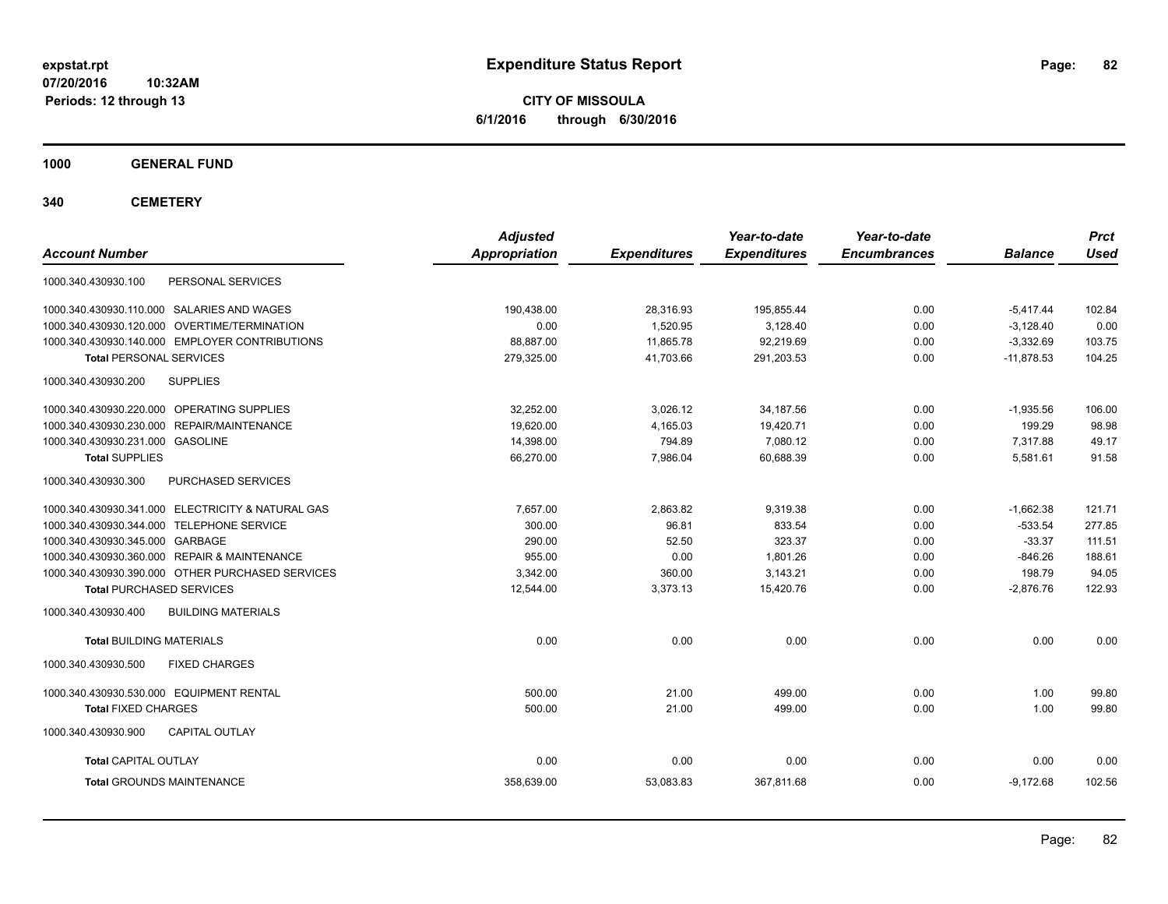**CITY OF MISSOULA 6/1/2016 through 6/30/2016**

**1000 GENERAL FUND**

| <b>Account Number</b>                             | <b>Adjusted</b><br><b>Appropriation</b> | <b>Expenditures</b> | Year-to-date<br><b>Expenditures</b> | Year-to-date<br><b>Encumbrances</b> | <b>Balance</b> | <b>Prct</b><br><b>Used</b> |
|---------------------------------------------------|-----------------------------------------|---------------------|-------------------------------------|-------------------------------------|----------------|----------------------------|
| 1000.340.430930.100<br>PERSONAL SERVICES          |                                         |                     |                                     |                                     |                |                            |
| 1000.340.430930.110.000 SALARIES AND WAGES        | 190.438.00                              | 28.316.93           | 195.855.44                          | 0.00                                | $-5.417.44$    | 102.84                     |
| 1000.340.430930.120.000 OVERTIME/TERMINATION      | 0.00                                    | 1,520.95            | 3,128.40                            | 0.00                                | $-3,128.40$    | 0.00                       |
| 1000.340.430930.140.000 EMPLOYER CONTRIBUTIONS    | 88.887.00                               | 11,865.78           | 92,219.69                           | 0.00                                | $-3,332.69$    | 103.75                     |
| <b>Total PERSONAL SERVICES</b>                    | 279,325.00                              | 41,703.66           | 291,203.53                          | 0.00                                | $-11,878.53$   | 104.25                     |
| 1000.340.430930.200<br><b>SUPPLIES</b>            |                                         |                     |                                     |                                     |                |                            |
| 1000.340.430930.220.000 OPERATING SUPPLIES        | 32.252.00                               | 3,026.12            | 34, 187.56                          | 0.00                                | $-1,935.56$    | 106.00                     |
| 1000.340.430930.230.000 REPAIR/MAINTENANCE        | 19,620.00                               | 4,165.03            | 19,420.71                           | 0.00                                | 199.29         | 98.98                      |
| 1000.340.430930.231.000 GASOLINE                  | 14,398.00                               | 794.89              | 7,080.12                            | 0.00                                | 7,317.88       | 49.17                      |
| <b>Total SUPPLIES</b>                             | 66,270.00                               | 7,986.04            | 60,688.39                           | 0.00                                | 5,581.61       | 91.58                      |
| 1000.340.430930.300<br>PURCHASED SERVICES         |                                         |                     |                                     |                                     |                |                            |
| 1000.340.430930.341.000 ELECTRICITY & NATURAL GAS | 7,657.00                                | 2,863.82            | 9,319.38                            | 0.00                                | $-1,662.38$    | 121.71                     |
| 1000.340.430930.344.000 TELEPHONE SERVICE         | 300.00                                  | 96.81               | 833.54                              | 0.00                                | $-533.54$      | 277.85                     |
| 1000.340.430930.345.000 GARBAGE                   | 290.00                                  | 52.50               | 323.37                              | 0.00                                | $-33.37$       | 111.51                     |
| 1000.340.430930.360.000 REPAIR & MAINTENANCE      | 955.00                                  | 0.00                | 1.801.26                            | 0.00                                | $-846.26$      | 188.61                     |
| 1000.340.430930.390.000 OTHER PURCHASED SERVICES  | 3,342.00                                | 360.00              | 3,143.21                            | 0.00                                | 198.79         | 94.05                      |
| <b>Total PURCHASED SERVICES</b>                   | 12,544.00                               | 3,373.13            | 15,420.76                           | 0.00                                | $-2,876.76$    | 122.93                     |
| 1000.340.430930.400<br><b>BUILDING MATERIALS</b>  |                                         |                     |                                     |                                     |                |                            |
| <b>Total BUILDING MATERIALS</b>                   | 0.00                                    | 0.00                | 0.00                                | 0.00                                | 0.00           | 0.00                       |
| 1000.340.430930.500<br><b>FIXED CHARGES</b>       |                                         |                     |                                     |                                     |                |                            |
| 1000.340.430930.530.000 EQUIPMENT RENTAL          | 500.00                                  | 21.00               | 499.00                              | 0.00                                | 1.00           | 99.80                      |
| <b>Total FIXED CHARGES</b>                        | 500.00                                  | 21.00               | 499.00                              | 0.00                                | 1.00           | 99.80                      |
| 1000.340.430930.900<br><b>CAPITAL OUTLAY</b>      |                                         |                     |                                     |                                     |                |                            |
| <b>Total CAPITAL OUTLAY</b>                       | 0.00                                    | 0.00                | 0.00                                | 0.00                                | 0.00           | 0.00                       |
| <b>Total GROUNDS MAINTENANCE</b>                  | 358,639.00                              | 53,083.83           | 367,811.68                          | 0.00                                | $-9,172.68$    | 102.56                     |
|                                                   |                                         |                     |                                     |                                     |                |                            |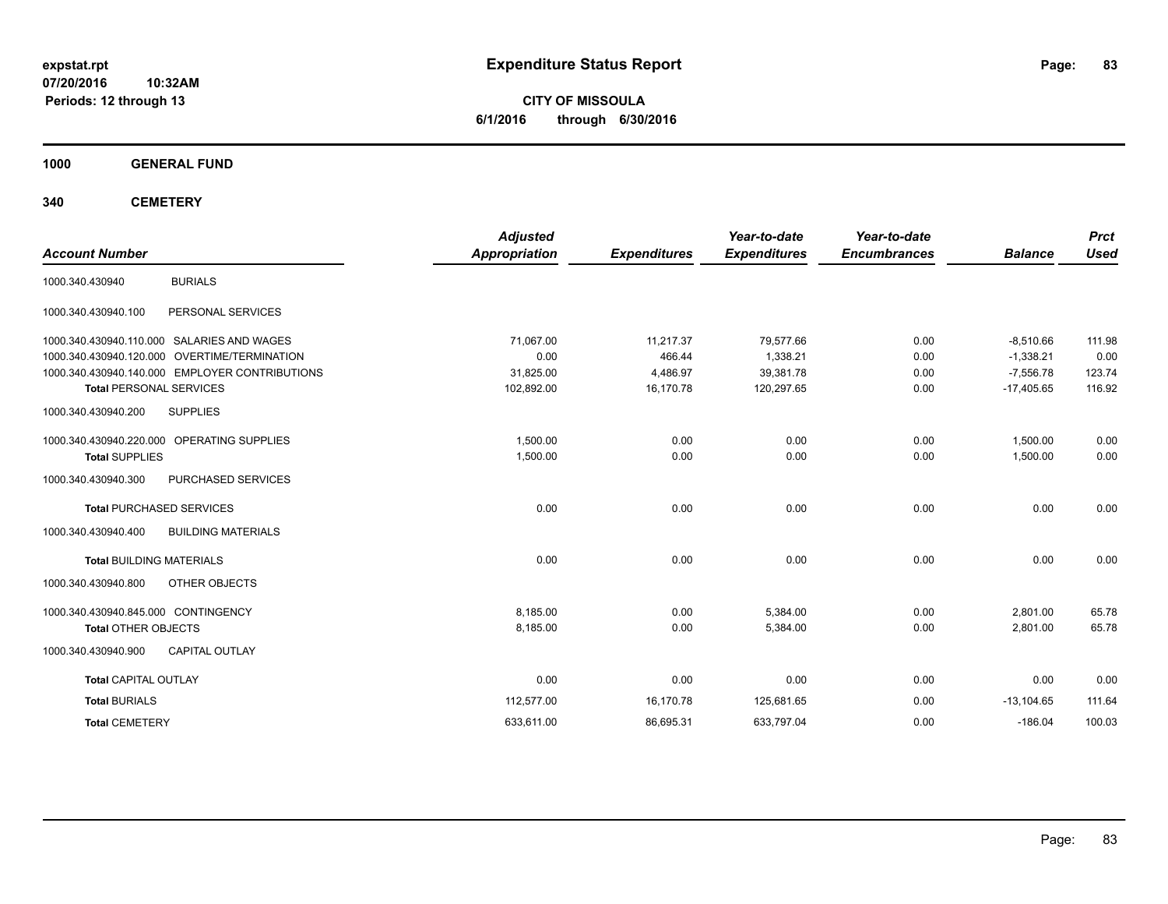**CITY OF MISSOULA 6/1/2016 through 6/30/2016**

**1000 GENERAL FUND**

| <b>Account Number</b>               |                                                | <b>Adjusted</b><br><b>Appropriation</b> | <b>Expenditures</b> | Year-to-date<br><b>Expenditures</b> | Year-to-date<br><b>Encumbrances</b> | <b>Balance</b> | <b>Prct</b><br><b>Used</b> |
|-------------------------------------|------------------------------------------------|-----------------------------------------|---------------------|-------------------------------------|-------------------------------------|----------------|----------------------------|
| 1000.340.430940                     | <b>BURIALS</b>                                 |                                         |                     |                                     |                                     |                |                            |
| 1000.340.430940.100                 | PERSONAL SERVICES                              |                                         |                     |                                     |                                     |                |                            |
|                                     | 1000.340.430940.110.000 SALARIES AND WAGES     | 71,067.00                               | 11,217.37           | 79,577.66                           | 0.00                                | $-8,510.66$    | 111.98                     |
|                                     | 1000.340.430940.120.000 OVERTIME/TERMINATION   | 0.00                                    | 466.44              | 1,338.21                            | 0.00                                | $-1,338.21$    | 0.00                       |
|                                     | 1000.340.430940.140.000 EMPLOYER CONTRIBUTIONS | 31,825.00                               | 4,486.97            | 39,381.78                           | 0.00                                | $-7,556.78$    | 123.74                     |
| <b>Total PERSONAL SERVICES</b>      |                                                | 102,892.00                              | 16,170.78           | 120,297.65                          | 0.00                                | $-17,405.65$   | 116.92                     |
| 1000.340.430940.200                 | <b>SUPPLIES</b>                                |                                         |                     |                                     |                                     |                |                            |
|                                     | 1000.340.430940.220.000 OPERATING SUPPLIES     | 1,500.00                                | 0.00                | 0.00                                | 0.00                                | 1,500.00       | 0.00                       |
| <b>Total SUPPLIES</b>               |                                                | 1,500.00                                | 0.00                | 0.00                                | 0.00                                | 1,500.00       | 0.00                       |
| 1000.340.430940.300                 | PURCHASED SERVICES                             |                                         |                     |                                     |                                     |                |                            |
|                                     | <b>Total PURCHASED SERVICES</b>                | 0.00                                    | 0.00                | 0.00                                | 0.00                                | 0.00           | 0.00                       |
| 1000.340.430940.400                 | <b>BUILDING MATERIALS</b>                      |                                         |                     |                                     |                                     |                |                            |
| <b>Total BUILDING MATERIALS</b>     |                                                | 0.00                                    | 0.00                | 0.00                                | 0.00                                | 0.00           | 0.00                       |
| 1000.340.430940.800                 | OTHER OBJECTS                                  |                                         |                     |                                     |                                     |                |                            |
| 1000.340.430940.845.000 CONTINGENCY |                                                | 8,185.00                                | 0.00                | 5,384.00                            | 0.00                                | 2,801.00       | 65.78                      |
| <b>Total OTHER OBJECTS</b>          |                                                | 8,185.00                                | 0.00                | 5,384.00                            | 0.00                                | 2,801.00       | 65.78                      |
| 1000.340.430940.900                 | <b>CAPITAL OUTLAY</b>                          |                                         |                     |                                     |                                     |                |                            |
| <b>Total CAPITAL OUTLAY</b>         |                                                | 0.00                                    | 0.00                | 0.00                                | 0.00                                | 0.00           | 0.00                       |
| <b>Total BURIALS</b>                |                                                | 112,577.00                              | 16,170.78           | 125,681.65                          | 0.00                                | $-13, 104.65$  | 111.64                     |
| <b>Total CEMETERY</b>               |                                                | 633,611.00                              | 86,695.31           | 633,797.04                          | 0.00                                | $-186.04$      | 100.03                     |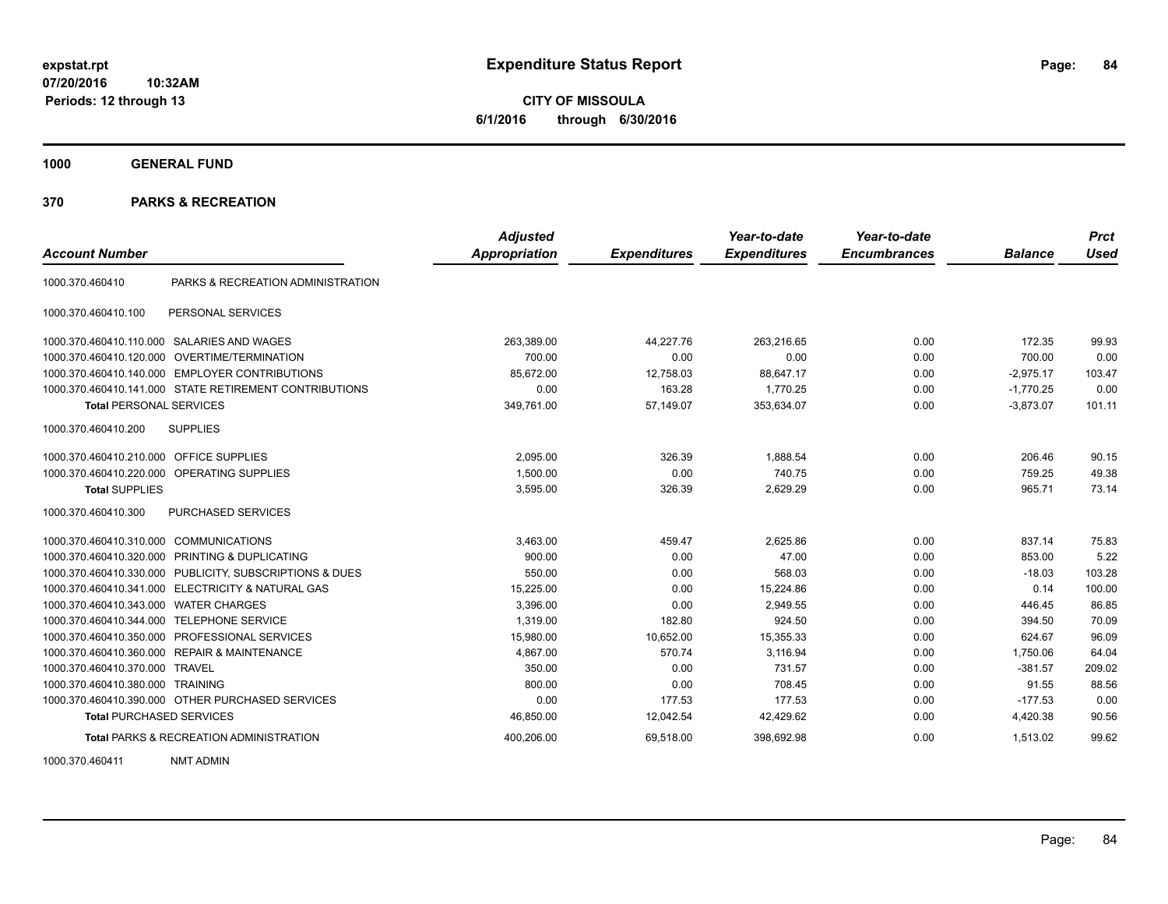**CITY OF MISSOULA 6/1/2016 through 6/30/2016**

**1000 GENERAL FUND**

## **370 PARKS & RECREATION**

|                                         |                                                         | <b>Adjusted</b> |                     | Year-to-date        | Year-to-date        |                | <b>Prct</b> |
|-----------------------------------------|---------------------------------------------------------|-----------------|---------------------|---------------------|---------------------|----------------|-------------|
| <b>Account Number</b>                   |                                                         | Appropriation   | <b>Expenditures</b> | <b>Expenditures</b> | <b>Encumbrances</b> | <b>Balance</b> | <b>Used</b> |
| 1000.370.460410                         | PARKS & RECREATION ADMINISTRATION                       |                 |                     |                     |                     |                |             |
| 1000.370.460410.100                     | PERSONAL SERVICES                                       |                 |                     |                     |                     |                |             |
|                                         | 1000.370.460410.110.000 SALARIES AND WAGES              | 263,389.00      | 44,227.76           | 263,216.65          | 0.00                | 172.35         | 99.93       |
|                                         | 1000.370.460410.120.000 OVERTIME/TERMINATION            | 700.00          | 0.00                | 0.00                | 0.00                | 700.00         | 0.00        |
|                                         | 1000.370.460410.140.000 EMPLOYER CONTRIBUTIONS          | 85,672.00       | 12,758.03           | 88,647.17           | 0.00                | $-2,975.17$    | 103.47      |
|                                         | 1000.370.460410.141.000 STATE RETIREMENT CONTRIBUTIONS  | 0.00            | 163.28              | 1,770.25            | 0.00                | $-1,770.25$    | 0.00        |
| <b>Total PERSONAL SERVICES</b>          |                                                         | 349,761.00      | 57,149.07           | 353,634.07          | 0.00                | $-3,873.07$    | 101.11      |
| 1000.370.460410.200                     | <b>SUPPLIES</b>                                         |                 |                     |                     |                     |                |             |
| 1000.370.460410.210.000 OFFICE SUPPLIES |                                                         | 2,095.00        | 326.39              | 1,888.54            | 0.00                | 206.46         | 90.15       |
|                                         | 1000.370.460410.220.000 OPERATING SUPPLIES              | 1.500.00        | 0.00                | 740.75              | 0.00                | 759.25         | 49.38       |
| <b>Total SUPPLIES</b>                   |                                                         | 3,595.00        | 326.39              | 2,629.29            | 0.00                | 965.71         | 73.14       |
| 1000.370.460410.300                     | <b>PURCHASED SERVICES</b>                               |                 |                     |                     |                     |                |             |
| 1000.370.460410.310.000 COMMUNICATIONS  |                                                         | 3,463.00        | 459.47              | 2,625.86            | 0.00                | 837.14         | 75.83       |
|                                         | 1000.370.460410.320.000 PRINTING & DUPLICATING          | 900.00          | 0.00                | 47.00               | 0.00                | 853.00         | 5.22        |
|                                         | 1000.370.460410.330.000 PUBLICITY, SUBSCRIPTIONS & DUES | 550.00          | 0.00                | 568.03              | 0.00                | $-18.03$       | 103.28      |
|                                         | 1000.370.460410.341.000 ELECTRICITY & NATURAL GAS       | 15,225.00       | 0.00                | 15,224.86           | 0.00                | 0.14           | 100.00      |
| 1000.370.460410.343.000                 | <b>WATER CHARGES</b>                                    | 3.396.00        | 0.00                | 2.949.55            | 0.00                | 446.45         | 86.85       |
| 1000.370.460410.344.000                 | <b>TELEPHONE SERVICE</b>                                | 1.319.00        | 182.80              | 924.50              | 0.00                | 394.50         | 70.09       |
|                                         | 1000.370.460410.350.000 PROFESSIONAL SERVICES           | 15,980.00       | 10,652.00           | 15,355.33           | 0.00                | 624.67         | 96.09       |
|                                         | 1000.370.460410.360.000 REPAIR & MAINTENANCE            | 4,867.00        | 570.74              | 3.116.94            | 0.00                | 1,750.06       | 64.04       |
| 1000.370.460410.370.000 TRAVEL          |                                                         | 350.00          | 0.00                | 731.57              | 0.00                | $-381.57$      | 209.02      |
| 1000.370.460410.380.000 TRAINING        |                                                         | 800.00          | 0.00                | 708.45              | 0.00                | 91.55          | 88.56       |
|                                         | 1000.370.460410.390.000 OTHER PURCHASED SERVICES        | 0.00            | 177.53              | 177.53              | 0.00                | $-177.53$      | 0.00        |
| <b>Total PURCHASED SERVICES</b>         |                                                         | 46,850.00       | 12,042.54           | 42,429.62           | 0.00                | 4,420.38       | 90.56       |
|                                         | <b>Total PARKS &amp; RECREATION ADMINISTRATION</b>      | 400,206.00      | 69,518.00           | 398,692.98          | 0.00                | 1,513.02       | 99.62       |

1000.370.460411 NMT ADMIN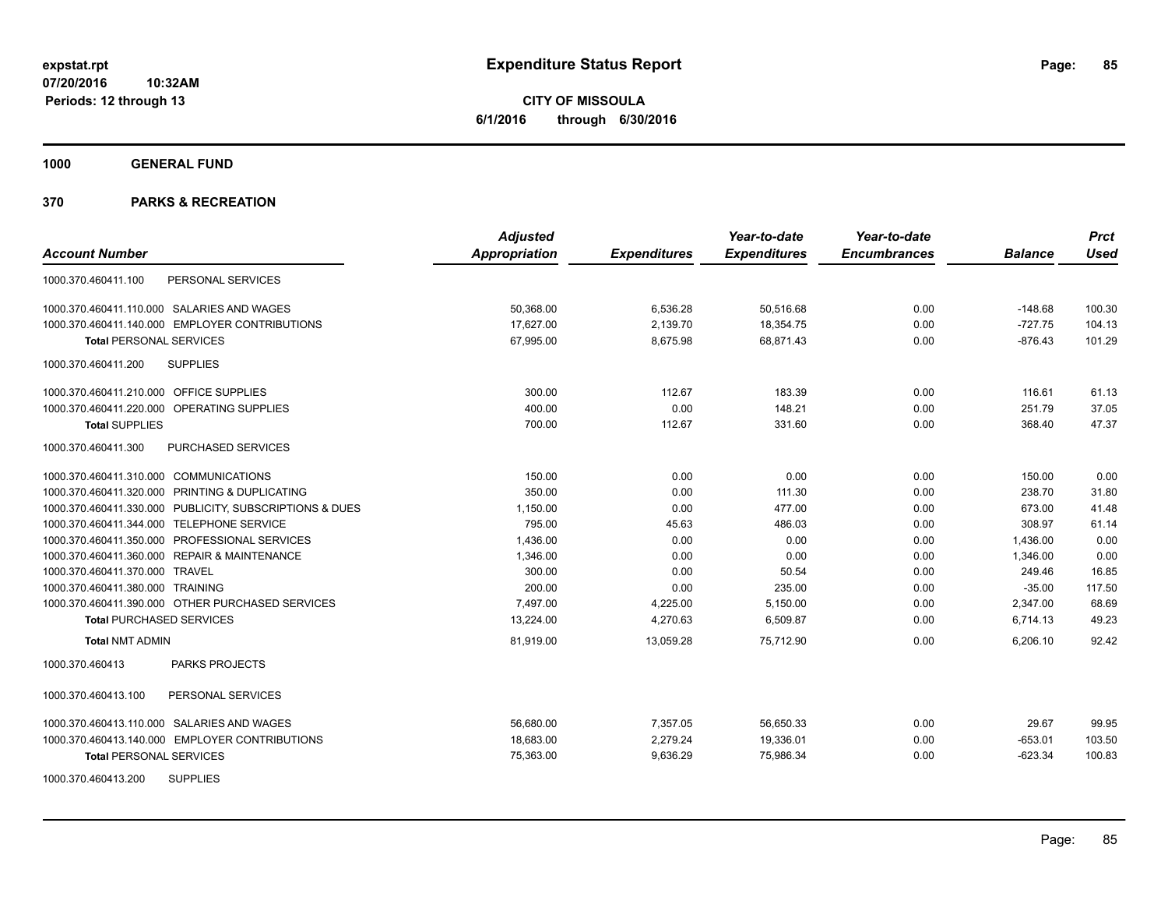**CITY OF MISSOULA 6/1/2016 through 6/30/2016**

**1000 GENERAL FUND**

|                                                         | <b>Adjusted</b>      |                     | Year-to-date        | Year-to-date        |                | <b>Prct</b> |
|---------------------------------------------------------|----------------------|---------------------|---------------------|---------------------|----------------|-------------|
| <b>Account Number</b>                                   | <b>Appropriation</b> | <b>Expenditures</b> | <b>Expenditures</b> | <b>Encumbrances</b> | <b>Balance</b> | Used        |
| 1000.370.460411.100<br>PERSONAL SERVICES                |                      |                     |                     |                     |                |             |
| 1000.370.460411.110.000 SALARIES AND WAGES              | 50,368.00            | 6,536.28            | 50,516.68           | 0.00                | $-148.68$      | 100.30      |
| 1000.370.460411.140.000 EMPLOYER CONTRIBUTIONS          | 17,627.00            | 2,139.70            | 18,354.75           | 0.00                | $-727.75$      | 104.13      |
| <b>Total PERSONAL SERVICES</b>                          | 67,995.00            | 8,675.98            | 68,871.43           | 0.00                | $-876.43$      | 101.29      |
| <b>SUPPLIES</b><br>1000.370.460411.200                  |                      |                     |                     |                     |                |             |
| 1000.370.460411.210.000 OFFICE SUPPLIES                 | 300.00               | 112.67              | 183.39              | 0.00                | 116.61         | 61.13       |
| 1000.370.460411.220.000 OPERATING SUPPLIES              | 400.00               | 0.00                | 148.21              | 0.00                | 251.79         | 37.05       |
| <b>Total SUPPLIES</b>                                   | 700.00               | 112.67              | 331.60              | 0.00                | 368.40         | 47.37       |
| 1000.370.460411.300<br><b>PURCHASED SERVICES</b>        |                      |                     |                     |                     |                |             |
| 1000.370.460411.310.000 COMMUNICATIONS                  | 150.00               | 0.00                | 0.00                | 0.00                | 150.00         | 0.00        |
| 1000.370.460411.320.000 PRINTING & DUPLICATING          | 350.00               | 0.00                | 111.30              | 0.00                | 238.70         | 31.80       |
| 1000.370.460411.330.000 PUBLICITY, SUBSCRIPTIONS & DUES | 1,150.00             | 0.00                | 477.00              | 0.00                | 673.00         | 41.48       |
| 1000.370.460411.344.000 TELEPHONE SERVICE               | 795.00               | 45.63               | 486.03              | 0.00                | 308.97         | 61.14       |
| 1000.370.460411.350.000 PROFESSIONAL SERVICES           | 1,436.00             | 0.00                | 0.00                | 0.00                | 1,436.00       | 0.00        |
| 1000.370.460411.360.000 REPAIR & MAINTENANCE            | 1,346.00             | 0.00                | 0.00                | 0.00                | 1,346.00       | 0.00        |
| 1000.370.460411.370.000 TRAVEL                          | 300.00               | 0.00                | 50.54               | 0.00                | 249.46         | 16.85       |
| 1000.370.460411.380.000 TRAINING                        | 200.00               | 0.00                | 235.00              | 0.00                | $-35.00$       | 117.50      |
| 1000.370.460411.390.000 OTHER PURCHASED SERVICES        | 7.497.00             | 4,225.00            | 5,150.00            | 0.00                | 2,347.00       | 68.69       |
| <b>Total PURCHASED SERVICES</b>                         | 13,224.00            | 4,270.63            | 6,509.87            | 0.00                | 6,714.13       | 49.23       |
| <b>Total NMT ADMIN</b>                                  | 81,919.00            | 13.059.28           | 75.712.90           | 0.00                | 6.206.10       | 92.42       |
| <b>PARKS PROJECTS</b><br>1000.370.460413                |                      |                     |                     |                     |                |             |
| 1000.370.460413.100<br>PERSONAL SERVICES                |                      |                     |                     |                     |                |             |
| 1000.370.460413.110.000 SALARIES AND WAGES              | 56,680.00            | 7,357.05            | 56,650.33           | 0.00                | 29.67          | 99.95       |
| 1000.370.460413.140.000 EMPLOYER CONTRIBUTIONS          | 18,683.00            | 2,279.24            | 19,336.01           | 0.00                | $-653.01$      | 103.50      |
| <b>Total PERSONAL SERVICES</b>                          | 75,363.00            | 9,636.29            | 75,986.34           | 0.00                | $-623.34$      | 100.83      |
| <b>SUPPLIES</b><br>1000.370.460413.200                  |                      |                     |                     |                     |                |             |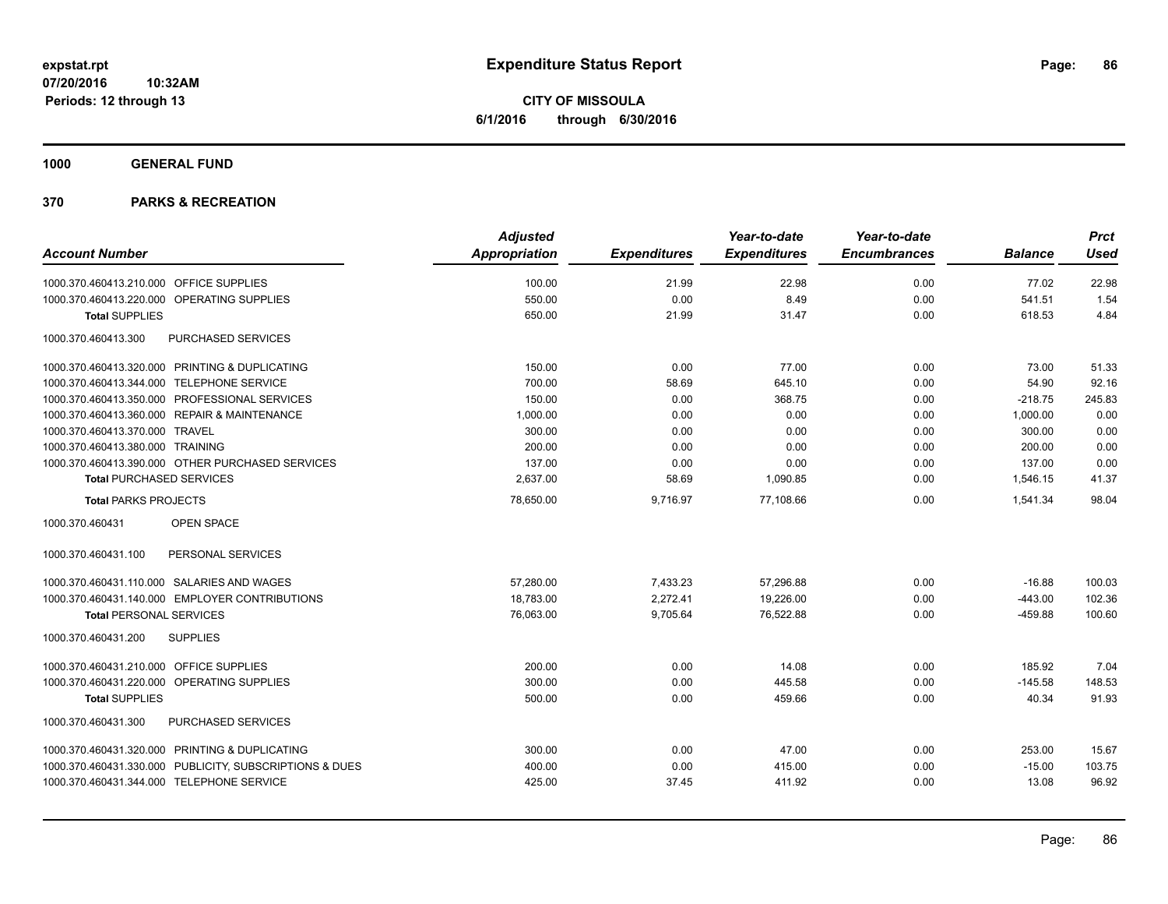**CITY OF MISSOULA 6/1/2016 through 6/30/2016**

**1000 GENERAL FUND**

| <b>Account Number</b>                                   | <b>Adjusted</b><br><b>Appropriation</b> | <b>Expenditures</b> | Year-to-date<br><b>Expenditures</b> | Year-to-date<br><b>Encumbrances</b> | <b>Balance</b> | <b>Prct</b><br><b>Used</b> |
|---------------------------------------------------------|-----------------------------------------|---------------------|-------------------------------------|-------------------------------------|----------------|----------------------------|
| 1000.370.460413.210.000 OFFICE SUPPLIES                 | 100.00                                  | 21.99               | 22.98                               | 0.00                                | 77.02          | 22.98                      |
| 1000.370.460413.220.000 OPERATING SUPPLIES              | 550.00                                  | 0.00                | 8.49                                | 0.00                                | 541.51         | 1.54                       |
| <b>Total SUPPLIES</b>                                   | 650.00                                  | 21.99               | 31.47                               | 0.00                                | 618.53         | 4.84                       |
| <b>PURCHASED SERVICES</b><br>1000.370.460413.300        |                                         |                     |                                     |                                     |                |                            |
| 1000.370.460413.320.000 PRINTING & DUPLICATING          | 150.00                                  | 0.00                | 77.00                               | 0.00                                | 73.00          | 51.33                      |
| <b>TELEPHONE SERVICE</b><br>1000.370.460413.344.000     | 700.00                                  | 58.69               | 645.10                              | 0.00                                | 54.90          | 92.16                      |
| 1000.370.460413.350.000 PROFESSIONAL SERVICES           | 150.00                                  | 0.00                | 368.75                              | 0.00                                | $-218.75$      | 245.83                     |
| 1000.370.460413.360.000 REPAIR & MAINTENANCE            | 1,000.00                                | 0.00                | 0.00                                | 0.00                                | 1,000.00       | 0.00                       |
| 1000.370.460413.370.000 TRAVEL                          | 300.00                                  | 0.00                | 0.00                                | 0.00                                | 300.00         | 0.00                       |
| 1000.370.460413.380.000 TRAINING                        | 200.00                                  | 0.00                | 0.00                                | 0.00                                | 200.00         | 0.00                       |
| 1000.370.460413.390.000 OTHER PURCHASED SERVICES        | 137.00                                  | 0.00                | 0.00                                | 0.00                                | 137.00         | 0.00                       |
| <b>Total PURCHASED SERVICES</b>                         | 2,637.00                                | 58.69               | 1,090.85                            | 0.00                                | 1,546.15       | 41.37                      |
| <b>Total PARKS PROJECTS</b>                             | 78,650.00                               | 9,716.97            | 77,108.66                           | 0.00                                | 1,541.34       | 98.04                      |
| 1000.370.460431<br><b>OPEN SPACE</b>                    |                                         |                     |                                     |                                     |                |                            |
| 1000.370.460431.100<br>PERSONAL SERVICES                |                                         |                     |                                     |                                     |                |                            |
| 1000.370.460431.110.000 SALARIES AND WAGES              | 57,280.00                               | 7,433.23            | 57,296.88                           | 0.00                                | $-16.88$       | 100.03                     |
| 1000.370.460431.140.000 EMPLOYER CONTRIBUTIONS          | 18,783.00                               | 2,272.41            | 19,226.00                           | 0.00                                | $-443.00$      | 102.36                     |
| <b>Total PERSONAL SERVICES</b>                          | 76,063.00                               | 9,705.64            | 76,522.88                           | 0.00                                | $-459.88$      | 100.60                     |
| <b>SUPPLIES</b><br>1000.370.460431.200                  |                                         |                     |                                     |                                     |                |                            |
| 1000.370.460431.210.000 OFFICE SUPPLIES                 | 200.00                                  | 0.00                | 14.08                               | 0.00                                | 185.92         | 7.04                       |
| 1000.370.460431.220.000 OPERATING SUPPLIES              | 300.00                                  | 0.00                | 445.58                              | 0.00                                | $-145.58$      | 148.53                     |
| <b>Total SUPPLIES</b>                                   | 500.00                                  | 0.00                | 459.66                              | 0.00                                | 40.34          | 91.93                      |
| 1000.370.460431.300<br>PURCHASED SERVICES               |                                         |                     |                                     |                                     |                |                            |
| 1000.370.460431.320.000 PRINTING & DUPLICATING          | 300.00                                  | 0.00                | 47.00                               | 0.00                                | 253.00         | 15.67                      |
| 1000.370.460431.330.000 PUBLICITY, SUBSCRIPTIONS & DUES | 400.00                                  | 0.00                | 415.00                              | 0.00                                | $-15.00$       | 103.75                     |
| 1000.370.460431.344.000 TELEPHONE SERVICE               | 425.00                                  | 37.45               | 411.92                              | 0.00                                | 13.08          | 96.92                      |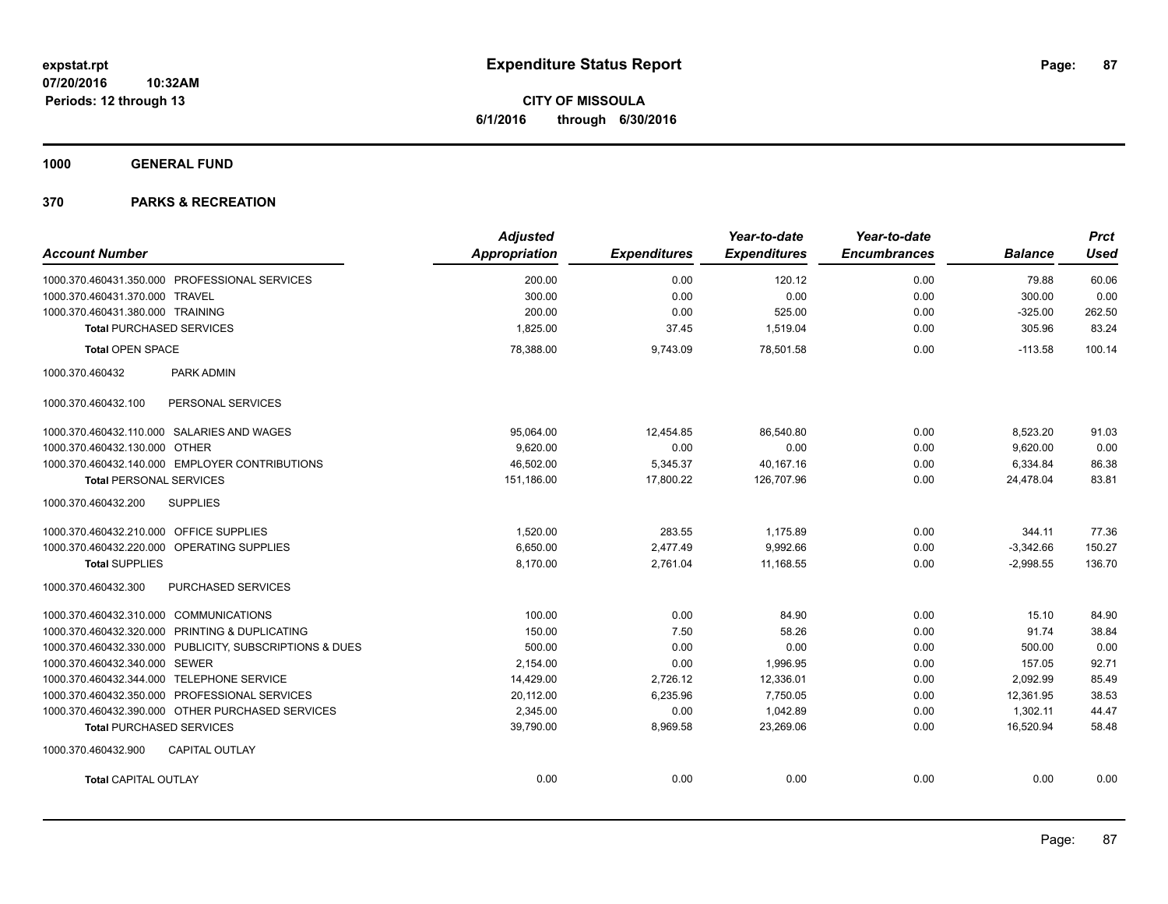**1000 GENERAL FUND**

|                                                         | <b>Adjusted</b> |                     | Year-to-date        | Year-to-date        |                | <b>Prct</b> |
|---------------------------------------------------------|-----------------|---------------------|---------------------|---------------------|----------------|-------------|
| <b>Account Number</b>                                   | Appropriation   | <b>Expenditures</b> | <b>Expenditures</b> | <b>Encumbrances</b> | <b>Balance</b> | <b>Used</b> |
| 1000.370.460431.350.000 PROFESSIONAL SERVICES           | 200.00          | 0.00                | 120.12              | 0.00                | 79.88          | 60.06       |
| 1000.370.460431.370.000 TRAVEL                          | 300.00          | 0.00                | 0.00                | 0.00                | 300.00         | 0.00        |
| 1000.370.460431.380.000 TRAINING                        | 200.00          | 0.00                | 525.00              | 0.00                | $-325.00$      | 262.50      |
| <b>Total PURCHASED SERVICES</b>                         | 1,825.00        | 37.45               | 1,519.04            | 0.00                | 305.96         | 83.24       |
| <b>Total OPEN SPACE</b>                                 | 78,388.00       | 9,743.09            | 78,501.58           | 0.00                | $-113.58$      | 100.14      |
| PARK ADMIN<br>1000.370.460432                           |                 |                     |                     |                     |                |             |
| PERSONAL SERVICES<br>1000.370.460432.100                |                 |                     |                     |                     |                |             |
| 1000.370.460432.110.000 SALARIES AND WAGES              | 95,064.00       | 12,454.85           | 86,540.80           | 0.00                | 8,523.20       | 91.03       |
| 1000.370.460432.130.000 OTHER                           | 9,620.00        | 0.00                | 0.00                | 0.00                | 9,620.00       | 0.00        |
| 1000.370.460432.140.000 EMPLOYER CONTRIBUTIONS          | 46,502.00       | 5,345.37            | 40.167.16           | 0.00                | 6,334.84       | 86.38       |
| <b>Total PERSONAL SERVICES</b>                          | 151,186.00      | 17,800.22           | 126,707.96          | 0.00                | 24,478.04      | 83.81       |
| <b>SUPPLIES</b><br>1000.370.460432.200                  |                 |                     |                     |                     |                |             |
| 1000.370.460432.210.000 OFFICE SUPPLIES                 | 1,520.00        | 283.55              | 1,175.89            | 0.00                | 344.11         | 77.36       |
| 1000.370.460432.220.000<br>OPERATING SUPPLIES           | 6,650.00        | 2,477.49            | 9,992.66            | 0.00                | $-3,342.66$    | 150.27      |
| <b>Total SUPPLIES</b>                                   | 8,170.00        | 2,761.04            | 11,168.55           | 0.00                | $-2,998.55$    | 136.70      |
| 1000.370.460432.300<br><b>PURCHASED SERVICES</b>        |                 |                     |                     |                     |                |             |
| 1000.370.460432.310.000 COMMUNICATIONS                  | 100.00          | 0.00                | 84.90               | 0.00                | 15.10          | 84.90       |
| 1000.370.460432.320.000 PRINTING & DUPLICATING          | 150.00          | 7.50                | 58.26               | 0.00                | 91.74          | 38.84       |
| 1000.370.460432.330.000 PUBLICITY, SUBSCRIPTIONS & DUES | 500.00          | 0.00                | 0.00                | 0.00                | 500.00         | 0.00        |
| 1000.370.460432.340.000 SEWER                           | 2,154.00        | 0.00                | 1,996.95            | 0.00                | 157.05         | 92.71       |
| 1000.370.460432.344.000 TELEPHONE SERVICE               | 14,429.00       | 2,726.12            | 12,336.01           | 0.00                | 2,092.99       | 85.49       |
| 1000.370.460432.350.000 PROFESSIONAL SERVICES           | 20,112.00       | 6,235.96            | 7,750.05            | 0.00                | 12,361.95      | 38.53       |
| 1000.370.460432.390.000 OTHER PURCHASED SERVICES        | 2.345.00        | 0.00                | 1.042.89            | 0.00                | 1.302.11       | 44.47       |
| <b>Total PURCHASED SERVICES</b>                         | 39,790.00       | 8,969.58            | 23,269.06           | 0.00                | 16,520.94      | 58.48       |
| 1000.370.460432.900<br><b>CAPITAL OUTLAY</b>            |                 |                     |                     |                     |                |             |
| <b>Total CAPITAL OUTLAY</b>                             | 0.00            | 0.00                | 0.00                | 0.00                | 0.00           | 0.00        |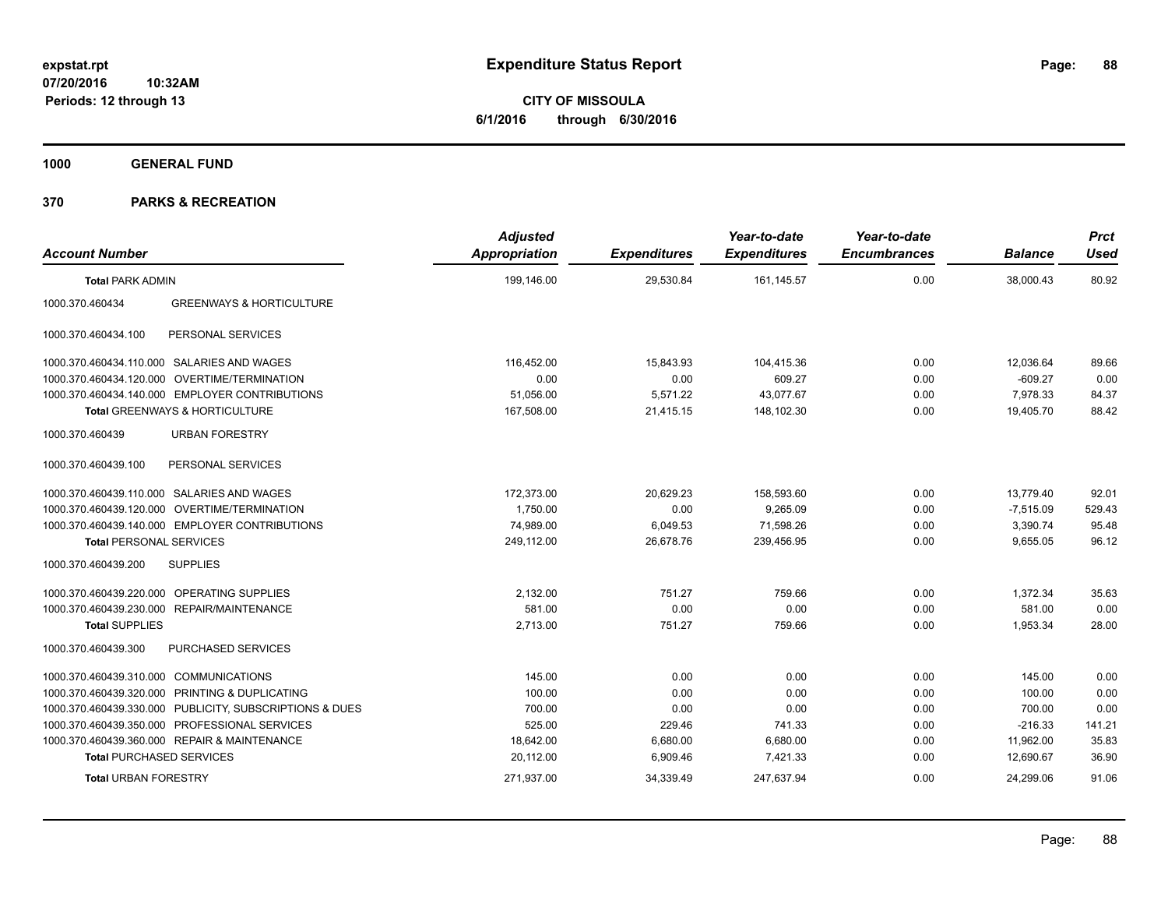**CITY OF MISSOULA 6/1/2016 through 6/30/2016**

**1000 GENERAL FUND**

| <b>Account Number</b>                  |                                                         | <b>Adjusted</b><br><b>Appropriation</b> | <b>Expenditures</b> | Year-to-date<br><b>Expenditures</b> | Year-to-date<br><b>Encumbrances</b> | <b>Balance</b> | <b>Prct</b><br><b>Used</b> |
|----------------------------------------|---------------------------------------------------------|-----------------------------------------|---------------------|-------------------------------------|-------------------------------------|----------------|----------------------------|
| <b>Total PARK ADMIN</b>                |                                                         | 199.146.00                              | 29,530.84           | 161,145.57                          | 0.00                                | 38,000.43      | 80.92                      |
| 1000.370.460434                        | <b>GREENWAYS &amp; HORTICULTURE</b>                     |                                         |                     |                                     |                                     |                |                            |
| 1000.370.460434.100                    | PERSONAL SERVICES                                       |                                         |                     |                                     |                                     |                |                            |
|                                        | 1000.370.460434.110.000 SALARIES AND WAGES              | 116,452.00                              | 15,843.93           | 104,415.36                          | 0.00                                | 12,036.64      | 89.66                      |
|                                        | 1000.370.460434.120.000 OVERTIME/TERMINATION            | 0.00                                    | 0.00                | 609.27                              | 0.00                                | $-609.27$      | 0.00                       |
|                                        | 1000.370.460434.140.000 EMPLOYER CONTRIBUTIONS          | 51,056.00                               | 5,571.22            | 43,077.67                           | 0.00                                | 7,978.33       | 84.37                      |
|                                        | Total GREENWAYS & HORTICULTURE                          | 167,508.00                              | 21,415.15           | 148,102.30                          | 0.00                                | 19,405.70      | 88.42                      |
| 1000.370.460439                        | <b>URBAN FORESTRY</b>                                   |                                         |                     |                                     |                                     |                |                            |
| 1000.370.460439.100                    | PERSONAL SERVICES                                       |                                         |                     |                                     |                                     |                |                            |
|                                        | 1000.370.460439.110.000 SALARIES AND WAGES              | 172,373.00                              | 20,629.23           | 158,593.60                          | 0.00                                | 13,779.40      | 92.01                      |
|                                        | 1000.370.460439.120.000 OVERTIME/TERMINATION            | 1,750.00                                | 0.00                | 9,265.09                            | 0.00                                | $-7,515.09$    | 529.43                     |
|                                        | 1000.370.460439.140.000 EMPLOYER CONTRIBUTIONS          | 74,989.00                               | 6,049.53            | 71,598.26                           | 0.00                                | 3,390.74       | 95.48                      |
| <b>Total PERSONAL SERVICES</b>         |                                                         | 249.112.00                              | 26,678.76           | 239.456.95                          | 0.00                                | 9.655.05       | 96.12                      |
| 1000.370.460439.200                    | <b>SUPPLIES</b>                                         |                                         |                     |                                     |                                     |                |                            |
|                                        | 1000.370.460439.220.000 OPERATING SUPPLIES              | 2,132.00                                | 751.27              | 759.66                              | 0.00                                | 1,372.34       | 35.63                      |
|                                        | 1000.370.460439.230.000 REPAIR/MAINTENANCE              | 581.00                                  | 0.00                | 0.00                                | 0.00                                | 581.00         | 0.00                       |
| <b>Total SUPPLIES</b>                  |                                                         | 2,713.00                                | 751.27              | 759.66                              | 0.00                                | 1,953.34       | 28.00                      |
| 1000.370.460439.300                    | PURCHASED SERVICES                                      |                                         |                     |                                     |                                     |                |                            |
| 1000.370.460439.310.000 COMMUNICATIONS |                                                         | 145.00                                  | 0.00                | 0.00                                | 0.00                                | 145.00         | 0.00                       |
|                                        | 1000.370.460439.320.000 PRINTING & DUPLICATING          | 100.00                                  | 0.00                | 0.00                                | 0.00                                | 100.00         | 0.00                       |
|                                        | 1000.370.460439.330.000 PUBLICITY, SUBSCRIPTIONS & DUES | 700.00                                  | 0.00                | 0.00                                | 0.00                                | 700.00         | 0.00                       |
|                                        | 1000.370.460439.350.000 PROFESSIONAL SERVICES           | 525.00                                  | 229.46              | 741.33                              | 0.00                                | $-216.33$      | 141.21                     |
|                                        | 1000.370.460439.360.000 REPAIR & MAINTENANCE            | 18,642.00                               | 6,680.00            | 6,680.00                            | 0.00                                | 11,962.00      | 35.83                      |
| <b>Total PURCHASED SERVICES</b>        |                                                         | 20,112.00                               | 6,909.46            | 7,421.33                            | 0.00                                | 12,690.67      | 36.90                      |
| <b>Total URBAN FORESTRY</b>            |                                                         | 271,937.00                              | 34,339.49           | 247,637.94                          | 0.00                                | 24,299.06      | 91.06                      |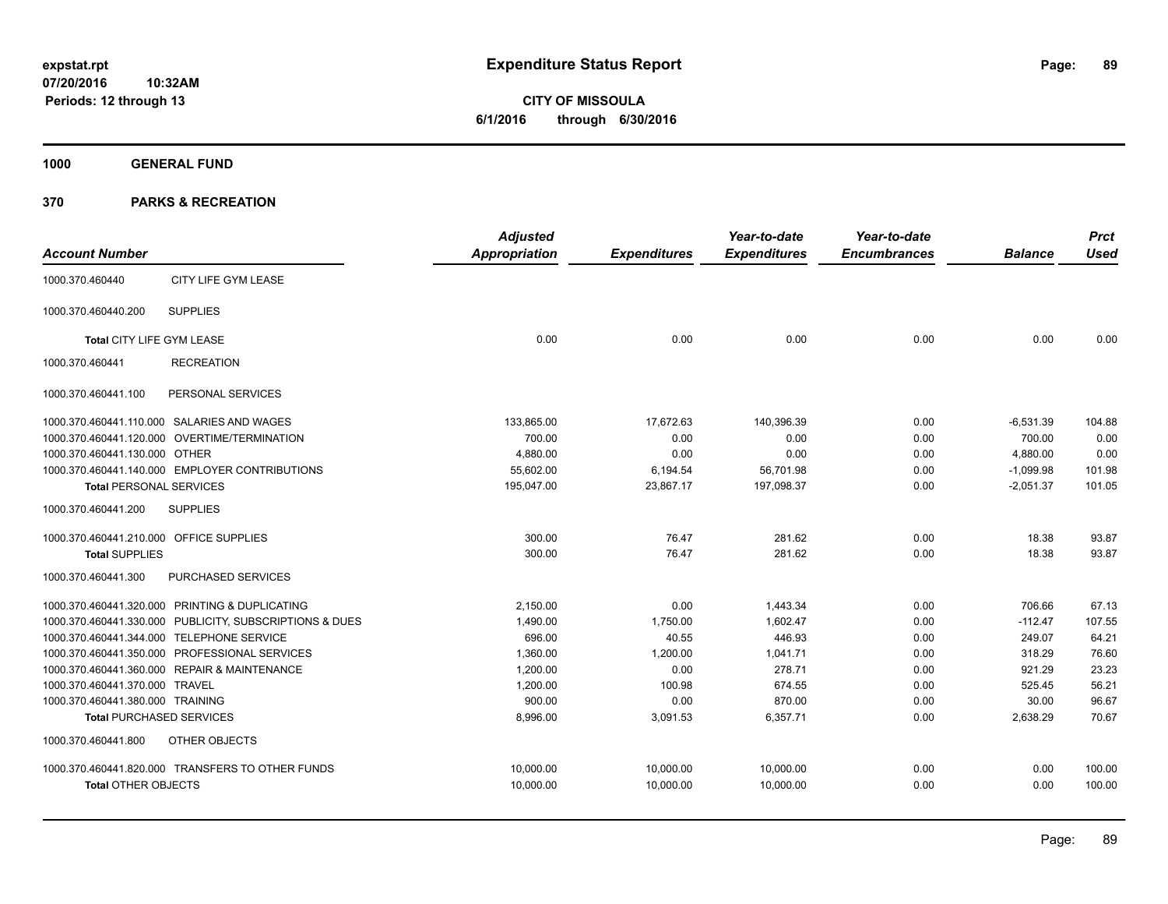**1000 GENERAL FUND**

|                                         |                                                         | <b>Adjusted</b>      |                     | Year-to-date        | Year-to-date        |                | <b>Prct</b> |
|-----------------------------------------|---------------------------------------------------------|----------------------|---------------------|---------------------|---------------------|----------------|-------------|
| <b>Account Number</b>                   |                                                         | <b>Appropriation</b> | <b>Expenditures</b> | <b>Expenditures</b> | <b>Encumbrances</b> | <b>Balance</b> | <b>Used</b> |
| 1000.370.460440                         | CITY LIFE GYM LEASE                                     |                      |                     |                     |                     |                |             |
| 1000.370.460440.200                     | <b>SUPPLIES</b>                                         |                      |                     |                     |                     |                |             |
| Total CITY LIFE GYM LEASE               |                                                         | 0.00                 | 0.00                | 0.00                | 0.00                | 0.00           | 0.00        |
| 1000.370.460441                         | <b>RECREATION</b>                                       |                      |                     |                     |                     |                |             |
| 1000.370.460441.100                     | PERSONAL SERVICES                                       |                      |                     |                     |                     |                |             |
|                                         | 1000.370.460441.110.000 SALARIES AND WAGES              | 133,865.00           | 17,672.63           | 140,396.39          | 0.00                | $-6,531.39$    | 104.88      |
|                                         | 1000.370.460441.120.000 OVERTIME/TERMINATION            | 700.00               | 0.00                | 0.00                | 0.00                | 700.00         | 0.00        |
| 1000.370.460441.130.000 OTHER           |                                                         | 4,880.00             | 0.00                | 0.00                | 0.00                | 4,880.00       | 0.00        |
|                                         | 1000.370.460441.140.000 EMPLOYER CONTRIBUTIONS          | 55.602.00            | 6,194.54            | 56,701.98           | 0.00                | $-1.099.98$    | 101.98      |
| <b>Total PERSONAL SERVICES</b>          |                                                         | 195,047.00           | 23,867.17           | 197,098.37          | 0.00                | $-2,051.37$    | 101.05      |
| 1000.370.460441.200                     | <b>SUPPLIES</b>                                         |                      |                     |                     |                     |                |             |
| 1000.370.460441.210.000 OFFICE SUPPLIES |                                                         | 300.00               | 76.47               | 281.62              | 0.00                | 18.38          | 93.87       |
| <b>Total SUPPLIES</b>                   |                                                         | 300.00               | 76.47               | 281.62              | 0.00                | 18.38          | 93.87       |
| 1000.370.460441.300                     | PURCHASED SERVICES                                      |                      |                     |                     |                     |                |             |
|                                         | 1000.370.460441.320.000 PRINTING & DUPLICATING          | 2,150.00             | 0.00                | 1,443.34            | 0.00                | 706.66         | 67.13       |
|                                         | 1000.370.460441.330.000 PUBLICITY, SUBSCRIPTIONS & DUES | 1,490.00             | 1,750.00            | 1,602.47            | 0.00                | $-112.47$      | 107.55      |
|                                         | 1000.370.460441.344.000 TELEPHONE SERVICE               | 696.00               | 40.55               | 446.93              | 0.00                | 249.07         | 64.21       |
|                                         | 1000.370.460441.350.000 PROFESSIONAL SERVICES           | 1,360.00             | 1,200.00            | 1,041.71            | 0.00                | 318.29         | 76.60       |
|                                         | 1000.370.460441.360.000 REPAIR & MAINTENANCE            | 1.200.00             | 0.00                | 278.71              | 0.00                | 921.29         | 23.23       |
| 1000.370.460441.370.000 TRAVEL          |                                                         | 1,200.00             | 100.98              | 674.55              | 0.00                | 525.45         | 56.21       |
| 1000.370.460441.380.000 TRAINING        |                                                         | 900.00               | 0.00                | 870.00              | 0.00                | 30.00          | 96.67       |
| <b>Total PURCHASED SERVICES</b>         |                                                         | 8,996.00             | 3,091.53            | 6,357.71            | 0.00                | 2,638.29       | 70.67       |
| 1000.370.460441.800                     | OTHER OBJECTS                                           |                      |                     |                     |                     |                |             |
|                                         | 1000.370.460441.820.000 TRANSFERS TO OTHER FUNDS        | 10,000.00            | 10,000.00           | 10,000.00           | 0.00                | 0.00           | 100.00      |
| <b>Total OTHER OBJECTS</b>              |                                                         | 10,000.00            | 10,000.00           | 10,000.00           | 0.00                | 0.00           | 100.00      |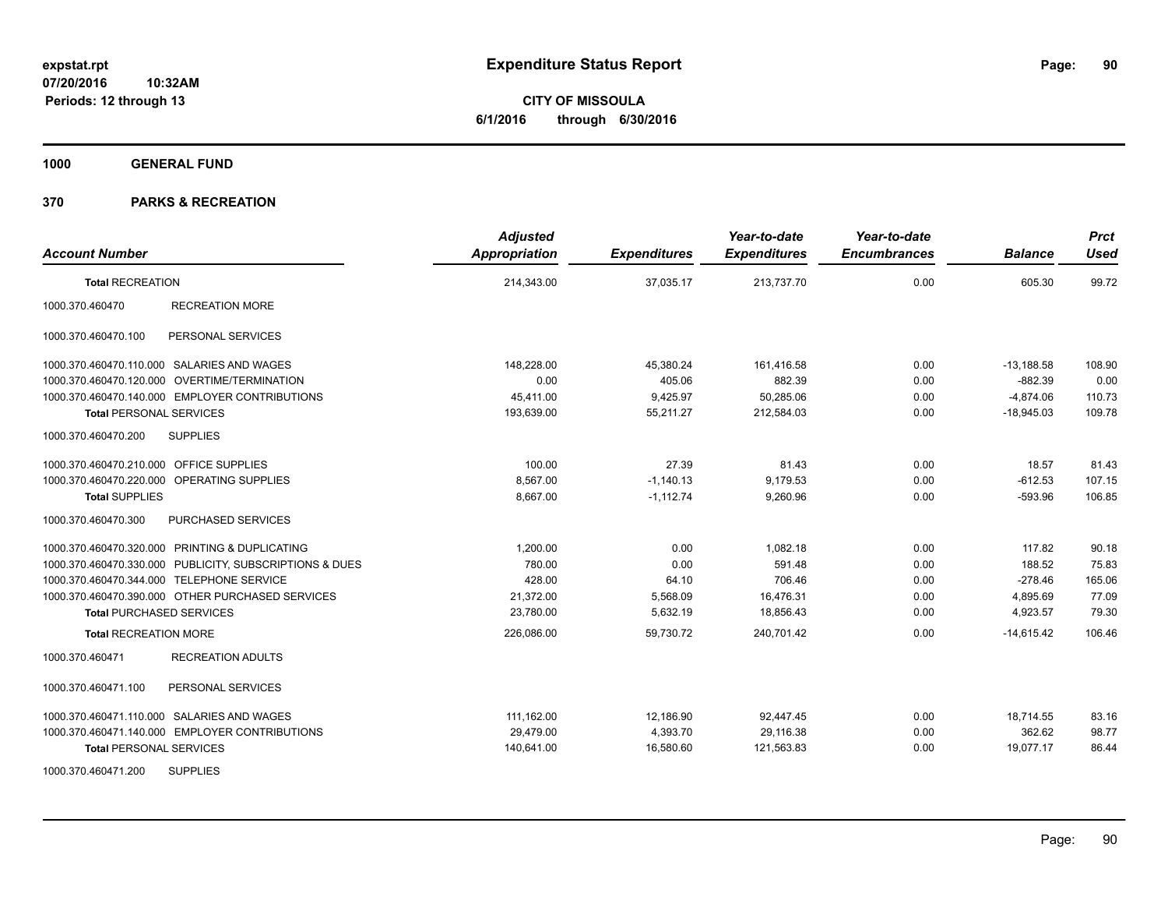**CITY OF MISSOULA 6/1/2016 through 6/30/2016**

**1000 GENERAL FUND**

| <b>Account Number</b>                                   | <b>Adjusted</b><br><b>Appropriation</b> | <b>Expenditures</b> | Year-to-date<br><b>Expenditures</b> | Year-to-date<br><b>Encumbrances</b> | <b>Balance</b> | <b>Prct</b><br><b>Used</b> |
|---------------------------------------------------------|-----------------------------------------|---------------------|-------------------------------------|-------------------------------------|----------------|----------------------------|
| <b>Total RECREATION</b>                                 | 214,343.00                              | 37,035.17           | 213,737.70                          | 0.00                                | 605.30         | 99.72                      |
| 1000.370.460470<br><b>RECREATION MORE</b>               |                                         |                     |                                     |                                     |                |                            |
| 1000.370.460470.100<br>PERSONAL SERVICES                |                                         |                     |                                     |                                     |                |                            |
| 1000.370.460470.110.000 SALARIES AND WAGES              | 148,228.00                              | 45,380.24           | 161,416.58                          | 0.00                                | $-13,188.58$   | 108.90                     |
| 1000.370.460470.120.000 OVERTIME/TERMINATION            | 0.00                                    | 405.06              | 882.39                              | 0.00                                | $-882.39$      | 0.00                       |
| 1000.370.460470.140.000 EMPLOYER CONTRIBUTIONS          | 45,411.00                               | 9,425.97            | 50,285.06                           | 0.00                                | $-4,874.06$    | 110.73                     |
| <b>Total PERSONAL SERVICES</b>                          | 193,639.00                              | 55,211.27           | 212,584.03                          | 0.00                                | $-18,945.03$   | 109.78                     |
| <b>SUPPLIES</b><br>1000.370.460470.200                  |                                         |                     |                                     |                                     |                |                            |
| 1000.370.460470.210.000 OFFICE SUPPLIES                 | 100.00                                  | 27.39               | 81.43                               | 0.00                                | 18.57          | 81.43                      |
| 1000.370.460470.220.000 OPERATING SUPPLIES              | 8,567.00                                | $-1,140.13$         | 9.179.53                            | 0.00                                | $-612.53$      | 107.15                     |
| <b>Total SUPPLIES</b>                                   | 8.667.00                                | $-1,112.74$         | 9,260.96                            | 0.00                                | $-593.96$      | 106.85                     |
| 1000.370.460470.300<br>PURCHASED SERVICES               |                                         |                     |                                     |                                     |                |                            |
| 1000.370.460470.320.000 PRINTING & DUPLICATING          | 1.200.00                                | 0.00                | 1.082.18                            | 0.00                                | 117.82         | 90.18                      |
| 1000.370.460470.330.000 PUBLICITY, SUBSCRIPTIONS & DUES | 780.00                                  | 0.00                | 591.48                              | 0.00                                | 188.52         | 75.83                      |
| 1000.370.460470.344.000 TELEPHONE SERVICE               | 428.00                                  | 64.10               | 706.46                              | 0.00                                | $-278.46$      | 165.06                     |
| 1000.370.460470.390.000 OTHER PURCHASED SERVICES        | 21,372.00                               | 5,568.09            | 16,476.31                           | 0.00                                | 4,895.69       | 77.09                      |
| <b>Total PURCHASED SERVICES</b>                         | 23,780.00                               | 5,632.19            | 18,856.43                           | 0.00                                | 4,923.57       | 79.30                      |
| <b>Total RECREATION MORE</b>                            | 226,086.00                              | 59,730.72           | 240,701.42                          | 0.00                                | $-14,615.42$   | 106.46                     |
| 1000.370.460471<br><b>RECREATION ADULTS</b>             |                                         |                     |                                     |                                     |                |                            |
| PERSONAL SERVICES<br>1000.370.460471.100                |                                         |                     |                                     |                                     |                |                            |
| 1000.370.460471.110.000 SALARIES AND WAGES              | 111,162.00                              | 12,186.90           | 92,447.45                           | 0.00                                | 18,714.55      | 83.16                      |
| 1000.370.460471.140.000 EMPLOYER CONTRIBUTIONS          | 29,479.00                               | 4,393.70            | 29,116.38                           | 0.00                                | 362.62         | 98.77                      |
| <b>Total PERSONAL SERVICES</b>                          | 140,641.00                              | 16,580.60           | 121,563.83                          | 0.00                                | 19,077.17      | 86.44                      |
| <b>SUPPLIES</b><br>1000.370.460471.200                  |                                         |                     |                                     |                                     |                |                            |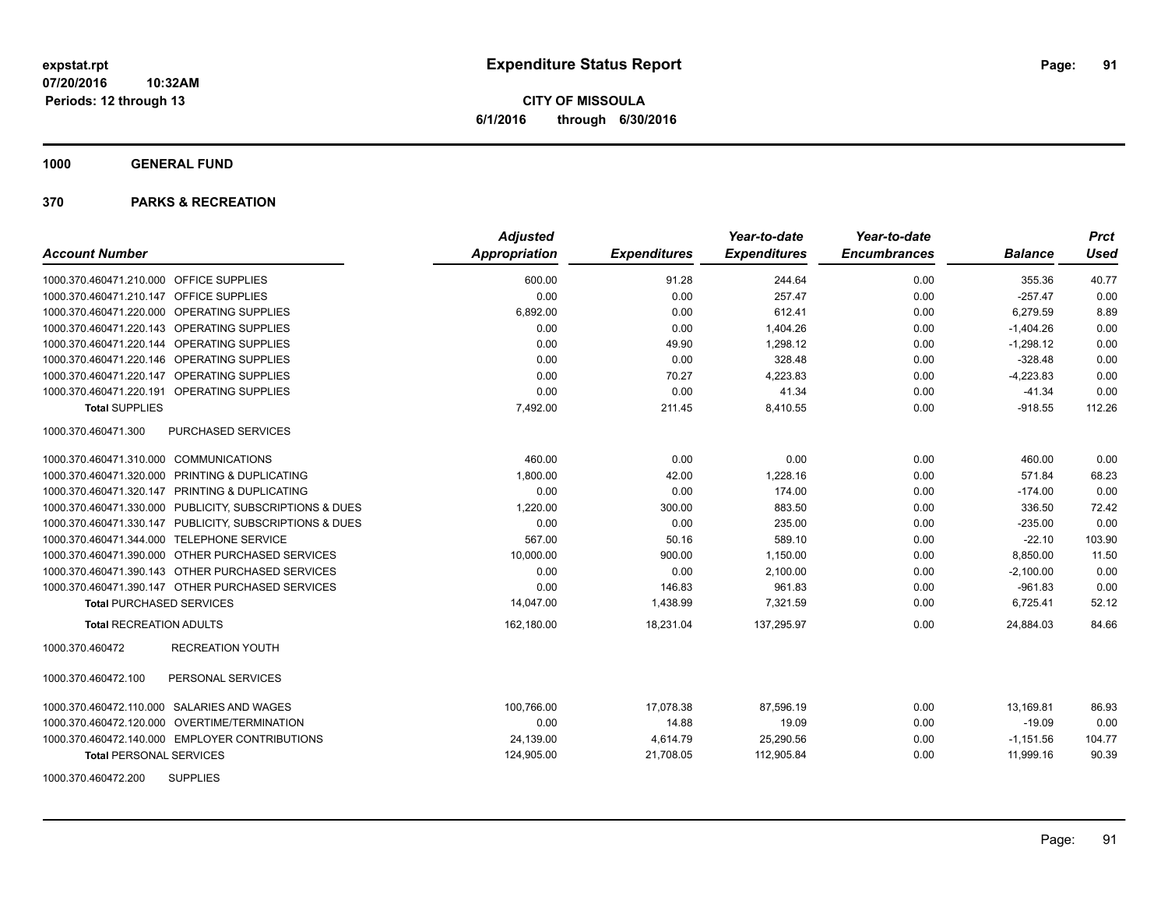**CITY OF MISSOULA 6/1/2016 through 6/30/2016**

**1000 GENERAL FUND**

| <b>Account Number</b>                                   | <b>Adjusted</b><br><b>Appropriation</b> | <b>Expenditures</b> | Year-to-date<br><b>Expenditures</b> | Year-to-date<br><b>Encumbrances</b> | <b>Balance</b> | <b>Prct</b><br><b>Used</b> |
|---------------------------------------------------------|-----------------------------------------|---------------------|-------------------------------------|-------------------------------------|----------------|----------------------------|
| 1000.370.460471.210.000 OFFICE SUPPLIES                 | 600.00                                  | 91.28               | 244.64                              | 0.00                                | 355.36         | 40.77                      |
| 1000.370.460471.210.147 OFFICE SUPPLIES                 | 0.00                                    | 0.00                | 257.47                              | 0.00                                | $-257.47$      | 0.00                       |
| 1000.370.460471.220.000 OPERATING SUPPLIES              | 6,892.00                                | 0.00                | 612.41                              | 0.00                                | 6,279.59       | 8.89                       |
| 1000.370.460471.220.143 OPERATING SUPPLIES              | 0.00                                    | 0.00                | 1,404.26                            | 0.00                                | $-1,404.26$    | 0.00                       |
| 1000.370.460471.220.144 OPERATING SUPPLIES              | 0.00                                    | 49.90               | 1,298.12                            | 0.00                                | $-1,298.12$    | 0.00                       |
| 1000.370.460471.220.146 OPERATING SUPPLIES              | 0.00                                    | 0.00                | 328.48                              | 0.00                                | $-328.48$      | 0.00                       |
| 1000.370.460471.220.147 OPERATING SUPPLIES              | 0.00                                    | 70.27               | 4,223.83                            | 0.00                                | $-4,223.83$    | 0.00                       |
| 1000.370.460471.220.191 OPERATING SUPPLIES              | 0.00                                    | 0.00                | 41.34                               | 0.00                                | $-41.34$       | 0.00                       |
| <b>Total SUPPLIES</b>                                   | 7,492.00                                | 211.45              | 8,410.55                            | 0.00                                | $-918.55$      | 112.26                     |
| 1000.370.460471.300<br><b>PURCHASED SERVICES</b>        |                                         |                     |                                     |                                     |                |                            |
| 1000.370.460471.310.000 COMMUNICATIONS                  | 460.00                                  | 0.00                | 0.00                                | 0.00                                | 460.00         | 0.00                       |
| 1000.370.460471.320.000 PRINTING & DUPLICATING          | 1,800.00                                | 42.00               | 1,228.16                            | 0.00                                | 571.84         | 68.23                      |
| 1000.370.460471.320.147 PRINTING & DUPLICATING          | 0.00                                    | 0.00                | 174.00                              | 0.00                                | $-174.00$      | 0.00                       |
| 1000.370.460471.330.000 PUBLICITY, SUBSCRIPTIONS & DUES | 1,220.00                                | 300.00              | 883.50                              | 0.00                                | 336.50         | 72.42                      |
| 1000.370.460471.330.147 PUBLICITY, SUBSCRIPTIONS & DUES | 0.00                                    | 0.00                | 235.00                              | 0.00                                | $-235.00$      | 0.00                       |
| 1000.370.460471.344.000 TELEPHONE SERVICE               | 567.00                                  | 50.16               | 589.10                              | 0.00                                | $-22.10$       | 103.90                     |
| 1000.370.460471.390.000 OTHER PURCHASED SERVICES        | 10,000.00                               | 900.00              | 1,150.00                            | 0.00                                | 8,850.00       | 11.50                      |
| 1000.370.460471.390.143 OTHER PURCHASED SERVICES        | 0.00                                    | 0.00                | 2,100.00                            | 0.00                                | $-2,100.00$    | 0.00                       |
| 1000.370.460471.390.147 OTHER PURCHASED SERVICES        | 0.00                                    | 146.83              | 961.83                              | 0.00                                | $-961.83$      | 0.00                       |
| <b>Total PURCHASED SERVICES</b>                         | 14,047.00                               | 1,438.99            | 7,321.59                            | 0.00                                | 6,725.41       | 52.12                      |
| <b>Total RECREATION ADULTS</b>                          | 162,180.00                              | 18,231.04           | 137,295.97                          | 0.00                                | 24,884.03      | 84.66                      |
| 1000.370.460472<br><b>RECREATION YOUTH</b>              |                                         |                     |                                     |                                     |                |                            |
| 1000.370.460472.100<br>PERSONAL SERVICES                |                                         |                     |                                     |                                     |                |                            |
| 1000.370.460472.110.000 SALARIES AND WAGES              | 100,766.00                              | 17,078.38           | 87,596.19                           | 0.00                                | 13,169.81      | 86.93                      |
| 1000.370.460472.120.000 OVERTIME/TERMINATION            | 0.00                                    | 14.88               | 19.09                               | 0.00                                | $-19.09$       | 0.00                       |
| 1000.370.460472.140.000 EMPLOYER CONTRIBUTIONS          | 24,139.00                               | 4,614.79            | 25,290.56                           | 0.00                                | $-1,151.56$    | 104.77                     |
| <b>Total PERSONAL SERVICES</b>                          | 124,905.00                              | 21,708.05           | 112,905.84                          | 0.00                                | 11,999.16      | 90.39                      |
| <b>SUPPLIES</b><br>1000.370.460472.200                  |                                         |                     |                                     |                                     |                |                            |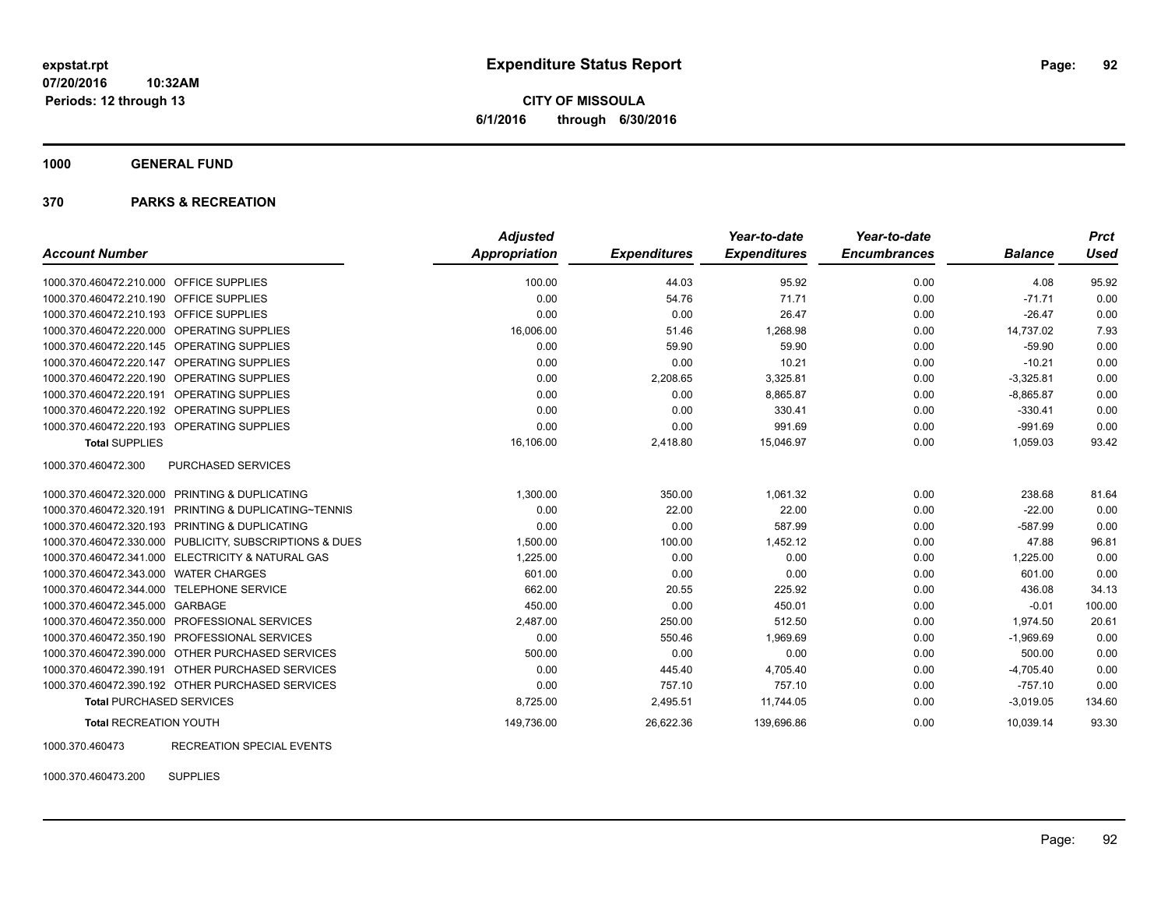**CITY OF MISSOULA 6/1/2016 through 6/30/2016**

**1000 GENERAL FUND**

#### **370 PARKS & RECREATION**

|                                            |                                                         | <b>Adjusted</b>      |                     | Year-to-date        | Year-to-date        |                | <b>Prct</b> |
|--------------------------------------------|---------------------------------------------------------|----------------------|---------------------|---------------------|---------------------|----------------|-------------|
| <b>Account Number</b>                      |                                                         | <b>Appropriation</b> | <b>Expenditures</b> | <b>Expenditures</b> | <b>Encumbrances</b> | <b>Balance</b> | <b>Used</b> |
| 1000.370.460472.210.000 OFFICE SUPPLIES    |                                                         | 100.00               | 44.03               | 95.92               | 0.00                | 4.08           | 95.92       |
| 1000.370.460472.210.190 OFFICE SUPPLIES    |                                                         | 0.00                 | 54.76               | 71.71               | 0.00                | $-71.71$       | 0.00        |
| 1000.370.460472.210.193                    | <b>OFFICE SUPPLIES</b>                                  | 0.00                 | 0.00                | 26.47               | 0.00                | $-26.47$       | 0.00        |
| 1000.370.460472.220.000 OPERATING SUPPLIES |                                                         | 16,006.00            | 51.46               | 1,268.98            | 0.00                | 14,737.02      | 7.93        |
| 1000.370.460472.220.145 OPERATING SUPPLIES |                                                         | 0.00                 | 59.90               | 59.90               | 0.00                | $-59.90$       | 0.00        |
| 1000.370.460472.220.147                    | OPERATING SUPPLIES                                      | 0.00                 | 0.00                | 10.21               | 0.00                | $-10.21$       | 0.00        |
| 1000.370.460472.220.190                    | <b>OPERATING SUPPLIES</b>                               | 0.00                 | 2,208.65            | 3,325.81            | 0.00                | $-3,325.81$    | 0.00        |
| 1000.370.460472.220.191                    | OPERATING SUPPLIES                                      | 0.00                 | 0.00                | 8,865.87            | 0.00                | $-8,865.87$    | 0.00        |
| 1000.370.460472.220.192 OPERATING SUPPLIES |                                                         | 0.00                 | 0.00                | 330.41              | 0.00                | $-330.41$      | 0.00        |
| 1000.370.460472.220.193 OPERATING SUPPLIES |                                                         | 0.00                 | 0.00                | 991.69              | 0.00                | $-991.69$      | 0.00        |
| <b>Total SUPPLIES</b>                      |                                                         | 16,106.00            | 2,418.80            | 15,046.97           | 0.00                | 1,059.03       | 93.42       |
| 1000.370.460472.300                        | PURCHASED SERVICES                                      |                      |                     |                     |                     |                |             |
|                                            | 1000.370.460472.320.000 PRINTING & DUPLICATING          | 1,300.00             | 350.00              | 1.061.32            | 0.00                | 238.68         | 81.64       |
| 1000.370.460472.320.191                    | <b>PRINTING &amp; DUPLICATING~TENNIS</b>                | 0.00                 | 22.00               | 22.00               | 0.00                | $-22.00$       | 0.00        |
| 1000.370.460472.320.193                    | PRINTING & DUPLICATING                                  | 0.00                 | 0.00                | 587.99              | 0.00                | $-587.99$      | 0.00        |
|                                            | 1000.370.460472.330.000 PUBLICITY, SUBSCRIPTIONS & DUES | 1,500.00             | 100.00              | 1,452.12            | 0.00                | 47.88          | 96.81       |
|                                            | 1000.370.460472.341.000 ELECTRICITY & NATURAL GAS       | 1,225.00             | 0.00                | 0.00                | 0.00                | 1,225.00       | 0.00        |
| 1000.370.460472.343.000                    | <b>WATER CHARGES</b>                                    | 601.00               | 0.00                | 0.00                | 0.00                | 601.00         | 0.00        |
| 1000.370.460472.344.000                    | <b>TELEPHONE SERVICE</b>                                | 662.00               | 20.55               | 225.92              | 0.00                | 436.08         | 34.13       |
| 1000.370.460472.345.000 GARBAGE            |                                                         | 450.00               | 0.00                | 450.01              | 0.00                | $-0.01$        | 100.00      |
| 1000.370.460472.350.000                    | <b>PROFESSIONAL SERVICES</b>                            | 2,487.00             | 250.00              | 512.50              | 0.00                | 1,974.50       | 20.61       |
| 1000.370.460472.350.190                    | PROFESSIONAL SERVICES                                   | 0.00                 | 550.46              | 1,969.69            | 0.00                | $-1,969.69$    | 0.00        |
|                                            | 1000.370.460472.390.000 OTHER PURCHASED SERVICES        | 500.00               | 0.00                | 0.00                | 0.00                | 500.00         | 0.00        |
|                                            | 1000.370.460472.390.191 OTHER PURCHASED SERVICES        | 0.00                 | 445.40              | 4,705.40            | 0.00                | $-4,705.40$    | 0.00        |
|                                            | 1000.370.460472.390.192 OTHER PURCHASED SERVICES        | 0.00                 | 757.10              | 757.10              | 0.00                | $-757.10$      | 0.00        |
| <b>Total PURCHASED SERVICES</b>            |                                                         | 8,725.00             | 2,495.51            | 11,744.05           | 0.00                | $-3,019.05$    | 134.60      |
| <b>Total RECREATION YOUTH</b>              |                                                         | 149,736.00           | 26,622.36           | 139,696.86          | 0.00                | 10,039.14      | 93.30       |

1000.370.460473 RECREATION SPECIAL EVENTS

1000.370.460473.200 SUPPLIES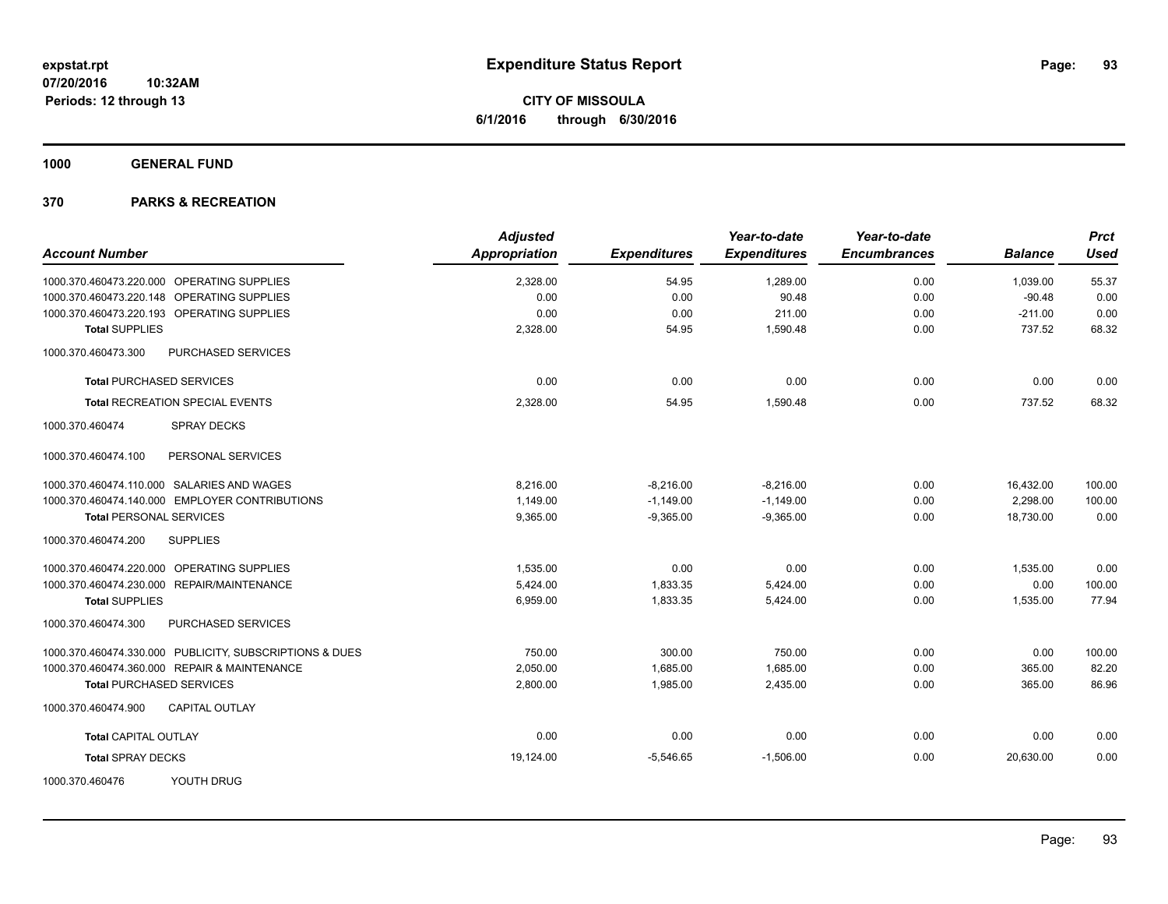**1000 GENERAL FUND**

|                                                         | <b>Adjusted</b> |                     | Year-to-date        | Year-to-date        |                | <b>Prct</b> |
|---------------------------------------------------------|-----------------|---------------------|---------------------|---------------------|----------------|-------------|
| <b>Account Number</b>                                   | Appropriation   | <b>Expenditures</b> | <b>Expenditures</b> | <b>Encumbrances</b> | <b>Balance</b> | <b>Used</b> |
| 1000.370.460473.220.000 OPERATING SUPPLIES              | 2,328.00        | 54.95               | 1,289.00            | 0.00                | 1,039.00       | 55.37       |
| 1000.370.460473.220.148 OPERATING SUPPLIES              | 0.00            | 0.00                | 90.48               | 0.00                | $-90.48$       | 0.00        |
| 1000.370.460473.220.193 OPERATING SUPPLIES              | 0.00            | 0.00                | 211.00              | 0.00                | $-211.00$      | 0.00        |
| <b>Total SUPPLIES</b>                                   | 2,328.00        | 54.95               | 1,590.48            | 0.00                | 737.52         | 68.32       |
| 1000.370.460473.300<br>PURCHASED SERVICES               |                 |                     |                     |                     |                |             |
| <b>Total PURCHASED SERVICES</b>                         | 0.00            | 0.00                | 0.00                | 0.00                | 0.00           | 0.00        |
| <b>Total RECREATION SPECIAL EVENTS</b>                  | 2,328.00        | 54.95               | 1,590.48            | 0.00                | 737.52         | 68.32       |
| 1000.370.460474<br><b>SPRAY DECKS</b>                   |                 |                     |                     |                     |                |             |
| 1000.370.460474.100<br>PERSONAL SERVICES                |                 |                     |                     |                     |                |             |
| 1000.370.460474.110.000 SALARIES AND WAGES              | 8,216.00        | $-8,216.00$         | $-8,216.00$         | 0.00                | 16,432.00      | 100.00      |
| 1000.370.460474.140.000 EMPLOYER CONTRIBUTIONS          | 1,149.00        | $-1,149.00$         | $-1,149.00$         | 0.00                | 2,298.00       | 100.00      |
| <b>Total PERSONAL SERVICES</b>                          | 9,365.00        | $-9,365.00$         | $-9.365.00$         | 0.00                | 18,730.00      | 0.00        |
| <b>SUPPLIES</b><br>1000.370.460474.200                  |                 |                     |                     |                     |                |             |
| 1000.370.460474.220.000 OPERATING SUPPLIES              | 1,535.00        | 0.00                | 0.00                | 0.00                | 1,535.00       | 0.00        |
| 1000.370.460474.230.000 REPAIR/MAINTENANCE              | 5,424.00        | 1,833.35            | 5,424.00            | 0.00                | 0.00           | 100.00      |
| <b>Total SUPPLIES</b>                                   | 6,959.00        | 1,833.35            | 5,424.00            | 0.00                | 1,535.00       | 77.94       |
| PURCHASED SERVICES<br>1000.370.460474.300               |                 |                     |                     |                     |                |             |
| 1000.370.460474.330.000 PUBLICITY, SUBSCRIPTIONS & DUES | 750.00          | 300.00              | 750.00              | 0.00                | 0.00           | 100.00      |
| 1000.370.460474.360.000 REPAIR & MAINTENANCE            | 2,050.00        | 1,685.00            | 1,685.00            | 0.00                | 365.00         | 82.20       |
| <b>Total PURCHASED SERVICES</b>                         | 2,800.00        | 1,985.00            | 2,435.00            | 0.00                | 365.00         | 86.96       |
| <b>CAPITAL OUTLAY</b><br>1000.370.460474.900            |                 |                     |                     |                     |                |             |
| <b>Total CAPITAL OUTLAY</b>                             | 0.00            | 0.00                | 0.00                | 0.00                | 0.00           | 0.00        |
| <b>Total SPRAY DECKS</b>                                | 19,124.00       | $-5,546.65$         | $-1,506.00$         | 0.00                | 20,630.00      | 0.00        |
| YOUTH DRUG<br>1000.370.460476                           |                 |                     |                     |                     |                |             |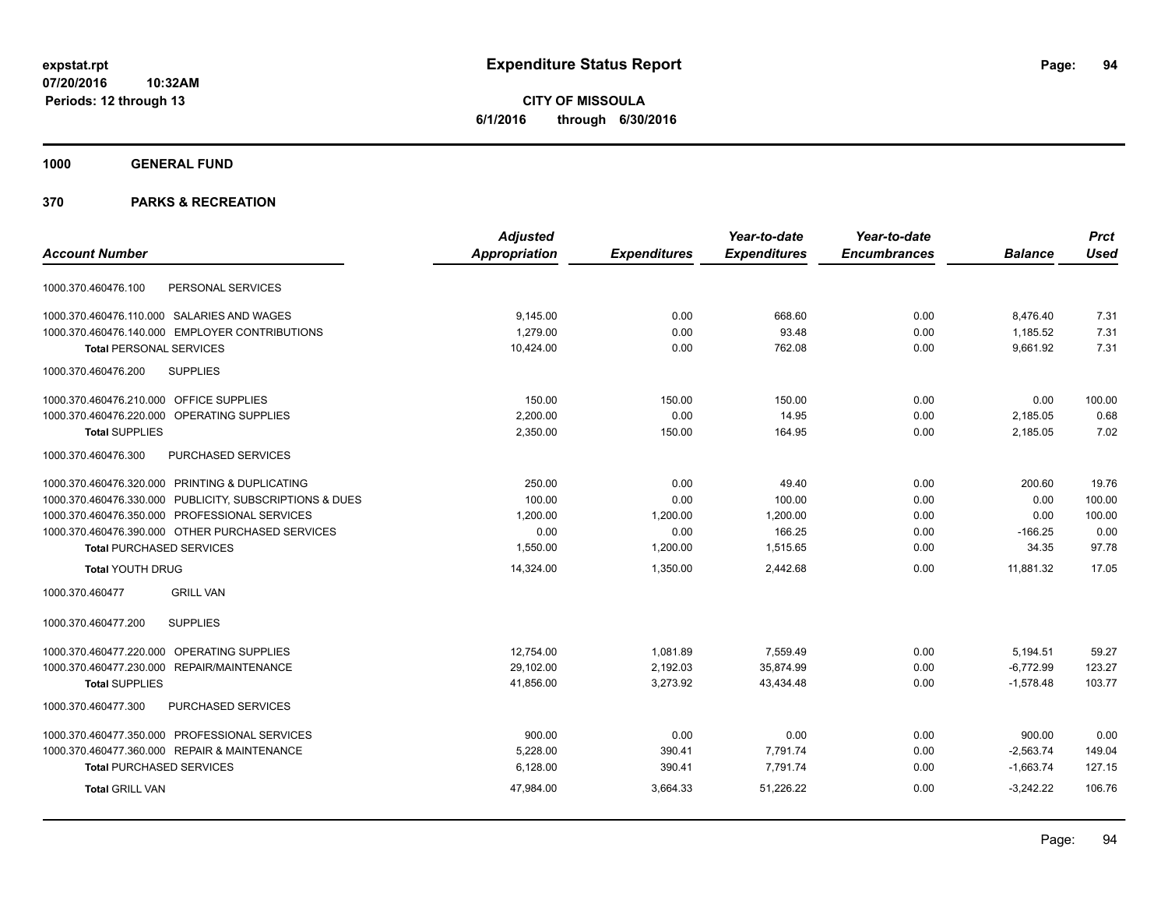**CITY OF MISSOULA 6/1/2016 through 6/30/2016**

**1000 GENERAL FUND**

|                                                         | <b>Adjusted</b>      |                     | Year-to-date        | Year-to-date        |                | <b>Prct</b> |
|---------------------------------------------------------|----------------------|---------------------|---------------------|---------------------|----------------|-------------|
| <b>Account Number</b>                                   | <b>Appropriation</b> | <b>Expenditures</b> | <b>Expenditures</b> | <b>Encumbrances</b> | <b>Balance</b> | <b>Used</b> |
| PERSONAL SERVICES<br>1000.370.460476.100                |                      |                     |                     |                     |                |             |
| 1000.370.460476.110.000 SALARIES AND WAGES              | 9,145.00             | 0.00                | 668.60              | 0.00                | 8,476.40       | 7.31        |
| 1000.370.460476.140.000 EMPLOYER CONTRIBUTIONS          | 1.279.00             | 0.00                | 93.48               | 0.00                | 1,185.52       | 7.31        |
| <b>Total PERSONAL SERVICES</b>                          | 10,424.00            | 0.00                | 762.08              | 0.00                | 9.661.92       | 7.31        |
| <b>SUPPLIES</b><br>1000.370.460476.200                  |                      |                     |                     |                     |                |             |
| 1000.370.460476.210.000 OFFICE SUPPLIES                 | 150.00               | 150.00              | 150.00              | 0.00                | 0.00           | 100.00      |
| 1000.370.460476.220.000 OPERATING SUPPLIES              | 2,200.00             | 0.00                | 14.95               | 0.00                | 2,185.05       | 0.68        |
| <b>Total SUPPLIES</b>                                   | 2,350.00             | 150.00              | 164.95              | 0.00                | 2,185.05       | 7.02        |
| PURCHASED SERVICES<br>1000.370.460476.300               |                      |                     |                     |                     |                |             |
| 1000.370.460476.320.000 PRINTING & DUPLICATING          | 250.00               | 0.00                | 49.40               | 0.00                | 200.60         | 19.76       |
| 1000.370.460476.330.000 PUBLICITY, SUBSCRIPTIONS & DUES | 100.00               | 0.00                | 100.00              | 0.00                | 0.00           | 100.00      |
| 1000.370.460476.350.000 PROFESSIONAL SERVICES           | 1,200.00             | 1,200.00            | 1,200.00            | 0.00                | 0.00           | 100.00      |
| 1000.370.460476.390.000 OTHER PURCHASED SERVICES        | 0.00                 | 0.00                | 166.25              | 0.00                | $-166.25$      | 0.00        |
| <b>Total PURCHASED SERVICES</b>                         | 1,550.00             | 1,200.00            | 1,515.65            | 0.00                | 34.35          | 97.78       |
| <b>Total YOUTH DRUG</b>                                 | 14,324.00            | 1,350.00            | 2,442.68            | 0.00                | 11,881.32      | 17.05       |
| <b>GRILL VAN</b><br>1000.370.460477                     |                      |                     |                     |                     |                |             |
| <b>SUPPLIES</b><br>1000.370.460477.200                  |                      |                     |                     |                     |                |             |
| 1000.370.460477.220.000 OPERATING SUPPLIES              | 12,754.00            | 1,081.89            | 7,559.49            | 0.00                | 5,194.51       | 59.27       |
| 1000.370.460477.230.000 REPAIR/MAINTENANCE              | 29,102.00            | 2,192.03            | 35,874.99           | 0.00                | $-6,772.99$    | 123.27      |
| <b>Total SUPPLIES</b>                                   | 41,856.00            | 3,273.92            | 43,434.48           | 0.00                | $-1,578.48$    | 103.77      |
| 1000.370.460477.300<br>PURCHASED SERVICES               |                      |                     |                     |                     |                |             |
| 1000.370.460477.350.000 PROFESSIONAL SERVICES           | 900.00               | 0.00                | 0.00                | 0.00                | 900.00         | 0.00        |
| 1000.370.460477.360.000 REPAIR & MAINTENANCE            | 5,228.00             | 390.41              | 7,791.74            | 0.00                | $-2,563.74$    | 149.04      |
| <b>Total PURCHASED SERVICES</b>                         | 6,128.00             | 390.41              | 7,791.74            | 0.00                | $-1,663.74$    | 127.15      |
| <b>Total GRILL VAN</b>                                  | 47,984.00            | 3,664.33            | 51,226.22           | 0.00                | $-3.242.22$    | 106.76      |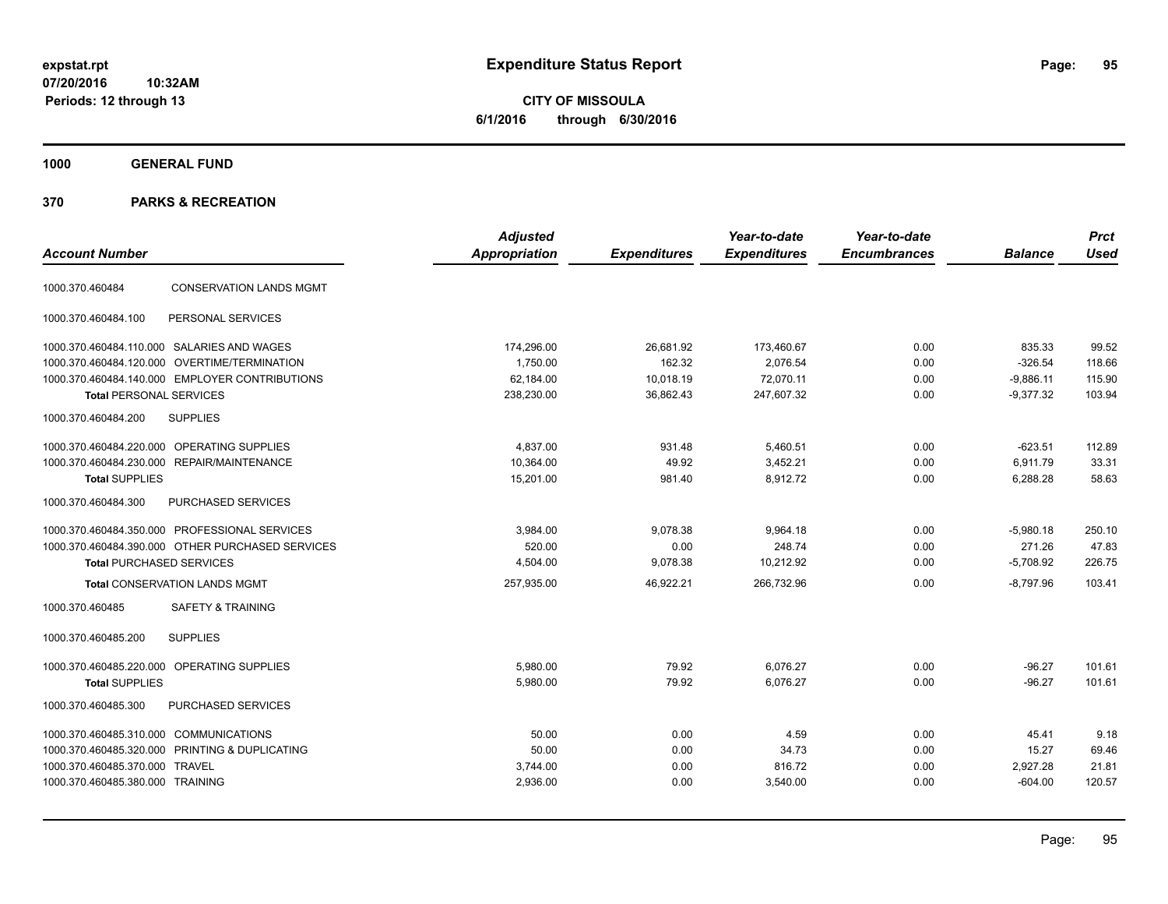**CITY OF MISSOULA 6/1/2016 through 6/30/2016**

**1000 GENERAL FUND**

| <b>Account Number</b>                         |                                                  | <b>Adjusted</b><br><b>Appropriation</b> | <b>Expenditures</b> | Year-to-date<br><b>Expenditures</b> | Year-to-date<br><b>Encumbrances</b> | <b>Balance</b> | <b>Prct</b><br><b>Used</b> |
|-----------------------------------------------|--------------------------------------------------|-----------------------------------------|---------------------|-------------------------------------|-------------------------------------|----------------|----------------------------|
| 1000.370.460484                               | <b>CONSERVATION LANDS MGMT</b>                   |                                         |                     |                                     |                                     |                |                            |
| 1000.370.460484.100                           | PERSONAL SERVICES                                |                                         |                     |                                     |                                     |                |                            |
| 1000.370.460484.110.000 SALARIES AND WAGES    |                                                  | 174,296.00                              | 26,681.92           | 173,460.67                          | 0.00                                | 835.33         | 99.52                      |
| 1000.370.460484.120.000 OVERTIME/TERMINATION  |                                                  | 1,750.00                                | 162.32              | 2,076.54                            | 0.00                                | $-326.54$      | 118.66                     |
|                                               | 1000.370.460484.140.000 EMPLOYER CONTRIBUTIONS   | 62,184.00                               | 10,018.19           | 72,070.11                           | 0.00                                | $-9,886.11$    | 115.90                     |
| <b>Total PERSONAL SERVICES</b>                |                                                  | 238,230.00                              | 36,862.43           | 247,607.32                          | 0.00                                | $-9,377.32$    | 103.94                     |
| 1000.370.460484.200                           | <b>SUPPLIES</b>                                  |                                         |                     |                                     |                                     |                |                            |
| 1000.370.460484.220.000 OPERATING SUPPLIES    |                                                  | 4,837.00                                | 931.48              | 5,460.51                            | 0.00                                | $-623.51$      | 112.89                     |
| 1000.370.460484.230.000                       | <b>REPAIR/MAINTENANCE</b>                        | 10,364.00                               | 49.92               | 3,452.21                            | 0.00                                | 6,911.79       | 33.31                      |
| <b>Total SUPPLIES</b>                         |                                                  | 15,201.00                               | 981.40              | 8,912.72                            | 0.00                                | 6,288.28       | 58.63                      |
| 1000.370.460484.300                           | PURCHASED SERVICES                               |                                         |                     |                                     |                                     |                |                            |
| 1000.370.460484.350.000 PROFESSIONAL SERVICES |                                                  | 3,984.00                                | 9,078.38            | 9,964.18                            | 0.00                                | $-5,980.18$    | 250.10                     |
|                                               | 1000.370.460484.390.000 OTHER PURCHASED SERVICES | 520.00                                  | 0.00                | 248.74                              | 0.00                                | 271.26         | 47.83                      |
| <b>Total PURCHASED SERVICES</b>               |                                                  | 4,504.00                                | 9,078.38            | 10,212.92                           | 0.00                                | $-5,708.92$    | 226.75                     |
| <b>Total CONSERVATION LANDS MGMT</b>          |                                                  | 257,935.00                              | 46,922.21           | 266,732.96                          | 0.00                                | $-8,797.96$    | 103.41                     |
| 1000.370.460485                               | <b>SAFETY &amp; TRAINING</b>                     |                                         |                     |                                     |                                     |                |                            |
| 1000.370.460485.200                           | <b>SUPPLIES</b>                                  |                                         |                     |                                     |                                     |                |                            |
| 1000.370.460485.220.000                       | <b>OPERATING SUPPLIES</b>                        | 5.980.00                                | 79.92               | 6.076.27                            | 0.00                                | $-96.27$       | 101.61                     |
| <b>Total SUPPLIES</b>                         |                                                  | 5,980.00                                | 79.92               | 6,076.27                            | 0.00                                | $-96.27$       | 101.61                     |
| 1000.370.460485.300                           | PURCHASED SERVICES                               |                                         |                     |                                     |                                     |                |                            |
| 1000.370.460485.310.000 COMMUNICATIONS        |                                                  | 50.00                                   | 0.00                | 4.59                                | 0.00                                | 45.41          | 9.18                       |
| 1000.370.460485.320.000                       | PRINTING & DUPLICATING                           | 50.00                                   | 0.00                | 34.73                               | 0.00                                | 15.27          | 69.46                      |
| 1000.370.460485.370.000                       | TRAVEL                                           | 3,744.00                                | 0.00                | 816.72                              | 0.00                                | 2,927.28       | 21.81                      |
| 1000.370.460485.380.000 TRAINING              |                                                  | 2,936.00                                | 0.00                | 3,540.00                            | 0.00                                | $-604.00$      | 120.57                     |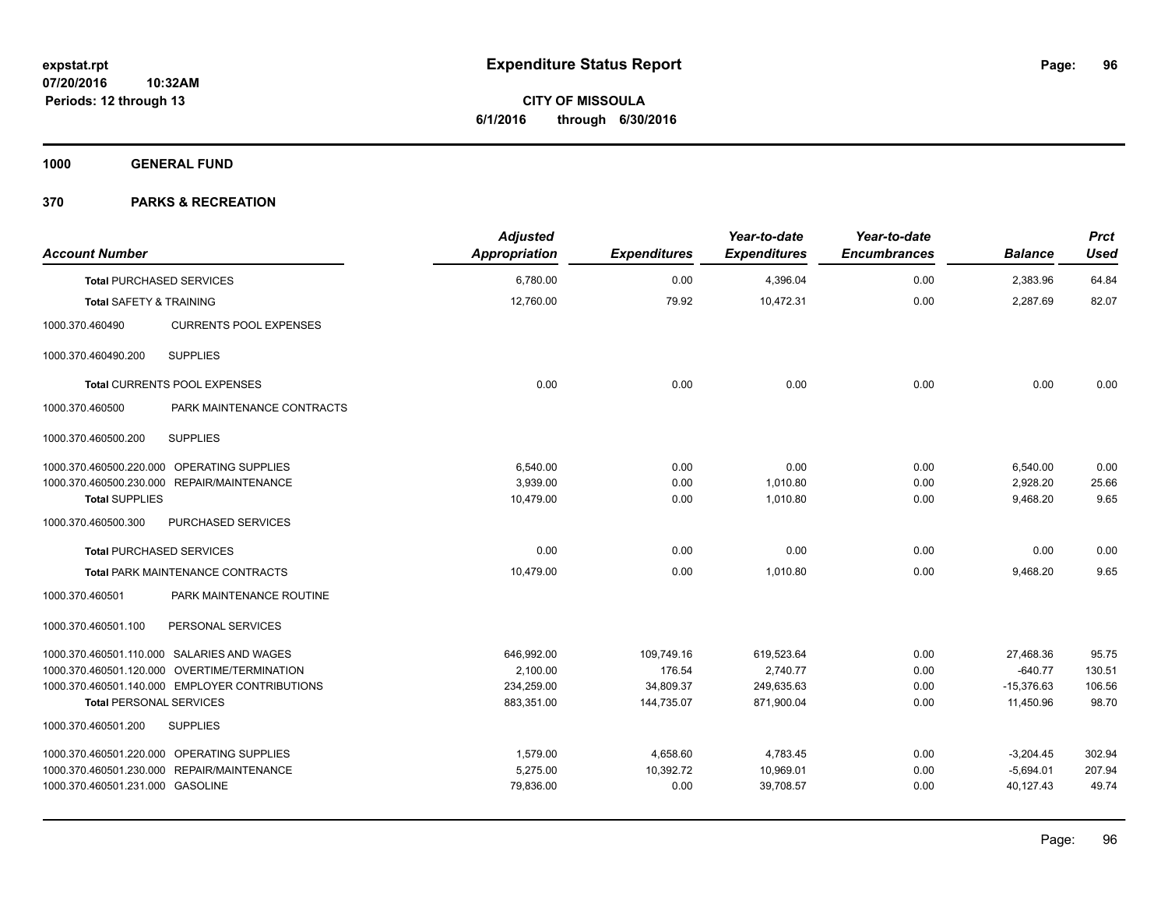**Periods: 12 through 13**

**CITY OF MISSOULA 6/1/2016 through 6/30/2016**

**1000 GENERAL FUND**

## **370 PARKS & RECREATION**

**10:32AM**

| <b>Account Number</b>              |                                                | <b>Adjusted</b><br><b>Appropriation</b> | <b>Expenditures</b> | Year-to-date<br><b>Expenditures</b> | Year-to-date<br><b>Encumbrances</b> | <b>Balance</b> | <b>Prct</b><br><b>Used</b> |
|------------------------------------|------------------------------------------------|-----------------------------------------|---------------------|-------------------------------------|-------------------------------------|----------------|----------------------------|
|                                    | <b>Total PURCHASED SERVICES</b>                | 6,780.00                                | 0.00                | 4,396.04                            | 0.00                                | 2,383.96       | 64.84                      |
| <b>Total SAFETY &amp; TRAINING</b> |                                                | 12,760.00                               | 79.92               | 10,472.31                           | 0.00                                | 2,287.69       | 82.07                      |
| 1000.370.460490                    | <b>CURRENTS POOL EXPENSES</b>                  |                                         |                     |                                     |                                     |                |                            |
| 1000.370.460490.200                | <b>SUPPLIES</b>                                |                                         |                     |                                     |                                     |                |                            |
|                                    | Total CURRENTS POOL EXPENSES                   | 0.00                                    | 0.00                | 0.00                                | 0.00                                | 0.00           | 0.00                       |
| 1000.370.460500                    | PARK MAINTENANCE CONTRACTS                     |                                         |                     |                                     |                                     |                |                            |
| 1000.370.460500.200                | <b>SUPPLIES</b>                                |                                         |                     |                                     |                                     |                |                            |
|                                    | 1000.370.460500.220.000 OPERATING SUPPLIES     | 6,540.00                                | 0.00                | 0.00                                | 0.00                                | 6,540.00       | 0.00                       |
|                                    | 1000.370.460500.230.000 REPAIR/MAINTENANCE     | 3,939.00                                | 0.00                | 1,010.80                            | 0.00                                | 2,928.20       | 25.66                      |
| <b>Total SUPPLIES</b>              |                                                | 10,479.00                               | 0.00                | 1,010.80                            | 0.00                                | 9,468.20       | 9.65                       |
| 1000.370.460500.300                | PURCHASED SERVICES                             |                                         |                     |                                     |                                     |                |                            |
|                                    | <b>Total PURCHASED SERVICES</b>                | 0.00                                    | 0.00                | 0.00                                | 0.00                                | 0.00           | 0.00                       |
|                                    | <b>Total PARK MAINTENANCE CONTRACTS</b>        | 10.479.00                               | 0.00                | 1.010.80                            | 0.00                                | 9,468.20       | 9.65                       |
| 1000.370.460501                    | PARK MAINTENANCE ROUTINE                       |                                         |                     |                                     |                                     |                |                            |
| 1000.370.460501.100                | PERSONAL SERVICES                              |                                         |                     |                                     |                                     |                |                            |
|                                    | 1000.370.460501.110.000 SALARIES AND WAGES     | 646,992.00                              | 109,749.16          | 619,523.64                          | 0.00                                | 27,468.36      | 95.75                      |
|                                    | 1000.370.460501.120.000 OVERTIME/TERMINATION   | 2,100.00                                | 176.54              | 2.740.77                            | 0.00                                | $-640.77$      | 130.51                     |
|                                    | 1000.370.460501.140.000 EMPLOYER CONTRIBUTIONS | 234,259.00                              | 34,809.37           | 249,635.63                          | 0.00                                | $-15,376.63$   | 106.56                     |
| <b>Total PERSONAL SERVICES</b>     |                                                | 883.351.00                              | 144.735.07          | 871.900.04                          | 0.00                                | 11.450.96      | 98.70                      |
| 1000.370.460501.200                | <b>SUPPLIES</b>                                |                                         |                     |                                     |                                     |                |                            |
|                                    | 1000.370.460501.220.000 OPERATING SUPPLIES     | 1,579.00                                | 4,658.60            | 4,783.45                            | 0.00                                | $-3,204.45$    | 302.94                     |
|                                    | 1000.370.460501.230.000 REPAIR/MAINTENANCE     | 5,275.00                                | 10,392.72           | 10,969.01                           | 0.00                                | $-5,694.01$    | 207.94                     |
| 1000.370.460501.231.000 GASOLINE   |                                                | 79,836.00                               | 0.00                | 39,708.57                           | 0.00                                | 40,127.43      | 49.74                      |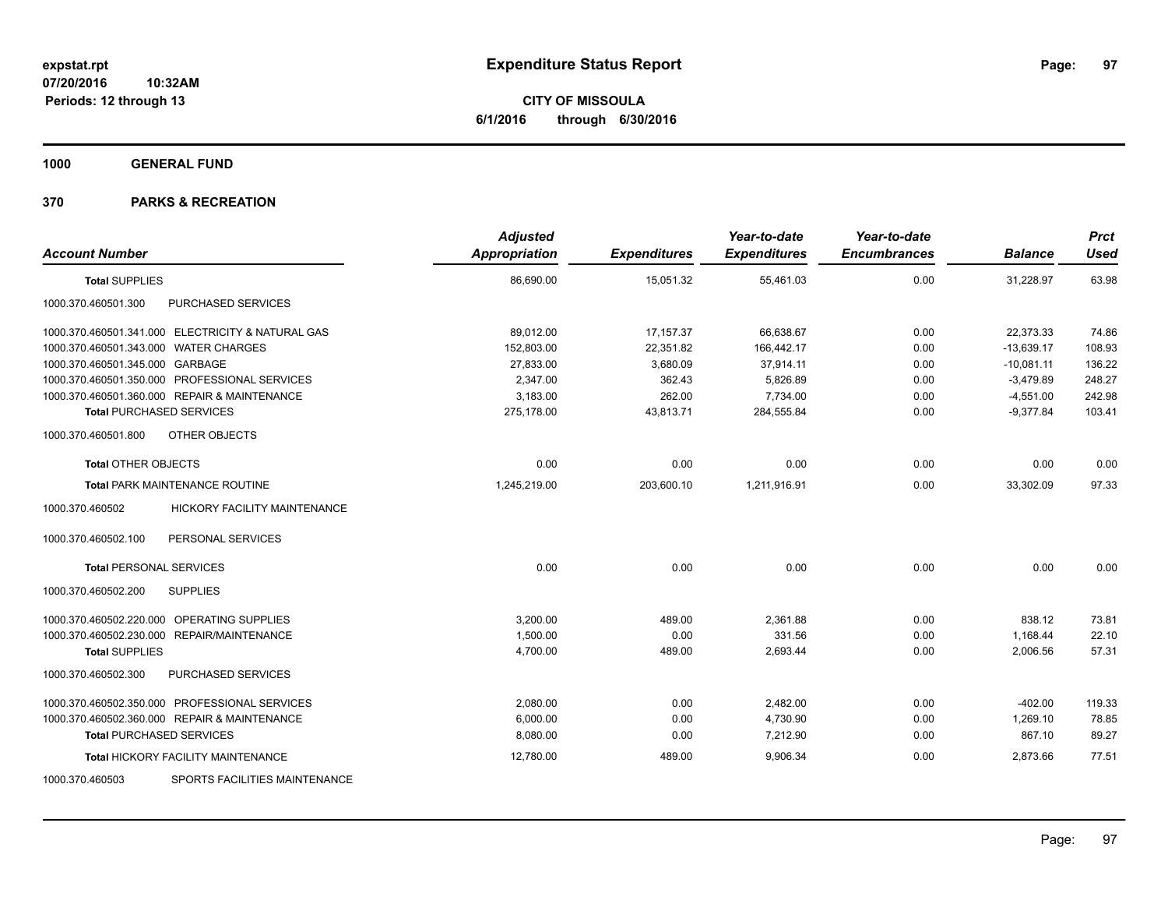**CITY OF MISSOULA 6/1/2016 through 6/30/2016**

**1000 GENERAL FUND**

| <b>Account Number</b>                 |                                                   | <b>Adjusted</b><br>Appropriation | <b>Expenditures</b> | Year-to-date<br><b>Expenditures</b> | Year-to-date<br><b>Encumbrances</b> | <b>Balance</b> | <b>Prct</b><br><b>Used</b> |
|---------------------------------------|---------------------------------------------------|----------------------------------|---------------------|-------------------------------------|-------------------------------------|----------------|----------------------------|
| <b>Total SUPPLIES</b>                 |                                                   | 86,690.00                        | 15,051.32           | 55,461.03                           | 0.00                                | 31,228.97      | 63.98                      |
| 1000.370.460501.300                   | PURCHASED SERVICES                                |                                  |                     |                                     |                                     |                |                            |
|                                       | 1000.370.460501.341.000 ELECTRICITY & NATURAL GAS | 89,012.00                        | 17, 157.37          | 66,638.67                           | 0.00                                | 22,373.33      | 74.86                      |
| 1000.370.460501.343.000 WATER CHARGES |                                                   | 152,803.00                       | 22,351.82           | 166,442.17                          | 0.00                                | $-13,639.17$   | 108.93                     |
| 1000.370.460501.345.000 GARBAGE       |                                                   | 27,833.00                        | 3,680.09            | 37,914.11                           | 0.00                                | $-10,081.11$   | 136.22                     |
|                                       | 1000.370.460501.350.000 PROFESSIONAL SERVICES     | 2,347.00                         | 362.43              | 5,826.89                            | 0.00                                | $-3.479.89$    | 248.27                     |
|                                       | 1000.370.460501.360.000 REPAIR & MAINTENANCE      | 3,183.00                         | 262.00              | 7,734.00                            | 0.00                                | $-4,551.00$    | 242.98                     |
| <b>Total PURCHASED SERVICES</b>       |                                                   | 275,178.00                       | 43,813.71           | 284,555.84                          | 0.00                                | $-9,377.84$    | 103.41                     |
| 1000.370.460501.800                   | OTHER OBJECTS                                     |                                  |                     |                                     |                                     |                |                            |
| <b>Total OTHER OBJECTS</b>            |                                                   | 0.00                             | 0.00                | 0.00                                | 0.00                                | 0.00           | 0.00                       |
|                                       | Total PARK MAINTENANCE ROUTINE                    | 1,245,219.00                     | 203,600.10          | 1,211,916.91                        | 0.00                                | 33,302.09      | 97.33                      |
| 1000.370.460502                       | <b>HICKORY FACILITY MAINTENANCE</b>               |                                  |                     |                                     |                                     |                |                            |
| 1000.370.460502.100                   | PERSONAL SERVICES                                 |                                  |                     |                                     |                                     |                |                            |
| <b>Total PERSONAL SERVICES</b>        |                                                   | 0.00                             | 0.00                | 0.00                                | 0.00                                | 0.00           | 0.00                       |
| 1000.370.460502.200                   | <b>SUPPLIES</b>                                   |                                  |                     |                                     |                                     |                |                            |
|                                       | 1000.370.460502.220.000 OPERATING SUPPLIES        | 3,200.00                         | 489.00              | 2,361.88                            | 0.00                                | 838.12         | 73.81                      |
|                                       | 1000.370.460502.230.000 REPAIR/MAINTENANCE        | 1,500.00                         | 0.00                | 331.56                              | 0.00                                | 1,168.44       | 22.10                      |
| <b>Total SUPPLIES</b>                 |                                                   | 4,700.00                         | 489.00              | 2,693.44                            | 0.00                                | 2,006.56       | 57.31                      |
| 1000.370.460502.300                   | PURCHASED SERVICES                                |                                  |                     |                                     |                                     |                |                            |
|                                       | 1000.370.460502.350.000 PROFESSIONAL SERVICES     | 2,080.00                         | 0.00                | 2,482.00                            | 0.00                                | $-402.00$      | 119.33                     |
|                                       | 1000.370.460502.360.000 REPAIR & MAINTENANCE      | 6,000.00                         | 0.00                | 4,730.90                            | 0.00                                | 1,269.10       | 78.85                      |
| <b>Total PURCHASED SERVICES</b>       |                                                   | 8,080.00                         | 0.00                | 7,212.90                            | 0.00                                | 867.10         | 89.27                      |
|                                       | <b>Total HICKORY FACILITY MAINTENANCE</b>         | 12,780.00                        | 489.00              | 9,906.34                            | 0.00                                | 2,873.66       | 77.51                      |
| 1000.370.460503                       | SPORTS FACILITIES MAINTENANCE                     |                                  |                     |                                     |                                     |                |                            |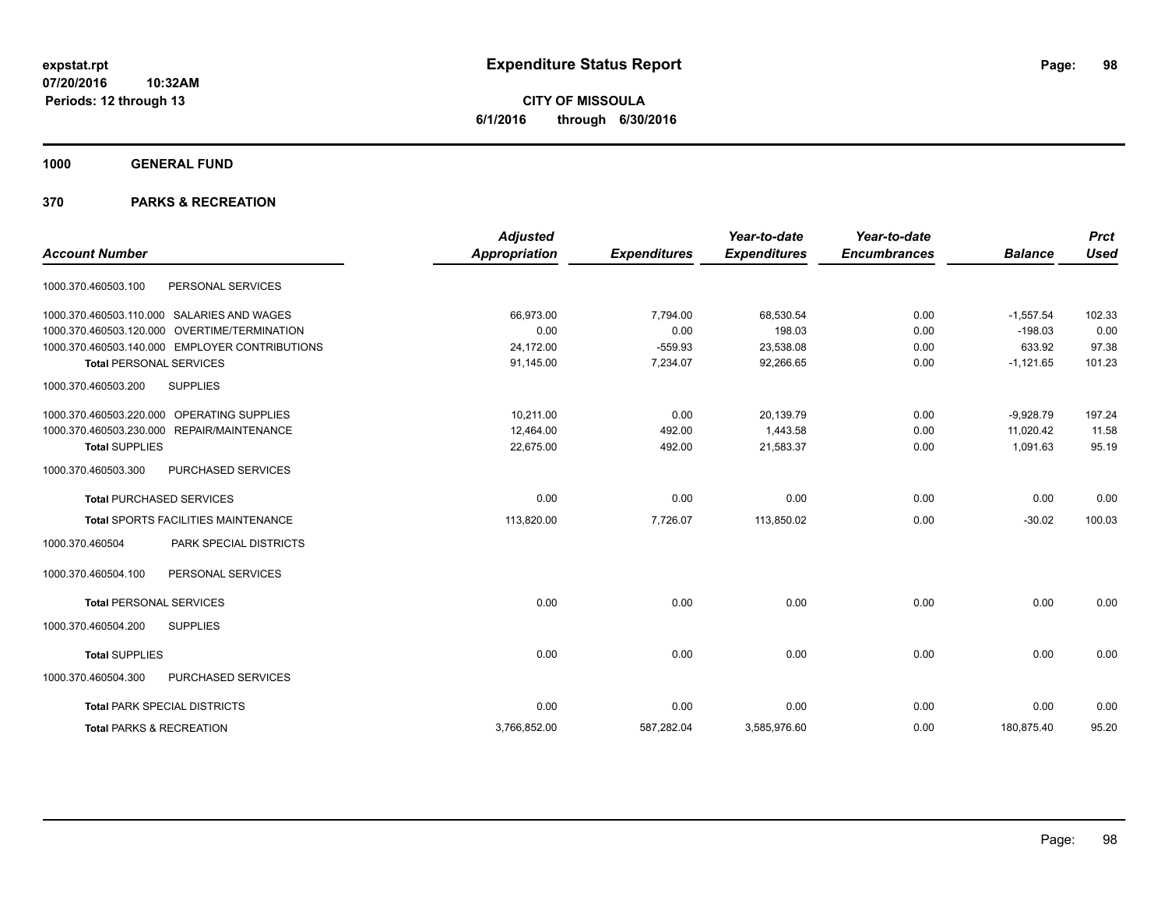**CITY OF MISSOULA 6/1/2016 through 6/30/2016**

**1000 GENERAL FUND**

| <b>Account Number</b> |                                                | <b>Adjusted</b><br><b>Appropriation</b> | <b>Expenditures</b> | Year-to-date<br><b>Expenditures</b> | Year-to-date<br><b>Encumbrances</b> | <b>Balance</b> | <b>Prct</b><br><b>Used</b> |
|-----------------------|------------------------------------------------|-----------------------------------------|---------------------|-------------------------------------|-------------------------------------|----------------|----------------------------|
|                       |                                                |                                         |                     |                                     |                                     |                |                            |
| 1000.370.460503.100   | PERSONAL SERVICES                              |                                         |                     |                                     |                                     |                |                            |
|                       | 1000.370.460503.110.000 SALARIES AND WAGES     | 66,973.00                               | 7,794.00            | 68,530.54                           | 0.00                                | $-1,557.54$    | 102.33                     |
|                       | 1000.370.460503.120.000 OVERTIME/TERMINATION   | 0.00                                    | 0.00                | 198.03                              | 0.00                                | $-198.03$      | 0.00                       |
|                       | 1000.370.460503.140.000 EMPLOYER CONTRIBUTIONS | 24.172.00                               | $-559.93$           | 23,538.08                           | 0.00                                | 633.92         | 97.38                      |
|                       | <b>Total PERSONAL SERVICES</b>                 | 91,145.00                               | 7,234.07            | 92,266.65                           | 0.00                                | $-1,121.65$    | 101.23                     |
| 1000.370.460503.200   | <b>SUPPLIES</b>                                |                                         |                     |                                     |                                     |                |                            |
|                       | 1000.370.460503.220.000 OPERATING SUPPLIES     | 10.211.00                               | 0.00                | 20,139.79                           | 0.00                                | $-9,928.79$    | 197.24                     |
|                       | 1000.370.460503.230.000 REPAIR/MAINTENANCE     | 12,464.00                               | 492.00              | 1,443.58                            | 0.00                                | 11.020.42      | 11.58                      |
| <b>Total SUPPLIES</b> |                                                | 22,675.00                               | 492.00              | 21,583.37                           | 0.00                                | 1,091.63       | 95.19                      |
| 1000.370.460503.300   | PURCHASED SERVICES                             |                                         |                     |                                     |                                     |                |                            |
|                       | <b>Total PURCHASED SERVICES</b>                | 0.00                                    | 0.00                | 0.00                                | 0.00                                | 0.00           | 0.00                       |
|                       | Total SPORTS FACILITIES MAINTENANCE            | 113,820.00                              | 7,726.07            | 113,850.02                          | 0.00                                | $-30.02$       | 100.03                     |
| 1000.370.460504       | PARK SPECIAL DISTRICTS                         |                                         |                     |                                     |                                     |                |                            |
| 1000.370.460504.100   | PERSONAL SERVICES                              |                                         |                     |                                     |                                     |                |                            |
|                       | <b>Total PERSONAL SERVICES</b>                 | 0.00                                    | 0.00                | 0.00                                | 0.00                                | 0.00           | 0.00                       |
| 1000.370.460504.200   | <b>SUPPLIES</b>                                |                                         |                     |                                     |                                     |                |                            |
| <b>Total SUPPLIES</b> |                                                | 0.00                                    | 0.00                | 0.00                                | 0.00                                | 0.00           | 0.00                       |
| 1000.370.460504.300   | PURCHASED SERVICES                             |                                         |                     |                                     |                                     |                |                            |
|                       | <b>Total PARK SPECIAL DISTRICTS</b>            | 0.00                                    | 0.00                | 0.00                                | 0.00                                | 0.00           | 0.00                       |
|                       | <b>Total PARKS &amp; RECREATION</b>            | 3,766,852.00                            | 587,282.04          | 3,585,976.60                        | 0.00                                | 180,875.40     | 95.20                      |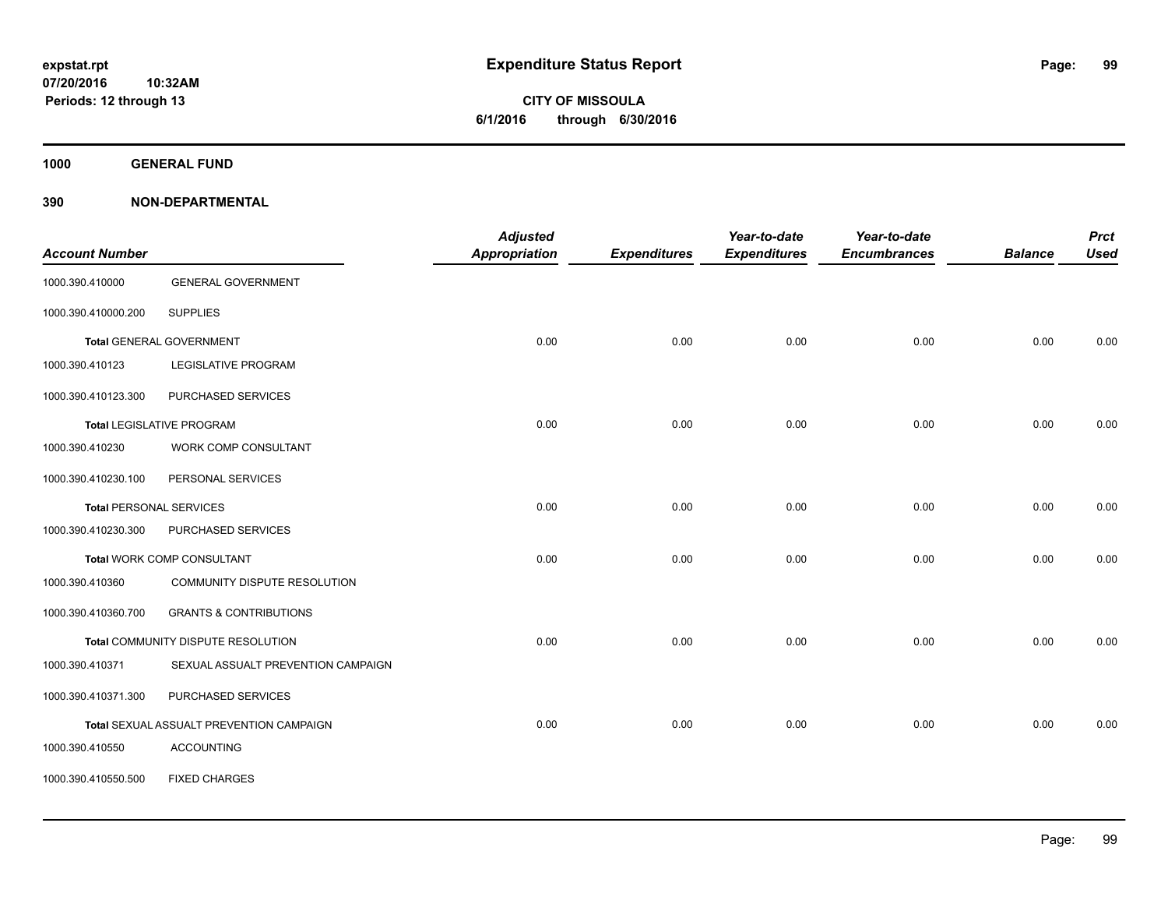**CITY OF MISSOULA 6/1/2016 through 6/30/2016**

**1000 GENERAL FUND**

| <b>Account Number</b> |                                          | <b>Adjusted</b><br>Appropriation | <b>Expenditures</b> | Year-to-date<br><b>Expenditures</b> | Year-to-date<br><b>Encumbrances</b> | <b>Balance</b> | <b>Prct</b><br><b>Used</b> |
|-----------------------|------------------------------------------|----------------------------------|---------------------|-------------------------------------|-------------------------------------|----------------|----------------------------|
| 1000.390.410000       | <b>GENERAL GOVERNMENT</b>                |                                  |                     |                                     |                                     |                |                            |
| 1000.390.410000.200   | <b>SUPPLIES</b>                          |                                  |                     |                                     |                                     |                |                            |
|                       | <b>Total GENERAL GOVERNMENT</b>          | 0.00                             | 0.00                | 0.00                                | 0.00                                | 0.00           | 0.00                       |
| 1000.390.410123       | <b>LEGISLATIVE PROGRAM</b>               |                                  |                     |                                     |                                     |                |                            |
| 1000.390.410123.300   | PURCHASED SERVICES                       |                                  |                     |                                     |                                     |                |                            |
|                       | <b>Total LEGISLATIVE PROGRAM</b>         | 0.00                             | 0.00                | 0.00                                | 0.00                                | 0.00           | 0.00                       |
| 1000.390.410230       | WORK COMP CONSULTANT                     |                                  |                     |                                     |                                     |                |                            |
| 1000.390.410230.100   | PERSONAL SERVICES                        |                                  |                     |                                     |                                     |                |                            |
|                       | <b>Total PERSONAL SERVICES</b>           | 0.00                             | 0.00                | 0.00                                | 0.00                                | 0.00           | 0.00                       |
| 1000.390.410230.300   | PURCHASED SERVICES                       |                                  |                     |                                     |                                     |                |                            |
|                       | Total WORK COMP CONSULTANT               | 0.00                             | 0.00                | 0.00                                | 0.00                                | 0.00           | 0.00                       |
| 1000.390.410360       | COMMUNITY DISPUTE RESOLUTION             |                                  |                     |                                     |                                     |                |                            |
| 1000.390.410360.700   | <b>GRANTS &amp; CONTRIBUTIONS</b>        |                                  |                     |                                     |                                     |                |                            |
|                       | Total COMMUNITY DISPUTE RESOLUTION       | 0.00                             | 0.00                | 0.00                                | 0.00                                | 0.00           | 0.00                       |
| 1000.390.410371       | SEXUAL ASSUALT PREVENTION CAMPAIGN       |                                  |                     |                                     |                                     |                |                            |
| 1000.390.410371.300   | PURCHASED SERVICES                       |                                  |                     |                                     |                                     |                |                            |
|                       | Total SEXUAL ASSUALT PREVENTION CAMPAIGN | 0.00                             | 0.00                | 0.00                                | 0.00                                | 0.00           | 0.00                       |
| 1000.390.410550       | <b>ACCOUNTING</b>                        |                                  |                     |                                     |                                     |                |                            |
| 1000.390.410550.500   | <b>FIXED CHARGES</b>                     |                                  |                     |                                     |                                     |                |                            |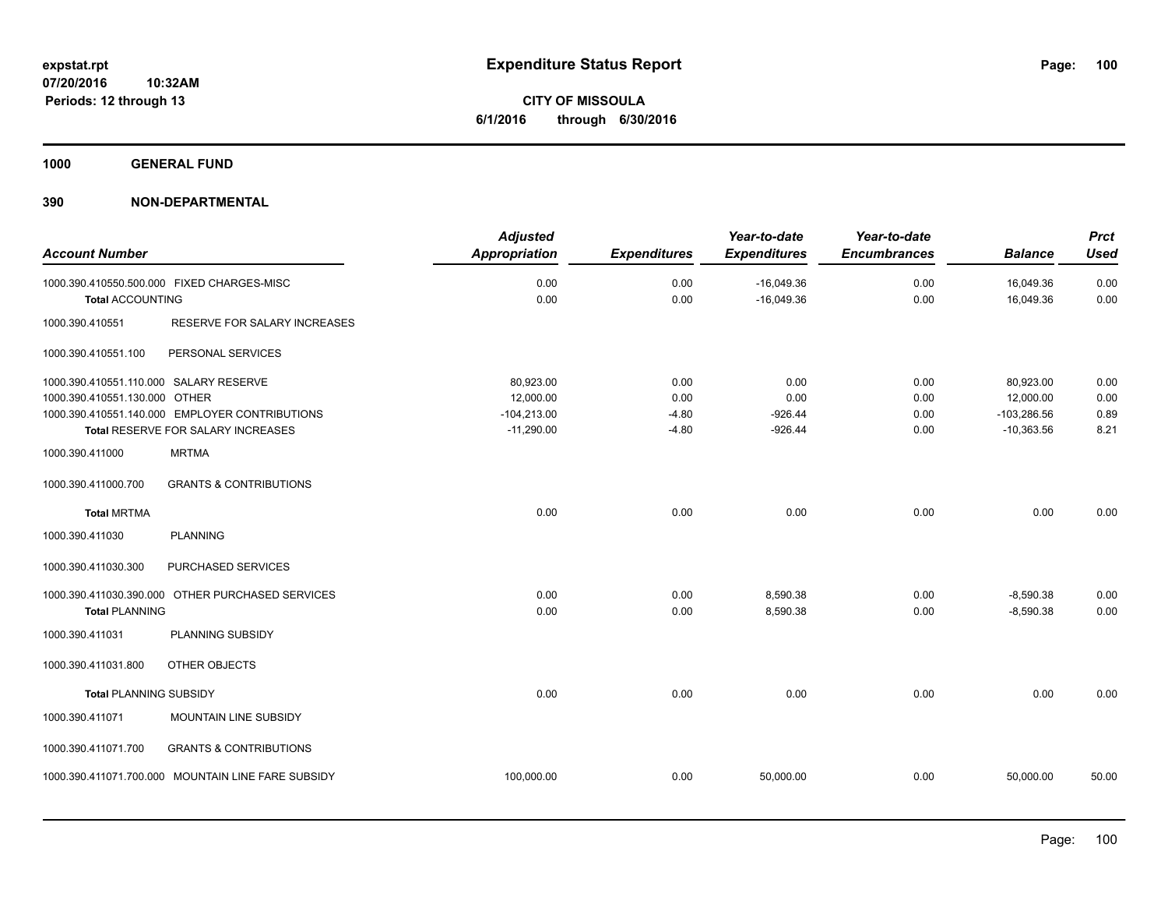**1000 GENERAL FUND**

|                                        |                                                    | <b>Adjusted</b>      |                     | Year-to-date        | Year-to-date        |                | <b>Prct</b> |
|----------------------------------------|----------------------------------------------------|----------------------|---------------------|---------------------|---------------------|----------------|-------------|
| <b>Account Number</b>                  |                                                    | <b>Appropriation</b> | <b>Expenditures</b> | <b>Expenditures</b> | <b>Encumbrances</b> | <b>Balance</b> | <b>Used</b> |
|                                        | 1000.390.410550.500.000 FIXED CHARGES-MISC         | 0.00                 | 0.00                | $-16,049.36$        | 0.00                | 16,049.36      | 0.00        |
| <b>Total ACCOUNTING</b>                |                                                    | 0.00                 | 0.00                | $-16,049.36$        | 0.00                | 16,049.36      | 0.00        |
| 1000.390.410551                        | RESERVE FOR SALARY INCREASES                       |                      |                     |                     |                     |                |             |
| 1000.390.410551.100                    | PERSONAL SERVICES                                  |                      |                     |                     |                     |                |             |
| 1000.390.410551.110.000 SALARY RESERVE |                                                    | 80,923.00            | 0.00                | 0.00                | 0.00                | 80,923.00      | 0.00        |
| 1000.390.410551.130.000 OTHER          |                                                    | 12,000.00            | 0.00                | 0.00                | 0.00                | 12,000.00      | 0.00        |
|                                        | 1000.390.410551.140.000 EMPLOYER CONTRIBUTIONS     | $-104,213.00$        | $-4.80$             | $-926.44$           | 0.00                | $-103,286.56$  | 0.89        |
|                                        | Total RESERVE FOR SALARY INCREASES                 | $-11,290.00$         | $-4.80$             | $-926.44$           | 0.00                | $-10,363.56$   | 8.21        |
| 1000.390.411000                        | <b>MRTMA</b>                                       |                      |                     |                     |                     |                |             |
| 1000.390.411000.700                    | <b>GRANTS &amp; CONTRIBUTIONS</b>                  |                      |                     |                     |                     |                |             |
| <b>Total MRTMA</b>                     |                                                    | 0.00                 | 0.00                | 0.00                | 0.00                | 0.00           | 0.00        |
| 1000.390.411030                        | <b>PLANNING</b>                                    |                      |                     |                     |                     |                |             |
| 1000.390.411030.300                    | <b>PURCHASED SERVICES</b>                          |                      |                     |                     |                     |                |             |
|                                        | 1000.390.411030.390.000 OTHER PURCHASED SERVICES   | 0.00                 | 0.00                | 8,590.38            | 0.00                | $-8,590.38$    | 0.00        |
| <b>Total PLANNING</b>                  |                                                    | 0.00                 | 0.00                | 8,590.38            | 0.00                | $-8,590.38$    | 0.00        |
| 1000.390.411031                        | PLANNING SUBSIDY                                   |                      |                     |                     |                     |                |             |
| 1000.390.411031.800                    | OTHER OBJECTS                                      |                      |                     |                     |                     |                |             |
| <b>Total PLANNING SUBSIDY</b>          |                                                    | 0.00                 | 0.00                | 0.00                | 0.00                | 0.00           | 0.00        |
| 1000.390.411071                        | MOUNTAIN LINE SUBSIDY                              |                      |                     |                     |                     |                |             |
| 1000.390.411071.700                    | <b>GRANTS &amp; CONTRIBUTIONS</b>                  |                      |                     |                     |                     |                |             |
|                                        | 1000.390.411071.700.000 MOUNTAIN LINE FARE SUBSIDY | 100,000.00           | 0.00                | 50,000.00           | 0.00                | 50,000.00      | 50.00       |
|                                        |                                                    |                      |                     |                     |                     |                |             |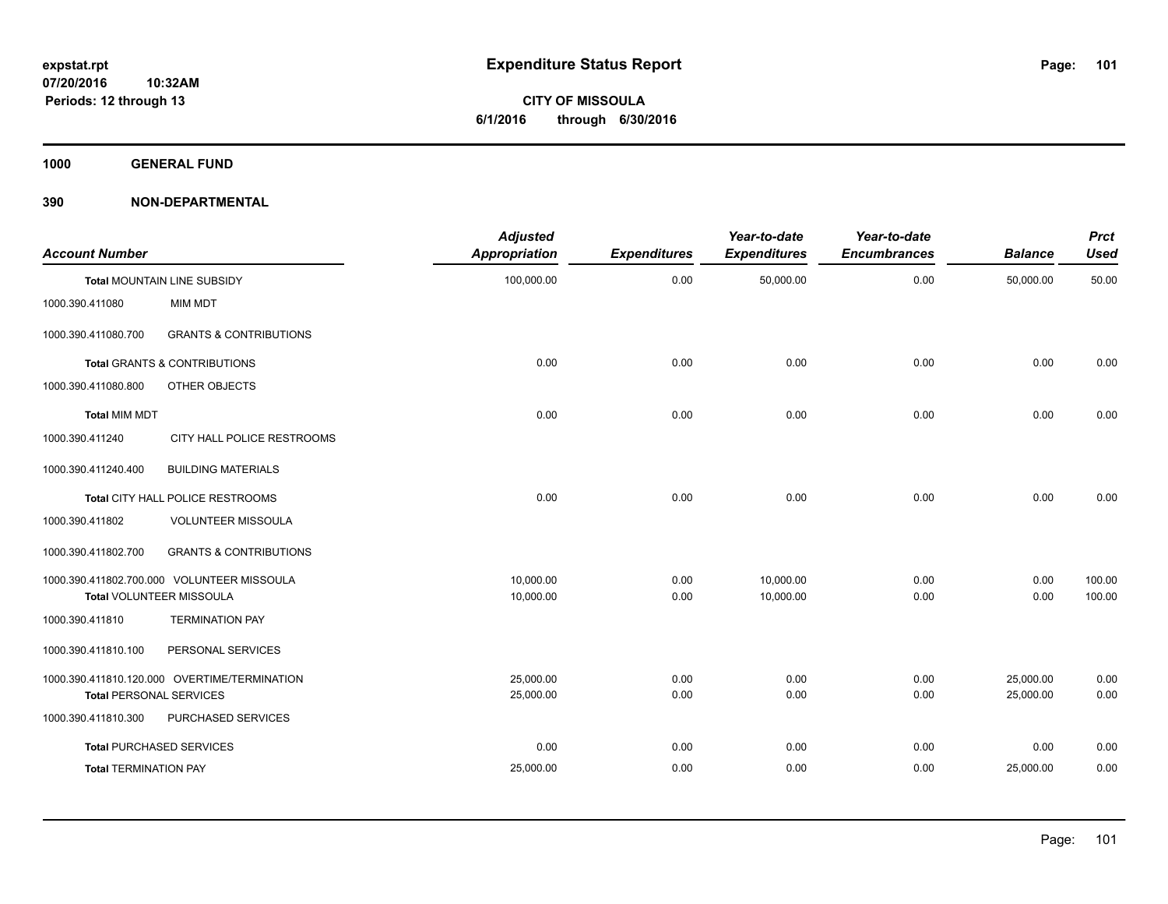**1000 GENERAL FUND**

| <b>Account Number</b>          |                                              | <b>Adjusted</b><br><b>Appropriation</b> | <b>Expenditures</b> | Year-to-date<br><b>Expenditures</b> | Year-to-date<br><b>Encumbrances</b> | <b>Balance</b> | <b>Prct</b><br><b>Used</b> |
|--------------------------------|----------------------------------------------|-----------------------------------------|---------------------|-------------------------------------|-------------------------------------|----------------|----------------------------|
|                                | <b>Total MOUNTAIN LINE SUBSIDY</b>           | 100,000.00                              | 0.00                | 50,000.00                           | 0.00                                | 50,000.00      | 50.00                      |
| 1000.390.411080                | <b>MIM MDT</b>                               |                                         |                     |                                     |                                     |                |                            |
| 1000.390.411080.700            | <b>GRANTS &amp; CONTRIBUTIONS</b>            |                                         |                     |                                     |                                     |                |                            |
|                                | Total GRANTS & CONTRIBUTIONS                 | 0.00                                    | 0.00                | 0.00                                | 0.00                                | 0.00           | 0.00                       |
| 1000.390.411080.800            | OTHER OBJECTS                                |                                         |                     |                                     |                                     |                |                            |
| <b>Total MIM MDT</b>           |                                              | 0.00                                    | 0.00                | 0.00                                | 0.00                                | 0.00           | 0.00                       |
| 1000.390.411240                | CITY HALL POLICE RESTROOMS                   |                                         |                     |                                     |                                     |                |                            |
| 1000.390.411240.400            | <b>BUILDING MATERIALS</b>                    |                                         |                     |                                     |                                     |                |                            |
|                                | Total CITY HALL POLICE RESTROOMS             | 0.00                                    | 0.00                | 0.00                                | 0.00                                | 0.00           | 0.00                       |
| 1000.390.411802                | <b>VOLUNTEER MISSOULA</b>                    |                                         |                     |                                     |                                     |                |                            |
| 1000.390.411802.700            | <b>GRANTS &amp; CONTRIBUTIONS</b>            |                                         |                     |                                     |                                     |                |                            |
|                                | 1000.390.411802.700.000 VOLUNTEER MISSOULA   | 10.000.00                               | 0.00                | 10,000.00                           | 0.00                                | 0.00           | 100.00                     |
|                                | Total VOLUNTEER MISSOULA                     | 10,000.00                               | 0.00                | 10,000.00                           | 0.00                                | 0.00           | 100.00                     |
| 1000.390.411810                | <b>TERMINATION PAY</b>                       |                                         |                     |                                     |                                     |                |                            |
| 1000.390.411810.100            | PERSONAL SERVICES                            |                                         |                     |                                     |                                     |                |                            |
|                                | 1000.390.411810.120.000 OVERTIME/TERMINATION | 25,000.00                               | 0.00                | 0.00                                | 0.00                                | 25,000.00      | 0.00                       |
| <b>Total PERSONAL SERVICES</b> |                                              | 25,000.00                               | 0.00                | 0.00                                | 0.00                                | 25,000.00      | 0.00                       |
| 1000.390.411810.300            | PURCHASED SERVICES                           |                                         |                     |                                     |                                     |                |                            |
|                                | <b>Total PURCHASED SERVICES</b>              | 0.00                                    | 0.00                | 0.00                                | 0.00                                | 0.00           | 0.00                       |
| <b>Total TERMINATION PAY</b>   |                                              | 25,000.00                               | 0.00                | 0.00                                | 0.00                                | 25,000.00      | 0.00                       |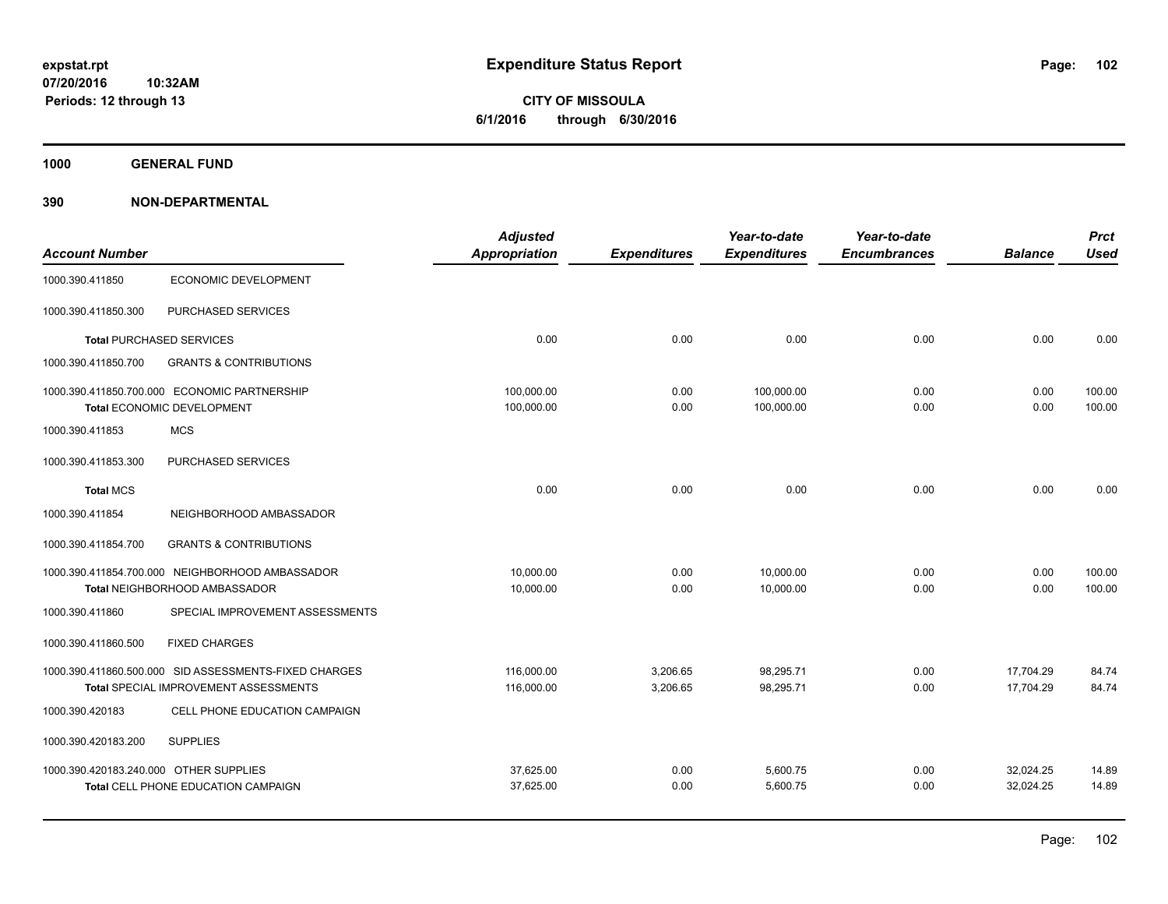**CITY OF MISSOULA 6/1/2016 through 6/30/2016**

**1000 GENERAL FUND**

|                                        |                                                                                                | <b>Adjusted</b>          |                      | Year-to-date             | Year-to-date        |                        | <b>Prct</b>      |
|----------------------------------------|------------------------------------------------------------------------------------------------|--------------------------|----------------------|--------------------------|---------------------|------------------------|------------------|
| <b>Account Number</b>                  |                                                                                                | <b>Appropriation</b>     | <b>Expenditures</b>  | <b>Expenditures</b>      | <b>Encumbrances</b> | <b>Balance</b>         | <b>Used</b>      |
| 1000.390.411850                        | <b>ECONOMIC DEVELOPMENT</b>                                                                    |                          |                      |                          |                     |                        |                  |
| 1000.390.411850.300                    | PURCHASED SERVICES                                                                             |                          |                      |                          |                     |                        |                  |
|                                        | <b>Total PURCHASED SERVICES</b>                                                                | 0.00                     | 0.00                 | 0.00                     | 0.00                | 0.00                   | 0.00             |
| 1000.390.411850.700                    | <b>GRANTS &amp; CONTRIBUTIONS</b>                                                              |                          |                      |                          |                     |                        |                  |
|                                        | 1000.390.411850.700.000 ECONOMIC PARTNERSHIP<br><b>Total ECONOMIC DEVELOPMENT</b>              | 100,000.00<br>100,000.00 | 0.00<br>0.00         | 100,000.00<br>100,000.00 | 0.00<br>0.00        | 0.00<br>0.00           | 100.00<br>100.00 |
| 1000.390.411853                        | <b>MCS</b>                                                                                     |                          |                      |                          |                     |                        |                  |
| 1000.390.411853.300                    | PURCHASED SERVICES                                                                             |                          |                      |                          |                     |                        |                  |
| <b>Total MCS</b>                       |                                                                                                | 0.00                     | 0.00                 | 0.00                     | 0.00                | 0.00                   | 0.00             |
| 1000.390.411854                        | NEIGHBORHOOD AMBASSADOR                                                                        |                          |                      |                          |                     |                        |                  |
| 1000.390.411854.700                    | <b>GRANTS &amp; CONTRIBUTIONS</b>                                                              |                          |                      |                          |                     |                        |                  |
|                                        | 1000.390.411854.700.000 NEIGHBORHOOD AMBASSADOR<br>Total NEIGHBORHOOD AMBASSADOR               | 10.000.00<br>10,000.00   | 0.00<br>0.00         | 10.000.00<br>10,000.00   | 0.00<br>0.00        | 0.00<br>0.00           | 100.00<br>100.00 |
| 1000.390.411860                        | SPECIAL IMPROVEMENT ASSESSMENTS                                                                |                          |                      |                          |                     |                        |                  |
| 1000.390.411860.500                    | <b>FIXED CHARGES</b>                                                                           |                          |                      |                          |                     |                        |                  |
|                                        | 1000.390.411860.500.000 SID ASSESSMENTS-FIXED CHARGES<br>Total SPECIAL IMPROVEMENT ASSESSMENTS | 116,000.00<br>116,000.00 | 3,206.65<br>3,206.65 | 98,295.71<br>98,295.71   | 0.00<br>0.00        | 17,704.29<br>17,704.29 | 84.74<br>84.74   |
| 1000.390.420183                        | CELL PHONE EDUCATION CAMPAIGN                                                                  |                          |                      |                          |                     |                        |                  |
| 1000.390.420183.200                    | <b>SUPPLIES</b>                                                                                |                          |                      |                          |                     |                        |                  |
| 1000.390.420183.240.000 OTHER SUPPLIES | Total CELL PHONE EDUCATION CAMPAIGN                                                            | 37.625.00<br>37,625.00   | 0.00<br>0.00         | 5,600.75<br>5,600.75     | 0.00<br>0.00        | 32,024.25<br>32,024.25 | 14.89<br>14.89   |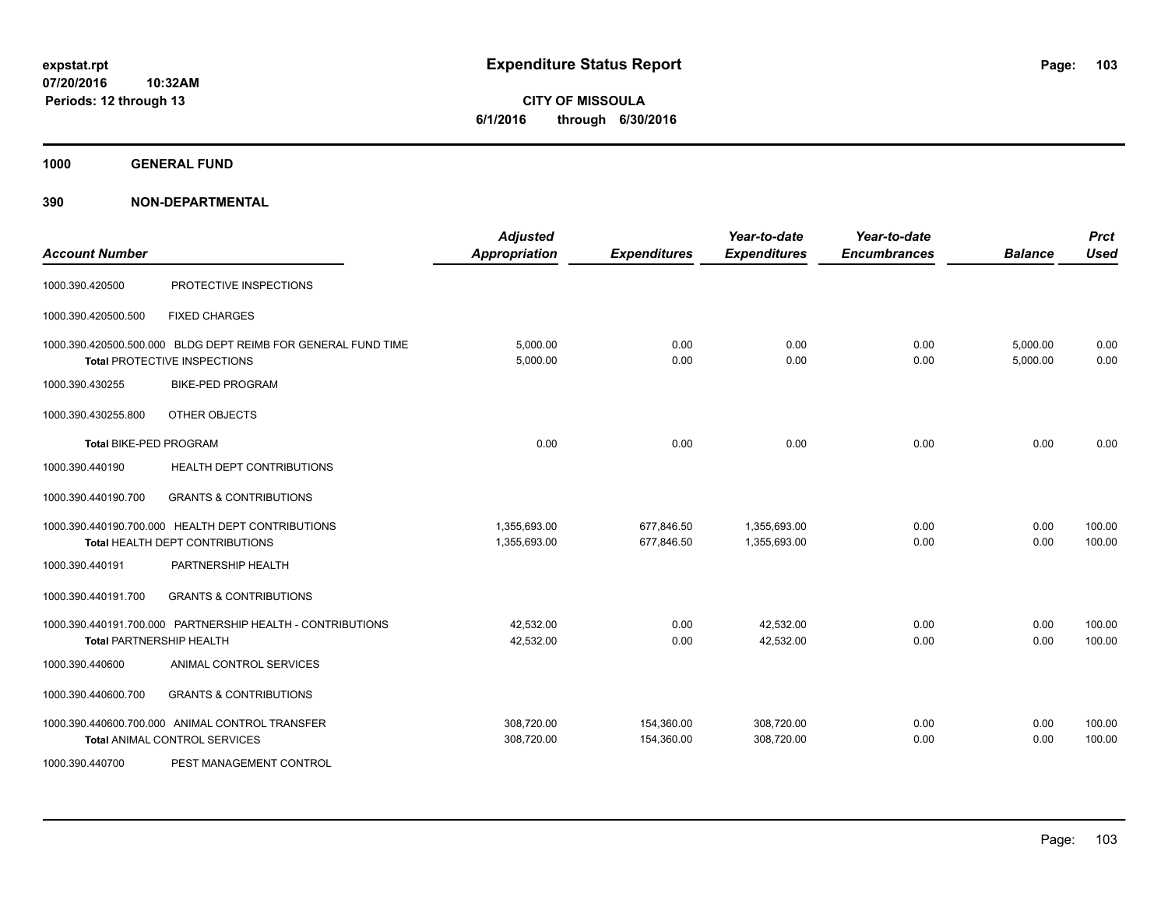**1000 GENERAL FUND**

| <b>Account Number</b>  |                                                                                                      | <b>Adjusted</b><br><b>Appropriation</b> | <b>Expenditures</b>      | Year-to-date<br><b>Expenditures</b> | Year-to-date<br><b>Encumbrances</b> | <b>Balance</b>       | <b>Prct</b><br><b>Used</b> |
|------------------------|------------------------------------------------------------------------------------------------------|-----------------------------------------|--------------------------|-------------------------------------|-------------------------------------|----------------------|----------------------------|
| 1000.390.420500        | PROTECTIVE INSPECTIONS                                                                               |                                         |                          |                                     |                                     |                      |                            |
| 1000.390.420500.500    | <b>FIXED CHARGES</b>                                                                                 |                                         |                          |                                     |                                     |                      |                            |
|                        | 1000.390.420500.500.000 BLDG DEPT REIMB FOR GENERAL FUND TIME<br><b>Total PROTECTIVE INSPECTIONS</b> | 5,000.00<br>5,000.00                    | 0.00<br>0.00             | 0.00<br>0.00                        | 0.00<br>0.00                        | 5,000.00<br>5,000.00 | 0.00<br>0.00               |
| 1000.390.430255        | <b>BIKE-PED PROGRAM</b>                                                                              |                                         |                          |                                     |                                     |                      |                            |
| 1000.390.430255.800    | OTHER OBJECTS                                                                                        |                                         |                          |                                     |                                     |                      |                            |
| Total BIKE-PED PROGRAM |                                                                                                      | 0.00                                    | 0.00                     | 0.00                                | 0.00                                | 0.00                 | 0.00                       |
| 1000.390.440190        | HEALTH DEPT CONTRIBUTIONS                                                                            |                                         |                          |                                     |                                     |                      |                            |
| 1000.390.440190.700    | <b>GRANTS &amp; CONTRIBUTIONS</b>                                                                    |                                         |                          |                                     |                                     |                      |                            |
|                        | 1000.390.440190.700.000 HEALTH DEPT CONTRIBUTIONS<br>Total HEALTH DEPT CONTRIBUTIONS                 | 1,355,693.00<br>1,355,693.00            | 677,846.50<br>677,846.50 | 1,355,693.00<br>1,355,693.00        | 0.00<br>0.00                        | 0.00<br>0.00         | 100.00<br>100.00           |
| 1000.390.440191        | PARTNERSHIP HEALTH                                                                                   |                                         |                          |                                     |                                     |                      |                            |
| 1000.390.440191.700    | <b>GRANTS &amp; CONTRIBUTIONS</b>                                                                    |                                         |                          |                                     |                                     |                      |                            |
|                        | 1000.390.440191.700.000 PARTNERSHIP HEALTH - CONTRIBUTIONS<br><b>Total PARTNERSHIP HEALTH</b>        | 42,532.00<br>42,532.00                  | 0.00<br>0.00             | 42,532.00<br>42,532.00              | 0.00<br>0.00                        | 0.00<br>0.00         | 100.00<br>100.00           |
| 1000.390.440600        | ANIMAL CONTROL SERVICES                                                                              |                                         |                          |                                     |                                     |                      |                            |
| 1000.390.440600.700    | <b>GRANTS &amp; CONTRIBUTIONS</b>                                                                    |                                         |                          |                                     |                                     |                      |                            |
|                        | 1000.390.440600.700.000 ANIMAL CONTROL TRANSFER<br>Total ANIMAL CONTROL SERVICES                     | 308,720.00<br>308,720.00                | 154,360.00<br>154,360.00 | 308,720.00<br>308.720.00            | 0.00<br>0.00                        | 0.00<br>0.00         | 100.00<br>100.00           |
| 1000.390.440700        | PEST MANAGEMENT CONTROL                                                                              |                                         |                          |                                     |                                     |                      |                            |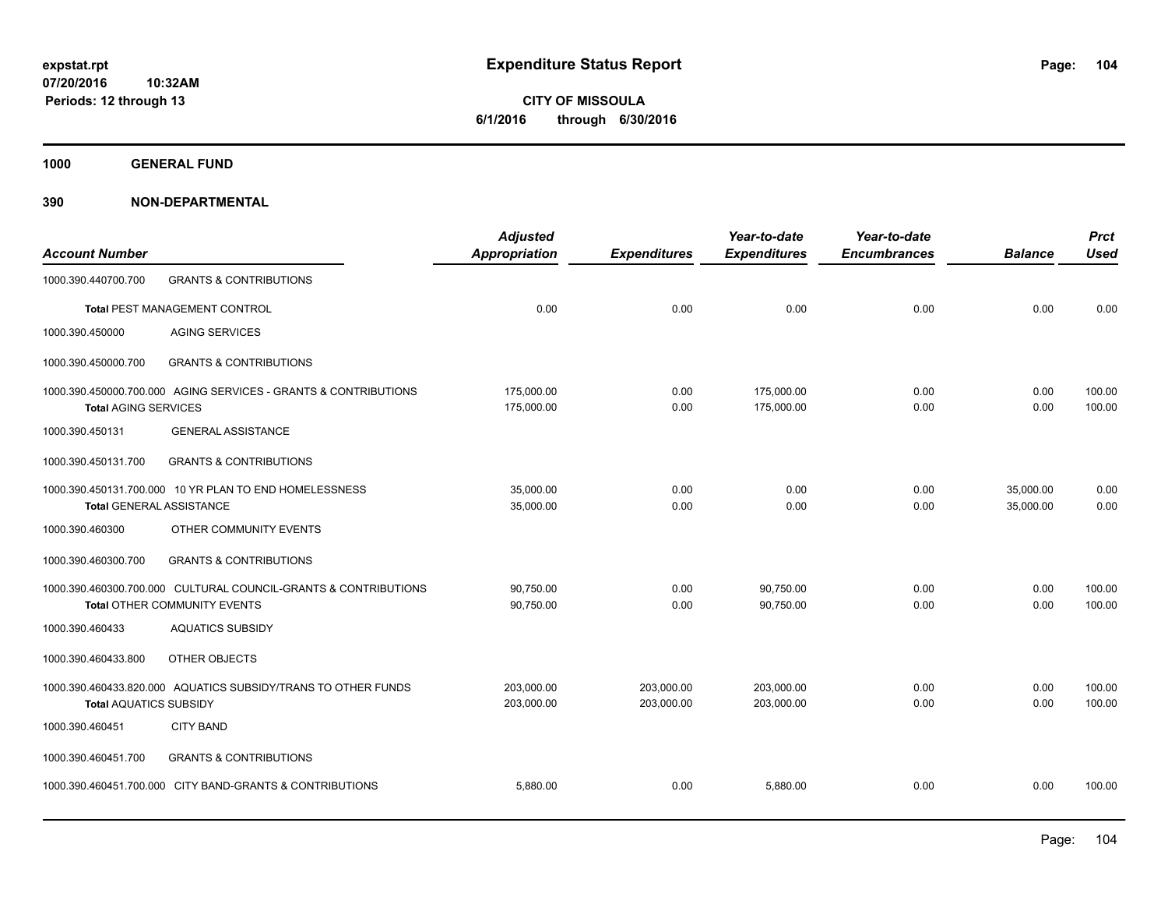**CITY OF MISSOULA 6/1/2016 through 6/30/2016**

**1000 GENERAL FUND**

| <b>Account Number</b>           |                                                                                                 | <b>Adjusted</b><br>Appropriation | <b>Expenditures</b>      | Year-to-date<br><b>Expenditures</b> | Year-to-date<br><b>Encumbrances</b> | <b>Balance</b>         | <b>Prct</b><br><b>Used</b> |
|---------------------------------|-------------------------------------------------------------------------------------------------|----------------------------------|--------------------------|-------------------------------------|-------------------------------------|------------------------|----------------------------|
| 1000.390.440700.700             | <b>GRANTS &amp; CONTRIBUTIONS</b>                                                               |                                  |                          |                                     |                                     |                        |                            |
|                                 | <b>Total PEST MANAGEMENT CONTROL</b>                                                            | 0.00                             | 0.00                     | 0.00                                | 0.00                                | 0.00                   | 0.00                       |
| 1000.390.450000                 | <b>AGING SERVICES</b>                                                                           |                                  |                          |                                     |                                     |                        |                            |
| 1000.390.450000.700             | <b>GRANTS &amp; CONTRIBUTIONS</b>                                                               |                                  |                          |                                     |                                     |                        |                            |
| <b>Total AGING SERVICES</b>     | 1000.390.450000.700.000 AGING SERVICES - GRANTS & CONTRIBUTIONS                                 | 175,000.00<br>175,000.00         | 0.00<br>0.00             | 175,000.00<br>175,000.00            | 0.00<br>0.00                        | 0.00<br>0.00           | 100.00<br>100.00           |
| 1000.390.450131                 | <b>GENERAL ASSISTANCE</b>                                                                       |                                  |                          |                                     |                                     |                        |                            |
| 1000.390.450131.700             | <b>GRANTS &amp; CONTRIBUTIONS</b>                                                               |                                  |                          |                                     |                                     |                        |                            |
| <b>Total GENERAL ASSISTANCE</b> | 1000.390.450131.700.000 10 YR PLAN TO END HOMELESSNESS                                          | 35,000.00<br>35,000.00           | 0.00<br>0.00             | 0.00<br>0.00                        | 0.00<br>0.00                        | 35,000.00<br>35,000.00 | 0.00<br>0.00               |
| 1000.390.460300                 | OTHER COMMUNITY EVENTS                                                                          |                                  |                          |                                     |                                     |                        |                            |
| 1000.390.460300.700             | <b>GRANTS &amp; CONTRIBUTIONS</b>                                                               |                                  |                          |                                     |                                     |                        |                            |
|                                 | 1000.390.460300.700.000 CULTURAL COUNCIL-GRANTS & CONTRIBUTIONS<br>Total OTHER COMMUNITY EVENTS | 90,750.00<br>90,750.00           | 0.00<br>0.00             | 90.750.00<br>90.750.00              | 0.00<br>0.00                        | 0.00<br>0.00           | 100.00<br>100.00           |
| 1000.390.460433                 | <b>AQUATICS SUBSIDY</b>                                                                         |                                  |                          |                                     |                                     |                        |                            |
| 1000.390.460433.800             | OTHER OBJECTS                                                                                   |                                  |                          |                                     |                                     |                        |                            |
| <b>Total AQUATICS SUBSIDY</b>   | 1000.390.460433.820.000 AQUATICS SUBSIDY/TRANS TO OTHER FUNDS                                   | 203,000.00<br>203,000.00         | 203,000.00<br>203,000.00 | 203,000.00<br>203,000.00            | 0.00<br>0.00                        | 0.00<br>0.00           | 100.00<br>100.00           |
| 1000.390.460451                 | <b>CITY BAND</b>                                                                                |                                  |                          |                                     |                                     |                        |                            |
| 1000.390.460451.700             | <b>GRANTS &amp; CONTRIBUTIONS</b>                                                               |                                  |                          |                                     |                                     |                        |                            |
|                                 | 1000.390.460451.700.000 CITY BAND-GRANTS & CONTRIBUTIONS                                        | 5,880.00                         | 0.00                     | 5,880.00                            | 0.00                                | 0.00                   | 100.00                     |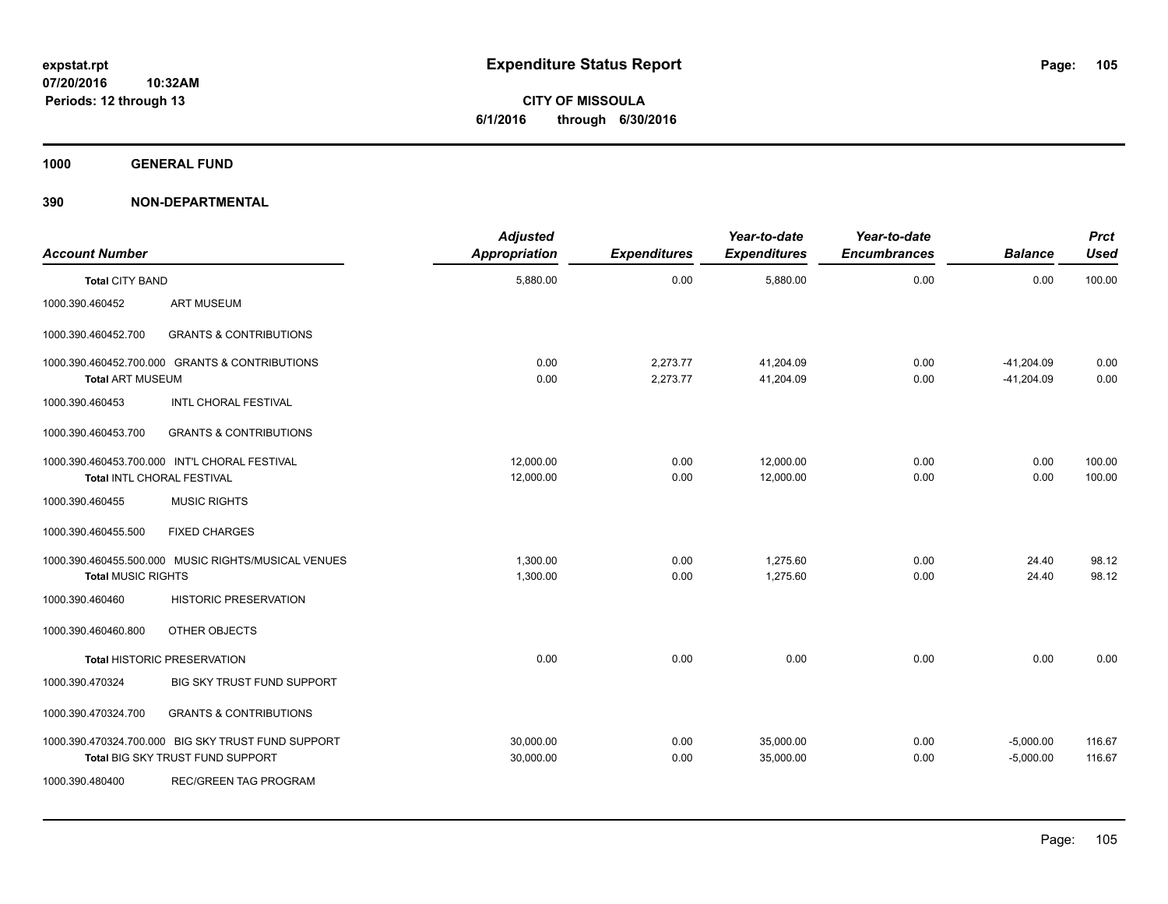**CITY OF MISSOULA 6/1/2016 through 6/30/2016**

**1000 GENERAL FUND**

| <b>Account Number</b>     |                                                                                        | <b>Adjusted</b><br>Appropriation | <b>Expenditures</b>  | Year-to-date<br><b>Expenditures</b> | Year-to-date<br><b>Encumbrances</b> | <b>Balance</b>               | <b>Prct</b><br><b>Used</b> |
|---------------------------|----------------------------------------------------------------------------------------|----------------------------------|----------------------|-------------------------------------|-------------------------------------|------------------------------|----------------------------|
| <b>Total CITY BAND</b>    |                                                                                        | 5,880.00                         | 0.00                 | 5,880.00                            | 0.00                                | 0.00                         | 100.00                     |
| 1000.390.460452           | <b>ART MUSEUM</b>                                                                      |                                  |                      |                                     |                                     |                              |                            |
| 1000.390.460452.700       | <b>GRANTS &amp; CONTRIBUTIONS</b>                                                      |                                  |                      |                                     |                                     |                              |                            |
| <b>Total ART MUSEUM</b>   | 1000.390.460452.700.000 GRANTS & CONTRIBUTIONS                                         | 0.00<br>0.00                     | 2,273.77<br>2,273.77 | 41,204.09<br>41,204.09              | 0.00<br>0.00                        | $-41,204.09$<br>$-41,204.09$ | 0.00<br>0.00               |
| 1000.390.460453           | <b>INTL CHORAL FESTIVAL</b>                                                            |                                  |                      |                                     |                                     |                              |                            |
| 1000.390.460453.700       | <b>GRANTS &amp; CONTRIBUTIONS</b>                                                      |                                  |                      |                                     |                                     |                              |                            |
|                           | 1000.390.460453.700.000 INT'L CHORAL FESTIVAL<br>Total INTL CHORAL FESTIVAL            | 12,000.00<br>12,000.00           | 0.00<br>0.00         | 12,000.00<br>12,000.00              | 0.00<br>0.00                        | 0.00<br>0.00                 | 100.00<br>100.00           |
| 1000.390.460455           | <b>MUSIC RIGHTS</b>                                                                    |                                  |                      |                                     |                                     |                              |                            |
| 1000.390.460455.500       | <b>FIXED CHARGES</b>                                                                   |                                  |                      |                                     |                                     |                              |                            |
| <b>Total MUSIC RIGHTS</b> | 1000.390.460455.500.000 MUSIC RIGHTS/MUSICAL VENUES                                    | 1,300.00<br>1,300.00             | 0.00<br>0.00         | 1.275.60<br>1,275.60                | 0.00<br>0.00                        | 24.40<br>24.40               | 98.12<br>98.12             |
| 1000.390.460460           | <b>HISTORIC PRESERVATION</b>                                                           |                                  |                      |                                     |                                     |                              |                            |
| 1000.390.460460.800       | OTHER OBJECTS                                                                          |                                  |                      |                                     |                                     |                              |                            |
|                           | <b>Total HISTORIC PRESERVATION</b>                                                     | 0.00                             | 0.00                 | 0.00                                | 0.00                                | 0.00                         | 0.00                       |
| 1000.390.470324           | BIG SKY TRUST FUND SUPPORT                                                             |                                  |                      |                                     |                                     |                              |                            |
| 1000.390.470324.700       | <b>GRANTS &amp; CONTRIBUTIONS</b>                                                      |                                  |                      |                                     |                                     |                              |                            |
|                           | 1000.390.470324.700.000 BIG SKY TRUST FUND SUPPORT<br>Total BIG SKY TRUST FUND SUPPORT | 30,000.00<br>30,000.00           | 0.00<br>0.00         | 35,000.00<br>35,000.00              | 0.00<br>0.00                        | $-5,000.00$<br>$-5,000.00$   | 116.67<br>116.67           |
| 1000.390.480400           | <b>REC/GREEN TAG PROGRAM</b>                                                           |                                  |                      |                                     |                                     |                              |                            |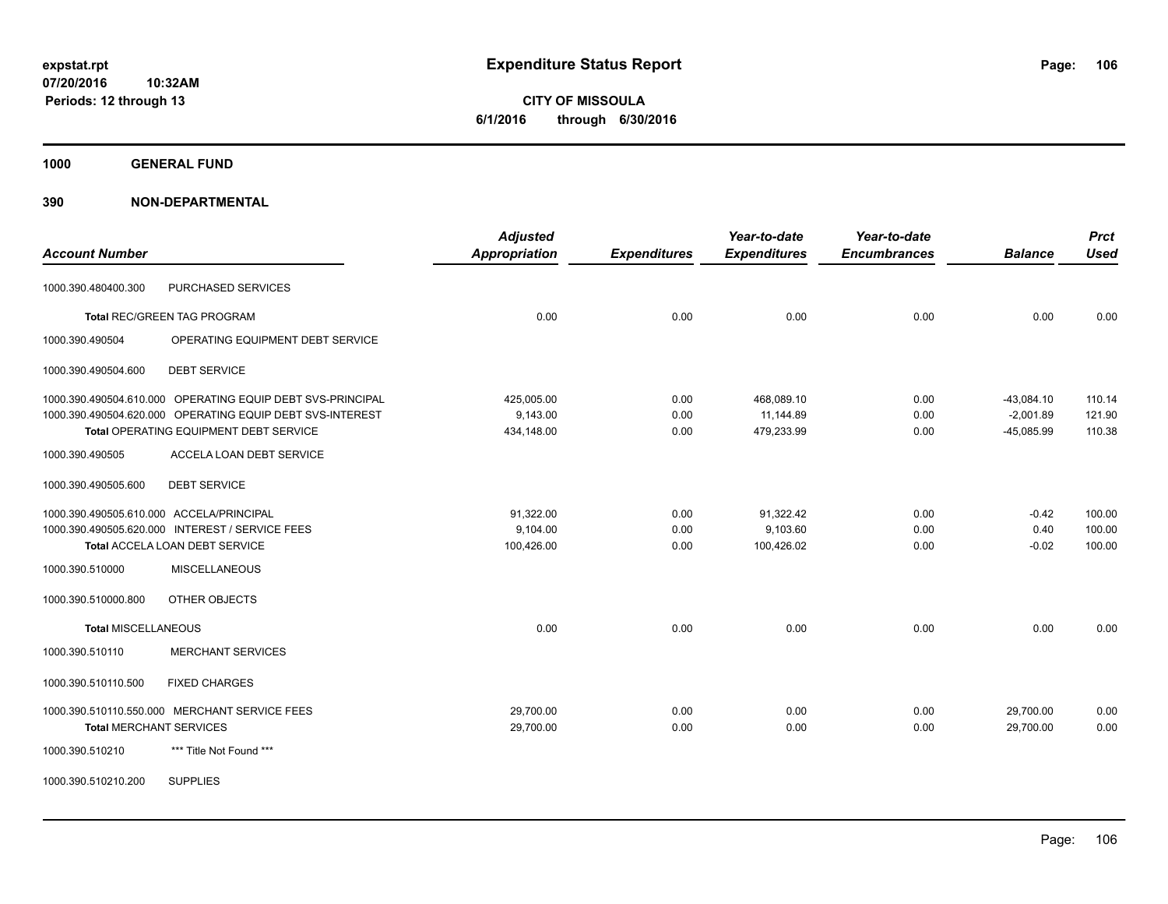**CITY OF MISSOULA 6/1/2016 through 6/30/2016**

**1000 GENERAL FUND**

| <b>Account Number</b>                                      | <b>Adjusted</b><br><b>Appropriation</b> | <b>Expenditures</b> | Year-to-date<br><b>Expenditures</b> | Year-to-date<br><b>Encumbrances</b> | <b>Balance</b> | <b>Prct</b><br><b>Used</b> |
|------------------------------------------------------------|-----------------------------------------|---------------------|-------------------------------------|-------------------------------------|----------------|----------------------------|
| PURCHASED SERVICES<br>1000.390.480400.300                  |                                         |                     |                                     |                                     |                |                            |
| <b>Total REC/GREEN TAG PROGRAM</b>                         | 0.00                                    | 0.00                | 0.00                                | 0.00                                | 0.00           | 0.00                       |
| 1000.390.490504<br>OPERATING EQUIPMENT DEBT SERVICE        |                                         |                     |                                     |                                     |                |                            |
| <b>DEBT SERVICE</b><br>1000.390.490504.600                 |                                         |                     |                                     |                                     |                |                            |
| 1000.390.490504.610.000 OPERATING EQUIP DEBT SVS-PRINCIPAL | 425.005.00                              | 0.00                | 468.089.10                          | 0.00                                | $-43,084.10$   | 110.14                     |
| 1000.390.490504.620.000 OPERATING EQUIP DEBT SVS-INTEREST  | 9,143.00                                | 0.00                | 11,144.89                           | 0.00                                | $-2,001.89$    | 121.90                     |
| Total OPERATING EQUIPMENT DEBT SERVICE                     | 434,148.00                              | 0.00                | 479,233.99                          | 0.00                                | $-45,085.99$   | 110.38                     |
| <b>ACCELA LOAN DEBT SERVICE</b><br>1000.390.490505         |                                         |                     |                                     |                                     |                |                            |
| <b>DEBT SERVICE</b><br>1000.390.490505.600                 |                                         |                     |                                     |                                     |                |                            |
| 1000.390.490505.610.000 ACCELA/PRINCIPAL                   | 91,322.00                               | 0.00                | 91,322.42                           | 0.00                                | $-0.42$        | 100.00                     |
| 1000.390.490505.620.000 INTEREST / SERVICE FEES            | 9,104.00                                | 0.00                | 9,103.60                            | 0.00                                | 0.40           | 100.00                     |
| Total ACCELA LOAN DEBT SERVICE                             | 100,426.00                              | 0.00                | 100,426.02                          | 0.00                                | $-0.02$        | 100.00                     |
| 1000.390.510000<br><b>MISCELLANEOUS</b>                    |                                         |                     |                                     |                                     |                |                            |
| 1000.390.510000.800<br>OTHER OBJECTS                       |                                         |                     |                                     |                                     |                |                            |
| <b>Total MISCELLANEOUS</b>                                 | 0.00                                    | 0.00                | 0.00                                | 0.00                                | 0.00           | 0.00                       |
| <b>MERCHANT SERVICES</b><br>1000.390.510110                |                                         |                     |                                     |                                     |                |                            |
| 1000.390.510110.500<br><b>FIXED CHARGES</b>                |                                         |                     |                                     |                                     |                |                            |
| 1000.390.510110.550.000 MERCHANT SERVICE FEES              | 29,700.00                               | 0.00                | 0.00                                | 0.00                                | 29,700.00      | 0.00                       |
| <b>Total MERCHANT SERVICES</b>                             | 29,700.00                               | 0.00                | 0.00                                | 0.00                                | 29.700.00      | 0.00                       |
| 1000.390.510210<br>*** Title Not Found ***                 |                                         |                     |                                     |                                     |                |                            |
| <b>SUPPLIES</b><br>1000.390.510210.200                     |                                         |                     |                                     |                                     |                |                            |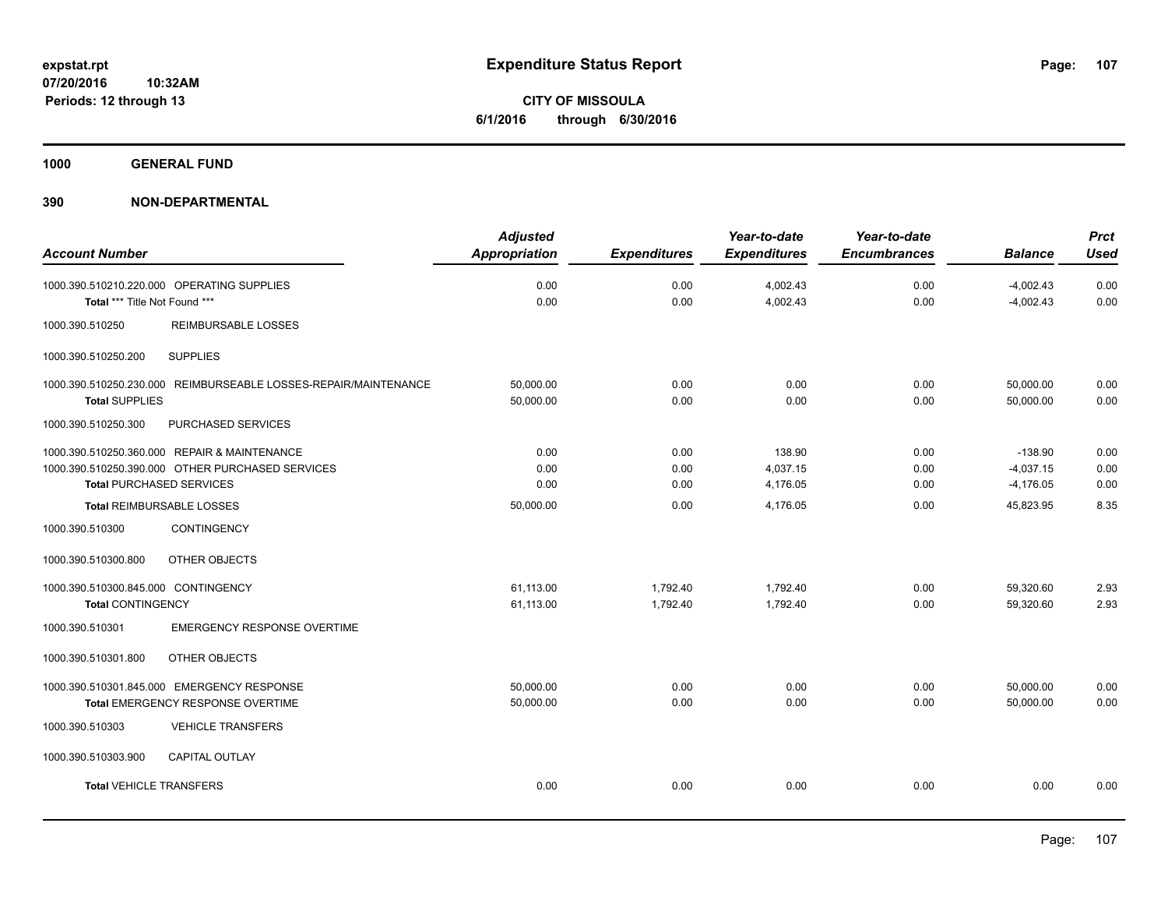**CITY OF MISSOULA 6/1/2016 through 6/30/2016**

**1000 GENERAL FUND**

|                                                                 | <b>Adjusted</b>      |                     | Year-to-date        | Year-to-date        |                | <b>Prct</b> |
|-----------------------------------------------------------------|----------------------|---------------------|---------------------|---------------------|----------------|-------------|
| <b>Account Number</b>                                           | <b>Appropriation</b> | <b>Expenditures</b> | <b>Expenditures</b> | <b>Encumbrances</b> | <b>Balance</b> | <b>Used</b> |
| 1000.390.510210.220.000 OPERATING SUPPLIES                      | 0.00                 | 0.00                | 4,002.43            | 0.00                | $-4,002.43$    | 0.00        |
| Total *** Title Not Found ***                                   | 0.00                 | 0.00                | 4,002.43            | 0.00                | $-4,002.43$    | 0.00        |
| 1000.390.510250<br><b>REIMBURSABLE LOSSES</b>                   |                      |                     |                     |                     |                |             |
| <b>SUPPLIES</b><br>1000.390.510250.200                          |                      |                     |                     |                     |                |             |
| 1000.390.510250.230.000 REIMBURSEABLE LOSSES-REPAIR/MAINTENANCE | 50,000.00            | 0.00                | 0.00                | 0.00                | 50,000.00      | 0.00        |
| <b>Total SUPPLIES</b>                                           | 50,000.00            | 0.00                | 0.00                | 0.00                | 50,000.00      | 0.00        |
| 1000.390.510250.300<br>PURCHASED SERVICES                       |                      |                     |                     |                     |                |             |
| 1000.390.510250.360.000 REPAIR & MAINTENANCE                    | 0.00                 | 0.00                | 138.90              | 0.00                | $-138.90$      | 0.00        |
| 1000.390.510250.390.000 OTHER PURCHASED SERVICES                | 0.00                 | 0.00                | 4,037.15            | 0.00                | $-4,037.15$    | 0.00        |
| <b>Total PURCHASED SERVICES</b>                                 | 0.00                 | 0.00                | 4,176.05            | 0.00                | $-4,176.05$    | 0.00        |
| Total REIMBURSABLE LOSSES                                       | 50,000.00            | 0.00                | 4,176.05            | 0.00                | 45,823.95      | 8.35        |
| 1000.390.510300<br>CONTINGENCY                                  |                      |                     |                     |                     |                |             |
| OTHER OBJECTS<br>1000.390.510300.800                            |                      |                     |                     |                     |                |             |
| 1000.390.510300.845.000 CONTINGENCY                             | 61,113.00            | 1,792.40            | 1,792.40            | 0.00                | 59,320.60      | 2.93        |
| <b>Total CONTINGENCY</b>                                        | 61,113.00            | 1,792.40            | 1,792.40            | 0.00                | 59,320.60      | 2.93        |
| <b>EMERGENCY RESPONSE OVERTIME</b><br>1000.390.510301           |                      |                     |                     |                     |                |             |
| 1000.390.510301.800<br>OTHER OBJECTS                            |                      |                     |                     |                     |                |             |
| 1000.390.510301.845.000 EMERGENCY RESPONSE                      | 50,000.00            | 0.00                | 0.00                | 0.00                | 50,000.00      | 0.00        |
| Total EMERGENCY RESPONSE OVERTIME                               | 50,000.00            | 0.00                | 0.00                | 0.00                | 50,000.00      | 0.00        |
| 1000.390.510303<br><b>VEHICLE TRANSFERS</b>                     |                      |                     |                     |                     |                |             |
| 1000.390.510303.900<br><b>CAPITAL OUTLAY</b>                    |                      |                     |                     |                     |                |             |
| <b>Total VEHICLE TRANSFERS</b>                                  | 0.00                 | 0.00                | 0.00                | 0.00                | 0.00           | 0.00        |
|                                                                 |                      |                     |                     |                     |                |             |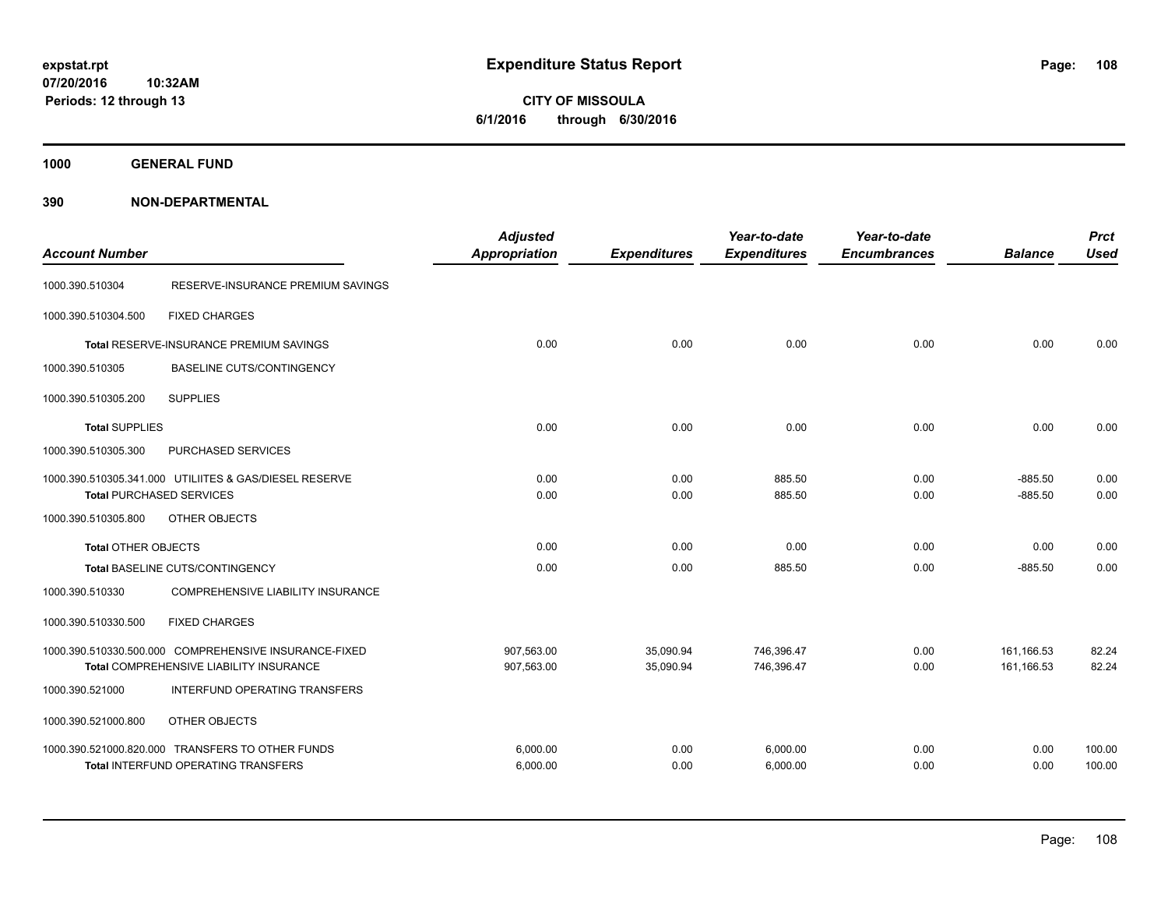**1000 GENERAL FUND**

| <b>Account Number</b>      |                                                                                                         | <b>Adjusted</b><br><b>Appropriation</b> | <b>Expenditures</b>    | Year-to-date<br><b>Expenditures</b> | Year-to-date<br><b>Encumbrances</b> | <b>Balance</b>           | <b>Prct</b><br><b>Used</b> |
|----------------------------|---------------------------------------------------------------------------------------------------------|-----------------------------------------|------------------------|-------------------------------------|-------------------------------------|--------------------------|----------------------------|
| 1000.390.510304            | RESERVE-INSURANCE PREMIUM SAVINGS                                                                       |                                         |                        |                                     |                                     |                          |                            |
| 1000.390.510304.500        | <b>FIXED CHARGES</b>                                                                                    |                                         |                        |                                     |                                     |                          |                            |
|                            | Total RESERVE-INSURANCE PREMIUM SAVINGS                                                                 | 0.00                                    | 0.00                   | 0.00                                | 0.00                                | 0.00                     | 0.00                       |
| 1000.390.510305            | <b>BASELINE CUTS/CONTINGENCY</b>                                                                        |                                         |                        |                                     |                                     |                          |                            |
| 1000.390.510305.200        | <b>SUPPLIES</b>                                                                                         |                                         |                        |                                     |                                     |                          |                            |
| <b>Total SUPPLIES</b>      |                                                                                                         | 0.00                                    | 0.00                   | 0.00                                | 0.00                                | 0.00                     | 0.00                       |
| 1000.390.510305.300        | PURCHASED SERVICES                                                                                      |                                         |                        |                                     |                                     |                          |                            |
|                            | 1000.390.510305.341.000 UTILIITES & GAS/DIESEL RESERVE<br><b>Total PURCHASED SERVICES</b>               | 0.00<br>0.00                            | 0.00<br>0.00           | 885.50<br>885.50                    | 0.00<br>0.00                        | $-885.50$<br>$-885.50$   | 0.00<br>0.00               |
| 1000.390.510305.800        | OTHER OBJECTS                                                                                           |                                         |                        |                                     |                                     |                          |                            |
| <b>Total OTHER OBJECTS</b> |                                                                                                         | 0.00                                    | 0.00                   | 0.00                                | 0.00                                | 0.00                     | 0.00                       |
|                            | Total BASELINE CUTS/CONTINGENCY                                                                         | 0.00                                    | 0.00                   | 885.50                              | 0.00                                | $-885.50$                | 0.00                       |
| 1000.390.510330            | COMPREHENSIVE LIABILITY INSURANCE                                                                       |                                         |                        |                                     |                                     |                          |                            |
| 1000.390.510330.500        | <b>FIXED CHARGES</b>                                                                                    |                                         |                        |                                     |                                     |                          |                            |
|                            | 1000.390.510330.500.000 COMPREHENSIVE INSURANCE-FIXED<br><b>Total COMPREHENSIVE LIABILITY INSURANCE</b> | 907.563.00<br>907,563.00                | 35,090.94<br>35.090.94 | 746,396.47<br>746.396.47            | 0.00<br>0.00                        | 161,166.53<br>161.166.53 | 82.24<br>82.24             |
| 1000.390.521000            | INTERFUND OPERATING TRANSFERS                                                                           |                                         |                        |                                     |                                     |                          |                            |
| 1000.390.521000.800        | OTHER OBJECTS                                                                                           |                                         |                        |                                     |                                     |                          |                            |
|                            | 1000.390.521000.820.000 TRANSFERS TO OTHER FUNDS<br><b>Total INTERFUND OPERATING TRANSFERS</b>          | 6,000.00<br>6,000.00                    | 0.00<br>0.00           | 6,000.00<br>6,000.00                | 0.00<br>0.00                        | 0.00<br>0.00             | 100.00<br>100.00           |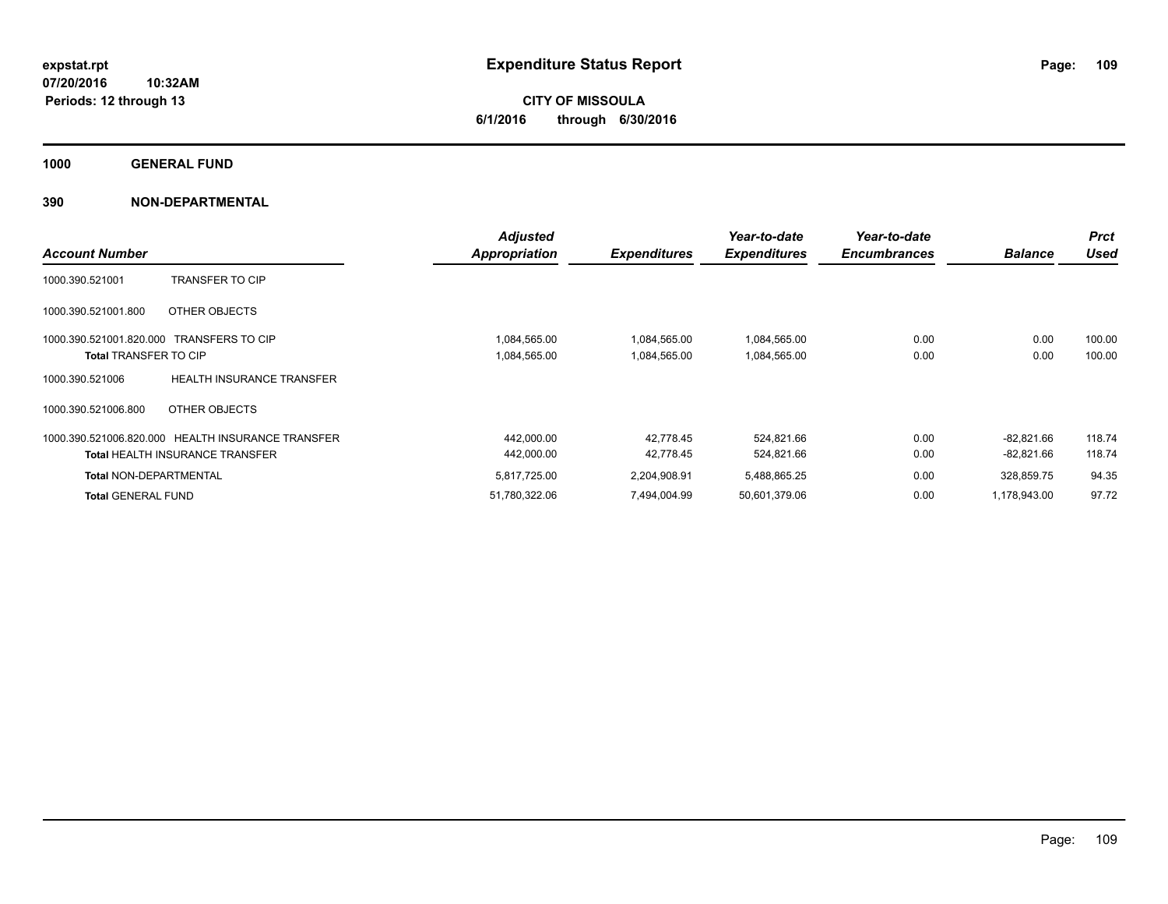**CITY OF MISSOULA 6/1/2016 through 6/30/2016**

**1000 GENERAL FUND**

|                                          |                                                   | <b>Adjusted</b> |                     | Year-to-date        | Year-to-date        |                | <b>Prct</b> |
|------------------------------------------|---------------------------------------------------|-----------------|---------------------|---------------------|---------------------|----------------|-------------|
| <b>Account Number</b>                    |                                                   | Appropriation   | <b>Expenditures</b> | <b>Expenditures</b> | <b>Encumbrances</b> | <b>Balance</b> | <b>Used</b> |
| 1000.390.521001                          | <b>TRANSFER TO CIP</b>                            |                 |                     |                     |                     |                |             |
| 1000.390.521001.800                      | OTHER OBJECTS                                     |                 |                     |                     |                     |                |             |
| 1000.390.521001.820.000 TRANSFERS TO CIP |                                                   | 1,084,565.00    | 1,084,565.00        | 1,084,565.00        | 0.00                | 0.00           | 100.00      |
| <b>Total TRANSFER TO CIP</b>             |                                                   | 1,084,565.00    | 1,084,565.00        | 1,084,565.00        | 0.00                | 0.00           | 100.00      |
| 1000.390.521006                          | <b>HEALTH INSURANCE TRANSFER</b>                  |                 |                     |                     |                     |                |             |
| 1000.390.521006.800                      | OTHER OBJECTS                                     |                 |                     |                     |                     |                |             |
|                                          | 1000.390.521006.820.000 HEALTH INSURANCE TRANSFER | 442,000.00      | 42.778.45           | 524,821.66          | 0.00                | $-82,821.66$   | 118.74      |
|                                          | <b>Total HEALTH INSURANCE TRANSFER</b>            | 442.000.00      | 42.778.45           | 524,821.66          | 0.00                | $-82,821.66$   | 118.74      |
| <b>Total NON-DEPARTMENTAL</b>            |                                                   | 5,817,725.00    | 2,204,908.91        | 5,488,865.25        | 0.00                | 328,859.75     | 94.35       |
| <b>Total GENERAL FUND</b>                |                                                   | 51,780,322.06   | 7,494,004.99        | 50,601,379.06       | 0.00                | 1,178,943.00   | 97.72       |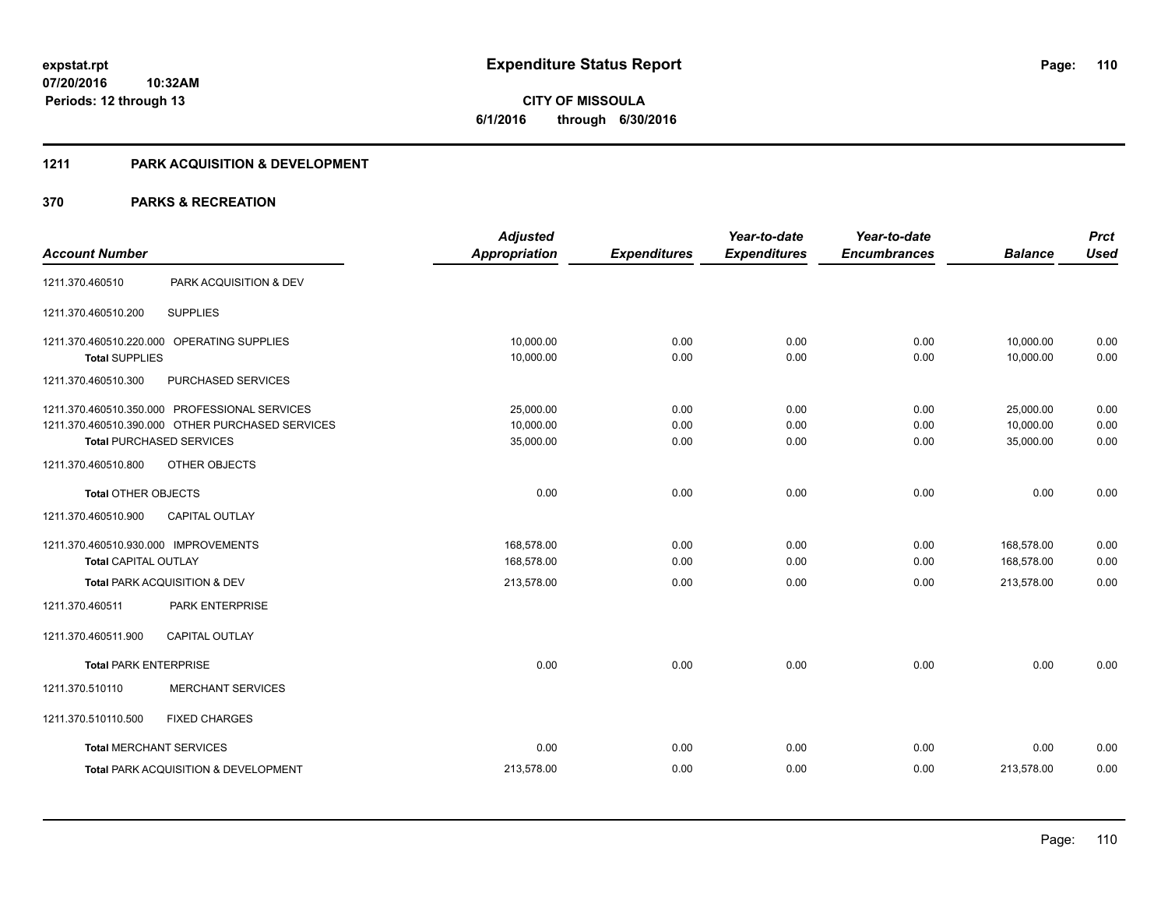# **CITY OF MISSOULA 6/1/2016 through 6/30/2016**

## **1211 PARK ACQUISITION & DEVELOPMENT**

|                                      |                                                  | <b>Adjusted</b>      |                     | Year-to-date        | Year-to-date        |                | <b>Prct</b> |
|--------------------------------------|--------------------------------------------------|----------------------|---------------------|---------------------|---------------------|----------------|-------------|
| <b>Account Number</b>                |                                                  | <b>Appropriation</b> | <b>Expenditures</b> | <b>Expenditures</b> | <b>Encumbrances</b> | <b>Balance</b> | <b>Used</b> |
| 1211.370.460510                      | PARK ACQUISITION & DEV                           |                      |                     |                     |                     |                |             |
| 1211.370.460510.200                  | <b>SUPPLIES</b>                                  |                      |                     |                     |                     |                |             |
|                                      | 1211.370.460510.220.000 OPERATING SUPPLIES       | 10,000.00            | 0.00                | 0.00                | 0.00                | 10,000.00      | 0.00        |
| <b>Total SUPPLIES</b>                |                                                  | 10,000.00            | 0.00                | 0.00                | 0.00                | 10,000.00      | 0.00        |
| 1211.370.460510.300                  | PURCHASED SERVICES                               |                      |                     |                     |                     |                |             |
|                                      | 1211.370.460510.350.000 PROFESSIONAL SERVICES    | 25,000.00            | 0.00                | 0.00                | 0.00                | 25,000.00      | 0.00        |
|                                      | 1211.370.460510.390.000 OTHER PURCHASED SERVICES | 10,000.00            | 0.00                | 0.00                | 0.00                | 10,000.00      | 0.00        |
|                                      | <b>Total PURCHASED SERVICES</b>                  | 35,000.00            | 0.00                | 0.00                | 0.00                | 35,000.00      | 0.00        |
| 1211.370.460510.800                  | OTHER OBJECTS                                    |                      |                     |                     |                     |                |             |
| <b>Total OTHER OBJECTS</b>           |                                                  | 0.00                 | 0.00                | 0.00                | 0.00                | 0.00           | 0.00        |
| 1211.370.460510.900                  | <b>CAPITAL OUTLAY</b>                            |                      |                     |                     |                     |                |             |
| 1211.370.460510.930.000 IMPROVEMENTS |                                                  | 168,578.00           | 0.00                | 0.00                | 0.00                | 168,578.00     | 0.00        |
| <b>Total CAPITAL OUTLAY</b>          |                                                  | 168,578.00           | 0.00                | 0.00                | 0.00                | 168,578.00     | 0.00        |
|                                      | Total PARK ACQUISITION & DEV                     | 213,578.00           | 0.00                | 0.00                | 0.00                | 213,578.00     | 0.00        |
| 1211.370.460511                      | PARK ENTERPRISE                                  |                      |                     |                     |                     |                |             |
| 1211.370.460511.900                  | <b>CAPITAL OUTLAY</b>                            |                      |                     |                     |                     |                |             |
| <b>Total PARK ENTERPRISE</b>         |                                                  | 0.00                 | 0.00                | 0.00                | 0.00                | 0.00           | 0.00        |
| 1211.370.510110                      | <b>MERCHANT SERVICES</b>                         |                      |                     |                     |                     |                |             |
| 1211.370.510110.500                  | <b>FIXED CHARGES</b>                             |                      |                     |                     |                     |                |             |
|                                      | <b>Total MERCHANT SERVICES</b>                   | 0.00                 | 0.00                | 0.00                | 0.00                | 0.00           | 0.00        |
|                                      | Total PARK ACQUISITION & DEVELOPMENT             | 213,578.00           | 0.00                | 0.00                | 0.00                | 213,578.00     | 0.00        |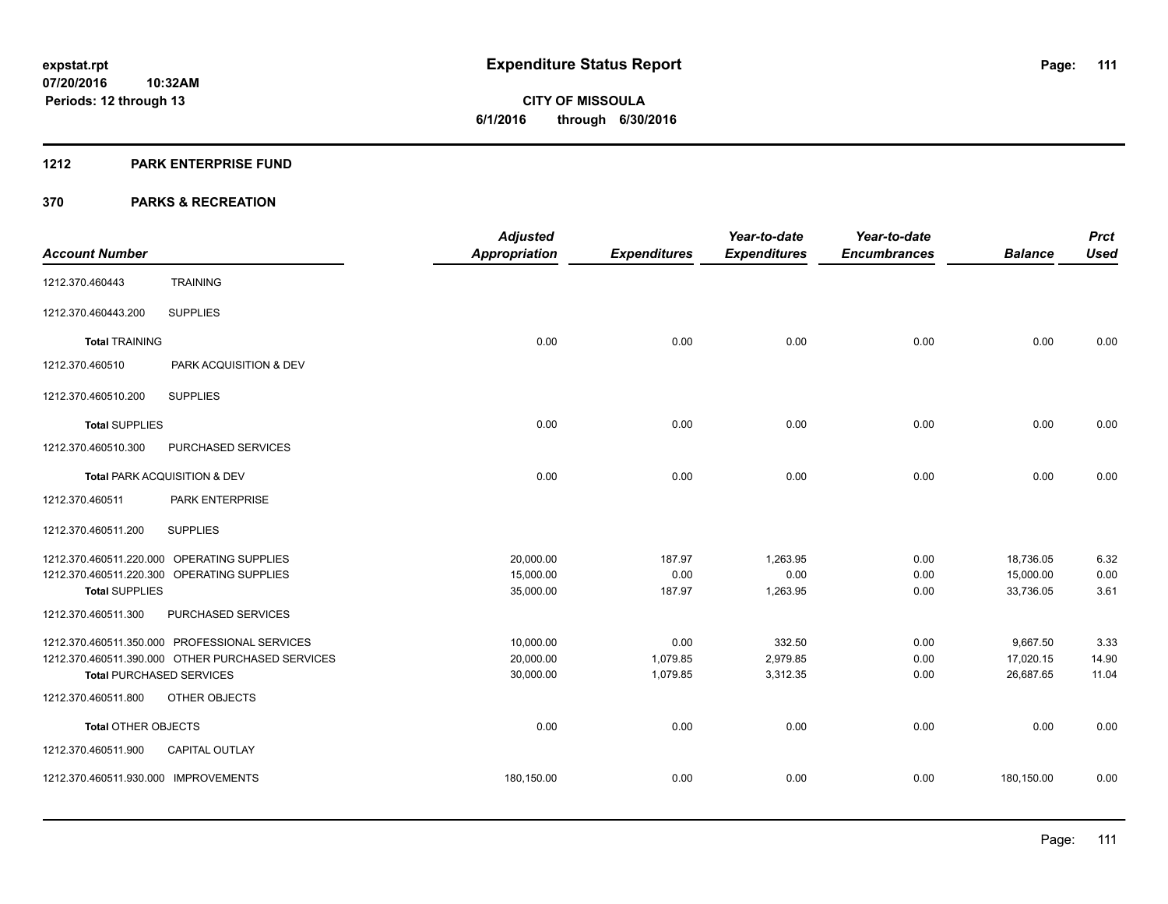**Periods: 12 through 13**

**CITY OF MISSOULA 6/1/2016 through 6/30/2016**

#### **1212 PARK ENTERPRISE FUND**

**10:32AM**

|                                                  | <b>Adjusted</b>      |                     | Year-to-date        | Year-to-date        |                | <b>Prct</b> |
|--------------------------------------------------|----------------------|---------------------|---------------------|---------------------|----------------|-------------|
| <b>Account Number</b>                            | <b>Appropriation</b> | <b>Expenditures</b> | <b>Expenditures</b> | <b>Encumbrances</b> | <b>Balance</b> | <b>Used</b> |
| <b>TRAINING</b><br>1212.370.460443               |                      |                     |                     |                     |                |             |
| <b>SUPPLIES</b><br>1212.370.460443.200           |                      |                     |                     |                     |                |             |
| <b>Total TRAINING</b>                            | 0.00                 | 0.00                | 0.00                | 0.00                | 0.00           | 0.00        |
| 1212.370.460510<br>PARK ACQUISITION & DEV        |                      |                     |                     |                     |                |             |
| <b>SUPPLIES</b><br>1212.370.460510.200           |                      |                     |                     |                     |                |             |
| <b>Total SUPPLIES</b>                            | 0.00                 | 0.00                | 0.00                | 0.00                | 0.00           | 0.00        |
| 1212.370.460510.300<br>PURCHASED SERVICES        |                      |                     |                     |                     |                |             |
| Total PARK ACQUISITION & DEV                     | 0.00                 | 0.00                | 0.00                | 0.00                | 0.00           | 0.00        |
| PARK ENTERPRISE<br>1212.370.460511               |                      |                     |                     |                     |                |             |
| <b>SUPPLIES</b><br>1212.370.460511.200           |                      |                     |                     |                     |                |             |
| 1212.370.460511.220.000 OPERATING SUPPLIES       | 20,000.00            | 187.97              | 1,263.95            | 0.00                | 18,736.05      | 6.32        |
| 1212.370.460511.220.300 OPERATING SUPPLIES       | 15,000.00            | 0.00                | 0.00                | 0.00                | 15,000.00      | 0.00        |
| <b>Total SUPPLIES</b>                            | 35,000.00            | 187.97              | 1,263.95            | 0.00                | 33,736.05      | 3.61        |
| PURCHASED SERVICES<br>1212.370.460511.300        |                      |                     |                     |                     |                |             |
| 1212.370.460511.350.000 PROFESSIONAL SERVICES    | 10,000.00            | 0.00                | 332.50              | 0.00                | 9,667.50       | 3.33        |
| 1212.370.460511.390.000 OTHER PURCHASED SERVICES | 20,000.00            | 1,079.85            | 2,979.85            | 0.00                | 17,020.15      | 14.90       |
| <b>Total PURCHASED SERVICES</b>                  | 30,000.00            | 1,079.85            | 3,312.35            | 0.00                | 26,687.65      | 11.04       |
| 1212.370.460511.800<br>OTHER OBJECTS             |                      |                     |                     |                     |                |             |
| <b>Total OTHER OBJECTS</b>                       | 0.00                 | 0.00                | 0.00                | 0.00                | 0.00           | 0.00        |
| 1212.370.460511.900<br><b>CAPITAL OUTLAY</b>     |                      |                     |                     |                     |                |             |
| 1212.370.460511.930.000 IMPROVEMENTS             | 180,150.00           | 0.00                | 0.00                | 0.00                | 180,150.00     | 0.00        |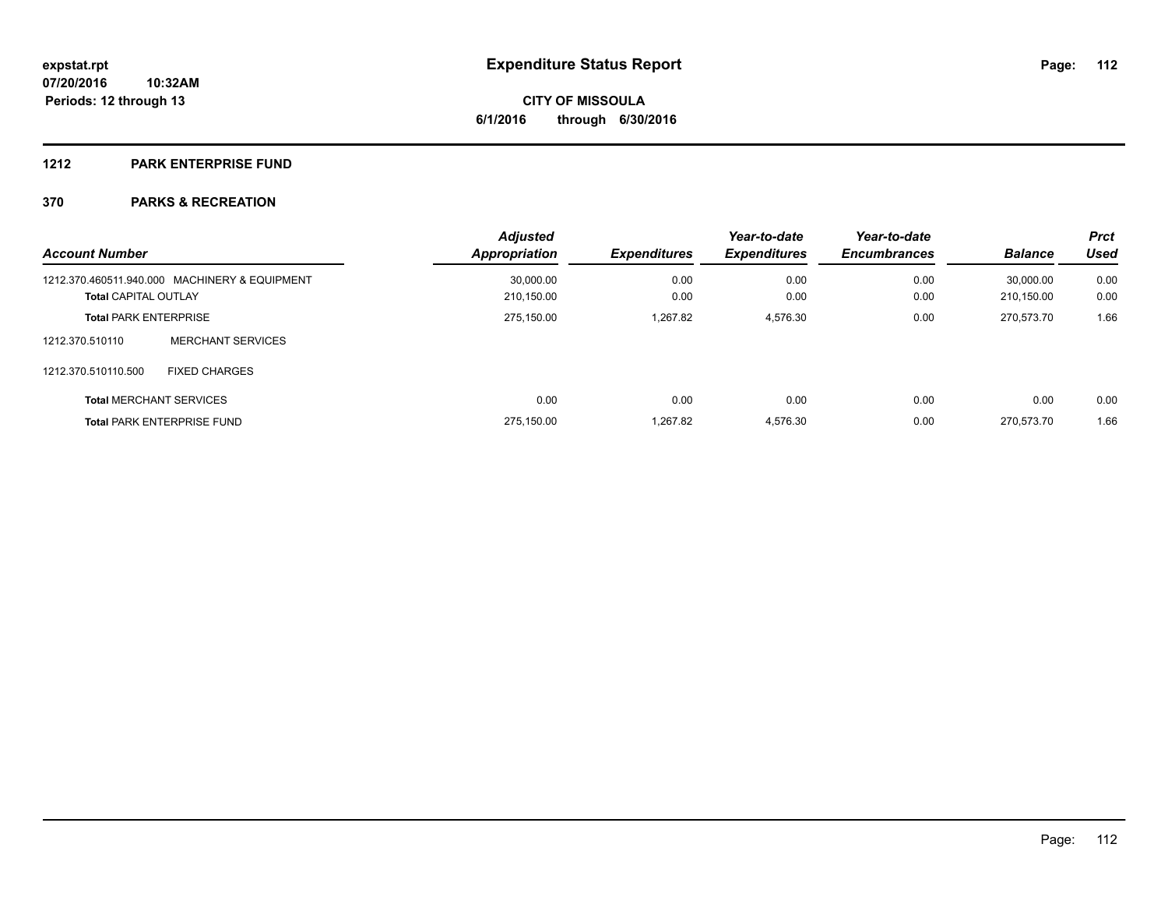## **1212 PARK ENTERPRISE FUND**

| <b>Account Number</b>        |                                               | <b>Adjusted</b><br><b>Appropriation</b> | <b>Expenditures</b> | Year-to-date<br><b>Expenditures</b> | Year-to-date<br><b>Encumbrances</b> | <b>Balance</b> | <b>Prct</b><br><b>Used</b> |
|------------------------------|-----------------------------------------------|-----------------------------------------|---------------------|-------------------------------------|-------------------------------------|----------------|----------------------------|
|                              | 1212.370.460511.940.000 MACHINERY & EQUIPMENT | 30.000.00                               | 0.00                | 0.00                                | 0.00                                | 30.000.00      | 0.00                       |
| <b>Total CAPITAL OUTLAY</b>  |                                               | 210.150.00                              | 0.00                | 0.00                                | 0.00                                | 210.150.00     | 0.00                       |
| <b>Total PARK ENTERPRISE</b> |                                               | 275,150.00                              | 1.267.82            | 4,576.30                            | 0.00                                | 270.573.70     | 1.66                       |
| 1212.370.510110              | <b>MERCHANT SERVICES</b>                      |                                         |                     |                                     |                                     |                |                            |
| 1212.370.510110.500          | <b>FIXED CHARGES</b>                          |                                         |                     |                                     |                                     |                |                            |
|                              | <b>Total MERCHANT SERVICES</b>                | 0.00                                    | 0.00                | 0.00                                | 0.00                                | 0.00           | 0.00                       |
|                              | <b>Total PARK ENTERPRISE FUND</b>             | 275.150.00                              | 1.267.82            | 4.576.30                            | 0.00                                | 270.573.70     | 1.66                       |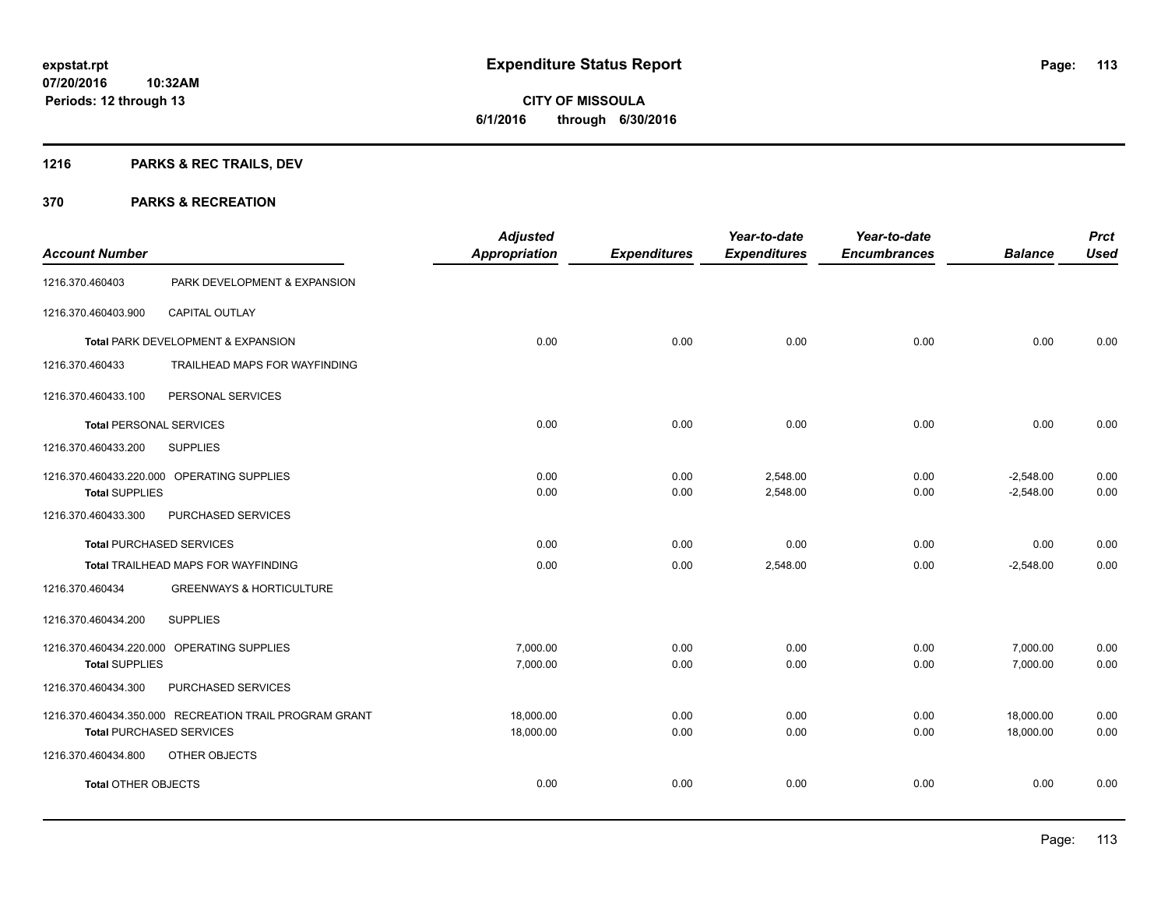# **1216 PARKS & REC TRAILS, DEV**

|                                 |                                                        | <b>Adjusted</b>      |                     | Year-to-date        | Year-to-date        |                | <b>Prct</b> |
|---------------------------------|--------------------------------------------------------|----------------------|---------------------|---------------------|---------------------|----------------|-------------|
| <b>Account Number</b>           |                                                        | <b>Appropriation</b> | <b>Expenditures</b> | <b>Expenditures</b> | <b>Encumbrances</b> | <b>Balance</b> | <b>Used</b> |
| 1216.370.460403                 | PARK DEVELOPMENT & EXPANSION                           |                      |                     |                     |                     |                |             |
| 1216.370.460403.900             | CAPITAL OUTLAY                                         |                      |                     |                     |                     |                |             |
|                                 | Total PARK DEVELOPMENT & EXPANSION                     | 0.00                 | 0.00                | 0.00                | 0.00                | 0.00           | 0.00        |
| 1216.370.460433                 | TRAILHEAD MAPS FOR WAYFINDING                          |                      |                     |                     |                     |                |             |
| 1216.370.460433.100             | PERSONAL SERVICES                                      |                      |                     |                     |                     |                |             |
| Total PERSONAL SERVICES         |                                                        | 0.00                 | 0.00                | 0.00                | 0.00                | 0.00           | 0.00        |
| 1216.370.460433.200             | <b>SUPPLIES</b>                                        |                      |                     |                     |                     |                |             |
|                                 | 1216.370.460433.220.000 OPERATING SUPPLIES             | 0.00                 | 0.00                | 2,548.00            | 0.00                | $-2,548.00$    | 0.00        |
| <b>Total SUPPLIES</b>           |                                                        | 0.00                 | 0.00                | 2,548.00            | 0.00                | $-2,548.00$    | 0.00        |
| 1216.370.460433.300             | PURCHASED SERVICES                                     |                      |                     |                     |                     |                |             |
| <b>Total PURCHASED SERVICES</b> |                                                        | 0.00                 | 0.00                | 0.00                | 0.00                | 0.00           | 0.00        |
|                                 | Total TRAILHEAD MAPS FOR WAYFINDING                    | 0.00                 | 0.00                | 2,548.00            | 0.00                | $-2,548.00$    | 0.00        |
| 1216.370.460434                 | <b>GREENWAYS &amp; HORTICULTURE</b>                    |                      |                     |                     |                     |                |             |
| 1216.370.460434.200             | <b>SUPPLIES</b>                                        |                      |                     |                     |                     |                |             |
|                                 | 1216.370.460434.220.000 OPERATING SUPPLIES             | 7,000.00             | 0.00                | 0.00                | 0.00                | 7,000.00       | 0.00        |
| <b>Total SUPPLIES</b>           |                                                        | 7,000.00             | 0.00                | 0.00                | 0.00                | 7,000.00       | 0.00        |
| 1216.370.460434.300             | PURCHASED SERVICES                                     |                      |                     |                     |                     |                |             |
|                                 | 1216.370.460434.350.000 RECREATION TRAIL PROGRAM GRANT | 18,000.00            | 0.00                | 0.00                | 0.00                | 18,000.00      | 0.00        |
| <b>Total PURCHASED SERVICES</b> |                                                        | 18,000.00            | 0.00                | 0.00                | 0.00                | 18,000.00      | 0.00        |
| 1216.370.460434.800             | OTHER OBJECTS                                          |                      |                     |                     |                     |                |             |
| <b>Total OTHER OBJECTS</b>      |                                                        | 0.00                 | 0.00                | 0.00                | 0.00                | 0.00           | 0.00        |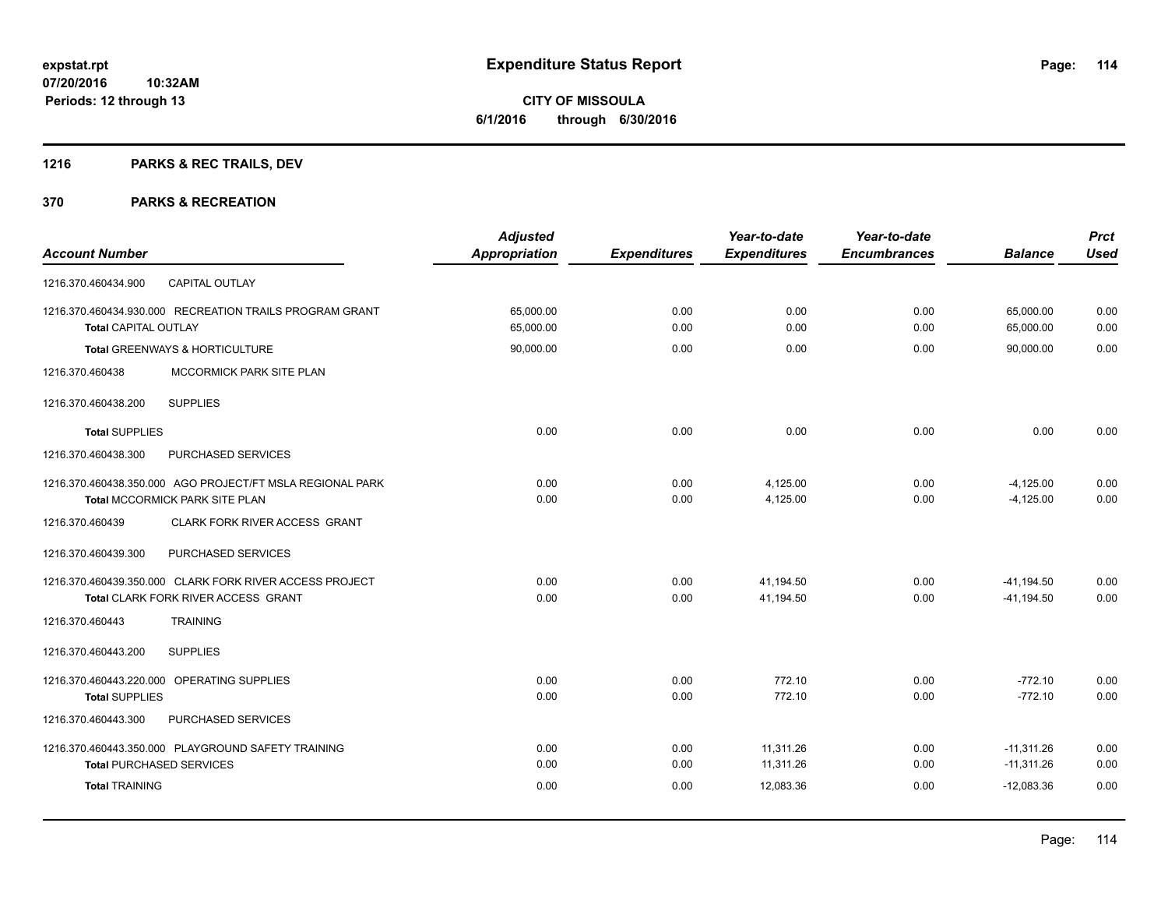# **1216 PARKS & REC TRAILS, DEV**

|                                                           | <b>Adjusted</b>      |                     | Year-to-date        | Year-to-date        |                | <b>Prct</b> |
|-----------------------------------------------------------|----------------------|---------------------|---------------------|---------------------|----------------|-------------|
| <b>Account Number</b>                                     | <b>Appropriation</b> | <b>Expenditures</b> | <b>Expenditures</b> | <b>Encumbrances</b> | <b>Balance</b> | <b>Used</b> |
| <b>CAPITAL OUTLAY</b><br>1216.370.460434.900              |                      |                     |                     |                     |                |             |
| 1216.370.460434.930.000 RECREATION TRAILS PROGRAM GRANT   | 65,000.00            | 0.00                | 0.00                | 0.00                | 65,000.00      | 0.00        |
| <b>Total CAPITAL OUTLAY</b>                               | 65,000.00            | 0.00                | 0.00                | 0.00                | 65,000.00      | 0.00        |
| Total GREENWAYS & HORTICULTURE                            | 90,000.00            | 0.00                | 0.00                | 0.00                | 90,000.00      | 0.00        |
| 1216.370.460438<br>MCCORMICK PARK SITE PLAN               |                      |                     |                     |                     |                |             |
| <b>SUPPLIES</b><br>1216.370.460438.200                    |                      |                     |                     |                     |                |             |
| <b>Total SUPPLIES</b>                                     | 0.00                 | 0.00                | 0.00                | 0.00                | 0.00           | 0.00        |
| 1216.370.460438.300<br>PURCHASED SERVICES                 |                      |                     |                     |                     |                |             |
| 1216.370.460438.350.000 AGO PROJECT/FT MSLA REGIONAL PARK | 0.00                 | 0.00                | 4,125.00            | 0.00                | $-4,125.00$    | 0.00        |
| Total MCCORMICK PARK SITE PLAN                            | 0.00                 | 0.00                | 4,125.00            | 0.00                | $-4,125.00$    | 0.00        |
| 1216.370.460439<br>CLARK FORK RIVER ACCESS GRANT          |                      |                     |                     |                     |                |             |
| PURCHASED SERVICES<br>1216.370.460439.300                 |                      |                     |                     |                     |                |             |
| 1216.370.460439.350.000 CLARK FORK RIVER ACCESS PROJECT   | 0.00                 | 0.00                | 41.194.50           | 0.00                | $-41,194.50$   | 0.00        |
| Total CLARK FORK RIVER ACCESS GRANT                       | 0.00                 | 0.00                | 41,194.50           | 0.00                | $-41, 194.50$  | 0.00        |
| <b>TRAINING</b><br>1216.370.460443                        |                      |                     |                     |                     |                |             |
| 1216.370.460443.200<br><b>SUPPLIES</b>                    |                      |                     |                     |                     |                |             |
| 1216.370.460443.220.000 OPERATING SUPPLIES                | 0.00                 | 0.00                | 772.10              | 0.00                | $-772.10$      | 0.00        |
| <b>Total SUPPLIES</b>                                     | 0.00                 | 0.00                | 772.10              | 0.00                | $-772.10$      | 0.00        |
| 1216.370.460443.300<br>PURCHASED SERVICES                 |                      |                     |                     |                     |                |             |
| 1216.370.460443.350.000 PLAYGROUND SAFETY TRAINING        | 0.00                 | 0.00                | 11,311.26           | 0.00                | $-11,311.26$   | 0.00        |
| <b>Total PURCHASED SERVICES</b>                           | 0.00                 | 0.00                | 11,311.26           | 0.00                | $-11,311.26$   | 0.00        |
| <b>Total TRAINING</b>                                     | 0.00                 | 0.00                | 12,083.36           | 0.00                | $-12,083.36$   | 0.00        |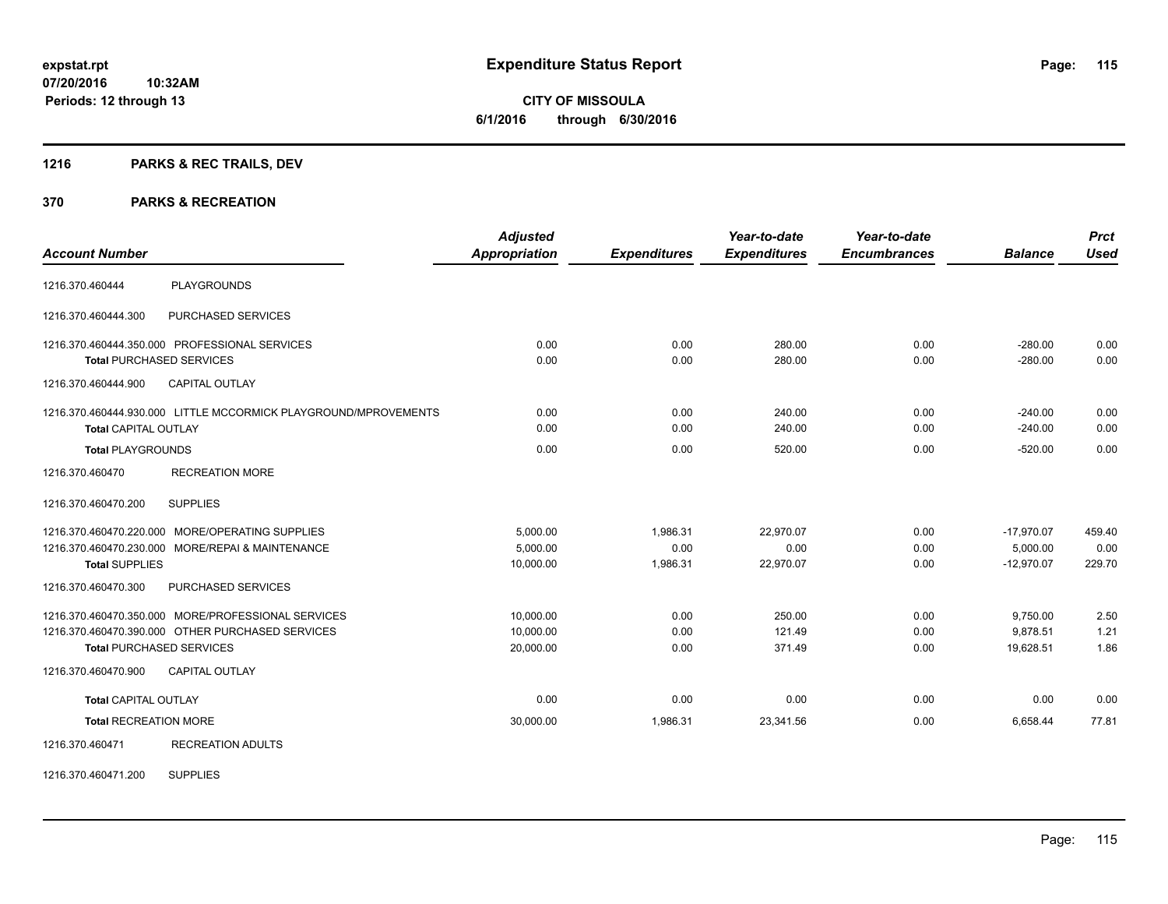**115**

**07/20/2016 10:32AM Periods: 12 through 13**

**CITY OF MISSOULA 6/1/2016 through 6/30/2016**

# **1216 PARKS & REC TRAILS, DEV**

#### **370 PARKS & RECREATION**

| <b>Account Number</b>        |                                                                 | <b>Adjusted</b><br><b>Appropriation</b> | <b>Expenditures</b> | Year-to-date<br><b>Expenditures</b> | Year-to-date<br><b>Encumbrances</b> | <b>Balance</b> | <b>Prct</b><br><b>Used</b> |
|------------------------------|-----------------------------------------------------------------|-----------------------------------------|---------------------|-------------------------------------|-------------------------------------|----------------|----------------------------|
|                              |                                                                 |                                         |                     |                                     |                                     |                |                            |
| 1216.370.460444              | <b>PLAYGROUNDS</b>                                              |                                         |                     |                                     |                                     |                |                            |
| 1216.370.460444.300          | <b>PURCHASED SERVICES</b>                                       |                                         |                     |                                     |                                     |                |                            |
|                              | 1216.370.460444.350.000 PROFESSIONAL SERVICES                   | 0.00                                    | 0.00                | 280.00                              | 0.00                                | $-280.00$      | 0.00                       |
|                              | <b>Total PURCHASED SERVICES</b>                                 | 0.00                                    | 0.00                | 280.00                              | 0.00                                | $-280.00$      | 0.00                       |
| 1216.370.460444.900          | CAPITAL OUTLAY                                                  |                                         |                     |                                     |                                     |                |                            |
|                              | 1216.370.460444.930.000 LITTLE MCCORMICK PLAYGROUND/MPROVEMENTS | 0.00                                    | 0.00                | 240.00                              | 0.00                                | $-240.00$      | 0.00                       |
| <b>Total CAPITAL OUTLAY</b>  |                                                                 | 0.00                                    | 0.00                | 240.00                              | 0.00                                | $-240.00$      | 0.00                       |
| <b>Total PLAYGROUNDS</b>     |                                                                 | 0.00                                    | 0.00                | 520.00                              | 0.00                                | $-520.00$      | 0.00                       |
| 1216.370.460470              | <b>RECREATION MORE</b>                                          |                                         |                     |                                     |                                     |                |                            |
| 1216.370.460470.200          | <b>SUPPLIES</b>                                                 |                                         |                     |                                     |                                     |                |                            |
|                              | 1216.370.460470.220.000 MORE/OPERATING SUPPLIES                 | 5,000.00                                | 1,986.31            | 22.970.07                           | 0.00                                | $-17,970.07$   | 459.40                     |
|                              | 1216.370.460470.230.000 MORE/REPAI & MAINTENANCE                | 5.000.00                                | 0.00                | 0.00                                | 0.00                                | 5,000.00       | 0.00                       |
| <b>Total SUPPLIES</b>        |                                                                 | 10,000.00                               | 1,986.31            | 22,970.07                           | 0.00                                | $-12,970.07$   | 229.70                     |
| 1216.370.460470.300          | PURCHASED SERVICES                                              |                                         |                     |                                     |                                     |                |                            |
|                              | 1216.370.460470.350.000 MORE/PROFESSIONAL SERVICES              | 10,000.00                               | 0.00                | 250.00                              | 0.00                                | 9,750.00       | 2.50                       |
|                              | 1216.370.460470.390.000 OTHER PURCHASED SERVICES                | 10,000.00                               | 0.00                | 121.49                              | 0.00                                | 9,878.51       | 1.21                       |
|                              | <b>Total PURCHASED SERVICES</b>                                 | 20,000.00                               | 0.00                | 371.49                              | 0.00                                | 19.628.51      | 1.86                       |
| 1216.370.460470.900          | <b>CAPITAL OUTLAY</b>                                           |                                         |                     |                                     |                                     |                |                            |
| <b>Total CAPITAL OUTLAY</b>  |                                                                 | 0.00                                    | 0.00                | 0.00                                | 0.00                                | 0.00           | 0.00                       |
| <b>Total RECREATION MORE</b> |                                                                 | 30,000.00                               | 1,986.31            | 23,341.56                           | 0.00                                | 6,658.44       | 77.81                      |
| 1216.370.460471              | <b>RECREATION ADULTS</b>                                        |                                         |                     |                                     |                                     |                |                            |

1216.370.460471.200 SUPPLIES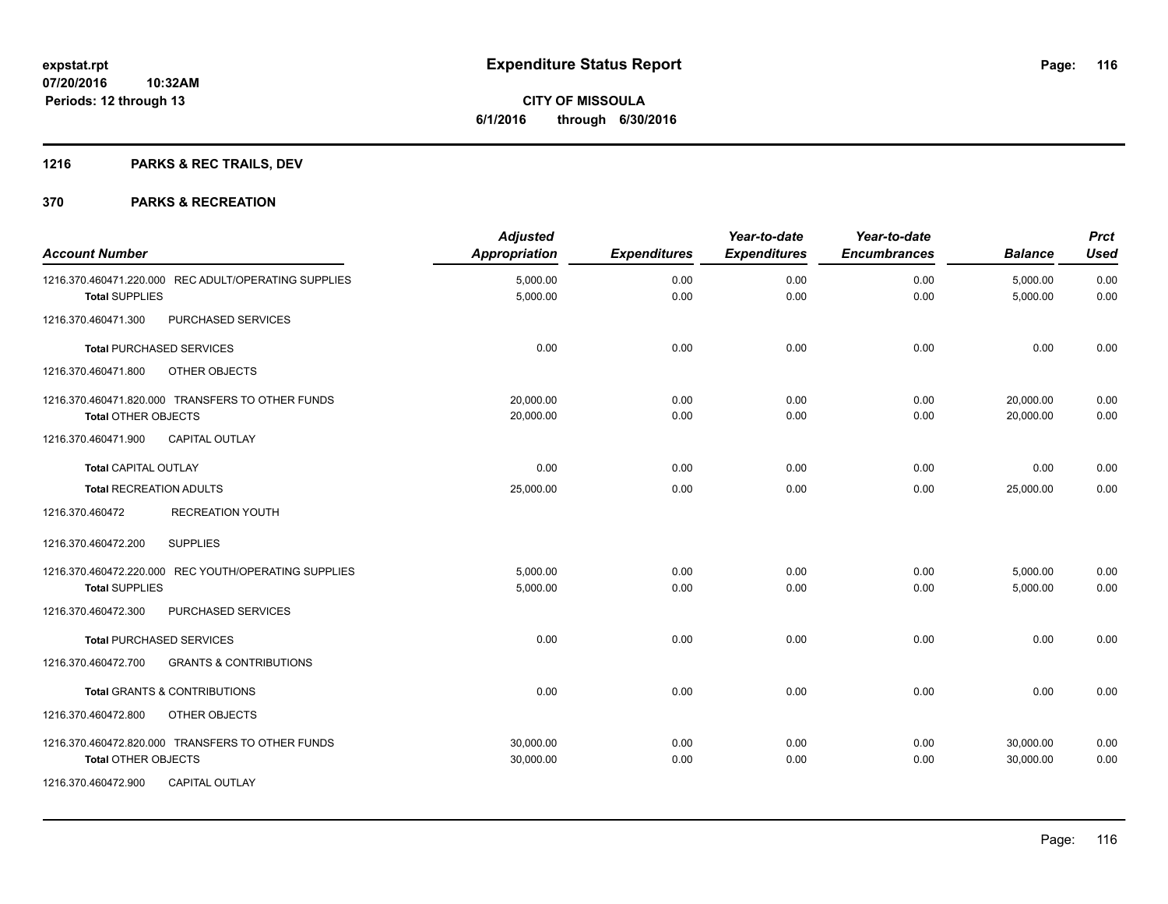# **1216 PARKS & REC TRAILS, DEV**

| <b>Account Number</b>                                    | <b>Adjusted</b><br><b>Appropriation</b> | <b>Expenditures</b> | Year-to-date<br><b>Expenditures</b> | Year-to-date<br><b>Encumbrances</b> | <b>Balance</b> | <b>Prct</b><br><b>Used</b> |
|----------------------------------------------------------|-----------------------------------------|---------------------|-------------------------------------|-------------------------------------|----------------|----------------------------|
| 1216.370.460471.220.000 REC ADULT/OPERATING SUPPLIES     | 5,000.00                                | 0.00                | 0.00                                | 0.00                                | 5,000.00       | 0.00                       |
| <b>Total SUPPLIES</b>                                    | 5,000.00                                | 0.00                | 0.00                                | 0.00                                | 5,000.00       | 0.00                       |
| PURCHASED SERVICES<br>1216.370.460471.300                |                                         |                     |                                     |                                     |                |                            |
| <b>Total PURCHASED SERVICES</b>                          | 0.00                                    | 0.00                | 0.00                                | 0.00                                | 0.00           | 0.00                       |
| 1216.370.460471.800<br>OTHER OBJECTS                     |                                         |                     |                                     |                                     |                |                            |
| 1216.370.460471.820.000 TRANSFERS TO OTHER FUNDS         | 20.000.00                               | 0.00                | 0.00                                | 0.00                                | 20.000.00      | 0.00                       |
| <b>Total OTHER OBJECTS</b>                               | 20,000.00                               | 0.00                | 0.00                                | 0.00                                | 20.000.00      | 0.00                       |
| 1216.370.460471.900<br><b>CAPITAL OUTLAY</b>             |                                         |                     |                                     |                                     |                |                            |
| <b>Total CAPITAL OUTLAY</b>                              | 0.00                                    | 0.00                | 0.00                                | 0.00                                | 0.00           | 0.00                       |
| <b>Total RECREATION ADULTS</b>                           | 25,000.00                               | 0.00                | 0.00                                | 0.00                                | 25,000.00      | 0.00                       |
| 1216.370.460472<br><b>RECREATION YOUTH</b>               |                                         |                     |                                     |                                     |                |                            |
| <b>SUPPLIES</b><br>1216.370.460472.200                   |                                         |                     |                                     |                                     |                |                            |
| 1216.370.460472.220.000 REC YOUTH/OPERATING SUPPLIES     | 5,000.00                                | 0.00                | 0.00                                | 0.00                                | 5,000.00       | 0.00                       |
| <b>Total SUPPLIES</b>                                    | 5,000.00                                | 0.00                | 0.00                                | 0.00                                | 5,000.00       | 0.00                       |
| PURCHASED SERVICES<br>1216.370.460472.300                |                                         |                     |                                     |                                     |                |                            |
| <b>Total PURCHASED SERVICES</b>                          | 0.00                                    | 0.00                | 0.00                                | 0.00                                | 0.00           | 0.00                       |
| 1216.370.460472.700<br><b>GRANTS &amp; CONTRIBUTIONS</b> |                                         |                     |                                     |                                     |                |                            |
| <b>Total GRANTS &amp; CONTRIBUTIONS</b>                  | 0.00                                    | 0.00                | 0.00                                | 0.00                                | 0.00           | 0.00                       |
| 1216.370.460472.800<br>OTHER OBJECTS                     |                                         |                     |                                     |                                     |                |                            |
| 1216.370.460472.820.000 TRANSFERS TO OTHER FUNDS         | 30,000.00                               | 0.00                | 0.00                                | 0.00                                | 30,000.00      | 0.00                       |
| <b>Total OTHER OBJECTS</b>                               | 30,000.00                               | 0.00                | 0.00                                | 0.00                                | 30,000.00      | 0.00                       |
| 1216.370.460472.900<br><b>CAPITAL OUTLAY</b>             |                                         |                     |                                     |                                     |                |                            |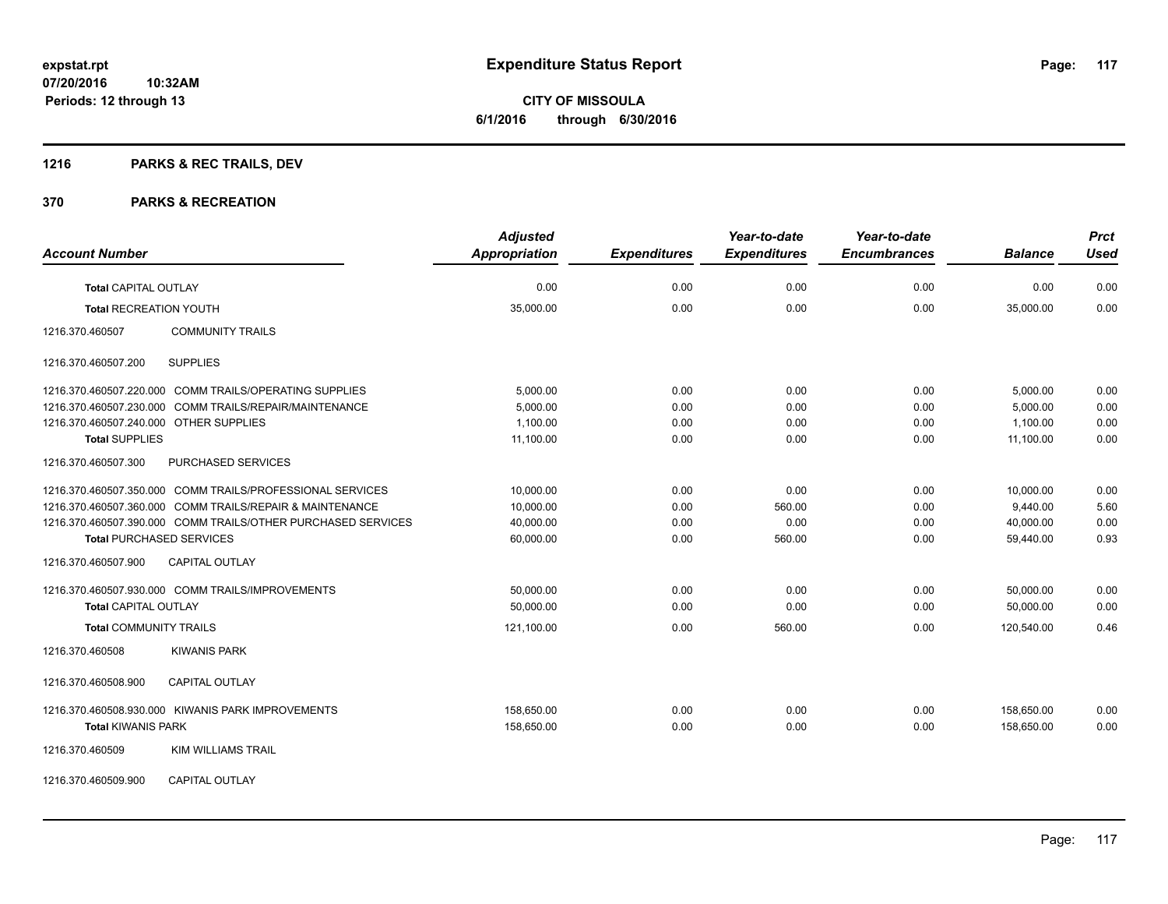**Periods: 12 through 13**

**CITY OF MISSOULA 6/1/2016 through 6/30/2016**

# **1216 PARKS & REC TRAILS, DEV**

**10:32AM**

#### **370 PARKS & RECREATION**

| <b>Account Number</b>                                                          | <b>Adjusted</b><br><b>Appropriation</b> | <b>Expenditures</b> | Year-to-date<br><b>Expenditures</b> | Year-to-date<br><b>Encumbrances</b> | <b>Balance</b>           | <b>Prct</b><br><b>Used</b> |
|--------------------------------------------------------------------------------|-----------------------------------------|---------------------|-------------------------------------|-------------------------------------|--------------------------|----------------------------|
|                                                                                |                                         |                     |                                     |                                     |                          |                            |
| <b>Total CAPITAL OUTLAY</b>                                                    | 0.00                                    | 0.00                | 0.00                                | 0.00                                | 0.00                     | 0.00                       |
| <b>Total RECREATION YOUTH</b>                                                  | 35,000.00                               | 0.00                | 0.00                                | 0.00                                | 35,000.00                | 0.00                       |
| <b>COMMUNITY TRAILS</b><br>1216.370.460507                                     |                                         |                     |                                     |                                     |                          |                            |
| 1216.370.460507.200<br><b>SUPPLIES</b>                                         |                                         |                     |                                     |                                     |                          |                            |
| 1216.370.460507.220.000 COMM TRAILS/OPERATING SUPPLIES                         | 5,000.00                                | 0.00                | 0.00                                | 0.00                                | 5,000.00                 | 0.00                       |
| 1216.370.460507.230.000 COMM TRAILS/REPAIR/MAINTENANCE                         | 5,000.00                                | 0.00                | 0.00                                | 0.00                                | 5,000.00                 | 0.00                       |
| 1216.370.460507.240.000 OTHER SUPPLIES                                         | 1,100.00                                | 0.00                | 0.00                                | 0.00                                | 1,100.00                 | 0.00                       |
| <b>Total SUPPLIES</b>                                                          | 11,100.00                               | 0.00                | 0.00                                | 0.00                                | 11,100.00                | 0.00                       |
| 1216.370.460507.300<br>PURCHASED SERVICES                                      |                                         |                     |                                     |                                     |                          |                            |
| 1216.370.460507.350.000 COMM TRAILS/PROFESSIONAL SERVICES                      | 10,000.00                               | 0.00                | 0.00                                | 0.00                                | 10,000.00                | 0.00                       |
| 1216.370.460507.360.000 COMM TRAILS/REPAIR & MAINTENANCE                       | 10,000.00                               | 0.00                | 560.00                              | 0.00                                | 9,440.00                 | 5.60                       |
| 1216.370.460507.390.000 COMM TRAILS/OTHER PURCHASED SERVICES                   | 40,000.00                               | 0.00                | 0.00                                | 0.00                                | 40,000.00                | 0.00                       |
| <b>Total PURCHASED SERVICES</b>                                                | 60,000.00                               | 0.00                | 560.00                              | 0.00                                | 59,440.00                | 0.93                       |
| 1216.370.460507.900<br><b>CAPITAL OUTLAY</b>                                   |                                         |                     |                                     |                                     |                          |                            |
| 1216.370.460507.930.000 COMM TRAILS/IMPROVEMENTS                               | 50,000.00                               | 0.00                | 0.00                                | 0.00                                | 50,000.00                | 0.00                       |
| <b>Total CAPITAL OUTLAY</b>                                                    | 50,000.00                               | 0.00                | 0.00                                | 0.00                                | 50,000.00                | 0.00                       |
| <b>Total COMMUNITY TRAILS</b>                                                  | 121,100.00                              | 0.00                | 560.00                              | 0.00                                | 120,540.00               | 0.46                       |
| 1216.370.460508<br><b>KIWANIS PARK</b>                                         |                                         |                     |                                     |                                     |                          |                            |
| CAPITAL OUTLAY<br>1216.370.460508.900                                          |                                         |                     |                                     |                                     |                          |                            |
| 1216.370.460508.930.000 KIWANIS PARK IMPROVEMENTS<br><b>Total KIWANIS PARK</b> | 158,650.00<br>158,650.00                | 0.00<br>0.00        | 0.00<br>0.00                        | 0.00<br>0.00                        | 158,650.00<br>158,650.00 | 0.00<br>0.00               |
|                                                                                |                                         |                     |                                     |                                     |                          |                            |
| 1216.370.460509<br><b>KIM WILLIAMS TRAIL</b>                                   |                                         |                     |                                     |                                     |                          |                            |
|                                                                                |                                         |                     |                                     |                                     |                          |                            |

1216.370.460509.900 CAPITAL OUTLAY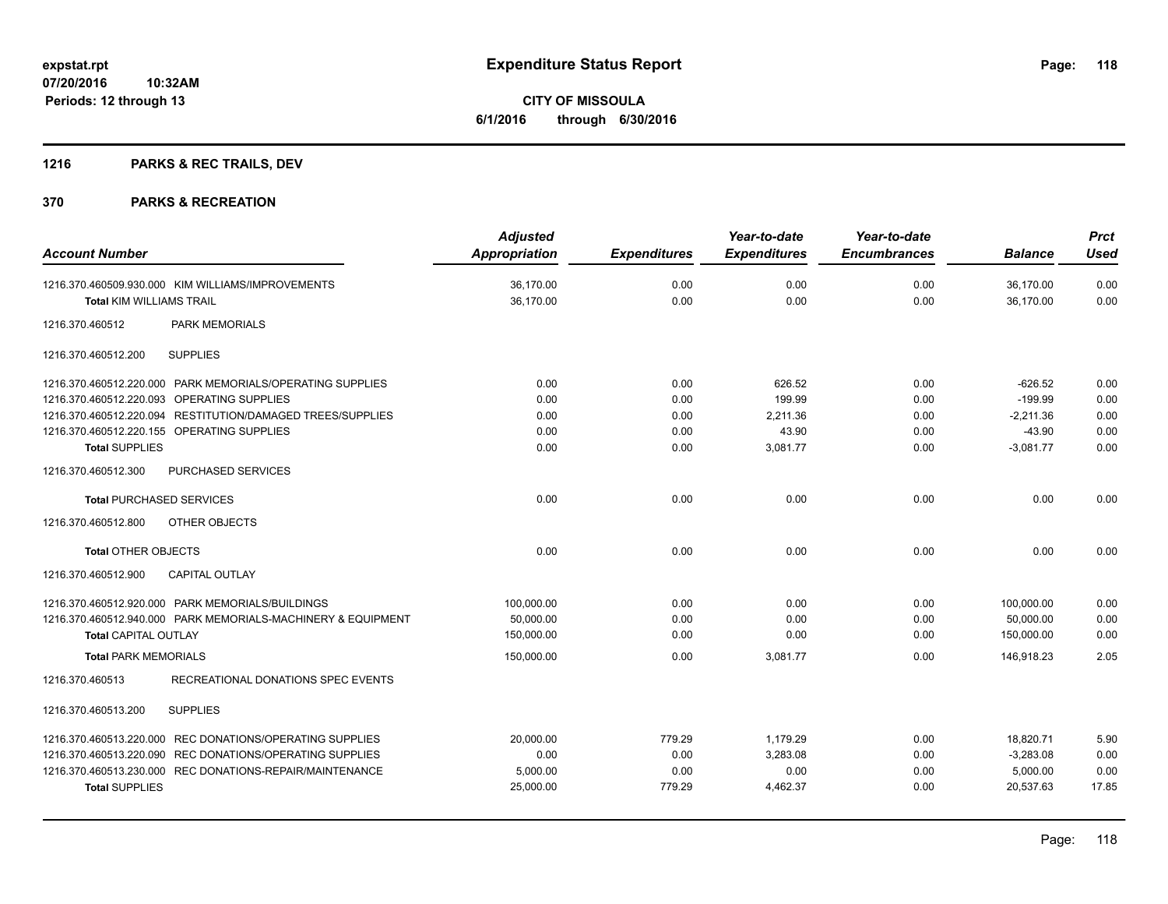# **1216 PARKS & REC TRAILS, DEV**

| <b>Account Number</b>                                      |                                                                                                                                                                                                                     | <b>Adjusted</b><br>Appropriation                    | <b>Expenditures</b>                  | Year-to-date<br><b>Expenditures</b>               | Year-to-date<br><b>Encumbrances</b>  | <b>Balance</b>                                                   | <b>Prct</b><br><b>Used</b>           |
|------------------------------------------------------------|---------------------------------------------------------------------------------------------------------------------------------------------------------------------------------------------------------------------|-----------------------------------------------------|--------------------------------------|---------------------------------------------------|--------------------------------------|------------------------------------------------------------------|--------------------------------------|
| <b>Total KIM WILLIAMS TRAIL</b>                            | 1216.370.460509.930.000 KIM WILLIAMS/IMPROVEMENTS                                                                                                                                                                   | 36,170.00<br>36.170.00                              | 0.00<br>0.00                         | 0.00<br>0.00                                      | 0.00<br>0.00                         | 36,170.00<br>36.170.00                                           | 0.00<br>0.00                         |
| 1216.370.460512                                            | <b>PARK MEMORIALS</b>                                                                                                                                                                                               |                                                     |                                      |                                                   |                                      |                                                                  |                                      |
| 1216.370.460512.200                                        | <b>SUPPLIES</b>                                                                                                                                                                                                     |                                                     |                                      |                                                   |                                      |                                                                  |                                      |
| <b>Total SUPPLIES</b>                                      | 1216.370.460512.220.000 PARK MEMORIALS/OPERATING SUPPLIES<br>1216.370.460512.220.093 OPERATING SUPPLIES<br>1216.370.460512.220.094 RESTITUTION/DAMAGED TREES/SUPPLIES<br>1216.370.460512.220.155 OPERATING SUPPLIES | 0.00<br>0.00<br>0.00<br>0.00<br>0.00                | 0.00<br>0.00<br>0.00<br>0.00<br>0.00 | 626.52<br>199.99<br>2,211.36<br>43.90<br>3,081.77 | 0.00<br>0.00<br>0.00<br>0.00<br>0.00 | $-626.52$<br>$-199.99$<br>$-2,211.36$<br>$-43.90$<br>$-3,081.77$ | 0.00<br>0.00<br>0.00<br>0.00<br>0.00 |
| 1216.370.460512.300                                        | <b>PURCHASED SERVICES</b>                                                                                                                                                                                           |                                                     |                                      |                                                   |                                      |                                                                  |                                      |
| <b>Total PURCHASED SERVICES</b>                            |                                                                                                                                                                                                                     | 0.00                                                | 0.00                                 | 0.00                                              | 0.00                                 | 0.00                                                             | 0.00                                 |
| 1216.370.460512.800                                        | OTHER OBJECTS                                                                                                                                                                                                       |                                                     |                                      |                                                   |                                      |                                                                  |                                      |
| Total OTHER OBJECTS                                        |                                                                                                                                                                                                                     | 0.00                                                | 0.00                                 | 0.00                                              | 0.00                                 | 0.00                                                             | 0.00                                 |
| 1216.370.460512.900                                        | <b>CAPITAL OUTLAY</b>                                                                                                                                                                                               |                                                     |                                      |                                                   |                                      |                                                                  |                                      |
| <b>Total CAPITAL OUTLAY</b><br><b>Total PARK MEMORIALS</b> | 1216.370.460512.920.000 PARK MEMORIALS/BUILDINGS<br>1216.370.460512.940.000 PARK MEMORIALS-MACHINERY & EQUIPMENT                                                                                                    | 100,000.00<br>50,000.00<br>150,000.00<br>150,000.00 | 0.00<br>0.00<br>0.00<br>0.00         | 0.00<br>0.00<br>0.00<br>3,081.77                  | 0.00<br>0.00<br>0.00<br>0.00         | 100,000.00<br>50,000.00<br>150,000.00<br>146.918.23              | 0.00<br>0.00<br>0.00<br>2.05         |
| 1216.370.460513                                            | RECREATIONAL DONATIONS SPEC EVENTS                                                                                                                                                                                  |                                                     |                                      |                                                   |                                      |                                                                  |                                      |
| 1216.370.460513.200                                        | <b>SUPPLIES</b>                                                                                                                                                                                                     |                                                     |                                      |                                                   |                                      |                                                                  |                                      |
| <b>Total SUPPLIES</b>                                      | 1216.370.460513.220.000 REC DONATIONS/OPERATING SUPPLIES<br>1216.370.460513.220.090 REC DONATIONS/OPERATING SUPPLIES<br>1216.370.460513.230.000 REC DONATIONS-REPAIR/MAINTENANCE                                    | 20,000.00<br>0.00<br>5.000.00<br>25,000.00          | 779.29<br>0.00<br>0.00<br>779.29     | 1,179.29<br>3,283.08<br>0.00<br>4,462.37          | 0.00<br>0.00<br>0.00<br>0.00         | 18,820.71<br>$-3,283.08$<br>5.000.00<br>20,537.63                | 5.90<br>0.00<br>0.00<br>17.85        |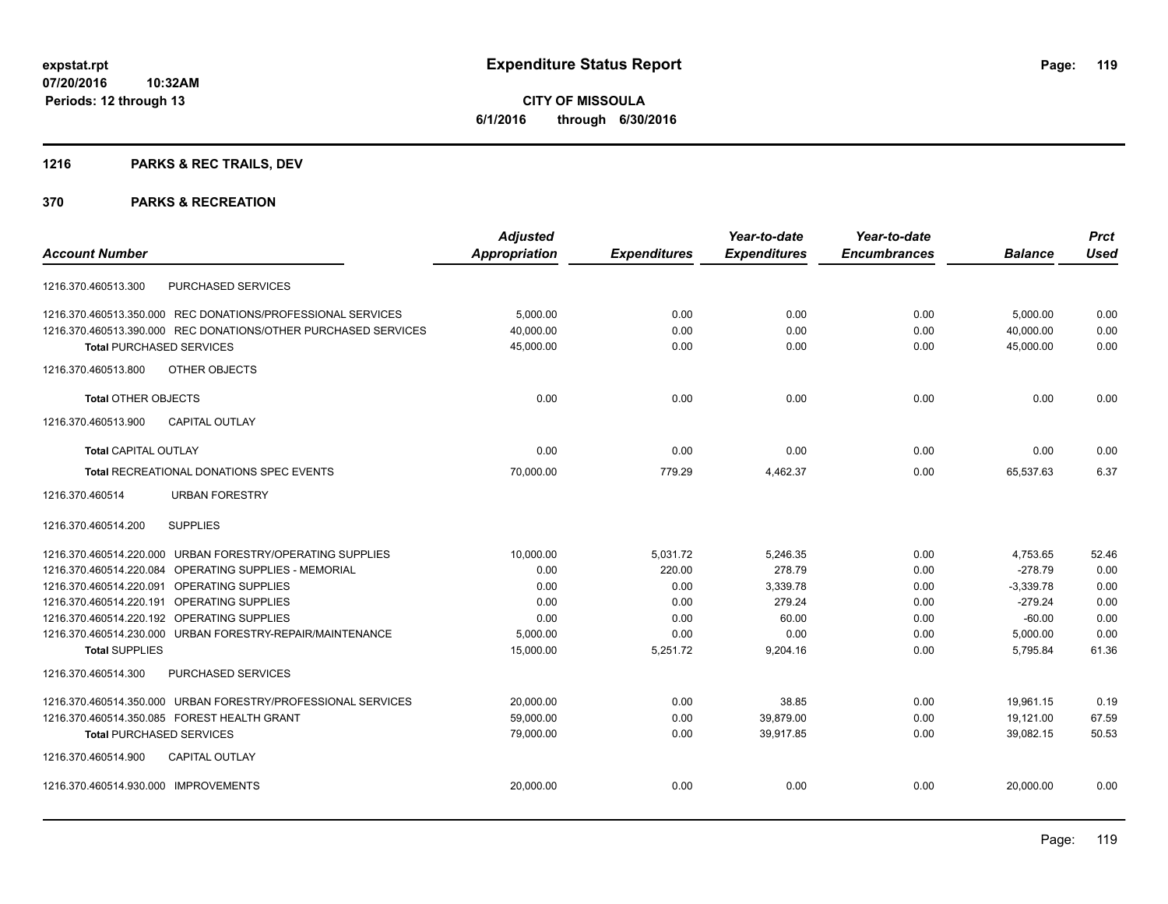**CITY OF MISSOULA 6/1/2016 through 6/30/2016**

# **1216 PARKS & REC TRAILS, DEV**

|                                      |                                                                | <b>Adjusted</b>      |                     | Year-to-date        | Year-to-date        |                | <b>Prct</b> |
|--------------------------------------|----------------------------------------------------------------|----------------------|---------------------|---------------------|---------------------|----------------|-------------|
| <b>Account Number</b>                |                                                                | <b>Appropriation</b> | <b>Expenditures</b> | <b>Expenditures</b> | <b>Encumbrances</b> | <b>Balance</b> | <b>Used</b> |
| 1216.370.460513.300                  | PURCHASED SERVICES                                             |                      |                     |                     |                     |                |             |
|                                      | 1216.370.460513.350.000 REC DONATIONS/PROFESSIONAL SERVICES    | 5,000.00             | 0.00                | 0.00                | 0.00                | 5,000.00       | 0.00        |
|                                      | 1216.370.460513.390.000 REC DONATIONS/OTHER PURCHASED SERVICES | 40,000.00            | 0.00                | 0.00                | 0.00                | 40,000.00      | 0.00        |
| <b>Total PURCHASED SERVICES</b>      |                                                                | 45,000.00            | 0.00                | 0.00                | 0.00                | 45,000.00      | 0.00        |
| 1216.370.460513.800                  | <b>OTHER OBJECTS</b>                                           |                      |                     |                     |                     |                |             |
| <b>Total OTHER OBJECTS</b>           |                                                                | 0.00                 | 0.00                | 0.00                | 0.00                | 0.00           | 0.00        |
| 1216.370.460513.900                  | <b>CAPITAL OUTLAY</b>                                          |                      |                     |                     |                     |                |             |
| <b>Total CAPITAL OUTLAY</b>          |                                                                | 0.00                 | 0.00                | 0.00                | 0.00                | 0.00           | 0.00        |
|                                      | <b>Total RECREATIONAL DONATIONS SPEC EVENTS</b>                | 70,000.00            | 779.29              | 4,462.37            | 0.00                | 65,537.63      | 6.37        |
| 1216.370.460514                      | <b>URBAN FORESTRY</b>                                          |                      |                     |                     |                     |                |             |
| 1216.370.460514.200                  | <b>SUPPLIES</b>                                                |                      |                     |                     |                     |                |             |
|                                      | 1216.370.460514.220.000 URBAN FORESTRY/OPERATING SUPPLIES      | 10,000.00            | 5,031.72            | 5,246.35            | 0.00                | 4,753.65       | 52.46       |
|                                      | 1216.370.460514.220.084 OPERATING SUPPLIES - MEMORIAL          | 0.00                 | 220.00              | 278.79              | 0.00                | $-278.79$      | 0.00        |
| 1216.370.460514.220.091              | <b>OPERATING SUPPLIES</b>                                      | 0.00                 | 0.00                | 3,339.78            | 0.00                | $-3,339.78$    | 0.00        |
| 1216.370.460514.220.191              | <b>OPERATING SUPPLIES</b>                                      | 0.00                 | 0.00                | 279.24              | 0.00                | $-279.24$      | 0.00        |
| 1216.370.460514.220.192              | <b>OPERATING SUPPLIES</b>                                      | 0.00                 | 0.00                | 60.00               | 0.00                | $-60.00$       | 0.00        |
|                                      | 1216.370.460514.230.000 URBAN FORESTRY-REPAIR/MAINTENANCE      | 5,000.00             | 0.00                | 0.00                | 0.00                | 5,000.00       | 0.00        |
| <b>Total SUPPLIES</b>                |                                                                | 15,000.00            | 5,251.72            | 9,204.16            | 0.00                | 5,795.84       | 61.36       |
| 1216.370.460514.300                  | PURCHASED SERVICES                                             |                      |                     |                     |                     |                |             |
|                                      | 1216.370.460514.350.000 URBAN FORESTRY/PROFESSIONAL SERVICES   | 20,000.00            | 0.00                | 38.85               | 0.00                | 19,961.15      | 0.19        |
|                                      | 1216.370.460514.350.085 FOREST HEALTH GRANT                    | 59,000.00            | 0.00                | 39,879.00           | 0.00                | 19.121.00      | 67.59       |
| <b>Total PURCHASED SERVICES</b>      |                                                                | 79,000.00            | 0.00                | 39,917.85           | 0.00                | 39,082.15      | 50.53       |
| 1216.370.460514.900                  | <b>CAPITAL OUTLAY</b>                                          |                      |                     |                     |                     |                |             |
| 1216.370.460514.930.000 IMPROVEMENTS |                                                                | 20,000.00            | 0.00                | 0.00                | 0.00                | 20,000.00      | 0.00        |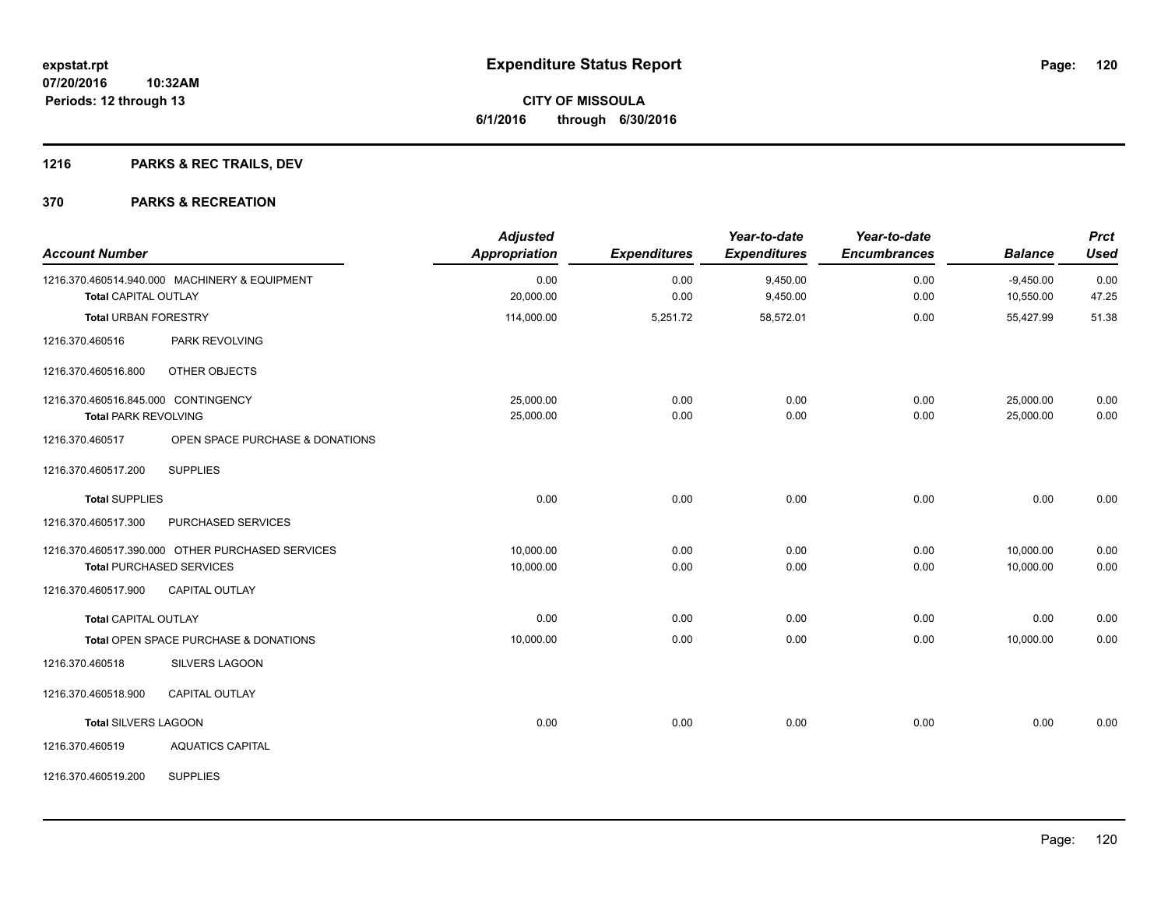# **1216 PARKS & REC TRAILS, DEV**

| <b>Account Number</b>               |                                                  | <b>Adjusted</b><br>Appropriation | <b>Expenditures</b> | Year-to-date<br><b>Expenditures</b> | Year-to-date<br><b>Encumbrances</b> | <b>Balance</b> | <b>Prct</b><br><b>Used</b> |
|-------------------------------------|--------------------------------------------------|----------------------------------|---------------------|-------------------------------------|-------------------------------------|----------------|----------------------------|
|                                     | 1216.370.460514.940.000 MACHINERY & EQUIPMENT    | 0.00                             | 0.00                | 9,450.00                            | 0.00                                | $-9,450.00$    | 0.00                       |
| <b>Total CAPITAL OUTLAY</b>         |                                                  | 20,000.00                        | 0.00                | 9,450.00                            | 0.00                                | 10,550.00      | 47.25                      |
| <b>Total URBAN FORESTRY</b>         |                                                  | 114,000.00                       | 5,251.72            | 58,572.01                           | 0.00                                | 55,427.99      | 51.38                      |
| 1216.370.460516                     | <b>PARK REVOLVING</b>                            |                                  |                     |                                     |                                     |                |                            |
| 1216.370.460516.800                 | OTHER OBJECTS                                    |                                  |                     |                                     |                                     |                |                            |
| 1216.370.460516.845.000 CONTINGENCY |                                                  | 25,000.00                        | 0.00                | 0.00                                | 0.00                                | 25,000.00      | 0.00                       |
| <b>Total PARK REVOLVING</b>         |                                                  | 25,000.00                        | 0.00                | 0.00                                | 0.00                                | 25,000.00      | 0.00                       |
| 1216.370.460517                     | OPEN SPACE PURCHASE & DONATIONS                  |                                  |                     |                                     |                                     |                |                            |
| 1216.370.460517.200                 | <b>SUPPLIES</b>                                  |                                  |                     |                                     |                                     |                |                            |
| <b>Total SUPPLIES</b>               |                                                  | 0.00                             | 0.00                | 0.00                                | 0.00                                | 0.00           | 0.00                       |
| 1216.370.460517.300                 | PURCHASED SERVICES                               |                                  |                     |                                     |                                     |                |                            |
|                                     | 1216.370.460517.390.000 OTHER PURCHASED SERVICES | 10,000.00                        | 0.00                | 0.00                                | 0.00                                | 10,000.00      | 0.00                       |
|                                     | <b>Total PURCHASED SERVICES</b>                  | 10,000.00                        | 0.00                | 0.00                                | 0.00                                | 10,000.00      | 0.00                       |
| 1216.370.460517.900                 | CAPITAL OUTLAY                                   |                                  |                     |                                     |                                     |                |                            |
| <b>Total CAPITAL OUTLAY</b>         |                                                  | 0.00                             | 0.00                | 0.00                                | 0.00                                | 0.00           | 0.00                       |
|                                     | Total OPEN SPACE PURCHASE & DONATIONS            | 10,000.00                        | 0.00                | 0.00                                | 0.00                                | 10,000.00      | 0.00                       |
| 1216.370.460518                     | <b>SILVERS LAGOON</b>                            |                                  |                     |                                     |                                     |                |                            |
| 1216.370.460518.900                 | <b>CAPITAL OUTLAY</b>                            |                                  |                     |                                     |                                     |                |                            |
| <b>Total SILVERS LAGOON</b>         |                                                  | 0.00                             | 0.00                | 0.00                                | 0.00                                | 0.00           | 0.00                       |
| 1216.370.460519                     | <b>AQUATICS CAPITAL</b>                          |                                  |                     |                                     |                                     |                |                            |
| 1216.370.460519.200                 | <b>SUPPLIES</b>                                  |                                  |                     |                                     |                                     |                |                            |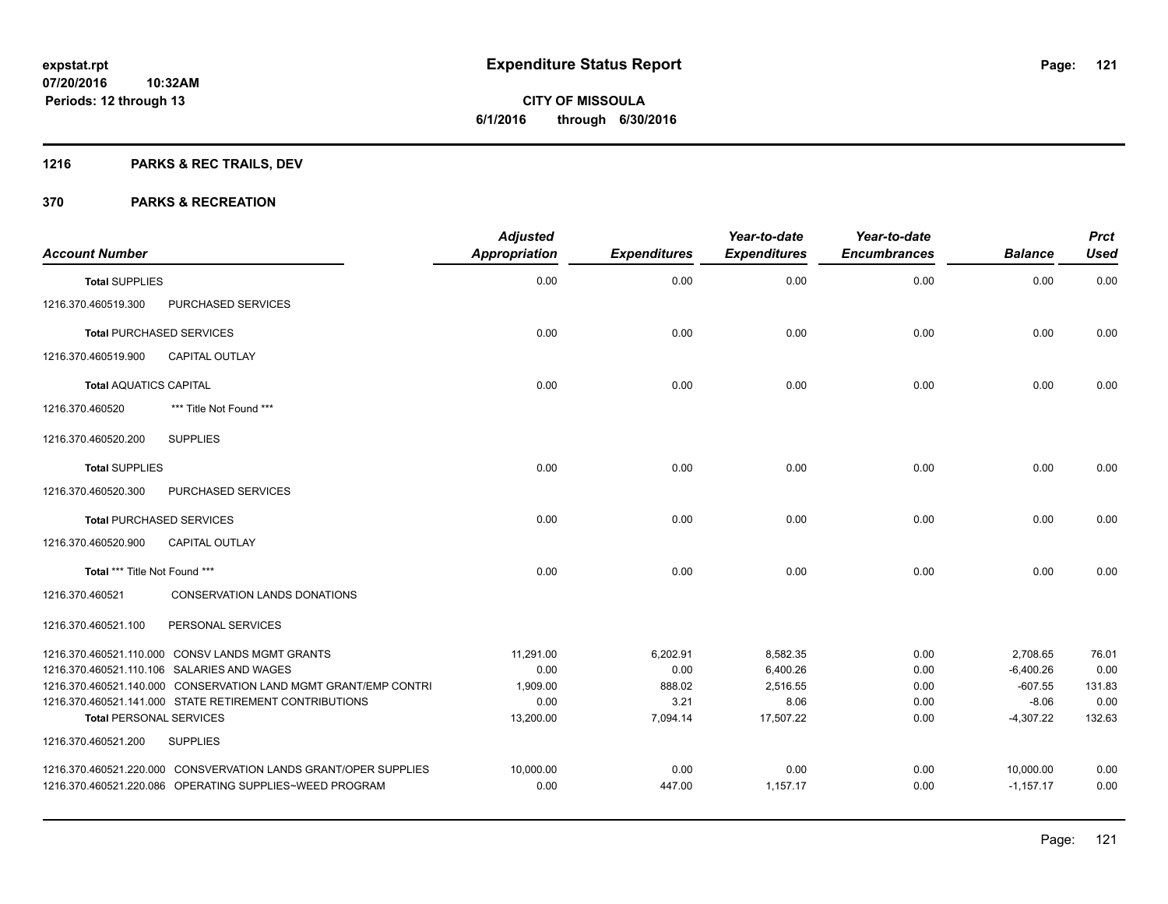# **1216 PARKS & REC TRAILS, DEV**

| <b>Account Number</b>          |                                                                 | <b>Adjusted</b><br><b>Appropriation</b> | <b>Expenditures</b> | Year-to-date<br><b>Expenditures</b> | Year-to-date<br><b>Encumbrances</b> | <b>Balance</b> | <b>Prct</b><br><b>Used</b> |
|--------------------------------|-----------------------------------------------------------------|-----------------------------------------|---------------------|-------------------------------------|-------------------------------------|----------------|----------------------------|
| <b>Total SUPPLIES</b>          |                                                                 | 0.00                                    | 0.00                | 0.00                                | 0.00                                | 0.00           | 0.00                       |
| 1216.370.460519.300            | PURCHASED SERVICES                                              |                                         |                     |                                     |                                     |                |                            |
|                                | <b>Total PURCHASED SERVICES</b>                                 | 0.00                                    | 0.00                | 0.00                                | 0.00                                | 0.00           | 0.00                       |
| 1216.370.460519.900            | <b>CAPITAL OUTLAY</b>                                           |                                         |                     |                                     |                                     |                |                            |
| <b>Total AQUATICS CAPITAL</b>  |                                                                 | 0.00                                    | 0.00                | 0.00                                | 0.00                                | 0.00           | 0.00                       |
| 1216.370.460520                | *** Title Not Found ***                                         |                                         |                     |                                     |                                     |                |                            |
| 1216.370.460520.200            | <b>SUPPLIES</b>                                                 |                                         |                     |                                     |                                     |                |                            |
| <b>Total SUPPLIES</b>          |                                                                 | 0.00                                    | 0.00                | 0.00                                | 0.00                                | 0.00           | 0.00                       |
| 1216.370.460520.300            | PURCHASED SERVICES                                              |                                         |                     |                                     |                                     |                |                            |
|                                | <b>Total PURCHASED SERVICES</b>                                 | 0.00                                    | 0.00                | 0.00                                | 0.00                                | 0.00           | 0.00                       |
| 1216.370.460520.900            | <b>CAPITAL OUTLAY</b>                                           |                                         |                     |                                     |                                     |                |                            |
| Total *** Title Not Found ***  |                                                                 | 0.00                                    | 0.00                | 0.00                                | 0.00                                | 0.00           | 0.00                       |
| 1216.370.460521                | <b>CONSERVATION LANDS DONATIONS</b>                             |                                         |                     |                                     |                                     |                |                            |
| 1216.370.460521.100            | PERSONAL SERVICES                                               |                                         |                     |                                     |                                     |                |                            |
|                                | 1216.370.460521.110.000 CONSV LANDS MGMT GRANTS                 | 11,291.00                               | 6,202.91            | 8,582.35                            | 0.00                                | 2,708.65       | 76.01                      |
|                                | 1216.370.460521.110.106 SALARIES AND WAGES                      | 0.00                                    | 0.00                | 6,400.26                            | 0.00                                | $-6,400.26$    | 0.00                       |
|                                | 1216.370.460521.140.000 CONSERVATION LAND MGMT GRANT/EMP CONTRI | 1.909.00                                | 888.02              | 2.516.55                            | 0.00                                | $-607.55$      | 131.83                     |
|                                | 1216.370.460521.141.000 STATE RETIREMENT CONTRIBUTIONS          | 0.00                                    | 3.21                | 8.06                                | 0.00                                | $-8.06$        | 0.00                       |
| <b>Total PERSONAL SERVICES</b> |                                                                 | 13,200.00                               | 7,094.14            | 17.507.22                           | 0.00                                | $-4,307.22$    | 132.63                     |
| 1216.370.460521.200            | <b>SUPPLIES</b>                                                 |                                         |                     |                                     |                                     |                |                            |
|                                | 1216.370.460521.220.000 CONSVERVATION LANDS GRANT/OPER SUPPLIES | 10,000.00                               | 0.00                | 0.00                                | 0.00                                | 10,000.00      | 0.00                       |
|                                | 1216.370.460521.220.086 OPERATING SUPPLIES~WEED PROGRAM         | 0.00                                    | 447.00              | 1,157.17                            | 0.00                                | $-1,157.17$    | 0.00                       |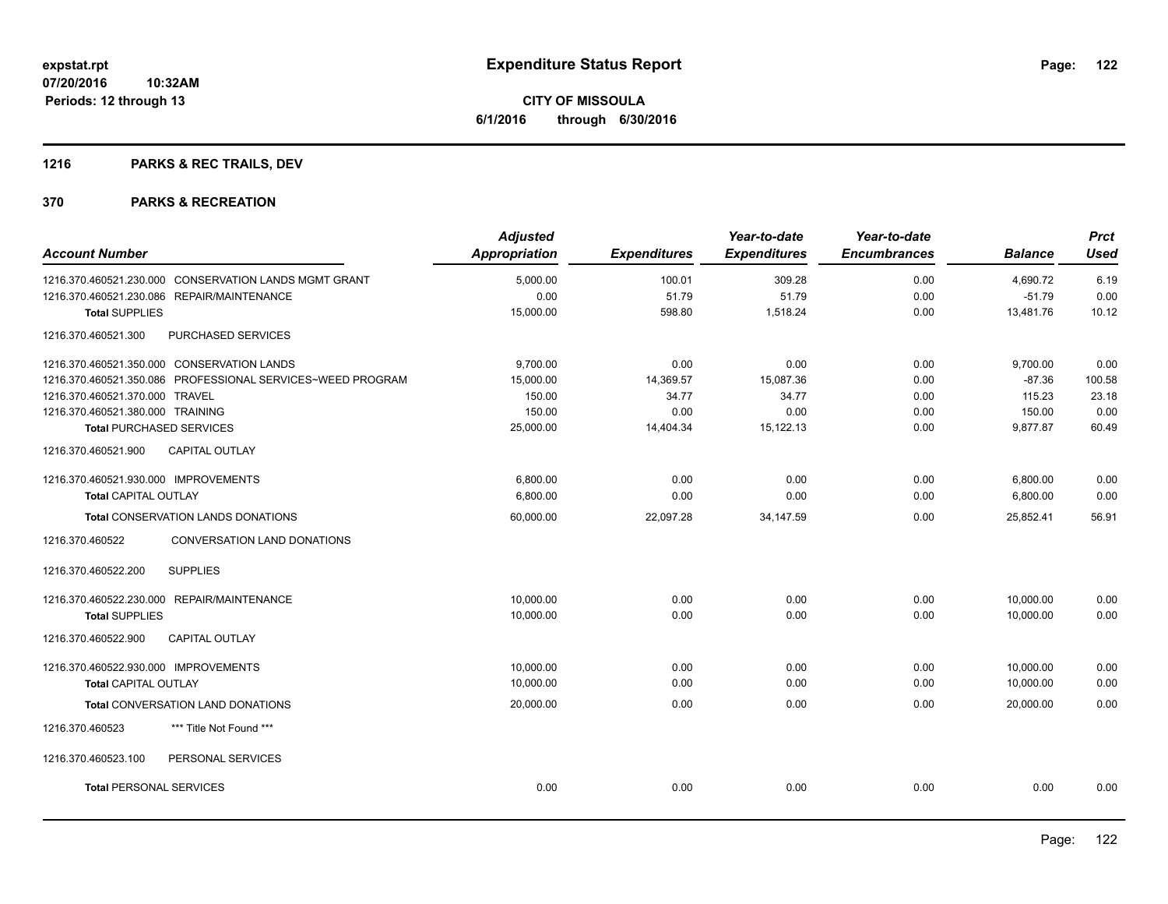# **1216 PARKS & REC TRAILS, DEV**

|                                                            | <b>Adjusted</b>      |                     | Year-to-date        | Year-to-date        |                | <b>Prct</b> |
|------------------------------------------------------------|----------------------|---------------------|---------------------|---------------------|----------------|-------------|
| <b>Account Number</b>                                      | <b>Appropriation</b> | <b>Expenditures</b> | <b>Expenditures</b> | <b>Encumbrances</b> | <b>Balance</b> | <b>Used</b> |
| 1216.370.460521.230.000 CONSERVATION LANDS MGMT GRANT      | 5,000.00             | 100.01              | 309.28              | 0.00                | 4,690.72       | 6.19        |
| 1216.370.460521.230.086 REPAIR/MAINTENANCE                 | 0.00                 | 51.79               | 51.79               | 0.00                | $-51.79$       | 0.00        |
| <b>Total SUPPLIES</b>                                      | 15,000.00            | 598.80              | 1,518.24            | 0.00                | 13,481.76      | 10.12       |
| 1216.370.460521.300<br>PURCHASED SERVICES                  |                      |                     |                     |                     |                |             |
| 1216.370.460521.350.000 CONSERVATION LANDS                 | 9,700.00             | 0.00                | 0.00                | 0.00                | 9,700.00       | 0.00        |
| 1216.370.460521.350.086 PROFESSIONAL SERVICES~WEED PROGRAM | 15,000.00            | 14,369.57           | 15,087.36           | 0.00                | $-87.36$       | 100.58      |
| 1216.370.460521.370.000 TRAVEL                             | 150.00               | 34.77               | 34.77               | 0.00                | 115.23         | 23.18       |
| 1216.370.460521.380.000 TRAINING                           | 150.00               | 0.00                | 0.00                | 0.00                | 150.00         | 0.00        |
| <b>Total PURCHASED SERVICES</b>                            | 25,000.00            | 14,404.34           | 15,122.13           | 0.00                | 9,877.87       | 60.49       |
| CAPITAL OUTLAY<br>1216.370.460521.900                      |                      |                     |                     |                     |                |             |
| 1216.370.460521.930.000 IMPROVEMENTS                       | 6.800.00             | 0.00                | 0.00                | 0.00                | 6,800.00       | 0.00        |
| <b>Total CAPITAL OUTLAY</b>                                | 6,800.00             | 0.00                | 0.00                | 0.00                | 6,800.00       | 0.00        |
| <b>Total CONSERVATION LANDS DONATIONS</b>                  | 60,000.00            | 22,097.28           | 34, 147.59          | 0.00                | 25,852.41      | 56.91       |
| CONVERSATION LAND DONATIONS<br>1216.370.460522             |                      |                     |                     |                     |                |             |
| <b>SUPPLIES</b><br>1216.370.460522.200                     |                      |                     |                     |                     |                |             |
| 1216.370.460522.230.000 REPAIR/MAINTENANCE                 | 10,000.00            | 0.00                | 0.00                | 0.00                | 10,000.00      | 0.00        |
| <b>Total SUPPLIES</b>                                      | 10,000.00            | 0.00                | 0.00                | 0.00                | 10,000.00      | 0.00        |
| <b>CAPITAL OUTLAY</b><br>1216.370.460522.900               |                      |                     |                     |                     |                |             |
| 1216.370.460522.930.000 IMPROVEMENTS                       | 10,000.00            | 0.00                | 0.00                | 0.00                | 10,000.00      | 0.00        |
| <b>Total CAPITAL OUTLAY</b>                                | 10,000.00            | 0.00                | 0.00                | 0.00                | 10,000.00      | 0.00        |
| Total CONVERSATION LAND DONATIONS                          | 20.000.00            | 0.00                | 0.00                | 0.00                | 20.000.00      | 0.00        |
| 1216.370.460523<br>*** Title Not Found ***                 |                      |                     |                     |                     |                |             |
| 1216.370.460523.100<br>PERSONAL SERVICES                   |                      |                     |                     |                     |                |             |
| <b>Total PERSONAL SERVICES</b>                             | 0.00                 | 0.00                | 0.00                | 0.00                | 0.00           | 0.00        |
|                                                            |                      |                     |                     |                     |                |             |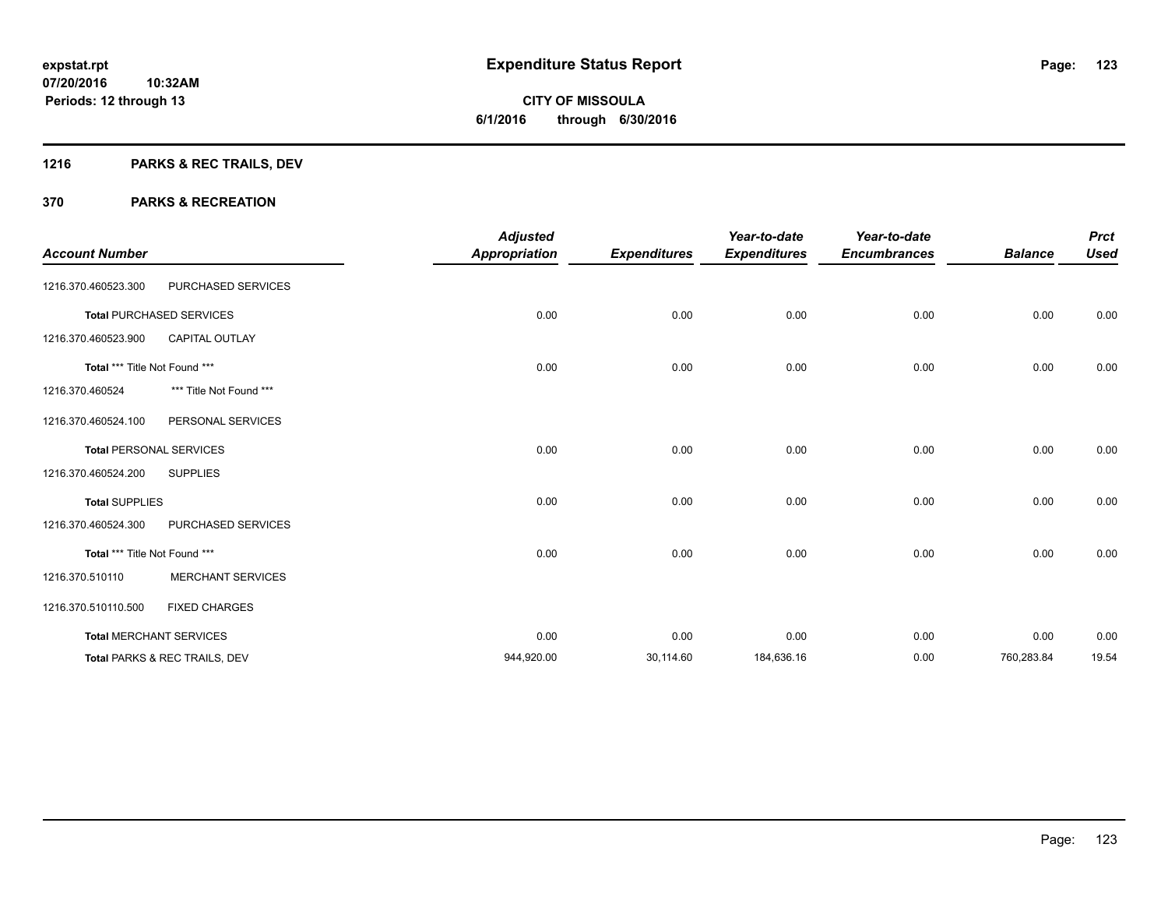# **1216 PARKS & REC TRAILS, DEV**

| <b>Account Number</b>         |                                 | <b>Adjusted</b><br><b>Appropriation</b> | <b>Expenditures</b> | Year-to-date<br><b>Expenditures</b> | Year-to-date<br><b>Encumbrances</b> | <b>Balance</b> | <b>Prct</b><br><b>Used</b> |
|-------------------------------|---------------------------------|-----------------------------------------|---------------------|-------------------------------------|-------------------------------------|----------------|----------------------------|
| 1216.370.460523.300           | PURCHASED SERVICES              |                                         |                     |                                     |                                     |                |                            |
|                               | <b>Total PURCHASED SERVICES</b> | 0.00                                    | 0.00                | 0.00                                | 0.00                                | 0.00           | 0.00                       |
| 1216.370.460523.900           | <b>CAPITAL OUTLAY</b>           |                                         |                     |                                     |                                     |                |                            |
| Total *** Title Not Found *** |                                 | 0.00                                    | 0.00                | 0.00                                | 0.00                                | 0.00           | 0.00                       |
| 1216.370.460524               | *** Title Not Found ***         |                                         |                     |                                     |                                     |                |                            |
| 1216.370.460524.100           | PERSONAL SERVICES               |                                         |                     |                                     |                                     |                |                            |
|                               | <b>Total PERSONAL SERVICES</b>  | 0.00                                    | 0.00                | 0.00                                | 0.00                                | 0.00           | 0.00                       |
| 1216.370.460524.200           | <b>SUPPLIES</b>                 |                                         |                     |                                     |                                     |                |                            |
| <b>Total SUPPLIES</b>         |                                 | 0.00                                    | 0.00                | 0.00                                | 0.00                                | 0.00           | 0.00                       |
| 1216.370.460524.300           | PURCHASED SERVICES              |                                         |                     |                                     |                                     |                |                            |
| Total *** Title Not Found *** |                                 | 0.00                                    | 0.00                | 0.00                                | 0.00                                | 0.00           | 0.00                       |
| 1216.370.510110               | <b>MERCHANT SERVICES</b>        |                                         |                     |                                     |                                     |                |                            |
| 1216.370.510110.500           | <b>FIXED CHARGES</b>            |                                         |                     |                                     |                                     |                |                            |
|                               | <b>Total MERCHANT SERVICES</b>  | 0.00                                    | 0.00                | 0.00                                | 0.00                                | 0.00           | 0.00                       |
|                               | Total PARKS & REC TRAILS, DEV   | 944,920.00                              | 30,114.60           | 184,636.16                          | 0.00                                | 760,283.84     | 19.54                      |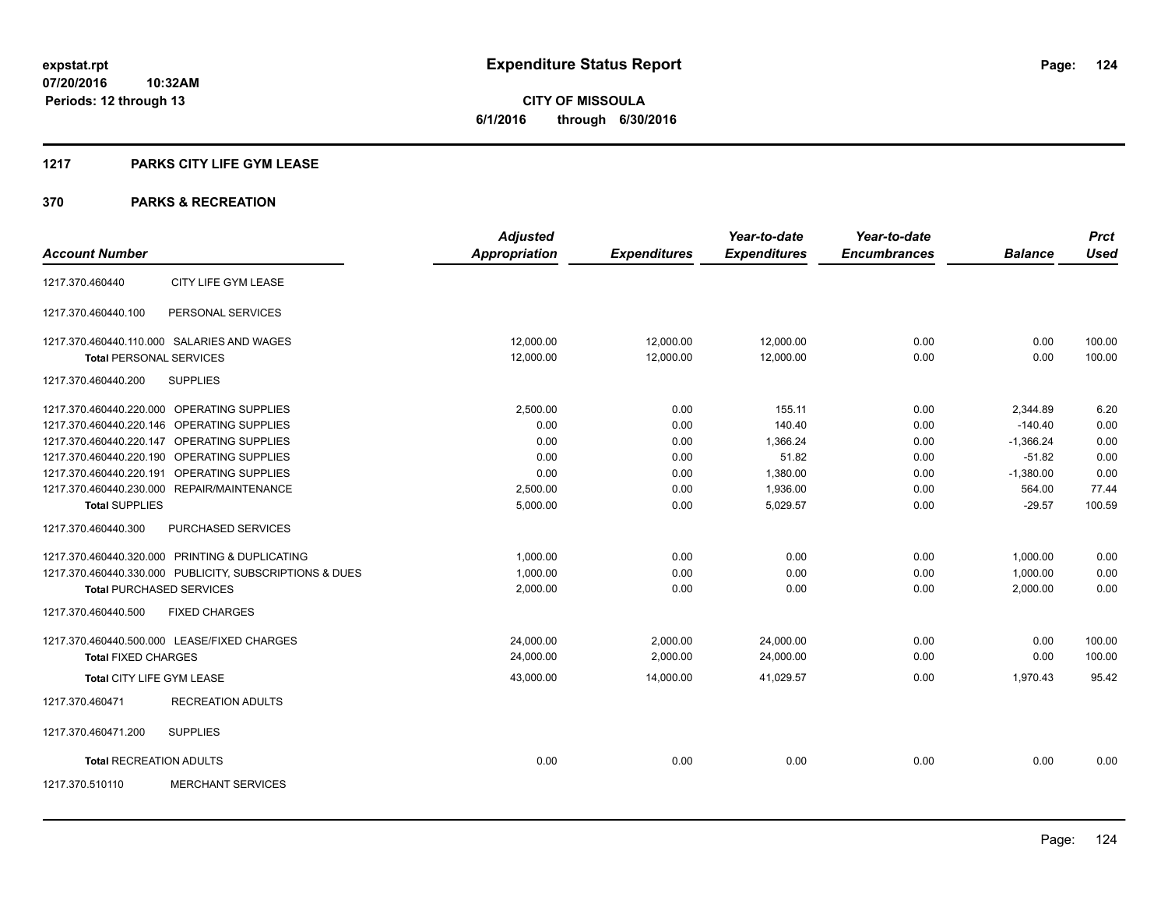**CITY OF MISSOULA 6/1/2016 through 6/30/2016**

## **1217 PARKS CITY LIFE GYM LEASE**

|                                |                                                         | <b>Adjusted</b>      |                     | Year-to-date        | Year-to-date        |                | <b>Prct</b> |
|--------------------------------|---------------------------------------------------------|----------------------|---------------------|---------------------|---------------------|----------------|-------------|
| <b>Account Number</b>          |                                                         | <b>Appropriation</b> | <b>Expenditures</b> | <b>Expenditures</b> | <b>Encumbrances</b> | <b>Balance</b> | <b>Used</b> |
| 1217.370.460440                | CITY LIFE GYM LEASE                                     |                      |                     |                     |                     |                |             |
| 1217.370.460440.100            | PERSONAL SERVICES                                       |                      |                     |                     |                     |                |             |
|                                | 1217.370.460440.110.000 SALARIES AND WAGES              | 12.000.00            | 12,000.00           | 12,000.00           | 0.00                | 0.00           | 100.00      |
| <b>Total PERSONAL SERVICES</b> |                                                         | 12,000.00            | 12,000.00           | 12,000.00           | 0.00                | 0.00           | 100.00      |
| 1217.370.460440.200            | <b>SUPPLIES</b>                                         |                      |                     |                     |                     |                |             |
|                                | 1217.370.460440.220.000 OPERATING SUPPLIES              | 2,500.00             | 0.00                | 155.11              | 0.00                | 2,344.89       | 6.20        |
|                                | 1217.370.460440.220.146 OPERATING SUPPLIES              | 0.00                 | 0.00                | 140.40              | 0.00                | $-140.40$      | 0.00        |
|                                | 1217.370.460440.220.147 OPERATING SUPPLIES              | 0.00                 | 0.00                | 1.366.24            | 0.00                | $-1,366.24$    | 0.00        |
|                                | 1217.370.460440.220.190 OPERATING SUPPLIES              | 0.00                 | 0.00                | 51.82               | 0.00                | $-51.82$       | 0.00        |
|                                | 1217.370.460440.220.191 OPERATING SUPPLIES              | 0.00                 | 0.00                | 1,380.00            | 0.00                | $-1,380.00$    | 0.00        |
|                                | 1217.370.460440.230.000 REPAIR/MAINTENANCE              | 2,500.00             | 0.00                | 1,936.00            | 0.00                | 564.00         | 77.44       |
| <b>Total SUPPLIES</b>          |                                                         | 5,000.00             | 0.00                | 5,029.57            | 0.00                | $-29.57$       | 100.59      |
| 1217.370.460440.300            | PURCHASED SERVICES                                      |                      |                     |                     |                     |                |             |
|                                | 1217.370.460440.320.000 PRINTING & DUPLICATING          | 1,000.00             | 0.00                | 0.00                | 0.00                | 1,000.00       | 0.00        |
|                                | 1217.370.460440.330.000 PUBLICITY, SUBSCRIPTIONS & DUES | 1,000.00             | 0.00                | 0.00                | 0.00                | 1,000.00       | 0.00        |
|                                | <b>Total PURCHASED SERVICES</b>                         | 2,000.00             | 0.00                | 0.00                | 0.00                | 2,000.00       | 0.00        |
| 1217.370.460440.500            | <b>FIXED CHARGES</b>                                    |                      |                     |                     |                     |                |             |
|                                | 1217.370.460440.500.000 LEASE/FIXED CHARGES             | 24,000.00            | 2,000.00            | 24,000.00           | 0.00                | 0.00           | 100.00      |
| <b>Total FIXED CHARGES</b>     |                                                         | 24,000.00            | 2,000.00            | 24,000.00           | 0.00                | 0.00           | 100.00      |
| Total CITY LIFE GYM LEASE      |                                                         | 43,000.00            | 14,000.00           | 41,029.57           | 0.00                | 1,970.43       | 95.42       |
| 1217.370.460471                | <b>RECREATION ADULTS</b>                                |                      |                     |                     |                     |                |             |
| 1217.370.460471.200            | <b>SUPPLIES</b>                                         |                      |                     |                     |                     |                |             |
| <b>Total RECREATION ADULTS</b> |                                                         | 0.00                 | 0.00                | 0.00                | 0.00                | 0.00           | 0.00        |
| 1217.370.510110                | <b>MERCHANT SERVICES</b>                                |                      |                     |                     |                     |                |             |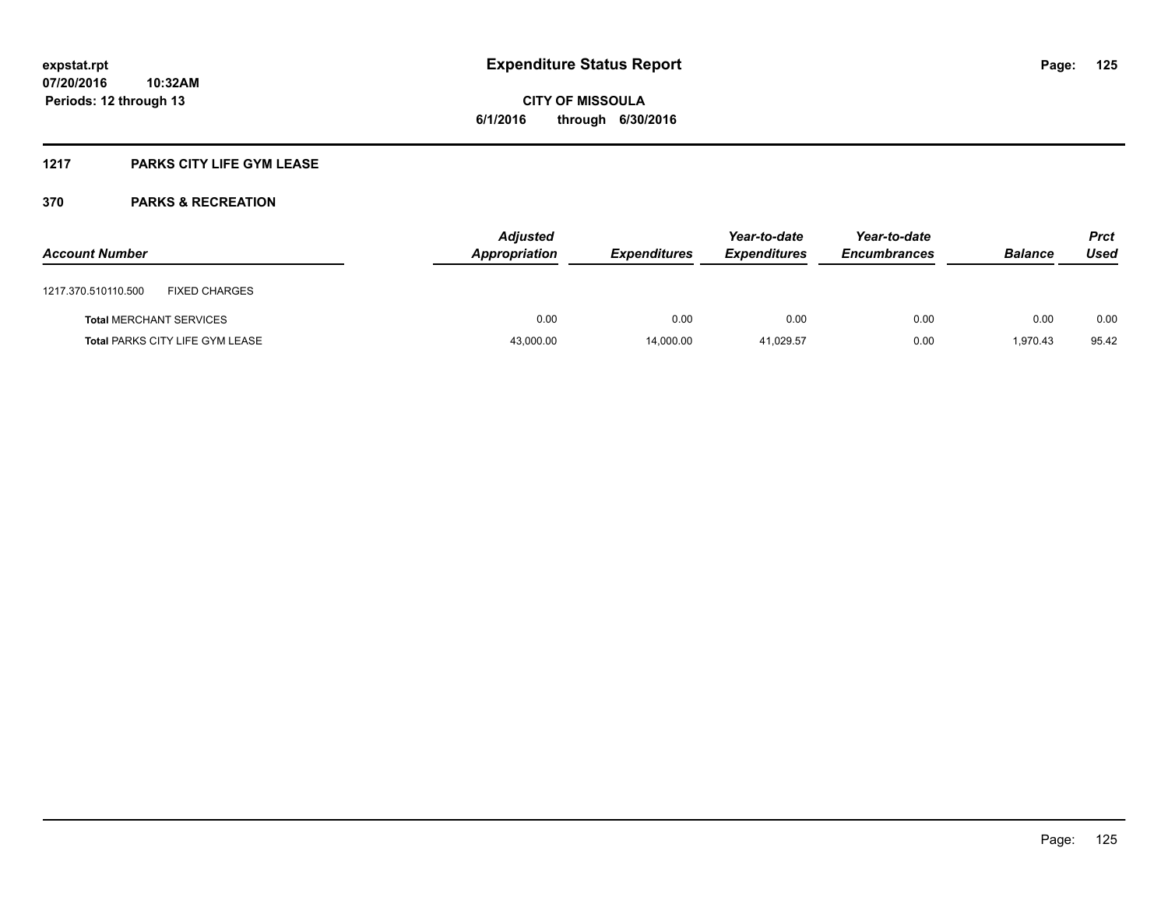## **1217 PARKS CITY LIFE GYM LEASE**

| <b>Account Number</b> |                                        | <b>Adjusted</b><br>Appropriation | <b>Expenditures</b> | Year-to-date<br><b>Expenditures</b> | Year-to-date<br><b>Encumbrances</b> | <b>Balance</b> | <b>Prct</b><br>Used |
|-----------------------|----------------------------------------|----------------------------------|---------------------|-------------------------------------|-------------------------------------|----------------|---------------------|
| 1217.370.510110.500   | <b>FIXED CHARGES</b>                   |                                  |                     |                                     |                                     |                |                     |
|                       | <b>Total MERCHANT SERVICES</b>         | 0.00                             | 0.00                | 0.00                                | 0.00                                | 0.00           | 0.00                |
|                       | <b>Total PARKS CITY LIFE GYM LEASE</b> | 43,000.00                        | 14.000.00           | 41.029.57                           | 0.00                                | 1.970.43       | 95.42               |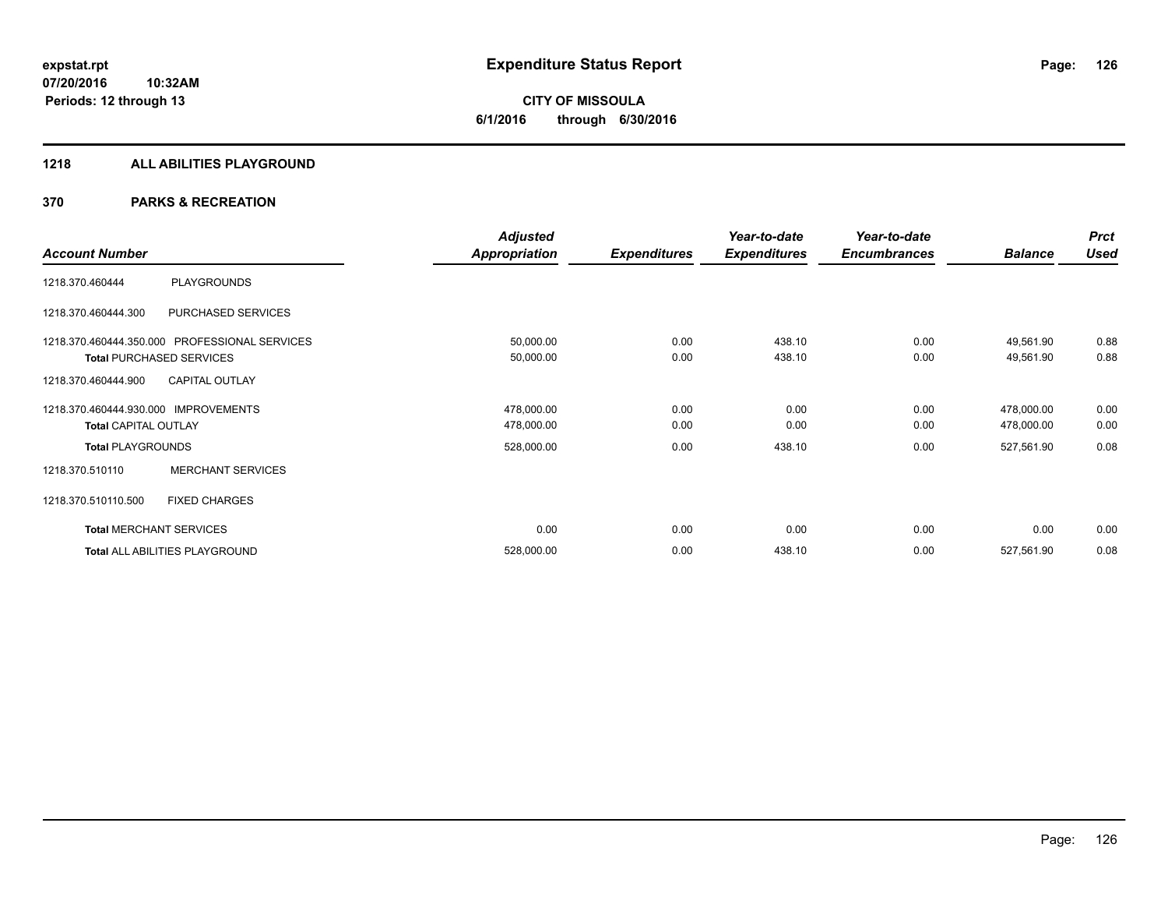#### **1218 ALL ABILITIES PLAYGROUND**

|                             |                                               | <b>Adjusted</b>      |                     | Year-to-date        | Year-to-date        |                | <b>Prct</b> |
|-----------------------------|-----------------------------------------------|----------------------|---------------------|---------------------|---------------------|----------------|-------------|
| <b>Account Number</b>       |                                               | <b>Appropriation</b> | <b>Expenditures</b> | <b>Expenditures</b> | <b>Encumbrances</b> | <b>Balance</b> | <b>Used</b> |
| 1218.370.460444             | <b>PLAYGROUNDS</b>                            |                      |                     |                     |                     |                |             |
| 1218.370.460444.300         | PURCHASED SERVICES                            |                      |                     |                     |                     |                |             |
|                             | 1218.370.460444.350.000 PROFESSIONAL SERVICES | 50,000.00            | 0.00                | 438.10              | 0.00                | 49,561.90      | 0.88        |
|                             | <b>Total PURCHASED SERVICES</b>               | 50,000.00            | 0.00                | 438.10              | 0.00                | 49,561.90      | 0.88        |
| 1218.370.460444.900         | <b>CAPITAL OUTLAY</b>                         |                      |                     |                     |                     |                |             |
| 1218.370.460444.930.000     | <b>IMPROVEMENTS</b>                           | 478,000.00           | 0.00                | 0.00                | 0.00                | 478,000.00     | 0.00        |
| <b>Total CAPITAL OUTLAY</b> |                                               | 478,000.00           | 0.00                | 0.00                | 0.00                | 478,000.00     | 0.00        |
| <b>Total PLAYGROUNDS</b>    |                                               | 528,000.00           | 0.00                | 438.10              | 0.00                | 527,561.90     | 0.08        |
| 1218.370.510110             | <b>MERCHANT SERVICES</b>                      |                      |                     |                     |                     |                |             |
| 1218.370.510110.500         | <b>FIXED CHARGES</b>                          |                      |                     |                     |                     |                |             |
|                             | <b>Total MERCHANT SERVICES</b>                | 0.00                 | 0.00                | 0.00                | 0.00                | 0.00           | 0.00        |
|                             | Total ALL ABILITIES PLAYGROUND                | 528,000.00           | 0.00                | 438.10              | 0.00                | 527,561.90     | 0.08        |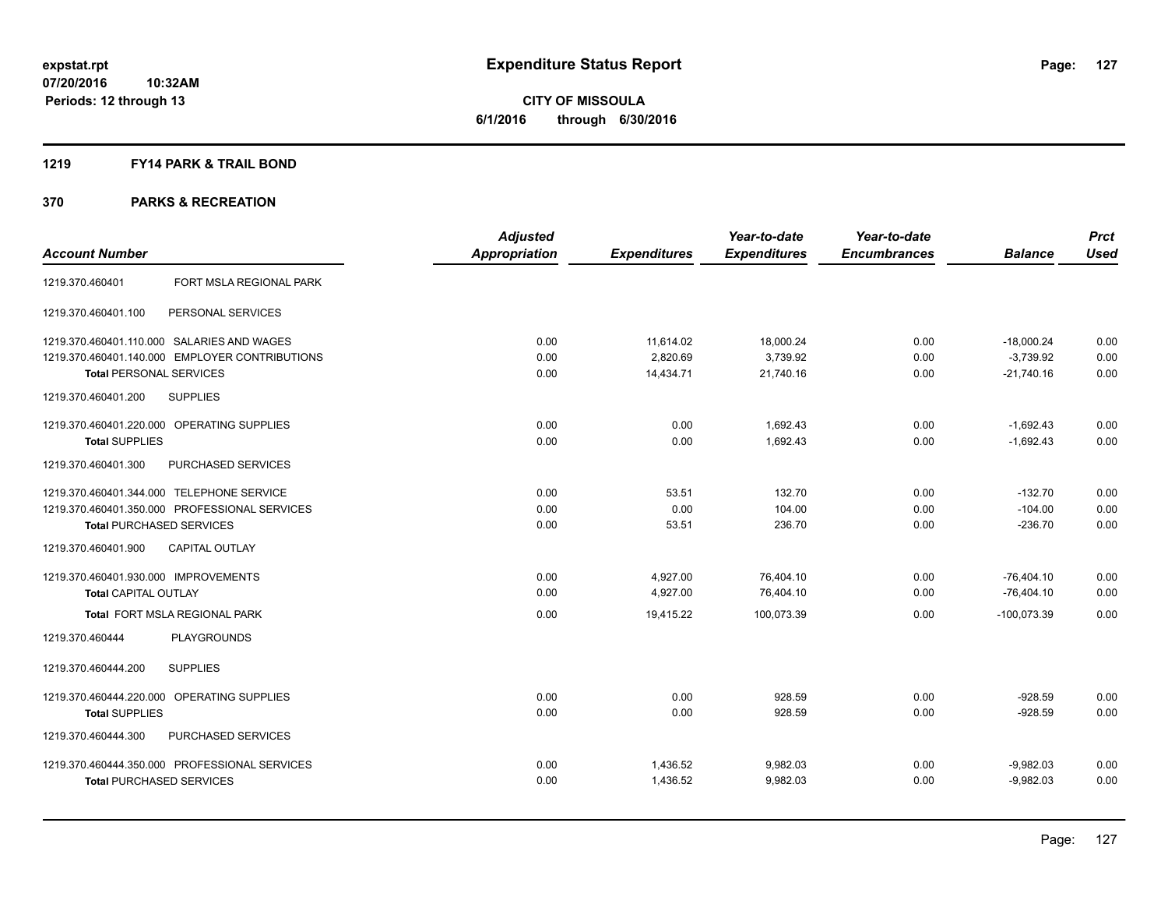**CITY OF MISSOULA 6/1/2016 through 6/30/2016**

#### **1219 FY14 PARK & TRAIL BOND**

|                                                | <b>Adjusted</b>      |                     | Year-to-date        | Year-to-date        |                | <b>Prct</b> |
|------------------------------------------------|----------------------|---------------------|---------------------|---------------------|----------------|-------------|
| <b>Account Number</b>                          | <b>Appropriation</b> | <b>Expenditures</b> | <b>Expenditures</b> | <b>Encumbrances</b> | <b>Balance</b> | <b>Used</b> |
| FORT MSLA REGIONAL PARK<br>1219.370.460401     |                      |                     |                     |                     |                |             |
| PERSONAL SERVICES<br>1219.370.460401.100       |                      |                     |                     |                     |                |             |
| 1219.370.460401.110.000 SALARIES AND WAGES     | 0.00                 | 11,614.02           | 18,000.24           | 0.00                | $-18,000.24$   | 0.00        |
| 1219.370.460401.140.000 EMPLOYER CONTRIBUTIONS | 0.00                 | 2,820.69            | 3,739.92            | 0.00                | $-3,739.92$    | 0.00        |
| <b>Total PERSONAL SERVICES</b>                 | 0.00                 | 14,434.71           | 21,740.16           | 0.00                | $-21,740.16$   | 0.00        |
| 1219.370.460401.200<br><b>SUPPLIES</b>         |                      |                     |                     |                     |                |             |
| 1219.370.460401.220.000 OPERATING SUPPLIES     | 0.00                 | 0.00                | 1,692.43            | 0.00                | $-1,692.43$    | 0.00        |
| <b>Total SUPPLIES</b>                          | 0.00                 | 0.00                | 1,692.43            | 0.00                | $-1,692.43$    | 0.00        |
| PURCHASED SERVICES<br>1219.370.460401.300      |                      |                     |                     |                     |                |             |
| 1219.370.460401.344.000 TELEPHONE SERVICE      | 0.00                 | 53.51               | 132.70              | 0.00                | $-132.70$      | 0.00        |
| 1219.370.460401.350.000 PROFESSIONAL SERVICES  | 0.00                 | 0.00                | 104.00              | 0.00                | $-104.00$      | 0.00        |
| <b>Total PURCHASED SERVICES</b>                | 0.00                 | 53.51               | 236.70              | 0.00                | $-236.70$      | 0.00        |
| <b>CAPITAL OUTLAY</b><br>1219.370.460401.900   |                      |                     |                     |                     |                |             |
| 1219.370.460401.930.000 IMPROVEMENTS           | 0.00                 | 4,927.00            | 76,404.10           | 0.00                | $-76,404.10$   | 0.00        |
| <b>Total CAPITAL OUTLAY</b>                    | 0.00                 | 4,927.00            | 76,404.10           | 0.00                | $-76.404.10$   | 0.00        |
| <b>Total FORT MSLA REGIONAL PARK</b>           | 0.00                 | 19,415.22           | 100.073.39          | 0.00                | $-100.073.39$  | 0.00        |
| 1219.370.460444<br><b>PLAYGROUNDS</b>          |                      |                     |                     |                     |                |             |
| <b>SUPPLIES</b><br>1219.370.460444.200         |                      |                     |                     |                     |                |             |
| 1219.370.460444.220.000 OPERATING SUPPLIES     | 0.00                 | 0.00                | 928.59              | 0.00                | $-928.59$      | 0.00        |
| <b>Total SUPPLIES</b>                          | 0.00                 | 0.00                | 928.59              | 0.00                | $-928.59$      | 0.00        |
| 1219.370.460444.300<br>PURCHASED SERVICES      |                      |                     |                     |                     |                |             |
| 1219.370.460444.350.000 PROFESSIONAL SERVICES  | 0.00                 | 1,436.52            | 9,982.03            | 0.00                | $-9,982.03$    | 0.00        |
| <b>Total PURCHASED SERVICES</b>                | 0.00                 | 1,436.52            | 9,982.03            | 0.00                | $-9,982.03$    | 0.00        |
|                                                |                      |                     |                     |                     |                |             |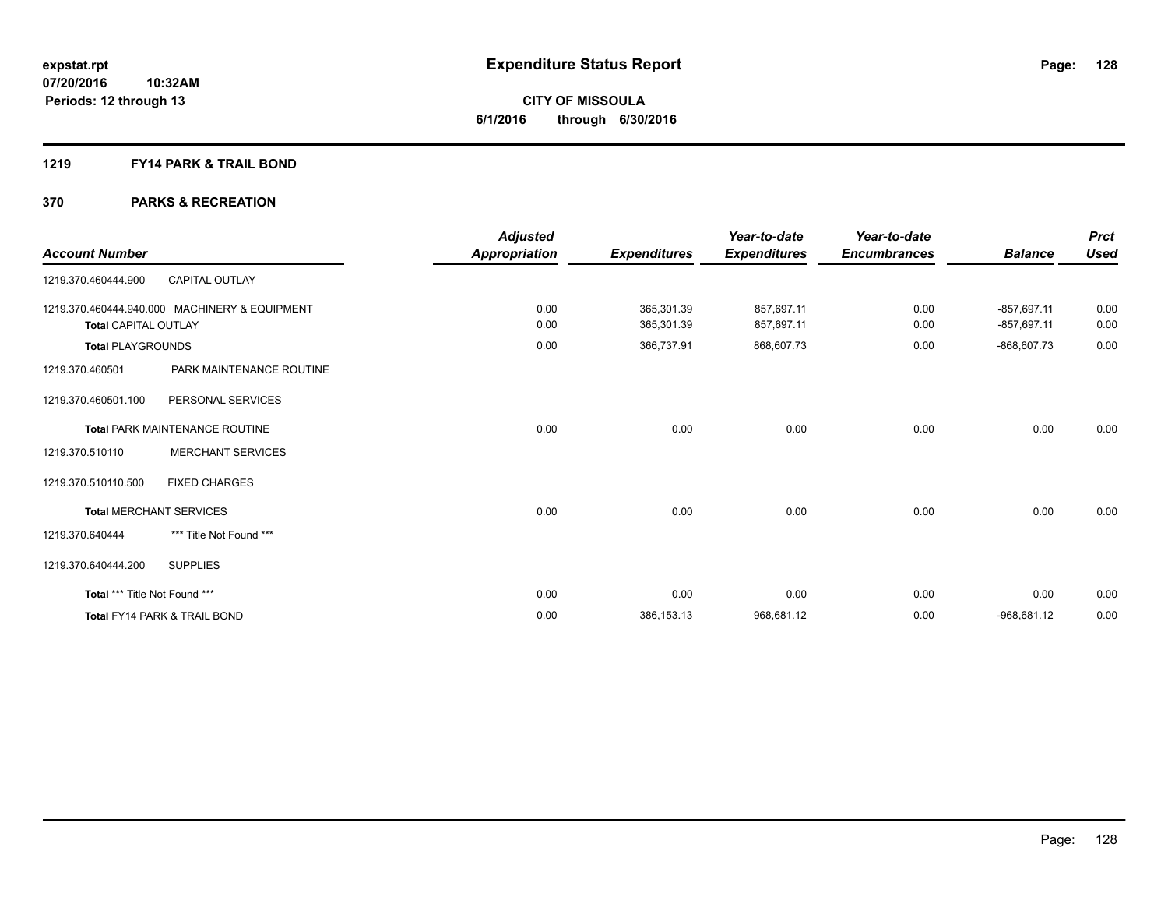#### **1219 FY14 PARK & TRAIL BOND**

| <b>Account Number</b>         |                                               | <b>Adjusted</b><br>Appropriation | <b>Expenditures</b>      | Year-to-date<br><b>Expenditures</b> | Year-to-date<br><b>Encumbrances</b> | <b>Balance</b>                 | <b>Prct</b><br><b>Used</b> |
|-------------------------------|-----------------------------------------------|----------------------------------|--------------------------|-------------------------------------|-------------------------------------|--------------------------------|----------------------------|
| 1219.370.460444.900           | <b>CAPITAL OUTLAY</b>                         |                                  |                          |                                     |                                     |                                |                            |
| <b>Total CAPITAL OUTLAY</b>   | 1219.370.460444.940.000 MACHINERY & EQUIPMENT | 0.00<br>0.00                     | 365,301.39<br>365,301.39 | 857,697.11<br>857,697.11            | 0.00<br>0.00                        | $-857,697.11$<br>$-857,697.11$ | 0.00<br>0.00               |
| <b>Total PLAYGROUNDS</b>      |                                               | 0.00                             | 366,737.91               | 868,607.73                          | 0.00                                | $-868,607.73$                  | 0.00                       |
| 1219.370.460501               | PARK MAINTENANCE ROUTINE                      |                                  |                          |                                     |                                     |                                |                            |
| 1219.370.460501.100           | PERSONAL SERVICES                             |                                  |                          |                                     |                                     |                                |                            |
|                               | <b>Total PARK MAINTENANCE ROUTINE</b>         | 0.00                             | 0.00                     | 0.00                                | 0.00                                | 0.00                           | 0.00                       |
| 1219.370.510110               | <b>MERCHANT SERVICES</b>                      |                                  |                          |                                     |                                     |                                |                            |
| 1219.370.510110.500           | <b>FIXED CHARGES</b>                          |                                  |                          |                                     |                                     |                                |                            |
|                               | <b>Total MERCHANT SERVICES</b>                | 0.00                             | 0.00                     | 0.00                                | 0.00                                | 0.00                           | 0.00                       |
| 1219.370.640444               | *** Title Not Found ***                       |                                  |                          |                                     |                                     |                                |                            |
| 1219.370.640444.200           | <b>SUPPLIES</b>                               |                                  |                          |                                     |                                     |                                |                            |
| Total *** Title Not Found *** |                                               | 0.00                             | 0.00                     | 0.00                                | 0.00                                | 0.00                           | 0.00                       |
|                               | <b>Total FY14 PARK &amp; TRAIL BOND</b>       | 0.00                             | 386, 153. 13             | 968,681.12                          | 0.00                                | $-968.681.12$                  | 0.00                       |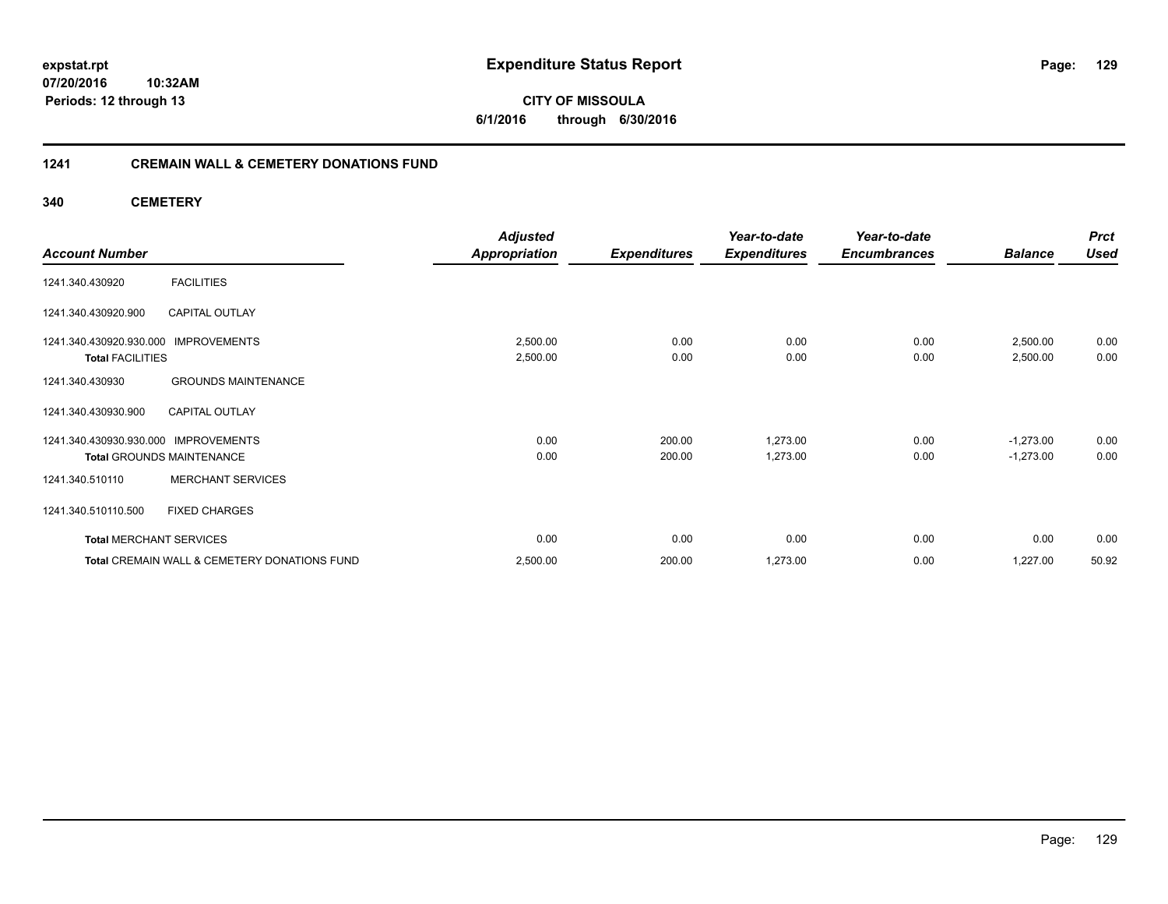## **1241 CREMAIN WALL & CEMETERY DONATIONS FUND**

**340 CEMETERY**

|                                               | <b>Adjusted</b>      |                     | Year-to-date        | Year-to-date        |                | <b>Prct</b> |
|-----------------------------------------------|----------------------|---------------------|---------------------|---------------------|----------------|-------------|
| <b>Account Number</b>                         | <b>Appropriation</b> | <b>Expenditures</b> | <b>Expenditures</b> | <b>Encumbrances</b> | <b>Balance</b> | <b>Used</b> |
| <b>FACILITIES</b><br>1241.340.430920          |                      |                     |                     |                     |                |             |
| CAPITAL OUTLAY<br>1241.340.430920.900         |                      |                     |                     |                     |                |             |
| 1241.340.430920.930.000 IMPROVEMENTS          | 2,500.00             | 0.00                | 0.00                | 0.00                | 2,500.00       | 0.00        |
| <b>Total FACILITIES</b>                       | 2,500.00             | 0.00                | 0.00                | 0.00                | 2,500.00       | 0.00        |
| <b>GROUNDS MAINTENANCE</b><br>1241.340.430930 |                      |                     |                     |                     |                |             |
| 1241.340.430930.900<br><b>CAPITAL OUTLAY</b>  |                      |                     |                     |                     |                |             |
| 1241.340.430930.930.000 IMPROVEMENTS          | 0.00                 | 200.00              | 1,273.00            | 0.00                | $-1,273.00$    | 0.00        |
| <b>Total GROUNDS MAINTENANCE</b>              | 0.00                 | 200.00              | 1,273.00            | 0.00                | $-1,273.00$    | 0.00        |
| <b>MERCHANT SERVICES</b><br>1241.340.510110   |                      |                     |                     |                     |                |             |
| 1241.340.510110.500<br><b>FIXED CHARGES</b>   |                      |                     |                     |                     |                |             |
| <b>Total MERCHANT SERVICES</b>                | 0.00                 | 0.00                | 0.00                | 0.00                | 0.00           | 0.00        |
| Total CREMAIN WALL & CEMETERY DONATIONS FUND  | 2,500.00             | 200.00              | 1,273.00            | 0.00                | 1,227.00       | 50.92       |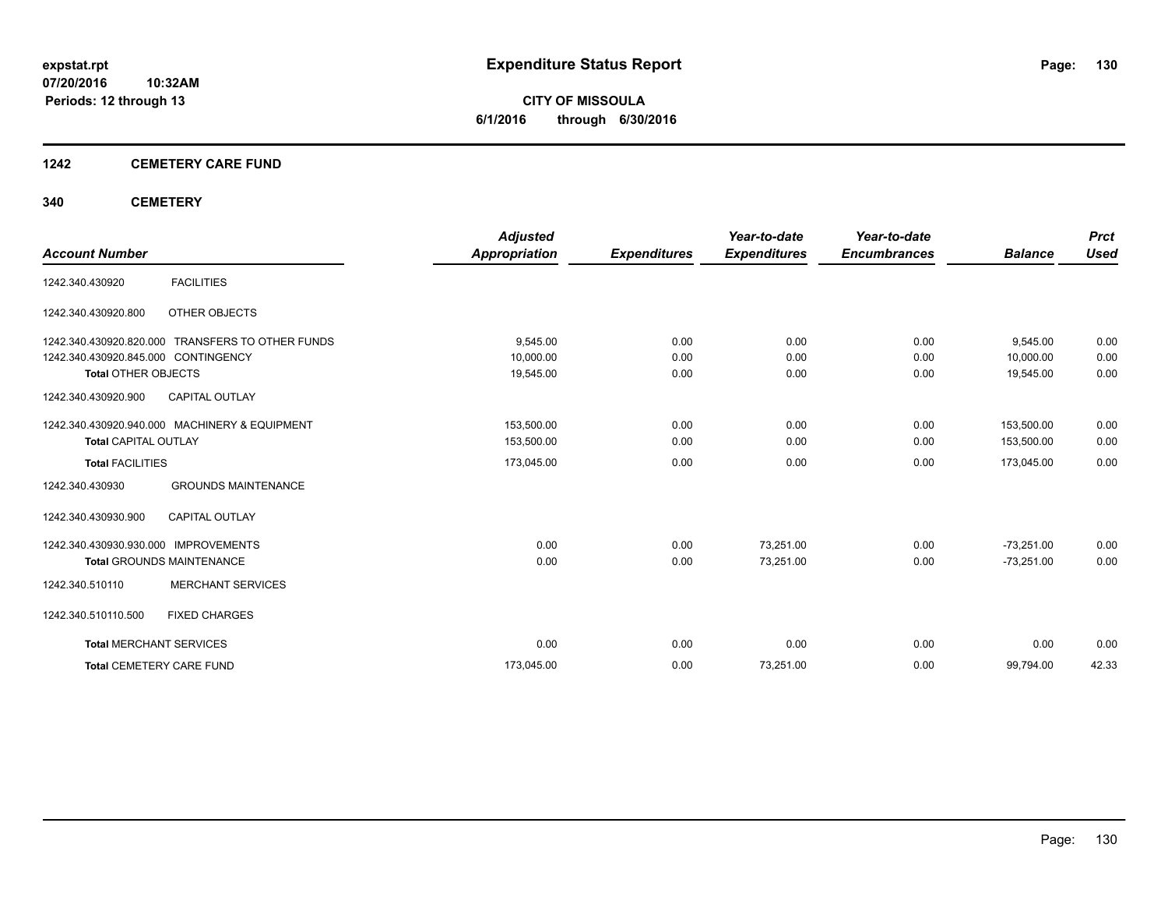**CITY OF MISSOULA 6/1/2016 through 6/30/2016**

## **1242 CEMETERY CARE FUND**

## **340 CEMETERY**

|                                                  | <b>Adjusted</b> |                     | Year-to-date        | Year-to-date        |                | <b>Prct</b> |
|--------------------------------------------------|-----------------|---------------------|---------------------|---------------------|----------------|-------------|
| <b>Account Number</b>                            | Appropriation   | <b>Expenditures</b> | <b>Expenditures</b> | <b>Encumbrances</b> | <b>Balance</b> | <b>Used</b> |
| <b>FACILITIES</b><br>1242.340.430920             |                 |                     |                     |                     |                |             |
| 1242.340.430920.800<br>OTHER OBJECTS             |                 |                     |                     |                     |                |             |
| 1242.340.430920.820.000 TRANSFERS TO OTHER FUNDS | 9.545.00        | 0.00                | 0.00                | 0.00                | 9,545.00       | 0.00        |
| 1242.340.430920.845.000 CONTINGENCY              | 10,000.00       | 0.00                | 0.00                | 0.00                | 10.000.00      | 0.00        |
| <b>Total OTHER OBJECTS</b>                       | 19,545.00       | 0.00                | 0.00                | 0.00                | 19,545.00      | 0.00        |
| 1242.340.430920.900<br><b>CAPITAL OUTLAY</b>     |                 |                     |                     |                     |                |             |
| 1242.340.430920.940.000 MACHINERY & EQUIPMENT    | 153.500.00      | 0.00                | 0.00                | 0.00                | 153.500.00     | 0.00        |
| <b>Total CAPITAL OUTLAY</b>                      | 153,500.00      | 0.00                | 0.00                | 0.00                | 153,500.00     | 0.00        |
| <b>Total FACILITIES</b>                          | 173,045.00      | 0.00                | 0.00                | 0.00                | 173,045.00     | 0.00        |
| <b>GROUNDS MAINTENANCE</b><br>1242.340.430930    |                 |                     |                     |                     |                |             |
| 1242.340.430930.900<br><b>CAPITAL OUTLAY</b>     |                 |                     |                     |                     |                |             |
| 1242.340.430930.930.000 IMPROVEMENTS             | 0.00            | 0.00                | 73,251.00           | 0.00                | $-73,251.00$   | 0.00        |
| <b>Total GROUNDS MAINTENANCE</b>                 | 0.00            | 0.00                | 73,251.00           | 0.00                | $-73,251.00$   | 0.00        |
| <b>MERCHANT SERVICES</b><br>1242.340.510110      |                 |                     |                     |                     |                |             |
| <b>FIXED CHARGES</b><br>1242.340.510110.500      |                 |                     |                     |                     |                |             |
| <b>Total MERCHANT SERVICES</b>                   | 0.00            | 0.00                | 0.00                | 0.00                | 0.00           | 0.00        |
| <b>Total CEMETERY CARE FUND</b>                  | 173,045.00      | 0.00                | 73,251.00           | 0.00                | 99,794.00      | 42.33       |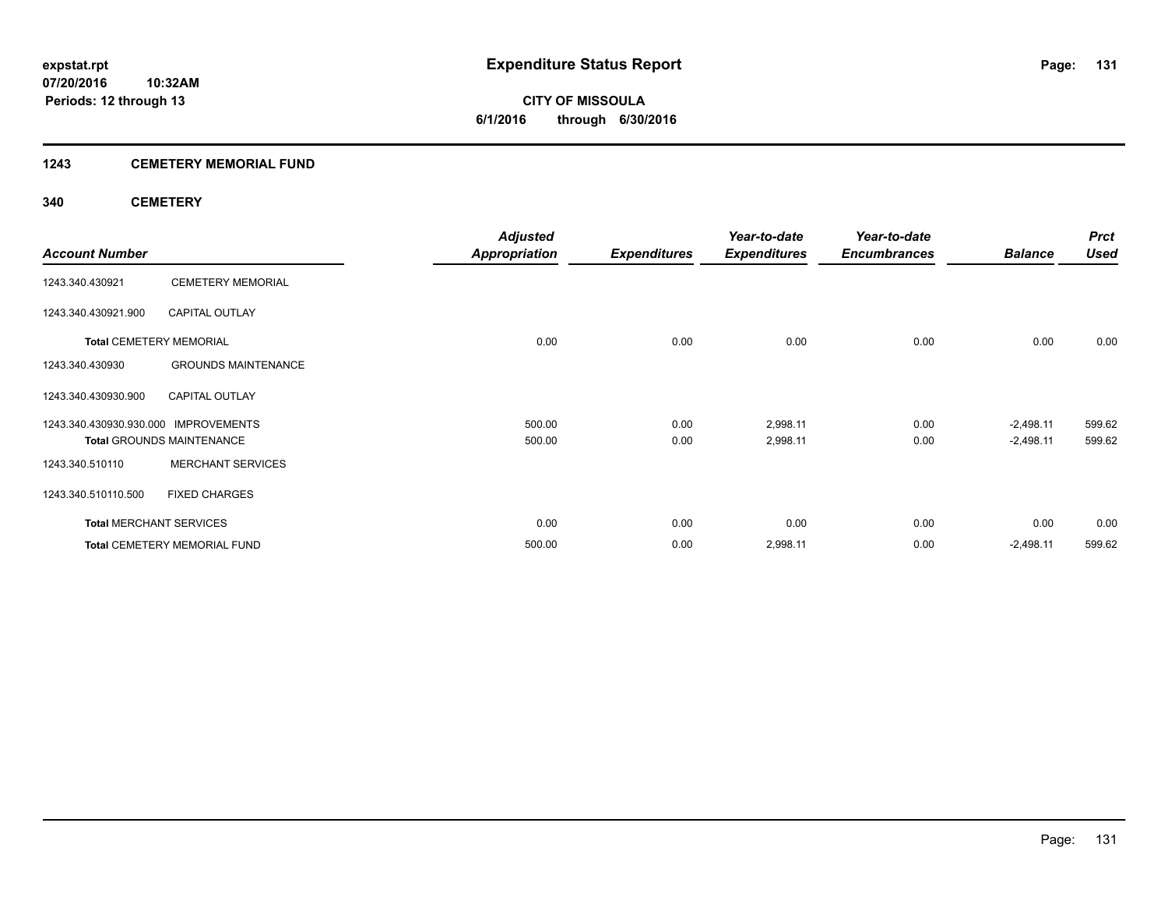**CITY OF MISSOULA 6/1/2016 through 6/30/2016**

## **1243 CEMETERY MEMORIAL FUND**

## **340 CEMETERY**

|                                      |                                     | <b>Adjusted</b>      |                     | Year-to-date        | Year-to-date        |                | <b>Prct</b> |
|--------------------------------------|-------------------------------------|----------------------|---------------------|---------------------|---------------------|----------------|-------------|
| <b>Account Number</b>                |                                     | <b>Appropriation</b> | <b>Expenditures</b> | <b>Expenditures</b> | <b>Encumbrances</b> | <b>Balance</b> | <b>Used</b> |
| 1243.340.430921                      | <b>CEMETERY MEMORIAL</b>            |                      |                     |                     |                     |                |             |
| 1243.340.430921.900                  | <b>CAPITAL OUTLAY</b>               |                      |                     |                     |                     |                |             |
| <b>Total CEMETERY MEMORIAL</b>       |                                     | 0.00                 | 0.00                | 0.00                | 0.00                | 0.00           | 0.00        |
| 1243.340.430930                      | <b>GROUNDS MAINTENANCE</b>          |                      |                     |                     |                     |                |             |
| 1243.340.430930.900                  | <b>CAPITAL OUTLAY</b>               |                      |                     |                     |                     |                |             |
| 1243.340.430930.930.000 IMPROVEMENTS |                                     | 500.00               | 0.00                | 2,998.11            | 0.00                | $-2,498.11$    | 599.62      |
|                                      | <b>Total GROUNDS MAINTENANCE</b>    | 500.00               | 0.00                | 2,998.11            | 0.00                | $-2,498.11$    | 599.62      |
| 1243.340.510110                      | <b>MERCHANT SERVICES</b>            |                      |                     |                     |                     |                |             |
| 1243.340.510110.500                  | <b>FIXED CHARGES</b>                |                      |                     |                     |                     |                |             |
| <b>Total MERCHANT SERVICES</b>       |                                     | 0.00                 | 0.00                | 0.00                | 0.00                | 0.00           | 0.00        |
|                                      | <b>Total CEMETERY MEMORIAL FUND</b> | 500.00               | 0.00                | 2,998.11            | 0.00                | $-2,498.11$    | 599.62      |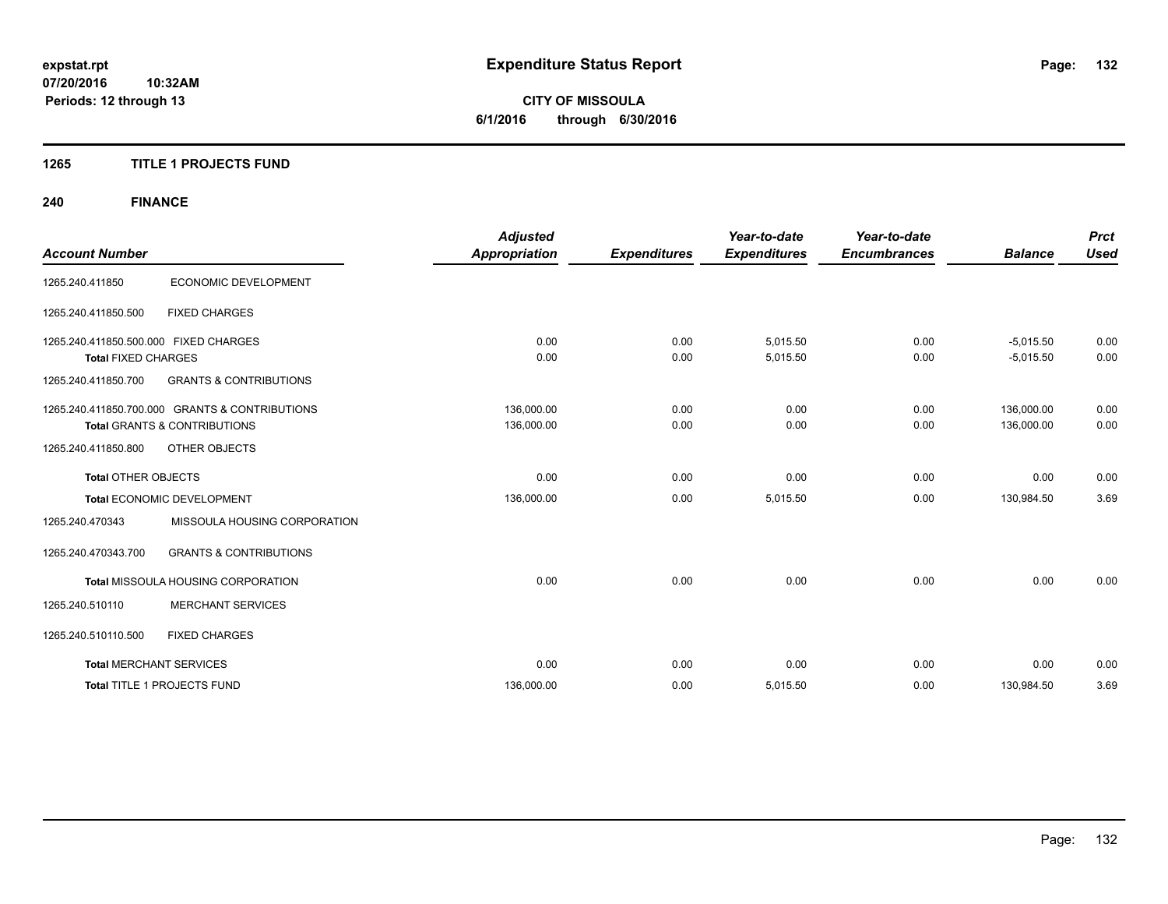## **1265 TITLE 1 PROJECTS FUND**

# **240 FINANCE**

| <b>Account Number</b>                                               |                                                                                           | <b>Adjusted</b><br><b>Appropriation</b> | <b>Expenditures</b> | Year-to-date<br><b>Expenditures</b> | Year-to-date<br><b>Encumbrances</b> | <b>Balance</b>             | <b>Prct</b><br><b>Used</b> |
|---------------------------------------------------------------------|-------------------------------------------------------------------------------------------|-----------------------------------------|---------------------|-------------------------------------|-------------------------------------|----------------------------|----------------------------|
| 1265.240.411850                                                     | <b>ECONOMIC DEVELOPMENT</b>                                                               |                                         |                     |                                     |                                     |                            |                            |
| 1265.240.411850.500                                                 | <b>FIXED CHARGES</b>                                                                      |                                         |                     |                                     |                                     |                            |                            |
| 1265.240.411850.500.000 FIXED CHARGES<br><b>Total FIXED CHARGES</b> |                                                                                           | 0.00<br>0.00                            | 0.00<br>0.00        | 5,015.50<br>5,015.50                | 0.00<br>0.00                        | $-5,015.50$<br>$-5,015.50$ | 0.00<br>0.00               |
| 1265.240.411850.700                                                 | <b>GRANTS &amp; CONTRIBUTIONS</b>                                                         |                                         |                     |                                     |                                     |                            |                            |
|                                                                     | 1265.240.411850.700.000 GRANTS & CONTRIBUTIONS<br><b>Total GRANTS &amp; CONTRIBUTIONS</b> | 136,000.00<br>136,000.00                | 0.00<br>0.00        | 0.00<br>0.00                        | 0.00<br>0.00                        | 136,000.00<br>136,000.00   | 0.00<br>0.00               |
| 1265.240.411850.800                                                 | OTHER OBJECTS                                                                             |                                         |                     |                                     |                                     |                            |                            |
| <b>Total OTHER OBJECTS</b>                                          |                                                                                           | 0.00                                    | 0.00                | 0.00                                | 0.00                                | 0.00                       | 0.00                       |
|                                                                     | Total ECONOMIC DEVELOPMENT                                                                | 136,000.00                              | 0.00                | 5,015.50                            | 0.00                                | 130,984.50                 | 3.69                       |
| 1265.240.470343                                                     | MISSOULA HOUSING CORPORATION                                                              |                                         |                     |                                     |                                     |                            |                            |
| 1265.240.470343.700                                                 | <b>GRANTS &amp; CONTRIBUTIONS</b>                                                         |                                         |                     |                                     |                                     |                            |                            |
|                                                                     | Total MISSOULA HOUSING CORPORATION                                                        | 0.00                                    | 0.00                | 0.00                                | 0.00                                | 0.00                       | 0.00                       |
| 1265.240.510110                                                     | <b>MERCHANT SERVICES</b>                                                                  |                                         |                     |                                     |                                     |                            |                            |
| 1265.240.510110.500                                                 | <b>FIXED CHARGES</b>                                                                      |                                         |                     |                                     |                                     |                            |                            |
|                                                                     | <b>Total MERCHANT SERVICES</b>                                                            | 0.00                                    | 0.00                | 0.00                                | 0.00                                | 0.00                       | 0.00                       |
|                                                                     | <b>Total TITLE 1 PROJECTS FUND</b>                                                        | 136,000.00                              | 0.00                | 5,015.50                            | 0.00                                | 130,984.50                 | 3.69                       |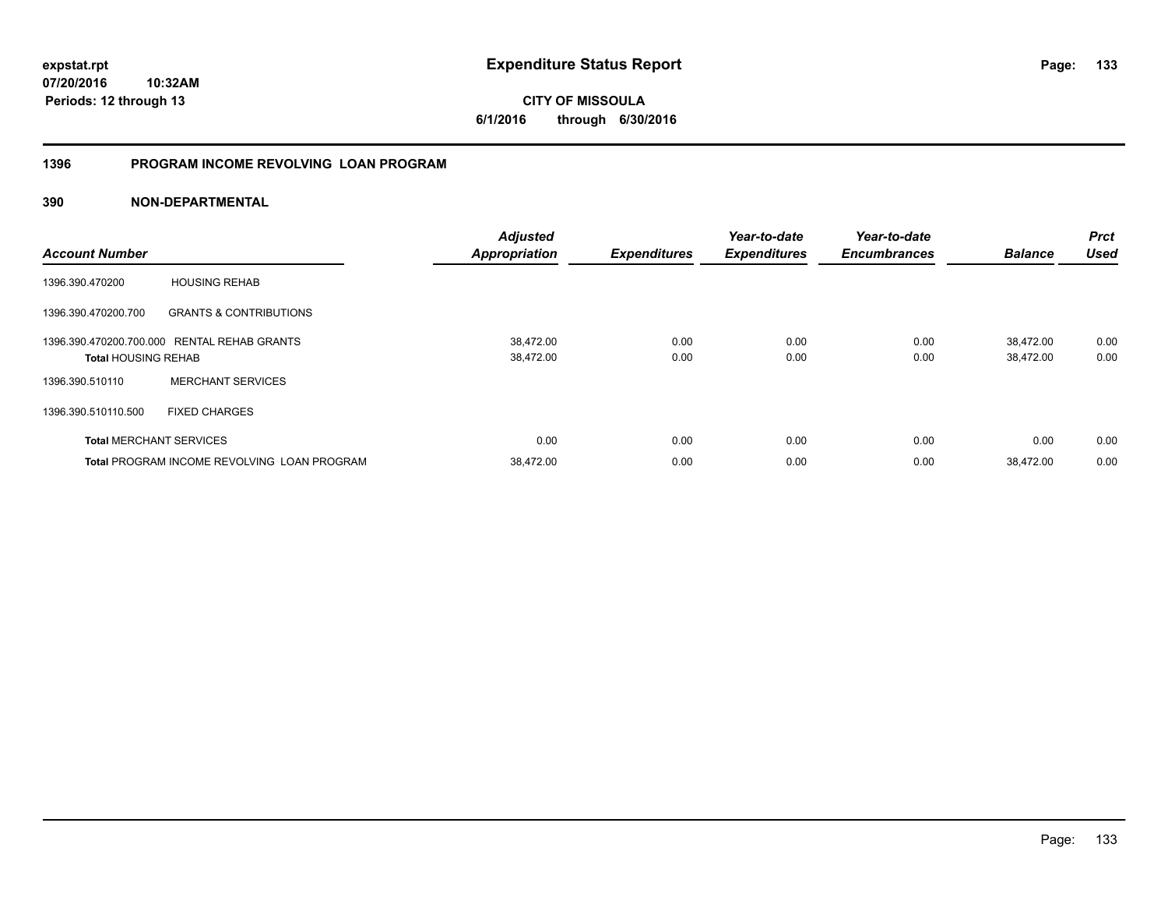**CITY OF MISSOULA 6/1/2016 through 6/30/2016**

## **1396 PROGRAM INCOME REVOLVING LOAN PROGRAM**

| <b>Account Number</b>      |                                                    | <b>Adjusted</b><br><b>Appropriation</b> | <b>Expenditures</b> | Year-to-date<br><b>Expenditures</b> | Year-to-date<br><b>Encumbrances</b> | <b>Balance</b>         | <b>Prct</b><br><b>Used</b> |
|----------------------------|----------------------------------------------------|-----------------------------------------|---------------------|-------------------------------------|-------------------------------------|------------------------|----------------------------|
| 1396.390.470200            | <b>HOUSING REHAB</b>                               |                                         |                     |                                     |                                     |                        |                            |
| 1396.390.470200.700        | <b>GRANTS &amp; CONTRIBUTIONS</b>                  |                                         |                     |                                     |                                     |                        |                            |
| <b>Total HOUSING REHAB</b> | 1396.390.470200.700.000 RENTAL REHAB GRANTS        | 38,472.00<br>38,472.00                  | 0.00<br>0.00        | 0.00<br>0.00                        | 0.00<br>0.00                        | 38,472.00<br>38,472.00 | 0.00<br>0.00               |
| 1396.390.510110            | <b>MERCHANT SERVICES</b>                           |                                         |                     |                                     |                                     |                        |                            |
| 1396.390.510110.500        | <b>FIXED CHARGES</b>                               |                                         |                     |                                     |                                     |                        |                            |
|                            | <b>Total MERCHANT SERVICES</b>                     | 0.00                                    | 0.00                | 0.00                                | 0.00                                | 0.00                   | 0.00                       |
|                            | <b>Total PROGRAM INCOME REVOLVING LOAN PROGRAM</b> | 38.472.00                               | 0.00                | 0.00                                | 0.00                                | 38,472.00              | 0.00                       |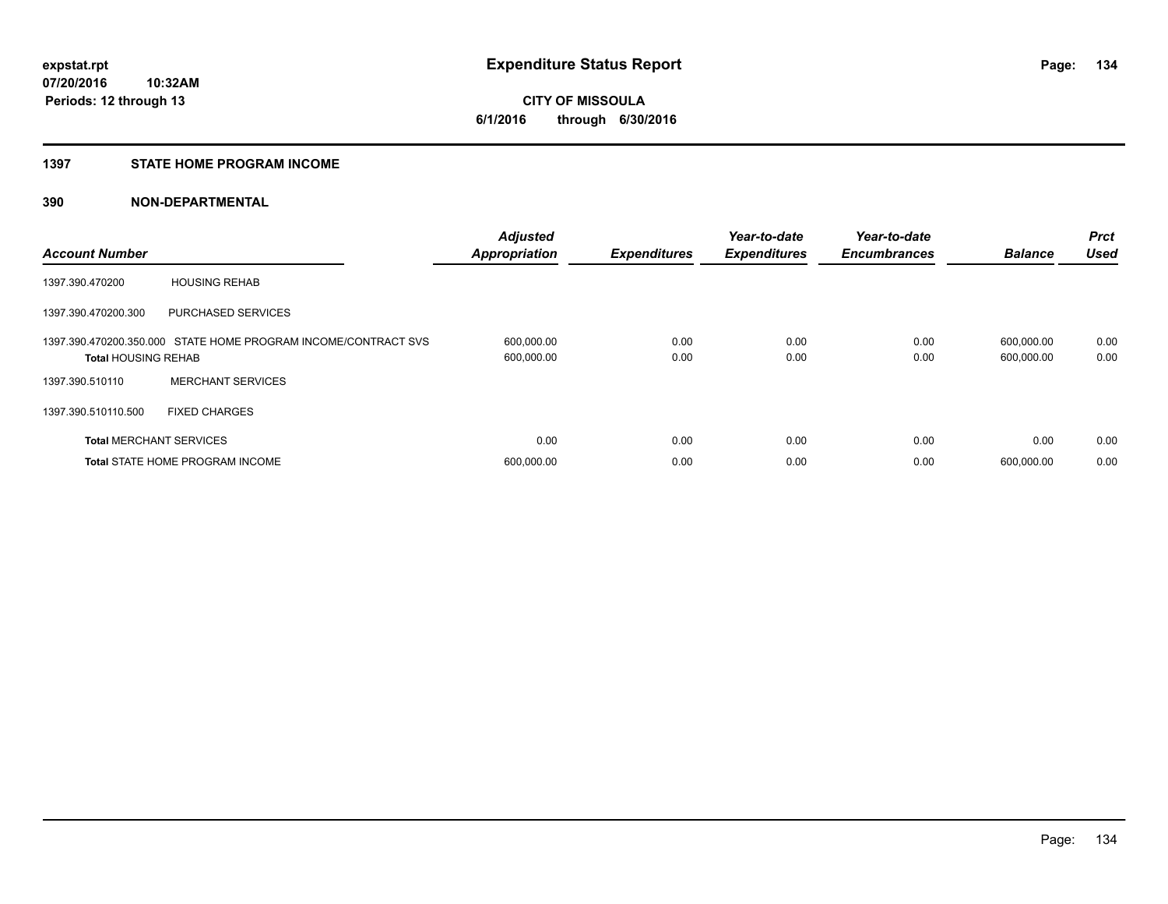## **1397 STATE HOME PROGRAM INCOME**

| <b>Account Number</b>          |                                                                | <b>Adjusted</b><br><b>Appropriation</b> | <b>Expenditures</b> | Year-to-date<br><b>Expenditures</b> | Year-to-date<br><b>Encumbrances</b> | <b>Balance</b>           | <b>Prct</b><br><b>Used</b> |
|--------------------------------|----------------------------------------------------------------|-----------------------------------------|---------------------|-------------------------------------|-------------------------------------|--------------------------|----------------------------|
| 1397.390.470200                | <b>HOUSING REHAB</b>                                           |                                         |                     |                                     |                                     |                          |                            |
| 1397.390.470200.300            | <b>PURCHASED SERVICES</b>                                      |                                         |                     |                                     |                                     |                          |                            |
| <b>Total HOUSING REHAB</b>     | 1397.390.470200.350.000 STATE HOME PROGRAM INCOME/CONTRACT SVS | 600,000.00<br>600,000.00                | 0.00<br>0.00        | 0.00<br>0.00                        | 0.00<br>0.00                        | 600,000.00<br>600,000.00 | 0.00<br>0.00               |
| 1397.390.510110                | <b>MERCHANT SERVICES</b>                                       |                                         |                     |                                     |                                     |                          |                            |
| 1397.390.510110.500            | <b>FIXED CHARGES</b>                                           |                                         |                     |                                     |                                     |                          |                            |
| <b>Total MERCHANT SERVICES</b> |                                                                | 0.00                                    | 0.00                | 0.00                                | 0.00                                | 0.00                     | 0.00                       |
|                                | <b>Total STATE HOME PROGRAM INCOME</b>                         | 600,000.00                              | 0.00                | 0.00                                | 0.00                                | 600.000.00               | 0.00                       |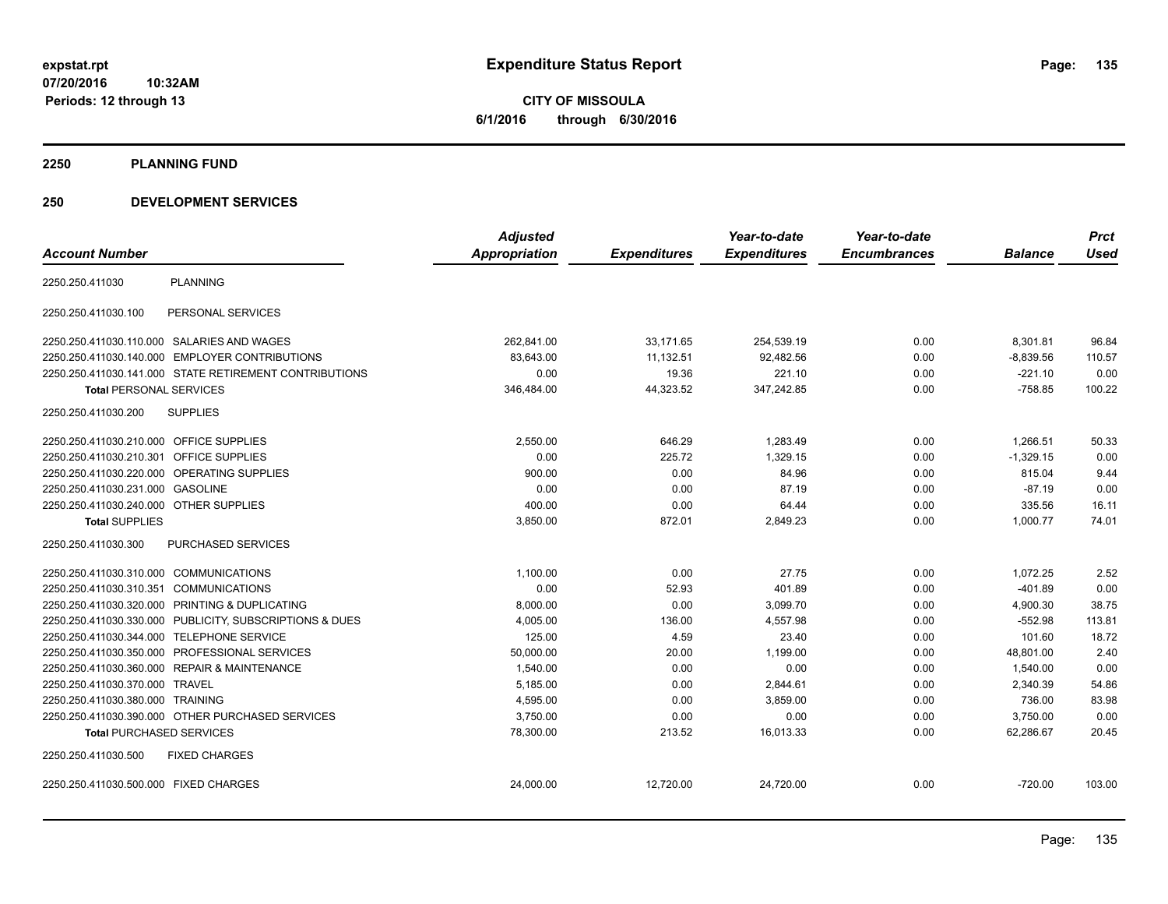**CITY OF MISSOULA 6/1/2016 through 6/30/2016**

**2250 PLANNING FUND**

## **250 DEVELOPMENT SERVICES**

|                                         |                                                         | <b>Adjusted</b> |                     | Year-to-date        | Year-to-date        |                | <b>Prct</b> |
|-----------------------------------------|---------------------------------------------------------|-----------------|---------------------|---------------------|---------------------|----------------|-------------|
| <b>Account Number</b>                   |                                                         | Appropriation   | <b>Expenditures</b> | <b>Expenditures</b> | <b>Encumbrances</b> | <b>Balance</b> | <b>Used</b> |
| 2250.250.411030                         | <b>PLANNING</b>                                         |                 |                     |                     |                     |                |             |
| 2250.250.411030.100                     | PERSONAL SERVICES                                       |                 |                     |                     |                     |                |             |
|                                         | 2250.250.411030.110.000 SALARIES AND WAGES              | 262,841.00      | 33,171.65           | 254,539.19          | 0.00                | 8,301.81       | 96.84       |
|                                         | 2250.250.411030.140.000 EMPLOYER CONTRIBUTIONS          | 83,643.00       | 11,132.51           | 92,482.56           | 0.00                | $-8,839.56$    | 110.57      |
|                                         | 2250.250.411030.141.000 STATE RETIREMENT CONTRIBUTIONS  | 0.00            | 19.36               | 221.10              | 0.00                | $-221.10$      | 0.00        |
| <b>Total PERSONAL SERVICES</b>          |                                                         | 346,484.00      | 44,323.52           | 347,242.85          | 0.00                | $-758.85$      | 100.22      |
| 2250.250.411030.200                     | <b>SUPPLIES</b>                                         |                 |                     |                     |                     |                |             |
| 2250.250.411030.210.000 OFFICE SUPPLIES |                                                         | 2,550.00        | 646.29              | 1,283.49            | 0.00                | 1.266.51       | 50.33       |
| 2250.250.411030.210.301                 | OFFICE SUPPLIES                                         | 0.00            | 225.72              | 1,329.15            | 0.00                | $-1,329.15$    | 0.00        |
|                                         | 2250.250.411030.220.000 OPERATING SUPPLIES              | 900.00          | 0.00                | 84.96               | 0.00                | 815.04         | 9.44        |
| 2250.250.411030.231.000 GASOLINE        |                                                         | 0.00            | 0.00                | 87.19               | 0.00                | $-87.19$       | 0.00        |
| 2250.250.411030.240.000 OTHER SUPPLIES  |                                                         | 400.00          | 0.00                | 64.44               | 0.00                | 335.56         | 16.11       |
| <b>Total SUPPLIES</b>                   |                                                         | 3,850.00        | 872.01              | 2,849.23            | 0.00                | 1,000.77       | 74.01       |
| 2250.250.411030.300                     | <b>PURCHASED SERVICES</b>                               |                 |                     |                     |                     |                |             |
| 2250.250.411030.310.000 COMMUNICATIONS  |                                                         | 1.100.00        | 0.00                | 27.75               | 0.00                | 1,072.25       | 2.52        |
| 2250.250.411030.310.351 COMMUNICATIONS  |                                                         | 0.00            | 52.93               | 401.89              | 0.00                | $-401.89$      | 0.00        |
|                                         | 2250.250.411030.320.000 PRINTING & DUPLICATING          | 8,000.00        | 0.00                | 3,099.70            | 0.00                | 4,900.30       | 38.75       |
|                                         | 2250.250.411030.330.000 PUBLICITY, SUBSCRIPTIONS & DUES | 4,005.00        | 136.00              | 4,557.98            | 0.00                | $-552.98$      | 113.81      |
| 2250.250.411030.344.000                 | <b>TELEPHONE SERVICE</b>                                | 125.00          | 4.59                | 23.40               | 0.00                | 101.60         | 18.72       |
|                                         | 2250.250.411030.350.000 PROFESSIONAL SERVICES           | 50,000.00       | 20.00               | 1,199.00            | 0.00                | 48,801.00      | 2.40        |
|                                         | 2250.250.411030.360.000 REPAIR & MAINTENANCE            | 1,540.00        | 0.00                | 0.00                | 0.00                | 1,540.00       | 0.00        |
| 2250.250.411030.370.000 TRAVEL          |                                                         | 5,185.00        | 0.00                | 2,844.61            | 0.00                | 2,340.39       | 54.86       |
| 2250.250.411030.380.000 TRAINING        |                                                         | 4,595.00        | 0.00                | 3,859.00            | 0.00                | 736.00         | 83.98       |
|                                         | 2250.250.411030.390.000 OTHER PURCHASED SERVICES        | 3,750.00        | 0.00                | 0.00                | 0.00                | 3,750.00       | 0.00        |
| <b>Total PURCHASED SERVICES</b>         |                                                         | 78,300.00       | 213.52              | 16,013.33           | 0.00                | 62,286.67      | 20.45       |
| 2250.250.411030.500                     | <b>FIXED CHARGES</b>                                    |                 |                     |                     |                     |                |             |
| 2250.250.411030.500.000 FIXED CHARGES   |                                                         | 24,000.00       | 12,720.00           | 24,720.00           | 0.00                | $-720.00$      | 103.00      |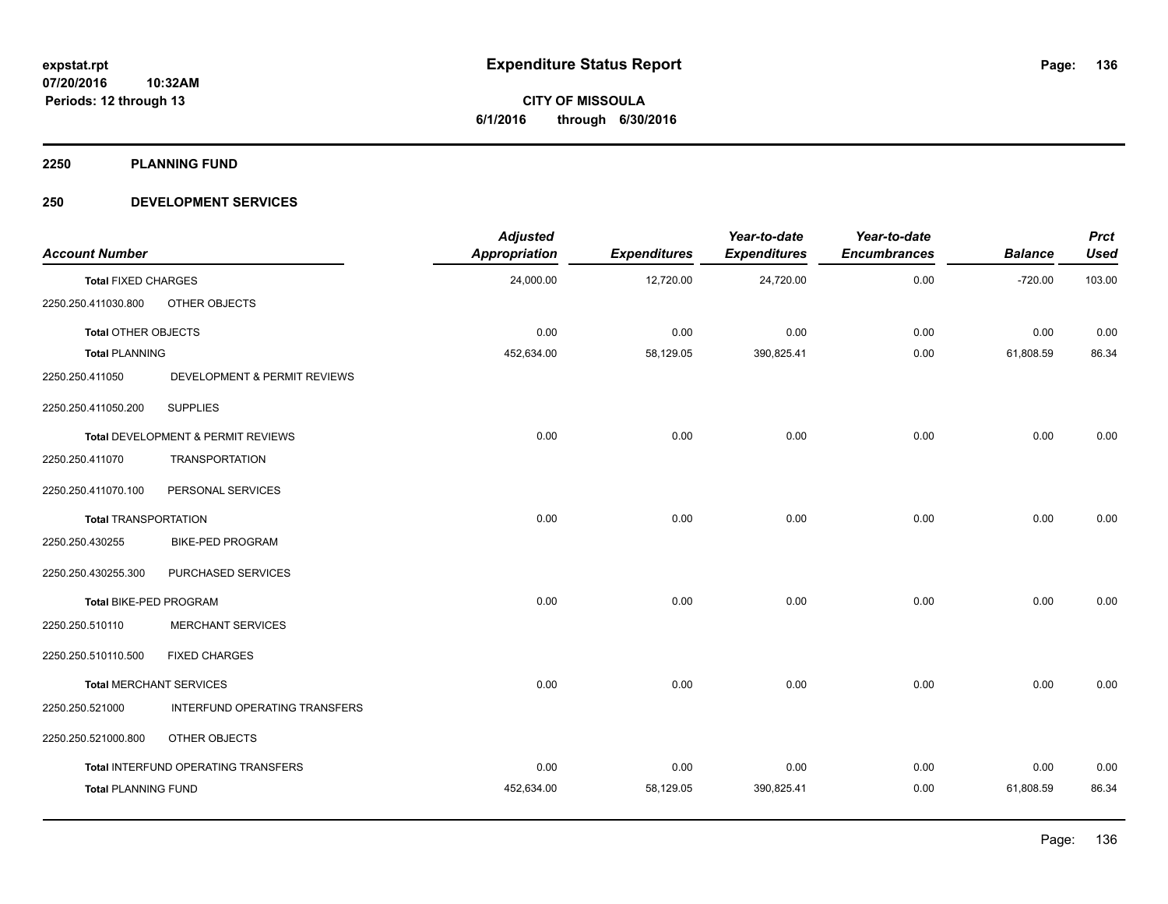**2250 PLANNING FUND**

## **250 DEVELOPMENT SERVICES**

| <b>Account Number</b>       |                                      | <b>Adjusted</b><br><b>Appropriation</b> | <b>Expenditures</b> | Year-to-date<br><b>Expenditures</b> | Year-to-date<br><b>Encumbrances</b> | <b>Balance</b> | <b>Prct</b><br><b>Used</b> |
|-----------------------------|--------------------------------------|-----------------------------------------|---------------------|-------------------------------------|-------------------------------------|----------------|----------------------------|
| <b>Total FIXED CHARGES</b>  |                                      | 24,000.00                               | 12,720.00           | 24,720.00                           | 0.00                                | $-720.00$      | 103.00                     |
| 2250.250.411030.800         | OTHER OBJECTS                        |                                         |                     |                                     |                                     |                |                            |
| Total OTHER OBJECTS         |                                      | 0.00                                    | 0.00                | 0.00                                | 0.00                                | 0.00           | 0.00                       |
| <b>Total PLANNING</b>       |                                      | 452,634.00                              | 58,129.05           | 390,825.41                          | 0.00                                | 61,808.59      | 86.34                      |
| 2250.250.411050             | DEVELOPMENT & PERMIT REVIEWS         |                                         |                     |                                     |                                     |                |                            |
| 2250.250.411050.200         | <b>SUPPLIES</b>                      |                                         |                     |                                     |                                     |                |                            |
|                             | Total DEVELOPMENT & PERMIT REVIEWS   | 0.00                                    | 0.00                | 0.00                                | 0.00                                | 0.00           | 0.00                       |
| 2250.250.411070             | <b>TRANSPORTATION</b>                |                                         |                     |                                     |                                     |                |                            |
| 2250.250.411070.100         | PERSONAL SERVICES                    |                                         |                     |                                     |                                     |                |                            |
| <b>Total TRANSPORTATION</b> |                                      | 0.00                                    | 0.00                | 0.00                                | 0.00                                | 0.00           | 0.00                       |
| 2250.250.430255             | <b>BIKE-PED PROGRAM</b>              |                                         |                     |                                     |                                     |                |                            |
| 2250.250.430255.300         | PURCHASED SERVICES                   |                                         |                     |                                     |                                     |                |                            |
| Total BIKE-PED PROGRAM      |                                      | 0.00                                    | 0.00                | 0.00                                | 0.00                                | 0.00           | 0.00                       |
| 2250.250.510110             | <b>MERCHANT SERVICES</b>             |                                         |                     |                                     |                                     |                |                            |
| 2250.250.510110.500         | <b>FIXED CHARGES</b>                 |                                         |                     |                                     |                                     |                |                            |
|                             | <b>Total MERCHANT SERVICES</b>       | 0.00                                    | 0.00                | 0.00                                | 0.00                                | 0.00           | 0.00                       |
| 2250.250.521000             | <b>INTERFUND OPERATING TRANSFERS</b> |                                         |                     |                                     |                                     |                |                            |
| 2250.250.521000.800         | OTHER OBJECTS                        |                                         |                     |                                     |                                     |                |                            |
|                             | Total INTERFUND OPERATING TRANSFERS  | 0.00                                    | 0.00                | 0.00                                | 0.00                                | 0.00           | 0.00                       |
| <b>Total PLANNING FUND</b>  |                                      | 452,634.00                              | 58,129.05           | 390,825.41                          | 0.00                                | 61,808.59      | 86.34                      |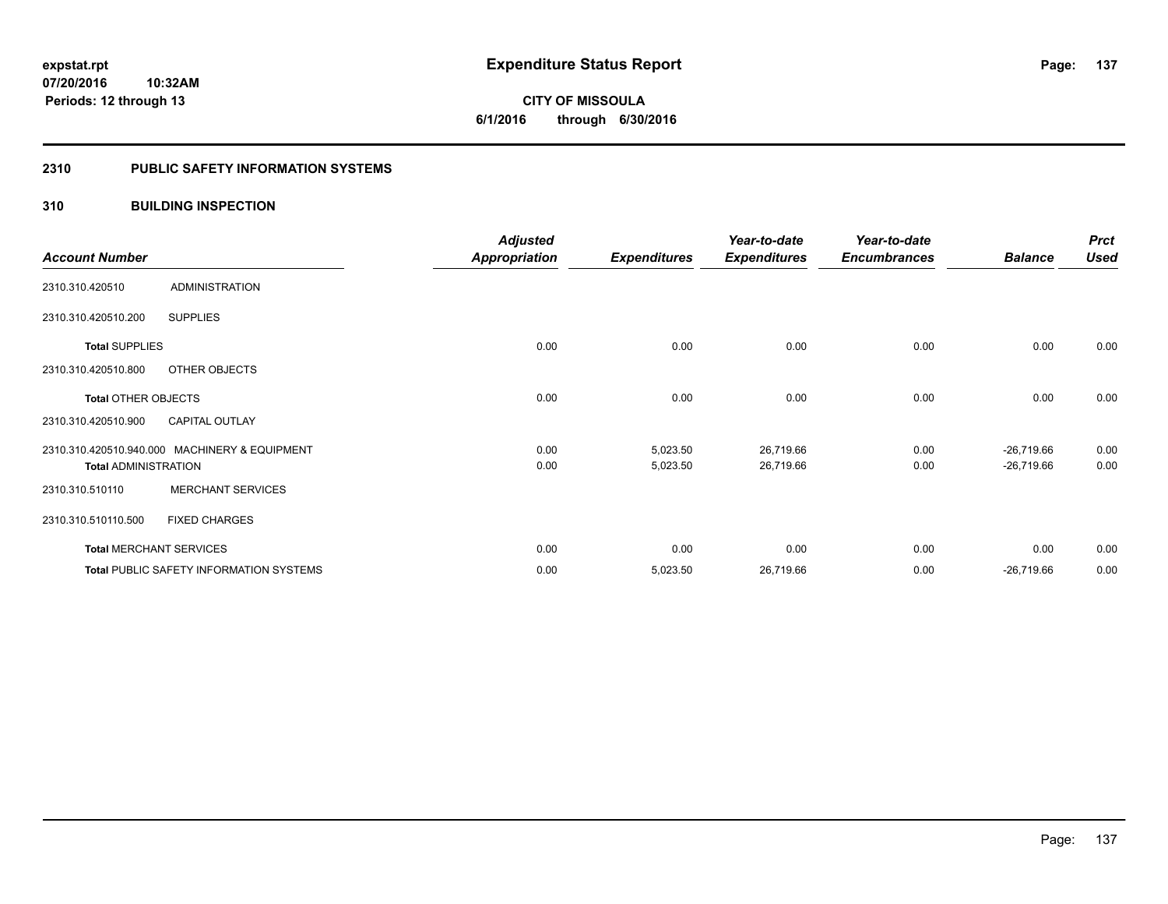## **2310 PUBLIC SAFETY INFORMATION SYSTEMS**

## **310 BUILDING INSPECTION**

|                             |                                                | <b>Adjusted</b>      |                     | Year-to-date        | Year-to-date        |                | <b>Prct</b> |
|-----------------------------|------------------------------------------------|----------------------|---------------------|---------------------|---------------------|----------------|-------------|
| <b>Account Number</b>       |                                                | <b>Appropriation</b> | <b>Expenditures</b> | <b>Expenditures</b> | <b>Encumbrances</b> | <b>Balance</b> | <b>Used</b> |
| 2310.310.420510             | <b>ADMINISTRATION</b>                          |                      |                     |                     |                     |                |             |
| 2310.310.420510.200         | <b>SUPPLIES</b>                                |                      |                     |                     |                     |                |             |
| <b>Total SUPPLIES</b>       |                                                | 0.00                 | 0.00                | 0.00                | 0.00                | 0.00           | 0.00        |
| 2310.310.420510.800         | OTHER OBJECTS                                  |                      |                     |                     |                     |                |             |
| <b>Total OTHER OBJECTS</b>  |                                                | 0.00                 | 0.00                | 0.00                | 0.00                | 0.00           | 0.00        |
| 2310.310.420510.900         | <b>CAPITAL OUTLAY</b>                          |                      |                     |                     |                     |                |             |
|                             | 2310.310.420510.940.000 MACHINERY & EQUIPMENT  | 0.00                 | 5,023.50            | 26,719.66           | 0.00                | $-26,719.66$   | 0.00        |
| <b>Total ADMINISTRATION</b> |                                                | 0.00                 | 5,023.50            | 26,719.66           | 0.00                | $-26,719.66$   | 0.00        |
| 2310.310.510110             | <b>MERCHANT SERVICES</b>                       |                      |                     |                     |                     |                |             |
| 2310.310.510110.500         | <b>FIXED CHARGES</b>                           |                      |                     |                     |                     |                |             |
|                             | <b>Total MERCHANT SERVICES</b>                 | 0.00                 | 0.00                | 0.00                | 0.00                | 0.00           | 0.00        |
|                             | <b>Total PUBLIC SAFETY INFORMATION SYSTEMS</b> | 0.00                 | 5,023.50            | 26,719.66           | 0.00                | $-26,719.66$   | 0.00        |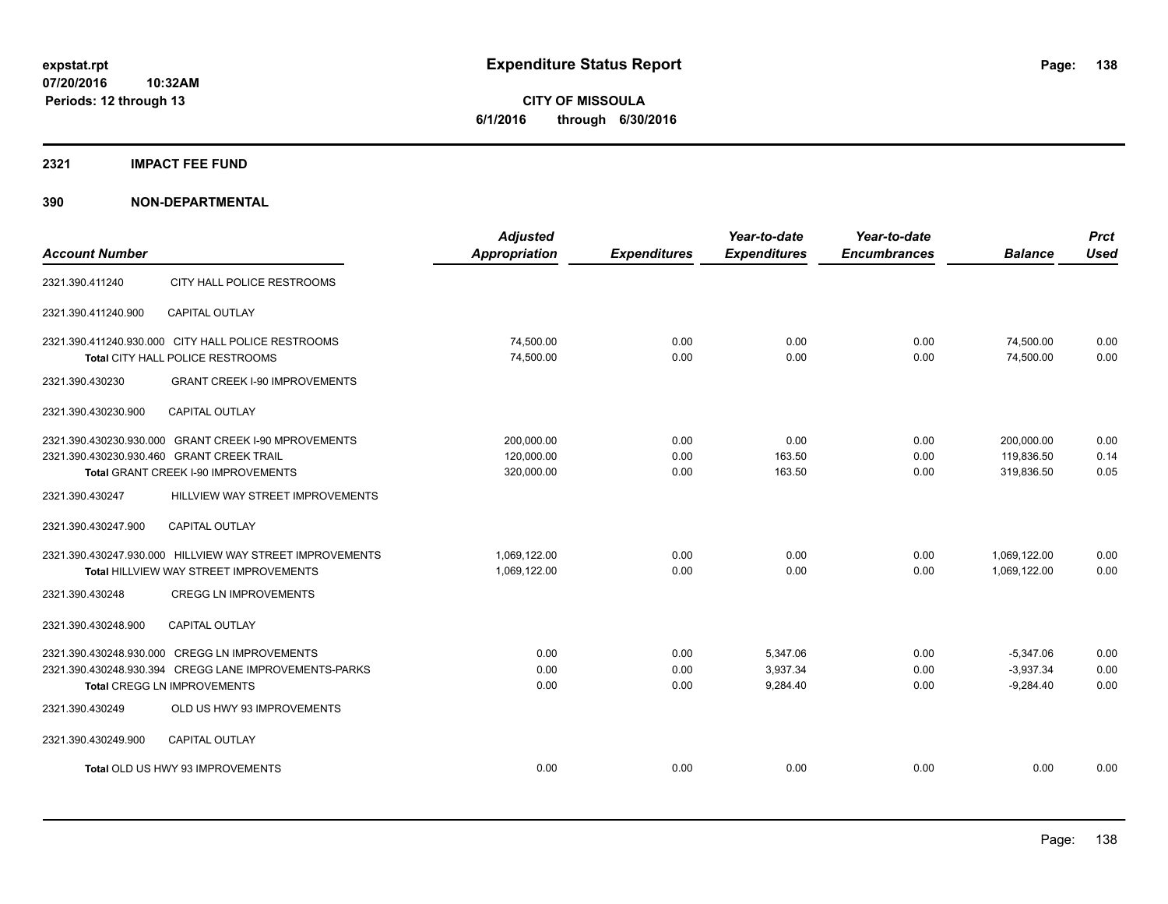**Periods: 12 through 13**

**CITY OF MISSOULA 6/1/2016 through 6/30/2016**

## **2321 IMPACT FEE FUND**

| <b>Account Number</b>                     |                                                                                                                                              | <b>Adjusted</b><br><b>Appropriation</b> | <b>Expenditures</b>  | Year-to-date<br><b>Expenditures</b> | Year-to-date<br><b>Encumbrances</b> | <b>Balance</b>                            | <b>Prct</b><br><b>Used</b> |
|-------------------------------------------|----------------------------------------------------------------------------------------------------------------------------------------------|-----------------------------------------|----------------------|-------------------------------------|-------------------------------------|-------------------------------------------|----------------------------|
| 2321.390.411240                           | CITY HALL POLICE RESTROOMS                                                                                                                   |                                         |                      |                                     |                                     |                                           |                            |
| 2321.390.411240.900                       | <b>CAPITAL OUTLAY</b>                                                                                                                        |                                         |                      |                                     |                                     |                                           |                            |
|                                           | 2321.390.411240.930.000 CITY HALL POLICE RESTROOMS<br>Total CITY HALL POLICE RESTROOMS                                                       | 74,500.00<br>74,500.00                  | 0.00<br>0.00         | 0.00<br>0.00                        | 0.00<br>0.00                        | 74,500.00<br>74,500.00                    | 0.00<br>0.00               |
| 2321.390.430230                           | <b>GRANT CREEK I-90 IMPROVEMENTS</b>                                                                                                         |                                         |                      |                                     |                                     |                                           |                            |
| 2321.390.430230.900                       | <b>CAPITAL OUTLAY</b>                                                                                                                        |                                         |                      |                                     |                                     |                                           |                            |
| 2321.390.430230.930.460 GRANT CREEK TRAIL | 2321.390.430230.930.000 GRANT CREEK I-90 MPROVEMENTS<br>Total GRANT CREEK I-90 IMPROVEMENTS                                                  | 200,000.00<br>120,000.00<br>320,000.00  | 0.00<br>0.00<br>0.00 | 0.00<br>163.50<br>163.50            | 0.00<br>0.00<br>0.00                | 200,000.00<br>119.836.50<br>319,836.50    | 0.00<br>0.14<br>0.05       |
| 2321.390.430247                           | HILLVIEW WAY STREET IMPROVEMENTS                                                                                                             |                                         |                      |                                     |                                     |                                           |                            |
| 2321.390.430247.900                       | CAPITAL OUTLAY                                                                                                                               |                                         |                      |                                     |                                     |                                           |                            |
|                                           | 2321.390.430247.930.000 HILLVIEW WAY STREET IMPROVEMENTS<br>Total HILLVIEW WAY STREET IMPROVEMENTS                                           | 1,069,122.00<br>1,069,122.00            | 0.00<br>0.00         | 0.00<br>0.00                        | 0.00<br>0.00                        | 1,069,122.00<br>1,069,122.00              | 0.00<br>0.00               |
| 2321.390.430248                           | <b>CREGG LN IMPROVEMENTS</b>                                                                                                                 |                                         |                      |                                     |                                     |                                           |                            |
| 2321.390.430248.900                       | <b>CAPITAL OUTLAY</b>                                                                                                                        |                                         |                      |                                     |                                     |                                           |                            |
|                                           | 2321.390.430248.930.000 CREGG LN IMPROVEMENTS<br>2321.390.430248.930.394 CREGG LANE IMPROVEMENTS-PARKS<br><b>Total CREGG LN IMPROVEMENTS</b> | 0.00<br>0.00<br>0.00                    | 0.00<br>0.00<br>0.00 | 5,347.06<br>3,937.34<br>9,284.40    | 0.00<br>0.00<br>0.00                | $-5,347.06$<br>$-3,937.34$<br>$-9,284.40$ | 0.00<br>0.00<br>0.00       |
| 2321.390.430249                           | OLD US HWY 93 IMPROVEMENTS                                                                                                                   |                                         |                      |                                     |                                     |                                           |                            |
| 2321.390.430249.900                       | <b>CAPITAL OUTLAY</b>                                                                                                                        |                                         |                      |                                     |                                     |                                           |                            |
|                                           | Total OLD US HWY 93 IMPROVEMENTS                                                                                                             | 0.00                                    | 0.00                 | 0.00                                | 0.00                                | 0.00                                      | 0.00                       |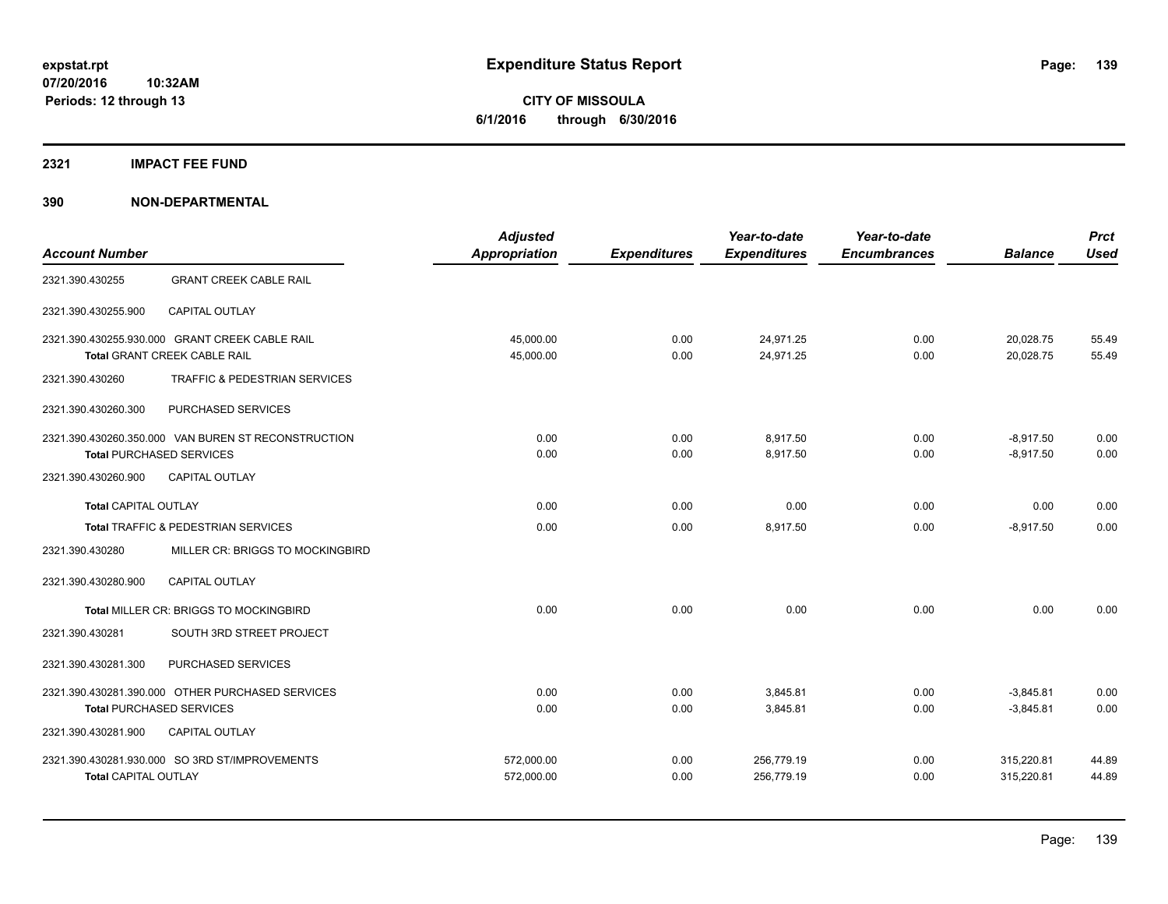## **2321 IMPACT FEE FUND**

| <b>Account Number</b>       |                                                     | <b>Adjusted</b>      |                     | Year-to-date        | Year-to-date        | <b>Balance</b> | <b>Prct</b><br><b>Used</b> |
|-----------------------------|-----------------------------------------------------|----------------------|---------------------|---------------------|---------------------|----------------|----------------------------|
|                             |                                                     | <b>Appropriation</b> | <b>Expenditures</b> | <b>Expenditures</b> | <b>Encumbrances</b> |                |                            |
| 2321.390.430255             | <b>GRANT CREEK CABLE RAIL</b>                       |                      |                     |                     |                     |                |                            |
| 2321.390.430255.900         | <b>CAPITAL OUTLAY</b>                               |                      |                     |                     |                     |                |                            |
|                             | 2321.390.430255.930.000 GRANT CREEK CABLE RAIL      | 45,000.00            | 0.00                | 24,971.25           | 0.00                | 20,028.75      | 55.49                      |
|                             | Total GRANT CREEK CABLE RAIL                        | 45,000.00            | 0.00                | 24,971.25           | 0.00                | 20,028.75      | 55.49                      |
| 2321.390.430260             | TRAFFIC & PEDESTRIAN SERVICES                       |                      |                     |                     |                     |                |                            |
| 2321.390.430260.300         | PURCHASED SERVICES                                  |                      |                     |                     |                     |                |                            |
|                             | 2321.390.430260.350.000 VAN BUREN ST RECONSTRUCTION | 0.00                 | 0.00                | 8.917.50            | 0.00                | $-8,917.50$    | 0.00                       |
|                             | <b>Total PURCHASED SERVICES</b>                     | 0.00                 | 0.00                | 8,917.50            | 0.00                | $-8,917.50$    | 0.00                       |
| 2321.390.430260.900         | <b>CAPITAL OUTLAY</b>                               |                      |                     |                     |                     |                |                            |
| <b>Total CAPITAL OUTLAY</b> |                                                     | 0.00                 | 0.00                | 0.00                | 0.00                | 0.00           | 0.00                       |
|                             | Total TRAFFIC & PEDESTRIAN SERVICES                 | 0.00                 | 0.00                | 8,917.50            | 0.00                | $-8,917.50$    | 0.00                       |
| 2321.390.430280             | MILLER CR: BRIGGS TO MOCKINGBIRD                    |                      |                     |                     |                     |                |                            |
| 2321.390.430280.900         | <b>CAPITAL OUTLAY</b>                               |                      |                     |                     |                     |                |                            |
|                             | Total MILLER CR: BRIGGS TO MOCKINGBIRD              | 0.00                 | 0.00                | 0.00                | 0.00                | 0.00           | 0.00                       |
| 2321.390.430281             | SOUTH 3RD STREET PROJECT                            |                      |                     |                     |                     |                |                            |
| 2321.390.430281.300         | PURCHASED SERVICES                                  |                      |                     |                     |                     |                |                            |
|                             | 2321.390.430281.390.000 OTHER PURCHASED SERVICES    | 0.00                 | 0.00                | 3,845.81            | 0.00                | $-3,845.81$    | 0.00                       |
|                             | <b>Total PURCHASED SERVICES</b>                     | 0.00                 | 0.00                | 3,845.81            | 0.00                | $-3,845.81$    | 0.00                       |
| 2321.390.430281.900         | <b>CAPITAL OUTLAY</b>                               |                      |                     |                     |                     |                |                            |
|                             | 2321.390.430281.930.000 SO 3RD ST/IMPROVEMENTS      | 572,000.00           | 0.00                | 256,779.19          | 0.00                | 315,220.81     | 44.89                      |
| <b>Total CAPITAL OUTLAY</b> |                                                     | 572,000.00           | 0.00                | 256,779.19          | 0.00                | 315,220.81     | 44.89                      |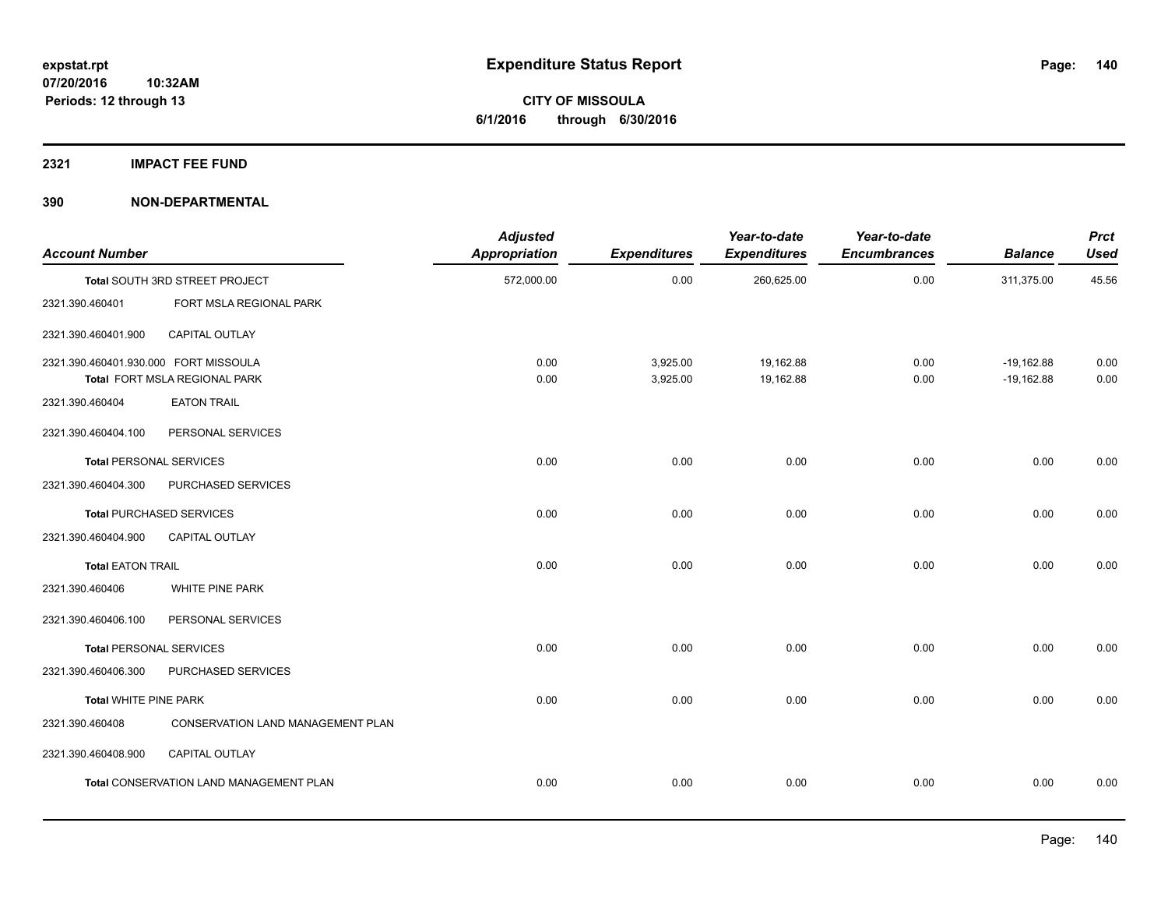## **2321 IMPACT FEE FUND**

| <b>Account Number</b>                 |                                                | <b>Adjusted</b><br><b>Appropriation</b> | <b>Expenditures</b>  | Year-to-date<br><b>Expenditures</b> | Year-to-date<br><b>Encumbrances</b> | <b>Balance</b>               | <b>Prct</b><br><b>Used</b> |
|---------------------------------------|------------------------------------------------|-----------------------------------------|----------------------|-------------------------------------|-------------------------------------|------------------------------|----------------------------|
|                                       | Total SOUTH 3RD STREET PROJECT                 | 572,000.00                              | 0.00                 | 260,625.00                          | 0.00                                | 311,375.00                   | 45.56                      |
| 2321.390.460401                       | FORT MSLA REGIONAL PARK                        |                                         |                      |                                     |                                     |                              |                            |
| 2321.390.460401.900                   | CAPITAL OUTLAY                                 |                                         |                      |                                     |                                     |                              |                            |
| 2321.390.460401.930.000 FORT MISSOULA | Total FORT MSLA REGIONAL PARK                  | 0.00<br>0.00                            | 3,925.00<br>3,925.00 | 19,162.88<br>19,162.88              | 0.00<br>0.00                        | $-19,162.88$<br>$-19,162.88$ | 0.00<br>0.00               |
| 2321.390.460404                       | <b>EATON TRAIL</b>                             |                                         |                      |                                     |                                     |                              |                            |
| 2321.390.460404.100                   | PERSONAL SERVICES                              |                                         |                      |                                     |                                     |                              |                            |
| <b>Total PERSONAL SERVICES</b>        |                                                | 0.00                                    | 0.00                 | 0.00                                | 0.00                                | 0.00                         | 0.00                       |
| 2321.390.460404.300                   | PURCHASED SERVICES                             |                                         |                      |                                     |                                     |                              |                            |
|                                       | <b>Total PURCHASED SERVICES</b>                | 0.00                                    | 0.00                 | 0.00                                | 0.00                                | 0.00                         | 0.00                       |
| 2321.390.460404.900                   | <b>CAPITAL OUTLAY</b>                          |                                         |                      |                                     |                                     |                              |                            |
| <b>Total EATON TRAIL</b>              |                                                | 0.00                                    | 0.00                 | 0.00                                | 0.00                                | 0.00                         | 0.00                       |
| 2321.390.460406                       | WHITE PINE PARK                                |                                         |                      |                                     |                                     |                              |                            |
| 2321.390.460406.100                   | PERSONAL SERVICES                              |                                         |                      |                                     |                                     |                              |                            |
| <b>Total PERSONAL SERVICES</b>        |                                                | 0.00                                    | 0.00                 | 0.00                                | 0.00                                | 0.00                         | 0.00                       |
| 2321.390.460406.300                   | PURCHASED SERVICES                             |                                         |                      |                                     |                                     |                              |                            |
| <b>Total WHITE PINE PARK</b>          |                                                | 0.00                                    | 0.00                 | 0.00                                | 0.00                                | 0.00                         | 0.00                       |
| 2321.390.460408                       | CONSERVATION LAND MANAGEMENT PLAN              |                                         |                      |                                     |                                     |                              |                            |
| 2321.390.460408.900                   | CAPITAL OUTLAY                                 |                                         |                      |                                     |                                     |                              |                            |
|                                       | <b>Total CONSERVATION LAND MANAGEMENT PLAN</b> | 0.00                                    | 0.00                 | 0.00                                | 0.00                                | 0.00                         | 0.00                       |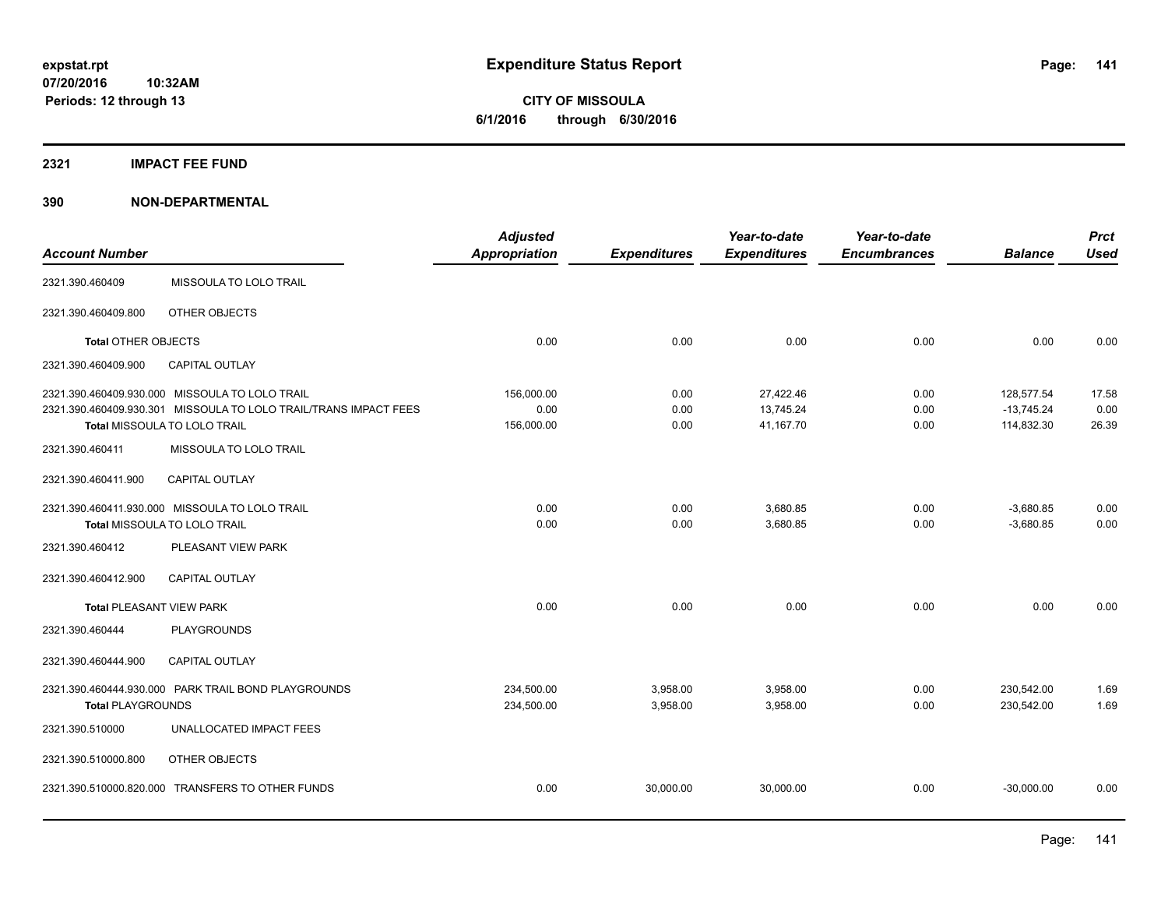## **2321 IMPACT FEE FUND**

|                                 |                                                                  | <b>Adjusted</b>      |                     | Year-to-date        | Year-to-date        |                | <b>Prct</b> |
|---------------------------------|------------------------------------------------------------------|----------------------|---------------------|---------------------|---------------------|----------------|-------------|
| <b>Account Number</b>           |                                                                  | <b>Appropriation</b> | <b>Expenditures</b> | <b>Expenditures</b> | <b>Encumbrances</b> | <b>Balance</b> | <b>Used</b> |
| 2321.390.460409                 | MISSOULA TO LOLO TRAIL                                           |                      |                     |                     |                     |                |             |
| 2321.390.460409.800             | OTHER OBJECTS                                                    |                      |                     |                     |                     |                |             |
| Total OTHER OBJECTS             |                                                                  | 0.00                 | 0.00                | 0.00                | 0.00                | 0.00           | 0.00        |
| 2321.390.460409.900             | CAPITAL OUTLAY                                                   |                      |                     |                     |                     |                |             |
|                                 | 2321.390.460409.930.000 MISSOULA TO LOLO TRAIL                   | 156,000.00           | 0.00                | 27,422.46           | 0.00                | 128,577.54     | 17.58       |
|                                 | 2321.390.460409.930.301 MISSOULA TO LOLO TRAIL/TRANS IMPACT FEES | 0.00                 | 0.00                | 13,745.24           | 0.00                | $-13,745.24$   | 0.00        |
|                                 | Total MISSOULA TO LOLO TRAIL                                     | 156,000.00           | 0.00                | 41,167.70           | 0.00                | 114,832.30     | 26.39       |
| 2321.390.460411                 | MISSOULA TO LOLO TRAIL                                           |                      |                     |                     |                     |                |             |
| 2321.390.460411.900             | <b>CAPITAL OUTLAY</b>                                            |                      |                     |                     |                     |                |             |
|                                 | 2321.390.460411.930.000 MISSOULA TO LOLO TRAIL                   | 0.00                 | 0.00                | 3,680.85            | 0.00                | $-3,680.85$    | 0.00        |
|                                 | Total MISSOULA TO LOLO TRAIL                                     | 0.00                 | 0.00                | 3,680.85            | 0.00                | $-3,680.85$    | 0.00        |
| 2321.390.460412                 | PLEASANT VIEW PARK                                               |                      |                     |                     |                     |                |             |
| 2321.390.460412.900             | <b>CAPITAL OUTLAY</b>                                            |                      |                     |                     |                     |                |             |
| <b>Total PLEASANT VIEW PARK</b> |                                                                  | 0.00                 | 0.00                | 0.00                | 0.00                | 0.00           | 0.00        |
| 2321.390.460444                 | <b>PLAYGROUNDS</b>                                               |                      |                     |                     |                     |                |             |
| 2321.390.460444.900             | <b>CAPITAL OUTLAY</b>                                            |                      |                     |                     |                     |                |             |
|                                 | 2321.390.460444.930.000 PARK TRAIL BOND PLAYGROUNDS              | 234,500.00           | 3,958.00            | 3,958.00            | 0.00                | 230,542.00     | 1.69        |
| <b>Total PLAYGROUNDS</b>        |                                                                  | 234,500.00           | 3,958.00            | 3,958.00            | 0.00                | 230,542.00     | 1.69        |
| 2321.390.510000                 | UNALLOCATED IMPACT FEES                                          |                      |                     |                     |                     |                |             |
| 2321.390.510000.800             | OTHER OBJECTS                                                    |                      |                     |                     |                     |                |             |
|                                 | 2321.390.510000.820.000 TRANSFERS TO OTHER FUNDS                 | 0.00                 | 30.000.00           | 30,000.00           | 0.00                | $-30.000.00$   | 0.00        |
|                                 |                                                                  |                      |                     |                     |                     |                |             |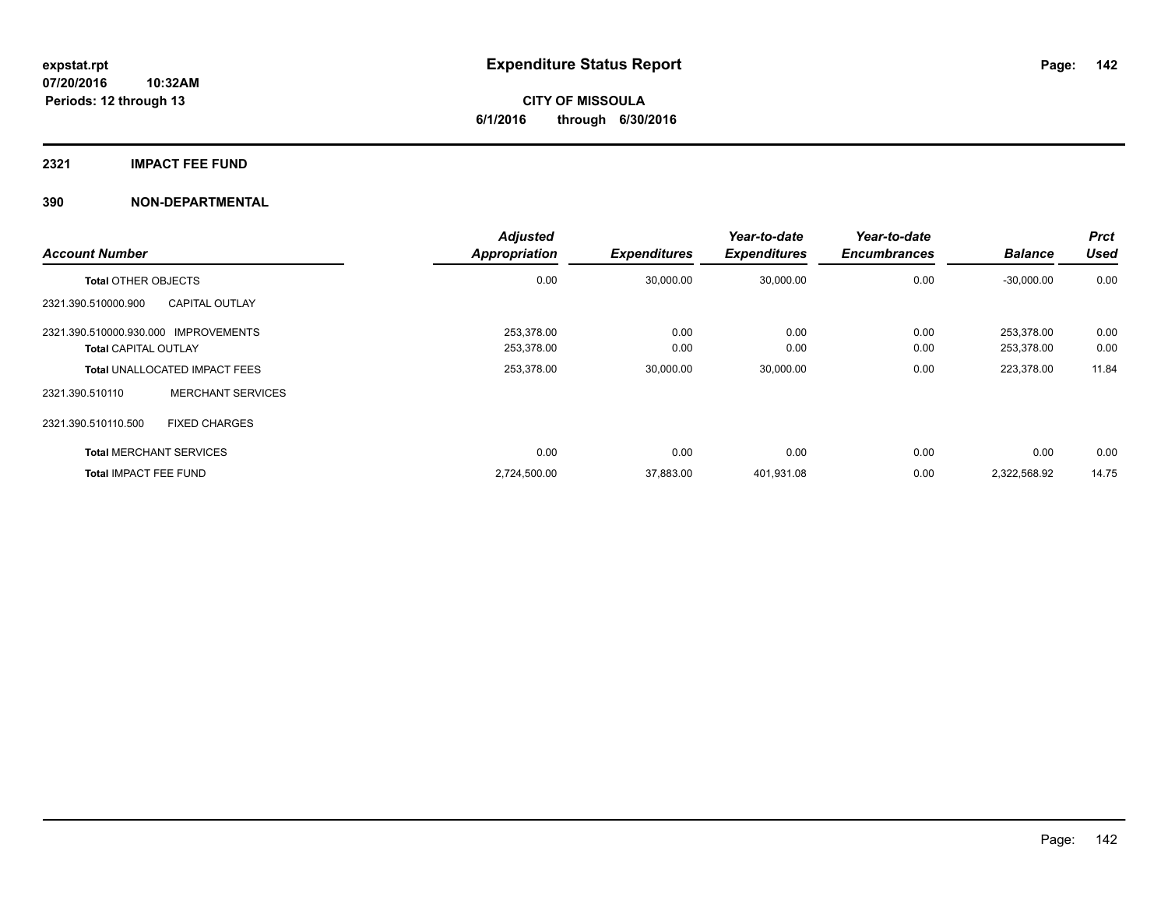## **2321 IMPACT FEE FUND**

| <b>Account Number</b>                |                                      | <b>Adjusted</b><br>Appropriation | <b>Expenditures</b> | Year-to-date<br><b>Expenditures</b> | Year-to-date<br><b>Encumbrances</b> | <b>Balance</b> | <b>Prct</b><br><b>Used</b> |
|--------------------------------------|--------------------------------------|----------------------------------|---------------------|-------------------------------------|-------------------------------------|----------------|----------------------------|
| <b>Total OTHER OBJECTS</b>           |                                      | 0.00                             | 30,000.00           | 30,000.00                           | 0.00                                | $-30,000.00$   | 0.00                       |
| 2321.390.510000.900                  | <b>CAPITAL OUTLAY</b>                |                                  |                     |                                     |                                     |                |                            |
| 2321.390.510000.930.000 IMPROVEMENTS |                                      | 253.378.00                       | 0.00                | 0.00                                | 0.00                                | 253.378.00     | 0.00                       |
| <b>Total CAPITAL OUTLAY</b>          |                                      | 253,378.00                       | 0.00                | 0.00                                | 0.00                                | 253,378.00     | 0.00                       |
|                                      | <b>Total UNALLOCATED IMPACT FEES</b> | 253,378.00                       | 30,000.00           | 30,000.00                           | 0.00                                | 223,378.00     | 11.84                      |
| 2321.390.510110                      | <b>MERCHANT SERVICES</b>             |                                  |                     |                                     |                                     |                |                            |
| 2321.390.510110.500                  | <b>FIXED CHARGES</b>                 |                                  |                     |                                     |                                     |                |                            |
| <b>Total MERCHANT SERVICES</b>       |                                      | 0.00                             | 0.00                | 0.00                                | 0.00                                | 0.00           | 0.00                       |
| <b>Total IMPACT FEE FUND</b>         |                                      | 2,724,500.00                     | 37,883.00           | 401,931.08                          | 0.00                                | 2,322,568.92   | 14.75                      |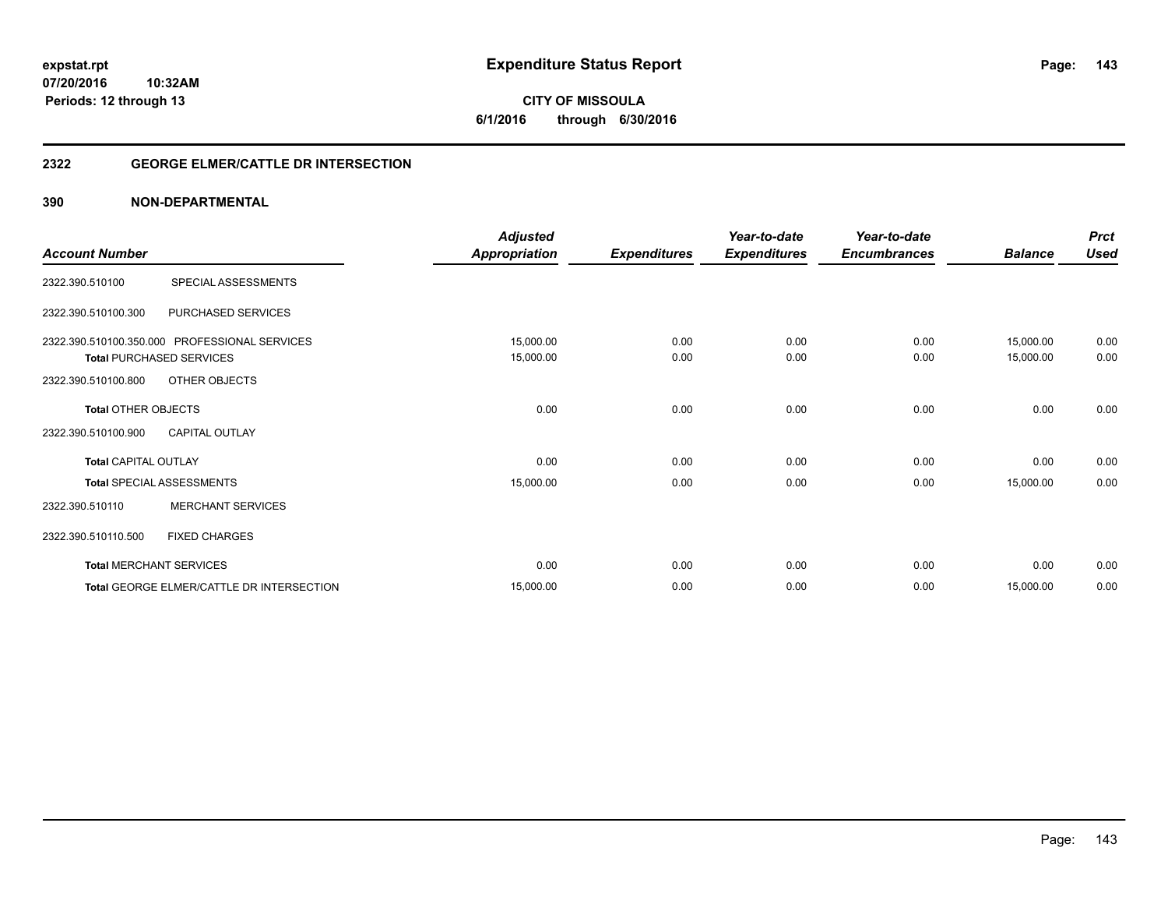**143**

**07/20/2016 10:32AM Periods: 12 through 13**

# **CITY OF MISSOULA 6/1/2016 through 6/30/2016**

## **2322 GEORGE ELMER/CATTLE DR INTERSECTION**

|                             |                                               | <b>Adjusted</b>      |                     | Year-to-date        | Year-to-date        |                | <b>Prct</b> |
|-----------------------------|-----------------------------------------------|----------------------|---------------------|---------------------|---------------------|----------------|-------------|
| <b>Account Number</b>       |                                               | <b>Appropriation</b> | <b>Expenditures</b> | <b>Expenditures</b> | <b>Encumbrances</b> | <b>Balance</b> | <b>Used</b> |
| 2322.390.510100             | SPECIAL ASSESSMENTS                           |                      |                     |                     |                     |                |             |
| 2322.390.510100.300         | PURCHASED SERVICES                            |                      |                     |                     |                     |                |             |
|                             | 2322.390.510100.350.000 PROFESSIONAL SERVICES | 15,000.00            | 0.00                | 0.00                | 0.00                | 15,000.00      | 0.00        |
|                             | <b>Total PURCHASED SERVICES</b>               | 15,000.00            | 0.00                | 0.00                | 0.00                | 15,000.00      | 0.00        |
| 2322.390.510100.800         | OTHER OBJECTS                                 |                      |                     |                     |                     |                |             |
| <b>Total OTHER OBJECTS</b>  |                                               | 0.00                 | 0.00                | 0.00                | 0.00                | 0.00           | 0.00        |
| 2322.390.510100.900         | <b>CAPITAL OUTLAY</b>                         |                      |                     |                     |                     |                |             |
| <b>Total CAPITAL OUTLAY</b> |                                               | 0.00                 | 0.00                | 0.00                | 0.00                | 0.00           | 0.00        |
|                             | <b>Total SPECIAL ASSESSMENTS</b>              | 15,000.00            | 0.00                | 0.00                | 0.00                | 15,000.00      | 0.00        |
| 2322.390.510110             | <b>MERCHANT SERVICES</b>                      |                      |                     |                     |                     |                |             |
| 2322.390.510110.500         | <b>FIXED CHARGES</b>                          |                      |                     |                     |                     |                |             |
|                             | <b>Total MERCHANT SERVICES</b>                | 0.00                 | 0.00                | 0.00                | 0.00                | 0.00           | 0.00        |
|                             | Total GEORGE ELMER/CATTLE DR INTERSECTION     | 15,000.00            | 0.00                | 0.00                | 0.00                | 15,000.00      | 0.00        |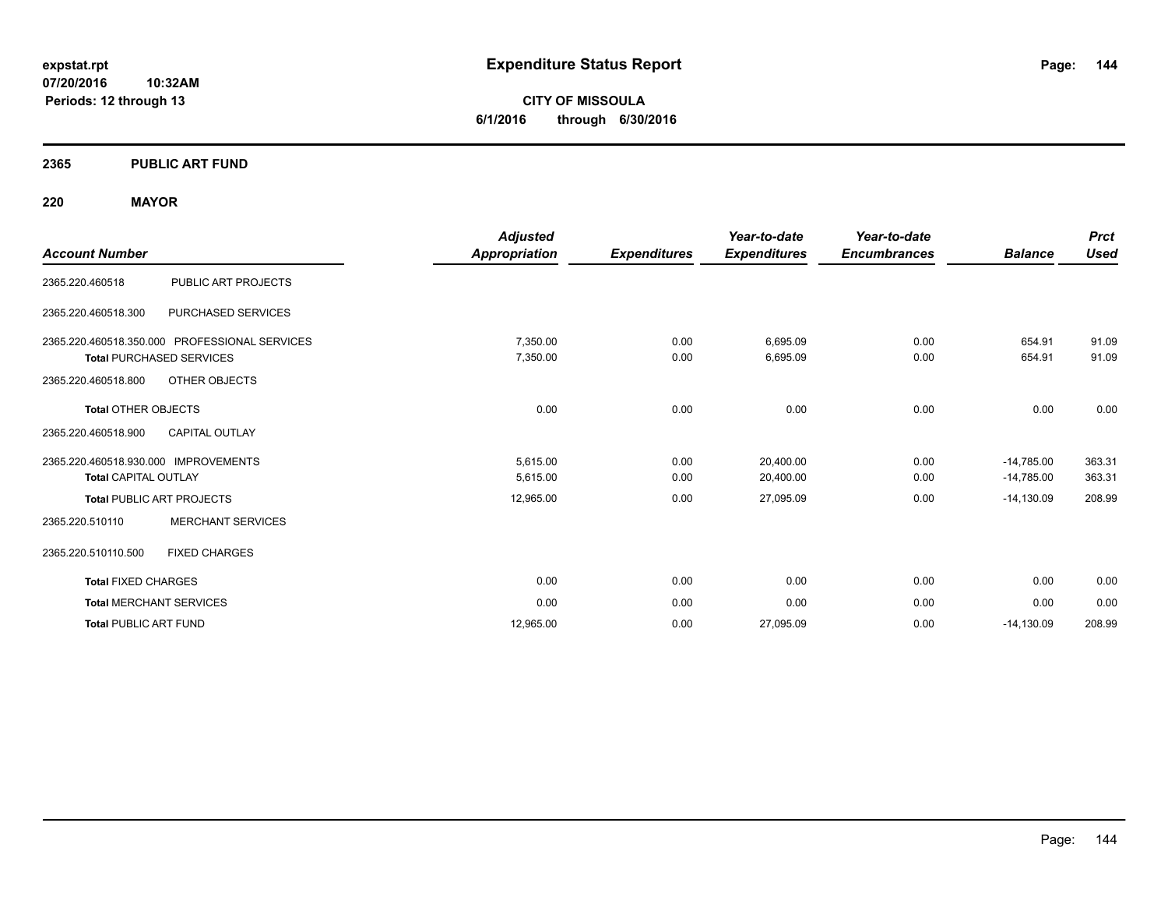**CITY OF MISSOULA 6/1/2016 through 6/30/2016**

## **2365 PUBLIC ART FUND**

## **220 MAYOR**

| <b>Account Number</b>                                               |                                               | <b>Adjusted</b><br>Appropriation | <b>Expenditures</b> | Year-to-date<br><b>Expenditures</b> | Year-to-date<br><b>Encumbrances</b> | <b>Balance</b>               | <b>Prct</b><br><b>Used</b> |
|---------------------------------------------------------------------|-----------------------------------------------|----------------------------------|---------------------|-------------------------------------|-------------------------------------|------------------------------|----------------------------|
| 2365.220.460518                                                     | PUBLIC ART PROJECTS                           |                                  |                     |                                     |                                     |                              |                            |
| 2365.220.460518.300                                                 | PURCHASED SERVICES                            |                                  |                     |                                     |                                     |                              |                            |
| <b>Total PURCHASED SERVICES</b>                                     | 2365.220.460518.350.000 PROFESSIONAL SERVICES | 7,350.00<br>7,350.00             | 0.00<br>0.00        | 6,695.09<br>6,695.09                | 0.00<br>0.00                        | 654.91<br>654.91             | 91.09<br>91.09             |
| 2365.220.460518.800<br><b>Total OTHER OBJECTS</b>                   | OTHER OBJECTS                                 | 0.00                             | 0.00                | 0.00                                | 0.00                                | 0.00                         | 0.00                       |
| 2365.220.460518.900                                                 | <b>CAPITAL OUTLAY</b>                         |                                  |                     |                                     |                                     |                              |                            |
| 2365.220.460518.930.000 IMPROVEMENTS<br><b>Total CAPITAL OUTLAY</b> |                                               | 5,615.00<br>5,615.00             | 0.00<br>0.00        | 20,400.00<br>20,400.00              | 0.00<br>0.00                        | $-14,785.00$<br>$-14,785.00$ | 363.31<br>363.31           |
| <b>Total PUBLIC ART PROJECTS</b>                                    |                                               | 12,965.00                        | 0.00                | 27,095.09                           | 0.00                                | $-14,130.09$                 | 208.99                     |
| 2365.220.510110                                                     | <b>MERCHANT SERVICES</b>                      |                                  |                     |                                     |                                     |                              |                            |
| 2365.220.510110.500                                                 | <b>FIXED CHARGES</b>                          |                                  |                     |                                     |                                     |                              |                            |
| <b>Total FIXED CHARGES</b>                                          |                                               | 0.00                             | 0.00                | 0.00                                | 0.00                                | 0.00                         | 0.00                       |
| <b>Total MERCHANT SERVICES</b>                                      |                                               | 0.00                             | 0.00                | 0.00                                | 0.00                                | 0.00                         | 0.00                       |
| <b>Total PUBLIC ART FUND</b>                                        |                                               | 12.965.00                        | 0.00                | 27,095.09                           | 0.00                                | $-14,130.09$                 | 208.99                     |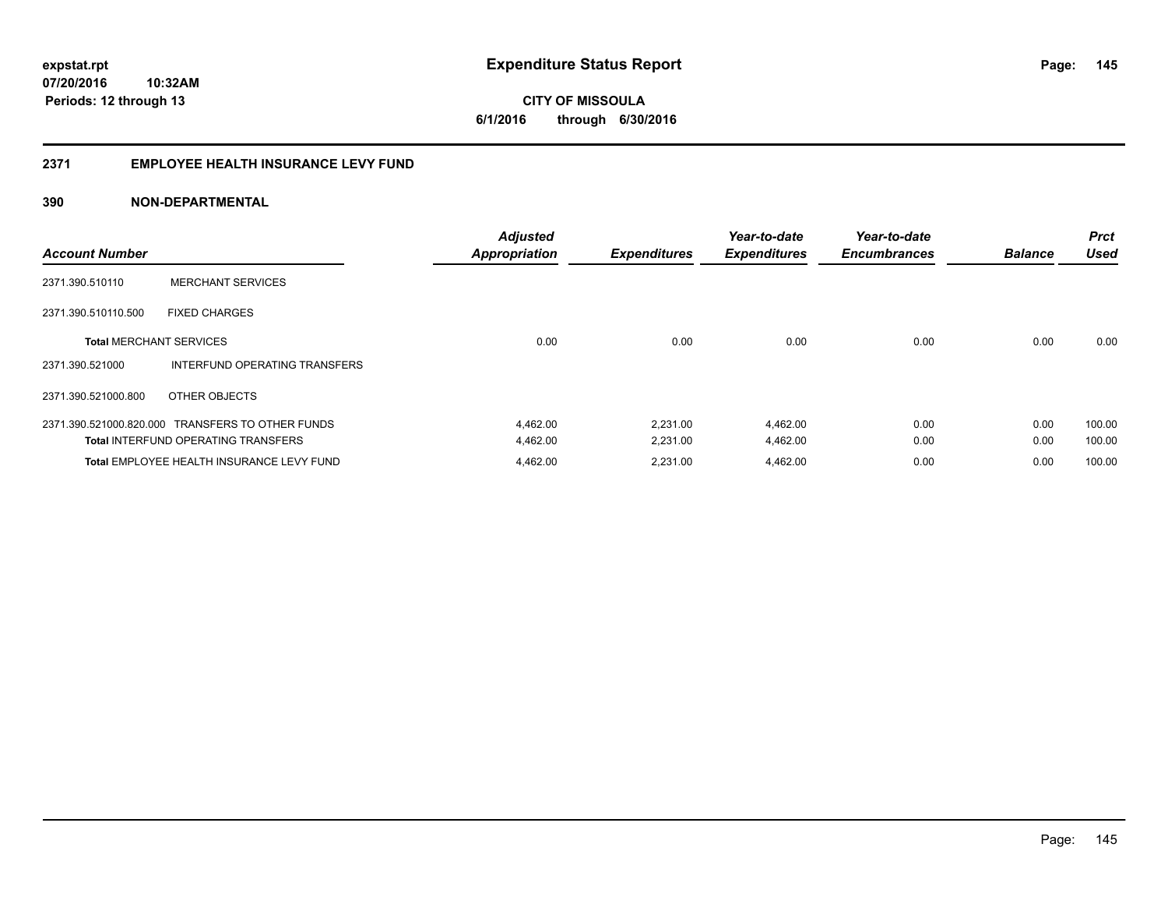**145**

**07/20/2016 10:32AM Periods: 12 through 13**

**CITY OF MISSOULA 6/1/2016 through 6/30/2016**

# **2371 EMPLOYEE HEALTH INSURANCE LEVY FUND**

| <b>Account Number</b>          |                                                  | <b>Adjusted</b><br><b>Appropriation</b> | <b>Expenditures</b> | Year-to-date<br><b>Expenditures</b> | Year-to-date<br><b>Encumbrances</b> | <b>Balance</b> | <b>Prct</b><br><b>Used</b> |
|--------------------------------|--------------------------------------------------|-----------------------------------------|---------------------|-------------------------------------|-------------------------------------|----------------|----------------------------|
| 2371.390.510110                | <b>MERCHANT SERVICES</b>                         |                                         |                     |                                     |                                     |                |                            |
| 2371.390.510110.500            | <b>FIXED CHARGES</b>                             |                                         |                     |                                     |                                     |                |                            |
| <b>Total MERCHANT SERVICES</b> |                                                  | 0.00                                    | 0.00                | 0.00                                | 0.00                                | 0.00           | 0.00                       |
| 2371.390.521000                | INTERFUND OPERATING TRANSFERS                    |                                         |                     |                                     |                                     |                |                            |
| 2371.390.521000.800            | OTHER OBJECTS                                    |                                         |                     |                                     |                                     |                |                            |
|                                | 2371.390.521000.820.000 TRANSFERS TO OTHER FUNDS | 4,462.00                                | 2,231.00            | 4,462.00                            | 0.00                                | 0.00           | 100.00                     |
|                                | <b>Total INTERFUND OPERATING TRANSFERS</b>       | 4,462.00                                | 2,231.00            | 4,462.00                            | 0.00                                | 0.00           | 100.00                     |
|                                | Total EMPLOYEE HEALTH INSURANCE LEVY FUND        | 4,462.00                                | 2.231.00            | 4,462.00                            | 0.00                                | 0.00           | 100.00                     |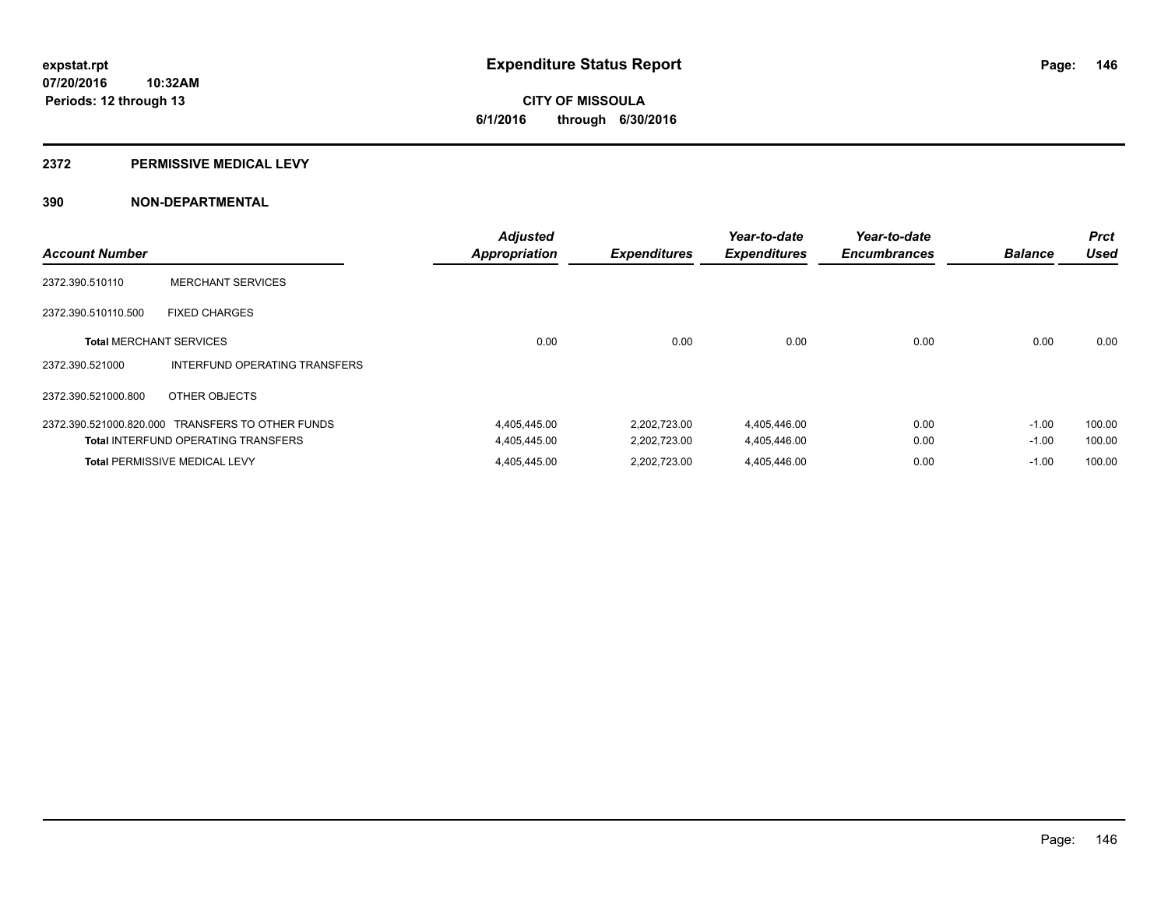### **2372 PERMISSIVE MEDICAL LEVY**

| <b>Account Number</b>          |                                                  | <b>Adjusted</b><br><b>Appropriation</b> | <b>Expenditures</b> | Year-to-date<br><b>Expenditures</b> | Year-to-date<br><b>Encumbrances</b> | <b>Balance</b> | <b>Prct</b><br><b>Used</b> |
|--------------------------------|--------------------------------------------------|-----------------------------------------|---------------------|-------------------------------------|-------------------------------------|----------------|----------------------------|
| 2372.390.510110                | <b>MERCHANT SERVICES</b>                         |                                         |                     |                                     |                                     |                |                            |
| 2372.390.510110.500            | <b>FIXED CHARGES</b>                             |                                         |                     |                                     |                                     |                |                            |
| <b>Total MERCHANT SERVICES</b> |                                                  | 0.00                                    | 0.00                | 0.00                                | 0.00                                | 0.00           | 0.00                       |
| 2372.390.521000                | INTERFUND OPERATING TRANSFERS                    |                                         |                     |                                     |                                     |                |                            |
| 2372.390.521000.800            | OTHER OBJECTS                                    |                                         |                     |                                     |                                     |                |                            |
|                                | 2372.390.521000.820.000 TRANSFERS TO OTHER FUNDS | 4,405,445.00                            | 2,202,723.00        | 4,405,446.00                        | 0.00                                | $-1.00$        | 100.00                     |
|                                | <b>Total INTERFUND OPERATING TRANSFERS</b>       | 4,405,445.00                            | 2,202,723.00        | 4,405,446.00                        | 0.00                                | $-1.00$        | 100.00                     |
|                                | <b>Total PERMISSIVE MEDICAL LEVY</b>             | 4,405,445.00                            | 2,202,723.00        | 4,405,446.00                        | 0.00                                | $-1.00$        | 100.00                     |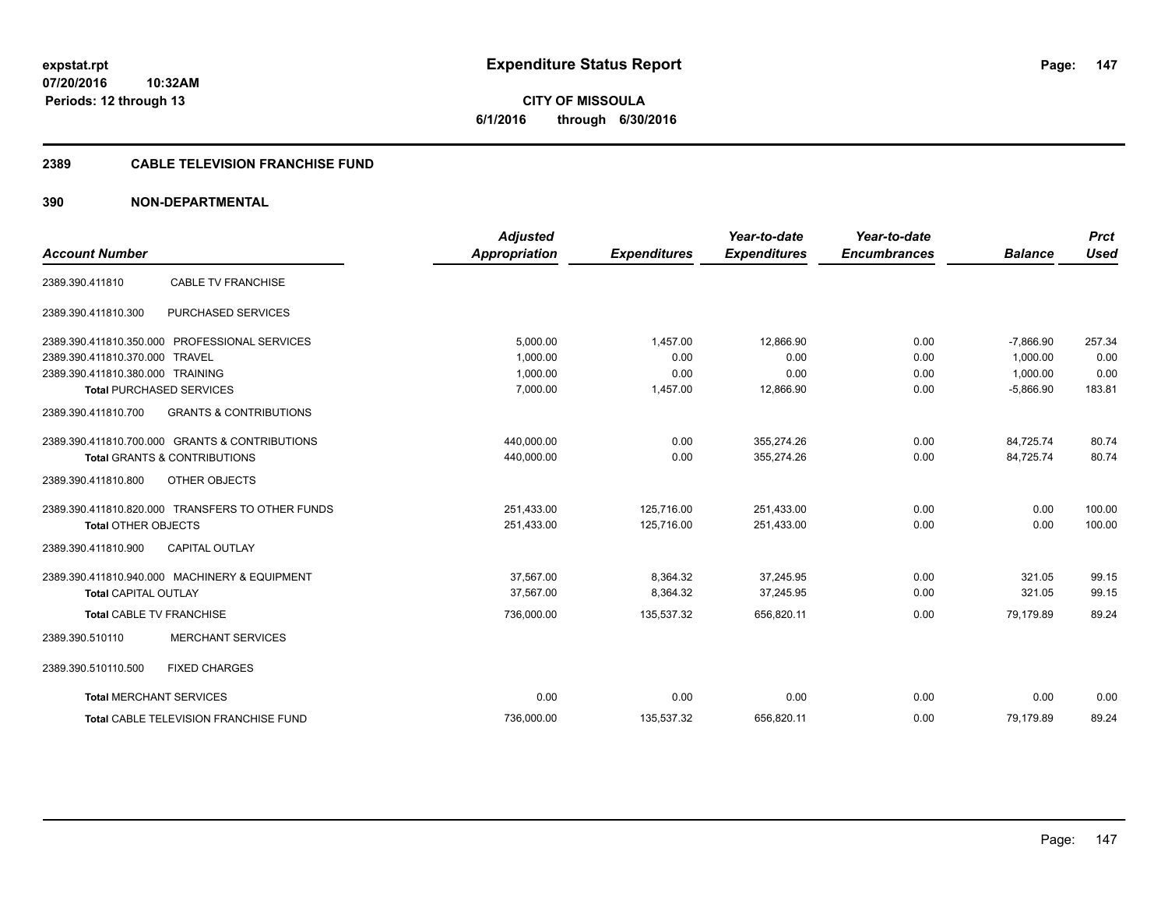**CITY OF MISSOULA 6/1/2016 through 6/30/2016**

# **2389 CABLE TELEVISION FRANCHISE FUND**

| <b>Account Number</b>            |                                                  | <b>Adjusted</b><br>Appropriation | <b>Expenditures</b> | Year-to-date<br><b>Expenditures</b> | Year-to-date<br><b>Encumbrances</b> | <b>Balance</b> | <b>Prct</b><br><b>Used</b> |
|----------------------------------|--------------------------------------------------|----------------------------------|---------------------|-------------------------------------|-------------------------------------|----------------|----------------------------|
|                                  |                                                  |                                  |                     |                                     |                                     |                |                            |
| 2389.390.411810                  | <b>CABLE TV FRANCHISE</b>                        |                                  |                     |                                     |                                     |                |                            |
| 2389.390.411810.300              | PURCHASED SERVICES                               |                                  |                     |                                     |                                     |                |                            |
|                                  | 2389.390.411810.350.000 PROFESSIONAL SERVICES    | 5,000.00                         | 1,457.00            | 12,866.90                           | 0.00                                | $-7,866.90$    | 257.34                     |
| 2389.390.411810.370.000 TRAVEL   |                                                  | 1.000.00                         | 0.00                | 0.00                                | 0.00                                | 1.000.00       | 0.00                       |
| 2389.390.411810.380.000 TRAINING |                                                  | 1,000.00                         | 0.00                | 0.00                                | 0.00                                | 1,000.00       | 0.00                       |
|                                  | <b>Total PURCHASED SERVICES</b>                  | 7,000.00                         | 1,457.00            | 12,866.90                           | 0.00                                | $-5,866.90$    | 183.81                     |
| 2389.390.411810.700              | <b>GRANTS &amp; CONTRIBUTIONS</b>                |                                  |                     |                                     |                                     |                |                            |
|                                  | 2389.390.411810.700.000 GRANTS & CONTRIBUTIONS   | 440,000.00                       | 0.00                | 355.274.26                          | 0.00                                | 84,725.74      | 80.74                      |
|                                  | <b>Total GRANTS &amp; CONTRIBUTIONS</b>          | 440,000.00                       | 0.00                | 355,274.26                          | 0.00                                | 84,725.74      | 80.74                      |
| 2389.390.411810.800              | OTHER OBJECTS                                    |                                  |                     |                                     |                                     |                |                            |
|                                  | 2389.390.411810.820.000 TRANSFERS TO OTHER FUNDS | 251,433.00                       | 125,716.00          | 251,433.00                          | 0.00                                | 0.00           | 100.00                     |
| <b>Total OTHER OBJECTS</b>       |                                                  | 251,433.00                       | 125,716.00          | 251,433.00                          | 0.00                                | 0.00           | 100.00                     |
| 2389.390.411810.900              | <b>CAPITAL OUTLAY</b>                            |                                  |                     |                                     |                                     |                |                            |
|                                  | 2389.390.411810.940.000 MACHINERY & EQUIPMENT    | 37,567.00                        | 8,364.32            | 37,245.95                           | 0.00                                | 321.05         | 99.15                      |
| <b>Total CAPITAL OUTLAY</b>      |                                                  | 37,567.00                        | 8,364.32            | 37,245.95                           | 0.00                                | 321.05         | 99.15                      |
| <b>Total CABLE TV FRANCHISE</b>  |                                                  | 736,000.00                       | 135,537.32          | 656,820.11                          | 0.00                                | 79,179.89      | 89.24                      |
| 2389.390.510110                  | <b>MERCHANT SERVICES</b>                         |                                  |                     |                                     |                                     |                |                            |
| 2389.390.510110.500              | <b>FIXED CHARGES</b>                             |                                  |                     |                                     |                                     |                |                            |
| <b>Total MERCHANT SERVICES</b>   |                                                  | 0.00                             | 0.00                | 0.00                                | 0.00                                | 0.00           | 0.00                       |
|                                  | <b>Total CABLE TELEVISION FRANCHISE FUND</b>     | 736,000.00                       | 135,537.32          | 656,820.11                          | 0.00                                | 79,179.89      | 89.24                      |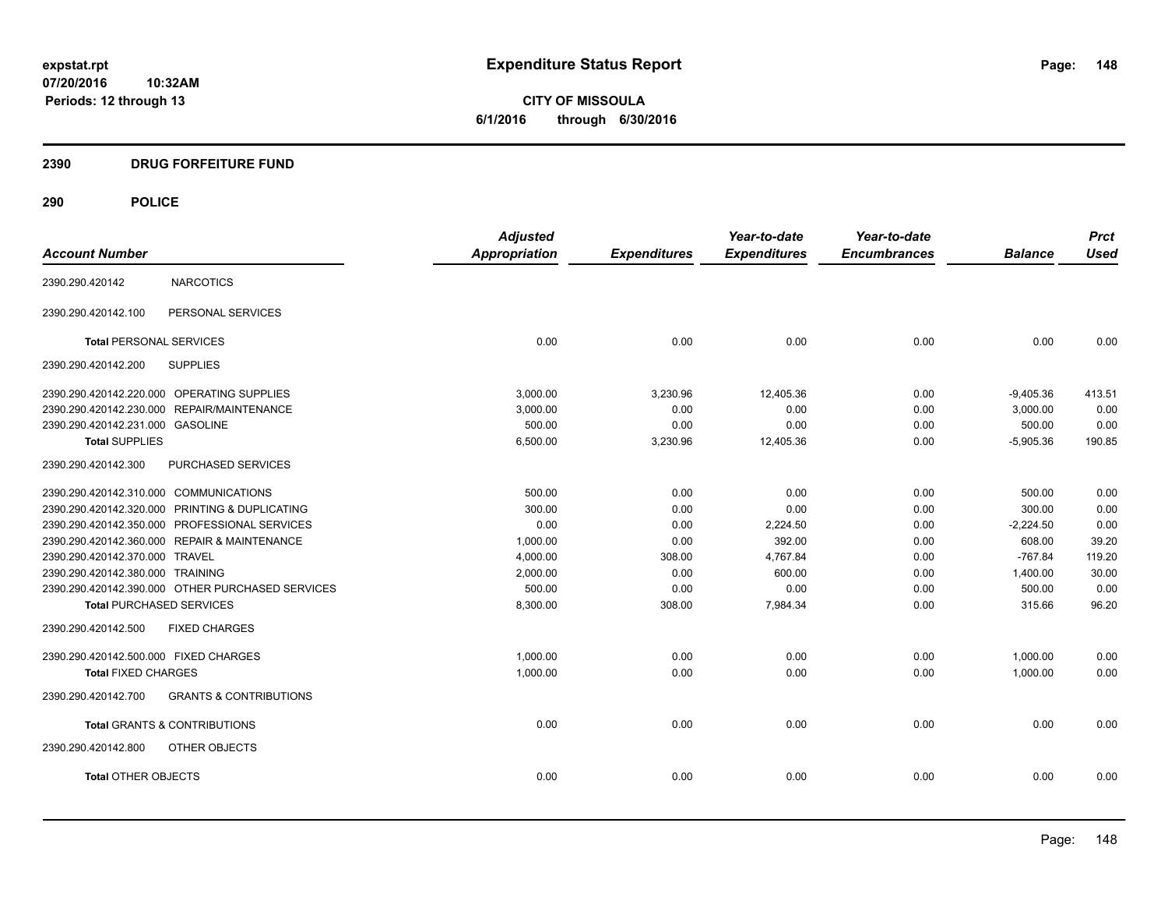**CITY OF MISSOULA 6/1/2016 through 6/30/2016**

# **2390 DRUG FORFEITURE FUND**

|                                        |                                                  | <b>Adjusted</b> |                     | Year-to-date        | Year-to-date        |                | <b>Prct</b> |
|----------------------------------------|--------------------------------------------------|-----------------|---------------------|---------------------|---------------------|----------------|-------------|
| <b>Account Number</b>                  |                                                  | Appropriation   | <b>Expenditures</b> | <b>Expenditures</b> | <b>Encumbrances</b> | <b>Balance</b> | <b>Used</b> |
| 2390.290.420142                        | <b>NARCOTICS</b>                                 |                 |                     |                     |                     |                |             |
| 2390.290.420142.100                    | PERSONAL SERVICES                                |                 |                     |                     |                     |                |             |
| <b>Total PERSONAL SERVICES</b>         |                                                  | 0.00            | 0.00                | 0.00                | 0.00                | 0.00           | 0.00        |
| 2390.290.420142.200                    | <b>SUPPLIES</b>                                  |                 |                     |                     |                     |                |             |
|                                        | 2390.290.420142.220.000 OPERATING SUPPLIES       | 3.000.00        | 3,230.96            | 12,405.36           | 0.00                | $-9,405.36$    | 413.51      |
|                                        | 2390.290.420142.230.000 REPAIR/MAINTENANCE       | 3,000.00        | 0.00                | 0.00                | 0.00                | 3.000.00       | 0.00        |
| 2390.290.420142.231.000 GASOLINE       |                                                  | 500.00          | 0.00                | 0.00                | 0.00                | 500.00         | 0.00        |
| <b>Total SUPPLIES</b>                  |                                                  | 6,500.00        | 3,230.96            | 12,405.36           | 0.00                | $-5,905.36$    | 190.85      |
| 2390.290.420142.300                    | PURCHASED SERVICES                               |                 |                     |                     |                     |                |             |
| 2390.290.420142.310.000 COMMUNICATIONS |                                                  | 500.00          | 0.00                | 0.00                | 0.00                | 500.00         | 0.00        |
|                                        | 2390.290.420142.320.000 PRINTING & DUPLICATING   | 300.00          | 0.00                | 0.00                | 0.00                | 300.00         | 0.00        |
|                                        | 2390.290.420142.350.000 PROFESSIONAL SERVICES    | 0.00            | 0.00                | 2,224.50            | 0.00                | $-2,224.50$    | 0.00        |
|                                        | 2390.290.420142.360.000 REPAIR & MAINTENANCE     | 1,000.00        | 0.00                | 392.00              | 0.00                | 608.00         | 39.20       |
| 2390.290.420142.370.000 TRAVEL         |                                                  | 4,000.00        | 308.00              | 4,767.84            | 0.00                | $-767.84$      | 119.20      |
| 2390.290.420142.380.000 TRAINING       |                                                  | 2,000.00        | 0.00                | 600.00              | 0.00                | 1,400.00       | 30.00       |
|                                        | 2390.290.420142.390.000 OTHER PURCHASED SERVICES | 500.00          | 0.00                | 0.00                | 0.00                | 500.00         | 0.00        |
| <b>Total PURCHASED SERVICES</b>        |                                                  | 8,300.00        | 308.00              | 7,984.34            | 0.00                | 315.66         | 96.20       |
| 2390.290.420142.500                    | <b>FIXED CHARGES</b>                             |                 |                     |                     |                     |                |             |
| 2390.290.420142.500.000 FIXED CHARGES  |                                                  | 1,000.00        | 0.00                | 0.00                | 0.00                | 1,000.00       | 0.00        |
| <b>Total FIXED CHARGES</b>             |                                                  | 1,000.00        | 0.00                | 0.00                | 0.00                | 1,000.00       | 0.00        |
| 2390.290.420142.700                    | <b>GRANTS &amp; CONTRIBUTIONS</b>                |                 |                     |                     |                     |                |             |
|                                        | <b>Total GRANTS &amp; CONTRIBUTIONS</b>          | 0.00            | 0.00                | 0.00                | 0.00                | 0.00           | 0.00        |
| 2390.290.420142.800                    | <b>OTHER OBJECTS</b>                             |                 |                     |                     |                     |                |             |
| <b>Total OTHER OBJECTS</b>             |                                                  | 0.00            | 0.00                | 0.00                | 0.00                | 0.00           | 0.00        |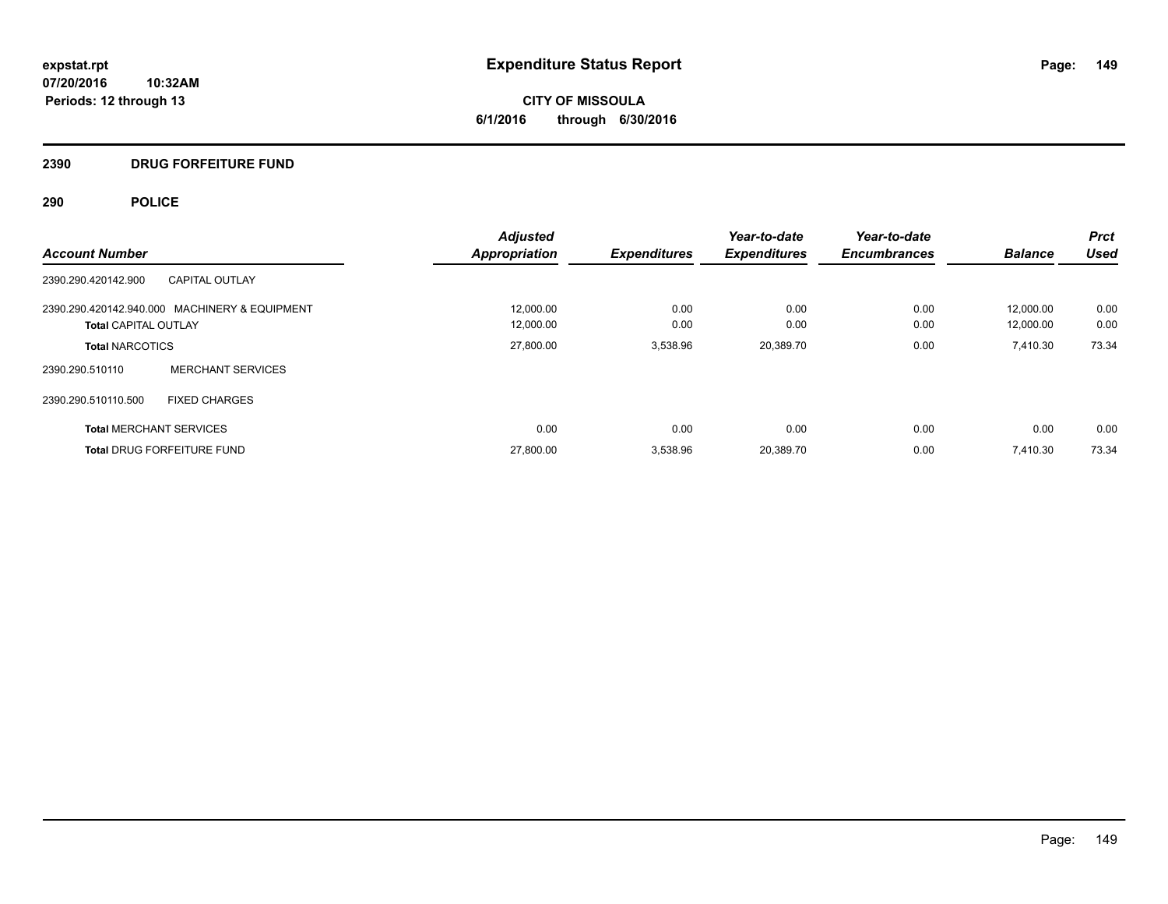**CITY OF MISSOULA 6/1/2016 through 6/30/2016**

# **2390 DRUG FORFEITURE FUND**

|                                               | <b>Adjusted</b>      |                     | Year-to-date        | Year-to-date        |                | <b>Prct</b> |
|-----------------------------------------------|----------------------|---------------------|---------------------|---------------------|----------------|-------------|
| <b>Account Number</b>                         | <b>Appropriation</b> | <b>Expenditures</b> | <b>Expenditures</b> | <b>Encumbrances</b> | <b>Balance</b> | <b>Used</b> |
| <b>CAPITAL OUTLAY</b><br>2390.290.420142.900  |                      |                     |                     |                     |                |             |
| 2390.290.420142.940.000 MACHINERY & EQUIPMENT | 12,000.00            | 0.00                | 0.00                | 0.00                | 12.000.00      | 0.00        |
| <b>Total CAPITAL OUTLAY</b>                   | 12,000.00            | 0.00                | 0.00                | 0.00                | 12,000.00      | 0.00        |
| <b>Total NARCOTICS</b>                        | 27,800.00            | 3,538.96            | 20,389.70           | 0.00                | 7,410.30       | 73.34       |
| <b>MERCHANT SERVICES</b><br>2390.290.510110   |                      |                     |                     |                     |                |             |
| 2390.290.510110.500<br><b>FIXED CHARGES</b>   |                      |                     |                     |                     |                |             |
| <b>Total MERCHANT SERVICES</b>                | 0.00                 | 0.00                | 0.00                | 0.00                | 0.00           | 0.00        |
| <b>Total DRUG FORFEITURE FUND</b>             | 27,800.00            | 3,538.96            | 20,389.70           | 0.00                | 7,410.30       | 73.34       |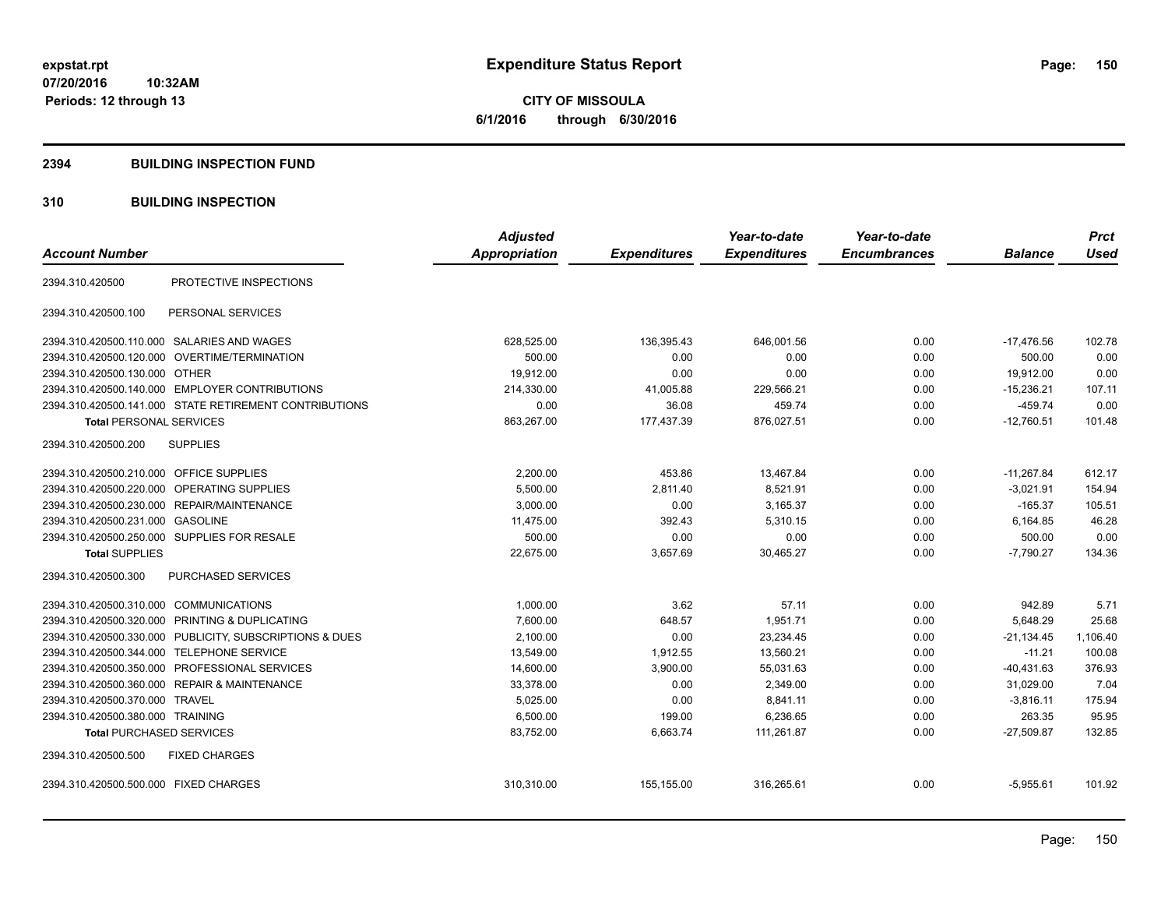### **2394 BUILDING INSPECTION FUND**

# **310 BUILDING INSPECTION**

| <b>Account Number</b>                                   | <b>Adjusted</b><br><b>Appropriation</b> | <b>Expenditures</b> | Year-to-date<br><b>Expenditures</b> | Year-to-date<br><b>Encumbrances</b> | <b>Balance</b> | <b>Prct</b><br><b>Used</b> |
|---------------------------------------------------------|-----------------------------------------|---------------------|-------------------------------------|-------------------------------------|----------------|----------------------------|
|                                                         |                                         |                     |                                     |                                     |                |                            |
| PROTECTIVE INSPECTIONS<br>2394.310.420500               |                                         |                     |                                     |                                     |                |                            |
| PERSONAL SERVICES<br>2394.310.420500.100                |                                         |                     |                                     |                                     |                |                            |
| 2394.310.420500.110.000 SALARIES AND WAGES              | 628,525.00                              | 136,395.43          | 646,001.56                          | 0.00                                | $-17,476.56$   | 102.78                     |
| 2394.310.420500.120.000 OVERTIME/TERMINATION            | 500.00                                  | 0.00                | 0.00                                | 0.00                                | 500.00         | 0.00                       |
| 2394.310.420500.130.000 OTHER                           | 19.912.00                               | 0.00                | 0.00                                | 0.00                                | 19,912.00      | 0.00                       |
| 2394.310.420500.140.000 EMPLOYER CONTRIBUTIONS          | 214,330.00                              | 41,005.88           | 229,566.21                          | 0.00                                | $-15,236.21$   | 107.11                     |
| 2394.310.420500.141.000 STATE RETIREMENT CONTRIBUTIONS  | 0.00                                    | 36.08               | 459.74                              | 0.00                                | $-459.74$      | 0.00                       |
| <b>Total PERSONAL SERVICES</b>                          | 863,267.00                              | 177,437.39          | 876,027.51                          | 0.00                                | $-12.760.51$   | 101.48                     |
| 2394.310.420500.200<br><b>SUPPLIES</b>                  |                                         |                     |                                     |                                     |                |                            |
| 2394.310.420500.210.000 OFFICE SUPPLIES                 | 2,200.00                                | 453.86              | 13,467.84                           | 0.00                                | $-11,267.84$   | 612.17                     |
| 2394.310.420500.220.000 OPERATING SUPPLIES              | 5,500.00                                | 2.811.40            | 8,521.91                            | 0.00                                | $-3.021.91$    | 154.94                     |
| 2394.310.420500.230.000 REPAIR/MAINTENANCE              | 3,000.00                                | 0.00                | 3,165.37                            | 0.00                                | $-165.37$      | 105.51                     |
| 2394.310.420500.231.000<br>GASOLINE                     | 11,475.00                               | 392.43              | 5,310.15                            | 0.00                                | 6.164.85       | 46.28                      |
| 2394.310.420500.250.000 SUPPLIES FOR RESALE             | 500.00                                  | 0.00                | 0.00                                | 0.00                                | 500.00         | 0.00                       |
| <b>Total SUPPLIES</b>                                   | 22,675.00                               | 3,657.69            | 30,465.27                           | 0.00                                | $-7,790.27$    | 134.36                     |
| 2394.310.420500.300<br>PURCHASED SERVICES               |                                         |                     |                                     |                                     |                |                            |
| 2394.310.420500.310.000 COMMUNICATIONS                  | 1,000.00                                | 3.62                | 57.11                               | 0.00                                | 942.89         | 5.71                       |
| 2394.310.420500.320.000 PRINTING & DUPLICATING          | 7,600.00                                | 648.57              | 1,951.71                            | 0.00                                | 5,648.29       | 25.68                      |
| 2394.310.420500.330.000 PUBLICITY, SUBSCRIPTIONS & DUES | 2.100.00                                | 0.00                | 23,234.45                           | 0.00                                | $-21,134.45$   | 1,106.40                   |
| 2394.310.420500.344.000 TELEPHONE SERVICE               | 13,549.00                               | 1,912.55            | 13,560.21                           | 0.00                                | $-11.21$       | 100.08                     |
| 2394.310.420500.350.000 PROFESSIONAL SERVICES           | 14,600.00                               | 3,900.00            | 55,031.63                           | 0.00                                | $-40,431.63$   | 376.93                     |
| 2394.310.420500.360.000 REPAIR & MAINTENANCE            | 33,378.00                               | 0.00                | 2,349.00                            | 0.00                                | 31.029.00      | 7.04                       |
| 2394.310.420500.370.000 TRAVEL                          | 5,025.00                                | 0.00                | 8,841.11                            | 0.00                                | $-3,816.11$    | 175.94                     |
| 2394.310.420500.380.000 TRAINING                        | 6,500.00                                | 199.00              | 6,236.65                            | 0.00                                | 263.35         | 95.95                      |
| <b>Total PURCHASED SERVICES</b>                         | 83,752.00                               | 6,663.74            | 111.261.87                          | 0.00                                | $-27,509.87$   | 132.85                     |
| 2394.310.420500.500<br><b>FIXED CHARGES</b>             |                                         |                     |                                     |                                     |                |                            |
| 2394.310.420500.500.000 FIXED CHARGES                   | 310,310.00                              | 155,155.00          | 316,265.61                          | 0.00                                | $-5,955.61$    | 101.92                     |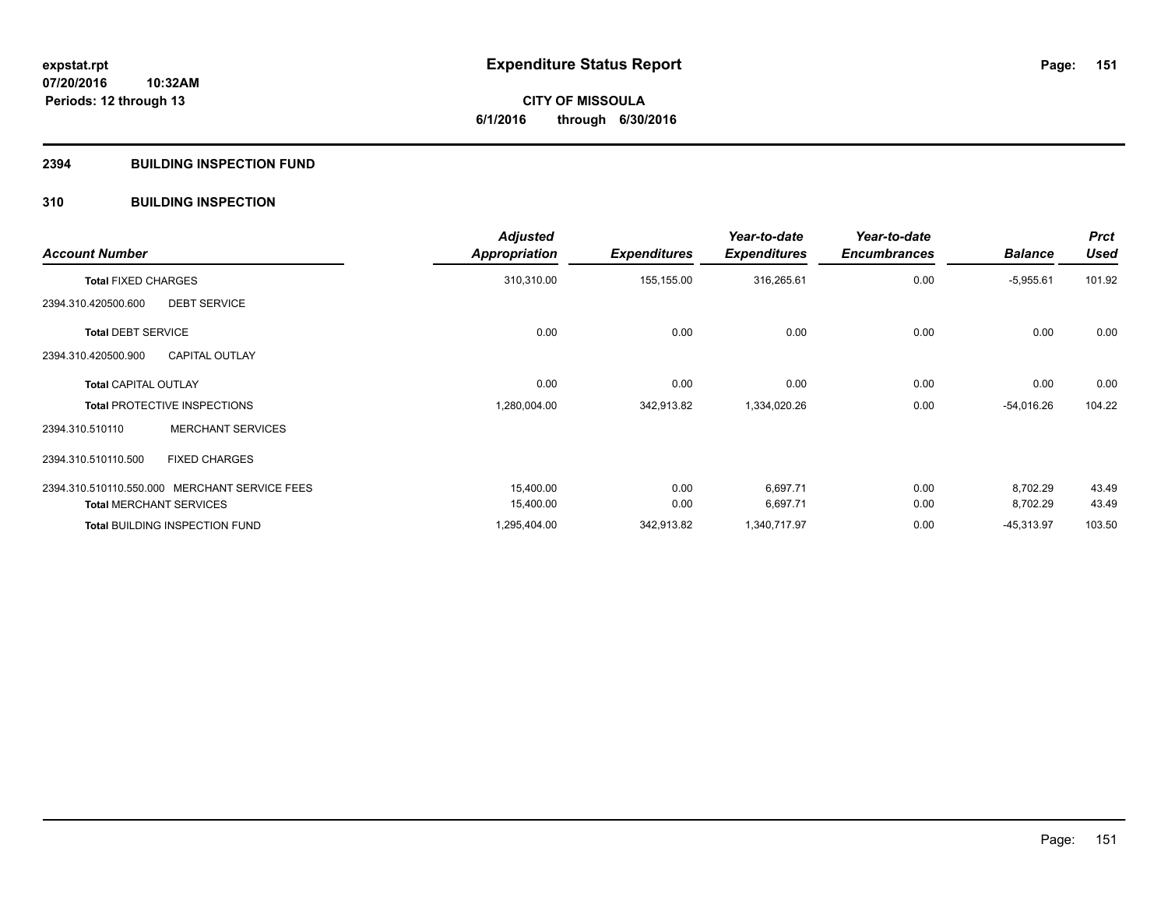# **2394 BUILDING INSPECTION FUND**

# **310 BUILDING INSPECTION**

| <b>Account Number</b>          |                                               | <b>Adjusted</b><br><b>Appropriation</b> | <b>Expenditures</b> | Year-to-date<br><b>Expenditures</b> | Year-to-date<br><b>Encumbrances</b> | <b>Balance</b> | <b>Prct</b><br><b>Used</b> |
|--------------------------------|-----------------------------------------------|-----------------------------------------|---------------------|-------------------------------------|-------------------------------------|----------------|----------------------------|
| <b>Total FIXED CHARGES</b>     |                                               | 310,310.00                              | 155,155.00          | 316,265.61                          | 0.00                                | $-5,955.61$    | 101.92                     |
| 2394.310.420500.600            | <b>DEBT SERVICE</b>                           |                                         |                     |                                     |                                     |                |                            |
| <b>Total DEBT SERVICE</b>      |                                               | 0.00                                    | 0.00                | 0.00                                | 0.00                                | 0.00           | 0.00                       |
| 2394.310.420500.900            | <b>CAPITAL OUTLAY</b>                         |                                         |                     |                                     |                                     |                |                            |
| <b>Total CAPITAL OUTLAY</b>    |                                               | 0.00                                    | 0.00                | 0.00                                | 0.00                                | 0.00           | 0.00                       |
|                                | <b>Total PROTECTIVE INSPECTIONS</b>           | 1,280,004.00                            | 342,913.82          | 1,334,020.26                        | 0.00                                | $-54,016.26$   | 104.22                     |
| 2394.310.510110                | <b>MERCHANT SERVICES</b>                      |                                         |                     |                                     |                                     |                |                            |
| 2394.310.510110.500            | <b>FIXED CHARGES</b>                          |                                         |                     |                                     |                                     |                |                            |
|                                | 2394.310.510110.550.000 MERCHANT SERVICE FEES | 15,400.00                               | 0.00                | 6,697.71                            | 0.00                                | 8,702.29       | 43.49                      |
| <b>Total MERCHANT SERVICES</b> |                                               | 15,400.00                               | 0.00                | 6,697.71                            | 0.00                                | 8,702.29       | 43.49                      |
|                                | <b>Total BUILDING INSPECTION FUND</b>         | 1,295,404.00                            | 342,913.82          | 1,340,717.97                        | 0.00                                | $-45,313.97$   | 103.50                     |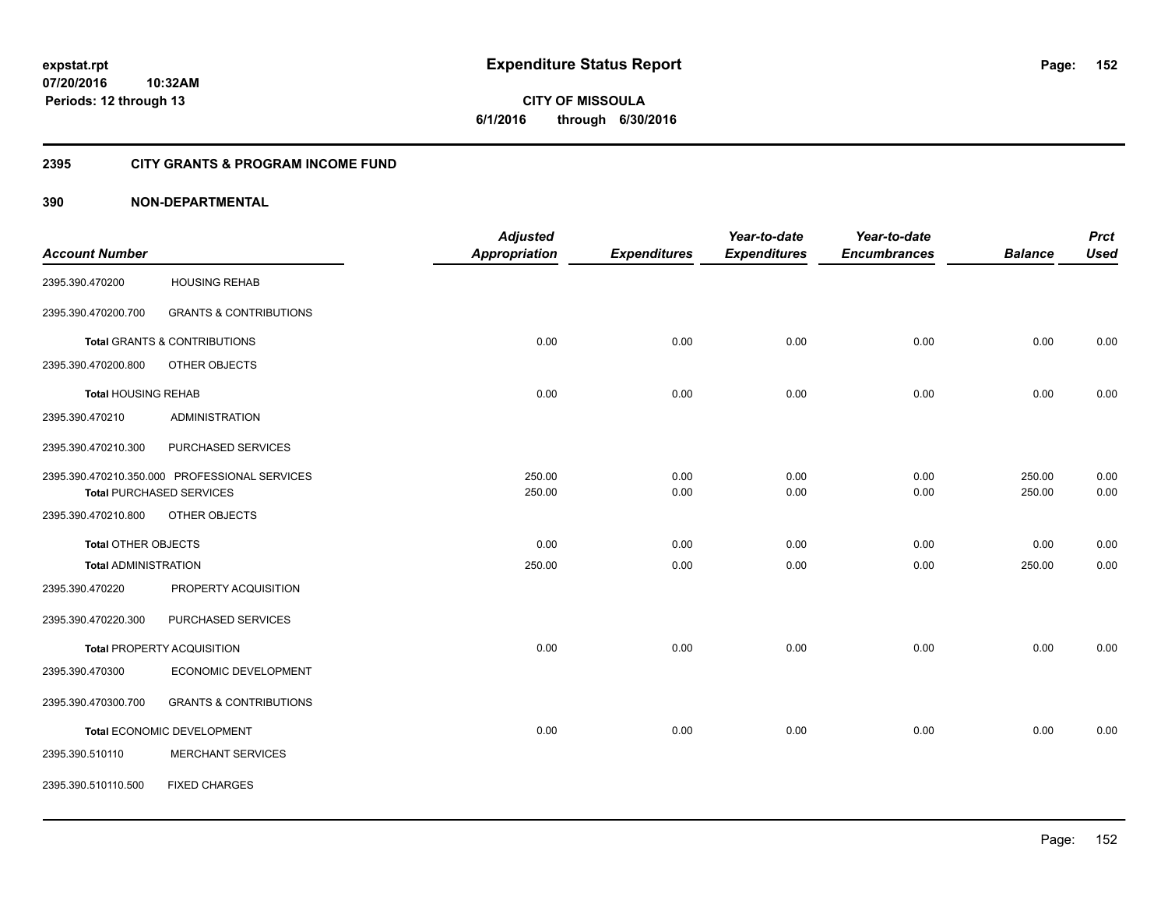**152**

**07/20/2016 10:32AM Periods: 12 through 13**

**CITY OF MISSOULA 6/1/2016 through 6/30/2016**

# **2395 CITY GRANTS & PROGRAM INCOME FUND**

|                             |                                               | <b>Adjusted</b>      |                     | Year-to-date        | Year-to-date        |                | <b>Prct</b> |
|-----------------------------|-----------------------------------------------|----------------------|---------------------|---------------------|---------------------|----------------|-------------|
| <b>Account Number</b>       |                                               | <b>Appropriation</b> | <b>Expenditures</b> | <b>Expenditures</b> | <b>Encumbrances</b> | <b>Balance</b> | <b>Used</b> |
| 2395.390.470200             | <b>HOUSING REHAB</b>                          |                      |                     |                     |                     |                |             |
| 2395.390.470200.700         | <b>GRANTS &amp; CONTRIBUTIONS</b>             |                      |                     |                     |                     |                |             |
|                             | <b>Total GRANTS &amp; CONTRIBUTIONS</b>       | 0.00                 | 0.00                | 0.00                | 0.00                | 0.00           | 0.00        |
| 2395.390.470200.800         | OTHER OBJECTS                                 |                      |                     |                     |                     |                |             |
| <b>Total HOUSING REHAB</b>  |                                               | 0.00                 | 0.00                | 0.00                | 0.00                | 0.00           | 0.00        |
| 2395.390.470210             | <b>ADMINISTRATION</b>                         |                      |                     |                     |                     |                |             |
| 2395.390.470210.300         | PURCHASED SERVICES                            |                      |                     |                     |                     |                |             |
|                             | 2395.390.470210.350.000 PROFESSIONAL SERVICES | 250.00               | 0.00                | 0.00                | 0.00                | 250.00         | 0.00        |
|                             | <b>Total PURCHASED SERVICES</b>               | 250.00               | 0.00                | 0.00                | 0.00                | 250.00         | 0.00        |
| 2395.390.470210.800         | OTHER OBJECTS                                 |                      |                     |                     |                     |                |             |
| Total OTHER OBJECTS         |                                               | 0.00                 | 0.00                | 0.00                | 0.00                | 0.00           | 0.00        |
| <b>Total ADMINISTRATION</b> |                                               | 250.00               | 0.00                | 0.00                | 0.00                | 250.00         | 0.00        |
| 2395.390.470220             | PROPERTY ACQUISITION                          |                      |                     |                     |                     |                |             |
| 2395.390.470220.300         | PURCHASED SERVICES                            |                      |                     |                     |                     |                |             |
|                             | <b>Total PROPERTY ACQUISITION</b>             | 0.00                 | 0.00                | 0.00                | 0.00                | 0.00           | 0.00        |
| 2395.390.470300             | ECONOMIC DEVELOPMENT                          |                      |                     |                     |                     |                |             |
| 2395.390.470300.700         | <b>GRANTS &amp; CONTRIBUTIONS</b>             |                      |                     |                     |                     |                |             |
|                             | Total ECONOMIC DEVELOPMENT                    | 0.00                 | 0.00                | 0.00                | 0.00                | 0.00           | 0.00        |
| 2395.390.510110             | <b>MERCHANT SERVICES</b>                      |                      |                     |                     |                     |                |             |
| 2395.390.510110.500         | <b>FIXED CHARGES</b>                          |                      |                     |                     |                     |                |             |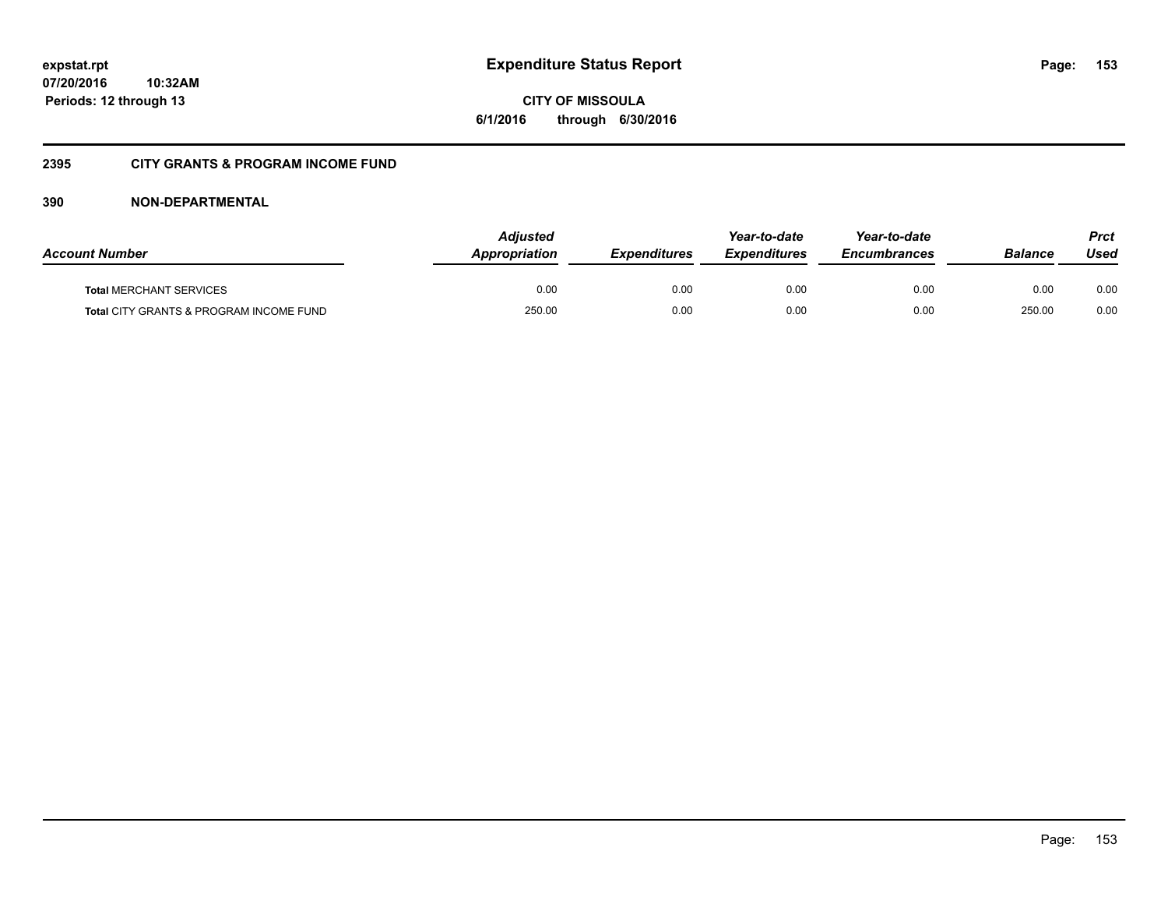**expstat.rpt Expenditure Status Report** 

**07/20/2016 10:32AM Periods: 12 through 13**

**CITY OF MISSOULA 6/1/2016 through 6/30/2016**

# **2395 CITY GRANTS & PROGRAM INCOME FUND**

| <b>Account Number</b>                   | <b>Adjusted</b><br>Appropriation | <b>Expenditures</b> | Year-to-date<br><b>Expenditures</b> | Year-to-date<br><b>Encumbrances</b> | <b>Balance</b> | <b>Prct</b><br>Used |
|-----------------------------------------|----------------------------------|---------------------|-------------------------------------|-------------------------------------|----------------|---------------------|
| <b>Total MERCHANT SERVICES</b>          | 0.00                             | 0.00                | 0.00                                | 0.00                                | 0.00           | 0.00                |
| Total CITY GRANTS & PROGRAM INCOME FUND | 250.00                           | 0.00                | 0.00                                | 0.00                                | 250.00         | 0.00                |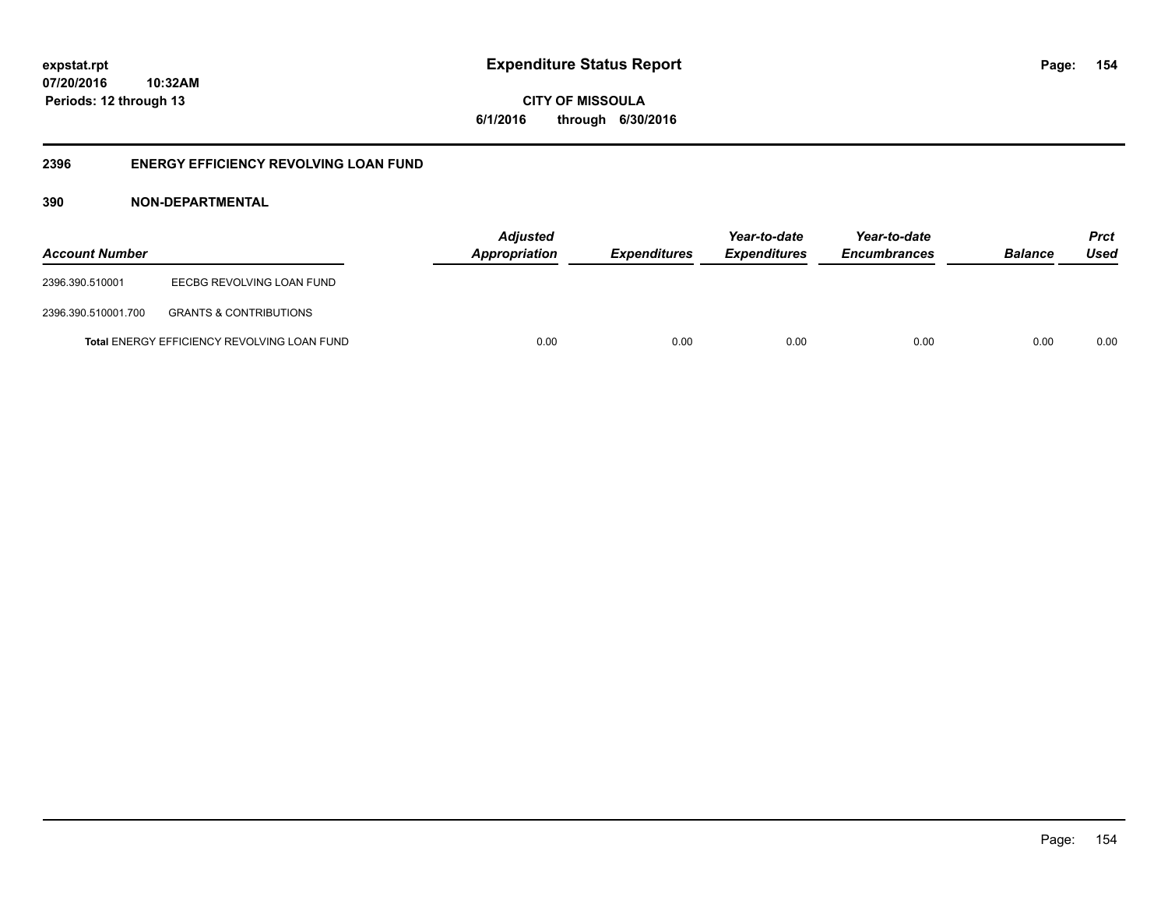**CITY OF MISSOULA 6/1/2016 through 6/30/2016**

# **2396 ENERGY EFFICIENCY REVOLVING LOAN FUND**

| <b>Account Number</b> |                                             | <b>Adjusted</b><br>Appropriation | <b>Expenditures</b> | Year-to-date<br><b>Expenditures</b> | Year-to-date<br><b>Encumbrances</b> | <b>Balance</b> | <b>Prct</b><br>Used |
|-----------------------|---------------------------------------------|----------------------------------|---------------------|-------------------------------------|-------------------------------------|----------------|---------------------|
| 2396.390.510001       | EECBG REVOLVING LOAN FUND                   |                                  |                     |                                     |                                     |                |                     |
| 2396.390.510001.700   | <b>GRANTS &amp; CONTRIBUTIONS</b>           |                                  |                     |                                     |                                     |                |                     |
|                       | Total ENERGY EFFICIENCY REVOLVING LOAN FUND | 0.00                             | 0.00                | 0.00                                | 0.00                                | 0.00           | 0.00                |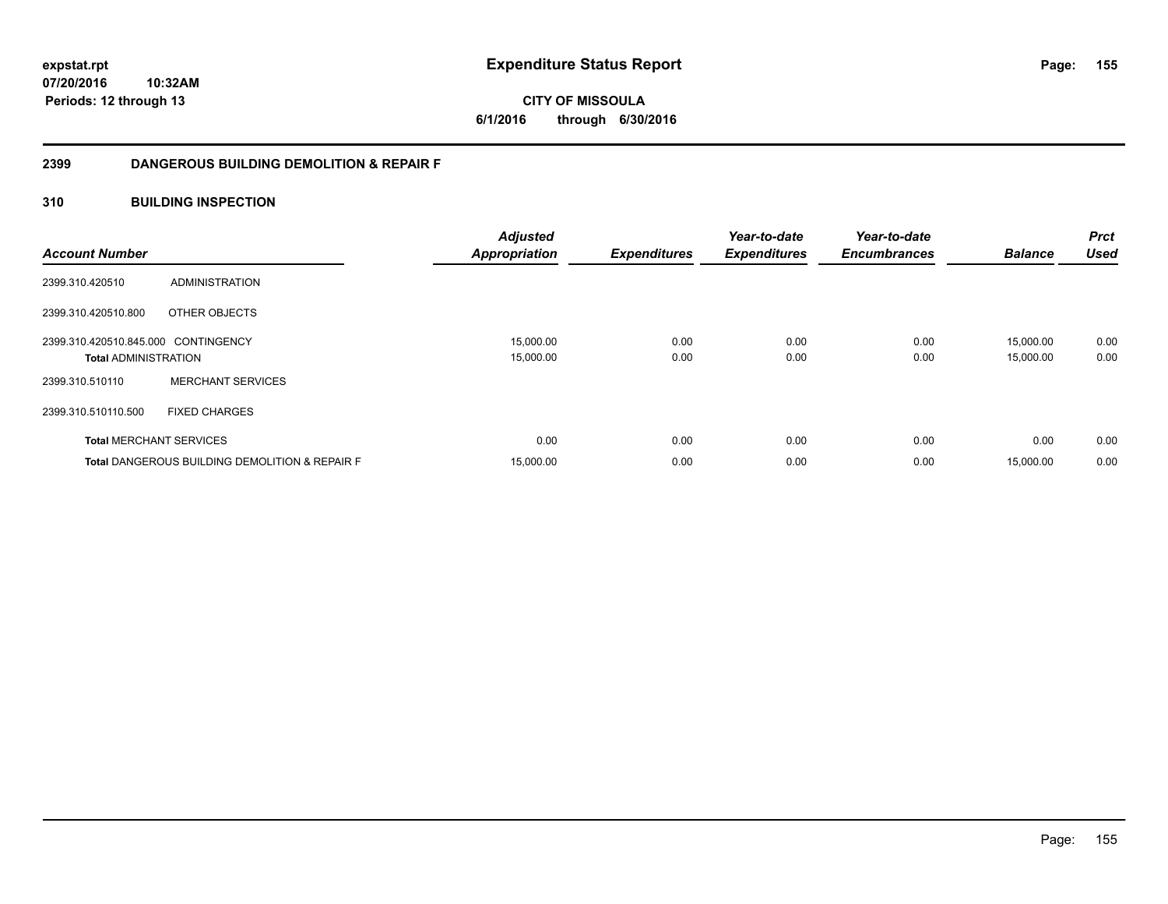**CITY OF MISSOULA 6/1/2016 through 6/30/2016**

# **2399 DANGEROUS BUILDING DEMOLITION & REPAIR F**

# **310 BUILDING INSPECTION**

| <b>Account Number</b>               |                                                           | <b>Adjusted</b><br><b>Appropriation</b> | <b>Expenditures</b> | Year-to-date<br><b>Expenditures</b> | Year-to-date<br><b>Encumbrances</b> | <b>Balance</b> | <b>Prct</b><br><b>Used</b> |
|-------------------------------------|-----------------------------------------------------------|-----------------------------------------|---------------------|-------------------------------------|-------------------------------------|----------------|----------------------------|
| 2399.310.420510                     | ADMINISTRATION                                            |                                         |                     |                                     |                                     |                |                            |
| 2399.310.420510.800                 | OTHER OBJECTS                                             |                                         |                     |                                     |                                     |                |                            |
| 2399.310.420510.845.000 CONTINGENCY |                                                           | 15,000.00                               | 0.00                | 0.00                                | 0.00                                | 15.000.00      | 0.00                       |
| <b>Total ADMINISTRATION</b>         |                                                           | 15,000.00                               | 0.00                | 0.00                                | 0.00                                | 15.000.00      | 0.00                       |
| 2399.310.510110                     | <b>MERCHANT SERVICES</b>                                  |                                         |                     |                                     |                                     |                |                            |
| 2399.310.510110.500                 | <b>FIXED CHARGES</b>                                      |                                         |                     |                                     |                                     |                |                            |
| <b>Total MERCHANT SERVICES</b>      |                                                           | 0.00                                    | 0.00                | 0.00                                | 0.00                                | 0.00           | 0.00                       |
|                                     | <b>Total DANGEROUS BUILDING DEMOLITION &amp; REPAIR F</b> | 15,000.00                               | 0.00                | 0.00                                | 0.00                                | 15.000.00      | 0.00                       |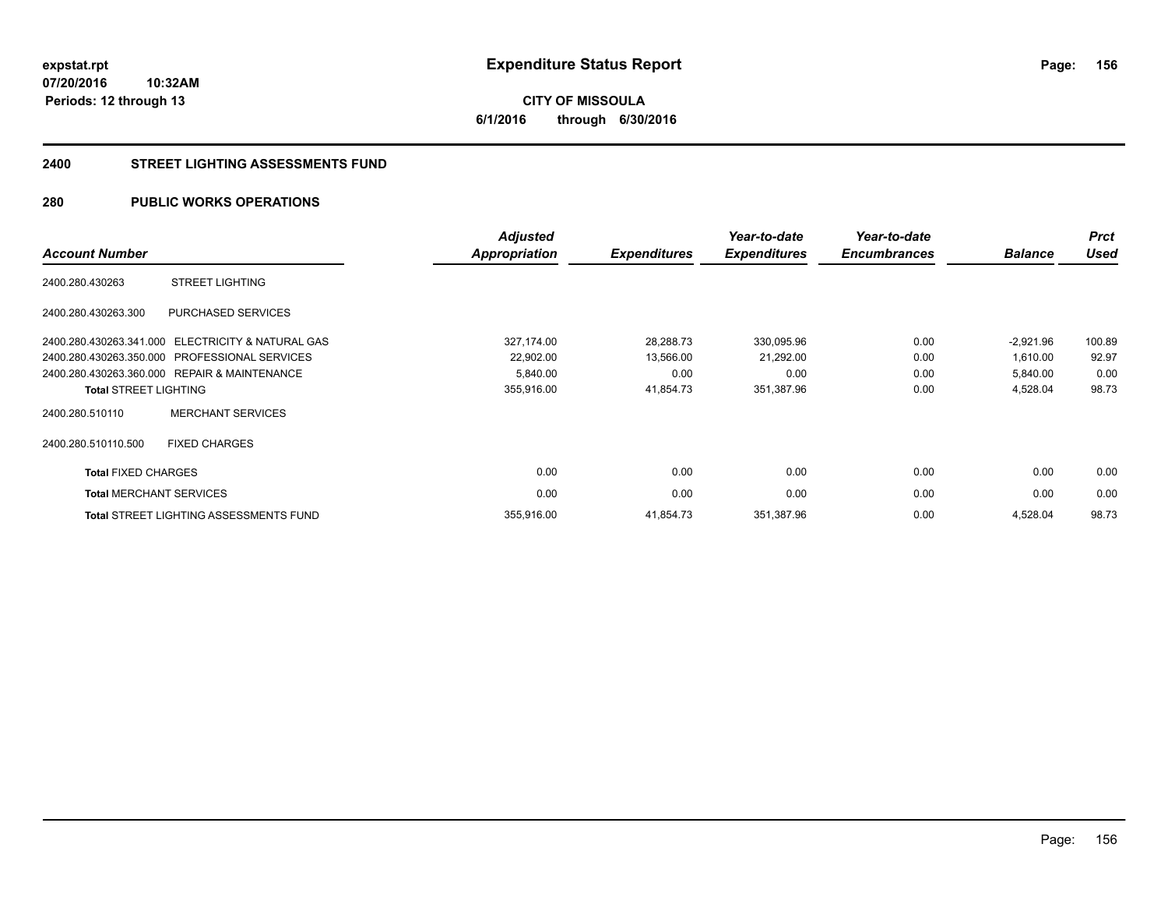**CITY OF MISSOULA 6/1/2016 through 6/30/2016**

### **2400 STREET LIGHTING ASSESSMENTS FUND**

# **280 PUBLIC WORKS OPERATIONS**

|                                |                                                   | <b>Adjusted</b>      |                     | Year-to-date        | Year-to-date        |                | <b>Prct</b> |
|--------------------------------|---------------------------------------------------|----------------------|---------------------|---------------------|---------------------|----------------|-------------|
| <b>Account Number</b>          |                                                   | <b>Appropriation</b> | <b>Expenditures</b> | <b>Expenditures</b> | <b>Encumbrances</b> | <b>Balance</b> | <b>Used</b> |
| 2400.280.430263                | <b>STREET LIGHTING</b>                            |                      |                     |                     |                     |                |             |
| 2400.280.430263.300            | <b>PURCHASED SERVICES</b>                         |                      |                     |                     |                     |                |             |
|                                | 2400.280.430263.341.000 ELECTRICITY & NATURAL GAS | 327,174.00           | 28,288.73           | 330,095.96          | 0.00                | $-2,921.96$    | 100.89      |
|                                | 2400.280.430263.350.000 PROFESSIONAL SERVICES     | 22,902.00            | 13,566.00           | 21,292.00           | 0.00                | 1,610.00       | 92.97       |
|                                | 2400.280.430263.360.000 REPAIR & MAINTENANCE      | 5,840.00             | 0.00                | 0.00                | 0.00                | 5,840.00       | 0.00        |
| <b>Total STREET LIGHTING</b>   |                                                   | 355,916.00           | 41,854.73           | 351,387.96          | 0.00                | 4,528.04       | 98.73       |
| 2400.280.510110                | <b>MERCHANT SERVICES</b>                          |                      |                     |                     |                     |                |             |
| 2400.280.510110.500            | <b>FIXED CHARGES</b>                              |                      |                     |                     |                     |                |             |
| <b>Total FIXED CHARGES</b>     |                                                   | 0.00                 | 0.00                | 0.00                | 0.00                | 0.00           | 0.00        |
| <b>Total MERCHANT SERVICES</b> |                                                   | 0.00                 | 0.00                | 0.00                | 0.00                | 0.00           | 0.00        |
|                                | Total STREET LIGHTING ASSESSMENTS FUND            | 355,916.00           | 41,854.73           | 351,387.96          | 0.00                | 4,528.04       | 98.73       |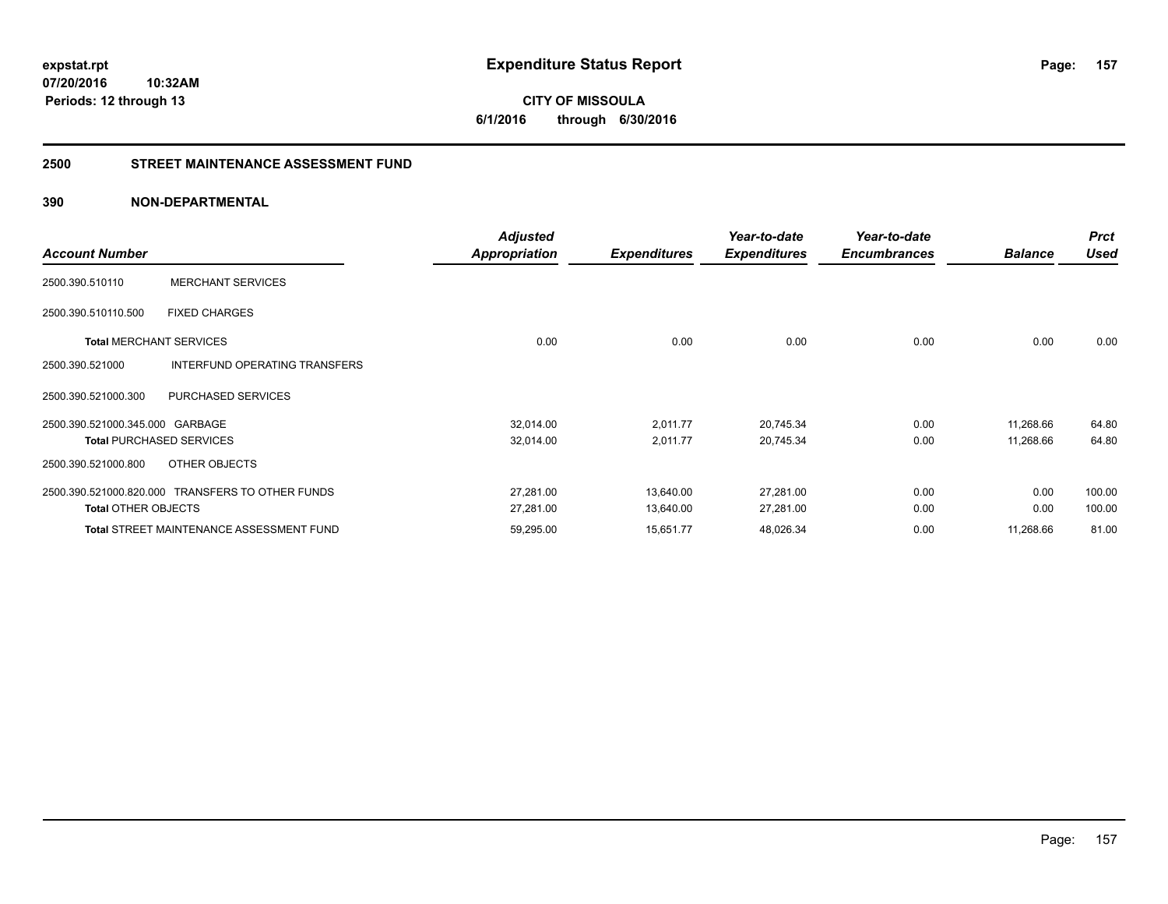**CITY OF MISSOULA 6/1/2016 through 6/30/2016**

# **2500 STREET MAINTENANCE ASSESSMENT FUND**

|                                 |                                                  | <b>Adjusted</b> |                     | Year-to-date        | Year-to-date        |                | <b>Prct</b> |
|---------------------------------|--------------------------------------------------|-----------------|---------------------|---------------------|---------------------|----------------|-------------|
| <b>Account Number</b>           |                                                  | Appropriation   | <b>Expenditures</b> | <b>Expenditures</b> | <b>Encumbrances</b> | <b>Balance</b> | Used        |
| 2500.390.510110                 | <b>MERCHANT SERVICES</b>                         |                 |                     |                     |                     |                |             |
| 2500.390.510110.500             | <b>FIXED CHARGES</b>                             |                 |                     |                     |                     |                |             |
| <b>Total MERCHANT SERVICES</b>  |                                                  | 0.00            | 0.00                | 0.00                | 0.00                | 0.00           | 0.00        |
| 2500.390.521000                 | <b>INTERFUND OPERATING TRANSFERS</b>             |                 |                     |                     |                     |                |             |
| 2500.390.521000.300             | <b>PURCHASED SERVICES</b>                        |                 |                     |                     |                     |                |             |
| 2500.390.521000.345.000 GARBAGE |                                                  | 32,014.00       | 2,011.77            | 20,745.34           | 0.00                | 11,268.66      | 64.80       |
|                                 | <b>Total PURCHASED SERVICES</b>                  | 32,014.00       | 2,011.77            | 20,745.34           | 0.00                | 11,268.66      | 64.80       |
| 2500.390.521000.800             | OTHER OBJECTS                                    |                 |                     |                     |                     |                |             |
|                                 | 2500.390.521000.820.000 TRANSFERS TO OTHER FUNDS | 27,281.00       | 13,640.00           | 27,281.00           | 0.00                | 0.00           | 100.00      |
| <b>Total OTHER OBJECTS</b>      |                                                  | 27,281.00       | 13,640.00           | 27,281.00           | 0.00                | 0.00           | 100.00      |
|                                 | <b>Total STREET MAINTENANCE ASSESSMENT FUND</b>  | 59,295.00       | 15,651.77           | 48,026.34           | 0.00                | 11,268.66      | 81.00       |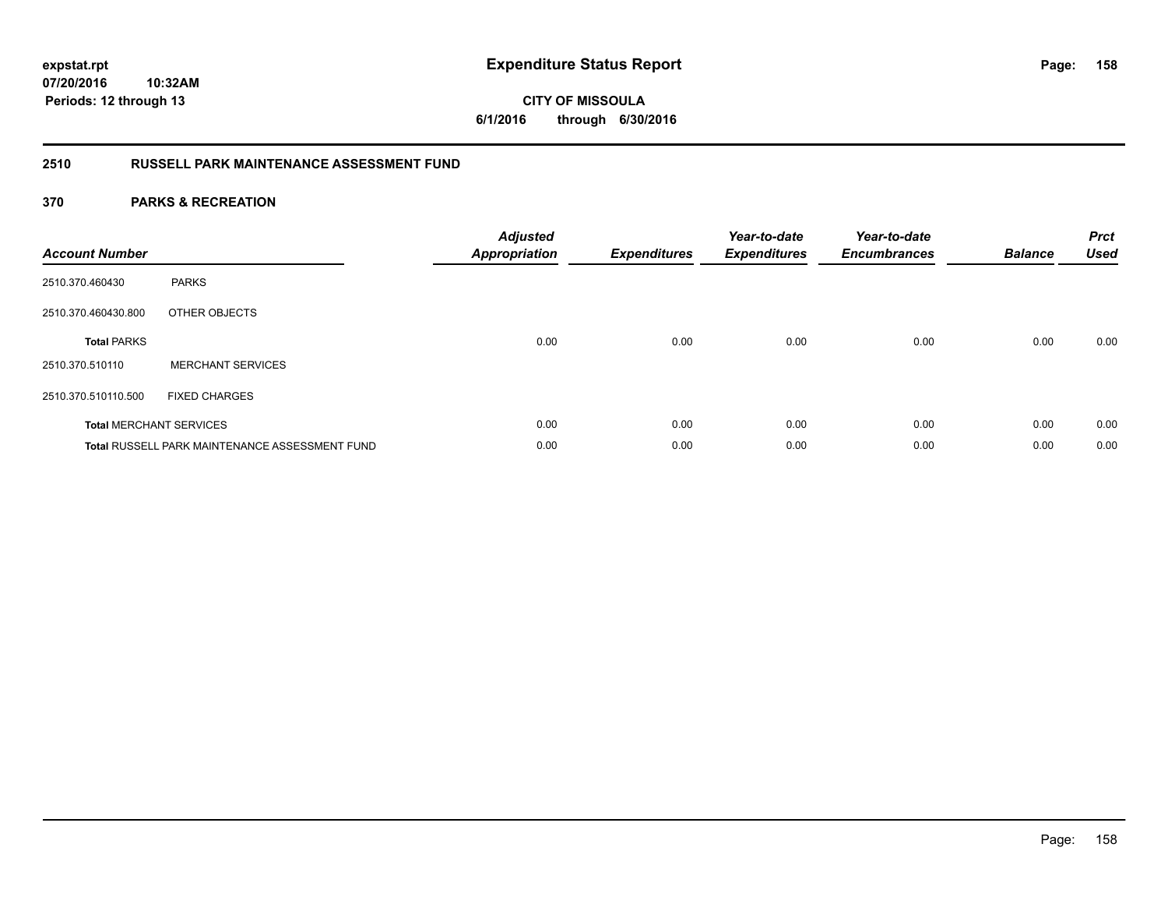**CITY OF MISSOULA 6/1/2016 through 6/30/2016**

# **2510 RUSSELL PARK MAINTENANCE ASSESSMENT FUND**

| <b>Account Number</b> |                                                       | <b>Adjusted</b><br><b>Appropriation</b> | <b>Expenditures</b> | Year-to-date<br><b>Expenditures</b> | Year-to-date<br><b>Encumbrances</b> | <b>Balance</b> | <b>Prct</b><br><b>Used</b> |
|-----------------------|-------------------------------------------------------|-----------------------------------------|---------------------|-------------------------------------|-------------------------------------|----------------|----------------------------|
| 2510.370.460430       | <b>PARKS</b>                                          |                                         |                     |                                     |                                     |                |                            |
| 2510.370.460430.800   | OTHER OBJECTS                                         |                                         |                     |                                     |                                     |                |                            |
| <b>Total PARKS</b>    |                                                       | 0.00                                    | 0.00                | 0.00                                | 0.00                                | 0.00           | 0.00                       |
| 2510.370.510110       | <b>MERCHANT SERVICES</b>                              |                                         |                     |                                     |                                     |                |                            |
| 2510.370.510110.500   | <b>FIXED CHARGES</b>                                  |                                         |                     |                                     |                                     |                |                            |
|                       | <b>Total MERCHANT SERVICES</b>                        | 0.00                                    | 0.00                | 0.00                                | 0.00                                | 0.00           | 0.00                       |
|                       | <b>Total RUSSELL PARK MAINTENANCE ASSESSMENT FUND</b> | 0.00                                    | 0.00                | 0.00                                | 0.00                                | 0.00           | 0.00                       |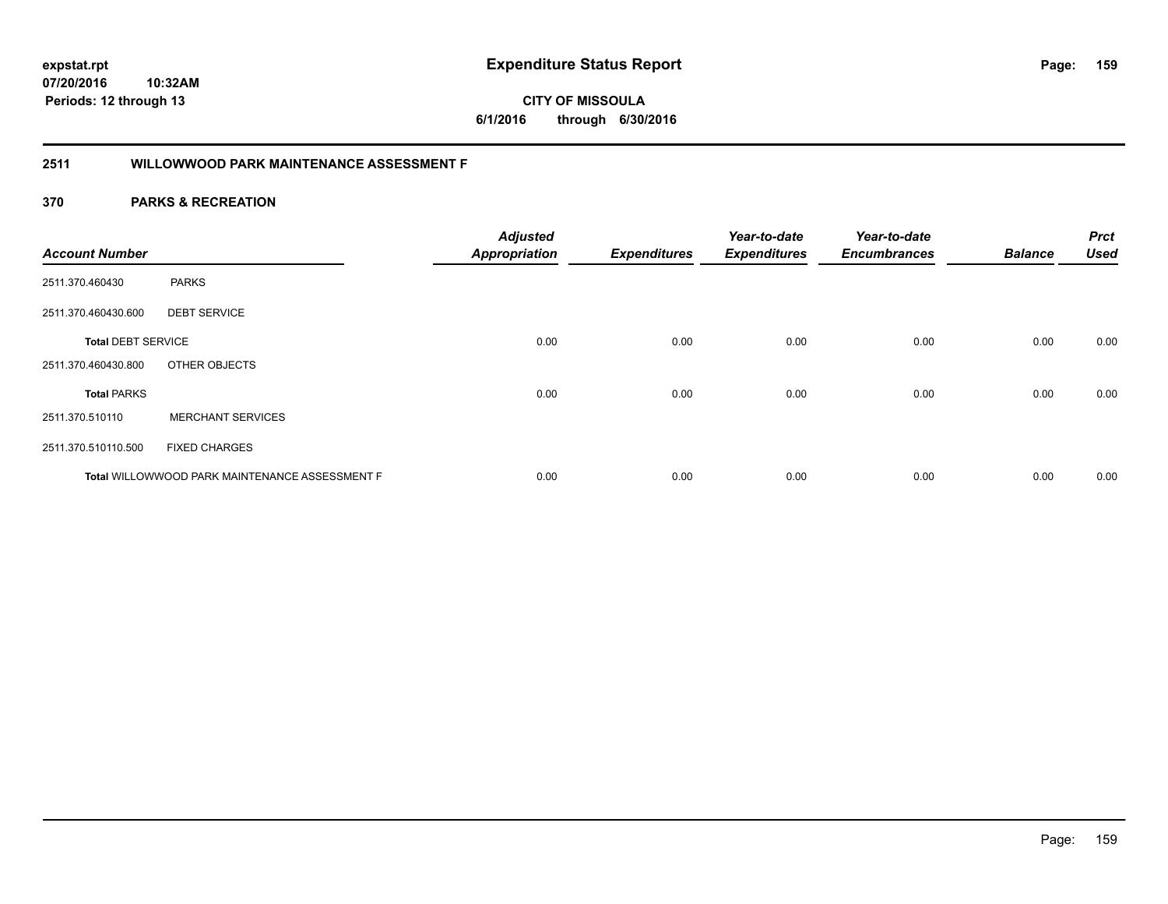**CITY OF MISSOULA 6/1/2016 through 6/30/2016**

# **2511 WILLOWWOOD PARK MAINTENANCE ASSESSMENT F**

| <b>Account Number</b>     |                                                | <b>Adjusted</b><br><b>Appropriation</b> | <b>Expenditures</b> | Year-to-date<br><b>Expenditures</b> | Year-to-date<br><b>Encumbrances</b> | <b>Balance</b> | <b>Prct</b><br><b>Used</b> |
|---------------------------|------------------------------------------------|-----------------------------------------|---------------------|-------------------------------------|-------------------------------------|----------------|----------------------------|
| 2511.370.460430           | <b>PARKS</b>                                   |                                         |                     |                                     |                                     |                |                            |
| 2511.370.460430.600       | <b>DEBT SERVICE</b>                            |                                         |                     |                                     |                                     |                |                            |
| <b>Total DEBT SERVICE</b> |                                                | 0.00                                    | 0.00                | 0.00                                | 0.00                                | 0.00           | 0.00                       |
| 2511.370.460430.800       | OTHER OBJECTS                                  |                                         |                     |                                     |                                     |                |                            |
| <b>Total PARKS</b>        |                                                | 0.00                                    | 0.00                | 0.00                                | 0.00                                | 0.00           | 0.00                       |
| 2511.370.510110           | <b>MERCHANT SERVICES</b>                       |                                         |                     |                                     |                                     |                |                            |
| 2511.370.510110.500       | <b>FIXED CHARGES</b>                           |                                         |                     |                                     |                                     |                |                            |
|                           | Total WILLOWWOOD PARK MAINTENANCE ASSESSMENT F | 0.00                                    | 0.00                | 0.00                                | 0.00                                | 0.00           | 0.00                       |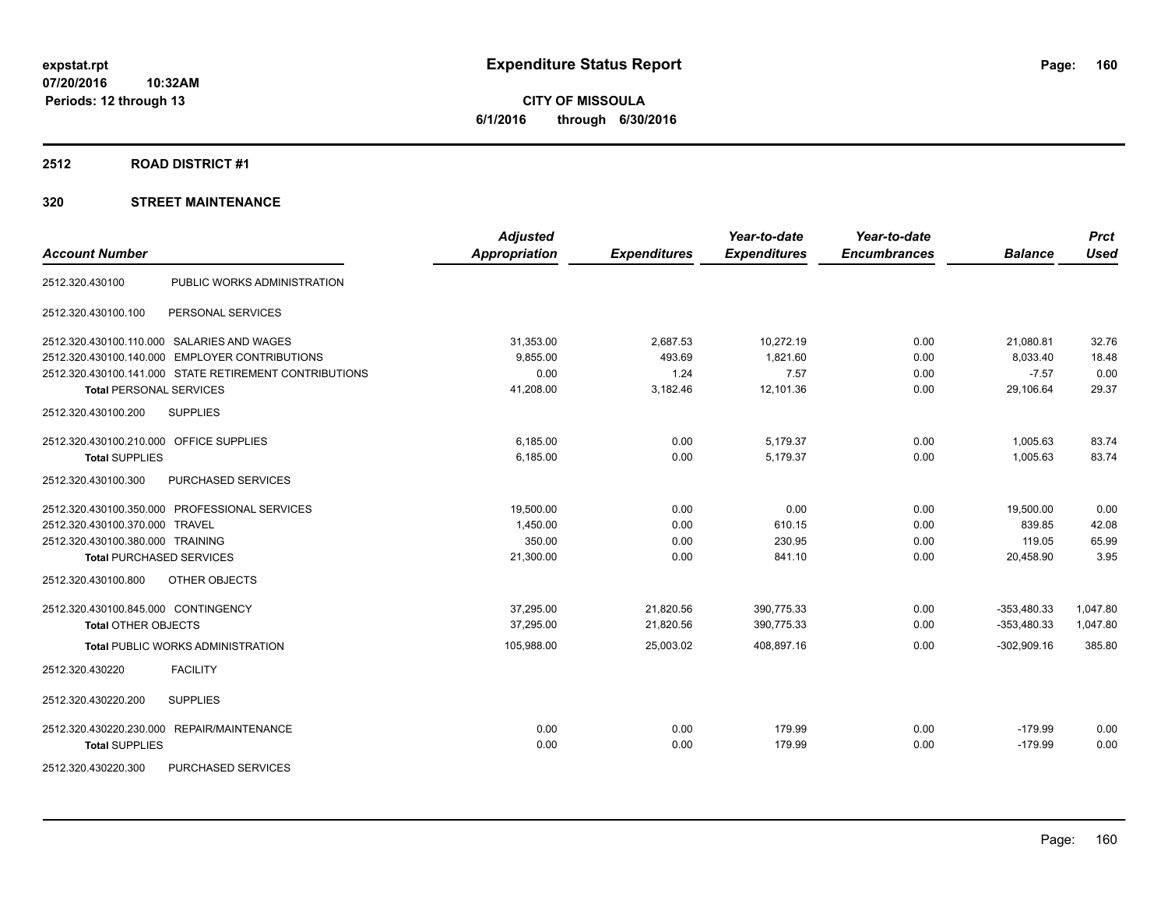**CITY OF MISSOULA 6/1/2016 through 6/30/2016**

# **2512 ROAD DISTRICT #1**

| <b>Account Number</b>                   |                                                        | <b>Adjusted</b><br><b>Appropriation</b> | <b>Expenditures</b> | Year-to-date<br><b>Expenditures</b> | Year-to-date<br><b>Encumbrances</b> | <b>Balance</b> | <b>Prct</b><br><b>Used</b> |
|-----------------------------------------|--------------------------------------------------------|-----------------------------------------|---------------------|-------------------------------------|-------------------------------------|----------------|----------------------------|
| 2512.320.430100                         | PUBLIC WORKS ADMINISTRATION                            |                                         |                     |                                     |                                     |                |                            |
| 2512.320.430100.100                     | PERSONAL SERVICES                                      |                                         |                     |                                     |                                     |                |                            |
|                                         | 2512.320.430100.110.000 SALARIES AND WAGES             | 31,353.00                               | 2,687.53            | 10,272.19                           | 0.00                                | 21,080.81      | 32.76                      |
|                                         | 2512.320.430100.140.000 EMPLOYER CONTRIBUTIONS         | 9,855.00                                | 493.69              | 1,821.60                            | 0.00                                | 8,033.40       | 18.48                      |
|                                         | 2512.320.430100.141.000 STATE RETIREMENT CONTRIBUTIONS | 0.00                                    | 1.24                | 7.57                                | 0.00                                | $-7.57$        | 0.00                       |
| <b>Total PERSONAL SERVICES</b>          |                                                        | 41,208.00                               | 3,182.46            | 12,101.36                           | 0.00                                | 29,106.64      | 29.37                      |
| 2512.320.430100.200                     | <b>SUPPLIES</b>                                        |                                         |                     |                                     |                                     |                |                            |
| 2512.320.430100.210.000 OFFICE SUPPLIES |                                                        | 6,185.00                                | 0.00                | 5,179.37                            | 0.00                                | 1,005.63       | 83.74                      |
| <b>Total SUPPLIES</b>                   |                                                        | 6,185.00                                | 0.00                | 5,179.37                            | 0.00                                | 1,005.63       | 83.74                      |
| 2512.320.430100.300                     | <b>PURCHASED SERVICES</b>                              |                                         |                     |                                     |                                     |                |                            |
|                                         | 2512.320.430100.350.000 PROFESSIONAL SERVICES          | 19,500.00                               | 0.00                | 0.00                                | 0.00                                | 19,500.00      | 0.00                       |
| 2512.320.430100.370.000 TRAVEL          |                                                        | 1,450.00                                | 0.00                | 610.15                              | 0.00                                | 839.85         | 42.08                      |
| 2512.320.430100.380.000 TRAINING        |                                                        | 350.00                                  | 0.00                | 230.95                              | 0.00                                | 119.05         | 65.99                      |
| <b>Total PURCHASED SERVICES</b>         |                                                        | 21,300.00                               | 0.00                | 841.10                              | 0.00                                | 20,458.90      | 3.95                       |
| 2512.320.430100.800                     | OTHER OBJECTS                                          |                                         |                     |                                     |                                     |                |                            |
| 2512.320.430100.845.000 CONTINGENCY     |                                                        | 37,295.00                               | 21,820.56           | 390,775.33                          | 0.00                                | $-353,480.33$  | 1,047.80                   |
| <b>Total OTHER OBJECTS</b>              |                                                        | 37,295.00                               | 21,820.56           | 390,775.33                          | 0.00                                | $-353,480.33$  | 1,047.80                   |
|                                         | <b>Total PUBLIC WORKS ADMINISTRATION</b>               | 105,988.00                              | 25,003.02           | 408,897.16                          | 0.00                                | $-302,909.16$  | 385.80                     |
| 2512.320.430220                         | <b>FACILITY</b>                                        |                                         |                     |                                     |                                     |                |                            |
| 2512.320.430220.200                     | <b>SUPPLIES</b>                                        |                                         |                     |                                     |                                     |                |                            |
|                                         | 2512.320.430220.230.000 REPAIR/MAINTENANCE             | 0.00                                    | 0.00                | 179.99                              | 0.00                                | $-179.99$      | 0.00                       |
| <b>Total SUPPLIES</b>                   |                                                        | 0.00                                    | 0.00                | 179.99                              | 0.00                                | $-179.99$      | 0.00                       |
| 2512.320.430220.300                     | <b>PURCHASED SERVICES</b>                              |                                         |                     |                                     |                                     |                |                            |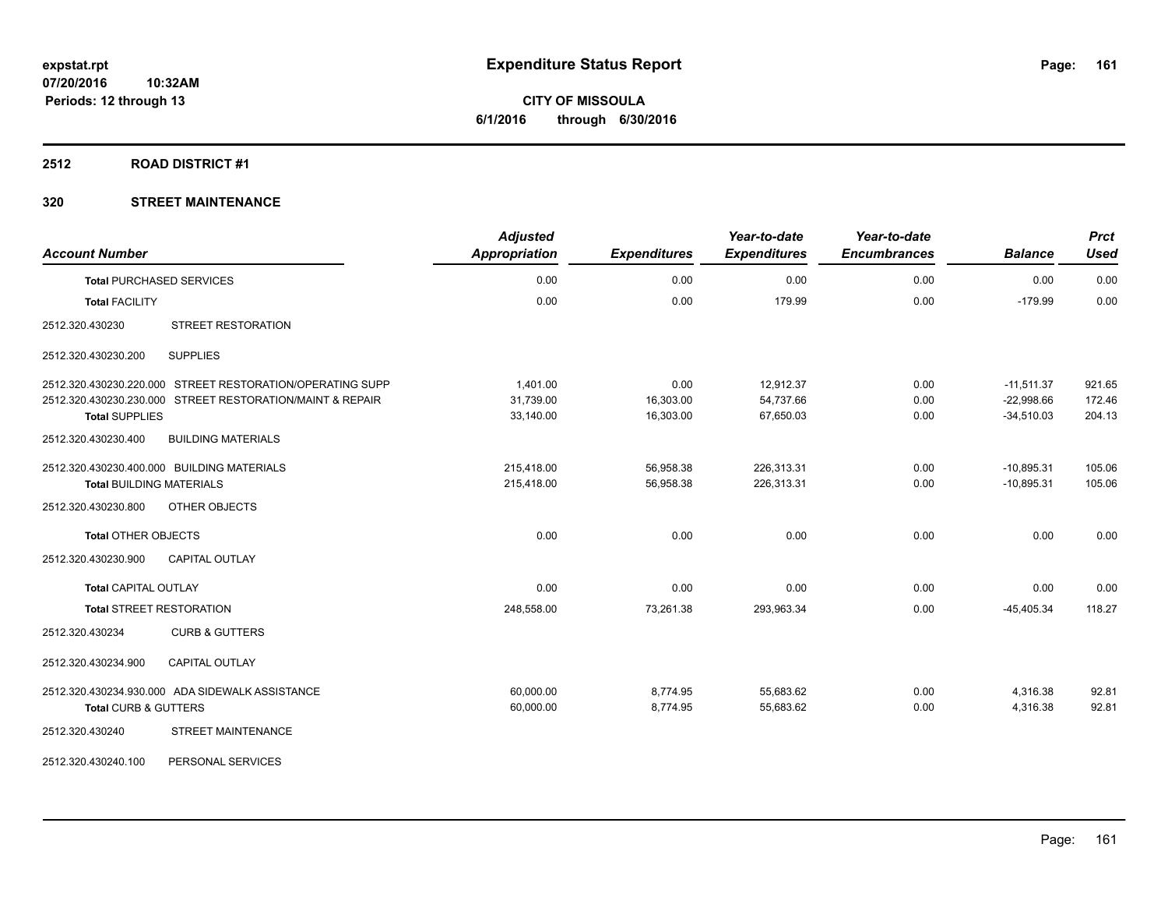### **2512 ROAD DISTRICT #1**

| <b>Account Number</b>                                     | <b>Adjusted</b><br><b>Appropriation</b> | <b>Expenditures</b> | Year-to-date<br><b>Expenditures</b> | Year-to-date<br><b>Encumbrances</b> | <b>Balance</b> | <b>Prct</b><br><b>Used</b> |
|-----------------------------------------------------------|-----------------------------------------|---------------------|-------------------------------------|-------------------------------------|----------------|----------------------------|
| <b>Total PURCHASED SERVICES</b>                           | 0.00                                    | 0.00                | 0.00                                | 0.00                                | 0.00           | 0.00                       |
| <b>Total FACILITY</b>                                     | 0.00                                    | 0.00                | 179.99                              | 0.00                                | $-179.99$      | 0.00                       |
| <b>STREET RESTORATION</b><br>2512.320.430230              |                                         |                     |                                     |                                     |                |                            |
| <b>SUPPLIES</b><br>2512.320.430230.200                    |                                         |                     |                                     |                                     |                |                            |
| 2512.320.430230.220.000 STREET RESTORATION/OPERATING SUPP | 1,401.00                                | 0.00                | 12,912.37                           | 0.00                                | $-11,511.37$   | 921.65                     |
| 2512.320.430230.230.000 STREET RESTORATION/MAINT & REPAIR | 31,739.00                               | 16,303.00           | 54,737.66                           | 0.00                                | $-22,998.66$   | 172.46                     |
| <b>Total SUPPLIES</b>                                     | 33,140.00                               | 16,303.00           | 67,650.03                           | 0.00                                | $-34,510.03$   | 204.13                     |
| <b>BUILDING MATERIALS</b><br>2512.320.430230.400          |                                         |                     |                                     |                                     |                |                            |
| 2512.320.430230.400.000 BUILDING MATERIALS                | 215,418.00                              | 56,958.38           | 226,313.31                          | 0.00                                | $-10,895.31$   | 105.06                     |
| <b>Total BUILDING MATERIALS</b>                           | 215,418.00                              | 56,958.38           | 226,313.31                          | 0.00                                | $-10.895.31$   | 105.06                     |
| 2512.320.430230.800<br><b>OTHER OBJECTS</b>               |                                         |                     |                                     |                                     |                |                            |
| <b>Total OTHER OBJECTS</b>                                | 0.00                                    | 0.00                | 0.00                                | 0.00                                | 0.00           | 0.00                       |
| <b>CAPITAL OUTLAY</b><br>2512.320.430230.900              |                                         |                     |                                     |                                     |                |                            |
| <b>Total CAPITAL OUTLAY</b>                               | 0.00                                    | 0.00                | 0.00                                | 0.00                                | 0.00           | 0.00                       |
| <b>Total STREET RESTORATION</b>                           | 248,558.00                              | 73,261.38           | 293,963.34                          | 0.00                                | $-45,405.34$   | 118.27                     |
| 2512.320.430234<br><b>CURB &amp; GUTTERS</b>              |                                         |                     |                                     |                                     |                |                            |
| 2512.320.430234.900<br><b>CAPITAL OUTLAY</b>              |                                         |                     |                                     |                                     |                |                            |
| 2512.320.430234.930.000 ADA SIDEWALK ASSISTANCE           | 60,000.00                               | 8,774.95            | 55,683.62                           | 0.00                                | 4,316.38       | 92.81                      |
| <b>Total CURB &amp; GUTTERS</b>                           | 60,000.00                               | 8,774.95            | 55.683.62                           | 0.00                                | 4,316.38       | 92.81                      |
| STREET MAINTENANCE<br>2512.320.430240                     |                                         |                     |                                     |                                     |                |                            |
| 2512.320.430240.100<br>PERSONAL SERVICES                  |                                         |                     |                                     |                                     |                |                            |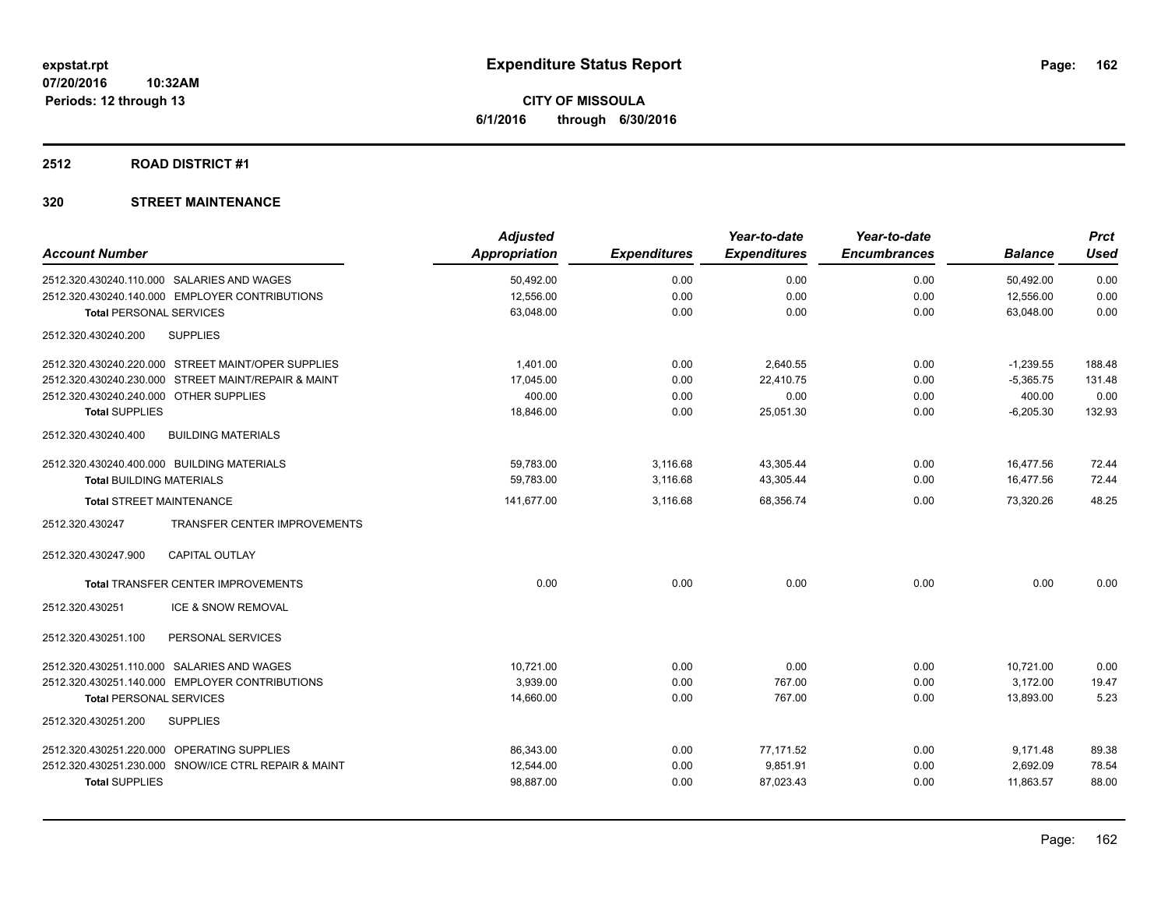# **2512 ROAD DISTRICT #1**

| <b>Adjusted</b>      |                     | Year-to-date        | Year-to-date        |                | <b>Prct</b> |
|----------------------|---------------------|---------------------|---------------------|----------------|-------------|
| <b>Appropriation</b> | <b>Expenditures</b> | <b>Expenditures</b> | <b>Encumbrances</b> | <b>Balance</b> | <b>Used</b> |
| 50,492.00            | 0.00                | 0.00                | 0.00                | 50,492.00      | 0.00        |
| 12,556.00            | 0.00                | 0.00                | 0.00                | 12,556.00      | 0.00        |
| 63,048.00            | 0.00                | 0.00                | 0.00                | 63.048.00      | 0.00        |
|                      |                     |                     |                     |                |             |
| 1.401.00             | 0.00                | 2,640.55            | 0.00                | $-1,239.55$    | 188.48      |
| 17,045.00            | 0.00                | 22.410.75           | 0.00                | $-5,365.75$    | 131.48      |
| 400.00               | 0.00                | 0.00                | 0.00                | 400.00         | 0.00        |
| 18,846.00            | 0.00                | 25,051.30           | 0.00                | $-6,205.30$    | 132.93      |
|                      |                     |                     |                     |                |             |
| 59,783.00            | 3,116.68            | 43,305.44           | 0.00                | 16,477.56      | 72.44       |
| 59,783.00            | 3,116.68            | 43,305.44           | 0.00                | 16,477.56      | 72.44       |
| 141,677.00           | 3,116.68            | 68,356.74           | 0.00                | 73,320.26      | 48.25       |
|                      |                     |                     |                     |                |             |
|                      |                     |                     |                     |                |             |
| 0.00                 | 0.00                | 0.00                | 0.00                | 0.00           | 0.00        |
|                      |                     |                     |                     |                |             |
|                      |                     |                     |                     |                |             |
| 10.721.00            | 0.00                | 0.00                | 0.00                | 10,721.00      | 0.00        |
| 3,939.00             | 0.00                | 767.00              | 0.00                | 3,172.00       | 19.47       |
| 14,660.00            | 0.00                | 767.00              | 0.00                | 13,893.00      | 5.23        |
|                      |                     |                     |                     |                |             |
| 86,343.00            | 0.00                | 77,171.52           | 0.00                | 9,171.48       | 89.38       |
| 12,544.00            | 0.00                | 9,851.91            | 0.00                | 2,692.09       | 78.54       |
| 98,887.00            | 0.00                | 87,023.43           | 0.00                | 11,863.57      | 88.00       |
|                      |                     |                     |                     |                |             |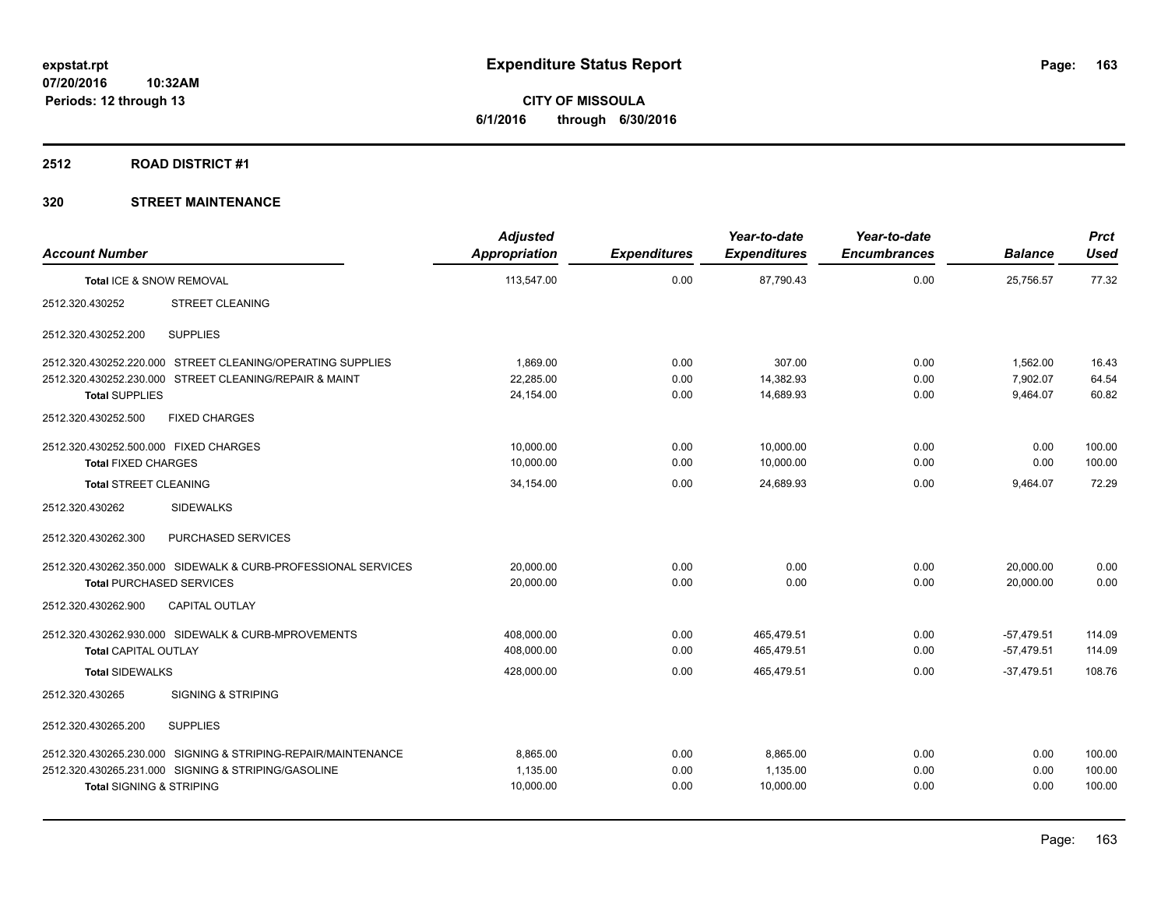**Periods: 12 through 13**

**CITY OF MISSOULA 6/1/2016 through 6/30/2016**

# **2512 ROAD DISTRICT #1**

| <b>Account Number</b>                 |                                                               | <b>Adjusted</b><br><b>Appropriation</b> | <b>Expenditures</b> | Year-to-date<br><b>Expenditures</b> | Year-to-date<br><b>Encumbrances</b> | <b>Balance</b> | <b>Prct</b><br><b>Used</b> |
|---------------------------------------|---------------------------------------------------------------|-----------------------------------------|---------------------|-------------------------------------|-------------------------------------|----------------|----------------------------|
| Total ICE & SNOW REMOVAL              |                                                               | 113,547.00                              | 0.00                | 87,790.43                           | 0.00                                | 25,756.57      | 77.32                      |
| 2512.320.430252                       | <b>STREET CLEANING</b>                                        |                                         |                     |                                     |                                     |                |                            |
| 2512.320.430252.200                   | <b>SUPPLIES</b>                                               |                                         |                     |                                     |                                     |                |                            |
|                                       | 2512.320.430252.220.000 STREET CLEANING/OPERATING SUPPLIES    | 1,869.00                                | 0.00                | 307.00                              | 0.00                                | 1,562.00       | 16.43                      |
|                                       | 2512.320.430252.230.000 STREET CLEANING/REPAIR & MAINT        | 22.285.00                               | 0.00                | 14.382.93                           | 0.00                                | 7.902.07       | 64.54                      |
| <b>Total SUPPLIES</b>                 |                                                               | 24,154.00                               | 0.00                | 14.689.93                           | 0.00                                | 9,464.07       | 60.82                      |
| 2512.320.430252.500                   | <b>FIXED CHARGES</b>                                          |                                         |                     |                                     |                                     |                |                            |
| 2512.320.430252.500.000 FIXED CHARGES |                                                               | 10,000.00                               | 0.00                | 10,000.00                           | 0.00                                | 0.00           | 100.00                     |
| <b>Total FIXED CHARGES</b>            |                                                               | 10.000.00                               | 0.00                | 10,000.00                           | 0.00                                | 0.00           | 100.00                     |
| <b>Total STREET CLEANING</b>          |                                                               | 34,154.00                               | 0.00                | 24,689.93                           | 0.00                                | 9,464.07       | 72.29                      |
| 2512.320.430262                       | <b>SIDEWALKS</b>                                              |                                         |                     |                                     |                                     |                |                            |
| 2512.320.430262.300                   | PURCHASED SERVICES                                            |                                         |                     |                                     |                                     |                |                            |
|                                       | 2512.320.430262.350.000 SIDEWALK & CURB-PROFESSIONAL SERVICES | 20,000.00                               | 0.00                | 0.00                                | 0.00                                | 20,000.00      | 0.00                       |
| <b>Total PURCHASED SERVICES</b>       |                                                               | 20,000.00                               | 0.00                | 0.00                                | 0.00                                | 20.000.00      | 0.00                       |
| 2512.320.430262.900                   | <b>CAPITAL OUTLAY</b>                                         |                                         |                     |                                     |                                     |                |                            |
|                                       | 2512.320.430262.930.000 SIDEWALK & CURB-MPROVEMENTS           | 408,000.00                              | 0.00                | 465,479.51                          | 0.00                                | $-57,479.51$   | 114.09                     |
| <b>Total CAPITAL OUTLAY</b>           |                                                               | 408,000.00                              | 0.00                | 465,479.51                          | 0.00                                | $-57,479.51$   | 114.09                     |
| <b>Total SIDEWALKS</b>                |                                                               | 428,000.00                              | 0.00                | 465,479.51                          | 0.00                                | $-37.479.51$   | 108.76                     |
| 2512.320.430265                       | <b>SIGNING &amp; STRIPING</b>                                 |                                         |                     |                                     |                                     |                |                            |
| 2512.320.430265.200                   | <b>SUPPLIES</b>                                               |                                         |                     |                                     |                                     |                |                            |
|                                       | 2512.320.430265.230.000 SIGNING & STRIPING-REPAIR/MAINTENANCE | 8.865.00                                | 0.00                | 8.865.00                            | 0.00                                | 0.00           | 100.00                     |
|                                       | 2512.320.430265.231.000 SIGNING & STRIPING/GASOLINE           | 1,135.00                                | 0.00                | 1,135.00                            | 0.00                                | 0.00           | 100.00                     |
| <b>Total SIGNING &amp; STRIPING</b>   |                                                               | 10,000.00                               | 0.00                | 10,000.00                           | 0.00                                | 0.00           | 100.00                     |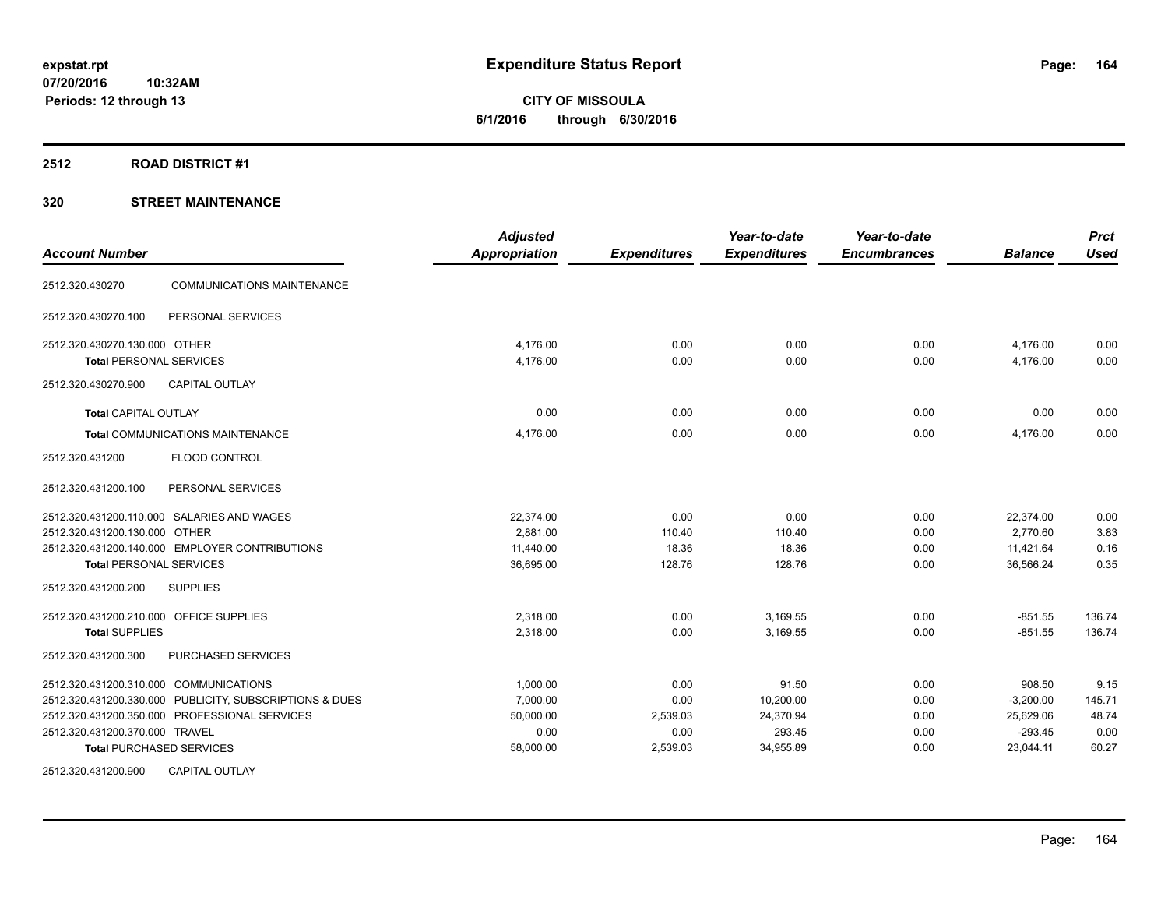### **2512 ROAD DISTRICT #1**

| <b>Account Number</b>                                   | <b>Adjusted</b><br><b>Appropriation</b> | <b>Expenditures</b> | Year-to-date<br><b>Expenditures</b> | Year-to-date<br><b>Encumbrances</b> | <b>Balance</b> | <b>Prct</b><br><b>Used</b> |
|---------------------------------------------------------|-----------------------------------------|---------------------|-------------------------------------|-------------------------------------|----------------|----------------------------|
| <b>COMMUNICATIONS MAINTENANCE</b><br>2512.320.430270    |                                         |                     |                                     |                                     |                |                            |
| PERSONAL SERVICES<br>2512.320.430270.100                |                                         |                     |                                     |                                     |                |                            |
| 2512.320.430270.130.000 OTHER                           | 4,176.00                                | 0.00                | 0.00                                | 0.00                                | 4,176.00       | 0.00                       |
| <b>Total PERSONAL SERVICES</b>                          | 4,176.00                                | 0.00                | 0.00                                | 0.00                                | 4,176.00       | 0.00                       |
| <b>CAPITAL OUTLAY</b><br>2512.320.430270.900            |                                         |                     |                                     |                                     |                |                            |
| <b>Total CAPITAL OUTLAY</b>                             | 0.00                                    | 0.00                | 0.00                                | 0.00                                | 0.00           | 0.00                       |
| <b>Total COMMUNICATIONS MAINTENANCE</b>                 | 4,176.00                                | 0.00                | 0.00                                | 0.00                                | 4,176.00       | 0.00                       |
| 2512.320.431200<br><b>FLOOD CONTROL</b>                 |                                         |                     |                                     |                                     |                |                            |
| PERSONAL SERVICES<br>2512.320.431200.100                |                                         |                     |                                     |                                     |                |                            |
| 2512.320.431200.110.000 SALARIES AND WAGES              | 22,374.00                               | 0.00                | 0.00                                | 0.00                                | 22,374.00      | 0.00                       |
| 2512.320.431200.130.000 OTHER                           | 2,881.00                                | 110.40              | 110.40                              | 0.00                                | 2,770.60       | 3.83                       |
| 2512.320.431200.140.000 EMPLOYER CONTRIBUTIONS          | 11,440.00                               | 18.36               | 18.36                               | 0.00                                | 11.421.64      | 0.16                       |
| <b>Total PERSONAL SERVICES</b>                          | 36,695.00                               | 128.76              | 128.76                              | 0.00                                | 36,566.24      | 0.35                       |
| 2512.320.431200.200<br><b>SUPPLIES</b>                  |                                         |                     |                                     |                                     |                |                            |
| 2512.320.431200.210.000 OFFICE SUPPLIES                 | 2,318.00                                | 0.00                | 3,169.55                            | 0.00                                | $-851.55$      | 136.74                     |
| <b>Total SUPPLIES</b>                                   | 2,318.00                                | 0.00                | 3,169.55                            | 0.00                                | $-851.55$      | 136.74                     |
| 2512.320.431200.300<br>PURCHASED SERVICES               |                                         |                     |                                     |                                     |                |                            |
| 2512.320.431200.310.000 COMMUNICATIONS                  | 1,000.00                                | 0.00                | 91.50                               | 0.00                                | 908.50         | 9.15                       |
| 2512.320.431200.330.000 PUBLICITY, SUBSCRIPTIONS & DUES | 7,000.00                                | 0.00                | 10,200.00                           | 0.00                                | $-3,200.00$    | 145.71                     |
| 2512.320.431200.350.000 PROFESSIONAL SERVICES           | 50,000.00                               | 2,539.03            | 24,370.94                           | 0.00                                | 25,629.06      | 48.74                      |
| 2512.320.431200.370.000 TRAVEL                          | 0.00                                    | 0.00                | 293.45                              | 0.00                                | $-293.45$      | 0.00                       |
| <b>Total PURCHASED SERVICES</b>                         | 58,000.00                               | 2,539.03            | 34,955.89                           | 0.00                                | 23,044.11      | 60.27                      |
| 2512.320.431200.900<br><b>CAPITAL OUTLAY</b>            |                                         |                     |                                     |                                     |                |                            |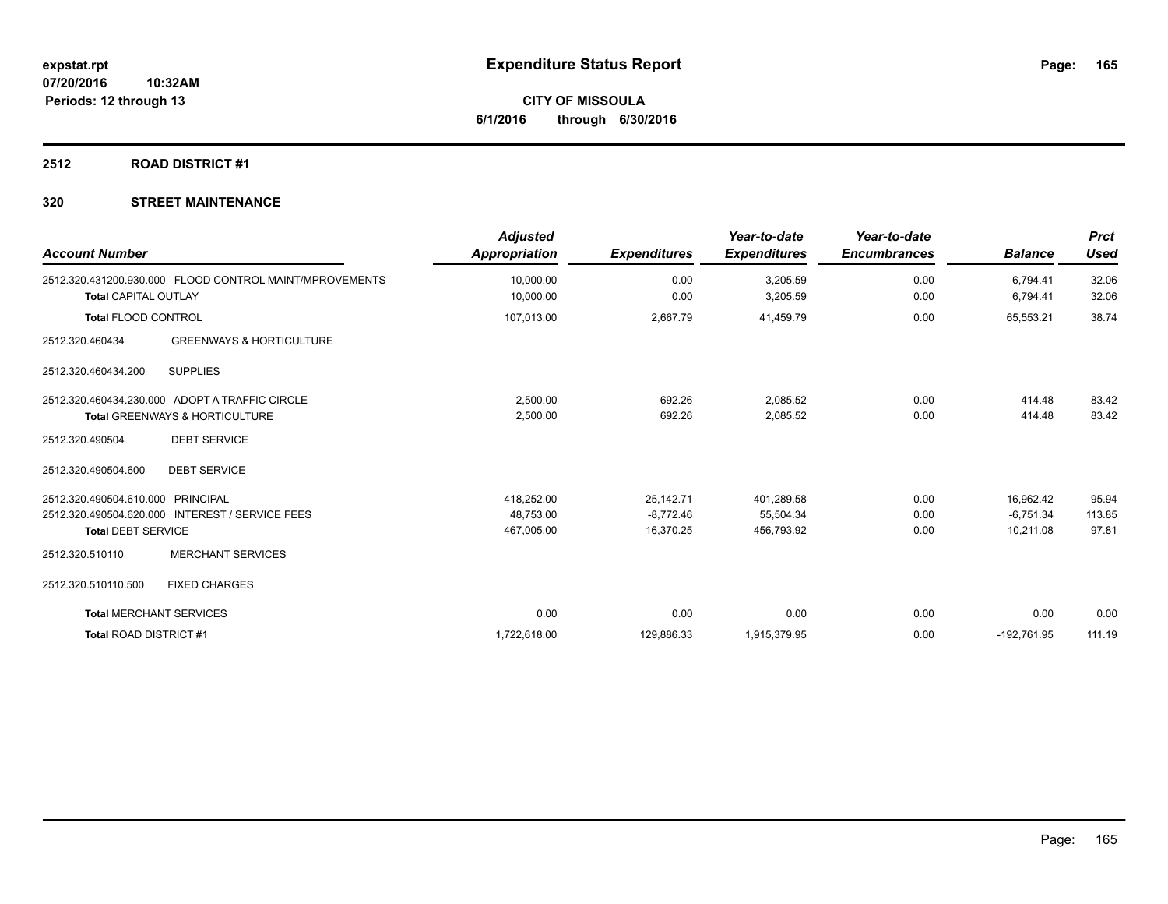# **2512 ROAD DISTRICT #1**

| <b>Account Number</b>          |                                                                                             | <b>Adjusted</b><br><b>Appropriation</b> | <b>Expenditures</b> | Year-to-date<br><b>Expenditures</b> | Year-to-date<br><b>Encumbrances</b> | <b>Balance</b>       | <b>Prct</b><br><b>Used</b> |
|--------------------------------|---------------------------------------------------------------------------------------------|-----------------------------------------|---------------------|-------------------------------------|-------------------------------------|----------------------|----------------------------|
| <b>Total CAPITAL OUTLAY</b>    | 2512.320.431200.930.000 FLOOD CONTROL MAINT/MPROVEMENTS                                     | 10,000.00<br>10,000.00                  | 0.00<br>0.00        | 3,205.59<br>3,205.59                | 0.00<br>0.00                        | 6,794.41<br>6,794.41 | 32.06<br>32.06             |
| <b>Total FLOOD CONTROL</b>     |                                                                                             | 107,013.00                              | 2,667.79            | 41,459.79                           | 0.00                                | 65,553.21            | 38.74                      |
| 2512.320.460434                | <b>GREENWAYS &amp; HORTICULTURE</b>                                                         |                                         |                     |                                     |                                     |                      |                            |
| 2512.320.460434.200            | <b>SUPPLIES</b>                                                                             |                                         |                     |                                     |                                     |                      |                            |
|                                | 2512.320.460434.230.000 ADOPT A TRAFFIC CIRCLE<br><b>Total GREENWAYS &amp; HORTICULTURE</b> | 2,500.00<br>2,500.00                    | 692.26<br>692.26    | 2,085.52<br>2,085.52                | 0.00<br>0.00                        | 414.48<br>414.48     | 83.42<br>83.42             |
| 2512.320.490504                | <b>DEBT SERVICE</b>                                                                         |                                         |                     |                                     |                                     |                      |                            |
| 2512.320.490504.600            | <b>DEBT SERVICE</b>                                                                         |                                         |                     |                                     |                                     |                      |                            |
| 2512.320.490504.610.000        | PRINCIPAL                                                                                   | 418,252.00                              | 25,142.71           | 401,289.58                          | 0.00                                | 16,962.42            | 95.94                      |
|                                | 2512.320.490504.620.000 INTEREST / SERVICE FEES                                             | 48,753.00                               | $-8,772.46$         | 55,504.34                           | 0.00                                | $-6,751.34$          | 113.85                     |
| <b>Total DEBT SERVICE</b>      |                                                                                             | 467,005.00                              | 16,370.25           | 456,793.92                          | 0.00                                | 10,211.08            | 97.81                      |
| 2512.320.510110                | <b>MERCHANT SERVICES</b>                                                                    |                                         |                     |                                     |                                     |                      |                            |
| 2512.320.510110.500            | <b>FIXED CHARGES</b>                                                                        |                                         |                     |                                     |                                     |                      |                            |
| <b>Total MERCHANT SERVICES</b> |                                                                                             | 0.00                                    | 0.00                | 0.00                                | 0.00                                | 0.00                 | 0.00                       |
| <b>Total ROAD DISTRICT#1</b>   |                                                                                             | 1,722,618.00                            | 129,886.33          | 1,915,379.95                        | 0.00                                | $-192,761.95$        | 111.19                     |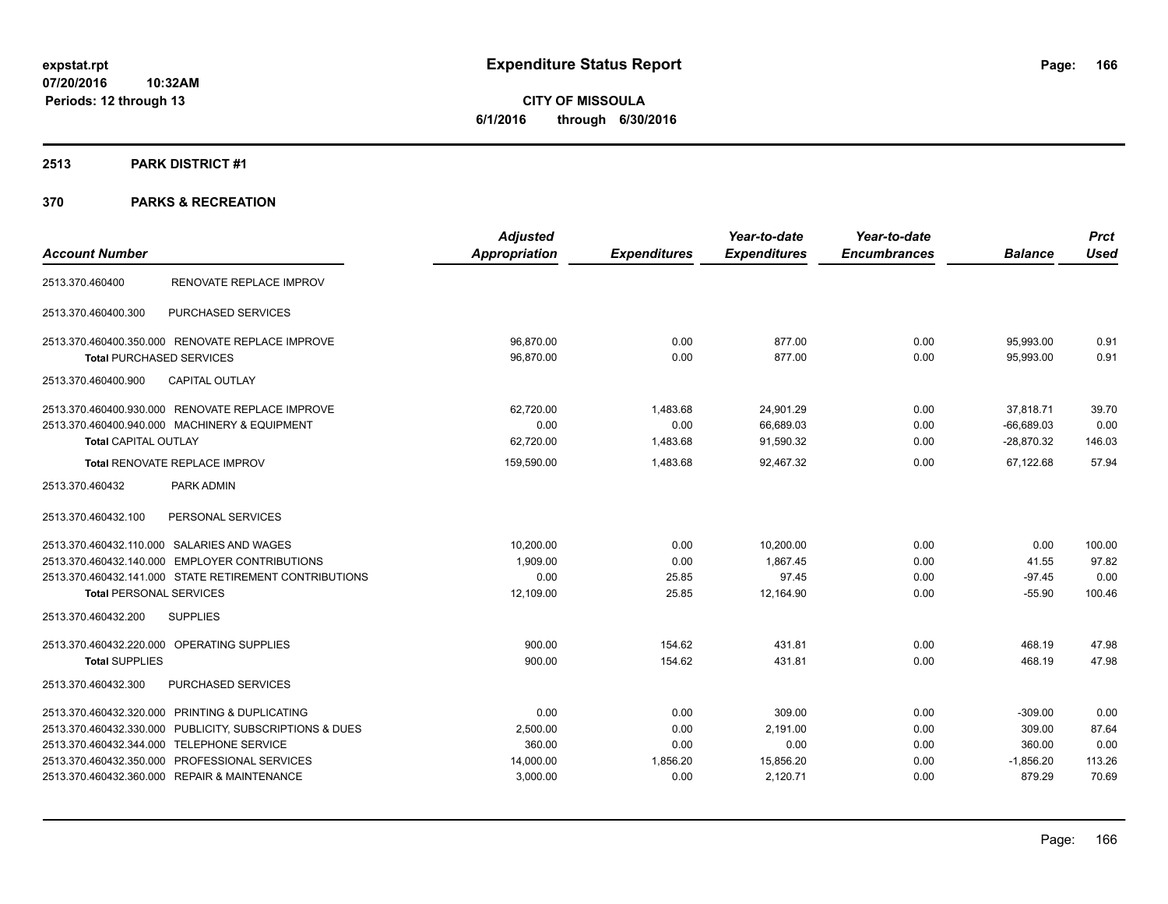**CITY OF MISSOULA 6/1/2016 through 6/30/2016**

### **2513 PARK DISTRICT #1**

|                                                         | <b>Adjusted</b>      |                     | Year-to-date        | Year-to-date        |                | <b>Prct</b> |
|---------------------------------------------------------|----------------------|---------------------|---------------------|---------------------|----------------|-------------|
| <b>Account Number</b>                                   | <b>Appropriation</b> | <b>Expenditures</b> | <b>Expenditures</b> | <b>Encumbrances</b> | <b>Balance</b> | <b>Used</b> |
| RENOVATE REPLACE IMPROV<br>2513.370.460400              |                      |                     |                     |                     |                |             |
| PURCHASED SERVICES<br>2513.370.460400.300               |                      |                     |                     |                     |                |             |
| 2513.370.460400.350.000 RENOVATE REPLACE IMPROVE        | 96,870.00            | 0.00                | 877.00              | 0.00                | 95,993.00      | 0.91        |
| <b>Total PURCHASED SERVICES</b>                         | 96,870.00            | 0.00                | 877.00              | 0.00                | 95,993.00      | 0.91        |
| <b>CAPITAL OUTLAY</b><br>2513.370.460400.900            |                      |                     |                     |                     |                |             |
| 2513.370.460400.930.000 RENOVATE REPLACE IMPROVE        | 62,720.00            | 1,483.68            | 24,901.29           | 0.00                | 37,818.71      | 39.70       |
| 2513.370.460400.940.000 MACHINERY & EQUIPMENT           | 0.00                 | 0.00                | 66,689.03           | 0.00                | $-66,689.03$   | 0.00        |
| <b>Total CAPITAL OUTLAY</b>                             | 62,720.00            | 1,483.68            | 91,590.32           | 0.00                | $-28,870.32$   | 146.03      |
| Total RENOVATE REPLACE IMPROV                           | 159,590.00           | 1,483.68            | 92,467.32           | 0.00                | 67,122.68      | 57.94       |
| 2513.370.460432<br>PARK ADMIN                           |                      |                     |                     |                     |                |             |
| 2513.370.460432.100<br>PERSONAL SERVICES                |                      |                     |                     |                     |                |             |
| 2513.370.460432.110.000 SALARIES AND WAGES              | 10,200.00            | 0.00                | 10,200.00           | 0.00                | 0.00           | 100.00      |
| 2513.370.460432.140.000 EMPLOYER CONTRIBUTIONS          | 1,909.00             | 0.00                | 1,867.45            | 0.00                | 41.55          | 97.82       |
| 2513.370.460432.141.000 STATE RETIREMENT CONTRIBUTIONS  | 0.00                 | 25.85               | 97.45               | 0.00                | $-97.45$       | 0.00        |
| <b>Total PERSONAL SERVICES</b>                          | 12,109.00            | 25.85               | 12,164.90           | 0.00                | $-55.90$       | 100.46      |
| <b>SUPPLIES</b><br>2513.370.460432.200                  |                      |                     |                     |                     |                |             |
| 2513.370.460432.220.000 OPERATING SUPPLIES              | 900.00               | 154.62              | 431.81              | 0.00                | 468.19         | 47.98       |
| <b>Total SUPPLIES</b>                                   | 900.00               | 154.62              | 431.81              | 0.00                | 468.19         | 47.98       |
| PURCHASED SERVICES<br>2513.370.460432.300               |                      |                     |                     |                     |                |             |
| PRINTING & DUPLICATING<br>2513.370.460432.320.000       | 0.00                 | 0.00                | 309.00              | 0.00                | $-309.00$      | 0.00        |
| 2513.370.460432.330.000 PUBLICITY, SUBSCRIPTIONS & DUES | 2,500.00             | 0.00                | 2,191.00            | 0.00                | 309.00         | 87.64       |
| 2513.370.460432.344.000 TELEPHONE SERVICE               | 360.00               | 0.00                | 0.00                | 0.00                | 360.00         | 0.00        |
| 2513.370.460432.350.000 PROFESSIONAL SERVICES           | 14,000.00            | 1,856.20            | 15,856.20           | 0.00                | $-1,856.20$    | 113.26      |
| 2513.370.460432.360.000 REPAIR & MAINTENANCE            | 3,000.00             | 0.00                | 2,120.71            | 0.00                | 879.29         | 70.69       |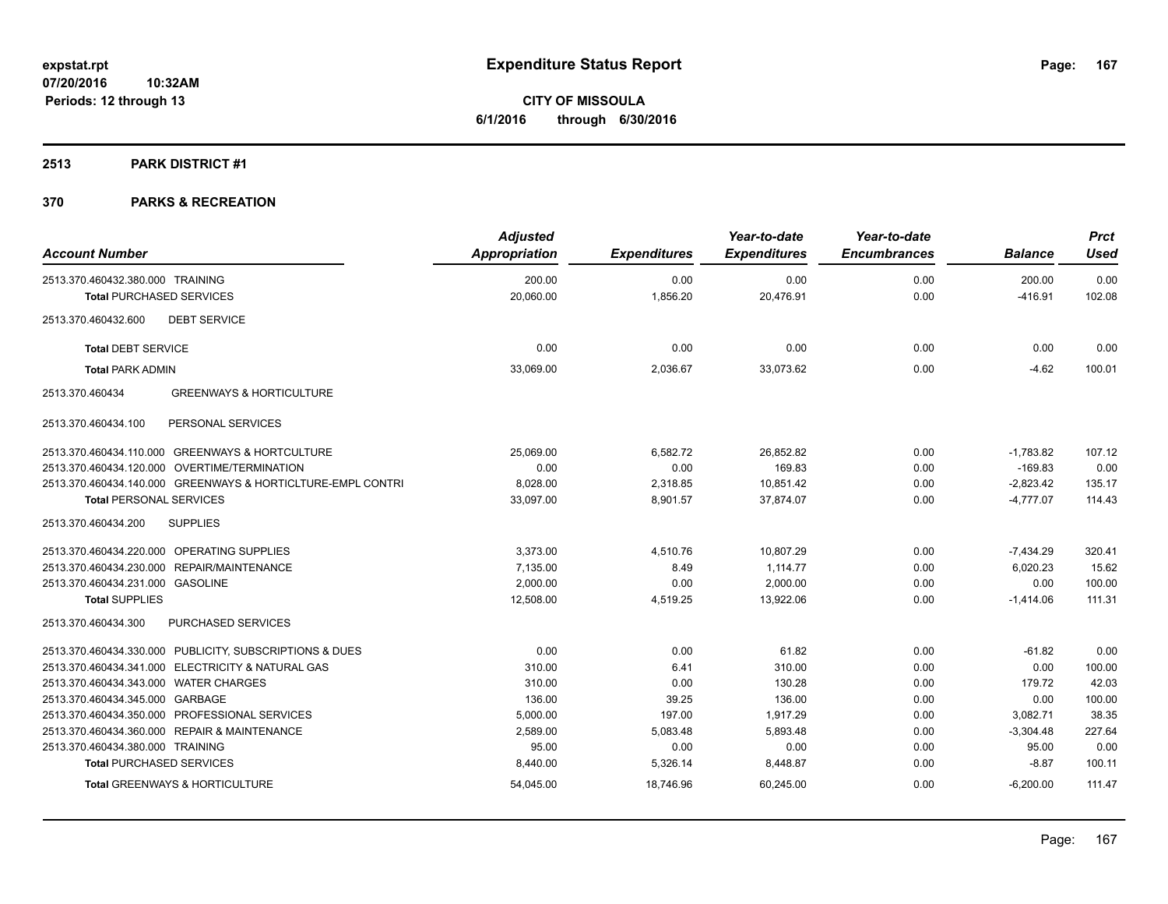# **2513 PARK DISTRICT #1**

| <b>Account Number</b>                                       | <b>Adjusted</b><br>Appropriation | <b>Expenditures</b> | Year-to-date<br><b>Expenditures</b> | Year-to-date<br><b>Encumbrances</b> | <b>Balance</b>      | <b>Prct</b><br>Used |
|-------------------------------------------------------------|----------------------------------|---------------------|-------------------------------------|-------------------------------------|---------------------|---------------------|
| 2513.370.460432.380.000 TRAINING                            | 200.00<br>20.060.00              | 0.00<br>1.856.20    | 0.00<br>20,476.91                   | 0.00<br>0.00                        | 200.00<br>$-416.91$ | 0.00<br>102.08      |
| <b>Total PURCHASED SERVICES</b>                             |                                  |                     |                                     |                                     |                     |                     |
| <b>DEBT SERVICE</b><br>2513.370.460432.600                  |                                  |                     |                                     |                                     |                     |                     |
| <b>Total DEBT SERVICE</b>                                   | 0.00                             | 0.00                | 0.00                                | 0.00                                | 0.00                | 0.00                |
| <b>Total PARK ADMIN</b>                                     | 33,069.00                        | 2,036.67            | 33,073.62                           | 0.00                                | $-4.62$             | 100.01              |
| <b>GREENWAYS &amp; HORTICULTURE</b><br>2513.370.460434      |                                  |                     |                                     |                                     |                     |                     |
| 2513.370.460434.100<br>PERSONAL SERVICES                    |                                  |                     |                                     |                                     |                     |                     |
| 2513.370.460434.110.000 GREENWAYS & HORTCULTURE             | 25,069.00                        | 6,582.72            | 26,852.82                           | 0.00                                | $-1,783.82$         | 107.12              |
| 2513.370.460434.120.000 OVERTIME/TERMINATION                | 0.00                             | 0.00                | 169.83                              | 0.00                                | $-169.83$           | 0.00                |
| 2513.370.460434.140.000 GREENWAYS & HORTICLTURE-EMPL CONTRI | 8,028.00                         | 2,318.85            | 10,851.42                           | 0.00                                | $-2,823.42$         | 135.17              |
| <b>Total PERSONAL SERVICES</b>                              | 33,097.00                        | 8,901.57            | 37,874.07                           | 0.00                                | $-4,777.07$         | 114.43              |
| <b>SUPPLIES</b><br>2513.370.460434.200                      |                                  |                     |                                     |                                     |                     |                     |
| 2513.370.460434.220.000 OPERATING SUPPLIES                  | 3,373.00                         | 4,510.76            | 10,807.29                           | 0.00                                | $-7,434.29$         | 320.41              |
| 2513.370.460434.230.000 REPAIR/MAINTENANCE                  | 7,135.00                         | 8.49                | 1.114.77                            | 0.00                                | 6,020.23            | 15.62               |
| 2513.370.460434.231.000 GASOLINE                            | 2,000.00                         | 0.00                | 2,000.00                            | 0.00                                | 0.00                | 100.00              |
| <b>Total SUPPLIES</b>                                       | 12,508.00                        | 4,519.25            | 13,922.06                           | 0.00                                | $-1,414.06$         | 111.31              |
| 2513.370.460434.300<br>PURCHASED SERVICES                   |                                  |                     |                                     |                                     |                     |                     |
| 2513.370.460434.330.000 PUBLICITY, SUBSCRIPTIONS & DUES     | 0.00                             | 0.00                | 61.82                               | 0.00                                | $-61.82$            | 0.00                |
| 2513.370.460434.341.000 ELECTRICITY & NATURAL GAS           | 310.00                           | 6.41                | 310.00                              | 0.00                                | 0.00                | 100.00              |
| 2513.370.460434.343.000 WATER CHARGES                       | 310.00                           | 0.00                | 130.28                              | 0.00                                | 179.72              | 42.03               |
| 2513.370.460434.345.000 GARBAGE                             | 136.00                           | 39.25               | 136.00                              | 0.00                                | 0.00                | 100.00              |
| 2513.370.460434.350.000 PROFESSIONAL SERVICES               | 5,000.00                         | 197.00              | 1.917.29                            | 0.00                                | 3,082.71            | 38.35               |
| 2513.370.460434.360.000 REPAIR & MAINTENANCE                | 2,589.00                         | 5,083.48            | 5,893.48                            | 0.00                                | $-3,304.48$         | 227.64              |
| 2513.370.460434.380.000 TRAINING                            | 95.00                            | 0.00                | 0.00                                | 0.00                                | 95.00               | 0.00                |
| <b>Total PURCHASED SERVICES</b>                             | 8,440.00                         | 5,326.14            | 8,448.87                            | 0.00                                | $-8.87$             | 100.11              |
| <b>Total GREENWAYS &amp; HORTICULTURE</b>                   | 54,045.00                        | 18,746.96           | 60,245.00                           | 0.00                                | $-6,200.00$         | 111.47              |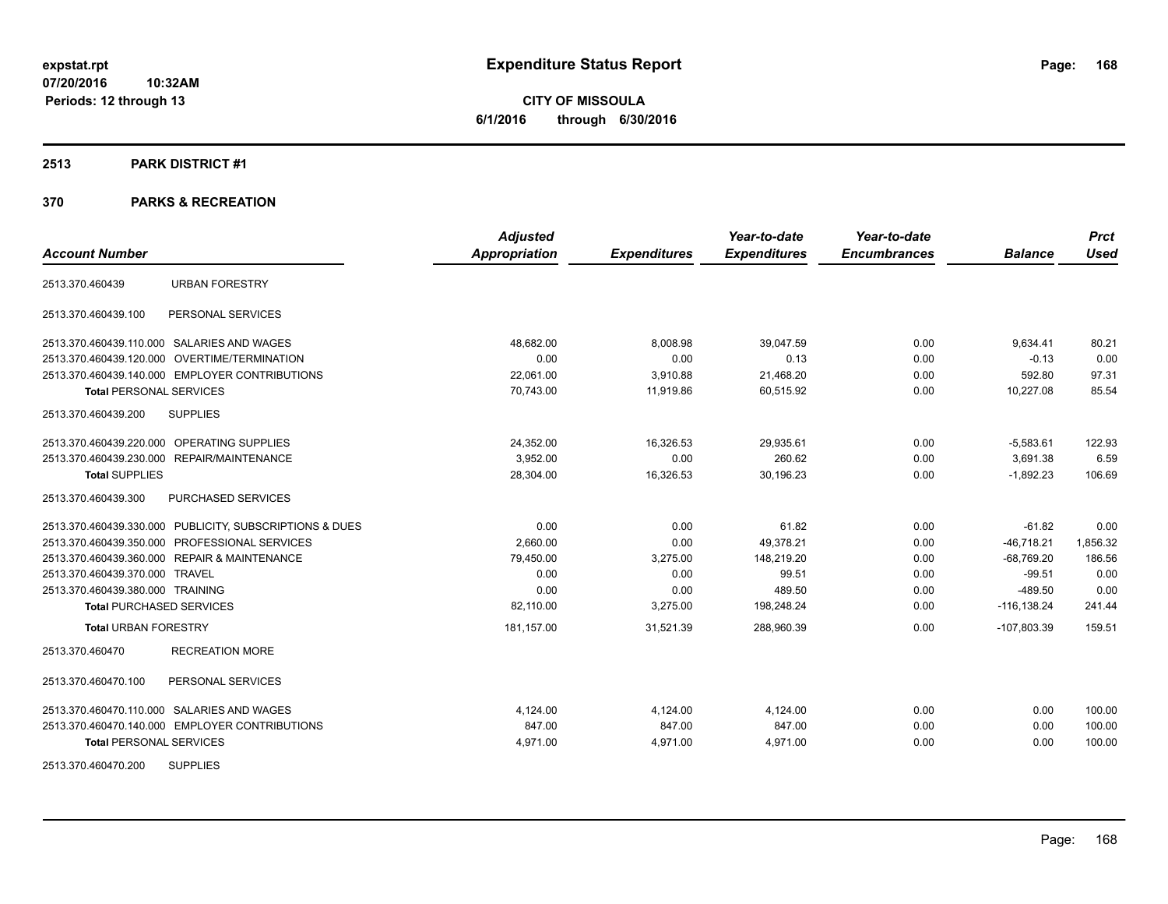**CITY OF MISSOULA 6/1/2016 through 6/30/2016**

### **2513 PARK DISTRICT #1**

| <b>Account Number</b>                                   | <b>Adjusted</b>      |                     | Year-to-date<br><b>Expenditures</b> | Year-to-date<br><b>Encumbrances</b> | <b>Balance</b> | <b>Prct</b><br><b>Used</b> |
|---------------------------------------------------------|----------------------|---------------------|-------------------------------------|-------------------------------------|----------------|----------------------------|
|                                                         | <b>Appropriation</b> | <b>Expenditures</b> |                                     |                                     |                |                            |
| <b>URBAN FORESTRY</b><br>2513.370.460439                |                      |                     |                                     |                                     |                |                            |
| 2513.370.460439.100<br>PERSONAL SERVICES                |                      |                     |                                     |                                     |                |                            |
| 2513.370.460439.110.000 SALARIES AND WAGES              | 48,682.00            | 8,008.98            | 39,047.59                           | 0.00                                | 9,634.41       | 80.21                      |
| 2513.370.460439.120.000 OVERTIME/TERMINATION            | 0.00                 | 0.00                | 0.13                                | 0.00                                | $-0.13$        | 0.00                       |
| 2513.370.460439.140.000 EMPLOYER CONTRIBUTIONS          | 22,061.00            | 3,910.88            | 21,468.20                           | 0.00                                | 592.80         | 97.31                      |
| <b>Total PERSONAL SERVICES</b>                          | 70,743.00            | 11,919.86           | 60,515.92                           | 0.00                                | 10,227.08      | 85.54                      |
| 2513.370.460439.200<br><b>SUPPLIES</b>                  |                      |                     |                                     |                                     |                |                            |
| 2513.370.460439.220.000 OPERATING SUPPLIES              | 24,352.00            | 16,326.53           | 29,935.61                           | 0.00                                | $-5,583.61$    | 122.93                     |
| 2513.370.460439.230.000 REPAIR/MAINTENANCE              | 3.952.00             | 0.00                | 260.62                              | 0.00                                | 3.691.38       | 6.59                       |
| <b>Total SUPPLIES</b>                                   | 28,304.00            | 16,326.53           | 30,196.23                           | 0.00                                | $-1,892.23$    | 106.69                     |
| <b>PURCHASED SERVICES</b><br>2513.370.460439.300        |                      |                     |                                     |                                     |                |                            |
| 2513.370.460439.330.000 PUBLICITY, SUBSCRIPTIONS & DUES | 0.00                 | 0.00                | 61.82                               | 0.00                                | $-61.82$       | 0.00                       |
| 2513.370.460439.350.000 PROFESSIONAL SERVICES           | 2,660.00             | 0.00                | 49,378.21                           | 0.00                                | $-46,718.21$   | 1,856.32                   |
| 2513.370.460439.360.000 REPAIR & MAINTENANCE            | 79,450.00            | 3,275.00            | 148,219.20                          | 0.00                                | $-68,769.20$   | 186.56                     |
| 2513.370.460439.370.000 TRAVEL                          | 0.00                 | 0.00                | 99.51                               | 0.00                                | $-99.51$       | 0.00                       |
| 2513.370.460439.380.000 TRAINING                        | 0.00                 | 0.00                | 489.50                              | 0.00                                | $-489.50$      | 0.00                       |
| <b>Total PURCHASED SERVICES</b>                         | 82,110.00            | 3,275.00            | 198,248.24                          | 0.00                                | $-116, 138.24$ | 241.44                     |
| <b>Total URBAN FORESTRY</b>                             | 181,157.00           | 31,521.39           | 288,960.39                          | 0.00                                | $-107,803.39$  | 159.51                     |
| <b>RECREATION MORE</b><br>2513.370.460470               |                      |                     |                                     |                                     |                |                            |
| 2513.370.460470.100<br>PERSONAL SERVICES                |                      |                     |                                     |                                     |                |                            |
| 2513.370.460470.110.000 SALARIES AND WAGES              | 4.124.00             | 4,124.00            | 4,124.00                            | 0.00                                | 0.00           | 100.00                     |
| 2513.370.460470.140.000 EMPLOYER CONTRIBUTIONS          | 847.00               | 847.00              | 847.00                              | 0.00                                | 0.00           | 100.00                     |
| <b>Total PERSONAL SERVICES</b>                          | 4,971.00             | 4,971.00            | 4,971.00                            | 0.00                                | 0.00           | 100.00                     |
| <b>SUPPLIES</b><br>2513.370.460470.200                  |                      |                     |                                     |                                     |                |                            |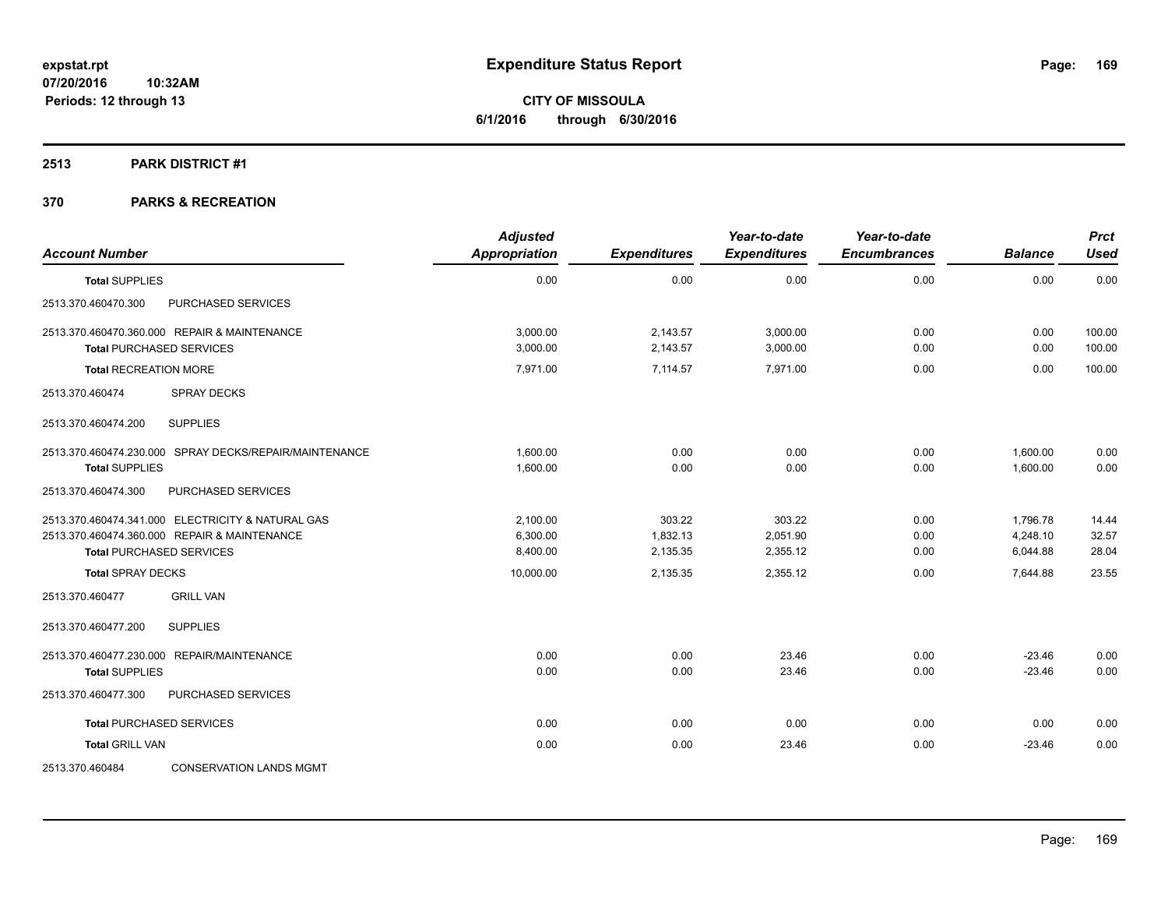### **2513 PARK DISTRICT #1**

| <b>Account Number</b>                                                                                                                | <b>Adjusted</b><br><b>Appropriation</b> | <b>Expenditures</b>            | Year-to-date<br><b>Expenditures</b> | Year-to-date<br><b>Encumbrances</b> | <b>Balance</b>                   | <b>Prct</b><br><b>Used</b> |
|--------------------------------------------------------------------------------------------------------------------------------------|-----------------------------------------|--------------------------------|-------------------------------------|-------------------------------------|----------------------------------|----------------------------|
| <b>Total SUPPLIES</b>                                                                                                                | 0.00                                    | 0.00                           | 0.00                                | 0.00                                | 0.00                             | 0.00                       |
| 2513.370.460470.300<br>PURCHASED SERVICES                                                                                            |                                         |                                |                                     |                                     |                                  |                            |
| 2513.370.460470.360.000 REPAIR & MAINTENANCE<br><b>Total PURCHASED SERVICES</b>                                                      | 3.000.00<br>3,000.00                    | 2,143.57<br>2,143.57           | 3,000.00<br>3,000.00                | 0.00<br>0.00                        | 0.00<br>0.00                     | 100.00<br>100.00           |
| <b>Total RECREATION MORE</b>                                                                                                         | 7,971.00                                | 7,114.57                       | 7,971.00                            | 0.00                                | 0.00                             | 100.00                     |
| 2513.370.460474<br><b>SPRAY DECKS</b>                                                                                                |                                         |                                |                                     |                                     |                                  |                            |
| <b>SUPPLIES</b><br>2513.370.460474.200                                                                                               |                                         |                                |                                     |                                     |                                  |                            |
| 2513.370.460474.230.000 SPRAY DECKS/REPAIR/MAINTENANCE<br><b>Total SUPPLIES</b>                                                      | 1.600.00<br>1,600.00                    | 0.00<br>0.00                   | 0.00<br>0.00                        | 0.00<br>0.00                        | 1,600.00<br>1,600.00             | 0.00<br>0.00               |
| 2513.370.460474.300<br>PURCHASED SERVICES                                                                                            |                                         |                                |                                     |                                     |                                  |                            |
| 2513.370.460474.341.000 ELECTRICITY & NATURAL GAS<br>2513.370.460474.360.000 REPAIR & MAINTENANCE<br><b>Total PURCHASED SERVICES</b> | 2.100.00<br>6,300.00<br>8,400.00        | 303.22<br>1,832.13<br>2,135.35 | 303.22<br>2,051.90<br>2,355.12      | 0.00<br>0.00<br>0.00                | 1,796.78<br>4,248.10<br>6,044.88 | 14.44<br>32.57<br>28.04    |
| <b>Total SPRAY DECKS</b>                                                                                                             | 10,000.00                               | 2,135.35                       | 2,355.12                            | 0.00                                | 7,644.88                         | 23.55                      |
| 2513.370.460477<br><b>GRILL VAN</b>                                                                                                  |                                         |                                |                                     |                                     |                                  |                            |
| <b>SUPPLIES</b><br>2513.370.460477.200                                                                                               |                                         |                                |                                     |                                     |                                  |                            |
| 2513.370.460477.230.000 REPAIR/MAINTENANCE<br><b>Total SUPPLIES</b>                                                                  | 0.00<br>0.00                            | 0.00<br>0.00                   | 23.46<br>23.46                      | 0.00<br>0.00                        | $-23.46$<br>$-23.46$             | 0.00<br>0.00               |
| 2513.370.460477.300<br>PURCHASED SERVICES                                                                                            |                                         |                                |                                     |                                     |                                  |                            |
| <b>Total PURCHASED SERVICES</b>                                                                                                      | 0.00                                    | 0.00                           | 0.00                                | 0.00                                | 0.00                             | 0.00                       |
| <b>Total GRILL VAN</b>                                                                                                               | 0.00                                    | 0.00                           | 23.46                               | 0.00                                | $-23.46$                         | 0.00                       |
| <b>CONSERVATION LANDS MGMT</b><br>2513.370.460484                                                                                    |                                         |                                |                                     |                                     |                                  |                            |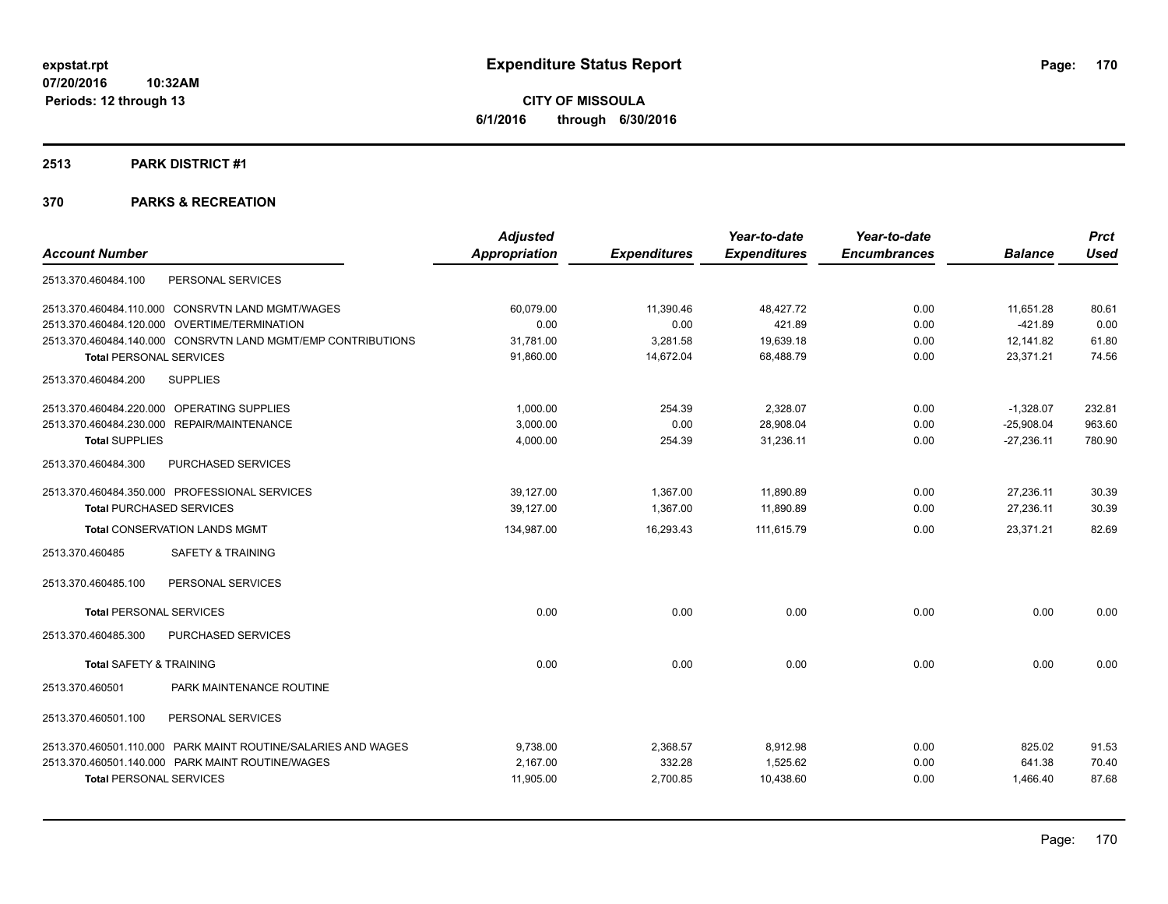**CITY OF MISSOULA 6/1/2016 through 6/30/2016**

### **2513 PARK DISTRICT #1**

|                                                               | <b>Adjusted</b>      |                     | Year-to-date        | Year-to-date        |                | <b>Prct</b> |
|---------------------------------------------------------------|----------------------|---------------------|---------------------|---------------------|----------------|-------------|
| <b>Account Number</b>                                         | <b>Appropriation</b> | <b>Expenditures</b> | <b>Expenditures</b> | <b>Encumbrances</b> | <b>Balance</b> | <b>Used</b> |
| PERSONAL SERVICES<br>2513.370.460484.100                      |                      |                     |                     |                     |                |             |
| 2513.370.460484.110.000 CONSRVTN LAND MGMT/WAGES              | 60,079.00            | 11,390.46           | 48,427.72           | 0.00                | 11,651.28      | 80.61       |
| 2513.370.460484.120.000 OVERTIME/TERMINATION                  | 0.00                 | 0.00                | 421.89              | 0.00                | $-421.89$      | 0.00        |
| 2513.370.460484.140.000 CONSRVTN LAND MGMT/EMP CONTRIBUTIONS  | 31,781.00            | 3,281.58            | 19,639.18           | 0.00                | 12,141.82      | 61.80       |
| <b>Total PERSONAL SERVICES</b>                                | 91,860.00            | 14,672.04           | 68,488.79           | 0.00                | 23,371.21      | 74.56       |
| <b>SUPPLIES</b><br>2513.370.460484.200                        |                      |                     |                     |                     |                |             |
| 2513.370.460484.220.000 OPERATING SUPPLIES                    | 1,000.00             | 254.39              | 2,328.07            | 0.00                | $-1,328.07$    | 232.81      |
| 2513.370.460484.230.000 REPAIR/MAINTENANCE                    | 3,000.00             | 0.00                | 28,908.04           | 0.00                | $-25,908.04$   | 963.60      |
| <b>Total SUPPLIES</b>                                         | 4,000.00             | 254.39              | 31,236.11           | 0.00                | $-27,236.11$   | 780.90      |
| PURCHASED SERVICES<br>2513.370.460484.300                     |                      |                     |                     |                     |                |             |
| 2513.370.460484.350.000 PROFESSIONAL SERVICES                 | 39,127.00            | 1.367.00            | 11,890.89           | 0.00                | 27,236.11      | 30.39       |
| <b>Total PURCHASED SERVICES</b>                               | 39,127.00            | 1,367.00            | 11,890.89           | 0.00                | 27,236.11      | 30.39       |
| <b>Total CONSERVATION LANDS MGMT</b>                          | 134,987.00           | 16,293.43           | 111,615.79          | 0.00                | 23,371.21      | 82.69       |
| 2513.370.460485<br><b>SAFETY &amp; TRAINING</b>               |                      |                     |                     |                     |                |             |
| PERSONAL SERVICES<br>2513.370.460485.100                      |                      |                     |                     |                     |                |             |
| <b>Total PERSONAL SERVICES</b>                                | 0.00                 | 0.00                | 0.00                | 0.00                | 0.00           | 0.00        |
| 2513.370.460485.300<br>PURCHASED SERVICES                     |                      |                     |                     |                     |                |             |
| <b>Total SAFETY &amp; TRAINING</b>                            | 0.00                 | 0.00                | 0.00                | 0.00                | 0.00           | 0.00        |
| PARK MAINTENANCE ROUTINE<br>2513.370.460501                   |                      |                     |                     |                     |                |             |
| 2513.370.460501.100<br>PERSONAL SERVICES                      |                      |                     |                     |                     |                |             |
| 2513.370.460501.110.000 PARK MAINT ROUTINE/SALARIES AND WAGES | 9,738.00             | 2,368.57            | 8,912.98            | 0.00                | 825.02         | 91.53       |
| 2513.370.460501.140.000 PARK MAINT ROUTINE/WAGES              | 2.167.00             | 332.28              | 1,525.62            | 0.00                | 641.38         | 70.40       |
| <b>Total PERSONAL SERVICES</b>                                | 11,905.00            | 2,700.85            | 10,438.60           | 0.00                | 1,466.40       | 87.68       |
|                                                               |                      |                     |                     |                     |                |             |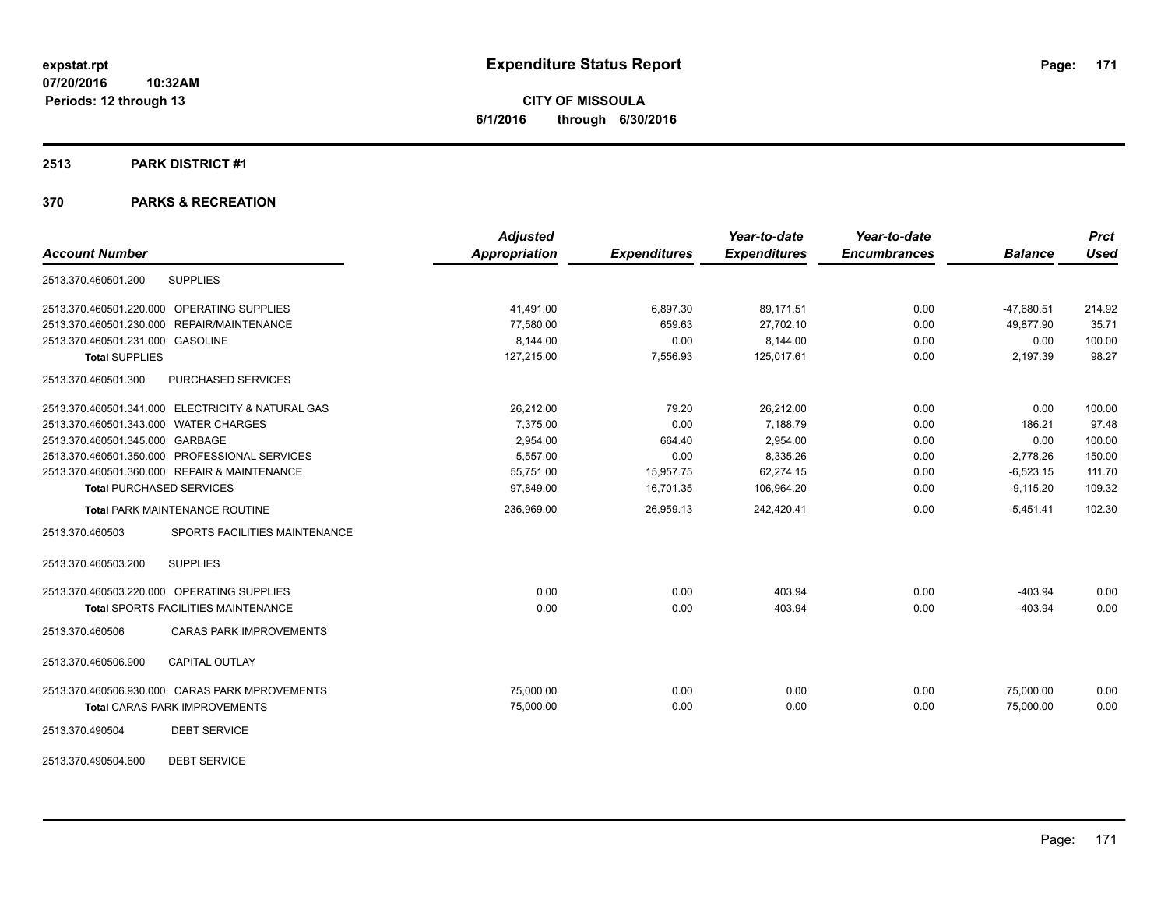**CITY OF MISSOULA 6/1/2016 through 6/30/2016**

### **2513 PARK DISTRICT #1**

# **370 PARKS & RECREATION**

|                                                   | <b>Adjusted</b>      |                     | Year-to-date        | Year-to-date        |                | <b>Prct</b> |
|---------------------------------------------------|----------------------|---------------------|---------------------|---------------------|----------------|-------------|
| <b>Account Number</b>                             | <b>Appropriation</b> | <b>Expenditures</b> | <b>Expenditures</b> | <b>Encumbrances</b> | <b>Balance</b> | <b>Used</b> |
| <b>SUPPLIES</b><br>2513.370.460501.200            |                      |                     |                     |                     |                |             |
| 2513.370.460501.220.000 OPERATING SUPPLIES        | 41.491.00            | 6.897.30            | 89.171.51           | 0.00                | $-47,680.51$   | 214.92      |
| 2513.370.460501.230.000 REPAIR/MAINTENANCE        | 77,580.00            | 659.63              | 27,702.10           | 0.00                | 49,877.90      | 35.71       |
| 2513.370.460501.231.000 GASOLINE                  | 8,144.00             | 0.00                | 8,144.00            | 0.00                | 0.00           | 100.00      |
| <b>Total SUPPLIES</b>                             | 127,215.00           | 7,556.93            | 125,017.61          | 0.00                | 2,197.39       | 98.27       |
| PURCHASED SERVICES<br>2513.370.460501.300         |                      |                     |                     |                     |                |             |
| 2513.370.460501.341.000 ELECTRICITY & NATURAL GAS | 26,212.00            | 79.20               | 26,212.00           | 0.00                | 0.00           | 100.00      |
| 2513.370.460501.343.000 WATER CHARGES             | 7,375.00             | 0.00                | 7,188.79            | 0.00                | 186.21         | 97.48       |
| 2513.370.460501.345.000 GARBAGE                   | 2.954.00             | 664.40              | 2,954.00            | 0.00                | 0.00           | 100.00      |
| 2513.370.460501.350.000 PROFESSIONAL SERVICES     | 5,557.00             | 0.00                | 8,335.26            | 0.00                | $-2,778.26$    | 150.00      |
| 2513.370.460501.360.000 REPAIR & MAINTENANCE      | 55,751.00            | 15,957.75           | 62,274.15           | 0.00                | $-6,523.15$    | 111.70      |
| <b>Total PURCHASED SERVICES</b>                   | 97,849.00            | 16,701.35           | 106,964.20          | 0.00                | $-9,115.20$    | 109.32      |
| <b>Total PARK MAINTENANCE ROUTINE</b>             | 236,969.00           | 26,959.13           | 242,420.41          | 0.00                | $-5,451.41$    | 102.30      |
| 2513.370.460503<br>SPORTS FACILITIES MAINTENANCE  |                      |                     |                     |                     |                |             |
| 2513.370.460503.200<br><b>SUPPLIES</b>            |                      |                     |                     |                     |                |             |
| 2513.370.460503.220.000 OPERATING SUPPLIES        | 0.00                 | 0.00                | 403.94              | 0.00                | $-403.94$      | 0.00        |
| Total SPORTS FACILITIES MAINTENANCE               | 0.00                 | 0.00                | 403.94              | 0.00                | $-403.94$      | 0.00        |
| 2513.370.460506<br><b>CARAS PARK IMPROVEMENTS</b> |                      |                     |                     |                     |                |             |
| 2513.370.460506.900<br><b>CAPITAL OUTLAY</b>      |                      |                     |                     |                     |                |             |
| 2513.370.460506.930.000 CARAS PARK MPROVEMENTS    | 75,000.00            | 0.00                | 0.00                | 0.00                | 75,000.00      | 0.00        |
| <b>Total CARAS PARK IMPROVEMENTS</b>              | 75,000.00            | 0.00                | 0.00                | 0.00                | 75.000.00      | 0.00        |
| <b>DEBT SERVICE</b><br>2513.370.490504            |                      |                     |                     |                     |                |             |
|                                                   |                      |                     |                     |                     |                |             |

2513.370.490504.600 DEBT SERVICE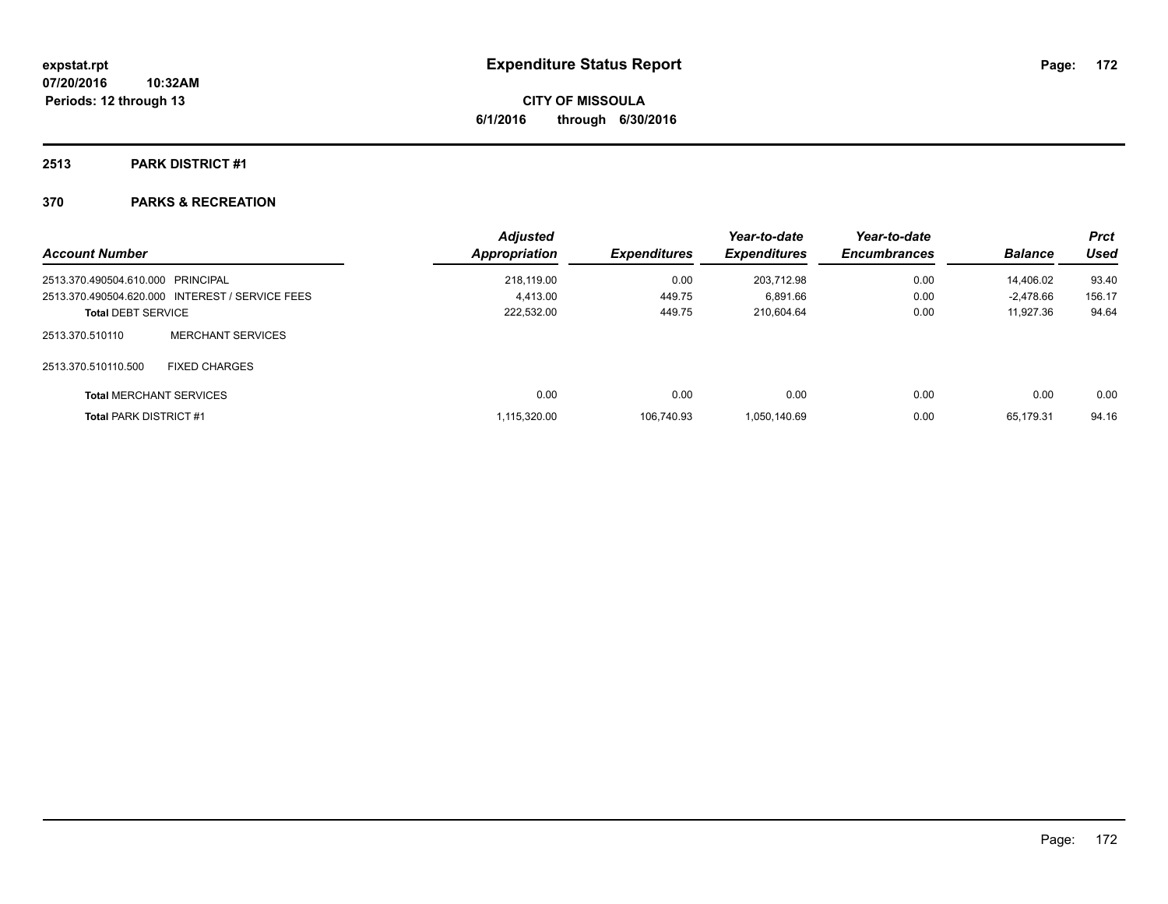# **2513 PARK DISTRICT #1**

| <b>Account Number</b>             |                                                 | <b>Adjusted</b><br><b>Appropriation</b> | <b>Expenditures</b> | Year-to-date<br><b>Expenditures</b> | Year-to-date<br><b>Encumbrances</b> | <b>Balance</b> | Prct<br>Used |
|-----------------------------------|-------------------------------------------------|-----------------------------------------|---------------------|-------------------------------------|-------------------------------------|----------------|--------------|
| 2513.370.490504.610.000 PRINCIPAL |                                                 | 218.119.00                              | 0.00                | 203.712.98                          | 0.00                                | 14.406.02      | 93.40        |
|                                   | 2513.370.490504.620.000 INTEREST / SERVICE FEES | 4.413.00                                | 449.75              | 6,891.66                            | 0.00                                | -2.478.66      | 156.17       |
| <b>Total DEBT SERVICE</b>         |                                                 | 222,532.00                              | 449.75              | 210.604.64                          | 0.00                                | 11,927.36      | 94.64        |
| 2513.370.510110                   | MERCHANT SERVICES                               |                                         |                     |                                     |                                     |                |              |
| 2513.370.510110.500               | <b>FIXED CHARGES</b>                            |                                         |                     |                                     |                                     |                |              |
| <b>Total MERCHANT SERVICES</b>    |                                                 | 0.00                                    | 0.00                | 0.00                                | 0.00                                | 0.00           | 0.00         |
| <b>Total PARK DISTRICT #1</b>     |                                                 | 1.115.320.00                            | 106.740.93          | 1.050.140.69                        | 0.00                                | 65.179.31      | 94.16        |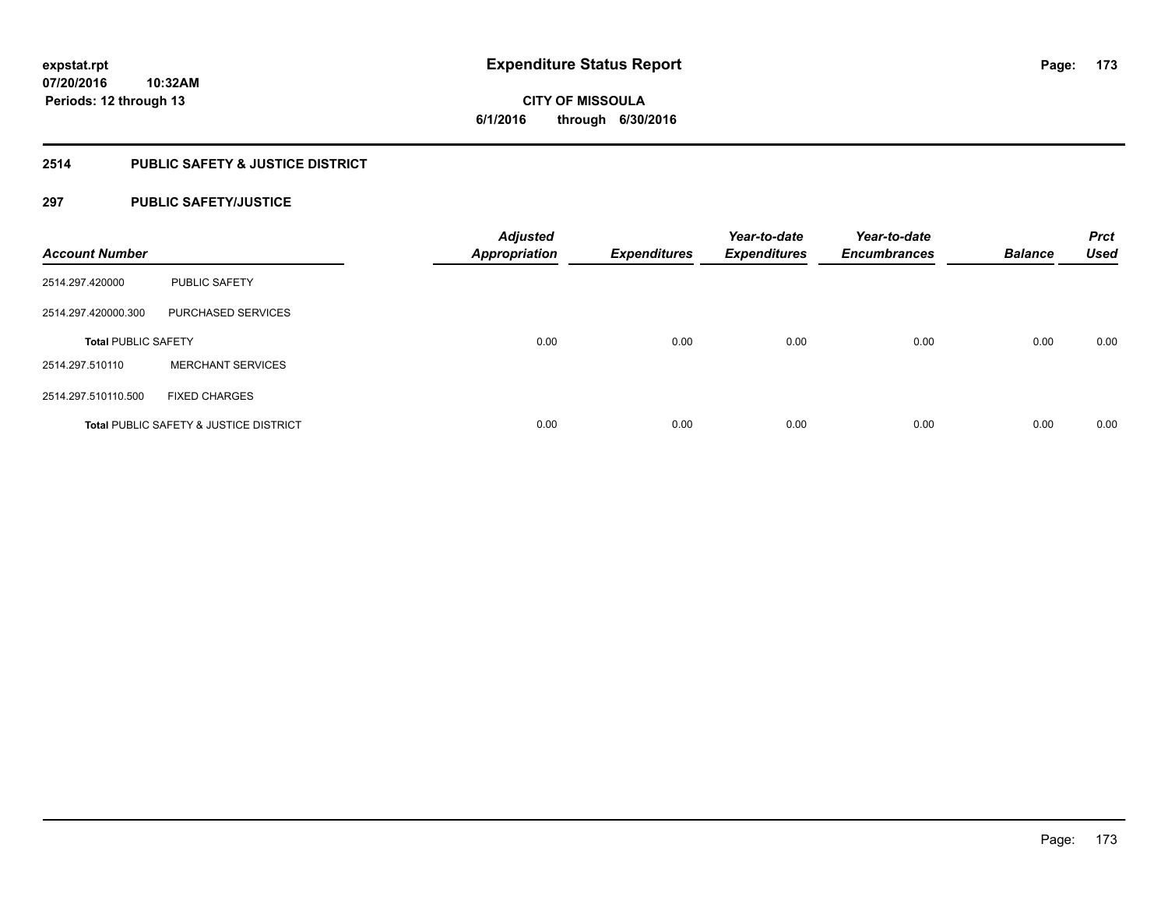# **2514 PUBLIC SAFETY & JUSTICE DISTRICT**

# **297 PUBLIC SAFETY/JUSTICE**

| <b>Account Number</b>      |                                        | <b>Adjusted</b><br><b>Appropriation</b> | <b>Expenditures</b> | Year-to-date<br><b>Expenditures</b> | Year-to-date<br><b>Encumbrances</b> | <b>Balance</b> | <b>Prct</b><br><b>Used</b> |
|----------------------------|----------------------------------------|-----------------------------------------|---------------------|-------------------------------------|-------------------------------------|----------------|----------------------------|
| 2514.297.420000            | <b>PUBLIC SAFETY</b>                   |                                         |                     |                                     |                                     |                |                            |
| 2514.297.420000.300        | PURCHASED SERVICES                     |                                         |                     |                                     |                                     |                |                            |
| <b>Total PUBLIC SAFETY</b> |                                        | 0.00                                    | 0.00                | 0.00                                | 0.00                                | 0.00           | 0.00                       |
| 2514.297.510110            | <b>MERCHANT SERVICES</b>               |                                         |                     |                                     |                                     |                |                            |
| 2514.297.510110.500        | <b>FIXED CHARGES</b>                   |                                         |                     |                                     |                                     |                |                            |
|                            | Total PUBLIC SAFETY & JUSTICE DISTRICT | 0.00                                    | 0.00                | 0.00                                | 0.00                                | 0.00           | 0.00                       |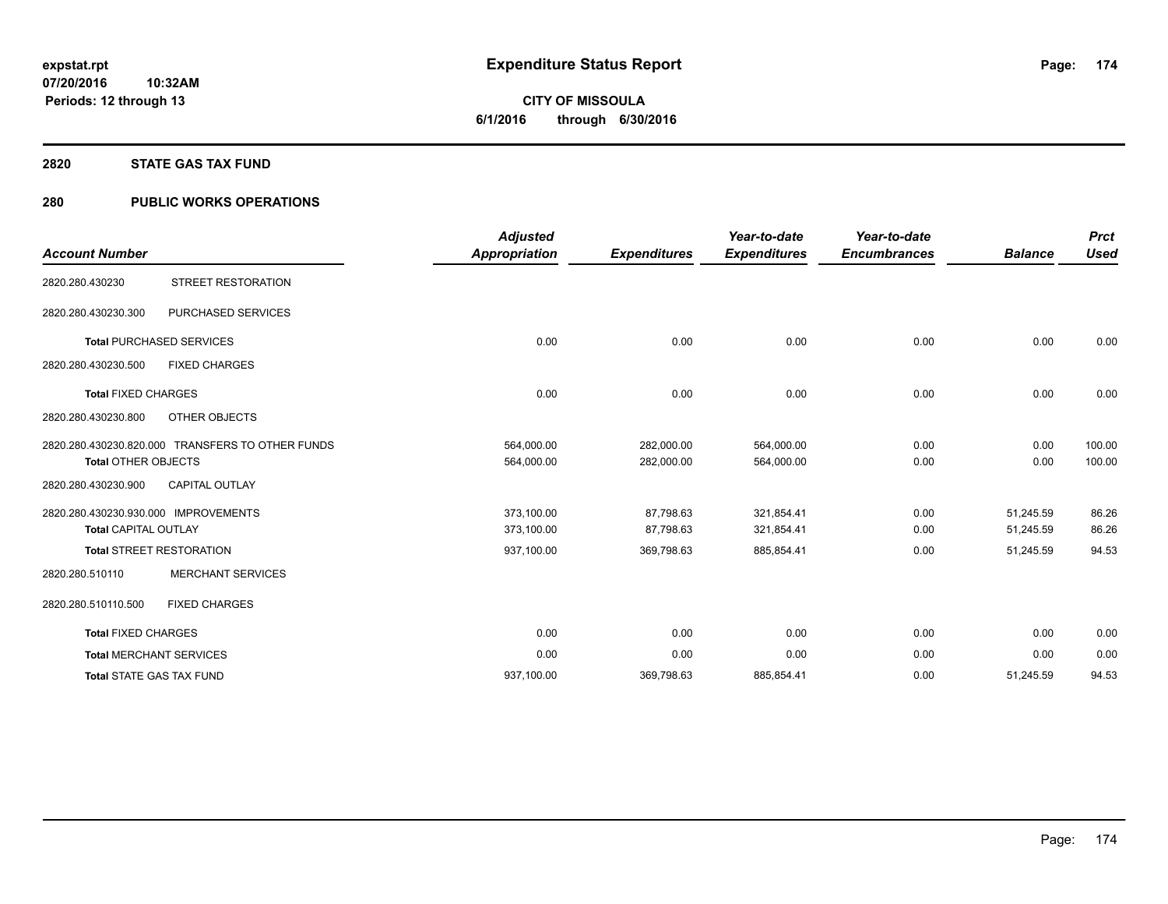# **2820 STATE GAS TAX FUND**

# **280 PUBLIC WORKS OPERATIONS**

| <b>Account Number</b>                                               |                                                  | <b>Adjusted</b><br><b>Appropriation</b> | <b>Expenditures</b>      | Year-to-date<br><b>Expenditures</b> | Year-to-date<br><b>Encumbrances</b> | <b>Balance</b>         | <b>Prct</b><br><b>Used</b> |
|---------------------------------------------------------------------|--------------------------------------------------|-----------------------------------------|--------------------------|-------------------------------------|-------------------------------------|------------------------|----------------------------|
| 2820.280.430230                                                     | <b>STREET RESTORATION</b>                        |                                         |                          |                                     |                                     |                        |                            |
| 2820.280.430230.300                                                 | PURCHASED SERVICES                               |                                         |                          |                                     |                                     |                        |                            |
|                                                                     | <b>Total PURCHASED SERVICES</b>                  | 0.00                                    | 0.00                     | 0.00                                | 0.00                                | 0.00                   | 0.00                       |
| 2820.280.430230.500                                                 | <b>FIXED CHARGES</b>                             |                                         |                          |                                     |                                     |                        |                            |
| <b>Total FIXED CHARGES</b>                                          |                                                  | 0.00                                    | 0.00                     | 0.00                                | 0.00                                | 0.00                   | 0.00                       |
| 2820.280.430230.800                                                 | OTHER OBJECTS                                    |                                         |                          |                                     |                                     |                        |                            |
| <b>Total OTHER OBJECTS</b>                                          | 2820.280.430230.820.000 TRANSFERS TO OTHER FUNDS | 564,000.00<br>564,000.00                | 282,000.00<br>282,000.00 | 564,000.00<br>564,000.00            | 0.00<br>0.00                        | 0.00<br>0.00           | 100.00<br>100.00           |
| 2820.280.430230.900                                                 | <b>CAPITAL OUTLAY</b>                            |                                         |                          |                                     |                                     |                        |                            |
| 2820.280.430230.930.000 IMPROVEMENTS<br><b>Total CAPITAL OUTLAY</b> |                                                  | 373,100.00<br>373,100.00                | 87,798.63<br>87,798.63   | 321,854.41<br>321,854.41            | 0.00<br>0.00                        | 51,245.59<br>51,245.59 | 86.26<br>86.26             |
|                                                                     | <b>Total STREET RESTORATION</b>                  | 937,100.00                              | 369,798.63               | 885,854.41                          | 0.00                                | 51,245.59              | 94.53                      |
| 2820.280.510110                                                     | <b>MERCHANT SERVICES</b>                         |                                         |                          |                                     |                                     |                        |                            |
| 2820.280.510110.500                                                 | <b>FIXED CHARGES</b>                             |                                         |                          |                                     |                                     |                        |                            |
| <b>Total FIXED CHARGES</b>                                          |                                                  | 0.00                                    | 0.00                     | 0.00                                | 0.00                                | 0.00                   | 0.00                       |
|                                                                     | <b>Total MERCHANT SERVICES</b>                   | 0.00                                    | 0.00                     | 0.00                                | 0.00                                | 0.00                   | 0.00                       |
|                                                                     | <b>Total STATE GAS TAX FUND</b>                  | 937,100.00                              | 369,798.63               | 885,854.41                          | 0.00                                | 51,245.59              | 94.53                      |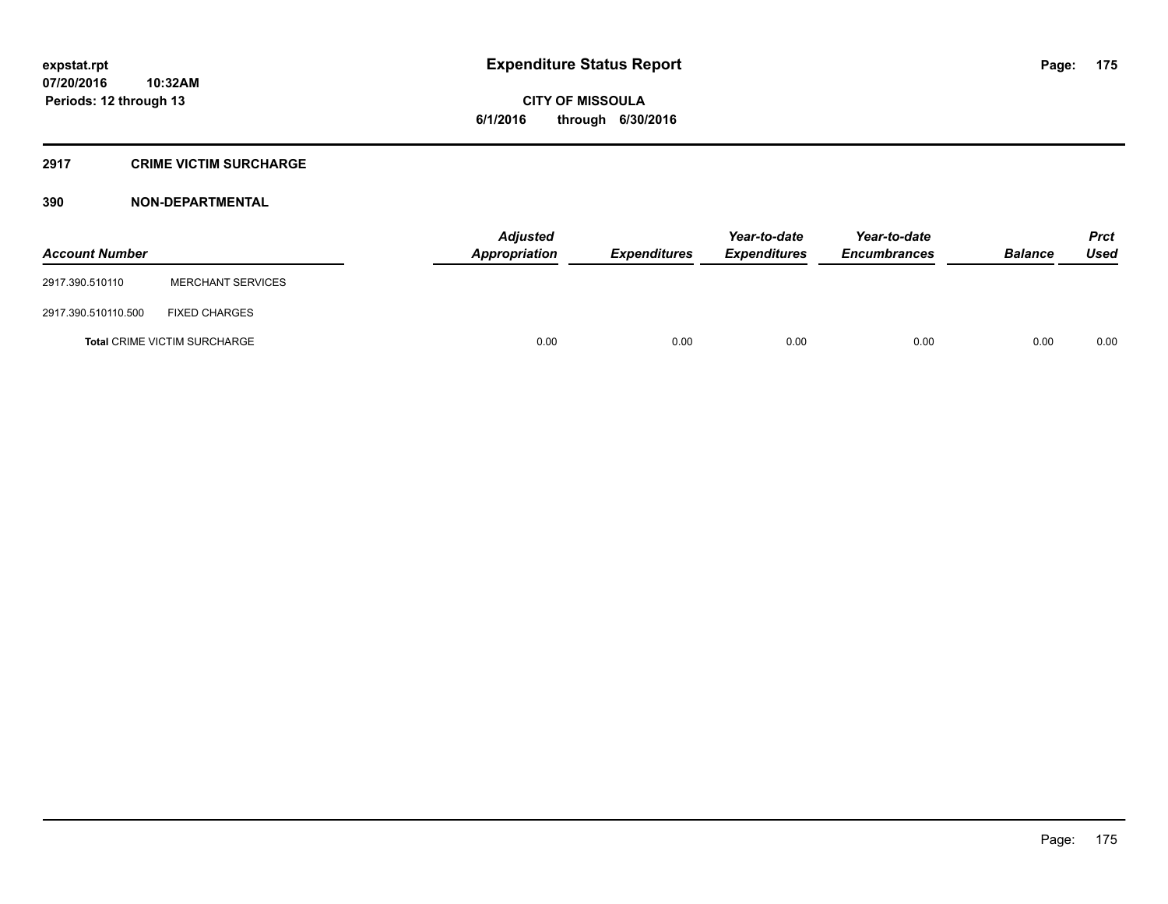# **2917 CRIME VICTIM SURCHARGE**

| <b>Account Number</b> |                                     | <b>Adjusted</b><br>Appropriation | <b>Expenditures</b> | Year-to-date<br><b>Expenditures</b> | Year-to-date<br><b>Encumbrances</b> | <b>Balance</b> | <b>Prct</b><br>Used |
|-----------------------|-------------------------------------|----------------------------------|---------------------|-------------------------------------|-------------------------------------|----------------|---------------------|
| 2917.390.510110       | <b>MERCHANT SERVICES</b>            |                                  |                     |                                     |                                     |                |                     |
| 2917.390.510110.500   | <b>FIXED CHARGES</b>                |                                  |                     |                                     |                                     |                |                     |
|                       | <b>Total CRIME VICTIM SURCHARGE</b> | 0.00                             | 0.00                | 0.00                                | 0.00                                | 0.00           | 0.00                |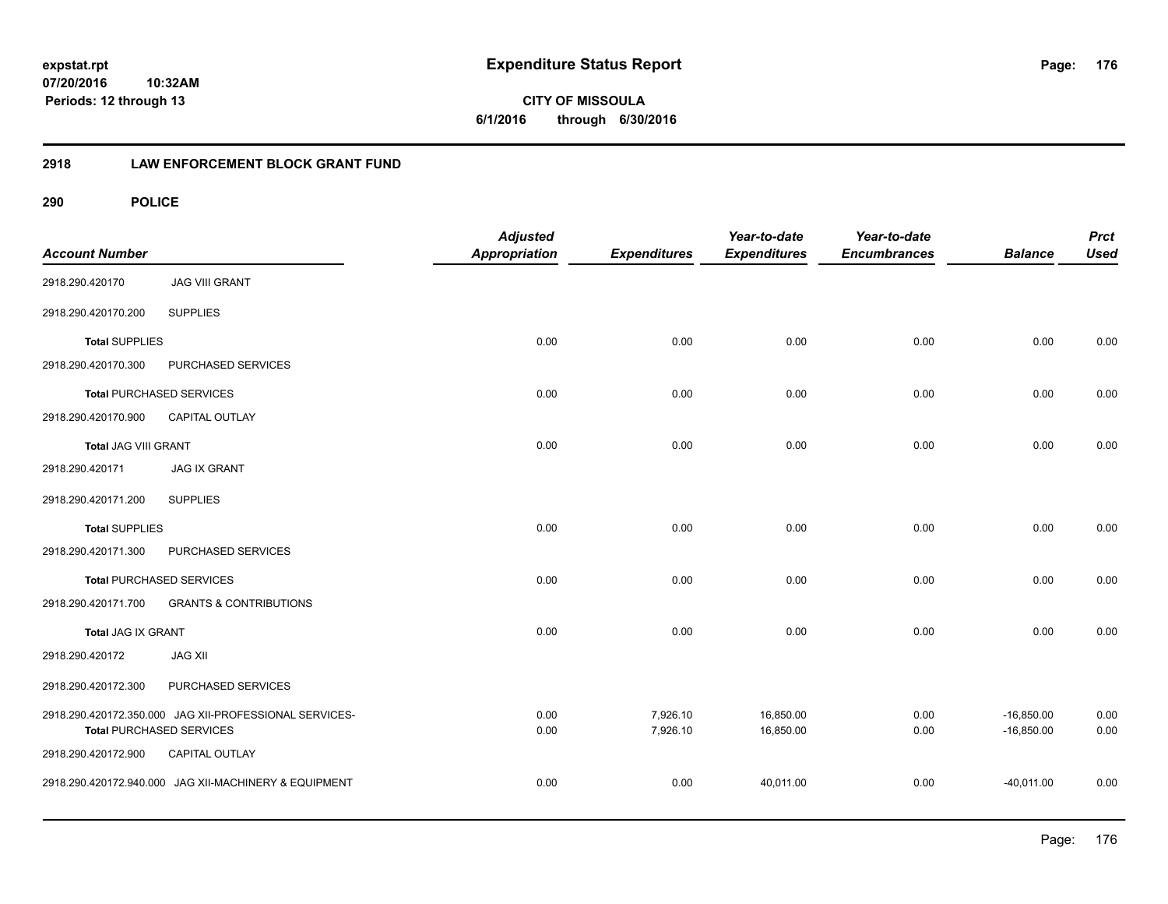**CITY OF MISSOULA 6/1/2016 through 6/30/2016**

# **2918 LAW ENFORCEMENT BLOCK GRANT FUND**

| <b>Account Number</b>           |                                                                                           | <b>Adjusted</b><br><b>Appropriation</b> | <b>Expenditures</b>  | Year-to-date<br><b>Expenditures</b> | Year-to-date<br><b>Encumbrances</b> | <b>Balance</b>               | <b>Prct</b><br><b>Used</b> |
|---------------------------------|-------------------------------------------------------------------------------------------|-----------------------------------------|----------------------|-------------------------------------|-------------------------------------|------------------------------|----------------------------|
| 2918.290.420170                 | <b>JAG VIII GRANT</b>                                                                     |                                         |                      |                                     |                                     |                              |                            |
| 2918.290.420170.200             | <b>SUPPLIES</b>                                                                           |                                         |                      |                                     |                                     |                              |                            |
| <b>Total SUPPLIES</b>           |                                                                                           | 0.00                                    | 0.00                 | 0.00                                | 0.00                                | 0.00                         | 0.00                       |
| 2918.290.420170.300             | PURCHASED SERVICES                                                                        |                                         |                      |                                     |                                     |                              |                            |
|                                 | <b>Total PURCHASED SERVICES</b>                                                           | 0.00                                    | 0.00                 | 0.00                                | 0.00                                | 0.00                         | 0.00                       |
| 2918.290.420170.900             | <b>CAPITAL OUTLAY</b>                                                                     |                                         |                      |                                     |                                     |                              |                            |
| Total JAG VIII GRANT            |                                                                                           | 0.00                                    | 0.00                 | 0.00                                | 0.00                                | 0.00                         | 0.00                       |
| 2918.290.420171                 | <b>JAG IX GRANT</b>                                                                       |                                         |                      |                                     |                                     |                              |                            |
| 2918.290.420171.200             | <b>SUPPLIES</b>                                                                           |                                         |                      |                                     |                                     |                              |                            |
| <b>Total SUPPLIES</b>           |                                                                                           | 0.00                                    | 0.00                 | 0.00                                | 0.00                                | 0.00                         | 0.00                       |
| 2918.290.420171.300             | PURCHASED SERVICES                                                                        |                                         |                      |                                     |                                     |                              |                            |
| <b>Total PURCHASED SERVICES</b> |                                                                                           | 0.00                                    | 0.00                 | 0.00                                | 0.00                                | 0.00                         | 0.00                       |
| 2918.290.420171.700             | <b>GRANTS &amp; CONTRIBUTIONS</b>                                                         |                                         |                      |                                     |                                     |                              |                            |
| Total JAG IX GRANT              |                                                                                           | 0.00                                    | 0.00                 | 0.00                                | 0.00                                | 0.00                         | 0.00                       |
| 2918.290.420172                 | <b>JAG XII</b>                                                                            |                                         |                      |                                     |                                     |                              |                            |
| 2918.290.420172.300             | PURCHASED SERVICES                                                                        |                                         |                      |                                     |                                     |                              |                            |
|                                 | 2918.290.420172.350.000 JAG XII-PROFESSIONAL SERVICES-<br><b>Total PURCHASED SERVICES</b> | 0.00<br>0.00                            | 7,926.10<br>7,926.10 | 16,850.00<br>16,850.00              | 0.00<br>0.00                        | $-16,850.00$<br>$-16,850.00$ | 0.00<br>0.00               |
| 2918.290.420172.900             | <b>CAPITAL OUTLAY</b>                                                                     |                                         |                      |                                     |                                     |                              |                            |
|                                 | 2918.290.420172.940.000 JAG XII-MACHINERY & EQUIPMENT                                     | 0.00                                    | 0.00                 | 40,011.00                           | 0.00                                | $-40,011.00$                 | 0.00                       |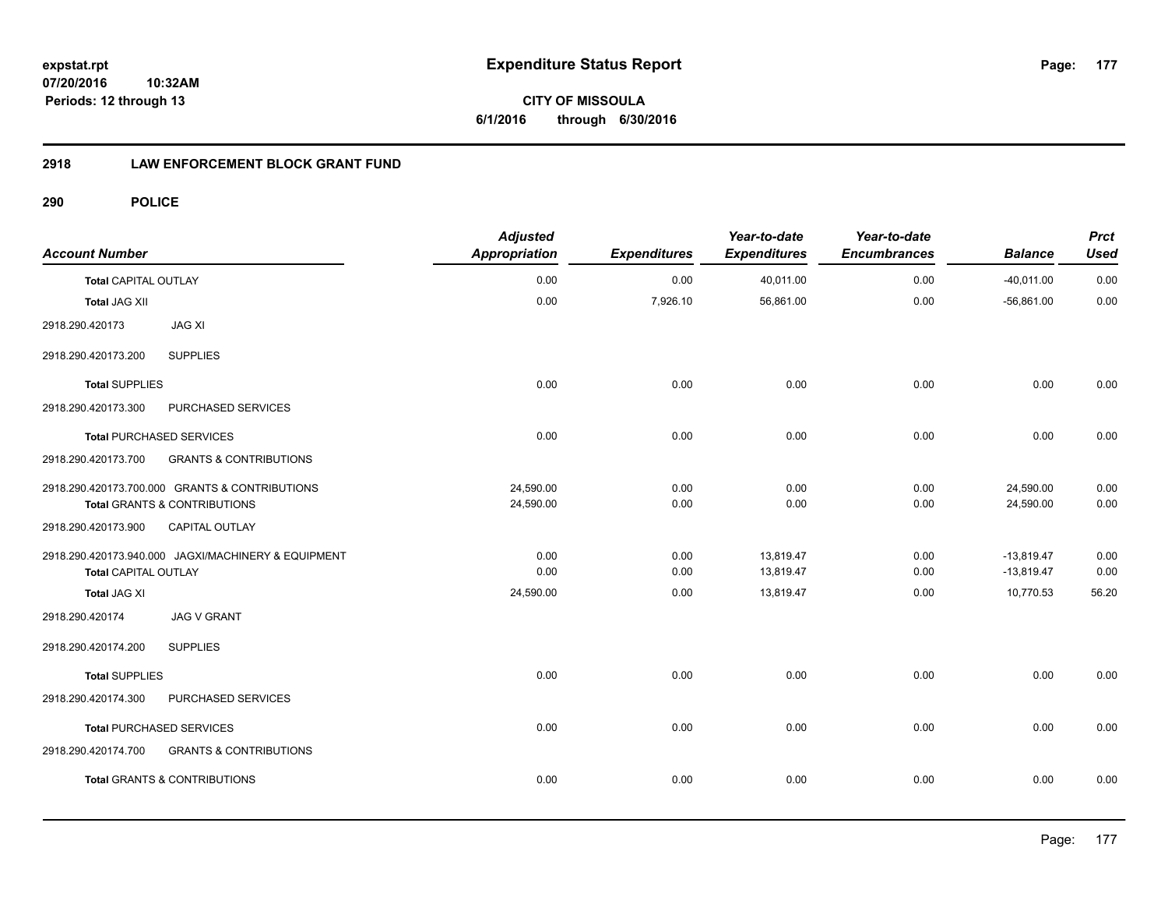**CITY OF MISSOULA 6/1/2016 through 6/30/2016**

# **2918 LAW ENFORCEMENT BLOCK GRANT FUND**

| <b>Account Number</b>       |                                                                                           | <b>Adjusted</b><br><b>Appropriation</b> | <b>Expenditures</b> | Year-to-date<br><b>Expenditures</b> | Year-to-date<br><b>Encumbrances</b> | <b>Balance</b>               | <b>Prct</b><br><b>Used</b> |
|-----------------------------|-------------------------------------------------------------------------------------------|-----------------------------------------|---------------------|-------------------------------------|-------------------------------------|------------------------------|----------------------------|
| <b>Total CAPITAL OUTLAY</b> |                                                                                           | 0.00                                    | 0.00                | 40,011.00                           | 0.00                                | $-40,011.00$                 | 0.00                       |
| <b>Total JAG XII</b>        |                                                                                           | 0.00                                    | 7,926.10            | 56,861.00                           | 0.00                                | $-56,861.00$                 | 0.00                       |
| 2918.290.420173             | <b>JAG XI</b>                                                                             |                                         |                     |                                     |                                     |                              |                            |
| 2918.290.420173.200         | <b>SUPPLIES</b>                                                                           |                                         |                     |                                     |                                     |                              |                            |
| <b>Total SUPPLIES</b>       |                                                                                           | 0.00                                    | 0.00                | 0.00                                | 0.00                                | 0.00                         | 0.00                       |
| 2918.290.420173.300         | PURCHASED SERVICES                                                                        |                                         |                     |                                     |                                     |                              |                            |
|                             | <b>Total PURCHASED SERVICES</b>                                                           | 0.00                                    | 0.00                | 0.00                                | 0.00                                | 0.00                         | 0.00                       |
| 2918.290.420173.700         | <b>GRANTS &amp; CONTRIBUTIONS</b>                                                         |                                         |                     |                                     |                                     |                              |                            |
|                             | 2918.290.420173.700.000 GRANTS & CONTRIBUTIONS<br><b>Total GRANTS &amp; CONTRIBUTIONS</b> | 24,590.00<br>24,590.00                  | 0.00<br>0.00        | 0.00<br>0.00                        | 0.00<br>0.00                        | 24,590.00<br>24,590.00       | 0.00<br>0.00               |
| 2918.290.420173.900         | CAPITAL OUTLAY                                                                            |                                         |                     |                                     |                                     |                              |                            |
| <b>Total CAPITAL OUTLAY</b> | 2918.290.420173.940.000 JAGXI/MACHINERY & EQUIPMENT                                       | 0.00<br>0.00                            | 0.00<br>0.00        | 13,819.47<br>13,819.47              | 0.00<br>0.00                        | $-13,819.47$<br>$-13,819.47$ | 0.00<br>0.00               |
| <b>Total JAG XI</b>         |                                                                                           | 24,590.00                               | 0.00                | 13,819.47                           | 0.00                                | 10,770.53                    | 56.20                      |
| 2918.290.420174             | <b>JAG V GRANT</b>                                                                        |                                         |                     |                                     |                                     |                              |                            |
| 2918.290.420174.200         | <b>SUPPLIES</b>                                                                           |                                         |                     |                                     |                                     |                              |                            |
| <b>Total SUPPLIES</b>       |                                                                                           | 0.00                                    | 0.00                | 0.00                                | 0.00                                | 0.00                         | 0.00                       |
| 2918.290.420174.300         | PURCHASED SERVICES                                                                        |                                         |                     |                                     |                                     |                              |                            |
|                             | <b>Total PURCHASED SERVICES</b>                                                           | 0.00                                    | 0.00                | 0.00                                | 0.00                                | 0.00                         | 0.00                       |
| 2918.290.420174.700         | <b>GRANTS &amp; CONTRIBUTIONS</b>                                                         |                                         |                     |                                     |                                     |                              |                            |
|                             | <b>Total GRANTS &amp; CONTRIBUTIONS</b>                                                   | 0.00                                    | 0.00                | 0.00                                | 0.00                                | 0.00                         | 0.00                       |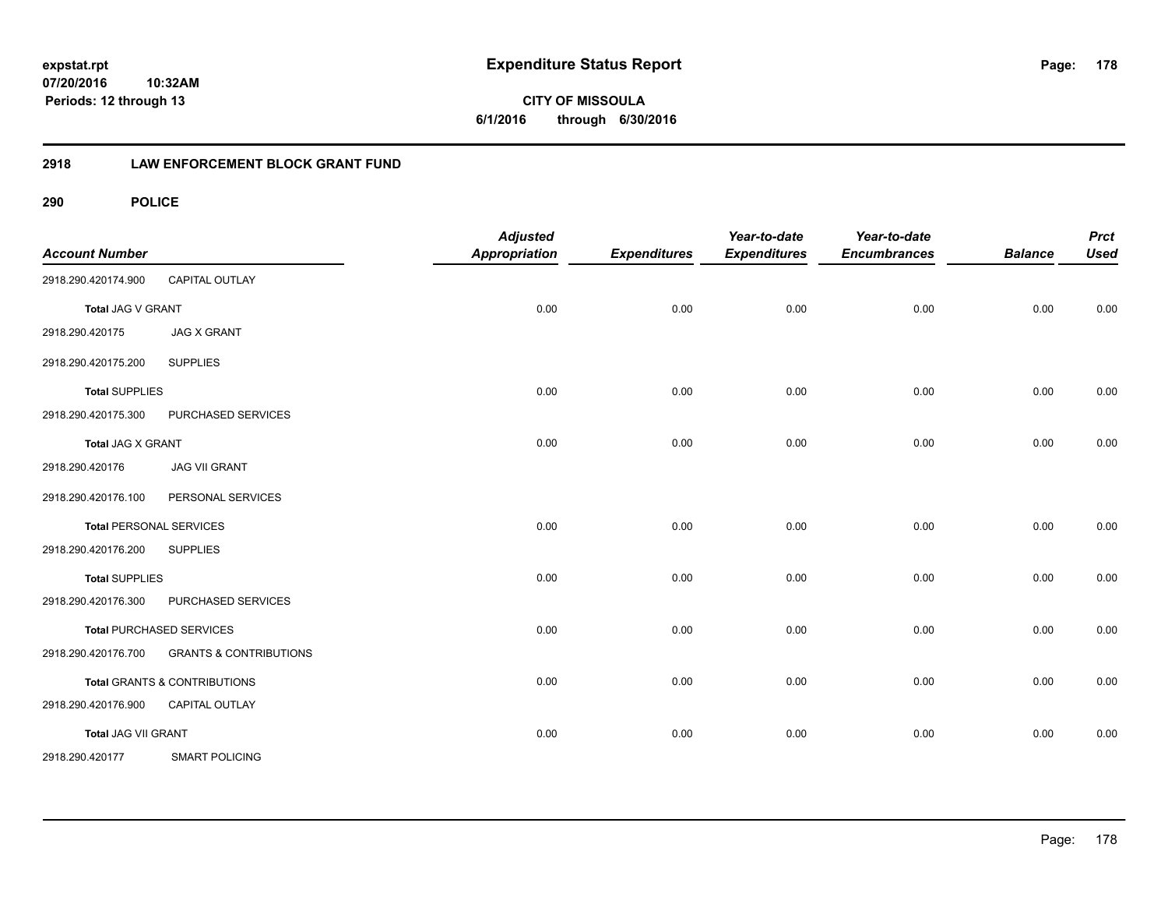**CITY OF MISSOULA 6/1/2016 through 6/30/2016**

# **2918 LAW ENFORCEMENT BLOCK GRANT FUND**

| <b>Account Number</b> |                                   | <b>Adjusted</b><br><b>Appropriation</b> | <b>Expenditures</b> | Year-to-date<br><b>Expenditures</b> | Year-to-date<br><b>Encumbrances</b> | <b>Balance</b> | <b>Prct</b><br><b>Used</b> |
|-----------------------|-----------------------------------|-----------------------------------------|---------------------|-------------------------------------|-------------------------------------|----------------|----------------------------|
| 2918.290.420174.900   | CAPITAL OUTLAY                    |                                         |                     |                                     |                                     |                |                            |
| Total JAG V GRANT     |                                   | 0.00                                    | 0.00                | 0.00                                | 0.00                                | 0.00           | 0.00                       |
| 2918.290.420175       | <b>JAG X GRANT</b>                |                                         |                     |                                     |                                     |                |                            |
| 2918.290.420175.200   | <b>SUPPLIES</b>                   |                                         |                     |                                     |                                     |                |                            |
| <b>Total SUPPLIES</b> |                                   | 0.00                                    | 0.00                | 0.00                                | 0.00                                | 0.00           | 0.00                       |
| 2918.290.420175.300   | PURCHASED SERVICES                |                                         |                     |                                     |                                     |                |                            |
| Total JAG X GRANT     |                                   | 0.00                                    | 0.00                | 0.00                                | 0.00                                | 0.00           | 0.00                       |
| 2918.290.420176       | <b>JAG VII GRANT</b>              |                                         |                     |                                     |                                     |                |                            |
| 2918.290.420176.100   | PERSONAL SERVICES                 |                                         |                     |                                     |                                     |                |                            |
|                       | <b>Total PERSONAL SERVICES</b>    | 0.00                                    | 0.00                | 0.00                                | 0.00                                | 0.00           | 0.00                       |
| 2918.290.420176.200   | <b>SUPPLIES</b>                   |                                         |                     |                                     |                                     |                |                            |
| <b>Total SUPPLIES</b> |                                   | 0.00                                    | 0.00                | 0.00                                | 0.00                                | 0.00           | 0.00                       |
| 2918.290.420176.300   | PURCHASED SERVICES                |                                         |                     |                                     |                                     |                |                            |
|                       | Total PURCHASED SERVICES          | 0.00                                    | 0.00                | 0.00                                | 0.00                                | 0.00           | 0.00                       |
| 2918.290.420176.700   | <b>GRANTS &amp; CONTRIBUTIONS</b> |                                         |                     |                                     |                                     |                |                            |
|                       | Total GRANTS & CONTRIBUTIONS      | 0.00                                    | 0.00                | 0.00                                | 0.00                                | 0.00           | 0.00                       |
| 2918.290.420176.900   | CAPITAL OUTLAY                    |                                         |                     |                                     |                                     |                |                            |
| Total JAG VII GRANT   |                                   | 0.00                                    | 0.00                | 0.00                                | 0.00                                | 0.00           | 0.00                       |
| 2918.290.420177       | <b>SMART POLICING</b>             |                                         |                     |                                     |                                     |                |                            |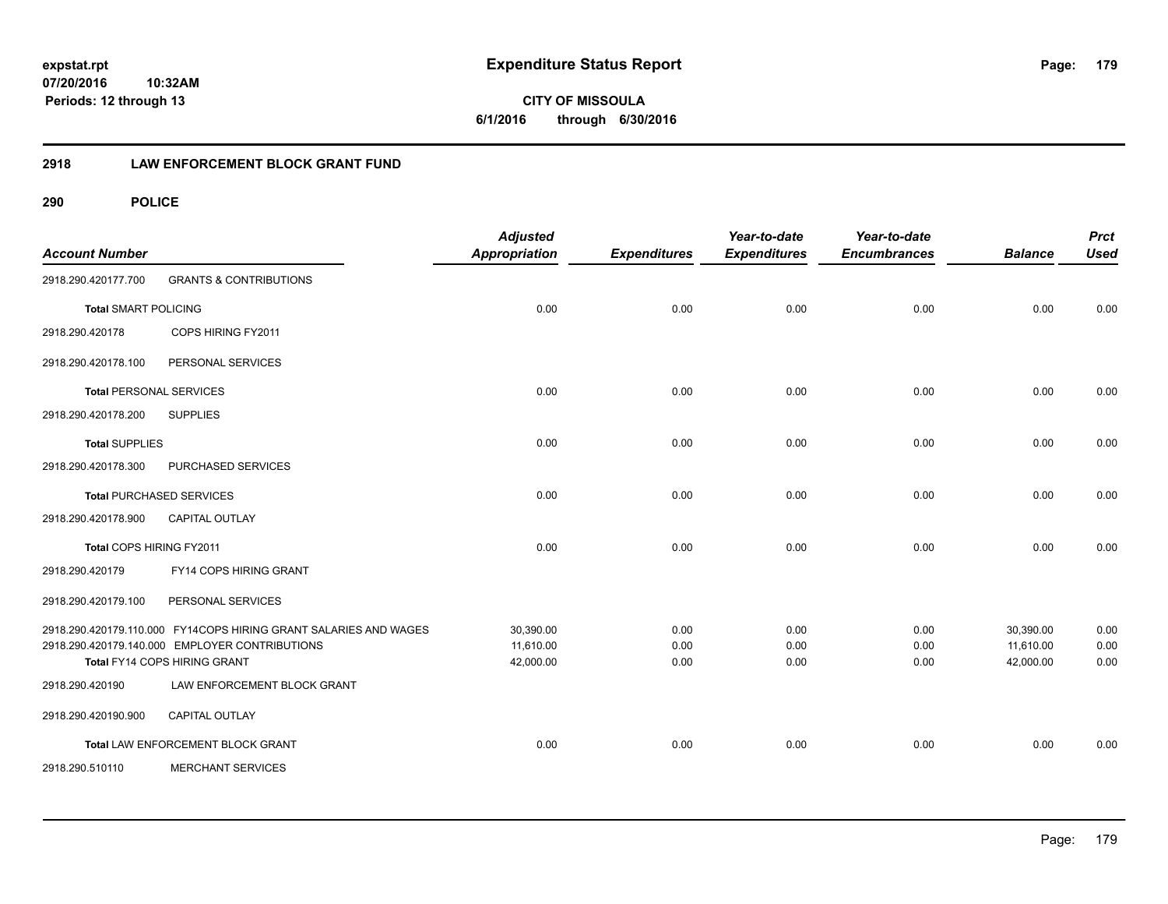# **2918 LAW ENFORCEMENT BLOCK GRANT FUND**

| <b>Account Number</b>          |                                                                                                                                                    | <b>Adjusted</b><br>Appropriation    | <b>Expenditures</b>  | Year-to-date<br><b>Expenditures</b> | Year-to-date<br><b>Encumbrances</b> | <b>Balance</b>                      | <b>Prct</b><br><b>Used</b> |
|--------------------------------|----------------------------------------------------------------------------------------------------------------------------------------------------|-------------------------------------|----------------------|-------------------------------------|-------------------------------------|-------------------------------------|----------------------------|
| 2918.290.420177.700            | <b>GRANTS &amp; CONTRIBUTIONS</b>                                                                                                                  |                                     |                      |                                     |                                     |                                     |                            |
| <b>Total SMART POLICING</b>    |                                                                                                                                                    | 0.00                                | 0.00                 | 0.00                                | 0.00                                | 0.00                                | 0.00                       |
| 2918.290.420178                | COPS HIRING FY2011                                                                                                                                 |                                     |                      |                                     |                                     |                                     |                            |
| 2918.290.420178.100            | PERSONAL SERVICES                                                                                                                                  |                                     |                      |                                     |                                     |                                     |                            |
| <b>Total PERSONAL SERVICES</b> |                                                                                                                                                    | 0.00                                | 0.00                 | 0.00                                | 0.00                                | 0.00                                | 0.00                       |
| 2918.290.420178.200            | <b>SUPPLIES</b>                                                                                                                                    |                                     |                      |                                     |                                     |                                     |                            |
| <b>Total SUPPLIES</b>          |                                                                                                                                                    | 0.00                                | 0.00                 | 0.00                                | 0.00                                | 0.00                                | 0.00                       |
| 2918.290.420178.300            | PURCHASED SERVICES                                                                                                                                 |                                     |                      |                                     |                                     |                                     |                            |
|                                | <b>Total PURCHASED SERVICES</b>                                                                                                                    | 0.00                                | 0.00                 | 0.00                                | 0.00                                | 0.00                                | 0.00                       |
| 2918.290.420178.900            | <b>CAPITAL OUTLAY</b>                                                                                                                              |                                     |                      |                                     |                                     |                                     |                            |
| Total COPS HIRING FY2011       |                                                                                                                                                    | 0.00                                | 0.00                 | 0.00                                | 0.00                                | 0.00                                | 0.00                       |
| 2918.290.420179                | FY14 COPS HIRING GRANT                                                                                                                             |                                     |                      |                                     |                                     |                                     |                            |
| 2918.290.420179.100            | PERSONAL SERVICES                                                                                                                                  |                                     |                      |                                     |                                     |                                     |                            |
|                                | 2918.290.420179.110.000 FY14COPS HIRING GRANT SALARIES AND WAGES<br>2918.290.420179.140.000 EMPLOYER CONTRIBUTIONS<br>Total FY14 COPS HIRING GRANT | 30,390.00<br>11,610.00<br>42,000.00 | 0.00<br>0.00<br>0.00 | 0.00<br>0.00<br>0.00                | 0.00<br>0.00<br>0.00                | 30,390.00<br>11,610.00<br>42.000.00 | 0.00<br>0.00<br>0.00       |
| 2918.290.420190                | LAW ENFORCEMENT BLOCK GRANT                                                                                                                        |                                     |                      |                                     |                                     |                                     |                            |
| 2918.290.420190.900            | <b>CAPITAL OUTLAY</b>                                                                                                                              |                                     |                      |                                     |                                     |                                     |                            |
|                                | Total LAW ENFORCEMENT BLOCK GRANT                                                                                                                  | 0.00                                | 0.00                 | 0.00                                | 0.00                                | 0.00                                | 0.00                       |
| 2918.290.510110                | <b>MERCHANT SERVICES</b>                                                                                                                           |                                     |                      |                                     |                                     |                                     |                            |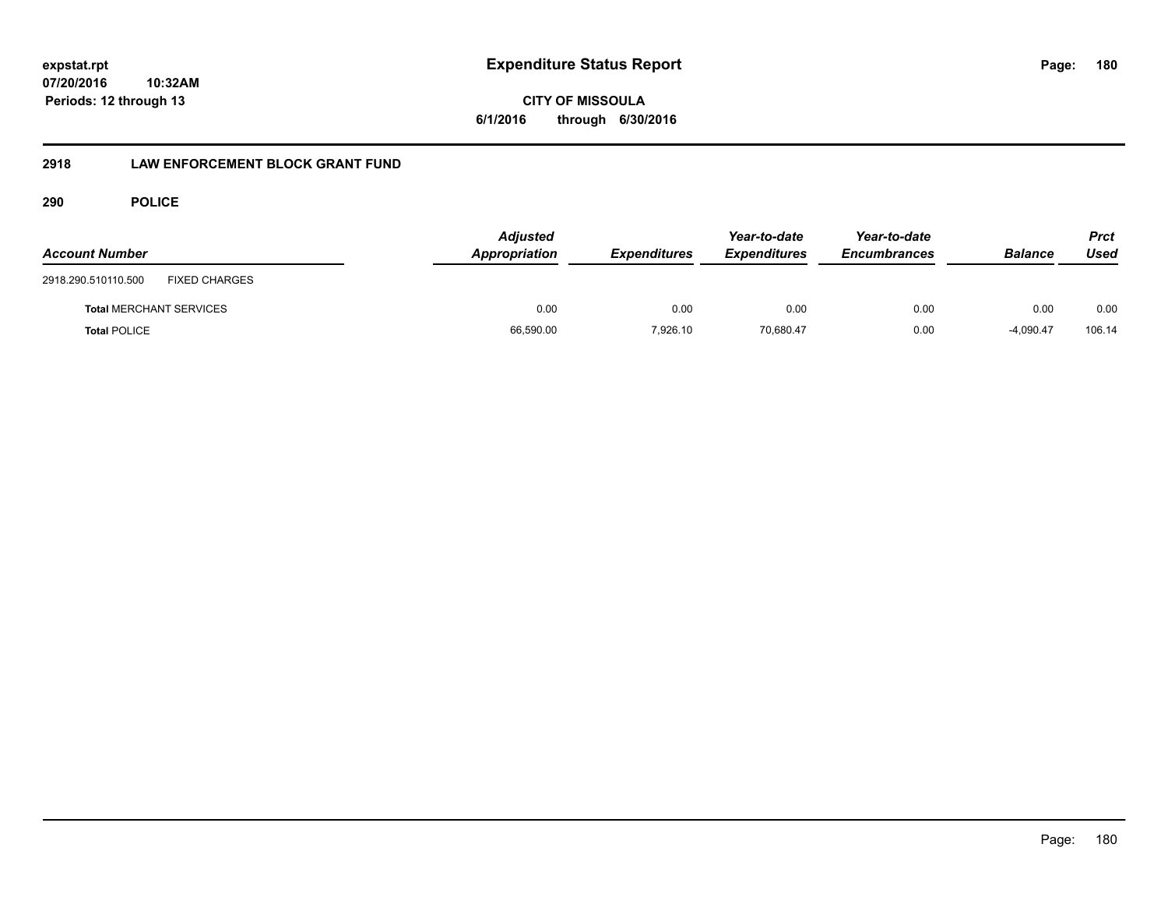**CITY OF MISSOULA 6/1/2016 through 6/30/2016**

# **2918 LAW ENFORCEMENT BLOCK GRANT FUND**

| <b>Account Number</b>                       | <b>Adjusted</b><br>Appropriation | <b>Expenditures</b> | Year-to-date<br><b>Expenditures</b> | Year-to-date<br><b>Encumbrances</b> | <b>Balance</b> | Prct<br>Used |
|---------------------------------------------|----------------------------------|---------------------|-------------------------------------|-------------------------------------|----------------|--------------|
| <b>FIXED CHARGES</b><br>2918.290.510110.500 |                                  |                     |                                     |                                     |                |              |
| <b>Total MERCHANT SERVICES</b>              | 0.00                             | 0.00                | 0.00                                | 0.00                                | 0.00           | 0.00         |
| <b>Total POLICE</b>                         | 66,590.00                        | 7,926.10            | 70,680.47                           | 0.00                                | $-4,090.47$    | 106.14       |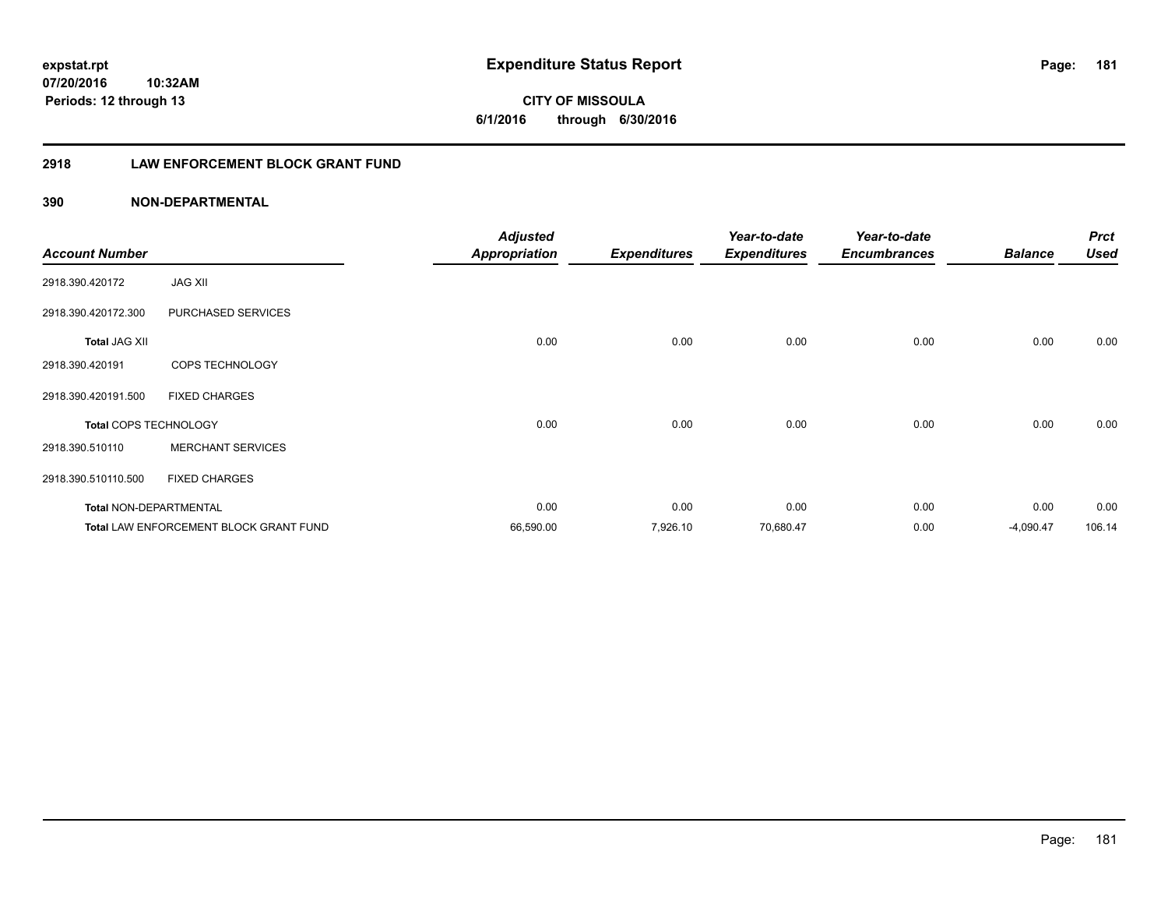**CITY OF MISSOULA 6/1/2016 through 6/30/2016**

# **2918 LAW ENFORCEMENT BLOCK GRANT FUND**

|                               |                                               | <b>Adjusted</b>      |                     | Year-to-date        | Year-to-date        |                | <b>Prct</b> |
|-------------------------------|-----------------------------------------------|----------------------|---------------------|---------------------|---------------------|----------------|-------------|
| <b>Account Number</b>         |                                               | <b>Appropriation</b> | <b>Expenditures</b> | <b>Expenditures</b> | <b>Encumbrances</b> | <b>Balance</b> | <b>Used</b> |
| 2918.390.420172               | <b>JAG XII</b>                                |                      |                     |                     |                     |                |             |
| 2918.390.420172.300           | PURCHASED SERVICES                            |                      |                     |                     |                     |                |             |
| <b>Total JAG XII</b>          |                                               | 0.00                 | 0.00                | 0.00                | 0.00                | 0.00           | 0.00        |
| 2918.390.420191               | COPS TECHNOLOGY                               |                      |                     |                     |                     |                |             |
| 2918.390.420191.500           | <b>FIXED CHARGES</b>                          |                      |                     |                     |                     |                |             |
| Total COPS TECHNOLOGY         |                                               | 0.00                 | 0.00                | 0.00                | 0.00                | 0.00           | 0.00        |
| 2918.390.510110               | <b>MERCHANT SERVICES</b>                      |                      |                     |                     |                     |                |             |
| 2918.390.510110.500           | <b>FIXED CHARGES</b>                          |                      |                     |                     |                     |                |             |
| <b>Total NON-DEPARTMENTAL</b> |                                               | 0.00                 | 0.00                | 0.00                | 0.00                | 0.00           | 0.00        |
|                               | <b>Total LAW ENFORCEMENT BLOCK GRANT FUND</b> | 66,590.00            | 7,926.10            | 70,680.47           | 0.00                | $-4,090.47$    | 106.14      |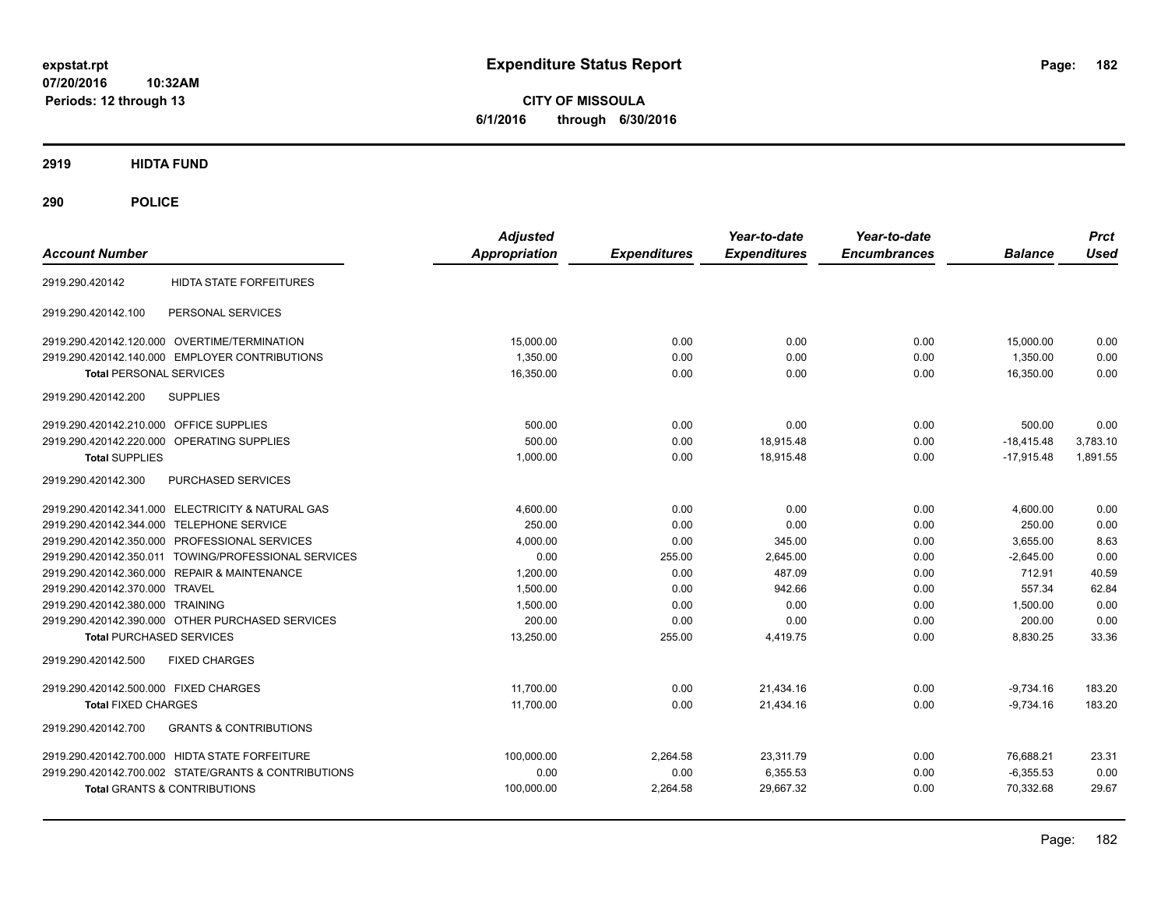**CITY OF MISSOULA 6/1/2016 through 6/30/2016**

**2919 HIDTA FUND**

**290 POLICE**

| <b>Account Number</b>                                    | <b>Adjusted</b><br><b>Appropriation</b> | <b>Expenditures</b> | Year-to-date<br><b>Expenditures</b> | Year-to-date<br><b>Encumbrances</b> | <b>Balance</b> | <b>Prct</b><br><b>Used</b> |
|----------------------------------------------------------|-----------------------------------------|---------------------|-------------------------------------|-------------------------------------|----------------|----------------------------|
| HIDTA STATE FORFEITURES<br>2919.290.420142               |                                         |                     |                                     |                                     |                |                            |
| PERSONAL SERVICES<br>2919.290.420142.100                 |                                         |                     |                                     |                                     |                |                            |
| 2919.290.420142.120.000 OVERTIME/TERMINATION             | 15,000.00                               | 0.00                | 0.00                                | 0.00                                | 15,000.00      | 0.00                       |
| 2919.290.420142.140.000 EMPLOYER CONTRIBUTIONS           | 1,350.00                                | 0.00                | 0.00                                | 0.00                                | 1,350.00       | 0.00                       |
| <b>Total PERSONAL SERVICES</b>                           | 16,350.00                               | 0.00                | 0.00                                | 0.00                                | 16,350.00      | 0.00                       |
| 2919.290.420142.200<br><b>SUPPLIES</b>                   |                                         |                     |                                     |                                     |                |                            |
| 2919.290.420142.210.000 OFFICE SUPPLIES                  | 500.00                                  | 0.00                | 0.00                                | 0.00                                | 500.00         | 0.00                       |
| 2919.290.420142.220.000<br>OPERATING SUPPLIES            | 500.00                                  | 0.00                | 18.915.48                           | 0.00                                | $-18.415.48$   | 3,783.10                   |
| <b>Total SUPPLIES</b>                                    | 1,000.00                                | 0.00                | 18.915.48                           | 0.00                                | $-17.915.48$   | 1,891.55                   |
| PURCHASED SERVICES<br>2919.290.420142.300                |                                         |                     |                                     |                                     |                |                            |
| 2919.290.420142.341.000 ELECTRICITY & NATURAL GAS        | 4,600.00                                | 0.00                | 0.00                                | 0.00                                | 4,600.00       | 0.00                       |
| 2919.290.420142.344.000 TELEPHONE SERVICE                | 250.00                                  | 0.00                | 0.00                                | 0.00                                | 250.00         | 0.00                       |
| 2919.290.420142.350.000 PROFESSIONAL SERVICES            | 4.000.00                                | 0.00                | 345.00                              | 0.00                                | 3.655.00       | 8.63                       |
| 2919.290.420142.350.011 TOWING/PROFESSIONAL SERVICES     | 0.00                                    | 255.00              | 2.645.00                            | 0.00                                | $-2.645.00$    | 0.00                       |
| 2919.290.420142.360.000 REPAIR & MAINTENANCE             | 1.200.00                                | 0.00                | 487.09                              | 0.00                                | 712.91         | 40.59                      |
| 2919.290.420142.370.000 TRAVEL                           | 1,500.00                                | 0.00                | 942.66                              | 0.00                                | 557.34         | 62.84                      |
| 2919.290.420142.380.000 TRAINING                         | 1,500.00                                | 0.00                | 0.00                                | 0.00                                | 1,500.00       | 0.00                       |
| 2919.290.420142.390.000 OTHER PURCHASED SERVICES         | 200.00                                  | 0.00                | 0.00                                | 0.00                                | 200.00         | 0.00                       |
| <b>Total PURCHASED SERVICES</b>                          | 13,250.00                               | 255.00              | 4,419.75                            | 0.00                                | 8,830.25       | 33.36                      |
| <b>FIXED CHARGES</b><br>2919.290.420142.500              |                                         |                     |                                     |                                     |                |                            |
| 2919.290.420142.500.000 FIXED CHARGES                    | 11.700.00                               | 0.00                | 21.434.16                           | 0.00                                | $-9,734.16$    | 183.20                     |
| <b>Total FIXED CHARGES</b>                               | 11,700.00                               | 0.00                | 21.434.16                           | 0.00                                | $-9.734.16$    | 183.20                     |
| <b>GRANTS &amp; CONTRIBUTIONS</b><br>2919.290.420142.700 |                                         |                     |                                     |                                     |                |                            |
| 2919.290.420142.700.000 HIDTA STATE FORFEITURE           | 100,000.00                              | 2,264.58            | 23,311.79                           | 0.00                                | 76,688.21      | 23.31                      |
| 2919.290.420142.700.002 STATE/GRANTS & CONTRIBUTIONS     | 0.00                                    | 0.00                | 6,355.53                            | 0.00                                | $-6,355.53$    | 0.00                       |
| Total GRANTS & CONTRIBUTIONS                             | 100,000.00                              | 2,264.58            | 29.667.32                           | 0.00                                | 70,332.68      | 29.67                      |
|                                                          |                                         |                     |                                     |                                     |                |                            |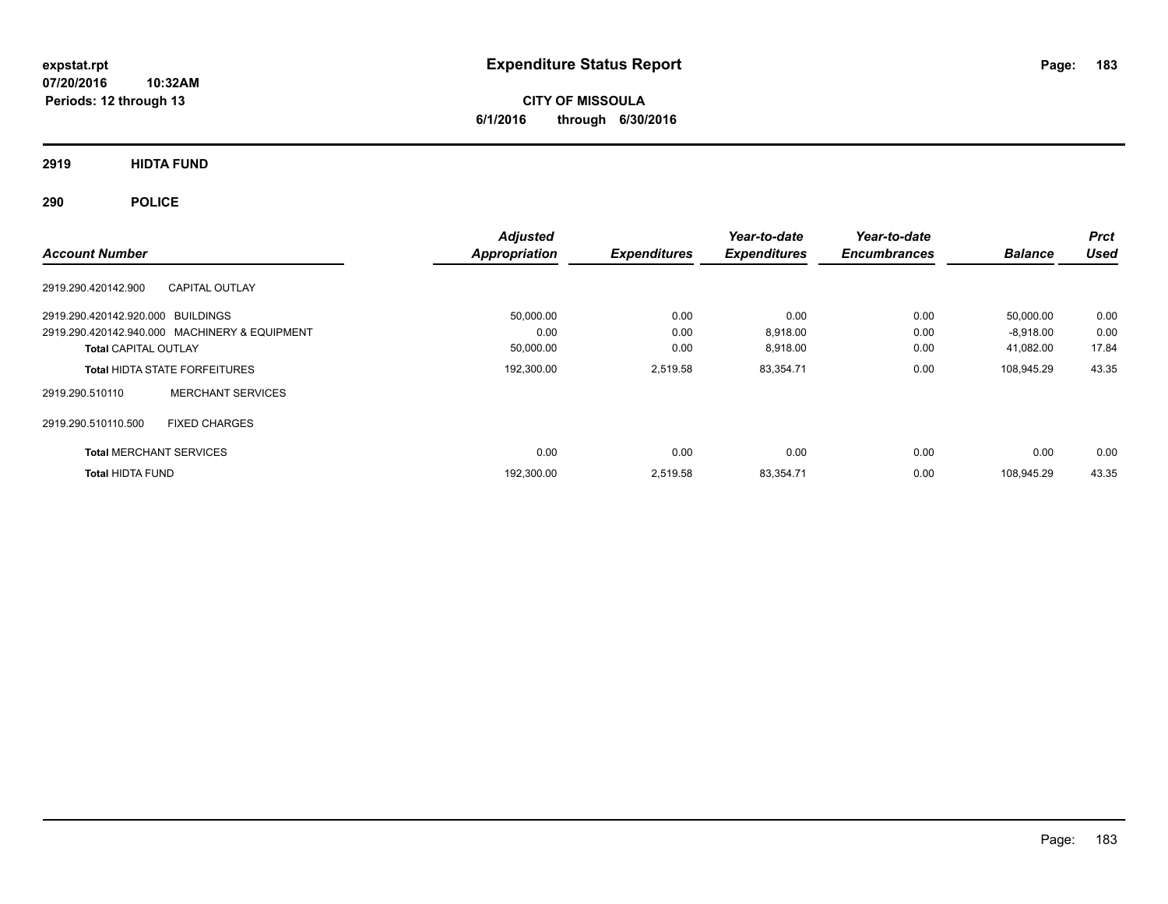**CITY OF MISSOULA 6/1/2016 through 6/30/2016**

**2919 HIDTA FUND**

**290 POLICE**

| <b>Account Number</b>             |                                               | <b>Adjusted</b><br>Appropriation | <b>Expenditures</b> | Year-to-date<br><b>Expenditures</b> | Year-to-date<br><b>Encumbrances</b> | <b>Balance</b> | <b>Prct</b><br><b>Used</b> |
|-----------------------------------|-----------------------------------------------|----------------------------------|---------------------|-------------------------------------|-------------------------------------|----------------|----------------------------|
| 2919.290.420142.900               | <b>CAPITAL OUTLAY</b>                         |                                  |                     |                                     |                                     |                |                            |
| 2919.290.420142.920.000 BUILDINGS |                                               | 50,000.00                        | 0.00                | 0.00                                | 0.00                                | 50,000.00      | 0.00                       |
|                                   | 2919.290.420142.940.000 MACHINERY & EQUIPMENT | 0.00                             | 0.00                | 8,918.00                            | 0.00                                | $-8,918.00$    | 0.00                       |
| <b>Total CAPITAL OUTLAY</b>       |                                               | 50,000.00                        | 0.00                | 8,918.00                            | 0.00                                | 41,082.00      | 17.84                      |
|                                   | <b>Total HIDTA STATE FORFEITURES</b>          | 192,300.00                       | 2,519.58            | 83,354.71                           | 0.00                                | 108,945.29     | 43.35                      |
| 2919.290.510110                   | <b>MERCHANT SERVICES</b>                      |                                  |                     |                                     |                                     |                |                            |
| 2919.290.510110.500               | <b>FIXED CHARGES</b>                          |                                  |                     |                                     |                                     |                |                            |
| <b>Total MERCHANT SERVICES</b>    |                                               | 0.00                             | 0.00                | 0.00                                | 0.00                                | 0.00           | 0.00                       |
| <b>Total HIDTA FUND</b>           |                                               | 192,300.00                       | 2.519.58            | 83,354.71                           | 0.00                                | 108.945.29     | 43.35                      |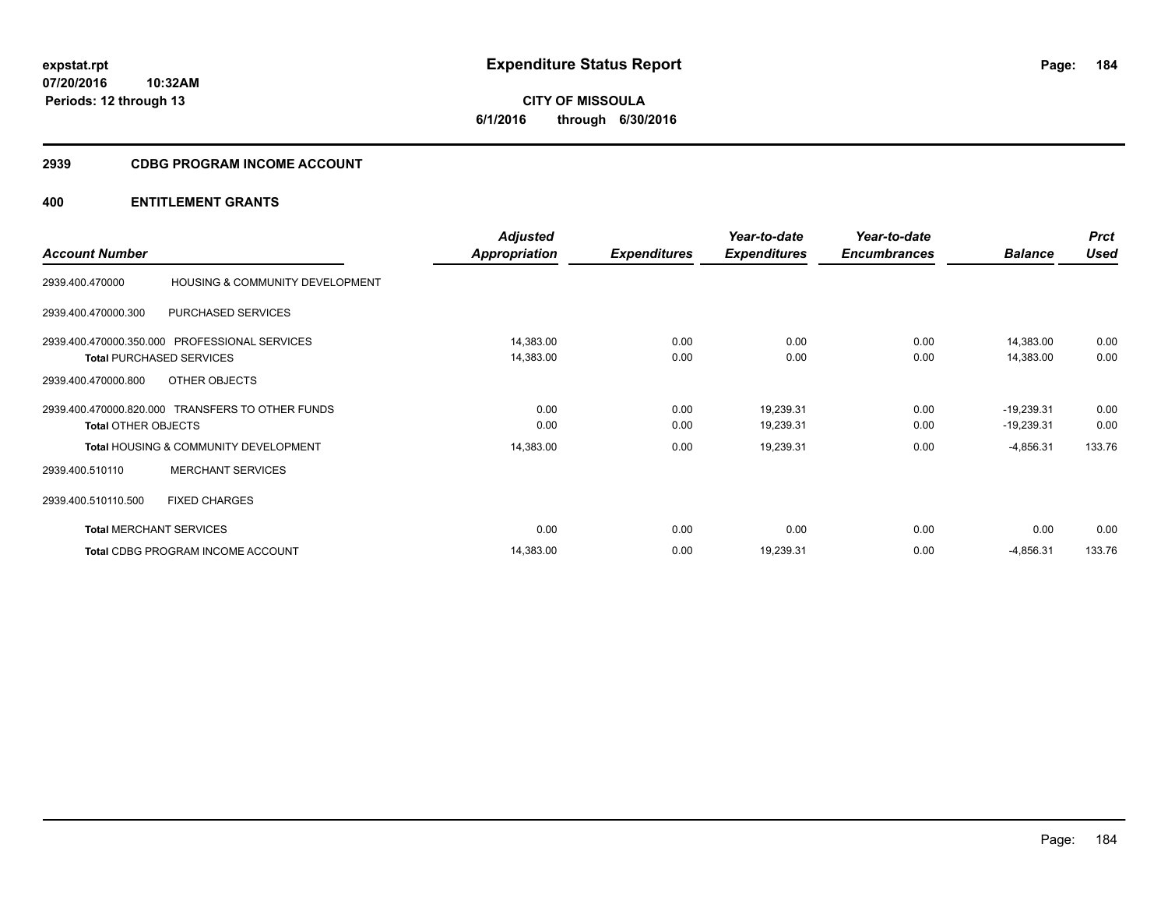# **2939 CDBG PROGRAM INCOME ACCOUNT**

|                            |                                                  | <b>Adjusted</b> |                     | Year-to-date        | Year-to-date        |                | <b>Prct</b> |
|----------------------------|--------------------------------------------------|-----------------|---------------------|---------------------|---------------------|----------------|-------------|
| <b>Account Number</b>      |                                                  | Appropriation   | <b>Expenditures</b> | <b>Expenditures</b> | <b>Encumbrances</b> | <b>Balance</b> | <b>Used</b> |
| 2939.400.470000            | HOUSING & COMMUNITY DEVELOPMENT                  |                 |                     |                     |                     |                |             |
| 2939.400.470000.300        | PURCHASED SERVICES                               |                 |                     |                     |                     |                |             |
|                            | 2939.400.470000.350.000 PROFESSIONAL SERVICES    | 14,383.00       | 0.00                | 0.00                | 0.00                | 14,383.00      | 0.00        |
|                            | <b>Total PURCHASED SERVICES</b>                  | 14,383.00       | 0.00                | 0.00                | 0.00                | 14,383.00      | 0.00        |
| 2939.400.470000.800        | OTHER OBJECTS                                    |                 |                     |                     |                     |                |             |
|                            | 2939.400.470000.820.000 TRANSFERS TO OTHER FUNDS | 0.00            | 0.00                | 19,239.31           | 0.00                | $-19,239.31$   | 0.00        |
| <b>Total OTHER OBJECTS</b> |                                                  | 0.00            | 0.00                | 19,239.31           | 0.00                | $-19,239.31$   | 0.00        |
|                            | <b>Total HOUSING &amp; COMMUNITY DEVELOPMENT</b> | 14,383.00       | 0.00                | 19,239.31           | 0.00                | $-4,856.31$    | 133.76      |
| 2939.400.510110            | <b>MERCHANT SERVICES</b>                         |                 |                     |                     |                     |                |             |
| 2939.400.510110.500        | <b>FIXED CHARGES</b>                             |                 |                     |                     |                     |                |             |
|                            | <b>Total MERCHANT SERVICES</b>                   | 0.00            | 0.00                | 0.00                | 0.00                | 0.00           | 0.00        |
|                            | Total CDBG PROGRAM INCOME ACCOUNT                | 14,383.00       | 0.00                | 19,239.31           | 0.00                | $-4,856.31$    | 133.76      |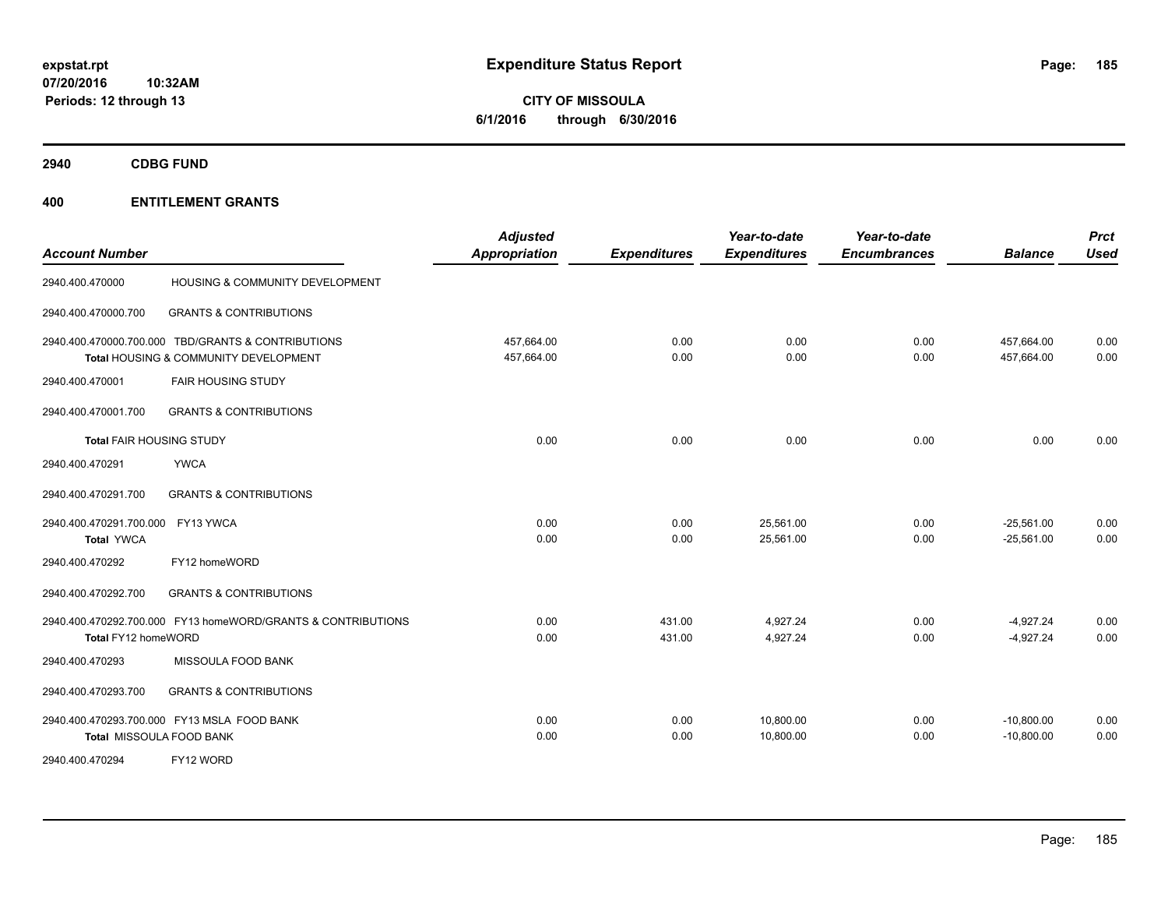**CITY OF MISSOULA 6/1/2016 through 6/30/2016**

**2940 CDBG FUND**

| <b>Account Number</b>                                  |                                                                                             | <b>Adjusted</b><br><b>Appropriation</b> | <b>Expenditures</b> | Year-to-date<br><b>Expenditures</b> | Year-to-date<br><b>Encumbrances</b> | <b>Balance</b>               | <b>Prct</b><br><b>Used</b> |
|--------------------------------------------------------|---------------------------------------------------------------------------------------------|-----------------------------------------|---------------------|-------------------------------------|-------------------------------------|------------------------------|----------------------------|
| 2940.400.470000                                        | HOUSING & COMMUNITY DEVELOPMENT                                                             |                                         |                     |                                     |                                     |                              |                            |
| 2940.400.470000.700                                    | <b>GRANTS &amp; CONTRIBUTIONS</b>                                                           |                                         |                     |                                     |                                     |                              |                            |
|                                                        | 2940.400.470000.700.000 TBD/GRANTS & CONTRIBUTIONS<br>Total HOUSING & COMMUNITY DEVELOPMENT | 457.664.00<br>457,664.00                | 0.00<br>0.00        | 0.00<br>0.00                        | 0.00<br>0.00                        | 457,664.00<br>457,664.00     | 0.00<br>0.00               |
| 2940.400.470001                                        | <b>FAIR HOUSING STUDY</b>                                                                   |                                         |                     |                                     |                                     |                              |                            |
| 2940.400.470001.700                                    | <b>GRANTS &amp; CONTRIBUTIONS</b>                                                           |                                         |                     |                                     |                                     |                              |                            |
| <b>Total FAIR HOUSING STUDY</b>                        |                                                                                             | 0.00                                    | 0.00                | 0.00                                | 0.00                                | 0.00                         | 0.00                       |
| 2940.400.470291                                        | <b>YWCA</b>                                                                                 |                                         |                     |                                     |                                     |                              |                            |
| 2940.400.470291.700                                    | <b>GRANTS &amp; CONTRIBUTIONS</b>                                                           |                                         |                     |                                     |                                     |                              |                            |
| 2940.400.470291.700.000 FY13 YWCA<br><b>Total YWCA</b> |                                                                                             | 0.00<br>0.00                            | 0.00<br>0.00        | 25,561.00<br>25,561.00              | 0.00<br>0.00                        | $-25,561.00$<br>$-25,561.00$ | 0.00<br>0.00               |
| 2940.400.470292                                        | FY12 homeWORD                                                                               |                                         |                     |                                     |                                     |                              |                            |
| 2940.400.470292.700                                    | <b>GRANTS &amp; CONTRIBUTIONS</b>                                                           |                                         |                     |                                     |                                     |                              |                            |
| Total FY12 homeWORD                                    | 2940.400.470292.700.000 FY13 homeWORD/GRANTS & CONTRIBUTIONS                                | 0.00<br>0.00                            | 431.00<br>431.00    | 4,927.24<br>4,927.24                | 0.00<br>0.00                        | $-4,927.24$<br>$-4,927.24$   | 0.00<br>0.00               |
| 2940.400.470293                                        | MISSOULA FOOD BANK                                                                          |                                         |                     |                                     |                                     |                              |                            |
| 2940.400.470293.700                                    | <b>GRANTS &amp; CONTRIBUTIONS</b>                                                           |                                         |                     |                                     |                                     |                              |                            |
|                                                        | 2940.400.470293.700.000 FY13 MSLA FOOD BANK<br>Total MISSOULA FOOD BANK                     | 0.00<br>0.00                            | 0.00<br>0.00        | 10,800.00<br>10,800.00              | 0.00<br>0.00                        | $-10,800.00$<br>$-10,800.00$ | 0.00<br>0.00               |
| 2940.400.470294                                        | FY12 WORD                                                                                   |                                         |                     |                                     |                                     |                              |                            |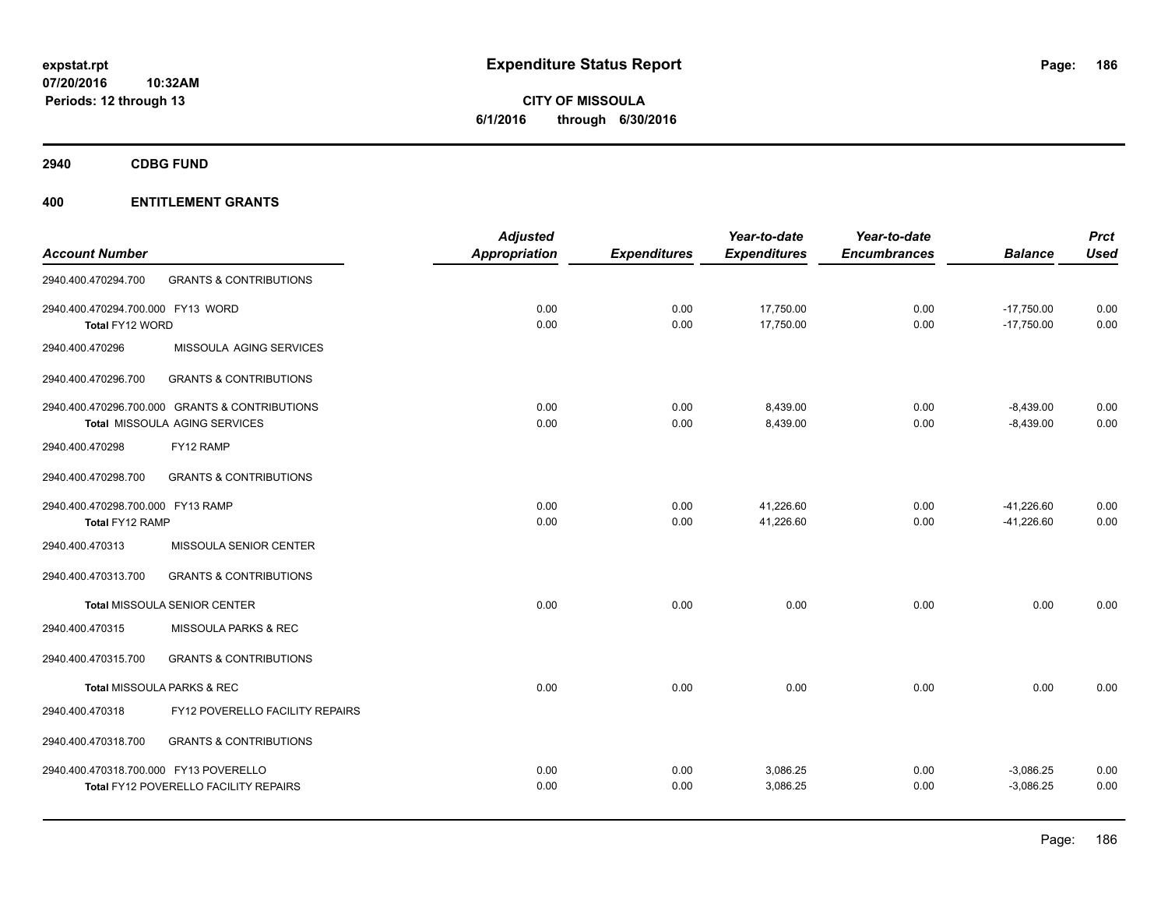**CITY OF MISSOULA 6/1/2016 through 6/30/2016**

**2940 CDBG FUND**

|                                        |                                                | <b>Adjusted</b> |                     | Year-to-date        | Year-to-date        |                | <b>Prct</b> |
|----------------------------------------|------------------------------------------------|-----------------|---------------------|---------------------|---------------------|----------------|-------------|
| <b>Account Number</b>                  |                                                | Appropriation   | <b>Expenditures</b> | <b>Expenditures</b> | <b>Encumbrances</b> | <b>Balance</b> | <b>Used</b> |
| 2940.400.470294.700                    | <b>GRANTS &amp; CONTRIBUTIONS</b>              |                 |                     |                     |                     |                |             |
| 2940.400.470294.700.000 FY13 WORD      |                                                | 0.00            | 0.00                | 17,750.00           | 0.00                | $-17,750.00$   | 0.00        |
| Total FY12 WORD                        |                                                | 0.00            | 0.00                | 17,750.00           | 0.00                | $-17,750.00$   | 0.00        |
| 2940.400.470296                        | MISSOULA AGING SERVICES                        |                 |                     |                     |                     |                |             |
| 2940.400.470296.700                    | <b>GRANTS &amp; CONTRIBUTIONS</b>              |                 |                     |                     |                     |                |             |
|                                        | 2940.400.470296.700.000 GRANTS & CONTRIBUTIONS | 0.00            | 0.00                | 8,439.00            | 0.00                | $-8,439.00$    | 0.00        |
|                                        | Total MISSOULA AGING SERVICES                  | 0.00            | 0.00                | 8,439.00            | 0.00                | $-8,439.00$    | 0.00        |
| 2940.400.470298                        | FY12 RAMP                                      |                 |                     |                     |                     |                |             |
| 2940.400.470298.700                    | <b>GRANTS &amp; CONTRIBUTIONS</b>              |                 |                     |                     |                     |                |             |
| 2940.400.470298.700.000 FY13 RAMP      |                                                | 0.00            | 0.00                | 41,226.60           | 0.00                | $-41,226.60$   | 0.00        |
| Total FY12 RAMP                        |                                                | 0.00            | 0.00                | 41,226.60           | 0.00                | $-41,226.60$   | 0.00        |
| 2940.400.470313                        | MISSOULA SENIOR CENTER                         |                 |                     |                     |                     |                |             |
| 2940.400.470313.700                    | <b>GRANTS &amp; CONTRIBUTIONS</b>              |                 |                     |                     |                     |                |             |
|                                        | <b>Total MISSOULA SENIOR CENTER</b>            | 0.00            | 0.00                | 0.00                | 0.00                | 0.00           | 0.00        |
| 2940.400.470315                        | <b>MISSOULA PARKS &amp; REC</b>                |                 |                     |                     |                     |                |             |
| 2940.400.470315.700                    | <b>GRANTS &amp; CONTRIBUTIONS</b>              |                 |                     |                     |                     |                |             |
|                                        | Total MISSOULA PARKS & REC                     | 0.00            | 0.00                | 0.00                | 0.00                | 0.00           | 0.00        |
| 2940.400.470318                        | FY12 POVERELLO FACILITY REPAIRS                |                 |                     |                     |                     |                |             |
| 2940.400.470318.700                    | <b>GRANTS &amp; CONTRIBUTIONS</b>              |                 |                     |                     |                     |                |             |
|                                        |                                                | 0.00            | 0.00                | 3,086.25            | 0.00                | $-3,086.25$    | 0.00        |
|                                        | Total FY12 POVERELLO FACILITY REPAIRS          | 0.00            | 0.00                | 3,086.25            | 0.00                | $-3,086.25$    | 0.00        |
| 2940.400.470318.700.000 FY13 POVERELLO |                                                |                 |                     |                     |                     |                |             |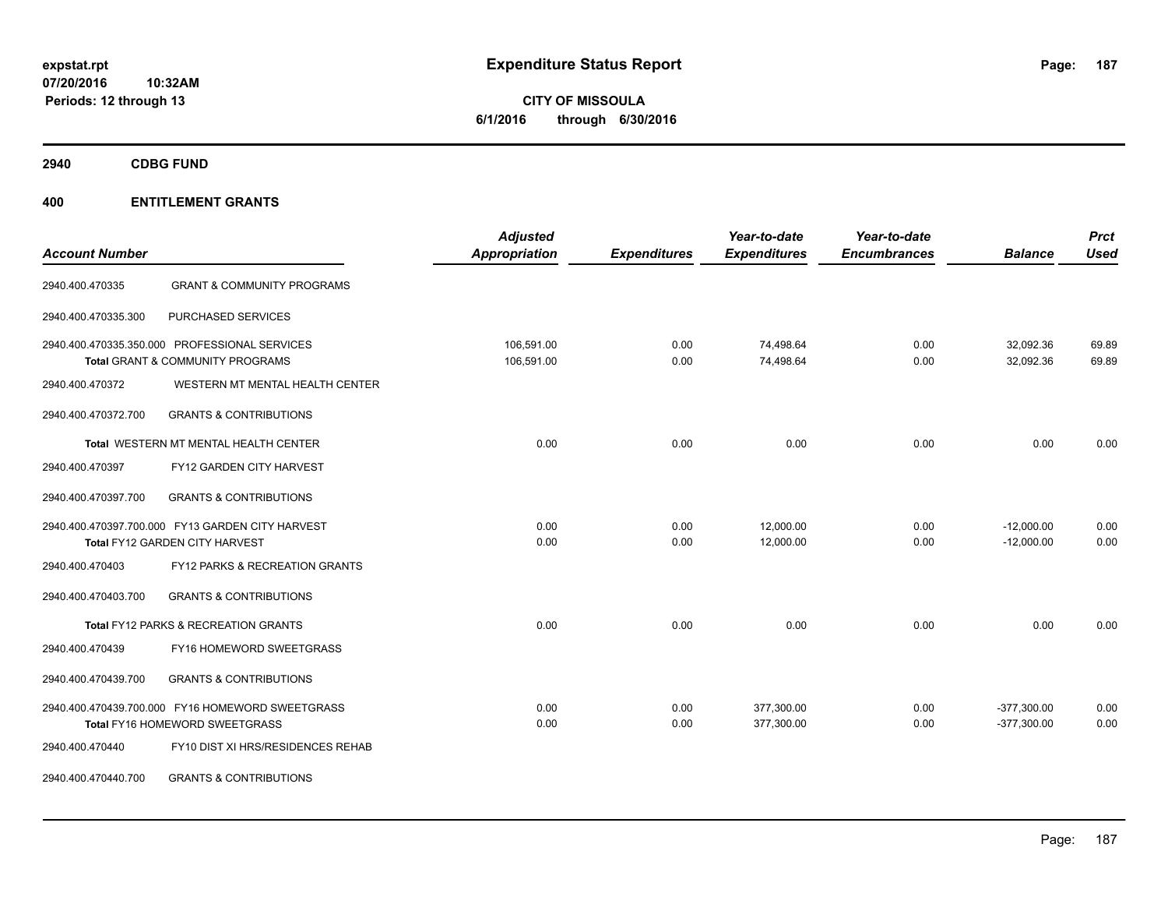**CITY OF MISSOULA 6/1/2016 through 6/30/2016**

**2940 CDBG FUND**

| <b>Account Number</b> |                                                                                    | <b>Adjusted</b><br><b>Appropriation</b> | <b>Expenditures</b> | Year-to-date<br><b>Expenditures</b> | Year-to-date<br><b>Encumbrances</b> | <b>Balance</b>                 | <b>Prct</b><br><b>Used</b> |
|-----------------------|------------------------------------------------------------------------------------|-----------------------------------------|---------------------|-------------------------------------|-------------------------------------|--------------------------------|----------------------------|
| 2940.400.470335       | <b>GRANT &amp; COMMUNITY PROGRAMS</b>                                              |                                         |                     |                                     |                                     |                                |                            |
| 2940.400.470335.300   | PURCHASED SERVICES                                                                 |                                         |                     |                                     |                                     |                                |                            |
|                       | 2940.400.470335.350.000 PROFESSIONAL SERVICES<br>Total GRANT & COMMUNITY PROGRAMS  | 106,591.00<br>106,591.00                | 0.00<br>0.00        | 74,498.64<br>74,498.64              | 0.00<br>0.00                        | 32,092.36<br>32,092.36         | 69.89<br>69.89             |
| 2940.400.470372       | WESTERN MT MENTAL HEALTH CENTER                                                    |                                         |                     |                                     |                                     |                                |                            |
| 2940.400.470372.700   | <b>GRANTS &amp; CONTRIBUTIONS</b>                                                  |                                         |                     |                                     |                                     |                                |                            |
|                       | Total WESTERN MT MENTAL HEALTH CENTER                                              | 0.00                                    | 0.00                | 0.00                                | 0.00                                | 0.00                           | 0.00                       |
| 2940.400.470397       | FY12 GARDEN CITY HARVEST                                                           |                                         |                     |                                     |                                     |                                |                            |
| 2940.400.470397.700   | <b>GRANTS &amp; CONTRIBUTIONS</b>                                                  |                                         |                     |                                     |                                     |                                |                            |
|                       | 2940.400.470397.700.000 FY13 GARDEN CITY HARVEST<br>Total FY12 GARDEN CITY HARVEST | 0.00<br>0.00                            | 0.00<br>0.00        | 12,000.00<br>12,000.00              | 0.00<br>0.00                        | $-12,000.00$<br>$-12,000.00$   | 0.00<br>0.00               |
| 2940.400.470403       | FY12 PARKS & RECREATION GRANTS                                                     |                                         |                     |                                     |                                     |                                |                            |
| 2940.400.470403.700   | <b>GRANTS &amp; CONTRIBUTIONS</b>                                                  |                                         |                     |                                     |                                     |                                |                            |
|                       | Total FY12 PARKS & RECREATION GRANTS                                               | 0.00                                    | 0.00                | 0.00                                | 0.00                                | 0.00                           | 0.00                       |
| 2940.400.470439       | FY16 HOMEWORD SWEETGRASS                                                           |                                         |                     |                                     |                                     |                                |                            |
| 2940.400.470439.700   | <b>GRANTS &amp; CONTRIBUTIONS</b>                                                  |                                         |                     |                                     |                                     |                                |                            |
|                       | 2940.400.470439.700.000 FY16 HOMEWORD SWEETGRASS<br>Total FY16 HOMEWORD SWEETGRASS | 0.00<br>0.00                            | 0.00<br>0.00        | 377,300.00<br>377,300.00            | 0.00<br>0.00                        | $-377,300.00$<br>$-377,300.00$ | 0.00<br>0.00               |
| 2940.400.470440       | FY10 DIST XI HRS/RESIDENCES REHAB                                                  |                                         |                     |                                     |                                     |                                |                            |
| 2940.400.470440.700   | <b>GRANTS &amp; CONTRIBUTIONS</b>                                                  |                                         |                     |                                     |                                     |                                |                            |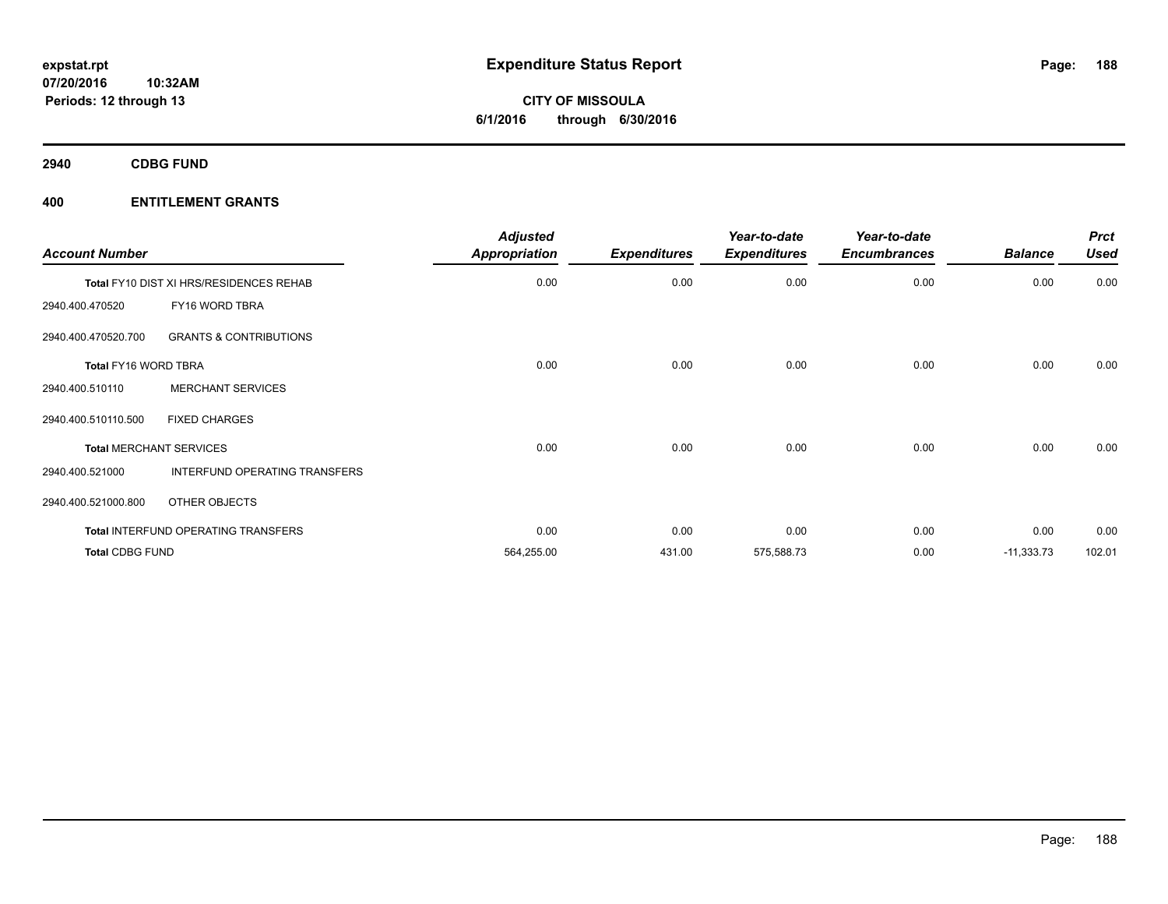**2940 CDBG FUND**

| <b>Account Number</b>       |                                            | <b>Adjusted</b><br><b>Appropriation</b> | <b>Expenditures</b> | Year-to-date<br><b>Expenditures</b> | Year-to-date<br><b>Encumbrances</b> | <b>Balance</b> | <b>Prct</b><br><b>Used</b> |
|-----------------------------|--------------------------------------------|-----------------------------------------|---------------------|-------------------------------------|-------------------------------------|----------------|----------------------------|
|                             | Total FY10 DIST XI HRS/RESIDENCES REHAB    | 0.00                                    | 0.00                | 0.00                                | 0.00                                | 0.00           | 0.00                       |
| 2940.400.470520             | FY16 WORD TBRA                             |                                         |                     |                                     |                                     |                |                            |
| 2940.400.470520.700         | <b>GRANTS &amp; CONTRIBUTIONS</b>          |                                         |                     |                                     |                                     |                |                            |
| <b>Total FY16 WORD TBRA</b> |                                            | 0.00                                    | 0.00                | 0.00                                | 0.00                                | 0.00           | 0.00                       |
| 2940.400.510110             | <b>MERCHANT SERVICES</b>                   |                                         |                     |                                     |                                     |                |                            |
| 2940.400.510110.500         | <b>FIXED CHARGES</b>                       |                                         |                     |                                     |                                     |                |                            |
|                             | <b>Total MERCHANT SERVICES</b>             | 0.00                                    | 0.00                | 0.00                                | 0.00                                | 0.00           | 0.00                       |
| 2940.400.521000             | <b>INTERFUND OPERATING TRANSFERS</b>       |                                         |                     |                                     |                                     |                |                            |
| 2940.400.521000.800         | OTHER OBJECTS                              |                                         |                     |                                     |                                     |                |                            |
|                             | <b>Total INTERFUND OPERATING TRANSFERS</b> | 0.00                                    | 0.00                | 0.00                                | 0.00                                | 0.00           | 0.00                       |
| <b>Total CDBG FUND</b>      |                                            | 564,255.00                              | 431.00              | 575,588.73                          | 0.00                                | $-11,333.73$   | 102.01                     |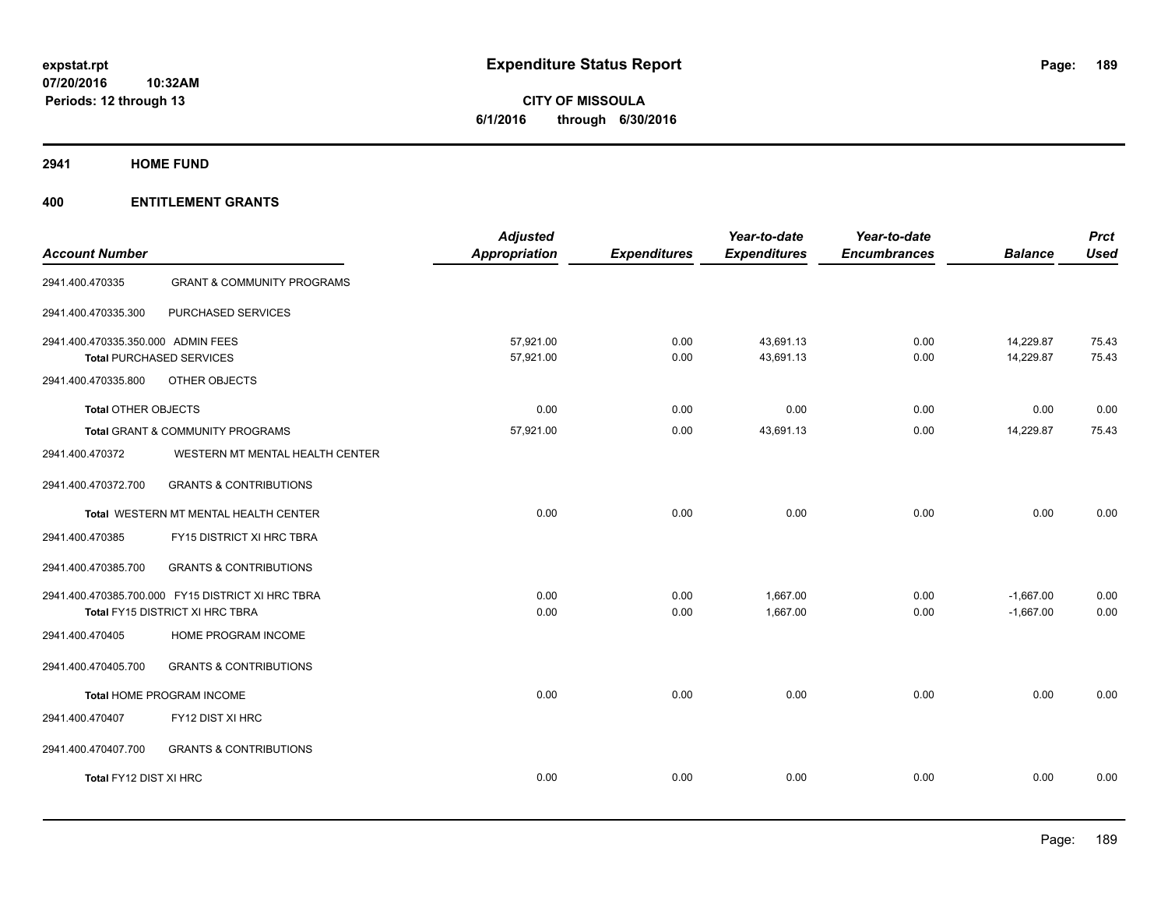# **CITY OF MISSOULA 6/1/2016 through 6/30/2016**

**2941 HOME FUND**

| <b>Account Number</b>              |                                                   | <b>Adjusted</b><br>Appropriation | <b>Expenditures</b> | Year-to-date<br><b>Expenditures</b> | Year-to-date<br><b>Encumbrances</b> | <b>Balance</b> | <b>Prct</b><br><b>Used</b> |
|------------------------------------|---------------------------------------------------|----------------------------------|---------------------|-------------------------------------|-------------------------------------|----------------|----------------------------|
| 2941.400.470335                    | <b>GRANT &amp; COMMUNITY PROGRAMS</b>             |                                  |                     |                                     |                                     |                |                            |
| 2941.400.470335.300                | PURCHASED SERVICES                                |                                  |                     |                                     |                                     |                |                            |
| 2941.400.470335.350.000 ADMIN FEES |                                                   | 57.921.00                        | 0.00                | 43.691.13                           | 0.00                                | 14,229.87      | 75.43                      |
|                                    | <b>Total PURCHASED SERVICES</b>                   | 57,921.00                        | 0.00                | 43,691.13                           | 0.00                                | 14,229.87      | 75.43                      |
| 2941.400.470335.800                | OTHER OBJECTS                                     |                                  |                     |                                     |                                     |                |                            |
| <b>Total OTHER OBJECTS</b>         |                                                   | 0.00                             | 0.00                | 0.00                                | 0.00                                | 0.00           | 0.00                       |
|                                    | <b>Total GRANT &amp; COMMUNITY PROGRAMS</b>       | 57,921.00                        | 0.00                | 43,691.13                           | 0.00                                | 14,229.87      | 75.43                      |
| 2941.400.470372                    | WESTERN MT MENTAL HEALTH CENTER                   |                                  |                     |                                     |                                     |                |                            |
| 2941.400.470372.700                | <b>GRANTS &amp; CONTRIBUTIONS</b>                 |                                  |                     |                                     |                                     |                |                            |
|                                    | Total WESTERN MT MENTAL HEALTH CENTER             | 0.00                             | 0.00                | 0.00                                | 0.00                                | 0.00           | 0.00                       |
| 2941.400.470385                    | FY15 DISTRICT XI HRC TBRA                         |                                  |                     |                                     |                                     |                |                            |
| 2941.400.470385.700                | <b>GRANTS &amp; CONTRIBUTIONS</b>                 |                                  |                     |                                     |                                     |                |                            |
|                                    | 2941.400.470385.700.000 FY15 DISTRICT XI HRC TBRA | 0.00                             | 0.00                | 1,667.00                            | 0.00                                | $-1,667.00$    | 0.00                       |
|                                    | Total FY15 DISTRICT XI HRC TBRA                   | 0.00                             | 0.00                | 1,667.00                            | 0.00                                | $-1,667.00$    | 0.00                       |
| 2941.400.470405                    | HOME PROGRAM INCOME                               |                                  |                     |                                     |                                     |                |                            |
| 2941.400.470405.700                | <b>GRANTS &amp; CONTRIBUTIONS</b>                 |                                  |                     |                                     |                                     |                |                            |
|                                    | Total HOME PROGRAM INCOME                         | 0.00                             | 0.00                | 0.00                                | 0.00                                | 0.00           | 0.00                       |
| 2941.400.470407                    | FY12 DIST XI HRC                                  |                                  |                     |                                     |                                     |                |                            |
| 2941.400.470407.700                | <b>GRANTS &amp; CONTRIBUTIONS</b>                 |                                  |                     |                                     |                                     |                |                            |
| Total FY12 DIST XI HRC             |                                                   | 0.00                             | 0.00                | 0.00                                | 0.00                                | 0.00           | 0.00                       |
|                                    |                                                   |                                  |                     |                                     |                                     |                |                            |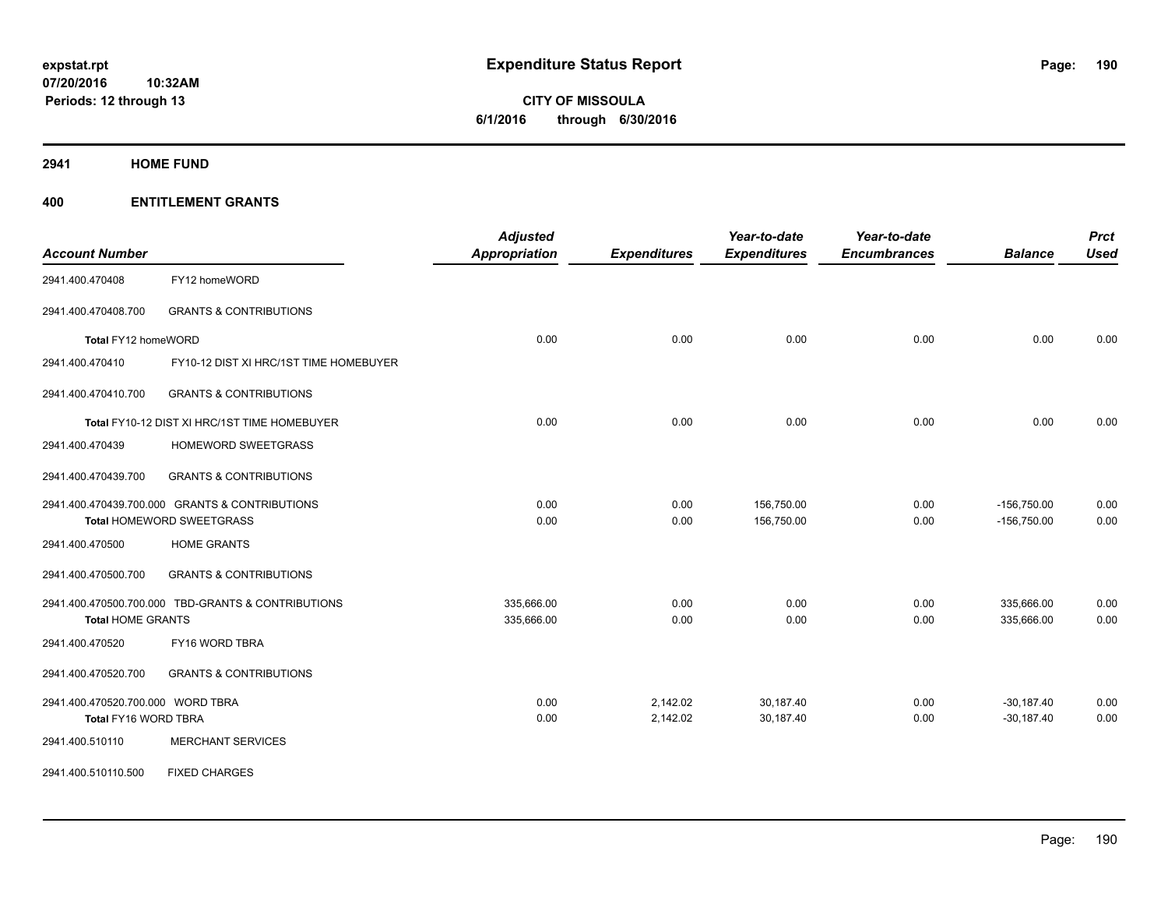**CITY OF MISSOULA 6/1/2016 through 6/30/2016**

**2941 HOME FUND**

| <b>Account Number</b>             |                                                    | <b>Adjusted</b><br><b>Appropriation</b> | <b>Expenditures</b> | Year-to-date<br><b>Expenditures</b> | Year-to-date<br><b>Encumbrances</b> | <b>Balance</b> | <b>Prct</b><br><b>Used</b> |
|-----------------------------------|----------------------------------------------------|-----------------------------------------|---------------------|-------------------------------------|-------------------------------------|----------------|----------------------------|
| 2941.400.470408                   | FY12 homeWORD                                      |                                         |                     |                                     |                                     |                |                            |
| 2941.400.470408.700               | <b>GRANTS &amp; CONTRIBUTIONS</b>                  |                                         |                     |                                     |                                     |                |                            |
| Total FY12 homeWORD               |                                                    | 0.00                                    | 0.00                | 0.00                                | 0.00                                | 0.00           | 0.00                       |
| 2941.400.470410                   | FY10-12 DIST XI HRC/1ST TIME HOMEBUYER             |                                         |                     |                                     |                                     |                |                            |
| 2941.400.470410.700               | <b>GRANTS &amp; CONTRIBUTIONS</b>                  |                                         |                     |                                     |                                     |                |                            |
|                                   | Total FY10-12 DIST XI HRC/1ST TIME HOMEBUYER       | 0.00                                    | 0.00                | 0.00                                | 0.00                                | 0.00           | 0.00                       |
| 2941.400.470439                   | <b>HOMEWORD SWEETGRASS</b>                         |                                         |                     |                                     |                                     |                |                            |
| 2941.400.470439.700               | <b>GRANTS &amp; CONTRIBUTIONS</b>                  |                                         |                     |                                     |                                     |                |                            |
|                                   | 2941.400.470439.700.000 GRANTS & CONTRIBUTIONS     | 0.00                                    | 0.00                | 156,750.00                          | 0.00                                | $-156,750.00$  | 0.00                       |
|                                   | Total HOMEWORD SWEETGRASS                          | 0.00                                    | 0.00                | 156,750.00                          | 0.00                                | $-156,750.00$  | 0.00                       |
| 2941.400.470500                   | <b>HOME GRANTS</b>                                 |                                         |                     |                                     |                                     |                |                            |
| 2941.400.470500.700               | <b>GRANTS &amp; CONTRIBUTIONS</b>                  |                                         |                     |                                     |                                     |                |                            |
|                                   | 2941.400.470500.700.000 TBD-GRANTS & CONTRIBUTIONS | 335,666.00                              | 0.00                | 0.00                                | 0.00                                | 335,666.00     | 0.00                       |
| <b>Total HOME GRANTS</b>          |                                                    | 335,666.00                              | 0.00                | 0.00                                | 0.00                                | 335,666.00     | 0.00                       |
| 2941.400.470520                   | FY16 WORD TBRA                                     |                                         |                     |                                     |                                     |                |                            |
| 2941.400.470520.700               | <b>GRANTS &amp; CONTRIBUTIONS</b>                  |                                         |                     |                                     |                                     |                |                            |
| 2941.400.470520.700.000 WORD TBRA |                                                    | 0.00                                    | 2,142.02            | 30,187.40                           | 0.00                                | $-30,187.40$   | 0.00                       |
| Total FY16 WORD TBRA              |                                                    | 0.00                                    | 2,142.02            | 30,187.40                           | 0.00                                | $-30,187.40$   | 0.00                       |
| 2941.400.510110                   | <b>MERCHANT SERVICES</b>                           |                                         |                     |                                     |                                     |                |                            |
| 2941.400.510110.500               | <b>FIXED CHARGES</b>                               |                                         |                     |                                     |                                     |                |                            |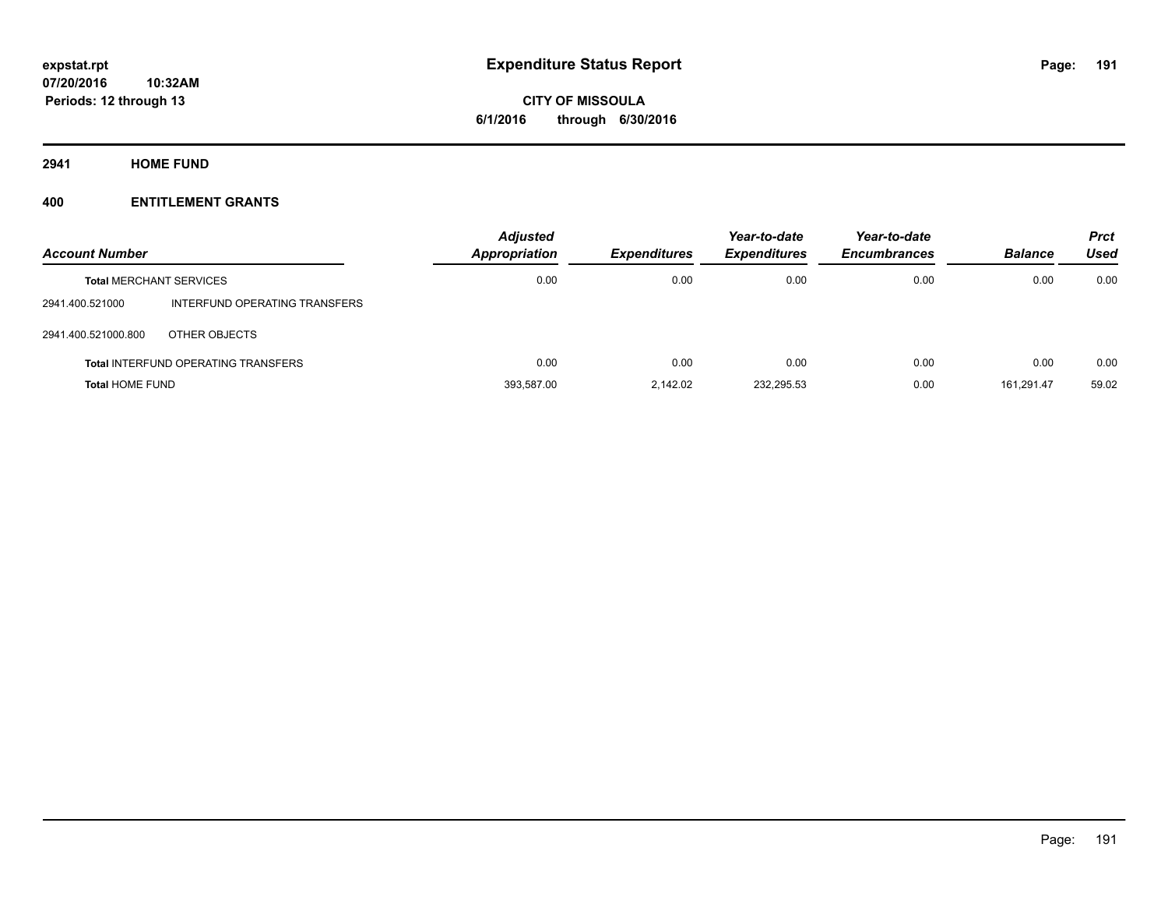**Periods: 12 through 13**

**CITY OF MISSOULA 6/1/2016 through 6/30/2016**

**2941 HOME FUND**

| <b>Account Number</b>          |                                            | <b>Adjusted</b><br>Appropriation | <b>Expenditures</b> | Year-to-date<br><b>Expenditures</b> | Year-to-date<br><b>Encumbrances</b> | <b>Balance</b> | <b>Prct</b><br>Used |
|--------------------------------|--------------------------------------------|----------------------------------|---------------------|-------------------------------------|-------------------------------------|----------------|---------------------|
| <b>Total MERCHANT SERVICES</b> |                                            | 0.00                             | 0.00                | 0.00                                | 0.00                                | 0.00           | 0.00                |
| 2941.400.521000                | INTERFUND OPERATING TRANSFERS              |                                  |                     |                                     |                                     |                |                     |
| 2941.400.521000.800            | OTHER OBJECTS                              |                                  |                     |                                     |                                     |                |                     |
|                                | <b>Total INTERFUND OPERATING TRANSFERS</b> | 0.00                             | 0.00                | 0.00                                | 0.00                                | 0.00           | 0.00                |
| <b>Total HOME FUND</b>         |                                            | 393,587.00                       | 2.142.02            | 232,295.53                          | 0.00                                | 161.291.47     | 59.02               |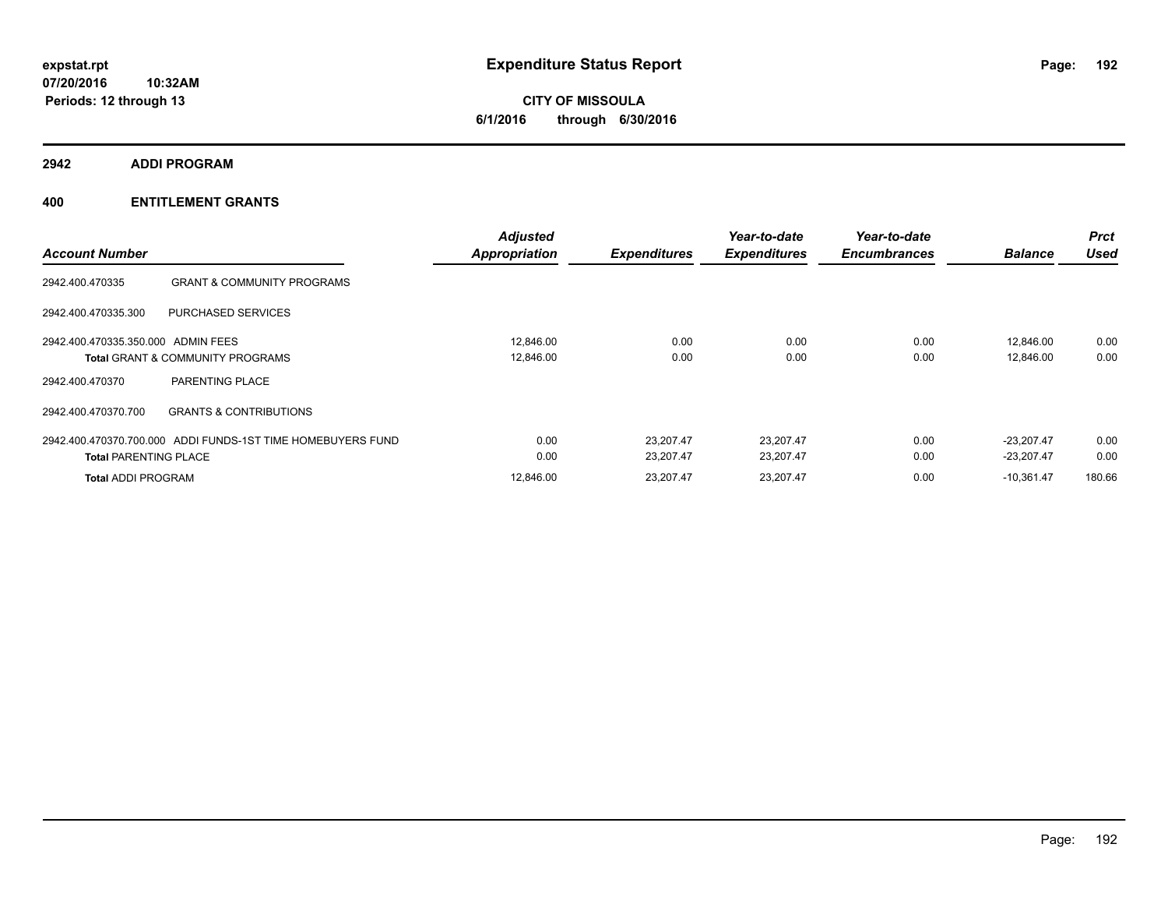**2942 ADDI PROGRAM**

| <b>Account Number</b>              |                                                             | <b>Adjusted</b><br><b>Appropriation</b> | <b>Expenditures</b>    | Year-to-date<br><b>Expenditures</b> | Year-to-date<br><b>Encumbrances</b> | <b>Balance</b>               | <b>Prct</b><br><b>Used</b> |
|------------------------------------|-------------------------------------------------------------|-----------------------------------------|------------------------|-------------------------------------|-------------------------------------|------------------------------|----------------------------|
| 2942.400.470335                    | <b>GRANT &amp; COMMUNITY PROGRAMS</b>                       |                                         |                        |                                     |                                     |                              |                            |
| 2942.400.470335.300                | <b>PURCHASED SERVICES</b>                                   |                                         |                        |                                     |                                     |                              |                            |
| 2942.400.470335.350.000 ADMIN FEES | <b>Total GRANT &amp; COMMUNITY PROGRAMS</b>                 | 12.846.00<br>12,846.00                  | 0.00<br>0.00           | 0.00<br>0.00                        | 0.00<br>0.00                        | 12.846.00<br>12,846.00       | 0.00<br>0.00               |
| 2942.400.470370                    | PARENTING PLACE                                             |                                         |                        |                                     |                                     |                              |                            |
| 2942.400.470370.700                | <b>GRANTS &amp; CONTRIBUTIONS</b>                           |                                         |                        |                                     |                                     |                              |                            |
| <b>Total PARENTING PLACE</b>       | 2942.400.470370.700.000 ADDI FUNDS-1ST TIME HOMEBUYERS FUND | 0.00<br>0.00                            | 23.207.47<br>23,207.47 | 23,207.47<br>23,207.47              | 0.00<br>0.00                        | $-23.207.47$<br>$-23,207.47$ | 0.00<br>0.00               |
| <b>Total ADDI PROGRAM</b>          |                                                             | 12,846.00                               | 23.207.47              | 23,207.47                           | 0.00                                | $-10,361.47$                 | 180.66                     |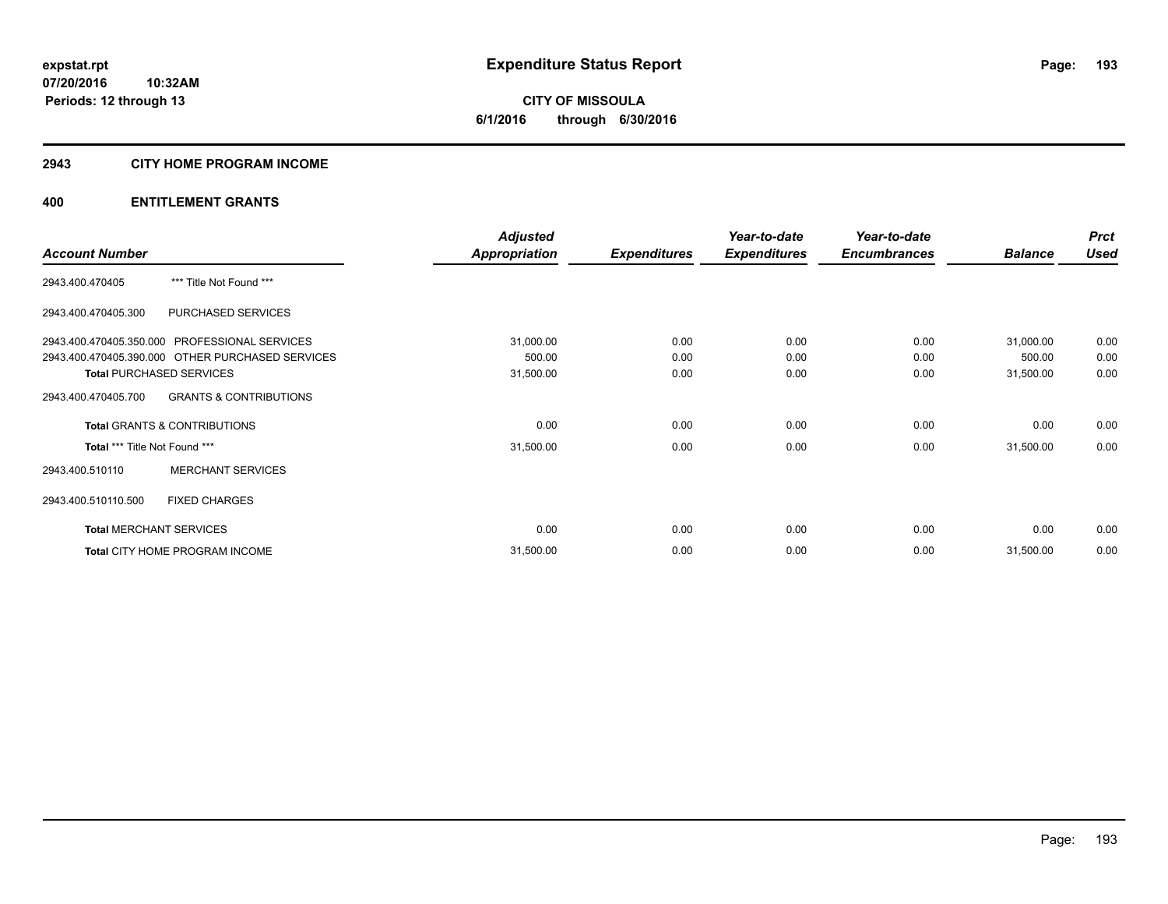**Periods: 12 through 13**

**CITY OF MISSOULA 6/1/2016 through 6/30/2016**

## **2943 CITY HOME PROGRAM INCOME**

|                                                          | <b>Adjusted</b>      |                     | Year-to-date        | Year-to-date        |                | <b>Prct</b> |
|----------------------------------------------------------|----------------------|---------------------|---------------------|---------------------|----------------|-------------|
| <b>Account Number</b>                                    | <b>Appropriation</b> | <b>Expenditures</b> | <b>Expenditures</b> | <b>Encumbrances</b> | <b>Balance</b> | <b>Used</b> |
| *** Title Not Found ***<br>2943.400.470405               |                      |                     |                     |                     |                |             |
| 2943.400.470405.300<br>PURCHASED SERVICES                |                      |                     |                     |                     |                |             |
| 2943.400.470405.350.000 PROFESSIONAL SERVICES            | 31,000.00            | 0.00                | 0.00                | 0.00                | 31,000.00      | 0.00        |
| 2943.400.470405.390.000 OTHER PURCHASED SERVICES         | 500.00               | 0.00                | 0.00                | 0.00                | 500.00         | 0.00        |
| <b>Total PURCHASED SERVICES</b>                          | 31,500.00            | 0.00                | 0.00                | 0.00                | 31,500.00      | 0.00        |
| <b>GRANTS &amp; CONTRIBUTIONS</b><br>2943.400.470405.700 |                      |                     |                     |                     |                |             |
| <b>Total GRANTS &amp; CONTRIBUTIONS</b>                  | 0.00                 | 0.00                | 0.00                | 0.00                | 0.00           | 0.00        |
| Total *** Title Not Found ***                            | 31,500.00            | 0.00                | 0.00                | 0.00                | 31,500.00      | 0.00        |
| <b>MERCHANT SERVICES</b><br>2943.400.510110              |                      |                     |                     |                     |                |             |
| 2943.400.510110.500<br><b>FIXED CHARGES</b>              |                      |                     |                     |                     |                |             |
| <b>Total MERCHANT SERVICES</b>                           | 0.00                 | 0.00                | 0.00                | 0.00                | 0.00           | 0.00        |
| Total CITY HOME PROGRAM INCOME                           | 31,500.00            | 0.00                | 0.00                | 0.00                | 31,500.00      | 0.00        |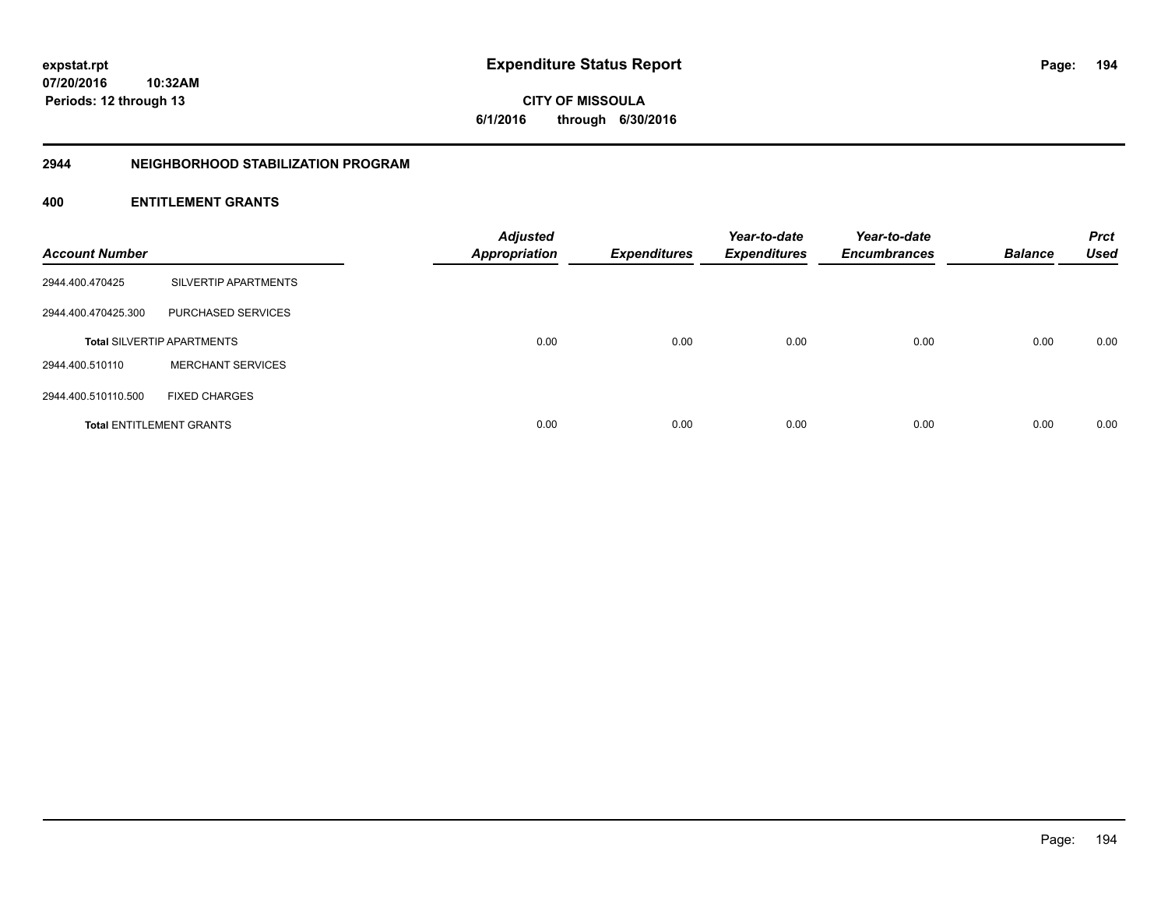**CITY OF MISSOULA 6/1/2016 through 6/30/2016**

# **2944 NEIGHBORHOOD STABILIZATION PROGRAM**

| <b>Account Number</b> |                                   | <b>Adjusted</b><br><b>Appropriation</b> | <b>Expenditures</b> | Year-to-date<br><b>Expenditures</b> | Year-to-date<br><b>Encumbrances</b> | <b>Balance</b> | <b>Prct</b><br><b>Used</b> |
|-----------------------|-----------------------------------|-----------------------------------------|---------------------|-------------------------------------|-------------------------------------|----------------|----------------------------|
| 2944.400.470425       | SILVERTIP APARTMENTS              |                                         |                     |                                     |                                     |                |                            |
| 2944.400.470425.300   | PURCHASED SERVICES                |                                         |                     |                                     |                                     |                |                            |
|                       | <b>Total SILVERTIP APARTMENTS</b> | 0.00                                    | 0.00                | 0.00                                | 0.00                                | 0.00           | 0.00                       |
| 2944.400.510110       | <b>MERCHANT SERVICES</b>          |                                         |                     |                                     |                                     |                |                            |
| 2944.400.510110.500   | <b>FIXED CHARGES</b>              |                                         |                     |                                     |                                     |                |                            |
|                       | <b>Total ENTITLEMENT GRANTS</b>   | 0.00                                    | 0.00                | 0.00                                | 0.00                                | 0.00           | 0.00                       |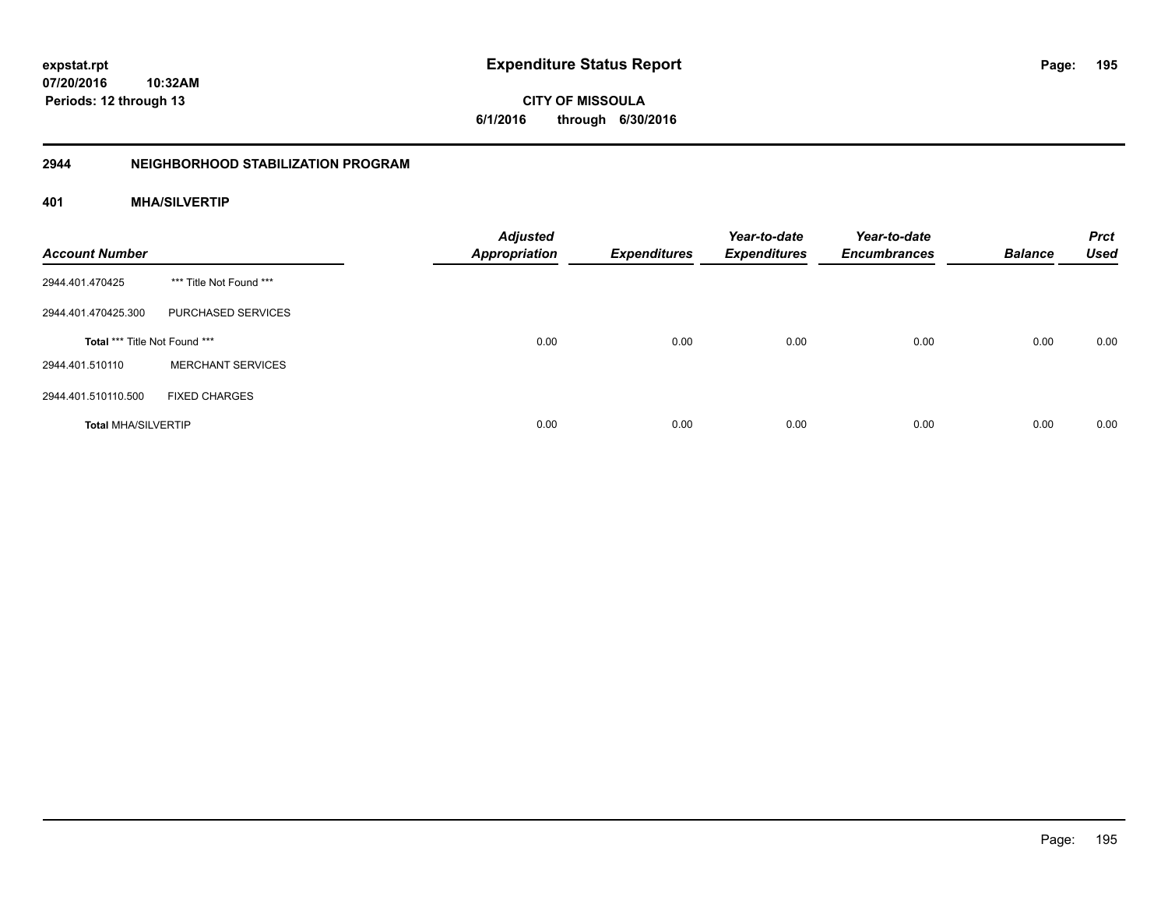**CITY OF MISSOULA 6/1/2016 through 6/30/2016**

# **2944 NEIGHBORHOOD STABILIZATION PROGRAM**

# **401 MHA/SILVERTIP**

| <b>Account Number</b>         |                          | <b>Adjusted</b><br><b>Appropriation</b> | <b>Expenditures</b> | Year-to-date<br><b>Expenditures</b> | Year-to-date<br><b>Encumbrances</b> | <b>Balance</b> | <b>Prct</b><br><b>Used</b> |
|-------------------------------|--------------------------|-----------------------------------------|---------------------|-------------------------------------|-------------------------------------|----------------|----------------------------|
| 2944.401.470425               | *** Title Not Found ***  |                                         |                     |                                     |                                     |                |                            |
| 2944.401.470425.300           | PURCHASED SERVICES       |                                         |                     |                                     |                                     |                |                            |
| Total *** Title Not Found *** |                          | 0.00                                    | 0.00                | 0.00                                | 0.00                                | 0.00           | 0.00                       |
| 2944.401.510110               | <b>MERCHANT SERVICES</b> |                                         |                     |                                     |                                     |                |                            |
| 2944.401.510110.500           | <b>FIXED CHARGES</b>     |                                         |                     |                                     |                                     |                |                            |
| <b>Total MHA/SILVERTIP</b>    |                          | 0.00                                    | 0.00                | 0.00                                | 0.00                                | 0.00           | 0.00                       |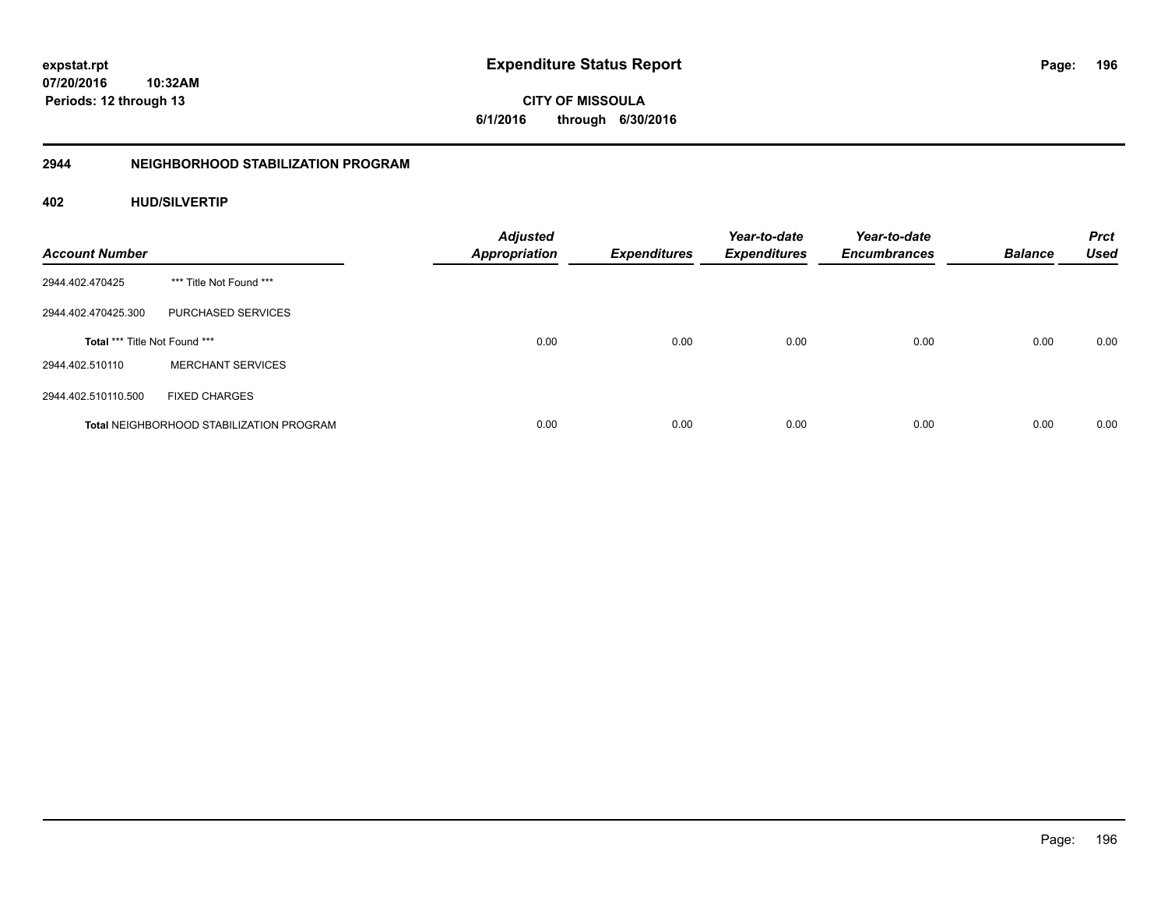**CITY OF MISSOULA 6/1/2016 through 6/30/2016**

# **2944 NEIGHBORHOOD STABILIZATION PROGRAM**

# **402 HUD/SILVERTIP**

| <b>Account Number</b>         |                                                 | <b>Adjusted</b><br><b>Appropriation</b> | <b>Expenditures</b> | Year-to-date<br><b>Expenditures</b> | Year-to-date<br><b>Encumbrances</b> | <b>Balance</b> | <b>Prct</b><br><b>Used</b> |
|-------------------------------|-------------------------------------------------|-----------------------------------------|---------------------|-------------------------------------|-------------------------------------|----------------|----------------------------|
| 2944.402.470425               | *** Title Not Found ***                         |                                         |                     |                                     |                                     |                |                            |
| 2944.402.470425.300           | PURCHASED SERVICES                              |                                         |                     |                                     |                                     |                |                            |
| Total *** Title Not Found *** |                                                 | 0.00                                    | 0.00                | 0.00                                | 0.00                                | 0.00           | 0.00                       |
| 2944.402.510110               | <b>MERCHANT SERVICES</b>                        |                                         |                     |                                     |                                     |                |                            |
| 2944.402.510110.500           | <b>FIXED CHARGES</b>                            |                                         |                     |                                     |                                     |                |                            |
|                               | <b>Total NEIGHBORHOOD STABILIZATION PROGRAM</b> | 0.00                                    | 0.00                | 0.00                                | 0.00                                | 0.00           | 0.00                       |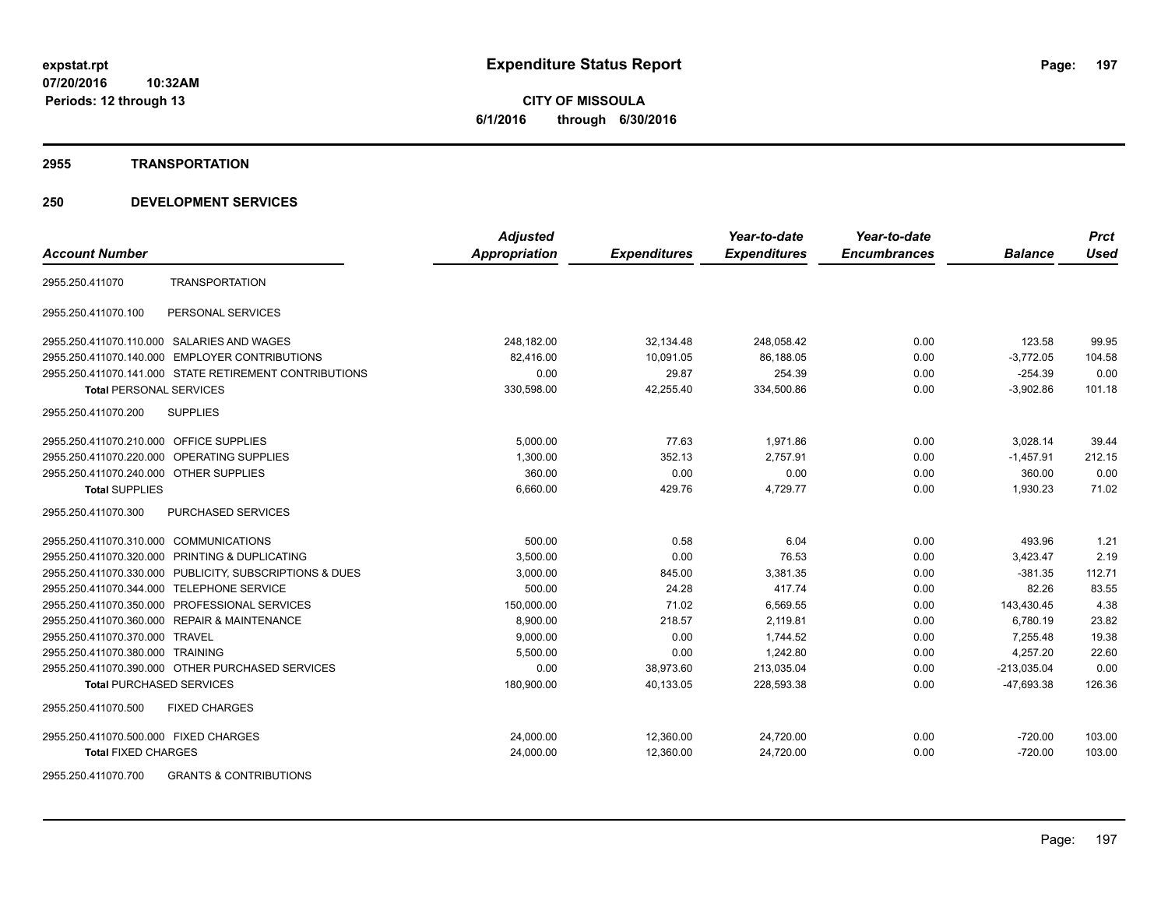## **2955 TRANSPORTATION**

| <b>Account Number</b>                                    | <b>Adjusted</b><br>Appropriation | <b>Expenditures</b> | Year-to-date<br><b>Expenditures</b> | Year-to-date<br><b>Encumbrances</b> | <b>Balance</b> | <b>Prct</b><br><b>Used</b> |
|----------------------------------------------------------|----------------------------------|---------------------|-------------------------------------|-------------------------------------|----------------|----------------------------|
|                                                          |                                  |                     |                                     |                                     |                |                            |
| <b>TRANSPORTATION</b><br>2955.250.411070                 |                                  |                     |                                     |                                     |                |                            |
| 2955.250.411070.100<br>PERSONAL SERVICES                 |                                  |                     |                                     |                                     |                |                            |
| 2955.250.411070.110.000 SALARIES AND WAGES               | 248,182.00                       | 32,134.48           | 248,058.42                          | 0.00                                | 123.58         | 99.95                      |
| 2955.250.411070.140.000 EMPLOYER CONTRIBUTIONS           | 82.416.00                        | 10,091.05           | 86.188.05                           | 0.00                                | $-3,772.05$    | 104.58                     |
| 2955.250.411070.141.000 STATE RETIREMENT CONTRIBUTIONS   | 0.00                             | 29.87               | 254.39                              | 0.00                                | $-254.39$      | 0.00                       |
| <b>Total PERSONAL SERVICES</b>                           | 330,598.00                       | 42,255.40           | 334,500.86                          | 0.00                                | $-3,902.86$    | 101.18                     |
| 2955.250.411070.200<br><b>SUPPLIES</b>                   |                                  |                     |                                     |                                     |                |                            |
| 2955.250.411070.210.000 OFFICE SUPPLIES                  | 5,000.00                         | 77.63               | 1,971.86                            | 0.00                                | 3,028.14       | 39.44                      |
| 2955.250.411070.220.000 OPERATING SUPPLIES               | 1,300.00                         | 352.13              | 2,757.91                            | 0.00                                | $-1,457.91$    | 212.15                     |
| 2955.250.411070.240.000 OTHER SUPPLIES                   | 360.00                           | 0.00                | 0.00                                | 0.00                                | 360.00         | 0.00                       |
| <b>Total SUPPLIES</b>                                    | 6,660.00                         | 429.76              | 4,729.77                            | 0.00                                | 1,930.23       | 71.02                      |
| 2955.250.411070.300<br><b>PURCHASED SERVICES</b>         |                                  |                     |                                     |                                     |                |                            |
| 2955.250.411070.310.000 COMMUNICATIONS                   | 500.00                           | 0.58                | 6.04                                | 0.00                                | 493.96         | 1.21                       |
| 2955.250.411070.320.000 PRINTING & DUPLICATING           | 3,500.00                         | 0.00                | 76.53                               | 0.00                                | 3,423.47       | 2.19                       |
| 2955.250.411070.330.000 PUBLICITY, SUBSCRIPTIONS & DUES  | 3,000.00                         | 845.00              | 3,381.35                            | 0.00                                | $-381.35$      | 112.71                     |
| 2955.250.411070.344.000 TELEPHONE SERVICE                | 500.00                           | 24.28               | 417.74                              | 0.00                                | 82.26          | 83.55                      |
| 2955.250.411070.350.000 PROFESSIONAL SERVICES            | 150,000.00                       | 71.02               | 6,569.55                            | 0.00                                | 143,430.45     | 4.38                       |
| 2955.250.411070.360.000 REPAIR & MAINTENANCE             | 8,900.00                         | 218.57              | 2,119.81                            | 0.00                                | 6,780.19       | 23.82                      |
| 2955.250.411070.370.000 TRAVEL                           | 9,000.00                         | 0.00                | 1,744.52                            | 0.00                                | 7,255.48       | 19.38                      |
| 2955.250.411070.380.000 TRAINING                         | 5,500.00                         | 0.00                | 1,242.80                            | 0.00                                | 4,257.20       | 22.60                      |
| 2955.250.411070.390.000 OTHER PURCHASED SERVICES         | 0.00                             | 38,973.60           | 213,035.04                          | 0.00                                | $-213,035.04$  | 0.00                       |
| <b>Total PURCHASED SERVICES</b>                          | 180,900.00                       | 40,133.05           | 228,593.38                          | 0.00                                | -47,693.38     | 126.36                     |
| <b>FIXED CHARGES</b><br>2955.250.411070.500              |                                  |                     |                                     |                                     |                |                            |
| 2955.250.411070.500.000 FIXED CHARGES                    | 24,000.00                        | 12,360.00           | 24,720.00                           | 0.00                                | $-720.00$      | 103.00                     |
| <b>Total FIXED CHARGES</b>                               | 24,000.00                        | 12,360.00           | 24,720.00                           | 0.00                                | $-720.00$      | 103.00                     |
| 2955.250.411070.700<br><b>GRANTS &amp; CONTRIBUTIONS</b> |                                  |                     |                                     |                                     |                |                            |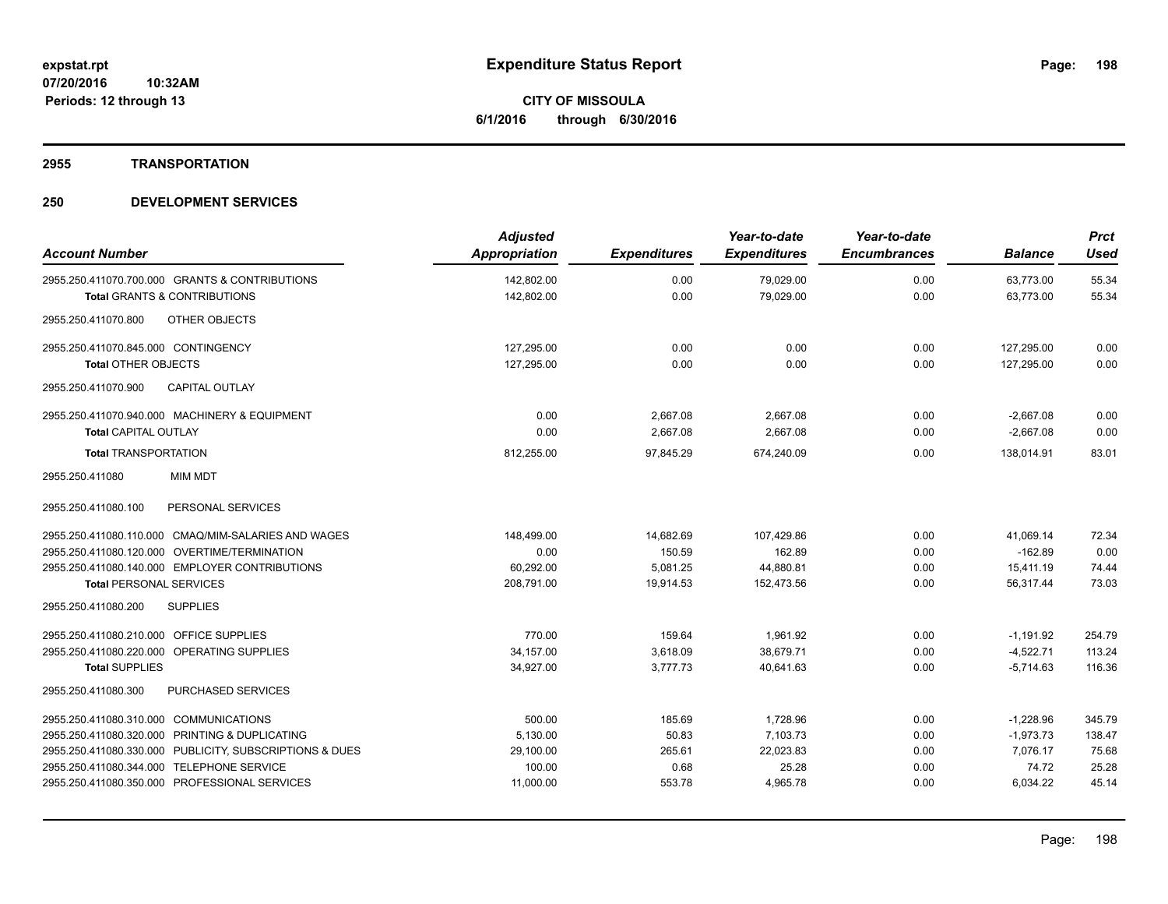## **2955 TRANSPORTATION**

|                                                         | <b>Adjusted</b> |                     | Year-to-date        | Year-to-date        |                | <b>Prct</b> |
|---------------------------------------------------------|-----------------|---------------------|---------------------|---------------------|----------------|-------------|
| <b>Account Number</b>                                   | Appropriation   | <b>Expenditures</b> | <b>Expenditures</b> | <b>Encumbrances</b> | <b>Balance</b> | <b>Used</b> |
| 2955.250.411070.700.000 GRANTS & CONTRIBUTIONS          | 142,802.00      | 0.00                | 79,029.00           | 0.00                | 63,773.00      | 55.34       |
| <b>Total GRANTS &amp; CONTRIBUTIONS</b>                 | 142,802.00      | 0.00                | 79,029.00           | 0.00                | 63,773.00      | 55.34       |
| OTHER OBJECTS<br>2955.250.411070.800                    |                 |                     |                     |                     |                |             |
| 2955.250.411070.845.000 CONTINGENCY                     | 127,295.00      | 0.00                | 0.00                | 0.00                | 127,295.00     | 0.00        |
| <b>Total OTHER OBJECTS</b>                              | 127,295.00      | 0.00                | 0.00                | 0.00                | 127.295.00     | 0.00        |
| 2955.250.411070.900<br><b>CAPITAL OUTLAY</b>            |                 |                     |                     |                     |                |             |
| 2955.250.411070.940.000 MACHINERY & EQUIPMENT           | 0.00            | 2,667.08            | 2,667.08            | 0.00                | $-2,667.08$    | 0.00        |
| <b>Total CAPITAL OUTLAY</b>                             | 0.00            | 2,667.08            | 2,667.08            | 0.00                | $-2,667.08$    | 0.00        |
| <b>Total TRANSPORTATION</b>                             | 812,255.00      | 97,845.29           | 674,240.09          | 0.00                | 138,014.91     | 83.01       |
| <b>MIM MDT</b><br>2955.250.411080                       |                 |                     |                     |                     |                |             |
| PERSONAL SERVICES<br>2955.250.411080.100                |                 |                     |                     |                     |                |             |
| 2955.250.411080.110.000 CMAQ/MIM-SALARIES AND WAGES     | 148,499.00      | 14,682.69           | 107,429.86          | 0.00                | 41,069.14      | 72.34       |
| 2955.250.411080.120.000 OVERTIME/TERMINATION            | 0.00            | 150.59              | 162.89              | 0.00                | $-162.89$      | 0.00        |
| 2955.250.411080.140.000 EMPLOYER CONTRIBUTIONS          | 60.292.00       | 5.081.25            | 44.880.81           | 0.00                | 15,411.19      | 74.44       |
| <b>Total PERSONAL SERVICES</b>                          | 208,791.00      | 19,914.53           | 152,473.56          | 0.00                | 56,317.44      | 73.03       |
| <b>SUPPLIES</b><br>2955.250.411080.200                  |                 |                     |                     |                     |                |             |
| 2955.250.411080.210.000 OFFICE SUPPLIES                 | 770.00          | 159.64              | 1.961.92            | 0.00                | $-1,191.92$    | 254.79      |
| 2955.250.411080.220.000 OPERATING SUPPLIES              | 34,157.00       | 3,618.09            | 38,679.71           | 0.00                | $-4,522.71$    | 113.24      |
| <b>Total SUPPLIES</b>                                   | 34,927.00       | 3,777.73            | 40,641.63           | 0.00                | $-5.714.63$    | 116.36      |
| 2955.250.411080.300<br>PURCHASED SERVICES               |                 |                     |                     |                     |                |             |
| 2955.250.411080.310.000 COMMUNICATIONS                  | 500.00          | 185.69              | 1,728.96            | 0.00                | $-1,228.96$    | 345.79      |
| 2955.250.411080.320.000 PRINTING & DUPLICATING          | 5,130.00        | 50.83               | 7,103.73            | 0.00                | $-1,973.73$    | 138.47      |
| 2955.250.411080.330.000 PUBLICITY, SUBSCRIPTIONS & DUES | 29,100.00       | 265.61              | 22,023.83           | 0.00                | 7.076.17       | 75.68       |
| 2955.250.411080.344.000 TELEPHONE SERVICE               | 100.00          | 0.68                | 25.28               | 0.00                | 74.72          | 25.28       |
| 2955.250.411080.350.000 PROFESSIONAL SERVICES           | 11,000.00       | 553.78              | 4,965.78            | 0.00                | 6,034.22       | 45.14       |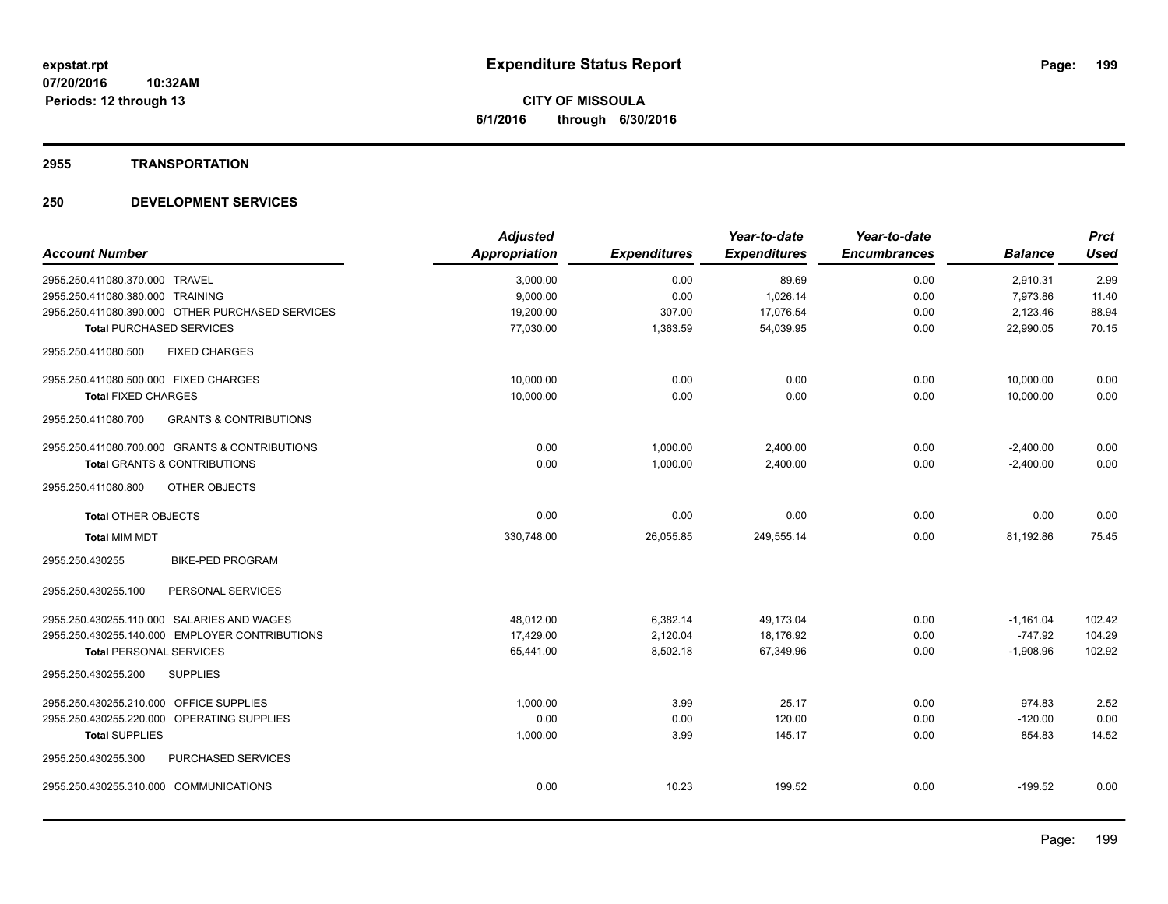## **2955 TRANSPORTATION**

|                                            |                                                  | <b>Adjusted</b> |                     | Year-to-date        | Year-to-date        |                | <b>Prct</b> |
|--------------------------------------------|--------------------------------------------------|-----------------|---------------------|---------------------|---------------------|----------------|-------------|
| <b>Account Number</b>                      |                                                  | Appropriation   | <b>Expenditures</b> | <b>Expenditures</b> | <b>Encumbrances</b> | <b>Balance</b> | <b>Used</b> |
| 2955.250.411080.370.000 TRAVEL             |                                                  | 3,000.00        | 0.00                | 89.69               | 0.00                | 2,910.31       | 2.99        |
| 2955.250.411080.380.000 TRAINING           |                                                  | 9,000.00        | 0.00                | 1,026.14            | 0.00                | 7,973.86       | 11.40       |
|                                            | 2955.250.411080.390.000 OTHER PURCHASED SERVICES | 19,200.00       | 307.00              | 17,076.54           | 0.00                | 2,123.46       | 88.94       |
| <b>Total PURCHASED SERVICES</b>            |                                                  | 77,030.00       | 1,363.59            | 54,039.95           | 0.00                | 22,990.05      | 70.15       |
| 2955.250.411080.500                        | <b>FIXED CHARGES</b>                             |                 |                     |                     |                     |                |             |
| 2955.250.411080.500.000 FIXED CHARGES      |                                                  | 10,000.00       | 0.00                | 0.00                | 0.00                | 10,000.00      | 0.00        |
| <b>Total FIXED CHARGES</b>                 |                                                  | 10,000.00       | 0.00                | 0.00                | 0.00                | 10,000.00      | 0.00        |
| 2955.250.411080.700                        | <b>GRANTS &amp; CONTRIBUTIONS</b>                |                 |                     |                     |                     |                |             |
|                                            | 2955.250.411080.700.000 GRANTS & CONTRIBUTIONS   | 0.00            | 1,000.00            | 2,400.00            | 0.00                | $-2,400.00$    | 0.00        |
| <b>Total GRANTS &amp; CONTRIBUTIONS</b>    |                                                  | 0.00            | 1,000.00            | 2,400.00            | 0.00                | $-2,400.00$    | 0.00        |
| 2955.250.411080.800                        | OTHER OBJECTS                                    |                 |                     |                     |                     |                |             |
| <b>Total OTHER OBJECTS</b>                 |                                                  | 0.00            | 0.00                | 0.00                | 0.00                | 0.00           | 0.00        |
| <b>Total MIM MDT</b>                       |                                                  | 330,748.00      | 26,055.85           | 249,555.14          | 0.00                | 81,192.86      | 75.45       |
| 2955.250.430255                            | <b>BIKE-PED PROGRAM</b>                          |                 |                     |                     |                     |                |             |
| 2955.250.430255.100                        | PERSONAL SERVICES                                |                 |                     |                     |                     |                |             |
| 2955.250.430255.110.000 SALARIES AND WAGES |                                                  | 48,012.00       | 6,382.14            | 49,173.04           | 0.00                | $-1,161.04$    | 102.42      |
|                                            | 2955.250.430255.140.000 EMPLOYER CONTRIBUTIONS   | 17.429.00       | 2,120.04            | 18.176.92           | 0.00                | $-747.92$      | 104.29      |
| <b>Total PERSONAL SERVICES</b>             |                                                  | 65,441.00       | 8,502.18            | 67,349.96           | 0.00                | $-1,908.96$    | 102.92      |
| 2955.250.430255.200                        | <b>SUPPLIES</b>                                  |                 |                     |                     |                     |                |             |
| 2955.250.430255.210.000 OFFICE SUPPLIES    |                                                  | 1,000.00        | 3.99                | 25.17               | 0.00                | 974.83         | 2.52        |
| 2955.250.430255.220.000 OPERATING SUPPLIES |                                                  | 0.00            | 0.00                | 120.00              | 0.00                | $-120.00$      | 0.00        |
| <b>Total SUPPLIES</b>                      |                                                  | 1,000.00        | 3.99                | 145.17              | 0.00                | 854.83         | 14.52       |
| 2955.250.430255.300                        | PURCHASED SERVICES                               |                 |                     |                     |                     |                |             |
| 2955.250.430255.310.000 COMMUNICATIONS     |                                                  | 0.00            | 10.23               | 199.52              | 0.00                | $-199.52$      | 0.00        |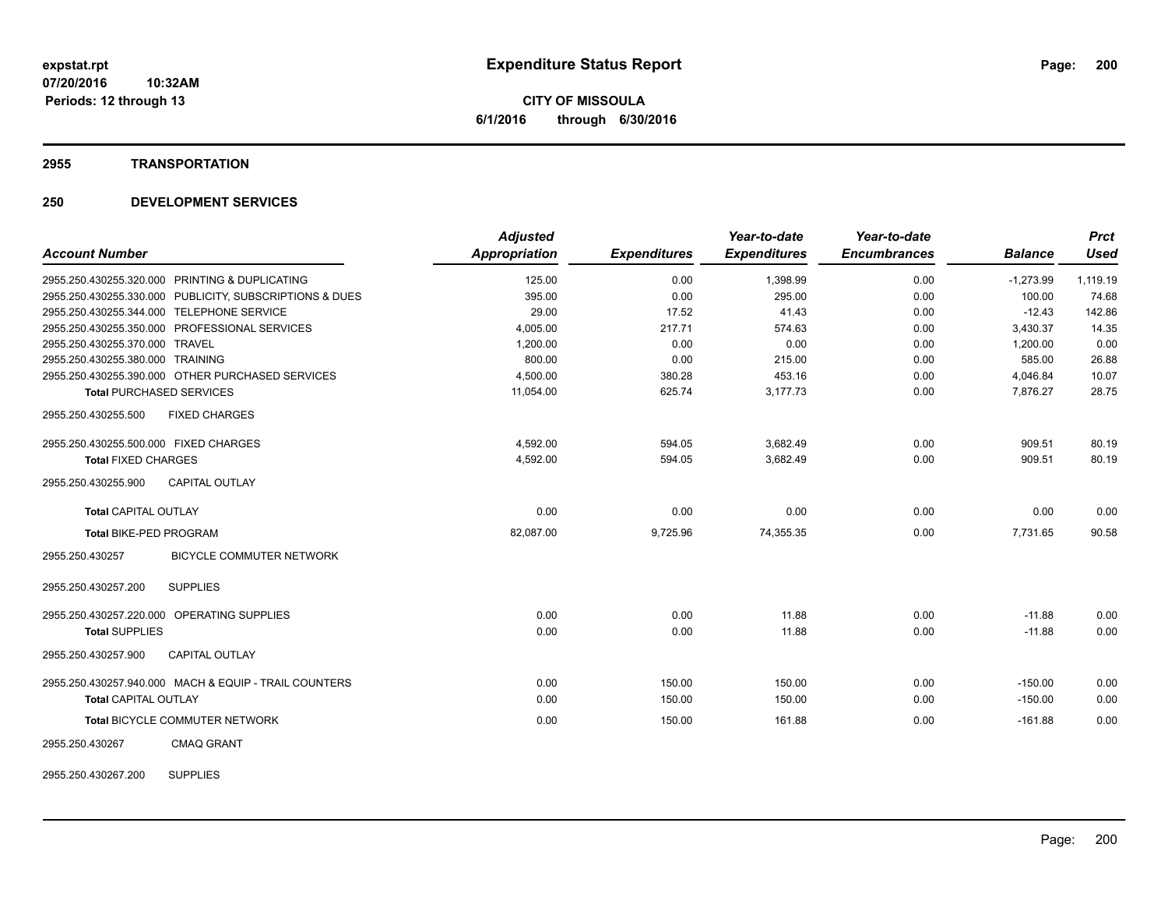## **2955 TRANSPORTATION**

| <b>Account Number</b>                                   | <b>Adjusted</b><br><b>Appropriation</b> | <b>Expenditures</b> | Year-to-date<br><b>Expenditures</b> | Year-to-date<br><b>Encumbrances</b> | <b>Balance</b> | <b>Prct</b><br><b>Used</b> |
|---------------------------------------------------------|-----------------------------------------|---------------------|-------------------------------------|-------------------------------------|----------------|----------------------------|
|                                                         |                                         |                     |                                     |                                     |                |                            |
| 2955.250.430255.320.000 PRINTING & DUPLICATING          | 125.00                                  | 0.00                | 1,398.99                            | 0.00                                | $-1,273.99$    | 1,119.19                   |
| 2955.250.430255.330.000 PUBLICITY, SUBSCRIPTIONS & DUES | 395.00                                  | 0.00                | 295.00                              | 0.00                                | 100.00         | 74.68                      |
| 2955.250.430255.344.000 TELEPHONE SERVICE               | 29.00                                   | 17.52               | 41.43                               | 0.00                                | $-12.43$       | 142.86                     |
| 2955.250.430255.350.000 PROFESSIONAL SERVICES           | 4,005.00                                | 217.71              | 574.63                              | 0.00                                | 3,430.37       | 14.35                      |
| 2955.250.430255.370.000 TRAVEL                          | 1,200.00                                | 0.00                | 0.00                                | 0.00                                | 1,200.00       | 0.00                       |
| 2955.250.430255.380.000 TRAINING                        | 800.00                                  | 0.00                | 215.00                              | 0.00                                | 585.00         | 26.88                      |
| 2955.250.430255.390.000 OTHER PURCHASED SERVICES        | 4,500.00                                | 380.28              | 453.16                              | 0.00                                | 4,046.84       | 10.07                      |
| <b>Total PURCHASED SERVICES</b>                         | 11,054.00                               | 625.74              | 3,177.73                            | 0.00                                | 7,876.27       | 28.75                      |
| <b>FIXED CHARGES</b><br>2955.250.430255.500             |                                         |                     |                                     |                                     |                |                            |
| 2955.250.430255.500.000 FIXED CHARGES                   | 4,592.00                                | 594.05              | 3,682.49                            | 0.00                                | 909.51         | 80.19                      |
| <b>Total FIXED CHARGES</b>                              | 4,592.00                                | 594.05              | 3,682.49                            | 0.00                                | 909.51         | 80.19                      |
| <b>CAPITAL OUTLAY</b><br>2955.250.430255.900            |                                         |                     |                                     |                                     |                |                            |
| <b>Total CAPITAL OUTLAY</b>                             | 0.00                                    | 0.00                | 0.00                                | 0.00                                | 0.00           | 0.00                       |
| Total BIKE-PED PROGRAM                                  | 82,087.00                               | 9,725.96            | 74,355.35                           | 0.00                                | 7,731.65       | 90.58                      |
| 2955.250.430257<br><b>BICYCLE COMMUTER NETWORK</b>      |                                         |                     |                                     |                                     |                |                            |
| <b>SUPPLIES</b><br>2955.250.430257.200                  |                                         |                     |                                     |                                     |                |                            |
| 2955.250.430257.220.000 OPERATING SUPPLIES              | 0.00                                    | 0.00                | 11.88                               | 0.00                                | $-11.88$       | 0.00                       |
| <b>Total SUPPLIES</b>                                   | 0.00                                    | 0.00                | 11.88                               | 0.00                                | $-11.88$       | 0.00                       |
| 2955.250.430257.900<br><b>CAPITAL OUTLAY</b>            |                                         |                     |                                     |                                     |                |                            |
| 2955.250.430257.940.000 MACH & EQUIP - TRAIL COUNTERS   | 0.00                                    | 150.00              | 150.00                              | 0.00                                | $-150.00$      | 0.00                       |
| <b>Total CAPITAL OUTLAY</b>                             | 0.00                                    | 150.00              | 150.00                              | 0.00                                | $-150.00$      | 0.00                       |
| Total BICYCLE COMMUTER NETWORK                          | 0.00                                    | 150.00              | 161.88                              | 0.00                                | $-161.88$      | 0.00                       |
| 2955.250.430267<br><b>CMAQ GRANT</b>                    |                                         |                     |                                     |                                     |                |                            |
| <b>SUPPLIES</b><br>2955.250.430267.200                  |                                         |                     |                                     |                                     |                |                            |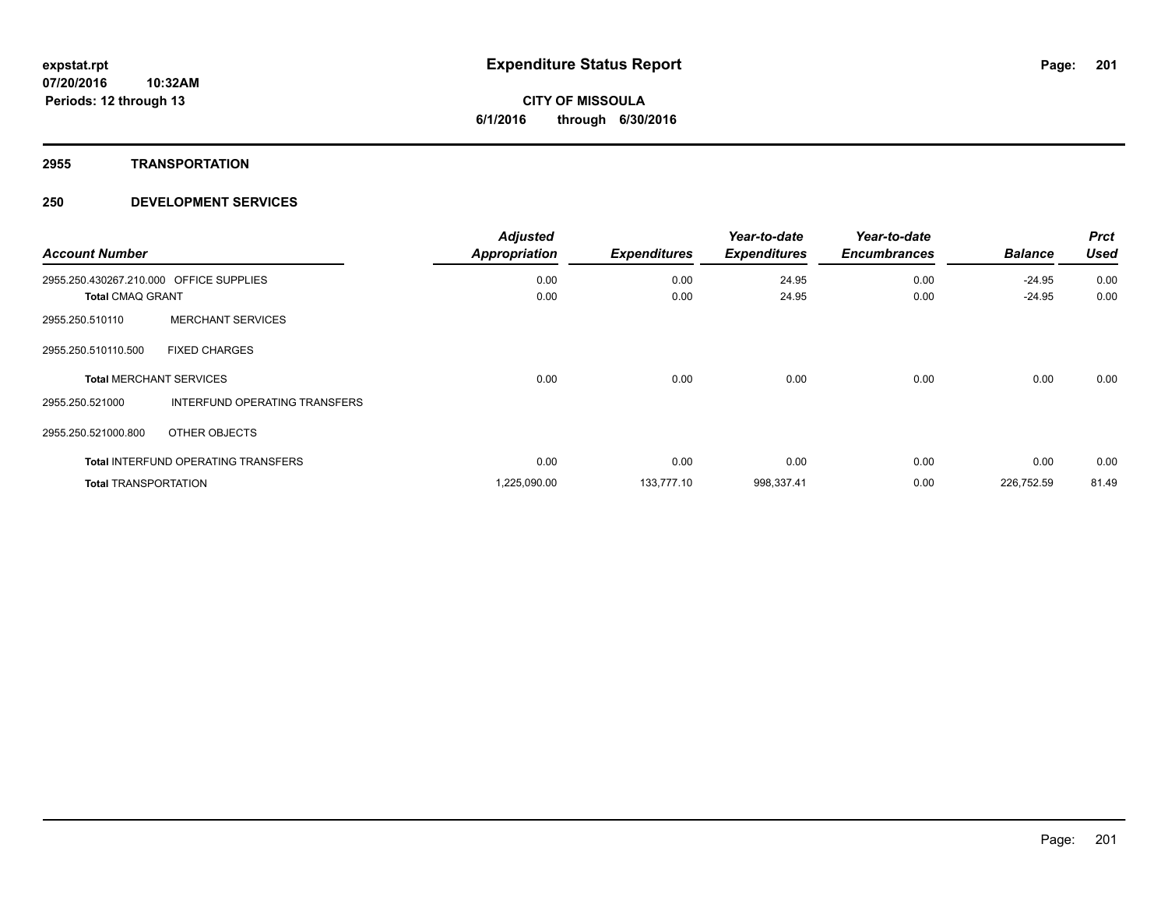## **2955 TRANSPORTATION**

| <b>Account Number</b>                                              |                                            | <b>Adjusted</b><br><b>Appropriation</b> | <b>Expenditures</b> | Year-to-date<br><b>Expenditures</b> | Year-to-date<br><b>Encumbrances</b> | <b>Balance</b>       | <b>Prct</b><br><b>Used</b> |
|--------------------------------------------------------------------|--------------------------------------------|-----------------------------------------|---------------------|-------------------------------------|-------------------------------------|----------------------|----------------------------|
| 2955.250.430267.210.000 OFFICE SUPPLIES<br><b>Total CMAQ GRANT</b> |                                            | 0.00<br>0.00                            | 0.00<br>0.00        | 24.95<br>24.95                      | 0.00<br>0.00                        | $-24.95$<br>$-24.95$ | 0.00<br>0.00               |
| 2955.250.510110                                                    | <b>MERCHANT SERVICES</b>                   |                                         |                     |                                     |                                     |                      |                            |
| 2955.250.510110.500                                                | <b>FIXED CHARGES</b>                       |                                         |                     |                                     |                                     |                      |                            |
|                                                                    | <b>Total MERCHANT SERVICES</b>             | 0.00                                    | 0.00                | 0.00                                | 0.00                                | 0.00                 | 0.00                       |
| 2955.250.521000                                                    | INTERFUND OPERATING TRANSFERS              |                                         |                     |                                     |                                     |                      |                            |
| 2955.250.521000.800                                                | OTHER OBJECTS                              |                                         |                     |                                     |                                     |                      |                            |
|                                                                    | <b>Total INTERFUND OPERATING TRANSFERS</b> | 0.00                                    | 0.00                | 0.00                                | 0.00                                | 0.00                 | 0.00                       |
| <b>Total TRANSPORTATION</b>                                        |                                            | 1,225,090.00                            | 133,777.10          | 998,337.41                          | 0.00                                | 226,752.59           | 81.49                      |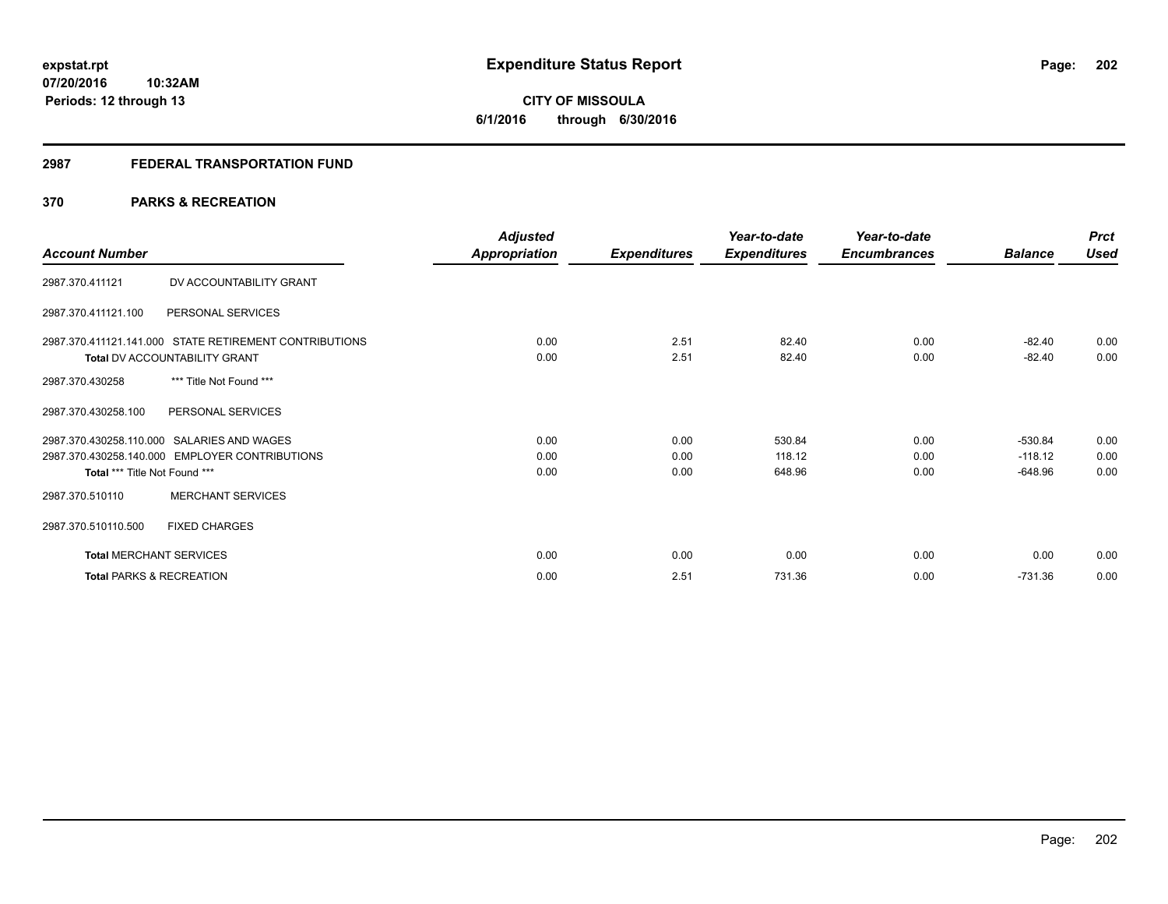# **CITY OF MISSOULA 6/1/2016 through 6/30/2016**

## **2987 FEDERAL TRANSPORTATION FUND**

# **370 PARKS & RECREATION**

| <b>Account Number</b>               |                                                        | <b>Adjusted</b><br><b>Appropriation</b> | <b>Expenditures</b> | Year-to-date<br><b>Expenditures</b> | Year-to-date<br><b>Encumbrances</b> | <b>Balance</b> | <b>Prct</b><br><b>Used</b> |
|-------------------------------------|--------------------------------------------------------|-----------------------------------------|---------------------|-------------------------------------|-------------------------------------|----------------|----------------------------|
|                                     |                                                        |                                         |                     |                                     |                                     |                |                            |
| 2987.370.411121                     | DV ACCOUNTABILITY GRANT                                |                                         |                     |                                     |                                     |                |                            |
| 2987.370.411121.100                 | PERSONAL SERVICES                                      |                                         |                     |                                     |                                     |                |                            |
|                                     | 2987.370.411121.141.000 STATE RETIREMENT CONTRIBUTIONS | 0.00                                    | 2.51                | 82.40                               | 0.00                                | $-82.40$       | 0.00                       |
|                                     | <b>Total DV ACCOUNTABILITY GRANT</b>                   | 0.00                                    | 2.51                | 82.40                               | 0.00                                | $-82.40$       | 0.00                       |
| 2987.370.430258                     | *** Title Not Found ***                                |                                         |                     |                                     |                                     |                |                            |
| 2987.370.430258.100                 | PERSONAL SERVICES                                      |                                         |                     |                                     |                                     |                |                            |
|                                     | 2987.370.430258.110.000 SALARIES AND WAGES             | 0.00                                    | 0.00                | 530.84                              | 0.00                                | $-530.84$      | 0.00                       |
|                                     | 2987.370.430258.140.000 EMPLOYER CONTRIBUTIONS         | 0.00                                    | 0.00                | 118.12                              | 0.00                                | $-118.12$      | 0.00                       |
| Total *** Title Not Found ***       |                                                        | 0.00                                    | 0.00                | 648.96                              | 0.00                                | $-648.96$      | 0.00                       |
| 2987.370.510110                     | <b>MERCHANT SERVICES</b>                               |                                         |                     |                                     |                                     |                |                            |
| 2987.370.510110.500                 | <b>FIXED CHARGES</b>                                   |                                         |                     |                                     |                                     |                |                            |
| <b>Total MERCHANT SERVICES</b>      |                                                        | 0.00                                    | 0.00                | 0.00                                | 0.00                                | 0.00           | 0.00                       |
| <b>Total PARKS &amp; RECREATION</b> |                                                        | 0.00                                    | 2.51                | 731.36                              | 0.00                                | $-731.36$      | 0.00                       |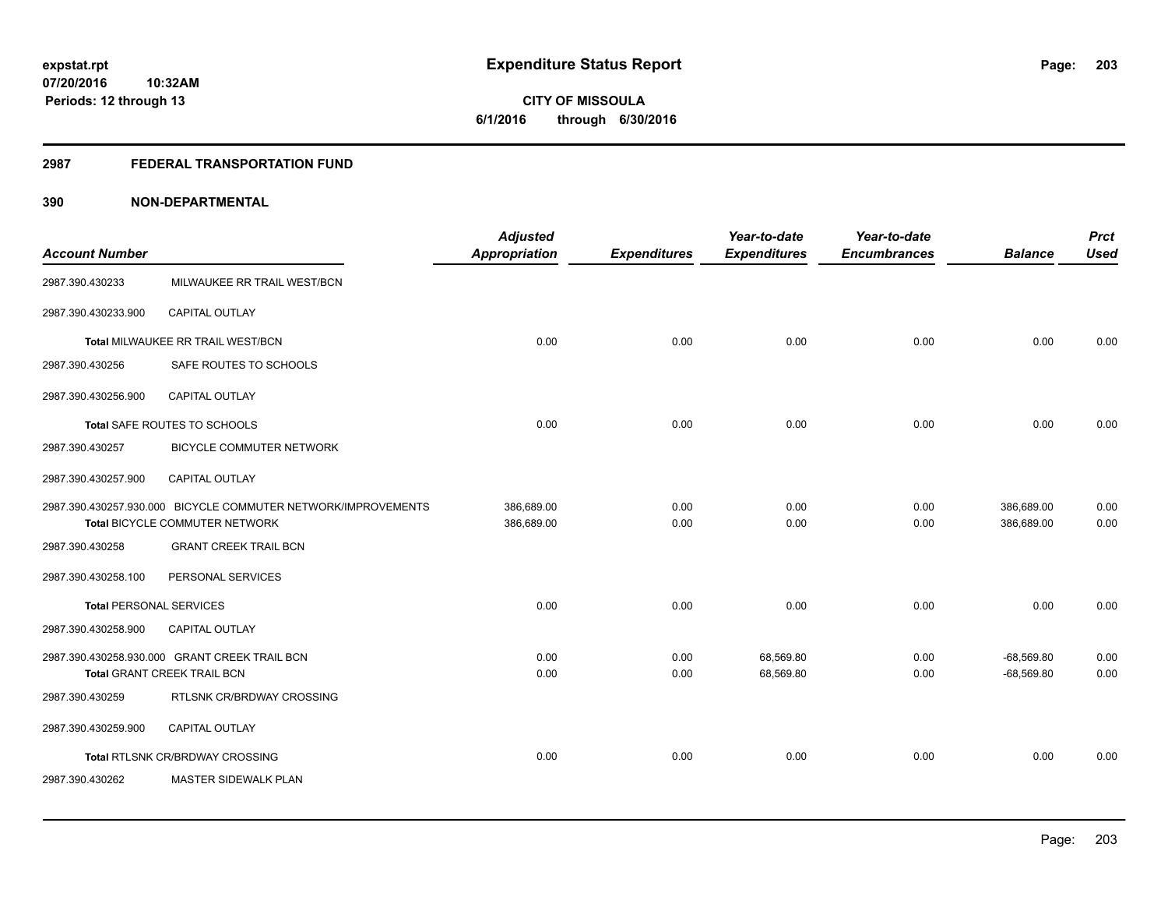**203**

**07/20/2016 10:32AM Periods: 12 through 13**

**CITY OF MISSOULA 6/1/2016 through 6/30/2016**

## **2987 FEDERAL TRANSPORTATION FUND**

| <b>Account Number</b>          |                                                                                                 | <b>Adjusted</b><br><b>Appropriation</b> | <b>Expenditures</b> | Year-to-date<br><b>Expenditures</b> | Year-to-date<br><b>Encumbrances</b> | <b>Balance</b>               | <b>Prct</b><br><b>Used</b> |
|--------------------------------|-------------------------------------------------------------------------------------------------|-----------------------------------------|---------------------|-------------------------------------|-------------------------------------|------------------------------|----------------------------|
| 2987.390.430233                | MILWAUKEE RR TRAIL WEST/BCN                                                                     |                                         |                     |                                     |                                     |                              |                            |
| 2987.390.430233.900            | CAPITAL OUTLAY                                                                                  |                                         |                     |                                     |                                     |                              |                            |
|                                | Total MILWAUKEE RR TRAIL WEST/BCN                                                               | 0.00                                    | 0.00                | 0.00                                | 0.00                                | 0.00                         | 0.00                       |
| 2987.390.430256                | SAFE ROUTES TO SCHOOLS                                                                          |                                         |                     |                                     |                                     |                              |                            |
| 2987.390.430256.900            | <b>CAPITAL OUTLAY</b>                                                                           |                                         |                     |                                     |                                     |                              |                            |
|                                | Total SAFE ROUTES TO SCHOOLS                                                                    | 0.00                                    | 0.00                | 0.00                                | 0.00                                | 0.00                         | 0.00                       |
| 2987.390.430257                | <b>BICYCLE COMMUTER NETWORK</b>                                                                 |                                         |                     |                                     |                                     |                              |                            |
| 2987.390.430257.900            | CAPITAL OUTLAY                                                                                  |                                         |                     |                                     |                                     |                              |                            |
|                                | 2987.390.430257.930.000 BICYCLE COMMUTER NETWORK/IMPROVEMENTS<br>Total BICYCLE COMMUTER NETWORK | 386.689.00<br>386,689.00                | 0.00<br>0.00        | 0.00<br>0.00                        | 0.00<br>0.00                        | 386,689.00<br>386,689.00     | 0.00<br>0.00               |
| 2987.390.430258                | <b>GRANT CREEK TRAIL BCN</b>                                                                    |                                         |                     |                                     |                                     |                              |                            |
| 2987.390.430258.100            | PERSONAL SERVICES                                                                               |                                         |                     |                                     |                                     |                              |                            |
| <b>Total PERSONAL SERVICES</b> |                                                                                                 | 0.00                                    | 0.00                | 0.00                                | 0.00                                | 0.00                         | 0.00                       |
| 2987.390.430258.900            | <b>CAPITAL OUTLAY</b>                                                                           |                                         |                     |                                     |                                     |                              |                            |
|                                | 2987.390.430258.930.000 GRANT CREEK TRAIL BCN<br>Total GRANT CREEK TRAIL BCN                    | 0.00<br>0.00                            | 0.00<br>0.00        | 68,569.80<br>68,569.80              | 0.00<br>0.00                        | $-68,569.80$<br>$-68,569.80$ | 0.00<br>0.00               |
| 2987.390.430259                | RTLSNK CR/BRDWAY CROSSING                                                                       |                                         |                     |                                     |                                     |                              |                            |
| 2987.390.430259.900            | <b>CAPITAL OUTLAY</b>                                                                           |                                         |                     |                                     |                                     |                              |                            |
|                                | Total RTLSNK CR/BRDWAY CROSSING                                                                 | 0.00                                    | 0.00                | 0.00                                | 0.00                                | 0.00                         | 0.00                       |
| 2987.390.430262                | <b>MASTER SIDEWALK PLAN</b>                                                                     |                                         |                     |                                     |                                     |                              |                            |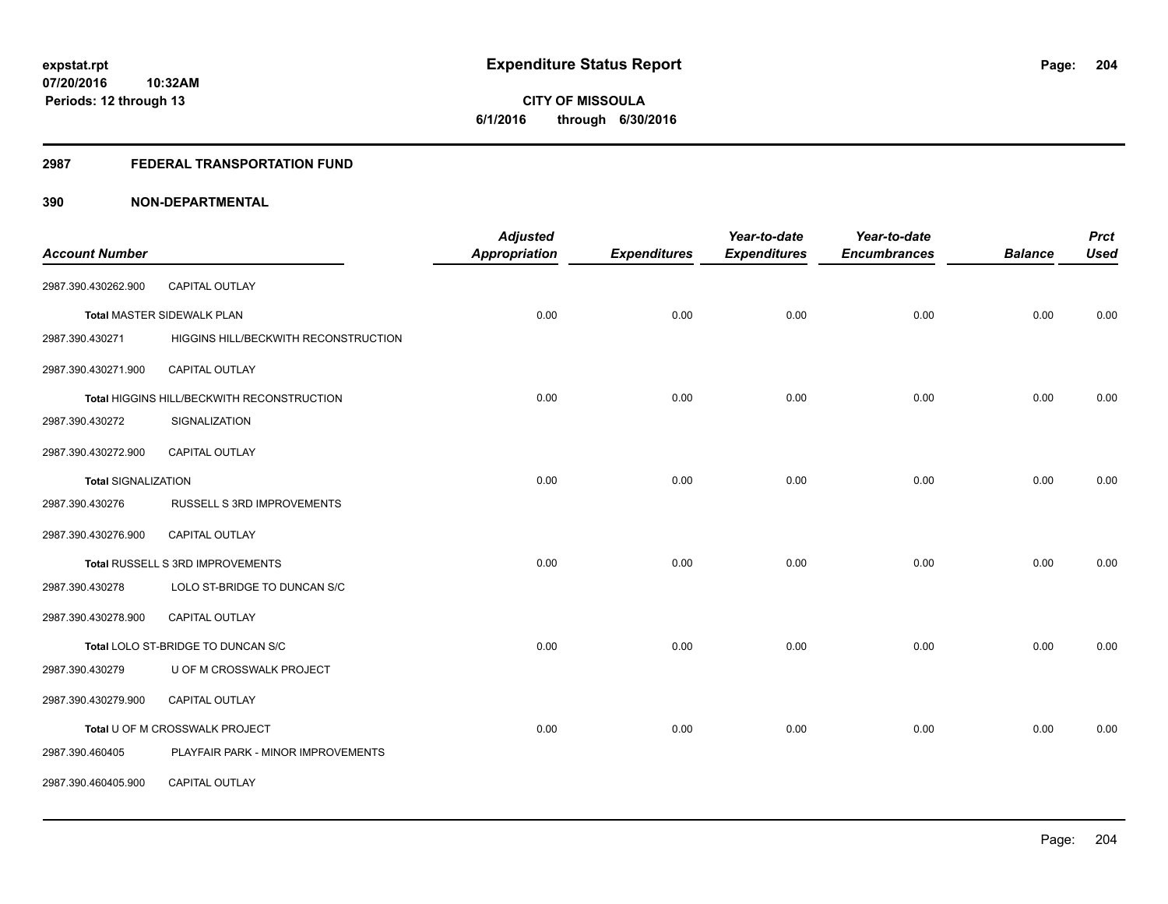# **CITY OF MISSOULA 6/1/2016 through 6/30/2016**

# **2987 FEDERAL TRANSPORTATION FUND**

|                            |                                            | <b>Adjusted</b>      |                     | Year-to-date        | Year-to-date        |                | <b>Prct</b> |
|----------------------------|--------------------------------------------|----------------------|---------------------|---------------------|---------------------|----------------|-------------|
| <b>Account Number</b>      |                                            | <b>Appropriation</b> | <b>Expenditures</b> | <b>Expenditures</b> | <b>Encumbrances</b> | <b>Balance</b> | <b>Used</b> |
| 2987.390.430262.900        | CAPITAL OUTLAY                             |                      |                     |                     |                     |                |             |
|                            | Total MASTER SIDEWALK PLAN                 | 0.00                 | 0.00                | 0.00                | 0.00                | 0.00           | 0.00        |
| 2987.390.430271            | HIGGINS HILL/BECKWITH RECONSTRUCTION       |                      |                     |                     |                     |                |             |
| 2987.390.430271.900        | CAPITAL OUTLAY                             |                      |                     |                     |                     |                |             |
|                            | Total HIGGINS HILL/BECKWITH RECONSTRUCTION | 0.00                 | 0.00                | 0.00                | 0.00                | 0.00           | 0.00        |
| 2987.390.430272            | SIGNALIZATION                              |                      |                     |                     |                     |                |             |
| 2987.390.430272.900        | <b>CAPITAL OUTLAY</b>                      |                      |                     |                     |                     |                |             |
| <b>Total SIGNALIZATION</b> |                                            | 0.00                 | 0.00                | 0.00                | 0.00                | 0.00           | 0.00        |
| 2987.390.430276            | RUSSELL S 3RD IMPROVEMENTS                 |                      |                     |                     |                     |                |             |
| 2987.390.430276.900        | CAPITAL OUTLAY                             |                      |                     |                     |                     |                |             |
|                            | Total RUSSELL S 3RD IMPROVEMENTS           | 0.00                 | 0.00                | 0.00                | 0.00                | 0.00           | 0.00        |
| 2987.390.430278            | LOLO ST-BRIDGE TO DUNCAN S/C               |                      |                     |                     |                     |                |             |
| 2987.390.430278.900        | <b>CAPITAL OUTLAY</b>                      |                      |                     |                     |                     |                |             |
|                            | Total LOLO ST-BRIDGE TO DUNCAN S/C         | 0.00                 | 0.00                | 0.00                | 0.00                | 0.00           | 0.00        |
| 2987.390.430279            | U OF M CROSSWALK PROJECT                   |                      |                     |                     |                     |                |             |
| 2987.390.430279.900        | <b>CAPITAL OUTLAY</b>                      |                      |                     |                     |                     |                |             |
|                            | Total U OF M CROSSWALK PROJECT             | 0.00                 | 0.00                | 0.00                | 0.00                | 0.00           | 0.00        |
| 2987.390.460405            | PLAYFAIR PARK - MINOR IMPROVEMENTS         |                      |                     |                     |                     |                |             |
| 2987.390.460405.900        | CAPITAL OUTLAY                             |                      |                     |                     |                     |                |             |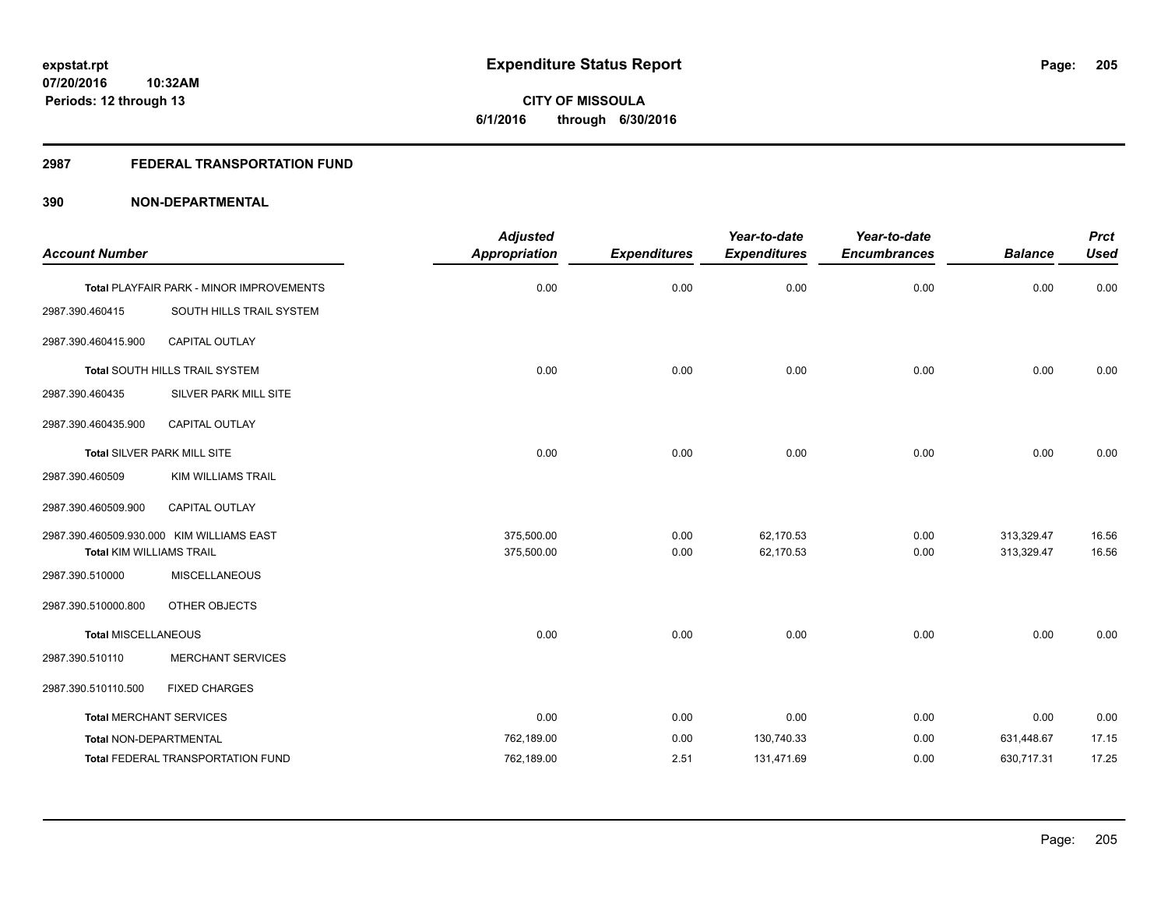**CITY OF MISSOULA 6/1/2016 through 6/30/2016**

# **2987 FEDERAL TRANSPORTATION FUND**

|                                 |                                           | <b>Adjusted</b>      |                     | Year-to-date        | Year-to-date        |                | <b>Prct</b> |
|---------------------------------|-------------------------------------------|----------------------|---------------------|---------------------|---------------------|----------------|-------------|
| <b>Account Number</b>           |                                           | <b>Appropriation</b> | <b>Expenditures</b> | <b>Expenditures</b> | <b>Encumbrances</b> | <b>Balance</b> | <b>Used</b> |
|                                 | Total PLAYFAIR PARK - MINOR IMPROVEMENTS  | 0.00                 | 0.00                | 0.00                | 0.00                | 0.00           | 0.00        |
| 2987.390.460415                 | SOUTH HILLS TRAIL SYSTEM                  |                      |                     |                     |                     |                |             |
| 2987.390.460415.900             | CAPITAL OUTLAY                            |                      |                     |                     |                     |                |             |
|                                 | Total SOUTH HILLS TRAIL SYSTEM            | 0.00                 | 0.00                | 0.00                | 0.00                | 0.00           | 0.00        |
| 2987.390.460435                 | SILVER PARK MILL SITE                     |                      |                     |                     |                     |                |             |
| 2987.390.460435.900             | CAPITAL OUTLAY                            |                      |                     |                     |                     |                |             |
|                                 | Total SILVER PARK MILL SITE               | 0.00                 | 0.00                | 0.00                | 0.00                | 0.00           | 0.00        |
| 2987.390.460509                 | KIM WILLIAMS TRAIL                        |                      |                     |                     |                     |                |             |
| 2987.390.460509.900             | CAPITAL OUTLAY                            |                      |                     |                     |                     |                |             |
|                                 | 2987.390.460509.930.000 KIM WILLIAMS EAST | 375,500.00           | 0.00                | 62,170.53           | 0.00                | 313,329.47     | 16.56       |
| <b>Total KIM WILLIAMS TRAIL</b> |                                           | 375,500.00           | 0.00                | 62,170.53           | 0.00                | 313,329.47     | 16.56       |
| 2987.390.510000                 | <b>MISCELLANEOUS</b>                      |                      |                     |                     |                     |                |             |
| 2987.390.510000.800             | OTHER OBJECTS                             |                      |                     |                     |                     |                |             |
| <b>Total MISCELLANEOUS</b>      |                                           | 0.00                 | 0.00                | 0.00                | 0.00                | 0.00           | 0.00        |
| 2987.390.510110                 | <b>MERCHANT SERVICES</b>                  |                      |                     |                     |                     |                |             |
| 2987.390.510110.500             | <b>FIXED CHARGES</b>                      |                      |                     |                     |                     |                |             |
| <b>Total MERCHANT SERVICES</b>  |                                           | 0.00                 | 0.00                | 0.00                | 0.00                | 0.00           | 0.00        |
| Total NON-DEPARTMENTAL          |                                           | 762,189.00           | 0.00                | 130,740.33          | 0.00                | 631,448.67     | 17.15       |
|                                 | <b>Total FEDERAL TRANSPORTATION FUND</b>  | 762,189.00           | 2.51                | 131,471.69          | 0.00                | 630,717.31     | 17.25       |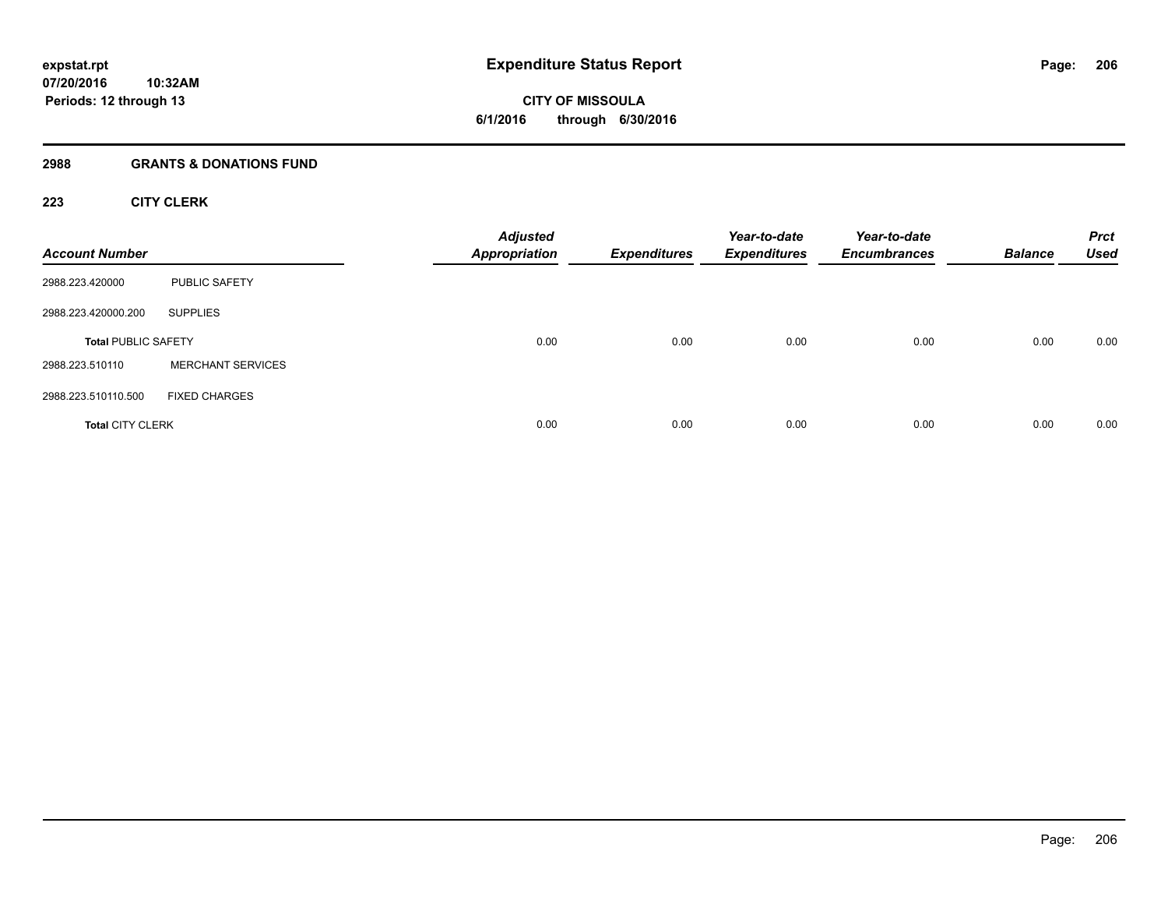# **2988 GRANTS & DONATIONS FUND**

# **223 CITY CLERK**

| <b>Account Number</b>      |                          | <b>Adjusted</b><br><b>Appropriation</b> | <b>Expenditures</b> | Year-to-date<br><b>Expenditures</b> | Year-to-date<br><b>Encumbrances</b> | <b>Balance</b> | <b>Prct</b><br><b>Used</b> |
|----------------------------|--------------------------|-----------------------------------------|---------------------|-------------------------------------|-------------------------------------|----------------|----------------------------|
| 2988.223.420000            | <b>PUBLIC SAFETY</b>     |                                         |                     |                                     |                                     |                |                            |
| 2988.223.420000.200        | <b>SUPPLIES</b>          |                                         |                     |                                     |                                     |                |                            |
| <b>Total PUBLIC SAFETY</b> |                          | 0.00                                    | 0.00                | 0.00                                | 0.00                                | 0.00           | 0.00                       |
| 2988.223.510110            | <b>MERCHANT SERVICES</b> |                                         |                     |                                     |                                     |                |                            |
| 2988.223.510110.500        | <b>FIXED CHARGES</b>     |                                         |                     |                                     |                                     |                |                            |
| <b>Total CITY CLERK</b>    |                          | 0.00                                    | 0.00                | 0.00                                | 0.00                                | 0.00           | 0.00                       |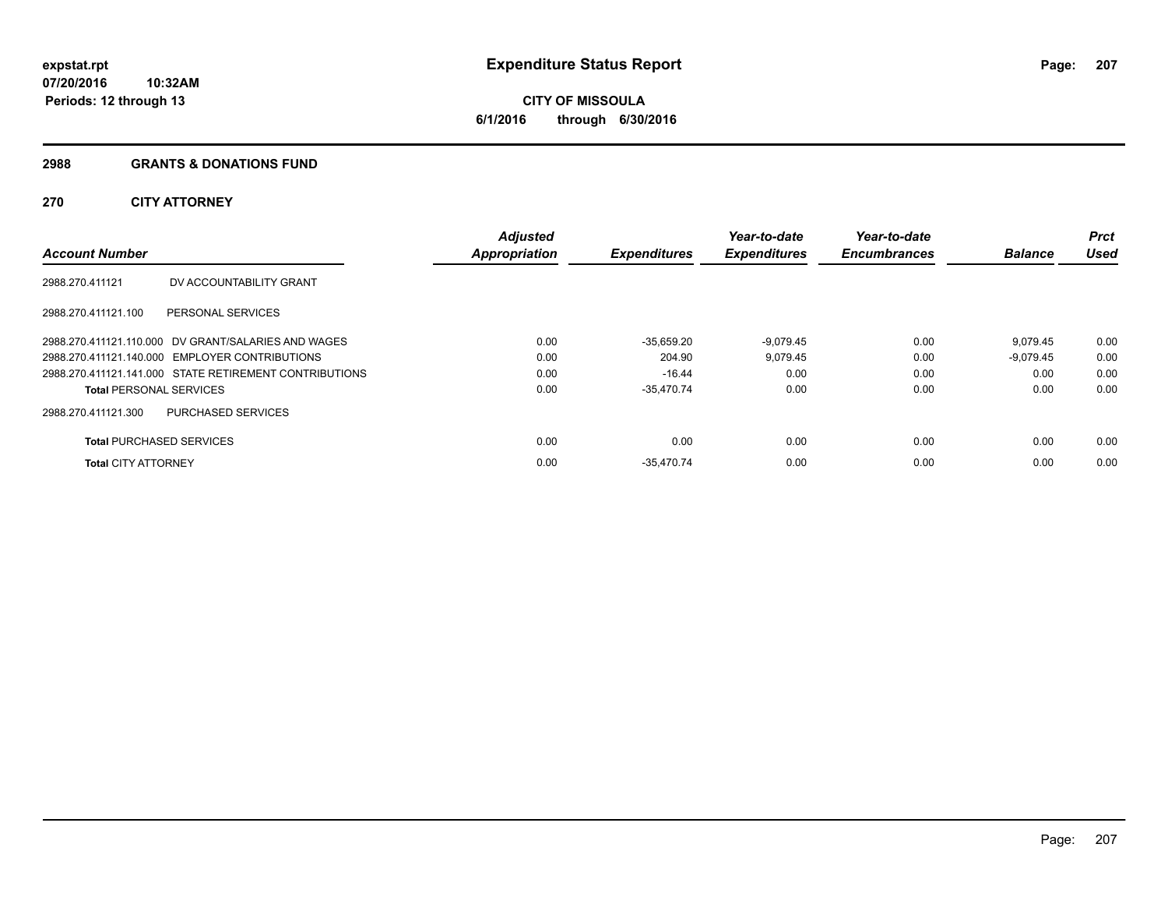# **CITY OF MISSOULA 6/1/2016 through 6/30/2016**

## **2988 GRANTS & DONATIONS FUND**

# **270 CITY ATTORNEY**

| <b>Account Number</b>           |                                                        | <b>Adjusted</b><br><b>Appropriation</b> | <b>Expenditures</b> | Year-to-date<br><b>Expenditures</b> | Year-to-date<br><b>Encumbrances</b> | <b>Balance</b> | <b>Prct</b><br><b>Used</b> |
|---------------------------------|--------------------------------------------------------|-----------------------------------------|---------------------|-------------------------------------|-------------------------------------|----------------|----------------------------|
| 2988.270.411121                 | DV ACCOUNTABILITY GRANT                                |                                         |                     |                                     |                                     |                |                            |
| 2988.270.411121.100             | PERSONAL SERVICES                                      |                                         |                     |                                     |                                     |                |                            |
|                                 | 2988.270.411121.110.000 DV GRANT/SALARIES AND WAGES    | 0.00                                    | $-35,659.20$        | $-9,079.45$                         | 0.00                                | 9.079.45       | 0.00                       |
|                                 | 2988.270.411121.140.000 EMPLOYER CONTRIBUTIONS         | 0.00                                    | 204.90              | 9,079.45                            | 0.00                                | -9.079.45      | 0.00                       |
|                                 | 2988.270.411121.141.000 STATE RETIREMENT CONTRIBUTIONS | 0.00                                    | $-16.44$            | 0.00                                | 0.00                                | 0.00           | 0.00                       |
| <b>Total PERSONAL SERVICES</b>  |                                                        | 0.00                                    | $-35,470.74$        | 0.00                                | 0.00                                | 0.00           | 0.00                       |
| 2988.270.411121.300             | <b>PURCHASED SERVICES</b>                              |                                         |                     |                                     |                                     |                |                            |
| <b>Total PURCHASED SERVICES</b> |                                                        | 0.00                                    | 0.00                | 0.00                                | 0.00                                | 0.00           | 0.00                       |
| <b>Total CITY ATTORNEY</b>      |                                                        | 0.00                                    | $-35.470.74$        | 0.00                                | 0.00                                | 0.00           | 0.00                       |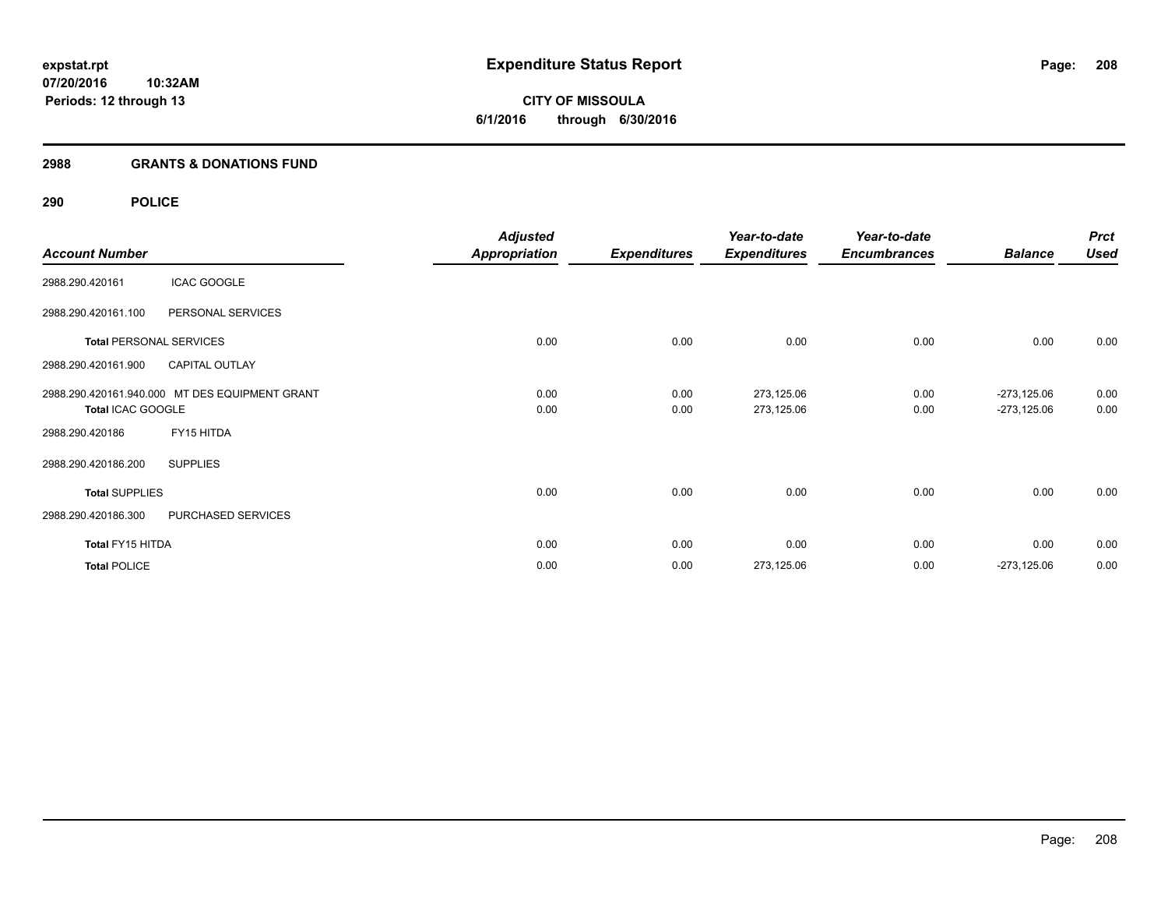**CITY OF MISSOULA 6/1/2016 through 6/30/2016**

## **2988 GRANTS & DONATIONS FUND**

# **290 POLICE**

|                       |                                                | <b>Adjusted</b> |                     | Year-to-date        | Year-to-date        |                | <b>Prct</b> |
|-----------------------|------------------------------------------------|-----------------|---------------------|---------------------|---------------------|----------------|-------------|
| <b>Account Number</b> |                                                | Appropriation   | <b>Expenditures</b> | <b>Expenditures</b> | <b>Encumbrances</b> | <b>Balance</b> | <b>Used</b> |
| 2988.290.420161       | <b>ICAC GOOGLE</b>                             |                 |                     |                     |                     |                |             |
| 2988.290.420161.100   | PERSONAL SERVICES                              |                 |                     |                     |                     |                |             |
|                       | <b>Total PERSONAL SERVICES</b>                 | 0.00            | 0.00                | 0.00                | 0.00                | 0.00           | 0.00        |
| 2988.290.420161.900   | <b>CAPITAL OUTLAY</b>                          |                 |                     |                     |                     |                |             |
|                       | 2988.290.420161.940.000 MT DES EQUIPMENT GRANT | 0.00            | 0.00                | 273,125.06          | 0.00                | $-273,125.06$  | 0.00        |
| Total ICAC GOOGLE     |                                                | 0.00            | 0.00                | 273,125.06          | 0.00                | $-273,125.06$  | 0.00        |
| 2988.290.420186       | FY15 HITDA                                     |                 |                     |                     |                     |                |             |
| 2988.290.420186.200   | <b>SUPPLIES</b>                                |                 |                     |                     |                     |                |             |
| <b>Total SUPPLIES</b> |                                                | 0.00            | 0.00                | 0.00                | 0.00                | 0.00           | 0.00        |
| 2988.290.420186.300   | PURCHASED SERVICES                             |                 |                     |                     |                     |                |             |
| Total FY15 HITDA      |                                                | 0.00            | 0.00                | 0.00                | 0.00                | 0.00           | 0.00        |
| <b>Total POLICE</b>   |                                                | 0.00            | 0.00                | 273,125.06          | 0.00                | $-273,125.06$  | 0.00        |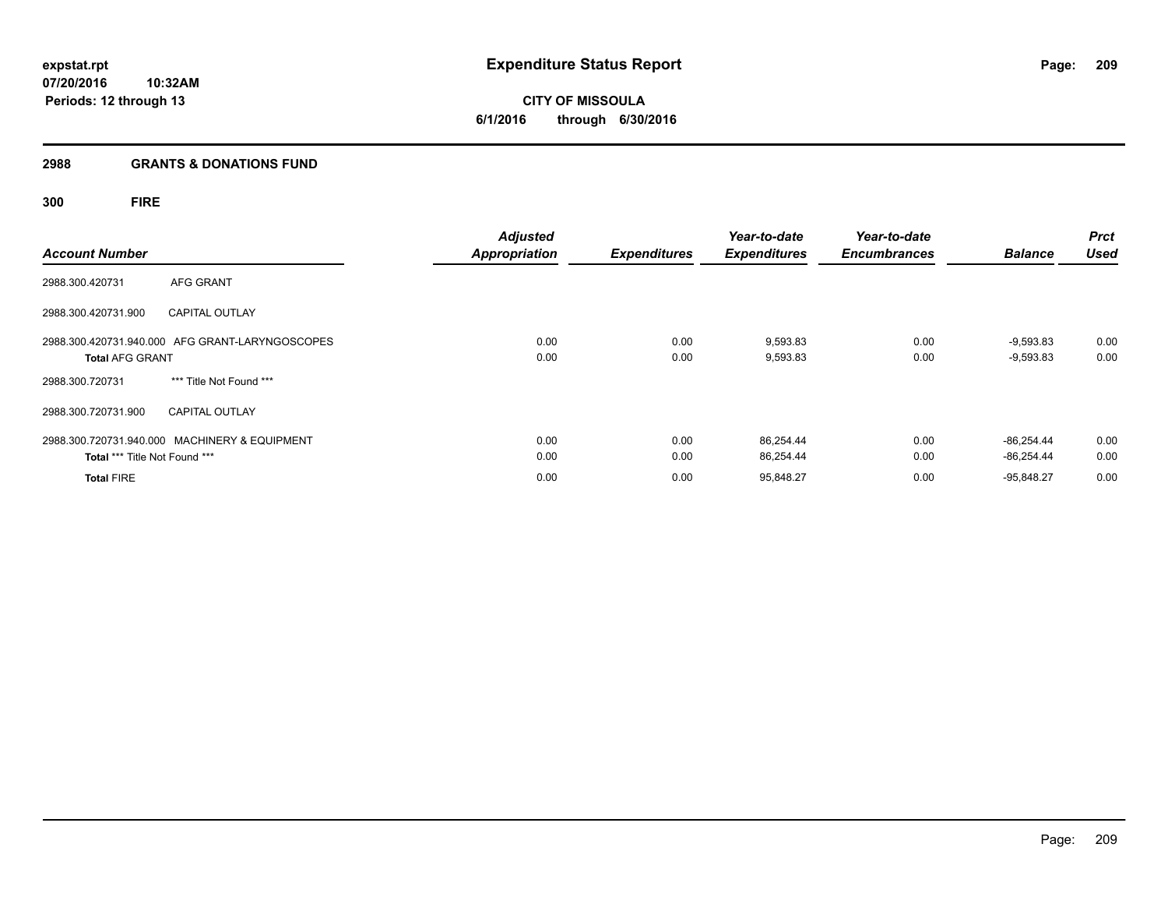# **2988 GRANTS & DONATIONS FUND**

# **300 FIRE**

| <b>Account Number</b>                                                          | <b>Adjusted</b><br><b>Appropriation</b> | <b>Expenditures</b> | Year-to-date<br><b>Expenditures</b> | Year-to-date<br><b>Encumbrances</b> | <b>Balance</b>               | <b>Prct</b><br><b>Used</b> |
|--------------------------------------------------------------------------------|-----------------------------------------|---------------------|-------------------------------------|-------------------------------------|------------------------------|----------------------------|
| <b>AFG GRANT</b><br>2988.300.420731                                            |                                         |                     |                                     |                                     |                              |                            |
| 2988.300.420731.900<br><b>CAPITAL OUTLAY</b>                                   |                                         |                     |                                     |                                     |                              |                            |
| 2988.300.420731.940.000 AFG GRANT-LARYNGOSCOPES<br><b>Total AFG GRANT</b>      | 0.00<br>0.00                            | 0.00<br>0.00        | 9,593.83<br>9,593.83                | 0.00<br>0.00                        | $-9,593.83$<br>$-9,593.83$   | 0.00<br>0.00               |
| *** Title Not Found ***<br>2988.300.720731                                     |                                         |                     |                                     |                                     |                              |                            |
| 2988.300.720731.900<br><b>CAPITAL OUTLAY</b>                                   |                                         |                     |                                     |                                     |                              |                            |
| 2988.300.720731.940.000 MACHINERY & EQUIPMENT<br>Total *** Title Not Found *** | 0.00<br>0.00                            | 0.00<br>0.00        | 86,254.44<br>86,254.44              | 0.00<br>0.00                        | $-86.254.44$<br>$-86.254.44$ | 0.00<br>0.00               |
| <b>Total FIRE</b>                                                              | 0.00                                    | 0.00                | 95,848.27                           | 0.00                                | $-95.848.27$                 | 0.00                       |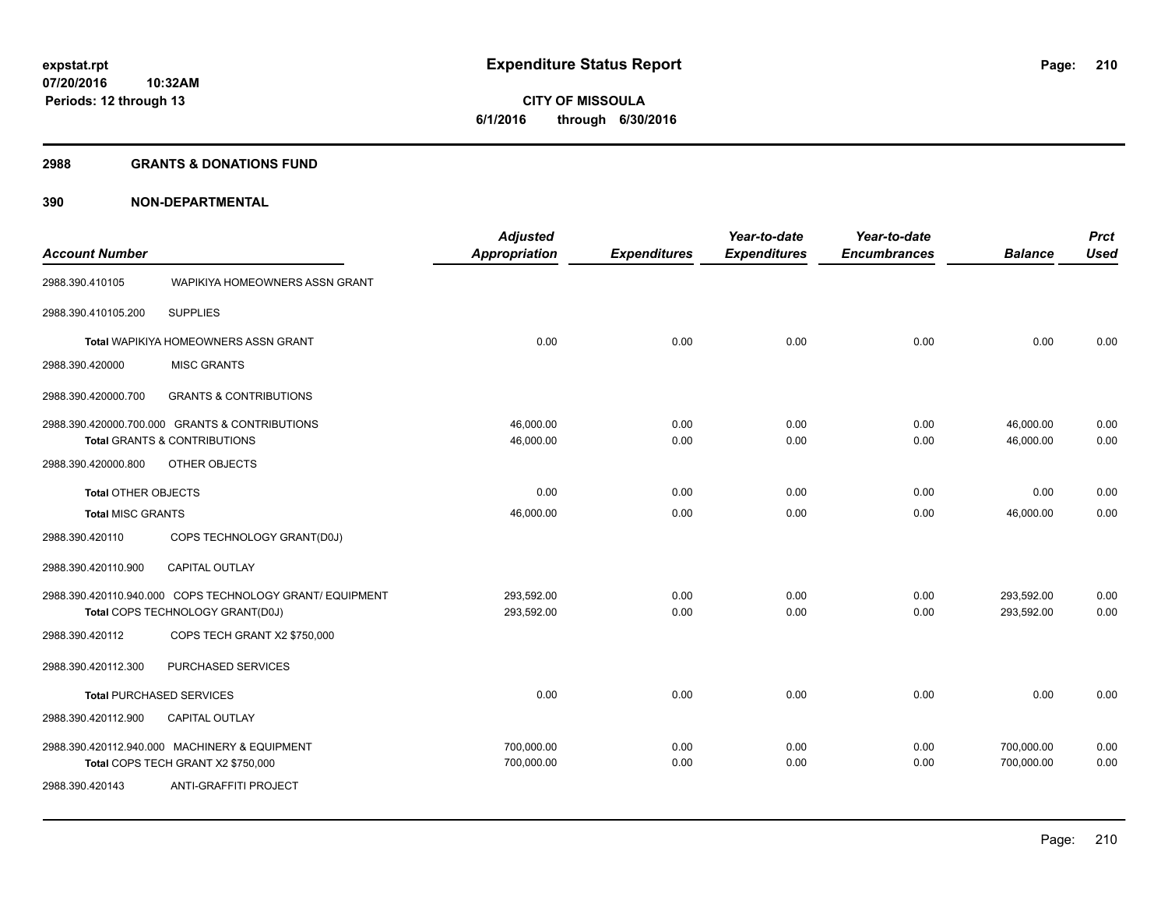**210**

**07/20/2016 10:32AM Periods: 12 through 13**

**CITY OF MISSOULA 6/1/2016 through 6/30/2016**

## **2988 GRANTS & DONATIONS FUND**

| <b>Account Number</b>      |                                                          | <b>Adjusted</b><br><b>Appropriation</b> | <b>Expenditures</b> | Year-to-date<br><b>Expenditures</b> | Year-to-date<br><b>Encumbrances</b> | <b>Balance</b> | <b>Prct</b><br><b>Used</b> |
|----------------------------|----------------------------------------------------------|-----------------------------------------|---------------------|-------------------------------------|-------------------------------------|----------------|----------------------------|
|                            |                                                          |                                         |                     |                                     |                                     |                |                            |
| 2988.390.410105            | WAPIKIYA HOMEOWNERS ASSN GRANT                           |                                         |                     |                                     |                                     |                |                            |
| 2988.390.410105.200        | <b>SUPPLIES</b>                                          |                                         |                     |                                     |                                     |                |                            |
|                            | Total WAPIKIYA HOMEOWNERS ASSN GRANT                     | 0.00                                    | 0.00                | 0.00                                | 0.00                                | 0.00           | 0.00                       |
| 2988.390.420000            | <b>MISC GRANTS</b>                                       |                                         |                     |                                     |                                     |                |                            |
| 2988.390.420000.700        | <b>GRANTS &amp; CONTRIBUTIONS</b>                        |                                         |                     |                                     |                                     |                |                            |
|                            | 2988.390.420000.700.000 GRANTS & CONTRIBUTIONS           | 46,000.00                               | 0.00                | 0.00                                | 0.00                                | 46,000.00      | 0.00                       |
|                            | <b>Total GRANTS &amp; CONTRIBUTIONS</b>                  | 46,000.00                               | 0.00                | 0.00                                | 0.00                                | 46.000.00      | 0.00                       |
| 2988.390.420000.800        | OTHER OBJECTS                                            |                                         |                     |                                     |                                     |                |                            |
| <b>Total OTHER OBJECTS</b> |                                                          | 0.00                                    | 0.00                | 0.00                                | 0.00                                | 0.00           | 0.00                       |
| <b>Total MISC GRANTS</b>   |                                                          | 46,000.00                               | 0.00                | 0.00                                | 0.00                                | 46,000.00      | 0.00                       |
| 2988.390.420110            | COPS TECHNOLOGY GRANT(D0J)                               |                                         |                     |                                     |                                     |                |                            |
| 2988.390.420110.900        | CAPITAL OUTLAY                                           |                                         |                     |                                     |                                     |                |                            |
|                            | 2988.390.420110.940.000 COPS TECHNOLOGY GRANT/ EQUIPMENT | 293,592.00                              | 0.00                | 0.00                                | 0.00                                | 293,592.00     | 0.00                       |
|                            | Total COPS TECHNOLOGY GRANT(D0J)                         | 293,592.00                              | 0.00                | 0.00                                | 0.00                                | 293,592.00     | 0.00                       |
| 2988.390.420112            | COPS TECH GRANT X2 \$750,000                             |                                         |                     |                                     |                                     |                |                            |
| 2988.390.420112.300        | PURCHASED SERVICES                                       |                                         |                     |                                     |                                     |                |                            |
| Total PURCHASED SERVICES   |                                                          | 0.00                                    | 0.00                | 0.00                                | 0.00                                | 0.00           | 0.00                       |
| 2988.390.420112.900        | CAPITAL OUTLAY                                           |                                         |                     |                                     |                                     |                |                            |
|                            | 2988.390.420112.940.000 MACHINERY & EQUIPMENT            | 700,000.00                              | 0.00                | 0.00                                | 0.00                                | 700,000.00     | 0.00                       |
|                            | Total COPS TECH GRANT X2 \$750,000                       | 700,000.00                              | 0.00                | 0.00                                | 0.00                                | 700,000.00     | 0.00                       |
| 2988.390.420143            | ANTI-GRAFFITI PROJECT                                    |                                         |                     |                                     |                                     |                |                            |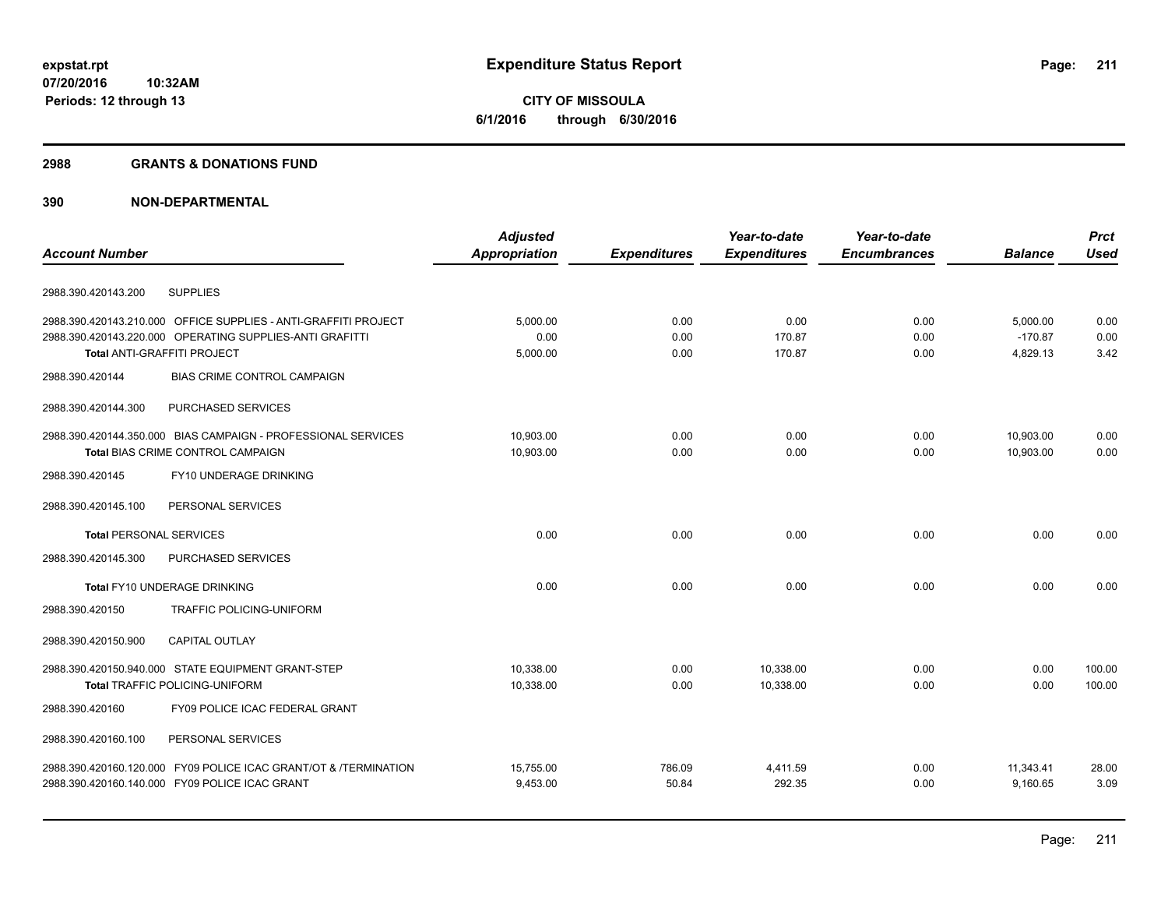**CITY OF MISSOULA 6/1/2016 through 6/30/2016**

## **2988 GRANTS & DONATIONS FUND**

|                                                                  | <b>Adjusted</b>      |                     | Year-to-date        | Year-to-date        |                | <b>Prct</b> |
|------------------------------------------------------------------|----------------------|---------------------|---------------------|---------------------|----------------|-------------|
| <b>Account Number</b>                                            | <b>Appropriation</b> | <b>Expenditures</b> | <b>Expenditures</b> | <b>Encumbrances</b> | <b>Balance</b> | <b>Used</b> |
| <b>SUPPLIES</b><br>2988.390.420143.200                           |                      |                     |                     |                     |                |             |
| 2988.390.420143.210.000 OFFICE SUPPLIES - ANTI-GRAFFITI PROJECT  | 5,000.00             | 0.00                | 0.00                | 0.00                | 5,000.00       | 0.00        |
| 2988.390.420143.220.000 OPERATING SUPPLIES-ANTI GRAFITTI         | 0.00                 | 0.00                | 170.87              | 0.00                | $-170.87$      | 0.00        |
| Total ANTI-GRAFFITI PROJECT                                      | 5,000.00             | 0.00                | 170.87              | 0.00                | 4,829.13       | 3.42        |
| 2988.390.420144<br><b>BIAS CRIME CONTROL CAMPAIGN</b>            |                      |                     |                     |                     |                |             |
| PURCHASED SERVICES<br>2988.390.420144.300                        |                      |                     |                     |                     |                |             |
| 2988.390.420144.350.000 BIAS CAMPAIGN - PROFESSIONAL SERVICES    | 10,903.00            | 0.00                | 0.00                | 0.00                | 10,903.00      | 0.00        |
| Total BIAS CRIME CONTROL CAMPAIGN                                | 10,903.00            | 0.00                | 0.00                | 0.00                | 10,903.00      | 0.00        |
| FY10 UNDERAGE DRINKING<br>2988.390.420145                        |                      |                     |                     |                     |                |             |
| 2988.390.420145.100<br>PERSONAL SERVICES                         |                      |                     |                     |                     |                |             |
| <b>Total PERSONAL SERVICES</b>                                   | 0.00                 | 0.00                | 0.00                | 0.00                | 0.00           | 0.00        |
| 2988.390.420145.300<br><b>PURCHASED SERVICES</b>                 |                      |                     |                     |                     |                |             |
| <b>Total FY10 UNDERAGE DRINKING</b>                              | 0.00                 | 0.00                | 0.00                | 0.00                | 0.00           | 0.00        |
| TRAFFIC POLICING-UNIFORM<br>2988.390.420150                      |                      |                     |                     |                     |                |             |
| <b>CAPITAL OUTLAY</b><br>2988.390.420150.900                     |                      |                     |                     |                     |                |             |
| 2988.390.420150.940.000 STATE EQUIPMENT GRANT-STEP               | 10,338.00            | 0.00                | 10,338.00           | 0.00                | 0.00           | 100.00      |
| <b>Total TRAFFIC POLICING-UNIFORM</b>                            | 10,338.00            | 0.00                | 10,338.00           | 0.00                | 0.00           | 100.00      |
| FY09 POLICE ICAC FEDERAL GRANT<br>2988.390.420160                |                      |                     |                     |                     |                |             |
| 2988.390.420160.100<br>PERSONAL SERVICES                         |                      |                     |                     |                     |                |             |
| 2988.390.420160.120.000 FY09 POLICE ICAC GRANT/OT & /TERMINATION | 15,755.00            | 786.09              | 4,411.59            | 0.00                | 11,343.41      | 28.00       |
| 2988.390.420160.140.000 FY09 POLICE ICAC GRANT                   | 9,453.00             | 50.84               | 292.35              | 0.00                | 9,160.65       | 3.09        |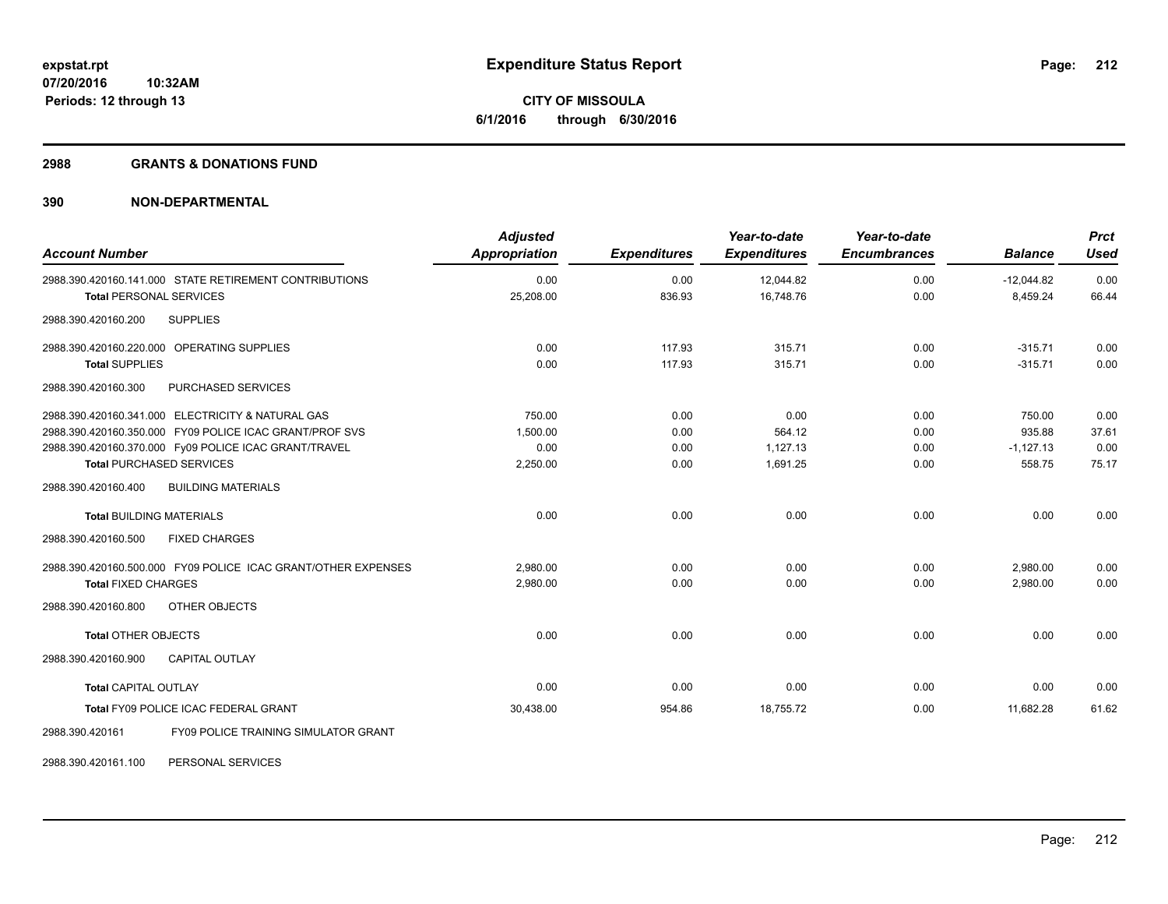## **2988 GRANTS & DONATIONS FUND**

# **390 NON-DEPARTMENTAL**

| <b>Account Number</b>                                                                                                                                                                                    | <b>Adjusted</b><br>Appropriation       | <b>Expenditures</b>          | Year-to-date<br><b>Expenditures</b>    | Year-to-date<br><b>Encumbrances</b> | <b>Balance</b>                            | <b>Prct</b><br><b>Used</b>     |
|----------------------------------------------------------------------------------------------------------------------------------------------------------------------------------------------------------|----------------------------------------|------------------------------|----------------------------------------|-------------------------------------|-------------------------------------------|--------------------------------|
| 2988.390.420160.141.000 STATE RETIREMENT CONTRIBUTIONS<br><b>Total PERSONAL SERVICES</b>                                                                                                                 | 0.00<br>25,208.00                      | 0.00<br>836.93               | 12,044.82<br>16,748.76                 | 0.00<br>0.00                        | $-12,044.82$<br>8,459.24                  | 0.00<br>66.44                  |
| <b>SUPPLIES</b><br>2988.390.420160.200                                                                                                                                                                   |                                        |                              |                                        |                                     |                                           |                                |
| 2988.390.420160.220.000 OPERATING SUPPLIES<br><b>Total SUPPLIES</b><br>PURCHASED SERVICES<br>2988.390.420160.300                                                                                         | 0.00<br>0.00                           | 117.93<br>117.93             | 315.71<br>315.71                       | 0.00<br>0.00                        | $-315.71$<br>$-315.71$                    | 0.00<br>0.00                   |
| 2988.390.420160.341.000 ELECTRICITY & NATURAL GAS<br>2988.390.420160.350.000 FY09 POLICE ICAC GRANT/PROF SVS<br>2988.390.420160.370.000 Fy09 POLICE ICAC GRANT/TRAVEL<br><b>Total PURCHASED SERVICES</b> | 750.00<br>1.500.00<br>0.00<br>2,250.00 | 0.00<br>0.00<br>0.00<br>0.00 | 0.00<br>564.12<br>1,127.13<br>1,691.25 | 0.00<br>0.00<br>0.00<br>0.00        | 750.00<br>935.88<br>$-1,127.13$<br>558.75 | 0.00<br>37.61<br>0.00<br>75.17 |
| <b>BUILDING MATERIALS</b><br>2988.390.420160.400                                                                                                                                                         |                                        |                              |                                        |                                     |                                           |                                |
| <b>Total BUILDING MATERIALS</b><br>2988.390.420160.500<br><b>FIXED CHARGES</b>                                                                                                                           | 0.00                                   | 0.00                         | 0.00                                   | 0.00                                | 0.00                                      | 0.00                           |
| 2988.390.420160.500.000 FY09 POLICE ICAC GRANT/OTHER EXPENSES<br><b>Total FIXED CHARGES</b><br>OTHER OBJECTS<br>2988.390.420160.800                                                                      | 2,980.00<br>2.980.00                   | 0.00<br>0.00                 | 0.00<br>0.00                           | 0.00<br>0.00                        | 2,980.00<br>2.980.00                      | 0.00<br>0.00                   |
| <b>Total OTHER OBJECTS</b><br>2988.390.420160.900<br><b>CAPITAL OUTLAY</b>                                                                                                                               | 0.00                                   | 0.00                         | 0.00                                   | 0.00                                | 0.00                                      | 0.00                           |
| <b>Total CAPITAL OUTLAY</b><br>Total FY09 POLICE ICAC FEDERAL GRANT                                                                                                                                      | 0.00<br>30,438.00                      | 0.00<br>954.86               | 0.00<br>18,755.72                      | 0.00<br>0.00                        | 0.00<br>11.682.28                         | 0.00<br>61.62                  |
| <b>FY09 POLICE TRAINING SIMULATOR GRANT</b><br>2988.390.420161                                                                                                                                           |                                        |                              |                                        |                                     |                                           |                                |

2988.390.420161.100 PERSONAL SERVICES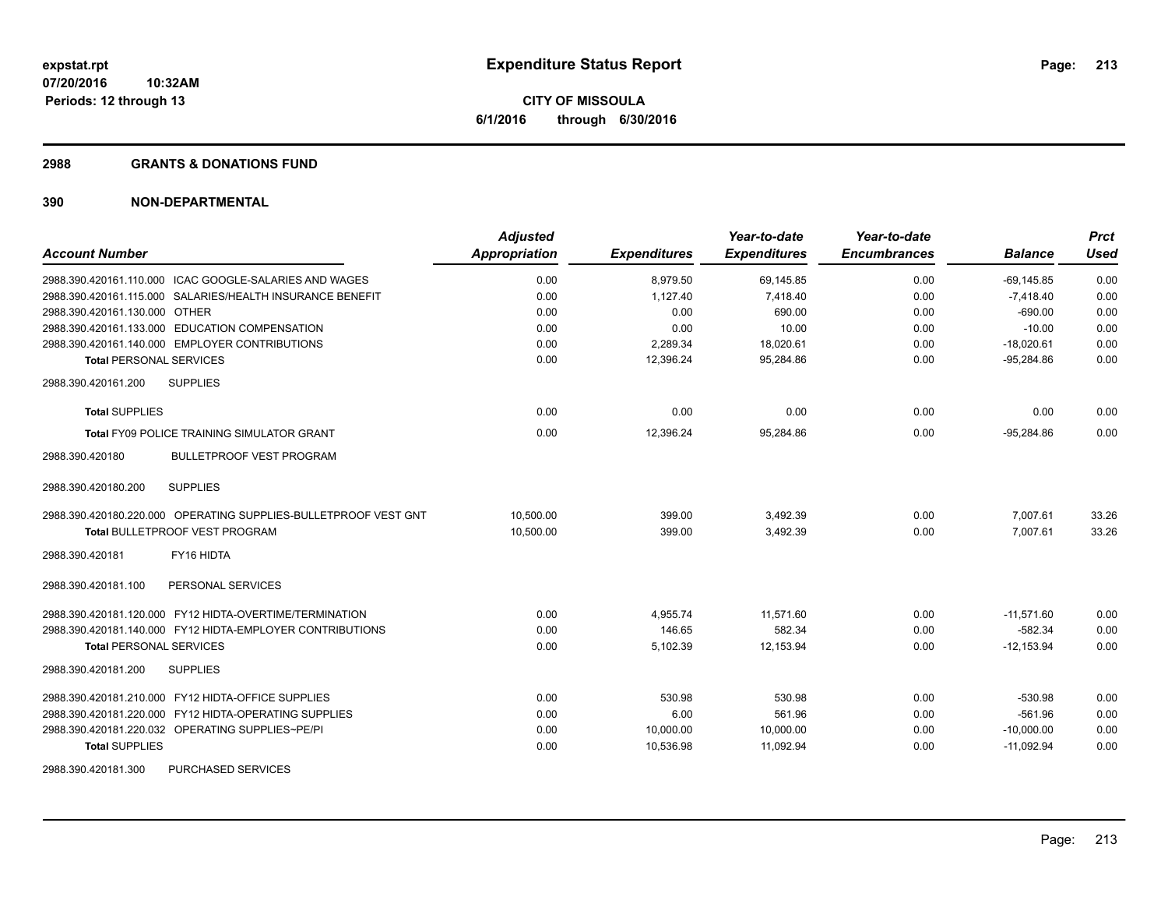## **2988 GRANTS & DONATIONS FUND**

| <b>Account Number</b>                                           | <b>Adjusted</b><br>Appropriation | <b>Expenditures</b> | Year-to-date<br><b>Expenditures</b> | Year-to-date<br><b>Encumbrances</b> | <b>Balance</b> | <b>Prct</b><br><b>Used</b> |
|-----------------------------------------------------------------|----------------------------------|---------------------|-------------------------------------|-------------------------------------|----------------|----------------------------|
| 2988.390.420161.110.000 ICAC GOOGLE-SALARIES AND WAGES          | 0.00                             | 8,979.50            | 69,145.85                           | 0.00                                | $-69, 145.85$  | 0.00                       |
| 2988.390.420161.115.000 SALARIES/HEALTH INSURANCE BENEFIT       | 0.00                             | 1,127.40            | 7,418.40                            | 0.00                                | $-7,418.40$    | 0.00                       |
| 2988.390.420161.130.000 OTHER                                   | 0.00                             | 0.00                | 690.00                              | 0.00                                | $-690.00$      | 0.00                       |
| 2988.390.420161.133.000 EDUCATION COMPENSATION                  | 0.00                             | 0.00                | 10.00                               | 0.00                                | $-10.00$       | 0.00                       |
| 2988.390.420161.140.000 EMPLOYER CONTRIBUTIONS                  | 0.00                             | 2,289.34            | 18,020.61                           | 0.00                                | $-18,020.61$   | 0.00                       |
| <b>Total PERSONAL SERVICES</b>                                  | 0.00                             | 12,396.24           | 95,284.86                           | 0.00                                | $-95.284.86$   | 0.00                       |
| 2988.390.420161.200<br><b>SUPPLIES</b>                          |                                  |                     |                                     |                                     |                |                            |
| <b>Total SUPPLIES</b>                                           | 0.00                             | 0.00                | 0.00                                | 0.00                                | 0.00           | 0.00                       |
| <b>Total FY09 POLICE TRAINING SIMULATOR GRANT</b>               | 0.00                             | 12,396.24           | 95,284.86                           | 0.00                                | $-95.284.86$   | 0.00                       |
| 2988.390.420180<br><b>BULLETPROOF VEST PROGRAM</b>              |                                  |                     |                                     |                                     |                |                            |
| 2988.390.420180.200<br><b>SUPPLIES</b>                          |                                  |                     |                                     |                                     |                |                            |
| 2988.390.420180.220.000 OPERATING SUPPLIES-BULLETPROOF VEST GNT | 10.500.00                        | 399.00              | 3,492.39                            | 0.00                                | 7,007.61       | 33.26                      |
| <b>Total BULLETPROOF VEST PROGRAM</b>                           | 10,500.00                        | 399.00              | 3,492.39                            | 0.00                                | 7,007.61       | 33.26                      |
| 2988.390.420181<br>FY16 HIDTA                                   |                                  |                     |                                     |                                     |                |                            |
| 2988.390.420181.100<br>PERSONAL SERVICES                        |                                  |                     |                                     |                                     |                |                            |
| 2988.390.420181.120.000 FY12 HIDTA-OVERTIME/TERMINATION         | 0.00                             | 4,955.74            | 11.571.60                           | 0.00                                | $-11.571.60$   | 0.00                       |
| 2988.390.420181.140.000 FY12 HIDTA-EMPLOYER CONTRIBUTIONS       | 0.00                             | 146.65              | 582.34                              | 0.00                                | $-582.34$      | 0.00                       |
| <b>Total PERSONAL SERVICES</b>                                  | 0.00                             | 5,102.39            | 12,153.94                           | 0.00                                | $-12,153.94$   | 0.00                       |
| 2988.390.420181.200<br><b>SUPPLIES</b>                          |                                  |                     |                                     |                                     |                |                            |
| 2988.390.420181.210.000 FY12 HIDTA-OFFICE SUPPLIES              | 0.00                             | 530.98              | 530.98                              | 0.00                                | $-530.98$      | 0.00                       |
| 2988.390.420181.220.000 FY12 HIDTA-OPERATING SUPPLIES           | 0.00                             | 6.00                | 561.96                              | 0.00                                | $-561.96$      | 0.00                       |
| 2988.390.420181.220.032 OPERATING SUPPLIES~PE/PI                | 0.00                             | 10,000.00           | 10,000.00                           | 0.00                                | $-10,000.00$   | 0.00                       |
| <b>Total SUPPLIES</b>                                           | 0.00                             | 10,536.98           | 11,092.94                           | 0.00                                | $-11,092.94$   | 0.00                       |
| <b>PURCHASED SERVICES</b><br>2988.390.420181.300                |                                  |                     |                                     |                                     |                |                            |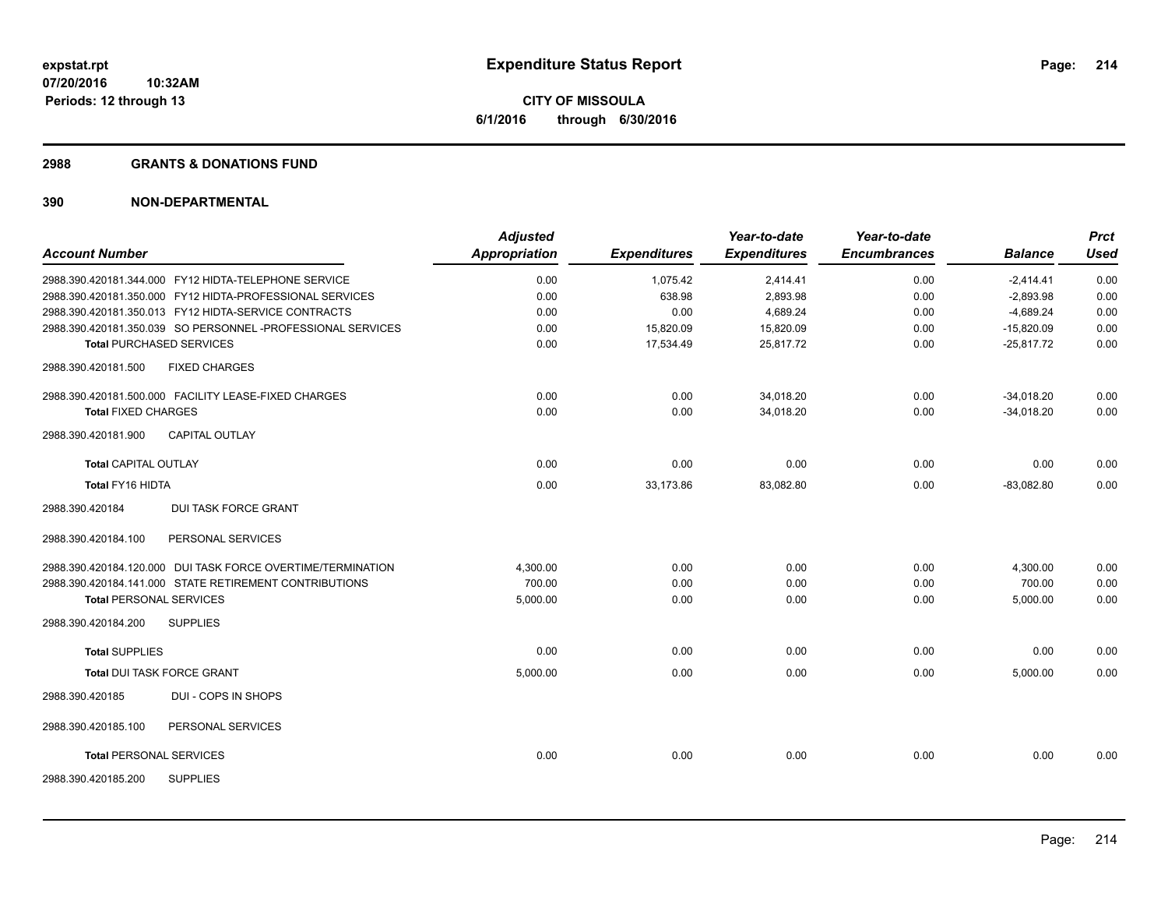## **2988 GRANTS & DONATIONS FUND**

|                                |                                                             | <b>Adjusted</b>      |                     | Year-to-date        | Year-to-date        |                | <b>Prct</b> |
|--------------------------------|-------------------------------------------------------------|----------------------|---------------------|---------------------|---------------------|----------------|-------------|
| <b>Account Number</b>          |                                                             | <b>Appropriation</b> | <b>Expenditures</b> | <b>Expenditures</b> | <b>Encumbrances</b> | <b>Balance</b> | <b>Used</b> |
|                                | 2988.390.420181.344.000 FY12 HIDTA-TELEPHONE SERVICE        | 0.00                 | 1,075.42            | 2,414.41            | 0.00                | $-2,414.41$    | 0.00        |
|                                | 2988.390.420181.350.000 FY12 HIDTA-PROFESSIONAL SERVICES    | 0.00                 | 638.98              | 2,893.98            | 0.00                | $-2,893.98$    | 0.00        |
|                                | 2988.390.420181.350.013 FY12 HIDTA-SERVICE CONTRACTS        | 0.00                 | 0.00                | 4,689.24            | 0.00                | $-4,689.24$    | 0.00        |
|                                | 2988.390.420181.350.039 SO PERSONNEL-PROFESSIONAL SERVICES  | 0.00                 | 15,820.09           | 15,820.09           | 0.00                | $-15,820.09$   | 0.00        |
|                                | <b>Total PURCHASED SERVICES</b>                             | 0.00                 | 17,534.49           | 25,817.72           | 0.00                | $-25,817.72$   | 0.00        |
| 2988.390.420181.500            | <b>FIXED CHARGES</b>                                        |                      |                     |                     |                     |                |             |
|                                | 2988.390.420181.500.000 FACILITY LEASE-FIXED CHARGES        | 0.00                 | 0.00                | 34,018.20           | 0.00                | $-34,018.20$   | 0.00        |
| <b>Total FIXED CHARGES</b>     |                                                             | 0.00                 | 0.00                | 34,018.20           | 0.00                | $-34,018.20$   | 0.00        |
| 2988.390.420181.900            | <b>CAPITAL OUTLAY</b>                                       |                      |                     |                     |                     |                |             |
| <b>Total CAPITAL OUTLAY</b>    |                                                             | 0.00                 | 0.00                | 0.00                | 0.00                | 0.00           | 0.00        |
| Total FY16 HIDTA               |                                                             | 0.00                 | 33,173.86           | 83,082.80           | 0.00                | $-83,082.80$   | 0.00        |
| 2988.390.420184                | <b>DUI TASK FORCE GRANT</b>                                 |                      |                     |                     |                     |                |             |
| 2988.390.420184.100            | PERSONAL SERVICES                                           |                      |                     |                     |                     |                |             |
|                                | 2988.390.420184.120.000 DUI TASK FORCE OVERTIME/TERMINATION | 4,300.00             | 0.00                | 0.00                | 0.00                | 4,300.00       | 0.00        |
|                                | 2988.390.420184.141.000 STATE RETIREMENT CONTRIBUTIONS      | 700.00               | 0.00                | 0.00                | 0.00                | 700.00         | 0.00        |
| <b>Total PERSONAL SERVICES</b> |                                                             | 5,000.00             | 0.00                | 0.00                | 0.00                | 5,000.00       | 0.00        |
| 2988.390.420184.200            | <b>SUPPLIES</b>                                             |                      |                     |                     |                     |                |             |
| <b>Total SUPPLIES</b>          |                                                             | 0.00                 | 0.00                | 0.00                | 0.00                | 0.00           | 0.00        |
|                                | <b>Total DUI TASK FORCE GRANT</b>                           | 5,000.00             | 0.00                | 0.00                | 0.00                | 5,000.00       | 0.00        |
| 2988.390.420185                | DUI - COPS IN SHOPS                                         |                      |                     |                     |                     |                |             |
| 2988.390.420185.100            | PERSONAL SERVICES                                           |                      |                     |                     |                     |                |             |
| <b>Total PERSONAL SERVICES</b> |                                                             | 0.00                 | 0.00                | 0.00                | 0.00                | 0.00           | 0.00        |
| 2988.390.420185.200            | <b>SUPPLIES</b>                                             |                      |                     |                     |                     |                |             |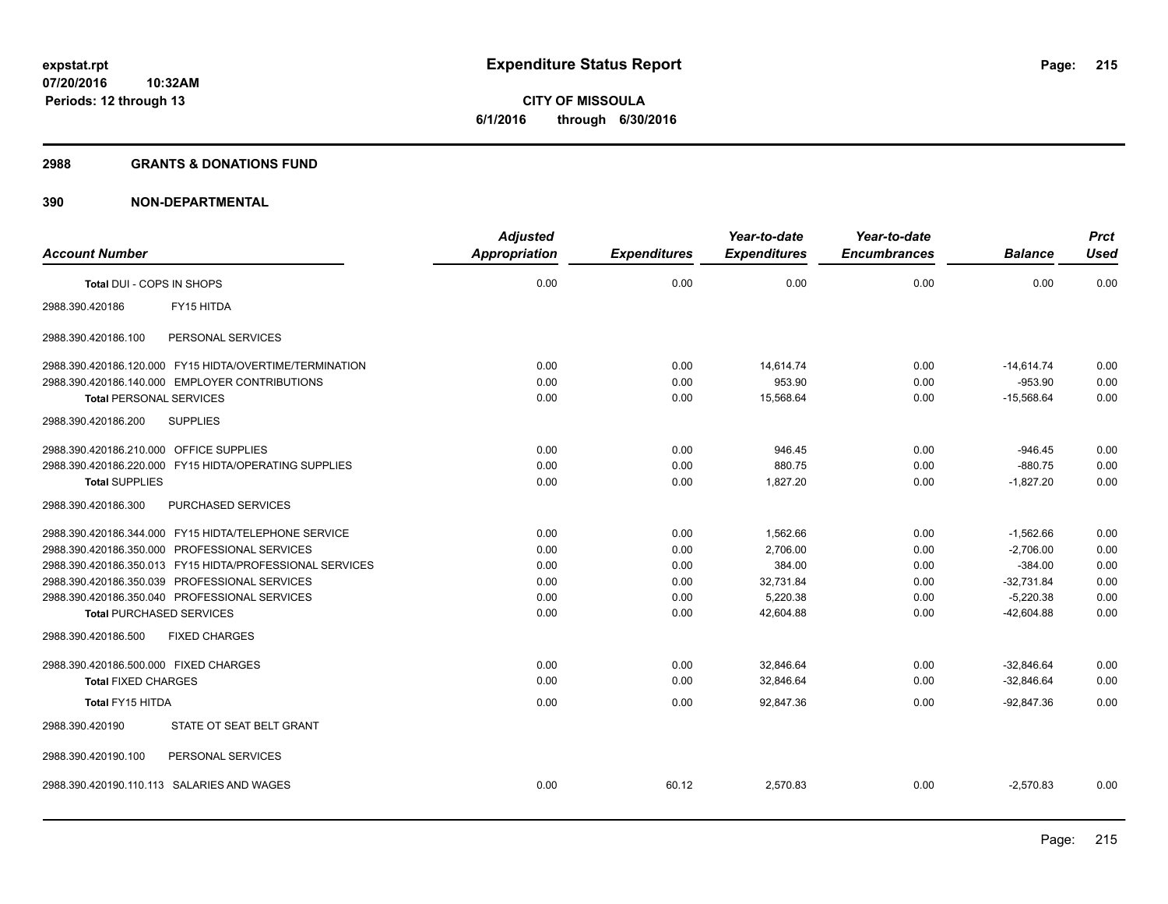**Periods: 12 through 13**

**CITY OF MISSOULA 6/1/2016 through 6/30/2016**

## **2988 GRANTS & DONATIONS FUND**

|                                                          | <b>Adjusted</b> |                     | Year-to-date        | Year-to-date        |                | <b>Prct</b> |
|----------------------------------------------------------|-----------------|---------------------|---------------------|---------------------|----------------|-------------|
| <b>Account Number</b>                                    | Appropriation   | <b>Expenditures</b> | <b>Expenditures</b> | <b>Encumbrances</b> | <b>Balance</b> | <b>Used</b> |
| Total DUI - COPS IN SHOPS                                | 0.00            | 0.00                | 0.00                | 0.00                | 0.00           | 0.00        |
| FY15 HITDA<br>2988.390.420186                            |                 |                     |                     |                     |                |             |
| PERSONAL SERVICES<br>2988.390.420186.100                 |                 |                     |                     |                     |                |             |
| 2988.390.420186.120.000 FY15 HIDTA/OVERTIME/TERMINATION  | 0.00            | 0.00                | 14,614.74           | 0.00                | $-14,614.74$   | 0.00        |
| 2988.390.420186.140.000 EMPLOYER CONTRIBUTIONS           | 0.00            | 0.00                | 953.90              | 0.00                | $-953.90$      | 0.00        |
| <b>Total PERSONAL SERVICES</b>                           | 0.00            | 0.00                | 15,568.64           | 0.00                | $-15,568.64$   | 0.00        |
| <b>SUPPLIES</b><br>2988.390.420186.200                   |                 |                     |                     |                     |                |             |
| 2988.390.420186.210.000 OFFICE SUPPLIES                  | 0.00            | 0.00                | 946.45              | 0.00                | $-946.45$      | 0.00        |
| 2988.390.420186.220.000 FY15 HIDTA/OPERATING SUPPLIES    | 0.00            | 0.00                | 880.75              | 0.00                | $-880.75$      | 0.00        |
| <b>Total SUPPLIES</b>                                    | 0.00            | 0.00                | 1,827.20            | 0.00                | $-1,827.20$    | 0.00        |
| 2988.390.420186.300<br>PURCHASED SERVICES                |                 |                     |                     |                     |                |             |
| 2988.390.420186.344.000 FY15 HIDTA/TELEPHONE SERVICE     | 0.00            | 0.00                | 1,562.66            | 0.00                | $-1,562.66$    | 0.00        |
| 2988.390.420186.350.000 PROFESSIONAL SERVICES            | 0.00            | 0.00                | 2,706.00            | 0.00                | $-2,706.00$    | 0.00        |
| 2988.390.420186.350.013 FY15 HIDTA/PROFESSIONAL SERVICES | 0.00            | 0.00                | 384.00              | 0.00                | $-384.00$      | 0.00        |
| 2988.390.420186.350.039 PROFESSIONAL SERVICES            | 0.00            | 0.00                | 32,731.84           | 0.00                | $-32,731.84$   | 0.00        |
| 2988.390.420186.350.040 PROFESSIONAL SERVICES            | 0.00            | 0.00                | 5,220.38            | 0.00                | $-5,220.38$    | 0.00        |
| <b>Total PURCHASED SERVICES</b>                          | 0.00            | 0.00                | 42,604.88           | 0.00                | $-42,604.88$   | 0.00        |
| 2988.390.420186.500<br><b>FIXED CHARGES</b>              |                 |                     |                     |                     |                |             |
| 2988.390.420186.500.000 FIXED CHARGES                    | 0.00            | 0.00                | 32,846.64           | 0.00                | $-32,846.64$   | 0.00        |
| <b>Total FIXED CHARGES</b>                               | 0.00            | 0.00                | 32,846.64           | 0.00                | $-32,846.64$   | 0.00        |
| Total FY15 HITDA                                         | 0.00            | 0.00                | 92,847.36           | 0.00                | $-92,847.36$   | 0.00        |
| STATE OT SEAT BELT GRANT<br>2988.390.420190              |                 |                     |                     |                     |                |             |
| 2988.390.420190.100<br>PERSONAL SERVICES                 |                 |                     |                     |                     |                |             |
| 2988.390.420190.110.113 SALARIES AND WAGES               | 0.00            | 60.12               | 2,570.83            | 0.00                | $-2,570.83$    | 0.00        |
|                                                          |                 |                     |                     |                     |                |             |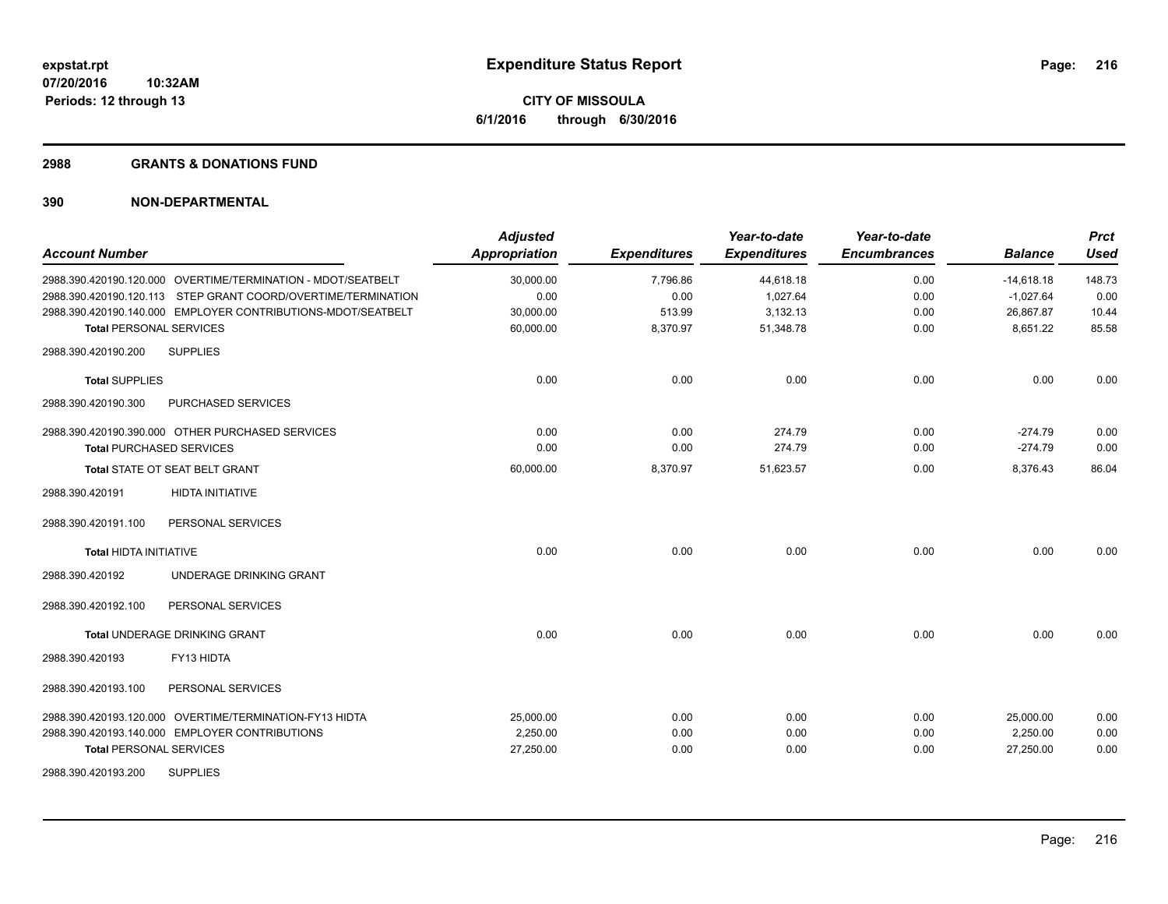## **2988 GRANTS & DONATIONS FUND**

| <b>Account Number</b>                                         | <b>Adjusted</b><br><b>Appropriation</b> | <b>Expenditures</b> | Year-to-date<br><b>Expenditures</b> | Year-to-date<br><b>Encumbrances</b> | <b>Balance</b> | <b>Prct</b><br><b>Used</b> |
|---------------------------------------------------------------|-----------------------------------------|---------------------|-------------------------------------|-------------------------------------|----------------|----------------------------|
| 2988.390.420190.120.000 OVERTIME/TERMINATION - MDOT/SEATBELT  | 30,000.00                               | 7,796.86            | 44,618.18                           | 0.00                                | $-14,618.18$   | 148.73                     |
| 2988.390.420190.120.113 STEP GRANT COORD/OVERTIME/TERMINATION | 0.00                                    | 0.00                | 1,027.64                            | 0.00                                | $-1,027.64$    | 0.00                       |
| 2988.390.420190.140.000 EMPLOYER CONTRIBUTIONS-MDOT/SEATBELT  | 30,000.00                               | 513.99              | 3,132.13                            | 0.00                                | 26,867.87      | 10.44                      |
| <b>Total PERSONAL SERVICES</b>                                | 60,000.00                               | 8,370.97            | 51,348.78                           | 0.00                                | 8,651.22       | 85.58                      |
| 2988.390.420190.200<br><b>SUPPLIES</b>                        |                                         |                     |                                     |                                     |                |                            |
| <b>Total SUPPLIES</b>                                         | 0.00                                    | 0.00                | 0.00                                | 0.00                                | 0.00           | 0.00                       |
| 2988.390.420190.300<br>PURCHASED SERVICES                     |                                         |                     |                                     |                                     |                |                            |
| 2988.390.420190.390.000 OTHER PURCHASED SERVICES              | 0.00                                    | 0.00                | 274.79                              | 0.00                                | $-274.79$      | 0.00                       |
| <b>Total PURCHASED SERVICES</b>                               | 0.00                                    | 0.00                | 274.79                              | 0.00                                | $-274.79$      | 0.00                       |
| Total STATE OT SEAT BELT GRANT                                | 60,000.00                               | 8,370.97            | 51,623.57                           | 0.00                                | 8,376.43       | 86.04                      |
| <b>HIDTA INITIATIVE</b><br>2988.390.420191                    |                                         |                     |                                     |                                     |                |                            |
| 2988.390.420191.100<br>PERSONAL SERVICES                      |                                         |                     |                                     |                                     |                |                            |
| <b>Total HIDTA INITIATIVE</b>                                 | 0.00                                    | 0.00                | 0.00                                | 0.00                                | 0.00           | 0.00                       |
| UNDERAGE DRINKING GRANT<br>2988.390.420192                    |                                         |                     |                                     |                                     |                |                            |
| PERSONAL SERVICES<br>2988.390.420192.100                      |                                         |                     |                                     |                                     |                |                            |
| <b>Total UNDERAGE DRINKING GRANT</b>                          | 0.00                                    | 0.00                | 0.00                                | 0.00                                | 0.00           | 0.00                       |
| FY13 HIDTA<br>2988.390.420193                                 |                                         |                     |                                     |                                     |                |                            |
| 2988.390.420193.100<br>PERSONAL SERVICES                      |                                         |                     |                                     |                                     |                |                            |
| 2988.390.420193.120.000 OVERTIME/TERMINATION-FY13 HIDTA       | 25,000.00                               | 0.00                | 0.00                                | 0.00                                | 25,000.00      | 0.00                       |
| 2988.390.420193.140.000 EMPLOYER CONTRIBUTIONS                | 2,250.00                                | 0.00                | 0.00                                | 0.00                                | 2,250.00       | 0.00                       |
| <b>Total PERSONAL SERVICES</b>                                | 27,250.00                               | 0.00                | 0.00                                | 0.00                                | 27,250.00      | 0.00                       |
| <b>SUPPLIES</b><br>2988.390.420193.200                        |                                         |                     |                                     |                                     |                |                            |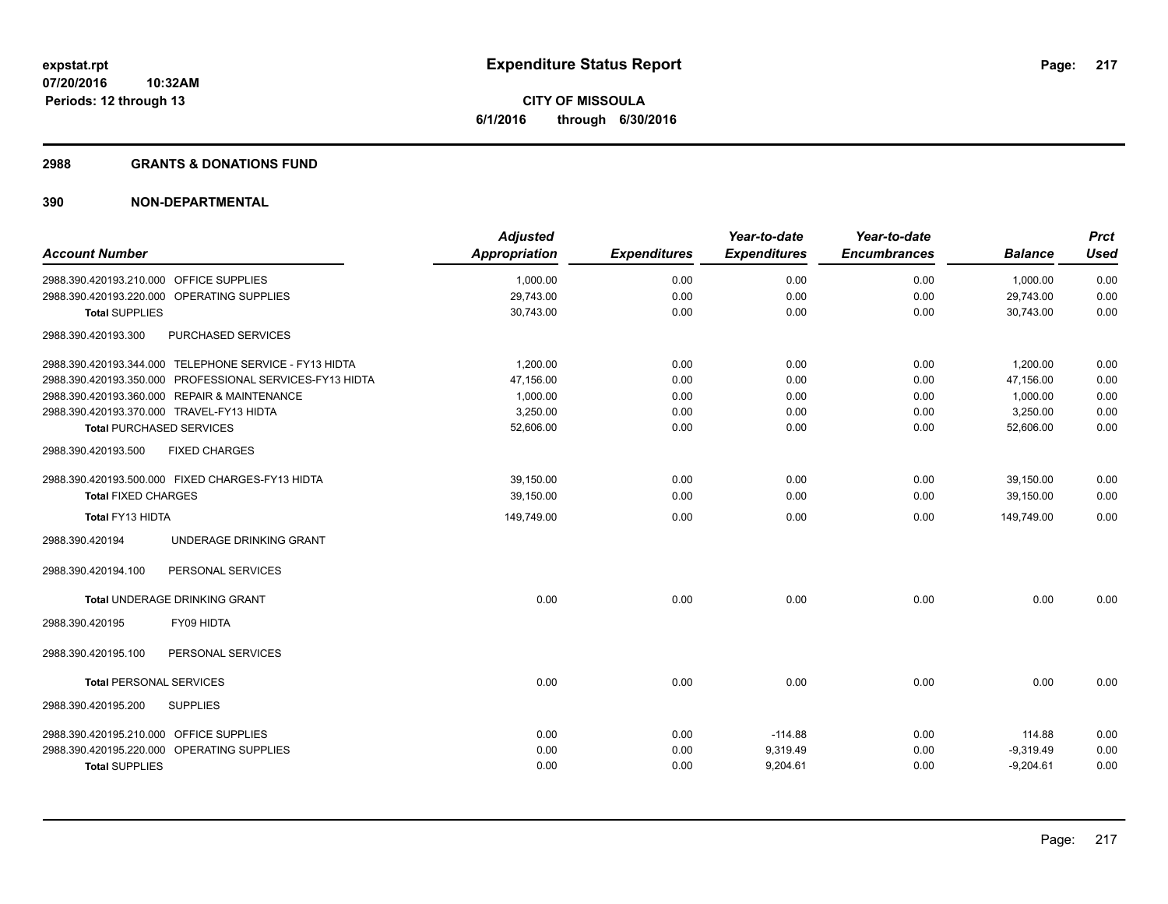### **2988 GRANTS & DONATIONS FUND**

| <b>Adjusted</b><br><b>Appropriation</b>                                                                                                                                                                                                                                                                                                                                                                                                                                                                                                          | <b>Expenditures</b> | Year-to-date<br><b>Expenditures</b> | Year-to-date<br><b>Encumbrances</b> | <b>Balance</b> | <b>Prct</b><br><b>Used</b> |
|--------------------------------------------------------------------------------------------------------------------------------------------------------------------------------------------------------------------------------------------------------------------------------------------------------------------------------------------------------------------------------------------------------------------------------------------------------------------------------------------------------------------------------------------------|---------------------|-------------------------------------|-------------------------------------|----------------|----------------------------|
| 1,000.00                                                                                                                                                                                                                                                                                                                                                                                                                                                                                                                                         | 0.00                | 0.00                                | 0.00                                | 1,000.00       | 0.00                       |
|                                                                                                                                                                                                                                                                                                                                                                                                                                                                                                                                                  |                     |                                     |                                     | 29,743.00      | 0.00                       |
| 30,743.00                                                                                                                                                                                                                                                                                                                                                                                                                                                                                                                                        | 0.00                | 0.00                                | 0.00                                | 30,743.00      | 0.00                       |
|                                                                                                                                                                                                                                                                                                                                                                                                                                                                                                                                                  |                     |                                     |                                     |                |                            |
| 1,200.00                                                                                                                                                                                                                                                                                                                                                                                                                                                                                                                                         | 0.00                | 0.00                                | 0.00                                | 1,200.00       | 0.00                       |
| 47,156.00                                                                                                                                                                                                                                                                                                                                                                                                                                                                                                                                        | 0.00                | 0.00                                | 0.00                                | 47,156.00      | 0.00                       |
| 1,000.00                                                                                                                                                                                                                                                                                                                                                                                                                                                                                                                                         | 0.00                | 0.00                                | 0.00                                | 1,000.00       | 0.00                       |
| 3,250.00                                                                                                                                                                                                                                                                                                                                                                                                                                                                                                                                         | 0.00                | 0.00                                | 0.00                                |                | 0.00                       |
| 52,606.00                                                                                                                                                                                                                                                                                                                                                                                                                                                                                                                                        | 0.00                | 0.00                                | 0.00                                | 52,606.00      | 0.00                       |
|                                                                                                                                                                                                                                                                                                                                                                                                                                                                                                                                                  |                     |                                     |                                     |                |                            |
| 39,150.00                                                                                                                                                                                                                                                                                                                                                                                                                                                                                                                                        | 0.00                | 0.00                                | 0.00                                | 39,150.00      | 0.00                       |
| 39,150.00                                                                                                                                                                                                                                                                                                                                                                                                                                                                                                                                        | 0.00                | 0.00                                | 0.00                                | 39,150.00      | 0.00                       |
| 149,749.00                                                                                                                                                                                                                                                                                                                                                                                                                                                                                                                                       | 0.00                | 0.00                                | 0.00                                | 149,749.00     | 0.00                       |
|                                                                                                                                                                                                                                                                                                                                                                                                                                                                                                                                                  |                     |                                     |                                     |                |                            |
|                                                                                                                                                                                                                                                                                                                                                                                                                                                                                                                                                  |                     |                                     |                                     |                |                            |
| 0.00                                                                                                                                                                                                                                                                                                                                                                                                                                                                                                                                             | 0.00                | 0.00                                | 0.00                                | 0.00           | 0.00                       |
|                                                                                                                                                                                                                                                                                                                                                                                                                                                                                                                                                  |                     |                                     |                                     |                |                            |
|                                                                                                                                                                                                                                                                                                                                                                                                                                                                                                                                                  |                     |                                     |                                     |                |                            |
| 0.00                                                                                                                                                                                                                                                                                                                                                                                                                                                                                                                                             | 0.00                | 0.00                                | 0.00                                | 0.00           | 0.00                       |
|                                                                                                                                                                                                                                                                                                                                                                                                                                                                                                                                                  |                     |                                     |                                     |                |                            |
| 0.00                                                                                                                                                                                                                                                                                                                                                                                                                                                                                                                                             | 0.00                | $-114.88$                           | 0.00                                | 114.88         | 0.00                       |
| 0.00                                                                                                                                                                                                                                                                                                                                                                                                                                                                                                                                             | 0.00                | 9,319.49                            | 0.00                                | $-9,319.49$    | 0.00                       |
| 0.00                                                                                                                                                                                                                                                                                                                                                                                                                                                                                                                                             | 0.00                | 9,204.61                            | 0.00                                | $-9,204.61$    | 0.00                       |
| 2988.390.420193.210.000 OFFICE SUPPLIES<br>2988.390.420193.220.000 OPERATING SUPPLIES<br>PURCHASED SERVICES<br>2988.390.420193.344.000 TELEPHONE SERVICE - FY13 HIDTA<br>2988.390.420193.350.000 PROFESSIONAL SERVICES-FY13 HIDTA<br>2988.390.420193.360.000 REPAIR & MAINTENANCE<br>2988.390.420193.370.000 TRAVEL-FY13 HIDTA<br>2988.390.420193.500.000 FIXED CHARGES-FY13 HIDTA<br>UNDERAGE DRINKING GRANT<br>PERSONAL SERVICES<br>PERSONAL SERVICES<br>2988.390.420195.210.000 OFFICE SUPPLIES<br>2988.390.420195.220.000 OPERATING SUPPLIES | 29,743.00           | 0.00                                | 0.00                                | 0.00           | 3,250.00                   |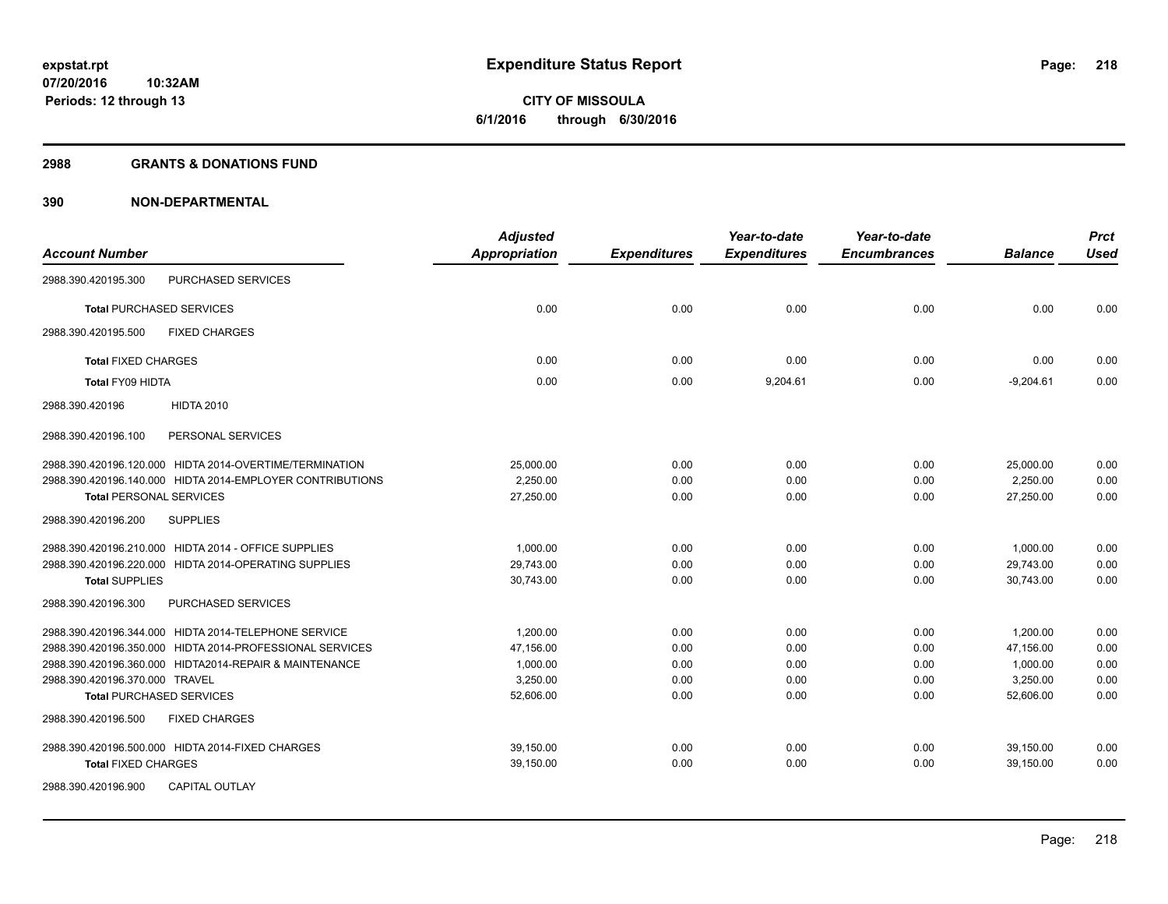**Periods: 12 through 13**

**CITY OF MISSOULA 6/1/2016 through 6/30/2016**

### **2988 GRANTS & DONATIONS FUND**

|                                                           | <b>Adjusted</b>      |                     | Year-to-date        | Year-to-date        |                | <b>Prct</b> |
|-----------------------------------------------------------|----------------------|---------------------|---------------------|---------------------|----------------|-------------|
| <b>Account Number</b>                                     | <b>Appropriation</b> | <b>Expenditures</b> | <b>Expenditures</b> | <b>Encumbrances</b> | <b>Balance</b> | <b>Used</b> |
| PURCHASED SERVICES<br>2988.390.420195.300                 |                      |                     |                     |                     |                |             |
| <b>Total PURCHASED SERVICES</b>                           | 0.00                 | 0.00                | 0.00                | 0.00                | 0.00           | 0.00        |
| 2988.390.420195.500<br><b>FIXED CHARGES</b>               |                      |                     |                     |                     |                |             |
| <b>Total FIXED CHARGES</b>                                | 0.00                 | 0.00                | 0.00                | 0.00                | 0.00           | 0.00        |
| <b>Total FY09 HIDTA</b>                                   | 0.00                 | 0.00                | 9,204.61            | 0.00                | $-9,204.61$    | 0.00        |
| <b>HIDTA 2010</b><br>2988.390.420196                      |                      |                     |                     |                     |                |             |
| 2988.390.420196.100<br>PERSONAL SERVICES                  |                      |                     |                     |                     |                |             |
| 2988.390.420196.120.000 HIDTA 2014-OVERTIME/TERMINATION   | 25,000.00            | 0.00                | 0.00                | 0.00                | 25,000.00      | 0.00        |
| 2988.390.420196.140.000 HIDTA 2014-EMPLOYER CONTRIBUTIONS | 2,250.00             | 0.00                | 0.00                | 0.00                | 2,250.00       | 0.00        |
| <b>Total PERSONAL SERVICES</b>                            | 27,250.00            | 0.00                | 0.00                | 0.00                | 27,250.00      | 0.00        |
| 2988.390.420196.200<br><b>SUPPLIES</b>                    |                      |                     |                     |                     |                |             |
| 2988.390.420196.210.000 HIDTA 2014 - OFFICE SUPPLIES      | 1,000.00             | 0.00                | 0.00                | 0.00                | 1,000.00       | 0.00        |
| 2988.390.420196.220.000 HIDTA 2014-OPERATING SUPPLIES     | 29,743.00            | 0.00                | 0.00                | 0.00                | 29,743.00      | 0.00        |
| <b>Total SUPPLIES</b>                                     | 30,743.00            | 0.00                | 0.00                | 0.00                | 30,743.00      | 0.00        |
| PURCHASED SERVICES<br>2988.390.420196.300                 |                      |                     |                     |                     |                |             |
| 2988.390.420196.344.000 HIDTA 2014-TELEPHONE SERVICE      | 1,200.00             | 0.00                | 0.00                | 0.00                | 1,200.00       | 0.00        |
| 2988.390.420196.350.000 HIDTA 2014-PROFESSIONAL SERVICES  | 47,156.00            | 0.00                | 0.00                | 0.00                | 47,156.00      | 0.00        |
| 2988.390.420196.360.000 HIDTA2014-REPAIR & MAINTENANCE    | 1,000.00             | 0.00                | 0.00                | 0.00                | 1,000.00       | 0.00        |
| 2988.390.420196.370.000 TRAVEL                            | 3,250.00             | 0.00                | 0.00                | 0.00                | 3,250.00       | 0.00        |
| <b>Total PURCHASED SERVICES</b>                           | 52,606.00            | 0.00                | 0.00                | 0.00                | 52,606.00      | 0.00        |
| 2988.390.420196.500<br><b>FIXED CHARGES</b>               |                      |                     |                     |                     |                |             |
| 2988.390.420196.500.000 HIDTA 2014-FIXED CHARGES          | 39,150.00            | 0.00                | 0.00                | 0.00                | 39,150.00      | 0.00        |
| <b>Total FIXED CHARGES</b>                                | 39,150.00            | 0.00                | 0.00                | 0.00                | 39,150.00      | 0.00        |
| 2988.390.420196.900<br><b>CAPITAL OUTLAY</b>              |                      |                     |                     |                     |                |             |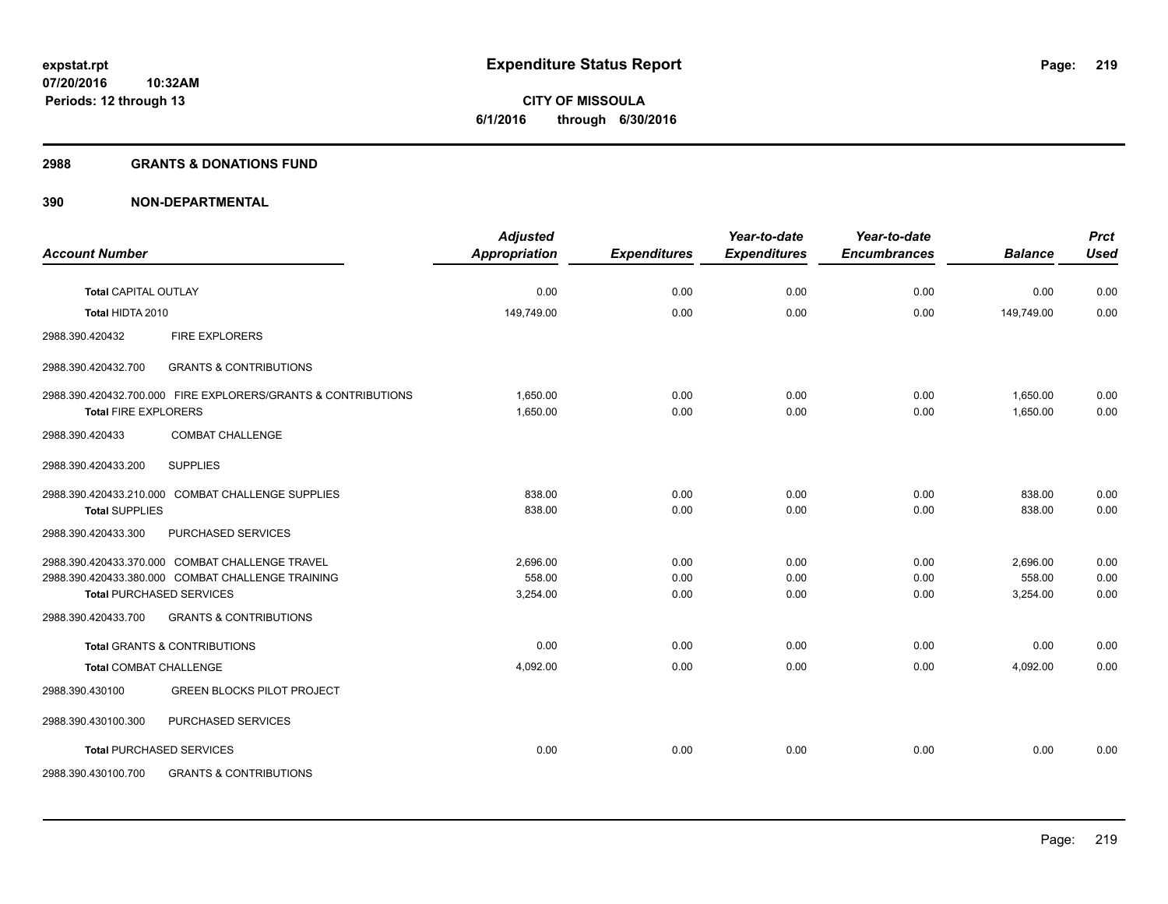### **2988 GRANTS & DONATIONS FUND**

| <b>Account Number</b>         |                                                               | <b>Adjusted</b><br><b>Appropriation</b> | <b>Expenditures</b> | Year-to-date<br><b>Expenditures</b> | Year-to-date<br><b>Encumbrances</b> | <b>Balance</b> | <b>Prct</b><br><b>Used</b> |
|-------------------------------|---------------------------------------------------------------|-----------------------------------------|---------------------|-------------------------------------|-------------------------------------|----------------|----------------------------|
|                               |                                                               |                                         |                     |                                     |                                     |                |                            |
| <b>Total CAPITAL OUTLAY</b>   |                                                               | 0.00                                    | 0.00                | 0.00                                | 0.00                                | 0.00           | 0.00                       |
| Total HIDTA 2010              |                                                               | 149,749.00                              | 0.00                | 0.00                                | 0.00                                | 149,749.00     | 0.00                       |
| 2988.390.420432               | <b>FIRE EXPLORERS</b>                                         |                                         |                     |                                     |                                     |                |                            |
| 2988.390.420432.700           | <b>GRANTS &amp; CONTRIBUTIONS</b>                             |                                         |                     |                                     |                                     |                |                            |
|                               | 2988.390.420432.700.000 FIRE EXPLORERS/GRANTS & CONTRIBUTIONS | 1.650.00                                | 0.00                | 0.00                                | 0.00                                | 1.650.00       | 0.00                       |
| <b>Total FIRE EXPLORERS</b>   |                                                               | 1,650.00                                | 0.00                | 0.00                                | 0.00                                | 1,650.00       | 0.00                       |
| 2988.390.420433               | <b>COMBAT CHALLENGE</b>                                       |                                         |                     |                                     |                                     |                |                            |
| 2988.390.420433.200           | <b>SUPPLIES</b>                                               |                                         |                     |                                     |                                     |                |                            |
|                               | 2988.390.420433.210.000 COMBAT CHALLENGE SUPPLIES             | 838.00                                  | 0.00                | 0.00                                | 0.00                                | 838.00         | 0.00                       |
| <b>Total SUPPLIES</b>         |                                                               | 838.00                                  | 0.00                | 0.00                                | 0.00                                | 838.00         | 0.00                       |
| 2988.390.420433.300           | PURCHASED SERVICES                                            |                                         |                     |                                     |                                     |                |                            |
|                               | 2988.390.420433.370.000 COMBAT CHALLENGE TRAVEL               | 2,696.00                                | 0.00                | 0.00                                | 0.00                                | 2,696.00       | 0.00                       |
|                               | 2988.390.420433.380.000 COMBAT CHALLENGE TRAINING             | 558.00                                  | 0.00                | 0.00                                | 0.00                                | 558.00         | 0.00                       |
|                               | <b>Total PURCHASED SERVICES</b>                               | 3,254.00                                | 0.00                | 0.00                                | 0.00                                | 3,254.00       | 0.00                       |
| 2988.390.420433.700           | <b>GRANTS &amp; CONTRIBUTIONS</b>                             |                                         |                     |                                     |                                     |                |                            |
|                               | <b>Total GRANTS &amp; CONTRIBUTIONS</b>                       | 0.00                                    | 0.00                | 0.00                                | 0.00                                | 0.00           | 0.00                       |
| <b>Total COMBAT CHALLENGE</b> |                                                               | 4,092.00                                | 0.00                | 0.00                                | 0.00                                | 4,092.00       | 0.00                       |
| 2988.390.430100               | <b>GREEN BLOCKS PILOT PROJECT</b>                             |                                         |                     |                                     |                                     |                |                            |
| 2988.390.430100.300           | PURCHASED SERVICES                                            |                                         |                     |                                     |                                     |                |                            |
|                               | <b>Total PURCHASED SERVICES</b>                               | 0.00                                    | 0.00                | 0.00                                | 0.00                                | 0.00           | 0.00                       |
| 2988.390.430100.700           | <b>GRANTS &amp; CONTRIBUTIONS</b>                             |                                         |                     |                                     |                                     |                |                            |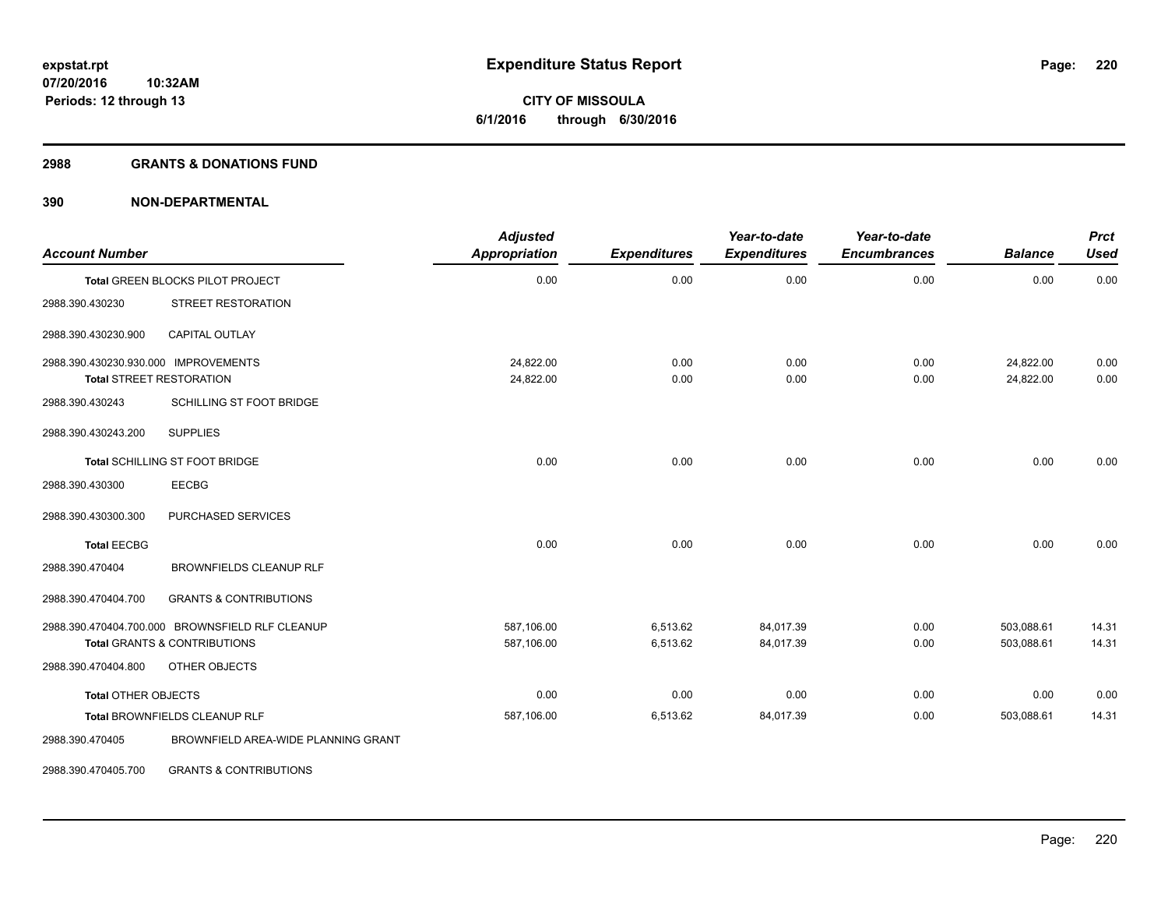### **2988 GRANTS & DONATIONS FUND**

| <b>Account Number</b>                |                                                 | <b>Adjusted</b><br><b>Appropriation</b> | <b>Expenditures</b> | Year-to-date<br><b>Expenditures</b> | Year-to-date<br><b>Encumbrances</b> | <b>Balance</b>         | <b>Prct</b><br><b>Used</b> |
|--------------------------------------|-------------------------------------------------|-----------------------------------------|---------------------|-------------------------------------|-------------------------------------|------------------------|----------------------------|
|                                      | Total GREEN BLOCKS PILOT PROJECT                | 0.00                                    | 0.00                | 0.00                                | 0.00                                | 0.00                   | 0.00                       |
| 2988.390.430230                      | STREET RESTORATION                              |                                         |                     |                                     |                                     |                        |                            |
| 2988.390.430230.900                  | <b>CAPITAL OUTLAY</b>                           |                                         |                     |                                     |                                     |                        |                            |
| 2988.390.430230.930.000 IMPROVEMENTS | <b>Total STREET RESTORATION</b>                 | 24,822.00<br>24,822.00                  | 0.00<br>0.00        | 0.00<br>0.00                        | 0.00<br>0.00                        | 24,822.00<br>24,822.00 | 0.00<br>0.00               |
| 2988.390.430243                      | SCHILLING ST FOOT BRIDGE                        |                                         |                     |                                     |                                     |                        |                            |
| 2988.390.430243.200                  | <b>SUPPLIES</b>                                 |                                         |                     |                                     |                                     |                        |                            |
|                                      | Total SCHILLING ST FOOT BRIDGE                  | 0.00                                    | 0.00                | 0.00                                | 0.00                                | 0.00                   | 0.00                       |
| 2988.390.430300                      | <b>EECBG</b>                                    |                                         |                     |                                     |                                     |                        |                            |
| 2988.390.430300.300                  | PURCHASED SERVICES                              |                                         |                     |                                     |                                     |                        |                            |
| <b>Total EECBG</b>                   |                                                 | 0.00                                    | 0.00                | 0.00                                | 0.00                                | 0.00                   | 0.00                       |
| 2988.390.470404                      | <b>BROWNFIELDS CLEANUP RLF</b>                  |                                         |                     |                                     |                                     |                        |                            |
| 2988.390.470404.700                  | <b>GRANTS &amp; CONTRIBUTIONS</b>               |                                         |                     |                                     |                                     |                        |                            |
|                                      | 2988.390.470404.700.000 BROWNSFIELD RLF CLEANUP | 587,106.00                              | 6,513.62            | 84.017.39                           | 0.00                                | 503,088.61             | 14.31                      |
|                                      | <b>Total GRANTS &amp; CONTRIBUTIONS</b>         | 587,106.00                              | 6,513.62            | 84,017.39                           | 0.00                                | 503,088.61             | 14.31                      |
| 2988.390.470404.800                  | OTHER OBJECTS                                   |                                         |                     |                                     |                                     |                        |                            |
| <b>Total OTHER OBJECTS</b>           |                                                 | 0.00                                    | 0.00                | 0.00                                | 0.00                                | 0.00                   | 0.00                       |
|                                      | Total BROWNFIELDS CLEANUP RLF                   | 587,106.00                              | 6,513.62            | 84,017.39                           | 0.00                                | 503,088.61             | 14.31                      |
| 2988.390.470405                      | BROWNFIELD AREA-WIDE PLANNING GRANT             |                                         |                     |                                     |                                     |                        |                            |
| 2988.390.470405.700                  | <b>GRANTS &amp; CONTRIBUTIONS</b>               |                                         |                     |                                     |                                     |                        |                            |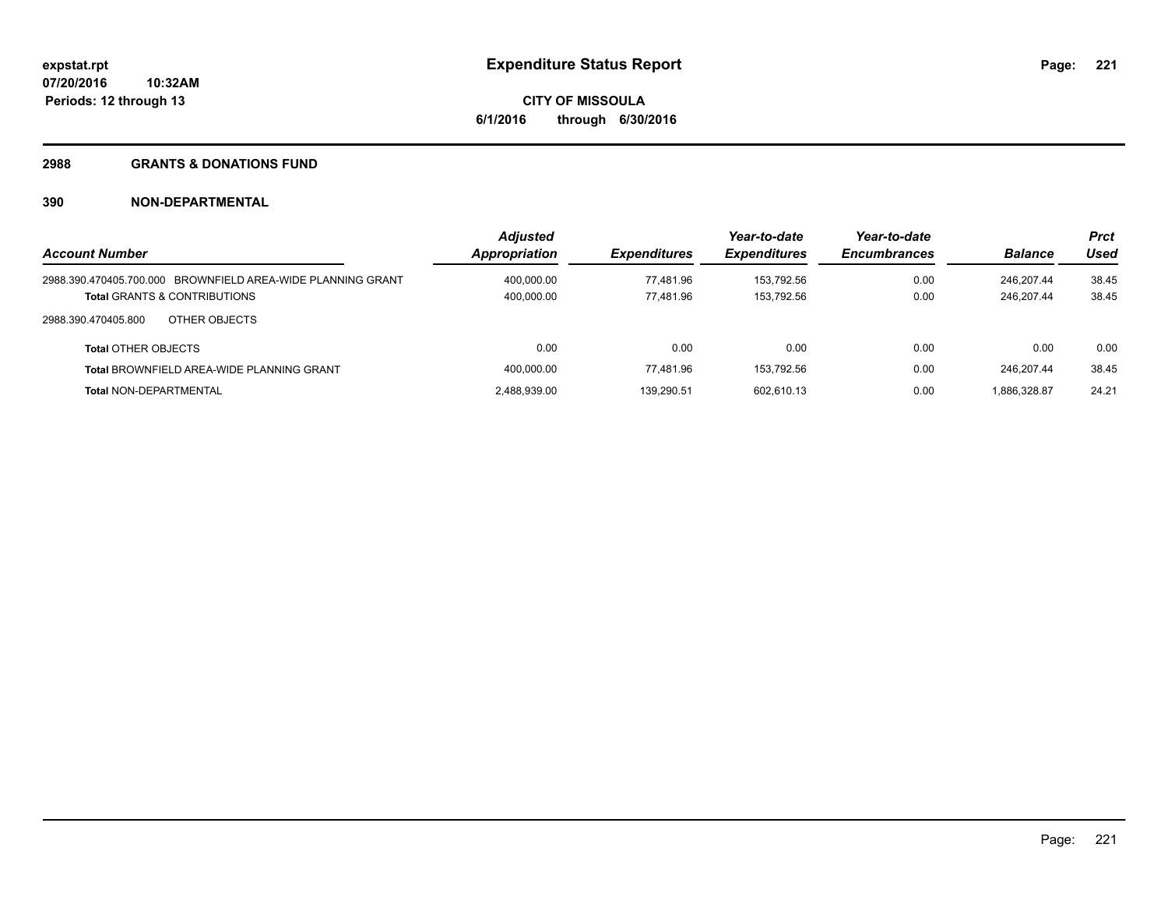## **2988 GRANTS & DONATIONS FUND**

| <b>Account Number</b>                                       | <b>Adjusted</b><br><b>Appropriation</b> | <i><b>Expenditures</b></i> | Year-to-date<br><b>Expenditures</b> | Year-to-date<br><b>Encumbrances</b> | <b>Balance</b> | <b>Prct</b><br>Used |
|-------------------------------------------------------------|-----------------------------------------|----------------------------|-------------------------------------|-------------------------------------|----------------|---------------------|
|                                                             |                                         |                            |                                     |                                     |                |                     |
| 2988.390.470405.700.000 BROWNFIELD AREA-WIDE PLANNING GRANT | 400.000.00                              | 77.481.96                  | 153.792.56                          | 0.00                                | 246.207.44     | 38.45               |
| <b>Total GRANTS &amp; CONTRIBUTIONS</b>                     | 400,000.00                              | 77.481.96                  | 153.792.56                          | 0.00                                | 246.207.44     | 38.45               |
| 2988.390.470405.800<br>OTHER OBJECTS                        |                                         |                            |                                     |                                     |                |                     |
| <b>Total OTHER OBJECTS</b>                                  | 0.00                                    | 0.00                       | 0.00                                | 0.00                                | 0.00           | 0.00                |
| <b>Total BROWNFIELD AREA-WIDE PLANNING GRANT</b>            | 400,000.00                              | 77.481.96                  | 153.792.56                          | 0.00                                | 246.207.44     | 38.45               |
| <b>Total NON-DEPARTMENTAL</b>                               | 2.488.939.00                            | 139.290.51                 | 602.610.13                          | 0.00                                | 1.886.328.87   | 24.21               |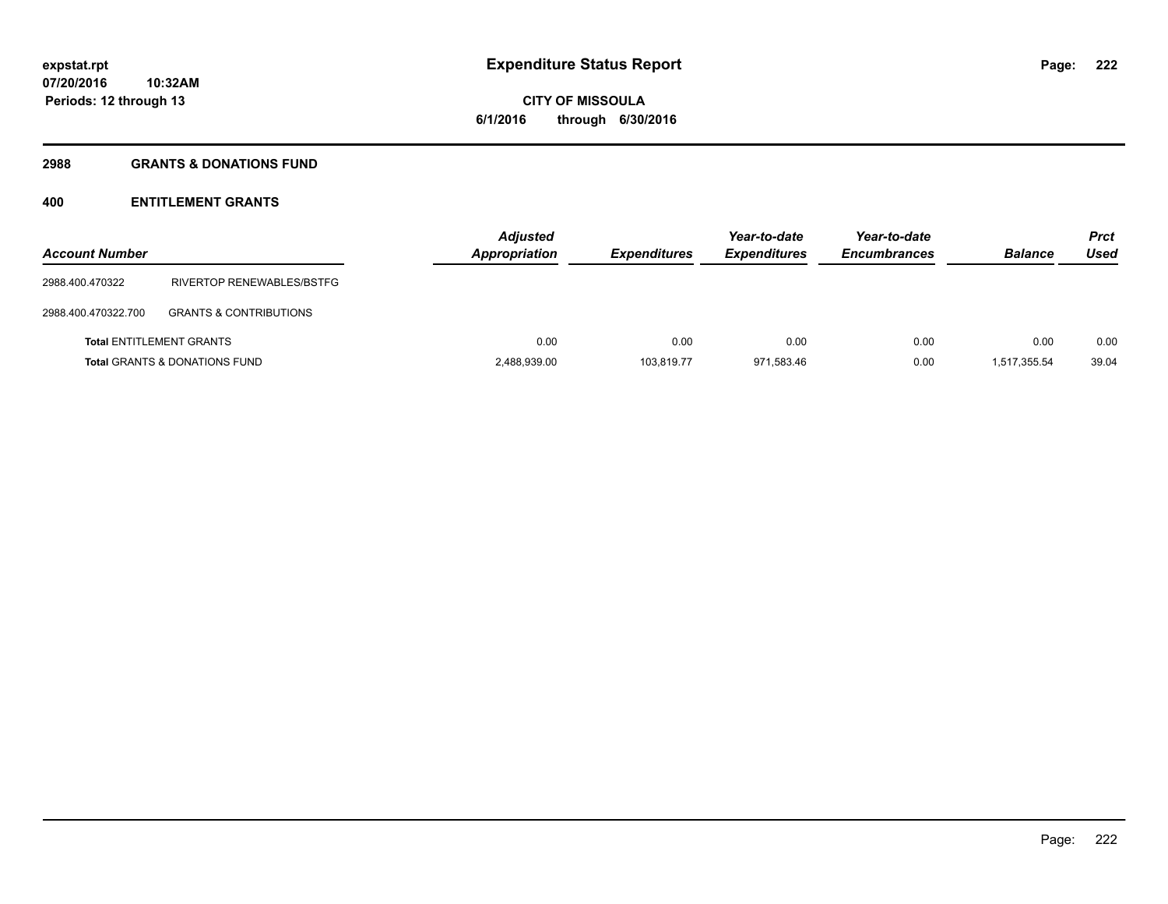# **2988 GRANTS & DONATIONS FUND**

# **400 ENTITLEMENT GRANTS**

| <b>Account Number</b> |                                          | <b>Adjusted</b><br>Appropriation | <b>Expenditures</b> | Year-to-date<br><b>Expenditures</b> | Year-to-date<br><b>Encumbrances</b> | <b>Balance</b> | <b>Prct</b><br>Used |
|-----------------------|------------------------------------------|----------------------------------|---------------------|-------------------------------------|-------------------------------------|----------------|---------------------|
| 2988.400.470322       | RIVERTOP RENEWABLES/BSTFG                |                                  |                     |                                     |                                     |                |                     |
| 2988.400.470322.700   | <b>GRANTS &amp; CONTRIBUTIONS</b>        |                                  |                     |                                     |                                     |                |                     |
|                       | <b>Total ENTITLEMENT GRANTS</b>          | 0.00                             | 0.00                | 0.00                                | 0.00                                | 0.00           | 0.00                |
|                       | <b>Total GRANTS &amp; DONATIONS FUND</b> | 2,488,939.00                     | 103.819.77          | 971.583.46                          | 0.00                                | 1.517.355.54   | 39.04               |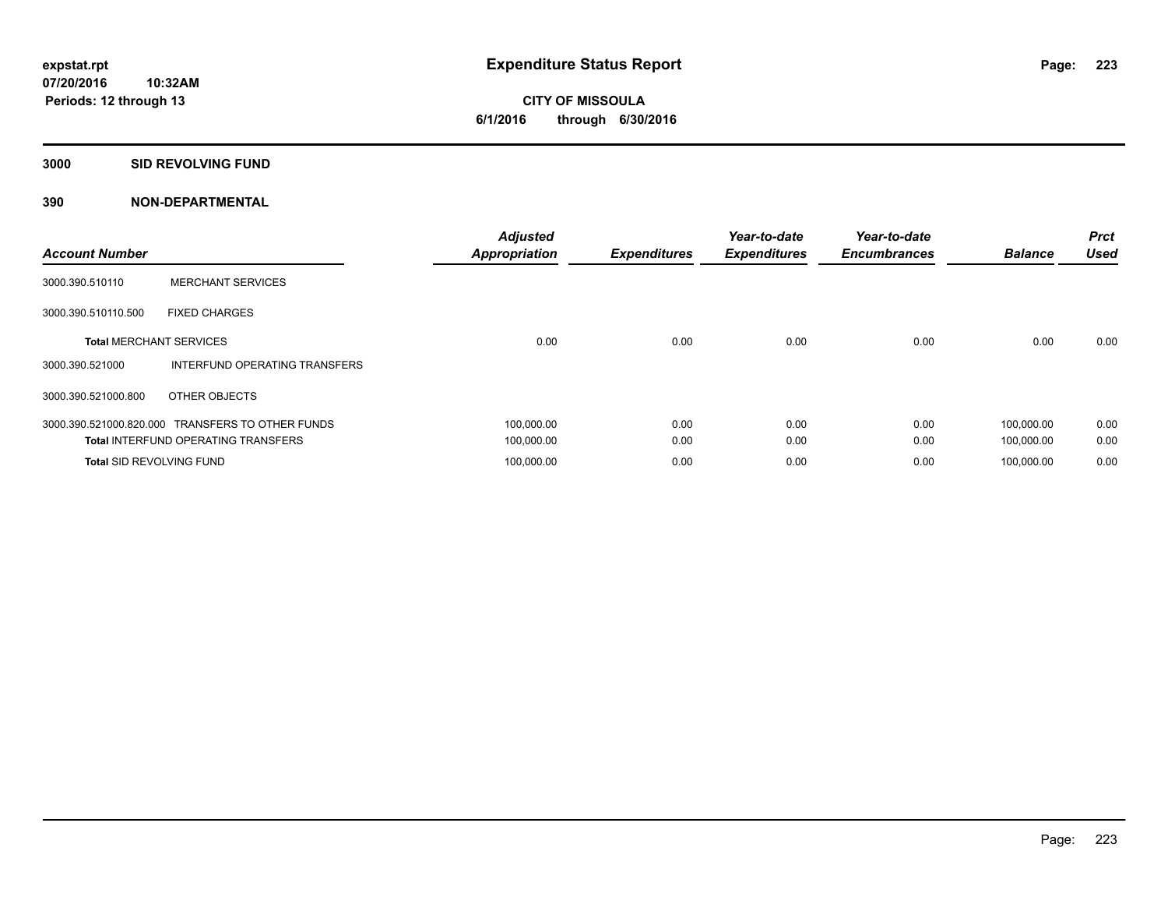## **3000 SID REVOLVING FUND**

| <b>Account Number</b>           |                                                  | <b>Adjusted</b><br><b>Appropriation</b> | <b>Expenditures</b> | Year-to-date<br><b>Expenditures</b> | Year-to-date<br><b>Encumbrances</b> | <b>Balance</b> | <b>Prct</b><br><b>Used</b> |
|---------------------------------|--------------------------------------------------|-----------------------------------------|---------------------|-------------------------------------|-------------------------------------|----------------|----------------------------|
| 3000.390.510110                 | <b>MERCHANT SERVICES</b>                         |                                         |                     |                                     |                                     |                |                            |
| 3000.390.510110.500             | <b>FIXED CHARGES</b>                             |                                         |                     |                                     |                                     |                |                            |
| <b>Total MERCHANT SERVICES</b>  |                                                  | 0.00                                    | 0.00                | 0.00                                | 0.00                                | 0.00           | 0.00                       |
| 3000.390.521000                 | INTERFUND OPERATING TRANSFERS                    |                                         |                     |                                     |                                     |                |                            |
| 3000.390.521000.800             | OTHER OBJECTS                                    |                                         |                     |                                     |                                     |                |                            |
|                                 | 3000.390.521000.820.000 TRANSFERS TO OTHER FUNDS | 100,000.00                              | 0.00                | 0.00                                | 0.00                                | 100,000.00     | 0.00                       |
|                                 | <b>Total INTERFUND OPERATING TRANSFERS</b>       | 100,000.00                              | 0.00                | 0.00                                | 0.00                                | 100,000.00     | 0.00                       |
| <b>Total SID REVOLVING FUND</b> |                                                  | 100,000.00                              | 0.00                | 0.00                                | 0.00                                | 100.000.00     | 0.00                       |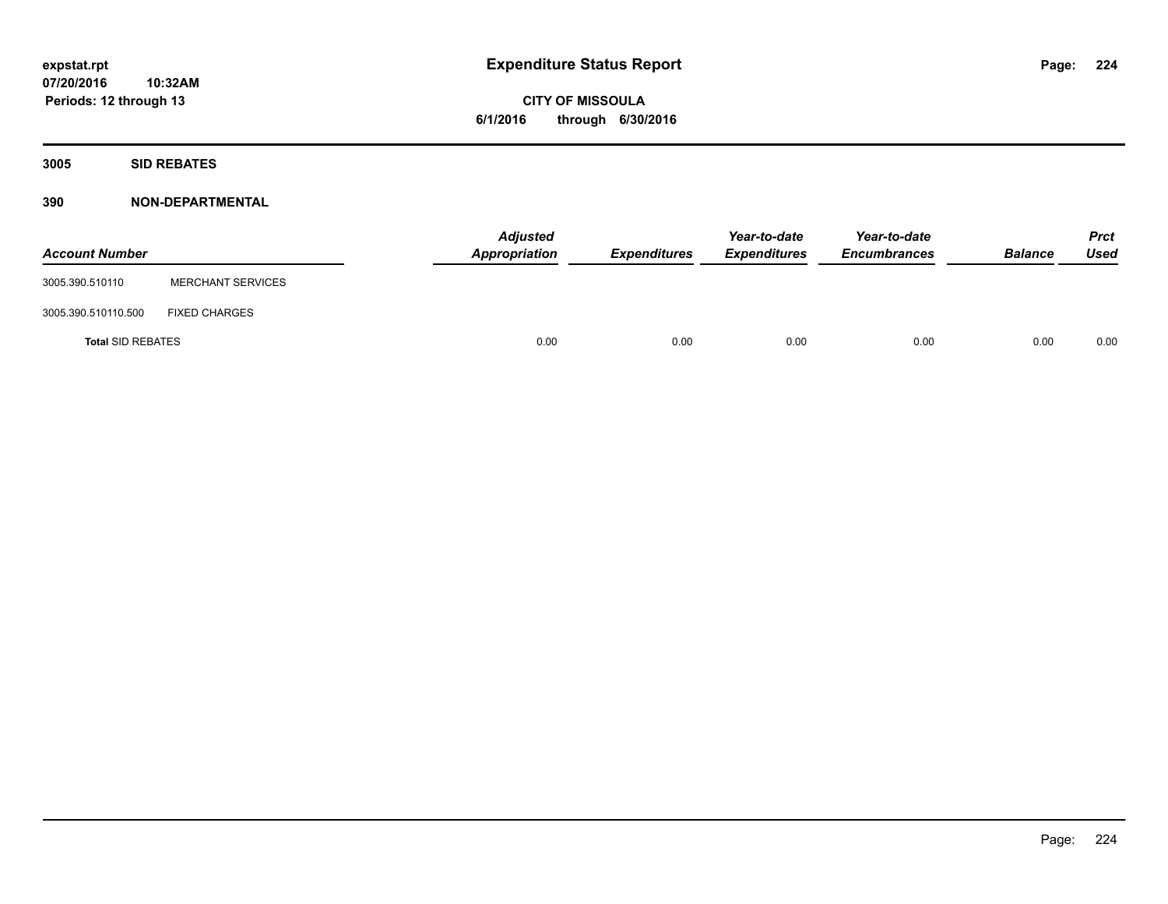**3005 SID REBATES**

| <b>Account Number</b>    |                          | <b>Adjusted</b><br>Appropriation | Expenditures | Year-to-date<br><b>Expenditures</b> | Year-to-date<br><b>Encumbrances</b> | <b>Balance</b> | <b>Prct</b><br>Used |
|--------------------------|--------------------------|----------------------------------|--------------|-------------------------------------|-------------------------------------|----------------|---------------------|
| 3005.390.510110          | <b>MERCHANT SERVICES</b> |                                  |              |                                     |                                     |                |                     |
| 3005.390.510110.500      | <b>FIXED CHARGES</b>     |                                  |              |                                     |                                     |                |                     |
| <b>Total SID REBATES</b> |                          | 0.00                             | 0.00         | 0.00                                | 0.00                                | 0.00           | 0.00                |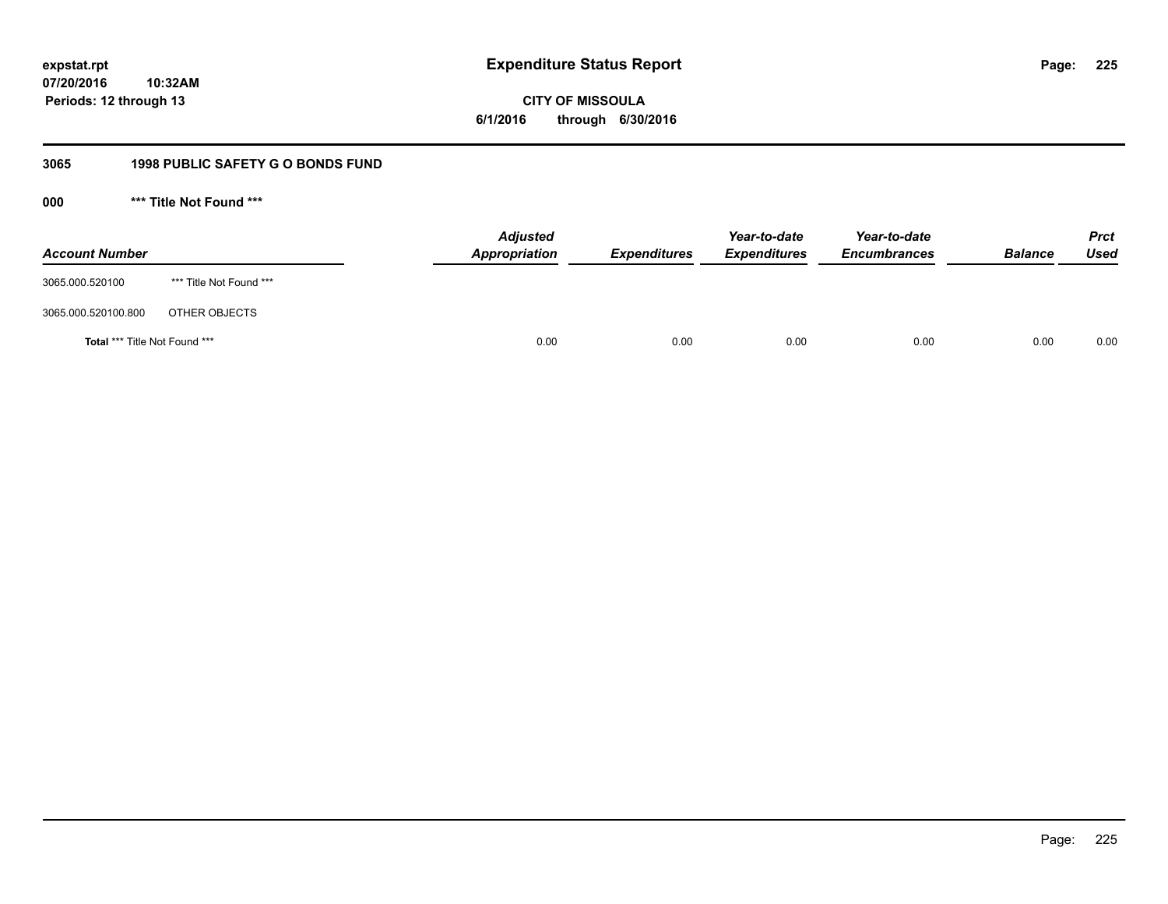# **CITY OF MISSOULA 6/1/2016 through 6/30/2016**

# **3065 1998 PUBLIC SAFETY G O BONDS FUND**

**000 \*\*\* Title Not Found \*\*\***

| <b>Account Number</b>         |                         | <b>Adjusted</b><br>Appropriation | <b>Expenditures</b> | Year-to-date<br><b>Expenditures</b> | Year-to-date<br><b>Encumbrances</b> | <b>Balance</b> | <b>Prct</b><br>Used |
|-------------------------------|-------------------------|----------------------------------|---------------------|-------------------------------------|-------------------------------------|----------------|---------------------|
| 3065.000.520100               | *** Title Not Found *** |                                  |                     |                                     |                                     |                |                     |
| 3065.000.520100.800           | OTHER OBJECTS           |                                  |                     |                                     |                                     |                |                     |
| Total *** Title Not Found *** |                         | 0.00                             | 0.00                | 0.00                                | 0.00                                | 0.00           | 0.00                |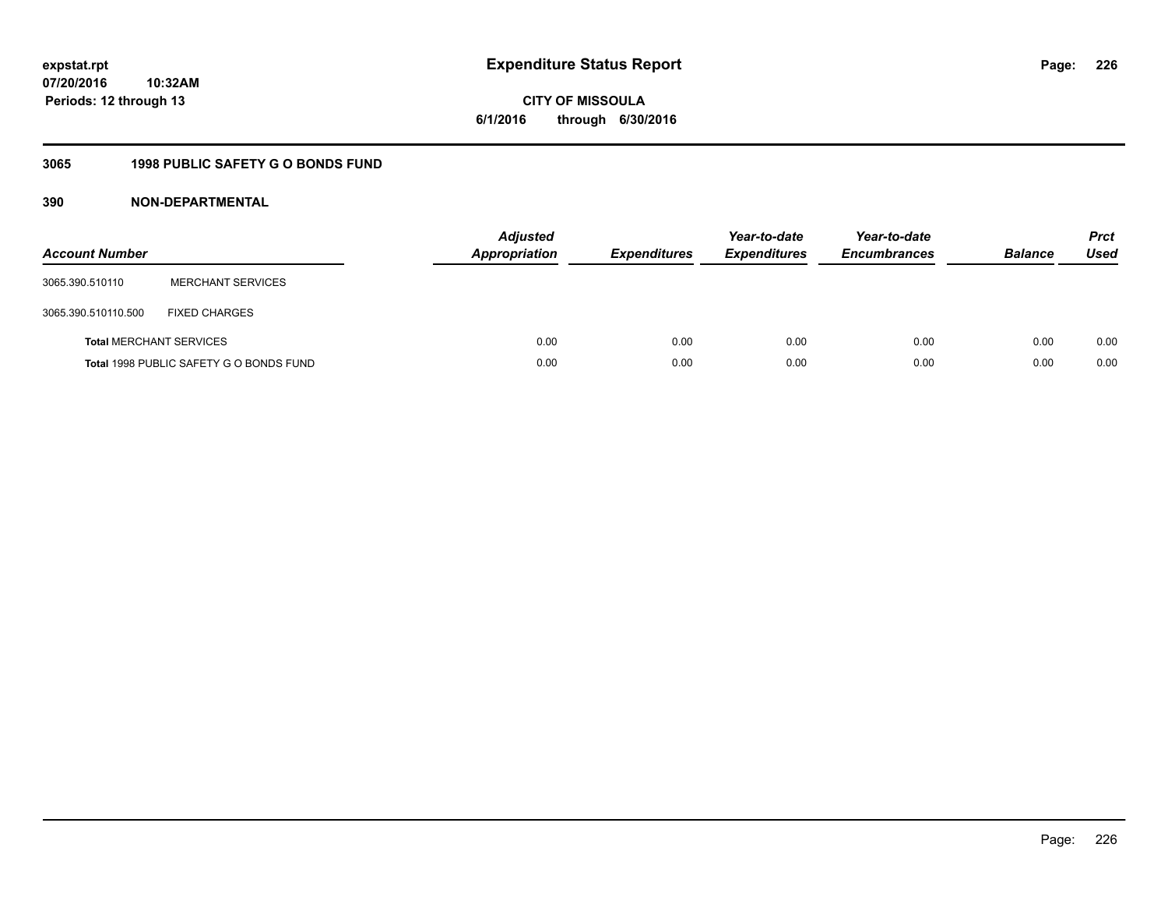# **CITY OF MISSOULA 6/1/2016 through 6/30/2016**

# **3065 1998 PUBLIC SAFETY G O BONDS FUND**

| <b>Account Number</b>          |                                         | <b>Adjusted</b><br>Appropriation | <b>Expenditures</b> | Year-to-date<br><b>Expenditures</b> | Year-to-date<br><b>Encumbrances</b> | <b>Balance</b> | <b>Prct</b><br>Used |
|--------------------------------|-----------------------------------------|----------------------------------|---------------------|-------------------------------------|-------------------------------------|----------------|---------------------|
| 3065.390.510110                | <b>MERCHANT SERVICES</b>                |                                  |                     |                                     |                                     |                |                     |
| 3065.390.510110.500            | <b>FIXED CHARGES</b>                    |                                  |                     |                                     |                                     |                |                     |
| <b>Total MERCHANT SERVICES</b> |                                         | 0.00                             | 0.00                | 0.00                                | 0.00                                | 0.00           | 0.00                |
|                                | Total 1998 PUBLIC SAFETY G O BONDS FUND | 0.00                             | 0.00                | 0.00                                | 0.00                                | 0.00           | 0.00                |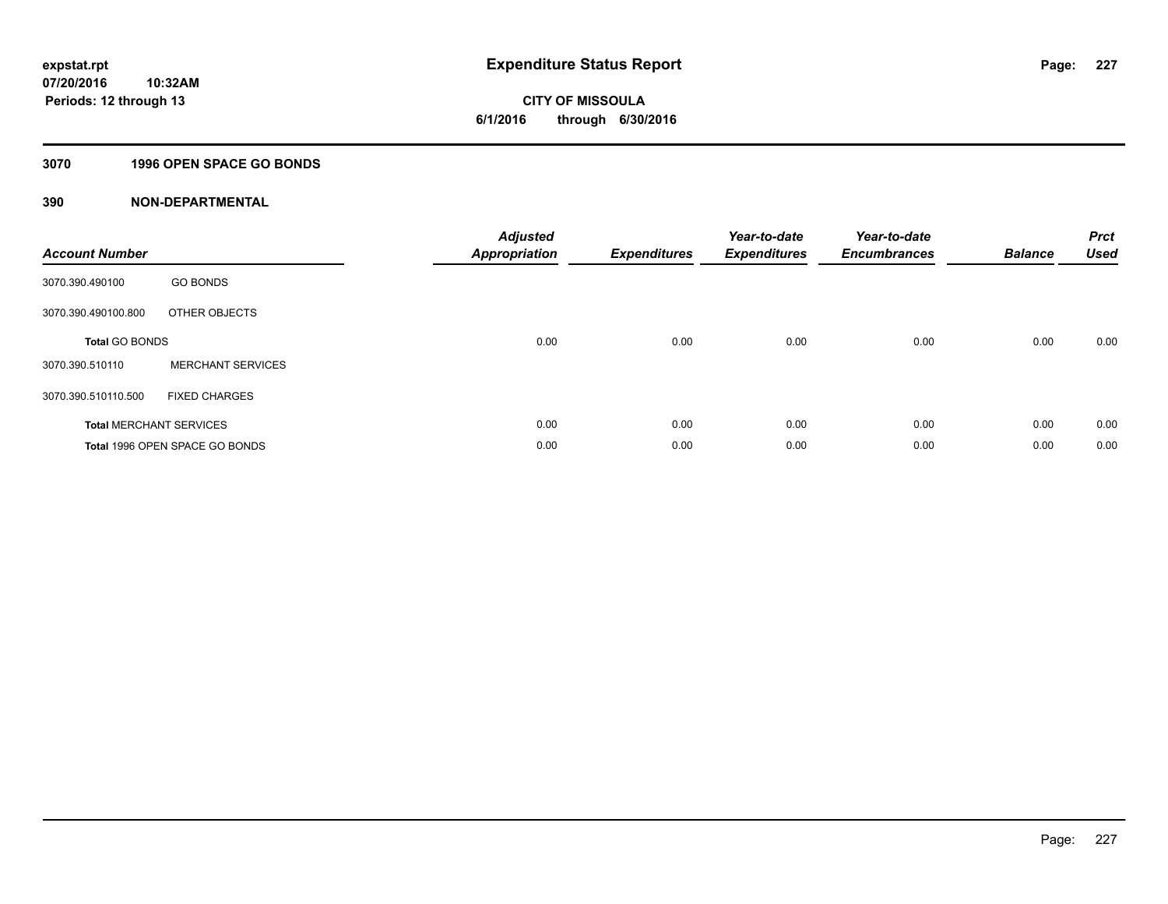# **3070 1996 OPEN SPACE GO BONDS**

| <b>Account Number</b> |                                | <b>Adjusted</b><br><b>Appropriation</b> | <b>Expenditures</b> | Year-to-date<br><b>Expenditures</b> | Year-to-date<br><b>Encumbrances</b> | <b>Balance</b> | <b>Prct</b><br><b>Used</b> |
|-----------------------|--------------------------------|-----------------------------------------|---------------------|-------------------------------------|-------------------------------------|----------------|----------------------------|
| 3070.390.490100       | <b>GO BONDS</b>                |                                         |                     |                                     |                                     |                |                            |
| 3070.390.490100.800   | OTHER OBJECTS                  |                                         |                     |                                     |                                     |                |                            |
| <b>Total GO BONDS</b> |                                | 0.00                                    | 0.00                | 0.00                                | 0.00                                | 0.00           | 0.00                       |
| 3070.390.510110       | <b>MERCHANT SERVICES</b>       |                                         |                     |                                     |                                     |                |                            |
| 3070.390.510110.500   | <b>FIXED CHARGES</b>           |                                         |                     |                                     |                                     |                |                            |
|                       | <b>Total MERCHANT SERVICES</b> | 0.00                                    | 0.00                | 0.00                                | 0.00                                | 0.00           | 0.00                       |
|                       | Total 1996 OPEN SPACE GO BONDS | 0.00                                    | 0.00                | 0.00                                | 0.00                                | 0.00           | 0.00                       |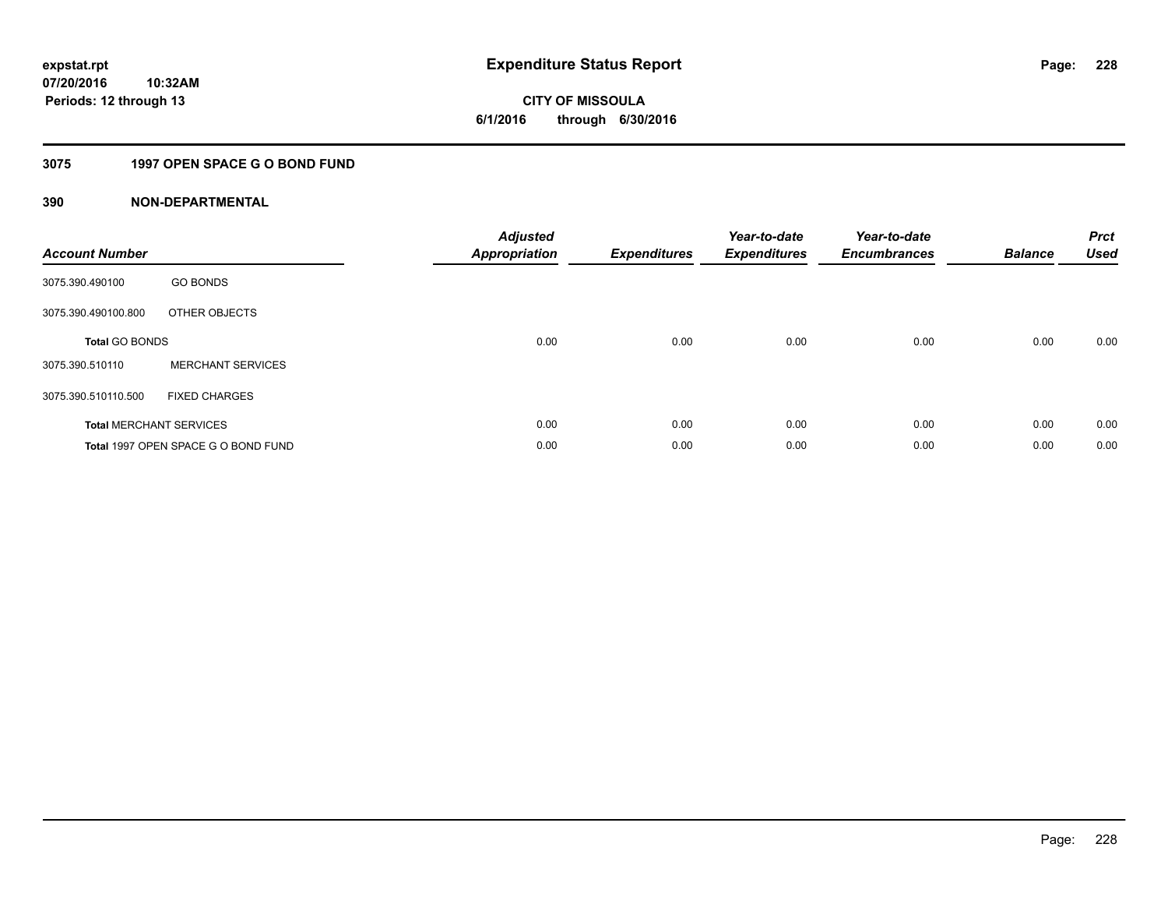# **CITY OF MISSOULA 6/1/2016 through 6/30/2016**

# **3075 1997 OPEN SPACE G O BOND FUND**

| <b>Account Number</b> |                                     | <b>Adjusted</b><br><b>Appropriation</b> | <b>Expenditures</b> | Year-to-date<br><b>Expenditures</b> | Year-to-date<br><b>Encumbrances</b> | <b>Balance</b> | <b>Prct</b><br><b>Used</b> |
|-----------------------|-------------------------------------|-----------------------------------------|---------------------|-------------------------------------|-------------------------------------|----------------|----------------------------|
| 3075.390.490100       | <b>GO BONDS</b>                     |                                         |                     |                                     |                                     |                |                            |
| 3075.390.490100.800   | OTHER OBJECTS                       |                                         |                     |                                     |                                     |                |                            |
| <b>Total GO BONDS</b> |                                     | 0.00                                    | 0.00                | 0.00                                | 0.00                                | 0.00           | 0.00                       |
| 3075.390.510110       | <b>MERCHANT SERVICES</b>            |                                         |                     |                                     |                                     |                |                            |
| 3075.390.510110.500   | <b>FIXED CHARGES</b>                |                                         |                     |                                     |                                     |                |                            |
|                       | <b>Total MERCHANT SERVICES</b>      | 0.00                                    | 0.00                | 0.00                                | 0.00                                | 0.00           | 0.00                       |
|                       | Total 1997 OPEN SPACE G O BOND FUND | 0.00                                    | 0.00                | 0.00                                | 0.00                                | 0.00           | 0.00                       |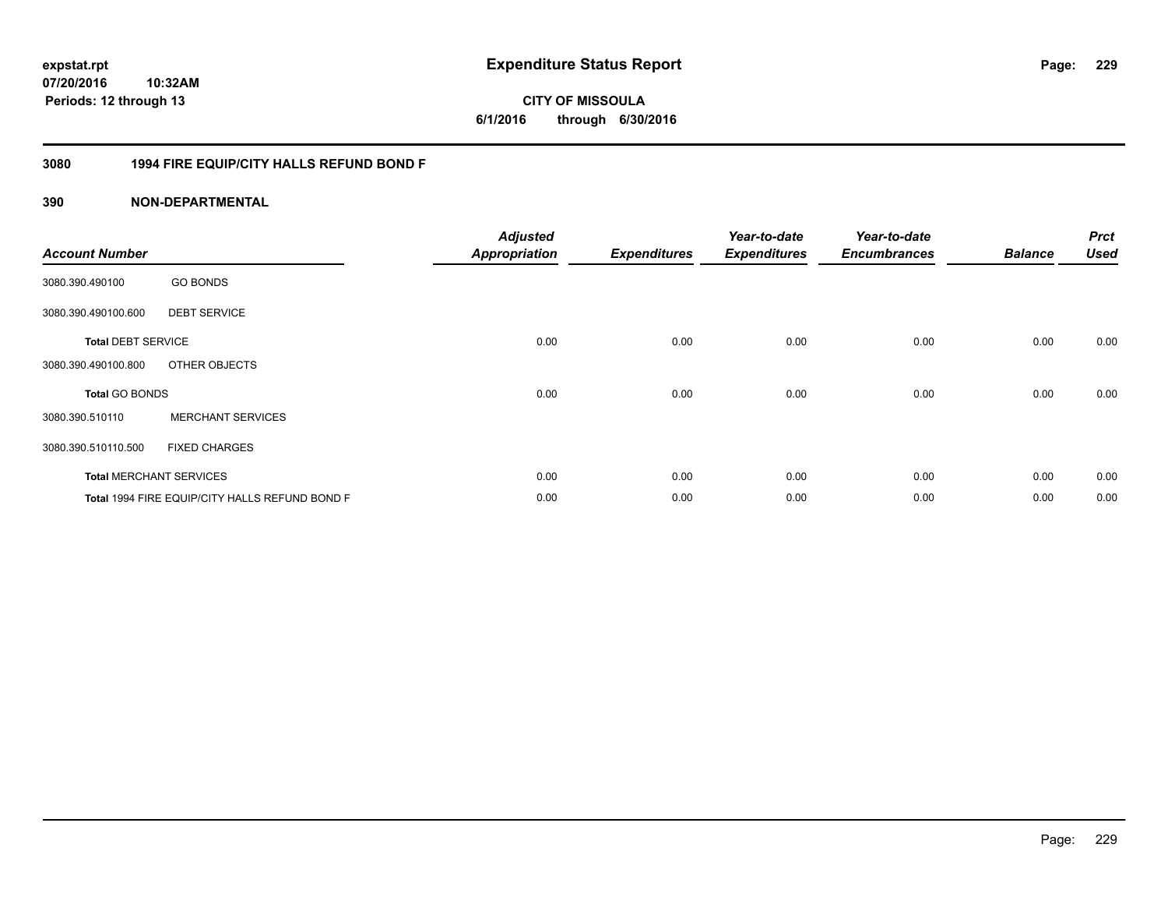**CITY OF MISSOULA 6/1/2016 through 6/30/2016**

# **3080 1994 FIRE EQUIP/CITY HALLS REFUND BOND F**

| <b>Account Number</b>     |                                                | <b>Adjusted</b><br><b>Appropriation</b> | <b>Expenditures</b> | Year-to-date<br><b>Expenditures</b> | Year-to-date<br><b>Encumbrances</b> | <b>Balance</b> | <b>Prct</b><br><b>Used</b> |
|---------------------------|------------------------------------------------|-----------------------------------------|---------------------|-------------------------------------|-------------------------------------|----------------|----------------------------|
| 3080.390.490100           | <b>GO BONDS</b>                                |                                         |                     |                                     |                                     |                |                            |
| 3080.390.490100.600       | <b>DEBT SERVICE</b>                            |                                         |                     |                                     |                                     |                |                            |
| <b>Total DEBT SERVICE</b> |                                                | 0.00                                    | 0.00                | 0.00                                | 0.00                                | 0.00           | 0.00                       |
| 3080.390.490100.800       | OTHER OBJECTS                                  |                                         |                     |                                     |                                     |                |                            |
| <b>Total GO BONDS</b>     |                                                | 0.00                                    | 0.00                | 0.00                                | 0.00                                | 0.00           | 0.00                       |
| 3080.390.510110           | <b>MERCHANT SERVICES</b>                       |                                         |                     |                                     |                                     |                |                            |
| 3080.390.510110.500       | <b>FIXED CHARGES</b>                           |                                         |                     |                                     |                                     |                |                            |
|                           | <b>Total MERCHANT SERVICES</b>                 | 0.00                                    | 0.00                | 0.00                                | 0.00                                | 0.00           | 0.00                       |
|                           | Total 1994 FIRE EQUIP/CITY HALLS REFUND BOND F | 0.00                                    | 0.00                | 0.00                                | 0.00                                | 0.00           | 0.00                       |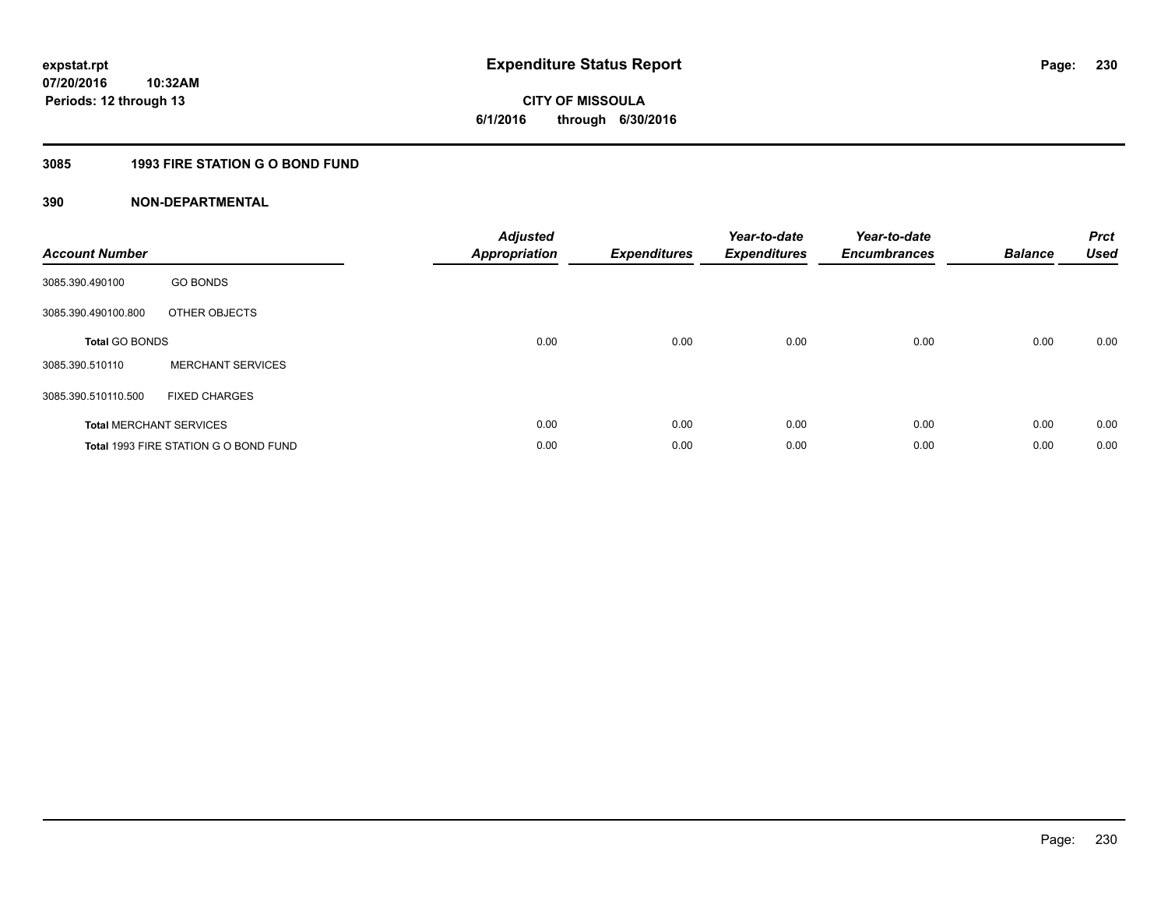**CITY OF MISSOULA 6/1/2016 through 6/30/2016**

# **3085 1993 FIRE STATION G O BOND FUND**

| <b>Account Number</b>          |                                       | <b>Adjusted</b><br>Appropriation | <b>Expenditures</b> | Year-to-date<br><b>Expenditures</b> | Year-to-date<br><b>Encumbrances</b> | <b>Balance</b> | <b>Prct</b><br><b>Used</b> |
|--------------------------------|---------------------------------------|----------------------------------|---------------------|-------------------------------------|-------------------------------------|----------------|----------------------------|
| 3085.390.490100                | <b>GO BONDS</b>                       |                                  |                     |                                     |                                     |                |                            |
| 3085.390.490100.800            | OTHER OBJECTS                         |                                  |                     |                                     |                                     |                |                            |
| <b>Total GO BONDS</b>          |                                       | 0.00                             | 0.00                | 0.00                                | 0.00                                | 0.00           | 0.00                       |
| 3085.390.510110                | <b>MERCHANT SERVICES</b>              |                                  |                     |                                     |                                     |                |                            |
| 3085.390.510110.500            | <b>FIXED CHARGES</b>                  |                                  |                     |                                     |                                     |                |                            |
| <b>Total MERCHANT SERVICES</b> |                                       | 0.00                             | 0.00                | 0.00                                | 0.00                                | 0.00           | 0.00                       |
|                                | Total 1993 FIRE STATION G O BOND FUND | 0.00                             | 0.00                | 0.00                                | 0.00                                | 0.00           | 0.00                       |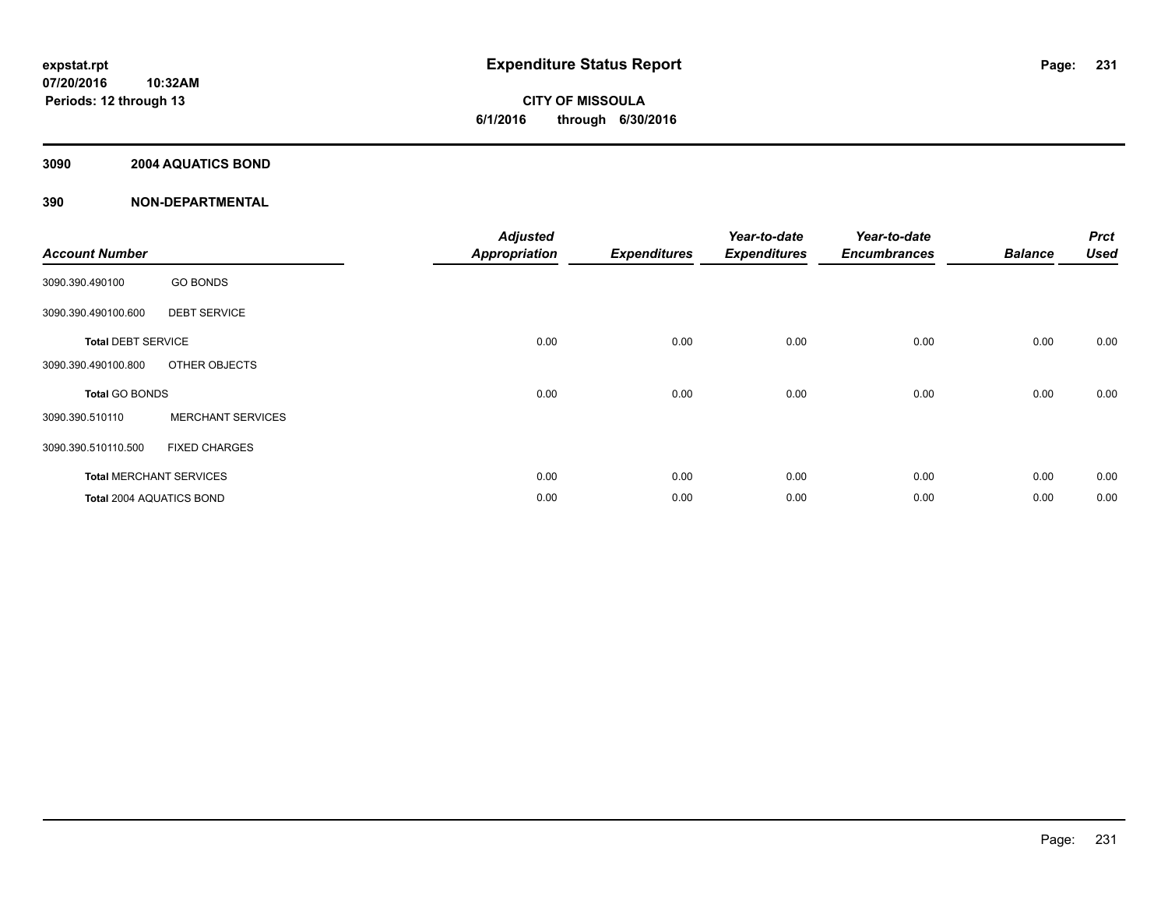# **3090 2004 AQUATICS BOND**

| <b>Account Number</b>          |                          | <b>Adjusted</b><br><b>Appropriation</b> | <b>Expenditures</b> | Year-to-date<br><b>Expenditures</b> | Year-to-date<br><b>Encumbrances</b> | <b>Balance</b> | <b>Prct</b><br><b>Used</b> |
|--------------------------------|--------------------------|-----------------------------------------|---------------------|-------------------------------------|-------------------------------------|----------------|----------------------------|
| 3090.390.490100                | <b>GO BONDS</b>          |                                         |                     |                                     |                                     |                |                            |
| 3090.390.490100.600            | <b>DEBT SERVICE</b>      |                                         |                     |                                     |                                     |                |                            |
| <b>Total DEBT SERVICE</b>      |                          | 0.00                                    | 0.00                | 0.00                                | 0.00                                | 0.00           | 0.00                       |
| 3090.390.490100.800            | OTHER OBJECTS            |                                         |                     |                                     |                                     |                |                            |
| <b>Total GO BONDS</b>          |                          | 0.00                                    | 0.00                | 0.00                                | 0.00                                | 0.00           | 0.00                       |
| 3090.390.510110                | <b>MERCHANT SERVICES</b> |                                         |                     |                                     |                                     |                |                            |
| 3090.390.510110.500            | <b>FIXED CHARGES</b>     |                                         |                     |                                     |                                     |                |                            |
| <b>Total MERCHANT SERVICES</b> |                          | 0.00                                    | 0.00                | 0.00                                | 0.00                                | 0.00           | 0.00                       |
| Total 2004 AQUATICS BOND       |                          | 0.00                                    | 0.00                | 0.00                                | 0.00                                | 0.00           | 0.00                       |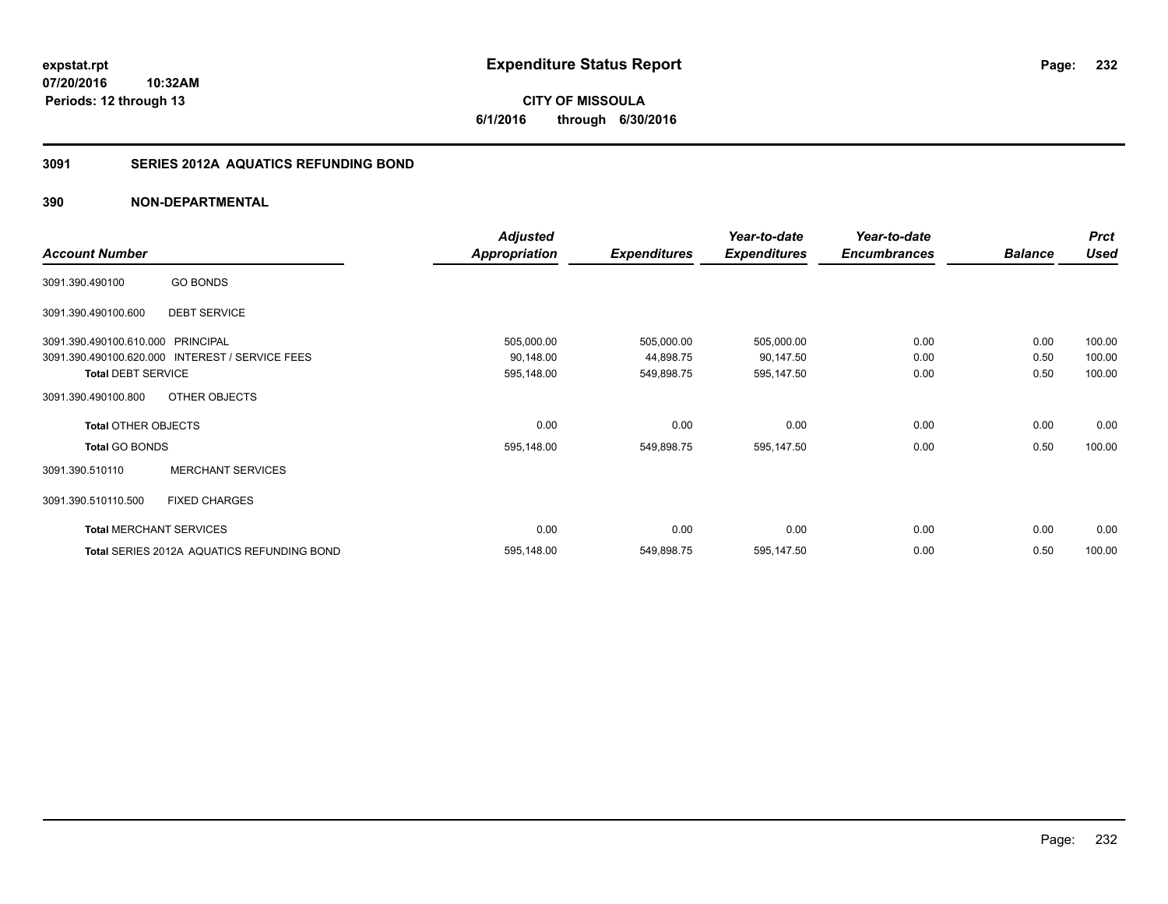# **3091 SERIES 2012A AQUATICS REFUNDING BOND**

# **390 NON-DEPARTMENTAL**

|                                   |                                                 | <b>Adjusted</b> |                     | Year-to-date        | Year-to-date        |                | <b>Prct</b> |
|-----------------------------------|-------------------------------------------------|-----------------|---------------------|---------------------|---------------------|----------------|-------------|
| <b>Account Number</b>             |                                                 | Appropriation   | <b>Expenditures</b> | <b>Expenditures</b> | <b>Encumbrances</b> | <b>Balance</b> | <b>Used</b> |
| 3091.390.490100                   | <b>GO BONDS</b>                                 |                 |                     |                     |                     |                |             |
| 3091.390.490100.600               | <b>DEBT SERVICE</b>                             |                 |                     |                     |                     |                |             |
| 3091.390.490100.610.000 PRINCIPAL |                                                 | 505,000.00      | 505,000.00          | 505,000.00          | 0.00                | 0.00           | 100.00      |
|                                   | 3091.390.490100.620.000 INTEREST / SERVICE FEES | 90,148.00       | 44,898.75           | 90,147.50           | 0.00                | 0.50           | 100.00      |
| <b>Total DEBT SERVICE</b>         |                                                 | 595,148.00      | 549,898.75          | 595,147.50          | 0.00                | 0.50           | 100.00      |
| 3091.390.490100.800               | OTHER OBJECTS                                   |                 |                     |                     |                     |                |             |
| <b>Total OTHER OBJECTS</b>        |                                                 | 0.00            | 0.00                | 0.00                | 0.00                | 0.00           | 0.00        |
| <b>Total GO BONDS</b>             |                                                 | 595,148.00      | 549,898.75          | 595,147.50          | 0.00                | 0.50           | 100.00      |
| 3091.390.510110                   | <b>MERCHANT SERVICES</b>                        |                 |                     |                     |                     |                |             |
| 3091.390.510110.500               | <b>FIXED CHARGES</b>                            |                 |                     |                     |                     |                |             |
|                                   | <b>Total MERCHANT SERVICES</b>                  | 0.00            | 0.00                | 0.00                | 0.00                | 0.00           | 0.00        |
|                                   | Total SERIES 2012A AQUATICS REFUNDING BOND      | 595,148.00      | 549,898.75          | 595,147.50          | 0.00                | 0.50           | 100.00      |

**232**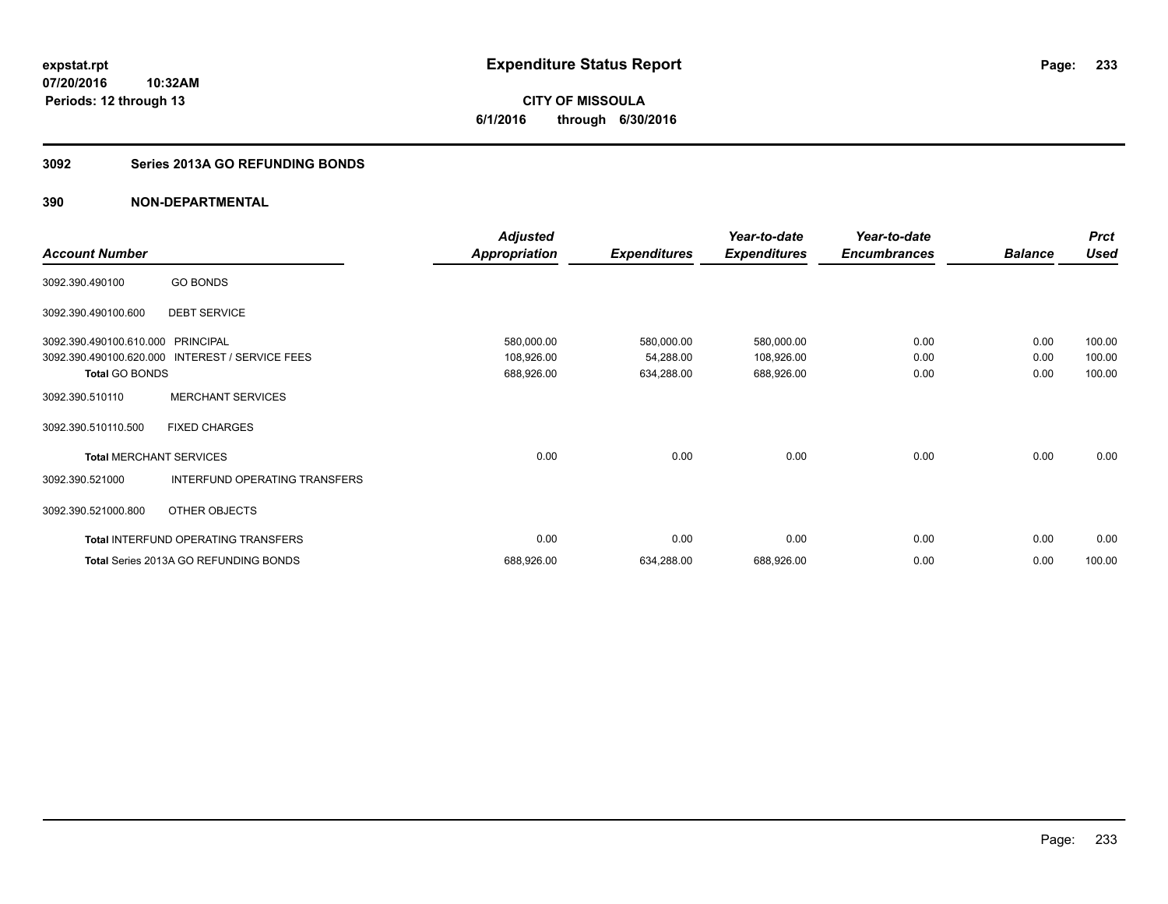**CITY OF MISSOULA 6/1/2016 through 6/30/2016**

# **3092 Series 2013A GO REFUNDING BONDS**

|                                |                                            | <b>Adjusted</b>      |                     | Year-to-date        | Year-to-date        |                | <b>Prct</b> |
|--------------------------------|--------------------------------------------|----------------------|---------------------|---------------------|---------------------|----------------|-------------|
| <b>Account Number</b>          |                                            | <b>Appropriation</b> | <b>Expenditures</b> | <b>Expenditures</b> | <b>Encumbrances</b> | <b>Balance</b> | <b>Used</b> |
| 3092.390.490100                | <b>GO BONDS</b>                            |                      |                     |                     |                     |                |             |
| 3092.390.490100.600            | <b>DEBT SERVICE</b>                        |                      |                     |                     |                     |                |             |
| 3092.390.490100.610.000        | <b>PRINCIPAL</b>                           | 580,000.00           | 580,000.00          | 580,000.00          | 0.00                | 0.00           | 100.00      |
| 3092.390.490100.620.000        | INTEREST / SERVICE FEES                    | 108,926.00           | 54,288.00           | 108,926.00          | 0.00                | 0.00           | 100.00      |
| <b>Total GO BONDS</b>          |                                            | 688,926.00           | 634,288.00          | 688,926.00          | 0.00                | 0.00           | 100.00      |
| 3092.390.510110                | <b>MERCHANT SERVICES</b>                   |                      |                     |                     |                     |                |             |
| 3092.390.510110.500            | <b>FIXED CHARGES</b>                       |                      |                     |                     |                     |                |             |
| <b>Total MERCHANT SERVICES</b> |                                            | 0.00                 | 0.00                | 0.00                | 0.00                | 0.00           | 0.00        |
| 3092.390.521000                | INTERFUND OPERATING TRANSFERS              |                      |                     |                     |                     |                |             |
| 3092.390.521000.800            | OTHER OBJECTS                              |                      |                     |                     |                     |                |             |
|                                | <b>Total INTERFUND OPERATING TRANSFERS</b> | 0.00                 | 0.00                | 0.00                | 0.00                | 0.00           | 0.00        |
|                                | Total Series 2013A GO REFUNDING BONDS      | 688,926.00           | 634,288.00          | 688,926.00          | 0.00                | 0.00           | 100.00      |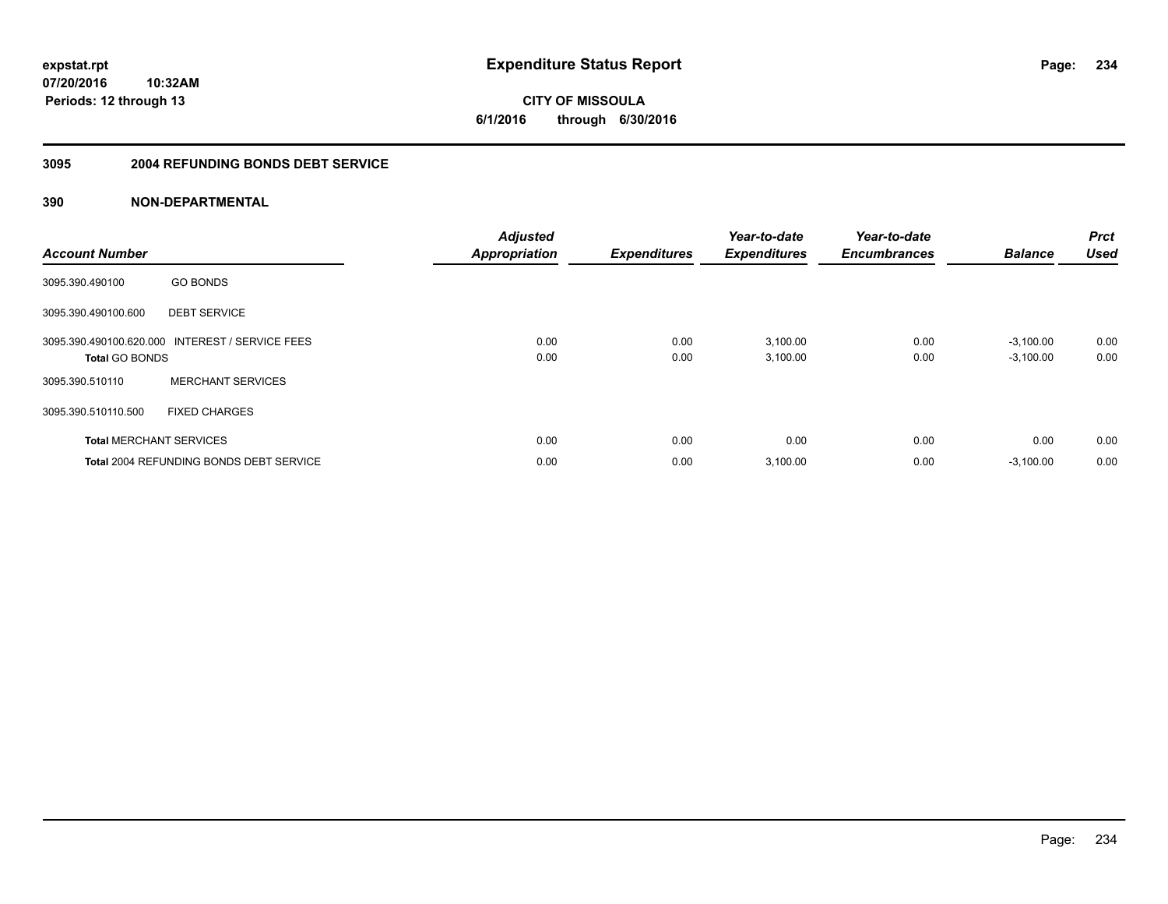**234**

**07/20/2016 10:32AM Periods: 12 through 13**

**CITY OF MISSOULA 6/1/2016 through 6/30/2016**

### **3095 2004 REFUNDING BONDS DEBT SERVICE**

| <b>Account Number</b> |                                                 | <b>Adjusted</b><br><b>Appropriation</b> | <b>Expenditures</b> | Year-to-date<br><b>Expenditures</b> | Year-to-date<br><b>Encumbrances</b> | <b>Balance</b>             | <b>Prct</b><br><b>Used</b> |
|-----------------------|-------------------------------------------------|-----------------------------------------|---------------------|-------------------------------------|-------------------------------------|----------------------------|----------------------------|
| 3095.390.490100       | <b>GO BONDS</b>                                 |                                         |                     |                                     |                                     |                            |                            |
| 3095.390.490100.600   | <b>DEBT SERVICE</b>                             |                                         |                     |                                     |                                     |                            |                            |
| <b>Total GO BONDS</b> | 3095.390.490100.620.000 INTEREST / SERVICE FEES | 0.00<br>0.00                            | 0.00<br>0.00        | 3,100.00<br>3,100.00                | 0.00<br>0.00                        | $-3,100.00$<br>$-3,100.00$ | 0.00<br>0.00               |
| 3095.390.510110       | <b>MERCHANT SERVICES</b>                        |                                         |                     |                                     |                                     |                            |                            |
| 3095.390.510110.500   | <b>FIXED CHARGES</b>                            |                                         |                     |                                     |                                     |                            |                            |
|                       | <b>Total MERCHANT SERVICES</b>                  | 0.00                                    | 0.00                | 0.00                                | 0.00                                | 0.00                       | 0.00                       |
|                       | <b>Total 2004 REFUNDING BONDS DEBT SERVICE</b>  | 0.00                                    | 0.00                | 3,100.00                            | 0.00                                | $-3,100.00$                | 0.00                       |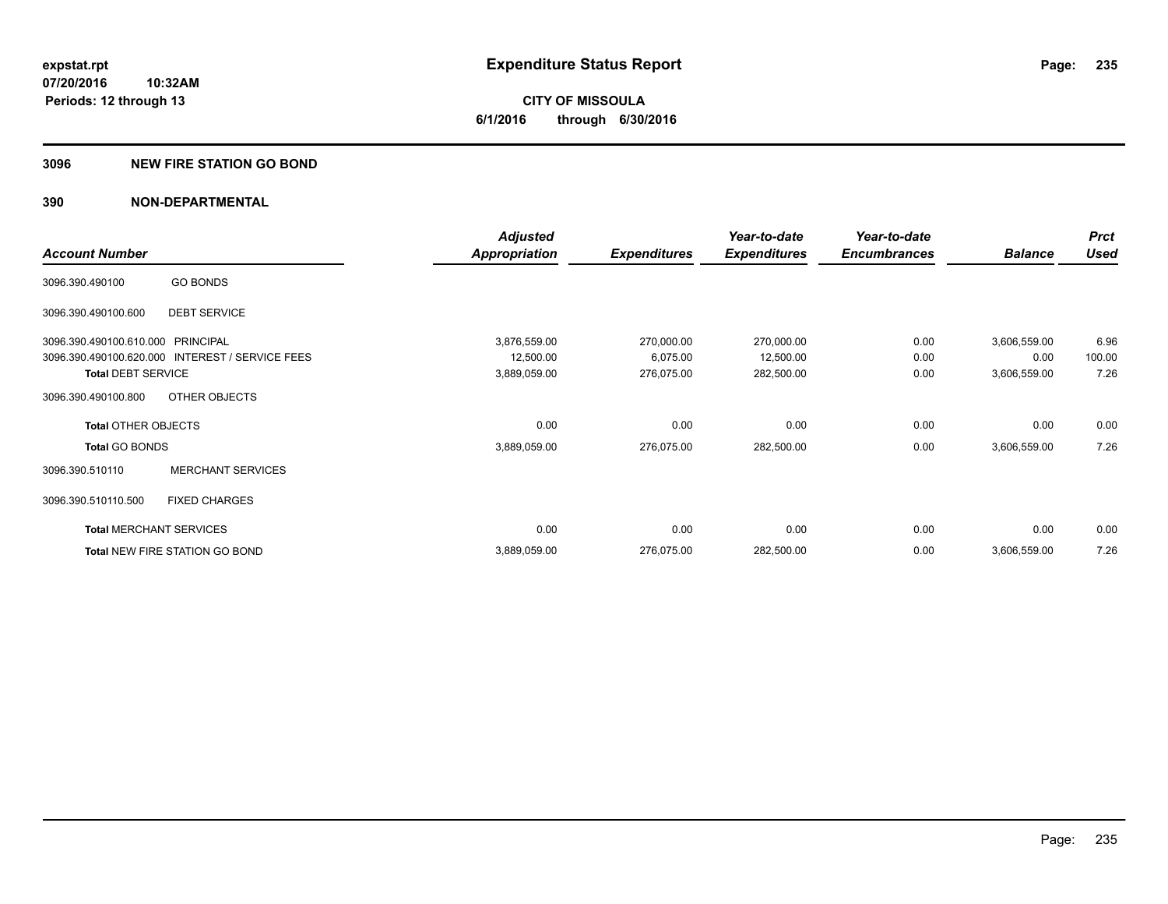### **3096 NEW FIRE STATION GO BOND**

|                                   |                                                 | <b>Adjusted</b> |                     | Year-to-date        | Year-to-date        |                | <b>Prct</b> |
|-----------------------------------|-------------------------------------------------|-----------------|---------------------|---------------------|---------------------|----------------|-------------|
| <b>Account Number</b>             |                                                 | Appropriation   | <b>Expenditures</b> | <b>Expenditures</b> | <b>Encumbrances</b> | <b>Balance</b> | <b>Used</b> |
| 3096.390.490100                   | <b>GO BONDS</b>                                 |                 |                     |                     |                     |                |             |
| 3096.390.490100.600               | <b>DEBT SERVICE</b>                             |                 |                     |                     |                     |                |             |
| 3096.390.490100.610.000 PRINCIPAL |                                                 | 3,876,559.00    | 270,000.00          | 270,000.00          | 0.00                | 3,606,559.00   | 6.96        |
|                                   | 3096.390.490100.620.000 INTEREST / SERVICE FEES | 12,500.00       | 6,075.00            | 12,500.00           | 0.00                | 0.00           | 100.00      |
| <b>Total DEBT SERVICE</b>         |                                                 | 3,889,059.00    | 276,075.00          | 282,500.00          | 0.00                | 3,606,559.00   | 7.26        |
| 3096.390.490100.800               | OTHER OBJECTS                                   |                 |                     |                     |                     |                |             |
| <b>Total OTHER OBJECTS</b>        |                                                 | 0.00            | 0.00                | 0.00                | 0.00                | 0.00           | 0.00        |
| <b>Total GO BONDS</b>             |                                                 | 3,889,059.00    | 276,075.00          | 282,500.00          | 0.00                | 3,606,559.00   | 7.26        |
| 3096.390.510110                   | <b>MERCHANT SERVICES</b>                        |                 |                     |                     |                     |                |             |
| 3096.390.510110.500               | <b>FIXED CHARGES</b>                            |                 |                     |                     |                     |                |             |
|                                   | <b>Total MERCHANT SERVICES</b>                  | 0.00            | 0.00                | 0.00                | 0.00                | 0.00           | 0.00        |
|                                   | Total NEW FIRE STATION GO BOND                  | 3,889,059.00    | 276,075.00          | 282,500.00          | 0.00                | 3,606,559.00   | 7.26        |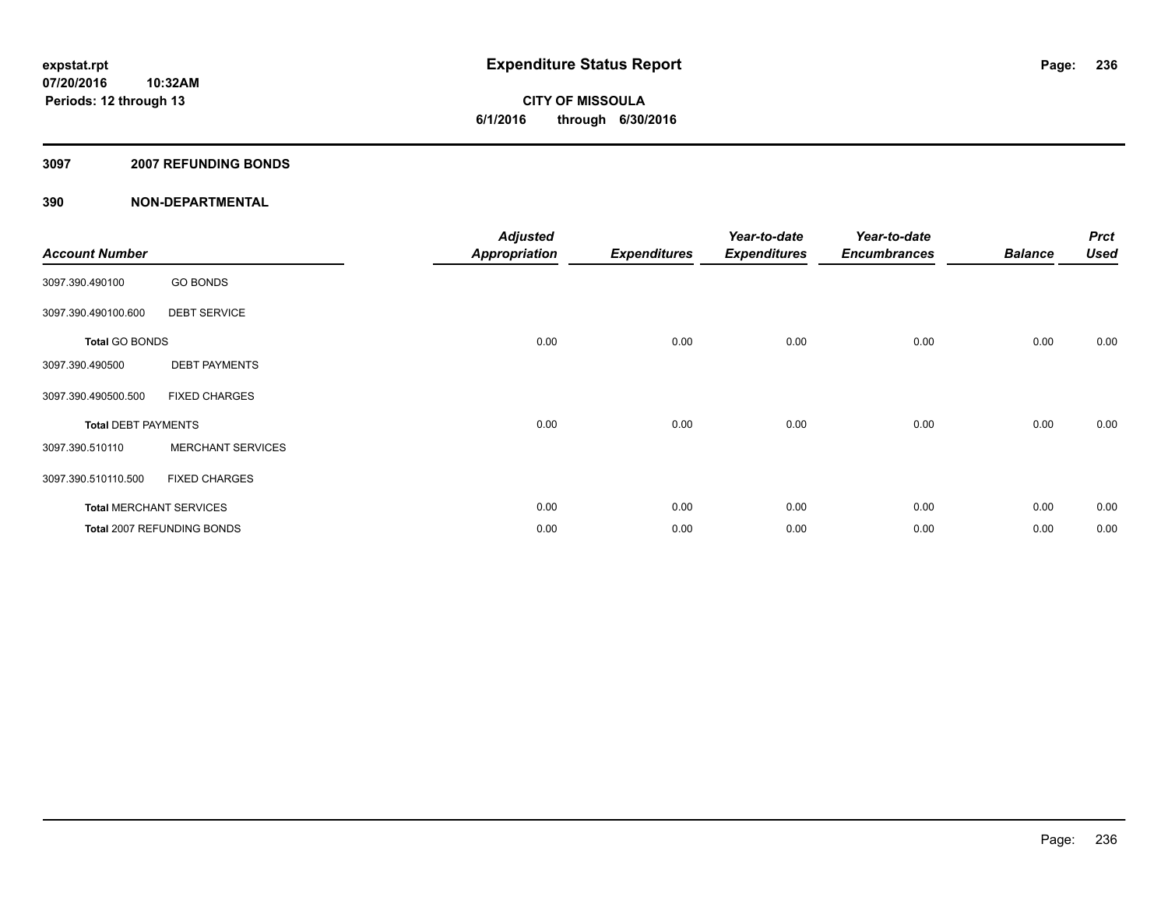**Periods: 12 through 13**

**CITY OF MISSOULA 6/1/2016 through 6/30/2016**

### **3097 2007 REFUNDING BONDS**

| <b>Account Number</b>      |                                | <b>Adjusted</b><br><b>Appropriation</b> | <b>Expenditures</b> | Year-to-date<br><b>Expenditures</b> | Year-to-date<br><b>Encumbrances</b> | <b>Balance</b> | <b>Prct</b><br><b>Used</b> |
|----------------------------|--------------------------------|-----------------------------------------|---------------------|-------------------------------------|-------------------------------------|----------------|----------------------------|
| 3097.390.490100            | <b>GO BONDS</b>                |                                         |                     |                                     |                                     |                |                            |
| 3097.390.490100.600        | <b>DEBT SERVICE</b>            |                                         |                     |                                     |                                     |                |                            |
| <b>Total GO BONDS</b>      |                                | 0.00                                    | 0.00                | 0.00                                | 0.00                                | 0.00           | 0.00                       |
| 3097.390.490500            | <b>DEBT PAYMENTS</b>           |                                         |                     |                                     |                                     |                |                            |
| 3097.390.490500.500        | <b>FIXED CHARGES</b>           |                                         |                     |                                     |                                     |                |                            |
| <b>Total DEBT PAYMENTS</b> |                                | 0.00                                    | 0.00                | 0.00                                | 0.00                                | 0.00           | 0.00                       |
| 3097.390.510110            | <b>MERCHANT SERVICES</b>       |                                         |                     |                                     |                                     |                |                            |
| 3097.390.510110.500        | <b>FIXED CHARGES</b>           |                                         |                     |                                     |                                     |                |                            |
|                            | <b>Total MERCHANT SERVICES</b> | 0.00                                    | 0.00                | 0.00                                | 0.00                                | 0.00           | 0.00                       |
|                            | Total 2007 REFUNDING BONDS     | 0.00                                    | 0.00                | 0.00                                | 0.00                                | 0.00           | 0.00                       |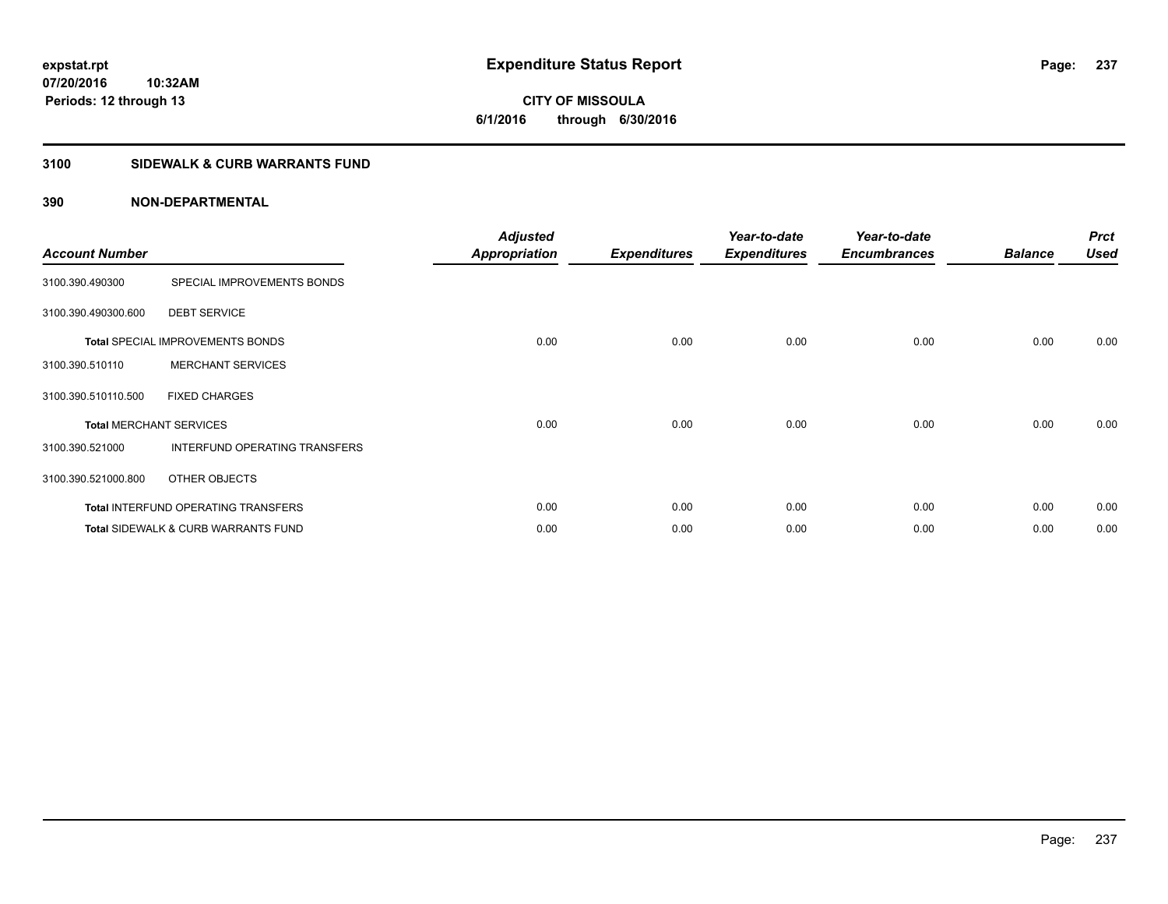# **CITY OF MISSOULA 6/1/2016 through 6/30/2016**

# **3100 SIDEWALK & CURB WARRANTS FUND**

| <b>Account Number</b>          |                                            | <b>Adjusted</b><br><b>Appropriation</b> | <b>Expenditures</b> | Year-to-date<br><b>Expenditures</b> | Year-to-date<br><b>Encumbrances</b> | <b>Balance</b> | <b>Prct</b><br><b>Used</b> |
|--------------------------------|--------------------------------------------|-----------------------------------------|---------------------|-------------------------------------|-------------------------------------|----------------|----------------------------|
| 3100.390.490300                | SPECIAL IMPROVEMENTS BONDS                 |                                         |                     |                                     |                                     |                |                            |
| 3100.390.490300.600            | <b>DEBT SERVICE</b>                        |                                         |                     |                                     |                                     |                |                            |
|                                | <b>Total SPECIAL IMPROVEMENTS BONDS</b>    | 0.00                                    | 0.00                | 0.00                                | 0.00                                | 0.00           | 0.00                       |
| 3100.390.510110                | <b>MERCHANT SERVICES</b>                   |                                         |                     |                                     |                                     |                |                            |
| 3100.390.510110.500            | <b>FIXED CHARGES</b>                       |                                         |                     |                                     |                                     |                |                            |
| <b>Total MERCHANT SERVICES</b> |                                            | 0.00                                    | 0.00                | 0.00                                | 0.00                                | 0.00           | 0.00                       |
| 3100.390.521000                | INTERFUND OPERATING TRANSFERS              |                                         |                     |                                     |                                     |                |                            |
| 3100.390.521000.800            | OTHER OBJECTS                              |                                         |                     |                                     |                                     |                |                            |
|                                | <b>Total INTERFUND OPERATING TRANSFERS</b> | 0.00                                    | 0.00                | 0.00                                | 0.00                                | 0.00           | 0.00                       |
|                                | Total SIDEWALK & CURB WARRANTS FUND        | 0.00                                    | 0.00                | 0.00                                | 0.00                                | 0.00           | 0.00                       |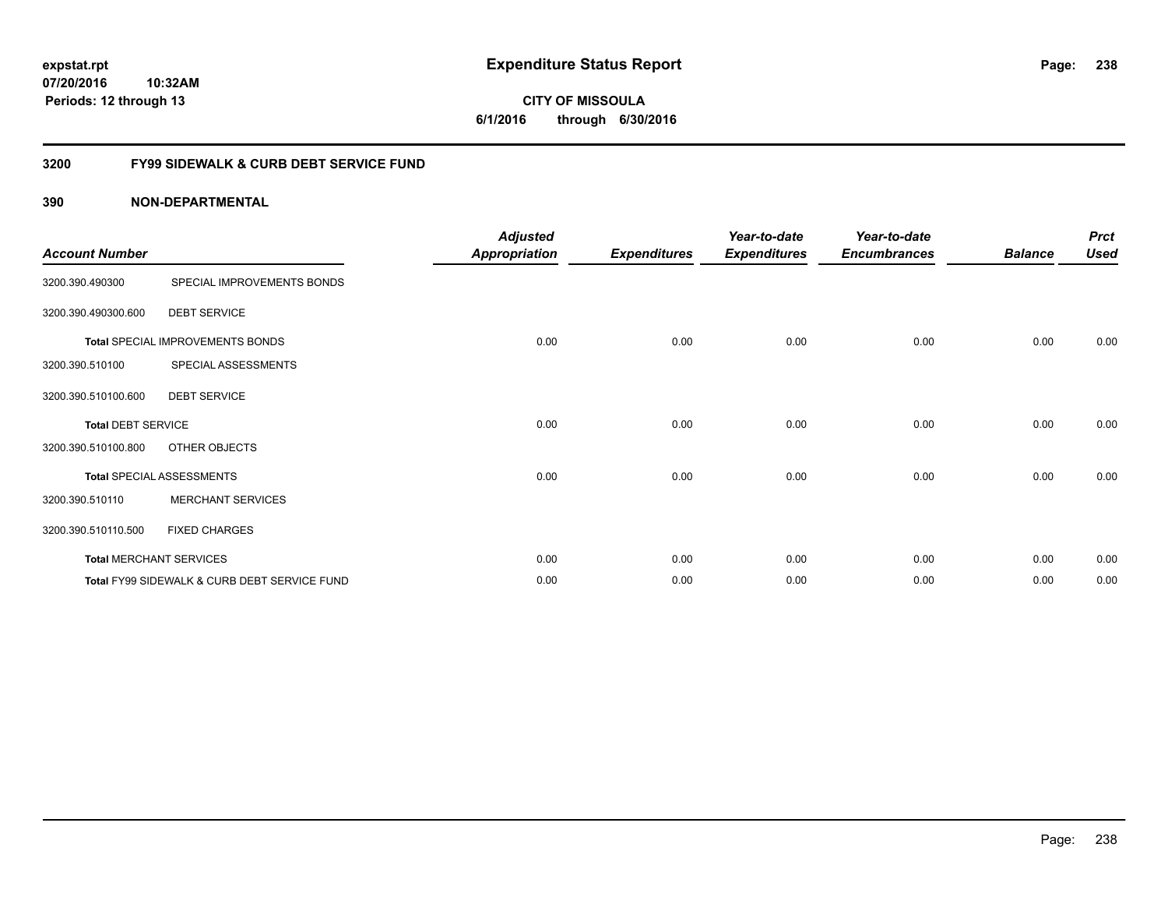**6/1/2016 through 6/30/2016**

# **3200 FY99 SIDEWALK & CURB DEBT SERVICE FUND**

| <b>Account Number</b>     |                                              | <b>Adjusted</b><br><b>Appropriation</b> | <b>Expenditures</b> | Year-to-date<br><b>Expenditures</b> | Year-to-date<br><b>Encumbrances</b> | <b>Balance</b> | <b>Prct</b><br><b>Used</b> |
|---------------------------|----------------------------------------------|-----------------------------------------|---------------------|-------------------------------------|-------------------------------------|----------------|----------------------------|
| 3200.390.490300           | SPECIAL IMPROVEMENTS BONDS                   |                                         |                     |                                     |                                     |                |                            |
| 3200.390.490300.600       | <b>DEBT SERVICE</b>                          |                                         |                     |                                     |                                     |                |                            |
|                           | <b>Total SPECIAL IMPROVEMENTS BONDS</b>      | 0.00                                    | 0.00                | 0.00                                | 0.00                                | 0.00           | 0.00                       |
| 3200.390.510100           | SPECIAL ASSESSMENTS                          |                                         |                     |                                     |                                     |                |                            |
| 3200.390.510100.600       | <b>DEBT SERVICE</b>                          |                                         |                     |                                     |                                     |                |                            |
| <b>Total DEBT SERVICE</b> |                                              | 0.00                                    | 0.00                | 0.00                                | 0.00                                | 0.00           | 0.00                       |
| 3200.390.510100.800       | OTHER OBJECTS                                |                                         |                     |                                     |                                     |                |                            |
|                           | <b>Total SPECIAL ASSESSMENTS</b>             | 0.00                                    | 0.00                | 0.00                                | 0.00                                | 0.00           | 0.00                       |
| 3200.390.510110           | <b>MERCHANT SERVICES</b>                     |                                         |                     |                                     |                                     |                |                            |
| 3200.390.510110.500       | <b>FIXED CHARGES</b>                         |                                         |                     |                                     |                                     |                |                            |
|                           | <b>Total MERCHANT SERVICES</b>               | 0.00                                    | 0.00                | 0.00                                | 0.00                                | 0.00           | 0.00                       |
|                           | Total FY99 SIDEWALK & CURB DEBT SERVICE FUND | 0.00                                    | 0.00                | 0.00                                | 0.00                                | 0.00           | 0.00                       |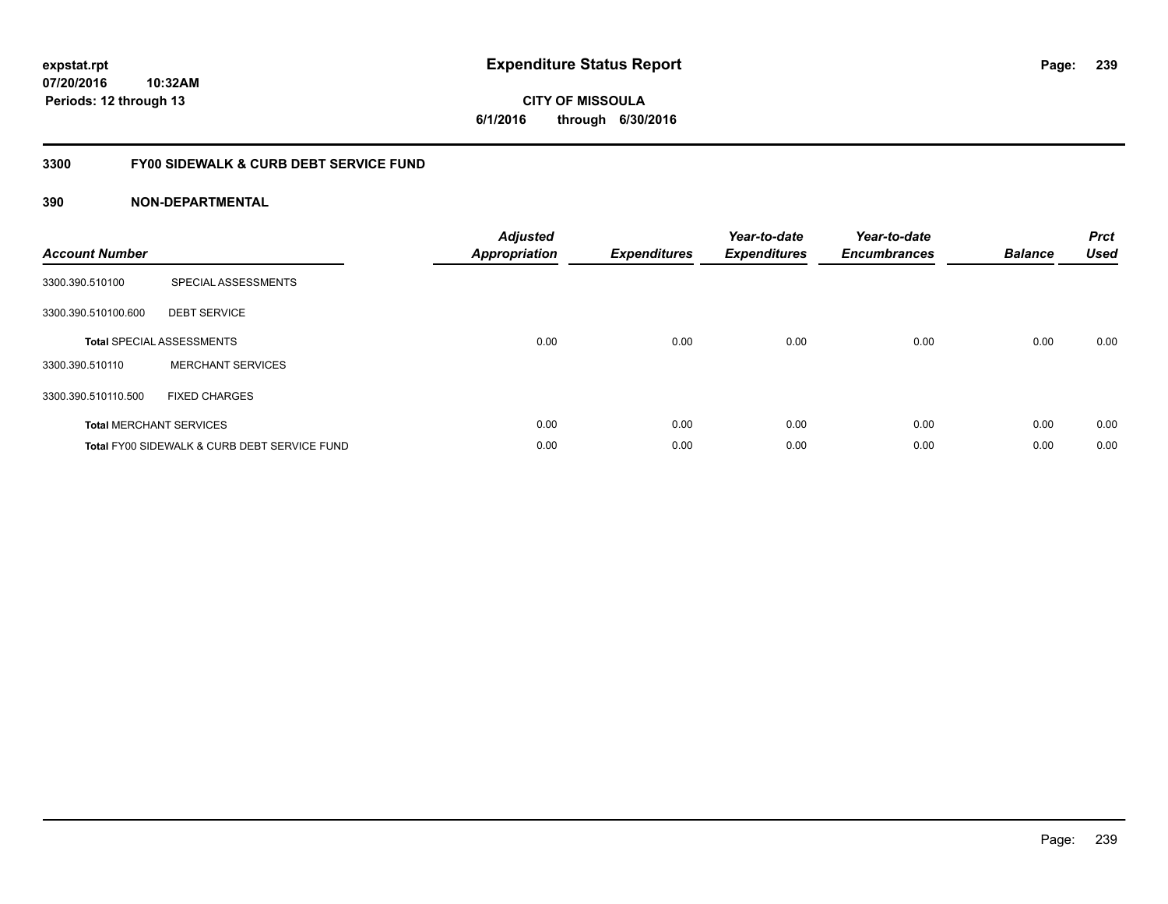**CITY OF MISSOULA 6/1/2016 through 6/30/2016**

# **3300 FY00 SIDEWALK & CURB DEBT SERVICE FUND**

| <b>Account Number</b> |                                              | <b>Adjusted</b><br>Appropriation | <b>Expenditures</b> | Year-to-date<br><b>Expenditures</b> | Year-to-date<br><b>Encumbrances</b> | <b>Balance</b> | <b>Prct</b><br><b>Used</b> |
|-----------------------|----------------------------------------------|----------------------------------|---------------------|-------------------------------------|-------------------------------------|----------------|----------------------------|
| 3300.390.510100       | SPECIAL ASSESSMENTS                          |                                  |                     |                                     |                                     |                |                            |
| 3300.390.510100.600   | <b>DEBT SERVICE</b>                          |                                  |                     |                                     |                                     |                |                            |
|                       | <b>Total SPECIAL ASSESSMENTS</b>             | 0.00                             | 0.00                | 0.00                                | 0.00                                | 0.00           | 0.00                       |
| 3300.390.510110       | <b>MERCHANT SERVICES</b>                     |                                  |                     |                                     |                                     |                |                            |
| 3300.390.510110.500   | <b>FIXED CHARGES</b>                         |                                  |                     |                                     |                                     |                |                            |
|                       | <b>Total MERCHANT SERVICES</b>               | 0.00                             | 0.00                | 0.00                                | 0.00                                | 0.00           | 0.00                       |
|                       | Total FY00 SIDEWALK & CURB DEBT SERVICE FUND | 0.00                             | 0.00                | 0.00                                | 0.00                                | 0.00           | 0.00                       |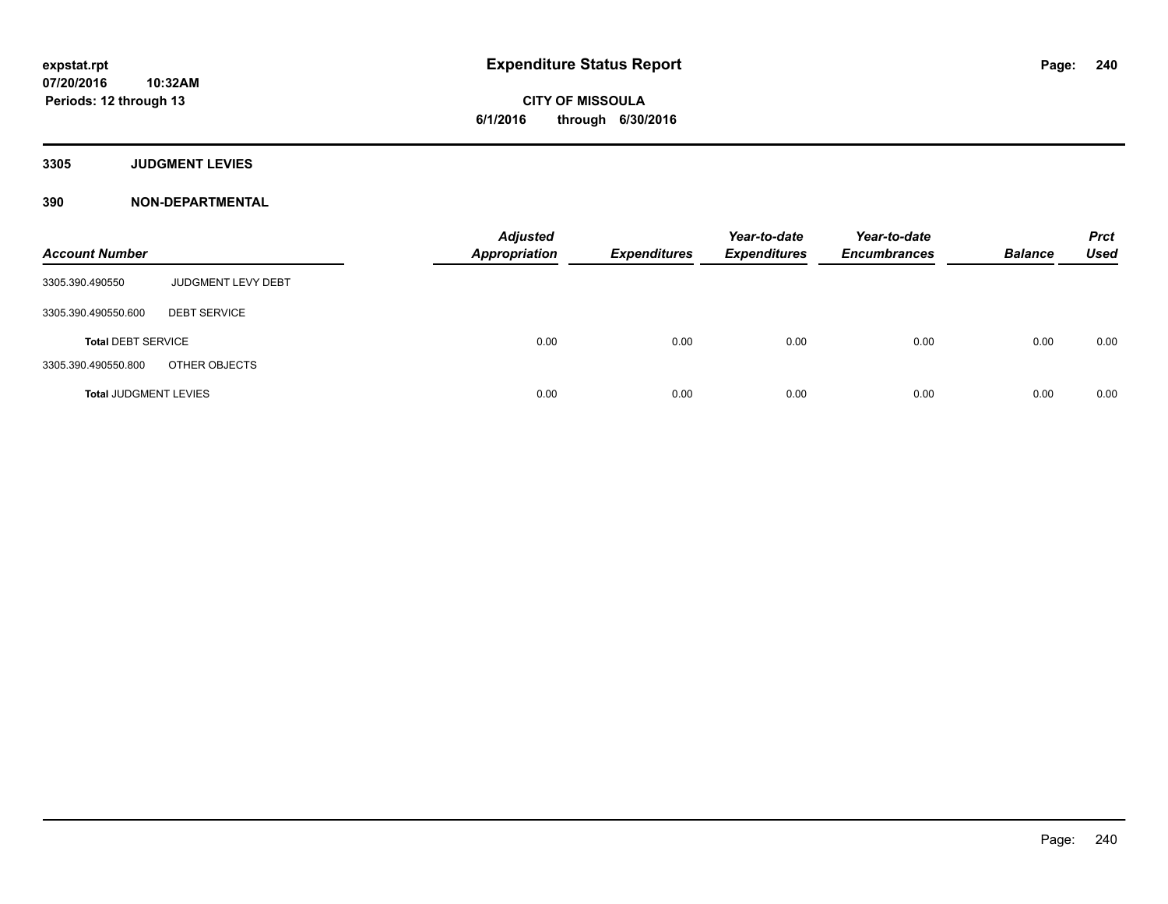**CITY OF MISSOULA 6/1/2016 through 6/30/2016**

**3305 JUDGMENT LEVIES**

| <b>Account Number</b>        |                     | <b>Adjusted</b><br><b>Appropriation</b> | Expenditures | Year-to-date<br><b>Expenditures</b> | Year-to-date<br><b>Encumbrances</b> | <b>Balance</b> | <b>Prct</b><br><b>Used</b> |
|------------------------------|---------------------|-----------------------------------------|--------------|-------------------------------------|-------------------------------------|----------------|----------------------------|
| 3305.390.490550              | JUDGMENT LEVY DEBT  |                                         |              |                                     |                                     |                |                            |
| 3305.390.490550.600          | <b>DEBT SERVICE</b> |                                         |              |                                     |                                     |                |                            |
| <b>Total DEBT SERVICE</b>    |                     | 0.00                                    | 0.00         | 0.00                                | 0.00                                | 0.00           | 0.00                       |
| 3305.390.490550.800          | OTHER OBJECTS       |                                         |              |                                     |                                     |                |                            |
| <b>Total JUDGMENT LEVIES</b> |                     | 0.00                                    | 0.00         | 0.00                                | 0.00                                | 0.00           | 0.00                       |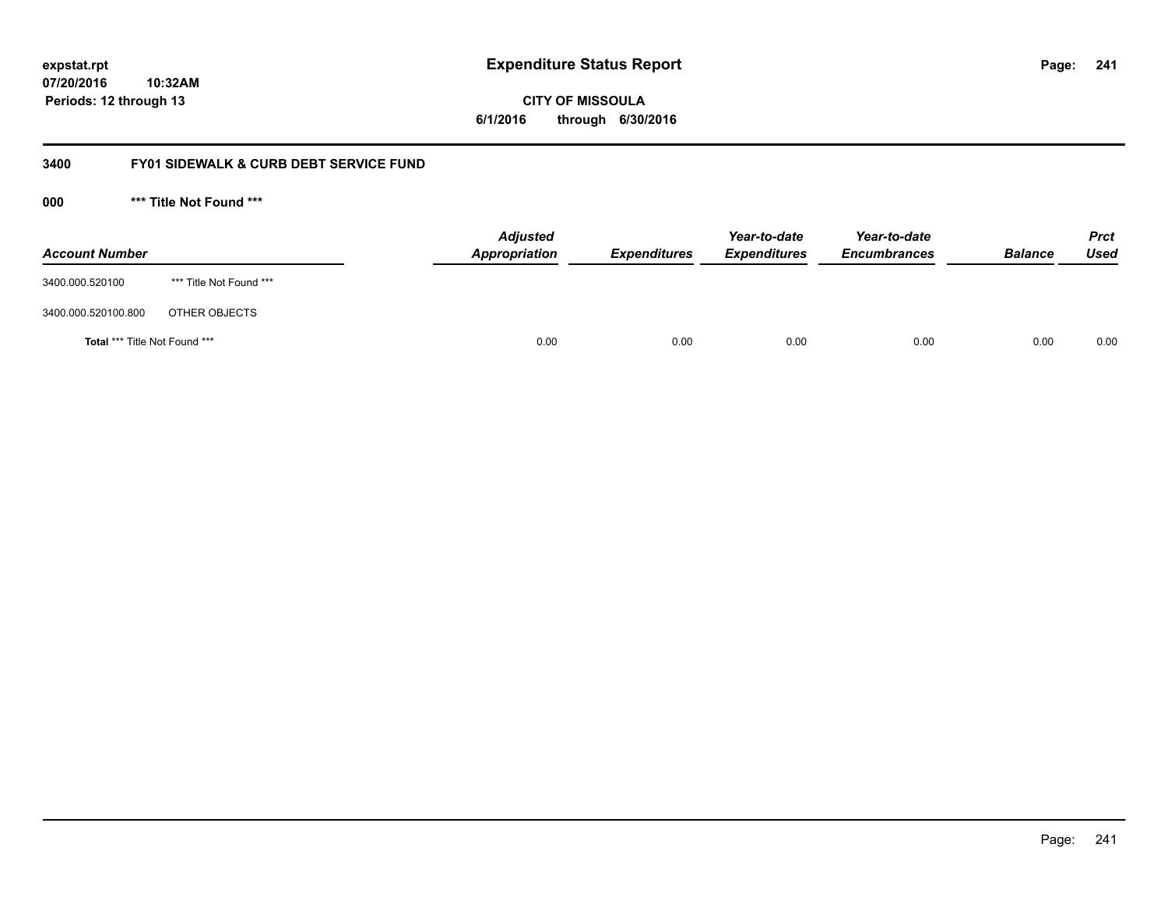**CITY OF MISSOULA 6/1/2016 through 6/30/2016**

# **3400 FY01 SIDEWALK & CURB DEBT SERVICE FUND**

**000 \*\*\* Title Not Found \*\*\***

| <b>Account Number</b>         |                         | <b>Adjusted</b><br>Appropriation | <b>Expenditures</b> | Year-to-date<br><b>Expenditures</b> | Year-to-date<br><b>Encumbrances</b> | <b>Balance</b> | Prct<br><b>Used</b> |
|-------------------------------|-------------------------|----------------------------------|---------------------|-------------------------------------|-------------------------------------|----------------|---------------------|
| 3400.000.520100               | *** Title Not Found *** |                                  |                     |                                     |                                     |                |                     |
| 3400.000.520100.800           | OTHER OBJECTS           |                                  |                     |                                     |                                     |                |                     |
| Total *** Title Not Found *** |                         | 0.00                             | 0.00                | 0.00                                | 0.00                                | 0.00           | 0.00                |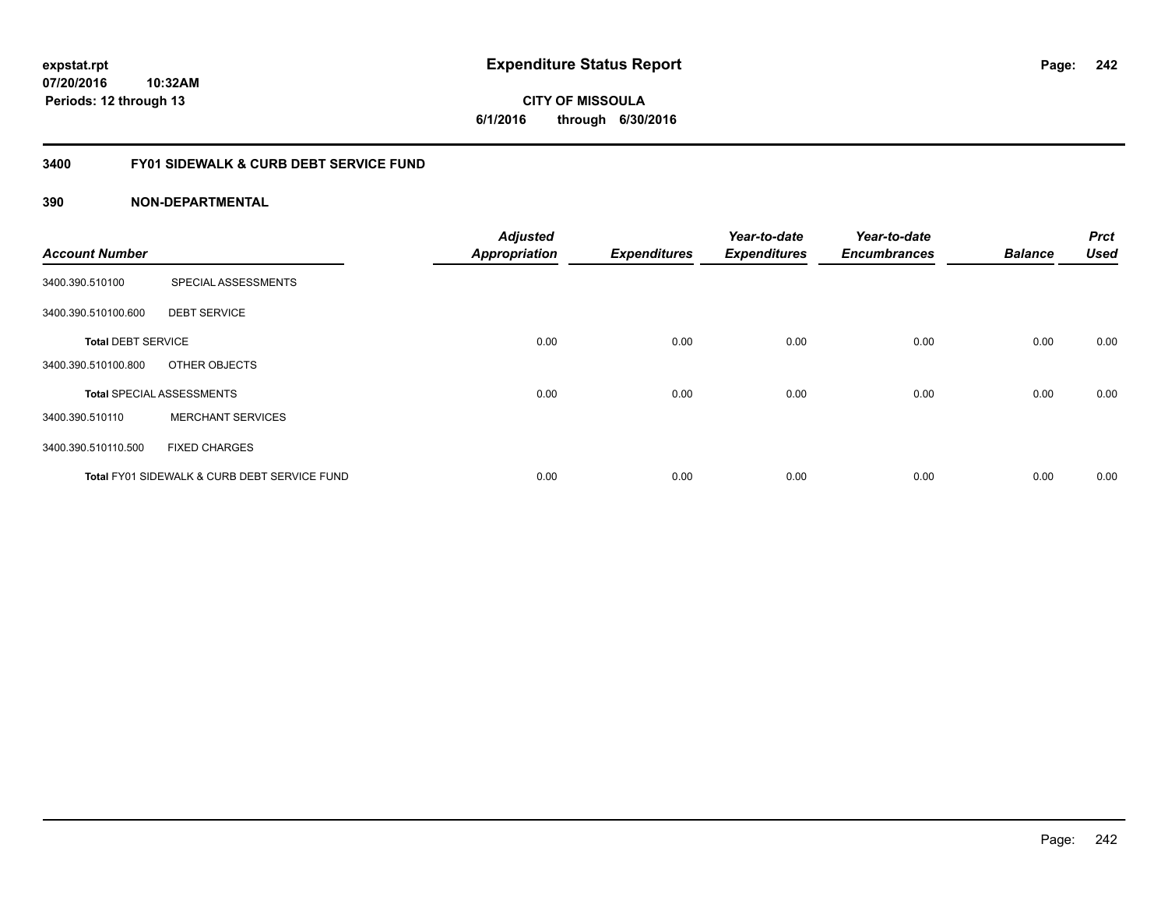**CITY OF MISSOULA 6/1/2016 through 6/30/2016**

# **3400 FY01 SIDEWALK & CURB DEBT SERVICE FUND**

| <b>Account Number</b>     |                                              | <b>Adjusted</b><br><b>Appropriation</b> | <b>Expenditures</b> | Year-to-date<br><b>Expenditures</b> | Year-to-date<br><b>Encumbrances</b> | <b>Balance</b> | <b>Prct</b><br><b>Used</b> |
|---------------------------|----------------------------------------------|-----------------------------------------|---------------------|-------------------------------------|-------------------------------------|----------------|----------------------------|
| 3400.390.510100           | SPECIAL ASSESSMENTS                          |                                         |                     |                                     |                                     |                |                            |
| 3400.390.510100.600       | <b>DEBT SERVICE</b>                          |                                         |                     |                                     |                                     |                |                            |
| <b>Total DEBT SERVICE</b> |                                              | 0.00                                    | 0.00                | 0.00                                | 0.00                                | 0.00           | 0.00                       |
| 3400.390.510100.800       | OTHER OBJECTS                                |                                         |                     |                                     |                                     |                |                            |
|                           | <b>Total SPECIAL ASSESSMENTS</b>             | 0.00                                    | 0.00                | 0.00                                | 0.00                                | 0.00           | 0.00                       |
| 3400.390.510110           | <b>MERCHANT SERVICES</b>                     |                                         |                     |                                     |                                     |                |                            |
| 3400.390.510110.500       | <b>FIXED CHARGES</b>                         |                                         |                     |                                     |                                     |                |                            |
|                           | Total FY01 SIDEWALK & CURB DEBT SERVICE FUND | 0.00                                    | 0.00                | 0.00                                | 0.00                                | 0.00           | 0.00                       |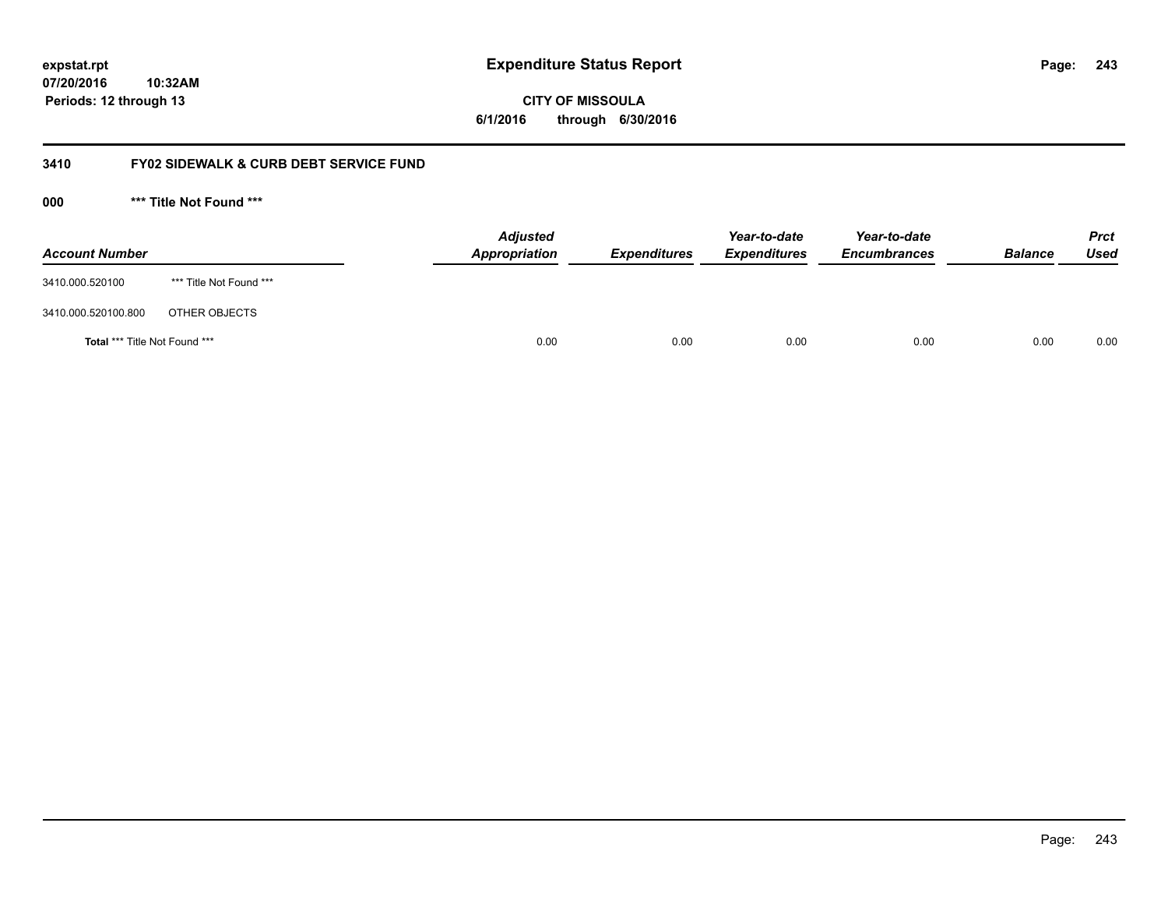**CITY OF MISSOULA 6/1/2016 through 6/30/2016**

# **3410 FY02 SIDEWALK & CURB DEBT SERVICE FUND**

**000 \*\*\* Title Not Found \*\*\***

| <b>Account Number</b>         |                         | <b>Adjusted</b><br>Appropriation | <b>Expenditures</b> | Year-to-date<br><b>Expenditures</b> | Year-to-date<br><b>Encumbrances</b> | <b>Balance</b> | Prct<br><b>Used</b> |
|-------------------------------|-------------------------|----------------------------------|---------------------|-------------------------------------|-------------------------------------|----------------|---------------------|
| 3410.000.520100               | *** Title Not Found *** |                                  |                     |                                     |                                     |                |                     |
| 3410.000.520100.800           | OTHER OBJECTS           |                                  |                     |                                     |                                     |                |                     |
| Total *** Title Not Found *** |                         | 0.00                             | 0.00                | 0.00                                | 0.00                                | 0.00           | 0.00                |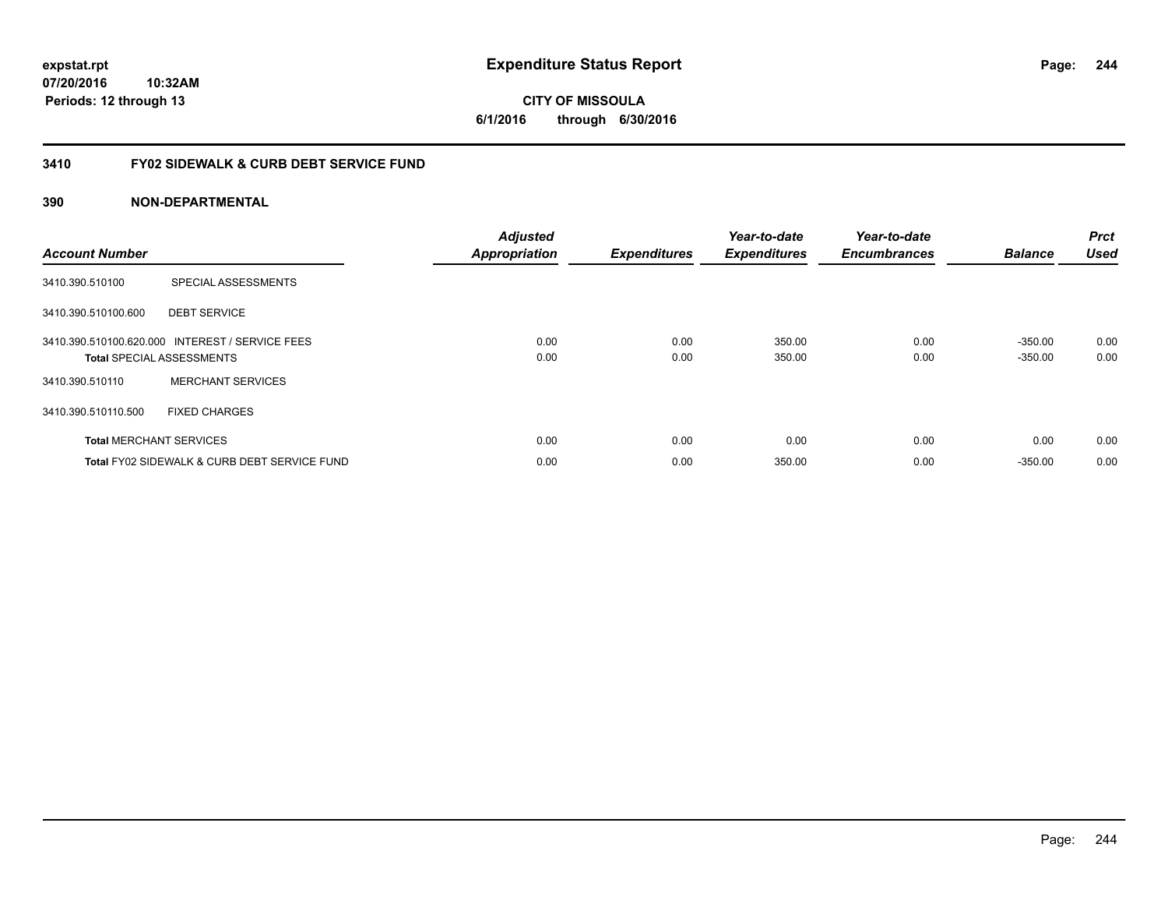**CITY OF MISSOULA 6/1/2016 through 6/30/2016**

# **3410 FY02 SIDEWALK & CURB DEBT SERVICE FUND**

| <b>Account Number</b> |                                                                                     | <b>Adjusted</b><br><b>Appropriation</b> | <b>Expenditures</b> | Year-to-date<br><b>Expenditures</b> | Year-to-date<br><b>Encumbrances</b> | <b>Balance</b>         | <b>Prct</b><br><b>Used</b> |
|-----------------------|-------------------------------------------------------------------------------------|-----------------------------------------|---------------------|-------------------------------------|-------------------------------------|------------------------|----------------------------|
| 3410.390.510100       | SPECIAL ASSESSMENTS                                                                 |                                         |                     |                                     |                                     |                        |                            |
| 3410.390.510100.600   | <b>DEBT SERVICE</b>                                                                 |                                         |                     |                                     |                                     |                        |                            |
|                       | 3410.390.510100.620.000 INTEREST / SERVICE FEES<br><b>Total SPECIAL ASSESSMENTS</b> | 0.00<br>0.00                            | 0.00<br>0.00        | 350.00<br>350.00                    | 0.00<br>0.00                        | $-350.00$<br>$-350.00$ | 0.00<br>0.00               |
| 3410.390.510110       | <b>MERCHANT SERVICES</b>                                                            |                                         |                     |                                     |                                     |                        |                            |
| 3410.390.510110.500   | <b>FIXED CHARGES</b>                                                                |                                         |                     |                                     |                                     |                        |                            |
|                       | <b>Total MERCHANT SERVICES</b>                                                      | 0.00                                    | 0.00                | 0.00                                | 0.00                                | 0.00                   | 0.00                       |
|                       | Total FY02 SIDEWALK & CURB DEBT SERVICE FUND                                        | 0.00                                    | 0.00                | 350.00                              | 0.00                                | $-350.00$              | 0.00                       |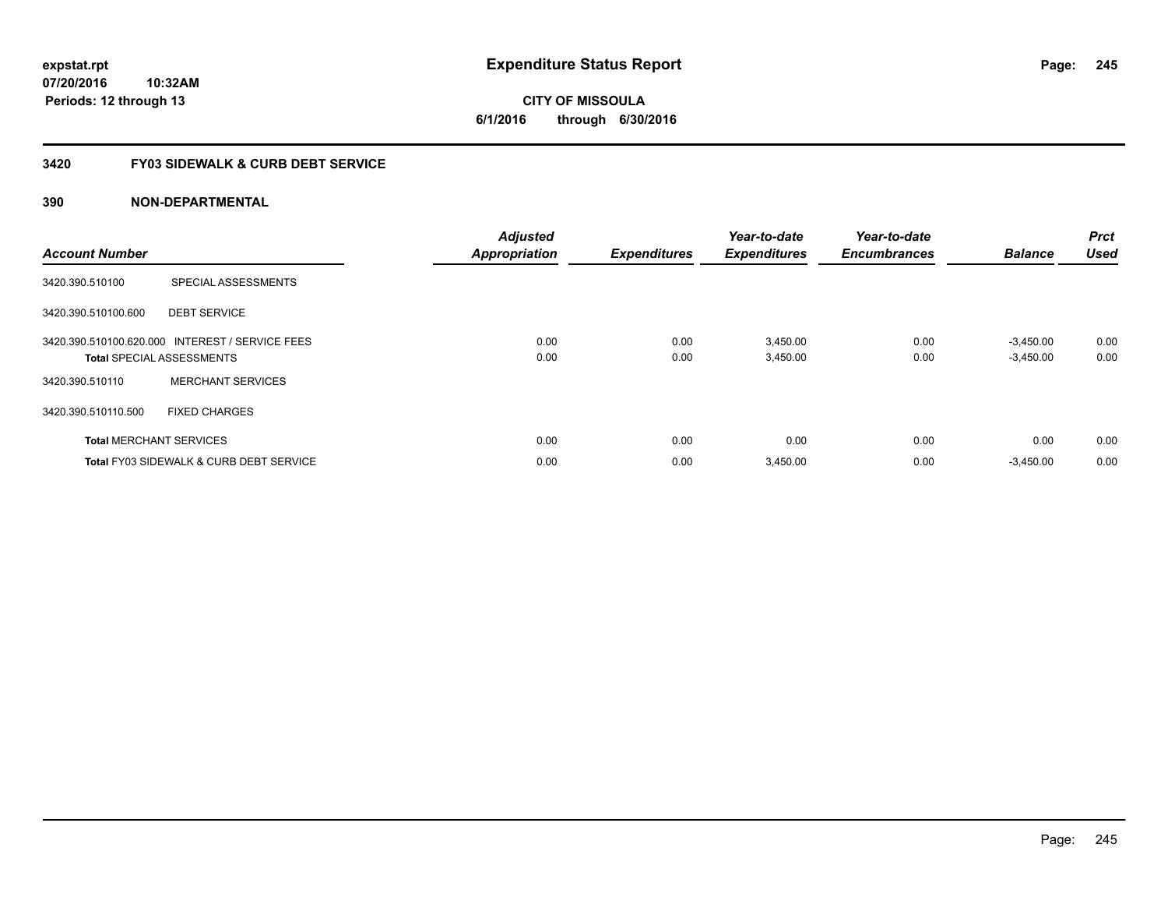**CITY OF MISSOULA 6/1/2016 through 6/30/2016**

# **3420 FY03 SIDEWALK & CURB DEBT SERVICE**

| <b>Account Number</b> |                                                                                     | <b>Adjusted</b><br><b>Appropriation</b> | <b>Expenditures</b> | Year-to-date<br><b>Expenditures</b> | Year-to-date<br><b>Encumbrances</b> | <b>Balance</b>             | <b>Prct</b><br><b>Used</b> |
|-----------------------|-------------------------------------------------------------------------------------|-----------------------------------------|---------------------|-------------------------------------|-------------------------------------|----------------------------|----------------------------|
| 3420.390.510100       | SPECIAL ASSESSMENTS                                                                 |                                         |                     |                                     |                                     |                            |                            |
| 3420.390.510100.600   | <b>DEBT SERVICE</b>                                                                 |                                         |                     |                                     |                                     |                            |                            |
|                       | 3420.390.510100.620.000 INTEREST / SERVICE FEES<br><b>Total SPECIAL ASSESSMENTS</b> | 0.00<br>0.00                            | 0.00<br>0.00        | 3,450.00<br>3,450.00                | 0.00<br>0.00                        | $-3.450.00$<br>$-3,450.00$ | 0.00<br>0.00               |
| 3420.390.510110       | <b>MERCHANT SERVICES</b>                                                            |                                         |                     |                                     |                                     |                            |                            |
| 3420.390.510110.500   | <b>FIXED CHARGES</b>                                                                |                                         |                     |                                     |                                     |                            |                            |
|                       | <b>Total MERCHANT SERVICES</b>                                                      | 0.00                                    | 0.00                | 0.00                                | 0.00                                | 0.00                       | 0.00                       |
|                       | <b>Total FY03 SIDEWALK &amp; CURB DEBT SERVICE</b>                                  | 0.00                                    | 0.00                | 3,450.00                            | 0.00                                | $-3,450.00$                | 0.00                       |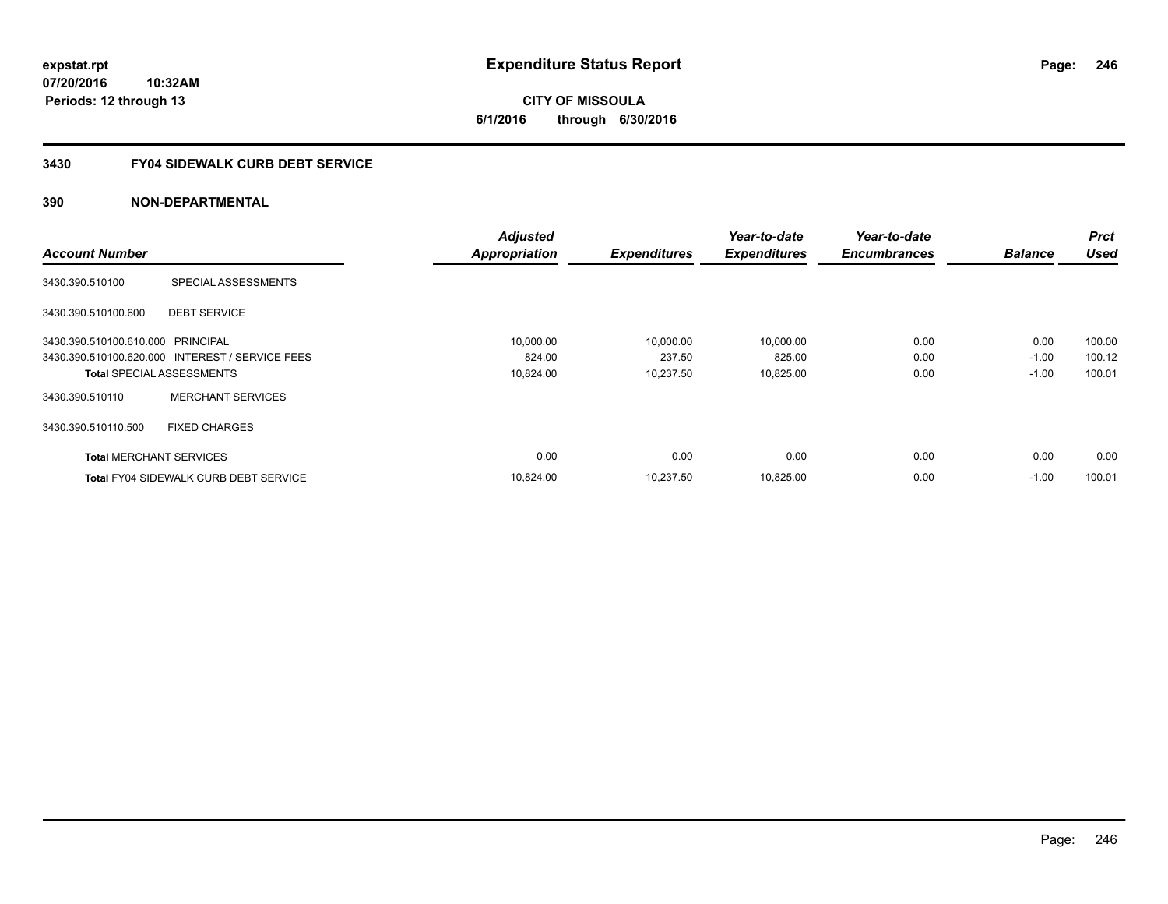**CITY OF MISSOULA 6/1/2016 through 6/30/2016**

# **3430 FY04 SIDEWALK CURB DEBT SERVICE**

|                                   |                                                 | <b>Adjusted</b>      |                     | Year-to-date        | Year-to-date        |                | <b>Prct</b> |
|-----------------------------------|-------------------------------------------------|----------------------|---------------------|---------------------|---------------------|----------------|-------------|
| <b>Account Number</b>             |                                                 | <b>Appropriation</b> | <b>Expenditures</b> | <b>Expenditures</b> | <b>Encumbrances</b> | <b>Balance</b> | <b>Used</b> |
| 3430.390.510100                   | SPECIAL ASSESSMENTS                             |                      |                     |                     |                     |                |             |
| 3430.390.510100.600               | <b>DEBT SERVICE</b>                             |                      |                     |                     |                     |                |             |
| 3430.390.510100.610.000 PRINCIPAL |                                                 | 10,000.00            | 10,000.00           | 10,000.00           | 0.00                | 0.00           | 100.00      |
|                                   | 3430.390.510100.620.000 INTEREST / SERVICE FEES | 824.00               | 237.50              | 825.00              | 0.00                | $-1.00$        | 100.12      |
|                                   | <b>Total SPECIAL ASSESSMENTS</b>                | 10,824.00            | 10.237.50           | 10,825.00           | 0.00                | $-1.00$        | 100.01      |
| 3430.390.510110                   | <b>MERCHANT SERVICES</b>                        |                      |                     |                     |                     |                |             |
| 3430.390.510110.500               | <b>FIXED CHARGES</b>                            |                      |                     |                     |                     |                |             |
| <b>Total MERCHANT SERVICES</b>    |                                                 | 0.00                 | 0.00                | 0.00                | 0.00                | 0.00           | 0.00        |
|                                   | <b>Total FY04 SIDEWALK CURB DEBT SERVICE</b>    | 10.824.00            | 10.237.50           | 10.825.00           | 0.00                | $-1.00$        | 100.01      |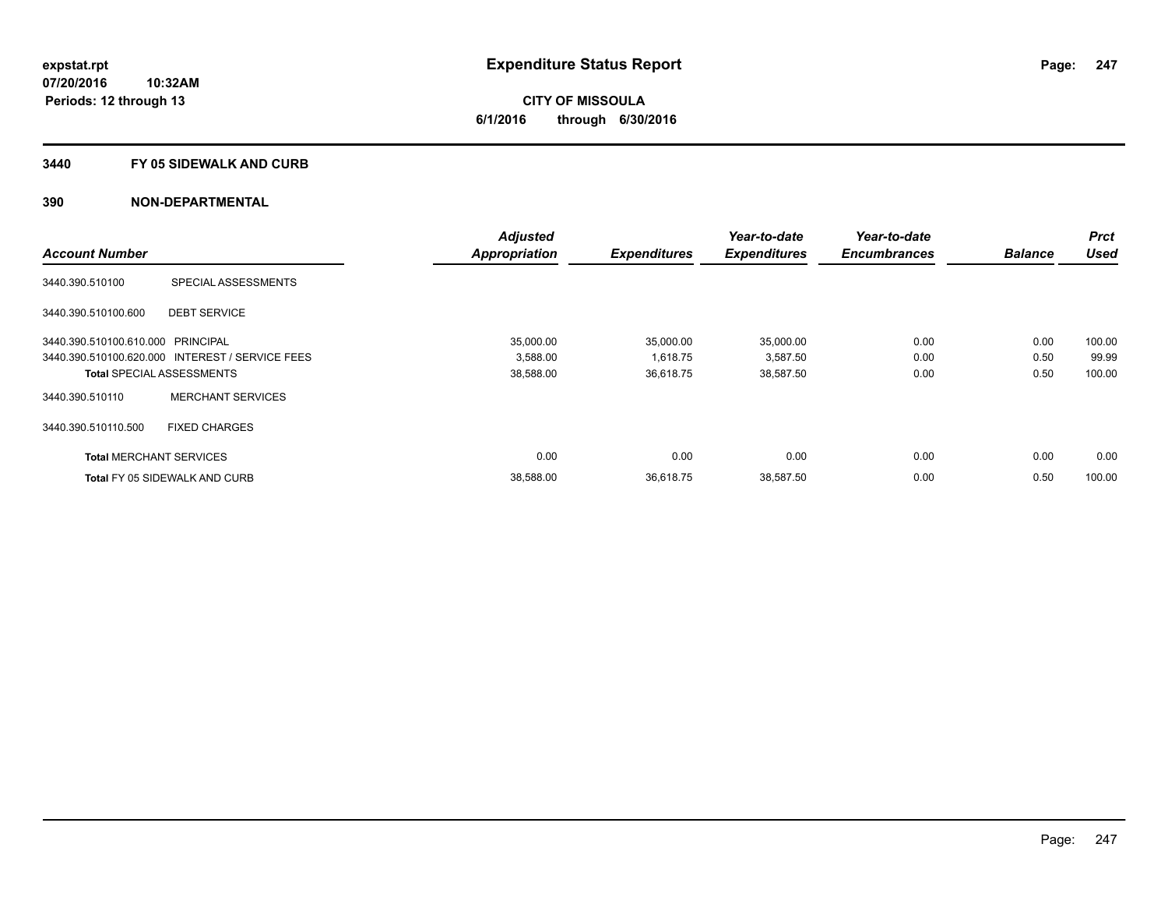**Periods: 12 through 13**

**CITY OF MISSOULA 6/1/2016 through 6/30/2016**

### **3440 FY 05 SIDEWALK AND CURB**

|                                   |                                                 | <b>Adjusted</b>      |                     | Year-to-date        | Year-to-date        |                | <b>Prct</b> |
|-----------------------------------|-------------------------------------------------|----------------------|---------------------|---------------------|---------------------|----------------|-------------|
| <b>Account Number</b>             |                                                 | <b>Appropriation</b> | <b>Expenditures</b> | <b>Expenditures</b> | <b>Encumbrances</b> | <b>Balance</b> | <b>Used</b> |
| 3440.390.510100                   | SPECIAL ASSESSMENTS                             |                      |                     |                     |                     |                |             |
| 3440.390.510100.600               | <b>DEBT SERVICE</b>                             |                      |                     |                     |                     |                |             |
| 3440.390.510100.610.000 PRINCIPAL |                                                 | 35.000.00            | 35,000.00           | 35,000.00           | 0.00                | 0.00           | 100.00      |
|                                   | 3440.390.510100.620.000 INTEREST / SERVICE FEES | 3,588.00             | 1,618.75            | 3,587.50            | 0.00                | 0.50           | 99.99       |
|                                   | <b>Total SPECIAL ASSESSMENTS</b>                | 38,588.00            | 36,618.75           | 38,587.50           | 0.00                | 0.50           | 100.00      |
| 3440.390.510110                   | <b>MERCHANT SERVICES</b>                        |                      |                     |                     |                     |                |             |
| 3440.390.510110.500               | <b>FIXED CHARGES</b>                            |                      |                     |                     |                     |                |             |
| <b>Total MERCHANT SERVICES</b>    |                                                 | 0.00                 | 0.00                | 0.00                | 0.00                | 0.00           | 0.00        |
|                                   | <b>Total FY 05 SIDEWALK AND CURB</b>            | 38,588.00            | 36.618.75           | 38,587.50           | 0.00                | 0.50           | 100.00      |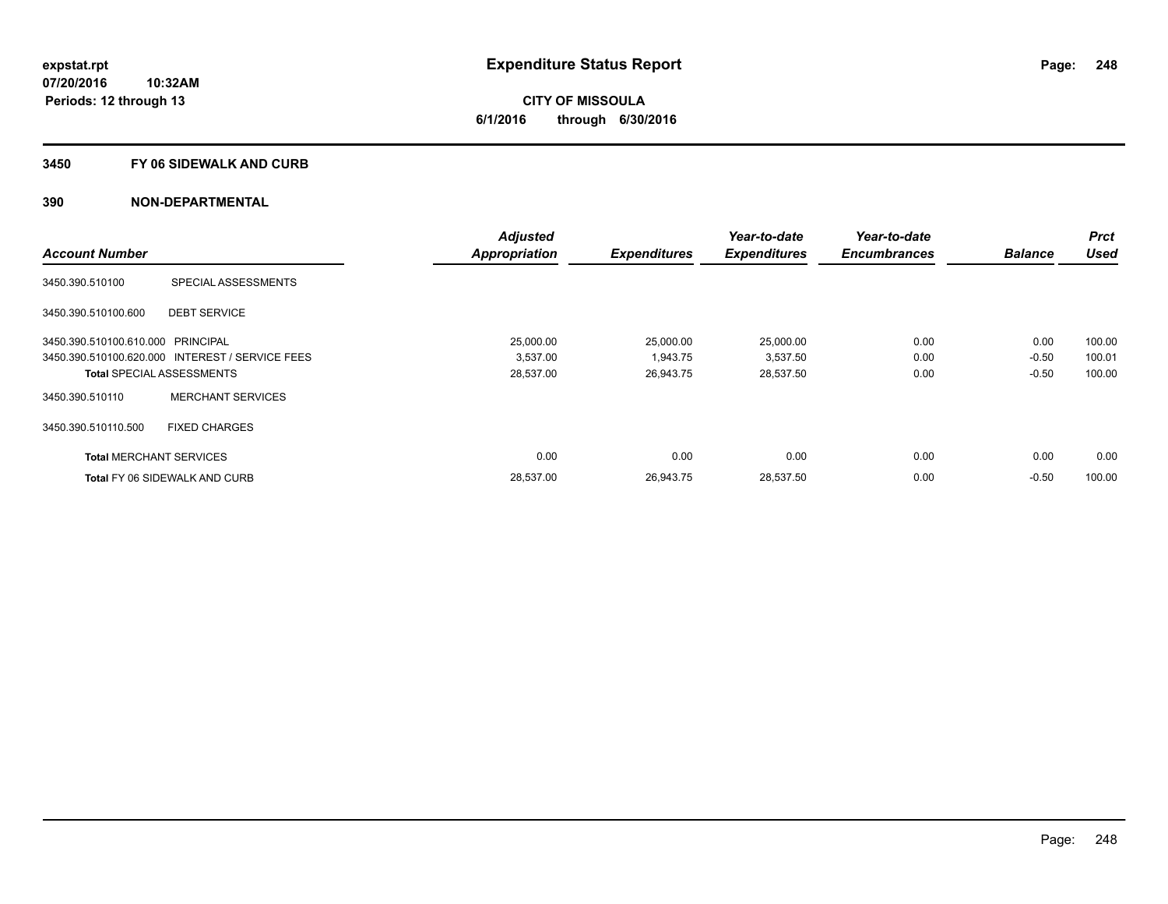**Periods: 12 through 13**

**CITY OF MISSOULA 6/1/2016 through 6/30/2016**

### **3450 FY 06 SIDEWALK AND CURB**

|                                   |                                                 | <b>Adjusted</b>      |                     | Year-to-date        | Year-to-date        |                | <b>Prct</b> |
|-----------------------------------|-------------------------------------------------|----------------------|---------------------|---------------------|---------------------|----------------|-------------|
| <b>Account Number</b>             |                                                 | <b>Appropriation</b> | <b>Expenditures</b> | <b>Expenditures</b> | <b>Encumbrances</b> | <b>Balance</b> | <b>Used</b> |
| 3450.390.510100                   | SPECIAL ASSESSMENTS                             |                      |                     |                     |                     |                |             |
| 3450.390.510100.600               | <b>DEBT SERVICE</b>                             |                      |                     |                     |                     |                |             |
| 3450.390.510100.610.000 PRINCIPAL |                                                 | 25,000.00            | 25,000.00           | 25,000.00           | 0.00                | 0.00           | 100.00      |
|                                   | 3450.390.510100.620.000 INTEREST / SERVICE FEES | 3,537.00             | 1,943.75            | 3,537.50            | 0.00                | $-0.50$        | 100.01      |
|                                   | <b>Total SPECIAL ASSESSMENTS</b>                | 28,537.00            | 26,943.75           | 28,537.50           | 0.00                | $-0.50$        | 100.00      |
| 3450.390.510110                   | <b>MERCHANT SERVICES</b>                        |                      |                     |                     |                     |                |             |
| 3450.390.510110.500               | <b>FIXED CHARGES</b>                            |                      |                     |                     |                     |                |             |
| <b>Total MERCHANT SERVICES</b>    |                                                 | 0.00                 | 0.00                | 0.00                | 0.00                | 0.00           | 0.00        |
|                                   | <b>Total FY 06 SIDEWALK AND CURB</b>            | 28,537.00            | 26,943.75           | 28,537.50           | 0.00                | $-0.50$        | 100.00      |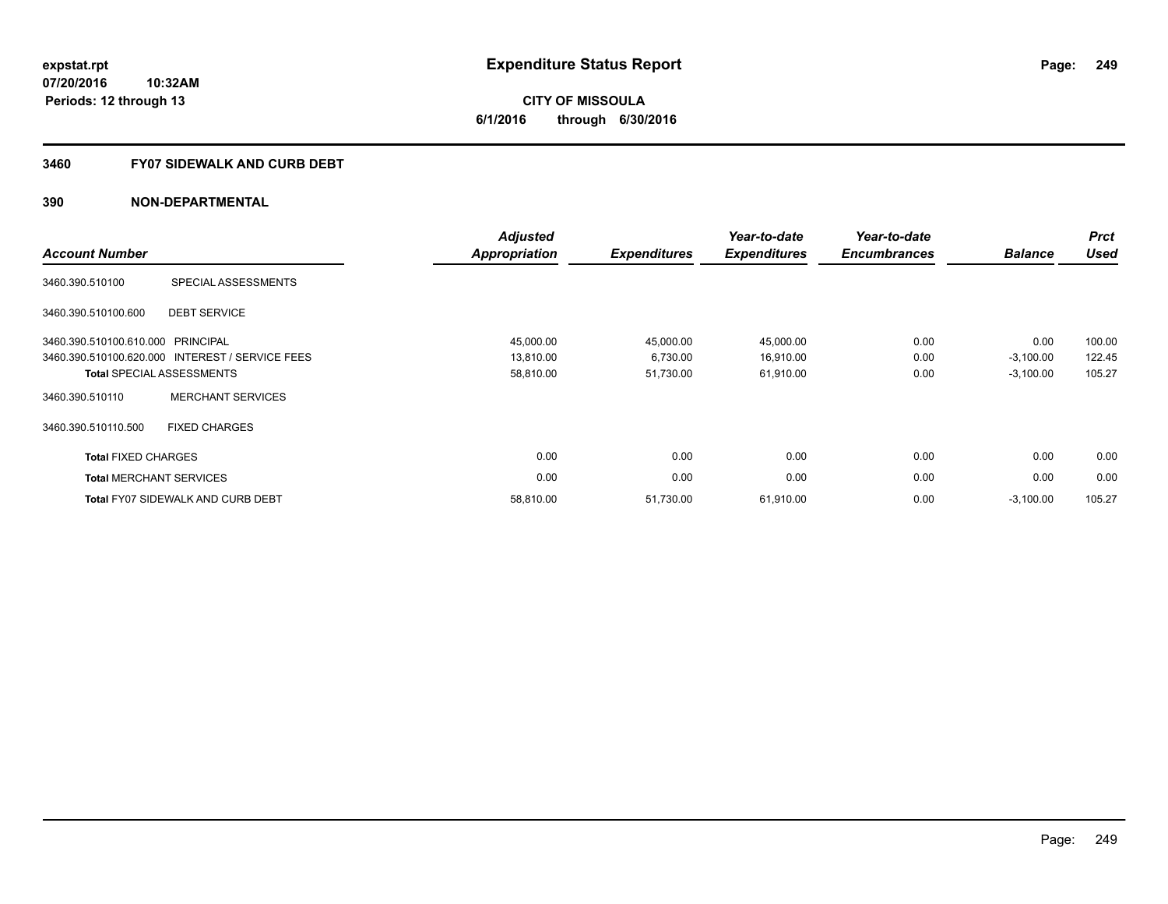# **CITY OF MISSOULA 6/1/2016 through 6/30/2016**

# **3460 FY07 SIDEWALK AND CURB DEBT**

| <b>Account Number</b>      |                                                 | <b>Adjusted</b><br><b>Appropriation</b> | <b>Expenditures</b> | Year-to-date<br><b>Expenditures</b> | Year-to-date<br><b>Encumbrances</b> | <b>Balance</b> | <b>Prct</b><br><b>Used</b> |
|----------------------------|-------------------------------------------------|-----------------------------------------|---------------------|-------------------------------------|-------------------------------------|----------------|----------------------------|
| 3460.390.510100            | SPECIAL ASSESSMENTS                             |                                         |                     |                                     |                                     |                |                            |
| 3460.390.510100.600        | <b>DEBT SERVICE</b>                             |                                         |                     |                                     |                                     |                |                            |
| 3460.390.510100.610.000    | PRINCIPAL                                       | 45,000.00                               | 45,000.00           | 45,000.00                           | 0.00                                | 0.00           | 100.00                     |
|                            | 3460.390.510100.620.000 INTEREST / SERVICE FEES | 13,810.00                               | 6,730.00            | 16,910.00                           | 0.00                                | $-3,100.00$    | 122.45                     |
|                            | <b>Total SPECIAL ASSESSMENTS</b>                | 58,810.00                               | 51,730.00           | 61,910.00                           | 0.00                                | $-3,100.00$    | 105.27                     |
| 3460.390.510110            | <b>MERCHANT SERVICES</b>                        |                                         |                     |                                     |                                     |                |                            |
| 3460.390.510110.500        | <b>FIXED CHARGES</b>                            |                                         |                     |                                     |                                     |                |                            |
| <b>Total FIXED CHARGES</b> |                                                 | 0.00                                    | 0.00                | 0.00                                | 0.00                                | 0.00           | 0.00                       |
|                            | <b>Total MERCHANT SERVICES</b>                  | 0.00                                    | 0.00                | 0.00                                | 0.00                                | 0.00           | 0.00                       |
|                            | <b>Total FY07 SIDEWALK AND CURB DEBT</b>        | 58,810.00                               | 51,730.00           | 61,910.00                           | 0.00                                | $-3,100.00$    | 105.27                     |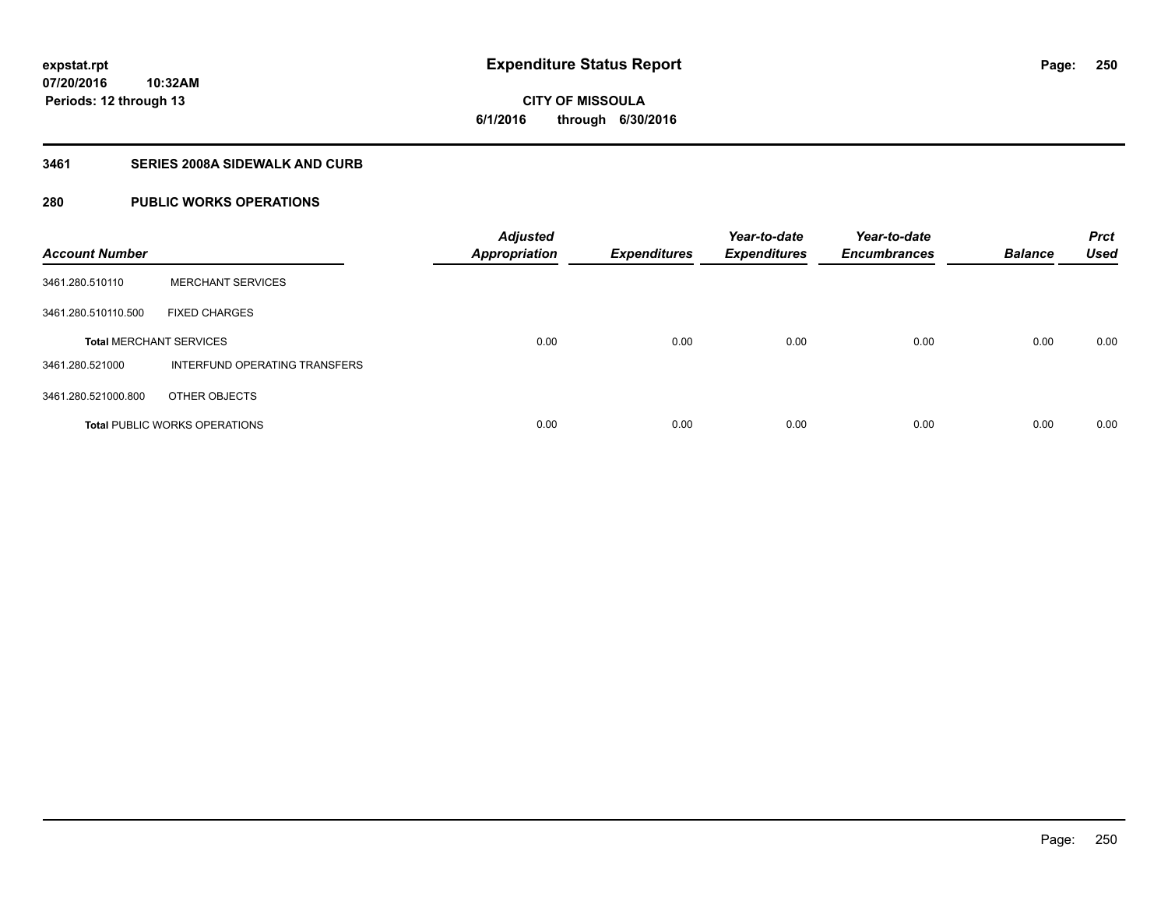**CITY OF MISSOULA 6/1/2016 through 6/30/2016**

# **3461 SERIES 2008A SIDEWALK AND CURB**

# **280 PUBLIC WORKS OPERATIONS**

| <b>Account Number</b>          |                                      | <b>Adjusted</b><br><b>Appropriation</b> | <b>Expenditures</b> | Year-to-date<br><b>Expenditures</b> | Year-to-date<br><b>Encumbrances</b> | <b>Balance</b> | <b>Prct</b><br><b>Used</b> |
|--------------------------------|--------------------------------------|-----------------------------------------|---------------------|-------------------------------------|-------------------------------------|----------------|----------------------------|
| 3461.280.510110                | <b>MERCHANT SERVICES</b>             |                                         |                     |                                     |                                     |                |                            |
| 3461.280.510110.500            | <b>FIXED CHARGES</b>                 |                                         |                     |                                     |                                     |                |                            |
| <b>Total MERCHANT SERVICES</b> |                                      | 0.00                                    | 0.00                | 0.00                                | 0.00                                | 0.00           | 0.00                       |
| 3461.280.521000                | INTERFUND OPERATING TRANSFERS        |                                         |                     |                                     |                                     |                |                            |
| 3461.280.521000.800            | OTHER OBJECTS                        |                                         |                     |                                     |                                     |                |                            |
|                                | <b>Total PUBLIC WORKS OPERATIONS</b> | 0.00                                    | 0.00                | 0.00                                | 0.00                                | 0.00           | 0.00                       |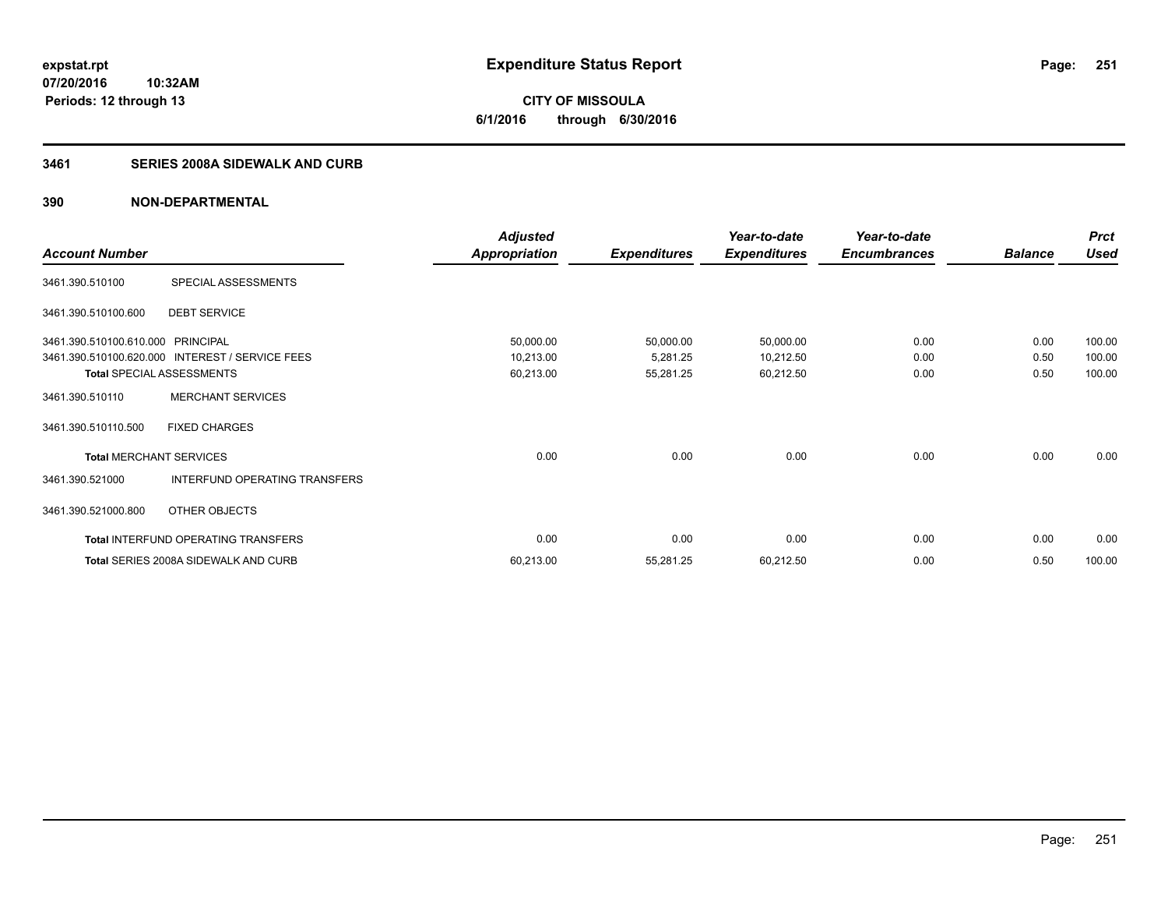# **CITY OF MISSOULA 6/1/2016 through 6/30/2016**

# **3461 SERIES 2008A SIDEWALK AND CURB**

|                         |                                                 | <b>Adjusted</b>      |                     | Year-to-date        | Year-to-date        |                | <b>Prct</b> |
|-------------------------|-------------------------------------------------|----------------------|---------------------|---------------------|---------------------|----------------|-------------|
| <b>Account Number</b>   |                                                 | <b>Appropriation</b> | <b>Expenditures</b> | <b>Expenditures</b> | <b>Encumbrances</b> | <b>Balance</b> | Used        |
| 3461.390.510100         | SPECIAL ASSESSMENTS                             |                      |                     |                     |                     |                |             |
| 3461.390.510100.600     | <b>DEBT SERVICE</b>                             |                      |                     |                     |                     |                |             |
| 3461.390.510100.610.000 | <b>PRINCIPAL</b>                                | 50,000.00            | 50,000.00           | 50,000.00           | 0.00                | 0.00           | 100.00      |
|                         | 3461.390.510100.620.000 INTEREST / SERVICE FEES | 10,213.00            | 5,281.25            | 10,212.50           | 0.00                | 0.50           | 100.00      |
|                         | <b>Total SPECIAL ASSESSMENTS</b>                | 60,213.00            | 55,281.25           | 60,212.50           | 0.00                | 0.50           | 100.00      |
| 3461.390.510110         | <b>MERCHANT SERVICES</b>                        |                      |                     |                     |                     |                |             |
| 3461.390.510110.500     | <b>FIXED CHARGES</b>                            |                      |                     |                     |                     |                |             |
|                         | <b>Total MERCHANT SERVICES</b>                  | 0.00                 | 0.00                | 0.00                | 0.00                | 0.00           | 0.00        |
| 3461.390.521000         | INTERFUND OPERATING TRANSFERS                   |                      |                     |                     |                     |                |             |
| 3461.390.521000.800     | OTHER OBJECTS                                   |                      |                     |                     |                     |                |             |
|                         | Total INTERFUND OPERATING TRANSFERS             | 0.00                 | 0.00                | 0.00                | 0.00                | 0.00           | 0.00        |
|                         | Total SERIES 2008A SIDEWALK AND CURB            | 60,213.00            | 55,281.25           | 60,212.50           | 0.00                | 0.50           | 100.00      |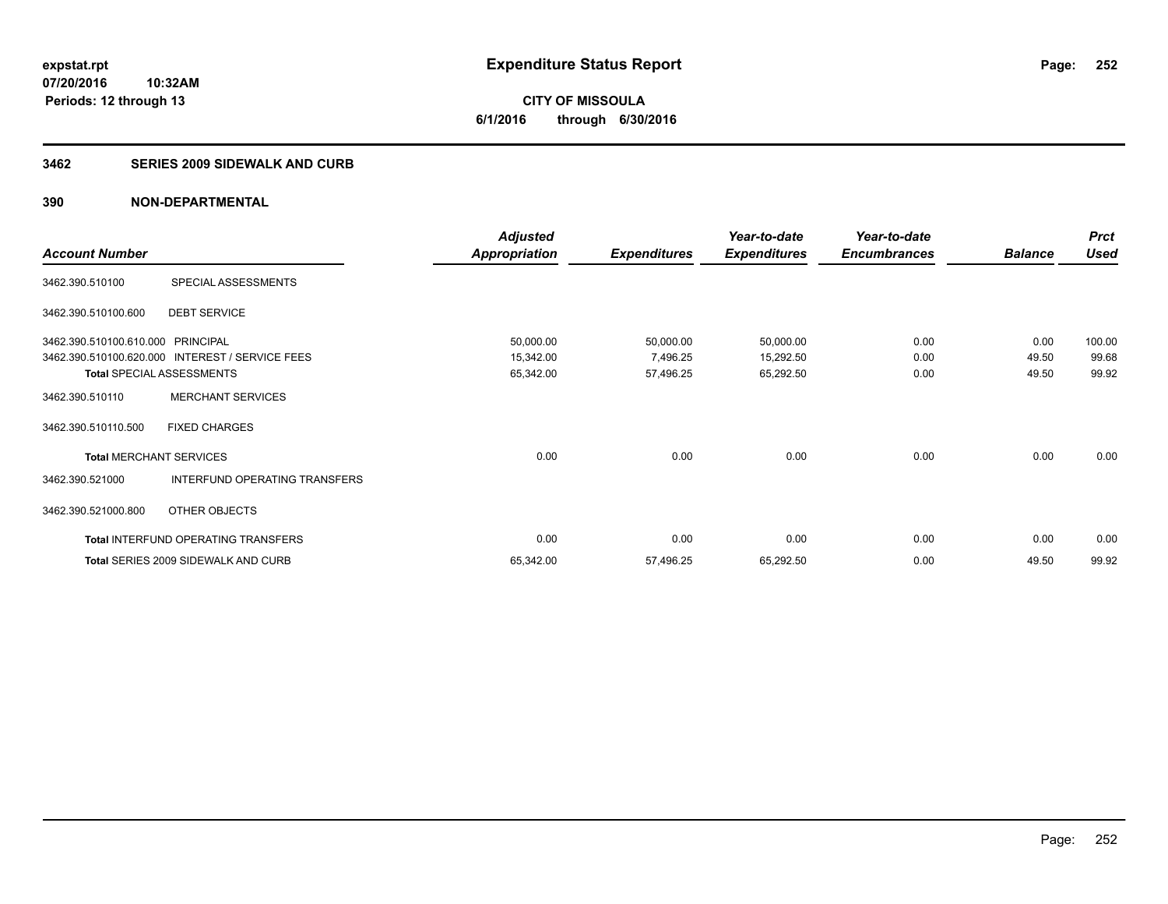**CITY OF MISSOULA 6/1/2016 through 6/30/2016**

### **3462 SERIES 2009 SIDEWALK AND CURB**

|                                  |                                                 | <b>Adjusted</b>      |                     | Year-to-date        | Year-to-date        |                | <b>Prct</b> |
|----------------------------------|-------------------------------------------------|----------------------|---------------------|---------------------|---------------------|----------------|-------------|
| <b>Account Number</b>            |                                                 | <b>Appropriation</b> | <b>Expenditures</b> | <b>Expenditures</b> | <b>Encumbrances</b> | <b>Balance</b> | <b>Used</b> |
| 3462.390.510100                  | SPECIAL ASSESSMENTS                             |                      |                     |                     |                     |                |             |
| 3462.390.510100.600              | <b>DEBT SERVICE</b>                             |                      |                     |                     |                     |                |             |
| 3462.390.510100.610.000          | <b>PRINCIPAL</b>                                | 50,000.00            | 50,000.00           | 50,000.00           | 0.00                | 0.00           | 100.00      |
|                                  | 3462.390.510100.620.000 INTEREST / SERVICE FEES | 15,342.00            | 7,496.25            | 15,292.50           | 0.00                | 49.50          | 99.68       |
| <b>Total SPECIAL ASSESSMENTS</b> |                                                 | 65,342.00            | 57,496.25           | 65,292.50           | 0.00                | 49.50          | 99.92       |
| 3462.390.510110                  | <b>MERCHANT SERVICES</b>                        |                      |                     |                     |                     |                |             |
| 3462.390.510110.500              | <b>FIXED CHARGES</b>                            |                      |                     |                     |                     |                |             |
| <b>Total MERCHANT SERVICES</b>   |                                                 | 0.00                 | 0.00                | 0.00                | 0.00                | 0.00           | 0.00        |
| 3462.390.521000                  | INTERFUND OPERATING TRANSFERS                   |                      |                     |                     |                     |                |             |
| 3462.390.521000.800              | OTHER OBJECTS                                   |                      |                     |                     |                     |                |             |
|                                  | Total INTERFUND OPERATING TRANSFERS             | 0.00                 | 0.00                | 0.00                | 0.00                | 0.00           | 0.00        |
|                                  | <b>Total SERIES 2009 SIDEWALK AND CURB</b>      | 65,342.00            | 57,496.25           | 65,292.50           | 0.00                | 49.50          | 99.92       |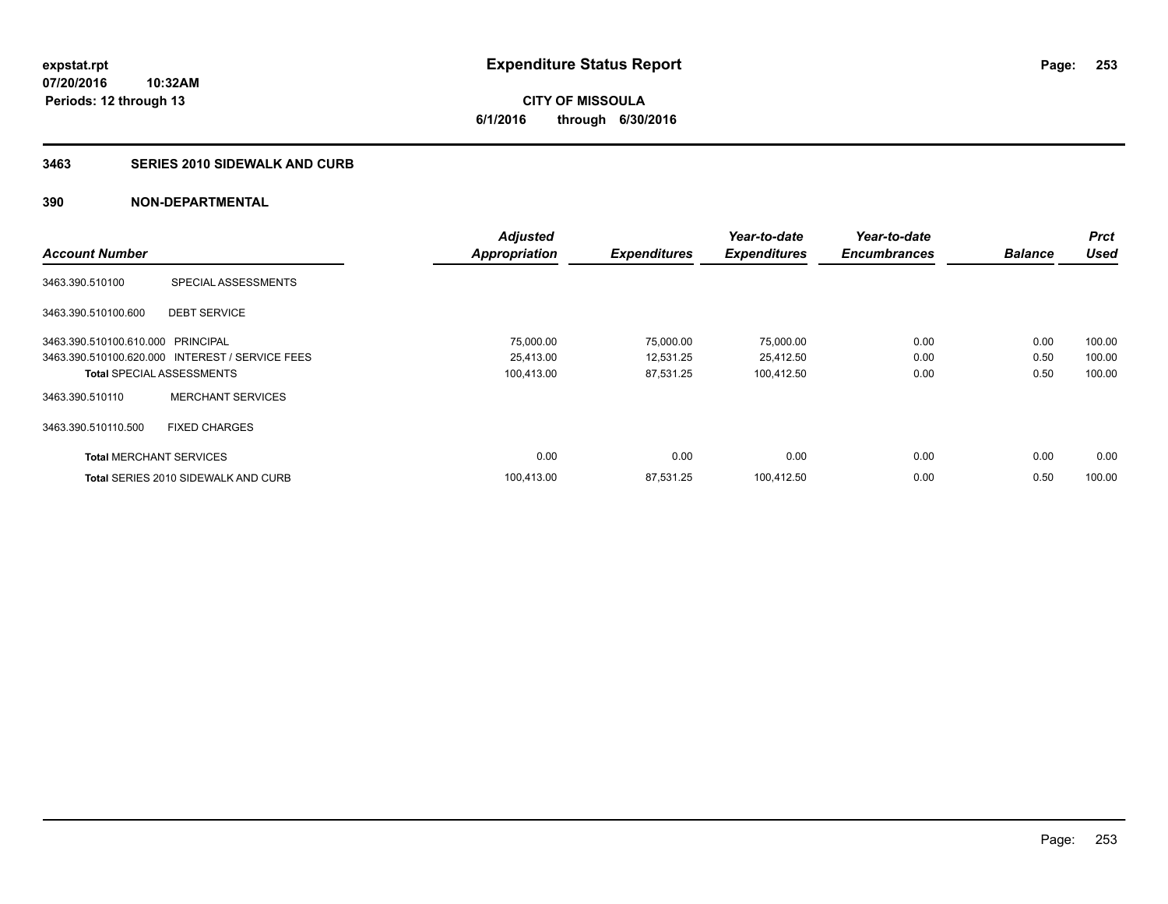**07/20/2016 10:32AM Periods: 12 through 13**

**CITY OF MISSOULA 6/1/2016 through 6/30/2016**

### **3463 SERIES 2010 SIDEWALK AND CURB**

|                                   |                                                 | <b>Adjusted</b> |                     | Year-to-date        | Year-to-date        |                | <b>Prct</b> |
|-----------------------------------|-------------------------------------------------|-----------------|---------------------|---------------------|---------------------|----------------|-------------|
| <b>Account Number</b>             |                                                 | Appropriation   | <b>Expenditures</b> | <b>Expenditures</b> | <b>Encumbrances</b> | <b>Balance</b> | <b>Used</b> |
| 3463.390.510100                   | SPECIAL ASSESSMENTS                             |                 |                     |                     |                     |                |             |
| 3463.390.510100.600               | <b>DEBT SERVICE</b>                             |                 |                     |                     |                     |                |             |
| 3463.390.510100.610.000 PRINCIPAL |                                                 | 75,000.00       | 75,000.00           | 75,000.00           | 0.00                | 0.00           | 100.00      |
|                                   | 3463.390.510100.620.000 INTEREST / SERVICE FEES | 25.413.00       | 12,531.25           | 25,412.50           | 0.00                | 0.50           | 100.00      |
| <b>Total SPECIAL ASSESSMENTS</b>  |                                                 | 100,413.00      | 87,531.25           | 100,412.50          | 0.00                | 0.50           | 100.00      |
| 3463.390.510110                   | <b>MERCHANT SERVICES</b>                        |                 |                     |                     |                     |                |             |
| 3463.390.510110.500               | <b>FIXED CHARGES</b>                            |                 |                     |                     |                     |                |             |
| <b>Total MERCHANT SERVICES</b>    |                                                 | 0.00            | 0.00                | 0.00                | 0.00                | 0.00           | 0.00        |
|                                   | <b>Total SERIES 2010 SIDEWALK AND CURB</b>      | 100,413.00      | 87,531.25           | 100,412.50          | 0.00                | 0.50           | 100.00      |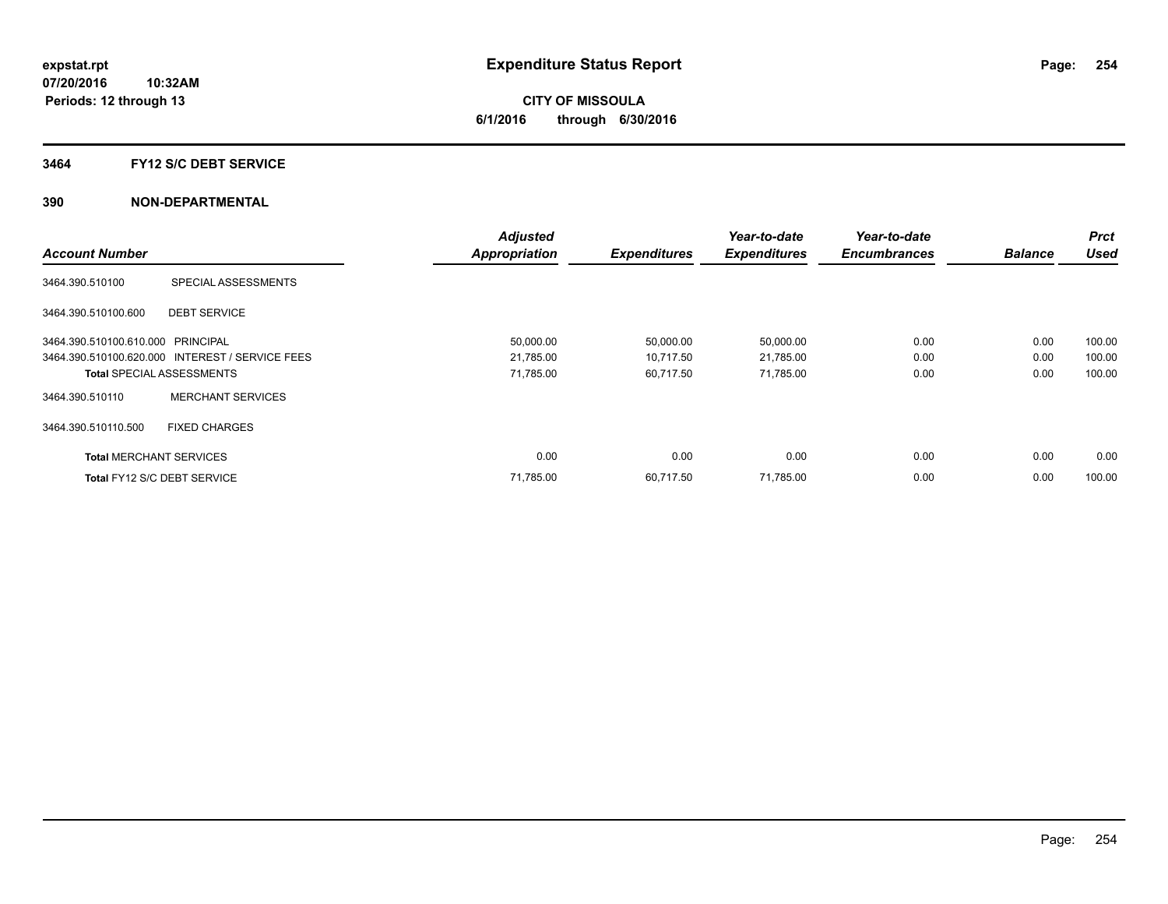## **3464 FY12 S/C DEBT SERVICE**

|                                   |                                                 | <b>Adjusted</b>      |                     | Year-to-date        | Year-to-date        |                | Prct        |
|-----------------------------------|-------------------------------------------------|----------------------|---------------------|---------------------|---------------------|----------------|-------------|
| <b>Account Number</b>             |                                                 | <b>Appropriation</b> | <b>Expenditures</b> | <b>Expenditures</b> | <b>Encumbrances</b> | <b>Balance</b> | <b>Used</b> |
| 3464.390.510100                   | SPECIAL ASSESSMENTS                             |                      |                     |                     |                     |                |             |
| 3464.390.510100.600               | <b>DEBT SERVICE</b>                             |                      |                     |                     |                     |                |             |
| 3464.390.510100.610.000 PRINCIPAL |                                                 | 50,000.00            | 50,000.00           | 50,000.00           | 0.00                | 0.00           | 100.00      |
|                                   | 3464.390.510100.620.000 INTEREST / SERVICE FEES | 21,785.00            | 10,717.50           | 21,785.00           | 0.00                | 0.00           | 100.00      |
| <b>Total SPECIAL ASSESSMENTS</b>  |                                                 | 71,785.00            | 60,717.50           | 71,785.00           | 0.00                | 0.00           | 100.00      |
| 3464.390.510110                   | <b>MERCHANT SERVICES</b>                        |                      |                     |                     |                     |                |             |
| 3464.390.510110.500               | <b>FIXED CHARGES</b>                            |                      |                     |                     |                     |                |             |
| <b>Total MERCHANT SERVICES</b>    |                                                 | 0.00                 | 0.00                | 0.00                | 0.00                | 0.00           | 0.00        |
| Total FY12 S/C DEBT SERVICE       |                                                 | 71,785.00            | 60.717.50           | 71,785.00           | 0.00                | 0.00           | 100.00      |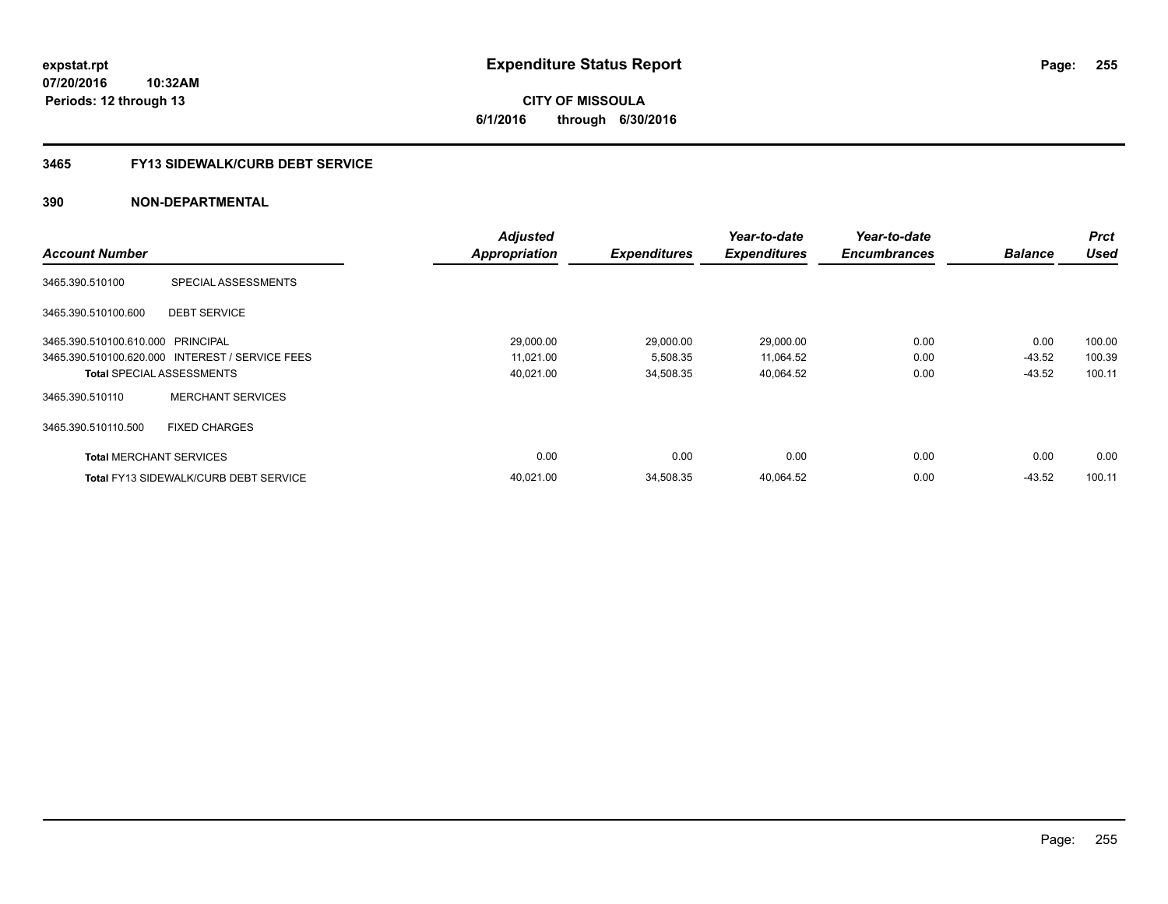**07/20/2016 10:32AM Periods: 12 through 13**

# **CITY OF MISSOULA 6/1/2016 through 6/30/2016**

# **3465 FY13 SIDEWALK/CURB DEBT SERVICE**

|                                   |                                                 | <b>Adjusted</b>      |                     | Year-to-date        | Year-to-date        |                | <b>Prct</b> |
|-----------------------------------|-------------------------------------------------|----------------------|---------------------|---------------------|---------------------|----------------|-------------|
| <b>Account Number</b>             |                                                 | <b>Appropriation</b> | <b>Expenditures</b> | <b>Expenditures</b> | <b>Encumbrances</b> | <b>Balance</b> | <b>Used</b> |
| 3465.390.510100                   | SPECIAL ASSESSMENTS                             |                      |                     |                     |                     |                |             |
| 3465.390.510100.600               | <b>DEBT SERVICE</b>                             |                      |                     |                     |                     |                |             |
| 3465.390.510100.610.000 PRINCIPAL |                                                 | 29,000.00            | 29,000.00           | 29,000.00           | 0.00                | 0.00           | 100.00      |
|                                   | 3465.390.510100.620.000 INTEREST / SERVICE FEES | 11,021.00            | 5,508.35            | 11,064.52           | 0.00                | $-43.52$       | 100.39      |
|                                   | <b>Total SPECIAL ASSESSMENTS</b>                | 40,021.00            | 34,508.35           | 40,064.52           | 0.00                | $-43.52$       | 100.11      |
| 3465.390.510110                   | <b>MERCHANT SERVICES</b>                        |                      |                     |                     |                     |                |             |
| 3465.390.510110.500               | <b>FIXED CHARGES</b>                            |                      |                     |                     |                     |                |             |
| <b>Total MERCHANT SERVICES</b>    |                                                 | 0.00                 | 0.00                | 0.00                | 0.00                | 0.00           | 0.00        |
|                                   | <b>Total FY13 SIDEWALK/CURB DEBT SERVICE</b>    | 40.021.00            | 34.508.35           | 40.064.52           | 0.00                | $-43.52$       | 100.11      |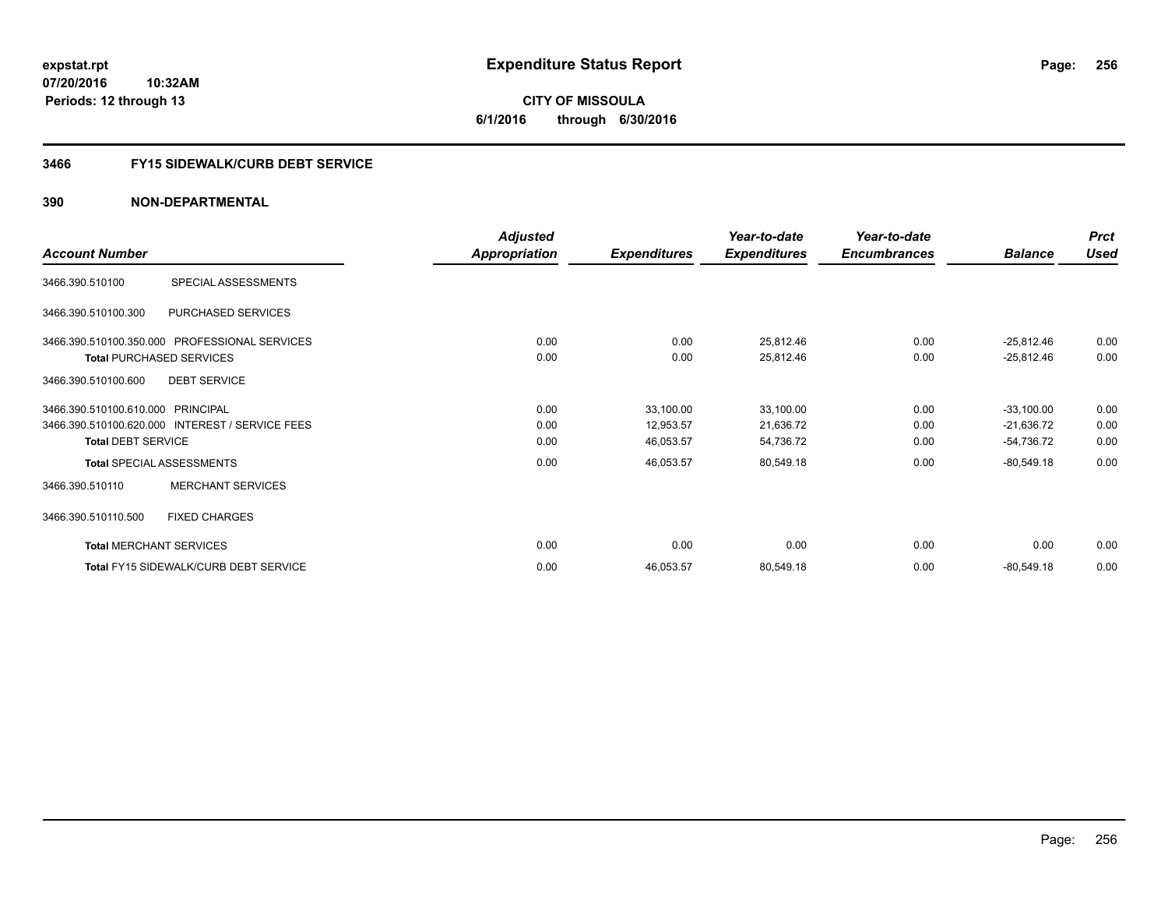**07/20/2016 10:32AM Periods: 12 through 13**

**CITY OF MISSOULA 6/1/2016 through 6/30/2016**

# **3466 FY15 SIDEWALK/CURB DEBT SERVICE**

|                                   |                                                 | <b>Adjusted</b>      |                     | Year-to-date        | Year-to-date        |                | <b>Prct</b> |
|-----------------------------------|-------------------------------------------------|----------------------|---------------------|---------------------|---------------------|----------------|-------------|
| <b>Account Number</b>             |                                                 | <b>Appropriation</b> | <b>Expenditures</b> | <b>Expenditures</b> | <b>Encumbrances</b> | <b>Balance</b> | <b>Used</b> |
| 3466.390.510100                   | SPECIAL ASSESSMENTS                             |                      |                     |                     |                     |                |             |
| 3466.390.510100.300               | PURCHASED SERVICES                              |                      |                     |                     |                     |                |             |
|                                   | 3466.390.510100.350.000 PROFESSIONAL SERVICES   | 0.00                 | 0.00                | 25,812.46           | 0.00                | $-25,812.46$   | 0.00        |
|                                   | <b>Total PURCHASED SERVICES</b>                 | 0.00                 | 0.00                | 25,812.46           | 0.00                | $-25,812.46$   | 0.00        |
| 3466.390.510100.600               | <b>DEBT SERVICE</b>                             |                      |                     |                     |                     |                |             |
| 3466.390.510100.610.000 PRINCIPAL |                                                 | 0.00                 | 33,100.00           | 33,100.00           | 0.00                | $-33,100.00$   | 0.00        |
|                                   | 3466.390.510100.620.000 INTEREST / SERVICE FEES | 0.00                 | 12,953.57           | 21,636.72           | 0.00                | $-21,636.72$   | 0.00        |
| <b>Total DEBT SERVICE</b>         |                                                 | 0.00                 | 46,053.57           | 54,736.72           | 0.00                | $-54,736.72$   | 0.00        |
|                                   | <b>Total SPECIAL ASSESSMENTS</b>                | 0.00                 | 46,053.57           | 80,549.18           | 0.00                | $-80,549.18$   | 0.00        |
| 3466.390.510110                   | <b>MERCHANT SERVICES</b>                        |                      |                     |                     |                     |                |             |
| 3466.390.510110.500               | <b>FIXED CHARGES</b>                            |                      |                     |                     |                     |                |             |
|                                   | <b>Total MERCHANT SERVICES</b>                  | 0.00                 | 0.00                | 0.00                | 0.00                | 0.00           | 0.00        |
|                                   | Total FY15 SIDEWALK/CURB DEBT SERVICE           | 0.00                 | 46,053.57           | 80,549.18           | 0.00                | $-80,549.18$   | 0.00        |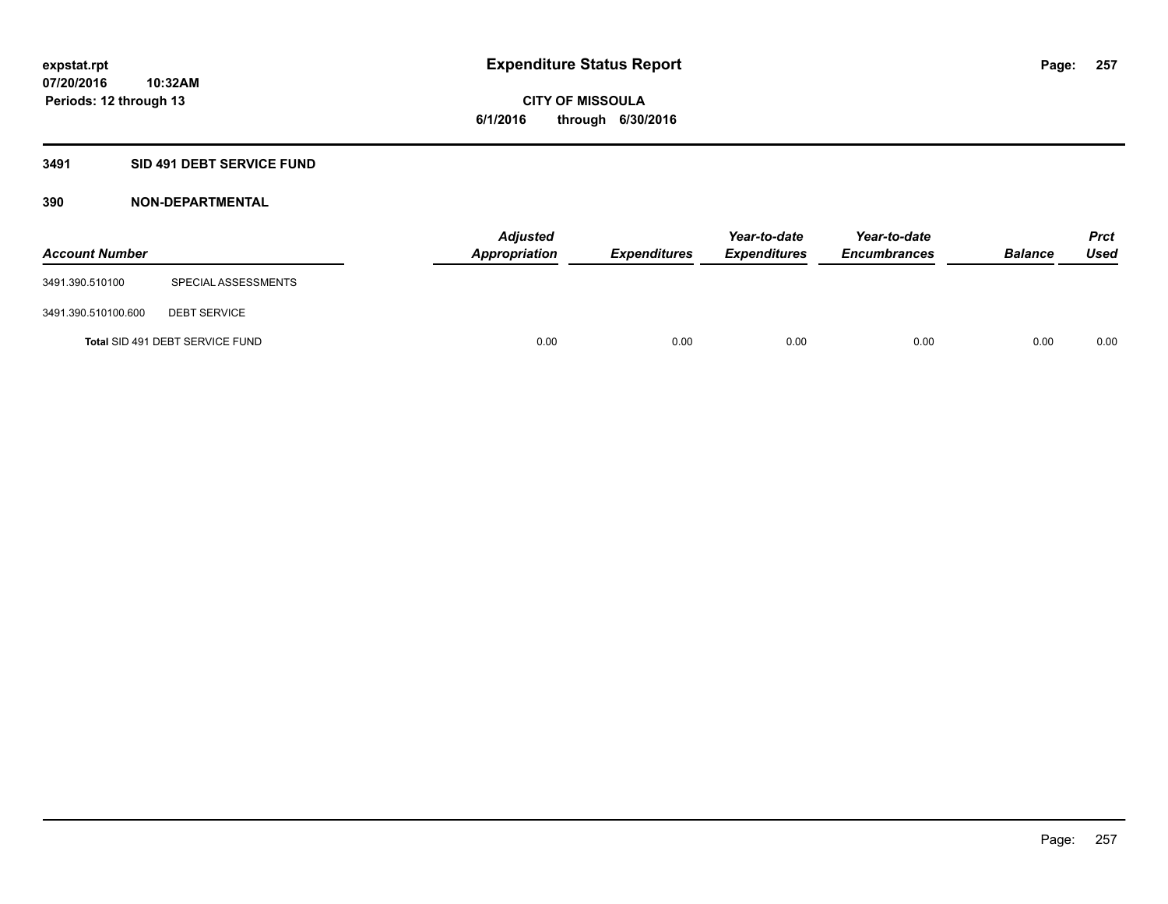# **3491 SID 491 DEBT SERVICE FUND**

| <b>Account Number</b> |                                 | <b>Adjusted</b><br><b>Appropriation</b> | <b>Expenditures</b> | Year-to-date<br><b>Expenditures</b> | Year-to-date<br><b>Encumbrances</b> | <b>Balance</b> | Prct<br><b>Used</b> |
|-----------------------|---------------------------------|-----------------------------------------|---------------------|-------------------------------------|-------------------------------------|----------------|---------------------|
| 3491.390.510100       | SPECIAL ASSESSMENTS             |                                         |                     |                                     |                                     |                |                     |
| 3491.390.510100.600   | <b>DEBT SERVICE</b>             |                                         |                     |                                     |                                     |                |                     |
|                       | Total SID 491 DEBT SERVICE FUND | 0.00                                    | 0.00                | 0.00                                | 0.00                                | 0.00           | 0.00                |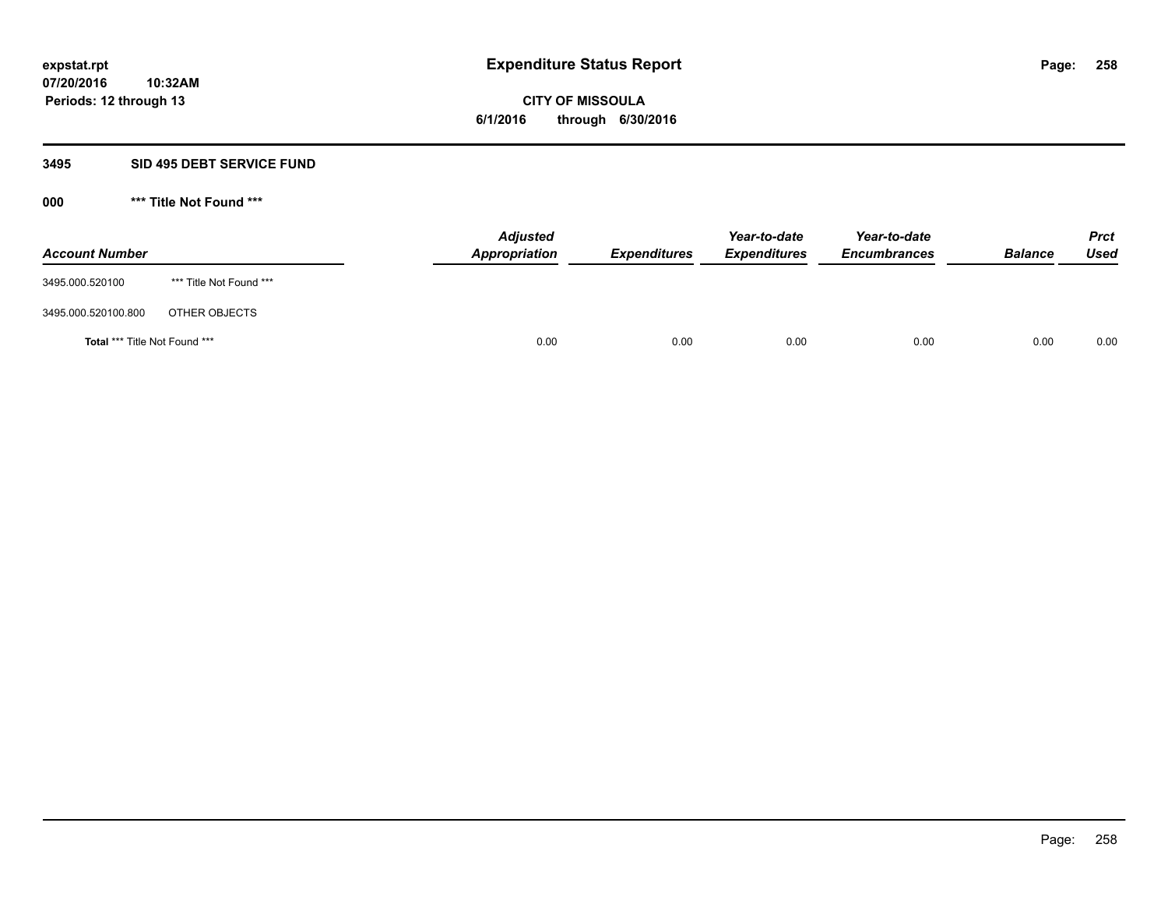**Periods: 12 through 13**

**CITY OF MISSOULA 6/1/2016 through 6/30/2016**

#### **3495 SID 495 DEBT SERVICE FUND**

**10:32AM**

| <b>Account Number</b>                |                         | <b>Adjusted</b><br>Appropriation | <b>Expenditures</b> | Year-to-date<br><b>Expenditures</b> | Year-to-date<br><b>Encumbrances</b> | <b>Balance</b> | <b>Prct</b><br><b>Used</b> |
|--------------------------------------|-------------------------|----------------------------------|---------------------|-------------------------------------|-------------------------------------|----------------|----------------------------|
| 3495.000.520100                      | *** Title Not Found *** |                                  |                     |                                     |                                     |                |                            |
| 3495.000.520100.800                  | OTHER OBJECTS           |                                  |                     |                                     |                                     |                |                            |
| <b>Total *** Title Not Found ***</b> |                         | 0.00                             | 0.00                | 0.00                                | 0.00                                | 0.00           | 0.00                       |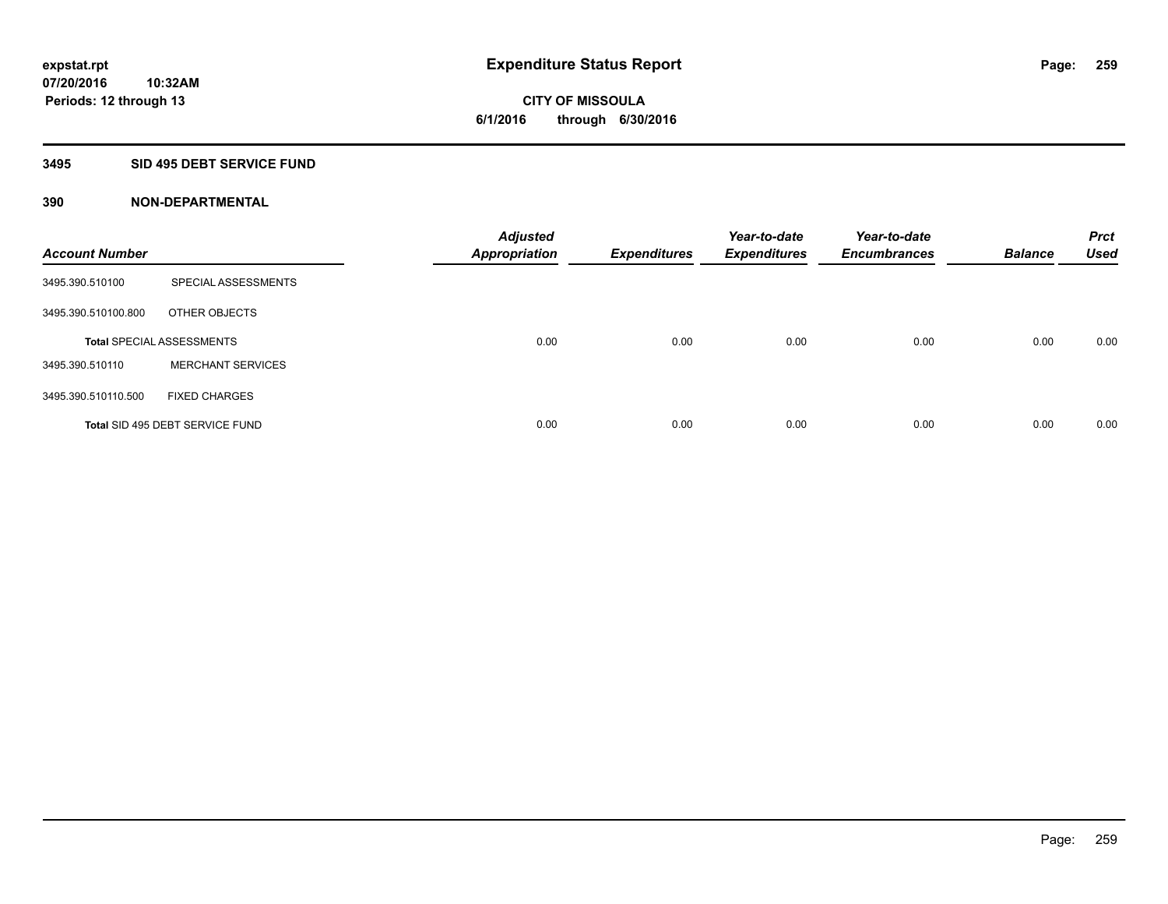# **3495 SID 495 DEBT SERVICE FUND**

| <b>Account Number</b> |                                  | <b>Adjusted</b><br><b>Appropriation</b> | <b>Expenditures</b> | Year-to-date<br><b>Expenditures</b> | Year-to-date<br><b>Encumbrances</b> | <b>Balance</b> | <b>Prct</b><br><b>Used</b> |
|-----------------------|----------------------------------|-----------------------------------------|---------------------|-------------------------------------|-------------------------------------|----------------|----------------------------|
| 3495.390.510100       | SPECIAL ASSESSMENTS              |                                         |                     |                                     |                                     |                |                            |
| 3495.390.510100.800   | OTHER OBJECTS                    |                                         |                     |                                     |                                     |                |                            |
|                       | <b>Total SPECIAL ASSESSMENTS</b> | 0.00                                    | 0.00                | 0.00                                | 0.00                                | 0.00           | 0.00                       |
| 3495.390.510110       | <b>MERCHANT SERVICES</b>         |                                         |                     |                                     |                                     |                |                            |
| 3495.390.510110.500   | <b>FIXED CHARGES</b>             |                                         |                     |                                     |                                     |                |                            |
|                       | Total SID 495 DEBT SERVICE FUND  | 0.00                                    | 0.00                | 0.00                                | 0.00                                | 0.00           | 0.00                       |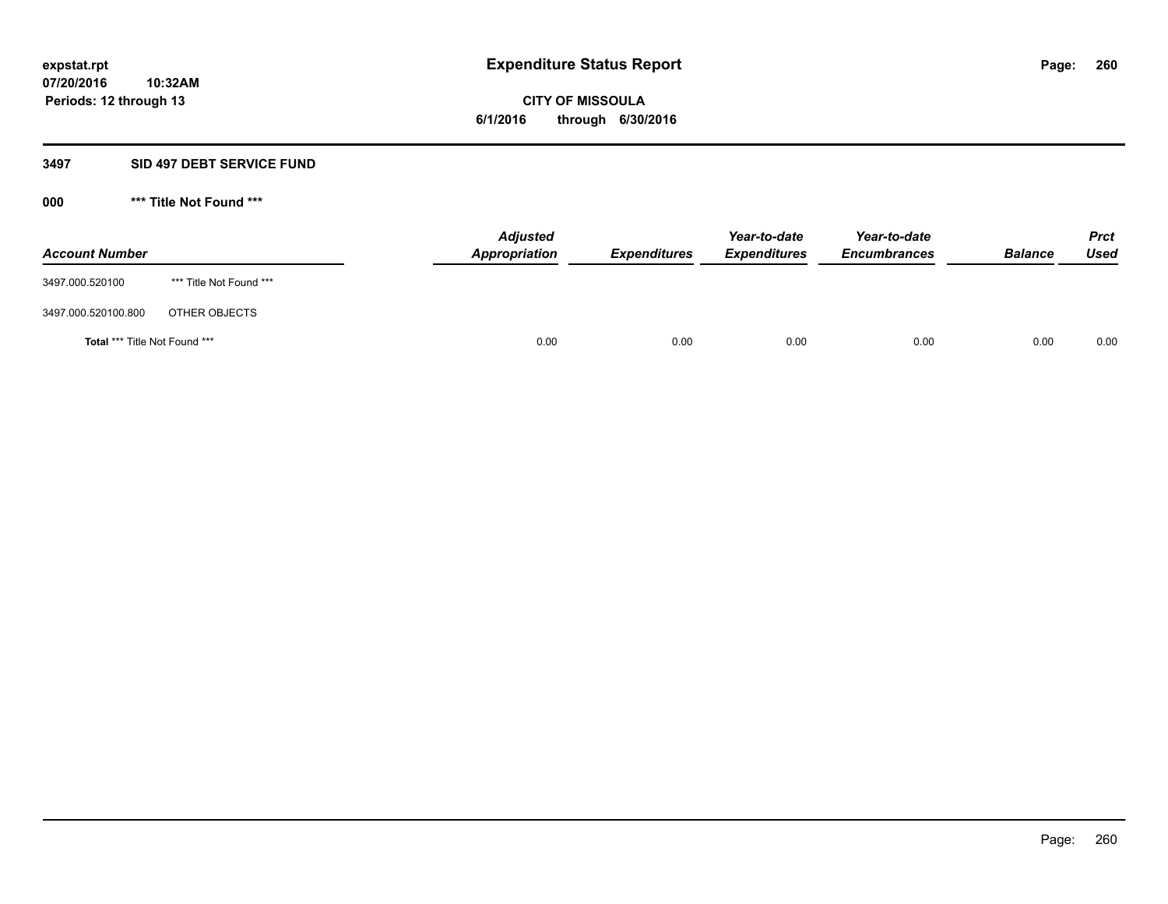**Periods: 12 through 13**

**CITY OF MISSOULA 6/1/2016 through 6/30/2016**

### **3497 SID 497 DEBT SERVICE FUND**

**10:32AM**

| <b>Account Number</b>         |                         | <b>Adjusted</b><br>Appropriation | <b>Expenditures</b> | Year-to-date<br><b>Expenditures</b> | Year-to-date<br><b>Encumbrances</b> | <b>Balance</b> | <b>Prct</b><br>Used |
|-------------------------------|-------------------------|----------------------------------|---------------------|-------------------------------------|-------------------------------------|----------------|---------------------|
| 3497.000.520100               | *** Title Not Found *** |                                  |                     |                                     |                                     |                |                     |
| 3497.000.520100.800           | OTHER OBJECTS           |                                  |                     |                                     |                                     |                |                     |
| Total *** Title Not Found *** |                         | 0.00                             | 0.00                | 0.00                                | 0.00                                | 0.00           | 0.00                |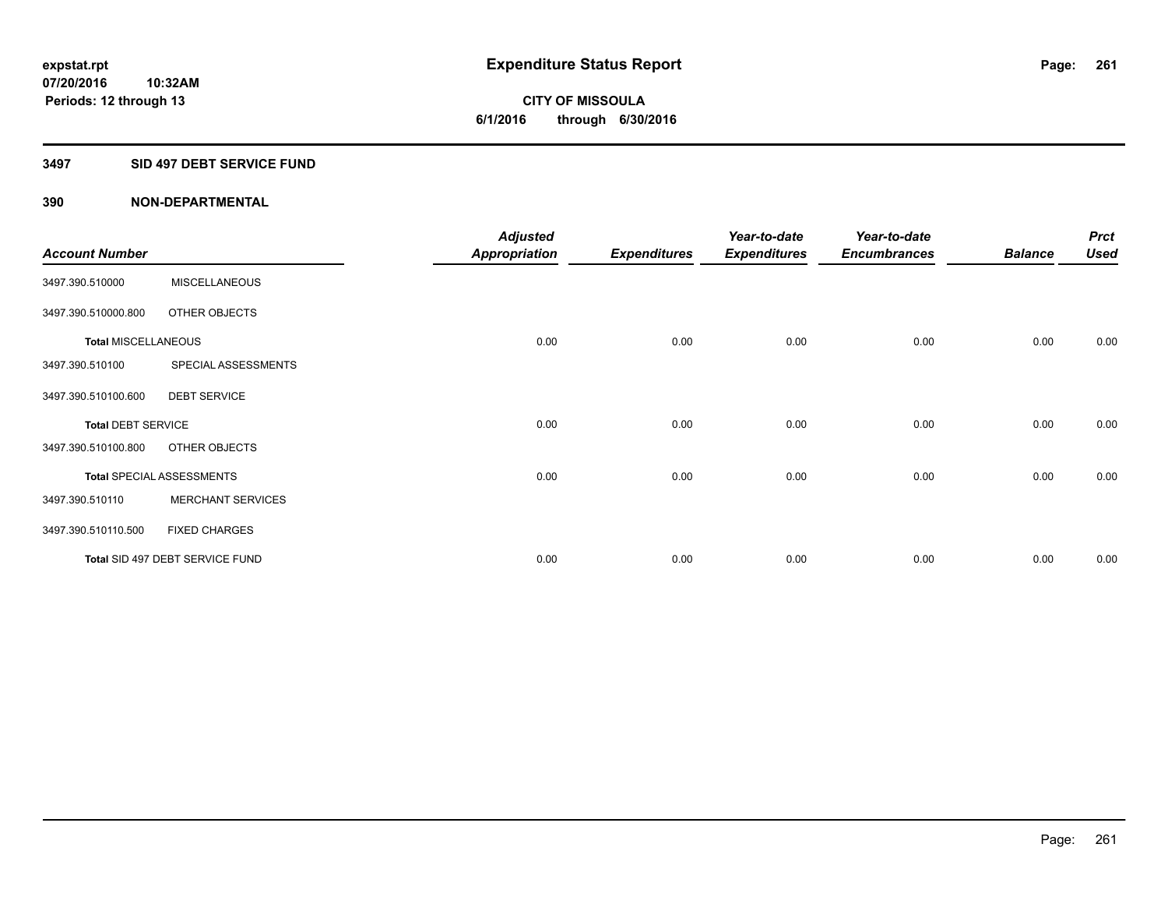# **3497 SID 497 DEBT SERVICE FUND**

|                            |                                  | <b>Adjusted</b> |                     | Year-to-date        | Year-to-date        |                | <b>Prct</b> |
|----------------------------|----------------------------------|-----------------|---------------------|---------------------|---------------------|----------------|-------------|
| <b>Account Number</b>      |                                  | Appropriation   | <b>Expenditures</b> | <b>Expenditures</b> | <b>Encumbrances</b> | <b>Balance</b> | <b>Used</b> |
| 3497.390.510000            | <b>MISCELLANEOUS</b>             |                 |                     |                     |                     |                |             |
| 3497.390.510000.800        | OTHER OBJECTS                    |                 |                     |                     |                     |                |             |
| <b>Total MISCELLANEOUS</b> |                                  | 0.00            | 0.00                | 0.00                | 0.00                | 0.00           | 0.00        |
| 3497.390.510100            | SPECIAL ASSESSMENTS              |                 |                     |                     |                     |                |             |
| 3497.390.510100.600        | <b>DEBT SERVICE</b>              |                 |                     |                     |                     |                |             |
| <b>Total DEBT SERVICE</b>  |                                  | 0.00            | 0.00                | 0.00                | 0.00                | 0.00           | 0.00        |
| 3497.390.510100.800        | OTHER OBJECTS                    |                 |                     |                     |                     |                |             |
|                            | <b>Total SPECIAL ASSESSMENTS</b> | 0.00            | 0.00                | 0.00                | 0.00                | 0.00           | 0.00        |
| 3497.390.510110            | <b>MERCHANT SERVICES</b>         |                 |                     |                     |                     |                |             |
| 3497.390.510110.500        | <b>FIXED CHARGES</b>             |                 |                     |                     |                     |                |             |
|                            | Total SID 497 DEBT SERVICE FUND  | 0.00            | 0.00                | 0.00                | 0.00                | 0.00           | 0.00        |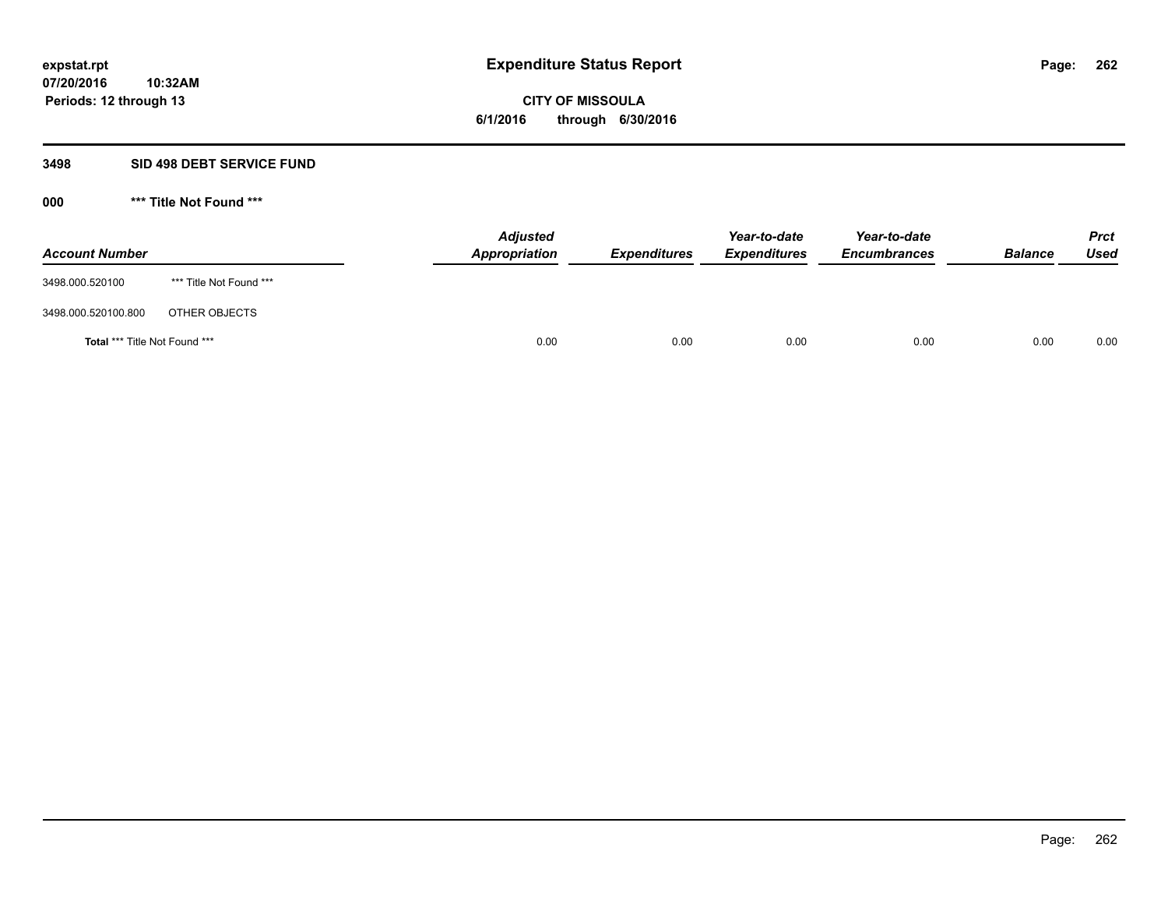**07/20/2016 10:32AM Periods: 12 through 13**

# **CITY OF MISSOULA 6/1/2016 through 6/30/2016**

# **3498 SID 498 DEBT SERVICE FUND**

| <b>Account Number</b>         |                         | <b>Adjusted</b><br>Appropriation | <b>Expenditures</b> | Year-to-date<br><b>Expenditures</b> | Year-to-date<br><b>Encumbrances</b> | <b>Balance</b> | <b>Prct</b><br><b>Used</b> |
|-------------------------------|-------------------------|----------------------------------|---------------------|-------------------------------------|-------------------------------------|----------------|----------------------------|
| 3498.000.520100               | *** Title Not Found *** |                                  |                     |                                     |                                     |                |                            |
| 3498.000.520100.800           | OTHER OBJECTS           |                                  |                     |                                     |                                     |                |                            |
| Total *** Title Not Found *** |                         | 0.00                             | 0.00                | 0.00                                | 0.00                                | 0.00           | 0.00                       |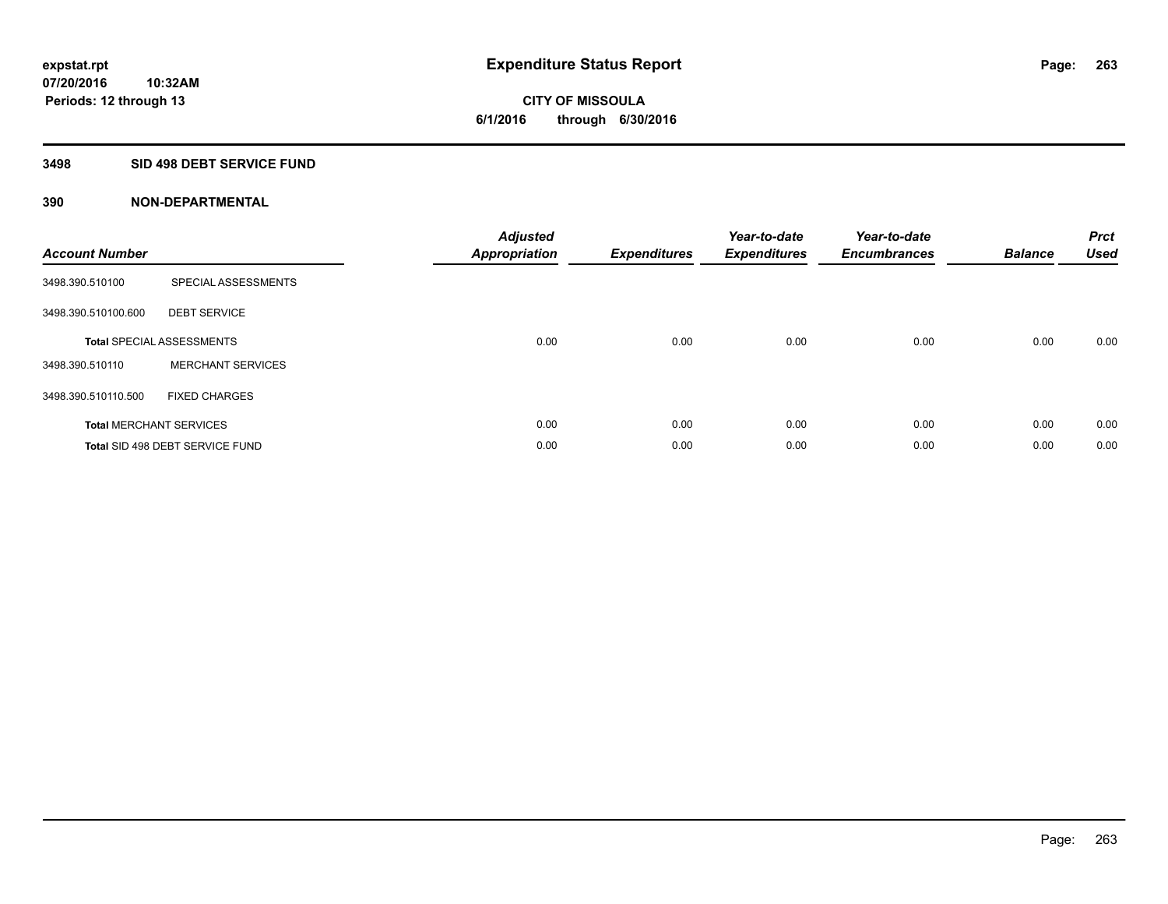# **3498 SID 498 DEBT SERVICE FUND**

| <b>Account Number</b> |                                  | <b>Adjusted</b><br>Appropriation | <b>Expenditures</b> | Year-to-date<br><b>Expenditures</b> | Year-to-date<br><b>Encumbrances</b> | <b>Balance</b> | <b>Prct</b><br><b>Used</b> |
|-----------------------|----------------------------------|----------------------------------|---------------------|-------------------------------------|-------------------------------------|----------------|----------------------------|
| 3498.390.510100       | SPECIAL ASSESSMENTS              |                                  |                     |                                     |                                     |                |                            |
| 3498.390.510100.600   | <b>DEBT SERVICE</b>              |                                  |                     |                                     |                                     |                |                            |
|                       | <b>Total SPECIAL ASSESSMENTS</b> | 0.00                             | 0.00                | 0.00                                | 0.00                                | 0.00           | 0.00                       |
| 3498.390.510110       | <b>MERCHANT SERVICES</b>         |                                  |                     |                                     |                                     |                |                            |
| 3498.390.510110.500   | <b>FIXED CHARGES</b>             |                                  |                     |                                     |                                     |                |                            |
|                       | <b>Total MERCHANT SERVICES</b>   | 0.00                             | 0.00                | 0.00                                | 0.00                                | 0.00           | 0.00                       |
|                       | Total SID 498 DEBT SERVICE FUND  | 0.00                             | 0.00                | 0.00                                | 0.00                                | 0.00           | 0.00                       |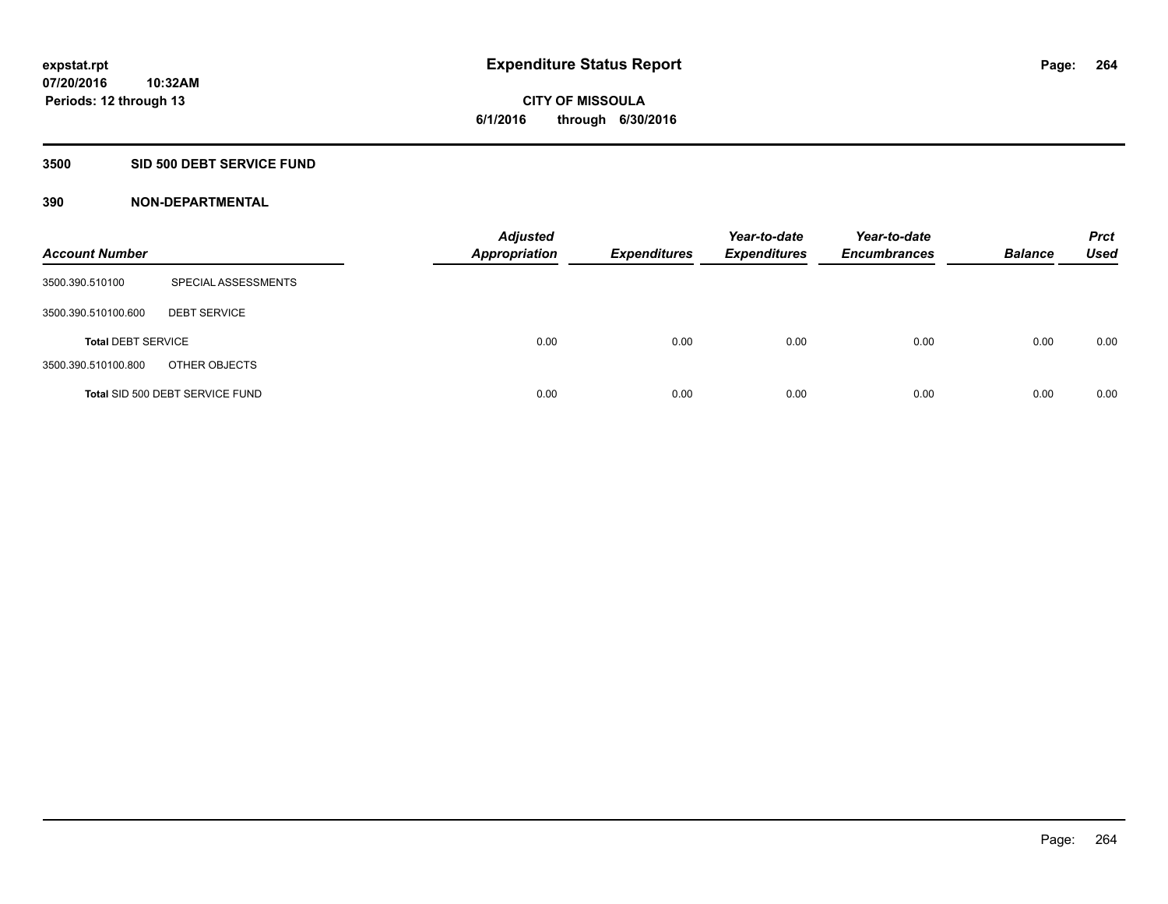# **3500 SID 500 DEBT SERVICE FUND**

| <b>Account Number</b>     |                                 | <b>Adjusted</b><br><b>Appropriation</b> | <b>Expenditures</b> | Year-to-date<br><b>Expenditures</b> | Year-to-date<br><b>Encumbrances</b> | <b>Balance</b> | <b>Prct</b><br><b>Used</b> |
|---------------------------|---------------------------------|-----------------------------------------|---------------------|-------------------------------------|-------------------------------------|----------------|----------------------------|
| 3500.390.510100           | SPECIAL ASSESSMENTS             |                                         |                     |                                     |                                     |                |                            |
| 3500.390.510100.600       | <b>DEBT SERVICE</b>             |                                         |                     |                                     |                                     |                |                            |
| <b>Total DEBT SERVICE</b> |                                 | 0.00                                    | 0.00                | 0.00                                | 0.00                                | 0.00           | 0.00                       |
| 3500.390.510100.800       | OTHER OBJECTS                   |                                         |                     |                                     |                                     |                |                            |
|                           | Total SID 500 DEBT SERVICE FUND | 0.00                                    | 0.00                | 0.00                                | 0.00                                | 0.00           | 0.00                       |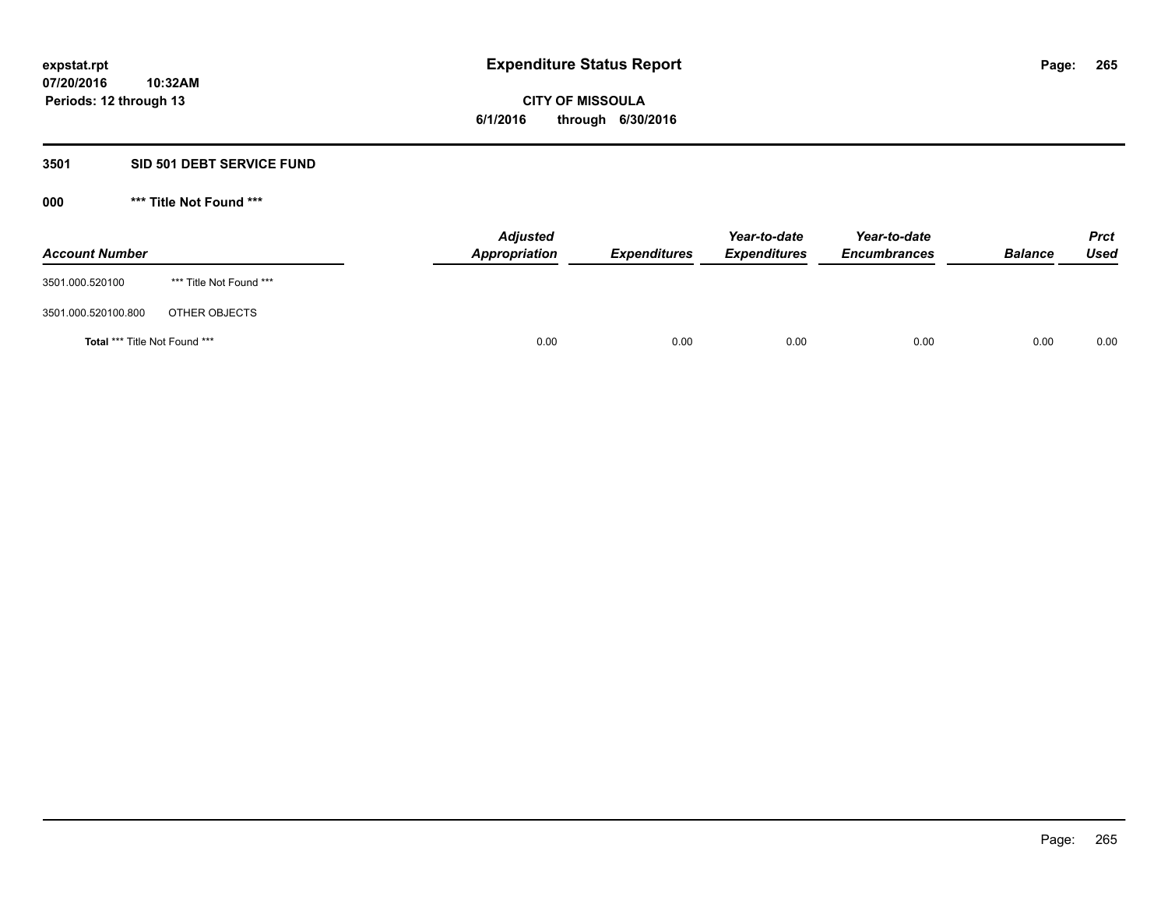## **3501 SID 501 DEBT SERVICE FUND**

| <b>Account Number</b>         |                         | <b>Adjusted</b><br>Appropriation | <b>Expenditures</b> | Year-to-date<br><b>Expenditures</b> | Year-to-date<br><b>Encumbrances</b> | <b>Balance</b> | <b>Prct</b><br>Used |
|-------------------------------|-------------------------|----------------------------------|---------------------|-------------------------------------|-------------------------------------|----------------|---------------------|
| 3501.000.520100               | *** Title Not Found *** |                                  |                     |                                     |                                     |                |                     |
| 3501.000.520100.800           | OTHER OBJECTS           |                                  |                     |                                     |                                     |                |                     |
| Total *** Title Not Found *** |                         | 0.00                             | 0.00                | 0.00                                | 0.00                                | 0.00           | 0.00                |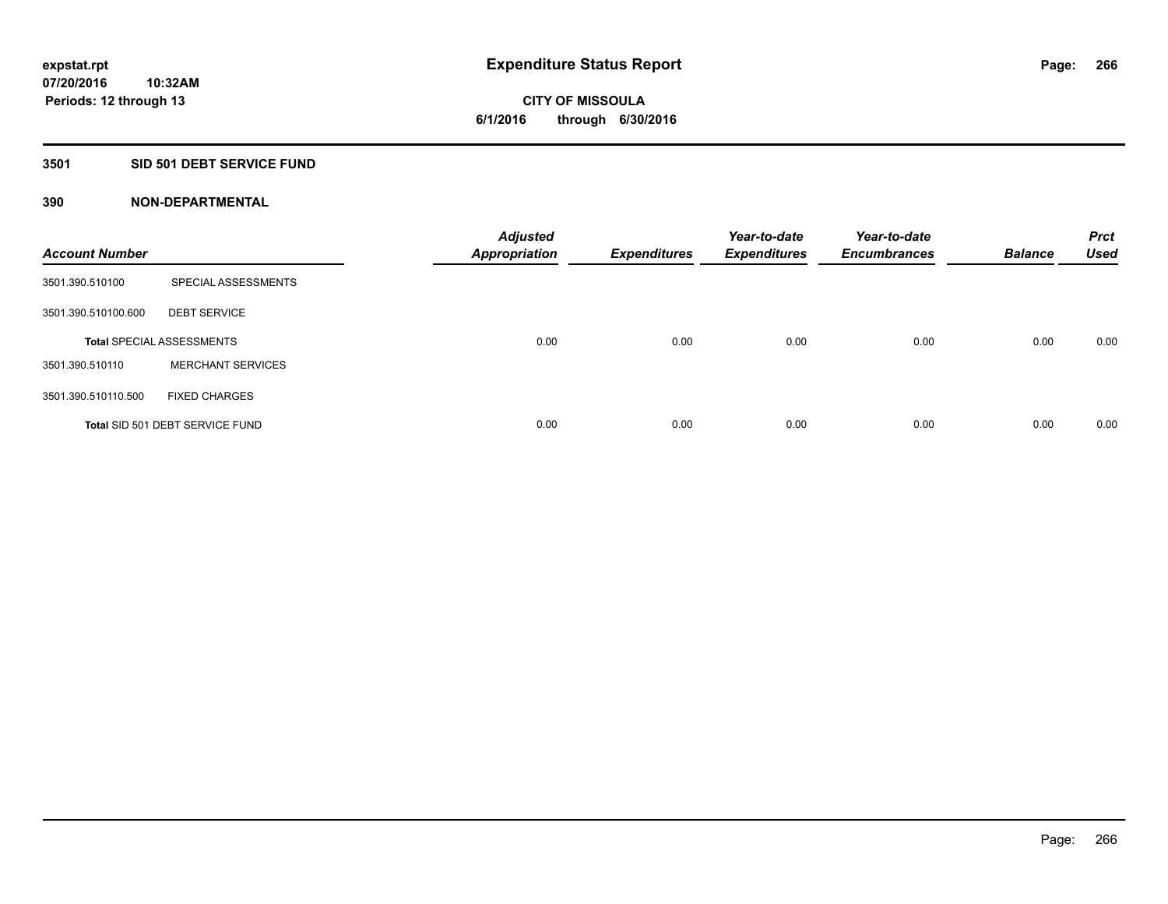# **3501 SID 501 DEBT SERVICE FUND**

| <b>Account Number</b> |                                  | <b>Adjusted</b><br><b>Appropriation</b> | <b>Expenditures</b> | Year-to-date<br><b>Expenditures</b> | Year-to-date<br><b>Encumbrances</b> | <b>Balance</b> | <b>Prct</b><br><b>Used</b> |
|-----------------------|----------------------------------|-----------------------------------------|---------------------|-------------------------------------|-------------------------------------|----------------|----------------------------|
| 3501.390.510100       | SPECIAL ASSESSMENTS              |                                         |                     |                                     |                                     |                |                            |
| 3501.390.510100.600   | <b>DEBT SERVICE</b>              |                                         |                     |                                     |                                     |                |                            |
|                       | <b>Total SPECIAL ASSESSMENTS</b> | 0.00                                    | 0.00                | 0.00                                | 0.00                                | 0.00           | 0.00                       |
| 3501.390.510110       | <b>MERCHANT SERVICES</b>         |                                         |                     |                                     |                                     |                |                            |
| 3501.390.510110.500   | <b>FIXED CHARGES</b>             |                                         |                     |                                     |                                     |                |                            |
|                       | Total SID 501 DEBT SERVICE FUND  | 0.00                                    | 0.00                | 0.00                                | 0.00                                | 0.00           | 0.00                       |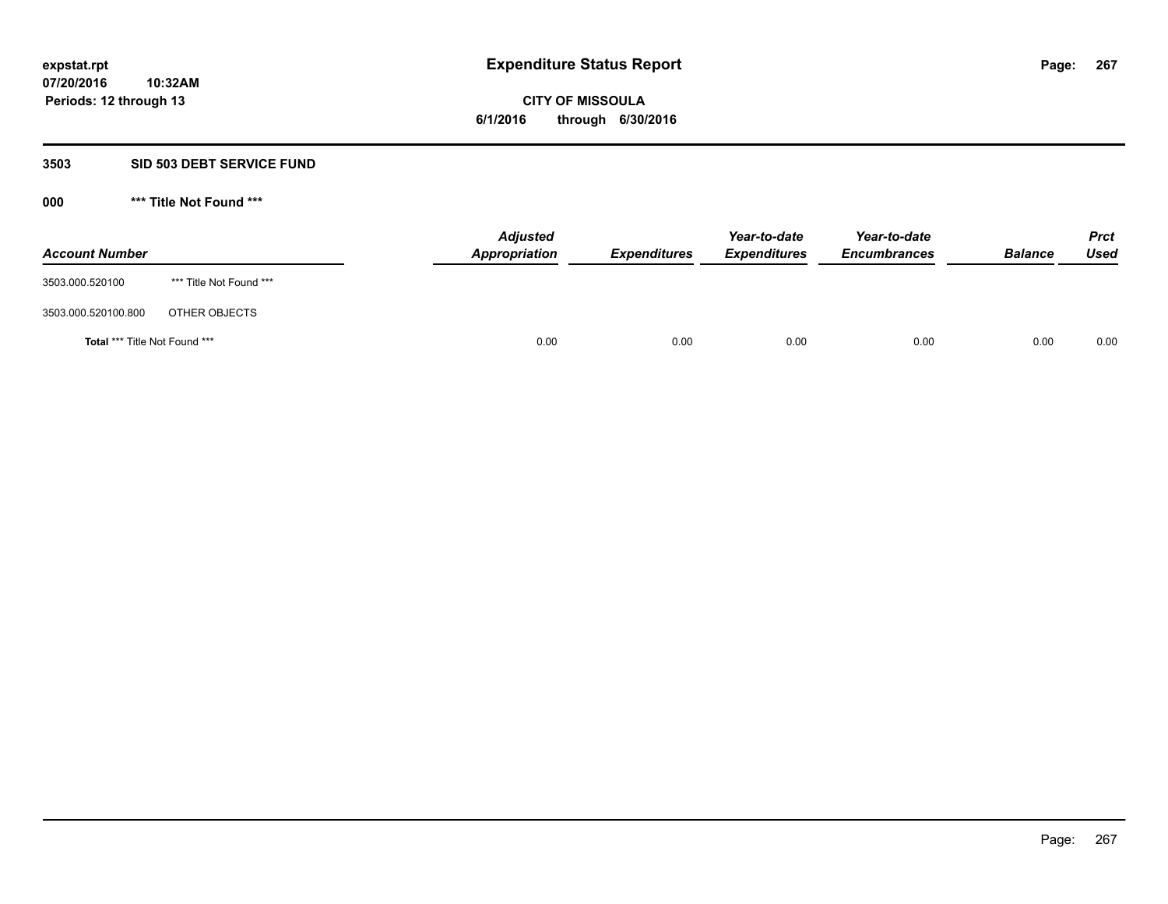**Periods: 12 through 13**

**CITY OF MISSOULA 6/1/2016 through 6/30/2016**

### **3503 SID 503 DEBT SERVICE FUND**

| <b>Account Number</b>         |                         | <b>Adjusted</b><br>Appropriation | <b>Expenditures</b> | Year-to-date<br><b>Expenditures</b> | Year-to-date<br><b>Encumbrances</b> | <b>Balance</b> | <b>Prct</b><br>Used |
|-------------------------------|-------------------------|----------------------------------|---------------------|-------------------------------------|-------------------------------------|----------------|---------------------|
| 3503.000.520100               | *** Title Not Found *** |                                  |                     |                                     |                                     |                |                     |
| 3503.000.520100.800           | OTHER OBJECTS           |                                  |                     |                                     |                                     |                |                     |
| Total *** Title Not Found *** |                         | 0.00                             | 0.00                | 0.00                                | 0.00                                | 0.00           | 0.00                |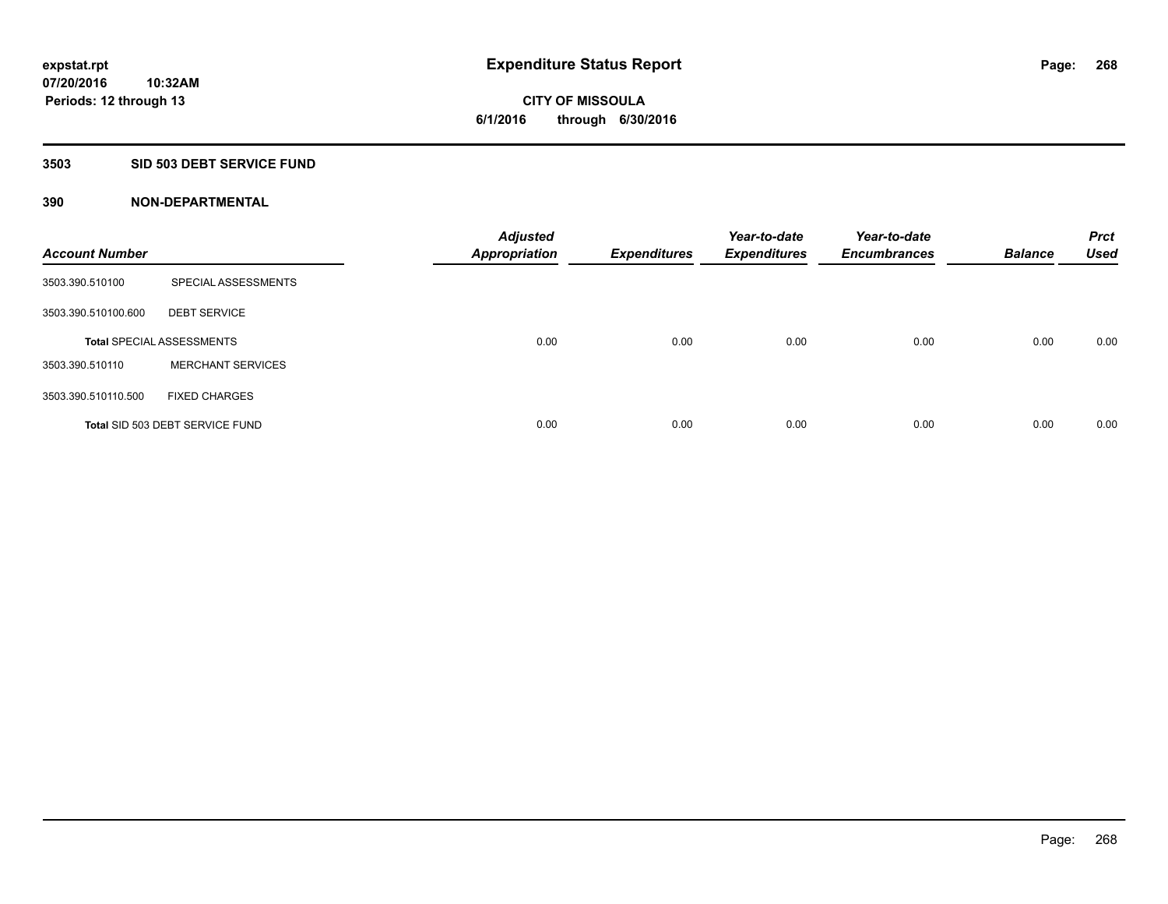## **3503 SID 503 DEBT SERVICE FUND**

| <b>Account Number</b> |                                  | <b>Adjusted</b><br><b>Appropriation</b> | <b>Expenditures</b> | Year-to-date<br><b>Expenditures</b> | Year-to-date<br><b>Encumbrances</b> | <b>Balance</b> | <b>Prct</b><br><b>Used</b> |
|-----------------------|----------------------------------|-----------------------------------------|---------------------|-------------------------------------|-------------------------------------|----------------|----------------------------|
| 3503.390.510100       | SPECIAL ASSESSMENTS              |                                         |                     |                                     |                                     |                |                            |
| 3503.390.510100.600   | <b>DEBT SERVICE</b>              |                                         |                     |                                     |                                     |                |                            |
|                       | <b>Total SPECIAL ASSESSMENTS</b> | 0.00                                    | 0.00                | 0.00                                | 0.00                                | 0.00           | 0.00                       |
| 3503.390.510110       | <b>MERCHANT SERVICES</b>         |                                         |                     |                                     |                                     |                |                            |
| 3503.390.510110.500   | <b>FIXED CHARGES</b>             |                                         |                     |                                     |                                     |                |                            |
|                       | Total SID 503 DEBT SERVICE FUND  | 0.00                                    | 0.00                | 0.00                                | 0.00                                | 0.00           | 0.00                       |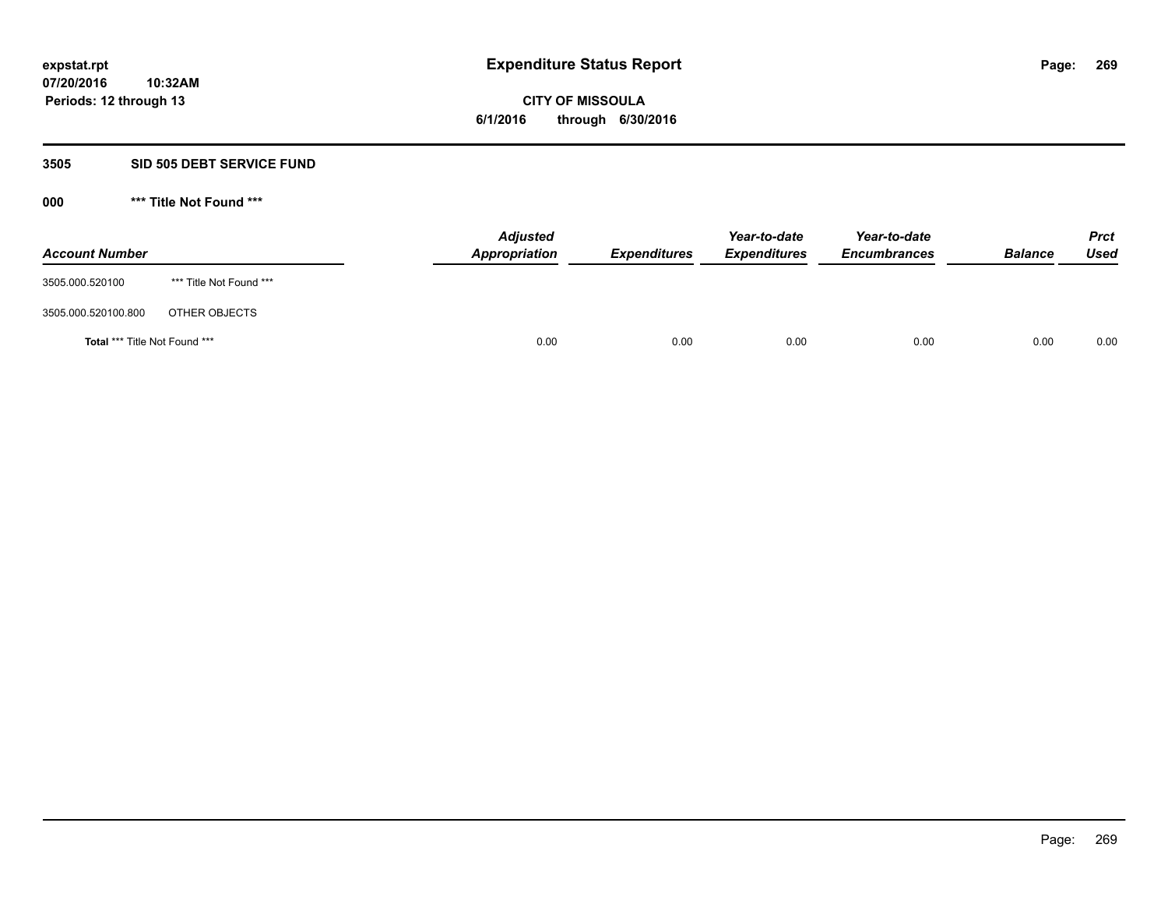**Periods: 12 through 13**

**CITY OF MISSOULA 6/1/2016 through 6/30/2016**

#### **3505 SID 505 DEBT SERVICE FUND**

**10:32AM**

| <b>Account Number</b>         |                         | <b>Adjusted</b><br>Appropriation | <b>Expenditures</b> | Year-to-date<br><b>Expenditures</b> | Year-to-date<br><b>Encumbrances</b> | <b>Balance</b> | <b>Prct</b><br><b>Used</b> |
|-------------------------------|-------------------------|----------------------------------|---------------------|-------------------------------------|-------------------------------------|----------------|----------------------------|
| 3505.000.520100               | *** Title Not Found *** |                                  |                     |                                     |                                     |                |                            |
| 3505.000.520100.800           | OTHER OBJECTS           |                                  |                     |                                     |                                     |                |                            |
| Total *** Title Not Found *** |                         | 0.00                             | 0.00                | 0.00                                | 0.00                                | 0.00           | 0.00                       |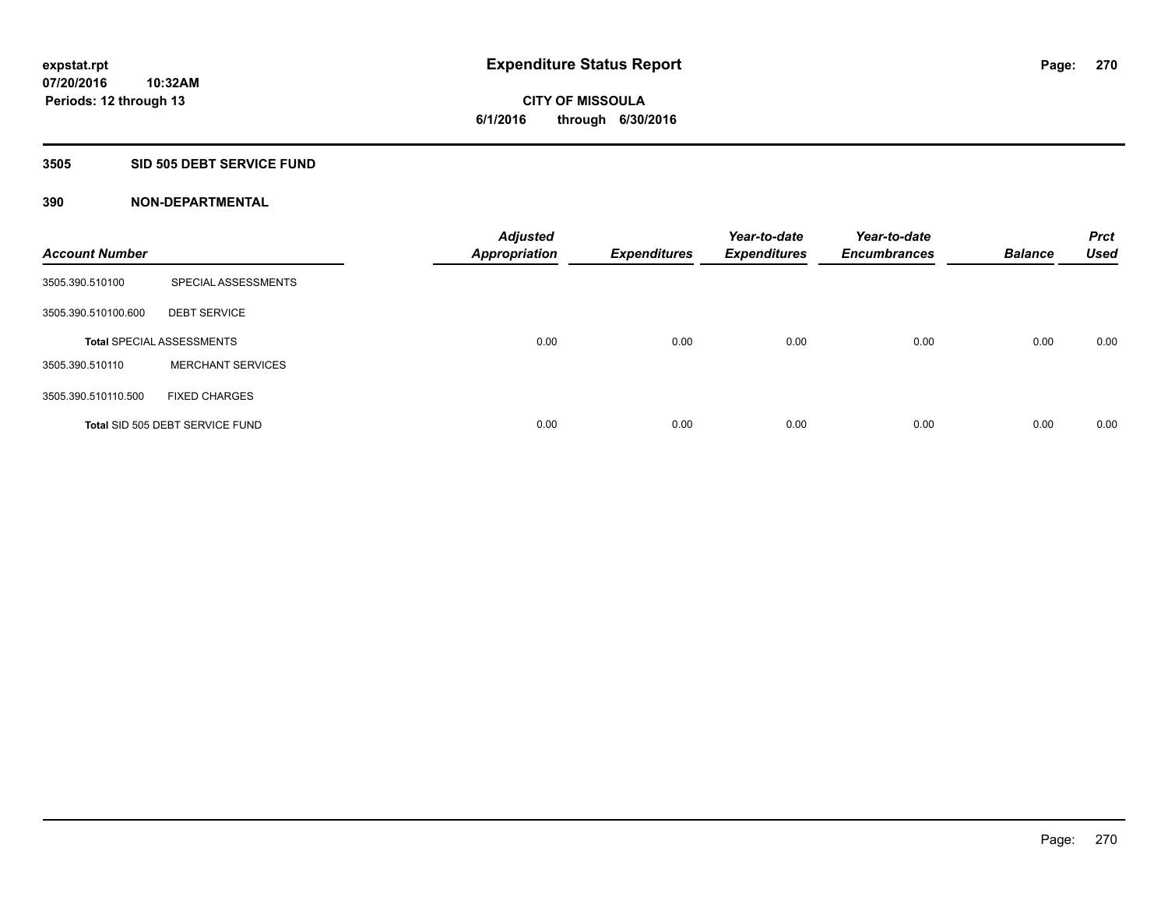## **3505 SID 505 DEBT SERVICE FUND**

| <b>Account Number</b> |                                  | <b>Adjusted</b><br><b>Appropriation</b> | <b>Expenditures</b> | Year-to-date<br><b>Expenditures</b> | Year-to-date<br><b>Encumbrances</b> | <b>Balance</b> | <b>Prct</b><br><b>Used</b> |
|-----------------------|----------------------------------|-----------------------------------------|---------------------|-------------------------------------|-------------------------------------|----------------|----------------------------|
| 3505.390.510100       | SPECIAL ASSESSMENTS              |                                         |                     |                                     |                                     |                |                            |
| 3505.390.510100.600   | <b>DEBT SERVICE</b>              |                                         |                     |                                     |                                     |                |                            |
|                       | <b>Total SPECIAL ASSESSMENTS</b> | 0.00                                    | 0.00                | 0.00                                | 0.00                                | 0.00           | 0.00                       |
| 3505.390.510110       | <b>MERCHANT SERVICES</b>         |                                         |                     |                                     |                                     |                |                            |
| 3505.390.510110.500   | <b>FIXED CHARGES</b>             |                                         |                     |                                     |                                     |                |                            |
|                       | Total SID 505 DEBT SERVICE FUND  | 0.00                                    | 0.00                | 0.00                                | 0.00                                | 0.00           | 0.00                       |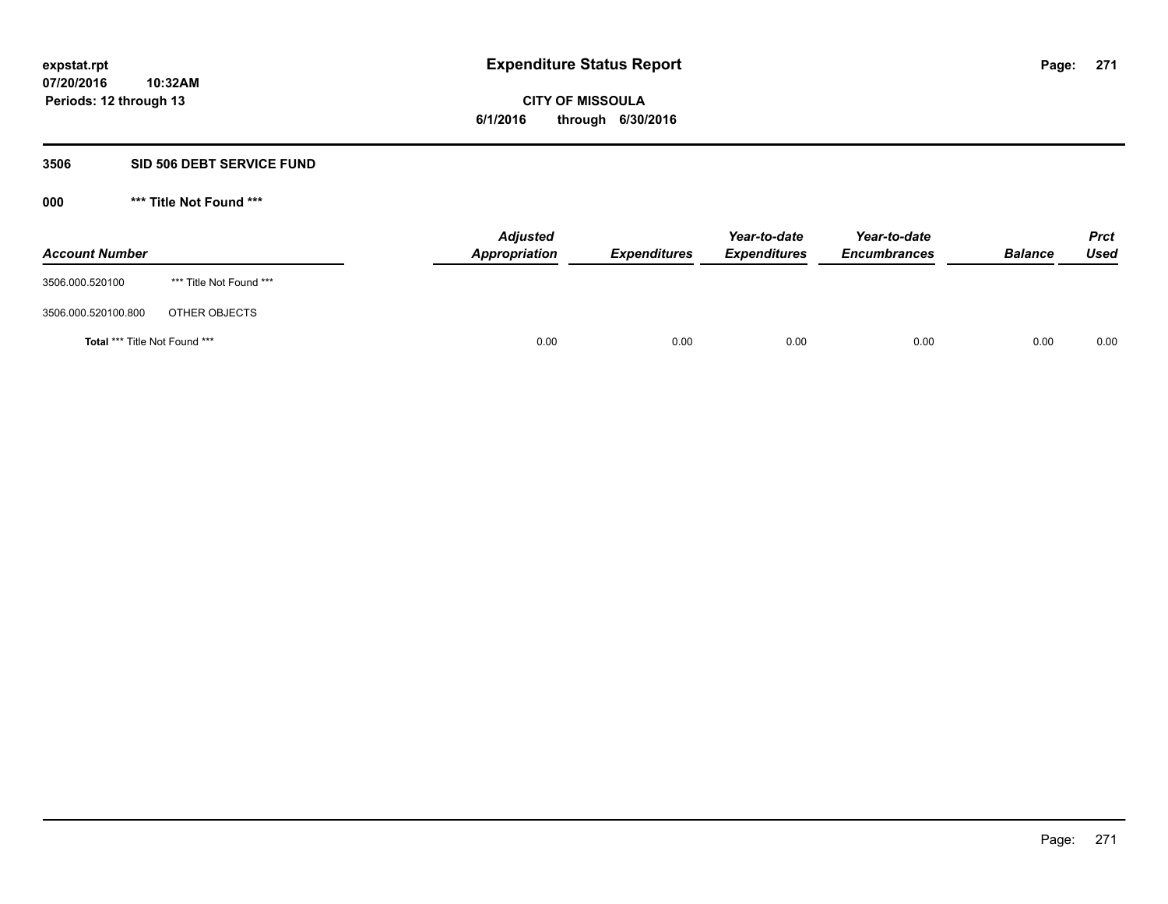**Periods: 12 through 13**

**CITY OF MISSOULA 6/1/2016 through 6/30/2016**

#### **3506 SID 506 DEBT SERVICE FUND**

**10:32AM**

| <b>Account Number</b>         |                         | <b>Adjusted</b><br>Appropriation | <b>Expenditures</b> | Year-to-date<br><b>Expenditures</b> | Year-to-date<br><b>Encumbrances</b> | <b>Balance</b> | <b>Prct</b><br>Used |
|-------------------------------|-------------------------|----------------------------------|---------------------|-------------------------------------|-------------------------------------|----------------|---------------------|
| 3506.000.520100               | *** Title Not Found *** |                                  |                     |                                     |                                     |                |                     |
| 3506.000.520100.800           | OTHER OBJECTS           |                                  |                     |                                     |                                     |                |                     |
| Total *** Title Not Found *** |                         | 0.00                             | 0.00                | 0.00                                | 0.00                                | 0.00           | 0.00                |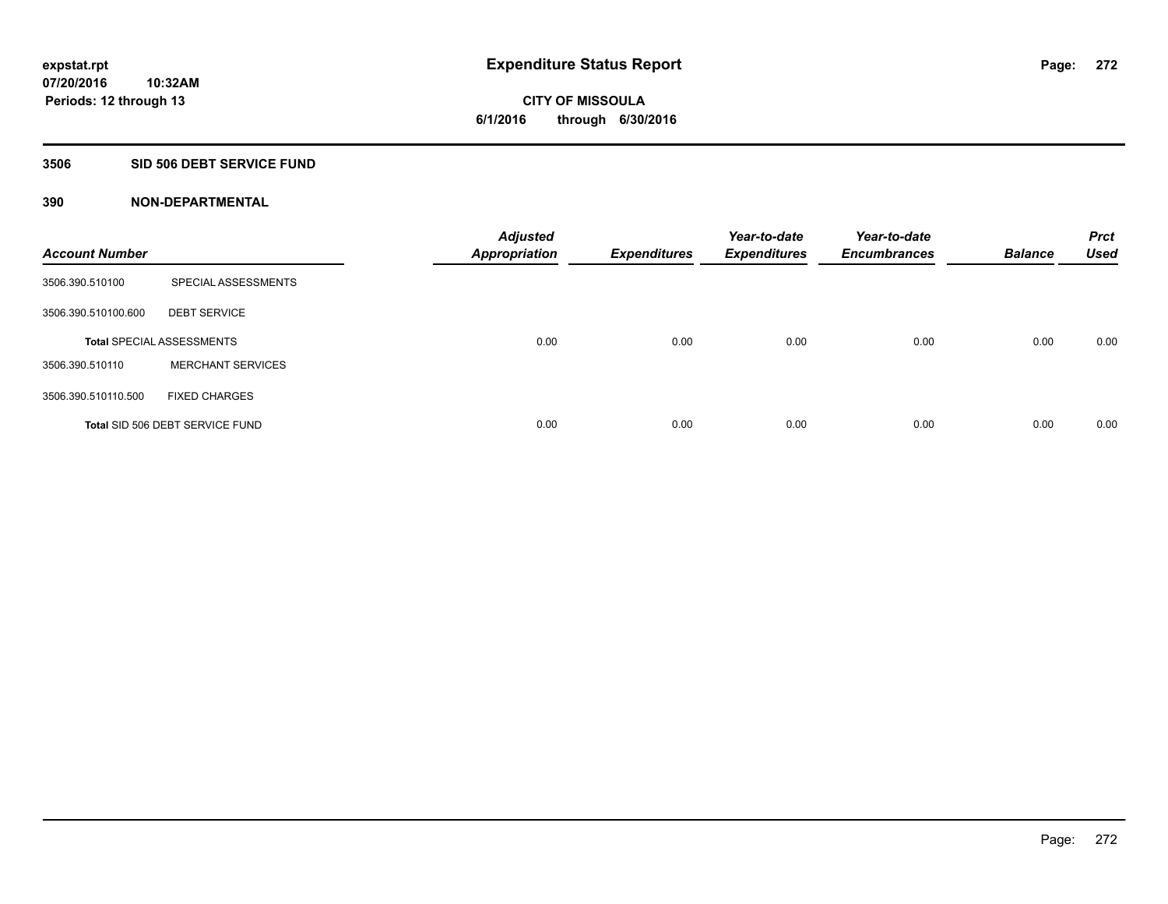### **3506 SID 506 DEBT SERVICE FUND**

| <b>Account Number</b> |                                  | <b>Adjusted</b><br><b>Appropriation</b> | <b>Expenditures</b> | Year-to-date<br><b>Expenditures</b> | Year-to-date<br><b>Encumbrances</b> | <b>Balance</b> | <b>Prct</b><br><b>Used</b> |
|-----------------------|----------------------------------|-----------------------------------------|---------------------|-------------------------------------|-------------------------------------|----------------|----------------------------|
| 3506.390.510100       | SPECIAL ASSESSMENTS              |                                         |                     |                                     |                                     |                |                            |
| 3506.390.510100.600   | <b>DEBT SERVICE</b>              |                                         |                     |                                     |                                     |                |                            |
|                       | <b>Total SPECIAL ASSESSMENTS</b> | 0.00                                    | 0.00                | 0.00                                | 0.00                                | 0.00           | 0.00                       |
| 3506.390.510110       | <b>MERCHANT SERVICES</b>         |                                         |                     |                                     |                                     |                |                            |
| 3506.390.510110.500   | <b>FIXED CHARGES</b>             |                                         |                     |                                     |                                     |                |                            |
|                       | Total SID 506 DEBT SERVICE FUND  | 0.00                                    | 0.00                | 0.00                                | 0.00                                | 0.00           | 0.00                       |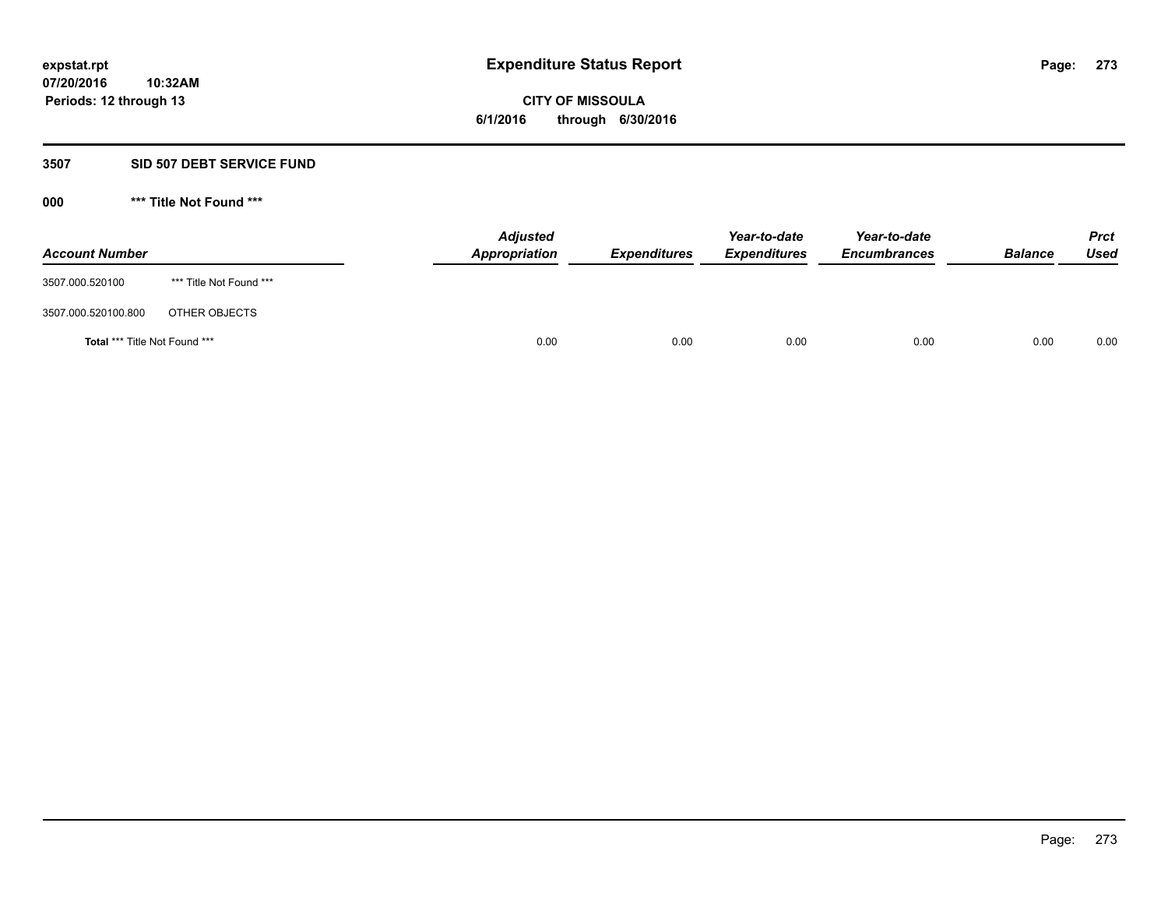**Periods: 12 through 13**

**CITY OF MISSOULA 6/1/2016 through 6/30/2016**

#### **3507 SID 507 DEBT SERVICE FUND**

| <b>Account Number</b>         |                         | <b>Adjusted</b><br>Appropriation | <b>Expenditures</b> | Year-to-date<br><b>Expenditures</b> | Year-to-date<br><b>Encumbrances</b> | <b>Balance</b> | <b>Prct</b><br>Used |
|-------------------------------|-------------------------|----------------------------------|---------------------|-------------------------------------|-------------------------------------|----------------|---------------------|
| 3507.000.520100               | *** Title Not Found *** |                                  |                     |                                     |                                     |                |                     |
| 3507.000.520100.800           | OTHER OBJECTS           |                                  |                     |                                     |                                     |                |                     |
| Total *** Title Not Found *** |                         | 0.00                             | 0.00                | 0.00                                | 0.00                                | 0.00           | 0.00                |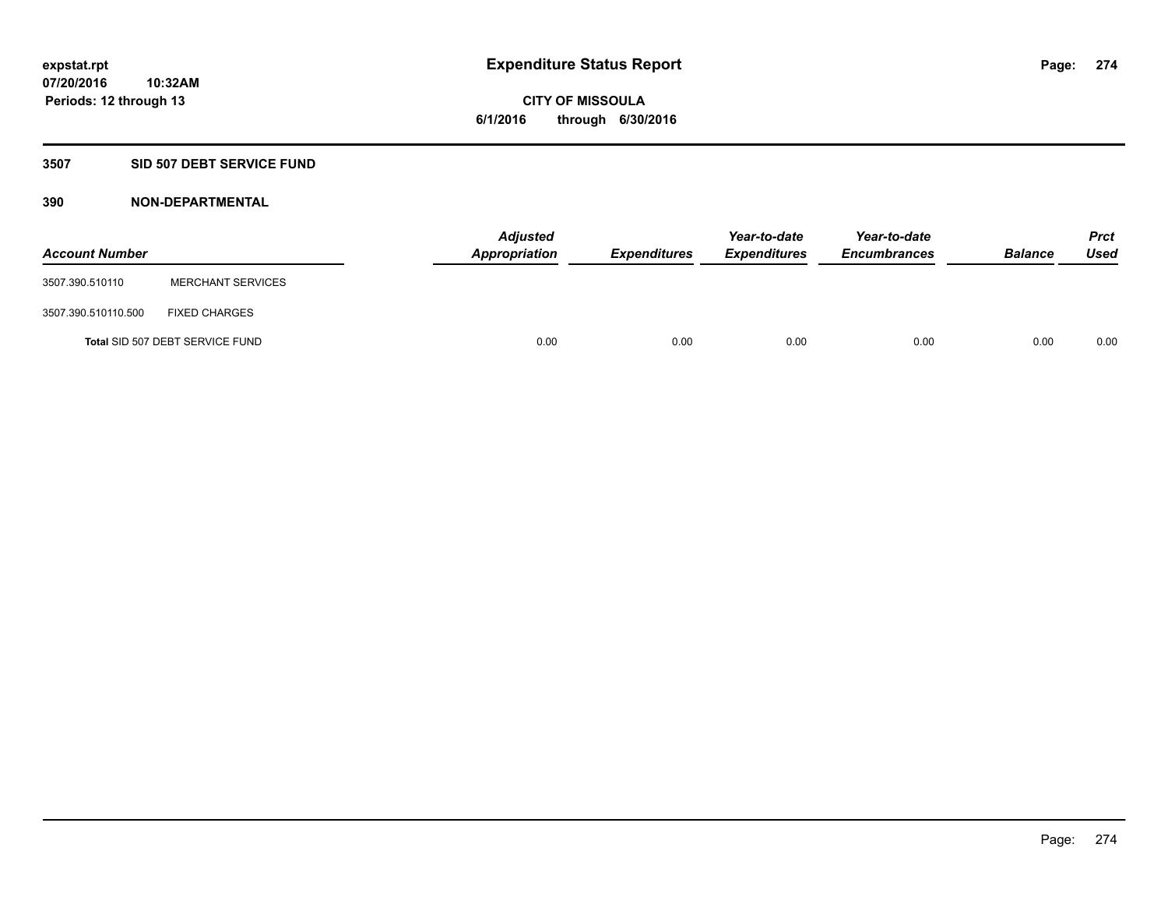# **3507 SID 507 DEBT SERVICE FUND**

| <b>Account Number</b> |                                 | <b>Adjusted</b><br><b>Appropriation</b> | <b>Expenditures</b> | Year-to-date<br><b>Expenditures</b> | Year-to-date<br><b>Encumbrances</b> | <b>Balance</b> | <b>Prct</b><br>Used |
|-----------------------|---------------------------------|-----------------------------------------|---------------------|-------------------------------------|-------------------------------------|----------------|---------------------|
| 3507.390.510110       | <b>MERCHANT SERVICES</b>        |                                         |                     |                                     |                                     |                |                     |
| 3507.390.510110.500   | <b>FIXED CHARGES</b>            |                                         |                     |                                     |                                     |                |                     |
|                       | Total SID 507 DEBT SERVICE FUND | 0.00                                    | 0.00                | 0.00                                | 0.00                                | 0.00           | 0.00                |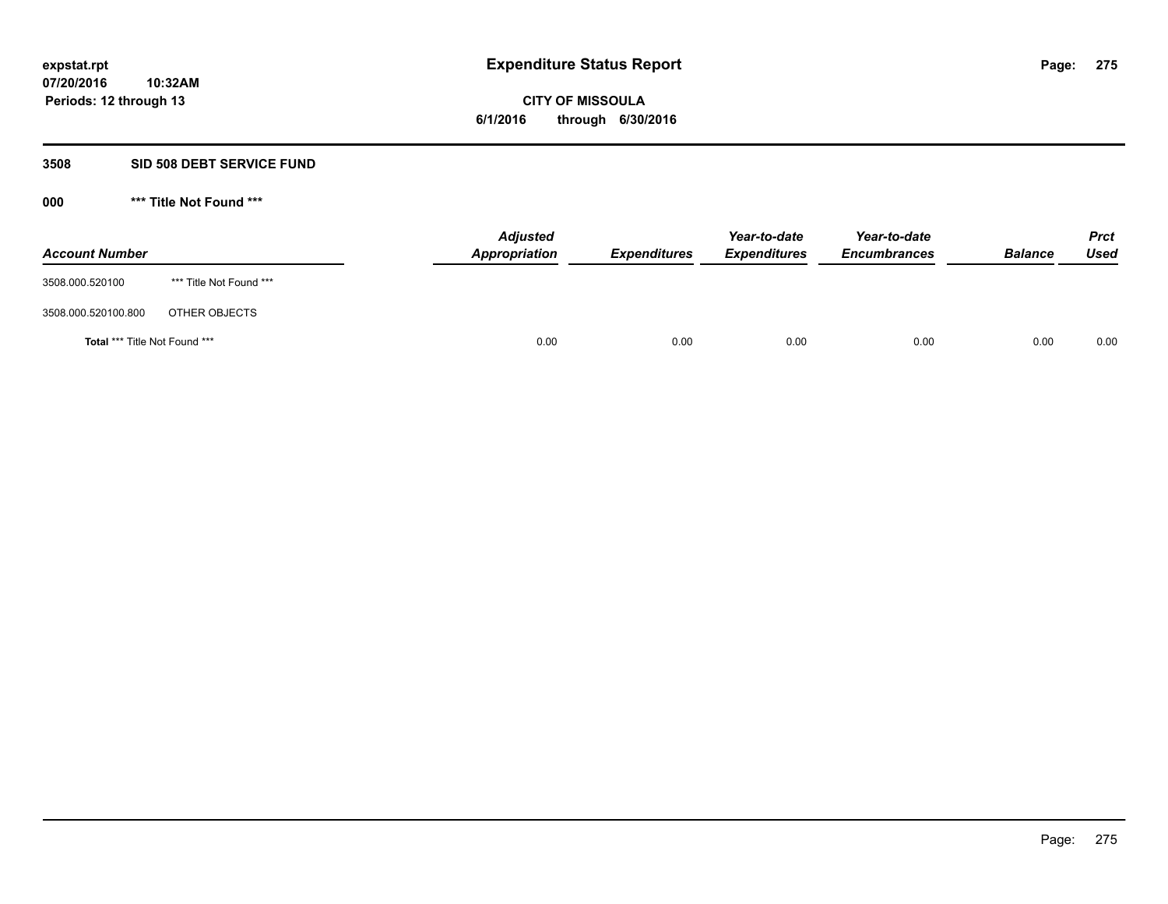**Periods: 12 through 13**

**CITY OF MISSOULA 6/1/2016 through 6/30/2016**

#### **3508 SID 508 DEBT SERVICE FUND**

| <b>Account Number</b>         |                         | <b>Adjusted</b><br>Appropriation | <b>Expenditures</b> | Year-to-date<br><b>Expenditures</b> | Year-to-date<br><b>Encumbrances</b> | <b>Balance</b> | <b>Prct</b><br>Used |
|-------------------------------|-------------------------|----------------------------------|---------------------|-------------------------------------|-------------------------------------|----------------|---------------------|
| 3508.000.520100               | *** Title Not Found *** |                                  |                     |                                     |                                     |                |                     |
| 3508.000.520100.800           | OTHER OBJECTS           |                                  |                     |                                     |                                     |                |                     |
| Total *** Title Not Found *** |                         | 0.00                             | 0.00                | 0.00                                | 0.00                                | 0.00           | 0.00                |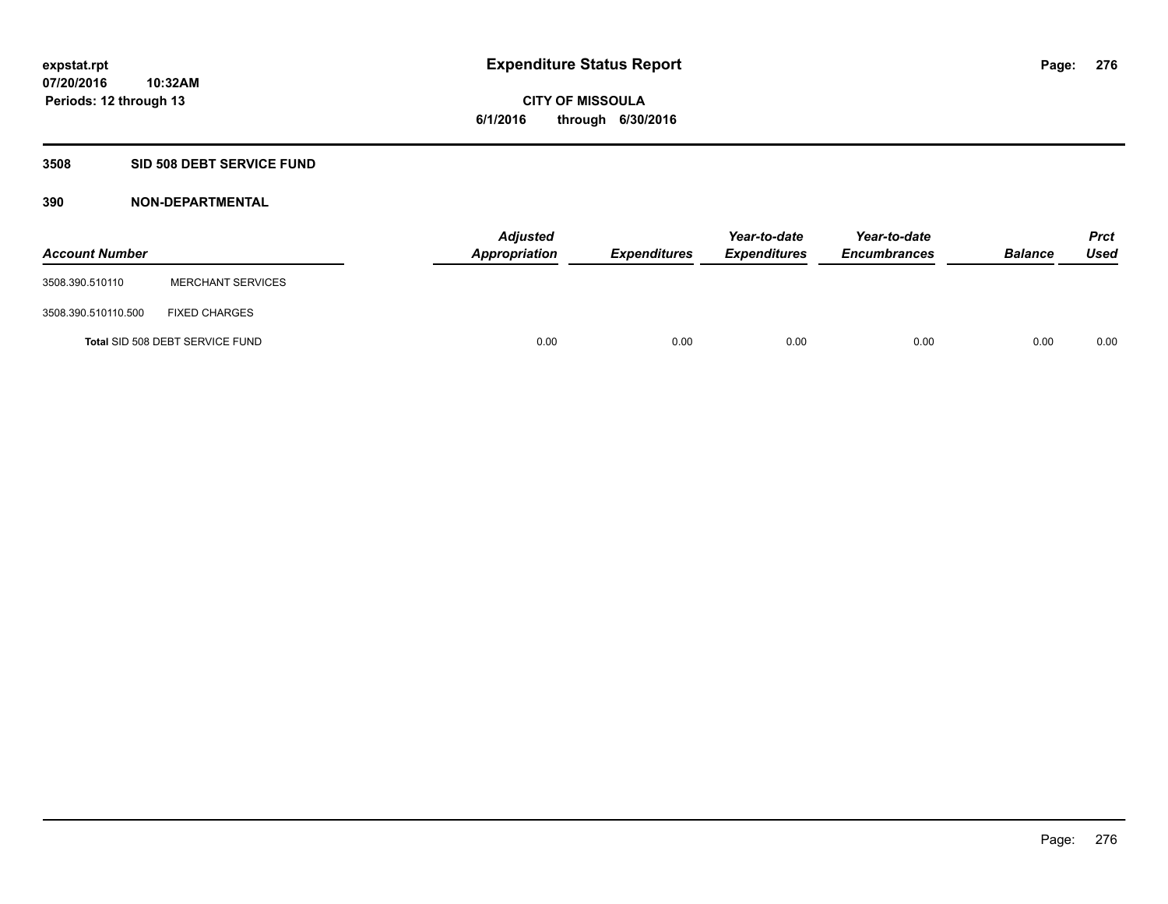# **3508 SID 508 DEBT SERVICE FUND**

| <b>Account Number</b> |                                 | <b>Adjusted</b><br>Appropriation | <b>Expenditures</b> | Year-to-date<br><b>Expenditures</b> | Year-to-date<br><b>Encumbrances</b> | <b>Balance</b> | <b>Prct</b><br><b>Used</b> |
|-----------------------|---------------------------------|----------------------------------|---------------------|-------------------------------------|-------------------------------------|----------------|----------------------------|
| 3508.390.510110       | <b>MERCHANT SERVICES</b>        |                                  |                     |                                     |                                     |                |                            |
| 3508.390.510110.500   | <b>FIXED CHARGES</b>            |                                  |                     |                                     |                                     |                |                            |
|                       | Total SID 508 DEBT SERVICE FUND | 0.00                             | 0.00                | 0.00                                | 0.00                                | 0.00           | 0.00                       |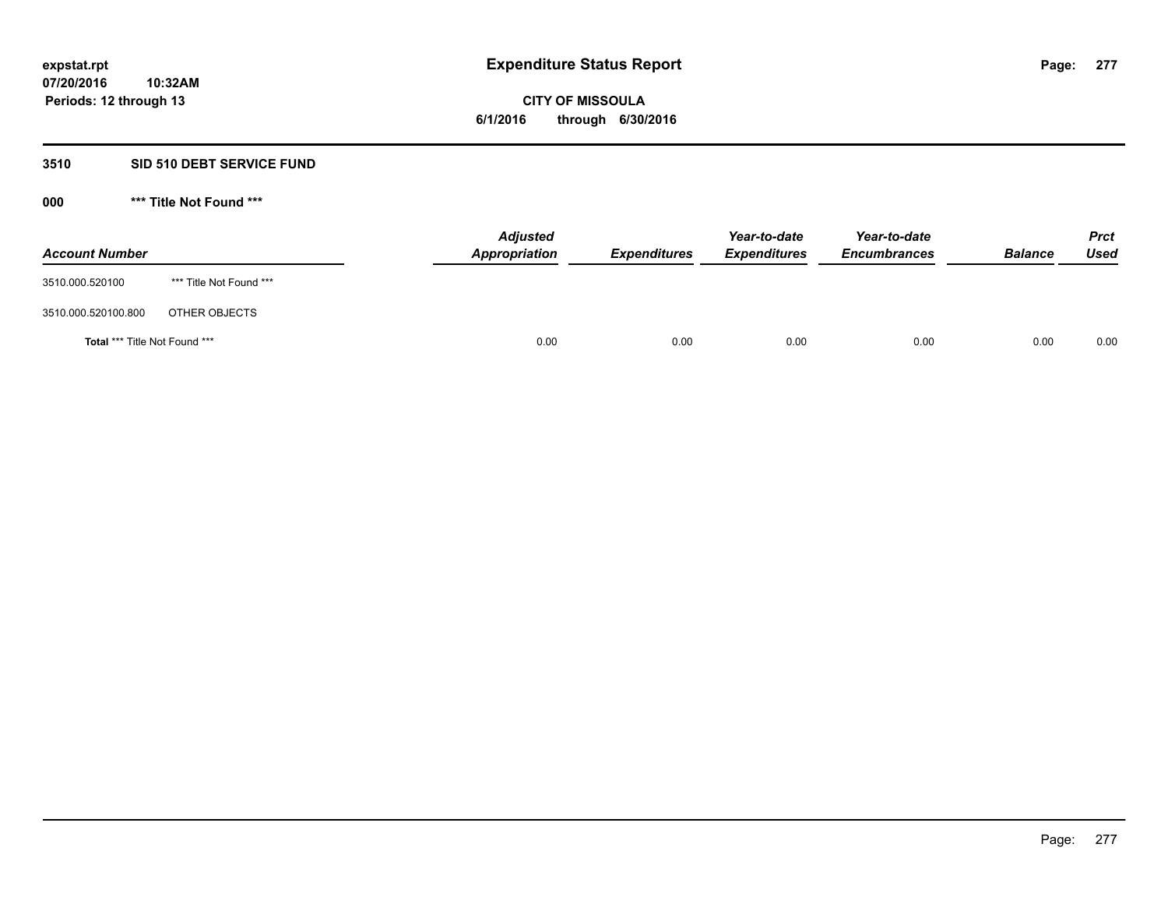# **3510 SID 510 DEBT SERVICE FUND**

| <b>Account Number</b>         |                         | <b>Adjusted</b><br>Appropriation | <b>Expenditures</b> | Year-to-date<br><b>Expenditures</b> | Year-to-date<br><b>Encumbrances</b> | <b>Balance</b> | <b>Prct</b><br><b>Used</b> |
|-------------------------------|-------------------------|----------------------------------|---------------------|-------------------------------------|-------------------------------------|----------------|----------------------------|
| 3510.000.520100               | *** Title Not Found *** |                                  |                     |                                     |                                     |                |                            |
| 3510.000.520100.800           | OTHER OBJECTS           |                                  |                     |                                     |                                     |                |                            |
| Total *** Title Not Found *** |                         | 0.00                             | 0.00                | 0.00                                | 0.00                                | 0.00           | 0.00                       |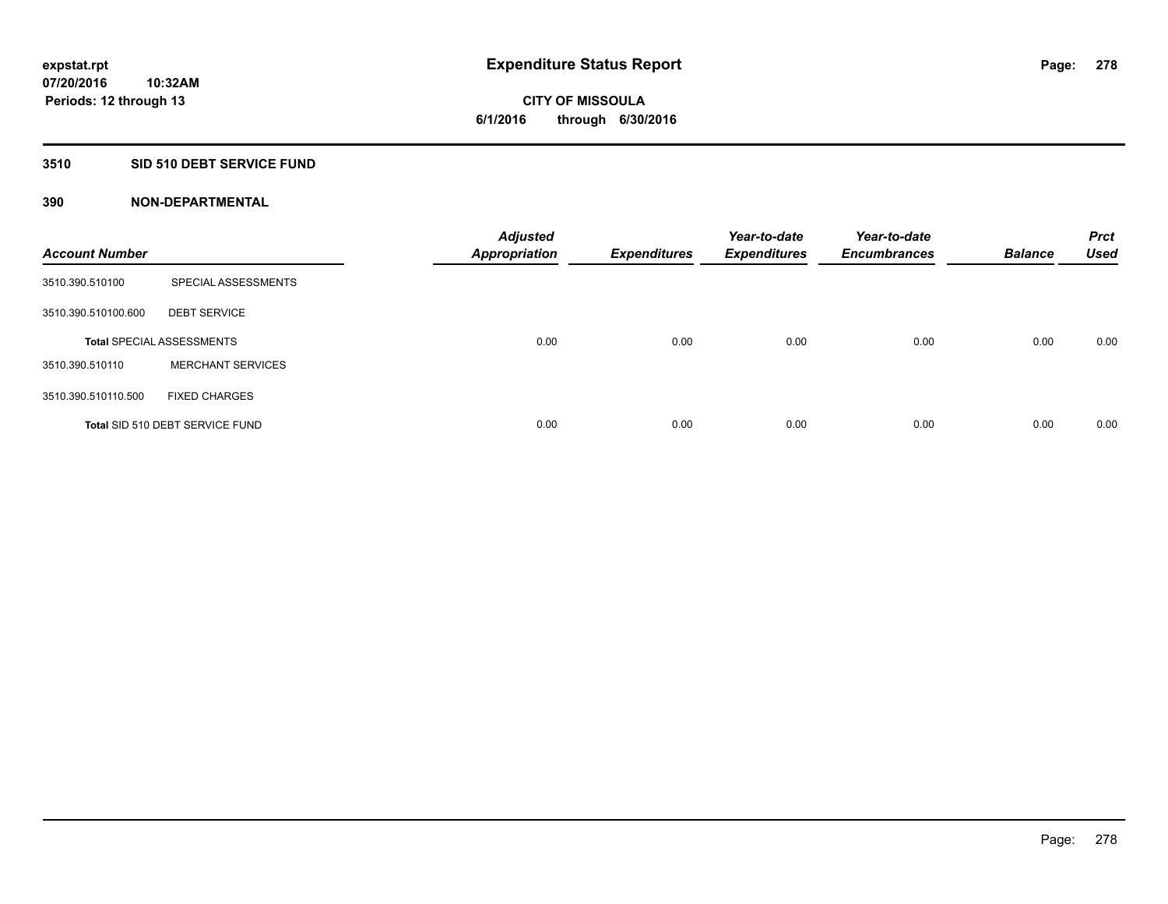## **3510 SID 510 DEBT SERVICE FUND**

| <b>Account Number</b> |                                  | <b>Adjusted</b><br><b>Appropriation</b> | <b>Expenditures</b> | Year-to-date<br><b>Expenditures</b> | Year-to-date<br><b>Encumbrances</b> | <b>Balance</b> | <b>Prct</b><br><b>Used</b> |
|-----------------------|----------------------------------|-----------------------------------------|---------------------|-------------------------------------|-------------------------------------|----------------|----------------------------|
| 3510.390.510100       | SPECIAL ASSESSMENTS              |                                         |                     |                                     |                                     |                |                            |
| 3510.390.510100.600   | <b>DEBT SERVICE</b>              |                                         |                     |                                     |                                     |                |                            |
|                       | <b>Total SPECIAL ASSESSMENTS</b> | 0.00                                    | 0.00                | 0.00                                | 0.00                                | 0.00           | 0.00                       |
| 3510.390.510110       | <b>MERCHANT SERVICES</b>         |                                         |                     |                                     |                                     |                |                            |
| 3510.390.510110.500   | <b>FIXED CHARGES</b>             |                                         |                     |                                     |                                     |                |                            |
|                       | Total SID 510 DEBT SERVICE FUND  | 0.00                                    | 0.00                | 0.00                                | 0.00                                | 0.00           | 0.00                       |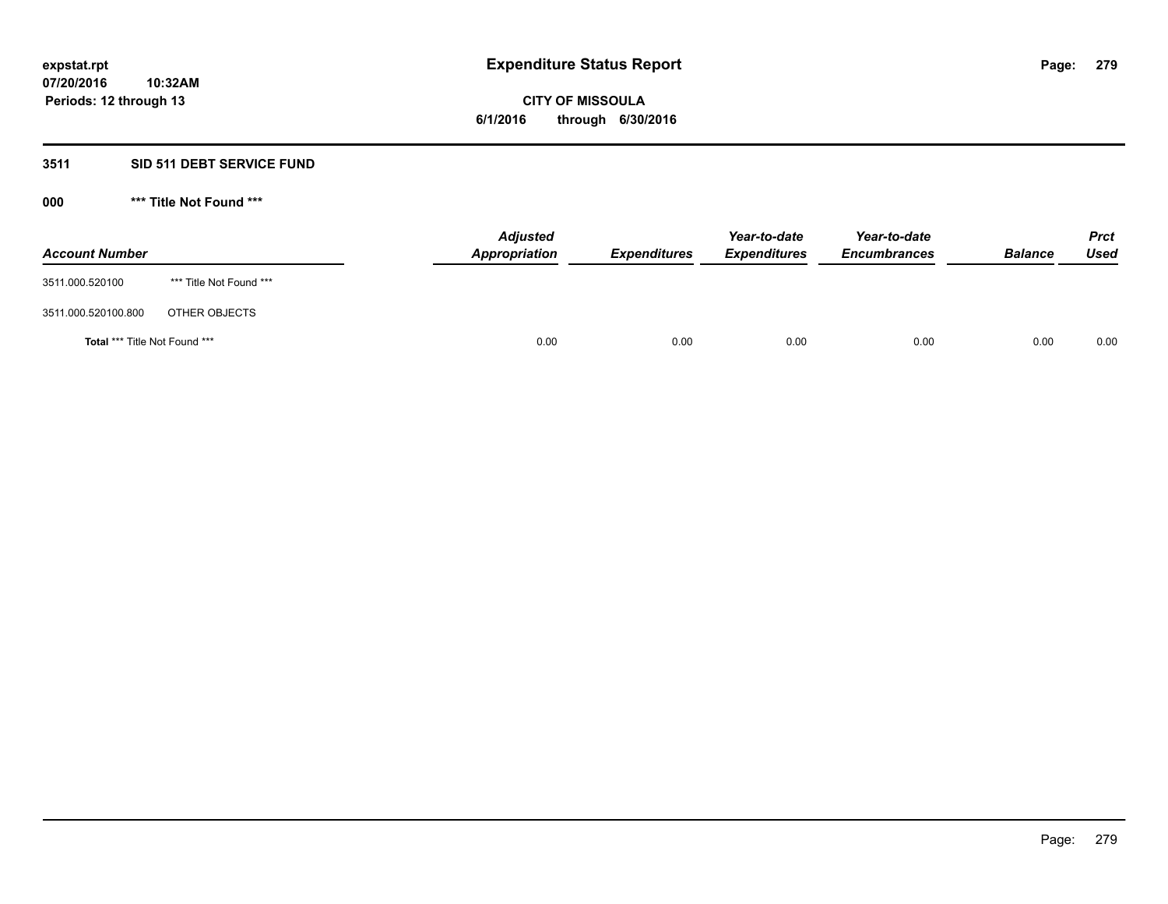# **3511 SID 511 DEBT SERVICE FUND**

| <b>Account Number</b>                |                         | <b>Adjusted</b><br>Appropriation | <b>Expenditures</b> | Year-to-date<br><b>Expenditures</b> | Year-to-date<br><b>Encumbrances</b> | <b>Balance</b> | <b>Prct</b><br><b>Used</b> |
|--------------------------------------|-------------------------|----------------------------------|---------------------|-------------------------------------|-------------------------------------|----------------|----------------------------|
| 3511.000.520100                      | *** Title Not Found *** |                                  |                     |                                     |                                     |                |                            |
| 3511.000.520100.800                  | OTHER OBJECTS           |                                  |                     |                                     |                                     |                |                            |
| <b>Total *** Title Not Found ***</b> |                         | 0.00                             | 0.00                | 0.00                                | 0.00                                | 0.00           | 0.00                       |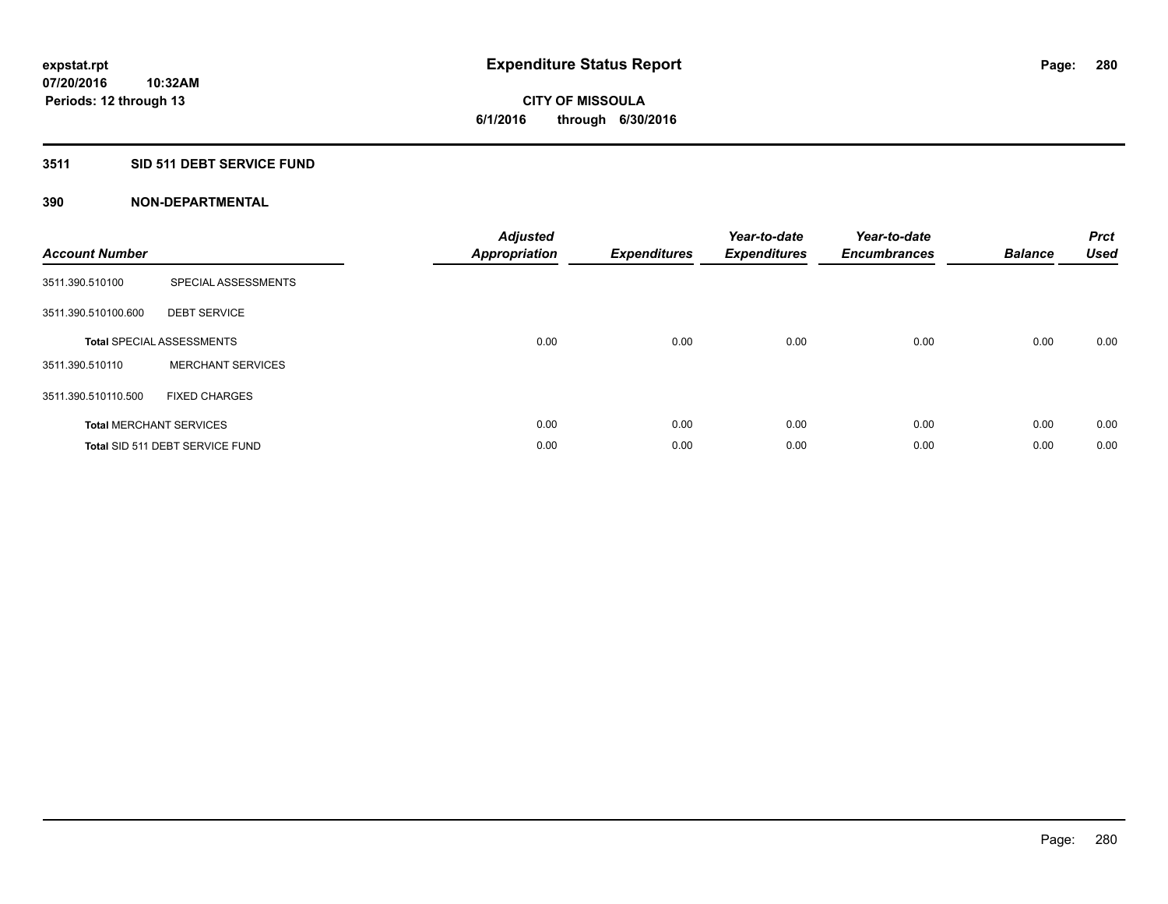# **3511 SID 511 DEBT SERVICE FUND**

| <b>Account Number</b> |                                  | <b>Adjusted</b><br>Appropriation | <b>Expenditures</b> | Year-to-date<br><b>Expenditures</b> | Year-to-date<br><b>Encumbrances</b> | <b>Balance</b> | <b>Prct</b><br><b>Used</b> |
|-----------------------|----------------------------------|----------------------------------|---------------------|-------------------------------------|-------------------------------------|----------------|----------------------------|
| 3511.390.510100       | SPECIAL ASSESSMENTS              |                                  |                     |                                     |                                     |                |                            |
| 3511.390.510100.600   | <b>DEBT SERVICE</b>              |                                  |                     |                                     |                                     |                |                            |
|                       | <b>Total SPECIAL ASSESSMENTS</b> | 0.00                             | 0.00                | 0.00                                | 0.00                                | 0.00           | 0.00                       |
| 3511.390.510110       | <b>MERCHANT SERVICES</b>         |                                  |                     |                                     |                                     |                |                            |
| 3511.390.510110.500   | <b>FIXED CHARGES</b>             |                                  |                     |                                     |                                     |                |                            |
|                       | <b>Total MERCHANT SERVICES</b>   | 0.00                             | 0.00                | 0.00                                | 0.00                                | 0.00           | 0.00                       |
|                       | Total SID 511 DEBT SERVICE FUND  | 0.00                             | 0.00                | 0.00                                | 0.00                                | 0.00           | 0.00                       |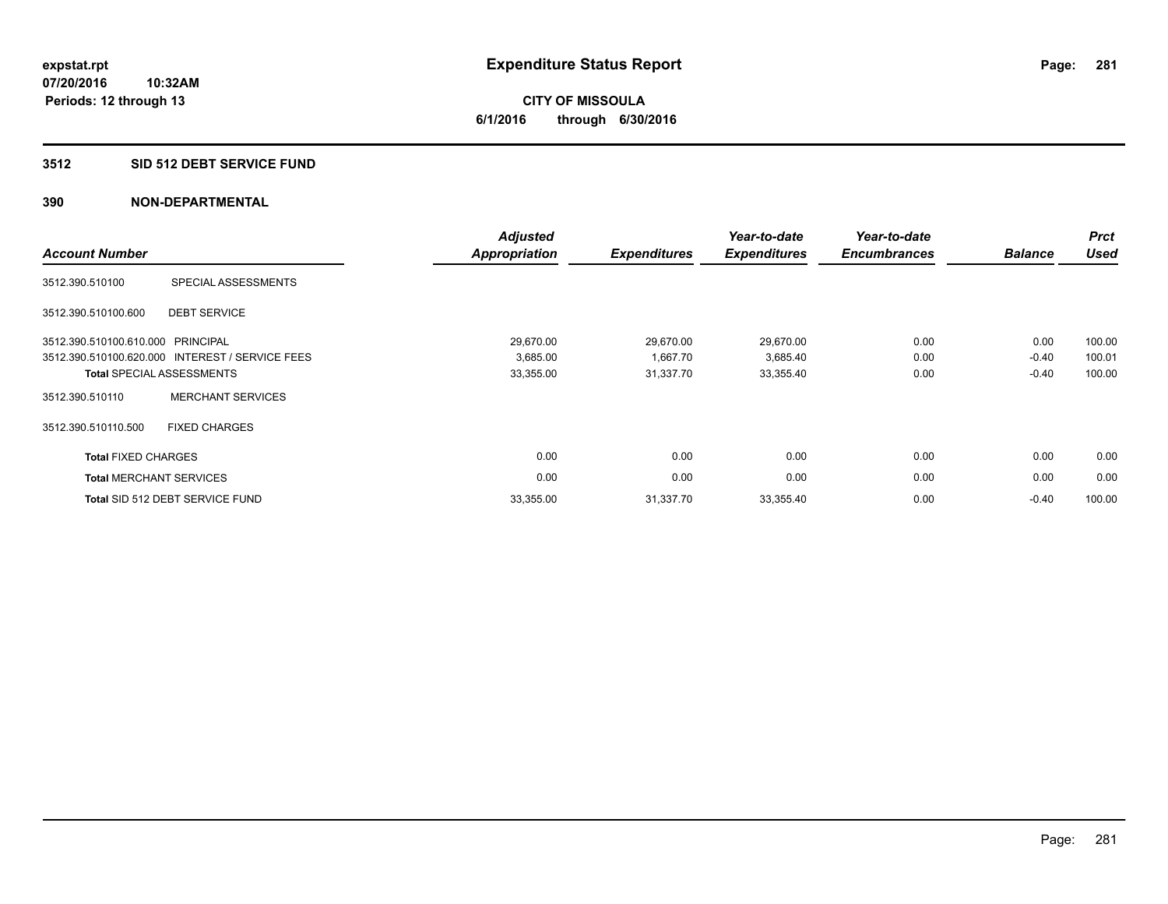## **3512 SID 512 DEBT SERVICE FUND**

| <b>Account Number</b>             |                                                 | <b>Adjusted</b><br><b>Appropriation</b> | <b>Expenditures</b> | Year-to-date<br><b>Expenditures</b> | Year-to-date<br><b>Encumbrances</b> | <b>Balance</b> | <b>Prct</b><br><b>Used</b> |
|-----------------------------------|-------------------------------------------------|-----------------------------------------|---------------------|-------------------------------------|-------------------------------------|----------------|----------------------------|
| 3512.390.510100                   | SPECIAL ASSESSMENTS                             |                                         |                     |                                     |                                     |                |                            |
| 3512.390.510100.600               | <b>DEBT SERVICE</b>                             |                                         |                     |                                     |                                     |                |                            |
| 3512.390.510100.610.000 PRINCIPAL |                                                 | 29,670.00                               | 29,670.00           | 29,670.00                           | 0.00                                | 0.00           | 100.00                     |
|                                   | 3512.390.510100.620.000 INTEREST / SERVICE FEES | 3,685.00                                | 1,667.70            | 3,685.40                            | 0.00                                | $-0.40$        | 100.01                     |
|                                   | <b>Total SPECIAL ASSESSMENTS</b>                | 33,355.00                               | 31,337.70           | 33,355.40                           | 0.00                                | $-0.40$        | 100.00                     |
| 3512.390.510110                   | <b>MERCHANT SERVICES</b>                        |                                         |                     |                                     |                                     |                |                            |
| 3512.390.510110.500               | <b>FIXED CHARGES</b>                            |                                         |                     |                                     |                                     |                |                            |
| <b>Total FIXED CHARGES</b>        |                                                 | 0.00                                    | 0.00                | 0.00                                | 0.00                                | 0.00           | 0.00                       |
|                                   | <b>Total MERCHANT SERVICES</b>                  | 0.00                                    | 0.00                | 0.00                                | 0.00                                | 0.00           | 0.00                       |
|                                   | Total SID 512 DEBT SERVICE FUND                 | 33,355.00                               | 31,337.70           | 33,355.40                           | 0.00                                | $-0.40$        | 100.00                     |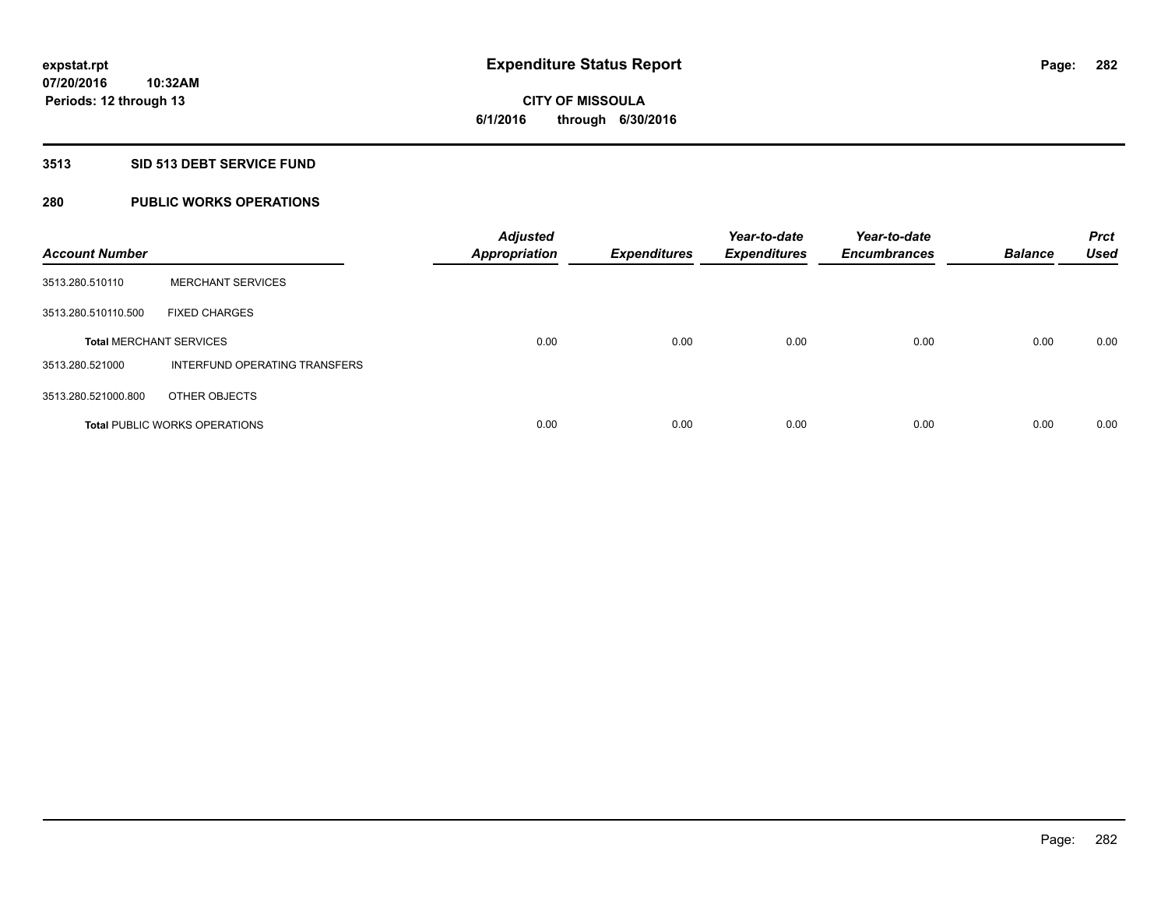# **3513 SID 513 DEBT SERVICE FUND**

# **280 PUBLIC WORKS OPERATIONS**

| <b>Account Number</b>          |                                      | <b>Adjusted</b><br><b>Appropriation</b> | <b>Expenditures</b> | Year-to-date<br><b>Expenditures</b> | Year-to-date<br><b>Encumbrances</b> | <b>Balance</b> | <b>Prct</b><br><b>Used</b> |
|--------------------------------|--------------------------------------|-----------------------------------------|---------------------|-------------------------------------|-------------------------------------|----------------|----------------------------|
| 3513.280.510110                | <b>MERCHANT SERVICES</b>             |                                         |                     |                                     |                                     |                |                            |
| 3513.280.510110.500            | <b>FIXED CHARGES</b>                 |                                         |                     |                                     |                                     |                |                            |
| <b>Total MERCHANT SERVICES</b> |                                      | 0.00                                    | 0.00                | 0.00                                | 0.00                                | 0.00           | 0.00                       |
| 3513.280.521000                | INTERFUND OPERATING TRANSFERS        |                                         |                     |                                     |                                     |                |                            |
| 3513.280.521000.800            | OTHER OBJECTS                        |                                         |                     |                                     |                                     |                |                            |
|                                | <b>Total PUBLIC WORKS OPERATIONS</b> | 0.00                                    | 0.00                | 0.00                                | 0.00                                | 0.00           | 0.00                       |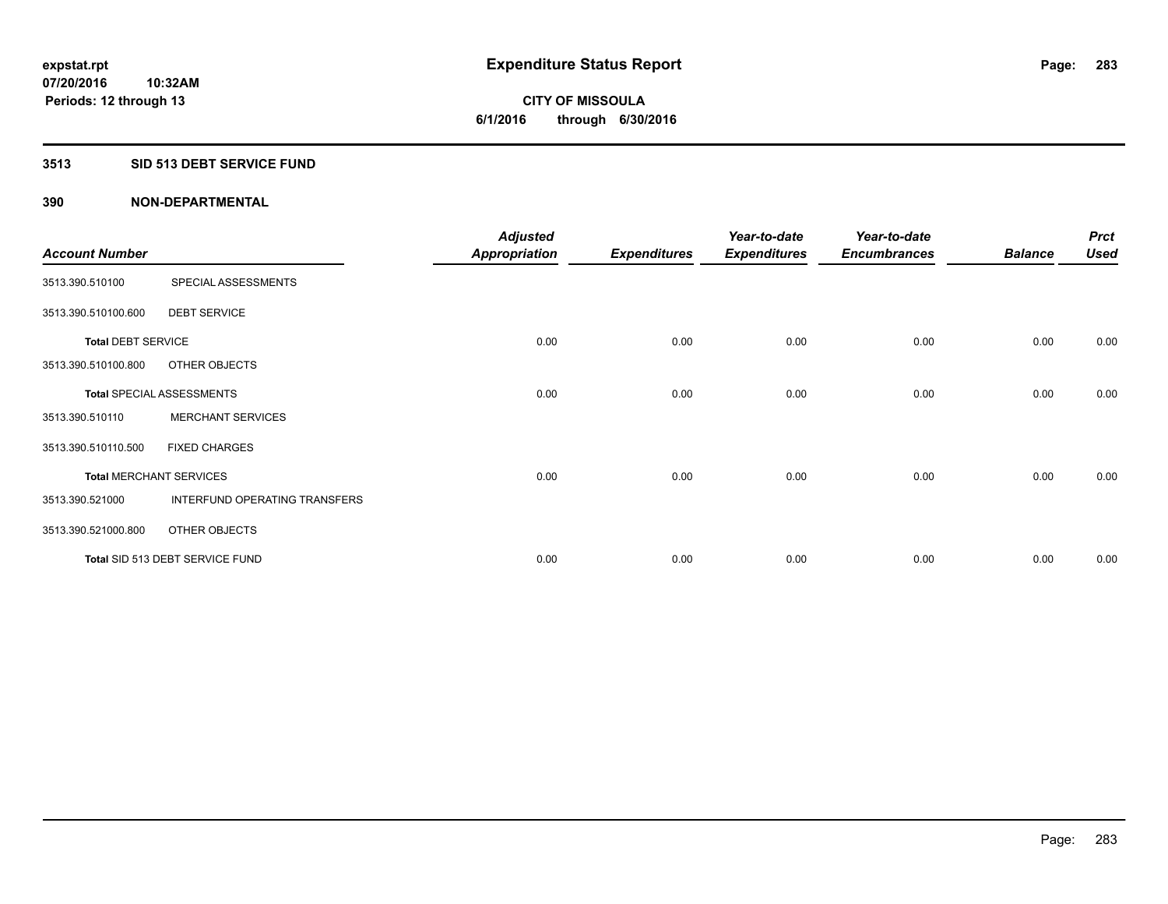# **3513 SID 513 DEBT SERVICE FUND**

| <b>Account Number</b>     |                                  | <b>Adjusted</b><br><b>Appropriation</b> | <b>Expenditures</b> | Year-to-date<br><b>Expenditures</b> | Year-to-date<br><b>Encumbrances</b> | <b>Balance</b> | <b>Prct</b><br><b>Used</b> |
|---------------------------|----------------------------------|-----------------------------------------|---------------------|-------------------------------------|-------------------------------------|----------------|----------------------------|
| 3513.390.510100           | SPECIAL ASSESSMENTS              |                                         |                     |                                     |                                     |                |                            |
| 3513.390.510100.600       | <b>DEBT SERVICE</b>              |                                         |                     |                                     |                                     |                |                            |
| <b>Total DEBT SERVICE</b> |                                  | 0.00                                    | 0.00                | 0.00                                | 0.00                                | 0.00           | 0.00                       |
| 3513.390.510100.800       | OTHER OBJECTS                    |                                         |                     |                                     |                                     |                |                            |
|                           | <b>Total SPECIAL ASSESSMENTS</b> | 0.00                                    | 0.00                | 0.00                                | 0.00                                | 0.00           | 0.00                       |
| 3513.390.510110           | <b>MERCHANT SERVICES</b>         |                                         |                     |                                     |                                     |                |                            |
| 3513.390.510110.500       | <b>FIXED CHARGES</b>             |                                         |                     |                                     |                                     |                |                            |
|                           | <b>Total MERCHANT SERVICES</b>   | 0.00                                    | 0.00                | 0.00                                | 0.00                                | 0.00           | 0.00                       |
| 3513.390.521000           | INTERFUND OPERATING TRANSFERS    |                                         |                     |                                     |                                     |                |                            |
| 3513.390.521000.800       | OTHER OBJECTS                    |                                         |                     |                                     |                                     |                |                            |
|                           | Total SID 513 DEBT SERVICE FUND  | 0.00                                    | 0.00                | 0.00                                | 0.00                                | 0.00           | 0.00                       |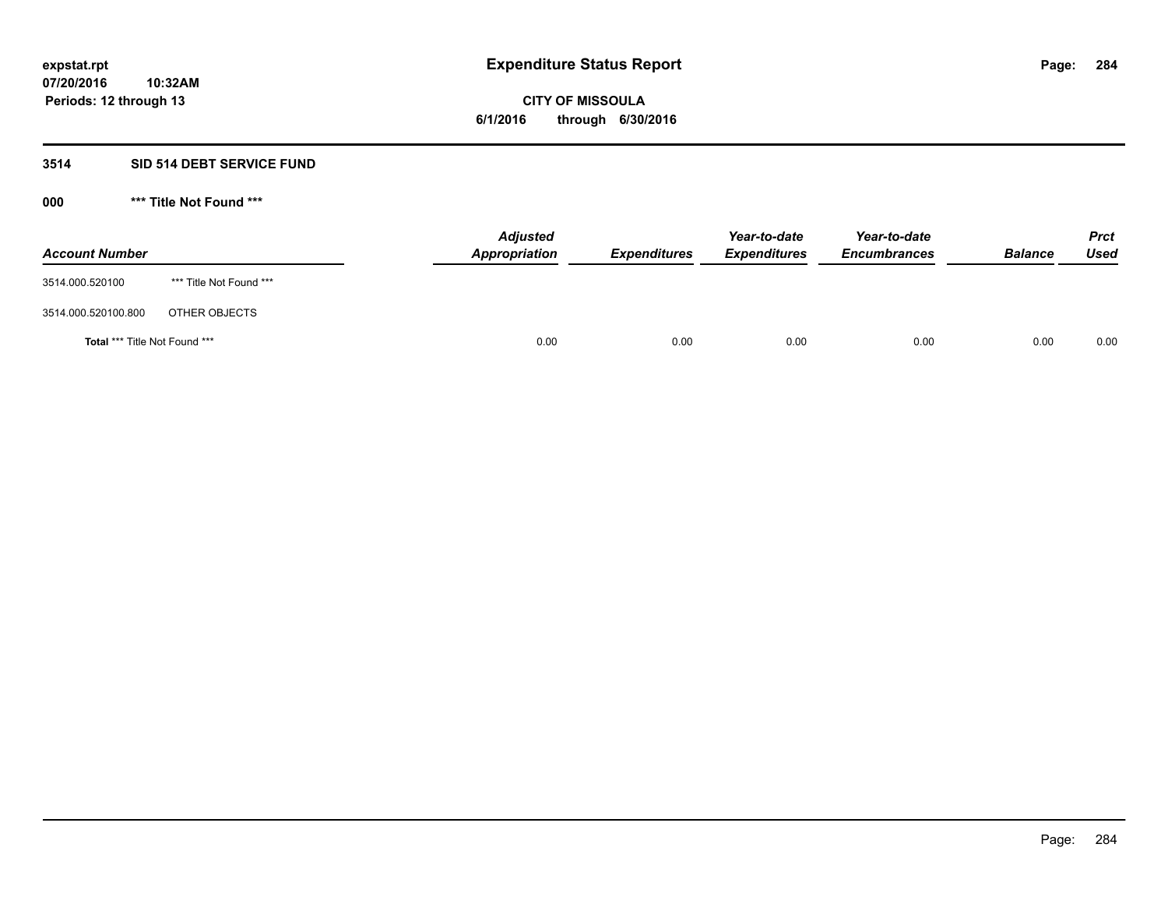# **3514 SID 514 DEBT SERVICE FUND**

| <b>Account Number</b>         |                         | <b>Adjusted</b><br>Appropriation | <b>Expenditures</b> | Year-to-date<br><b>Expenditures</b> | Year-to-date<br><b>Encumbrances</b> | <b>Balance</b> | <b>Prct</b><br>Used |
|-------------------------------|-------------------------|----------------------------------|---------------------|-------------------------------------|-------------------------------------|----------------|---------------------|
| 3514.000.520100               | *** Title Not Found *** |                                  |                     |                                     |                                     |                |                     |
| 3514.000.520100.800           | OTHER OBJECTS           |                                  |                     |                                     |                                     |                |                     |
| Total *** Title Not Found *** |                         | 0.00                             | 0.00                | 0.00                                | 0.00                                | 0.00           | 0.00                |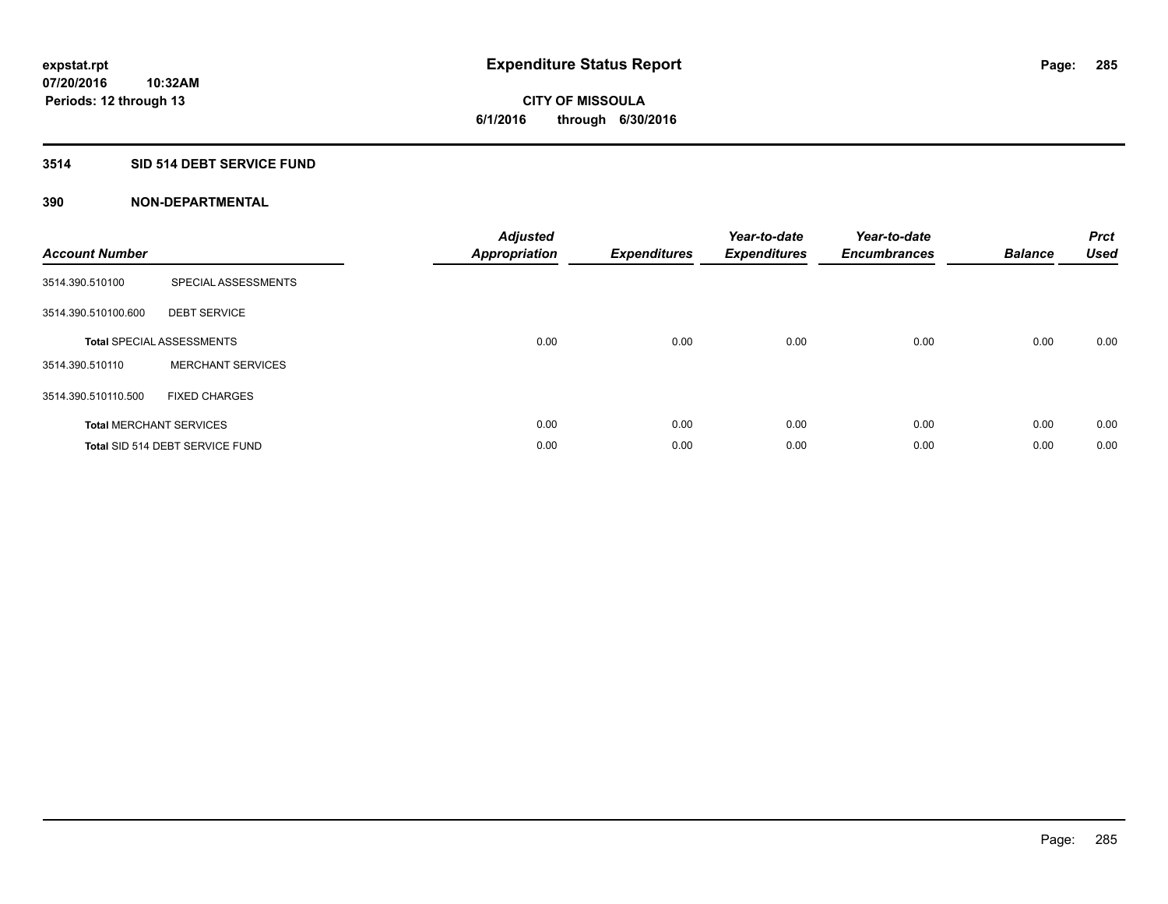# **3514 SID 514 DEBT SERVICE FUND**

| <b>Account Number</b> |                                  | <b>Adjusted</b><br>Appropriation | <b>Expenditures</b> | Year-to-date<br><b>Expenditures</b> | Year-to-date<br><b>Encumbrances</b> | <b>Balance</b> | <b>Prct</b><br><b>Used</b> |
|-----------------------|----------------------------------|----------------------------------|---------------------|-------------------------------------|-------------------------------------|----------------|----------------------------|
| 3514.390.510100       | SPECIAL ASSESSMENTS              |                                  |                     |                                     |                                     |                |                            |
| 3514.390.510100.600   | <b>DEBT SERVICE</b>              |                                  |                     |                                     |                                     |                |                            |
|                       | <b>Total SPECIAL ASSESSMENTS</b> | 0.00                             | 0.00                | 0.00                                | 0.00                                | 0.00           | 0.00                       |
| 3514.390.510110       | <b>MERCHANT SERVICES</b>         |                                  |                     |                                     |                                     |                |                            |
| 3514.390.510110.500   | <b>FIXED CHARGES</b>             |                                  |                     |                                     |                                     |                |                            |
|                       | <b>Total MERCHANT SERVICES</b>   | 0.00                             | 0.00                | 0.00                                | 0.00                                | 0.00           | 0.00                       |
|                       | Total SID 514 DEBT SERVICE FUND  | 0.00                             | 0.00                | 0.00                                | 0.00                                | 0.00           | 0.00                       |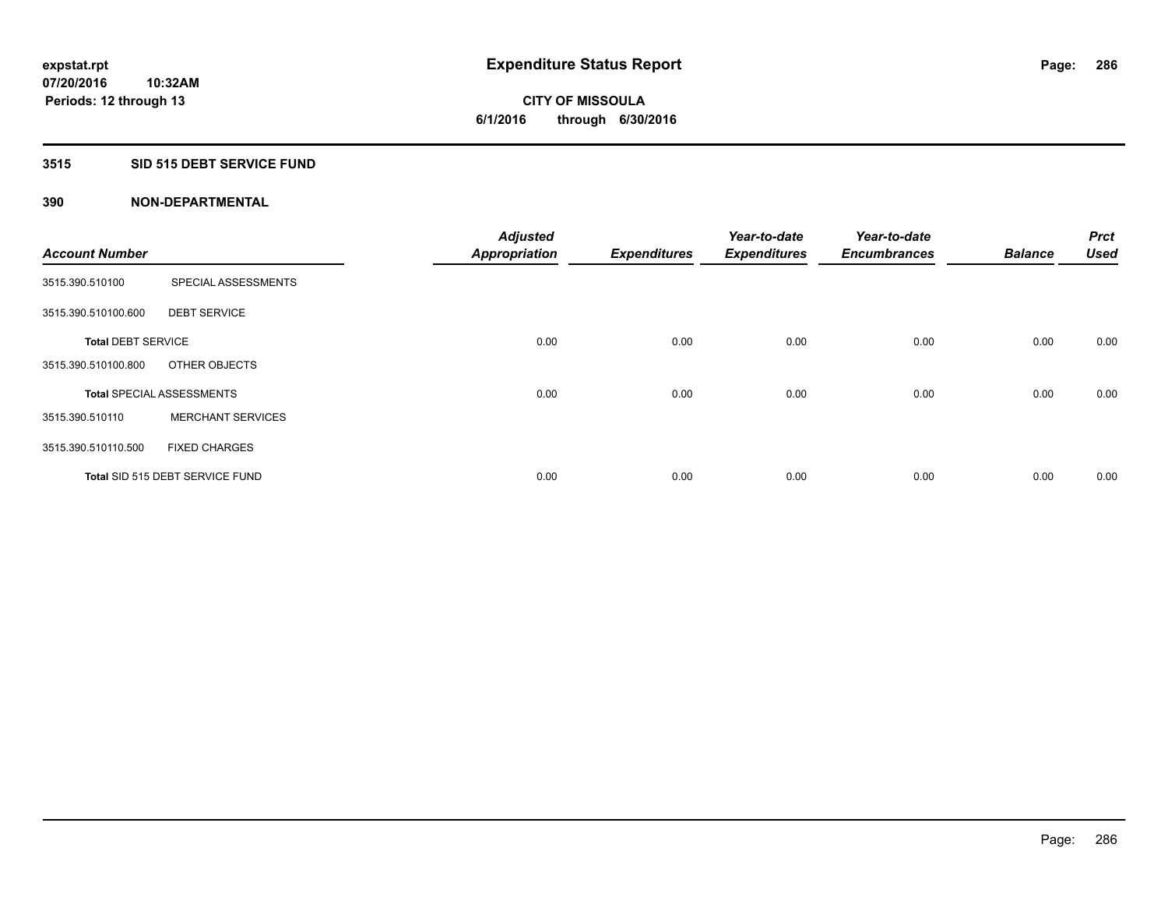# **3515 SID 515 DEBT SERVICE FUND**

| <b>Account Number</b>     |                                  | <b>Adjusted</b><br><b>Appropriation</b> | <b>Expenditures</b> | Year-to-date<br><b>Expenditures</b> | Year-to-date<br><b>Encumbrances</b> | <b>Balance</b> | <b>Prct</b><br><b>Used</b> |
|---------------------------|----------------------------------|-----------------------------------------|---------------------|-------------------------------------|-------------------------------------|----------------|----------------------------|
| 3515.390.510100           | SPECIAL ASSESSMENTS              |                                         |                     |                                     |                                     |                |                            |
| 3515.390.510100.600       | <b>DEBT SERVICE</b>              |                                         |                     |                                     |                                     |                |                            |
| <b>Total DEBT SERVICE</b> |                                  | 0.00                                    | 0.00                | 0.00                                | 0.00                                | 0.00           | 0.00                       |
| 3515.390.510100.800       | OTHER OBJECTS                    |                                         |                     |                                     |                                     |                |                            |
|                           | <b>Total SPECIAL ASSESSMENTS</b> | 0.00                                    | 0.00                | 0.00                                | 0.00                                | 0.00           | 0.00                       |
| 3515.390.510110           | <b>MERCHANT SERVICES</b>         |                                         |                     |                                     |                                     |                |                            |
| 3515.390.510110.500       | <b>FIXED CHARGES</b>             |                                         |                     |                                     |                                     |                |                            |
|                           | Total SID 515 DEBT SERVICE FUND  | 0.00                                    | 0.00                | 0.00                                | 0.00                                | 0.00           | 0.00                       |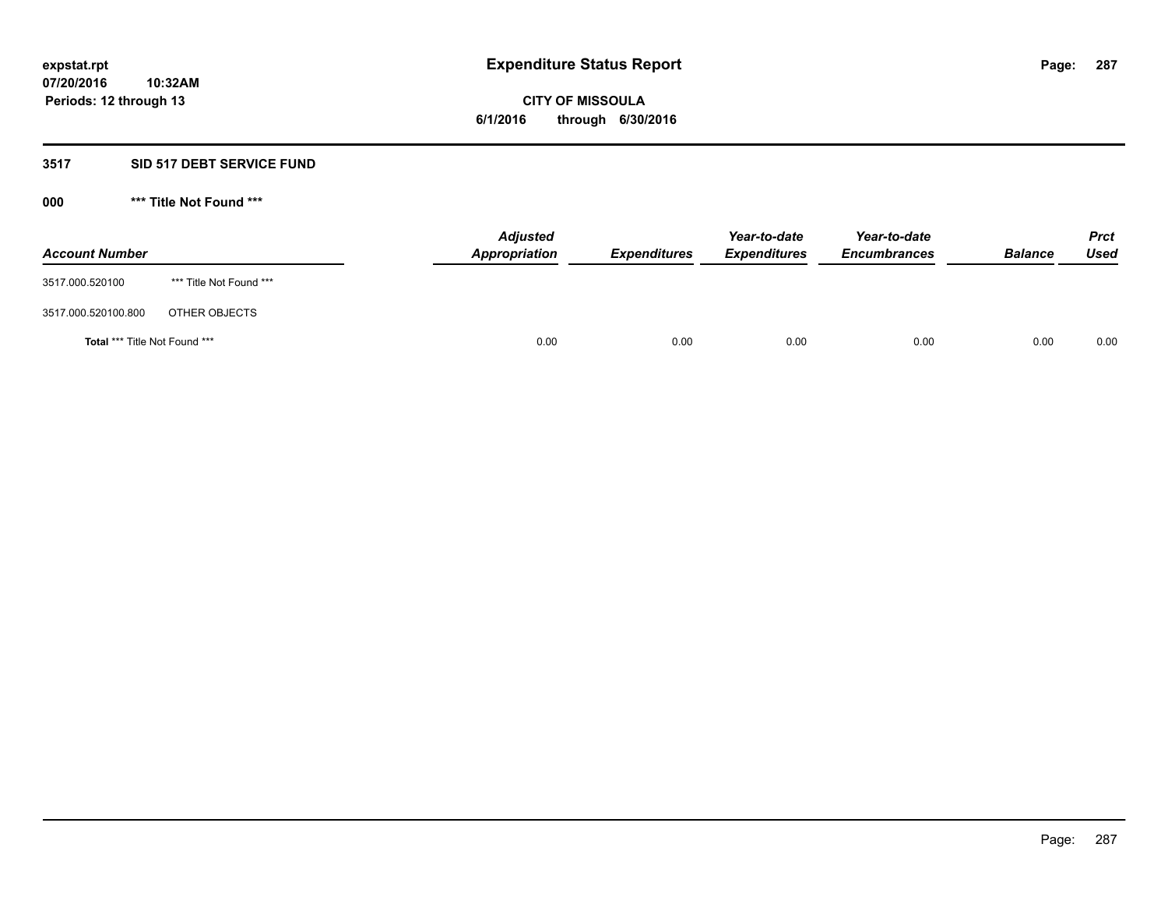# **3517 SID 517 DEBT SERVICE FUND**

| <b>Account Number</b>         |                         | <b>Adjusted</b><br>Appropriation | <b>Expenditures</b> | Year-to-date<br><b>Expenditures</b> | Year-to-date<br><b>Encumbrances</b> | <b>Balance</b> | <b>Prct</b><br>Used |
|-------------------------------|-------------------------|----------------------------------|---------------------|-------------------------------------|-------------------------------------|----------------|---------------------|
| 3517.000.520100               | *** Title Not Found *** |                                  |                     |                                     |                                     |                |                     |
| 3517.000.520100.800           | OTHER OBJECTS           |                                  |                     |                                     |                                     |                |                     |
| Total *** Title Not Found *** |                         | 0.00                             | 0.00                | 0.00                                | 0.00                                | 0.00           | 0.00                |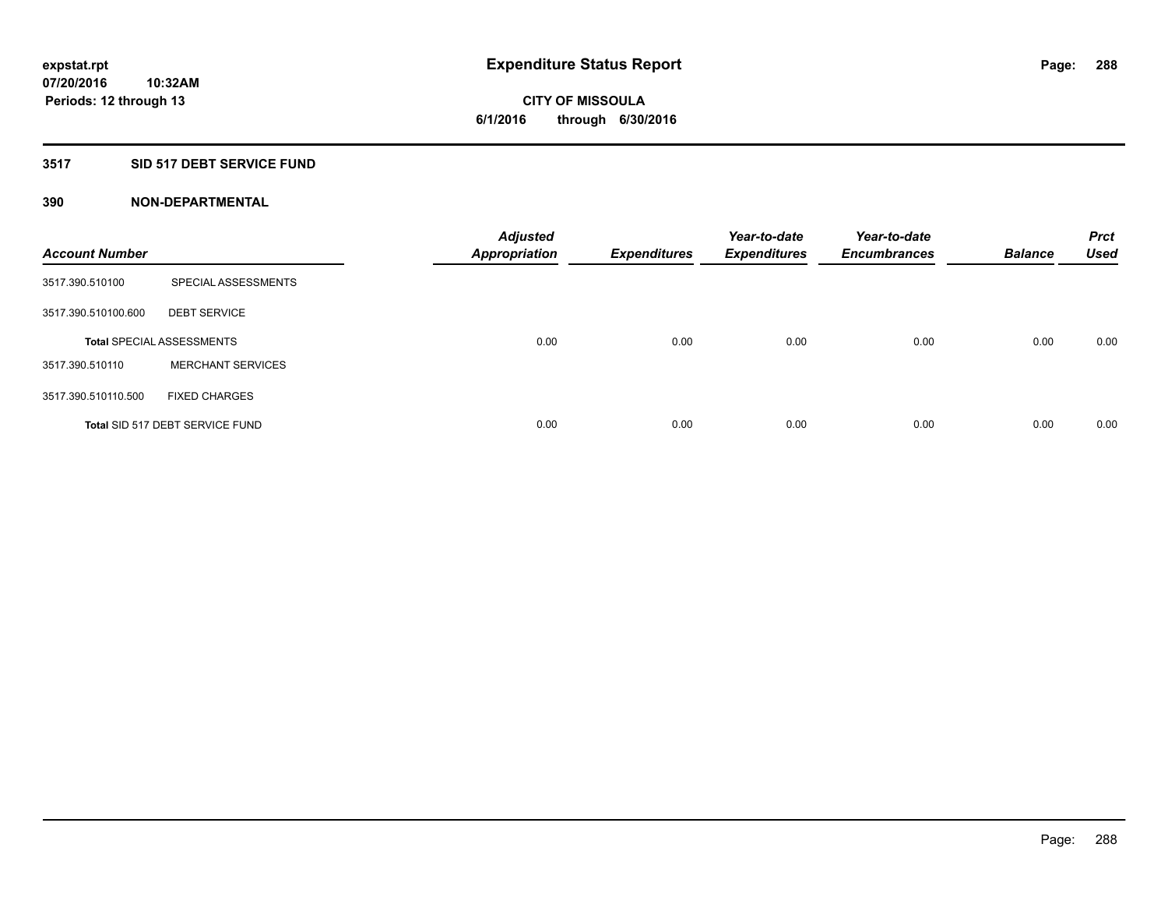# **3517 SID 517 DEBT SERVICE FUND**

| <b>Account Number</b> |                                  | <b>Adjusted</b><br><b>Appropriation</b> | <b>Expenditures</b> | Year-to-date<br><b>Expenditures</b> | Year-to-date<br><b>Encumbrances</b> | <b>Balance</b> | <b>Prct</b><br><b>Used</b> |
|-----------------------|----------------------------------|-----------------------------------------|---------------------|-------------------------------------|-------------------------------------|----------------|----------------------------|
| 3517.390.510100       | SPECIAL ASSESSMENTS              |                                         |                     |                                     |                                     |                |                            |
| 3517.390.510100.600   | <b>DEBT SERVICE</b>              |                                         |                     |                                     |                                     |                |                            |
|                       | <b>Total SPECIAL ASSESSMENTS</b> | 0.00                                    | 0.00                | 0.00                                | 0.00                                | 0.00           | 0.00                       |
| 3517.390.510110       | <b>MERCHANT SERVICES</b>         |                                         |                     |                                     |                                     |                |                            |
| 3517.390.510110.500   | <b>FIXED CHARGES</b>             |                                         |                     |                                     |                                     |                |                            |
|                       | Total SID 517 DEBT SERVICE FUND  | 0.00                                    | 0.00                | 0.00                                | 0.00                                | 0.00           | 0.00                       |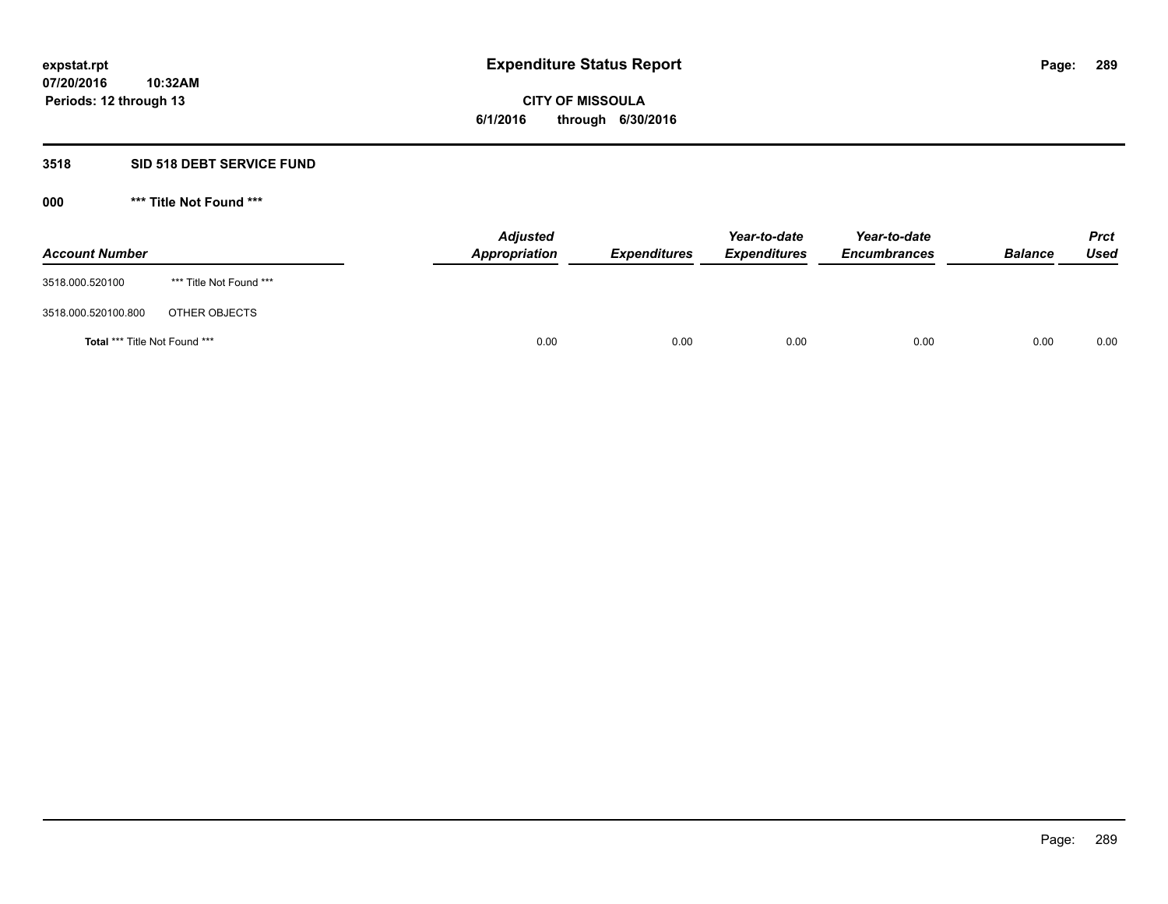## **3518 SID 518 DEBT SERVICE FUND**

**000 \*\*\* Title Not Found \*\*\***

| <b>Account Number</b>         |                         | <b>Adjusted</b><br>Appropriation | <b>Expenditures</b> | Year-to-date<br><b>Expenditures</b> | Year-to-date<br><b>Encumbrances</b> | <b>Balance</b> | <b>Prct</b><br>Used |
|-------------------------------|-------------------------|----------------------------------|---------------------|-------------------------------------|-------------------------------------|----------------|---------------------|
| 3518.000.520100               | *** Title Not Found *** |                                  |                     |                                     |                                     |                |                     |
| 3518.000.520100.800           | OTHER OBJECTS           |                                  |                     |                                     |                                     |                |                     |
| Total *** Title Not Found *** |                         | 0.00                             | 0.00                | 0.00                                | 0.00                                | 0.00           | 0.00                |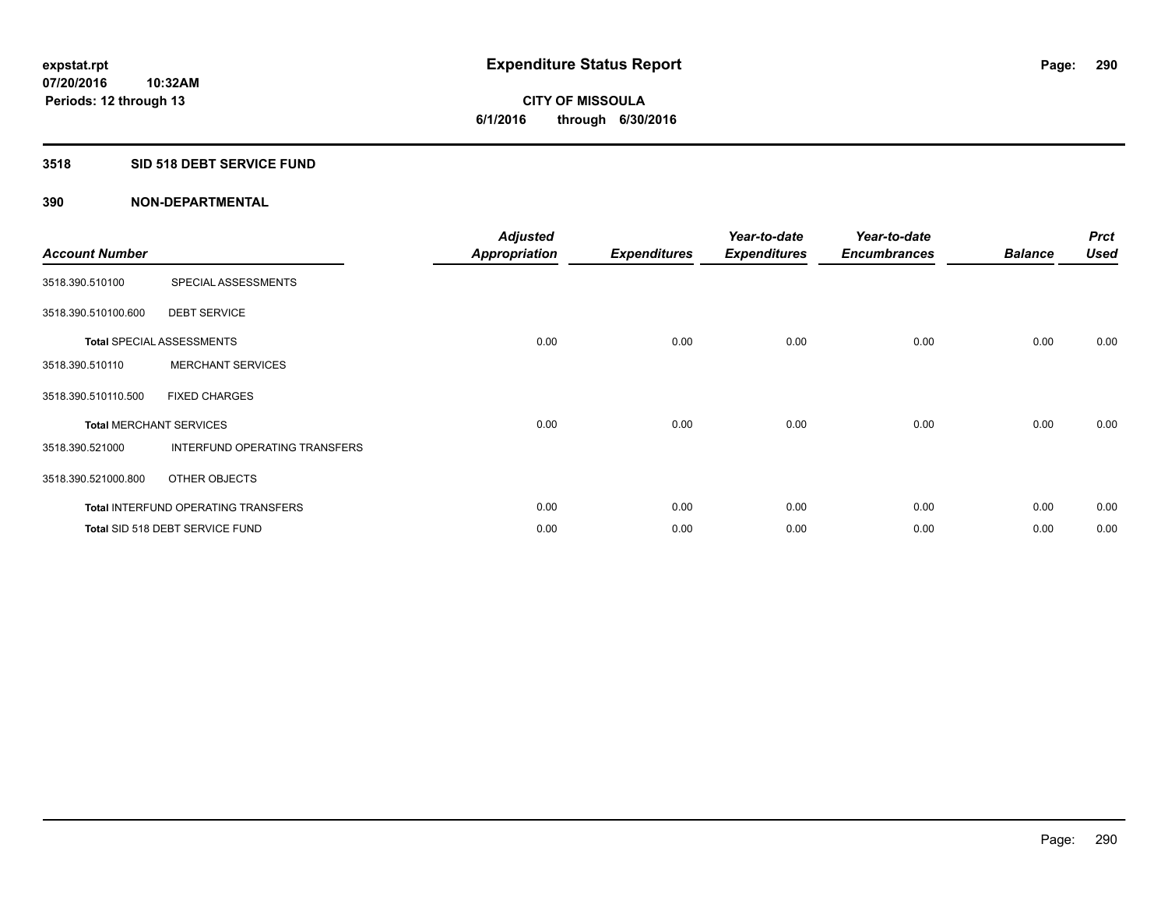## **3518 SID 518 DEBT SERVICE FUND**

| <b>Account Number</b> |                                            | <b>Adjusted</b><br><b>Appropriation</b> | <b>Expenditures</b> | Year-to-date<br><b>Expenditures</b> | Year-to-date<br><b>Encumbrances</b> | <b>Balance</b> | <b>Prct</b><br><b>Used</b> |
|-----------------------|--------------------------------------------|-----------------------------------------|---------------------|-------------------------------------|-------------------------------------|----------------|----------------------------|
| 3518.390.510100       | SPECIAL ASSESSMENTS                        |                                         |                     |                                     |                                     |                |                            |
| 3518.390.510100.600   | <b>DEBT SERVICE</b>                        |                                         |                     |                                     |                                     |                |                            |
|                       | <b>Total SPECIAL ASSESSMENTS</b>           | 0.00                                    | 0.00                | 0.00                                | 0.00                                | 0.00           | 0.00                       |
| 3518.390.510110       | <b>MERCHANT SERVICES</b>                   |                                         |                     |                                     |                                     |                |                            |
| 3518.390.510110.500   | <b>FIXED CHARGES</b>                       |                                         |                     |                                     |                                     |                |                            |
|                       | <b>Total MERCHANT SERVICES</b>             | 0.00                                    | 0.00                | 0.00                                | 0.00                                | 0.00           | 0.00                       |
| 3518.390.521000       | <b>INTERFUND OPERATING TRANSFERS</b>       |                                         |                     |                                     |                                     |                |                            |
| 3518.390.521000.800   | OTHER OBJECTS                              |                                         |                     |                                     |                                     |                |                            |
|                       | <b>Total INTERFUND OPERATING TRANSFERS</b> | 0.00                                    | 0.00                | 0.00                                | 0.00                                | 0.00           | 0.00                       |
|                       | Total SID 518 DEBT SERVICE FUND            | 0.00                                    | 0.00                | 0.00                                | 0.00                                | 0.00           | 0.00                       |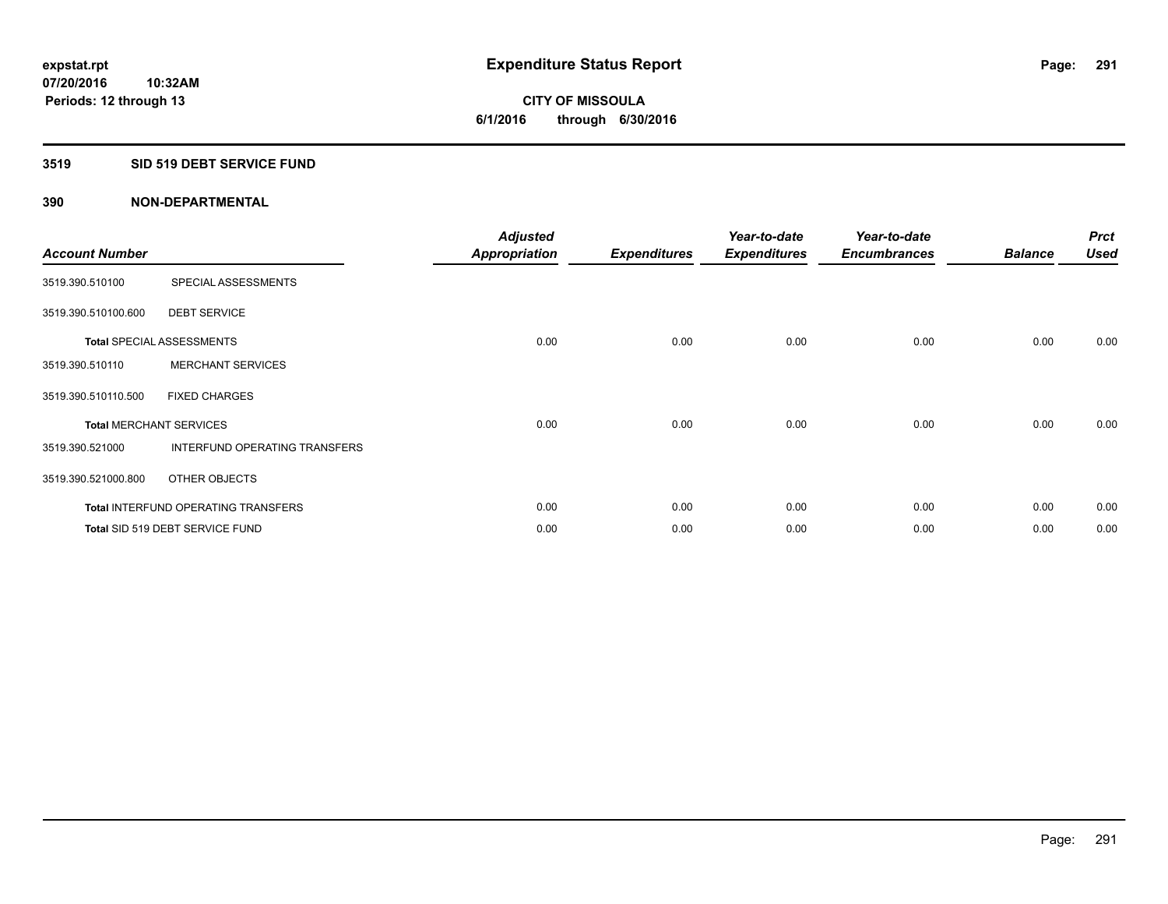## **3519 SID 519 DEBT SERVICE FUND**

| <b>Account Number</b> |                                            | <b>Adjusted</b><br><b>Appropriation</b> | <b>Expenditures</b> | Year-to-date<br><b>Expenditures</b> | Year-to-date<br><b>Encumbrances</b> | <b>Balance</b> | <b>Prct</b><br><b>Used</b> |
|-----------------------|--------------------------------------------|-----------------------------------------|---------------------|-------------------------------------|-------------------------------------|----------------|----------------------------|
| 3519.390.510100       | SPECIAL ASSESSMENTS                        |                                         |                     |                                     |                                     |                |                            |
| 3519.390.510100.600   | <b>DEBT SERVICE</b>                        |                                         |                     |                                     |                                     |                |                            |
|                       | <b>Total SPECIAL ASSESSMENTS</b>           | 0.00                                    | 0.00                | 0.00                                | 0.00                                | 0.00           | 0.00                       |
| 3519.390.510110       | <b>MERCHANT SERVICES</b>                   |                                         |                     |                                     |                                     |                |                            |
| 3519.390.510110.500   | <b>FIXED CHARGES</b>                       |                                         |                     |                                     |                                     |                |                            |
|                       | <b>Total MERCHANT SERVICES</b>             | 0.00                                    | 0.00                | 0.00                                | 0.00                                | 0.00           | 0.00                       |
| 3519.390.521000       | <b>INTERFUND OPERATING TRANSFERS</b>       |                                         |                     |                                     |                                     |                |                            |
| 3519.390.521000.800   | OTHER OBJECTS                              |                                         |                     |                                     |                                     |                |                            |
|                       | <b>Total INTERFUND OPERATING TRANSFERS</b> | 0.00                                    | 0.00                | 0.00                                | 0.00                                | 0.00           | 0.00                       |
|                       | Total SID 519 DEBT SERVICE FUND            | 0.00                                    | 0.00                | 0.00                                | 0.00                                | 0.00           | 0.00                       |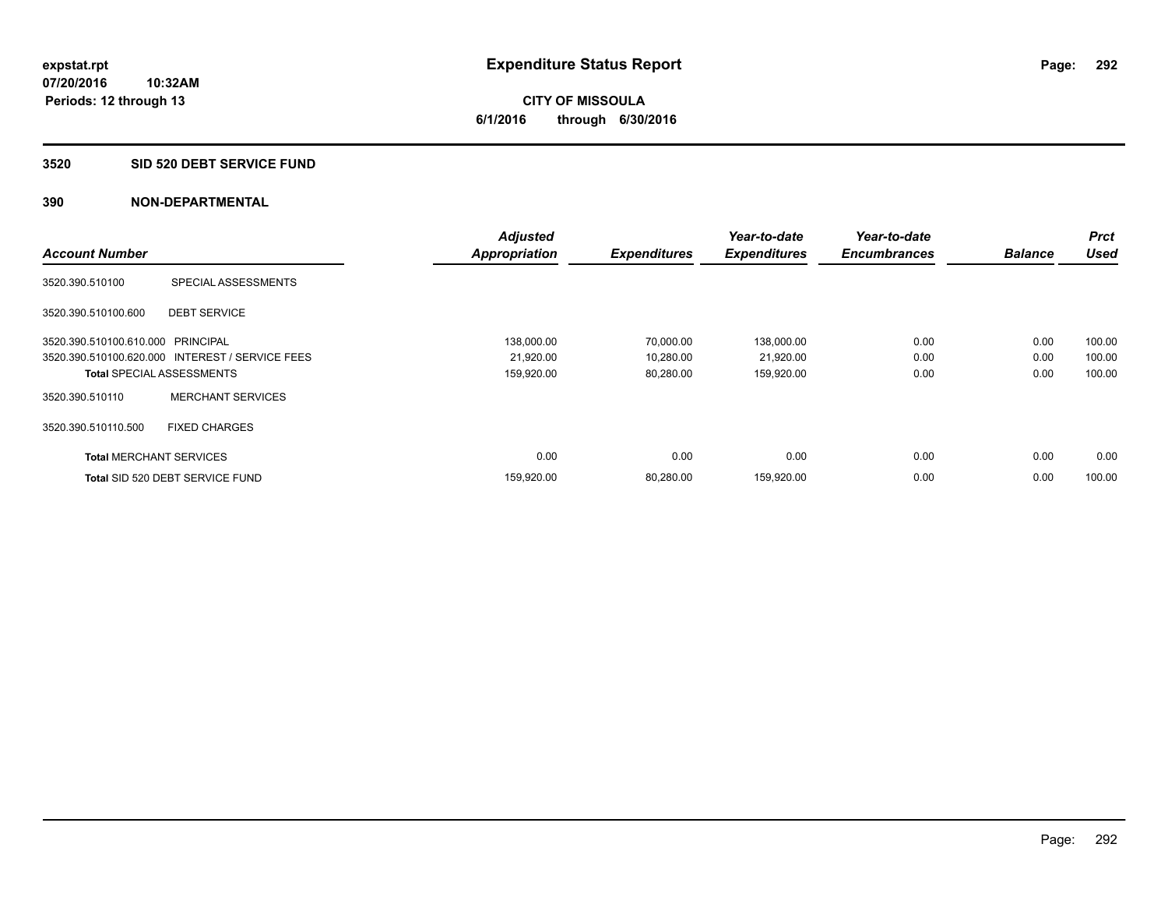**CITY OF MISSOULA 6/1/2016 through 6/30/2016**

#### **3520 SID 520 DEBT SERVICE FUND**

|                                   |                                                 | <b>Adjusted</b>      |                     | Year-to-date        | Year-to-date        |                | <b>Prct</b> |
|-----------------------------------|-------------------------------------------------|----------------------|---------------------|---------------------|---------------------|----------------|-------------|
| <b>Account Number</b>             |                                                 | <b>Appropriation</b> | <b>Expenditures</b> | <b>Expenditures</b> | <b>Encumbrances</b> | <b>Balance</b> | <b>Used</b> |
| 3520.390.510100                   | SPECIAL ASSESSMENTS                             |                      |                     |                     |                     |                |             |
| 3520.390.510100.600               | <b>DEBT SERVICE</b>                             |                      |                     |                     |                     |                |             |
| 3520.390.510100.610.000 PRINCIPAL |                                                 | 138,000.00           | 70,000.00           | 138,000.00          | 0.00                | 0.00           | 100.00      |
|                                   | 3520.390.510100.620.000 INTEREST / SERVICE FEES | 21,920.00            | 10,280.00           | 21,920.00           | 0.00                | 0.00           | 100.00      |
| <b>Total SPECIAL ASSESSMENTS</b>  |                                                 | 159,920.00           | 80,280.00           | 159,920.00          | 0.00                | 0.00           | 100.00      |
| 3520.390.510110                   | <b>MERCHANT SERVICES</b>                        |                      |                     |                     |                     |                |             |
| 3520.390.510110.500               | <b>FIXED CHARGES</b>                            |                      |                     |                     |                     |                |             |
| <b>Total MERCHANT SERVICES</b>    |                                                 | 0.00                 | 0.00                | 0.00                | 0.00                | 0.00           | 0.00        |
|                                   | Total SID 520 DEBT SERVICE FUND                 | 159,920.00           | 80,280.00           | 159,920.00          | 0.00                | 0.00           | 100.00      |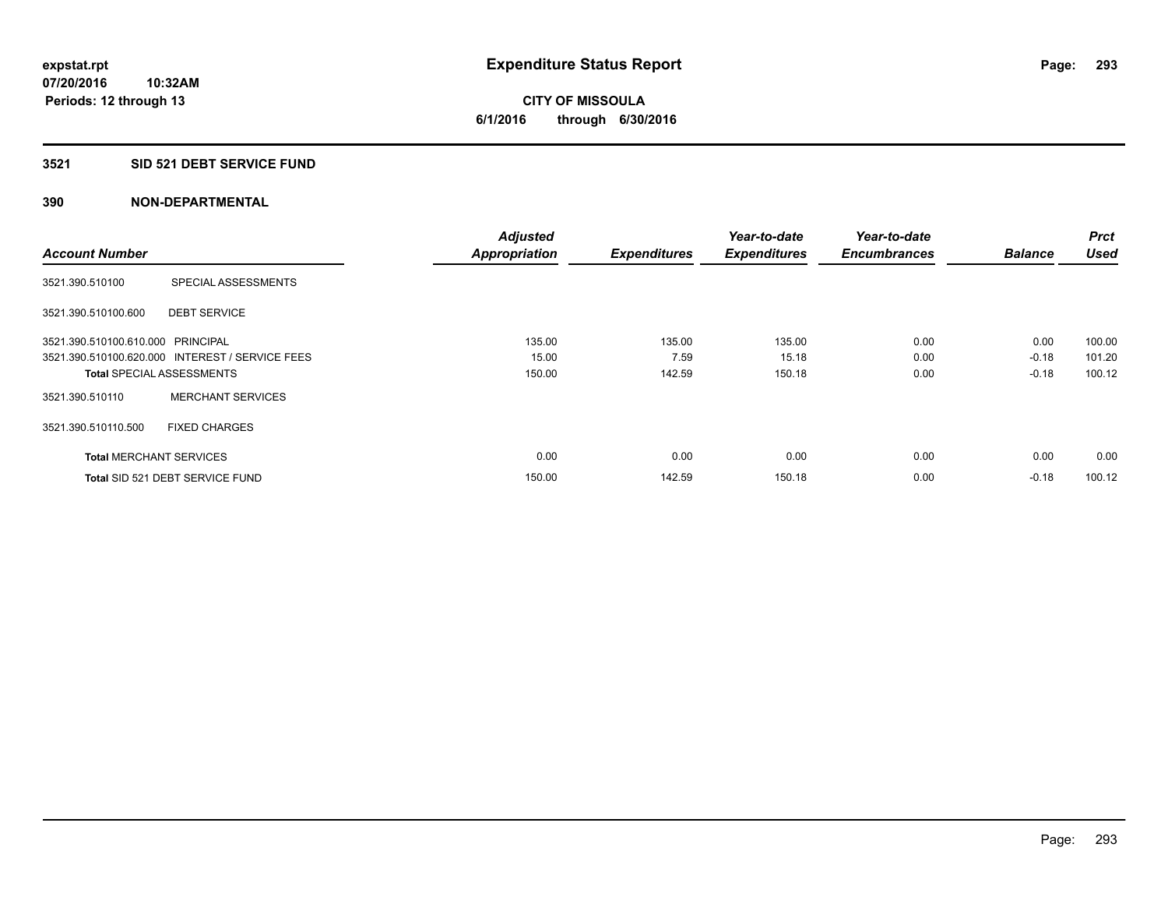## **3521 SID 521 DEBT SERVICE FUND**

|                                   |                                                 | <b>Adjusted</b>      |                     | Year-to-date        | Year-to-date        |                | <b>Prct</b> |
|-----------------------------------|-------------------------------------------------|----------------------|---------------------|---------------------|---------------------|----------------|-------------|
| <b>Account Number</b>             |                                                 | <b>Appropriation</b> | <b>Expenditures</b> | <b>Expenditures</b> | <b>Encumbrances</b> | <b>Balance</b> | <b>Used</b> |
| 3521.390.510100                   | SPECIAL ASSESSMENTS                             |                      |                     |                     |                     |                |             |
| 3521.390.510100.600               | <b>DEBT SERVICE</b>                             |                      |                     |                     |                     |                |             |
| 3521.390.510100.610.000 PRINCIPAL |                                                 | 135.00               | 135.00              | 135.00              | 0.00                | 0.00           | 100.00      |
|                                   | 3521.390.510100.620.000 INTEREST / SERVICE FEES | 15.00                | 7.59                | 15.18               | 0.00                | $-0.18$        | 101.20      |
| <b>Total SPECIAL ASSESSMENTS</b>  |                                                 | 150.00               | 142.59              | 150.18              | 0.00                | $-0.18$        | 100.12      |
| 3521.390.510110                   | <b>MERCHANT SERVICES</b>                        |                      |                     |                     |                     |                |             |
| 3521.390.510110.500               | <b>FIXED CHARGES</b>                            |                      |                     |                     |                     |                |             |
| <b>Total MERCHANT SERVICES</b>    |                                                 | 0.00                 | 0.00                | 0.00                | 0.00                | 0.00           | 0.00        |
|                                   | Total SID 521 DEBT SERVICE FUND                 | 150.00               | 142.59              | 150.18              | 0.00                | $-0.18$        | 100.12      |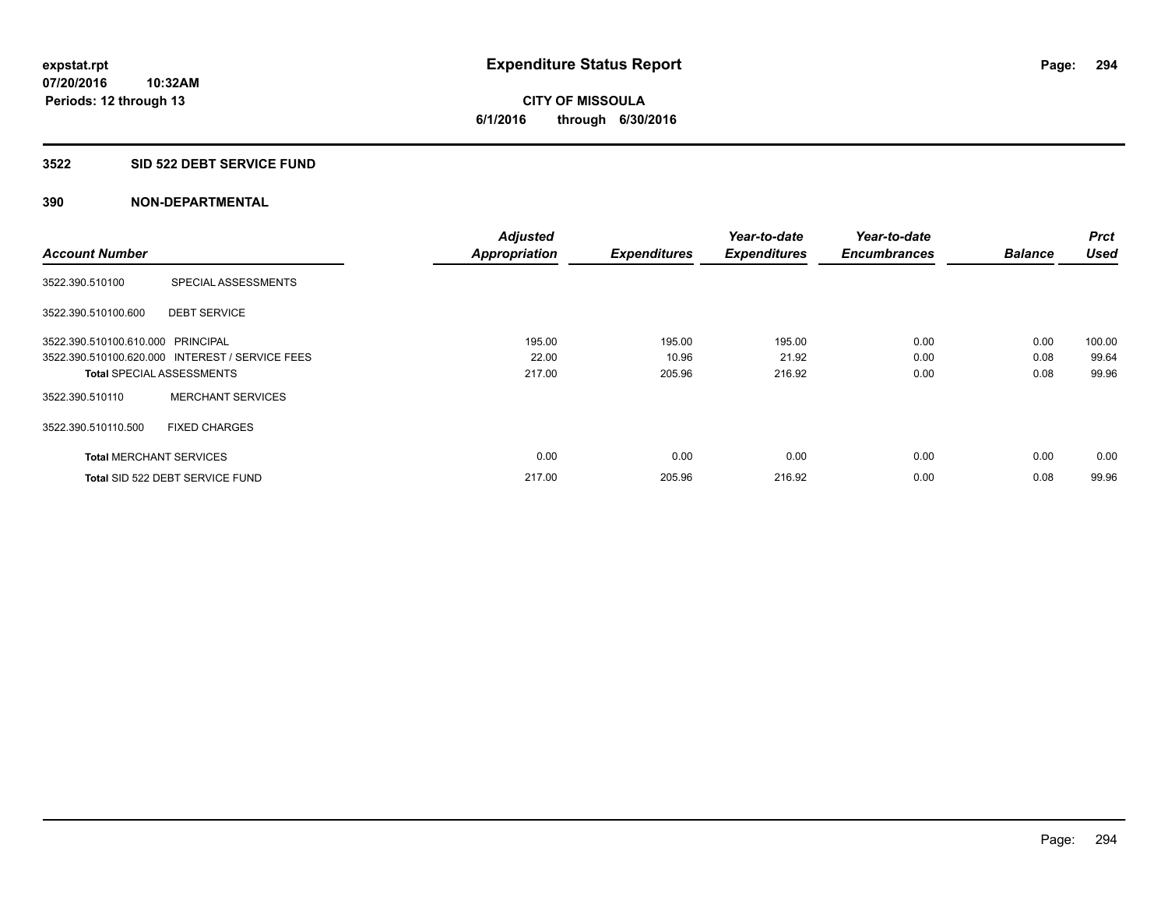## **3522 SID 522 DEBT SERVICE FUND**

|                                   |                                                 | <b>Adjusted</b>      |                     | Year-to-date        | Year-to-date        |                | <b>Prct</b> |
|-----------------------------------|-------------------------------------------------|----------------------|---------------------|---------------------|---------------------|----------------|-------------|
| <b>Account Number</b>             |                                                 | <b>Appropriation</b> | <b>Expenditures</b> | <b>Expenditures</b> | <b>Encumbrances</b> | <b>Balance</b> | <b>Used</b> |
| 3522.390.510100                   | SPECIAL ASSESSMENTS                             |                      |                     |                     |                     |                |             |
| 3522.390.510100.600               | <b>DEBT SERVICE</b>                             |                      |                     |                     |                     |                |             |
| 3522.390.510100.610.000 PRINCIPAL |                                                 | 195.00               | 195.00              | 195.00              | 0.00                | 0.00           | 100.00      |
|                                   | 3522.390.510100.620.000 INTEREST / SERVICE FEES | 22.00                | 10.96               | 21.92               | 0.00                | 0.08           | 99.64       |
|                                   | <b>Total SPECIAL ASSESSMENTS</b>                | 217.00               | 205.96              | 216.92              | 0.00                | 0.08           | 99.96       |
| 3522.390.510110                   | <b>MERCHANT SERVICES</b>                        |                      |                     |                     |                     |                |             |
| 3522.390.510110.500               | <b>FIXED CHARGES</b>                            |                      |                     |                     |                     |                |             |
| <b>Total MERCHANT SERVICES</b>    |                                                 | 0.00                 | 0.00                | 0.00                | 0.00                | 0.00           | 0.00        |
|                                   | Total SID 522 DEBT SERVICE FUND                 | 217.00               | 205.96              | 216.92              | 0.00                | 0.08           | 99.96       |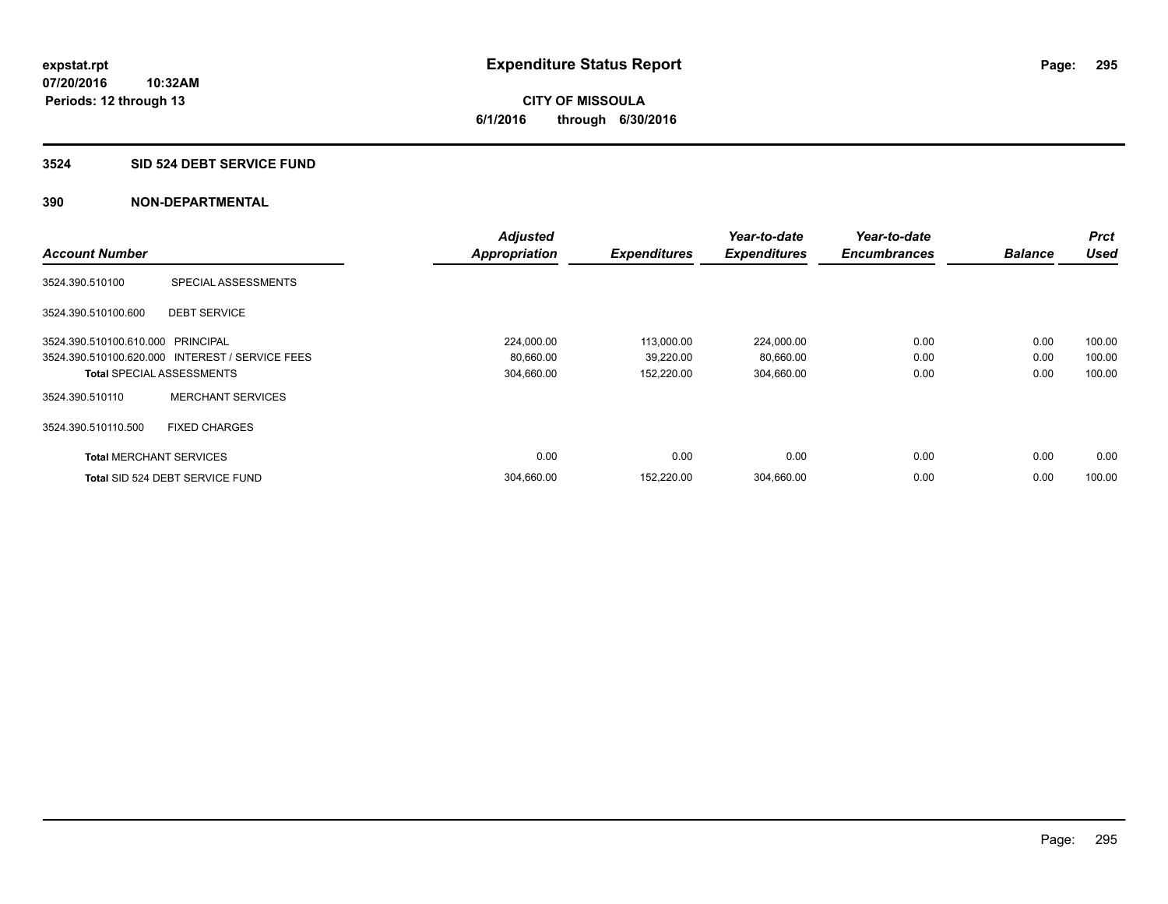#### **3524 SID 524 DEBT SERVICE FUND**

|                                   |                                                 | <b>Adjusted</b> |                     | Year-to-date        | Year-to-date        |                | <b>Prct</b> |
|-----------------------------------|-------------------------------------------------|-----------------|---------------------|---------------------|---------------------|----------------|-------------|
| <b>Account Number</b>             |                                                 | Appropriation   | <b>Expenditures</b> | <b>Expenditures</b> | <b>Encumbrances</b> | <b>Balance</b> | <b>Used</b> |
| 3524.390.510100                   | SPECIAL ASSESSMENTS                             |                 |                     |                     |                     |                |             |
| 3524.390.510100.600               | <b>DEBT SERVICE</b>                             |                 |                     |                     |                     |                |             |
| 3524.390.510100.610.000 PRINCIPAL |                                                 | 224,000.00      | 113,000.00          | 224,000.00          | 0.00                | 0.00           | 100.00      |
|                                   | 3524.390.510100.620.000 INTEREST / SERVICE FEES | 80,660.00       | 39,220.00           | 80,660.00           | 0.00                | 0.00           | 100.00      |
|                                   | <b>Total SPECIAL ASSESSMENTS</b>                | 304,660.00      | 152,220.00          | 304,660.00          | 0.00                | 0.00           | 100.00      |
| 3524.390.510110                   | <b>MERCHANT SERVICES</b>                        |                 |                     |                     |                     |                |             |
| 3524.390.510110.500               | <b>FIXED CHARGES</b>                            |                 |                     |                     |                     |                |             |
| <b>Total MERCHANT SERVICES</b>    |                                                 | 0.00            | 0.00                | 0.00                | 0.00                | 0.00           | 0.00        |
|                                   | Total SID 524 DEBT SERVICE FUND                 | 304,660.00      | 152,220.00          | 304,660.00          | 0.00                | 0.00           | 100.00      |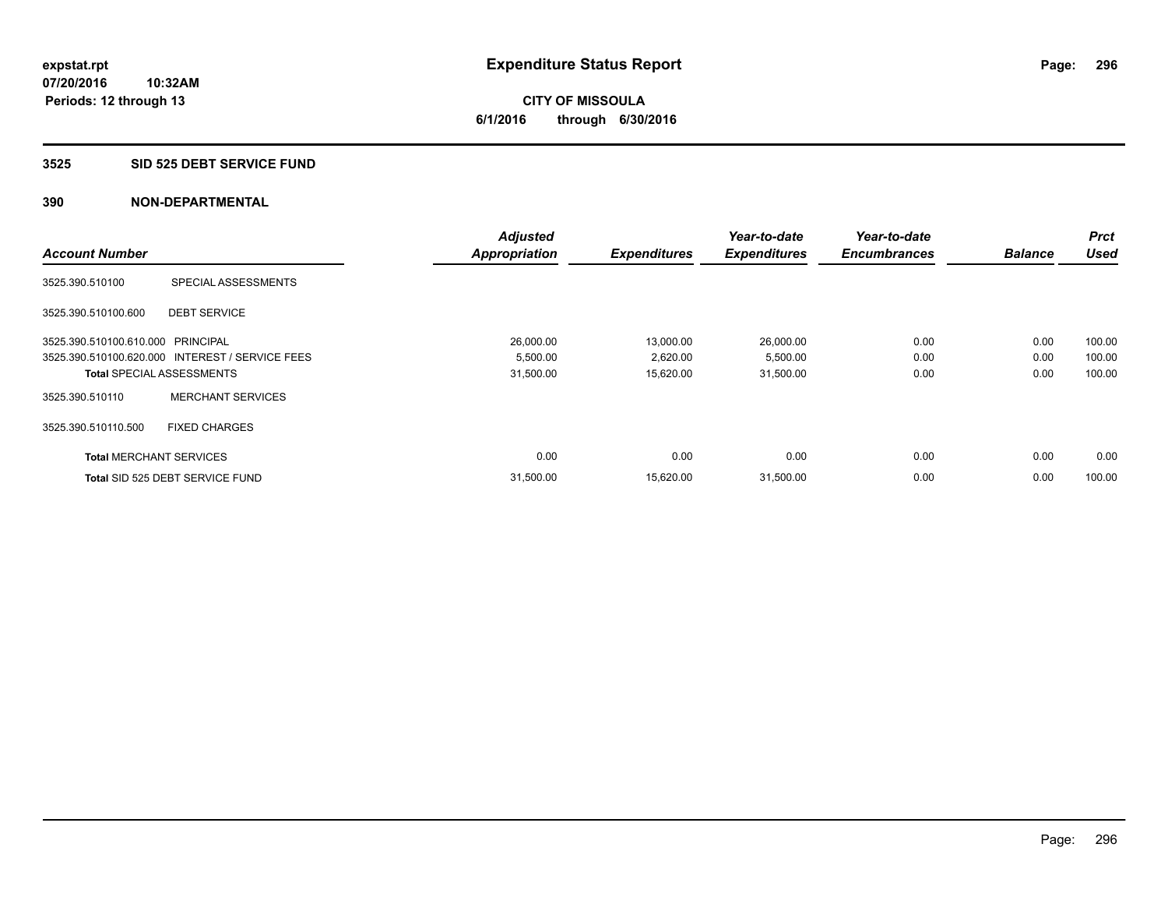#### **3525 SID 525 DEBT SERVICE FUND**

|                                   |                                                 | <b>Adjusted</b>      |                     | Year-to-date        | Year-to-date        |                | <b>Prct</b> |
|-----------------------------------|-------------------------------------------------|----------------------|---------------------|---------------------|---------------------|----------------|-------------|
| <b>Account Number</b>             |                                                 | <b>Appropriation</b> | <b>Expenditures</b> | <b>Expenditures</b> | <b>Encumbrances</b> | <b>Balance</b> | <b>Used</b> |
| 3525.390.510100                   | SPECIAL ASSESSMENTS                             |                      |                     |                     |                     |                |             |
| 3525.390.510100.600               | <b>DEBT SERVICE</b>                             |                      |                     |                     |                     |                |             |
| 3525.390.510100.610.000 PRINCIPAL |                                                 | 26,000.00            | 13,000.00           | 26,000.00           | 0.00                | 0.00           | 100.00      |
|                                   | 3525.390.510100.620.000 INTEREST / SERVICE FEES | 5,500.00             | 2,620.00            | 5,500.00            | 0.00                | 0.00           | 100.00      |
| <b>Total SPECIAL ASSESSMENTS</b>  |                                                 | 31,500.00            | 15,620.00           | 31,500.00           | 0.00                | 0.00           | 100.00      |
| 3525.390.510110                   | <b>MERCHANT SERVICES</b>                        |                      |                     |                     |                     |                |             |
| 3525.390.510110.500               | <b>FIXED CHARGES</b>                            |                      |                     |                     |                     |                |             |
| <b>Total MERCHANT SERVICES</b>    |                                                 | 0.00                 | 0.00                | 0.00                | 0.00                | 0.00           | 0.00        |
|                                   | Total SID 525 DEBT SERVICE FUND                 | 31,500.00            | 15,620.00           | 31,500.00           | 0.00                | 0.00           | 100.00      |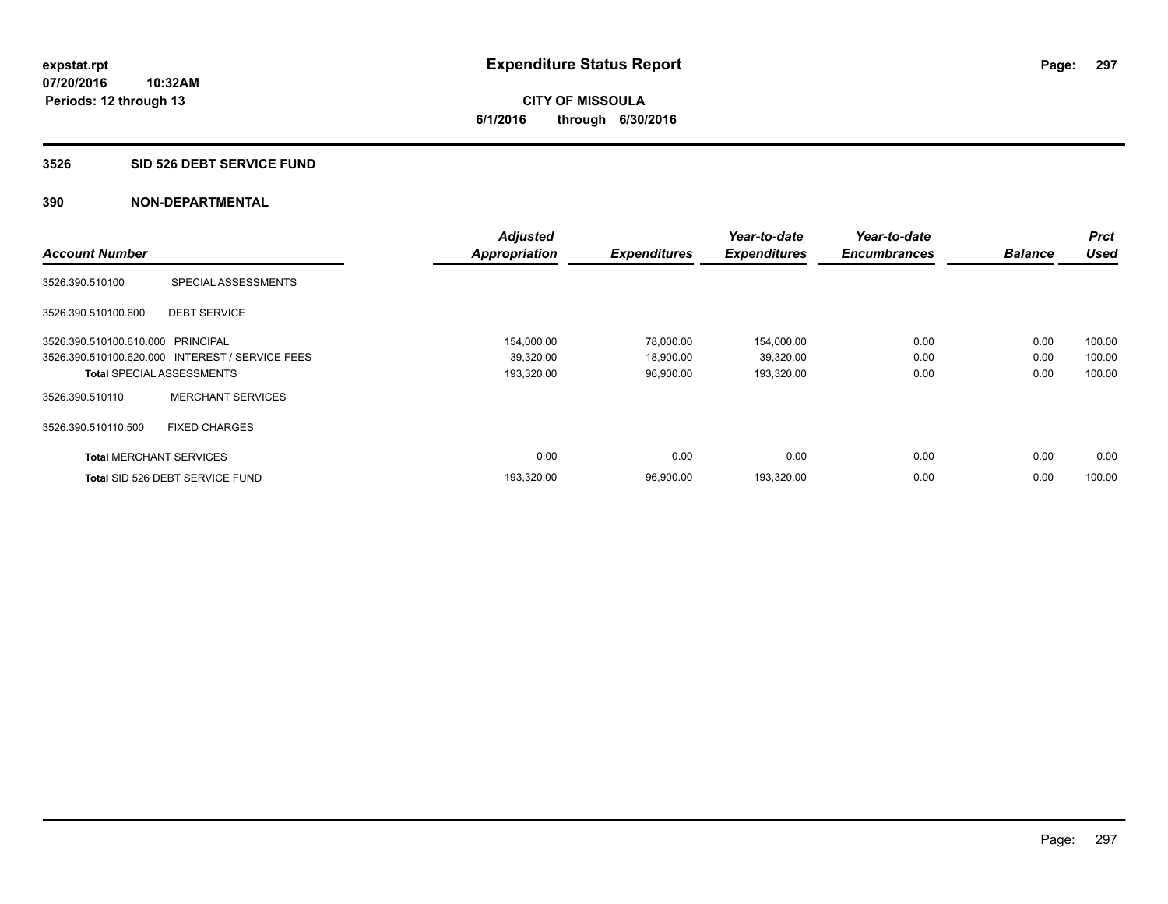**CITY OF MISSOULA 6/1/2016 through 6/30/2016**

#### **3526 SID 526 DEBT SERVICE FUND**

|                                   |                                                 | <b>Adjusted</b> |                     | Year-to-date        | Year-to-date        |                | <b>Prct</b> |
|-----------------------------------|-------------------------------------------------|-----------------|---------------------|---------------------|---------------------|----------------|-------------|
| <b>Account Number</b>             |                                                 | Appropriation   | <b>Expenditures</b> | <b>Expenditures</b> | <b>Encumbrances</b> | <b>Balance</b> | <b>Used</b> |
| 3526.390.510100                   | SPECIAL ASSESSMENTS                             |                 |                     |                     |                     |                |             |
| 3526.390.510100.600               | <b>DEBT SERVICE</b>                             |                 |                     |                     |                     |                |             |
| 3526.390.510100.610.000 PRINCIPAL |                                                 | 154,000.00      | 78,000.00           | 154,000.00          | 0.00                | 0.00           | 100.00      |
|                                   | 3526.390.510100.620.000 INTEREST / SERVICE FEES | 39,320.00       | 18,900.00           | 39,320.00           | 0.00                | 0.00           | 100.00      |
|                                   | <b>Total SPECIAL ASSESSMENTS</b>                | 193,320.00      | 96,900.00           | 193,320.00          | 0.00                | 0.00           | 100.00      |
| 3526.390.510110                   | <b>MERCHANT SERVICES</b>                        |                 |                     |                     |                     |                |             |
| 3526.390.510110.500               | <b>FIXED CHARGES</b>                            |                 |                     |                     |                     |                |             |
| <b>Total MERCHANT SERVICES</b>    |                                                 | 0.00            | 0.00                | 0.00                | 0.00                | 0.00           | 0.00        |
|                                   | Total SID 526 DEBT SERVICE FUND                 | 193,320.00      | 96,900.00           | 193,320.00          | 0.00                | 0.00           | 100.00      |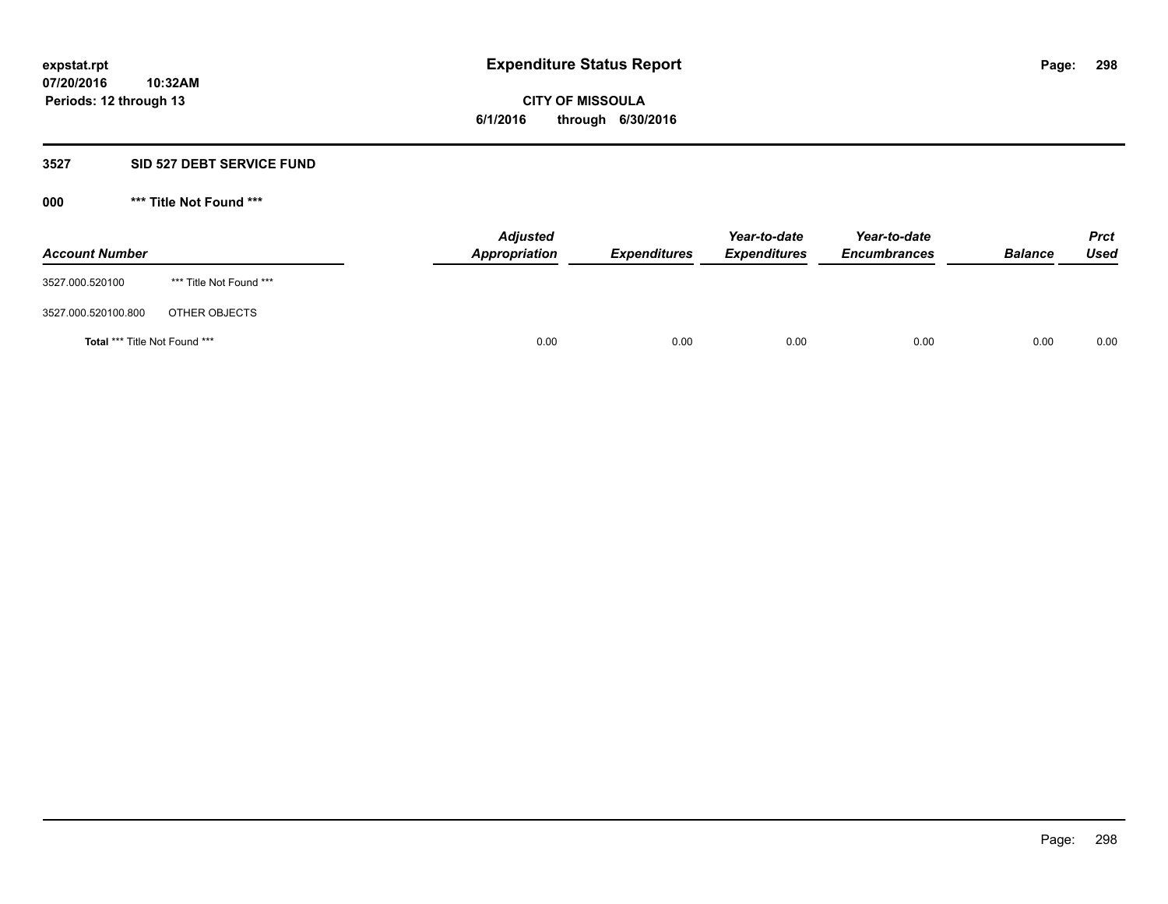**CITY OF MISSOULA 6/1/2016 through 6/30/2016**

## **3527 SID 527 DEBT SERVICE FUND**

**000 \*\*\* Title Not Found \*\*\***

| <b>Account Number</b>         |                         | <b>Adjusted</b><br>Appropriation | <b>Expenditures</b> | Year-to-date<br><b>Expenditures</b> | Year-to-date<br><b>Encumbrances</b> | <b>Balance</b> | <b>Prct</b><br>Used |
|-------------------------------|-------------------------|----------------------------------|---------------------|-------------------------------------|-------------------------------------|----------------|---------------------|
| 3527.000.520100               | *** Title Not Found *** |                                  |                     |                                     |                                     |                |                     |
| 3527.000.520100.800           | OTHER OBJECTS           |                                  |                     |                                     |                                     |                |                     |
| Total *** Title Not Found *** |                         | 0.00                             | 0.00                | 0.00                                | 0.00                                | 0.00           | 0.00                |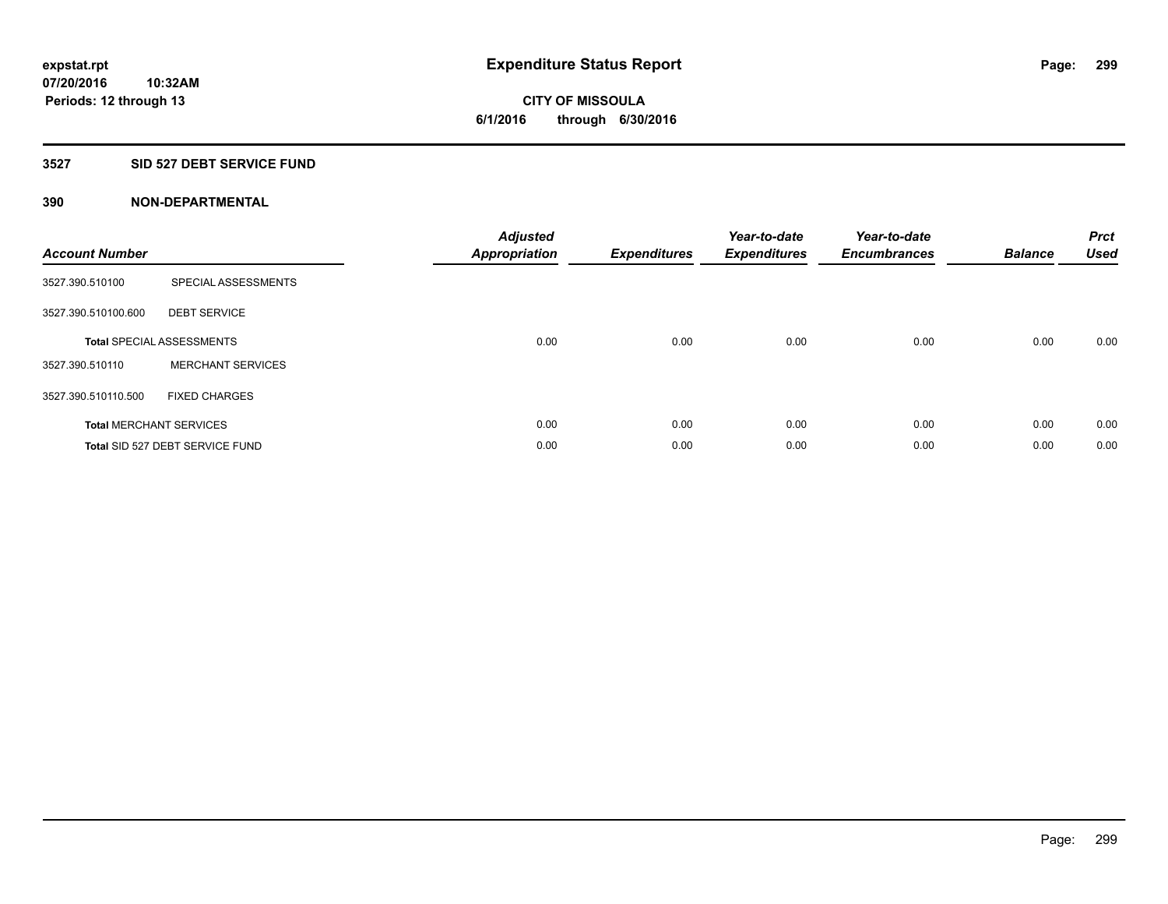## **3527 SID 527 DEBT SERVICE FUND**

| <b>Account Number</b> |                                  | <b>Adjusted</b><br>Appropriation | <b>Expenditures</b> | Year-to-date<br><b>Expenditures</b> | Year-to-date<br><b>Encumbrances</b> | <b>Balance</b> | <b>Prct</b><br><b>Used</b> |
|-----------------------|----------------------------------|----------------------------------|---------------------|-------------------------------------|-------------------------------------|----------------|----------------------------|
| 3527.390.510100       | SPECIAL ASSESSMENTS              |                                  |                     |                                     |                                     |                |                            |
| 3527.390.510100.600   | <b>DEBT SERVICE</b>              |                                  |                     |                                     |                                     |                |                            |
|                       | <b>Total SPECIAL ASSESSMENTS</b> | 0.00                             | 0.00                | 0.00                                | 0.00                                | 0.00           | 0.00                       |
| 3527.390.510110       | <b>MERCHANT SERVICES</b>         |                                  |                     |                                     |                                     |                |                            |
| 3527.390.510110.500   | <b>FIXED CHARGES</b>             |                                  |                     |                                     |                                     |                |                            |
|                       | <b>Total MERCHANT SERVICES</b>   | 0.00                             | 0.00                | 0.00                                | 0.00                                | 0.00           | 0.00                       |
|                       | Total SID 527 DEBT SERVICE FUND  | 0.00                             | 0.00                | 0.00                                | 0.00                                | 0.00           | 0.00                       |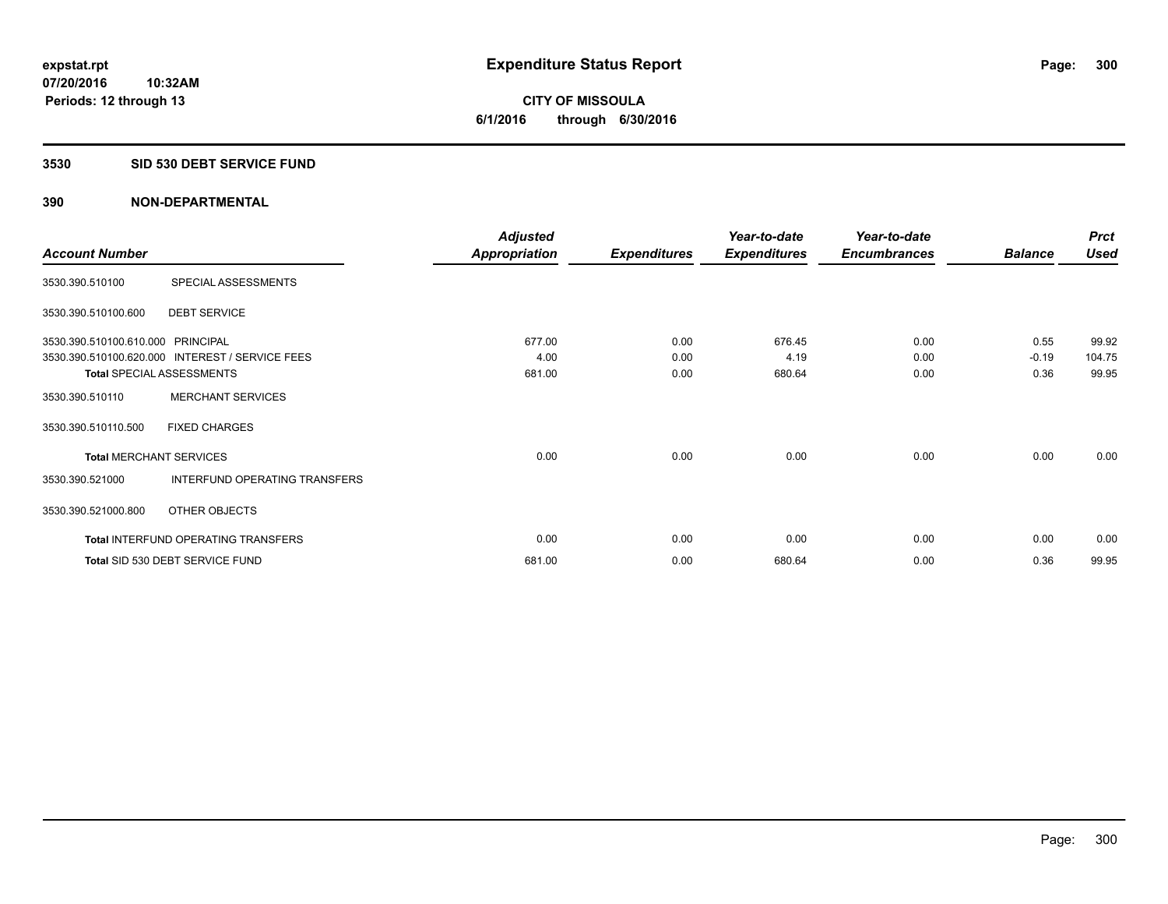#### **3530 SID 530 DEBT SERVICE FUND**

|                                   |                                                 | <b>Adjusted</b>      |                     | Year-to-date        | Year-to-date        |                | <b>Prct</b> |
|-----------------------------------|-------------------------------------------------|----------------------|---------------------|---------------------|---------------------|----------------|-------------|
| <b>Account Number</b>             |                                                 | <b>Appropriation</b> | <b>Expenditures</b> | <b>Expenditures</b> | <b>Encumbrances</b> | <b>Balance</b> | <b>Used</b> |
| 3530.390.510100                   | SPECIAL ASSESSMENTS                             |                      |                     |                     |                     |                |             |
| 3530.390.510100.600               | <b>DEBT SERVICE</b>                             |                      |                     |                     |                     |                |             |
| 3530.390.510100.610.000 PRINCIPAL |                                                 | 677.00               | 0.00                | 676.45              | 0.00                | 0.55           | 99.92       |
|                                   | 3530.390.510100.620.000 INTEREST / SERVICE FEES | 4.00                 | 0.00                | 4.19                | 0.00                | $-0.19$        | 104.75      |
|                                   | <b>Total SPECIAL ASSESSMENTS</b>                | 681.00               | 0.00                | 680.64              | 0.00                | 0.36           | 99.95       |
| 3530.390.510110                   | <b>MERCHANT SERVICES</b>                        |                      |                     |                     |                     |                |             |
| 3530.390.510110.500               | <b>FIXED CHARGES</b>                            |                      |                     |                     |                     |                |             |
| <b>Total MERCHANT SERVICES</b>    |                                                 | 0.00                 | 0.00                | 0.00                | 0.00                | 0.00           | 0.00        |
| 3530.390.521000                   | INTERFUND OPERATING TRANSFERS                   |                      |                     |                     |                     |                |             |
| 3530.390.521000.800               | OTHER OBJECTS                                   |                      |                     |                     |                     |                |             |
|                                   | Total INTERFUND OPERATING TRANSFERS             | 0.00                 | 0.00                | 0.00                | 0.00                | 0.00           | 0.00        |
|                                   | Total SID 530 DEBT SERVICE FUND                 | 681.00               | 0.00                | 680.64              | 0.00                | 0.36           | 99.95       |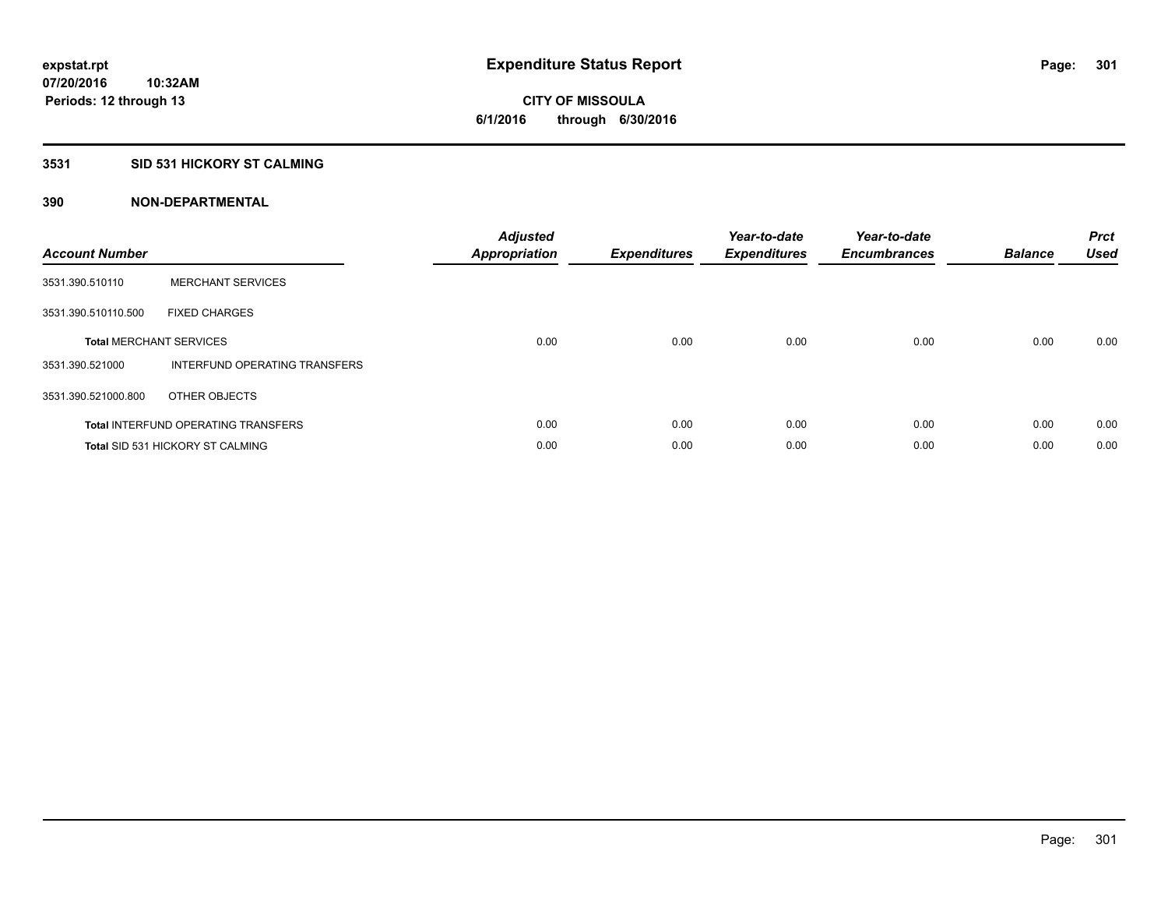## **3531 SID 531 HICKORY ST CALMING**

| <b>Account Number</b> |                                            | <b>Adjusted</b><br>Appropriation | <b>Expenditures</b> | Year-to-date<br><b>Expenditures</b> | Year-to-date<br><b>Encumbrances</b> | <b>Balance</b> | <b>Prct</b><br><b>Used</b> |
|-----------------------|--------------------------------------------|----------------------------------|---------------------|-------------------------------------|-------------------------------------|----------------|----------------------------|
| 3531.390.510110       | <b>MERCHANT SERVICES</b>                   |                                  |                     |                                     |                                     |                |                            |
| 3531.390.510110.500   | <b>FIXED CHARGES</b>                       |                                  |                     |                                     |                                     |                |                            |
|                       | <b>Total MERCHANT SERVICES</b>             | 0.00                             | 0.00                | 0.00                                | 0.00                                | 0.00           | 0.00                       |
| 3531.390.521000       | INTERFUND OPERATING TRANSFERS              |                                  |                     |                                     |                                     |                |                            |
| 3531.390.521000.800   | OTHER OBJECTS                              |                                  |                     |                                     |                                     |                |                            |
|                       | <b>Total INTERFUND OPERATING TRANSFERS</b> | 0.00                             | 0.00                | 0.00                                | 0.00                                | 0.00           | 0.00                       |
|                       | <b>Total SID 531 HICKORY ST CALMING</b>    | 0.00                             | 0.00                | 0.00                                | 0.00                                | 0.00           | 0.00                       |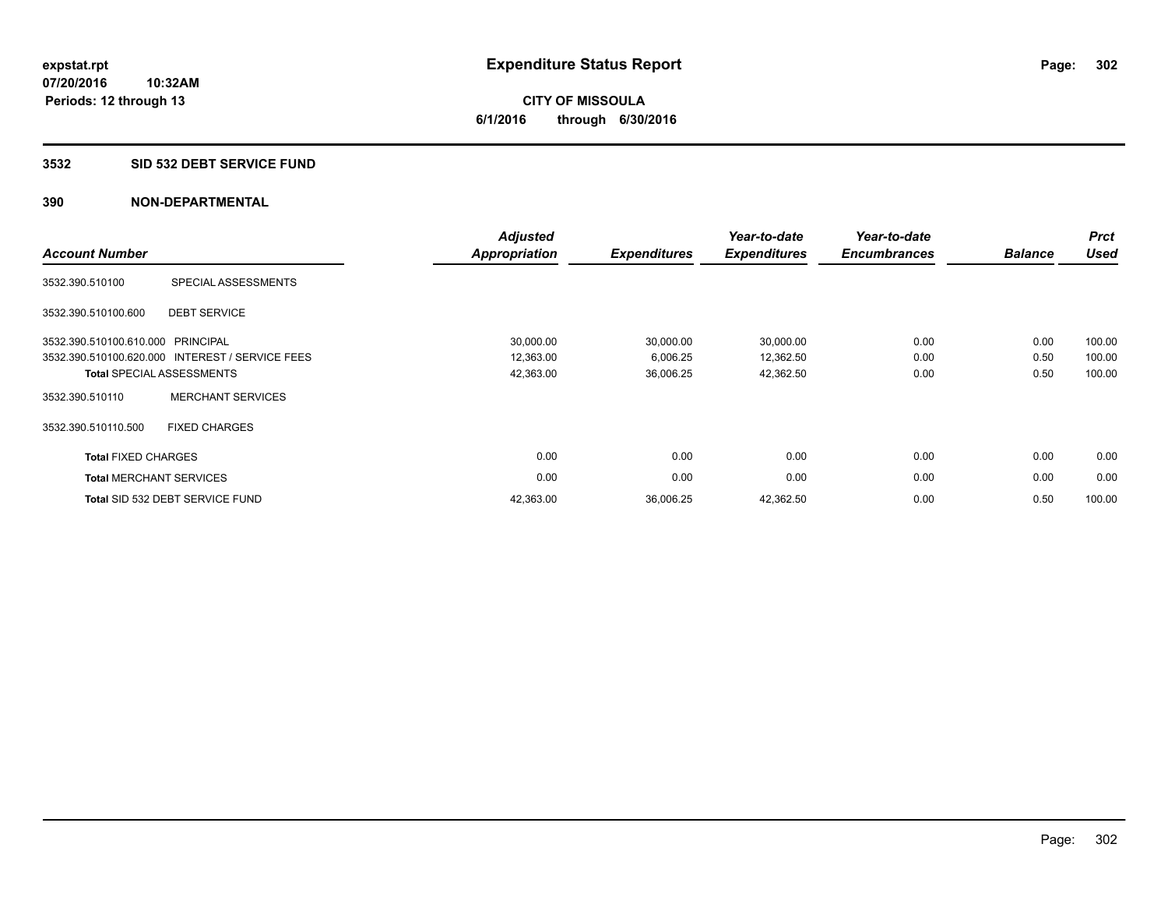#### **3532 SID 532 DEBT SERVICE FUND**

|                                   |                                                 | <b>Adjusted</b>      |                     | Year-to-date        | Year-to-date        |                | <b>Prct</b> |
|-----------------------------------|-------------------------------------------------|----------------------|---------------------|---------------------|---------------------|----------------|-------------|
| <b>Account Number</b>             |                                                 | <b>Appropriation</b> | <b>Expenditures</b> | <b>Expenditures</b> | <b>Encumbrances</b> | <b>Balance</b> | <b>Used</b> |
| 3532.390.510100                   | SPECIAL ASSESSMENTS                             |                      |                     |                     |                     |                |             |
| 3532.390.510100.600               | <b>DEBT SERVICE</b>                             |                      |                     |                     |                     |                |             |
| 3532.390.510100.610.000 PRINCIPAL |                                                 | 30,000.00            | 30,000.00           | 30,000.00           | 0.00                | 0.00           | 100.00      |
|                                   | 3532.390.510100.620.000 INTEREST / SERVICE FEES | 12,363.00            | 6,006.25            | 12,362.50           | 0.00                | 0.50           | 100.00      |
|                                   | <b>Total SPECIAL ASSESSMENTS</b>                | 42,363.00            | 36,006.25           | 42,362.50           | 0.00                | 0.50           | 100.00      |
| 3532.390.510110                   | <b>MERCHANT SERVICES</b>                        |                      |                     |                     |                     |                |             |
| 3532.390.510110.500               | <b>FIXED CHARGES</b>                            |                      |                     |                     |                     |                |             |
| <b>Total FIXED CHARGES</b>        |                                                 | 0.00                 | 0.00                | 0.00                | 0.00                | 0.00           | 0.00        |
| <b>Total MERCHANT SERVICES</b>    |                                                 | 0.00                 | 0.00                | 0.00                | 0.00                | 0.00           | 0.00        |
|                                   | Total SID 532 DEBT SERVICE FUND                 | 42,363.00            | 36,006.25           | 42,362.50           | 0.00                | 0.50           | 100.00      |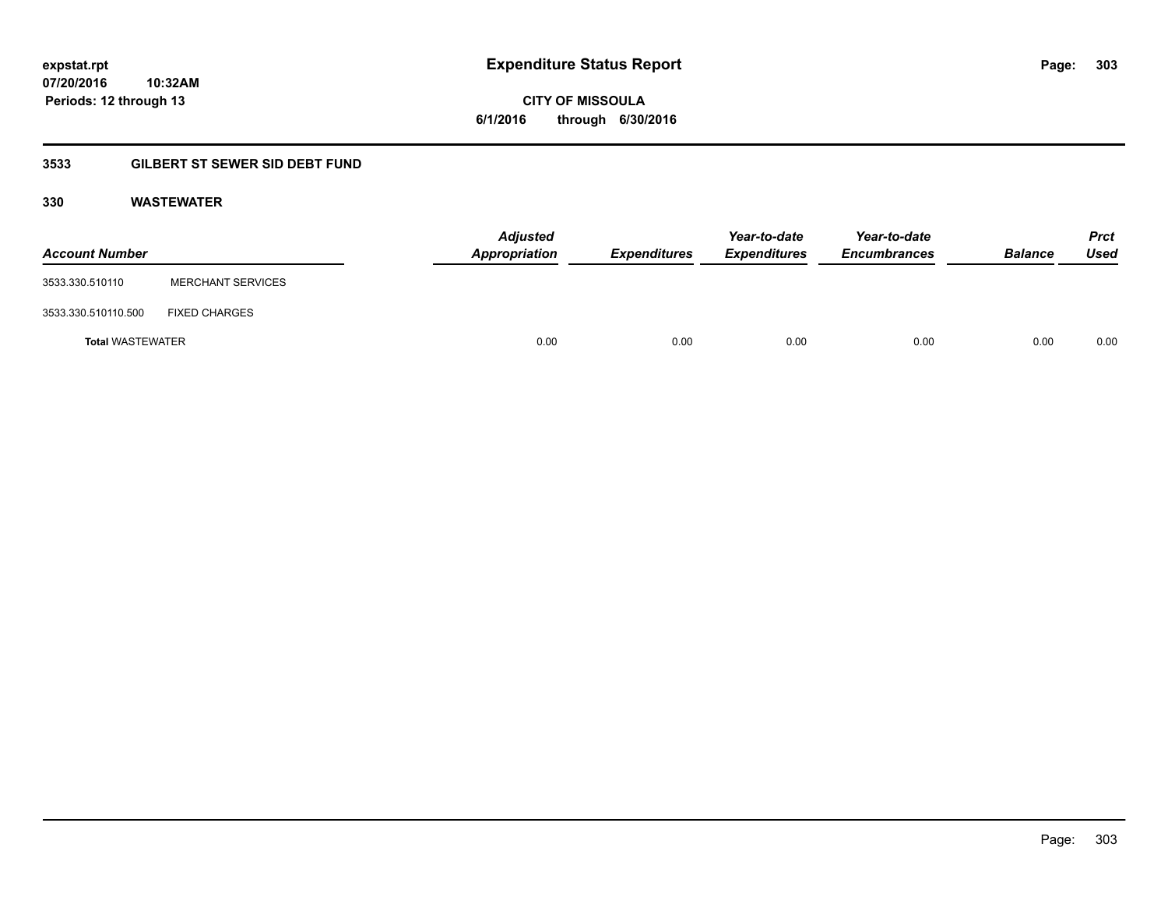**CITY OF MISSOULA 6/1/2016 through 6/30/2016**

## **3533 GILBERT ST SEWER SID DEBT FUND**

## **330 WASTEWATER**

| <b>Account Number</b>   |                          | <b>Adjusted</b><br>Appropriation | <b>Expenditures</b> | Year-to-date<br><b>Expenditures</b> | Year-to-date<br><b>Encumbrances</b> | <b>Balance</b> | <b>Prct</b><br>Used |
|-------------------------|--------------------------|----------------------------------|---------------------|-------------------------------------|-------------------------------------|----------------|---------------------|
| 3533.330.510110         | <b>MERCHANT SERVICES</b> |                                  |                     |                                     |                                     |                |                     |
| 3533.330.510110.500     | <b>FIXED CHARGES</b>     |                                  |                     |                                     |                                     |                |                     |
| <b>Total WASTEWATER</b> |                          | 0.00                             | 0.00                | 0.00                                | 0.00                                | 0.00           | 0.00                |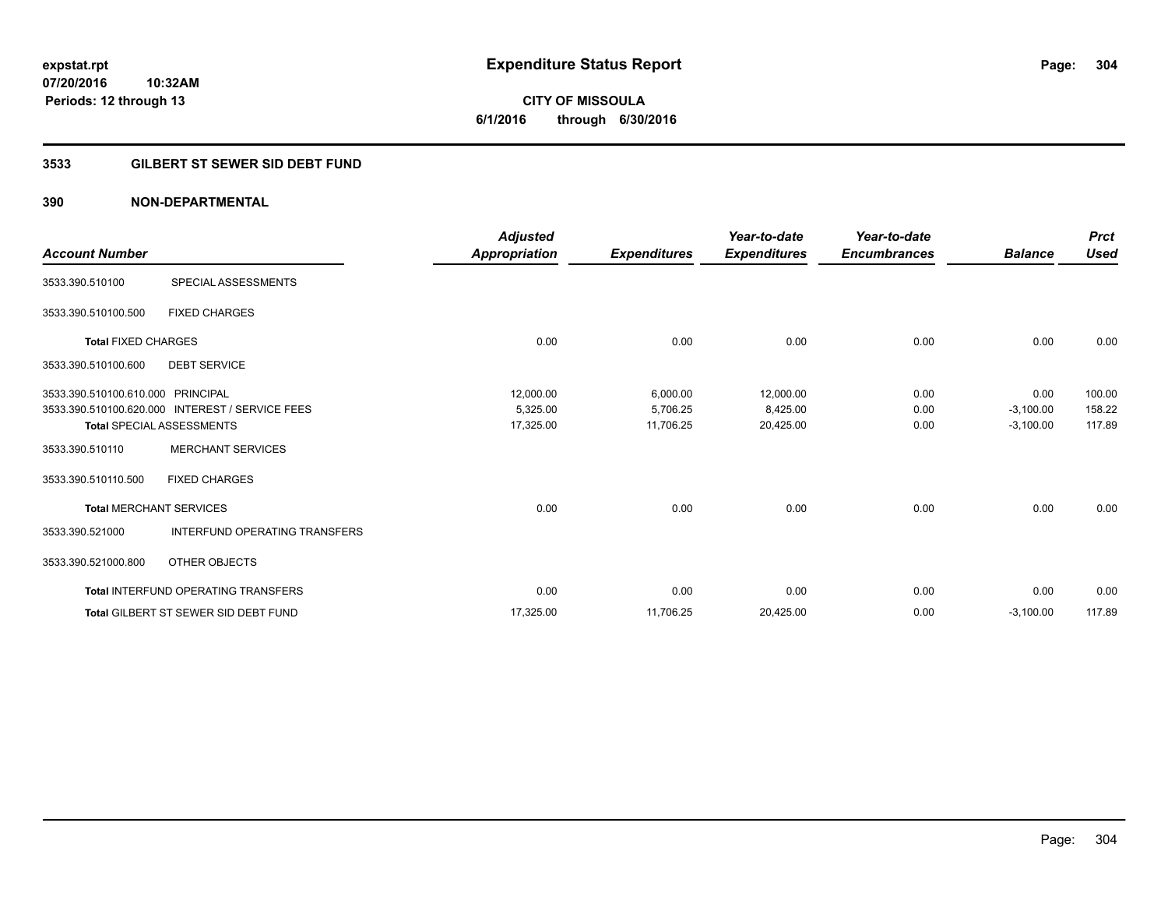**CITY OF MISSOULA 6/1/2016 through 6/30/2016**

## **3533 GILBERT ST SEWER SID DEBT FUND**

|                                   |                                                 | <b>Adjusted</b> |                     | Year-to-date        | Year-to-date        |                | <b>Prct</b> |
|-----------------------------------|-------------------------------------------------|-----------------|---------------------|---------------------|---------------------|----------------|-------------|
| <b>Account Number</b>             |                                                 | Appropriation   | <b>Expenditures</b> | <b>Expenditures</b> | <b>Encumbrances</b> | <b>Balance</b> | <b>Used</b> |
| 3533.390.510100                   | SPECIAL ASSESSMENTS                             |                 |                     |                     |                     |                |             |
| 3533.390.510100.500               | <b>FIXED CHARGES</b>                            |                 |                     |                     |                     |                |             |
| <b>Total FIXED CHARGES</b>        |                                                 | 0.00            | 0.00                | 0.00                | 0.00                | 0.00           | 0.00        |
| 3533.390.510100.600               | <b>DEBT SERVICE</b>                             |                 |                     |                     |                     |                |             |
| 3533.390.510100.610.000 PRINCIPAL |                                                 | 12,000.00       | 6,000.00            | 12,000.00           | 0.00                | 0.00           | 100.00      |
|                                   | 3533.390.510100.620.000 INTEREST / SERVICE FEES | 5,325.00        | 5,706.25            | 8,425.00            | 0.00                | $-3,100.00$    | 158.22      |
|                                   | <b>Total SPECIAL ASSESSMENTS</b>                | 17,325.00       | 11,706.25           | 20,425.00           | 0.00                | $-3,100.00$    | 117.89      |
| 3533.390.510110                   | <b>MERCHANT SERVICES</b>                        |                 |                     |                     |                     |                |             |
| 3533.390.510110.500               | <b>FIXED CHARGES</b>                            |                 |                     |                     |                     |                |             |
|                                   | <b>Total MERCHANT SERVICES</b>                  | 0.00            | 0.00                | 0.00                | 0.00                | 0.00           | 0.00        |
| 3533.390.521000                   | <b>INTERFUND OPERATING TRANSFERS</b>            |                 |                     |                     |                     |                |             |
| 3533.390.521000.800               | OTHER OBJECTS                                   |                 |                     |                     |                     |                |             |
|                                   | <b>Total INTERFUND OPERATING TRANSFERS</b>      | 0.00            | 0.00                | 0.00                | 0.00                | 0.00           | 0.00        |
|                                   | <b>Total GILBERT ST SEWER SID DEBT FUND</b>     | 17,325.00       | 11,706.25           | 20,425.00           | 0.00                | $-3,100.00$    | 117.89      |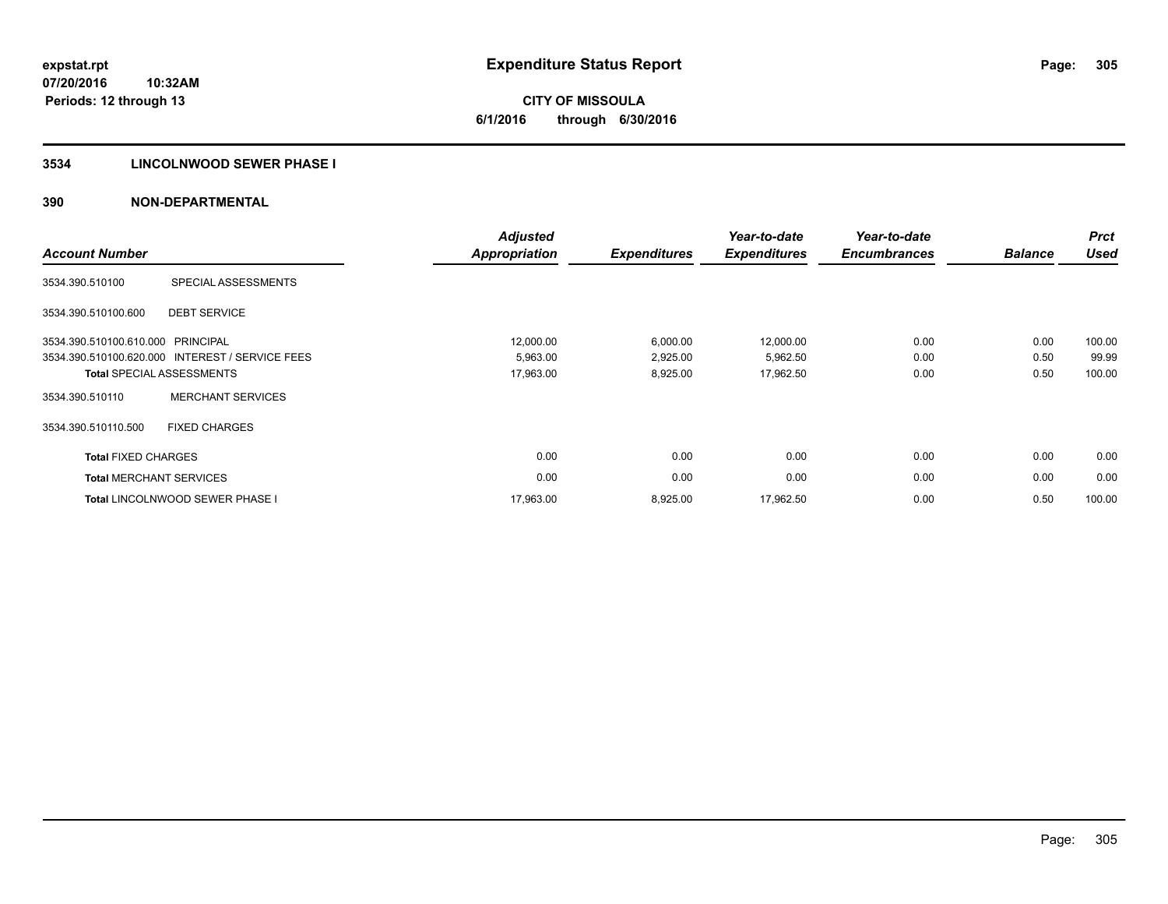# **CITY OF MISSOULA 6/1/2016 through 6/30/2016**

## **3534 LINCOLNWOOD SEWER PHASE I**

| <b>Account Number</b>             |                                                 | <b>Adjusted</b><br><b>Appropriation</b> | <b>Expenditures</b> | Year-to-date<br><b>Expenditures</b> | Year-to-date<br><b>Encumbrances</b> | <b>Balance</b> | <b>Prct</b><br><b>Used</b> |
|-----------------------------------|-------------------------------------------------|-----------------------------------------|---------------------|-------------------------------------|-------------------------------------|----------------|----------------------------|
| 3534.390.510100                   | SPECIAL ASSESSMENTS                             |                                         |                     |                                     |                                     |                |                            |
| 3534.390.510100.600               | <b>DEBT SERVICE</b>                             |                                         |                     |                                     |                                     |                |                            |
| 3534.390.510100.610.000 PRINCIPAL |                                                 | 12,000.00                               | 6,000.00            | 12,000.00                           | 0.00                                | 0.00           | 100.00                     |
|                                   | 3534.390.510100.620.000 INTEREST / SERVICE FEES | 5,963.00                                | 2,925.00            | 5,962.50                            | 0.00                                | 0.50           | 99.99                      |
|                                   | <b>Total SPECIAL ASSESSMENTS</b>                | 17,963.00                               | 8,925.00            | 17,962.50                           | 0.00                                | 0.50           | 100.00                     |
| 3534.390.510110                   | <b>MERCHANT SERVICES</b>                        |                                         |                     |                                     |                                     |                |                            |
| 3534.390.510110.500               | <b>FIXED CHARGES</b>                            |                                         |                     |                                     |                                     |                |                            |
| <b>Total FIXED CHARGES</b>        |                                                 | 0.00                                    | 0.00                | 0.00                                | 0.00                                | 0.00           | 0.00                       |
| <b>Total MERCHANT SERVICES</b>    |                                                 | 0.00                                    | 0.00                | 0.00                                | 0.00                                | 0.00           | 0.00                       |
|                                   | <b>Total LINCOLNWOOD SEWER PHASE I</b>          | 17,963.00                               | 8,925.00            | 17,962.50                           | 0.00                                | 0.50           | 100.00                     |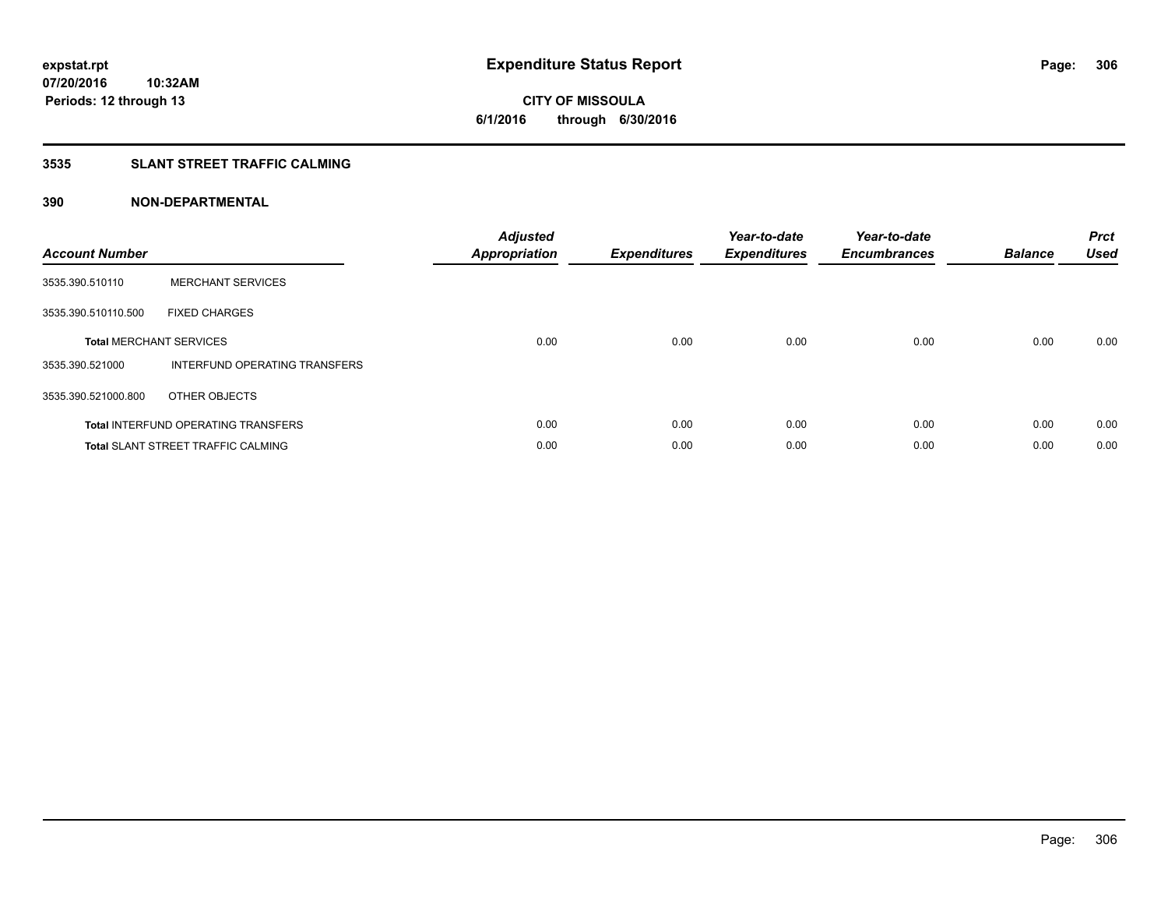**CITY OF MISSOULA 6/1/2016 through 6/30/2016**

## **3535 SLANT STREET TRAFFIC CALMING**

| <b>Account Number</b> |                                            | <b>Adjusted</b><br>Appropriation | <b>Expenditures</b> | Year-to-date<br><b>Expenditures</b> | Year-to-date<br><b>Encumbrances</b> | <b>Balance</b> | <b>Prct</b><br><b>Used</b> |
|-----------------------|--------------------------------------------|----------------------------------|---------------------|-------------------------------------|-------------------------------------|----------------|----------------------------|
| 3535.390.510110       | <b>MERCHANT SERVICES</b>                   |                                  |                     |                                     |                                     |                |                            |
| 3535.390.510110.500   | <b>FIXED CHARGES</b>                       |                                  |                     |                                     |                                     |                |                            |
|                       | <b>Total MERCHANT SERVICES</b>             | 0.00                             | 0.00                | 0.00                                | 0.00                                | 0.00           | 0.00                       |
| 3535.390.521000       | INTERFUND OPERATING TRANSFERS              |                                  |                     |                                     |                                     |                |                            |
| 3535.390.521000.800   | OTHER OBJECTS                              |                                  |                     |                                     |                                     |                |                            |
|                       | <b>Total INTERFUND OPERATING TRANSFERS</b> | 0.00                             | 0.00                | 0.00                                | 0.00                                | 0.00           | 0.00                       |
|                       | <b>Total SLANT STREET TRAFFIC CALMING</b>  | 0.00                             | 0.00                | 0.00                                | 0.00                                | 0.00           | 0.00                       |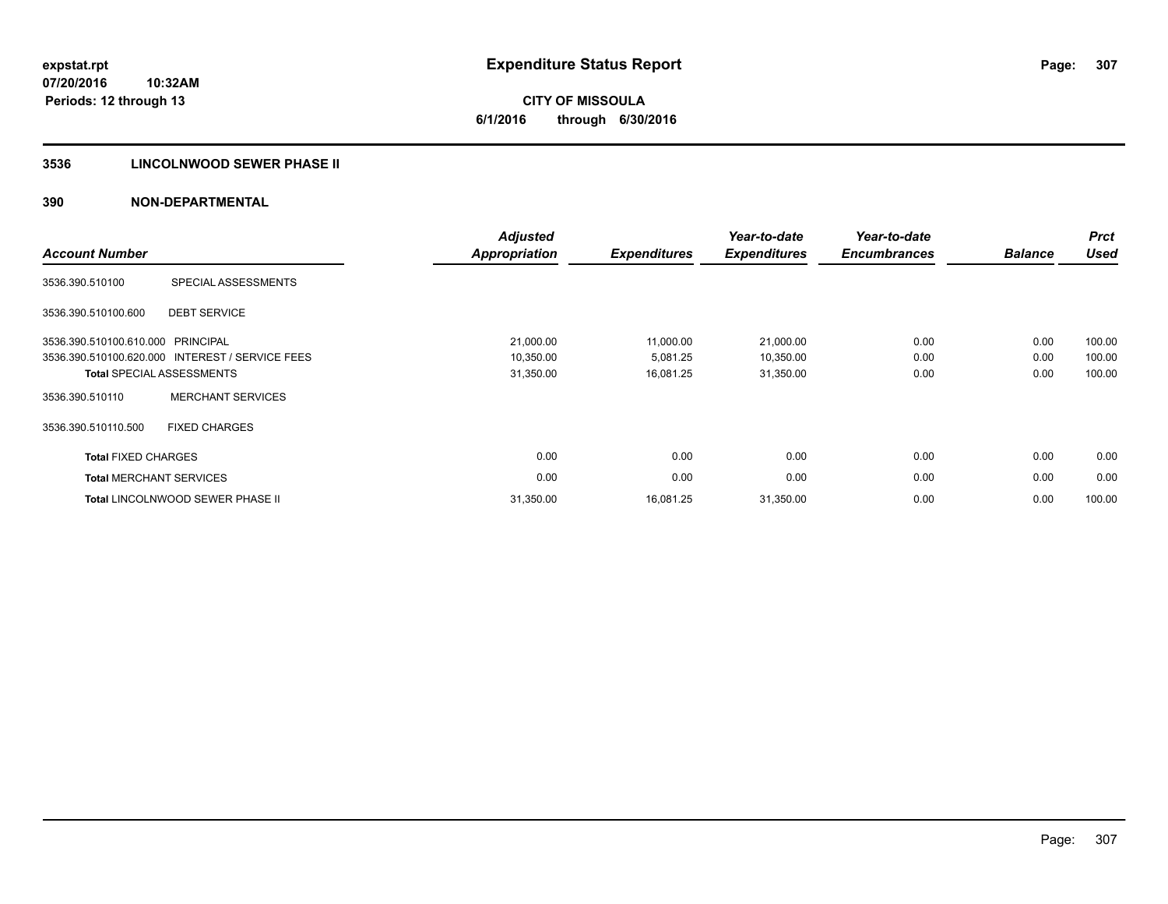**CITY OF MISSOULA 6/1/2016 through 6/30/2016**

## **3536 LINCOLNWOOD SEWER PHASE II**

| <b>Account Number</b>          |                                                 | <b>Adjusted</b><br><b>Appropriation</b> | <b>Expenditures</b> | Year-to-date<br><b>Expenditures</b> | Year-to-date<br><b>Encumbrances</b> | <b>Balance</b> | <b>Prct</b><br><b>Used</b> |
|--------------------------------|-------------------------------------------------|-----------------------------------------|---------------------|-------------------------------------|-------------------------------------|----------------|----------------------------|
| 3536.390.510100                | SPECIAL ASSESSMENTS                             |                                         |                     |                                     |                                     |                |                            |
| 3536.390.510100.600            | <b>DEBT SERVICE</b>                             |                                         |                     |                                     |                                     |                |                            |
| 3536.390.510100.610.000        | PRINCIPAL                                       | 21,000.00                               | 11,000.00           | 21,000.00                           | 0.00                                | 0.00           | 100.00                     |
|                                | 3536.390.510100.620.000 INTEREST / SERVICE FEES | 10,350.00                               | 5,081.25            | 10,350.00                           | 0.00                                | 0.00           | 100.00                     |
|                                | <b>Total SPECIAL ASSESSMENTS</b>                | 31,350.00                               | 16,081.25           | 31,350.00                           | 0.00                                | 0.00           | 100.00                     |
| 3536.390.510110                | <b>MERCHANT SERVICES</b>                        |                                         |                     |                                     |                                     |                |                            |
| 3536.390.510110.500            | <b>FIXED CHARGES</b>                            |                                         |                     |                                     |                                     |                |                            |
| <b>Total FIXED CHARGES</b>     |                                                 | 0.00                                    | 0.00                | 0.00                                | 0.00                                | 0.00           | 0.00                       |
| <b>Total MERCHANT SERVICES</b> |                                                 | 0.00                                    | 0.00                | 0.00                                | 0.00                                | 0.00           | 0.00                       |
|                                | <b>Total LINCOLNWOOD SEWER PHASE II</b>         | 31,350.00                               | 16,081.25           | 31,350.00                           | 0.00                                | 0.00           | 100.00                     |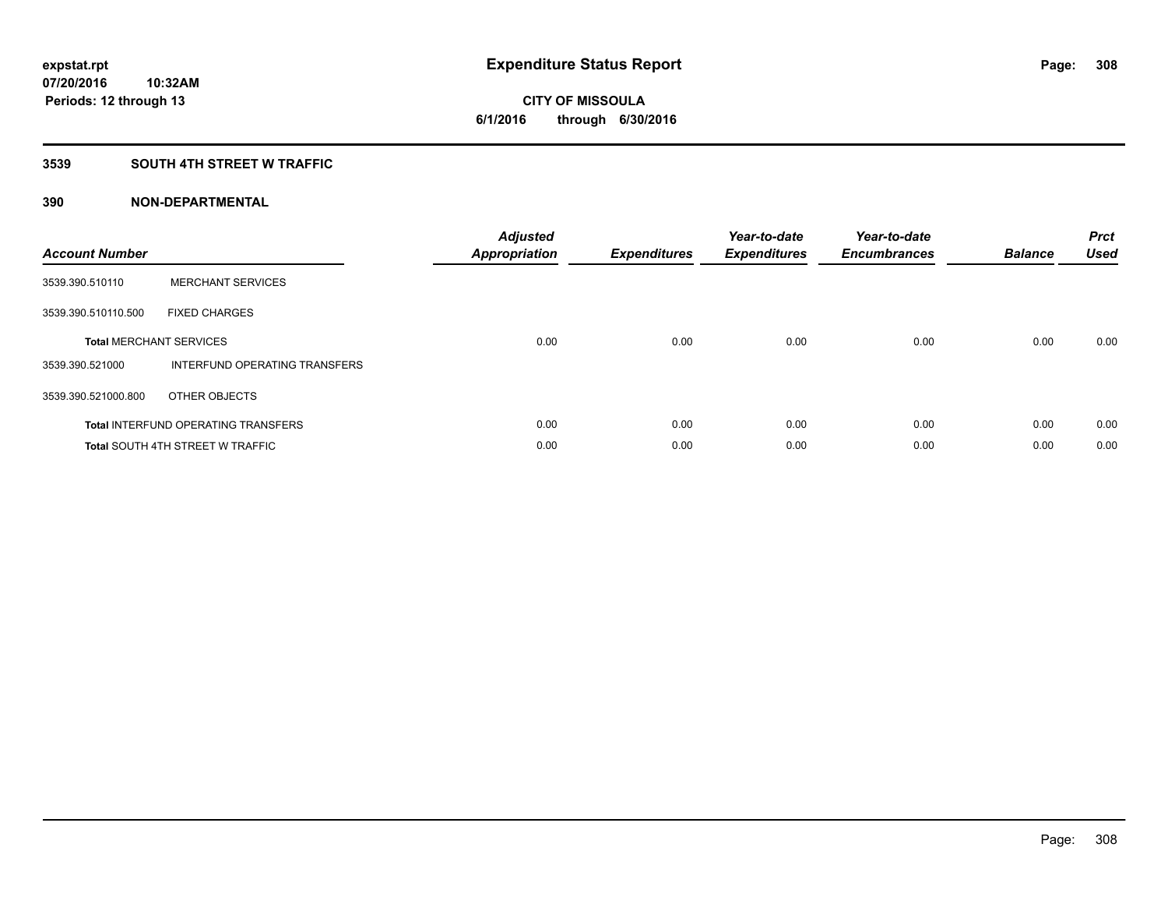## **3539 SOUTH 4TH STREET W TRAFFIC**

| <b>Account Number</b> |                                            | <b>Adjusted</b><br>Appropriation | <b>Expenditures</b> | Year-to-date<br><b>Expenditures</b> | Year-to-date<br><b>Encumbrances</b> | <b>Balance</b> | <b>Prct</b><br><b>Used</b> |
|-----------------------|--------------------------------------------|----------------------------------|---------------------|-------------------------------------|-------------------------------------|----------------|----------------------------|
| 3539.390.510110       | <b>MERCHANT SERVICES</b>                   |                                  |                     |                                     |                                     |                |                            |
| 3539.390.510110.500   | <b>FIXED CHARGES</b>                       |                                  |                     |                                     |                                     |                |                            |
|                       | <b>Total MERCHANT SERVICES</b>             | 0.00                             | 0.00                | 0.00                                | 0.00                                | 0.00           | 0.00                       |
| 3539.390.521000       | INTERFUND OPERATING TRANSFERS              |                                  |                     |                                     |                                     |                |                            |
| 3539.390.521000.800   | OTHER OBJECTS                              |                                  |                     |                                     |                                     |                |                            |
|                       | <b>Total INTERFUND OPERATING TRANSFERS</b> | 0.00                             | 0.00                | 0.00                                | 0.00                                | 0.00           | 0.00                       |
|                       | <b>Total SOUTH 4TH STREET W TRAFFIC</b>    | 0.00                             | 0.00                | 0.00                                | 0.00                                | 0.00           | 0.00                       |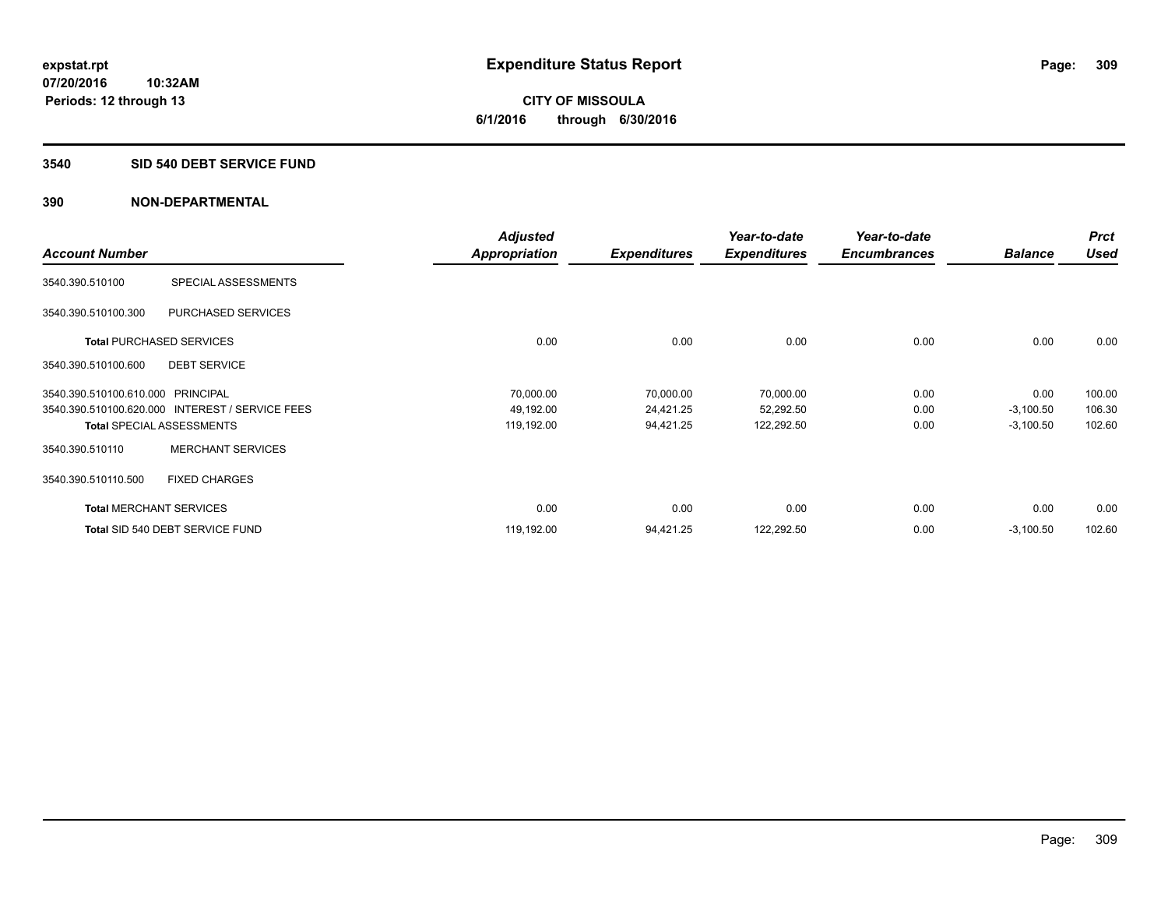**CITY OF MISSOULA 6/1/2016 through 6/30/2016**

#### **3540 SID 540 DEBT SERVICE FUND**

**10:32AM**

|                                   |                                                 | <b>Adjusted</b> |                     | Year-to-date        | Year-to-date        |                | <b>Prct</b> |
|-----------------------------------|-------------------------------------------------|-----------------|---------------------|---------------------|---------------------|----------------|-------------|
| <b>Account Number</b>             |                                                 | Appropriation   | <b>Expenditures</b> | <b>Expenditures</b> | <b>Encumbrances</b> | <b>Balance</b> | <b>Used</b> |
| 3540.390.510100                   | SPECIAL ASSESSMENTS                             |                 |                     |                     |                     |                |             |
| 3540.390.510100.300               | <b>PURCHASED SERVICES</b>                       |                 |                     |                     |                     |                |             |
|                                   | <b>Total PURCHASED SERVICES</b>                 | 0.00            | 0.00                | 0.00                | 0.00                | 0.00           | 0.00        |
| 3540.390.510100.600               | <b>DEBT SERVICE</b>                             |                 |                     |                     |                     |                |             |
| 3540.390.510100.610.000 PRINCIPAL |                                                 | 70,000.00       | 70,000.00           | 70,000.00           | 0.00                | 0.00           | 100.00      |
|                                   | 3540.390.510100.620.000 INTEREST / SERVICE FEES | 49,192.00       | 24,421.25           | 52,292.50           | 0.00                | $-3,100.50$    | 106.30      |
|                                   | <b>Total SPECIAL ASSESSMENTS</b>                | 119,192.00      | 94,421.25           | 122,292.50          | 0.00                | $-3,100.50$    | 102.60      |
| 3540.390.510110                   | <b>MERCHANT SERVICES</b>                        |                 |                     |                     |                     |                |             |
| 3540.390.510110.500               | <b>FIXED CHARGES</b>                            |                 |                     |                     |                     |                |             |
|                                   | <b>Total MERCHANT SERVICES</b>                  | 0.00            | 0.00                | 0.00                | 0.00                | 0.00           | 0.00        |
|                                   | Total SID 540 DEBT SERVICE FUND                 | 119,192.00      | 94,421.25           | 122,292.50          | 0.00                | $-3,100.50$    | 102.60      |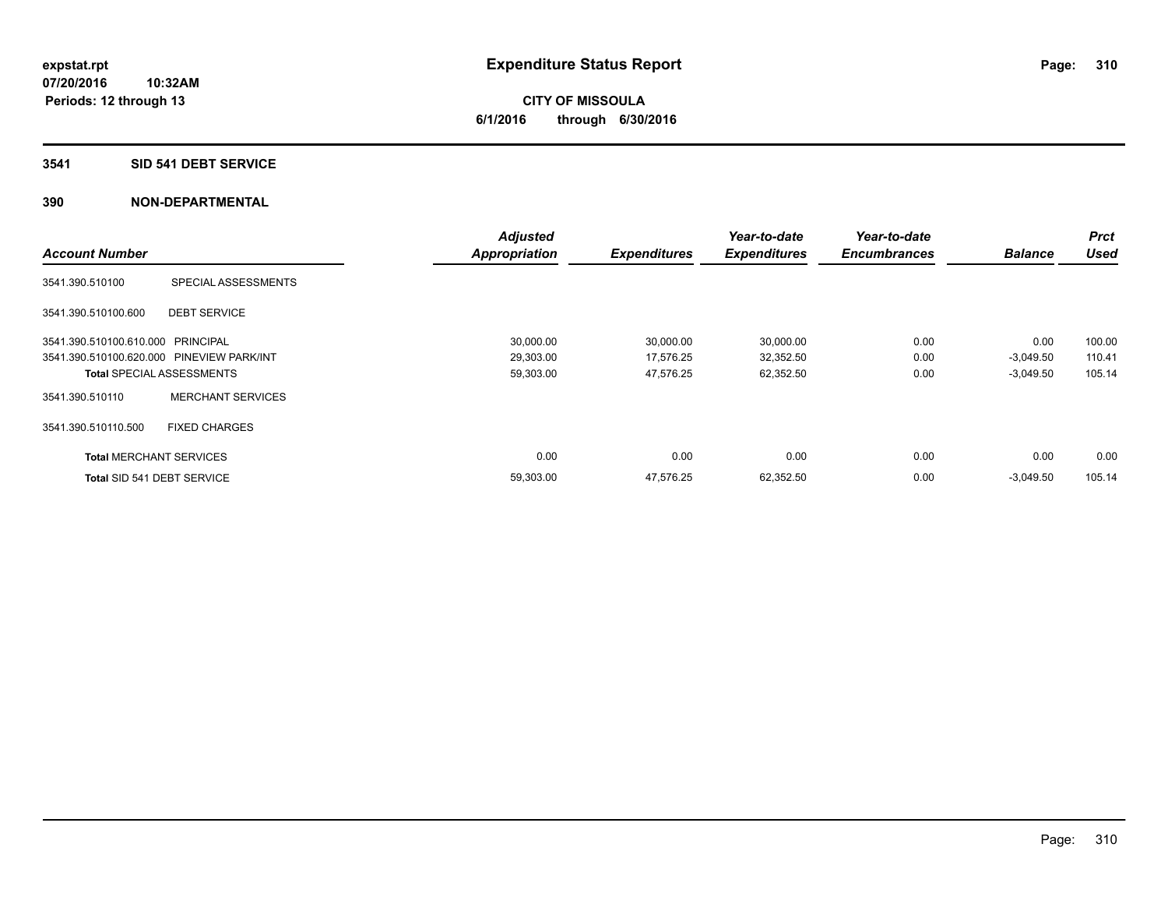## **3541 SID 541 DEBT SERVICE**

|                                           |                                  | <b>Adjusted</b>      |                     | Year-to-date        | Year-to-date        |                | <b>Prct</b> |
|-------------------------------------------|----------------------------------|----------------------|---------------------|---------------------|---------------------|----------------|-------------|
| <b>Account Number</b>                     |                                  | <b>Appropriation</b> | <b>Expenditures</b> | <b>Expenditures</b> | <b>Encumbrances</b> | <b>Balance</b> | <b>Used</b> |
| 3541.390.510100                           | SPECIAL ASSESSMENTS              |                      |                     |                     |                     |                |             |
| 3541.390.510100.600                       | <b>DEBT SERVICE</b>              |                      |                     |                     |                     |                |             |
| 3541.390.510100.610.000 PRINCIPAL         |                                  | 30,000.00            | 30,000.00           | 30,000.00           | 0.00                | 0.00           | 100.00      |
| 3541.390.510100.620.000 PINEVIEW PARK/INT |                                  | 29,303.00            | 17,576.25           | 32,352.50           | 0.00                | $-3,049.50$    | 110.41      |
|                                           | <b>Total SPECIAL ASSESSMENTS</b> | 59,303.00            | 47,576.25           | 62,352.50           | 0.00                | $-3,049.50$    | 105.14      |
| 3541.390.510110                           | <b>MERCHANT SERVICES</b>         |                      |                     |                     |                     |                |             |
| 3541.390.510110.500                       | <b>FIXED CHARGES</b>             |                      |                     |                     |                     |                |             |
| <b>Total MERCHANT SERVICES</b>            |                                  | 0.00                 | 0.00                | 0.00                | 0.00                | 0.00           | 0.00        |
| Total SID 541 DEBT SERVICE                |                                  | 59,303.00            | 47,576.25           | 62,352.50           | 0.00                | $-3,049.50$    | 105.14      |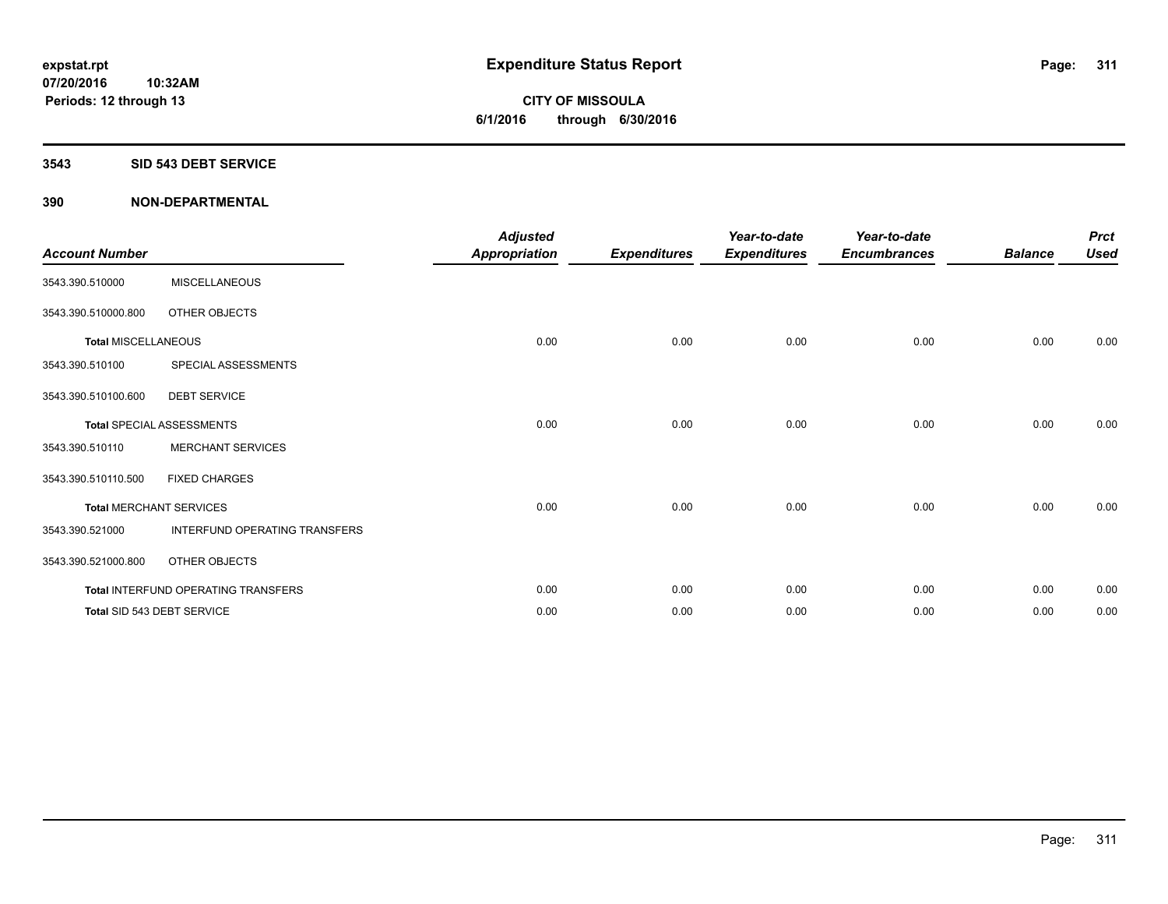#### **3543 SID 543 DEBT SERVICE**

| <b>Account Number</b>      |                                     | <b>Adjusted</b><br><b>Appropriation</b> | <b>Expenditures</b> | Year-to-date<br><b>Expenditures</b> | Year-to-date<br><b>Encumbrances</b> | <b>Balance</b> | <b>Prct</b><br><b>Used</b> |
|----------------------------|-------------------------------------|-----------------------------------------|---------------------|-------------------------------------|-------------------------------------|----------------|----------------------------|
| 3543.390.510000            | <b>MISCELLANEOUS</b>                |                                         |                     |                                     |                                     |                |                            |
| 3543.390.510000.800        | OTHER OBJECTS                       |                                         |                     |                                     |                                     |                |                            |
| <b>Total MISCELLANEOUS</b> |                                     | 0.00                                    | 0.00                | 0.00                                | 0.00                                | 0.00           | 0.00                       |
| 3543.390.510100            | SPECIAL ASSESSMENTS                 |                                         |                     |                                     |                                     |                |                            |
| 3543.390.510100.600        | <b>DEBT SERVICE</b>                 |                                         |                     |                                     |                                     |                |                            |
|                            | <b>Total SPECIAL ASSESSMENTS</b>    | 0.00                                    | 0.00                | 0.00                                | 0.00                                | 0.00           | 0.00                       |
| 3543.390.510110            | <b>MERCHANT SERVICES</b>            |                                         |                     |                                     |                                     |                |                            |
| 3543.390.510110.500        | <b>FIXED CHARGES</b>                |                                         |                     |                                     |                                     |                |                            |
|                            | <b>Total MERCHANT SERVICES</b>      | 0.00                                    | 0.00                | 0.00                                | 0.00                                | 0.00           | 0.00                       |
| 3543.390.521000            | INTERFUND OPERATING TRANSFERS       |                                         |                     |                                     |                                     |                |                            |
| 3543.390.521000.800        | OTHER OBJECTS                       |                                         |                     |                                     |                                     |                |                            |
|                            | Total INTERFUND OPERATING TRANSFERS | 0.00                                    | 0.00                | 0.00                                | 0.00                                | 0.00           | 0.00                       |
|                            | Total SID 543 DEBT SERVICE          | 0.00                                    | 0.00                | 0.00                                | 0.00                                | 0.00           | 0.00                       |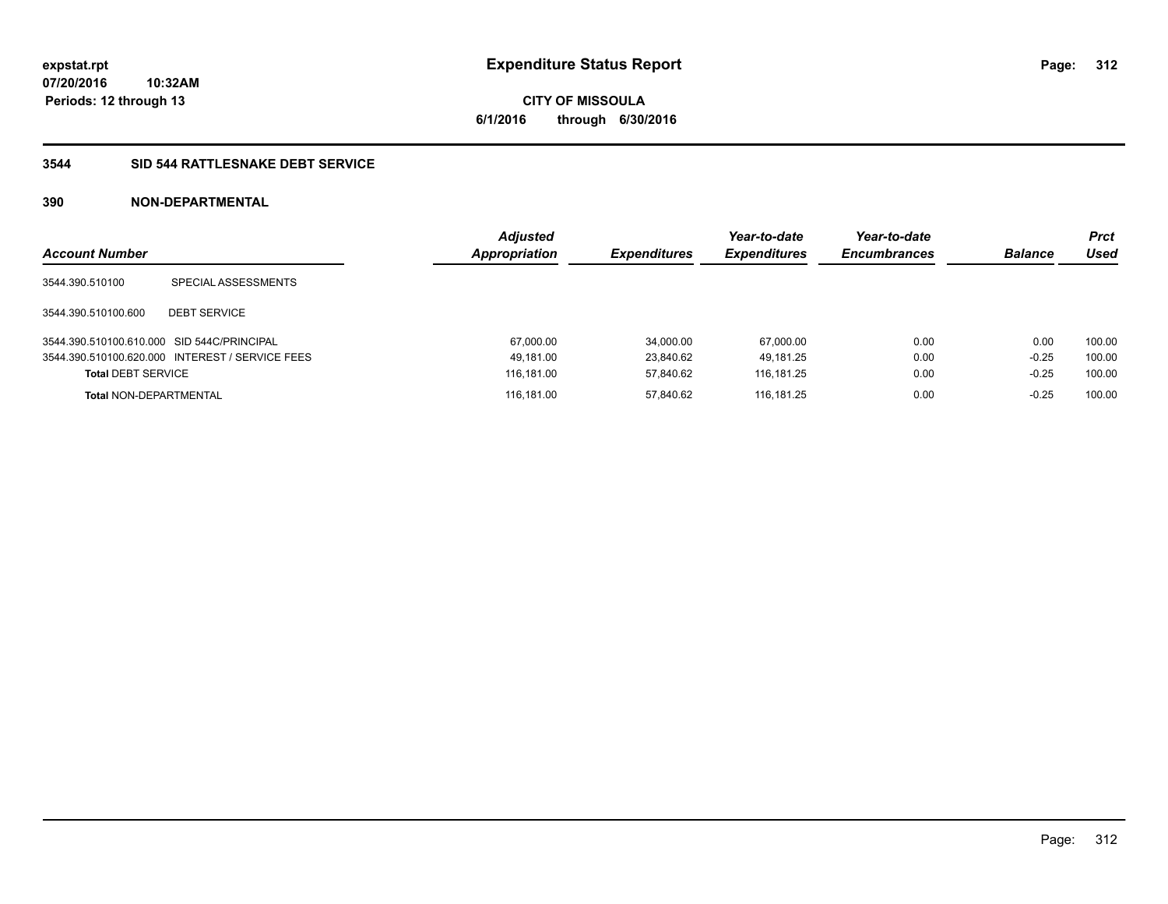**CITY OF MISSOULA 6/1/2016 through 6/30/2016**

## **3544 SID 544 RATTLESNAKE DEBT SERVICE**

| <b>Account Number</b>                      |                                                 | <b>Adjusted</b><br><b>Appropriation</b> | <b>Expenditures</b> | Year-to-date<br><b>Expenditures</b> | Year-to-date<br><b>Encumbrances</b> | <b>Balance</b> | <b>Prct</b><br>Used |
|--------------------------------------------|-------------------------------------------------|-----------------------------------------|---------------------|-------------------------------------|-------------------------------------|----------------|---------------------|
| 3544.390.510100                            | SPECIAL ASSESSMENTS                             |                                         |                     |                                     |                                     |                |                     |
| 3544.390.510100.600                        | <b>DEBT SERVICE</b>                             |                                         |                     |                                     |                                     |                |                     |
| 3544.390.510100.610.000 SID 544C/PRINCIPAL |                                                 | 67,000.00                               | 34.000.00           | 67.000.00                           | 0.00                                | 0.00           | 100.00              |
|                                            | 3544.390.510100.620.000 INTEREST / SERVICE FEES | 49,181.00                               | 23.840.62           | 49.181.25                           | 0.00                                | $-0.25$        | 100.00              |
| <b>Total DEBT SERVICE</b>                  |                                                 | 116.181.00                              | 57.840.62           | 116.181.25                          | 0.00                                | $-0.25$        | 100.00              |
| <b>Total NON-DEPARTMENTAL</b>              |                                                 | 116.181.00                              | 57.840.62           | 116.181.25                          | 0.00                                | $-0.25$        | 100.00              |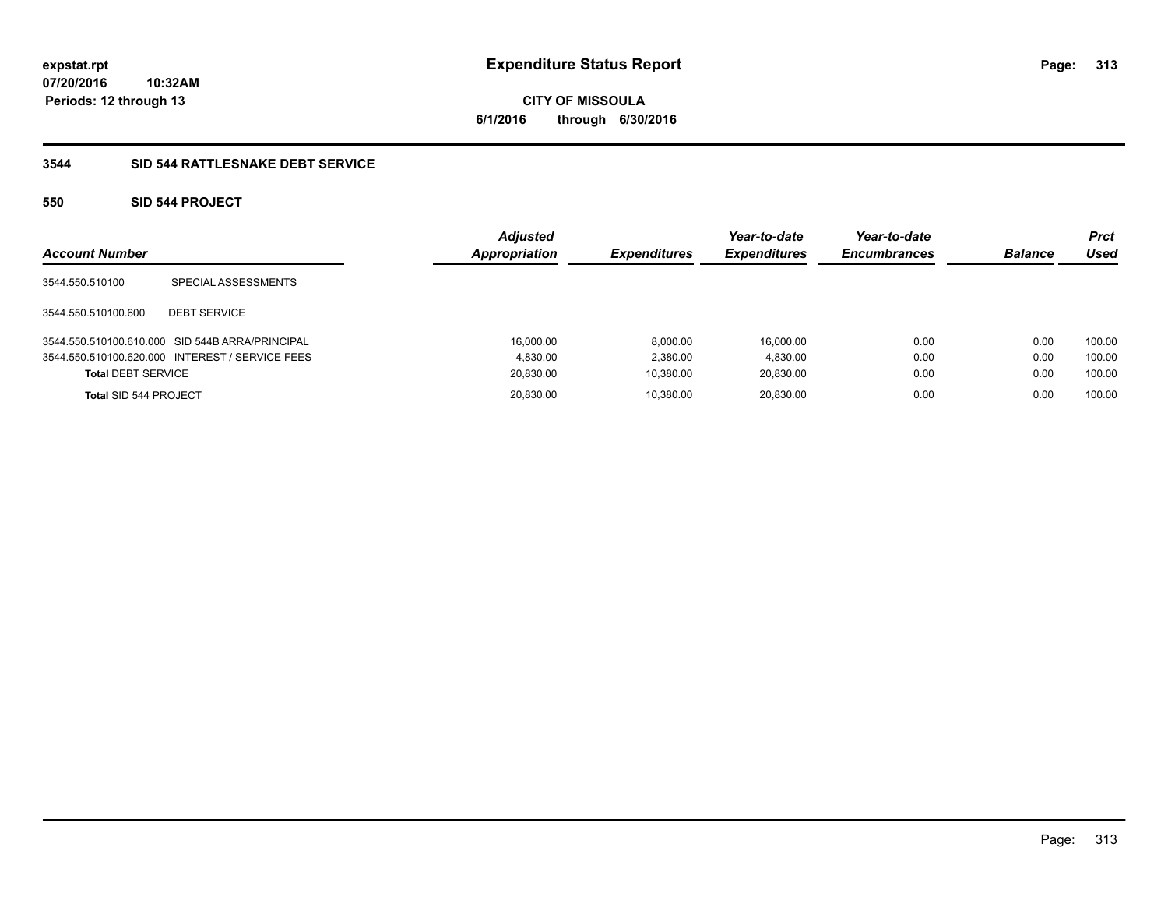**CITY OF MISSOULA 6/1/2016 through 6/30/2016**

## **3544 SID 544 RATTLESNAKE DEBT SERVICE**

## **550 SID 544 PROJECT**

| <b>Account Number</b>     |                                                 | <b>Adjusted</b><br><b>Appropriation</b> | <b>Expenditures</b> | Year-to-date<br><b>Expenditures</b> | Year-to-date<br><b>Encumbrances</b> | <b>Balance</b> | <b>Prct</b><br>Used |
|---------------------------|-------------------------------------------------|-----------------------------------------|---------------------|-------------------------------------|-------------------------------------|----------------|---------------------|
| 3544.550.510100           | SPECIAL ASSESSMENTS                             |                                         |                     |                                     |                                     |                |                     |
| 3544.550.510100.600       | <b>DEBT SERVICE</b>                             |                                         |                     |                                     |                                     |                |                     |
|                           | 3544.550.510100.610.000 SID 544B ARRA/PRINCIPAL | 16.000.00                               | 8.000.00            | 16.000.00                           | 0.00                                | 0.00           | 100.00              |
|                           | 3544.550.510100.620.000 INTEREST / SERVICE FEES | 4.830.00                                | 2,380.00            | 4,830.00                            | 0.00                                | 0.00           | 100.00              |
| <b>Total DEBT SERVICE</b> |                                                 | 20,830.00                               | 10,380.00           | 20,830.00                           | 0.00                                | 0.00           | 100.00              |
| Total SID 544 PROJECT     |                                                 | 20,830.00                               | 10.380.00           | 20,830.00                           | 0.00                                | 0.00           | 100.00              |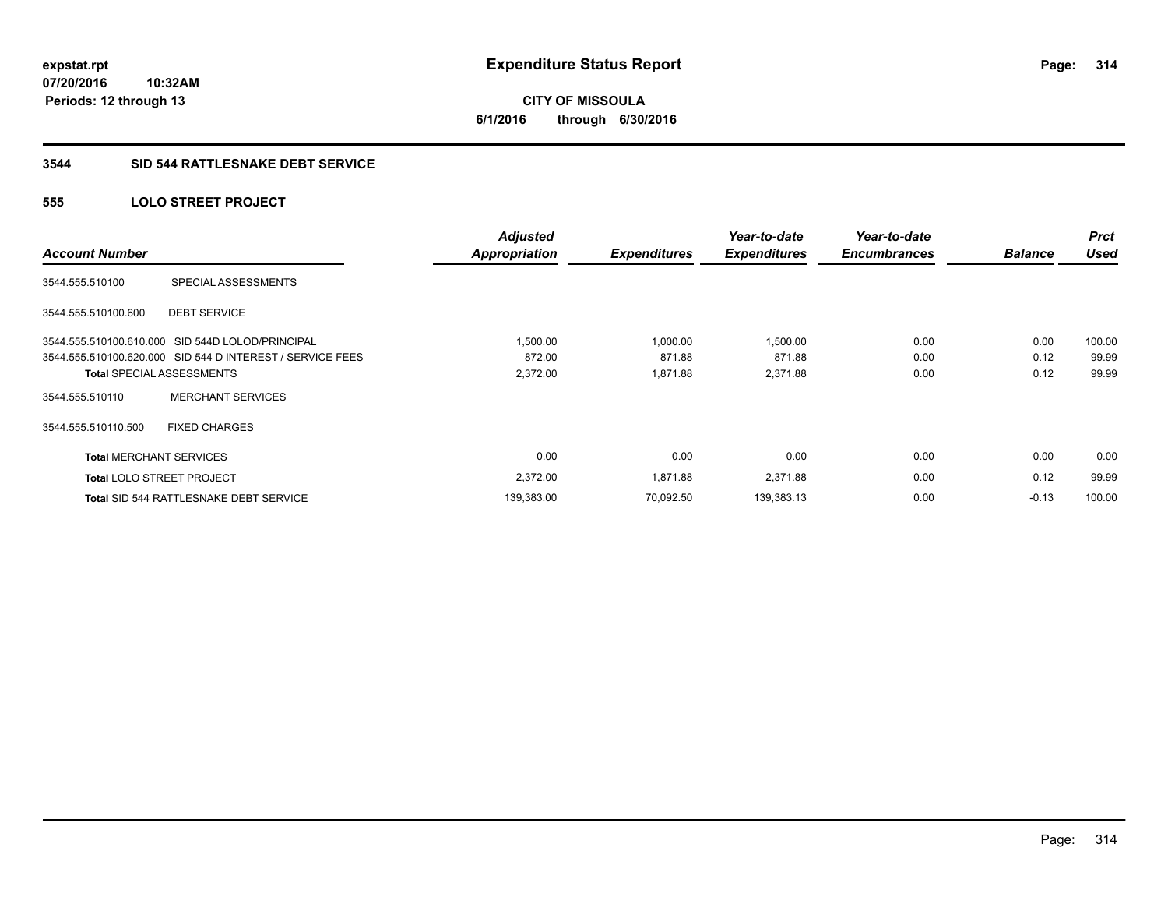**CITY OF MISSOULA 6/1/2016 through 6/30/2016**

#### **3544 SID 544 RATTLESNAKE DEBT SERVICE**

## **555 LOLO STREET PROJECT**

| <b>Account Number</b>            |                                                           | <b>Adjusted</b><br><b>Appropriation</b> | <b>Expenditures</b> | Year-to-date<br><b>Expenditures</b> | Year-to-date<br><b>Encumbrances</b> | <b>Balance</b> | <b>Prct</b><br><b>Used</b> |
|----------------------------------|-----------------------------------------------------------|-----------------------------------------|---------------------|-------------------------------------|-------------------------------------|----------------|----------------------------|
| 3544.555.510100                  | SPECIAL ASSESSMENTS                                       |                                         |                     |                                     |                                     |                |                            |
| 3544.555.510100.600              | <b>DEBT SERVICE</b>                                       |                                         |                     |                                     |                                     |                |                            |
|                                  | 3544.555.510100.610.000 SID 544D LOLOD/PRINCIPAL          | 1,500.00                                | 1,000.00            | 1,500.00                            | 0.00                                | 0.00           | 100.00                     |
|                                  | 3544.555.510100.620.000 SID 544 D INTEREST / SERVICE FEES | 872.00                                  | 871.88              | 871.88                              | 0.00                                | 0.12           | 99.99                      |
|                                  | <b>Total SPECIAL ASSESSMENTS</b>                          | 2,372.00                                | 1,871.88            | 2,371.88                            | 0.00                                | 0.12           | 99.99                      |
| 3544.555.510110                  | <b>MERCHANT SERVICES</b>                                  |                                         |                     |                                     |                                     |                |                            |
| 3544.555.510110.500              | <b>FIXED CHARGES</b>                                      |                                         |                     |                                     |                                     |                |                            |
| <b>Total MERCHANT SERVICES</b>   |                                                           | 0.00                                    | 0.00                | 0.00                                | 0.00                                | 0.00           | 0.00                       |
| <b>Total LOLO STREET PROJECT</b> |                                                           | 2,372.00                                | 1,871.88            | 2,371.88                            | 0.00                                | 0.12           | 99.99                      |
|                                  | <b>Total SID 544 RATTLESNAKE DEBT SERVICE</b>             | 139,383.00                              | 70.092.50           | 139,383.13                          | 0.00                                | $-0.13$        | 100.00                     |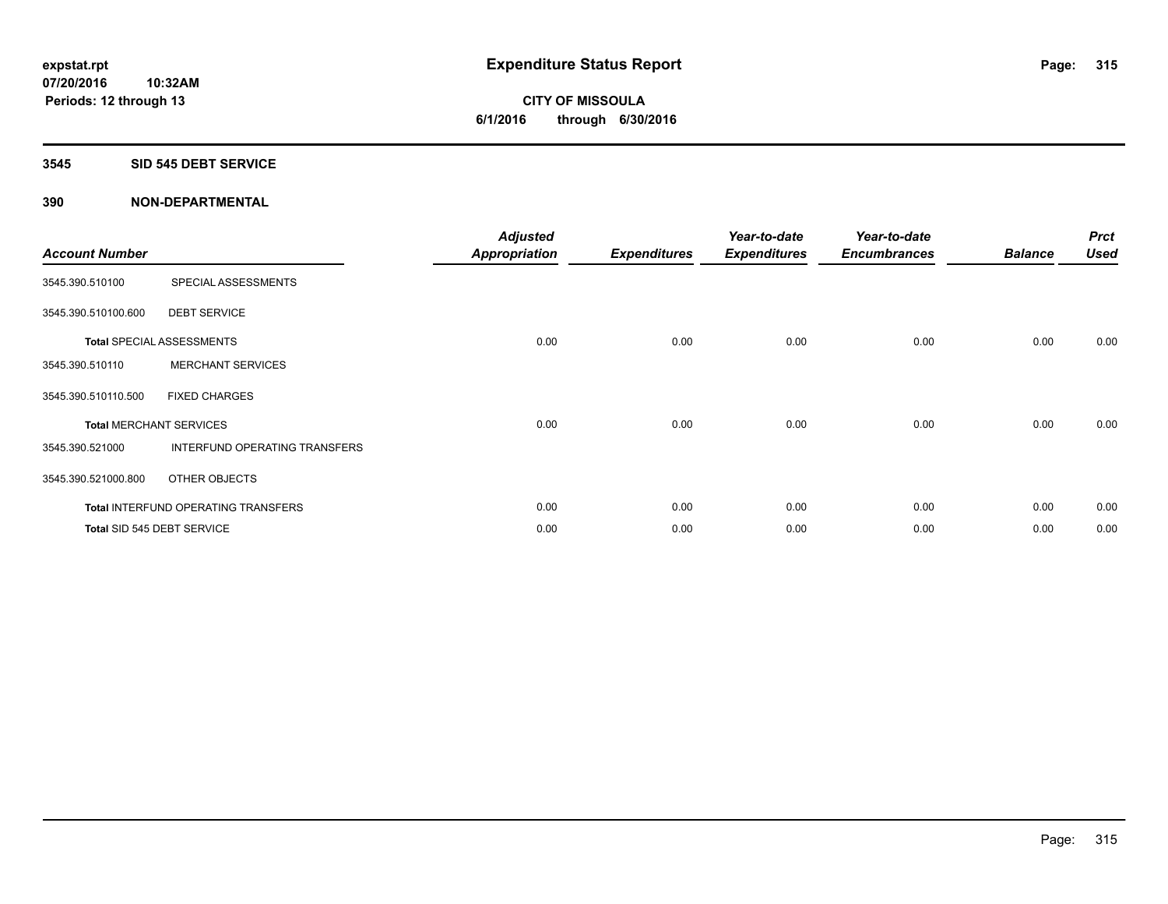# **CITY OF MISSOULA 6/1/2016 through 6/30/2016**

#### **3545 SID 545 DEBT SERVICE**

| <b>Account Number</b> |                                            | <b>Adjusted</b><br><b>Appropriation</b> | <b>Expenditures</b> | Year-to-date<br><b>Expenditures</b> | Year-to-date<br><b>Encumbrances</b> | <b>Balance</b> | <b>Prct</b><br><b>Used</b> |
|-----------------------|--------------------------------------------|-----------------------------------------|---------------------|-------------------------------------|-------------------------------------|----------------|----------------------------|
| 3545.390.510100       | SPECIAL ASSESSMENTS                        |                                         |                     |                                     |                                     |                |                            |
| 3545.390.510100.600   | <b>DEBT SERVICE</b>                        |                                         |                     |                                     |                                     |                |                            |
|                       | <b>Total SPECIAL ASSESSMENTS</b>           | 0.00                                    | 0.00                | 0.00                                | 0.00                                | 0.00           | 0.00                       |
| 3545.390.510110       | <b>MERCHANT SERVICES</b>                   |                                         |                     |                                     |                                     |                |                            |
| 3545.390.510110.500   | <b>FIXED CHARGES</b>                       |                                         |                     |                                     |                                     |                |                            |
|                       | <b>Total MERCHANT SERVICES</b>             | 0.00                                    | 0.00                | 0.00                                | 0.00                                | 0.00           | 0.00                       |
| 3545.390.521000       | INTERFUND OPERATING TRANSFERS              |                                         |                     |                                     |                                     |                |                            |
| 3545.390.521000.800   | OTHER OBJECTS                              |                                         |                     |                                     |                                     |                |                            |
|                       | <b>Total INTERFUND OPERATING TRANSFERS</b> | 0.00                                    | 0.00                | 0.00                                | 0.00                                | 0.00           | 0.00                       |
|                       | Total SID 545 DEBT SERVICE                 | 0.00                                    | 0.00                | 0.00                                | 0.00                                | 0.00           | 0.00                       |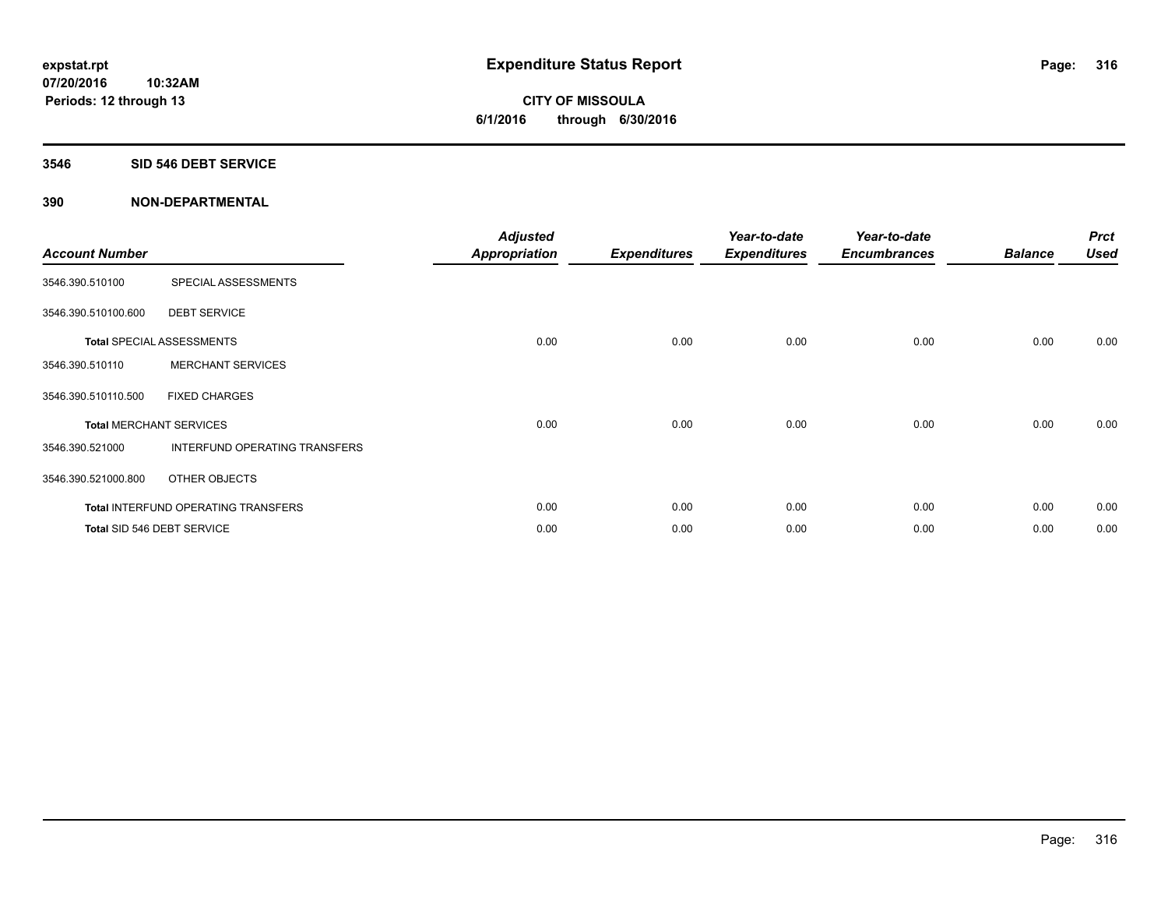**CITY OF MISSOULA 6/1/2016 through 6/30/2016**

#### **3546 SID 546 DEBT SERVICE**

| <b>Account Number</b>          |                                            | <b>Adjusted</b><br><b>Appropriation</b> | <b>Expenditures</b> | Year-to-date<br><b>Expenditures</b> | Year-to-date<br><b>Encumbrances</b> | <b>Balance</b> | <b>Prct</b><br><b>Used</b> |
|--------------------------------|--------------------------------------------|-----------------------------------------|---------------------|-------------------------------------|-------------------------------------|----------------|----------------------------|
| 3546.390.510100                | SPECIAL ASSESSMENTS                        |                                         |                     |                                     |                                     |                |                            |
| 3546.390.510100.600            | <b>DEBT SERVICE</b>                        |                                         |                     |                                     |                                     |                |                            |
|                                | <b>Total SPECIAL ASSESSMENTS</b>           | 0.00                                    | 0.00                | 0.00                                | 0.00                                | 0.00           | 0.00                       |
| 3546.390.510110                | <b>MERCHANT SERVICES</b>                   |                                         |                     |                                     |                                     |                |                            |
| 3546.390.510110.500            | <b>FIXED CHARGES</b>                       |                                         |                     |                                     |                                     |                |                            |
| <b>Total MERCHANT SERVICES</b> |                                            | 0.00                                    | 0.00                | 0.00                                | 0.00                                | 0.00           | 0.00                       |
| 3546.390.521000                | INTERFUND OPERATING TRANSFERS              |                                         |                     |                                     |                                     |                |                            |
| 3546.390.521000.800            | OTHER OBJECTS                              |                                         |                     |                                     |                                     |                |                            |
|                                | <b>Total INTERFUND OPERATING TRANSFERS</b> | 0.00                                    | 0.00                | 0.00                                | 0.00                                | 0.00           | 0.00                       |
|                                | Total SID 546 DEBT SERVICE                 | 0.00                                    | 0.00                | 0.00                                | 0.00                                | 0.00           | 0.00                       |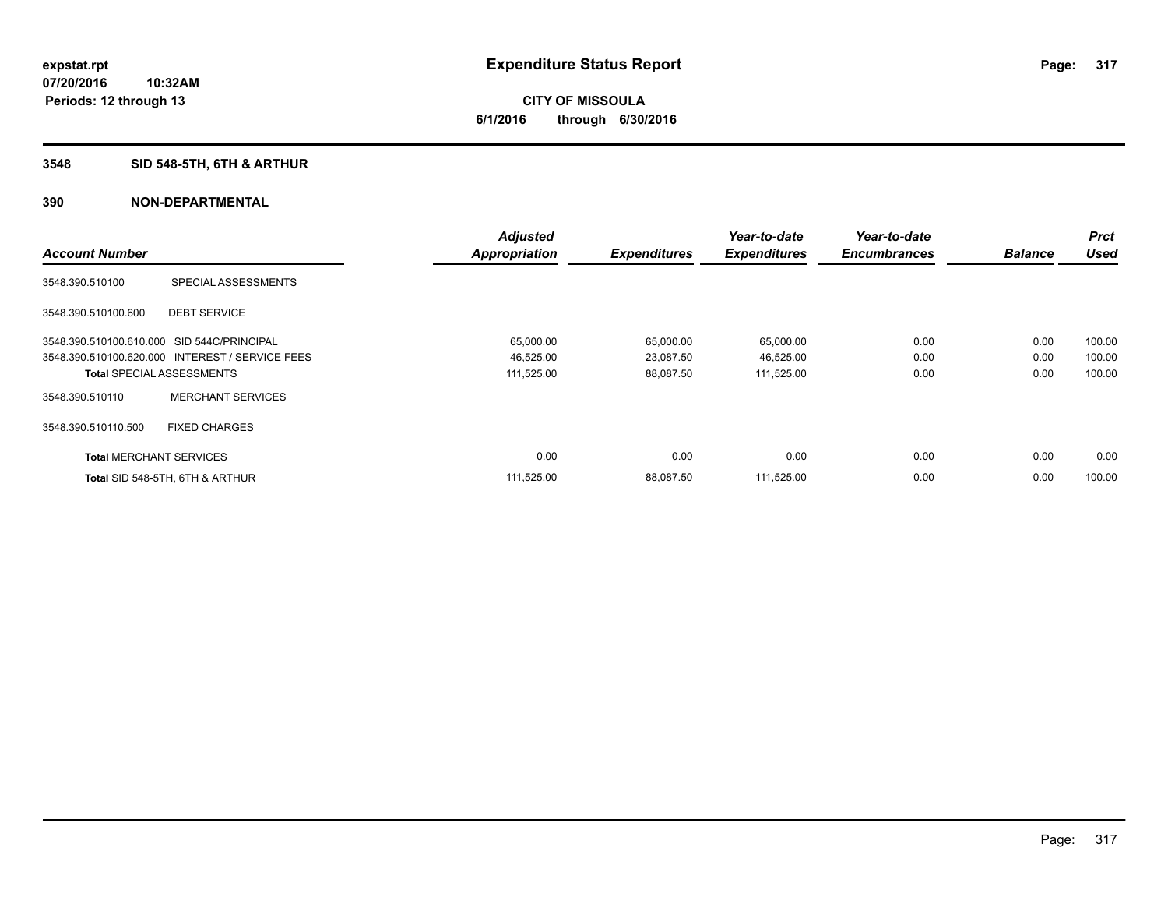# **3548 SID 548-5TH, 6TH & ARTHUR**

|                                            |                                                 | <b>Adjusted</b>      |                     | Year-to-date        | Year-to-date        |                | Prct        |
|--------------------------------------------|-------------------------------------------------|----------------------|---------------------|---------------------|---------------------|----------------|-------------|
| <b>Account Number</b>                      |                                                 | <b>Appropriation</b> | <b>Expenditures</b> | <b>Expenditures</b> | <b>Encumbrances</b> | <b>Balance</b> | <b>Used</b> |
| 3548.390.510100                            | SPECIAL ASSESSMENTS                             |                      |                     |                     |                     |                |             |
| 3548.390.510100.600                        | <b>DEBT SERVICE</b>                             |                      |                     |                     |                     |                |             |
| 3548.390.510100.610.000 SID 544C/PRINCIPAL |                                                 | 65,000.00            | 65,000.00           | 65,000.00           | 0.00                | 0.00           | 100.00      |
|                                            | 3548.390.510100.620.000 INTEREST / SERVICE FEES | 46,525.00            | 23,087.50           | 46,525.00           | 0.00                | 0.00           | 100.00      |
| <b>Total SPECIAL ASSESSMENTS</b>           |                                                 | 111,525.00           | 88,087.50           | 111,525.00          | 0.00                | 0.00           | 100.00      |
| 3548.390.510110                            | <b>MERCHANT SERVICES</b>                        |                      |                     |                     |                     |                |             |
| 3548.390.510110.500                        | <b>FIXED CHARGES</b>                            |                      |                     |                     |                     |                |             |
| <b>Total MERCHANT SERVICES</b>             |                                                 | 0.00                 | 0.00                | 0.00                | 0.00                | 0.00           | 0.00        |
|                                            | Total SID 548-5TH, 6TH & ARTHUR                 | 111,525.00           | 88,087.50           | 111,525.00          | 0.00                | 0.00           | 100.00      |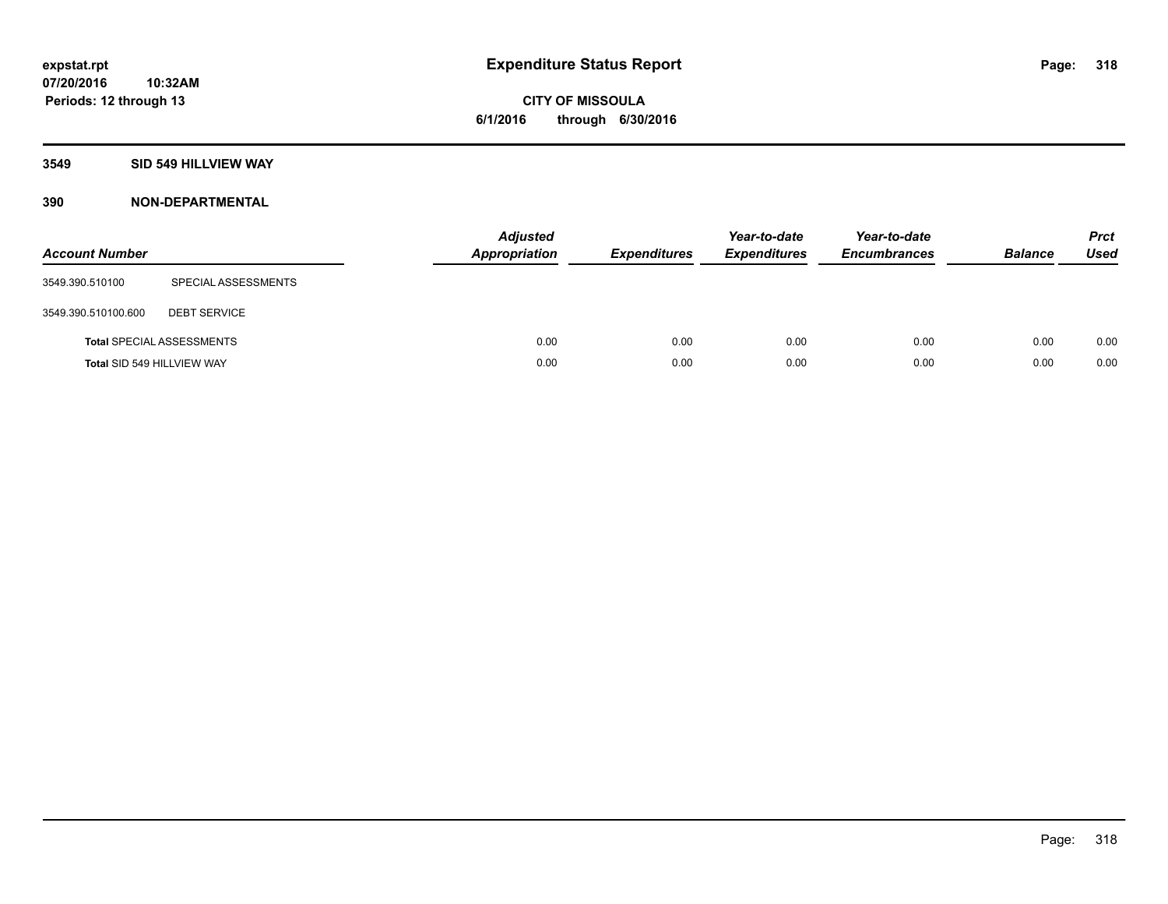**CITY OF MISSOULA 6/1/2016 through 6/30/2016**

## **3549 SID 549 HILLVIEW WAY**

**10:32AM**

| <b>Account Number</b>      |                                  | <b>Adjusted</b><br><b>Appropriation</b> | <b>Expenditures</b> | Year-to-date<br><b>Expenditures</b> | Year-to-date<br><b>Encumbrances</b> | <b>Balance</b> | <b>Prct</b><br>Used |
|----------------------------|----------------------------------|-----------------------------------------|---------------------|-------------------------------------|-------------------------------------|----------------|---------------------|
| 3549.390.510100            | SPECIAL ASSESSMENTS              |                                         |                     |                                     |                                     |                |                     |
| 3549.390.510100.600        | <b>DEBT SERVICE</b>              |                                         |                     |                                     |                                     |                |                     |
|                            | <b>Total SPECIAL ASSESSMENTS</b> | 0.00                                    | 0.00                | 0.00                                | 0.00                                | 0.00           | 0.00                |
| Total SID 549 HILLVIEW WAY |                                  | 0.00                                    | 0.00                | 0.00                                | 0.00                                | 0.00           | 0.00                |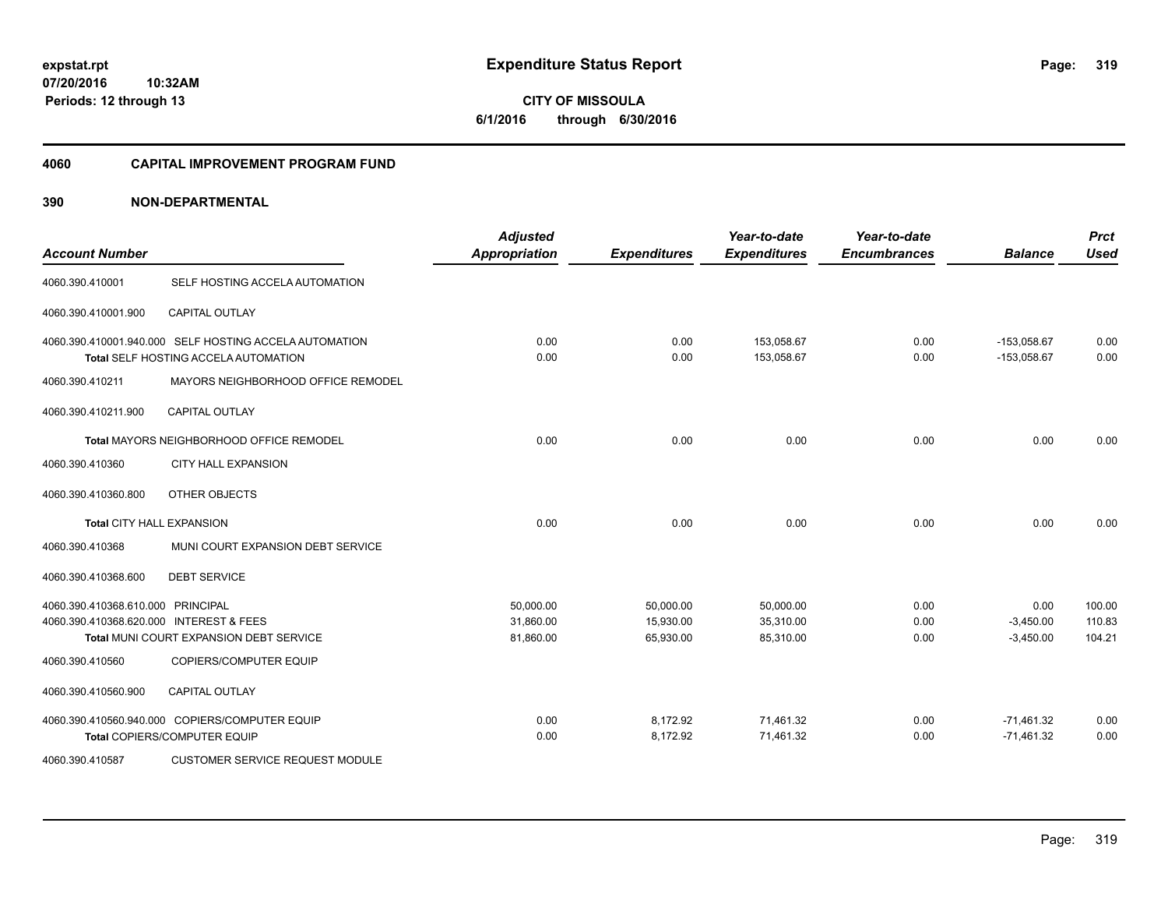**CITY OF MISSOULA 6/1/2016 through 6/30/2016**

#### **4060 CAPITAL IMPROVEMENT PROGRAM FUND**

| <b>Account Number</b>                                                        |                                                                                                | <b>Adjusted</b><br><b>Appropriation</b> | <b>Expenditures</b>                 | Year-to-date<br><b>Expenditures</b> | Year-to-date<br><b>Encumbrances</b> | <b>Balance</b>                     | <b>Prct</b><br><b>Used</b> |
|------------------------------------------------------------------------------|------------------------------------------------------------------------------------------------|-----------------------------------------|-------------------------------------|-------------------------------------|-------------------------------------|------------------------------------|----------------------------|
| 4060.390.410001                                                              | SELF HOSTING ACCELA AUTOMATION                                                                 |                                         |                                     |                                     |                                     |                                    |                            |
| 4060.390.410001.900                                                          | <b>CAPITAL OUTLAY</b>                                                                          |                                         |                                     |                                     |                                     |                                    |                            |
|                                                                              | 4060.390.410001.940.000 SELF HOSTING ACCELA AUTOMATION<br>Total SELF HOSTING ACCELA AUTOMATION | 0.00<br>0.00                            | 0.00<br>0.00                        | 153,058.67<br>153,058.67            | 0.00<br>0.00                        | $-153,058.67$<br>$-153,058.67$     | 0.00<br>0.00               |
| 4060.390.410211                                                              | MAYORS NEIGHBORHOOD OFFICE REMODEL                                                             |                                         |                                     |                                     |                                     |                                    |                            |
| 4060.390.410211.900                                                          | <b>CAPITAL OUTLAY</b>                                                                          |                                         |                                     |                                     |                                     |                                    |                            |
|                                                                              | Total MAYORS NEIGHBORHOOD OFFICE REMODEL                                                       | 0.00                                    | 0.00                                | 0.00                                | 0.00                                | 0.00                               | 0.00                       |
| 4060.390.410360                                                              | <b>CITY HALL EXPANSION</b>                                                                     |                                         |                                     |                                     |                                     |                                    |                            |
| 4060.390.410360.800                                                          | OTHER OBJECTS                                                                                  |                                         |                                     |                                     |                                     |                                    |                            |
| Total CITY HALL EXPANSION                                                    |                                                                                                | 0.00                                    | 0.00                                | 0.00                                | 0.00                                | 0.00                               | 0.00                       |
| 4060.390.410368                                                              | MUNI COURT EXPANSION DEBT SERVICE                                                              |                                         |                                     |                                     |                                     |                                    |                            |
| 4060.390.410368.600                                                          | <b>DEBT SERVICE</b>                                                                            |                                         |                                     |                                     |                                     |                                    |                            |
| 4060.390.410368.610.000 PRINCIPAL<br>4060.390.410368.620.000 INTEREST & FEES | Total MUNI COURT EXPANSION DEBT SERVICE                                                        | 50,000.00<br>31,860.00<br>81,860.00     | 50,000.00<br>15,930.00<br>65,930.00 | 50,000.00<br>35,310.00<br>85,310.00 | 0.00<br>0.00<br>0.00                | 0.00<br>$-3,450.00$<br>$-3,450.00$ | 100.00<br>110.83<br>104.21 |
| 4060.390.410560                                                              | COPIERS/COMPUTER EQUIP                                                                         |                                         |                                     |                                     |                                     |                                    |                            |
| 4060.390.410560.900                                                          | <b>CAPITAL OUTLAY</b>                                                                          |                                         |                                     |                                     |                                     |                                    |                            |
|                                                                              | 4060.390.410560.940.000 COPIERS/COMPUTER EQUIP<br>Total COPIERS/COMPUTER EQUIP                 | 0.00<br>0.00                            | 8,172.92<br>8,172.92                | 71,461.32<br>71,461.32              | 0.00<br>0.00                        | $-71,461.32$<br>$-71,461.32$       | 0.00<br>0.00               |
| 4060.390.410587                                                              | <b>CUSTOMER SERVICE REQUEST MODULE</b>                                                         |                                         |                                     |                                     |                                     |                                    |                            |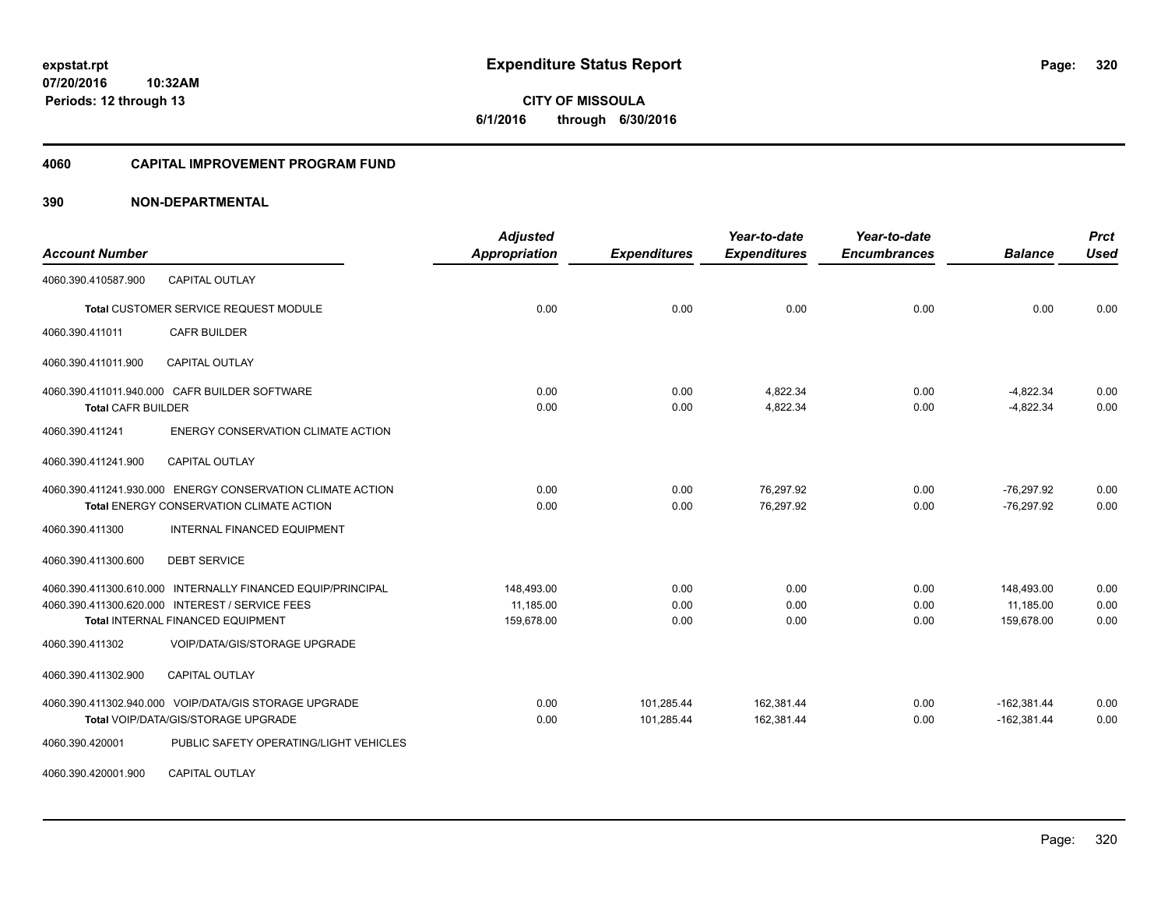**07/20/2016 10:32AM Periods: 12 through 13**

**CITY OF MISSOULA 6/1/2016 through 6/30/2016**

#### **4060 CAPITAL IMPROVEMENT PROGRAM FUND**

| <b>Account Number</b>     |                                                                                                                                                     | <b>Adjusted</b><br>Appropriation      | <b>Expenditures</b>      | Year-to-date<br><b>Expenditures</b> | Year-to-date<br><b>Encumbrances</b> | <b>Balance</b>                        | <b>Prct</b><br><b>Used</b> |
|---------------------------|-----------------------------------------------------------------------------------------------------------------------------------------------------|---------------------------------------|--------------------------|-------------------------------------|-------------------------------------|---------------------------------------|----------------------------|
| 4060.390.410587.900       | <b>CAPITAL OUTLAY</b>                                                                                                                               |                                       |                          |                                     |                                     |                                       |                            |
|                           | Total CUSTOMER SERVICE REQUEST MODULE                                                                                                               | 0.00                                  | 0.00                     | 0.00                                | 0.00                                | 0.00                                  | 0.00                       |
| 4060.390.411011           | <b>CAFR BUILDER</b>                                                                                                                                 |                                       |                          |                                     |                                     |                                       |                            |
| 4060.390.411011.900       | <b>CAPITAL OUTLAY</b>                                                                                                                               |                                       |                          |                                     |                                     |                                       |                            |
| <b>Total CAFR BUILDER</b> | 4060.390.411011.940.000 CAFR BUILDER SOFTWARE                                                                                                       | 0.00<br>0.00                          | 0.00<br>0.00             | 4,822.34<br>4,822.34                | 0.00<br>0.00                        | $-4.822.34$<br>$-4,822.34$            | 0.00<br>0.00               |
| 4060.390.411241           | <b>ENERGY CONSERVATION CLIMATE ACTION</b>                                                                                                           |                                       |                          |                                     |                                     |                                       |                            |
| 4060.390.411241.900       | <b>CAPITAL OUTLAY</b>                                                                                                                               |                                       |                          |                                     |                                     |                                       |                            |
|                           | 4060.390.411241.930.000 ENERGY CONSERVATION CLIMATE ACTION<br><b>Total ENERGY CONSERVATION CLIMATE ACTION</b>                                       | 0.00<br>0.00                          | 0.00<br>0.00             | 76.297.92<br>76,297.92              | 0.00<br>0.00                        | $-76,297.92$<br>$-76,297.92$          | 0.00<br>0.00               |
| 4060.390.411300           | <b>INTERNAL FINANCED EQUIPMENT</b>                                                                                                                  |                                       |                          |                                     |                                     |                                       |                            |
| 4060.390.411300.600       | <b>DEBT SERVICE</b>                                                                                                                                 |                                       |                          |                                     |                                     |                                       |                            |
|                           | 4060.390.411300.610.000 INTERNALLY FINANCED EQUIP/PRINCIPAL<br>4060.390.411300.620.000 INTEREST / SERVICE FEES<br>Total INTERNAL FINANCED EQUIPMENT | 148,493.00<br>11,185.00<br>159,678.00 | 0.00<br>0.00<br>0.00     | 0.00<br>0.00<br>0.00                | 0.00<br>0.00<br>0.00                | 148,493.00<br>11,185.00<br>159,678.00 | 0.00<br>0.00<br>0.00       |
| 4060.390.411302           | <b>VOIP/DATA/GIS/STORAGE UPGRADE</b>                                                                                                                |                                       |                          |                                     |                                     |                                       |                            |
| 4060.390.411302.900       | CAPITAL OUTLAY                                                                                                                                      |                                       |                          |                                     |                                     |                                       |                            |
|                           | 4060.390.411302.940.000 VOIP/DATA/GIS STORAGE UPGRADE<br>Total VOIP/DATA/GIS/STORAGE UPGRADE                                                        | 0.00<br>0.00                          | 101,285.44<br>101,285.44 | 162,381.44<br>162,381.44            | 0.00<br>0.00                        | $-162,381.44$<br>$-162,381.44$        | 0.00<br>0.00               |
| 4060.390.420001           | PUBLIC SAFETY OPERATING/LIGHT VEHICLES                                                                                                              |                                       |                          |                                     |                                     |                                       |                            |
| 4060.390.420001.900       | <b>CAPITAL OUTLAY</b>                                                                                                                               |                                       |                          |                                     |                                     |                                       |                            |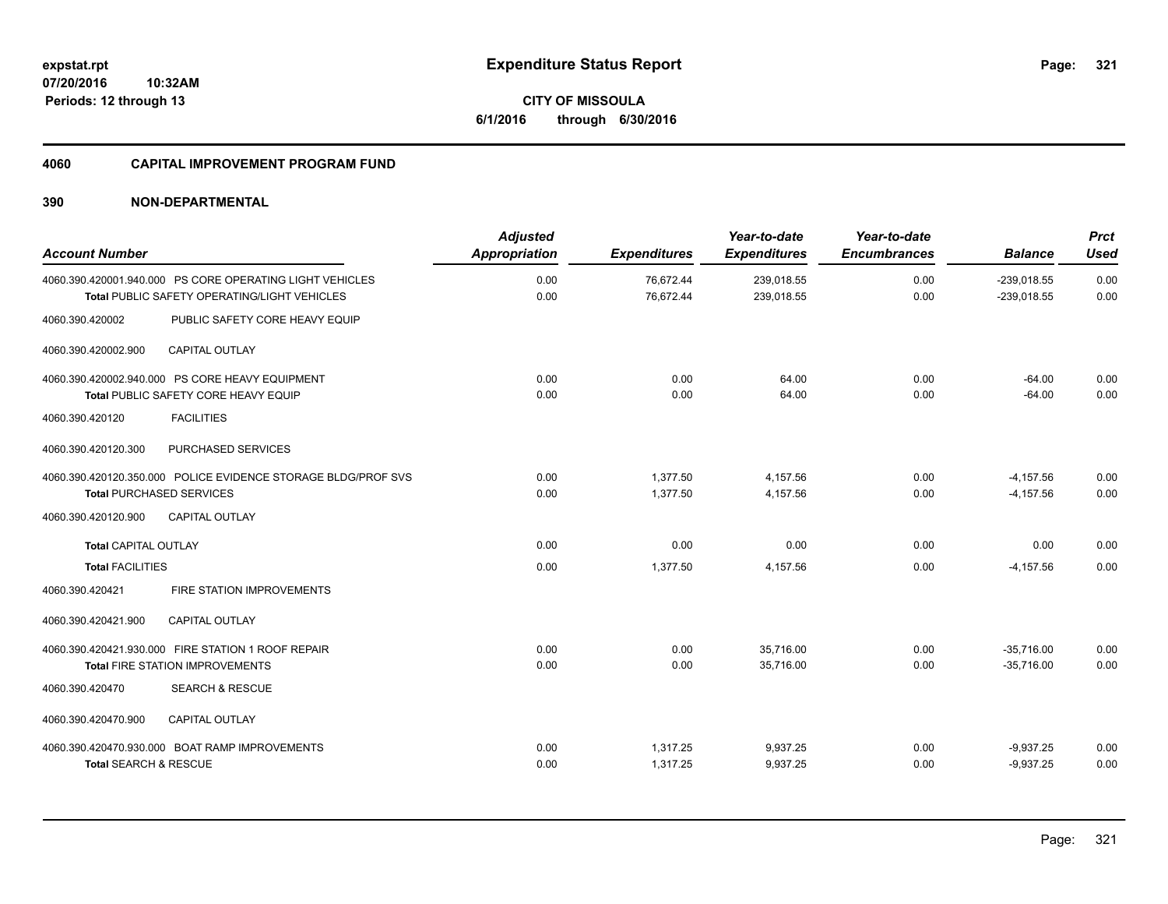**07/20/2016 10:32AM Periods: 12 through 13**

**CITY OF MISSOULA 6/1/2016 through 6/30/2016**

#### **4060 CAPITAL IMPROVEMENT PROGRAM FUND**

| <b>Account Number</b>                                                                                           | <b>Adjusted</b><br><b>Appropriation</b> | <b>Expenditures</b>    | Year-to-date<br><b>Expenditures</b> | Year-to-date<br><b>Encumbrances</b> | <b>Balance</b>                 | <b>Prct</b><br>Used |
|-----------------------------------------------------------------------------------------------------------------|-----------------------------------------|------------------------|-------------------------------------|-------------------------------------|--------------------------------|---------------------|
| 4060.390.420001.940.000 PS CORE OPERATING LIGHT VEHICLES<br><b>Total PUBLIC SAFETY OPERATING/LIGHT VEHICLES</b> | 0.00<br>0.00                            | 76,672.44<br>76.672.44 | 239,018.55<br>239,018.55            | 0.00<br>0.00                        | $-239.018.55$<br>$-239,018.55$ | 0.00<br>0.00        |
| PUBLIC SAFETY CORE HEAVY EQUIP<br>4060.390.420002                                                               |                                         |                        |                                     |                                     |                                |                     |
| 4060.390.420002.900<br><b>CAPITAL OUTLAY</b>                                                                    |                                         |                        |                                     |                                     |                                |                     |
| 4060.390.420002.940.000 PS CORE HEAVY EQUIPMENT<br><b>Total PUBLIC SAFETY CORE HEAVY EQUIP</b>                  | 0.00<br>0.00                            | 0.00<br>0.00           | 64.00<br>64.00                      | 0.00<br>0.00                        | $-64.00$<br>$-64.00$           | 0.00<br>0.00        |
| <b>FACILITIES</b><br>4060.390.420120                                                                            |                                         |                        |                                     |                                     |                                |                     |
| PURCHASED SERVICES<br>4060.390.420120.300                                                                       |                                         |                        |                                     |                                     |                                |                     |
| 4060.390.420120.350.000 POLICE EVIDENCE STORAGE BLDG/PROF SVS<br><b>Total PURCHASED SERVICES</b>                | 0.00<br>0.00                            | 1,377.50<br>1,377.50   | 4,157.56<br>4,157.56                | 0.00<br>0.00                        | $-4, 157.56$<br>$-4, 157.56$   | 0.00<br>0.00        |
| <b>CAPITAL OUTLAY</b><br>4060.390.420120.900                                                                    |                                         |                        |                                     |                                     |                                |                     |
| <b>Total CAPITAL OUTLAY</b>                                                                                     | 0.00                                    | 0.00                   | 0.00                                | 0.00                                | 0.00                           | 0.00                |
| <b>Total FACILITIES</b>                                                                                         | 0.00                                    | 1,377.50               | 4,157.56                            | 0.00                                | $-4, 157.56$                   | 0.00                |
| 4060.390.420421<br>FIRE STATION IMPROVEMENTS                                                                    |                                         |                        |                                     |                                     |                                |                     |
| 4060.390.420421.900<br><b>CAPITAL OUTLAY</b>                                                                    |                                         |                        |                                     |                                     |                                |                     |
| 4060.390.420421.930.000 FIRE STATION 1 ROOF REPAIR<br><b>Total FIRE STATION IMPROVEMENTS</b>                    | 0.00<br>0.00                            | 0.00<br>0.00           | 35,716.00<br>35,716.00              | 0.00<br>0.00                        | $-35,716.00$<br>$-35.716.00$   | 0.00<br>0.00        |
| 4060.390.420470<br><b>SEARCH &amp; RESCUE</b>                                                                   |                                         |                        |                                     |                                     |                                |                     |
| 4060.390.420470.900<br><b>CAPITAL OUTLAY</b>                                                                    |                                         |                        |                                     |                                     |                                |                     |
| 4060.390.420470.930.000 BOAT RAMP IMPROVEMENTS<br><b>Total SEARCH &amp; RESCUE</b>                              | 0.00<br>0.00                            | 1,317.25<br>1,317.25   | 9,937.25<br>9,937.25                | 0.00<br>0.00                        | $-9,937.25$<br>$-9,937.25$     | 0.00<br>0.00        |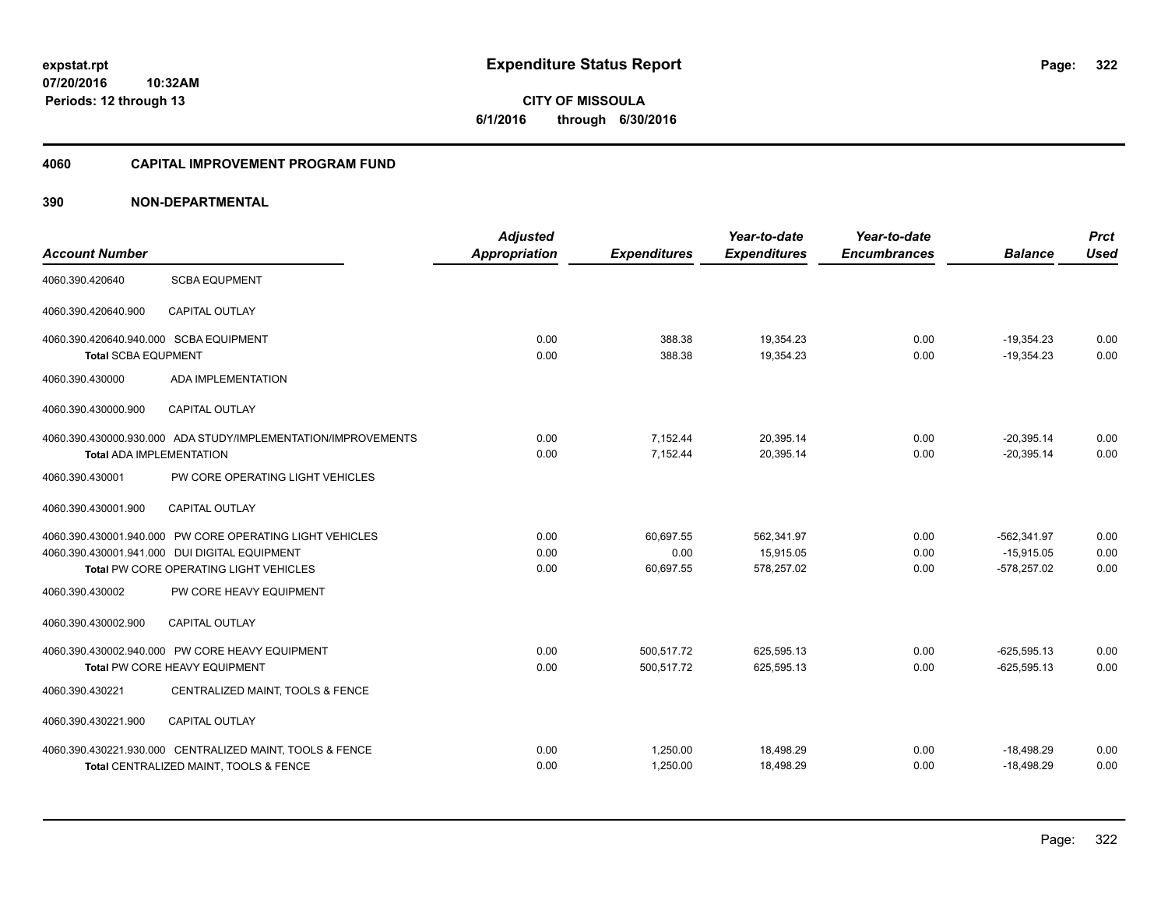**07/20/2016 10:32AM Periods: 12 through 13**

**CITY OF MISSOULA 6/1/2016 through 6/30/2016**

#### **4060 CAPITAL IMPROVEMENT PROGRAM FUND**

| <b>Account Number</b>                                                |                                                                                                                                                     | <b>Adjusted</b><br>Appropriation | <b>Expenditures</b>            | Year-to-date<br><b>Expenditures</b>   | Year-to-date<br><b>Encumbrances</b> | <b>Balance</b>                                 | <b>Prct</b><br><b>Used</b> |
|----------------------------------------------------------------------|-----------------------------------------------------------------------------------------------------------------------------------------------------|----------------------------------|--------------------------------|---------------------------------------|-------------------------------------|------------------------------------------------|----------------------------|
| 4060.390.420640                                                      | <b>SCBA EQUPMENT</b>                                                                                                                                |                                  |                                |                                       |                                     |                                                |                            |
| 4060.390.420640.900                                                  | <b>CAPITAL OUTLAY</b>                                                                                                                               |                                  |                                |                                       |                                     |                                                |                            |
| 4060.390.420640.940.000 SCBA EQUIPMENT<br><b>Total SCBA EQUPMENT</b> |                                                                                                                                                     | 0.00<br>0.00                     | 388.38<br>388.38               | 19,354.23<br>19,354.23                | 0.00<br>0.00                        | $-19,354.23$<br>$-19,354.23$                   | 0.00<br>0.00               |
| 4060.390.430000                                                      | <b>ADA IMPLEMENTATION</b>                                                                                                                           |                                  |                                |                                       |                                     |                                                |                            |
| 4060.390.430000.900                                                  | <b>CAPITAL OUTLAY</b>                                                                                                                               |                                  |                                |                                       |                                     |                                                |                            |
| <b>Total ADA IMPLEMENTATION</b>                                      | 4060.390.430000.930.000 ADA STUDY/IMPLEMENTATION/IMPROVEMENTS                                                                                       | 0.00<br>0.00                     | 7,152.44<br>7,152.44           | 20,395.14<br>20,395.14                | 0.00<br>0.00                        | $-20,395.14$<br>$-20,395.14$                   | 0.00<br>0.00               |
| 4060.390.430001                                                      | PW CORE OPERATING LIGHT VEHICLES                                                                                                                    |                                  |                                |                                       |                                     |                                                |                            |
| 4060.390.430001.900                                                  | <b>CAPITAL OUTLAY</b>                                                                                                                               |                                  |                                |                                       |                                     |                                                |                            |
|                                                                      | 4060.390.430001.940.000 PW CORE OPERATING LIGHT VEHICLES<br>4060.390.430001.941.000 DUI DIGITAL EQUIPMENT<br>Total PW CORE OPERATING LIGHT VEHICLES | 0.00<br>0.00<br>0.00             | 60,697.55<br>0.00<br>60,697.55 | 562.341.97<br>15,915.05<br>578,257.02 | 0.00<br>0.00<br>0.00                | $-562.341.97$<br>$-15.915.05$<br>$-578,257.02$ | 0.00<br>0.00<br>0.00       |
| 4060.390.430002                                                      | PW CORE HEAVY EQUIPMENT                                                                                                                             |                                  |                                |                                       |                                     |                                                |                            |
| 4060.390.430002.900                                                  | <b>CAPITAL OUTLAY</b>                                                                                                                               |                                  |                                |                                       |                                     |                                                |                            |
|                                                                      | 4060.390.430002.940.000 PW CORE HEAVY EQUIPMENT<br>Total PW CORE HEAVY EQUIPMENT                                                                    | 0.00<br>0.00                     | 500,517.72<br>500,517.72       | 625,595.13<br>625,595.13              | 0.00<br>0.00                        | $-625.595.13$<br>$-625,595.13$                 | 0.00<br>0.00               |
| 4060.390.430221                                                      | CENTRALIZED MAINT, TOOLS & FENCE                                                                                                                    |                                  |                                |                                       |                                     |                                                |                            |
| 4060.390.430221.900                                                  | <b>CAPITAL OUTLAY</b>                                                                                                                               |                                  |                                |                                       |                                     |                                                |                            |
|                                                                      | 4060.390.430221.930.000 CENTRALIZED MAINT, TOOLS & FENCE<br>Total CENTRALIZED MAINT, TOOLS & FENCE                                                  | 0.00<br>0.00                     | 1,250.00<br>1,250.00           | 18,498.29<br>18,498.29                | 0.00<br>0.00                        | $-18,498.29$<br>$-18,498.29$                   | 0.00<br>0.00               |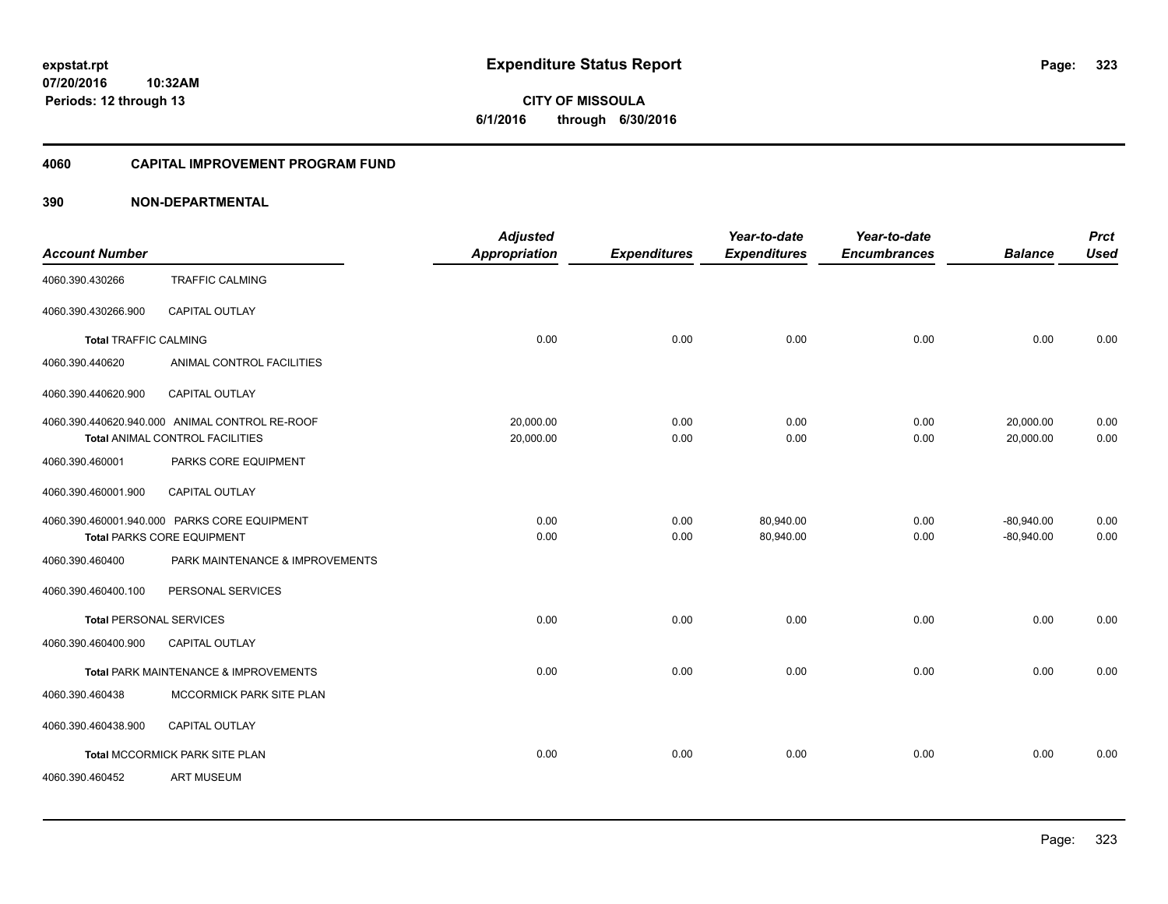**07/20/2016 10:32AM Periods: 12 through 13**

**CITY OF MISSOULA 6/1/2016 through 6/30/2016**

#### **4060 CAPITAL IMPROVEMENT PROGRAM FUND**

| <b>Account Number</b>          |                                                                                   | <b>Adjusted</b><br><b>Appropriation</b> | <b>Expenditures</b> | Year-to-date<br><b>Expenditures</b> | Year-to-date<br><b>Encumbrances</b> | <b>Balance</b>         | <b>Prct</b><br><b>Used</b> |
|--------------------------------|-----------------------------------------------------------------------------------|-----------------------------------------|---------------------|-------------------------------------|-------------------------------------|------------------------|----------------------------|
| 4060.390.430266                | <b>TRAFFIC CALMING</b>                                                            |                                         |                     |                                     |                                     |                        |                            |
| 4060.390.430266.900            | CAPITAL OUTLAY                                                                    |                                         |                     |                                     |                                     |                        |                            |
| <b>Total TRAFFIC CALMING</b>   |                                                                                   | 0.00                                    | 0.00                | 0.00                                | 0.00                                | 0.00                   | 0.00                       |
| 4060.390.440620                | ANIMAL CONTROL FACILITIES                                                         |                                         |                     |                                     |                                     |                        |                            |
| 4060.390.440620.900            | <b>CAPITAL OUTLAY</b>                                                             |                                         |                     |                                     |                                     |                        |                            |
|                                | 4060.390.440620.940.000 ANIMAL CONTROL RE-ROOF<br>Total ANIMAL CONTROL FACILITIES | 20,000.00<br>20,000.00                  | 0.00<br>0.00        | 0.00<br>0.00                        | 0.00<br>0.00                        | 20,000.00<br>20,000.00 | 0.00<br>0.00               |
| 4060.390.460001                | PARKS CORE EQUIPMENT                                                              |                                         |                     |                                     |                                     |                        |                            |
| 4060.390.460001.900            | CAPITAL OUTLAY                                                                    |                                         |                     |                                     |                                     |                        |                            |
|                                | 4060.390.460001.940.000 PARKS CORE EQUIPMENT                                      | 0.00                                    | 0.00                | 80,940.00                           | 0.00                                | $-80,940.00$           | 0.00                       |
|                                | <b>Total PARKS CORE EQUIPMENT</b>                                                 | 0.00                                    | 0.00                | 80,940.00                           | 0.00                                | $-80,940.00$           | 0.00                       |
| 4060.390.460400                | PARK MAINTENANCE & IMPROVEMENTS                                                   |                                         |                     |                                     |                                     |                        |                            |
| 4060.390.460400.100            | PERSONAL SERVICES                                                                 |                                         |                     |                                     |                                     |                        |                            |
| <b>Total PERSONAL SERVICES</b> |                                                                                   | 0.00                                    | 0.00                | 0.00                                | 0.00                                | 0.00                   | 0.00                       |
| 4060.390.460400.900            | <b>CAPITAL OUTLAY</b>                                                             |                                         |                     |                                     |                                     |                        |                            |
|                                | Total PARK MAINTENANCE & IMPROVEMENTS                                             | 0.00                                    | 0.00                | 0.00                                | 0.00                                | 0.00                   | 0.00                       |
| 4060.390.460438                | MCCORMICK PARK SITE PLAN                                                          |                                         |                     |                                     |                                     |                        |                            |
| 4060.390.460438.900            | <b>CAPITAL OUTLAY</b>                                                             |                                         |                     |                                     |                                     |                        |                            |
|                                | Total MCCORMICK PARK SITE PLAN                                                    | 0.00                                    | 0.00                | 0.00                                | 0.00                                | 0.00                   | 0.00                       |
| 4060.390.460452                | <b>ART MUSEUM</b>                                                                 |                                         |                     |                                     |                                     |                        |                            |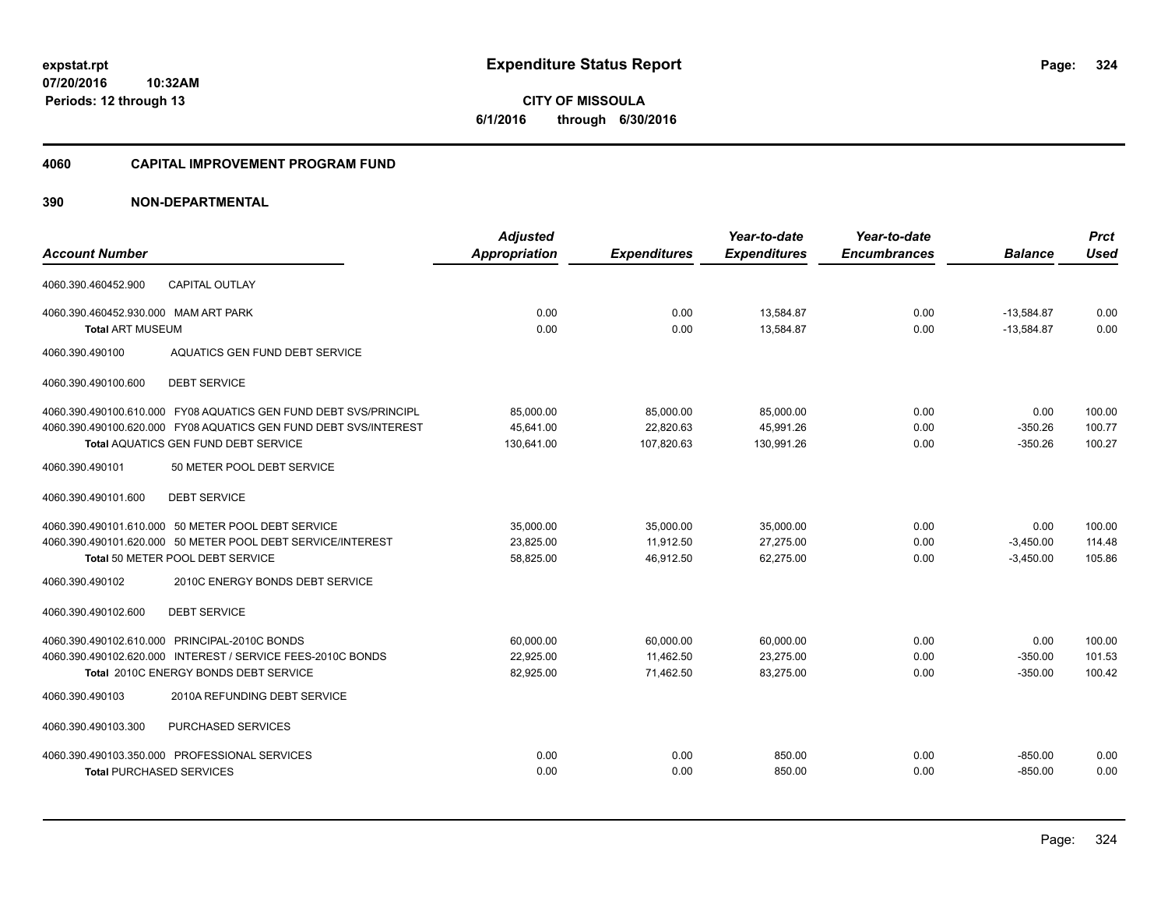**07/20/2016 10:32AM Periods: 12 through 13**

**CITY OF MISSOULA 6/1/2016 through 6/30/2016**

#### **4060 CAPITAL IMPROVEMENT PROGRAM FUND**

|                                                                  | <b>Adjusted</b>      |                     | Year-to-date        | Year-to-date        |                | <b>Prct</b> |
|------------------------------------------------------------------|----------------------|---------------------|---------------------|---------------------|----------------|-------------|
| <b>Account Number</b>                                            | <b>Appropriation</b> | <b>Expenditures</b> | <b>Expenditures</b> | <b>Encumbrances</b> | <b>Balance</b> | <b>Used</b> |
| <b>CAPITAL OUTLAY</b><br>4060.390.460452.900                     |                      |                     |                     |                     |                |             |
| 4060.390.460452.930.000 MAM ART PARK                             | 0.00                 | 0.00                | 13,584.87           | 0.00                | $-13,584.87$   | 0.00        |
| <b>Total ART MUSEUM</b>                                          | 0.00                 | 0.00                | 13,584.87           | 0.00                | $-13,584.87$   | 0.00        |
| AQUATICS GEN FUND DEBT SERVICE<br>4060.390.490100                |                      |                     |                     |                     |                |             |
| <b>DEBT SERVICE</b><br>4060.390.490100.600                       |                      |                     |                     |                     |                |             |
| 4060.390.490100.610.000 FY08 AQUATICS GEN FUND DEBT SVS/PRINCIPL | 85,000.00            | 85,000.00           | 85,000.00           | 0.00                | 0.00           | 100.00      |
| 4060.390.490100.620.000 FY08 AQUATICS GEN FUND DEBT SVS/INTEREST | 45,641.00            | 22,820.63           | 45,991.26           | 0.00                | $-350.26$      | 100.77      |
| <b>Total AQUATICS GEN FUND DEBT SERVICE</b>                      | 130,641.00           | 107,820.63          | 130,991.26          | 0.00                | $-350.26$      | 100.27      |
| 4060.390.490101<br>50 METER POOL DEBT SERVICE                    |                      |                     |                     |                     |                |             |
| 4060.390.490101.600<br><b>DEBT SERVICE</b>                       |                      |                     |                     |                     |                |             |
| 4060.390.490101.610.000 50 METER POOL DEBT SERVICE               | 35,000.00            | 35,000.00           | 35,000.00           | 0.00                | 0.00           | 100.00      |
| 4060.390.490101.620.000 50 METER POOL DEBT SERVICE/INTEREST      | 23,825.00            | 11,912.50           | 27,275.00           | 0.00                | $-3,450.00$    | 114.48      |
| Total 50 METER POOL DEBT SERVICE                                 | 58,825.00            | 46,912.50           | 62,275.00           | 0.00                | $-3,450.00$    | 105.86      |
| 4060.390.490102<br>2010C ENERGY BONDS DEBT SERVICE               |                      |                     |                     |                     |                |             |
| <b>DEBT SERVICE</b><br>4060.390.490102.600                       |                      |                     |                     |                     |                |             |
| 4060.390.490102.610.000 PRINCIPAL-2010C BONDS                    | 60,000.00            | 60,000.00           | 60,000.00           | 0.00                | 0.00           | 100.00      |
| 4060.390.490102.620.000 INTEREST / SERVICE FEES-2010C BONDS      | 22,925.00            | 11,462.50           | 23,275.00           | 0.00                | $-350.00$      | 101.53      |
| Total 2010C ENERGY BONDS DEBT SERVICE                            | 82,925.00            | 71,462.50           | 83,275.00           | 0.00                | $-350.00$      | 100.42      |
| 4060.390.490103<br>2010A REFUNDING DEBT SERVICE                  |                      |                     |                     |                     |                |             |
| 4060.390.490103.300<br>PURCHASED SERVICES                        |                      |                     |                     |                     |                |             |
| 4060.390.490103.350.000 PROFESSIONAL SERVICES                    | 0.00                 | 0.00                | 850.00              | 0.00                | $-850.00$      | 0.00        |
| <b>Total PURCHASED SERVICES</b>                                  | 0.00                 | 0.00                | 850.00              | 0.00                | $-850.00$      | 0.00        |
|                                                                  |                      |                     |                     |                     |                |             |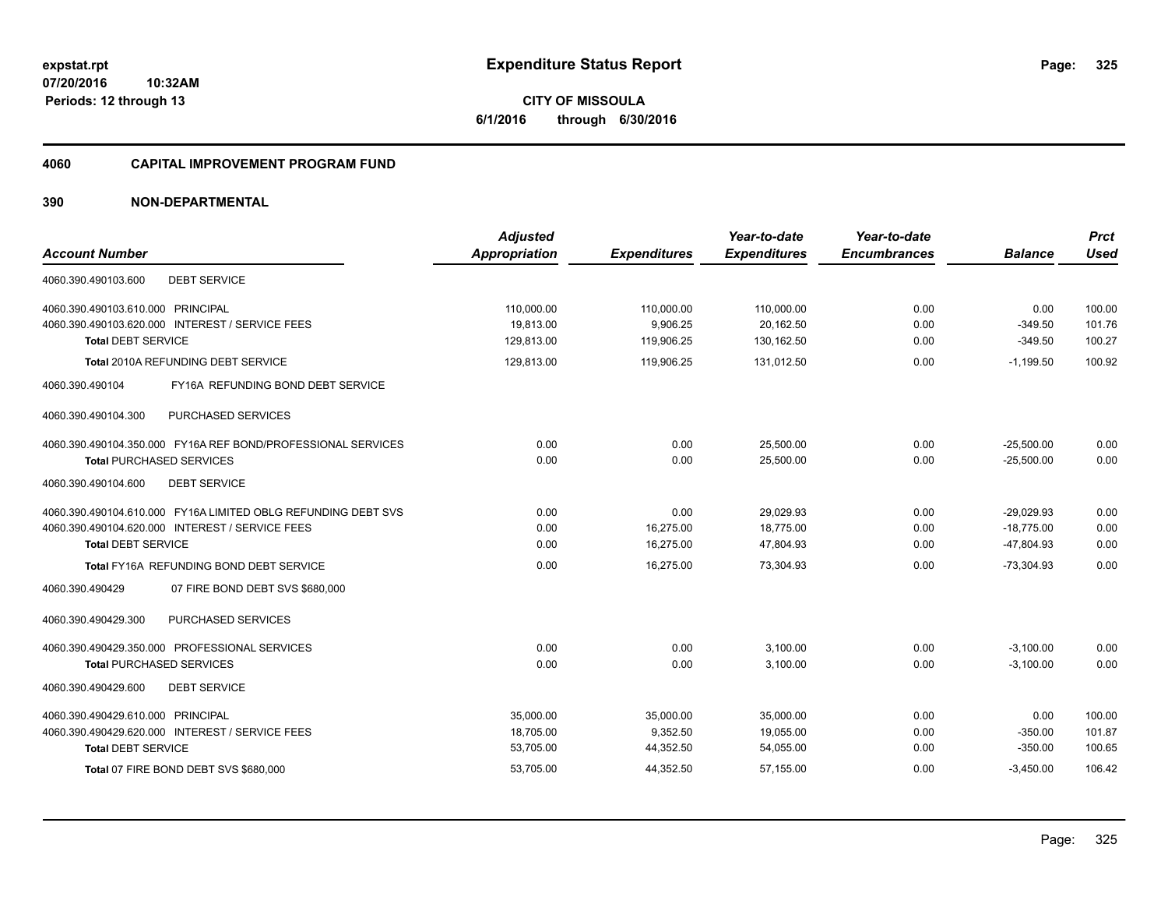**07/20/2016 10:32AM Periods: 12 through 13**

**CITY OF MISSOULA 6/1/2016 through 6/30/2016**

#### **4060 CAPITAL IMPROVEMENT PROGRAM FUND**

| <b>Account Number</b>                                         | <b>Adjusted</b><br><b>Appropriation</b> | <b>Expenditures</b> | Year-to-date<br><b>Expenditures</b> | Year-to-date<br><b>Encumbrances</b> | <b>Balance</b> | <b>Prct</b><br><b>Used</b> |
|---------------------------------------------------------------|-----------------------------------------|---------------------|-------------------------------------|-------------------------------------|----------------|----------------------------|
| 4060.390.490103.600<br><b>DEBT SERVICE</b>                    |                                         |                     |                                     |                                     |                |                            |
| 4060.390.490103.610.000 PRINCIPAL                             | 110,000.00                              | 110,000.00          | 110,000.00                          | 0.00                                | 0.00           | 100.00                     |
| 4060.390.490103.620.000 INTEREST / SERVICE FEES               | 19,813.00                               | 9,906.25            | 20,162.50                           | 0.00                                | $-349.50$      | 101.76                     |
| <b>Total DEBT SERVICE</b>                                     | 129,813.00                              | 119,906.25          | 130,162.50                          | 0.00                                | $-349.50$      | 100.27                     |
| Total 2010A REFUNDING DEBT SERVICE                            | 129,813.00                              | 119,906.25          | 131,012.50                          | 0.00                                | $-1,199.50$    | 100.92                     |
| 4060.390.490104<br>FY16A REFUNDING BOND DEBT SERVICE          |                                         |                     |                                     |                                     |                |                            |
| PURCHASED SERVICES<br>4060.390.490104.300                     |                                         |                     |                                     |                                     |                |                            |
| 4060.390.490104.350.000 FY16A REF BOND/PROFESSIONAL SERVICES  | 0.00                                    | 0.00                | 25,500.00                           | 0.00                                | $-25,500.00$   | 0.00                       |
| <b>Total PURCHASED SERVICES</b>                               | 0.00                                    | 0.00                | 25,500.00                           | 0.00                                | $-25,500.00$   | 0.00                       |
| 4060.390.490104.600<br><b>DEBT SERVICE</b>                    |                                         |                     |                                     |                                     |                |                            |
| 4060.390.490104.610.000 FY16A LIMITED OBLG REFUNDING DEBT SVS | 0.00                                    | 0.00                | 29.029.93                           | 0.00                                | $-29.029.93$   | 0.00                       |
| 4060.390.490104.620.000 INTEREST / SERVICE FEES               | 0.00                                    | 16,275.00           | 18,775.00                           | 0.00                                | $-18,775.00$   | 0.00                       |
| <b>Total DEBT SERVICE</b>                                     | 0.00                                    | 16,275.00           | 47,804.93                           | 0.00                                | $-47,804.93$   | 0.00                       |
| Total FY16A REFUNDING BOND DEBT SERVICE                       | 0.00                                    | 16.275.00           | 73.304.93                           | 0.00                                | $-73.304.93$   | 0.00                       |
| 4060.390.490429<br>07 FIRE BOND DEBT SVS \$680,000            |                                         |                     |                                     |                                     |                |                            |
| <b>PURCHASED SERVICES</b><br>4060.390.490429.300              |                                         |                     |                                     |                                     |                |                            |
| 4060.390.490429.350.000 PROFESSIONAL SERVICES                 | 0.00                                    | 0.00                | 3,100.00                            | 0.00                                | $-3,100.00$    | 0.00                       |
| <b>Total PURCHASED SERVICES</b>                               | 0.00                                    | 0.00                | 3,100.00                            | 0.00                                | $-3,100.00$    | 0.00                       |
| 4060.390.490429.600<br><b>DEBT SERVICE</b>                    |                                         |                     |                                     |                                     |                |                            |
| 4060.390.490429.610.000 PRINCIPAL                             | 35,000.00                               | 35,000.00           | 35,000.00                           | 0.00                                | 0.00           | 100.00                     |
| 4060.390.490429.620.000 INTEREST / SERVICE FEES               | 18,705.00                               | 9,352.50            | 19,055.00                           | 0.00                                | $-350.00$      | 101.87                     |
| <b>Total DEBT SERVICE</b>                                     | 53,705.00                               | 44,352.50           | 54,055.00                           | 0.00                                | $-350.00$      | 100.65                     |
| Total 07 FIRE BOND DEBT SVS \$680,000                         | 53,705.00                               | 44,352.50           | 57,155.00                           | 0.00                                | $-3,450.00$    | 106.42                     |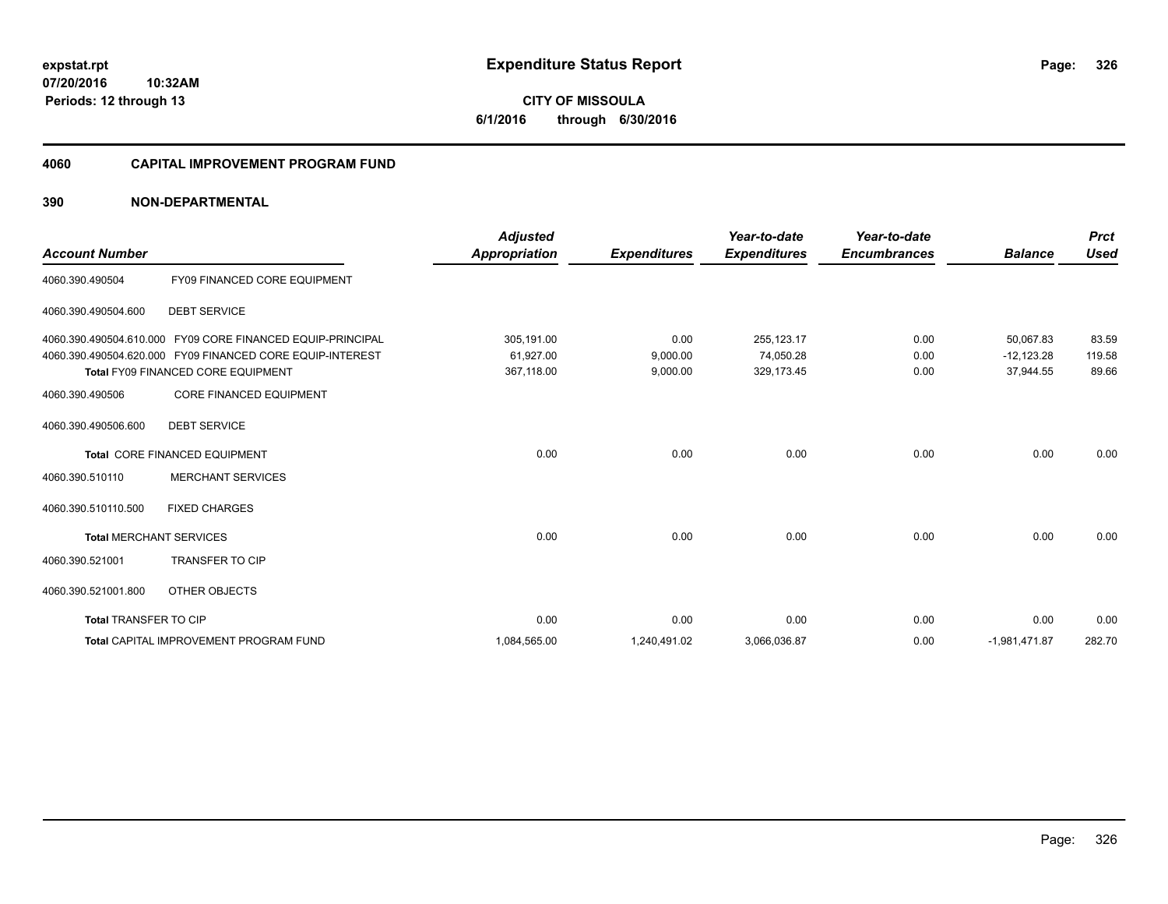#### **4060 CAPITAL IMPROVEMENT PROGRAM FUND**

| <b>Account Number</b>          |                                                           | <b>Adjusted</b>      | <b>Expenditures</b> | Year-to-date<br><b>Expenditures</b> | Year-to-date<br><b>Encumbrances</b> | <b>Balance</b>  | <b>Prct</b><br><b>Used</b> |
|--------------------------------|-----------------------------------------------------------|----------------------|---------------------|-------------------------------------|-------------------------------------|-----------------|----------------------------|
|                                |                                                           | <b>Appropriation</b> |                     |                                     |                                     |                 |                            |
| 4060.390.490504                | FY09 FINANCED CORE EQUIPMENT                              |                      |                     |                                     |                                     |                 |                            |
| 4060.390.490504.600            | <b>DEBT SERVICE</b>                                       |                      |                     |                                     |                                     |                 |                            |
| 4060.390.490504.610.000        | FY09 CORE FINANCED EQUIP-PRINCIPAL                        | 305,191.00           | 0.00                | 255,123.17                          | 0.00                                | 50,067.83       | 83.59                      |
|                                | 4060.390.490504.620.000 FY09 FINANCED CORE EQUIP-INTEREST | 61,927.00            | 9,000.00            | 74,050.28                           | 0.00                                | $-12,123.28$    | 119.58                     |
|                                | <b>Total FY09 FINANCED CORE EQUIPMENT</b>                 | 367,118.00           | 9,000.00            | 329,173.45                          | 0.00                                | 37,944.55       | 89.66                      |
| 4060.390.490506                | <b>CORE FINANCED EQUIPMENT</b>                            |                      |                     |                                     |                                     |                 |                            |
| 4060.390.490506.600            | <b>DEBT SERVICE</b>                                       |                      |                     |                                     |                                     |                 |                            |
|                                | Total CORE FINANCED EQUIPMENT                             | 0.00                 | 0.00                | 0.00                                | 0.00                                | 0.00            | 0.00                       |
| 4060.390.510110                | <b>MERCHANT SERVICES</b>                                  |                      |                     |                                     |                                     |                 |                            |
| 4060.390.510110.500            | <b>FIXED CHARGES</b>                                      |                      |                     |                                     |                                     |                 |                            |
| <b>Total MERCHANT SERVICES</b> |                                                           | 0.00                 | 0.00                | 0.00                                | 0.00                                | 0.00            | 0.00                       |
| 4060.390.521001                | <b>TRANSFER TO CIP</b>                                    |                      |                     |                                     |                                     |                 |                            |
| 4060.390.521001.800            | OTHER OBJECTS                                             |                      |                     |                                     |                                     |                 |                            |
| <b>Total TRANSFER TO CIP</b>   |                                                           | 0.00                 | 0.00                | 0.00                                | 0.00                                | 0.00            | 0.00                       |
|                                | <b>Total CAPITAL IMPROVEMENT PROGRAM FUND</b>             | 1,084,565.00         | 1,240,491.02        | 3,066,036.87                        | 0.00                                | $-1,981,471.87$ | 282.70                     |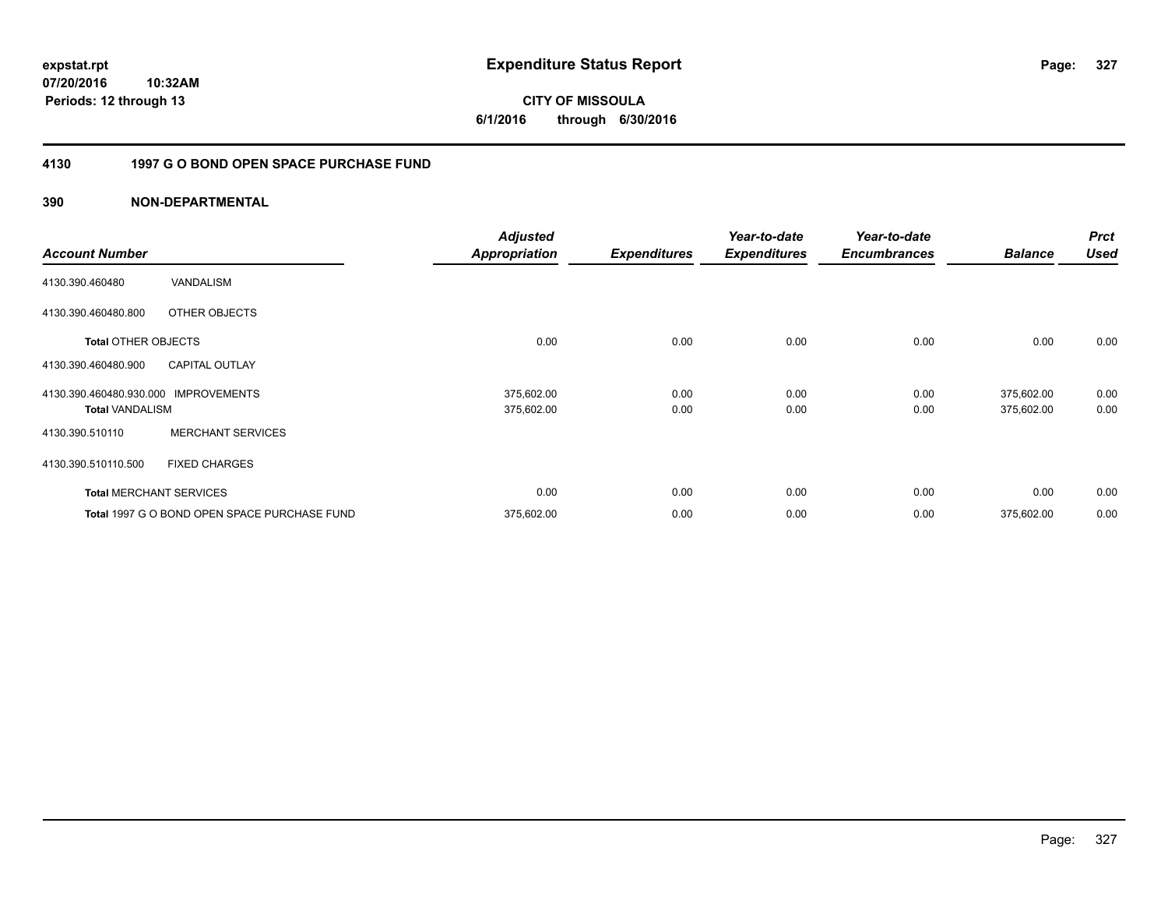**CITY OF MISSOULA 6/1/2016 through 6/30/2016**

#### **4130 1997 G O BOND OPEN SPACE PURCHASE FUND**

| <b>Account Number</b>                             |                                              | <b>Adjusted</b><br><b>Appropriation</b> | <b>Expenditures</b> | Year-to-date<br><b>Expenditures</b> | Year-to-date<br><b>Encumbrances</b> | <b>Balance</b>           | <b>Prct</b><br><b>Used</b> |
|---------------------------------------------------|----------------------------------------------|-----------------------------------------|---------------------|-------------------------------------|-------------------------------------|--------------------------|----------------------------|
| 4130.390.460480                                   | VANDALISM                                    |                                         |                     |                                     |                                     |                          |                            |
| 4130.390.460480.800                               | OTHER OBJECTS                                |                                         |                     |                                     |                                     |                          |                            |
| <b>Total OTHER OBJECTS</b>                        |                                              | 0.00                                    | 0.00                | 0.00                                | 0.00                                | 0.00                     | 0.00                       |
| 4130.390.460480.900                               | <b>CAPITAL OUTLAY</b>                        |                                         |                     |                                     |                                     |                          |                            |
| 4130.390.460480.930.000<br><b>Total VANDALISM</b> | <b>IMPROVEMENTS</b>                          | 375,602.00<br>375,602.00                | 0.00<br>0.00        | 0.00<br>0.00                        | 0.00<br>0.00                        | 375,602.00<br>375,602.00 | 0.00<br>0.00               |
| 4130.390.510110                                   | <b>MERCHANT SERVICES</b>                     |                                         |                     |                                     |                                     |                          |                            |
| 4130.390.510110.500                               | <b>FIXED CHARGES</b>                         |                                         |                     |                                     |                                     |                          |                            |
|                                                   | <b>Total MERCHANT SERVICES</b>               | 0.00                                    | 0.00                | 0.00                                | 0.00                                | 0.00                     | 0.00                       |
|                                                   | Total 1997 G O BOND OPEN SPACE PURCHASE FUND | 375,602.00                              | 0.00                | 0.00                                | 0.00                                | 375,602.00               | 0.00                       |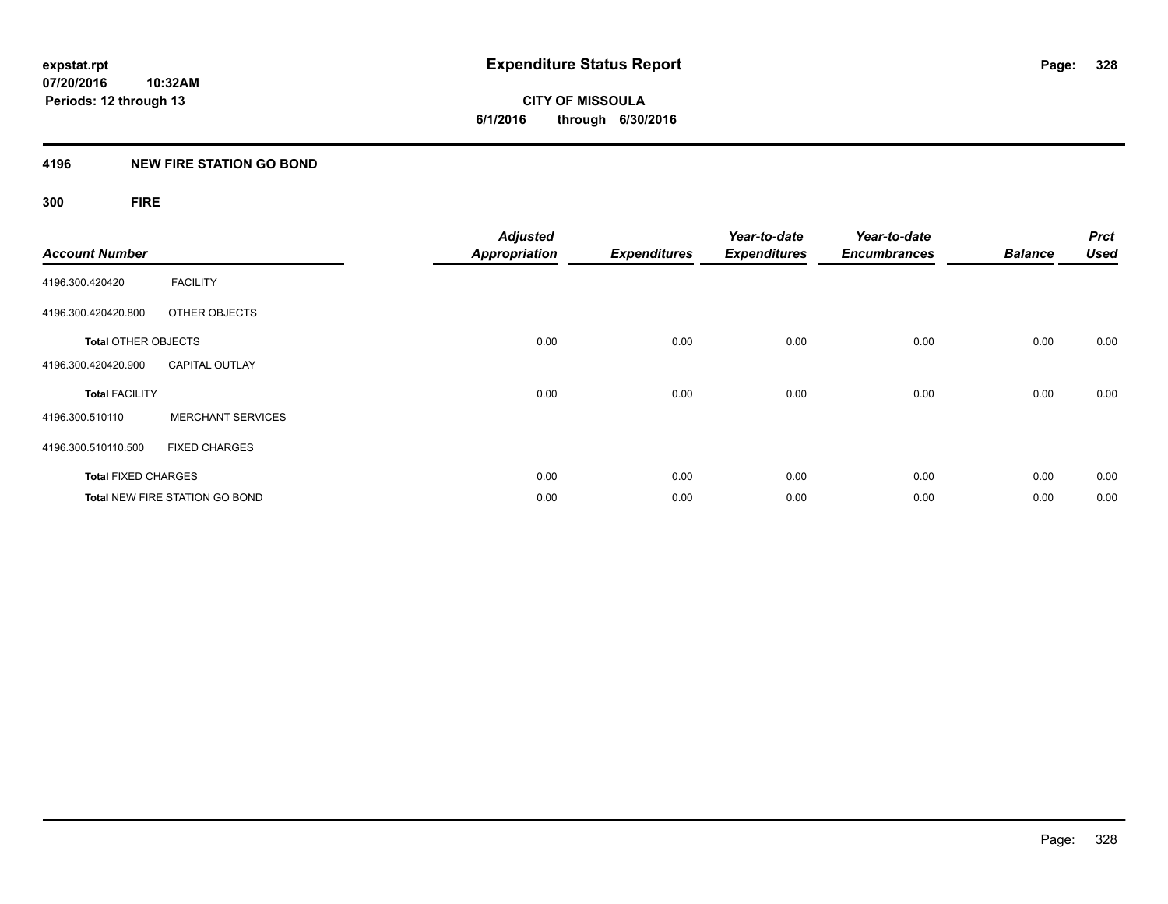**07/20/2016 10:32AM Periods: 12 through 13**

**CITY OF MISSOULA 6/1/2016 through 6/30/2016**

#### **4196 NEW FIRE STATION GO BOND**

**300 FIRE**

| <b>Account Number</b>      |                                       | <b>Adjusted</b><br><b>Appropriation</b> | <b>Expenditures</b> | Year-to-date<br><b>Expenditures</b> | Year-to-date<br><b>Encumbrances</b> | <b>Balance</b> | <b>Prct</b><br><b>Used</b> |
|----------------------------|---------------------------------------|-----------------------------------------|---------------------|-------------------------------------|-------------------------------------|----------------|----------------------------|
| 4196.300.420420            | <b>FACILITY</b>                       |                                         |                     |                                     |                                     |                |                            |
| 4196.300.420420.800        | OTHER OBJECTS                         |                                         |                     |                                     |                                     |                |                            |
| <b>Total OTHER OBJECTS</b> |                                       | 0.00                                    | 0.00                | 0.00                                | 0.00                                | 0.00           | 0.00                       |
| 4196.300.420420.900        | <b>CAPITAL OUTLAY</b>                 |                                         |                     |                                     |                                     |                |                            |
| <b>Total FACILITY</b>      |                                       | 0.00                                    | 0.00                | 0.00                                | 0.00                                | 0.00           | 0.00                       |
| 4196.300.510110            | <b>MERCHANT SERVICES</b>              |                                         |                     |                                     |                                     |                |                            |
| 4196.300.510110.500        | <b>FIXED CHARGES</b>                  |                                         |                     |                                     |                                     |                |                            |
| <b>Total FIXED CHARGES</b> |                                       | 0.00                                    | 0.00                | 0.00                                | 0.00                                | 0.00           | 0.00                       |
|                            | <b>Total NEW FIRE STATION GO BOND</b> | 0.00                                    | 0.00                | 0.00                                | 0.00                                | 0.00           | 0.00                       |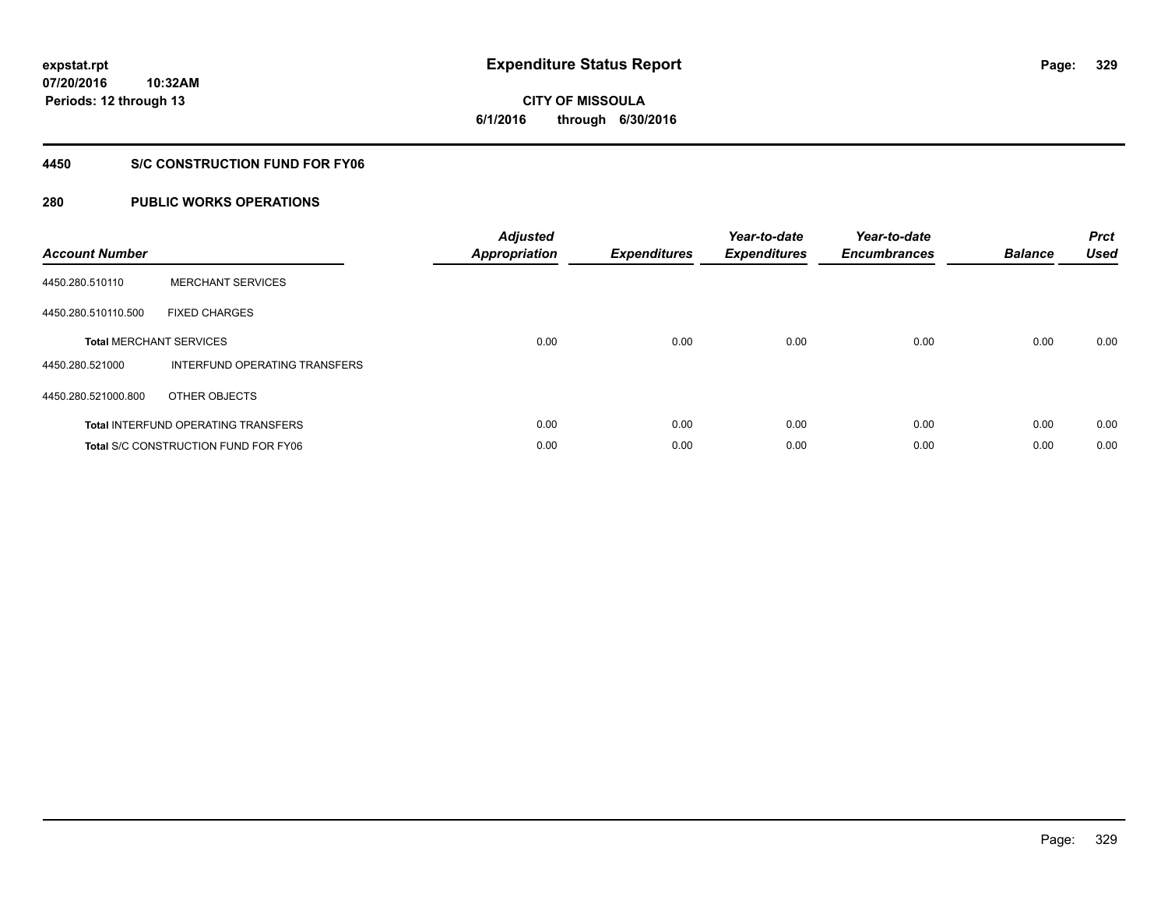**CITY OF MISSOULA 6/1/2016 through 6/30/2016**

#### **4450 S/C CONSTRUCTION FUND FOR FY06**

| <b>Account Number</b> |                                             | <b>Adjusted</b><br>Appropriation | <b>Expenditures</b> | Year-to-date<br><b>Expenditures</b> | Year-to-date<br><b>Encumbrances</b> | <b>Balance</b> | <b>Prct</b><br><b>Used</b> |
|-----------------------|---------------------------------------------|----------------------------------|---------------------|-------------------------------------|-------------------------------------|----------------|----------------------------|
| 4450.280.510110       | <b>MERCHANT SERVICES</b>                    |                                  |                     |                                     |                                     |                |                            |
| 4450.280.510110.500   | <b>FIXED CHARGES</b>                        |                                  |                     |                                     |                                     |                |                            |
|                       | <b>Total MERCHANT SERVICES</b>              | 0.00                             | 0.00                | 0.00                                | 0.00                                | 0.00           | 0.00                       |
| 4450.280.521000       | INTERFUND OPERATING TRANSFERS               |                                  |                     |                                     |                                     |                |                            |
| 4450.280.521000.800   | OTHER OBJECTS                               |                                  |                     |                                     |                                     |                |                            |
|                       | <b>Total INTERFUND OPERATING TRANSFERS</b>  | 0.00                             | 0.00                | 0.00                                | 0.00                                | 0.00           | 0.00                       |
|                       | <b>Total S/C CONSTRUCTION FUND FOR FY06</b> | 0.00                             | 0.00                | 0.00                                | 0.00                                | 0.00           | 0.00                       |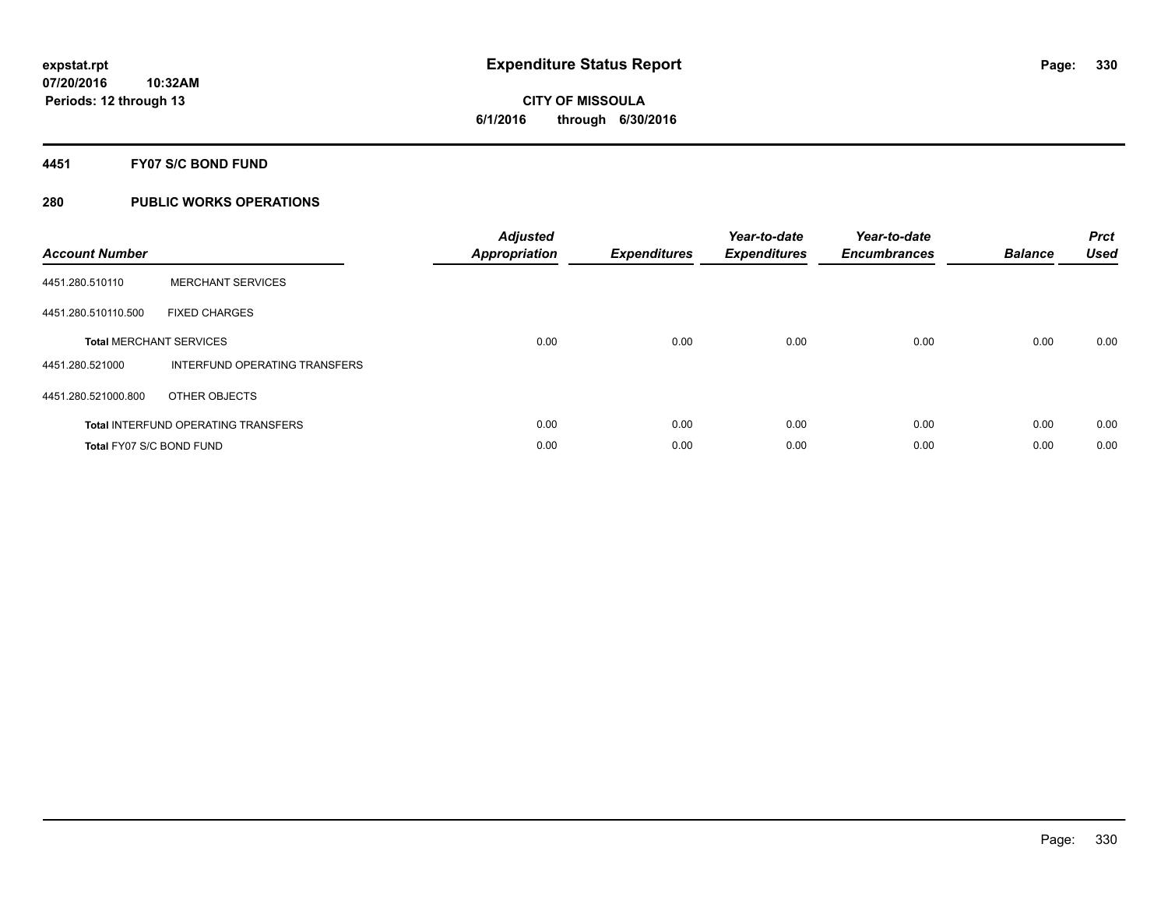#### **4451 FY07 S/C BOND FUND**

| <b>Account Number</b>           |                                            | <b>Adjusted</b><br>Appropriation | <b>Expenditures</b> | Year-to-date<br><b>Expenditures</b> | Year-to-date<br><b>Encumbrances</b> | <b>Balance</b> | <b>Prct</b><br><b>Used</b> |
|---------------------------------|--------------------------------------------|----------------------------------|---------------------|-------------------------------------|-------------------------------------|----------------|----------------------------|
| 4451.280.510110                 | <b>MERCHANT SERVICES</b>                   |                                  |                     |                                     |                                     |                |                            |
| 4451.280.510110.500             | <b>FIXED CHARGES</b>                       |                                  |                     |                                     |                                     |                |                            |
|                                 | <b>Total MERCHANT SERVICES</b>             | 0.00                             | 0.00                | 0.00                                | 0.00                                | 0.00           | 0.00                       |
| 4451.280.521000                 | INTERFUND OPERATING TRANSFERS              |                                  |                     |                                     |                                     |                |                            |
| 4451.280.521000.800             | OTHER OBJECTS                              |                                  |                     |                                     |                                     |                |                            |
|                                 | <b>Total INTERFUND OPERATING TRANSFERS</b> | 0.00                             | 0.00                | 0.00                                | 0.00                                | 0.00           | 0.00                       |
| <b>Total FY07 S/C BOND FUND</b> |                                            | 0.00                             | 0.00                | 0.00                                | 0.00                                | 0.00           | 0.00                       |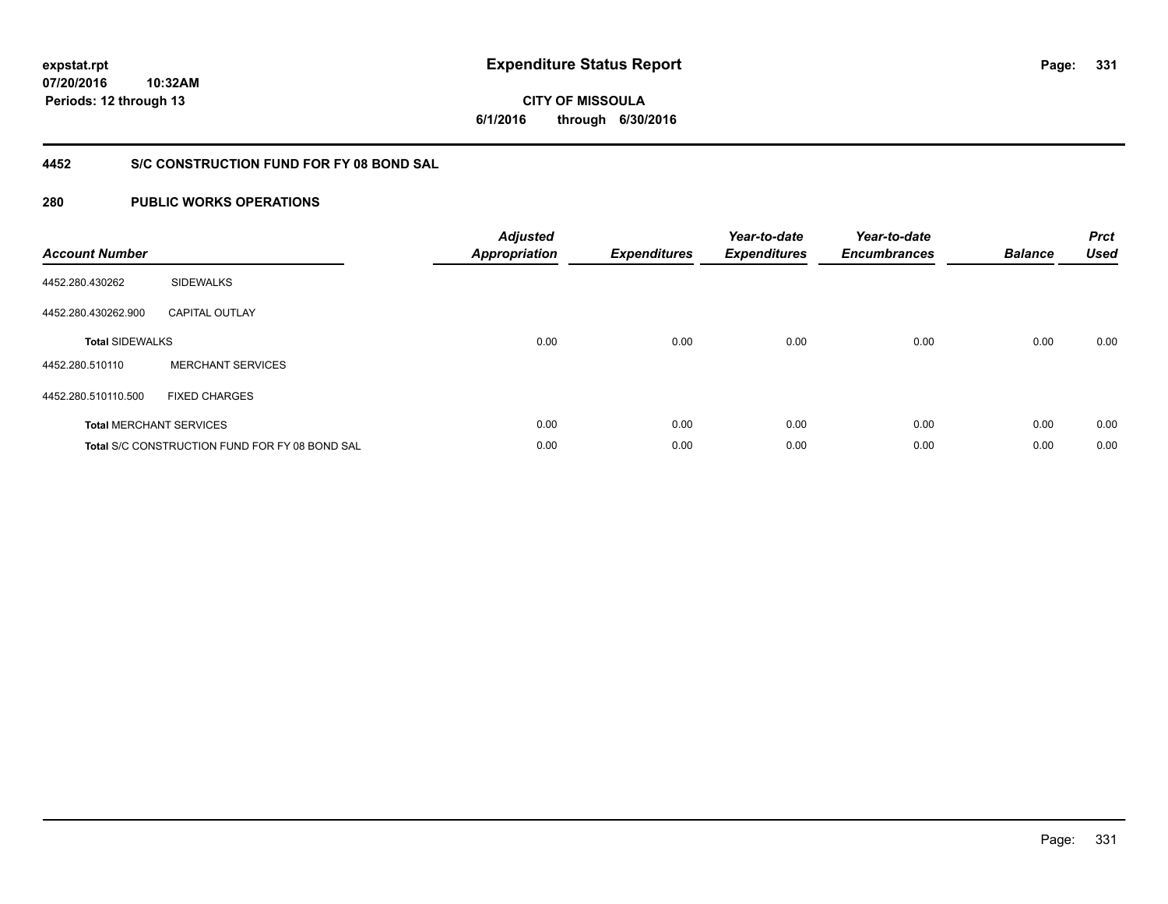**07/20/2016 10:32AM Periods: 12 through 13**

**CITY OF MISSOULA 6/1/2016 through 6/30/2016**

#### **4452 S/C CONSTRUCTION FUND FOR FY 08 BOND SAL**

| <b>Account Number</b>  |                                                       | <b>Adjusted</b><br>Appropriation | <b>Expenditures</b> | Year-to-date<br><b>Expenditures</b> | Year-to-date<br><b>Encumbrances</b> | <b>Balance</b> | <b>Prct</b><br><b>Used</b> |
|------------------------|-------------------------------------------------------|----------------------------------|---------------------|-------------------------------------|-------------------------------------|----------------|----------------------------|
| 4452.280.430262        | <b>SIDEWALKS</b>                                      |                                  |                     |                                     |                                     |                |                            |
| 4452.280.430262.900    | <b>CAPITAL OUTLAY</b>                                 |                                  |                     |                                     |                                     |                |                            |
| <b>Total SIDEWALKS</b> |                                                       | 0.00                             | 0.00                | 0.00                                | 0.00                                | 0.00           | 0.00                       |
| 4452.280.510110        | <b>MERCHANT SERVICES</b>                              |                                  |                     |                                     |                                     |                |                            |
| 4452.280.510110.500    | <b>FIXED CHARGES</b>                                  |                                  |                     |                                     |                                     |                |                            |
|                        | <b>Total MERCHANT SERVICES</b>                        | 0.00                             | 0.00                | 0.00                                | 0.00                                | 0.00           | 0.00                       |
|                        | <b>Total S/C CONSTRUCTION FUND FOR FY 08 BOND SAL</b> | 0.00                             | 0.00                | 0.00                                | 0.00                                | 0.00           | 0.00                       |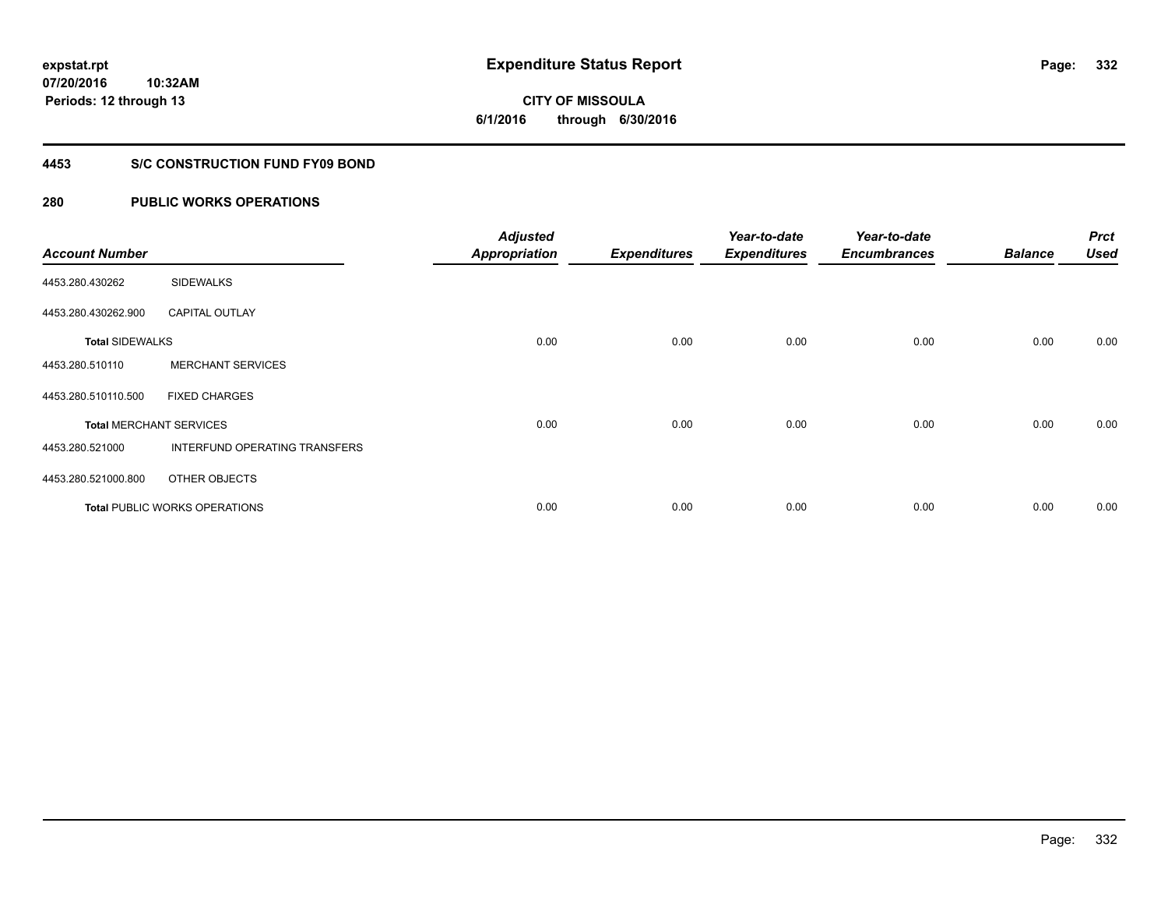**07/20/2016 10:32AM Periods: 12 through 13**

**CITY OF MISSOULA 6/1/2016 through 6/30/2016**

#### **4453 S/C CONSTRUCTION FUND FY09 BOND**

| <b>Account Number</b>  |                                      | <b>Adjusted</b><br><b>Appropriation</b> | <b>Expenditures</b> | Year-to-date<br><b>Expenditures</b> | Year-to-date<br><b>Encumbrances</b> | <b>Balance</b> | <b>Prct</b><br><b>Used</b> |
|------------------------|--------------------------------------|-----------------------------------------|---------------------|-------------------------------------|-------------------------------------|----------------|----------------------------|
| 4453.280.430262        | <b>SIDEWALKS</b>                     |                                         |                     |                                     |                                     |                |                            |
| 4453.280.430262.900    | <b>CAPITAL OUTLAY</b>                |                                         |                     |                                     |                                     |                |                            |
| <b>Total SIDEWALKS</b> |                                      | 0.00                                    | 0.00                | 0.00                                | 0.00                                | 0.00           | 0.00                       |
| 4453.280.510110        | <b>MERCHANT SERVICES</b>             |                                         |                     |                                     |                                     |                |                            |
| 4453.280.510110.500    | <b>FIXED CHARGES</b>                 |                                         |                     |                                     |                                     |                |                            |
|                        | <b>Total MERCHANT SERVICES</b>       | 0.00                                    | 0.00                | 0.00                                | 0.00                                | 0.00           | 0.00                       |
| 4453.280.521000        | <b>INTERFUND OPERATING TRANSFERS</b> |                                         |                     |                                     |                                     |                |                            |
| 4453.280.521000.800    | OTHER OBJECTS                        |                                         |                     |                                     |                                     |                |                            |
|                        | <b>Total PUBLIC WORKS OPERATIONS</b> | 0.00                                    | 0.00                | 0.00                                | 0.00                                | 0.00           | 0.00                       |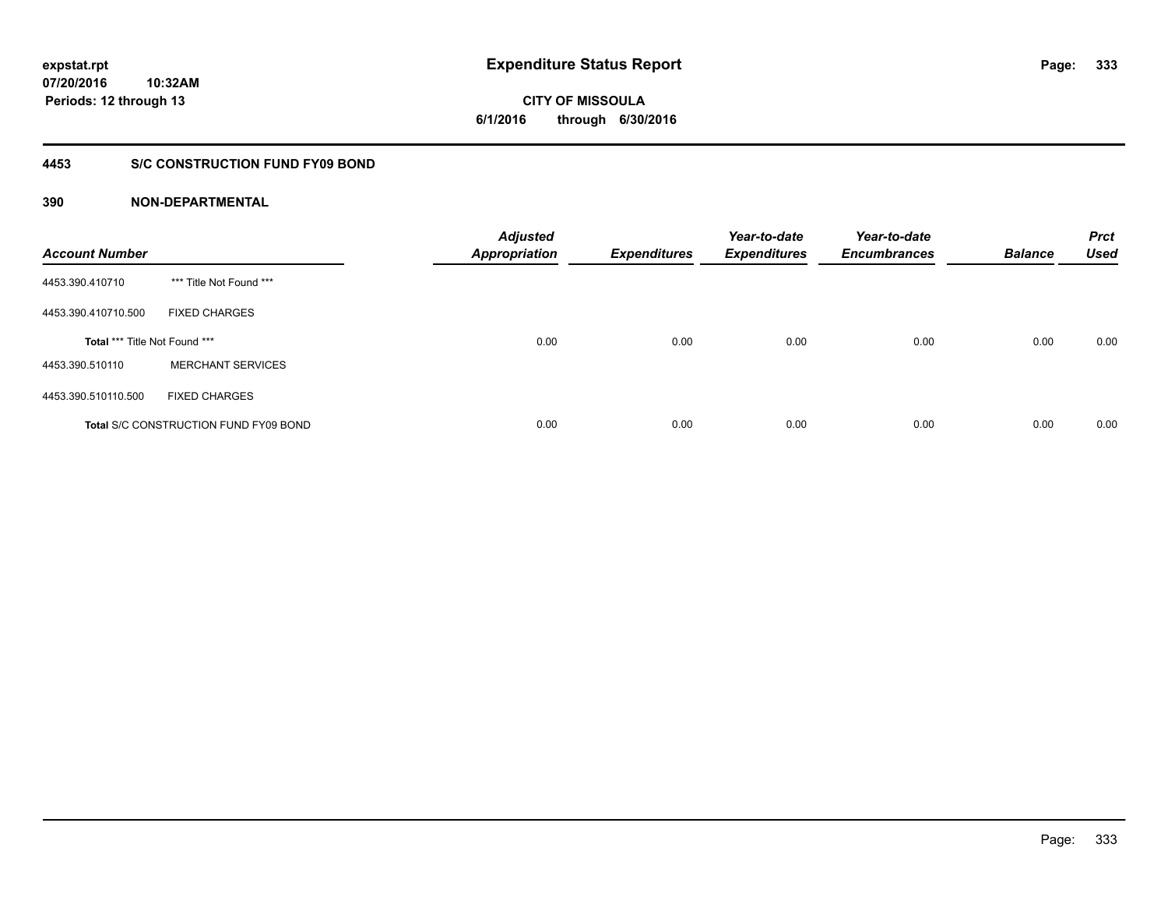**07/20/2016 10:32AM Periods: 12 through 13**

**CITY OF MISSOULA 6/1/2016 through 6/30/2016**

#### **4453 S/C CONSTRUCTION FUND FY09 BOND**

| <b>Account Number</b>         |                                              | <b>Adjusted</b><br><b>Appropriation</b> | <b>Expenditures</b> | Year-to-date<br><b>Expenditures</b> | Year-to-date<br><b>Encumbrances</b> | <b>Balance</b> | <b>Prct</b><br><b>Used</b> |
|-------------------------------|----------------------------------------------|-----------------------------------------|---------------------|-------------------------------------|-------------------------------------|----------------|----------------------------|
| 4453.390.410710               | *** Title Not Found ***                      |                                         |                     |                                     |                                     |                |                            |
| 4453.390.410710.500           | <b>FIXED CHARGES</b>                         |                                         |                     |                                     |                                     |                |                            |
| Total *** Title Not Found *** |                                              | 0.00                                    | 0.00                | 0.00                                | 0.00                                | 0.00           | 0.00                       |
| 4453.390.510110               | <b>MERCHANT SERVICES</b>                     |                                         |                     |                                     |                                     |                |                            |
| 4453.390.510110.500           | <b>FIXED CHARGES</b>                         |                                         |                     |                                     |                                     |                |                            |
|                               | <b>Total S/C CONSTRUCTION FUND FY09 BOND</b> | 0.00                                    | 0.00                | 0.00                                | 0.00                                | 0.00           | 0.00                       |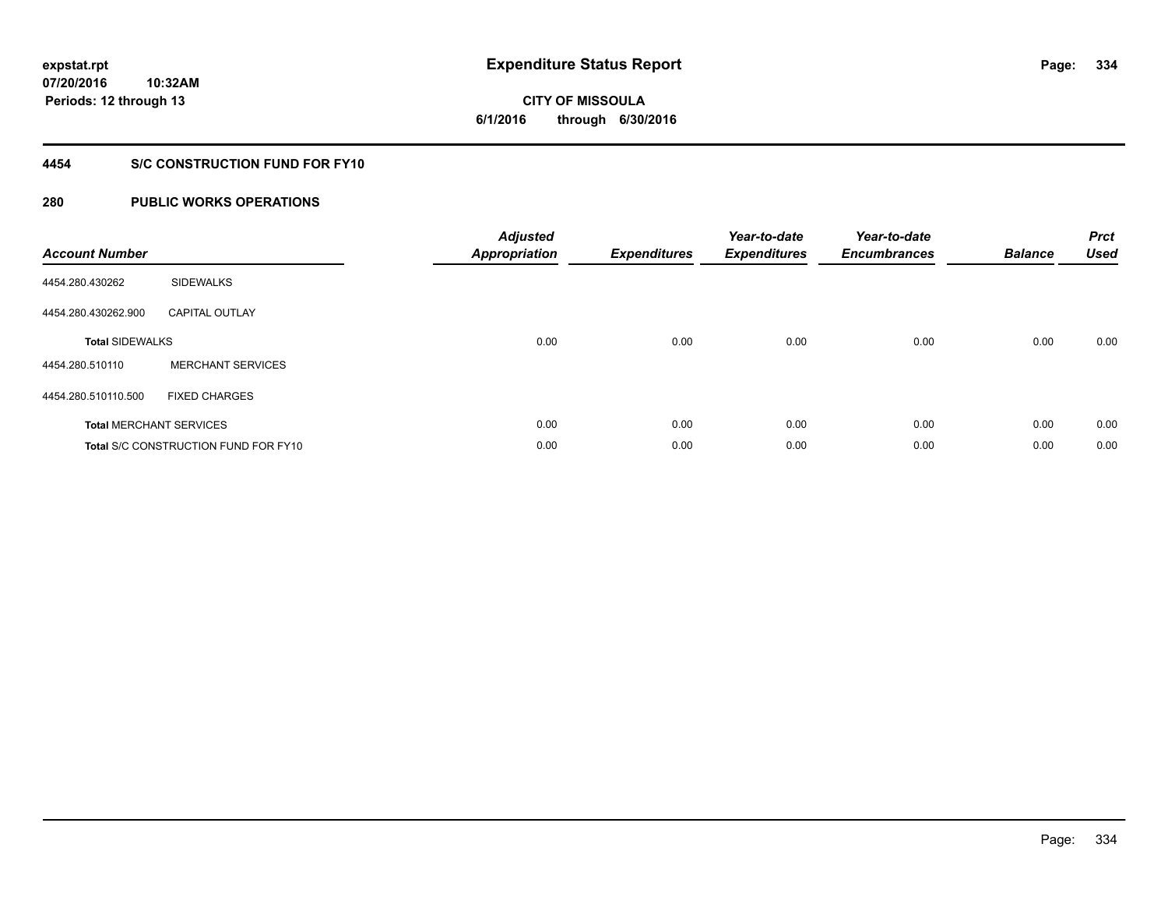**CITY OF MISSOULA 6/1/2016 through 6/30/2016**

### **4454 S/C CONSTRUCTION FUND FOR FY10**

| <b>Account Number</b>  |                                             | <b>Adjusted</b><br>Appropriation | <b>Expenditures</b> | Year-to-date<br><b>Expenditures</b> | Year-to-date<br><b>Encumbrances</b> | <b>Balance</b> | <b>Prct</b><br><b>Used</b> |
|------------------------|---------------------------------------------|----------------------------------|---------------------|-------------------------------------|-------------------------------------|----------------|----------------------------|
| 4454.280.430262        | <b>SIDEWALKS</b>                            |                                  |                     |                                     |                                     |                |                            |
| 4454.280.430262.900    | <b>CAPITAL OUTLAY</b>                       |                                  |                     |                                     |                                     |                |                            |
| <b>Total SIDEWALKS</b> |                                             | 0.00                             | 0.00                | 0.00                                | 0.00                                | 0.00           | 0.00                       |
| 4454.280.510110        | <b>MERCHANT SERVICES</b>                    |                                  |                     |                                     |                                     |                |                            |
| 4454.280.510110.500    | <b>FIXED CHARGES</b>                        |                                  |                     |                                     |                                     |                |                            |
|                        | <b>Total MERCHANT SERVICES</b>              | 0.00                             | 0.00                | 0.00                                | 0.00                                | 0.00           | 0.00                       |
|                        | <b>Total S/C CONSTRUCTION FUND FOR FY10</b> | 0.00                             | 0.00                | 0.00                                | 0.00                                | 0.00           | 0.00                       |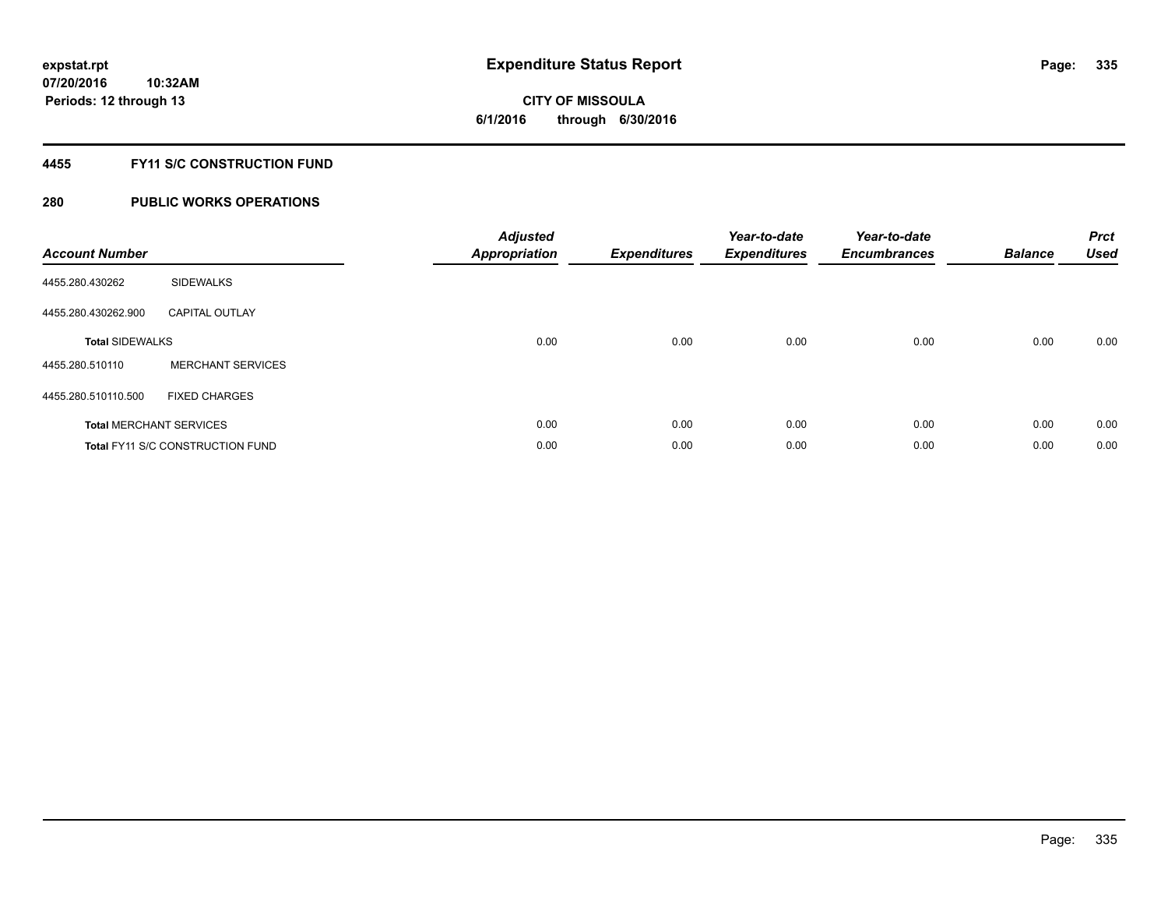**Periods: 12 through 13**

**CITY OF MISSOULA 6/1/2016 through 6/30/2016**

#### **4455 FY11 S/C CONSTRUCTION FUND**

| <b>Account Number</b>          |                                         | <b>Adjusted</b><br><b>Appropriation</b> | <b>Expenditures</b> | Year-to-date<br><b>Expenditures</b> | Year-to-date<br><b>Encumbrances</b> | <b>Balance</b> | <b>Prct</b><br><b>Used</b> |
|--------------------------------|-----------------------------------------|-----------------------------------------|---------------------|-------------------------------------|-------------------------------------|----------------|----------------------------|
| 4455.280.430262                | <b>SIDEWALKS</b>                        |                                         |                     |                                     |                                     |                |                            |
| 4455.280.430262.900            | <b>CAPITAL OUTLAY</b>                   |                                         |                     |                                     |                                     |                |                            |
| <b>Total SIDEWALKS</b>         |                                         | 0.00                                    | 0.00                | 0.00                                | 0.00                                | 0.00           | 0.00                       |
| 4455.280.510110                | <b>MERCHANT SERVICES</b>                |                                         |                     |                                     |                                     |                |                            |
| 4455.280.510110.500            | <b>FIXED CHARGES</b>                    |                                         |                     |                                     |                                     |                |                            |
| <b>Total MERCHANT SERVICES</b> |                                         | 0.00                                    | 0.00                | 0.00                                | 0.00                                | 0.00           | 0.00                       |
|                                | <b>Total FY11 S/C CONSTRUCTION FUND</b> | 0.00                                    | 0.00                | 0.00                                | 0.00                                | 0.00           | 0.00                       |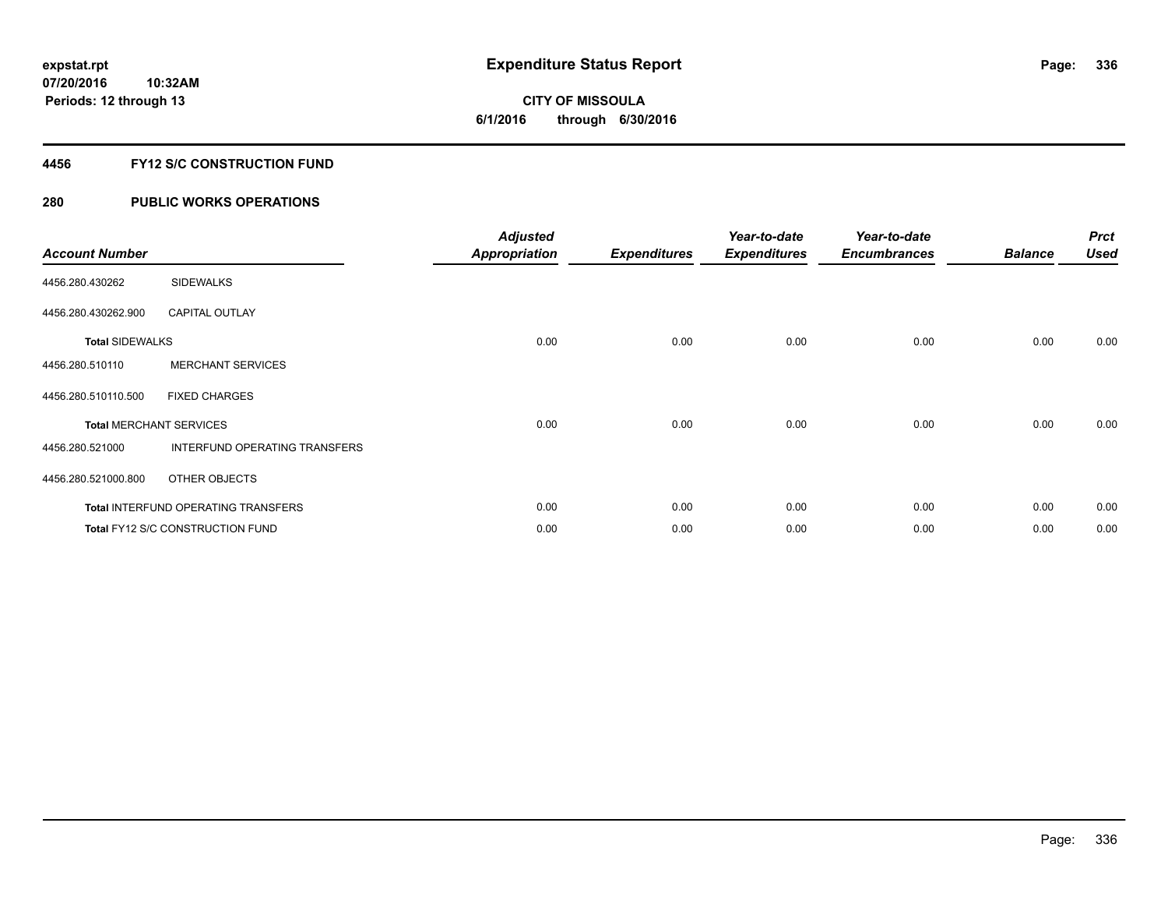**Periods: 12 through 13**

**CITY OF MISSOULA 6/1/2016 through 6/30/2016**

#### **4456 FY12 S/C CONSTRUCTION FUND**

### **280 PUBLIC WORKS OPERATIONS**

**10:32AM**

| <b>Account Number</b>          |                                            | <b>Adjusted</b><br><b>Appropriation</b> | <b>Expenditures</b> | Year-to-date<br><b>Expenditures</b> | Year-to-date<br><b>Encumbrances</b> | <b>Balance</b> | <b>Prct</b><br><b>Used</b> |
|--------------------------------|--------------------------------------------|-----------------------------------------|---------------------|-------------------------------------|-------------------------------------|----------------|----------------------------|
| 4456.280.430262                | <b>SIDEWALKS</b>                           |                                         |                     |                                     |                                     |                |                            |
| 4456.280.430262.900            | <b>CAPITAL OUTLAY</b>                      |                                         |                     |                                     |                                     |                |                            |
| <b>Total SIDEWALKS</b>         |                                            | 0.00                                    | 0.00                | 0.00                                | 0.00                                | 0.00           | 0.00                       |
| 4456.280.510110                | <b>MERCHANT SERVICES</b>                   |                                         |                     |                                     |                                     |                |                            |
| 4456.280.510110.500            | <b>FIXED CHARGES</b>                       |                                         |                     |                                     |                                     |                |                            |
| <b>Total MERCHANT SERVICES</b> |                                            | 0.00                                    | 0.00                | 0.00                                | 0.00                                | 0.00           | 0.00                       |
| 4456.280.521000                | INTERFUND OPERATING TRANSFERS              |                                         |                     |                                     |                                     |                |                            |
| 4456.280.521000.800            | OTHER OBJECTS                              |                                         |                     |                                     |                                     |                |                            |
|                                | <b>Total INTERFUND OPERATING TRANSFERS</b> | 0.00                                    | 0.00                | 0.00                                | 0.00                                | 0.00           | 0.00                       |
|                                | Total FY12 S/C CONSTRUCTION FUND           | 0.00                                    | 0.00                | 0.00                                | 0.00                                | 0.00           | 0.00                       |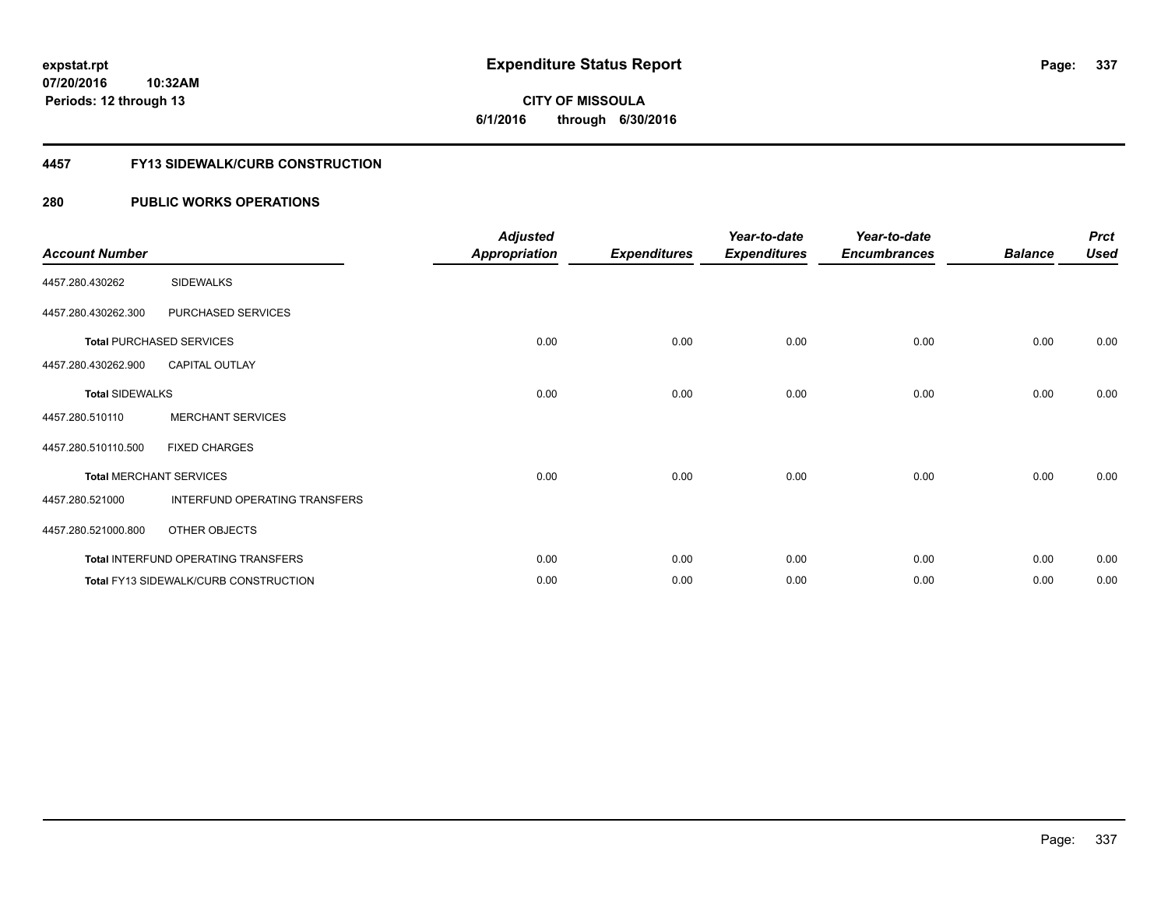**07/20/2016 10:32AM Periods: 12 through 13**

**CITY OF MISSOULA 6/1/2016 through 6/30/2016**

#### **4457 FY13 SIDEWALK/CURB CONSTRUCTION**

| <b>Account Number</b>  |                                              | <b>Adjusted</b><br><b>Appropriation</b> | <b>Expenditures</b> | Year-to-date<br><b>Expenditures</b> | Year-to-date<br><b>Encumbrances</b> | <b>Balance</b> | <b>Prct</b><br><b>Used</b> |
|------------------------|----------------------------------------------|-----------------------------------------|---------------------|-------------------------------------|-------------------------------------|----------------|----------------------------|
| 4457.280.430262        | <b>SIDEWALKS</b>                             |                                         |                     |                                     |                                     |                |                            |
| 4457.280.430262.300    | PURCHASED SERVICES                           |                                         |                     |                                     |                                     |                |                            |
|                        | <b>Total PURCHASED SERVICES</b>              | 0.00                                    | 0.00                | 0.00                                | 0.00                                | 0.00           | 0.00                       |
| 4457.280.430262.900    | <b>CAPITAL OUTLAY</b>                        |                                         |                     |                                     |                                     |                |                            |
| <b>Total SIDEWALKS</b> |                                              | 0.00                                    | 0.00                | 0.00                                | 0.00                                | 0.00           | 0.00                       |
| 4457.280.510110        | <b>MERCHANT SERVICES</b>                     |                                         |                     |                                     |                                     |                |                            |
| 4457.280.510110.500    | <b>FIXED CHARGES</b>                         |                                         |                     |                                     |                                     |                |                            |
|                        | <b>Total MERCHANT SERVICES</b>               | 0.00                                    | 0.00                | 0.00                                | 0.00                                | 0.00           | 0.00                       |
| 4457.280.521000        | INTERFUND OPERATING TRANSFERS                |                                         |                     |                                     |                                     |                |                            |
| 4457.280.521000.800    | OTHER OBJECTS                                |                                         |                     |                                     |                                     |                |                            |
|                        | Total INTERFUND OPERATING TRANSFERS          | 0.00                                    | 0.00                | 0.00                                | 0.00                                | 0.00           | 0.00                       |
|                        | <b>Total FY13 SIDEWALK/CURB CONSTRUCTION</b> | 0.00                                    | 0.00                | 0.00                                | 0.00                                | 0.00           | 0.00                       |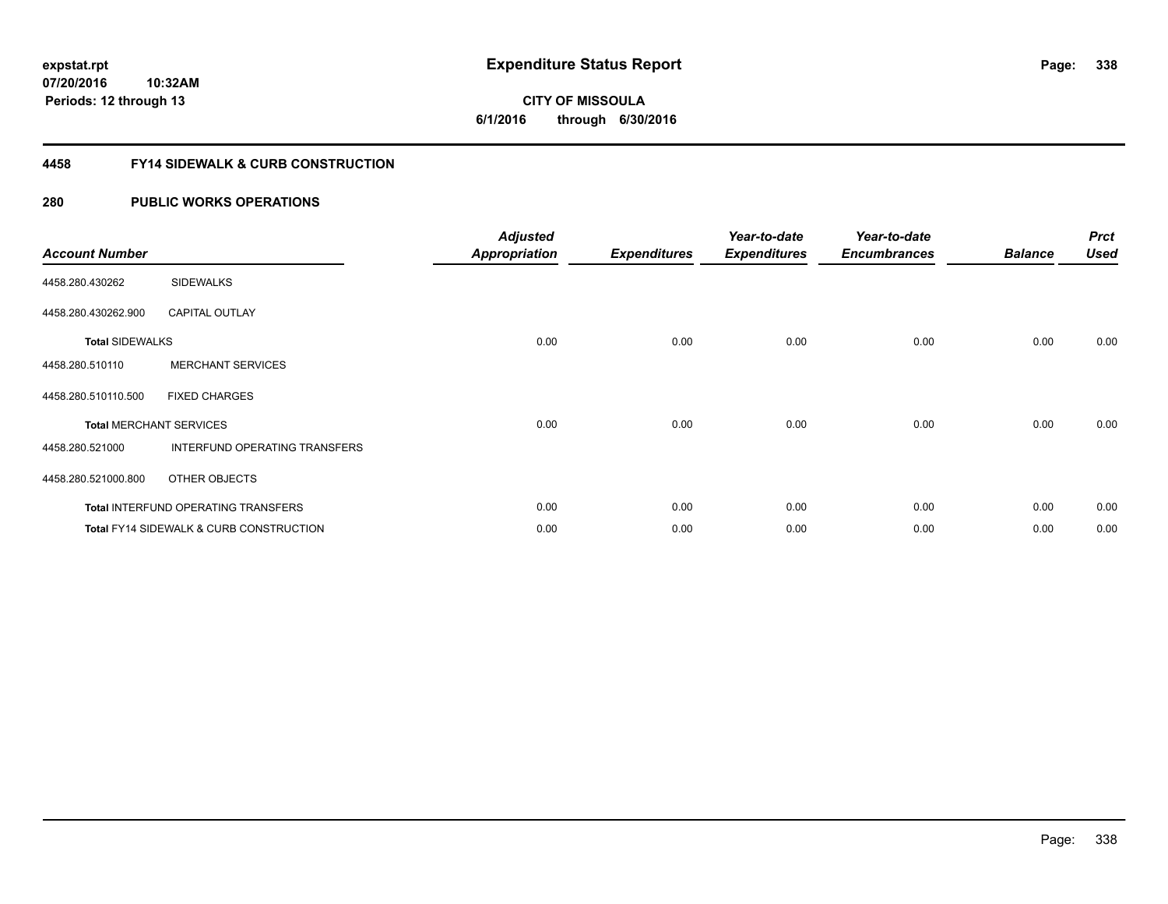**07/20/2016 10:32AM Periods: 12 through 13**

**CITY OF MISSOULA 6/1/2016 through 6/30/2016**

#### **4458 FY14 SIDEWALK & CURB CONSTRUCTION**

| <b>Account Number</b>  |                                                    | <b>Adjusted</b><br><b>Appropriation</b> | <b>Expenditures</b> | Year-to-date<br><b>Expenditures</b> | Year-to-date<br><b>Encumbrances</b> | <b>Balance</b> | <b>Prct</b><br><b>Used</b> |
|------------------------|----------------------------------------------------|-----------------------------------------|---------------------|-------------------------------------|-------------------------------------|----------------|----------------------------|
| 4458.280.430262        | <b>SIDEWALKS</b>                                   |                                         |                     |                                     |                                     |                |                            |
| 4458.280.430262.900    | <b>CAPITAL OUTLAY</b>                              |                                         |                     |                                     |                                     |                |                            |
| <b>Total SIDEWALKS</b> |                                                    | 0.00                                    | 0.00                | 0.00                                | 0.00                                | 0.00           | 0.00                       |
| 4458.280.510110        | <b>MERCHANT SERVICES</b>                           |                                         |                     |                                     |                                     |                |                            |
| 4458.280.510110.500    | <b>FIXED CHARGES</b>                               |                                         |                     |                                     |                                     |                |                            |
|                        | <b>Total MERCHANT SERVICES</b>                     | 0.00                                    | 0.00                | 0.00                                | 0.00                                | 0.00           | 0.00                       |
| 4458.280.521000        | INTERFUND OPERATING TRANSFERS                      |                                         |                     |                                     |                                     |                |                            |
| 4458.280.521000.800    | OTHER OBJECTS                                      |                                         |                     |                                     |                                     |                |                            |
|                        | Total INTERFUND OPERATING TRANSFERS                | 0.00                                    | 0.00                | 0.00                                | 0.00                                | 0.00           | 0.00                       |
|                        | <b>Total FY14 SIDEWALK &amp; CURB CONSTRUCTION</b> | 0.00                                    | 0.00                | 0.00                                | 0.00                                | 0.00           | 0.00                       |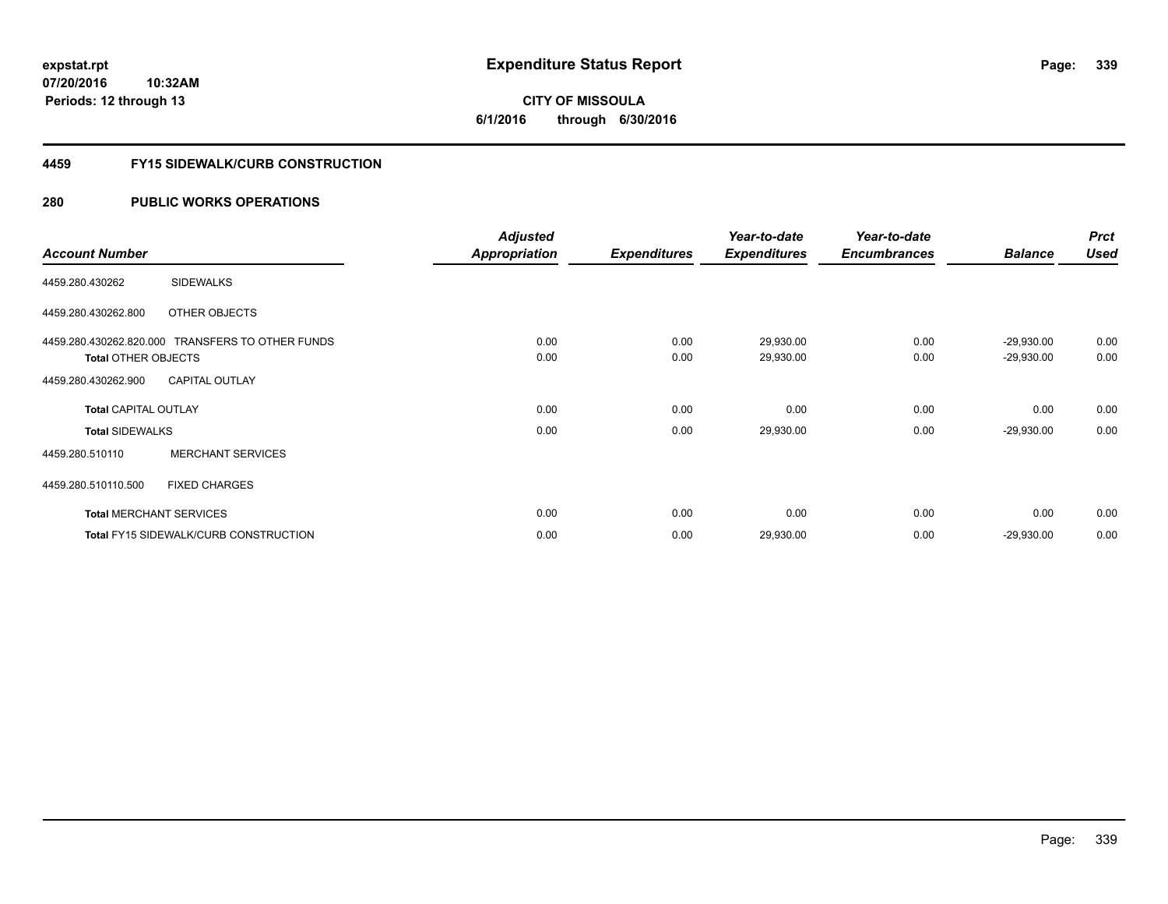**CITY OF MISSOULA 6/1/2016 through 6/30/2016**

#### **4459 FY15 SIDEWALK/CURB CONSTRUCTION**

|                             |                                                  | <b>Adjusted</b>      |                     | Year-to-date        | Year-to-date        |                | <b>Prct</b> |
|-----------------------------|--------------------------------------------------|----------------------|---------------------|---------------------|---------------------|----------------|-------------|
| <b>Account Number</b>       |                                                  | <b>Appropriation</b> | <b>Expenditures</b> | <b>Expenditures</b> | <b>Encumbrances</b> | <b>Balance</b> | <b>Used</b> |
| 4459.280.430262             | <b>SIDEWALKS</b>                                 |                      |                     |                     |                     |                |             |
| 4459.280.430262.800         | OTHER OBJECTS                                    |                      |                     |                     |                     |                |             |
|                             | 4459.280.430262.820.000 TRANSFERS TO OTHER FUNDS | 0.00                 | 0.00                | 29,930.00           | 0.00                | $-29,930.00$   | 0.00        |
| <b>Total OTHER OBJECTS</b>  |                                                  | 0.00                 | 0.00                | 29,930.00           | 0.00                | $-29,930.00$   | 0.00        |
| 4459.280.430262.900         | <b>CAPITAL OUTLAY</b>                            |                      |                     |                     |                     |                |             |
| <b>Total CAPITAL OUTLAY</b> |                                                  | 0.00                 | 0.00                | 0.00                | 0.00                | 0.00           | 0.00        |
| <b>Total SIDEWALKS</b>      |                                                  | 0.00                 | 0.00                | 29,930.00           | 0.00                | $-29,930.00$   | 0.00        |
| 4459.280.510110             | <b>MERCHANT SERVICES</b>                         |                      |                     |                     |                     |                |             |
| 4459.280.510110.500         | <b>FIXED CHARGES</b>                             |                      |                     |                     |                     |                |             |
|                             | <b>Total MERCHANT SERVICES</b>                   | 0.00                 | 0.00                | 0.00                | 0.00                | 0.00           | 0.00        |
|                             | <b>Total FY15 SIDEWALK/CURB CONSTRUCTION</b>     | 0.00                 | 0.00                | 29,930.00           | 0.00                | $-29,930.00$   | 0.00        |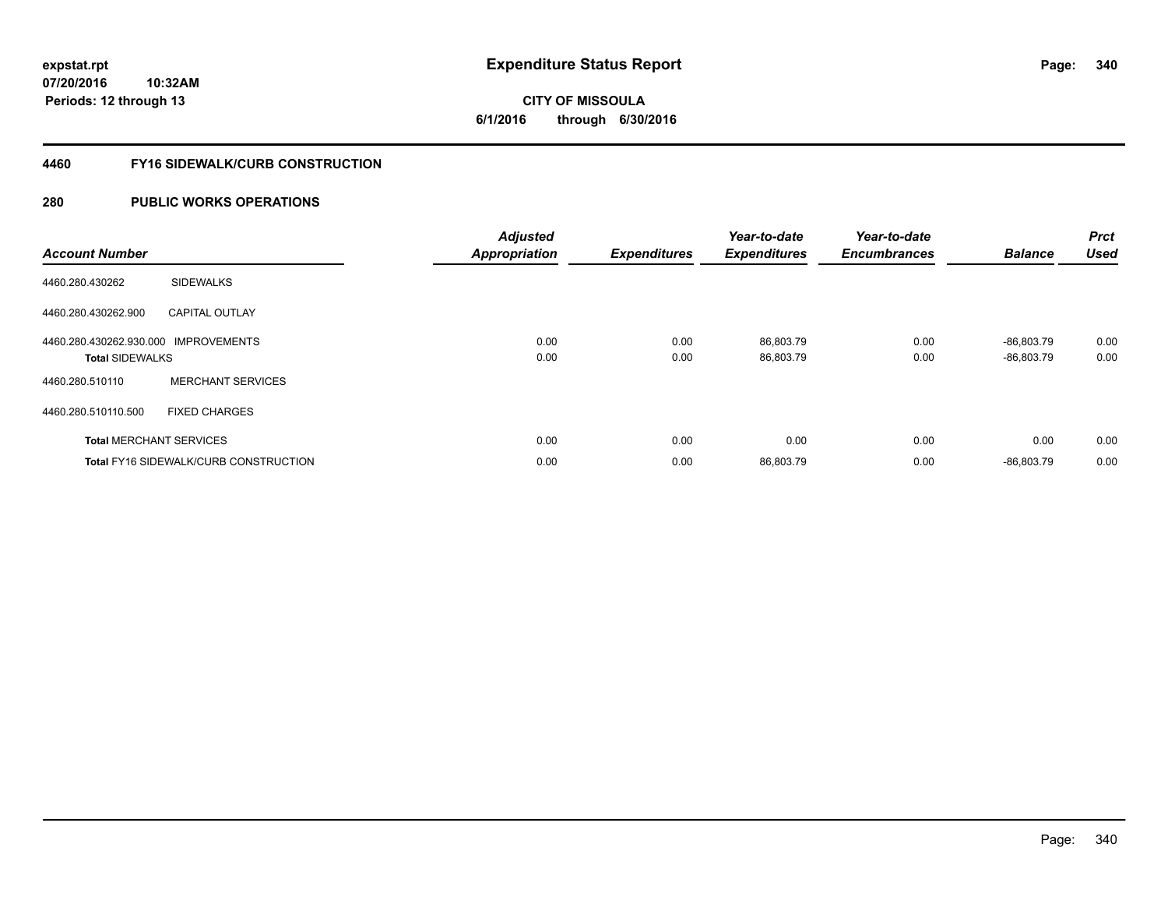**CITY OF MISSOULA 6/1/2016 through 6/30/2016**

#### **4460 FY16 SIDEWALK/CURB CONSTRUCTION**

| <b>Account Number</b>                                          |                                              | <b>Adjusted</b><br><b>Appropriation</b> | <b>Expenditures</b> | Year-to-date<br><b>Expenditures</b> | Year-to-date<br><b>Encumbrances</b> | <b>Balance</b>               | <b>Prct</b><br><b>Used</b> |
|----------------------------------------------------------------|----------------------------------------------|-----------------------------------------|---------------------|-------------------------------------|-------------------------------------|------------------------------|----------------------------|
| 4460.280.430262                                                | <b>SIDEWALKS</b>                             |                                         |                     |                                     |                                     |                              |                            |
| 4460.280.430262.900                                            | <b>CAPITAL OUTLAY</b>                        |                                         |                     |                                     |                                     |                              |                            |
| 4460.280.430262.930.000 IMPROVEMENTS<br><b>Total SIDEWALKS</b> |                                              | 0.00<br>0.00                            | 0.00<br>0.00        | 86,803.79<br>86,803.79              | 0.00<br>0.00                        | $-86.803.79$<br>$-86,803.79$ | 0.00<br>0.00               |
| 4460.280.510110                                                | <b>MERCHANT SERVICES</b>                     |                                         |                     |                                     |                                     |                              |                            |
| 4460.280.510110.500                                            | <b>FIXED CHARGES</b>                         |                                         |                     |                                     |                                     |                              |                            |
|                                                                | <b>Total MERCHANT SERVICES</b>               | 0.00                                    | 0.00                | 0.00                                | 0.00                                | 0.00                         | 0.00                       |
|                                                                | <b>Total FY16 SIDEWALK/CURB CONSTRUCTION</b> | 0.00                                    | 0.00                | 86,803.79                           | 0.00                                | $-86.803.79$                 | 0.00                       |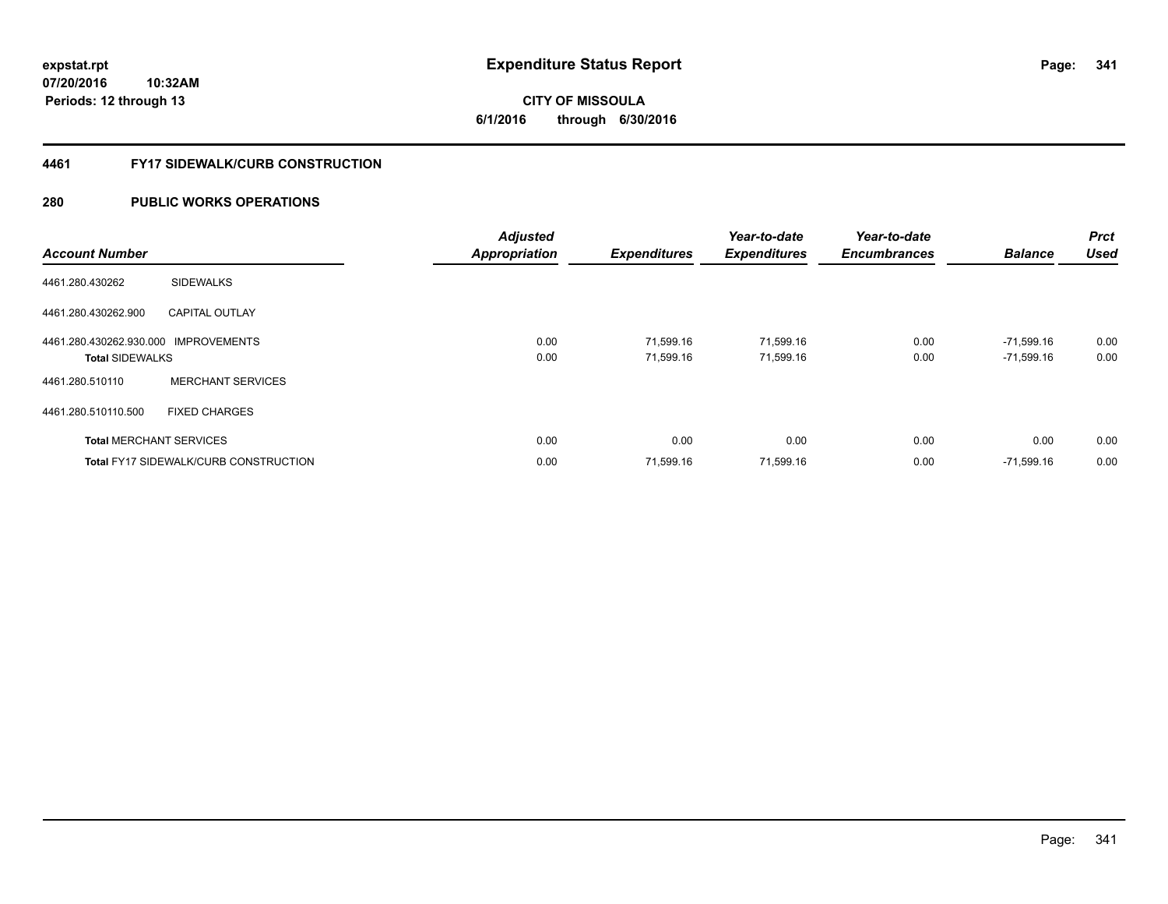**07/20/2016 10:32AM Periods: 12 through 13**

# **CITY OF MISSOULA 6/1/2016 through 6/30/2016**

#### **4461 FY17 SIDEWALK/CURB CONSTRUCTION**

| <b>Account Number</b>                                          |                                              | <b>Adjusted</b><br><b>Appropriation</b> | <b>Expenditures</b>    | Year-to-date<br><b>Expenditures</b> | Year-to-date<br><b>Encumbrances</b> | <b>Balance</b>               | Prct<br>Used |
|----------------------------------------------------------------|----------------------------------------------|-----------------------------------------|------------------------|-------------------------------------|-------------------------------------|------------------------------|--------------|
| 4461.280.430262                                                | <b>SIDEWALKS</b>                             |                                         |                        |                                     |                                     |                              |              |
| 4461.280.430262.900                                            | <b>CAPITAL OUTLAY</b>                        |                                         |                        |                                     |                                     |                              |              |
| 4461.280.430262.930.000 IMPROVEMENTS<br><b>Total SIDEWALKS</b> |                                              | 0.00<br>0.00                            | 71,599.16<br>71.599.16 | 71,599.16<br>71,599.16              | 0.00<br>0.00                        | $-71,599.16$<br>$-71,599.16$ | 0.00<br>0.00 |
| 4461.280.510110                                                | <b>MERCHANT SERVICES</b>                     |                                         |                        |                                     |                                     |                              |              |
| 4461.280.510110.500                                            | <b>FIXED CHARGES</b>                         |                                         |                        |                                     |                                     |                              |              |
|                                                                | <b>Total MERCHANT SERVICES</b>               | 0.00                                    | 0.00                   | 0.00                                | 0.00                                | 0.00                         | 0.00         |
|                                                                | <b>Total FY17 SIDEWALK/CURB CONSTRUCTION</b> | 0.00                                    | 71,599.16              | 71,599.16                           | 0.00                                | $-71,599.16$                 | 0.00         |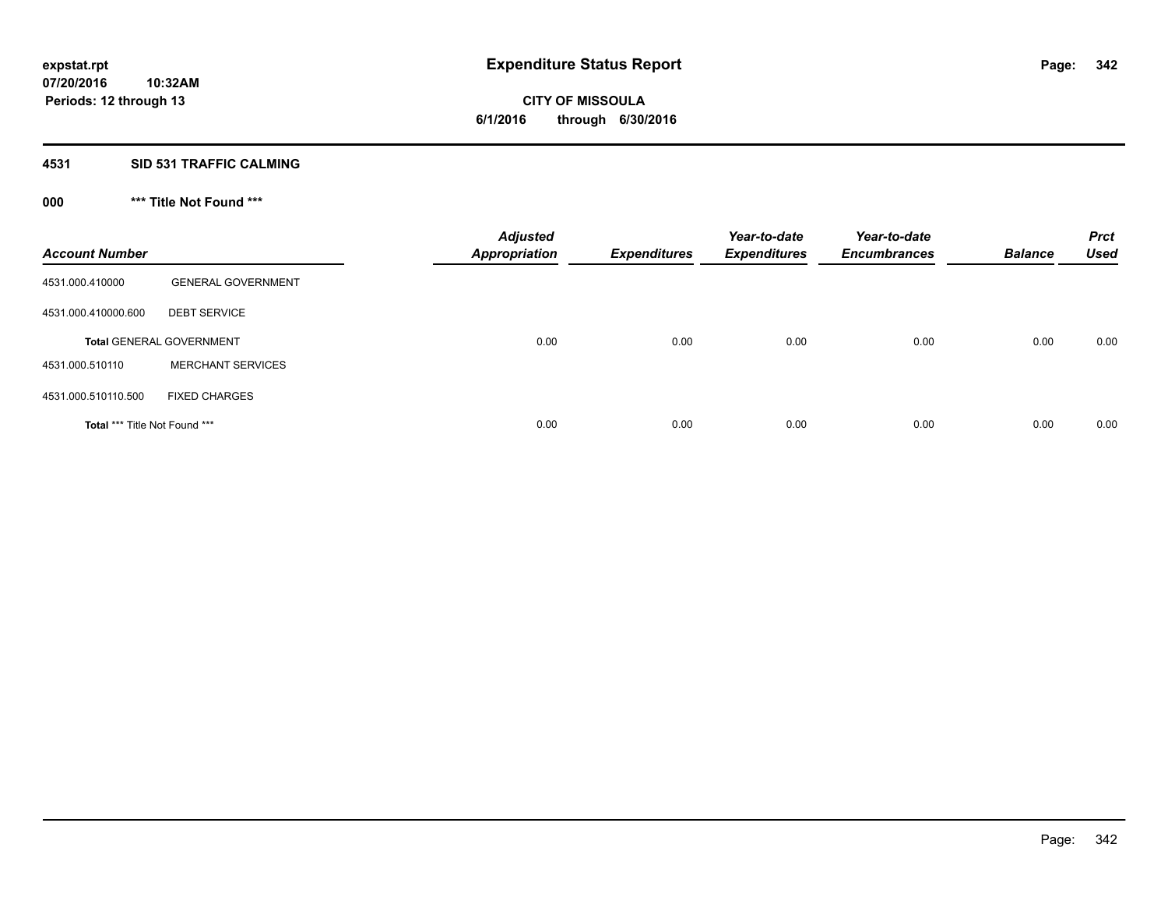#### **4531 SID 531 TRAFFIC CALMING**

## **000 \*\*\* Title Not Found \*\*\***

| <b>Account Number</b>         |                                 | <b>Adjusted</b><br><b>Appropriation</b> | <b>Expenditures</b> | Year-to-date<br><b>Expenditures</b> | Year-to-date<br><b>Encumbrances</b> | <b>Balance</b> | <b>Prct</b><br><b>Used</b> |
|-------------------------------|---------------------------------|-----------------------------------------|---------------------|-------------------------------------|-------------------------------------|----------------|----------------------------|
| 4531.000.410000               | <b>GENERAL GOVERNMENT</b>       |                                         |                     |                                     |                                     |                |                            |
| 4531.000.410000.600           | <b>DEBT SERVICE</b>             |                                         |                     |                                     |                                     |                |                            |
|                               | <b>Total GENERAL GOVERNMENT</b> | 0.00                                    | 0.00                | 0.00                                | 0.00                                | 0.00           | 0.00                       |
| 4531.000.510110               | <b>MERCHANT SERVICES</b>        |                                         |                     |                                     |                                     |                |                            |
| 4531.000.510110.500           | <b>FIXED CHARGES</b>            |                                         |                     |                                     |                                     |                |                            |
| Total *** Title Not Found *** |                                 | 0.00                                    | 0.00                | 0.00                                | 0.00                                | 0.00           | 0.00                       |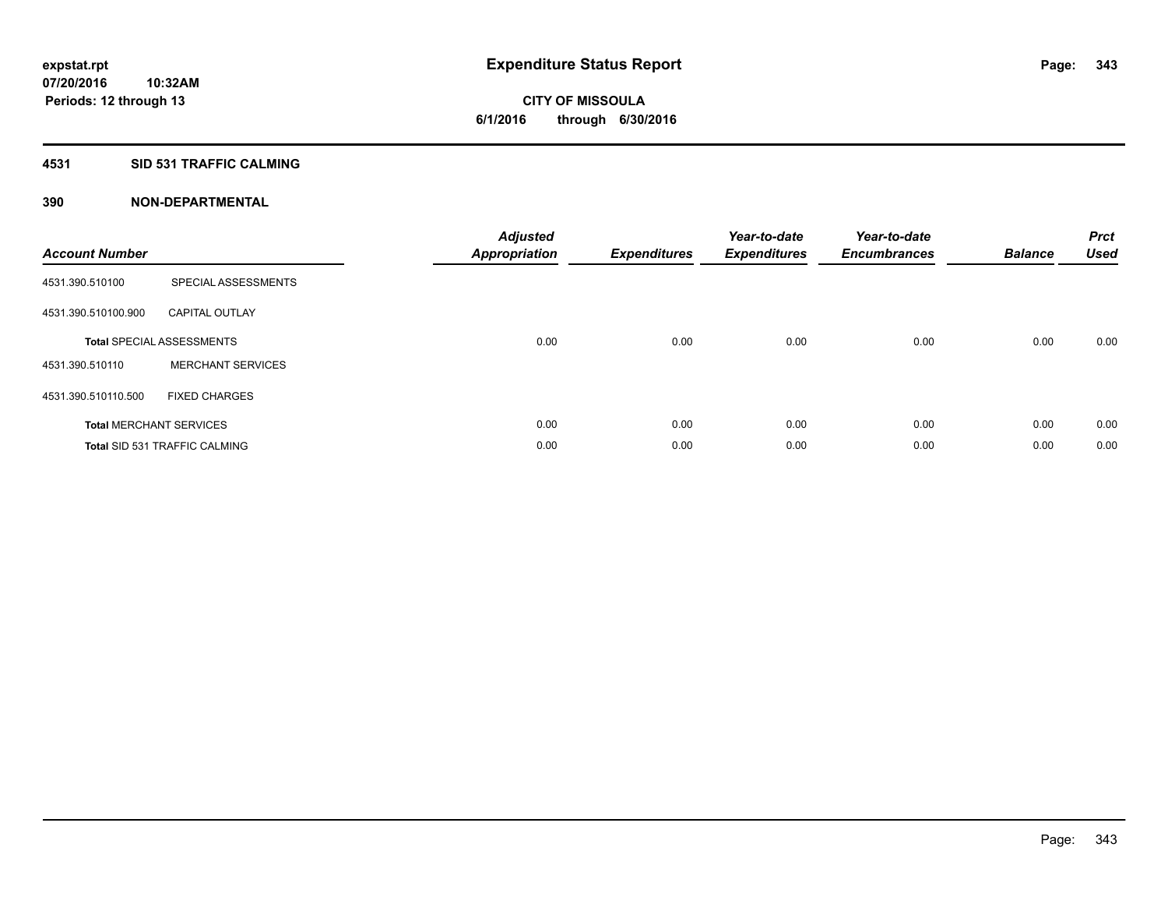#### **4531 SID 531 TRAFFIC CALMING**

| <b>Account Number</b> |                                      | <b>Adjusted</b><br>Appropriation | <b>Expenditures</b> | Year-to-date<br><b>Expenditures</b> | Year-to-date<br><b>Encumbrances</b> | <b>Balance</b> | <b>Prct</b><br><b>Used</b> |
|-----------------------|--------------------------------------|----------------------------------|---------------------|-------------------------------------|-------------------------------------|----------------|----------------------------|
| 4531.390.510100       | SPECIAL ASSESSMENTS                  |                                  |                     |                                     |                                     |                |                            |
| 4531.390.510100.900   | <b>CAPITAL OUTLAY</b>                |                                  |                     |                                     |                                     |                |                            |
|                       | <b>Total SPECIAL ASSESSMENTS</b>     | 0.00                             | 0.00                | 0.00                                | 0.00                                | 0.00           | 0.00                       |
| 4531.390.510110       | <b>MERCHANT SERVICES</b>             |                                  |                     |                                     |                                     |                |                            |
| 4531.390.510110.500   | <b>FIXED CHARGES</b>                 |                                  |                     |                                     |                                     |                |                            |
|                       | <b>Total MERCHANT SERVICES</b>       | 0.00                             | 0.00                | 0.00                                | 0.00                                | 0.00           | 0.00                       |
|                       | <b>Total SID 531 TRAFFIC CALMING</b> | 0.00                             | 0.00                | 0.00                                | 0.00                                | 0.00           | 0.00                       |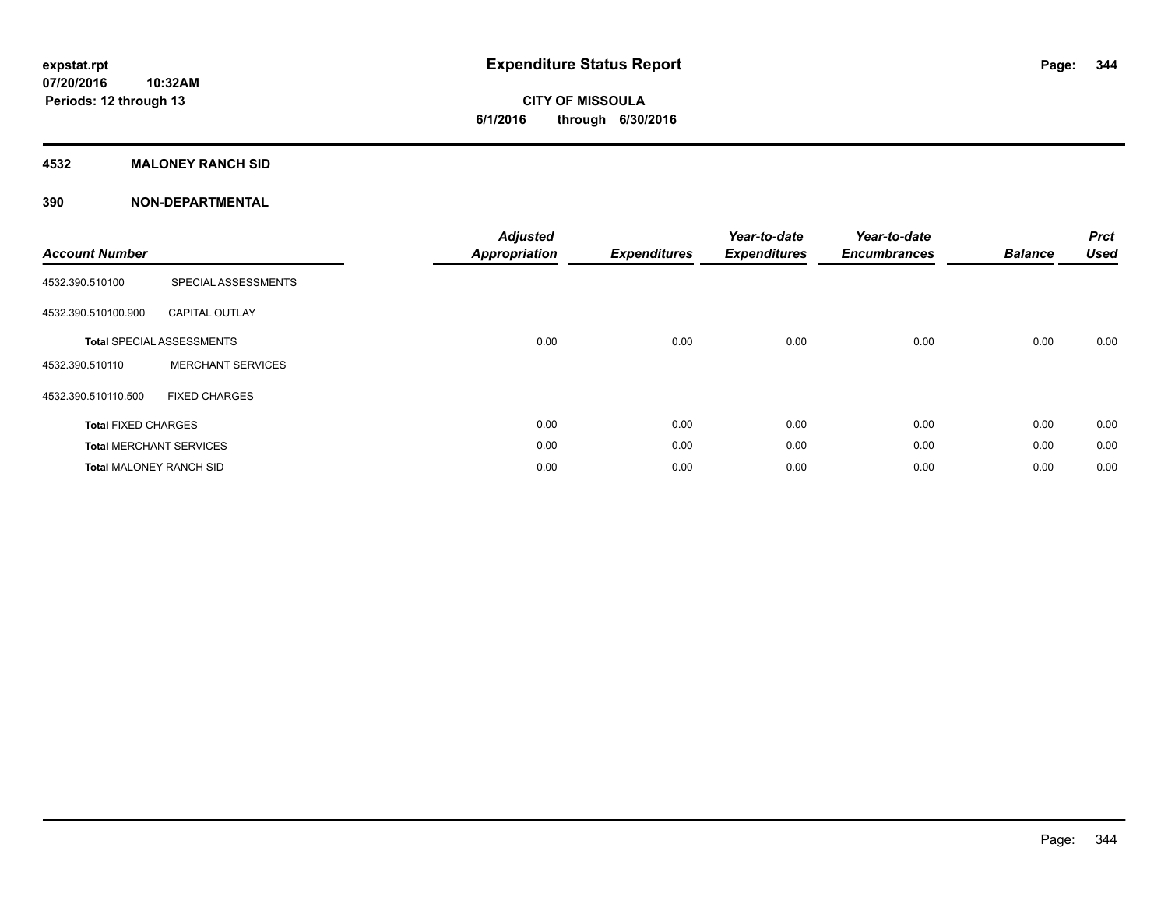### **4532 MALONEY RANCH SID**

| <b>Account Number</b>          |                                  | <b>Adjusted</b><br><b>Appropriation</b> | <b>Expenditures</b> | Year-to-date<br><b>Expenditures</b> | Year-to-date<br><b>Encumbrances</b> | <b>Balance</b> | <b>Prct</b><br><b>Used</b> |
|--------------------------------|----------------------------------|-----------------------------------------|---------------------|-------------------------------------|-------------------------------------|----------------|----------------------------|
| 4532.390.510100                | SPECIAL ASSESSMENTS              |                                         |                     |                                     |                                     |                |                            |
| 4532.390.510100.900            | <b>CAPITAL OUTLAY</b>            |                                         |                     |                                     |                                     |                |                            |
|                                | <b>Total SPECIAL ASSESSMENTS</b> | 0.00                                    | 0.00                | 0.00                                | 0.00                                | 0.00           | 0.00                       |
| 4532.390.510110                | <b>MERCHANT SERVICES</b>         |                                         |                     |                                     |                                     |                |                            |
| 4532.390.510110.500            | <b>FIXED CHARGES</b>             |                                         |                     |                                     |                                     |                |                            |
| <b>Total FIXED CHARGES</b>     |                                  | 0.00                                    | 0.00                | 0.00                                | 0.00                                | 0.00           | 0.00                       |
|                                | <b>Total MERCHANT SERVICES</b>   | 0.00                                    | 0.00                | 0.00                                | 0.00                                | 0.00           | 0.00                       |
| <b>Total MALONEY RANCH SID</b> |                                  | 0.00                                    | 0.00                | 0.00                                | 0.00                                | 0.00           | 0.00                       |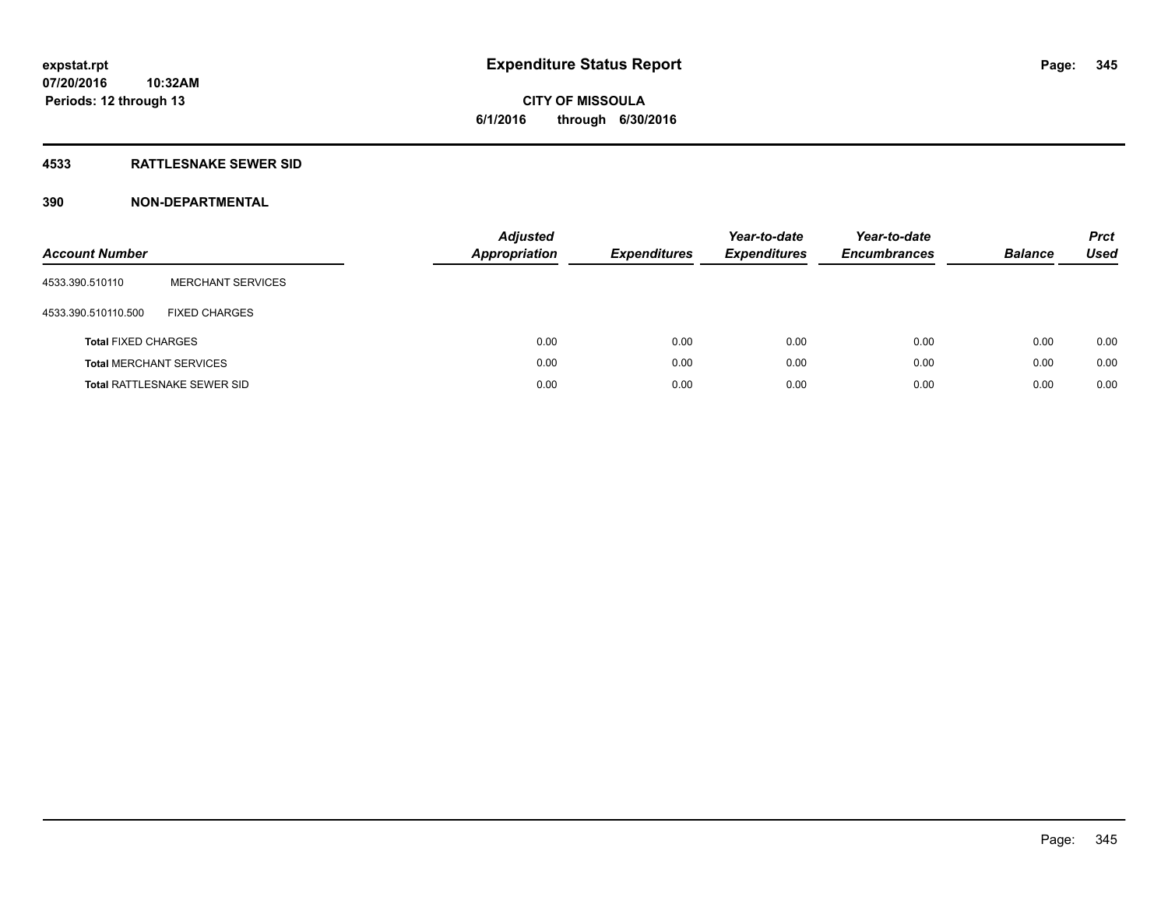#### **4533 RATTLESNAKE SEWER SID**

| <b>Account Number</b>          |                                    | <b>Adjusted</b><br>Appropriation | <b>Expenditures</b> | Year-to-date<br><b>Expenditures</b> | Year-to-date<br><b>Encumbrances</b> | <b>Balance</b> | <b>Prct</b><br>Used |
|--------------------------------|------------------------------------|----------------------------------|---------------------|-------------------------------------|-------------------------------------|----------------|---------------------|
| 4533.390.510110                | <b>MERCHANT SERVICES</b>           |                                  |                     |                                     |                                     |                |                     |
| 4533.390.510110.500            | <b>FIXED CHARGES</b>               |                                  |                     |                                     |                                     |                |                     |
| <b>Total FIXED CHARGES</b>     |                                    | 0.00                             | 0.00                | 0.00                                | 0.00                                | 0.00           | 0.00                |
| <b>Total MERCHANT SERVICES</b> |                                    | 0.00                             | 0.00                | 0.00                                | 0.00                                | 0.00           | 0.00                |
|                                | <b>Total RATTLESNAKE SEWER SID</b> | 0.00                             | 0.00                | 0.00                                | 0.00                                | 0.00           | 0.00                |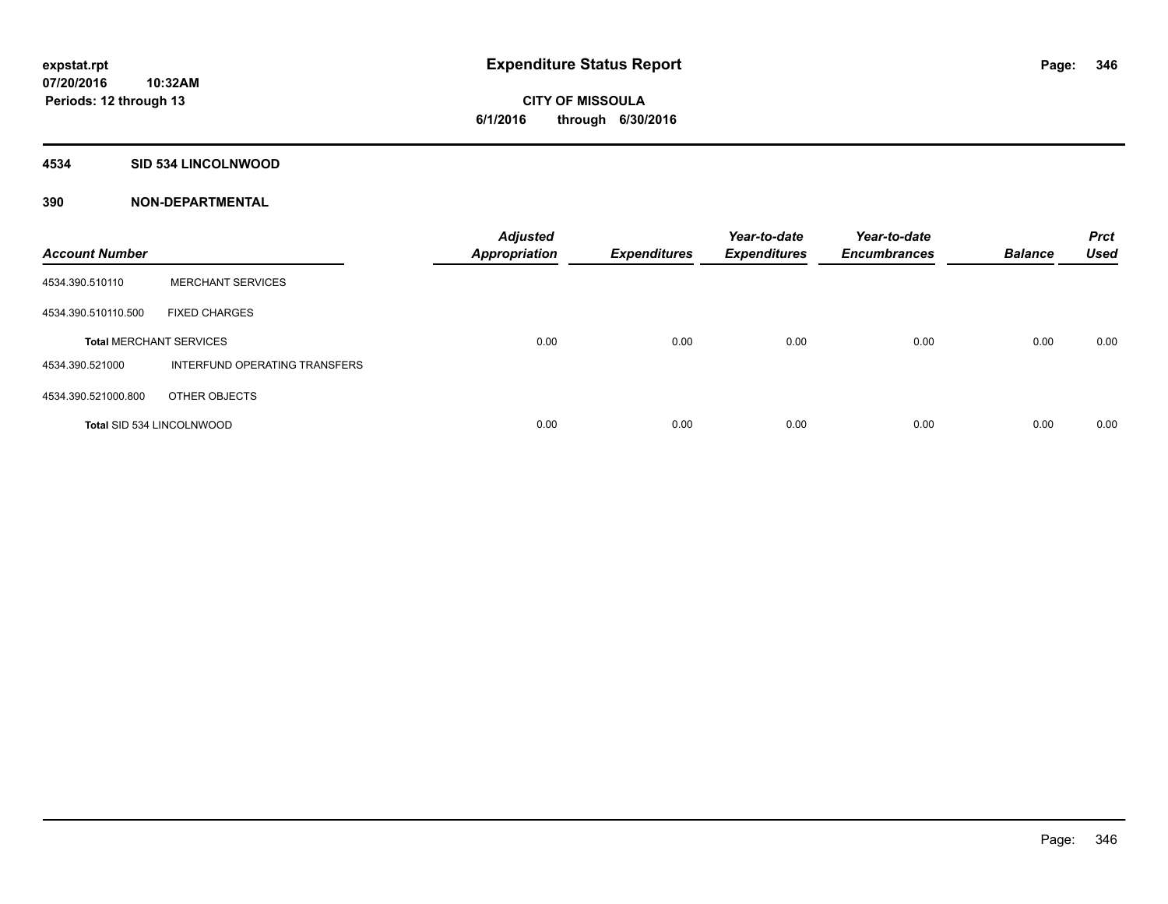#### **4534 SID 534 LINCOLNWOOD**

| <b>Account Number</b>          |                                      | <b>Adjusted</b><br><b>Appropriation</b> | <b>Expenditures</b> | Year-to-date<br><b>Expenditures</b> | Year-to-date<br><b>Encumbrances</b> | <b>Balance</b> | <b>Prct</b><br><b>Used</b> |
|--------------------------------|--------------------------------------|-----------------------------------------|---------------------|-------------------------------------|-------------------------------------|----------------|----------------------------|
| 4534.390.510110                | <b>MERCHANT SERVICES</b>             |                                         |                     |                                     |                                     |                |                            |
| 4534.390.510110.500            | <b>FIXED CHARGES</b>                 |                                         |                     |                                     |                                     |                |                            |
| <b>Total MERCHANT SERVICES</b> |                                      | 0.00                                    | 0.00                | 0.00                                | 0.00                                | 0.00           | 0.00                       |
| 4534.390.521000                | <b>INTERFUND OPERATING TRANSFERS</b> |                                         |                     |                                     |                                     |                |                            |
| 4534.390.521000.800            | OTHER OBJECTS                        |                                         |                     |                                     |                                     |                |                            |
|                                | Total SID 534 LINCOLNWOOD            | 0.00                                    | 0.00                | 0.00                                | 0.00                                | 0.00           | 0.00                       |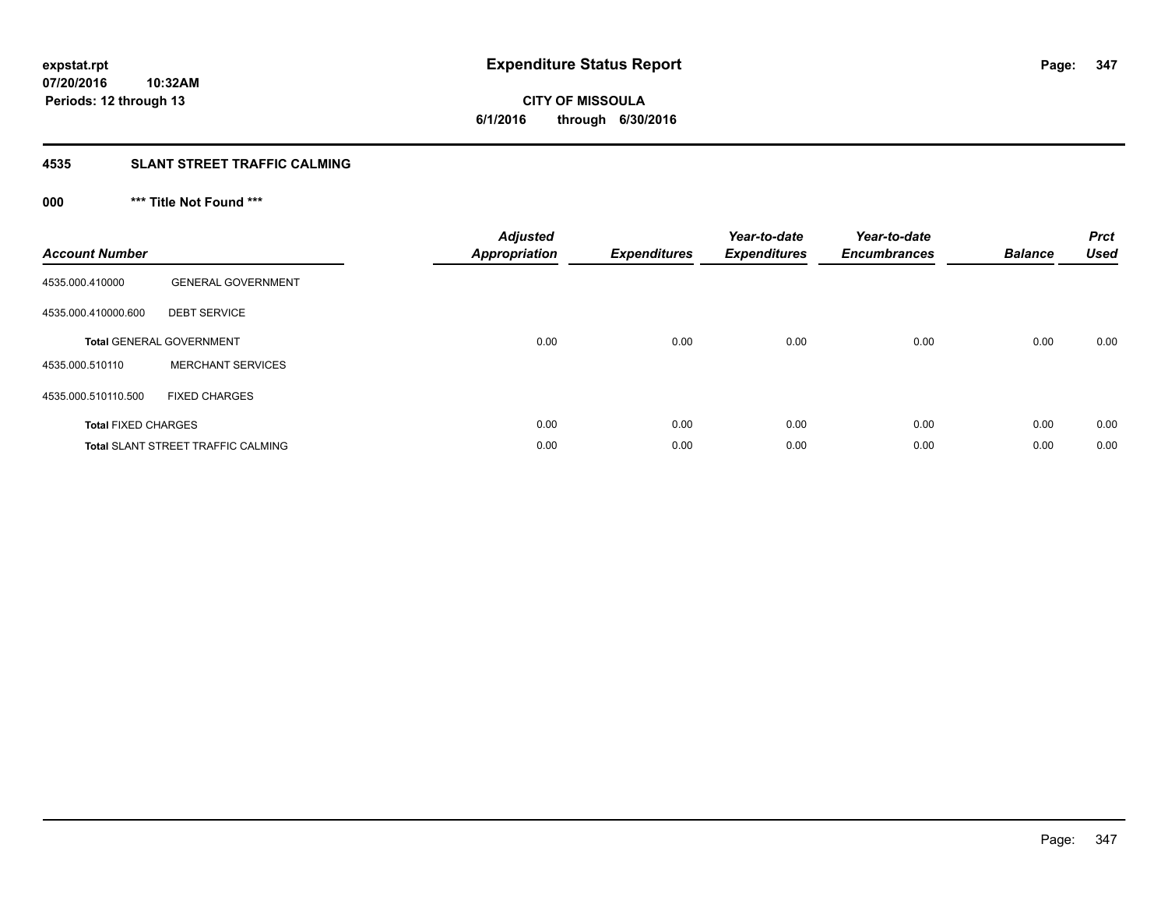# **CITY OF MISSOULA 6/1/2016 through 6/30/2016**

#### **4535 SLANT STREET TRAFFIC CALMING**

## **000 \*\*\* Title Not Found \*\*\***

| <b>Account Number</b>      |                                           | Adjusted<br><b>Appropriation</b> | <b>Expenditures</b> | Year-to-date<br><b>Expenditures</b> | Year-to-date<br><b>Encumbrances</b> | <b>Balance</b> | <b>Prct</b><br><b>Used</b> |
|----------------------------|-------------------------------------------|----------------------------------|---------------------|-------------------------------------|-------------------------------------|----------------|----------------------------|
| 4535.000.410000            | <b>GENERAL GOVERNMENT</b>                 |                                  |                     |                                     |                                     |                |                            |
| 4535.000.410000.600        | <b>DEBT SERVICE</b>                       |                                  |                     |                                     |                                     |                |                            |
|                            | <b>Total GENERAL GOVERNMENT</b>           | 0.00                             | 0.00                | 0.00                                | 0.00                                | 0.00           | 0.00                       |
| 4535.000.510110            | <b>MERCHANT SERVICES</b>                  |                                  |                     |                                     |                                     |                |                            |
| 4535.000.510110.500        | <b>FIXED CHARGES</b>                      |                                  |                     |                                     |                                     |                |                            |
| <b>Total FIXED CHARGES</b> |                                           | 0.00                             | 0.00                | 0.00                                | 0.00                                | 0.00           | 0.00                       |
|                            | <b>Total SLANT STREET TRAFFIC CALMING</b> | 0.00                             | 0.00                | 0.00                                | 0.00                                | 0.00           | 0.00                       |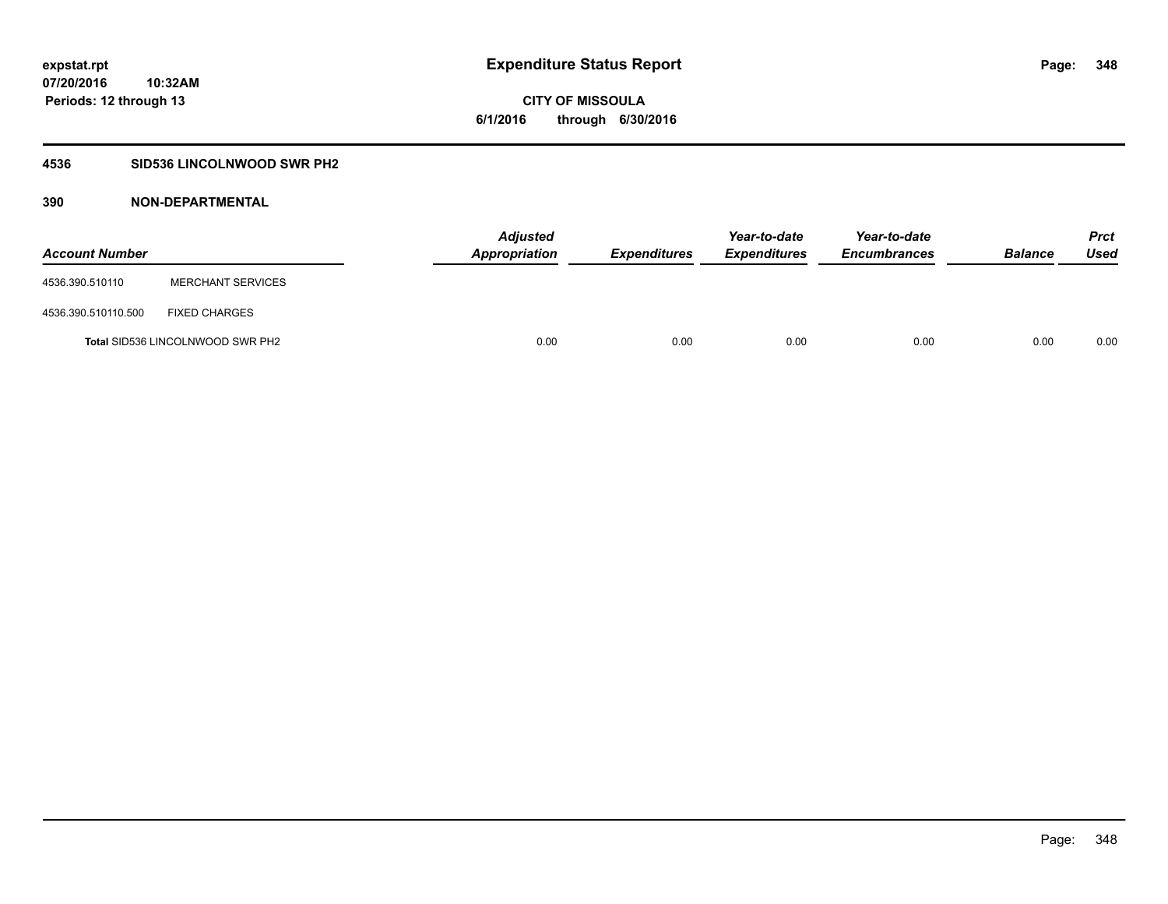### **4536 SID536 LINCOLNWOOD SWR PH2**

| <b>Account Number</b> |                                         | <b>Adjusted</b><br>Appropriation | <b>Expenditures</b> | Year-to-date<br><b>Expenditures</b> | Year-to-date<br><b>Encumbrances</b> | <b>Balance</b> | Prct<br><b>Used</b> |
|-----------------------|-----------------------------------------|----------------------------------|---------------------|-------------------------------------|-------------------------------------|----------------|---------------------|
| 4536.390.510110       | <b>MERCHANT SERVICES</b>                |                                  |                     |                                     |                                     |                |                     |
| 4536.390.510110.500   | <b>FIXED CHARGES</b>                    |                                  |                     |                                     |                                     |                |                     |
|                       | <b>Total SID536 LINCOLNWOOD SWR PH2</b> | 0.00                             | 0.00                | 0.00                                | 0.00                                | 0.00           | 0.00                |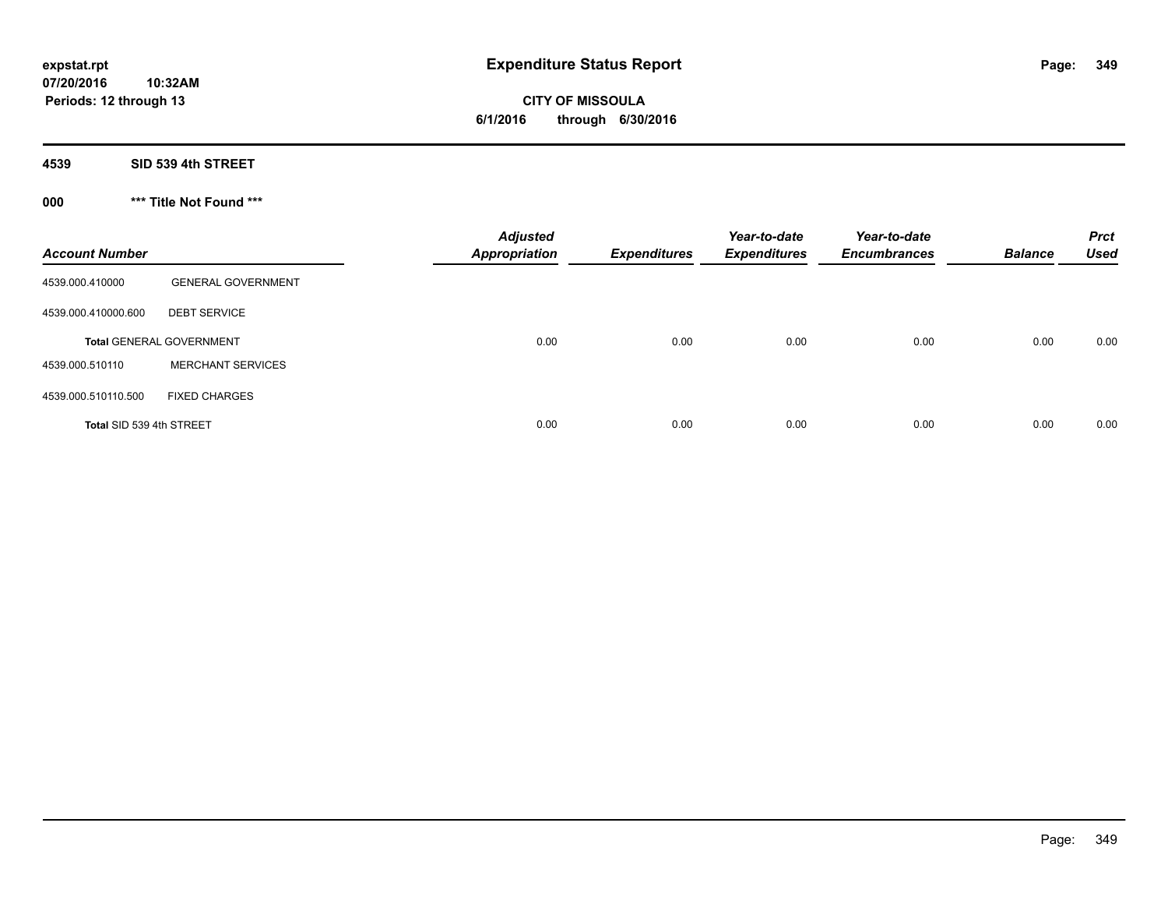**CITY OF MISSOULA 6/1/2016 through 6/30/2016**

**4539 SID 539 4th STREET**

**000 \*\*\* Title Not Found \*\*\***

| <b>Account Number</b>    |                                 | <b>Adjusted</b><br><b>Appropriation</b> | <b>Expenditures</b> | Year-to-date<br><b>Expenditures</b> | Year-to-date<br><b>Encumbrances</b> | <b>Balance</b> | <b>Prct</b><br><b>Used</b> |
|--------------------------|---------------------------------|-----------------------------------------|---------------------|-------------------------------------|-------------------------------------|----------------|----------------------------|
| 4539.000.410000          | <b>GENERAL GOVERNMENT</b>       |                                         |                     |                                     |                                     |                |                            |
| 4539.000.410000.600      | <b>DEBT SERVICE</b>             |                                         |                     |                                     |                                     |                |                            |
|                          | <b>Total GENERAL GOVERNMENT</b> | 0.00                                    | 0.00                | 0.00                                | 0.00                                | 0.00           | 0.00                       |
| 4539.000.510110          | <b>MERCHANT SERVICES</b>        |                                         |                     |                                     |                                     |                |                            |
| 4539.000.510110.500      | <b>FIXED CHARGES</b>            |                                         |                     |                                     |                                     |                |                            |
| Total SID 539 4th STREET |                                 | 0.00                                    | 0.00                | 0.00                                | 0.00                                | 0.00           | 0.00                       |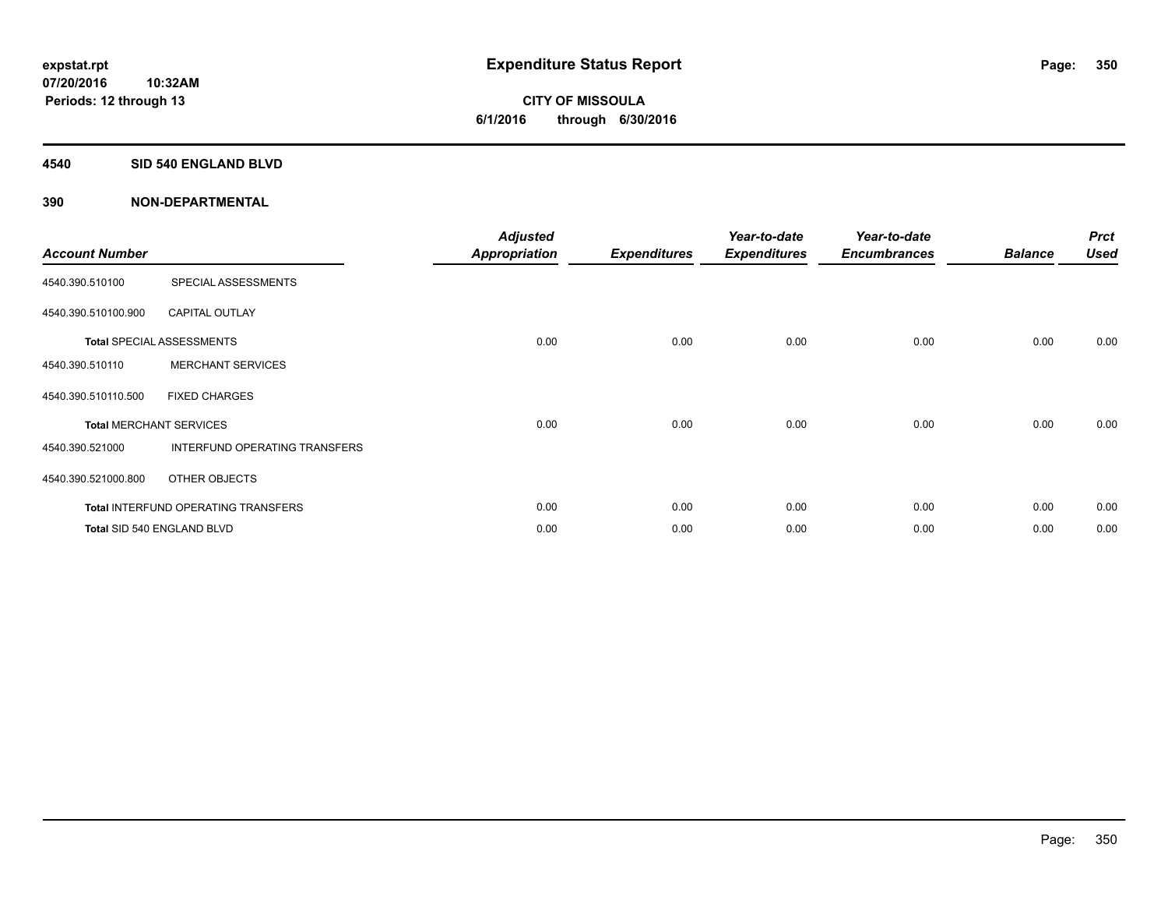#### **4540 SID 540 ENGLAND BLVD**

| <b>Account Number</b> |                                            | <b>Adjusted</b><br><b>Appropriation</b> | <b>Expenditures</b> | Year-to-date<br><b>Expenditures</b> | Year-to-date<br><b>Encumbrances</b> | <b>Balance</b> | <b>Prct</b><br><b>Used</b> |
|-----------------------|--------------------------------------------|-----------------------------------------|---------------------|-------------------------------------|-------------------------------------|----------------|----------------------------|
| 4540.390.510100       | SPECIAL ASSESSMENTS                        |                                         |                     |                                     |                                     |                |                            |
| 4540.390.510100.900   | <b>CAPITAL OUTLAY</b>                      |                                         |                     |                                     |                                     |                |                            |
|                       | <b>Total SPECIAL ASSESSMENTS</b>           | 0.00                                    | 0.00                | 0.00                                | 0.00                                | 0.00           | 0.00                       |
| 4540.390.510110       | <b>MERCHANT SERVICES</b>                   |                                         |                     |                                     |                                     |                |                            |
| 4540.390.510110.500   | <b>FIXED CHARGES</b>                       |                                         |                     |                                     |                                     |                |                            |
|                       | <b>Total MERCHANT SERVICES</b>             | 0.00                                    | 0.00                | 0.00                                | 0.00                                | 0.00           | 0.00                       |
| 4540.390.521000       | INTERFUND OPERATING TRANSFERS              |                                         |                     |                                     |                                     |                |                            |
| 4540.390.521000.800   | OTHER OBJECTS                              |                                         |                     |                                     |                                     |                |                            |
|                       | <b>Total INTERFUND OPERATING TRANSFERS</b> | 0.00                                    | 0.00                | 0.00                                | 0.00                                | 0.00           | 0.00                       |
|                       | Total SID 540 ENGLAND BLVD                 | 0.00                                    | 0.00                | 0.00                                | 0.00                                | 0.00           | 0.00                       |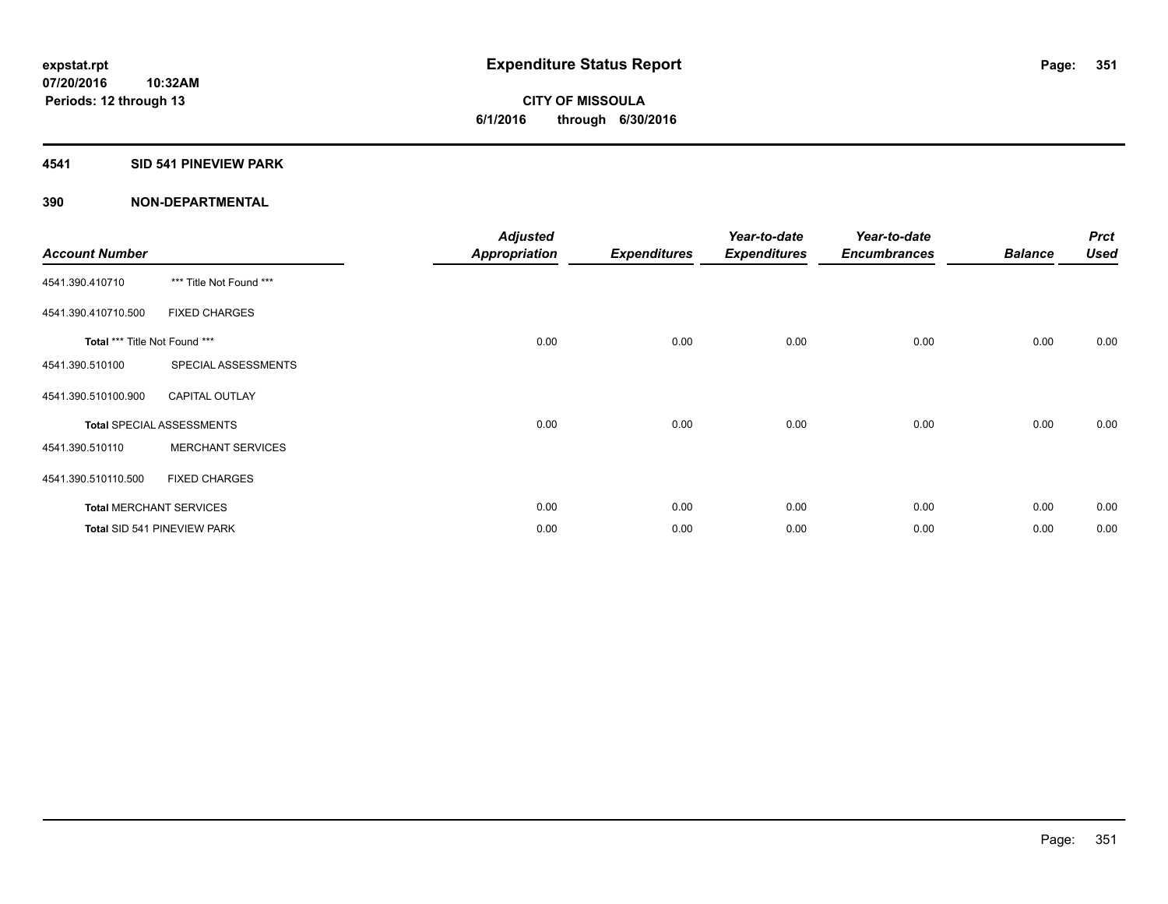### **4541 SID 541 PINEVIEW PARK**

| <b>Account Number</b>         |                                  | <b>Adjusted</b><br><b>Appropriation</b> | <b>Expenditures</b> | Year-to-date<br><b>Expenditures</b> | Year-to-date<br><b>Encumbrances</b> | <b>Balance</b> | <b>Prct</b><br><b>Used</b> |
|-------------------------------|----------------------------------|-----------------------------------------|---------------------|-------------------------------------|-------------------------------------|----------------|----------------------------|
| 4541.390.410710               | *** Title Not Found ***          |                                         |                     |                                     |                                     |                |                            |
| 4541.390.410710.500           | <b>FIXED CHARGES</b>             |                                         |                     |                                     |                                     |                |                            |
| Total *** Title Not Found *** |                                  | 0.00                                    | 0.00                | 0.00                                | 0.00                                | 0.00           | 0.00                       |
| 4541.390.510100               | SPECIAL ASSESSMENTS              |                                         |                     |                                     |                                     |                |                            |
| 4541.390.510100.900           | <b>CAPITAL OUTLAY</b>            |                                         |                     |                                     |                                     |                |                            |
|                               | <b>Total SPECIAL ASSESSMENTS</b> | 0.00                                    | 0.00                | 0.00                                | 0.00                                | 0.00           | 0.00                       |
| 4541.390.510110               | <b>MERCHANT SERVICES</b>         |                                         |                     |                                     |                                     |                |                            |
| 4541.390.510110.500           | <b>FIXED CHARGES</b>             |                                         |                     |                                     |                                     |                |                            |
|                               | <b>Total MERCHANT SERVICES</b>   | 0.00                                    | 0.00                | 0.00                                | 0.00                                | 0.00           | 0.00                       |
|                               | Total SID 541 PINEVIEW PARK      | 0.00                                    | 0.00                | 0.00                                | 0.00                                | 0.00           | 0.00                       |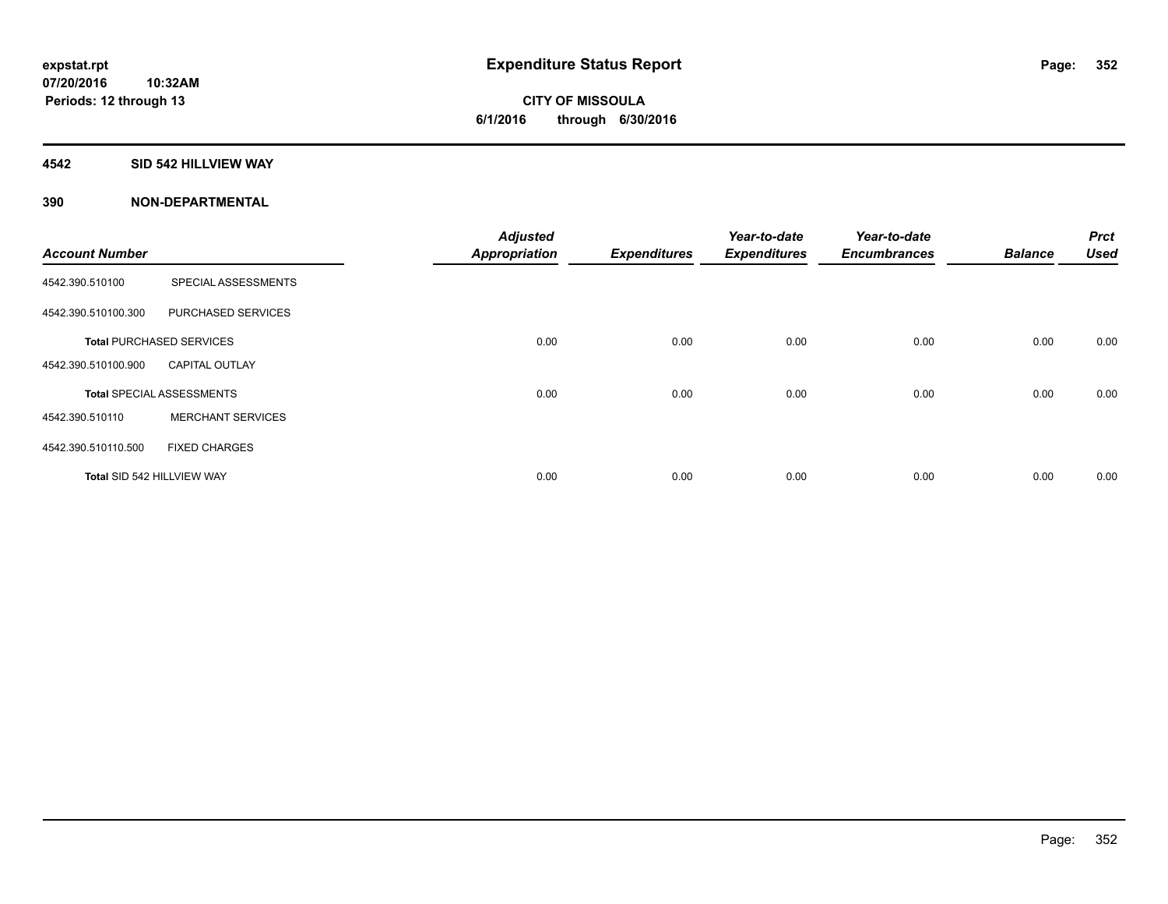### **4542 SID 542 HILLVIEW WAY**

|                            |                                  | <b>Adjusted</b>      |                     | Year-to-date        | Year-to-date        |                | <b>Prct</b> |
|----------------------------|----------------------------------|----------------------|---------------------|---------------------|---------------------|----------------|-------------|
| <b>Account Number</b>      |                                  | <b>Appropriation</b> | <b>Expenditures</b> | <b>Expenditures</b> | <b>Encumbrances</b> | <b>Balance</b> | <b>Used</b> |
| 4542.390.510100            | SPECIAL ASSESSMENTS              |                      |                     |                     |                     |                |             |
| 4542.390.510100.300        | PURCHASED SERVICES               |                      |                     |                     |                     |                |             |
|                            | <b>Total PURCHASED SERVICES</b>  | 0.00                 | 0.00                | 0.00                | 0.00                | 0.00           | 0.00        |
| 4542.390.510100.900        | <b>CAPITAL OUTLAY</b>            |                      |                     |                     |                     |                |             |
|                            | <b>Total SPECIAL ASSESSMENTS</b> | 0.00                 | 0.00                | 0.00                | 0.00                | 0.00           | 0.00        |
| 4542.390.510110            | <b>MERCHANT SERVICES</b>         |                      |                     |                     |                     |                |             |
| 4542.390.510110.500        | <b>FIXED CHARGES</b>             |                      |                     |                     |                     |                |             |
| Total SID 542 HILLVIEW WAY |                                  | 0.00                 | 0.00                | 0.00                | 0.00                | 0.00           | 0.00        |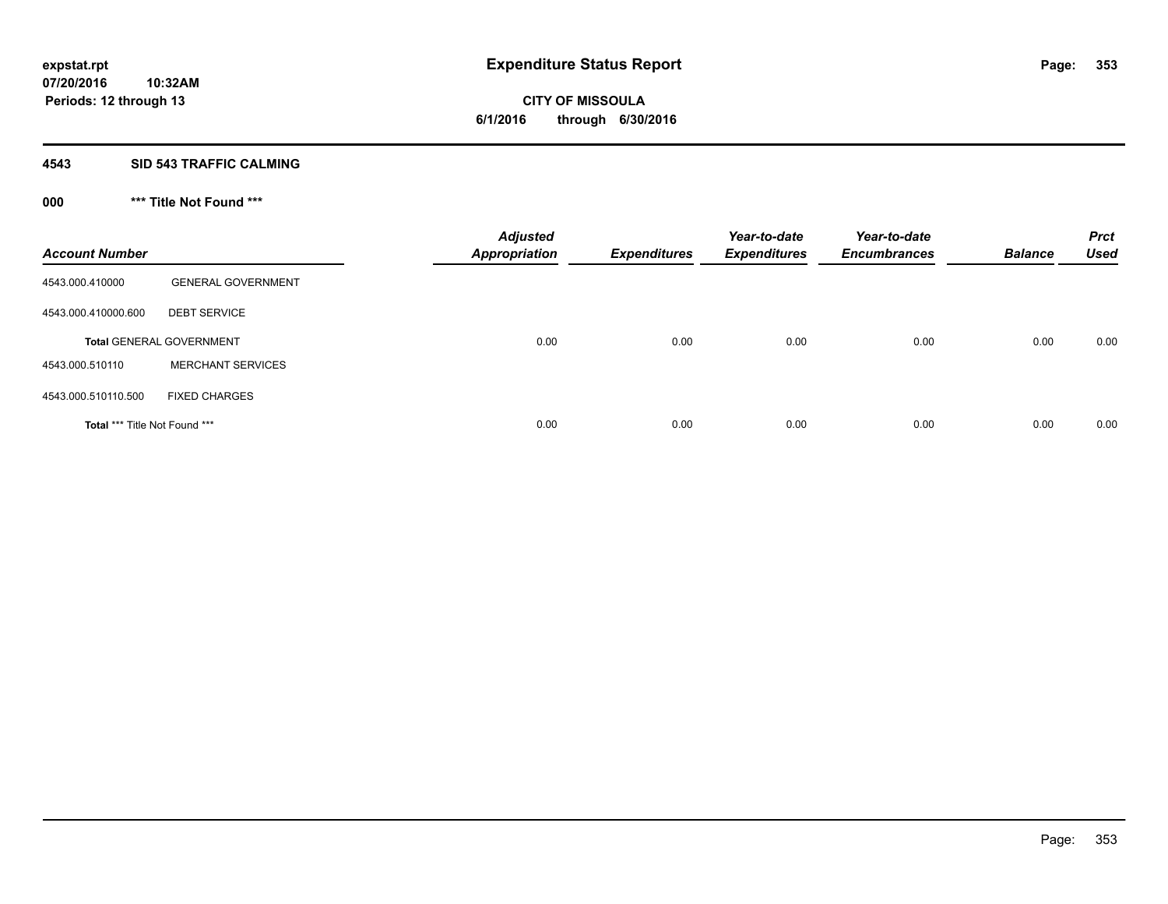#### **4543 SID 543 TRAFFIC CALMING**

## **000 \*\*\* Title Not Found \*\*\***

| <b>Account Number</b>         |                                 | <b>Adjusted</b><br><b>Appropriation</b> | <b>Expenditures</b> | Year-to-date<br><b>Expenditures</b> | Year-to-date<br><b>Encumbrances</b> | <b>Balance</b> | <b>Prct</b><br><b>Used</b> |
|-------------------------------|---------------------------------|-----------------------------------------|---------------------|-------------------------------------|-------------------------------------|----------------|----------------------------|
| 4543.000.410000               | <b>GENERAL GOVERNMENT</b>       |                                         |                     |                                     |                                     |                |                            |
| 4543.000.410000.600           | <b>DEBT SERVICE</b>             |                                         |                     |                                     |                                     |                |                            |
|                               | <b>Total GENERAL GOVERNMENT</b> | 0.00                                    | 0.00                | 0.00                                | 0.00                                | 0.00           | 0.00                       |
| 4543.000.510110               | <b>MERCHANT SERVICES</b>        |                                         |                     |                                     |                                     |                |                            |
| 4543.000.510110.500           | <b>FIXED CHARGES</b>            |                                         |                     |                                     |                                     |                |                            |
| Total *** Title Not Found *** |                                 | 0.00                                    | 0.00                | 0.00                                | 0.00                                | 0.00           | 0.00                       |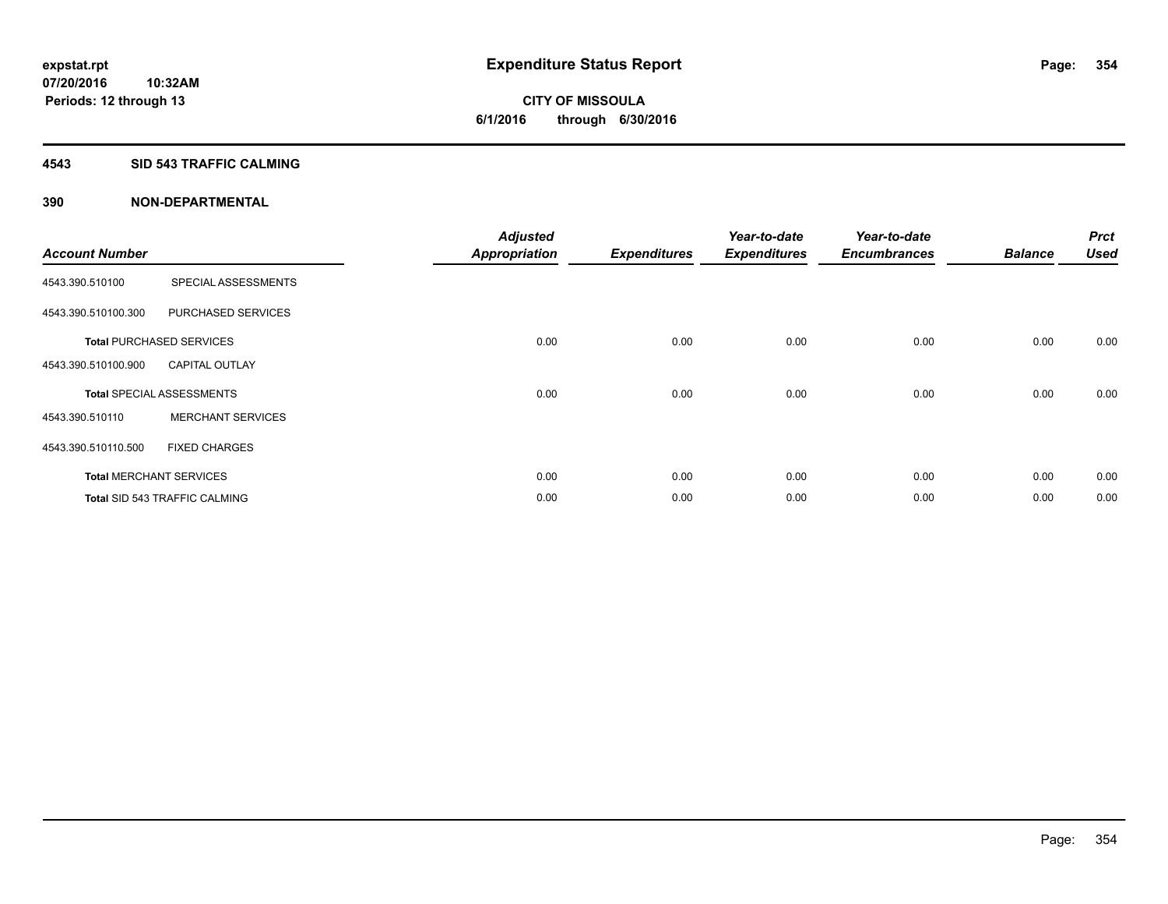#### **4543 SID 543 TRAFFIC CALMING**

|                       |                                      | <b>Adjusted</b>      |                     | Year-to-date        | Year-to-date        |                | <b>Prct</b> |
|-----------------------|--------------------------------------|----------------------|---------------------|---------------------|---------------------|----------------|-------------|
| <b>Account Number</b> |                                      | <b>Appropriation</b> | <b>Expenditures</b> | <b>Expenditures</b> | <b>Encumbrances</b> | <b>Balance</b> | <b>Used</b> |
| 4543.390.510100       | SPECIAL ASSESSMENTS                  |                      |                     |                     |                     |                |             |
| 4543.390.510100.300   | PURCHASED SERVICES                   |                      |                     |                     |                     |                |             |
|                       | <b>Total PURCHASED SERVICES</b>      | 0.00                 | 0.00                | 0.00                | 0.00                | 0.00           | 0.00        |
| 4543.390.510100.900   | <b>CAPITAL OUTLAY</b>                |                      |                     |                     |                     |                |             |
|                       | <b>Total SPECIAL ASSESSMENTS</b>     | 0.00                 | 0.00                | 0.00                | 0.00                | 0.00           | 0.00        |
| 4543.390.510110       | <b>MERCHANT SERVICES</b>             |                      |                     |                     |                     |                |             |
| 4543.390.510110.500   | <b>FIXED CHARGES</b>                 |                      |                     |                     |                     |                |             |
|                       | <b>Total MERCHANT SERVICES</b>       | 0.00                 | 0.00                | 0.00                | 0.00                | 0.00           | 0.00        |
|                       | <b>Total SID 543 TRAFFIC CALMING</b> | 0.00                 | 0.00                | 0.00                | 0.00                | 0.00           | 0.00        |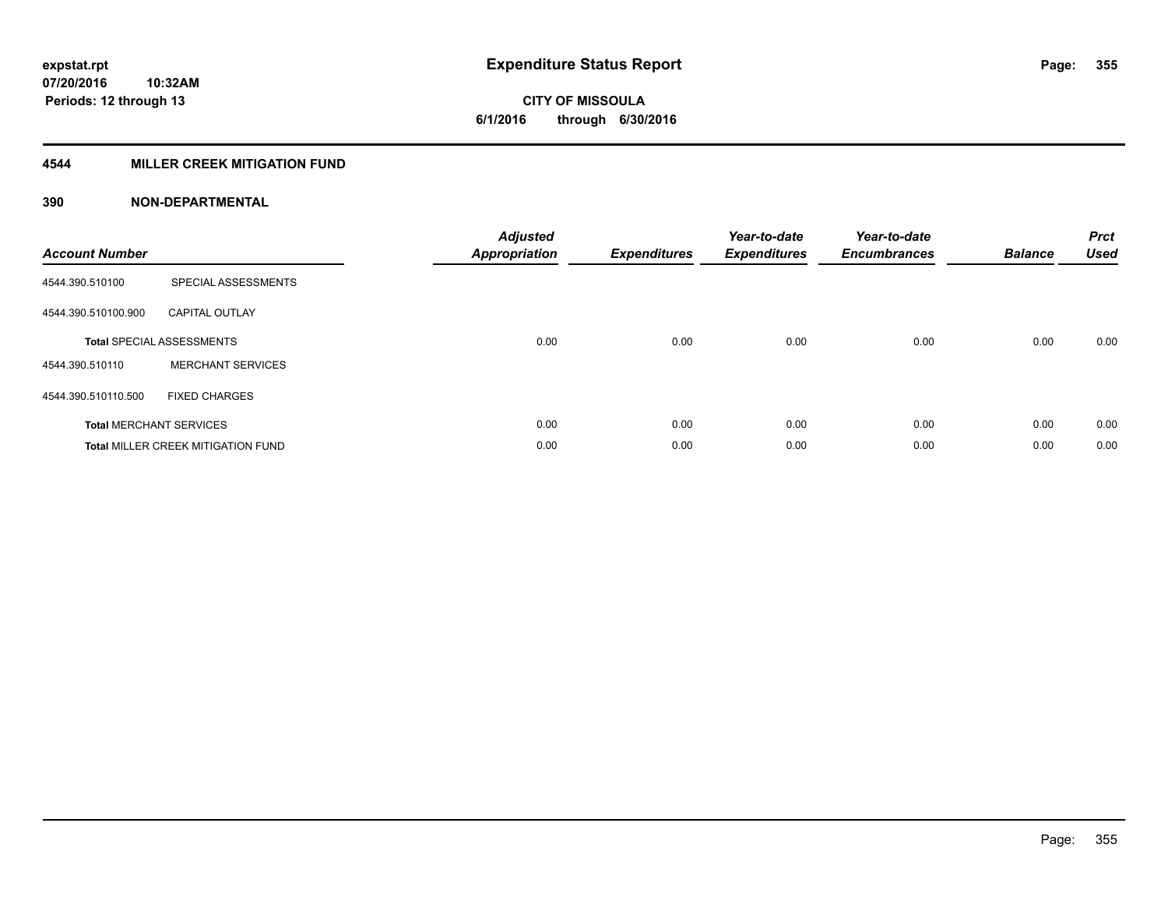### **4544 MILLER CREEK MITIGATION FUND**

| <b>Account Number</b> |                                           | <b>Adjusted</b><br>Appropriation | <b>Expenditures</b> | Year-to-date<br><b>Expenditures</b> | Year-to-date<br><b>Encumbrances</b> | <b>Balance</b> | <b>Prct</b><br><b>Used</b> |
|-----------------------|-------------------------------------------|----------------------------------|---------------------|-------------------------------------|-------------------------------------|----------------|----------------------------|
| 4544.390.510100       | SPECIAL ASSESSMENTS                       |                                  |                     |                                     |                                     |                |                            |
| 4544.390.510100.900   | <b>CAPITAL OUTLAY</b>                     |                                  |                     |                                     |                                     |                |                            |
|                       | <b>Total SPECIAL ASSESSMENTS</b>          | 0.00                             | 0.00                | 0.00                                | 0.00                                | 0.00           | 0.00                       |
| 4544.390.510110       | <b>MERCHANT SERVICES</b>                  |                                  |                     |                                     |                                     |                |                            |
| 4544.390.510110.500   | <b>FIXED CHARGES</b>                      |                                  |                     |                                     |                                     |                |                            |
|                       | <b>Total MERCHANT SERVICES</b>            | 0.00                             | 0.00                | 0.00                                | 0.00                                | 0.00           | 0.00                       |
|                       | <b>Total MILLER CREEK MITIGATION FUND</b> | 0.00                             | 0.00                | 0.00                                | 0.00                                | 0.00           | 0.00                       |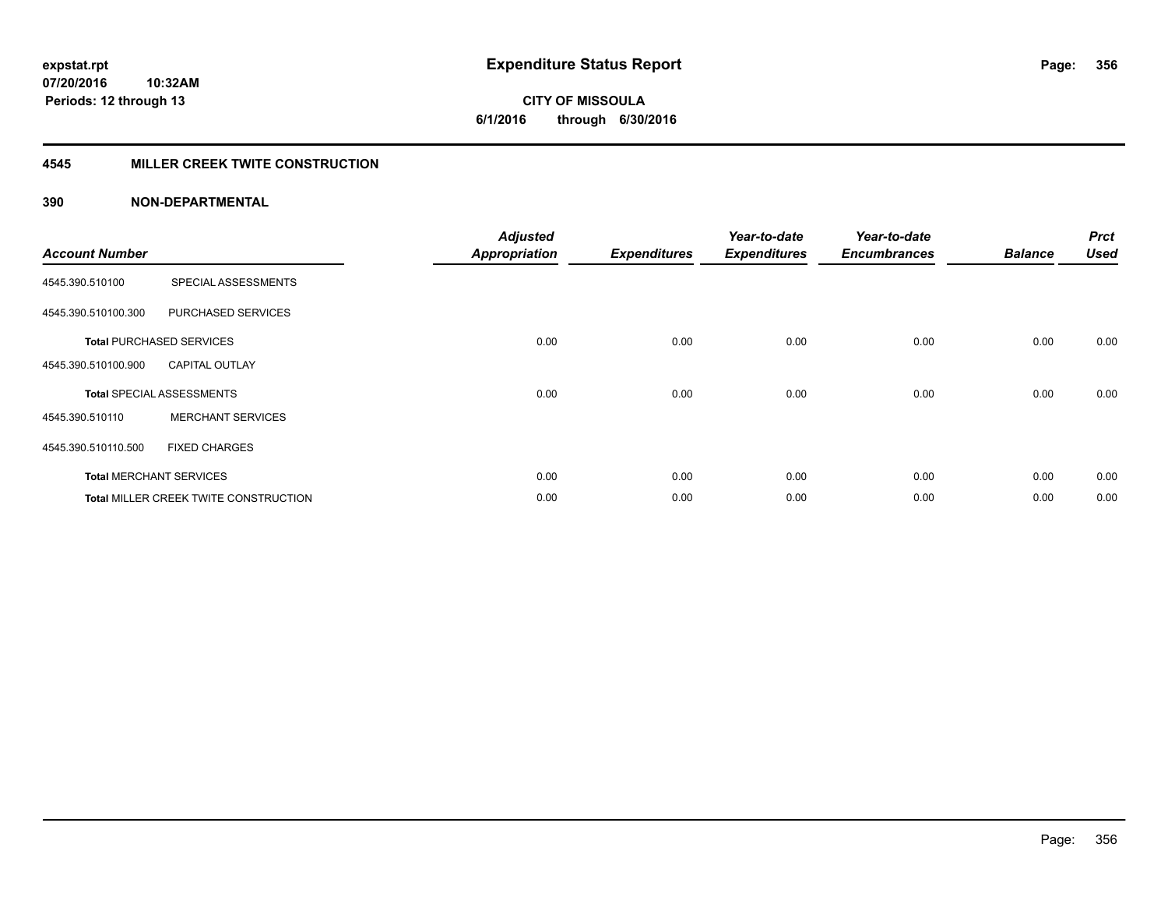**07/20/2016 10:32AM Periods: 12 through 13**

**CITY OF MISSOULA 6/1/2016 through 6/30/2016**

#### **4545 MILLER CREEK TWITE CONSTRUCTION**

| <b>Account Number</b> |                                       | <b>Adjusted</b><br><b>Appropriation</b> | <b>Expenditures</b> | Year-to-date<br><b>Expenditures</b> | Year-to-date<br><b>Encumbrances</b> | <b>Balance</b> | <b>Prct</b><br><b>Used</b> |
|-----------------------|---------------------------------------|-----------------------------------------|---------------------|-------------------------------------|-------------------------------------|----------------|----------------------------|
| 4545.390.510100       | SPECIAL ASSESSMENTS                   |                                         |                     |                                     |                                     |                |                            |
| 4545.390.510100.300   | PURCHASED SERVICES                    |                                         |                     |                                     |                                     |                |                            |
|                       | <b>Total PURCHASED SERVICES</b>       | 0.00                                    | 0.00                | 0.00                                | 0.00                                | 0.00           | 0.00                       |
| 4545.390.510100.900   | <b>CAPITAL OUTLAY</b>                 |                                         |                     |                                     |                                     |                |                            |
|                       | <b>Total SPECIAL ASSESSMENTS</b>      | 0.00                                    | 0.00                | 0.00                                | 0.00                                | 0.00           | 0.00                       |
| 4545.390.510110       | <b>MERCHANT SERVICES</b>              |                                         |                     |                                     |                                     |                |                            |
| 4545.390.510110.500   | <b>FIXED CHARGES</b>                  |                                         |                     |                                     |                                     |                |                            |
|                       | <b>Total MERCHANT SERVICES</b>        | 0.00                                    | 0.00                | 0.00                                | 0.00                                | 0.00           | 0.00                       |
|                       | Total MILLER CREEK TWITE CONSTRUCTION | 0.00                                    | 0.00                | 0.00                                | 0.00                                | 0.00           | 0.00                       |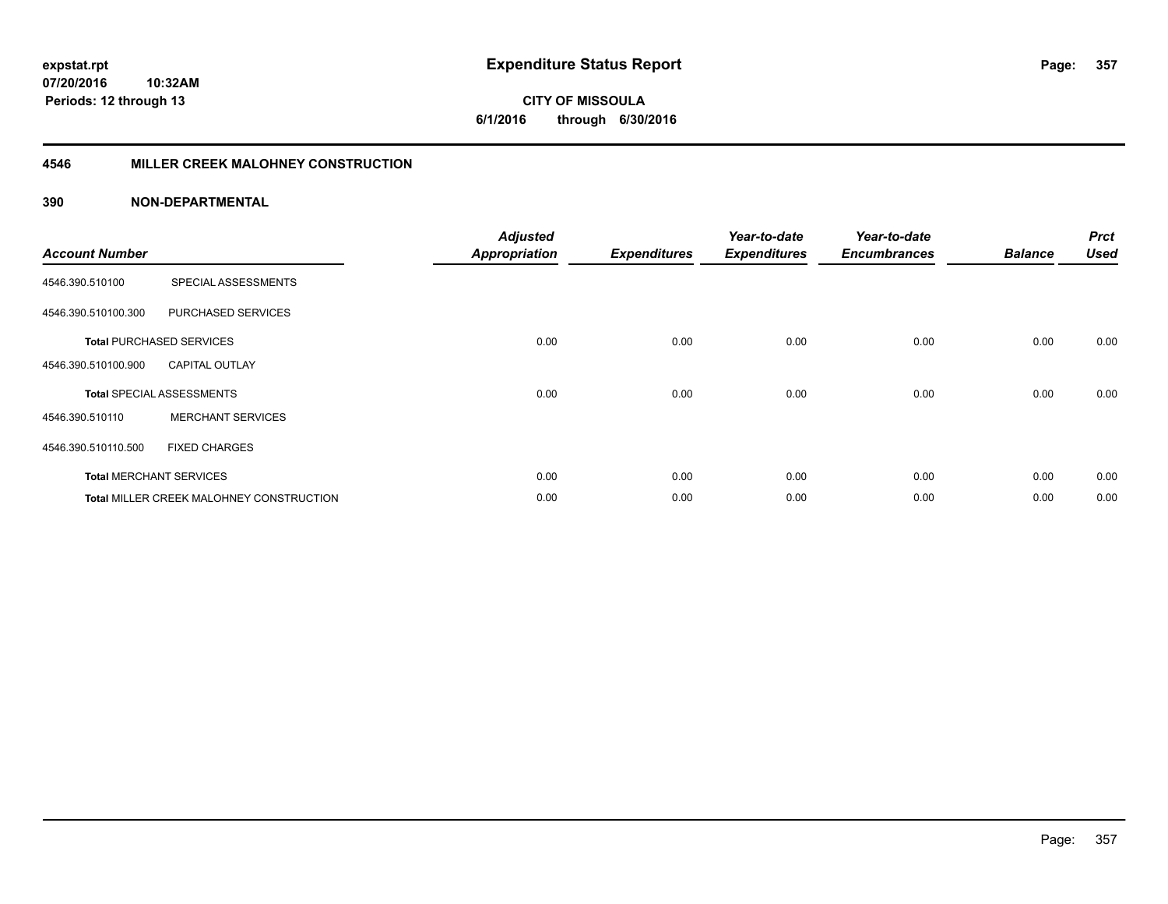**07/20/2016 10:32AM Periods: 12 through 13**

**CITY OF MISSOULA 6/1/2016 through 6/30/2016**

#### **4546 MILLER CREEK MALOHNEY CONSTRUCTION**

| <b>Account Number</b> |                                                 | <b>Adjusted</b><br><b>Appropriation</b> | <b>Expenditures</b> | Year-to-date<br><b>Expenditures</b> | Year-to-date<br><b>Encumbrances</b> | <b>Balance</b> | <b>Prct</b><br><b>Used</b> |
|-----------------------|-------------------------------------------------|-----------------------------------------|---------------------|-------------------------------------|-------------------------------------|----------------|----------------------------|
| 4546.390.510100       | SPECIAL ASSESSMENTS                             |                                         |                     |                                     |                                     |                |                            |
| 4546.390.510100.300   | PURCHASED SERVICES                              |                                         |                     |                                     |                                     |                |                            |
|                       | <b>Total PURCHASED SERVICES</b>                 | 0.00                                    | 0.00                | 0.00                                | 0.00                                | 0.00           | 0.00                       |
| 4546.390.510100.900   | <b>CAPITAL OUTLAY</b>                           |                                         |                     |                                     |                                     |                |                            |
|                       | <b>Total SPECIAL ASSESSMENTS</b>                | 0.00                                    | 0.00                | 0.00                                | 0.00                                | 0.00           | 0.00                       |
| 4546.390.510110       | <b>MERCHANT SERVICES</b>                        |                                         |                     |                                     |                                     |                |                            |
| 4546.390.510110.500   | <b>FIXED CHARGES</b>                            |                                         |                     |                                     |                                     |                |                            |
|                       | <b>Total MERCHANT SERVICES</b>                  | 0.00                                    | 0.00                | 0.00                                | 0.00                                | 0.00           | 0.00                       |
|                       | <b>Total MILLER CREEK MALOHNEY CONSTRUCTION</b> | 0.00                                    | 0.00                | 0.00                                | 0.00                                | 0.00           | 0.00                       |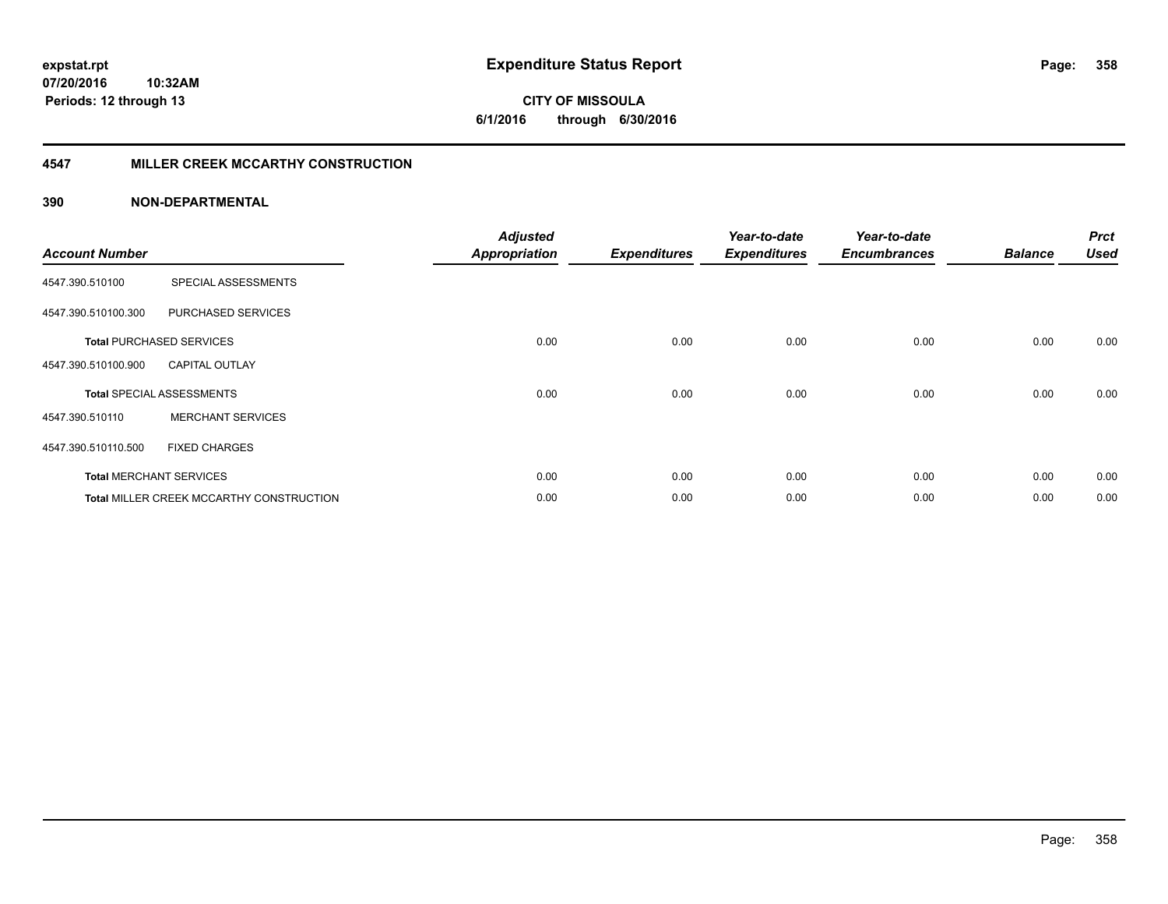**07/20/2016 10:32AM Periods: 12 through 13**

**CITY OF MISSOULA 6/1/2016 through 6/30/2016**

#### **4547 MILLER CREEK MCCARTHY CONSTRUCTION**

| <b>Account Number</b> |                                                 | <b>Adjusted</b><br><b>Appropriation</b> | <b>Expenditures</b> | Year-to-date<br><b>Expenditures</b> | Year-to-date<br><b>Encumbrances</b> | <b>Balance</b> | <b>Prct</b><br><b>Used</b> |
|-----------------------|-------------------------------------------------|-----------------------------------------|---------------------|-------------------------------------|-------------------------------------|----------------|----------------------------|
| 4547.390.510100       | SPECIAL ASSESSMENTS                             |                                         |                     |                                     |                                     |                |                            |
| 4547.390.510100.300   | PURCHASED SERVICES                              |                                         |                     |                                     |                                     |                |                            |
|                       | <b>Total PURCHASED SERVICES</b>                 | 0.00                                    | 0.00                | 0.00                                | 0.00                                | 0.00           | 0.00                       |
| 4547.390.510100.900   | <b>CAPITAL OUTLAY</b>                           |                                         |                     |                                     |                                     |                |                            |
|                       | <b>Total SPECIAL ASSESSMENTS</b>                | 0.00                                    | 0.00                | 0.00                                | 0.00                                | 0.00           | 0.00                       |
| 4547.390.510110       | <b>MERCHANT SERVICES</b>                        |                                         |                     |                                     |                                     |                |                            |
| 4547.390.510110.500   | <b>FIXED CHARGES</b>                            |                                         |                     |                                     |                                     |                |                            |
|                       | <b>Total MERCHANT SERVICES</b>                  | 0.00                                    | 0.00                | 0.00                                | 0.00                                | 0.00           | 0.00                       |
|                       | <b>Total MILLER CREEK MCCARTHY CONSTRUCTION</b> | 0.00                                    | 0.00                | 0.00                                | 0.00                                | 0.00           | 0.00                       |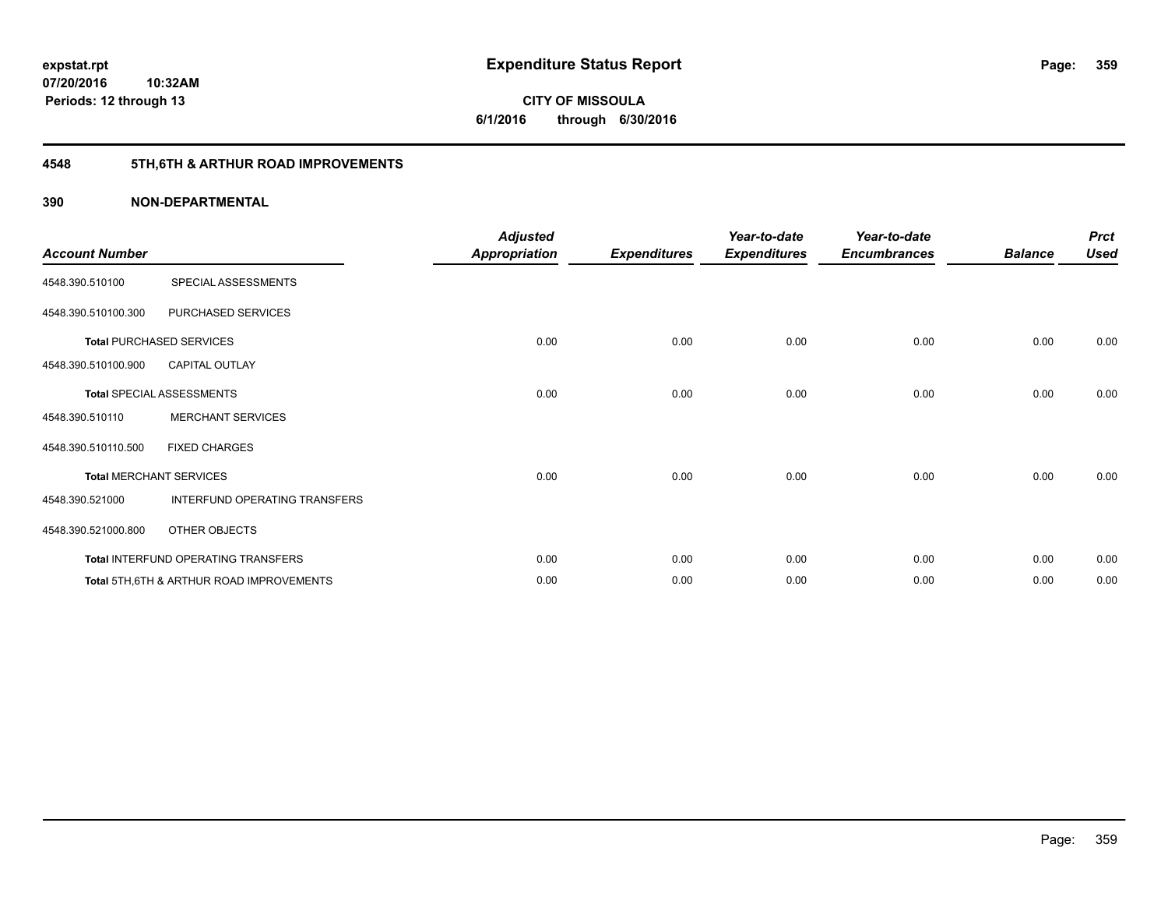**Periods: 12 through 13**

**CITY OF MISSOULA 6/1/2016 through 6/30/2016**

## **4548 5TH,6TH & ARTHUR ROAD IMPROVEMENTS**

#### **390 NON-DEPARTMENTAL**

**10:32AM**

| <b>Account Number</b> |                                                     | <b>Adjusted</b><br><b>Appropriation</b> | <b>Expenditures</b> | Year-to-date<br><b>Expenditures</b> | Year-to-date<br><b>Encumbrances</b> | <b>Balance</b> | <b>Prct</b><br><b>Used</b> |
|-----------------------|-----------------------------------------------------|-----------------------------------------|---------------------|-------------------------------------|-------------------------------------|----------------|----------------------------|
| 4548.390.510100       | SPECIAL ASSESSMENTS                                 |                                         |                     |                                     |                                     |                |                            |
| 4548.390.510100.300   | PURCHASED SERVICES                                  |                                         |                     |                                     |                                     |                |                            |
|                       | <b>Total PURCHASED SERVICES</b>                     | 0.00                                    | 0.00                | 0.00                                | 0.00                                | 0.00           | 0.00                       |
| 4548.390.510100.900   | <b>CAPITAL OUTLAY</b>                               |                                         |                     |                                     |                                     |                |                            |
|                       | <b>Total SPECIAL ASSESSMENTS</b>                    | 0.00                                    | 0.00                | 0.00                                | 0.00                                | 0.00           | 0.00                       |
| 4548.390.510110       | <b>MERCHANT SERVICES</b>                            |                                         |                     |                                     |                                     |                |                            |
| 4548.390.510110.500   | <b>FIXED CHARGES</b>                                |                                         |                     |                                     |                                     |                |                            |
|                       | <b>Total MERCHANT SERVICES</b>                      | 0.00                                    | 0.00                | 0.00                                | 0.00                                | 0.00           | 0.00                       |
| 4548.390.521000       | INTERFUND OPERATING TRANSFERS                       |                                         |                     |                                     |                                     |                |                            |
| 4548.390.521000.800   | OTHER OBJECTS                                       |                                         |                     |                                     |                                     |                |                            |
|                       | Total INTERFUND OPERATING TRANSFERS                 | 0.00                                    | 0.00                | 0.00                                | 0.00                                | 0.00           | 0.00                       |
|                       | <b>Total 5TH.6TH &amp; ARTHUR ROAD IMPROVEMENTS</b> | 0.00                                    | 0.00                | 0.00                                | 0.00                                | 0.00           | 0.00                       |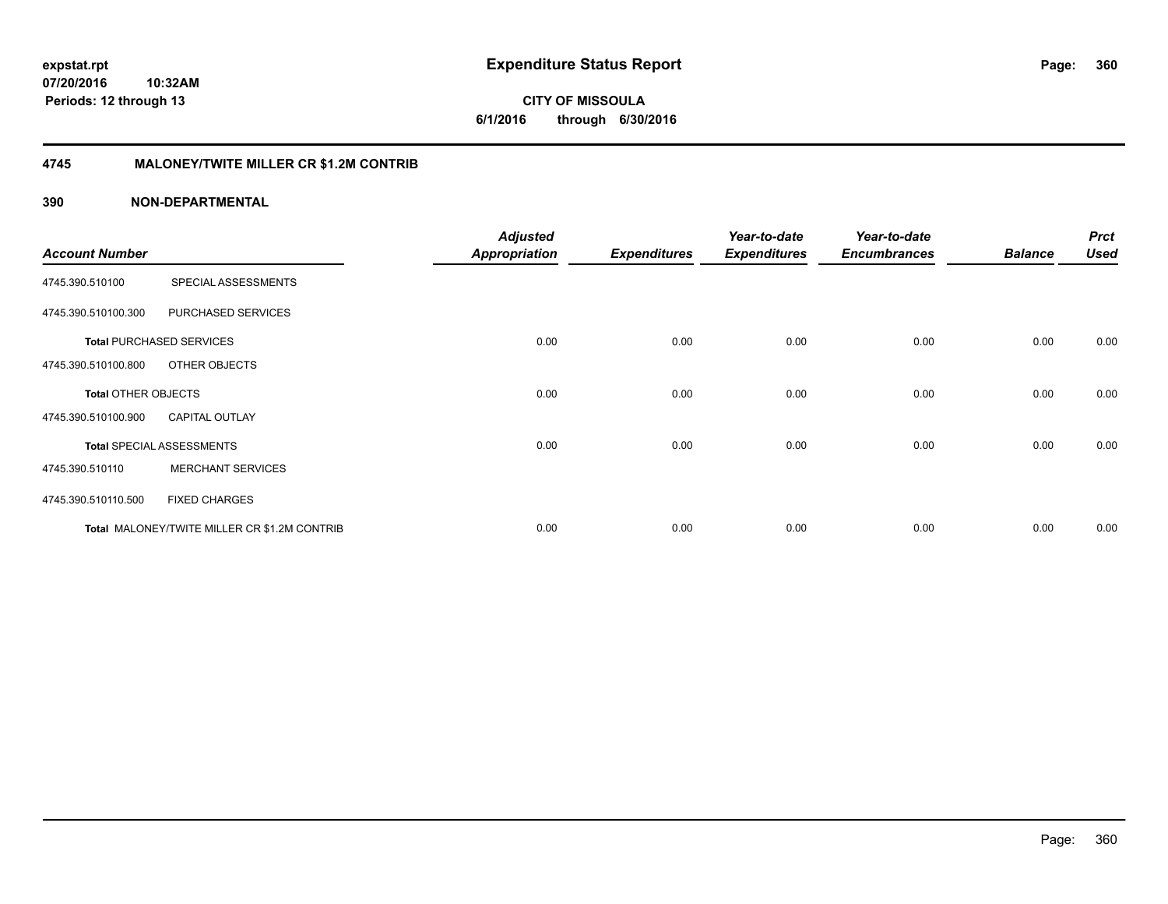**CITY OF MISSOULA 6/1/2016 through 6/30/2016**

#### **4745 MALONEY/TWITE MILLER CR \$1.2M CONTRIB**

|                            |                                              | <b>Adjusted</b>      |                     | Year-to-date        | Year-to-date        |                | <b>Prct</b> |
|----------------------------|----------------------------------------------|----------------------|---------------------|---------------------|---------------------|----------------|-------------|
| <b>Account Number</b>      |                                              | <b>Appropriation</b> | <b>Expenditures</b> | <b>Expenditures</b> | <b>Encumbrances</b> | <b>Balance</b> | <b>Used</b> |
| 4745.390.510100            | SPECIAL ASSESSMENTS                          |                      |                     |                     |                     |                |             |
| 4745.390.510100.300        | PURCHASED SERVICES                           |                      |                     |                     |                     |                |             |
|                            | <b>Total PURCHASED SERVICES</b>              | 0.00                 | 0.00                | 0.00                | 0.00                | 0.00           | 0.00        |
| 4745.390.510100.800        | OTHER OBJECTS                                |                      |                     |                     |                     |                |             |
| <b>Total OTHER OBJECTS</b> |                                              | 0.00                 | 0.00                | 0.00                | 0.00                | 0.00           | 0.00        |
| 4745.390.510100.900        | <b>CAPITAL OUTLAY</b>                        |                      |                     |                     |                     |                |             |
|                            | <b>Total SPECIAL ASSESSMENTS</b>             | 0.00                 | 0.00                | 0.00                | 0.00                | 0.00           | 0.00        |
| 4745.390.510110            | <b>MERCHANT SERVICES</b>                     |                      |                     |                     |                     |                |             |
| 4745.390.510110.500        | <b>FIXED CHARGES</b>                         |                      |                     |                     |                     |                |             |
|                            | Total MALONEY/TWITE MILLER CR \$1.2M CONTRIB | 0.00                 | 0.00                | 0.00                | 0.00                | 0.00           | 0.00        |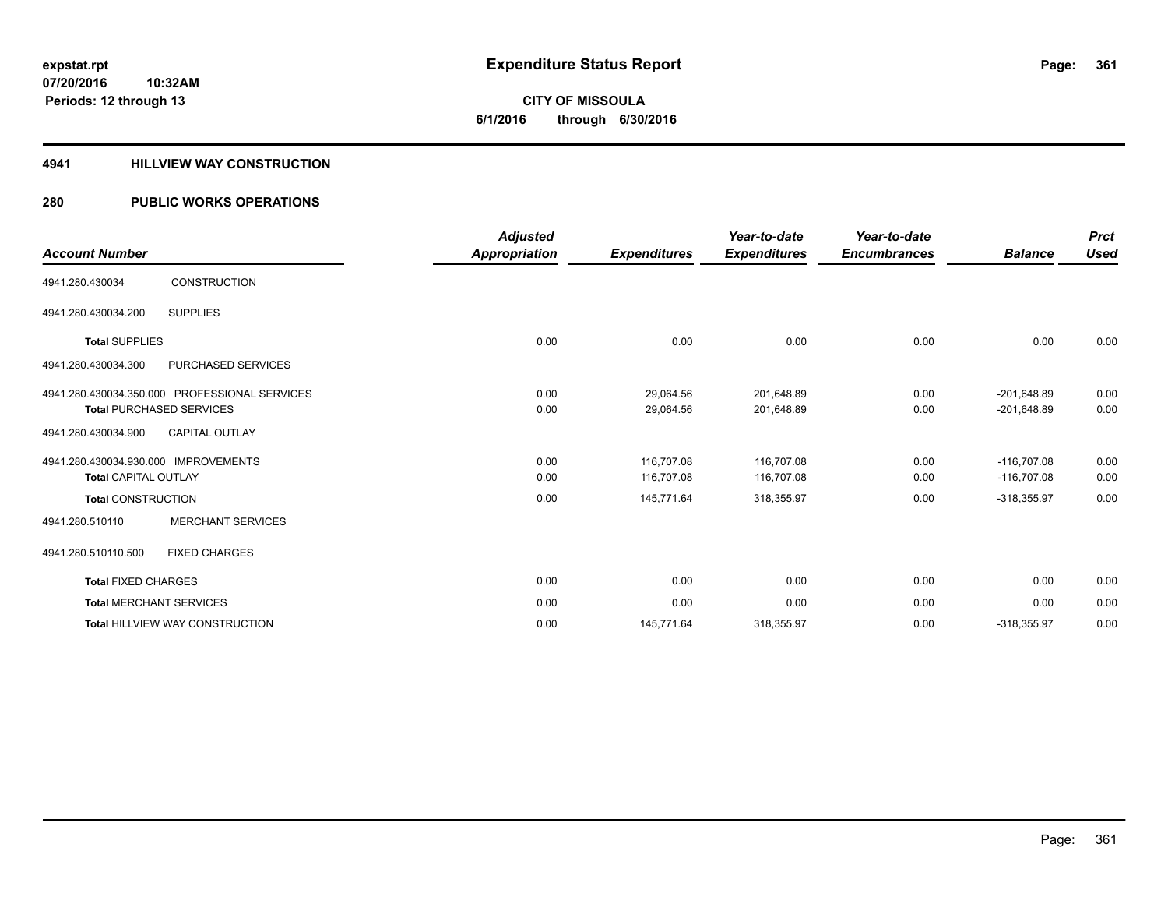# **CITY OF MISSOULA 6/1/2016 through 6/30/2016**

### **4941 HILLVIEW WAY CONSTRUCTION**

### **280 PUBLIC WORKS OPERATIONS**

| <b>Account Number</b>                         | <b>Adjusted</b><br>Appropriation | <b>Expenditures</b> | Year-to-date<br><b>Expenditures</b> | Year-to-date<br><b>Encumbrances</b> | <b>Balance</b> | <b>Prct</b><br>Used |
|-----------------------------------------------|----------------------------------|---------------------|-------------------------------------|-------------------------------------|----------------|---------------------|
| <b>CONSTRUCTION</b><br>4941.280.430034        |                                  |                     |                                     |                                     |                |                     |
| <b>SUPPLIES</b><br>4941.280.430034.200        |                                  |                     |                                     |                                     |                |                     |
| <b>Total SUPPLIES</b>                         | 0.00                             | 0.00                | 0.00                                | 0.00                                | 0.00           | 0.00                |
| 4941.280.430034.300<br>PURCHASED SERVICES     |                                  |                     |                                     |                                     |                |                     |
| 4941.280.430034.350.000 PROFESSIONAL SERVICES | 0.00                             | 29,064.56           | 201,648.89                          | 0.00                                | $-201,648.89$  | 0.00                |
| <b>Total PURCHASED SERVICES</b>               | 0.00                             | 29,064.56           | 201,648.89                          | 0.00                                | $-201,648.89$  | 0.00                |
| 4941.280.430034.900<br><b>CAPITAL OUTLAY</b>  |                                  |                     |                                     |                                     |                |                     |
| 4941.280.430034.930.000 IMPROVEMENTS          | 0.00                             | 116.707.08          | 116.707.08                          | 0.00                                | $-116.707.08$  | 0.00                |
| <b>Total CAPITAL OUTLAY</b>                   | 0.00                             | 116,707.08          | 116,707.08                          | 0.00                                | $-116,707.08$  | 0.00                |
| <b>Total CONSTRUCTION</b>                     | 0.00                             | 145,771.64          | 318,355.97                          | 0.00                                | $-318,355.97$  | 0.00                |
| <b>MERCHANT SERVICES</b><br>4941.280.510110   |                                  |                     |                                     |                                     |                |                     |
| 4941.280.510110.500<br><b>FIXED CHARGES</b>   |                                  |                     |                                     |                                     |                |                     |
| <b>Total FIXED CHARGES</b>                    | 0.00                             | 0.00                | 0.00                                | 0.00                                | 0.00           | 0.00                |
| <b>Total MERCHANT SERVICES</b>                | 0.00                             | 0.00                | 0.00                                | 0.00                                | 0.00           | 0.00                |
| <b>Total HILLVIEW WAY CONSTRUCTION</b>        | 0.00                             | 145,771.64          | 318,355.97                          | 0.00                                | $-318,355.97$  | 0.00                |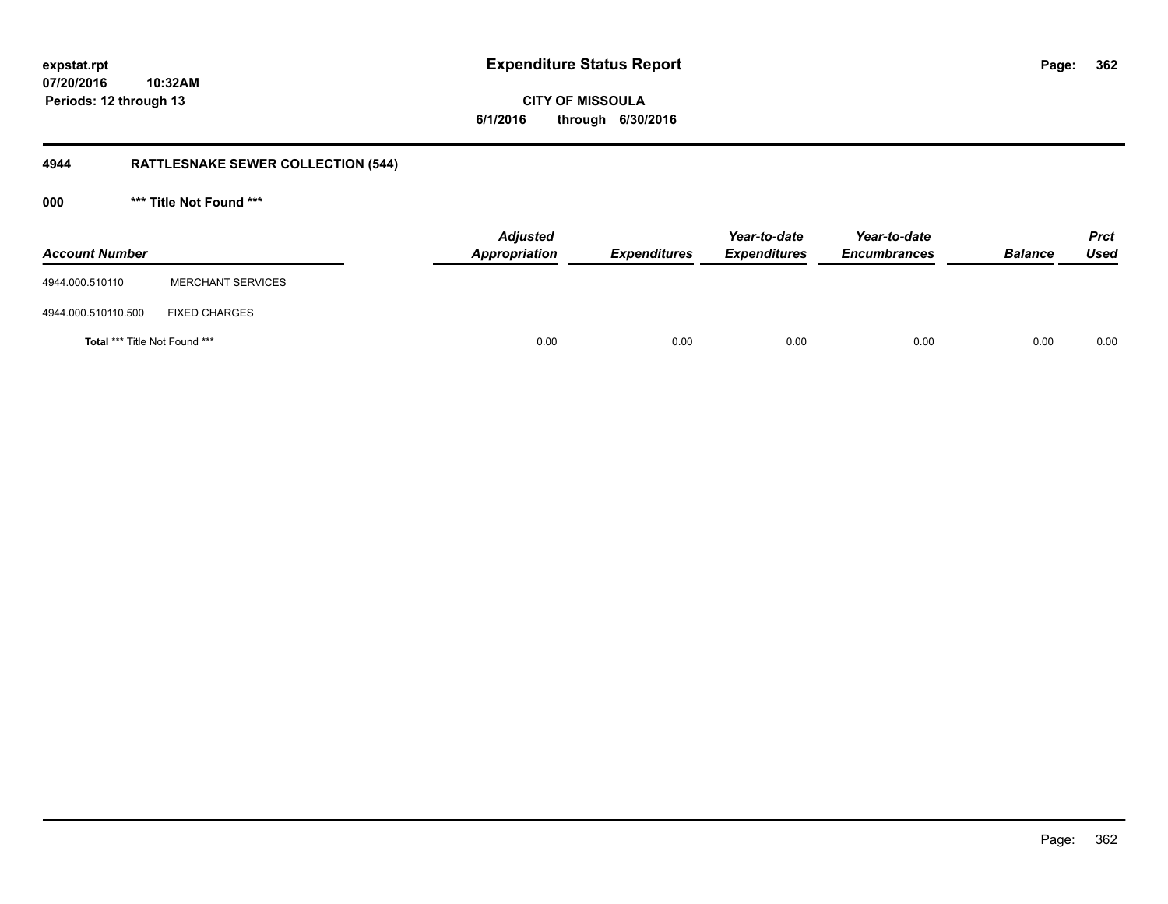**362**

**07/20/2016 10:32AM Periods: 12 through 13**

**CITY OF MISSOULA 6/1/2016 through 6/30/2016**

## **4944 RATTLESNAKE SEWER COLLECTION (544)**

**000 \*\*\* Title Not Found \*\*\***

| <b>Account Number</b>         |                          | <b>Adjusted</b><br>Appropriation | <b>Expenditures</b> | Year-to-date<br><b>Expenditures</b> | Year-to-date<br><b>Encumbrances</b> | <b>Balance</b> | <b>Prct</b><br>Used |
|-------------------------------|--------------------------|----------------------------------|---------------------|-------------------------------------|-------------------------------------|----------------|---------------------|
| 4944.000.510110               | <b>MERCHANT SERVICES</b> |                                  |                     |                                     |                                     |                |                     |
| 4944.000.510110.500           | <b>FIXED CHARGES</b>     |                                  |                     |                                     |                                     |                |                     |
| Total *** Title Not Found *** |                          | 0.00                             | 0.00                | 0.00                                | 0.00                                | 0.00           | 0.00                |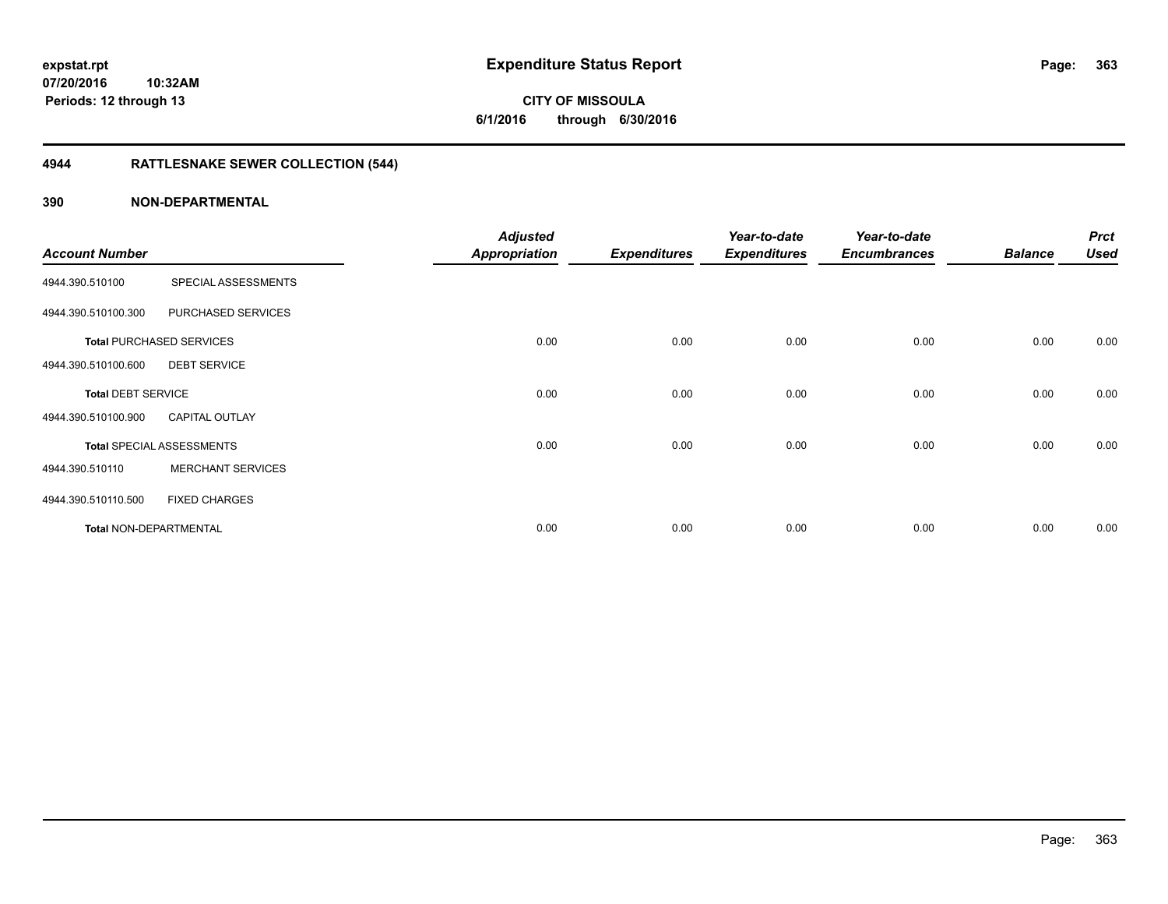**363**

**07/20/2016 10:32AM Periods: 12 through 13**

**CITY OF MISSOULA 6/1/2016 through 6/30/2016**

## **4944 RATTLESNAKE SEWER COLLECTION (544)**

| <b>Account Number</b>     |                                  | <b>Adjusted</b><br><b>Appropriation</b> | <b>Expenditures</b> | Year-to-date<br><b>Expenditures</b> | Year-to-date<br><b>Encumbrances</b> | <b>Balance</b> | <b>Prct</b><br><b>Used</b> |
|---------------------------|----------------------------------|-----------------------------------------|---------------------|-------------------------------------|-------------------------------------|----------------|----------------------------|
| 4944.390.510100           | SPECIAL ASSESSMENTS              |                                         |                     |                                     |                                     |                |                            |
| 4944.390.510100.300       | PURCHASED SERVICES               |                                         |                     |                                     |                                     |                |                            |
|                           | <b>Total PURCHASED SERVICES</b>  | 0.00                                    | 0.00                | 0.00                                | 0.00                                | 0.00           | 0.00                       |
| 4944.390.510100.600       | <b>DEBT SERVICE</b>              |                                         |                     |                                     |                                     |                |                            |
| <b>Total DEBT SERVICE</b> |                                  | 0.00                                    | 0.00                | 0.00                                | 0.00                                | 0.00           | 0.00                       |
| 4944.390.510100.900       | <b>CAPITAL OUTLAY</b>            |                                         |                     |                                     |                                     |                |                            |
|                           | <b>Total SPECIAL ASSESSMENTS</b> | 0.00                                    | 0.00                | 0.00                                | 0.00                                | 0.00           | 0.00                       |
| 4944.390.510110           | <b>MERCHANT SERVICES</b>         |                                         |                     |                                     |                                     |                |                            |
| 4944.390.510110.500       | <b>FIXED CHARGES</b>             |                                         |                     |                                     |                                     |                |                            |
| Total NON-DEPARTMENTAL    |                                  | 0.00                                    | 0.00                | 0.00                                | 0.00                                | 0.00           | 0.00                       |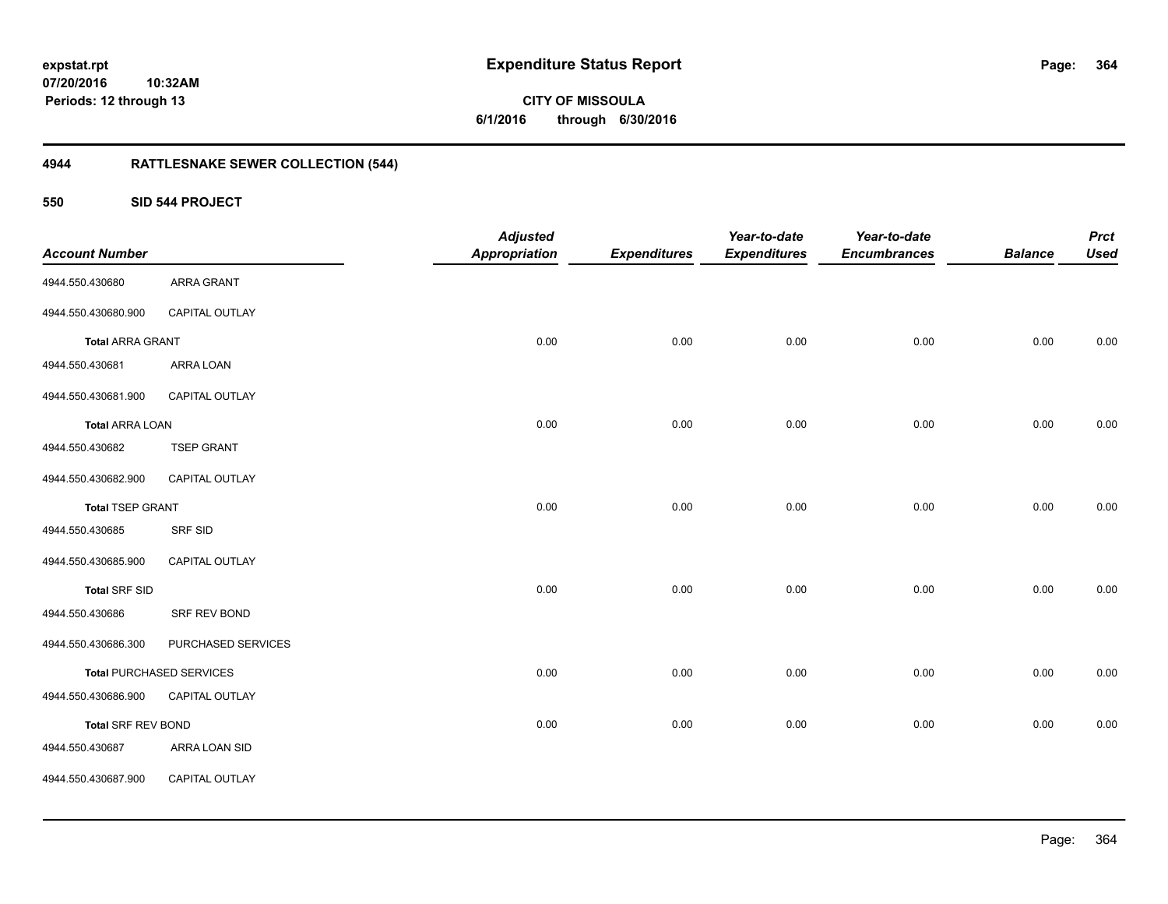**CITY OF MISSOULA 6/1/2016 through 6/30/2016**

## **4944 RATTLESNAKE SEWER COLLECTION (544)**

**550 SID 544 PROJECT**

| <b>Account Number</b>   |                                 | <b>Adjusted</b><br><b>Appropriation</b> | <b>Expenditures</b> | Year-to-date<br><b>Expenditures</b> | Year-to-date<br><b>Encumbrances</b> | <b>Balance</b> | <b>Prct</b><br><b>Used</b> |
|-------------------------|---------------------------------|-----------------------------------------|---------------------|-------------------------------------|-------------------------------------|----------------|----------------------------|
| 4944.550.430680         | <b>ARRA GRANT</b>               |                                         |                     |                                     |                                     |                |                            |
| 4944.550.430680.900     | CAPITAL OUTLAY                  |                                         |                     |                                     |                                     |                |                            |
| <b>Total ARRA GRANT</b> |                                 | 0.00                                    | 0.00                | 0.00                                | 0.00                                | 0.00           | 0.00                       |
| 4944.550.430681         | ARRA LOAN                       |                                         |                     |                                     |                                     |                |                            |
| 4944.550.430681.900     | CAPITAL OUTLAY                  |                                         |                     |                                     |                                     |                |                            |
| <b>Total ARRA LOAN</b>  |                                 | 0.00                                    | 0.00                | 0.00                                | 0.00                                | 0.00           | 0.00                       |
| 4944.550.430682         | <b>TSEP GRANT</b>               |                                         |                     |                                     |                                     |                |                            |
| 4944.550.430682.900     | CAPITAL OUTLAY                  |                                         |                     |                                     |                                     |                |                            |
| <b>Total TSEP GRANT</b> |                                 | 0.00                                    | 0.00                | 0.00                                | 0.00                                | 0.00           | 0.00                       |
| 4944.550.430685         | <b>SRF SID</b>                  |                                         |                     |                                     |                                     |                |                            |
| 4944.550.430685.900     | CAPITAL OUTLAY                  |                                         |                     |                                     |                                     |                |                            |
| <b>Total SRF SID</b>    |                                 | 0.00                                    | 0.00                | 0.00                                | 0.00                                | 0.00           | 0.00                       |
| 4944.550.430686         | SRF REV BOND                    |                                         |                     |                                     |                                     |                |                            |
| 4944.550.430686.300     | PURCHASED SERVICES              |                                         |                     |                                     |                                     |                |                            |
|                         | <b>Total PURCHASED SERVICES</b> | 0.00                                    | 0.00                | 0.00                                | 0.00                                | 0.00           | 0.00                       |
| 4944.550.430686.900     | CAPITAL OUTLAY                  |                                         |                     |                                     |                                     |                |                            |
| Total SRF REV BOND      |                                 | 0.00                                    | 0.00                | 0.00                                | 0.00                                | 0.00           | 0.00                       |
| 4944.550.430687         | ARRA LOAN SID                   |                                         |                     |                                     |                                     |                |                            |
| 4944.550.430687.900     | CAPITAL OUTLAY                  |                                         |                     |                                     |                                     |                |                            |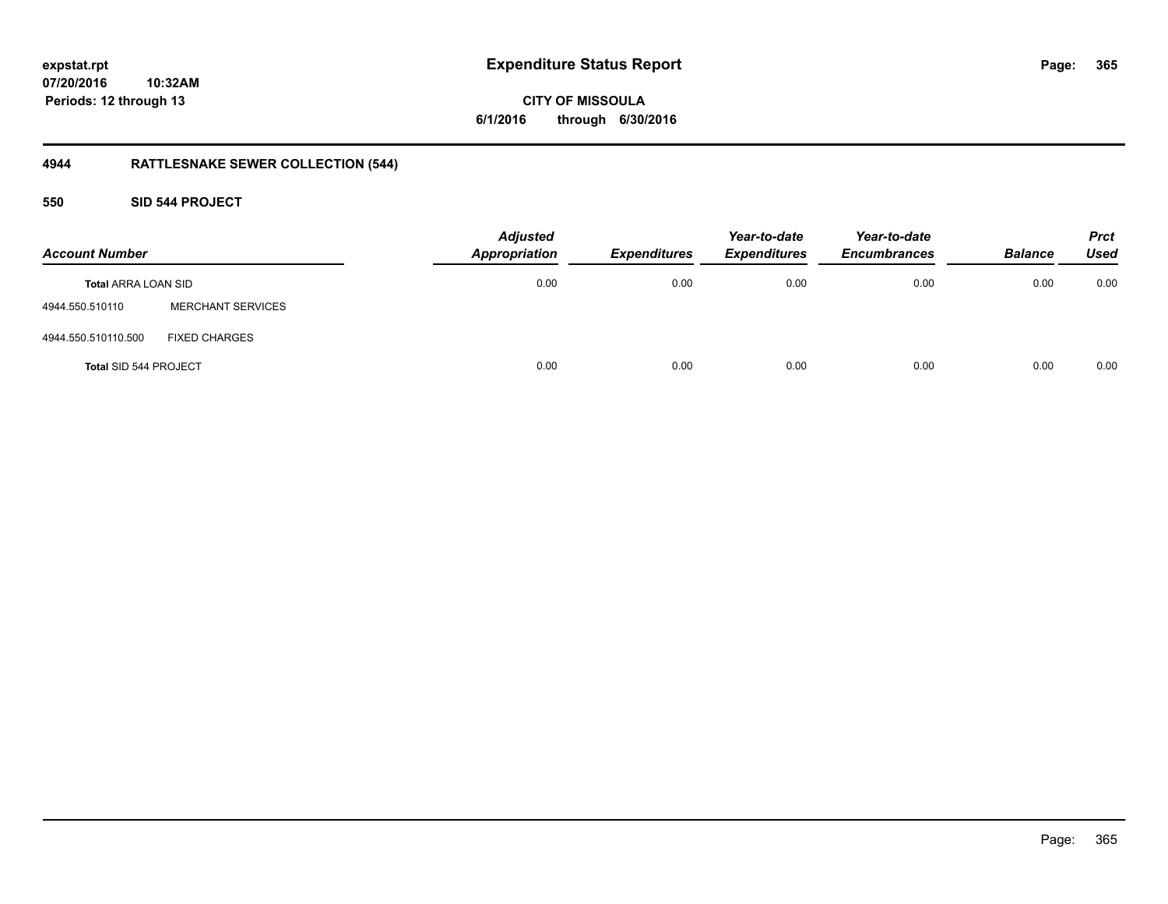**CITY OF MISSOULA 6/1/2016 through 6/30/2016**

## **4944 RATTLESNAKE SEWER COLLECTION (544)**

### **550 SID 544 PROJECT**

| <b>Account Number</b>        |                          | <b>Adjusted</b><br><b>Appropriation</b> | <b>Expenditures</b> | Year-to-date<br><b>Expenditures</b> | Year-to-date<br><b>Encumbrances</b> | <b>Balance</b> | <b>Prct</b><br><b>Used</b> |
|------------------------------|--------------------------|-----------------------------------------|---------------------|-------------------------------------|-------------------------------------|----------------|----------------------------|
| <b>Total ARRA LOAN SID</b>   |                          | 0.00                                    | 0.00                | 0.00                                | 0.00                                | 0.00           | 0.00                       |
| 4944.550.510110              | <b>MERCHANT SERVICES</b> |                                         |                     |                                     |                                     |                |                            |
| 4944.550.510110.500          | <b>FIXED CHARGES</b>     |                                         |                     |                                     |                                     |                |                            |
| <b>Total SID 544 PROJECT</b> |                          | 0.00                                    | 0.00                | 0.00                                | 0.00                                | 0.00           | 0.00                       |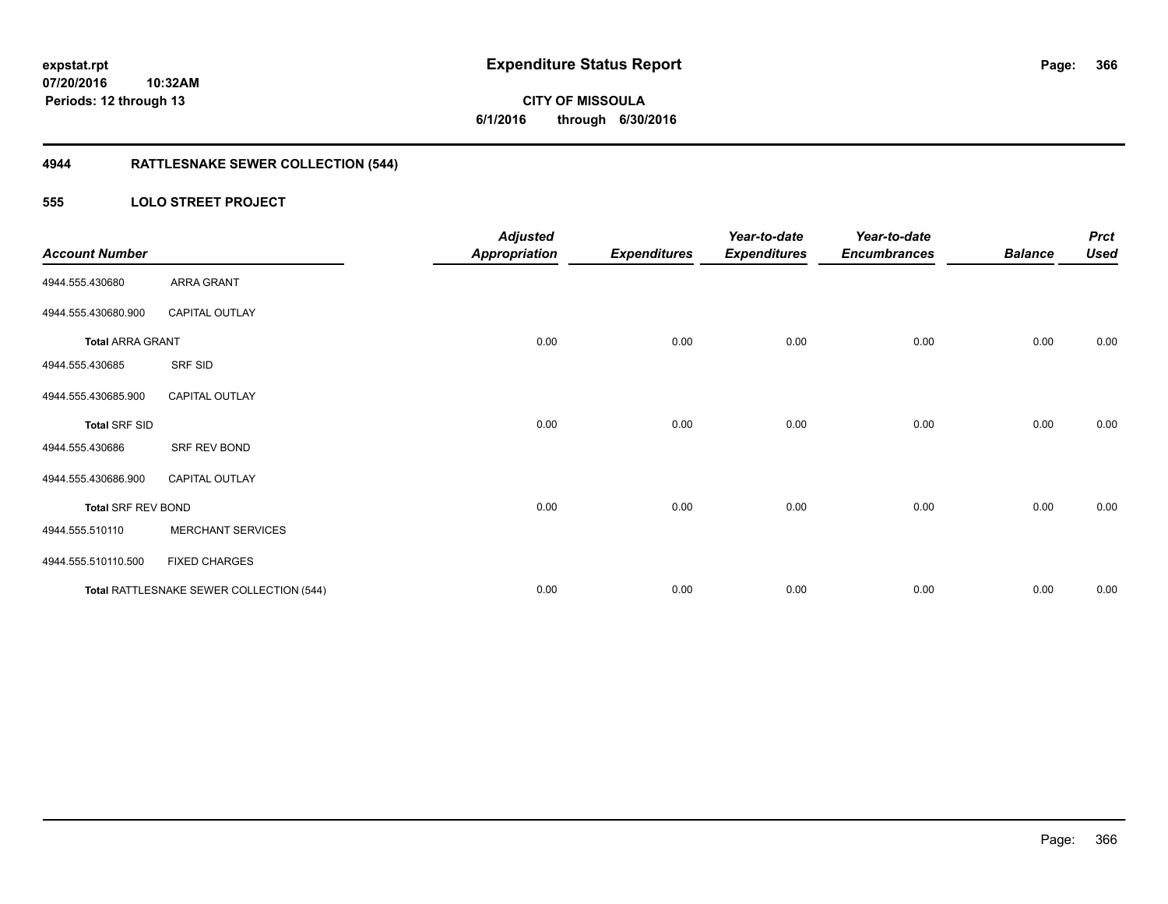**366**

**07/20/2016 10:32AM Periods: 12 through 13**

# **CITY OF MISSOULA 6/1/2016 through 6/30/2016**

## **4944 RATTLESNAKE SEWER COLLECTION (544)**

### **555 LOLO STREET PROJECT**

| <b>Account Number</b>     |                                          | <b>Adjusted</b><br><b>Appropriation</b> | <b>Expenditures</b> | Year-to-date<br><b>Expenditures</b> | Year-to-date<br><b>Encumbrances</b> | <b>Balance</b> | <b>Prct</b><br><b>Used</b> |
|---------------------------|------------------------------------------|-----------------------------------------|---------------------|-------------------------------------|-------------------------------------|----------------|----------------------------|
| 4944.555.430680           | <b>ARRA GRANT</b>                        |                                         |                     |                                     |                                     |                |                            |
| 4944.555.430680.900       | <b>CAPITAL OUTLAY</b>                    |                                         |                     |                                     |                                     |                |                            |
| <b>Total ARRA GRANT</b>   |                                          | 0.00                                    | 0.00                | 0.00                                | 0.00                                | 0.00           | 0.00                       |
| 4944.555.430685           | SRF SID                                  |                                         |                     |                                     |                                     |                |                            |
| 4944.555.430685.900       | <b>CAPITAL OUTLAY</b>                    |                                         |                     |                                     |                                     |                |                            |
| <b>Total SRF SID</b>      |                                          | 0.00                                    | 0.00                | 0.00                                | 0.00                                | 0.00           | 0.00                       |
| 4944.555.430686           | SRF REV BOND                             |                                         |                     |                                     |                                     |                |                            |
| 4944.555.430686.900       | <b>CAPITAL OUTLAY</b>                    |                                         |                     |                                     |                                     |                |                            |
| <b>Total SRF REV BOND</b> |                                          | 0.00                                    | 0.00                | 0.00                                | 0.00                                | 0.00           | 0.00                       |
| 4944.555.510110           | <b>MERCHANT SERVICES</b>                 |                                         |                     |                                     |                                     |                |                            |
| 4944.555.510110.500       | <b>FIXED CHARGES</b>                     |                                         |                     |                                     |                                     |                |                            |
|                           | Total RATTLESNAKE SEWER COLLECTION (544) | 0.00                                    | 0.00                | 0.00                                | 0.00                                | 0.00           | 0.00                       |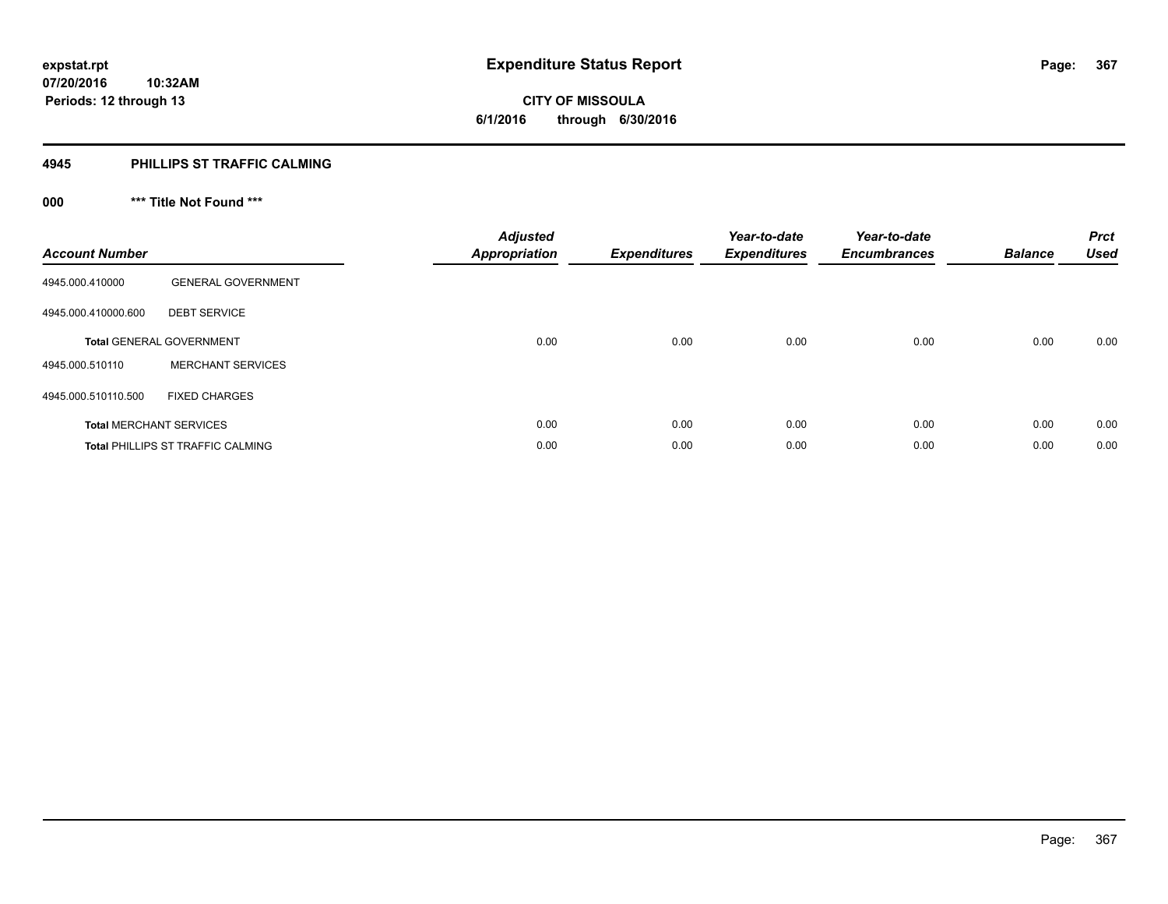**Periods: 12 through 13**

# **CITY OF MISSOULA 6/1/2016 through 6/30/2016**

#### **4945 PHILLIPS ST TRAFFIC CALMING**

## **000 \*\*\* Title Not Found \*\*\***

| <b>Account Number</b>          |                                   | <b>Adjusted</b><br><b>Appropriation</b> | <b>Expenditures</b> | Year-to-date<br><b>Expenditures</b> | Year-to-date<br><b>Encumbrances</b> | <b>Balance</b> | <b>Prct</b><br><b>Used</b> |
|--------------------------------|-----------------------------------|-----------------------------------------|---------------------|-------------------------------------|-------------------------------------|----------------|----------------------------|
| 4945.000.410000                | <b>GENERAL GOVERNMENT</b>         |                                         |                     |                                     |                                     |                |                            |
| 4945.000.410000.600            | <b>DEBT SERVICE</b>               |                                         |                     |                                     |                                     |                |                            |
|                                | <b>Total GENERAL GOVERNMENT</b>   | 0.00                                    | 0.00                | 0.00                                | 0.00                                | 0.00           | 0.00                       |
| 4945.000.510110                | <b>MERCHANT SERVICES</b>          |                                         |                     |                                     |                                     |                |                            |
| 4945.000.510110.500            | <b>FIXED CHARGES</b>              |                                         |                     |                                     |                                     |                |                            |
| <b>Total MERCHANT SERVICES</b> |                                   | 0.00                                    | 0.00                | 0.00                                | 0.00                                | 0.00           | 0.00                       |
|                                | Total PHILLIPS ST TRAFFIC CALMING | 0.00                                    | 0.00                | 0.00                                | 0.00                                | 0.00           | 0.00                       |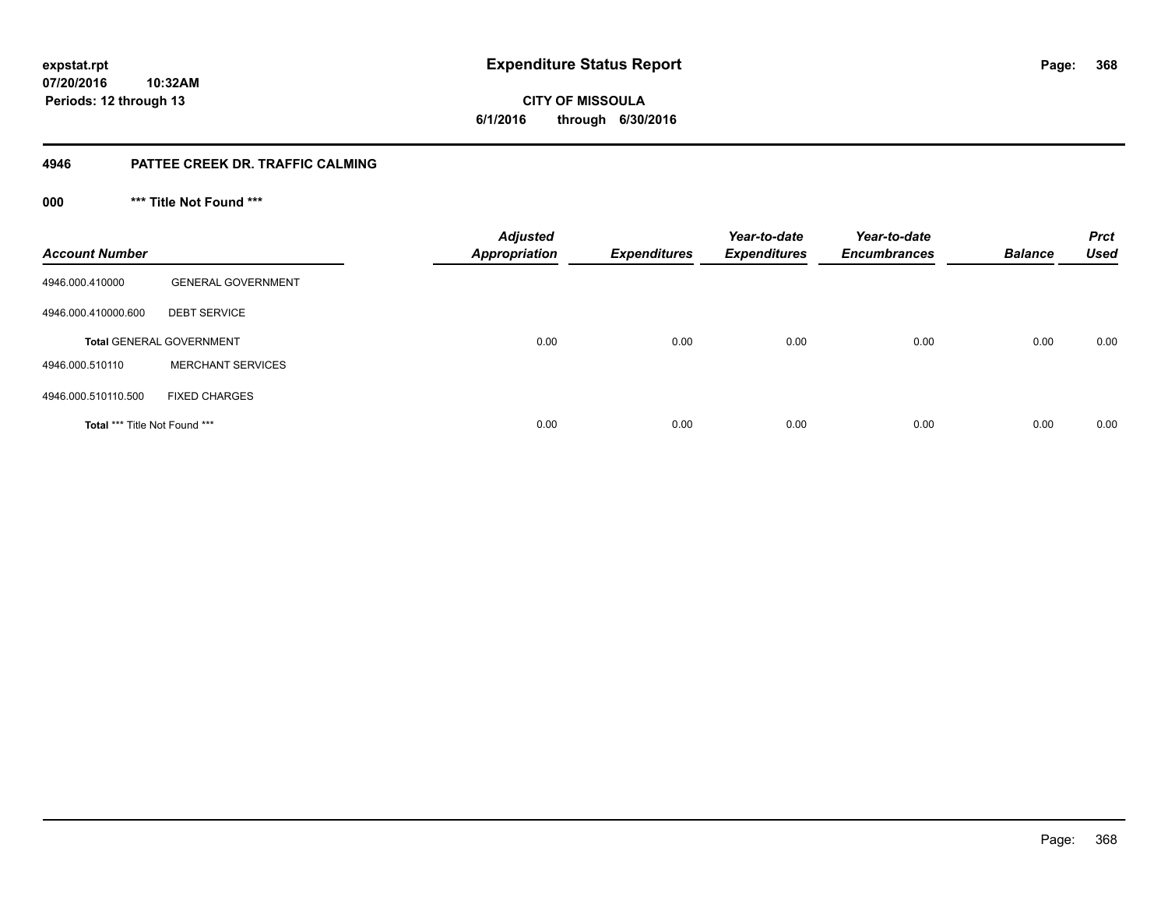**CITY OF MISSOULA 6/1/2016 through 6/30/2016**

### **4946 PATTEE CREEK DR. TRAFFIC CALMING**

**000 \*\*\* Title Not Found \*\*\***

| <b>Account Number</b>         |                                 | <b>Adjusted</b><br><b>Appropriation</b> | <b>Expenditures</b> | Year-to-date<br><b>Expenditures</b> | Year-to-date<br><b>Encumbrances</b> | <b>Balance</b> | <b>Prct</b><br><b>Used</b> |
|-------------------------------|---------------------------------|-----------------------------------------|---------------------|-------------------------------------|-------------------------------------|----------------|----------------------------|
| 4946.000.410000               | <b>GENERAL GOVERNMENT</b>       |                                         |                     |                                     |                                     |                |                            |
| 4946.000.410000.600           | <b>DEBT SERVICE</b>             |                                         |                     |                                     |                                     |                |                            |
|                               | <b>Total GENERAL GOVERNMENT</b> | 0.00                                    | 0.00                | 0.00                                | 0.00                                | 0.00           | 0.00                       |
| 4946.000.510110               | <b>MERCHANT SERVICES</b>        |                                         |                     |                                     |                                     |                |                            |
| 4946.000.510110.500           | <b>FIXED CHARGES</b>            |                                         |                     |                                     |                                     |                |                            |
| Total *** Title Not Found *** |                                 | 0.00                                    | 0.00                | 0.00                                | 0.00                                | 0.00           | 0.00                       |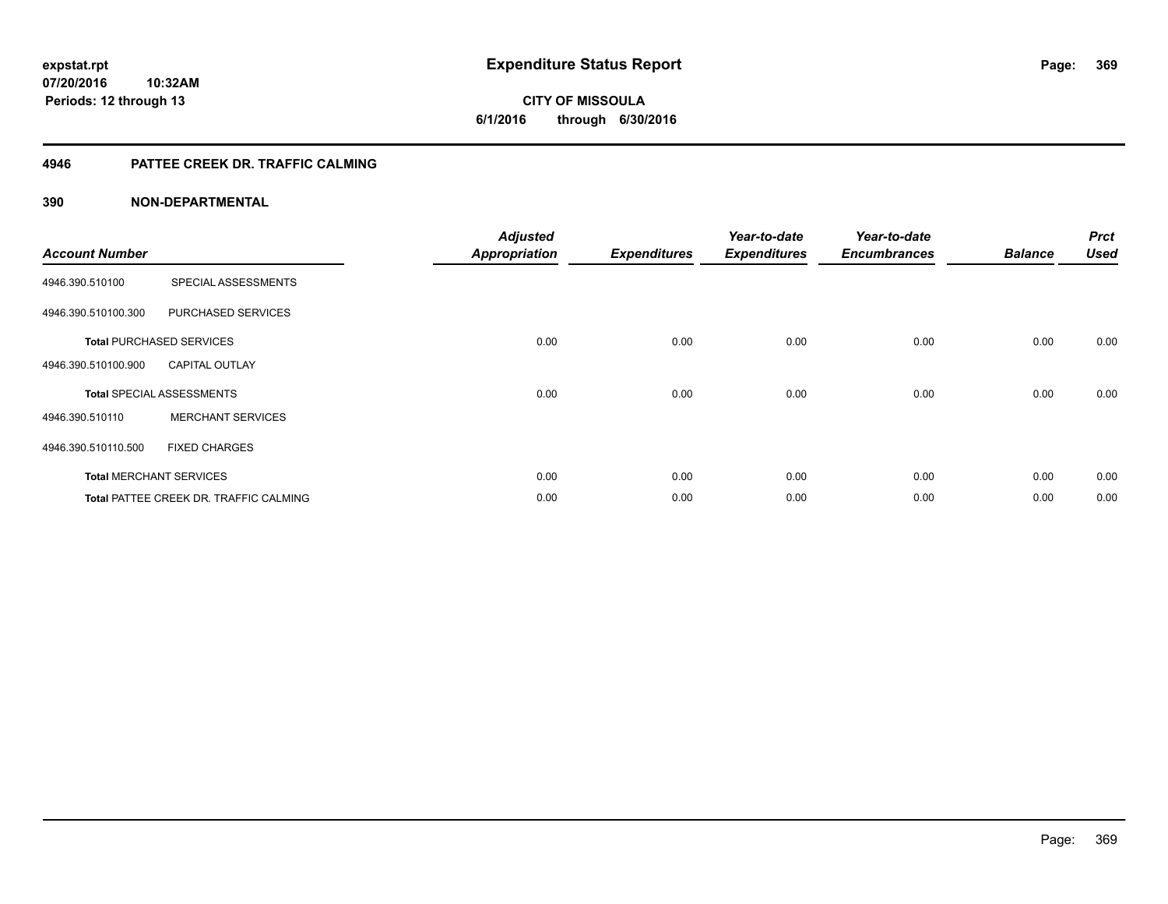**369**

**07/20/2016 10:32AM Periods: 12 through 13**

**CITY OF MISSOULA 6/1/2016 through 6/30/2016**

### **4946 PATTEE CREEK DR. TRAFFIC CALMING**

| <b>Account Number</b> |                                               | <b>Adjusted</b><br><b>Appropriation</b> | <b>Expenditures</b> | Year-to-date<br><b>Expenditures</b> | Year-to-date<br><b>Encumbrances</b> | <b>Balance</b> | <b>Prct</b><br><b>Used</b> |
|-----------------------|-----------------------------------------------|-----------------------------------------|---------------------|-------------------------------------|-------------------------------------|----------------|----------------------------|
| 4946.390.510100       | SPECIAL ASSESSMENTS                           |                                         |                     |                                     |                                     |                |                            |
| 4946.390.510100.300   | PURCHASED SERVICES                            |                                         |                     |                                     |                                     |                |                            |
|                       | <b>Total PURCHASED SERVICES</b>               | 0.00                                    | 0.00                | 0.00                                | 0.00                                | 0.00           | 0.00                       |
| 4946.390.510100.900   | <b>CAPITAL OUTLAY</b>                         |                                         |                     |                                     |                                     |                |                            |
|                       | <b>Total SPECIAL ASSESSMENTS</b>              | 0.00                                    | 0.00                | 0.00                                | 0.00                                | 0.00           | 0.00                       |
| 4946.390.510110       | <b>MERCHANT SERVICES</b>                      |                                         |                     |                                     |                                     |                |                            |
| 4946.390.510110.500   | <b>FIXED CHARGES</b>                          |                                         |                     |                                     |                                     |                |                            |
|                       | <b>Total MERCHANT SERVICES</b>                | 0.00                                    | 0.00                | 0.00                                | 0.00                                | 0.00           | 0.00                       |
|                       | <b>Total PATTEE CREEK DR. TRAFFIC CALMING</b> | 0.00                                    | 0.00                | 0.00                                | 0.00                                | 0.00           | 0.00                       |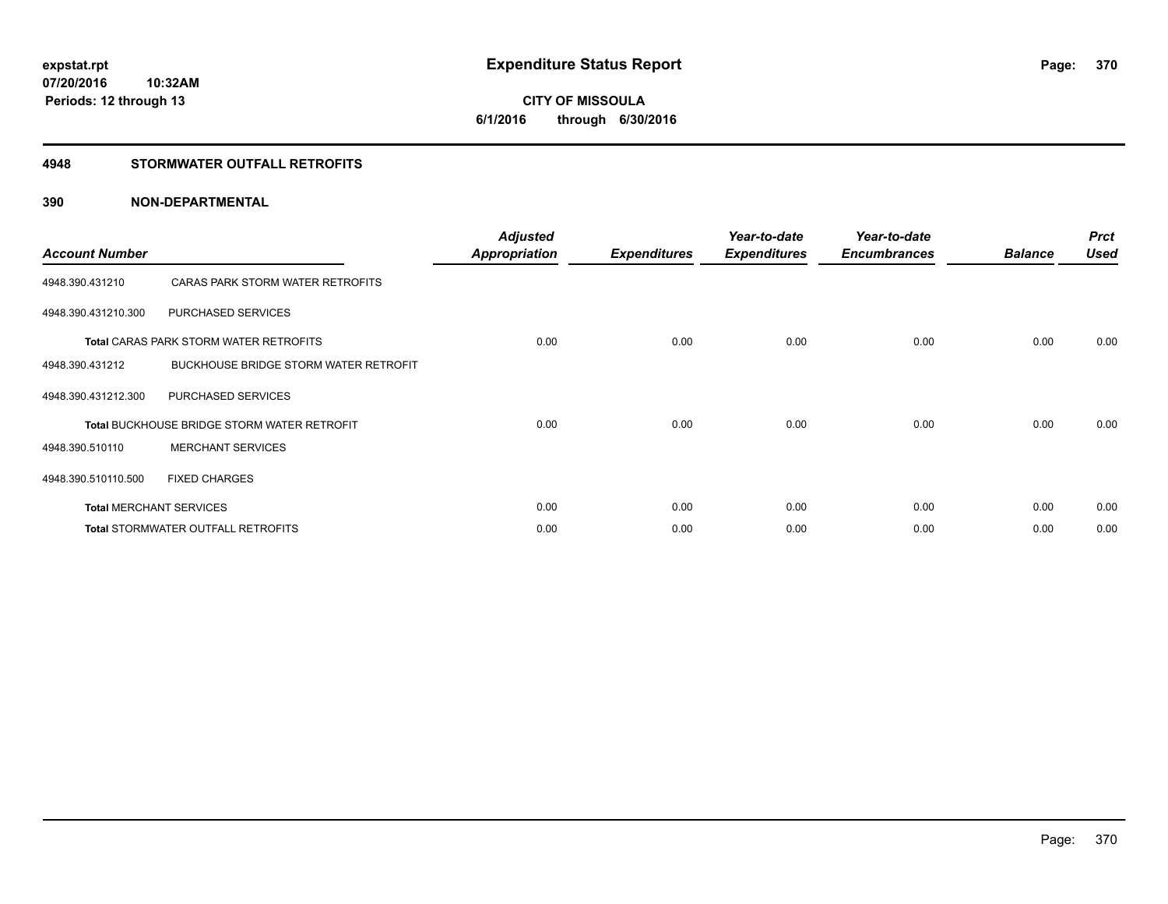# **CITY OF MISSOULA 6/1/2016 through 6/30/2016**

### **4948 STORMWATER OUTFALL RETROFITS**

| <b>Account Number</b> |                                                    | <b>Adjusted</b><br><b>Appropriation</b> | <b>Expenditures</b> | Year-to-date<br><b>Expenditures</b> | Year-to-date<br><b>Encumbrances</b> | <b>Balance</b> | <b>Prct</b><br><b>Used</b> |
|-----------------------|----------------------------------------------------|-----------------------------------------|---------------------|-------------------------------------|-------------------------------------|----------------|----------------------------|
| 4948.390.431210       | CARAS PARK STORM WATER RETROFITS                   |                                         |                     |                                     |                                     |                |                            |
| 4948.390.431210.300   | PURCHASED SERVICES                                 |                                         |                     |                                     |                                     |                |                            |
|                       | <b>Total CARAS PARK STORM WATER RETROFITS</b>      | 0.00                                    | 0.00                | 0.00                                | 0.00                                | 0.00           | 0.00                       |
| 4948.390.431212       | <b>BUCKHOUSE BRIDGE STORM WATER RETROFIT</b>       |                                         |                     |                                     |                                     |                |                            |
| 4948.390.431212.300   | PURCHASED SERVICES                                 |                                         |                     |                                     |                                     |                |                            |
|                       | <b>Total BUCKHOUSE BRIDGE STORM WATER RETROFIT</b> | 0.00                                    | 0.00                | 0.00                                | 0.00                                | 0.00           | 0.00                       |
| 4948.390.510110       | <b>MERCHANT SERVICES</b>                           |                                         |                     |                                     |                                     |                |                            |
| 4948.390.510110.500   | <b>FIXED CHARGES</b>                               |                                         |                     |                                     |                                     |                |                            |
|                       | <b>Total MERCHANT SERVICES</b>                     | 0.00                                    | 0.00                | 0.00                                | 0.00                                | 0.00           | 0.00                       |
|                       | Total STORMWATER OUTFALL RETROFITS                 | 0.00                                    | 0.00                | 0.00                                | 0.00                                | 0.00           | 0.00                       |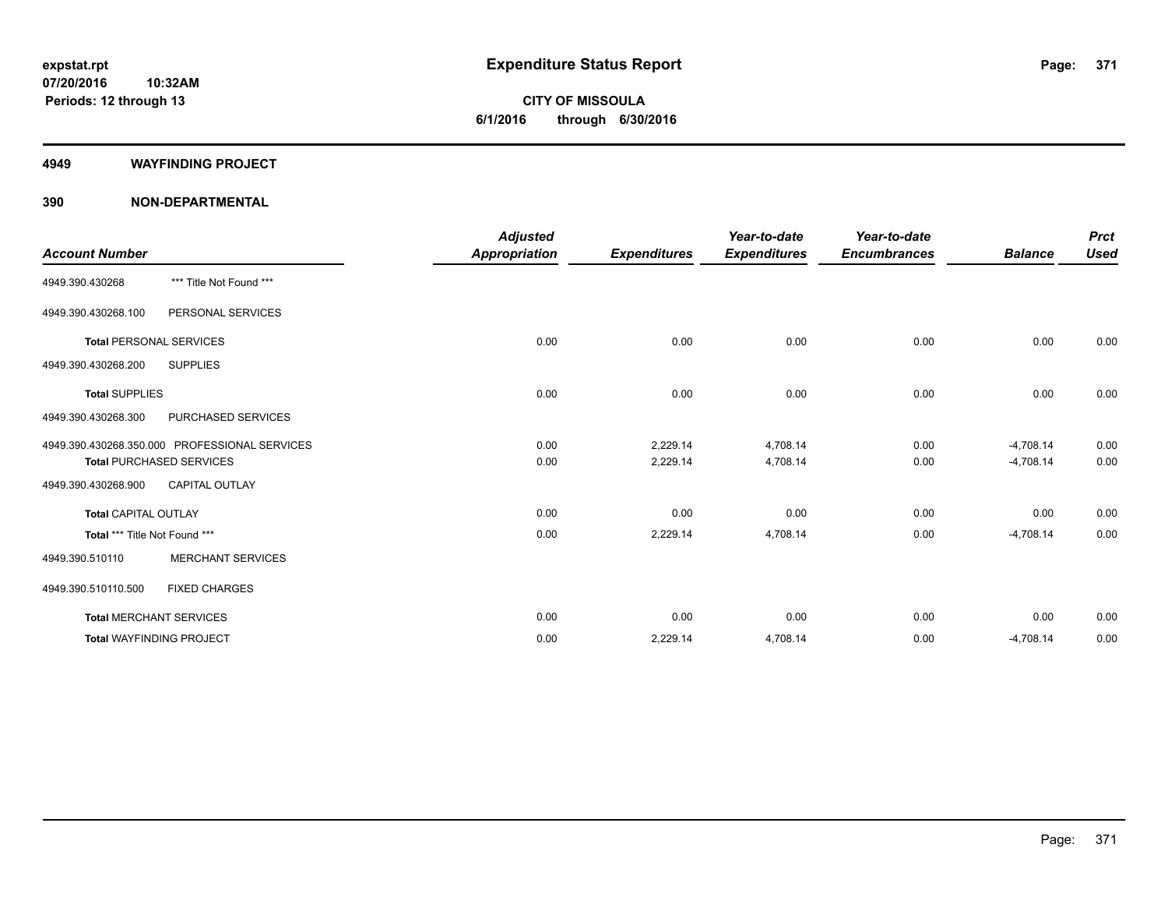**Periods: 12 through 13**

**CITY OF MISSOULA 6/1/2016 through 6/30/2016**

#### **4949 WAYFINDING PROJECT**

|                                 |                                               | <b>Adjusted</b>      |                     | Year-to-date        | Year-to-date        |                | <b>Prct</b> |
|---------------------------------|-----------------------------------------------|----------------------|---------------------|---------------------|---------------------|----------------|-------------|
| <b>Account Number</b>           |                                               | <b>Appropriation</b> | <b>Expenditures</b> | <b>Expenditures</b> | <b>Encumbrances</b> | <b>Balance</b> | <b>Used</b> |
| 4949.390.430268                 | *** Title Not Found ***                       |                      |                     |                     |                     |                |             |
| 4949.390.430268.100             | PERSONAL SERVICES                             |                      |                     |                     |                     |                |             |
| <b>Total PERSONAL SERVICES</b>  |                                               | 0.00                 | 0.00                | 0.00                | 0.00                | 0.00           | 0.00        |
| 4949.390.430268.200             | <b>SUPPLIES</b>                               |                      |                     |                     |                     |                |             |
| <b>Total SUPPLIES</b>           |                                               | 0.00                 | 0.00                | 0.00                | 0.00                | 0.00           | 0.00        |
| 4949.390.430268.300             | PURCHASED SERVICES                            |                      |                     |                     |                     |                |             |
|                                 | 4949.390.430268.350.000 PROFESSIONAL SERVICES | 0.00                 | 2,229.14            | 4,708.14            | 0.00                | $-4,708.14$    | 0.00        |
|                                 | <b>Total PURCHASED SERVICES</b>               | 0.00                 | 2,229.14            | 4,708.14            | 0.00                | $-4,708.14$    | 0.00        |
| 4949.390.430268.900             | CAPITAL OUTLAY                                |                      |                     |                     |                     |                |             |
| <b>Total CAPITAL OUTLAY</b>     |                                               | 0.00                 | 0.00                | 0.00                | 0.00                | 0.00           | 0.00        |
| Total *** Title Not Found ***   |                                               | 0.00                 | 2,229.14            | 4,708.14            | 0.00                | $-4,708.14$    | 0.00        |
| 4949.390.510110                 | <b>MERCHANT SERVICES</b>                      |                      |                     |                     |                     |                |             |
| 4949.390.510110.500             | <b>FIXED CHARGES</b>                          |                      |                     |                     |                     |                |             |
| <b>Total MERCHANT SERVICES</b>  |                                               | 0.00                 | 0.00                | 0.00                | 0.00                | 0.00           | 0.00        |
| <b>Total WAYFINDING PROJECT</b> |                                               | 0.00                 | 2,229.14            | 4,708.14            | 0.00                | $-4,708.14$    | 0.00        |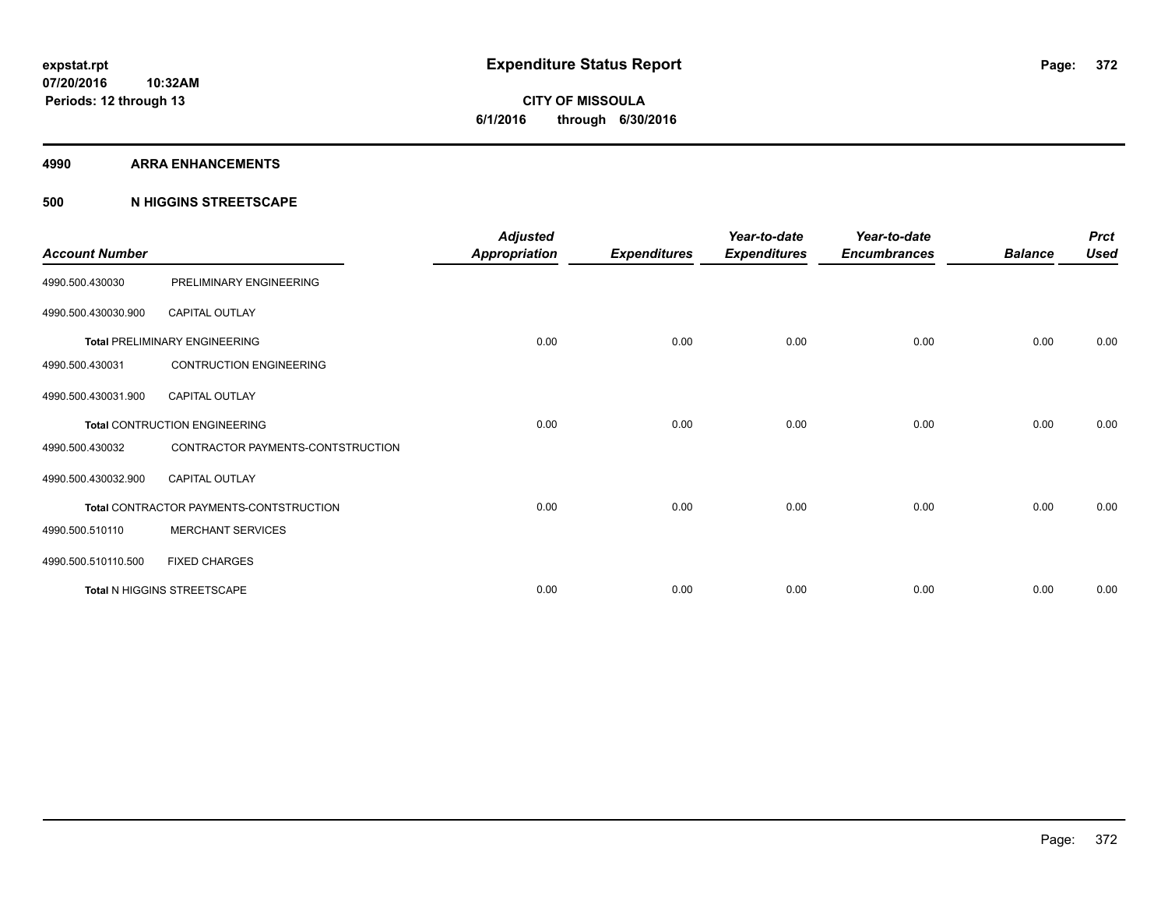#### **4990 ARRA ENHANCEMENTS**

### **500 N HIGGINS STREETSCAPE**

| <b>Account Number</b> |                                         | <b>Adjusted</b><br><b>Appropriation</b> | <b>Expenditures</b> | Year-to-date<br><b>Expenditures</b> | Year-to-date<br><b>Encumbrances</b> | <b>Balance</b> | <b>Prct</b><br><b>Used</b> |
|-----------------------|-----------------------------------------|-----------------------------------------|---------------------|-------------------------------------|-------------------------------------|----------------|----------------------------|
| 4990.500.430030       | PRELIMINARY ENGINEERING                 |                                         |                     |                                     |                                     |                |                            |
| 4990.500.430030.900   | <b>CAPITAL OUTLAY</b>                   |                                         |                     |                                     |                                     |                |                            |
|                       | <b>Total PRELIMINARY ENGINEERING</b>    | 0.00                                    | 0.00                | 0.00                                | 0.00                                | 0.00           | 0.00                       |
| 4990.500.430031       | <b>CONTRUCTION ENGINEERING</b>          |                                         |                     |                                     |                                     |                |                            |
| 4990.500.430031.900   | <b>CAPITAL OUTLAY</b>                   |                                         |                     |                                     |                                     |                |                            |
|                       | <b>Total CONTRUCTION ENGINEERING</b>    | 0.00                                    | 0.00                | 0.00                                | 0.00                                | 0.00           | 0.00                       |
| 4990.500.430032       | CONTRACTOR PAYMENTS-CONTSTRUCTION       |                                         |                     |                                     |                                     |                |                            |
| 4990.500.430032.900   | <b>CAPITAL OUTLAY</b>                   |                                         |                     |                                     |                                     |                |                            |
|                       | Total CONTRACTOR PAYMENTS-CONTSTRUCTION | 0.00                                    | 0.00                | 0.00                                | 0.00                                | 0.00           | 0.00                       |
| 4990.500.510110       | <b>MERCHANT SERVICES</b>                |                                         |                     |                                     |                                     |                |                            |
| 4990.500.510110.500   | <b>FIXED CHARGES</b>                    |                                         |                     |                                     |                                     |                |                            |
|                       | Total N HIGGINS STREETSCAPE             | 0.00                                    | 0.00                | 0.00                                | 0.00                                | 0.00           | 0.00                       |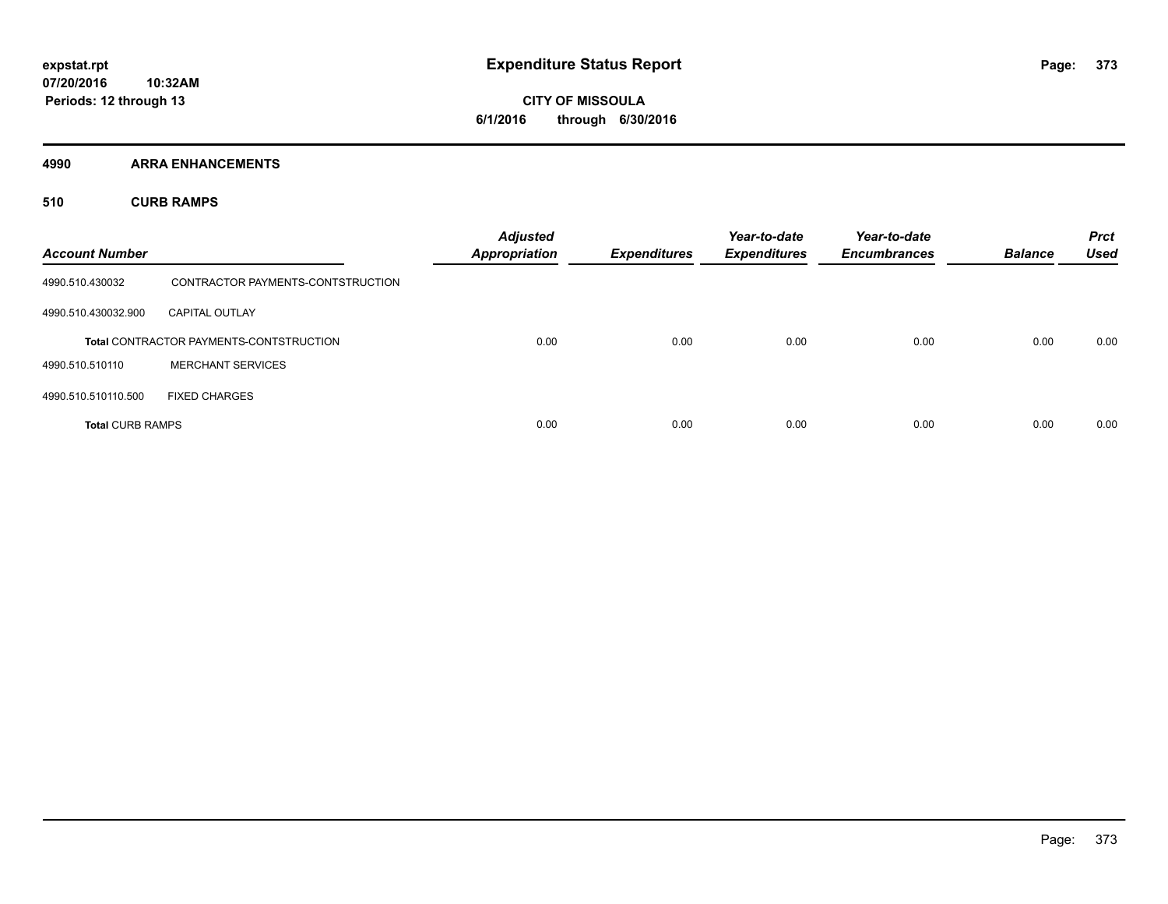**CITY OF MISSOULA 6/1/2016 through 6/30/2016**

**4990 ARRA ENHANCEMENTS**

**510 CURB RAMPS**

| <b>Account Number</b>   |                                                | <b>Adjusted</b><br><b>Appropriation</b> | <b>Expenditures</b> | Year-to-date<br><b>Expenditures</b> | Year-to-date<br><b>Encumbrances</b> | <b>Balance</b> | <b>Prct</b><br><b>Used</b> |
|-------------------------|------------------------------------------------|-----------------------------------------|---------------------|-------------------------------------|-------------------------------------|----------------|----------------------------|
| 4990.510.430032         | CONTRACTOR PAYMENTS-CONTSTRUCTION              |                                         |                     |                                     |                                     |                |                            |
| 4990.510.430032.900     | <b>CAPITAL OUTLAY</b>                          |                                         |                     |                                     |                                     |                |                            |
|                         | <b>Total CONTRACTOR PAYMENTS-CONTSTRUCTION</b> | 0.00                                    | 0.00                | 0.00                                | 0.00                                | 0.00           | 0.00                       |
| 4990.510.510110         | <b>MERCHANT SERVICES</b>                       |                                         |                     |                                     |                                     |                |                            |
| 4990.510.510110.500     | <b>FIXED CHARGES</b>                           |                                         |                     |                                     |                                     |                |                            |
| <b>Total CURB RAMPS</b> |                                                | 0.00                                    | 0.00                | 0.00                                | 0.00                                | 0.00           | 0.00                       |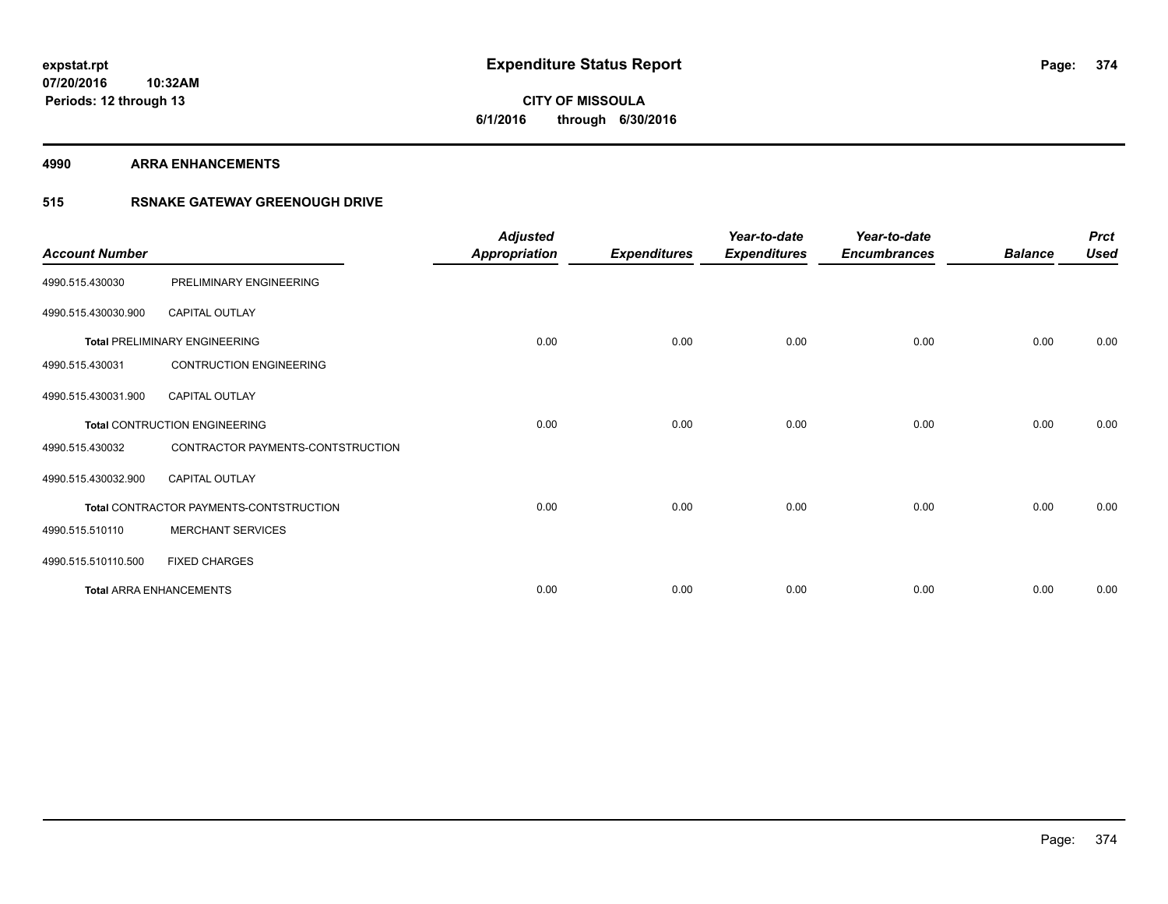**CITY OF MISSOULA 6/1/2016 through 6/30/2016**

**4990 ARRA ENHANCEMENTS**

### **515 RSNAKE GATEWAY GREENOUGH DRIVE**

| <b>Account Number</b> |                                         | <b>Adjusted</b><br>Appropriation | <b>Expenditures</b> | Year-to-date<br><b>Expenditures</b> | Year-to-date<br><b>Encumbrances</b> | <b>Balance</b> | <b>Prct</b><br><b>Used</b> |
|-----------------------|-----------------------------------------|----------------------------------|---------------------|-------------------------------------|-------------------------------------|----------------|----------------------------|
| 4990.515.430030       | PRELIMINARY ENGINEERING                 |                                  |                     |                                     |                                     |                |                            |
| 4990.515.430030.900   | <b>CAPITAL OUTLAY</b>                   |                                  |                     |                                     |                                     |                |                            |
|                       | <b>Total PRELIMINARY ENGINEERING</b>    | 0.00                             | 0.00                | 0.00                                | 0.00                                | 0.00           | 0.00                       |
| 4990.515.430031       | <b>CONTRUCTION ENGINEERING</b>          |                                  |                     |                                     |                                     |                |                            |
| 4990.515.430031.900   | <b>CAPITAL OUTLAY</b>                   |                                  |                     |                                     |                                     |                |                            |
|                       | <b>Total CONTRUCTION ENGINEERING</b>    | 0.00                             | 0.00                | 0.00                                | 0.00                                | 0.00           | 0.00                       |
| 4990.515.430032       | CONTRACTOR PAYMENTS-CONTSTRUCTION       |                                  |                     |                                     |                                     |                |                            |
| 4990.515.430032.900   | <b>CAPITAL OUTLAY</b>                   |                                  |                     |                                     |                                     |                |                            |
|                       | Total CONTRACTOR PAYMENTS-CONTSTRUCTION | 0.00                             | 0.00                | 0.00                                | 0.00                                | 0.00           | 0.00                       |
| 4990.515.510110       | <b>MERCHANT SERVICES</b>                |                                  |                     |                                     |                                     |                |                            |
| 4990.515.510110.500   | <b>FIXED CHARGES</b>                    |                                  |                     |                                     |                                     |                |                            |
|                       | <b>Total ARRA ENHANCEMENTS</b>          | 0.00                             | 0.00                | 0.00                                | 0.00                                | 0.00           | 0.00                       |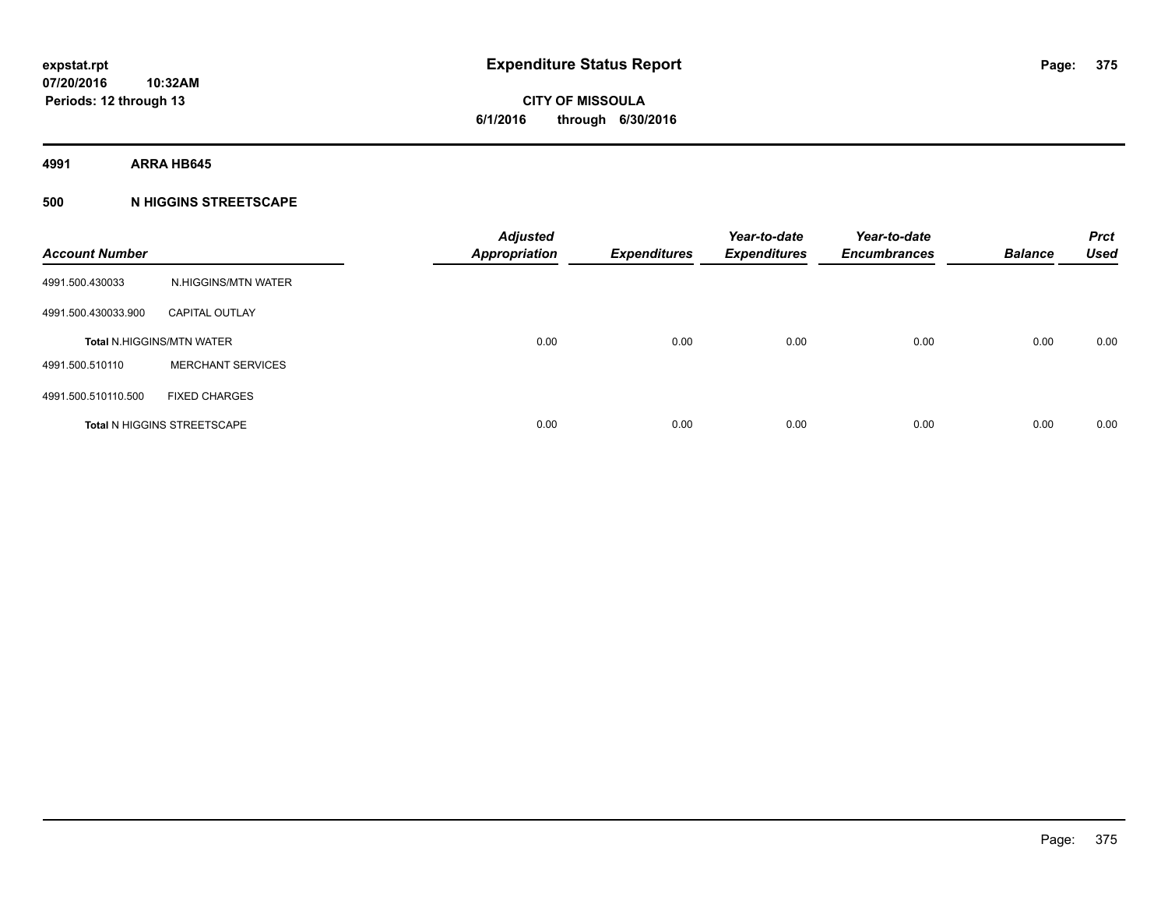**4991 ARRA HB645**

### **500 N HIGGINS STREETSCAPE**

| <b>Account Number</b> |                                    | <b>Adjusted</b><br><b>Appropriation</b> | <b>Expenditures</b> | Year-to-date<br><b>Expenditures</b> | Year-to-date<br><b>Encumbrances</b> | <b>Balance</b> | <b>Prct</b><br><b>Used</b> |
|-----------------------|------------------------------------|-----------------------------------------|---------------------|-------------------------------------|-------------------------------------|----------------|----------------------------|
| 4991.500.430033       | N.HIGGINS/MTN WATER                |                                         |                     |                                     |                                     |                |                            |
| 4991.500.430033.900   | <b>CAPITAL OUTLAY</b>              |                                         |                     |                                     |                                     |                |                            |
|                       | <b>Total N.HIGGINS/MTN WATER</b>   | 0.00                                    | 0.00                | 0.00                                | 0.00                                | 0.00           | 0.00                       |
| 4991.500.510110       | <b>MERCHANT SERVICES</b>           |                                         |                     |                                     |                                     |                |                            |
| 4991.500.510110.500   | <b>FIXED CHARGES</b>               |                                         |                     |                                     |                                     |                |                            |
|                       | <b>Total N HIGGINS STREETSCAPE</b> | 0.00                                    | 0.00                | 0.00                                | 0.00                                | 0.00           | 0.00                       |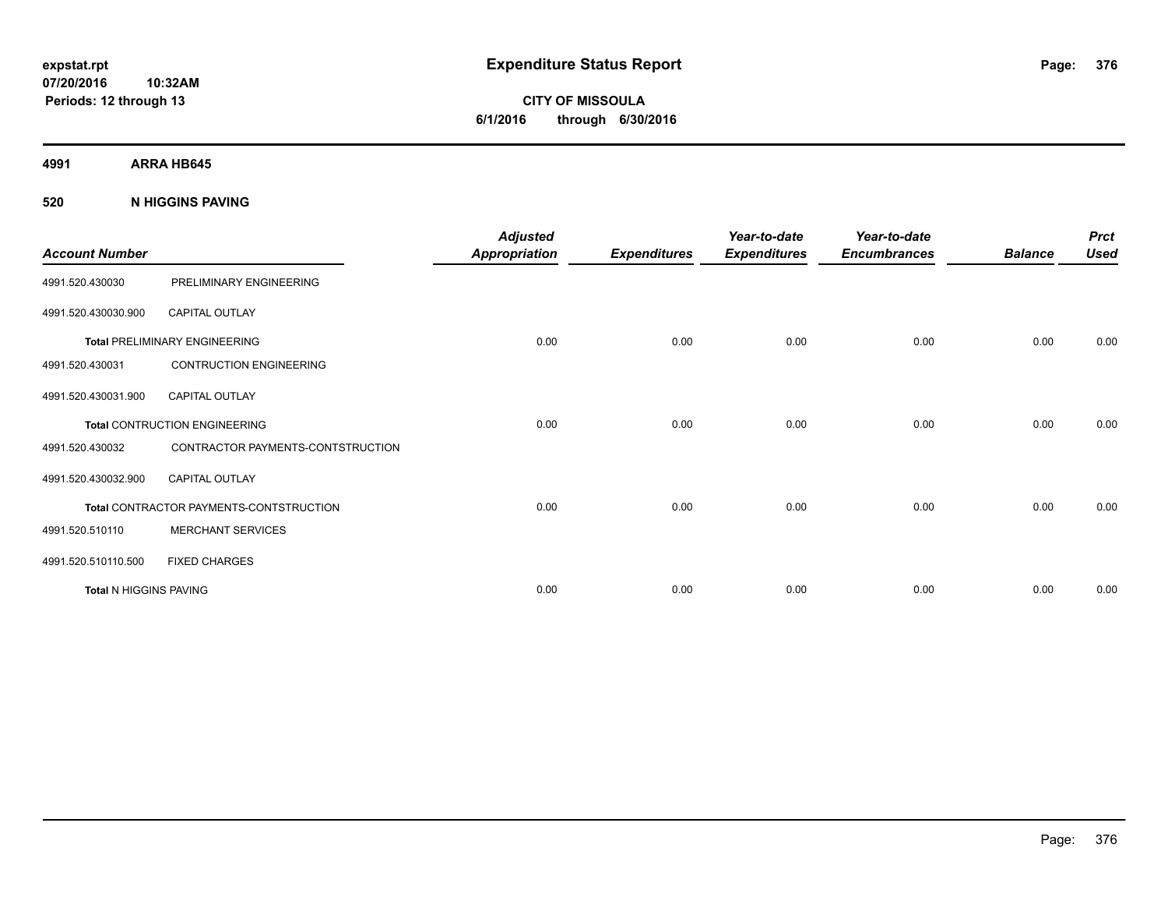**CITY OF MISSOULA 6/1/2016 through 6/30/2016**

**4991 ARRA HB645**

**520 N HIGGINS PAVING**

| <b>Account Number</b>         |                                         | <b>Adjusted</b><br><b>Appropriation</b> | <b>Expenditures</b> | Year-to-date<br><b>Expenditures</b> | Year-to-date<br><b>Encumbrances</b> | <b>Balance</b> | <b>Prct</b><br><b>Used</b> |
|-------------------------------|-----------------------------------------|-----------------------------------------|---------------------|-------------------------------------|-------------------------------------|----------------|----------------------------|
| 4991.520.430030               | PRELIMINARY ENGINEERING                 |                                         |                     |                                     |                                     |                |                            |
| 4991.520.430030.900           | <b>CAPITAL OUTLAY</b>                   |                                         |                     |                                     |                                     |                |                            |
|                               | <b>Total PRELIMINARY ENGINEERING</b>    | 0.00                                    | 0.00                | 0.00                                | 0.00                                | 0.00           | 0.00                       |
| 4991.520.430031               | <b>CONTRUCTION ENGINEERING</b>          |                                         |                     |                                     |                                     |                |                            |
| 4991.520.430031.900           | <b>CAPITAL OUTLAY</b>                   |                                         |                     |                                     |                                     |                |                            |
|                               | <b>Total CONTRUCTION ENGINEERING</b>    | 0.00                                    | 0.00                | 0.00                                | 0.00                                | 0.00           | 0.00                       |
| 4991.520.430032               | CONTRACTOR PAYMENTS-CONTSTRUCTION       |                                         |                     |                                     |                                     |                |                            |
| 4991.520.430032.900           | <b>CAPITAL OUTLAY</b>                   |                                         |                     |                                     |                                     |                |                            |
|                               | Total CONTRACTOR PAYMENTS-CONTSTRUCTION | 0.00                                    | 0.00                | 0.00                                | 0.00                                | 0.00           | 0.00                       |
| 4991.520.510110               | <b>MERCHANT SERVICES</b>                |                                         |                     |                                     |                                     |                |                            |
| 4991.520.510110.500           | <b>FIXED CHARGES</b>                    |                                         |                     |                                     |                                     |                |                            |
| <b>Total N HIGGINS PAVING</b> |                                         | 0.00                                    | 0.00                | 0.00                                | 0.00                                | 0.00           | 0.00                       |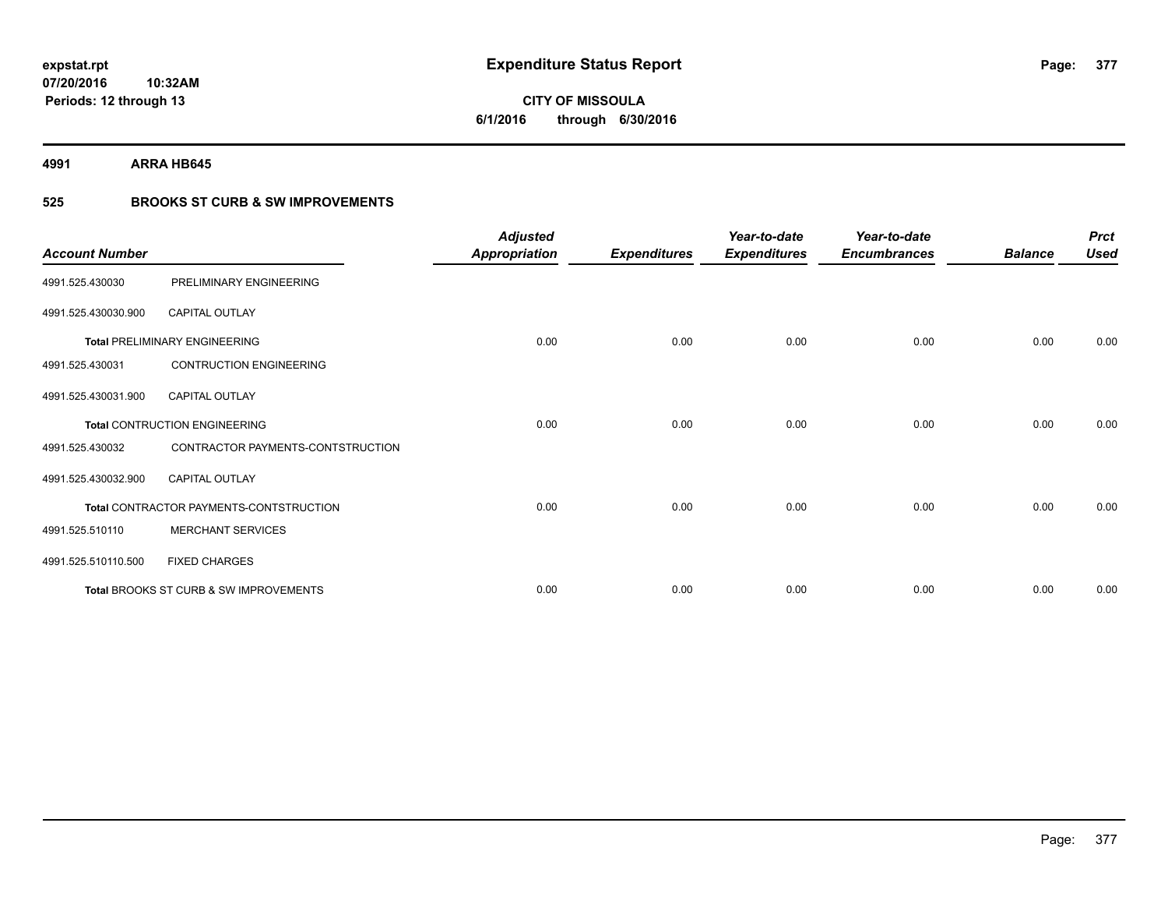**4991 ARRA HB645**

**Periods: 12 through 13**

**10:32AM**

## **525 BROOKS ST CURB & SW IMPROVEMENTS**

| <b>Account Number</b> |                                         | <b>Adjusted</b><br><b>Appropriation</b> | <b>Expenditures</b> | Year-to-date<br><b>Expenditures</b> | Year-to-date<br><b>Encumbrances</b> | <b>Balance</b> | <b>Prct</b><br><b>Used</b> |
|-----------------------|-----------------------------------------|-----------------------------------------|---------------------|-------------------------------------|-------------------------------------|----------------|----------------------------|
| 4991.525.430030       | PRELIMINARY ENGINEERING                 |                                         |                     |                                     |                                     |                |                            |
| 4991.525.430030.900   | <b>CAPITAL OUTLAY</b>                   |                                         |                     |                                     |                                     |                |                            |
|                       | <b>Total PRELIMINARY ENGINEERING</b>    | 0.00                                    | 0.00                | 0.00                                | 0.00                                | 0.00           | 0.00                       |
| 4991.525.430031       | <b>CONTRUCTION ENGINEERING</b>          |                                         |                     |                                     |                                     |                |                            |
| 4991.525.430031.900   | <b>CAPITAL OUTLAY</b>                   |                                         |                     |                                     |                                     |                |                            |
|                       | <b>Total CONTRUCTION ENGINEERING</b>    | 0.00                                    | 0.00                | 0.00                                | 0.00                                | 0.00           | 0.00                       |
| 4991.525.430032       | CONTRACTOR PAYMENTS-CONTSTRUCTION       |                                         |                     |                                     |                                     |                |                            |
| 4991.525.430032.900   | <b>CAPITAL OUTLAY</b>                   |                                         |                     |                                     |                                     |                |                            |
|                       | Total CONTRACTOR PAYMENTS-CONTSTRUCTION | 0.00                                    | 0.00                | 0.00                                | 0.00                                | 0.00           | 0.00                       |
| 4991.525.510110       | <b>MERCHANT SERVICES</b>                |                                         |                     |                                     |                                     |                |                            |
| 4991.525.510110.500   | <b>FIXED CHARGES</b>                    |                                         |                     |                                     |                                     |                |                            |
|                       | Total BROOKS ST CURB & SW IMPROVEMENTS  | 0.00                                    | 0.00                | 0.00                                | 0.00                                | 0.00           | 0.00                       |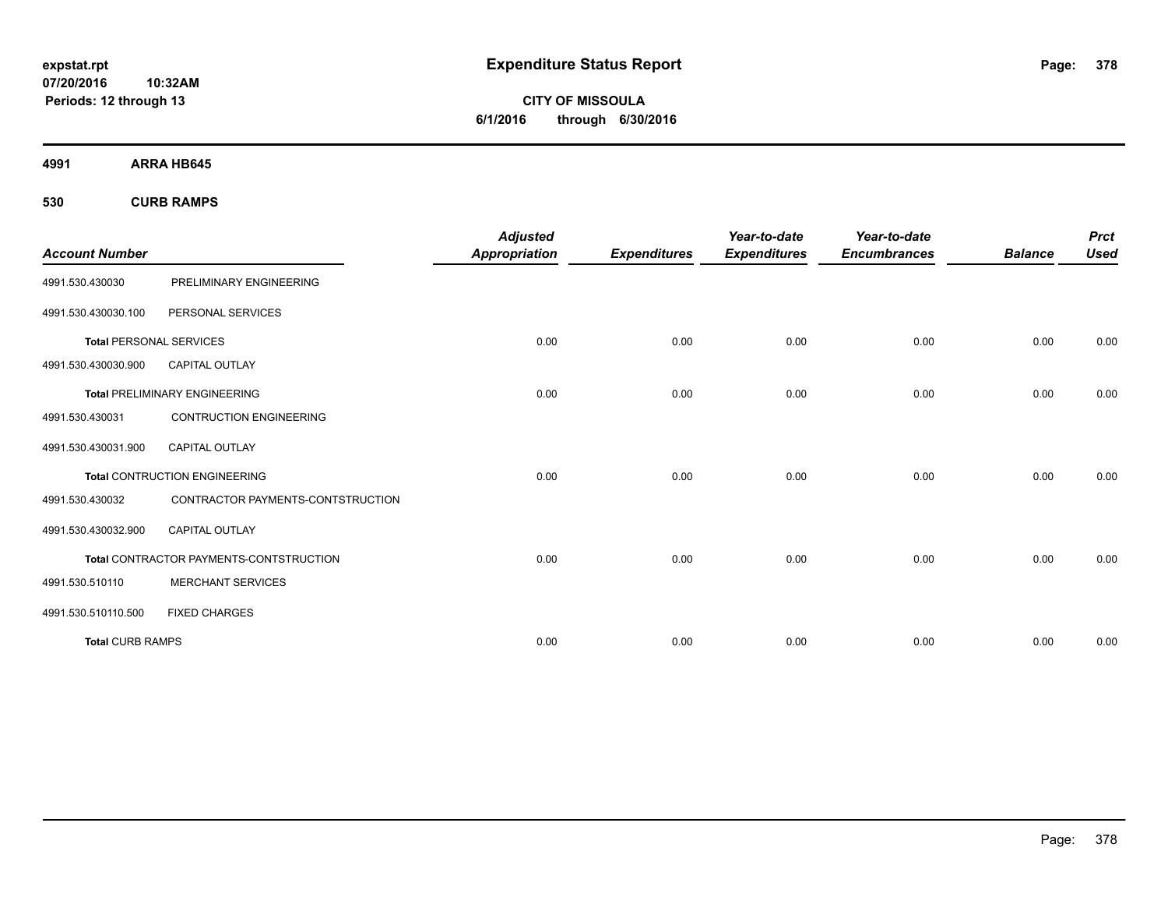**CITY OF MISSOULA 6/1/2016 through 6/30/2016**

**4991 ARRA HB645**

**530 CURB RAMPS**

|                                |                                         | <b>Adjusted</b>      |                     | Year-to-date        | Year-to-date        |                | <b>Prct</b> |
|--------------------------------|-----------------------------------------|----------------------|---------------------|---------------------|---------------------|----------------|-------------|
| <b>Account Number</b>          |                                         | <b>Appropriation</b> | <b>Expenditures</b> | <b>Expenditures</b> | <b>Encumbrances</b> | <b>Balance</b> | <b>Used</b> |
| 4991.530.430030                | PRELIMINARY ENGINEERING                 |                      |                     |                     |                     |                |             |
| 4991.530.430030.100            | PERSONAL SERVICES                       |                      |                     |                     |                     |                |             |
| <b>Total PERSONAL SERVICES</b> |                                         | 0.00                 | 0.00                | 0.00                | 0.00                | 0.00           | 0.00        |
| 4991.530.430030.900            | <b>CAPITAL OUTLAY</b>                   |                      |                     |                     |                     |                |             |
|                                | <b>Total PRELIMINARY ENGINEERING</b>    | 0.00                 | 0.00                | 0.00                | 0.00                | 0.00           | 0.00        |
| 4991.530.430031                | <b>CONTRUCTION ENGINEERING</b>          |                      |                     |                     |                     |                |             |
| 4991.530.430031.900            | <b>CAPITAL OUTLAY</b>                   |                      |                     |                     |                     |                |             |
|                                | <b>Total CONTRUCTION ENGINEERING</b>    | 0.00                 | 0.00                | 0.00                | 0.00                | 0.00           | 0.00        |
| 4991.530.430032                | CONTRACTOR PAYMENTS-CONTSTRUCTION       |                      |                     |                     |                     |                |             |
| 4991.530.430032.900            | <b>CAPITAL OUTLAY</b>                   |                      |                     |                     |                     |                |             |
|                                | Total CONTRACTOR PAYMENTS-CONTSTRUCTION | 0.00                 | 0.00                | 0.00                | 0.00                | 0.00           | 0.00        |
| 4991.530.510110                | <b>MERCHANT SERVICES</b>                |                      |                     |                     |                     |                |             |
| 4991.530.510110.500            | <b>FIXED CHARGES</b>                    |                      |                     |                     |                     |                |             |
| <b>Total CURB RAMPS</b>        |                                         | 0.00                 | 0.00                | 0.00                | 0.00                | 0.00           | 0.00        |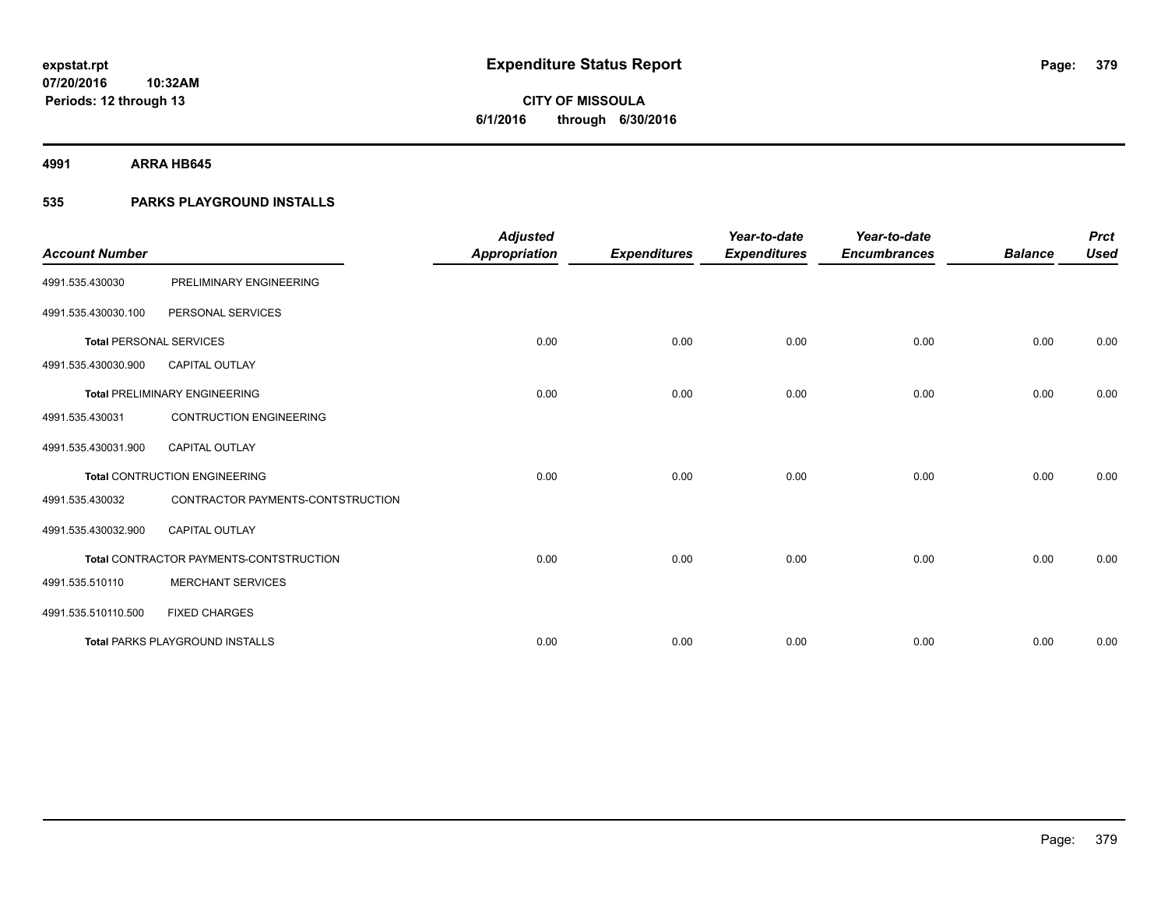**4991 ARRA HB645**

### **535 PARKS PLAYGROUND INSTALLS**

| <b>Account Number</b>          |                                         | <b>Adjusted</b><br>Appropriation | <b>Expenditures</b> | Year-to-date<br><b>Expenditures</b> | Year-to-date<br><b>Encumbrances</b> | <b>Balance</b> | <b>Prct</b><br><b>Used</b> |
|--------------------------------|-----------------------------------------|----------------------------------|---------------------|-------------------------------------|-------------------------------------|----------------|----------------------------|
| 4991.535.430030                | PRELIMINARY ENGINEERING                 |                                  |                     |                                     |                                     |                |                            |
| 4991.535.430030.100            | PERSONAL SERVICES                       |                                  |                     |                                     |                                     |                |                            |
| <b>Total PERSONAL SERVICES</b> |                                         | 0.00                             | 0.00                | 0.00                                | 0.00                                | 0.00           | 0.00                       |
| 4991.535.430030.900            | <b>CAPITAL OUTLAY</b>                   |                                  |                     |                                     |                                     |                |                            |
|                                | <b>Total PRELIMINARY ENGINEERING</b>    | 0.00                             | 0.00                | 0.00                                | 0.00                                | 0.00           | 0.00                       |
| 4991.535.430031                | <b>CONTRUCTION ENGINEERING</b>          |                                  |                     |                                     |                                     |                |                            |
| 4991.535.430031.900            | <b>CAPITAL OUTLAY</b>                   |                                  |                     |                                     |                                     |                |                            |
|                                | <b>Total CONTRUCTION ENGINEERING</b>    | 0.00                             | 0.00                | 0.00                                | 0.00                                | 0.00           | 0.00                       |
| 4991.535.430032                | CONTRACTOR PAYMENTS-CONTSTRUCTION       |                                  |                     |                                     |                                     |                |                            |
| 4991.535.430032.900            | <b>CAPITAL OUTLAY</b>                   |                                  |                     |                                     |                                     |                |                            |
|                                | Total CONTRACTOR PAYMENTS-CONTSTRUCTION | 0.00                             | 0.00                | 0.00                                | 0.00                                | 0.00           | 0.00                       |
| 4991.535.510110                | <b>MERCHANT SERVICES</b>                |                                  |                     |                                     |                                     |                |                            |
| 4991.535.510110.500            | <b>FIXED CHARGES</b>                    |                                  |                     |                                     |                                     |                |                            |
|                                | <b>Total PARKS PLAYGROUND INSTALLS</b>  | 0.00                             | 0.00                | 0.00                                | 0.00                                | 0.00           | 0.00                       |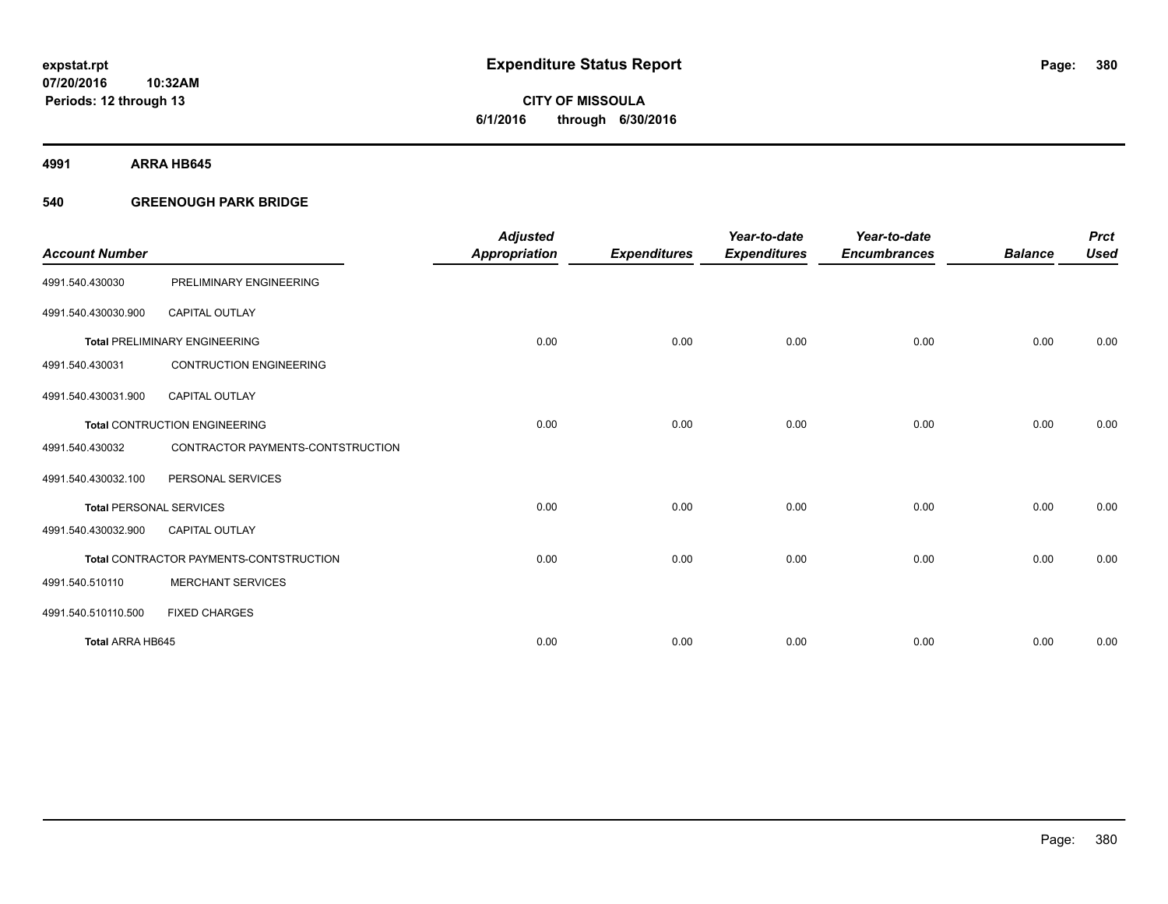**4991 ARRA HB645**

### **540 GREENOUGH PARK BRIDGE**

|                                |                                         | <b>Adjusted</b>      |                     | Year-to-date        | Year-to-date        |                | <b>Prct</b> |
|--------------------------------|-----------------------------------------|----------------------|---------------------|---------------------|---------------------|----------------|-------------|
| <b>Account Number</b>          |                                         | <b>Appropriation</b> | <b>Expenditures</b> | <b>Expenditures</b> | <b>Encumbrances</b> | <b>Balance</b> | <b>Used</b> |
| 4991.540.430030                | PRELIMINARY ENGINEERING                 |                      |                     |                     |                     |                |             |
| 4991.540.430030.900            | <b>CAPITAL OUTLAY</b>                   |                      |                     |                     |                     |                |             |
|                                | <b>Total PRELIMINARY ENGINEERING</b>    | 0.00                 | 0.00                | 0.00                | 0.00                | 0.00           | 0.00        |
| 4991.540.430031                | <b>CONTRUCTION ENGINEERING</b>          |                      |                     |                     |                     |                |             |
| 4991.540.430031.900            | <b>CAPITAL OUTLAY</b>                   |                      |                     |                     |                     |                |             |
|                                | <b>Total CONTRUCTION ENGINEERING</b>    | 0.00                 | 0.00                | 0.00                | 0.00                | 0.00           | 0.00        |
| 4991.540.430032                | CONTRACTOR PAYMENTS-CONTSTRUCTION       |                      |                     |                     |                     |                |             |
| 4991.540.430032.100            | PERSONAL SERVICES                       |                      |                     |                     |                     |                |             |
| <b>Total PERSONAL SERVICES</b> |                                         | 0.00                 | 0.00                | 0.00                | 0.00                | 0.00           | 0.00        |
| 4991.540.430032.900            | <b>CAPITAL OUTLAY</b>                   |                      |                     |                     |                     |                |             |
|                                | Total CONTRACTOR PAYMENTS-CONTSTRUCTION | 0.00                 | 0.00                | 0.00                | 0.00                | 0.00           | 0.00        |
| 4991.540.510110                | <b>MERCHANT SERVICES</b>                |                      |                     |                     |                     |                |             |
| 4991.540.510110.500            | <b>FIXED CHARGES</b>                    |                      |                     |                     |                     |                |             |
| <b>Total ARRA HB645</b>        |                                         | 0.00                 | 0.00                | 0.00                | 0.00                | 0.00           | 0.00        |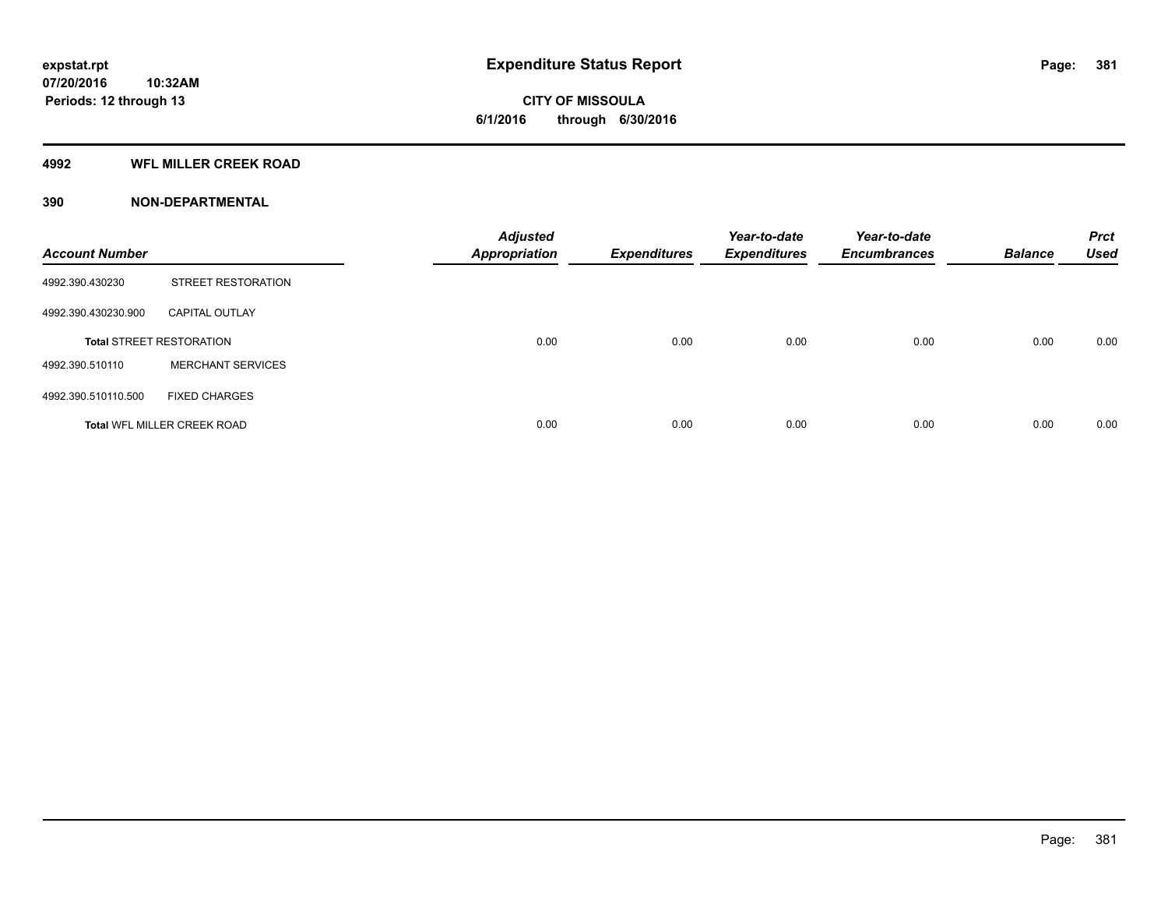### **4992 WFL MILLER CREEK ROAD**

| <b>Account Number</b> |                                    | <b>Adjusted</b><br><b>Appropriation</b> | <b>Expenditures</b> | Year-to-date<br><b>Expenditures</b> | Year-to-date<br><b>Encumbrances</b> | <b>Balance</b> | <b>Prct</b><br><b>Used</b> |
|-----------------------|------------------------------------|-----------------------------------------|---------------------|-------------------------------------|-------------------------------------|----------------|----------------------------|
| 4992.390.430230       | <b>STREET RESTORATION</b>          |                                         |                     |                                     |                                     |                |                            |
| 4992.390.430230.900   | <b>CAPITAL OUTLAY</b>              |                                         |                     |                                     |                                     |                |                            |
|                       | <b>Total STREET RESTORATION</b>    | 0.00                                    | 0.00                | 0.00                                | 0.00                                | 0.00           | 0.00                       |
| 4992.390.510110       | <b>MERCHANT SERVICES</b>           |                                         |                     |                                     |                                     |                |                            |
| 4992.390.510110.500   | <b>FIXED CHARGES</b>               |                                         |                     |                                     |                                     |                |                            |
|                       | <b>Total WFL MILLER CREEK ROAD</b> | 0.00                                    | 0.00                | 0.00                                | 0.00                                | 0.00           | 0.00                       |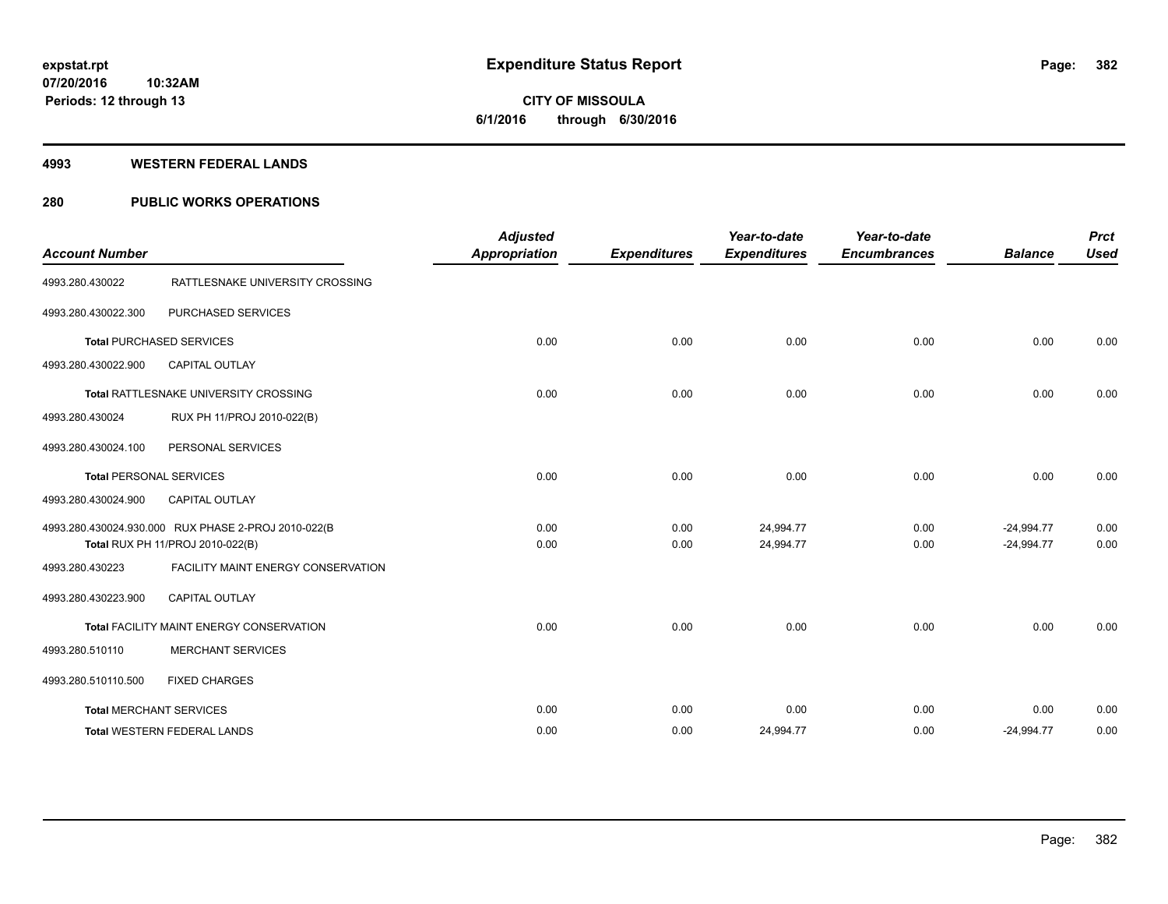**Periods: 12 through 13**

**CITY OF MISSOULA 6/1/2016 through 6/30/2016**

#### **4993 WESTERN FEDERAL LANDS**

**10:32AM**

### **280 PUBLIC WORKS OPERATIONS**

| <b>Account Number</b>          |                                                                                         | <b>Adjusted</b><br><b>Appropriation</b> | <b>Expenditures</b> | Year-to-date<br><b>Expenditures</b> | Year-to-date<br><b>Encumbrances</b> | <b>Balance</b>               | <b>Prct</b><br><b>Used</b> |
|--------------------------------|-----------------------------------------------------------------------------------------|-----------------------------------------|---------------------|-------------------------------------|-------------------------------------|------------------------------|----------------------------|
| 4993.280.430022                | RATTLESNAKE UNIVERSITY CROSSING                                                         |                                         |                     |                                     |                                     |                              |                            |
| 4993.280.430022.300            | PURCHASED SERVICES                                                                      |                                         |                     |                                     |                                     |                              |                            |
|                                | <b>Total PURCHASED SERVICES</b>                                                         | 0.00                                    | 0.00                | 0.00                                | 0.00                                | 0.00                         | 0.00                       |
| 4993.280.430022.900            | <b>CAPITAL OUTLAY</b>                                                                   |                                         |                     |                                     |                                     |                              |                            |
|                                | Total RATTLESNAKE UNIVERSITY CROSSING                                                   | 0.00                                    | 0.00                | 0.00                                | 0.00                                | 0.00                         | 0.00                       |
| 4993.280.430024                | RUX PH 11/PROJ 2010-022(B)                                                              |                                         |                     |                                     |                                     |                              |                            |
| 4993.280.430024.100            | PERSONAL SERVICES                                                                       |                                         |                     |                                     |                                     |                              |                            |
| <b>Total PERSONAL SERVICES</b> |                                                                                         | 0.00                                    | 0.00                | 0.00                                | 0.00                                | 0.00                         | 0.00                       |
| 4993.280.430024.900            | <b>CAPITAL OUTLAY</b>                                                                   |                                         |                     |                                     |                                     |                              |                            |
|                                | 4993.280.430024.930.000 RUX PHASE 2-PROJ 2010-022(B<br>Total RUX PH 11/PROJ 2010-022(B) | 0.00<br>0.00                            | 0.00<br>0.00        | 24,994.77<br>24,994.77              | 0.00<br>0.00                        | $-24,994.77$<br>$-24,994.77$ | 0.00<br>0.00               |
| 4993.280.430223                | FACILITY MAINT ENERGY CONSERVATION                                                      |                                         |                     |                                     |                                     |                              |                            |
| 4993.280.430223.900            | <b>CAPITAL OUTLAY</b>                                                                   |                                         |                     |                                     |                                     |                              |                            |
|                                | <b>Total FACILITY MAINT ENERGY CONSERVATION</b>                                         | 0.00                                    | 0.00                | 0.00                                | 0.00                                | 0.00                         | 0.00                       |
| 4993.280.510110                | <b>MERCHANT SERVICES</b>                                                                |                                         |                     |                                     |                                     |                              |                            |
| 4993.280.510110.500            | <b>FIXED CHARGES</b>                                                                    |                                         |                     |                                     |                                     |                              |                            |
|                                | <b>Total MERCHANT SERVICES</b>                                                          | 0.00                                    | 0.00                | 0.00                                | 0.00                                | 0.00                         | 0.00                       |
|                                | <b>Total WESTERN FEDERAL LANDS</b>                                                      | 0.00                                    | 0.00                | 24,994.77                           | 0.00                                | $-24,994.77$                 | 0.00                       |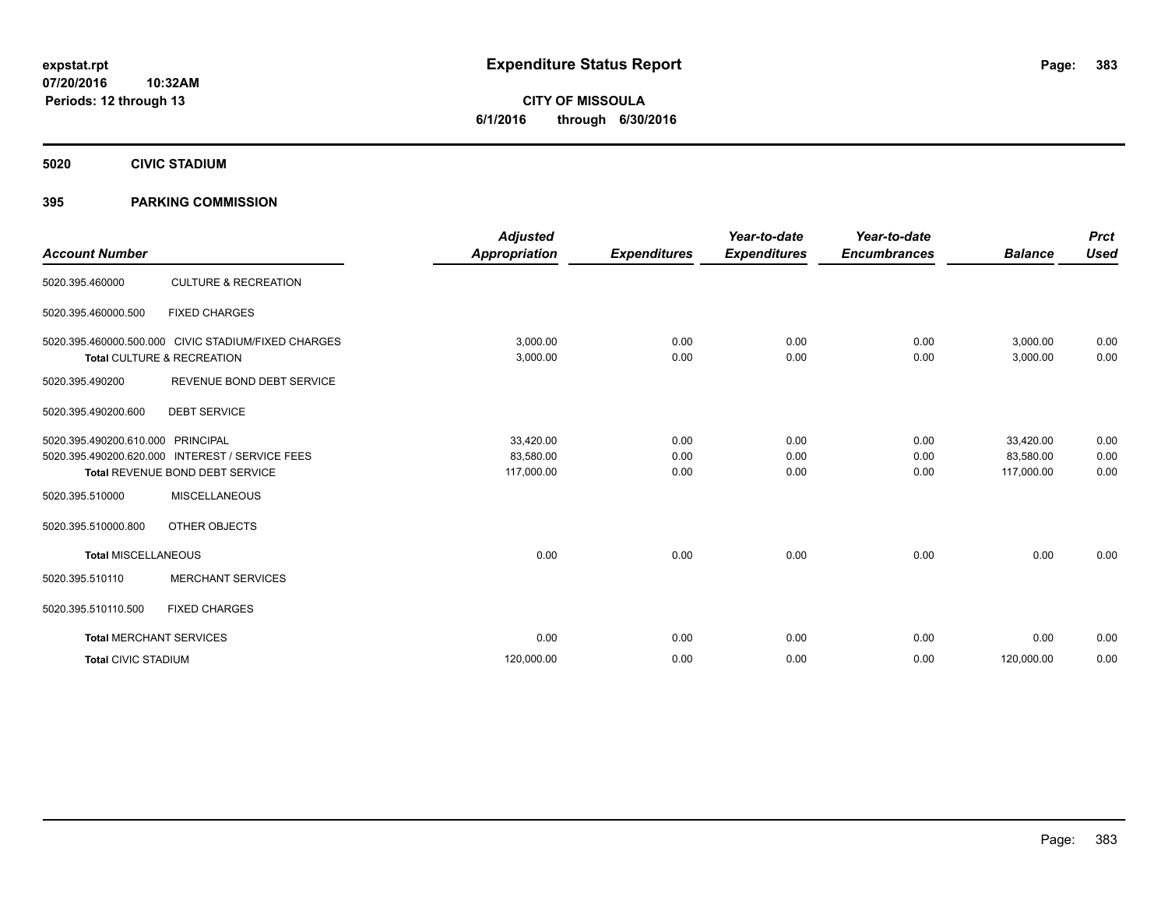**5020 CIVIC STADIUM**

### **395 PARKING COMMISSION**

| <b>Account Number</b>          |                                                                                                        | <b>Adjusted</b><br><b>Appropriation</b> | <b>Expenditures</b>  | Year-to-date<br><b>Expenditures</b> | Year-to-date<br><b>Encumbrances</b> | <b>Balance</b>                       | <b>Prct</b><br><b>Used</b> |
|--------------------------------|--------------------------------------------------------------------------------------------------------|-----------------------------------------|----------------------|-------------------------------------|-------------------------------------|--------------------------------------|----------------------------|
| 5020.395.460000                | <b>CULTURE &amp; RECREATION</b>                                                                        |                                         |                      |                                     |                                     |                                      |                            |
| 5020.395.460000.500            | <b>FIXED CHARGES</b>                                                                                   |                                         |                      |                                     |                                     |                                      |                            |
|                                | 5020.395.460000.500.000 CIVIC STADIUM/FIXED CHARGES<br>Total CULTURE & RECREATION                      | 3,000.00<br>3,000.00                    | 0.00<br>0.00         | 0.00<br>0.00                        | 0.00<br>0.00                        | 3,000.00<br>3,000.00                 | 0.00<br>0.00               |
| 5020.395.490200                | REVENUE BOND DEBT SERVICE                                                                              |                                         |                      |                                     |                                     |                                      |                            |
| 5020.395.490200.600            | <b>DEBT SERVICE</b>                                                                                    |                                         |                      |                                     |                                     |                                      |                            |
| 5020.395.490200.610.000        | <b>PRINCIPAL</b><br>5020.395.490200.620.000 INTEREST / SERVICE FEES<br>Total REVENUE BOND DEBT SERVICE | 33,420.00<br>83,580.00<br>117,000.00    | 0.00<br>0.00<br>0.00 | 0.00<br>0.00<br>0.00                | 0.00<br>0.00<br>0.00                | 33,420.00<br>83,580.00<br>117,000.00 | 0.00<br>0.00<br>0.00       |
| 5020.395.510000                | <b>MISCELLANEOUS</b>                                                                                   |                                         |                      |                                     |                                     |                                      |                            |
| 5020.395.510000.800            | OTHER OBJECTS                                                                                          |                                         |                      |                                     |                                     |                                      |                            |
| <b>Total MISCELLANEOUS</b>     |                                                                                                        | 0.00                                    | 0.00                 | 0.00                                | 0.00                                | 0.00                                 | 0.00                       |
| 5020.395.510110                | <b>MERCHANT SERVICES</b>                                                                               |                                         |                      |                                     |                                     |                                      |                            |
| 5020.395.510110.500            | <b>FIXED CHARGES</b>                                                                                   |                                         |                      |                                     |                                     |                                      |                            |
| <b>Total MERCHANT SERVICES</b> |                                                                                                        | 0.00                                    | 0.00                 | 0.00                                | 0.00                                | 0.00                                 | 0.00                       |
| <b>Total CIVIC STADIUM</b>     |                                                                                                        | 120,000.00                              | 0.00                 | 0.00                                | 0.00                                | 120,000.00                           | 0.00                       |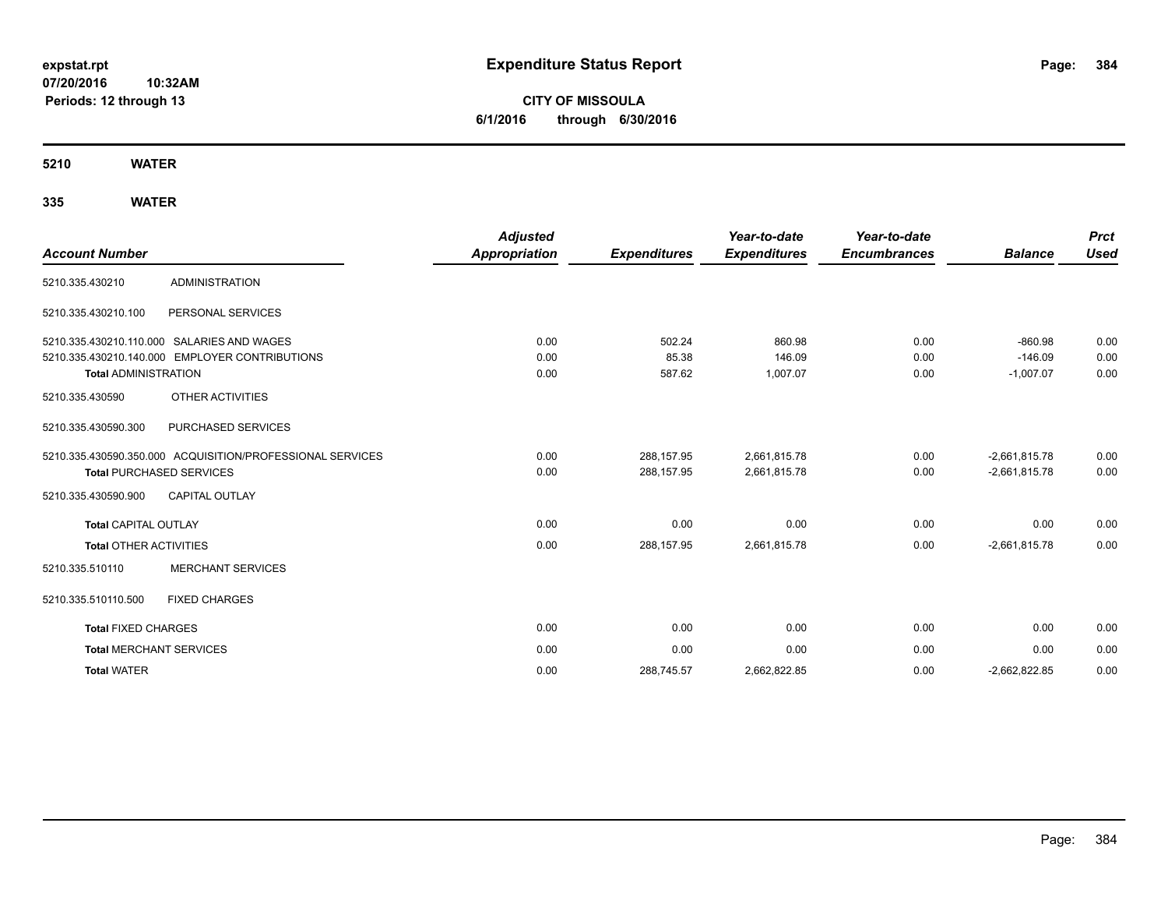**CITY OF MISSOULA 6/1/2016 through 6/30/2016**

**5210 WATER**

| <b>Account Number</b>         |                                                           | <b>Adjusted</b><br><b>Appropriation</b> | <b>Expenditures</b> | Year-to-date<br><b>Expenditures</b> | Year-to-date<br><b>Encumbrances</b> | <b>Balance</b>  | <b>Prct</b><br><b>Used</b> |
|-------------------------------|-----------------------------------------------------------|-----------------------------------------|---------------------|-------------------------------------|-------------------------------------|-----------------|----------------------------|
| 5210.335.430210               | <b>ADMINISTRATION</b>                                     |                                         |                     |                                     |                                     |                 |                            |
| 5210.335.430210.100           | PERSONAL SERVICES                                         |                                         |                     |                                     |                                     |                 |                            |
|                               | 5210.335.430210.110.000 SALARIES AND WAGES                | 0.00                                    | 502.24              | 860.98                              | 0.00                                | $-860.98$       | 0.00                       |
|                               | 5210.335.430210.140.000 EMPLOYER CONTRIBUTIONS            | 0.00                                    | 85.38               | 146.09                              | 0.00                                | $-146.09$       | 0.00                       |
| <b>Total ADMINISTRATION</b>   |                                                           | 0.00                                    | 587.62              | 1,007.07                            | 0.00                                | $-1,007.07$     | 0.00                       |
| 5210.335.430590               | OTHER ACTIVITIES                                          |                                         |                     |                                     |                                     |                 |                            |
| 5210.335.430590.300           | PURCHASED SERVICES                                        |                                         |                     |                                     |                                     |                 |                            |
|                               | 5210.335.430590.350.000 ACQUISITION/PROFESSIONAL SERVICES | 0.00                                    | 288,157.95          | 2,661,815.78                        | 0.00                                | $-2,661,815.78$ | 0.00                       |
|                               | <b>Total PURCHASED SERVICES</b>                           | 0.00                                    | 288,157.95          | 2,661,815.78                        | 0.00                                | $-2,661,815.78$ | 0.00                       |
| 5210.335.430590.900           | <b>CAPITAL OUTLAY</b>                                     |                                         |                     |                                     |                                     |                 |                            |
| <b>Total CAPITAL OUTLAY</b>   |                                                           | 0.00                                    | 0.00                | 0.00                                | 0.00                                | 0.00            | 0.00                       |
| <b>Total OTHER ACTIVITIES</b> |                                                           | 0.00                                    | 288,157.95          | 2,661,815.78                        | 0.00                                | $-2,661,815.78$ | 0.00                       |
| 5210.335.510110               | <b>MERCHANT SERVICES</b>                                  |                                         |                     |                                     |                                     |                 |                            |
| 5210.335.510110.500           | <b>FIXED CHARGES</b>                                      |                                         |                     |                                     |                                     |                 |                            |
| <b>Total FIXED CHARGES</b>    |                                                           | 0.00                                    | 0.00                | 0.00                                | 0.00                                | 0.00            | 0.00                       |
|                               | <b>Total MERCHANT SERVICES</b>                            | 0.00                                    | 0.00                | 0.00                                | 0.00                                | 0.00            | 0.00                       |
| <b>Total WATER</b>            |                                                           | 0.00                                    | 288,745.57          | 2,662,822.85                        | 0.00                                | $-2,662,822.85$ | 0.00                       |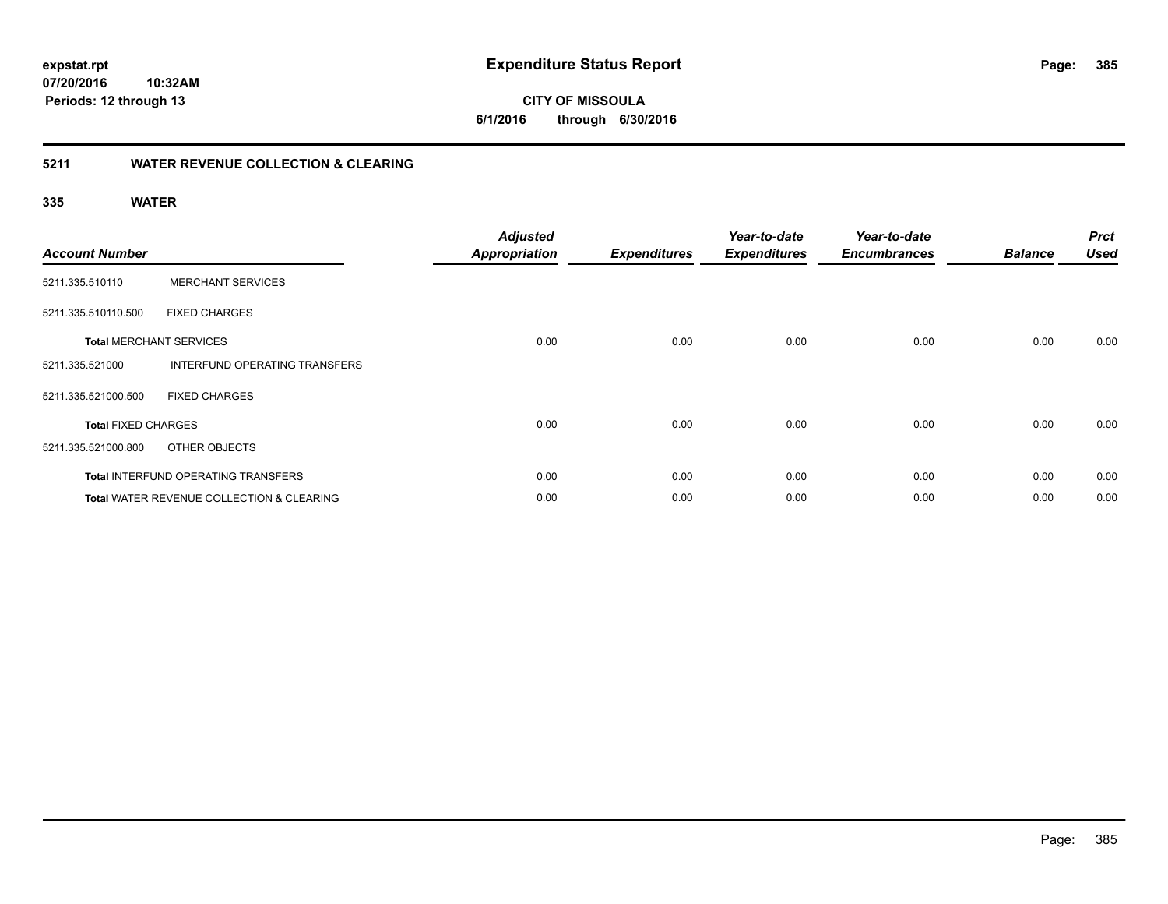**385**

**07/20/2016 10:32AM Periods: 12 through 13**

**CITY OF MISSOULA 6/1/2016 through 6/30/2016**

### **5211 WATER REVENUE COLLECTION & CLEARING**

| <b>Account Number</b>      |                                                      | <b>Adjusted</b><br><b>Appropriation</b> | <b>Expenditures</b> | Year-to-date<br><b>Expenditures</b> | Year-to-date<br><b>Encumbrances</b> | <b>Balance</b> | <b>Prct</b><br><b>Used</b> |
|----------------------------|------------------------------------------------------|-----------------------------------------|---------------------|-------------------------------------|-------------------------------------|----------------|----------------------------|
| 5211.335.510110            | <b>MERCHANT SERVICES</b>                             |                                         |                     |                                     |                                     |                |                            |
| 5211.335.510110.500        | <b>FIXED CHARGES</b>                                 |                                         |                     |                                     |                                     |                |                            |
|                            | <b>Total MERCHANT SERVICES</b>                       | 0.00                                    | 0.00                | 0.00                                | 0.00                                | 0.00           | 0.00                       |
| 5211.335.521000            | INTERFUND OPERATING TRANSFERS                        |                                         |                     |                                     |                                     |                |                            |
| 5211.335.521000.500        | <b>FIXED CHARGES</b>                                 |                                         |                     |                                     |                                     |                |                            |
| <b>Total FIXED CHARGES</b> |                                                      | 0.00                                    | 0.00                | 0.00                                | 0.00                                | 0.00           | 0.00                       |
| 5211.335.521000.800        | OTHER OBJECTS                                        |                                         |                     |                                     |                                     |                |                            |
|                            | <b>Total INTERFUND OPERATING TRANSFERS</b>           | 0.00                                    | 0.00                | 0.00                                | 0.00                                | 0.00           | 0.00                       |
|                            | <b>Total WATER REVENUE COLLECTION &amp; CLEARING</b> | 0.00                                    | 0.00                | 0.00                                | 0.00                                | 0.00           | 0.00                       |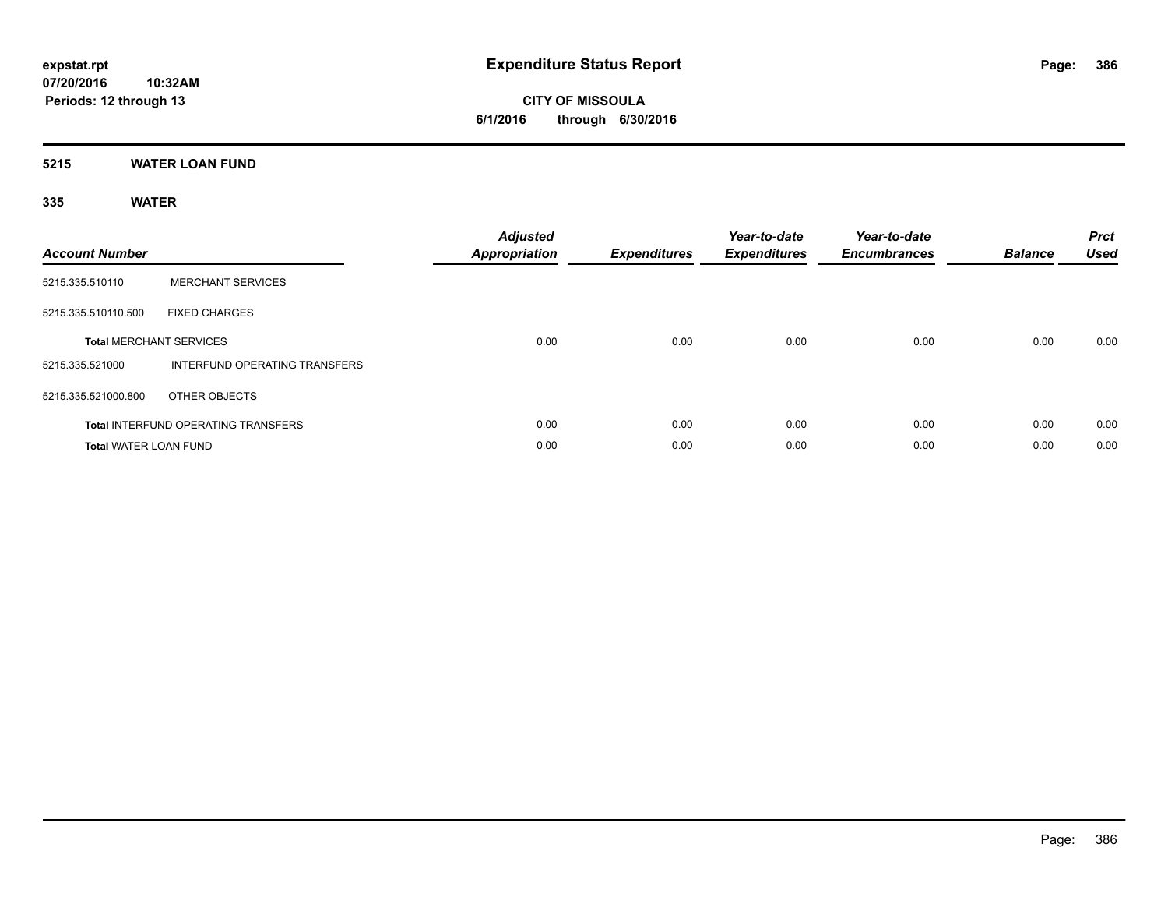**CITY OF MISSOULA 6/1/2016 through 6/30/2016**

### **5215 WATER LOAN FUND**

| <b>Account Number</b>        |                                            | <b>Adjusted</b><br><b>Appropriation</b> | <b>Expenditures</b> | Year-to-date<br><b>Expenditures</b> | Year-to-date<br><b>Encumbrances</b> | <b>Balance</b> | <b>Prct</b><br><b>Used</b> |
|------------------------------|--------------------------------------------|-----------------------------------------|---------------------|-------------------------------------|-------------------------------------|----------------|----------------------------|
| 5215.335.510110              | <b>MERCHANT SERVICES</b>                   |                                         |                     |                                     |                                     |                |                            |
| 5215.335.510110.500          | <b>FIXED CHARGES</b>                       |                                         |                     |                                     |                                     |                |                            |
|                              | <b>Total MERCHANT SERVICES</b>             | 0.00                                    | 0.00                | 0.00                                | 0.00                                | 0.00           | 0.00                       |
| 5215.335.521000              | INTERFUND OPERATING TRANSFERS              |                                         |                     |                                     |                                     |                |                            |
| 5215.335.521000.800          | OTHER OBJECTS                              |                                         |                     |                                     |                                     |                |                            |
|                              | <b>Total INTERFUND OPERATING TRANSFERS</b> | 0.00                                    | 0.00                | 0.00                                | 0.00                                | 0.00           | 0.00                       |
| <b>Total WATER LOAN FUND</b> |                                            | 0.00                                    | 0.00                | 0.00                                | 0.00                                | 0.00           | 0.00                       |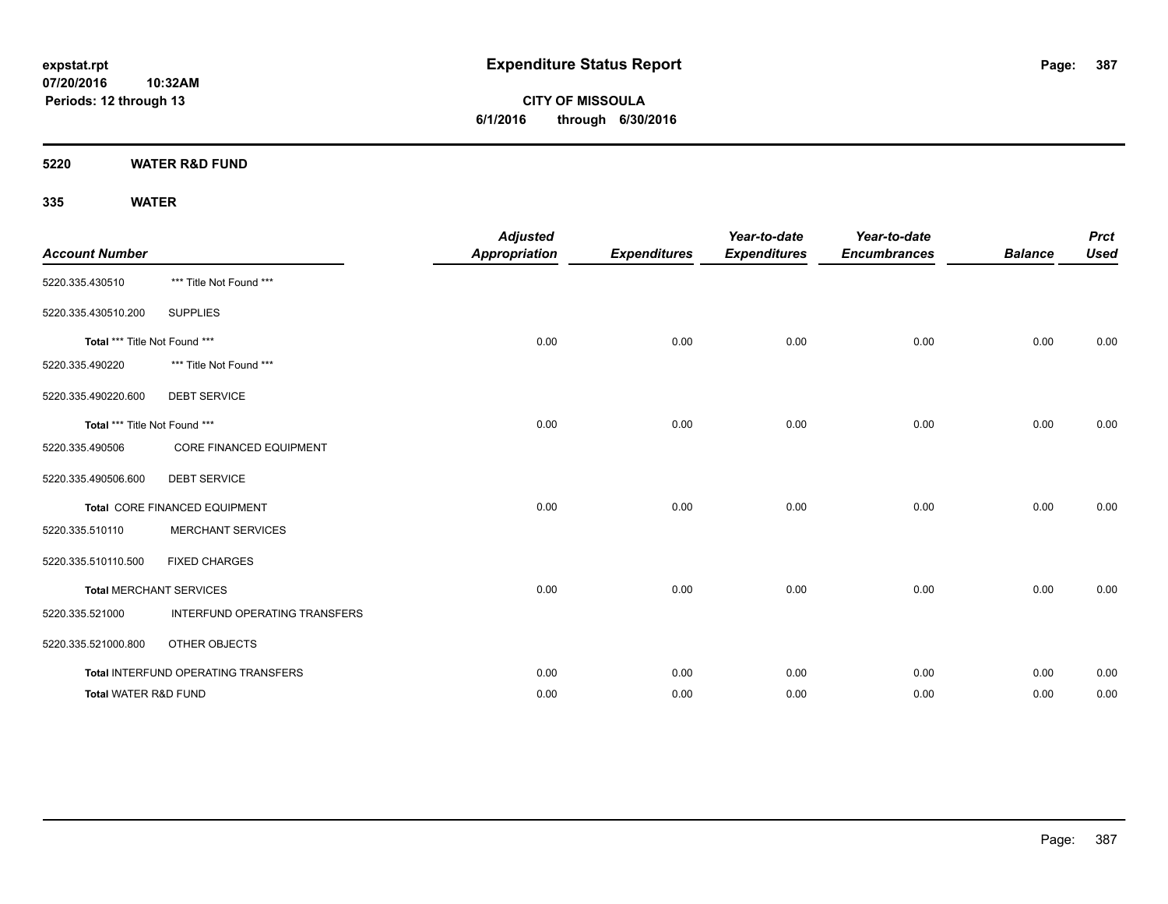**CITY OF MISSOULA 6/1/2016 through 6/30/2016**

**5220 WATER R&D FUND**

| <b>Account Number</b>           |                                     | <b>Adjusted</b><br><b>Appropriation</b> | <b>Expenditures</b> | Year-to-date<br><b>Expenditures</b> | Year-to-date<br><b>Encumbrances</b> | <b>Balance</b> | <b>Prct</b><br><b>Used</b> |
|---------------------------------|-------------------------------------|-----------------------------------------|---------------------|-------------------------------------|-------------------------------------|----------------|----------------------------|
| 5220.335.430510                 | *** Title Not Found ***             |                                         |                     |                                     |                                     |                |                            |
| 5220.335.430510.200             | <b>SUPPLIES</b>                     |                                         |                     |                                     |                                     |                |                            |
| Total *** Title Not Found ***   |                                     | 0.00                                    | 0.00                | 0.00                                | 0.00                                | 0.00           | 0.00                       |
| 5220.335.490220                 | *** Title Not Found ***             |                                         |                     |                                     |                                     |                |                            |
| 5220.335.490220.600             | <b>DEBT SERVICE</b>                 |                                         |                     |                                     |                                     |                |                            |
| Total *** Title Not Found ***   |                                     | 0.00                                    | 0.00                | 0.00                                | 0.00                                | 0.00           | 0.00                       |
| 5220.335.490506                 | <b>CORE FINANCED EQUIPMENT</b>      |                                         |                     |                                     |                                     |                |                            |
| 5220.335.490506.600             | <b>DEBT SERVICE</b>                 |                                         |                     |                                     |                                     |                |                            |
|                                 | Total CORE FINANCED EQUIPMENT       | 0.00                                    | 0.00                | 0.00                                | 0.00                                | 0.00           | 0.00                       |
| 5220.335.510110                 | <b>MERCHANT SERVICES</b>            |                                         |                     |                                     |                                     |                |                            |
| 5220.335.510110.500             | <b>FIXED CHARGES</b>                |                                         |                     |                                     |                                     |                |                            |
|                                 | <b>Total MERCHANT SERVICES</b>      | 0.00                                    | 0.00                | 0.00                                | 0.00                                | 0.00           | 0.00                       |
| 5220.335.521000                 | INTERFUND OPERATING TRANSFERS       |                                         |                     |                                     |                                     |                |                            |
| 5220.335.521000.800             | OTHER OBJECTS                       |                                         |                     |                                     |                                     |                |                            |
|                                 | Total INTERFUND OPERATING TRANSFERS | 0.00                                    | 0.00                | 0.00                                | 0.00                                | 0.00           | 0.00                       |
| <b>Total WATER R&amp;D FUND</b> |                                     | 0.00                                    | 0.00                | 0.00                                | 0.00                                | 0.00           | 0.00                       |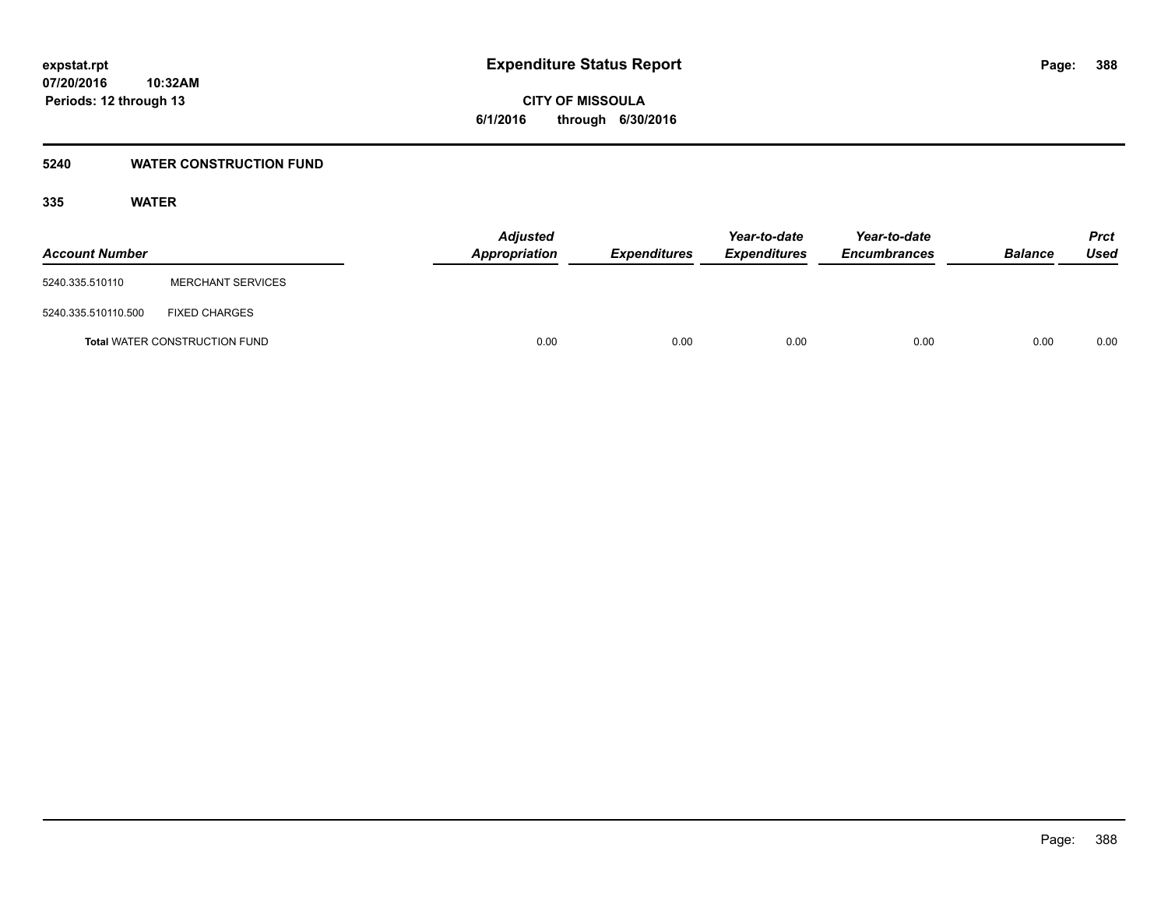**CITY OF MISSOULA 6/1/2016 through 6/30/2016**

### **5240 WATER CONSTRUCTION FUND**

| <b>Account Number</b> |                                      | <b>Adjusted</b><br>Appropriation | <b>Expenditures</b> | Year-to-date<br><b>Expenditures</b> | Year-to-date<br><b>Encumbrances</b> | <b>Balance</b> | <b>Prct</b><br>Used |
|-----------------------|--------------------------------------|----------------------------------|---------------------|-------------------------------------|-------------------------------------|----------------|---------------------|
| 5240.335.510110       | <b>MERCHANT SERVICES</b>             |                                  |                     |                                     |                                     |                |                     |
| 5240.335.510110.500   | <b>FIXED CHARGES</b>                 |                                  |                     |                                     |                                     |                |                     |
|                       | <b>Total WATER CONSTRUCTION FUND</b> | 0.00                             | 0.00                | 0.00                                | 0.00                                | 0.00           | 0.00                |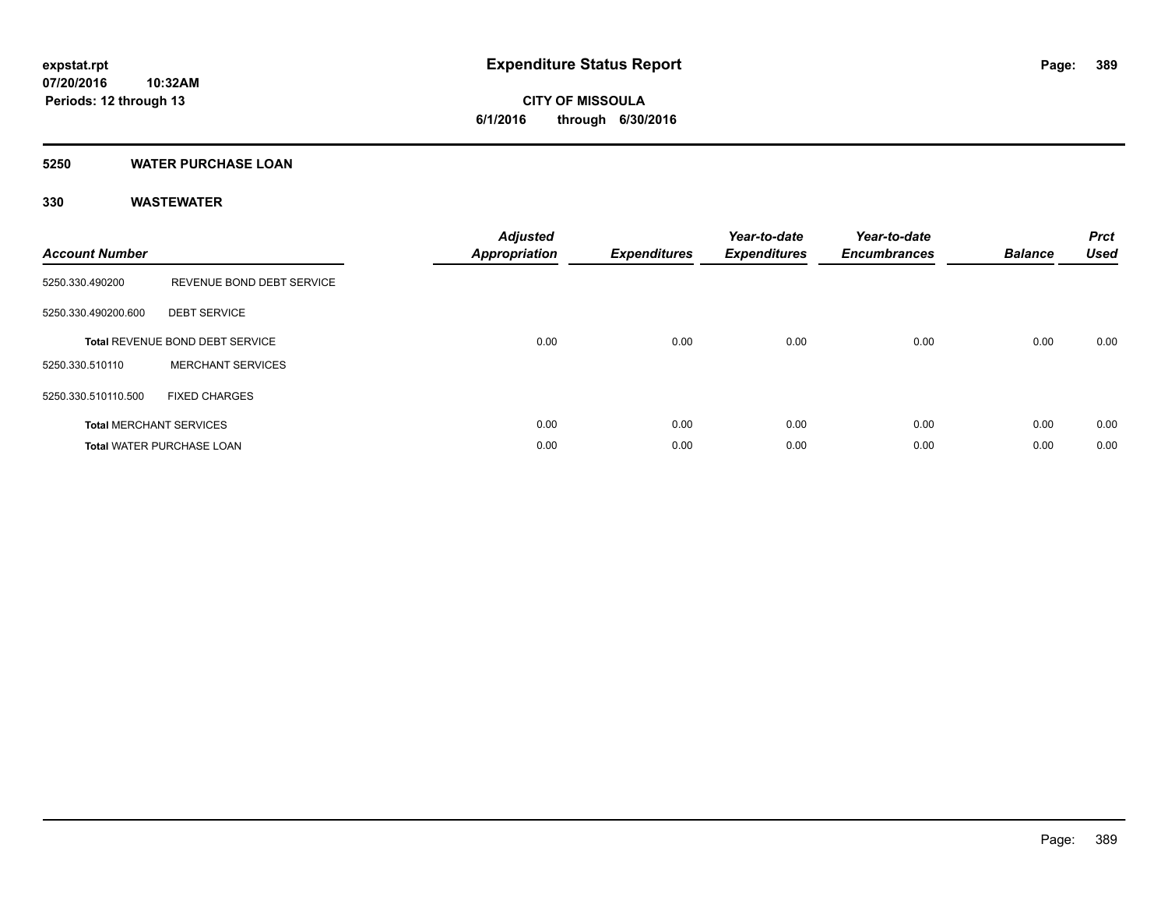# **CITY OF MISSOULA 6/1/2016 through 6/30/2016**

### **5250 WATER PURCHASE LOAN**

| <b>Account Number</b> |                                        | <b>Adjusted</b><br>Appropriation | <b>Expenditures</b> | Year-to-date<br><b>Expenditures</b> | Year-to-date<br><b>Encumbrances</b> | <b>Balance</b> | <b>Prct</b><br><b>Used</b> |
|-----------------------|----------------------------------------|----------------------------------|---------------------|-------------------------------------|-------------------------------------|----------------|----------------------------|
| 5250.330.490200       | REVENUE BOND DEBT SERVICE              |                                  |                     |                                     |                                     |                |                            |
| 5250.330.490200.600   | <b>DEBT SERVICE</b>                    |                                  |                     |                                     |                                     |                |                            |
|                       | <b>Total REVENUE BOND DEBT SERVICE</b> | 0.00                             | 0.00                | 0.00                                | 0.00                                | 0.00           | 0.00                       |
| 5250.330.510110       | <b>MERCHANT SERVICES</b>               |                                  |                     |                                     |                                     |                |                            |
| 5250.330.510110.500   | <b>FIXED CHARGES</b>                   |                                  |                     |                                     |                                     |                |                            |
|                       | <b>Total MERCHANT SERVICES</b>         | 0.00                             | 0.00                | 0.00                                | 0.00                                | 0.00           | 0.00                       |
|                       | <b>Total WATER PURCHASE LOAN</b>       | 0.00                             | 0.00                | 0.00                                | 0.00                                | 0.00           | 0.00                       |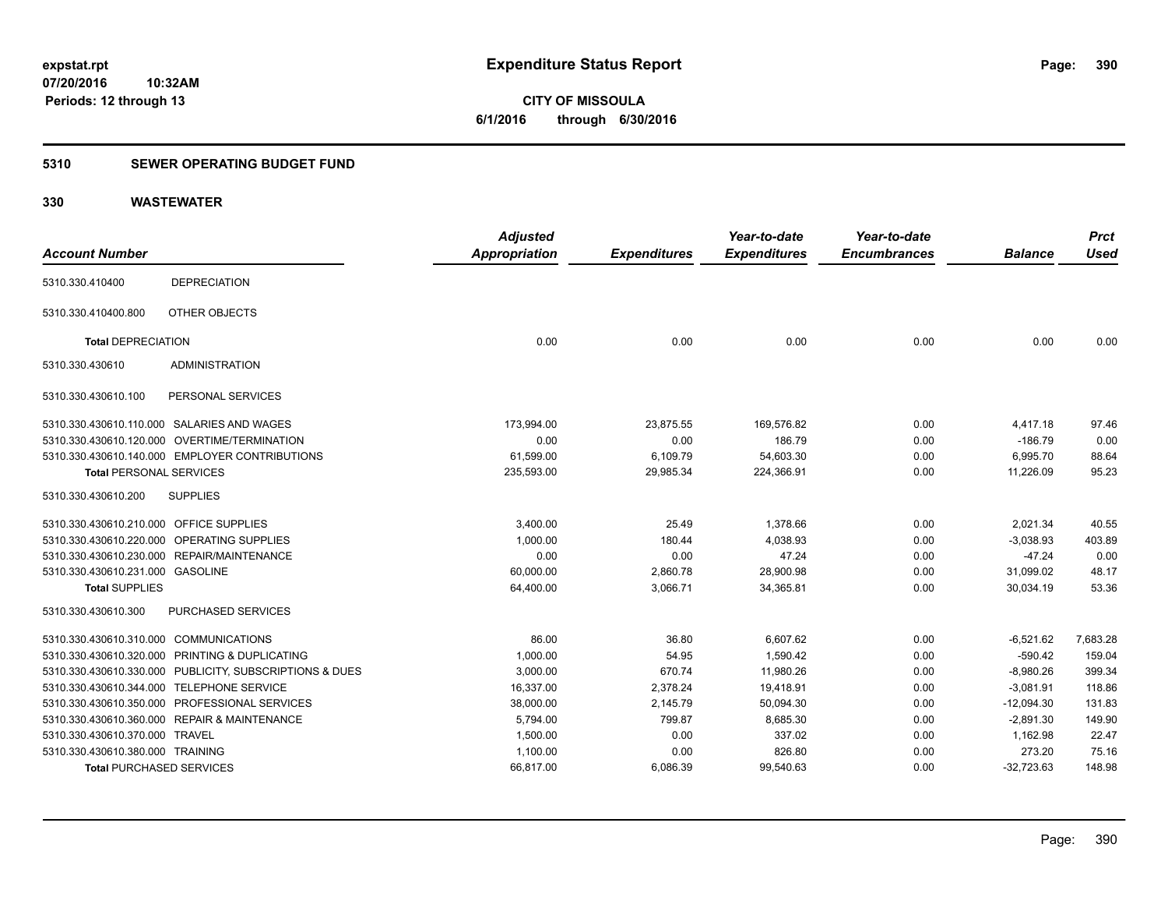**CITY OF MISSOULA 6/1/2016 through 6/30/2016**

### **5310 SEWER OPERATING BUDGET FUND**

| <b>Account Number</b>                   |                                                         | <b>Adjusted</b><br><b>Appropriation</b> | <b>Expenditures</b> | Year-to-date<br><b>Expenditures</b> | Year-to-date<br><b>Encumbrances</b> | <b>Balance</b> | <b>Prct</b><br><b>Used</b> |
|-----------------------------------------|---------------------------------------------------------|-----------------------------------------|---------------------|-------------------------------------|-------------------------------------|----------------|----------------------------|
|                                         |                                                         |                                         |                     |                                     |                                     |                |                            |
| 5310.330.410400                         | <b>DEPRECIATION</b>                                     |                                         |                     |                                     |                                     |                |                            |
| 5310.330.410400.800                     | OTHER OBJECTS                                           |                                         |                     |                                     |                                     |                |                            |
| <b>Total DEPRECIATION</b>               |                                                         | 0.00                                    | 0.00                | 0.00                                | 0.00                                | 0.00           | 0.00                       |
| 5310.330.430610                         | <b>ADMINISTRATION</b>                                   |                                         |                     |                                     |                                     |                |                            |
| 5310.330.430610.100                     | PERSONAL SERVICES                                       |                                         |                     |                                     |                                     |                |                            |
|                                         | 5310.330.430610.110.000 SALARIES AND WAGES              | 173,994.00                              | 23,875.55           | 169,576.82                          | 0.00                                | 4,417.18       | 97.46                      |
|                                         | 5310.330.430610.120.000 OVERTIME/TERMINATION            | 0.00                                    | 0.00                | 186.79                              | 0.00                                | $-186.79$      | 0.00                       |
|                                         | 5310.330.430610.140.000 EMPLOYER CONTRIBUTIONS          | 61,599.00                               | 6,109.79            | 54,603.30                           | 0.00                                | 6,995.70       | 88.64                      |
| <b>Total PERSONAL SERVICES</b>          |                                                         | 235,593.00                              | 29,985.34           | 224,366.91                          | 0.00                                | 11,226.09      | 95.23                      |
| 5310.330.430610.200                     | <b>SUPPLIES</b>                                         |                                         |                     |                                     |                                     |                |                            |
| 5310.330.430610.210.000 OFFICE SUPPLIES |                                                         | 3,400.00                                | 25.49               | 1,378.66                            | 0.00                                | 2,021.34       | 40.55                      |
|                                         | 5310.330.430610.220.000 OPERATING SUPPLIES              | 1,000.00                                | 180.44              | 4,038.93                            | 0.00                                | $-3,038.93$    | 403.89                     |
|                                         | 5310.330.430610.230.000 REPAIR/MAINTENANCE              | 0.00                                    | 0.00                | 47.24                               | 0.00                                | $-47.24$       | 0.00                       |
| 5310.330.430610.231.000 GASOLINE        |                                                         | 60,000.00                               | 2,860.78            | 28,900.98                           | 0.00                                | 31,099.02      | 48.17                      |
| <b>Total SUPPLIES</b>                   |                                                         | 64,400.00                               | 3,066.71            | 34,365.81                           | 0.00                                | 30,034.19      | 53.36                      |
| 5310.330.430610.300                     | PURCHASED SERVICES                                      |                                         |                     |                                     |                                     |                |                            |
| 5310.330.430610.310.000 COMMUNICATIONS  |                                                         | 86.00                                   | 36.80               | 6,607.62                            | 0.00                                | $-6,521.62$    | 7,683.28                   |
|                                         | 5310.330.430610.320.000 PRINTING & DUPLICATING          | 1,000.00                                | 54.95               | 1,590.42                            | 0.00                                | $-590.42$      | 159.04                     |
|                                         | 5310.330.430610.330.000 PUBLICITY, SUBSCRIPTIONS & DUES | 3,000.00                                | 670.74              | 11,980.26                           | 0.00                                | $-8,980.26$    | 399.34                     |
|                                         | 5310.330.430610.344.000 TELEPHONE SERVICE               | 16,337.00                               | 2,378.24            | 19,418.91                           | 0.00                                | $-3,081.91$    | 118.86                     |
| 5310.330.430610.350.000                 | PROFESSIONAL SERVICES                                   | 38,000.00                               | 2,145.79            | 50,094.30                           | 0.00                                | $-12,094.30$   | 131.83                     |
|                                         | 5310.330.430610.360.000 REPAIR & MAINTENANCE            | 5,794.00                                | 799.87              | 8,685.30                            | 0.00                                | $-2,891.30$    | 149.90                     |
| 5310.330.430610.370.000 TRAVEL          |                                                         | 1,500.00                                | 0.00                | 337.02                              | 0.00                                | 1,162.98       | 22.47                      |
| 5310.330.430610.380.000 TRAINING        |                                                         | 1,100.00                                | 0.00                | 826.80                              | 0.00                                | 273.20         | 75.16                      |
| <b>Total PURCHASED SERVICES</b>         |                                                         | 66,817.00                               | 6,086.39            | 99,540.63                           | 0.00                                | $-32,723.63$   | 148.98                     |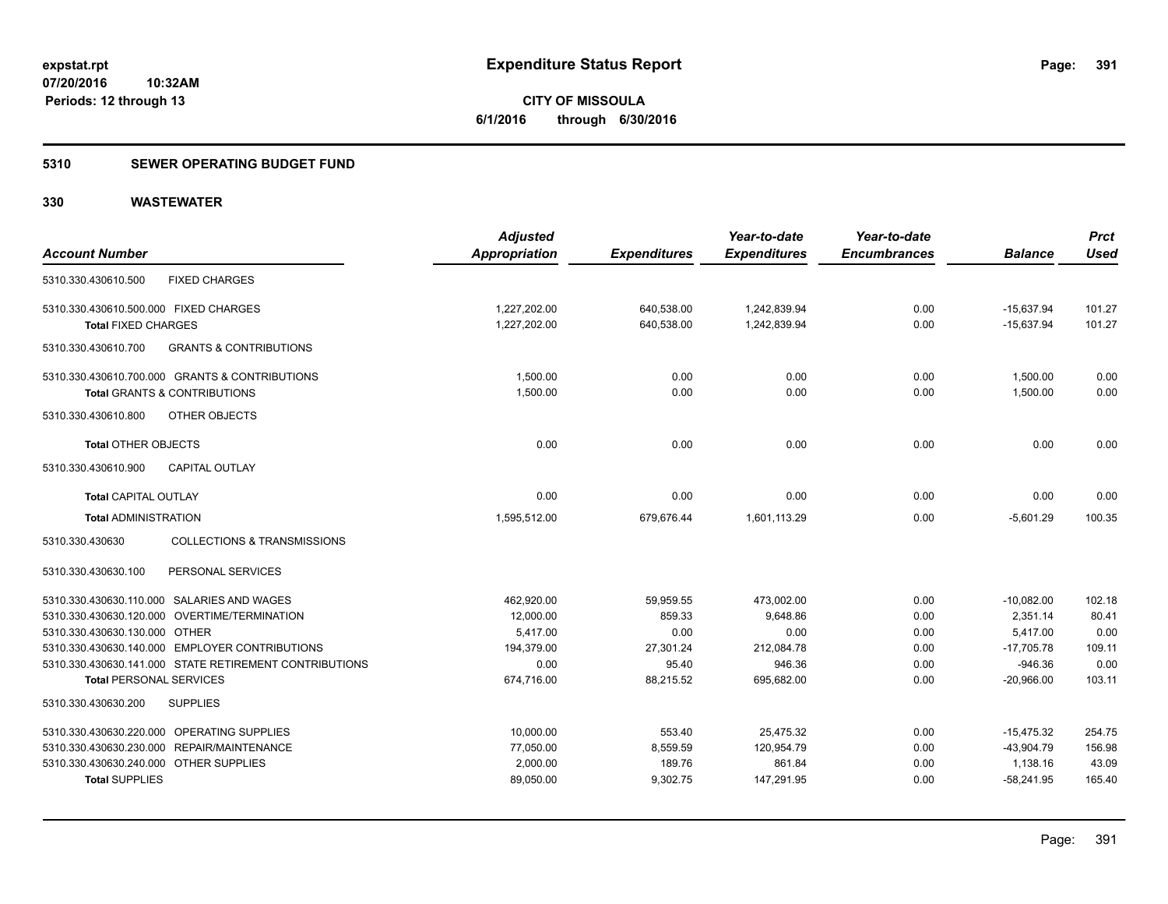#### **5310 SEWER OPERATING BUDGET FUND**

**10:32AM**

### **330 WASTEWATER**

**Periods: 12 through 13**

| <b>Account Number</b>                  |                                                        | <b>Adjusted</b><br>Appropriation | <b>Expenditures</b> | Year-to-date<br><b>Expenditures</b> | Year-to-date<br><b>Encumbrances</b> | <b>Balance</b> | <b>Prct</b><br><b>Used</b> |
|----------------------------------------|--------------------------------------------------------|----------------------------------|---------------------|-------------------------------------|-------------------------------------|----------------|----------------------------|
| 5310.330.430610.500                    | <b>FIXED CHARGES</b>                                   |                                  |                     |                                     |                                     |                |                            |
| 5310.330.430610.500.000 FIXED CHARGES  |                                                        | 1,227,202.00                     | 640,538.00          | 1,242,839.94                        | 0.00                                | $-15,637.94$   | 101.27                     |
| <b>Total FIXED CHARGES</b>             |                                                        | 1,227,202.00                     | 640,538.00          | 1,242,839.94                        | 0.00                                | $-15,637.94$   | 101.27                     |
| 5310.330.430610.700                    | <b>GRANTS &amp; CONTRIBUTIONS</b>                      |                                  |                     |                                     |                                     |                |                            |
|                                        | 5310.330.430610.700.000 GRANTS & CONTRIBUTIONS         | 1,500.00                         | 0.00                | 0.00                                | 0.00                                | 1,500.00       | 0.00                       |
|                                        | <b>Total GRANTS &amp; CONTRIBUTIONS</b>                | 1,500.00                         | 0.00                | 0.00                                | 0.00                                | 1,500.00       | 0.00                       |
| 5310.330.430610.800                    | OTHER OBJECTS                                          |                                  |                     |                                     |                                     |                |                            |
| <b>Total OTHER OBJECTS</b>             |                                                        | 0.00                             | 0.00                | 0.00                                | 0.00                                | 0.00           | 0.00                       |
| 5310.330.430610.900                    | <b>CAPITAL OUTLAY</b>                                  |                                  |                     |                                     |                                     |                |                            |
| <b>Total CAPITAL OUTLAY</b>            |                                                        | 0.00                             | 0.00                | 0.00                                | 0.00                                | 0.00           | 0.00                       |
| <b>Total ADMINISTRATION</b>            |                                                        | 1,595,512.00                     | 679,676.44          | 1,601,113.29                        | 0.00                                | $-5,601.29$    | 100.35                     |
| 5310.330.430630                        | <b>COLLECTIONS &amp; TRANSMISSIONS</b>                 |                                  |                     |                                     |                                     |                |                            |
| 5310.330.430630.100                    | PERSONAL SERVICES                                      |                                  |                     |                                     |                                     |                |                            |
|                                        | 5310.330.430630.110.000 SALARIES AND WAGES             | 462,920.00                       | 59,959.55           | 473,002.00                          | 0.00                                | $-10,082.00$   | 102.18                     |
|                                        | 5310.330.430630.120.000 OVERTIME/TERMINATION           | 12,000.00                        | 859.33              | 9,648.86                            | 0.00                                | 2,351.14       | 80.41                      |
| 5310.330.430630.130.000 OTHER          |                                                        | 5.417.00                         | 0.00                | 0.00                                | 0.00                                | 5.417.00       | 0.00                       |
|                                        | 5310.330.430630.140.000 EMPLOYER CONTRIBUTIONS         | 194,379.00                       | 27,301.24           | 212,084.78                          | 0.00                                | $-17,705.78$   | 109.11                     |
|                                        | 5310.330.430630.141.000 STATE RETIREMENT CONTRIBUTIONS | 0.00                             | 95.40               | 946.36                              | 0.00                                | $-946.36$      | 0.00                       |
| <b>Total PERSONAL SERVICES</b>         |                                                        | 674,716.00                       | 88,215.52           | 695,682.00                          | 0.00                                | $-20,966.00$   | 103.11                     |
| 5310.330.430630.200                    | <b>SUPPLIES</b>                                        |                                  |                     |                                     |                                     |                |                            |
|                                        | 5310.330.430630.220.000 OPERATING SUPPLIES             | 10,000.00                        | 553.40              | 25,475.32                           | 0.00                                | $-15,475.32$   | 254.75                     |
|                                        | 5310.330.430630.230.000 REPAIR/MAINTENANCE             | 77,050.00                        | 8,559.59            | 120,954.79                          | 0.00                                | $-43,904.79$   | 156.98                     |
| 5310.330.430630.240.000 OTHER SUPPLIES |                                                        | 2,000.00                         | 189.76              | 861.84                              | 0.00                                | 1,138.16       | 43.09                      |
| <b>Total SUPPLIES</b>                  |                                                        | 89,050.00                        | 9,302.75            | 147,291.95                          | 0.00                                | $-58,241.95$   | 165.40                     |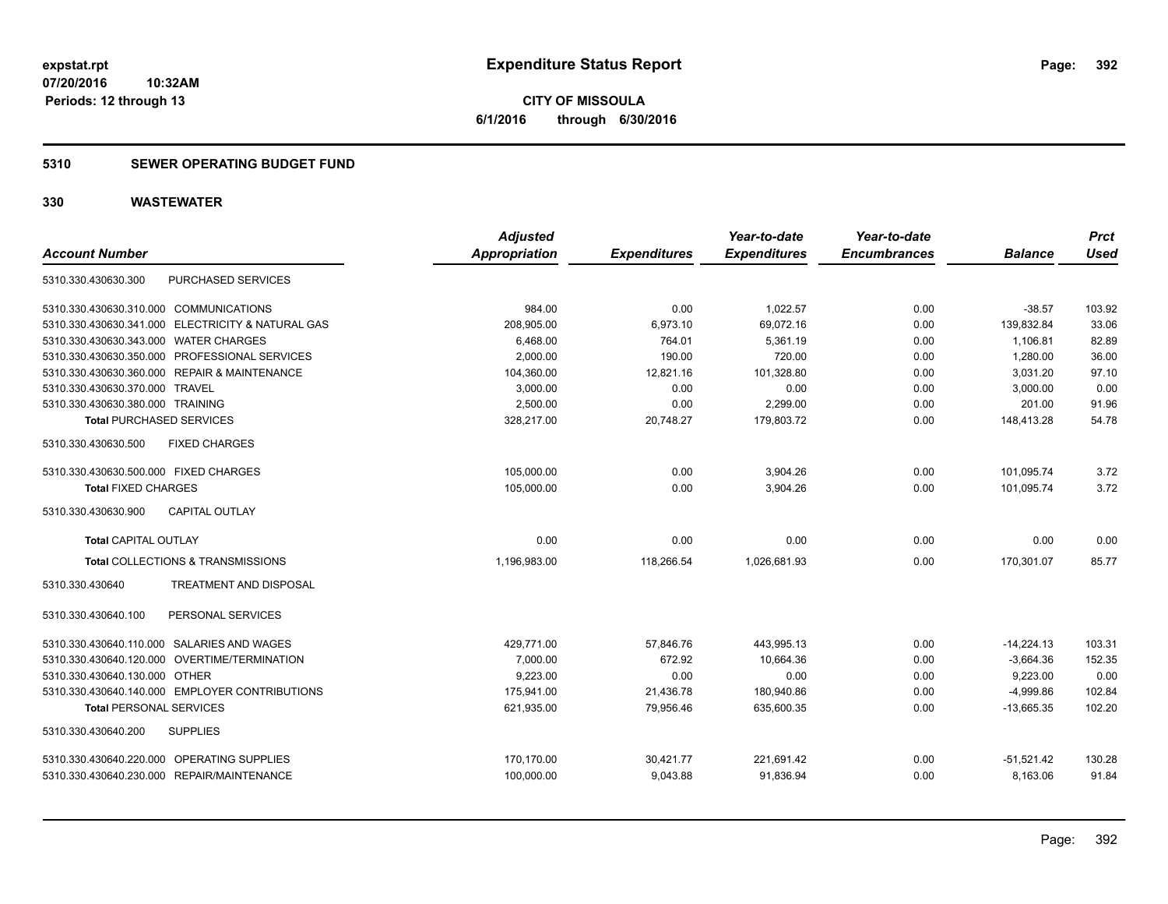### **5310 SEWER OPERATING BUDGET FUND**

| <b>Account Number</b>                  |                                                   | <b>Adjusted</b><br><b>Appropriation</b> | <b>Expenditures</b> | Year-to-date<br><b>Expenditures</b> | Year-to-date<br><b>Encumbrances</b> | <b>Balance</b> | <b>Prct</b><br><b>Used</b> |
|----------------------------------------|---------------------------------------------------|-----------------------------------------|---------------------|-------------------------------------|-------------------------------------|----------------|----------------------------|
| 5310.330.430630.300                    | PURCHASED SERVICES                                |                                         |                     |                                     |                                     |                |                            |
| 5310.330.430630.310.000 COMMUNICATIONS |                                                   | 984.00                                  | 0.00                | 1,022.57                            | 0.00                                | $-38.57$       | 103.92                     |
|                                        | 5310.330.430630.341.000 ELECTRICITY & NATURAL GAS | 208,905.00                              | 6,973.10            | 69,072.16                           | 0.00                                | 139,832.84     | 33.06                      |
| 5310.330.430630.343.000 WATER CHARGES  |                                                   | 6,468.00                                | 764.01              | 5,361.19                            | 0.00                                | 1,106.81       | 82.89                      |
|                                        | 5310.330.430630.350.000 PROFESSIONAL SERVICES     | 2,000.00                                | 190.00              | 720.00                              | 0.00                                | 1,280.00       | 36.00                      |
|                                        | 5310.330.430630.360.000 REPAIR & MAINTENANCE      | 104,360.00                              | 12,821.16           | 101,328.80                          | 0.00                                | 3,031.20       | 97.10                      |
| 5310.330.430630.370.000 TRAVEL         |                                                   | 3,000.00                                | 0.00                | 0.00                                | 0.00                                | 3,000.00       | 0.00                       |
| 5310.330.430630.380.000 TRAINING       |                                                   | 2,500.00                                | 0.00                | 2,299.00                            | 0.00                                | 201.00         | 91.96                      |
| <b>Total PURCHASED SERVICES</b>        |                                                   | 328,217.00                              | 20.748.27           | 179,803.72                          | 0.00                                | 148,413.28     | 54.78                      |
| 5310.330.430630.500                    | <b>FIXED CHARGES</b>                              |                                         |                     |                                     |                                     |                |                            |
| 5310.330.430630.500.000 FIXED CHARGES  |                                                   | 105,000.00                              | 0.00                | 3,904.26                            | 0.00                                | 101.095.74     | 3.72                       |
| <b>Total FIXED CHARGES</b>             |                                                   | 105.000.00                              | 0.00                | 3.904.26                            | 0.00                                | 101.095.74     | 3.72                       |
| 5310.330.430630.900                    | <b>CAPITAL OUTLAY</b>                             |                                         |                     |                                     |                                     |                |                            |
| <b>Total CAPITAL OUTLAY</b>            |                                                   | 0.00                                    | 0.00                | 0.00                                | 0.00                                | 0.00           | 0.00                       |
|                                        | Total COLLECTIONS & TRANSMISSIONS                 | 1,196,983.00                            | 118,266.54          | 1,026,681.93                        | 0.00                                | 170,301.07     | 85.77                      |
| 5310.330.430640                        | <b>TREATMENT AND DISPOSAL</b>                     |                                         |                     |                                     |                                     |                |                            |
| 5310.330.430640.100                    | PERSONAL SERVICES                                 |                                         |                     |                                     |                                     |                |                            |
|                                        | 5310.330.430640.110.000 SALARIES AND WAGES        | 429,771.00                              | 57,846.76           | 443,995.13                          | 0.00                                | $-14,224.13$   | 103.31                     |
|                                        | 5310.330.430640.120.000 OVERTIME/TERMINATION      | 7.000.00                                | 672.92              | 10,664.36                           | 0.00                                | $-3,664.36$    | 152.35                     |
| 5310.330.430640.130.000 OTHER          |                                                   | 9,223.00                                | 0.00                | 0.00                                | 0.00                                | 9,223.00       | 0.00                       |
|                                        | 5310.330.430640.140.000 EMPLOYER CONTRIBUTIONS    | 175,941.00                              | 21,436.78           | 180,940.86                          | 0.00                                | $-4,999.86$    | 102.84                     |
| <b>Total PERSONAL SERVICES</b>         |                                                   | 621,935.00                              | 79,956.46           | 635,600.35                          | 0.00                                | $-13,665.35$   | 102.20                     |
| 5310.330.430640.200                    | <b>SUPPLIES</b>                                   |                                         |                     |                                     |                                     |                |                            |
|                                        | 5310.330.430640.220.000 OPERATING SUPPLIES        | 170,170.00                              | 30,421.77           | 221,691.42                          | 0.00                                | $-51,521.42$   | 130.28                     |
|                                        | 5310.330.430640.230.000 REPAIR/MAINTENANCE        | 100,000.00                              | 9,043.88            | 91,836.94                           | 0.00                                | 8,163.06       | 91.84                      |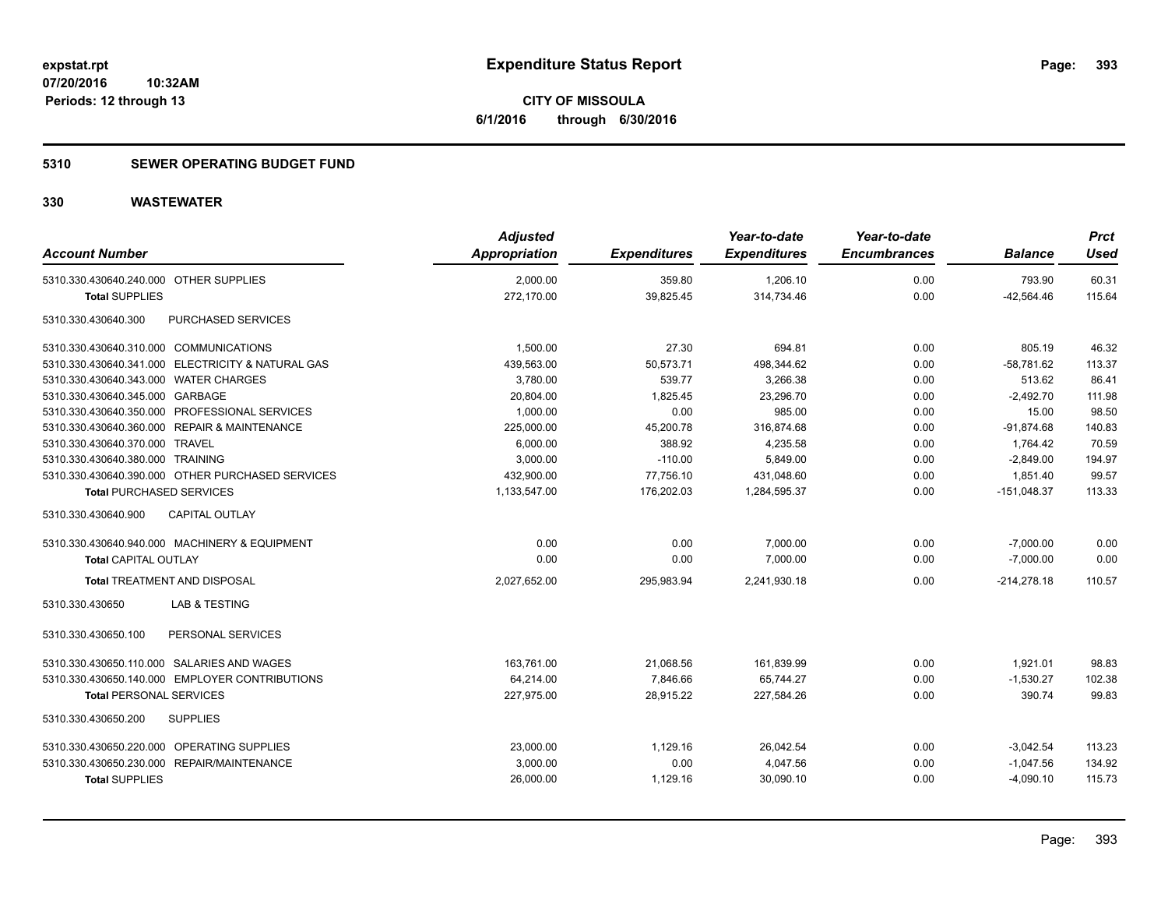**CITY OF MISSOULA 6/1/2016 through 6/30/2016**

#### **5310 SEWER OPERATING BUDGET FUND**

| <b>Account Number</b>                             | <b>Adjusted</b><br>Appropriation | <b>Expenditures</b> | Year-to-date<br><b>Expenditures</b> | Year-to-date<br><b>Encumbrances</b> | <b>Balance</b> | <b>Prct</b><br><b>Used</b> |
|---------------------------------------------------|----------------------------------|---------------------|-------------------------------------|-------------------------------------|----------------|----------------------------|
| 5310.330.430640.240.000 OTHER SUPPLIES            | 2.000.00                         | 359.80              | 1,206.10                            | 0.00                                | 793.90         | 60.31                      |
| <b>Total SUPPLIES</b>                             | 272,170.00                       | 39,825.45           | 314,734.46                          | 0.00                                | $-42,564.46$   | 115.64                     |
| 5310.330.430640.300<br>PURCHASED SERVICES         |                                  |                     |                                     |                                     |                |                            |
| 5310.330.430640.310.000 COMMUNICATIONS            | 1,500.00                         | 27.30               | 694.81                              | 0.00                                | 805.19         | 46.32                      |
| 5310.330.430640.341.000 ELECTRICITY & NATURAL GAS | 439,563.00                       | 50,573.71           | 498,344.62                          | 0.00                                | $-58,781.62$   | 113.37                     |
| 5310.330.430640.343.000 WATER CHARGES             | 3,780.00                         | 539.77              | 3,266.38                            | 0.00                                | 513.62         | 86.41                      |
| 5310.330.430640.345.000 GARBAGE                   | 20,804.00                        | 1,825.45            | 23,296.70                           | 0.00                                | $-2,492.70$    | 111.98                     |
| 5310.330.430640.350.000 PROFESSIONAL SERVICES     | 1,000.00                         | 0.00                | 985.00                              | 0.00                                | 15.00          | 98.50                      |
| 5310.330.430640.360.000 REPAIR & MAINTENANCE      | 225,000.00                       | 45,200.78           | 316,874.68                          | 0.00                                | $-91,874.68$   | 140.83                     |
| 5310.330.430640.370.000 TRAVEL                    | 6,000.00                         | 388.92              | 4,235.58                            | 0.00                                | 1,764.42       | 70.59                      |
| 5310.330.430640.380.000 TRAINING                  | 3,000.00                         | $-110.00$           | 5.849.00                            | 0.00                                | $-2.849.00$    | 194.97                     |
| 5310.330.430640.390.000 OTHER PURCHASED SERVICES  | 432,900.00                       | 77,756.10           | 431,048.60                          | 0.00                                | 1,851.40       | 99.57                      |
| <b>Total PURCHASED SERVICES</b>                   | 1,133,547.00                     | 176,202.03          | 1,284,595.37                        | 0.00                                | $-151,048.37$  | 113.33                     |
| CAPITAL OUTLAY<br>5310.330.430640.900             |                                  |                     |                                     |                                     |                |                            |
| 5310.330.430640.940.000 MACHINERY & EQUIPMENT     | 0.00                             | 0.00                | 7,000.00                            | 0.00                                | $-7.000.00$    | 0.00                       |
| <b>Total CAPITAL OUTLAY</b>                       | 0.00                             | 0.00                | 7,000.00                            | 0.00                                | $-7,000.00$    | 0.00                       |
| <b>Total TREATMENT AND DISPOSAL</b>               | 2,027,652.00                     | 295,983.94          | 2,241,930.18                        | 0.00                                | $-214,278.18$  | 110.57                     |
| 5310.330.430650<br>LAB & TESTING                  |                                  |                     |                                     |                                     |                |                            |
| PERSONAL SERVICES<br>5310.330.430650.100          |                                  |                     |                                     |                                     |                |                            |
| 5310.330.430650.110.000 SALARIES AND WAGES        | 163,761.00                       | 21,068.56           | 161,839.99                          | 0.00                                | 1,921.01       | 98.83                      |
| 5310.330.430650.140.000 EMPLOYER CONTRIBUTIONS    | 64,214.00                        | 7,846.66            | 65,744.27                           | 0.00                                | $-1,530.27$    | 102.38                     |
| <b>Total PERSONAL SERVICES</b>                    | 227,975.00                       | 28,915.22           | 227,584.26                          | 0.00                                | 390.74         | 99.83                      |
| 5310.330.430650.200<br><b>SUPPLIES</b>            |                                  |                     |                                     |                                     |                |                            |
| 5310.330.430650.220.000 OPERATING SUPPLIES        | 23,000.00                        | 1,129.16            | 26,042.54                           | 0.00                                | $-3,042.54$    | 113.23                     |
| 5310.330.430650.230.000 REPAIR/MAINTENANCE        | 3,000.00                         | 0.00                | 4,047.56                            | 0.00                                | $-1,047.56$    | 134.92                     |
| <b>Total SUPPLIES</b>                             | 26,000.00                        | 1,129.16            | 30,090.10                           | 0.00                                | $-4,090.10$    | 115.73                     |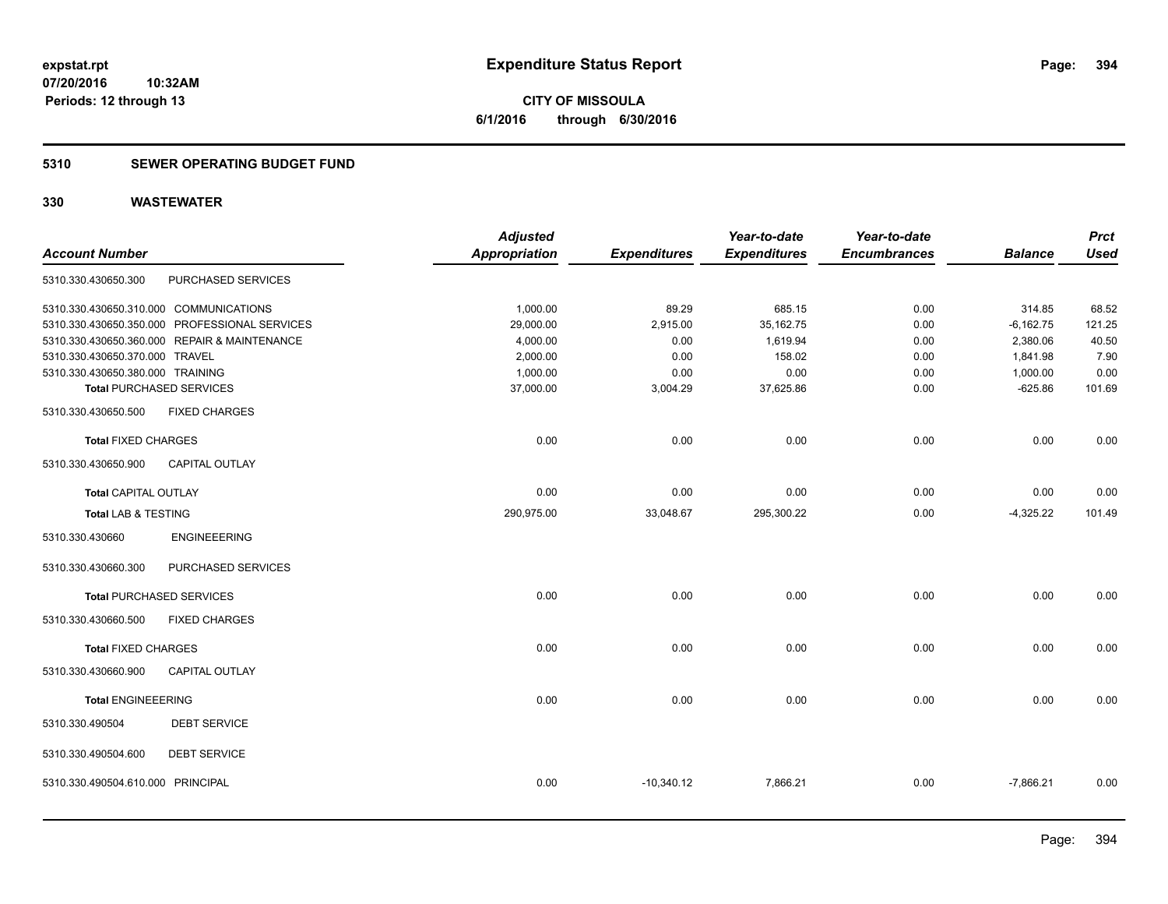**394**

**07/20/2016 10:32AM Periods: 12 through 13**

**CITY OF MISSOULA 6/1/2016 through 6/30/2016**

#### **5310 SEWER OPERATING BUDGET FUND**

|                                   |                                               | <b>Adjusted</b>      |                     | Year-to-date        | Year-to-date        |                | <b>Prct</b> |
|-----------------------------------|-----------------------------------------------|----------------------|---------------------|---------------------|---------------------|----------------|-------------|
| <b>Account Number</b>             |                                               | <b>Appropriation</b> | <b>Expenditures</b> | <b>Expenditures</b> | <b>Encumbrances</b> | <b>Balance</b> | <b>Used</b> |
| 5310.330.430650.300               | PURCHASED SERVICES                            |                      |                     |                     |                     |                |             |
|                                   | 5310.330.430650.310.000 COMMUNICATIONS        | 1,000.00             | 89.29               | 685.15              | 0.00                | 314.85         | 68.52       |
|                                   | 5310.330.430650.350.000 PROFESSIONAL SERVICES | 29,000.00            | 2,915.00            | 35, 162. 75         | 0.00                | $-6,162.75$    | 121.25      |
|                                   | 5310.330.430650.360.000 REPAIR & MAINTENANCE  | 4,000.00             | 0.00                | 1,619.94            | 0.00                | 2,380.06       | 40.50       |
| 5310.330.430650.370.000 TRAVEL    |                                               | 2,000.00             | 0.00                | 158.02              | 0.00                | 1,841.98       | 7.90        |
| 5310.330.430650.380.000 TRAINING  |                                               | 1,000.00             | 0.00                | 0.00                | 0.00                | 1,000.00       | 0.00        |
|                                   | <b>Total PURCHASED SERVICES</b>               | 37,000.00            | 3,004.29            | 37,625.86           | 0.00                | $-625.86$      | 101.69      |
| 5310.330.430650.500               | <b>FIXED CHARGES</b>                          |                      |                     |                     |                     |                |             |
| <b>Total FIXED CHARGES</b>        |                                               | 0.00                 | 0.00                | 0.00                | 0.00                | 0.00           | 0.00        |
| 5310.330.430650.900               | CAPITAL OUTLAY                                |                      |                     |                     |                     |                |             |
| Total CAPITAL OUTLAY              |                                               | 0.00                 | 0.00                | 0.00                | 0.00                | 0.00           | 0.00        |
| Total LAB & TESTING               |                                               | 290,975.00           | 33,048.67           | 295,300.22          | 0.00                | $-4,325.22$    | 101.49      |
| 5310.330.430660                   | <b>ENGINEEERING</b>                           |                      |                     |                     |                     |                |             |
| 5310.330.430660.300               | PURCHASED SERVICES                            |                      |                     |                     |                     |                |             |
|                                   | <b>Total PURCHASED SERVICES</b>               | 0.00                 | 0.00                | 0.00                | 0.00                | 0.00           | 0.00        |
| 5310.330.430660.500               | <b>FIXED CHARGES</b>                          |                      |                     |                     |                     |                |             |
| <b>Total FIXED CHARGES</b>        |                                               | 0.00                 | 0.00                | 0.00                | 0.00                | 0.00           | 0.00        |
| 5310.330.430660.900               | <b>CAPITAL OUTLAY</b>                         |                      |                     |                     |                     |                |             |
| <b>Total ENGINEEERING</b>         |                                               | 0.00                 | 0.00                | 0.00                | 0.00                | 0.00           | 0.00        |
| 5310.330.490504                   | <b>DEBT SERVICE</b>                           |                      |                     |                     |                     |                |             |
| 5310.330.490504.600               | <b>DEBT SERVICE</b>                           |                      |                     |                     |                     |                |             |
| 5310.330.490504.610.000 PRINCIPAL |                                               | 0.00                 | $-10,340.12$        | 7,866.21            | 0.00                | $-7,866.21$    | 0.00        |
|                                   |                                               |                      |                     |                     |                     |                |             |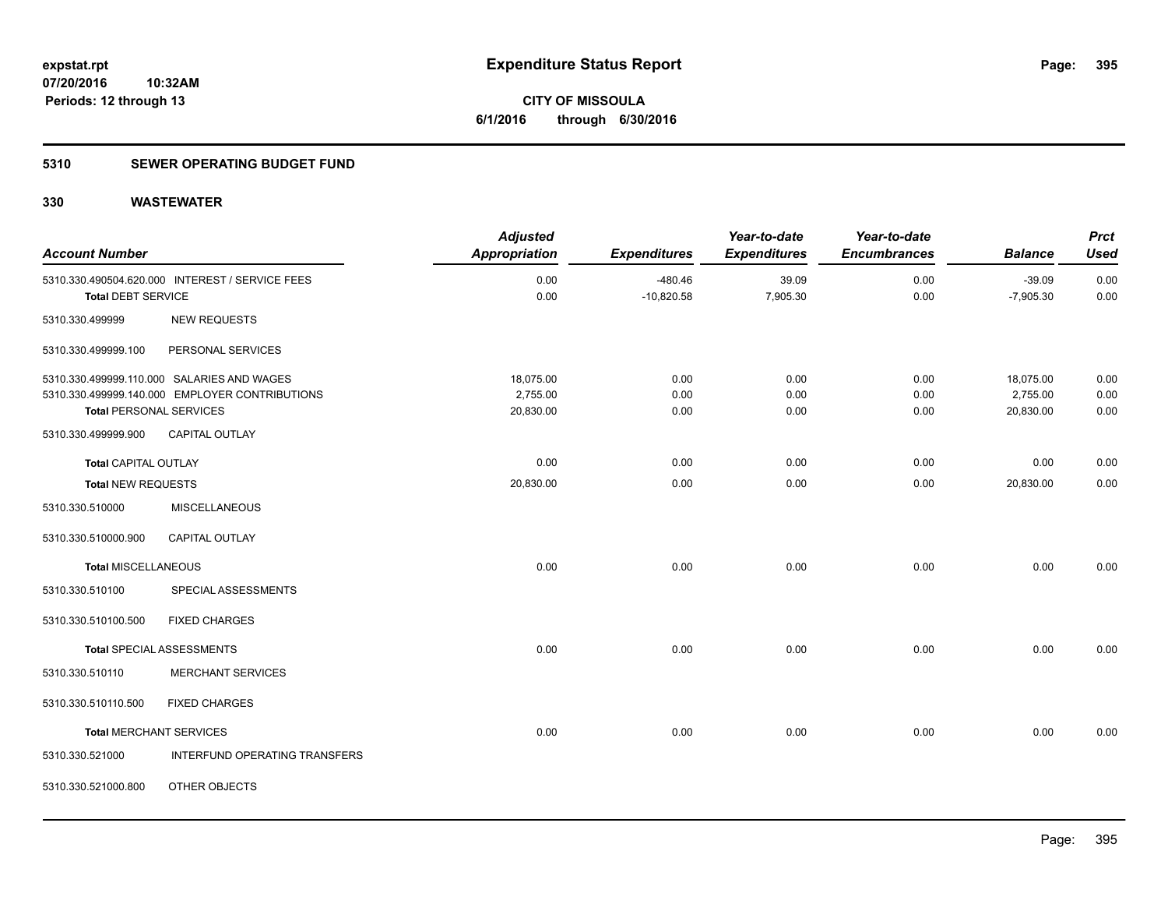**CITY OF MISSOULA 6/1/2016 through 6/30/2016**

#### **5310 SEWER OPERATING BUDGET FUND**

| <b>Account Number</b>          |                                                 | <b>Adjusted</b><br><b>Appropriation</b> | <b>Expenditures</b> | Year-to-date<br><b>Expenditures</b> | Year-to-date<br><b>Encumbrances</b> | <b>Balance</b> | <b>Prct</b><br><b>Used</b> |
|--------------------------------|-------------------------------------------------|-----------------------------------------|---------------------|-------------------------------------|-------------------------------------|----------------|----------------------------|
|                                | 5310.330.490504.620.000 INTEREST / SERVICE FEES | 0.00                                    | $-480.46$           | 39.09                               | 0.00                                | $-39.09$       | 0.00                       |
| <b>Total DEBT SERVICE</b>      |                                                 | 0.00                                    | $-10,820.58$        | 7,905.30                            | 0.00                                | $-7,905.30$    | 0.00                       |
| 5310.330.499999                | <b>NEW REQUESTS</b>                             |                                         |                     |                                     |                                     |                |                            |
| 5310.330.499999.100            | PERSONAL SERVICES                               |                                         |                     |                                     |                                     |                |                            |
|                                | 5310.330.499999.110.000 SALARIES AND WAGES      | 18,075.00                               | 0.00                | 0.00                                | 0.00                                | 18,075.00      | 0.00                       |
|                                | 5310.330.499999.140.000 EMPLOYER CONTRIBUTIONS  | 2,755.00                                | 0.00                | 0.00                                | 0.00                                | 2,755.00       | 0.00                       |
| <b>Total PERSONAL SERVICES</b> |                                                 | 20,830.00                               | 0.00                | 0.00                                | 0.00                                | 20,830.00      | 0.00                       |
| 5310.330.499999.900            | <b>CAPITAL OUTLAY</b>                           |                                         |                     |                                     |                                     |                |                            |
| <b>Total CAPITAL OUTLAY</b>    |                                                 | 0.00                                    | 0.00                | 0.00                                | 0.00                                | 0.00           | 0.00                       |
| <b>Total NEW REQUESTS</b>      |                                                 | 20,830.00                               | 0.00                | 0.00                                | 0.00                                | 20,830.00      | 0.00                       |
| 5310.330.510000                | <b>MISCELLANEOUS</b>                            |                                         |                     |                                     |                                     |                |                            |
| 5310.330.510000.900            | CAPITAL OUTLAY                                  |                                         |                     |                                     |                                     |                |                            |
| <b>Total MISCELLANEOUS</b>     |                                                 | 0.00                                    | 0.00                | 0.00                                | 0.00                                | 0.00           | 0.00                       |
| 5310.330.510100                | SPECIAL ASSESSMENTS                             |                                         |                     |                                     |                                     |                |                            |
| 5310.330.510100.500            | <b>FIXED CHARGES</b>                            |                                         |                     |                                     |                                     |                |                            |
|                                | <b>Total SPECIAL ASSESSMENTS</b>                | 0.00                                    | 0.00                | 0.00                                | 0.00                                | 0.00           | 0.00                       |
| 5310.330.510110                | <b>MERCHANT SERVICES</b>                        |                                         |                     |                                     |                                     |                |                            |
| 5310.330.510110.500            | <b>FIXED CHARGES</b>                            |                                         |                     |                                     |                                     |                |                            |
| <b>Total MERCHANT SERVICES</b> |                                                 | 0.00                                    | 0.00                | 0.00                                | 0.00                                | 0.00           | 0.00                       |
| 5310.330.521000                | <b>INTERFUND OPERATING TRANSFERS</b>            |                                         |                     |                                     |                                     |                |                            |
| 5310.330.521000.800            | OTHER OBJECTS                                   |                                         |                     |                                     |                                     |                |                            |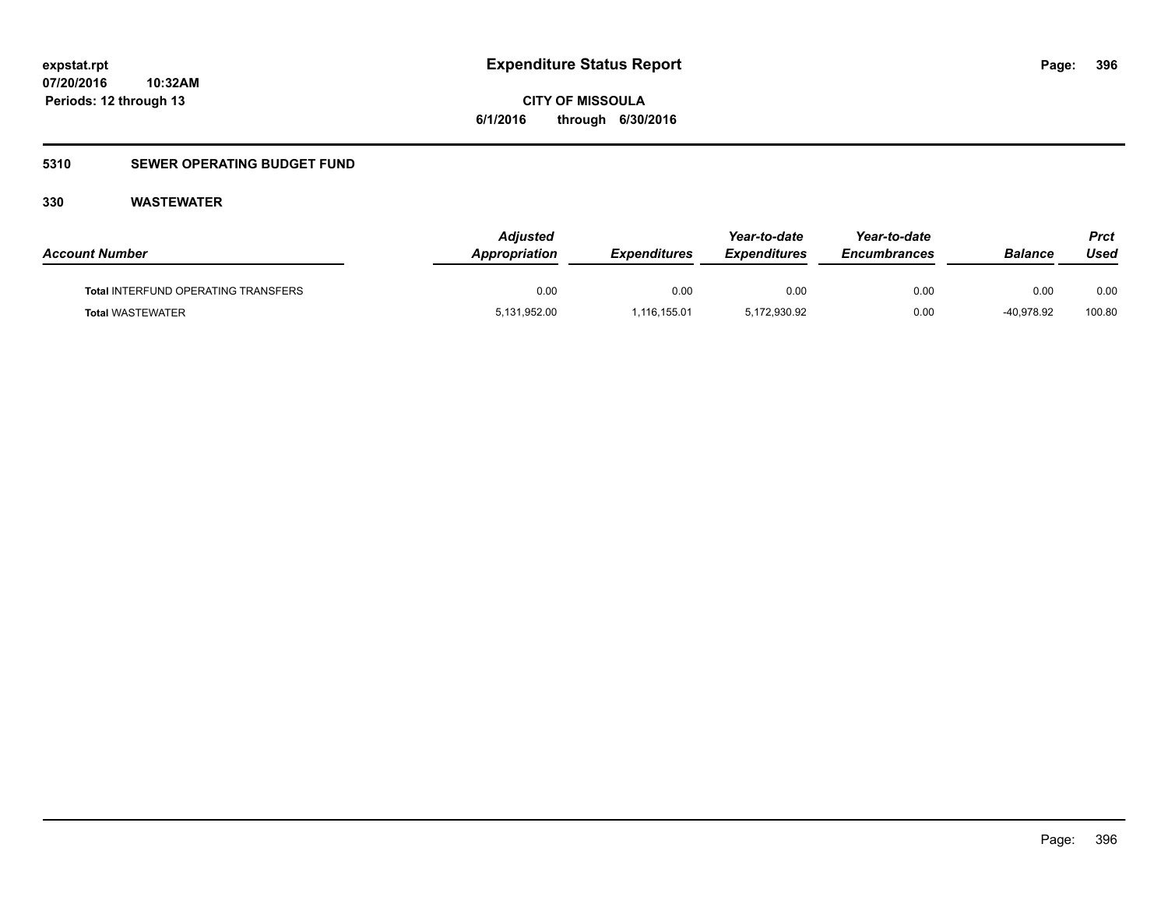**CITY OF MISSOULA 6/1/2016 through 6/30/2016**

### **5310 SEWER OPERATING BUDGET FUND**

| <b>Account Number</b>                      | <b>Adjusted</b><br>Appropriation | <i><b>Expenditures</b></i> | Year-to-date<br><b>Expenditures</b> | Year-to-date<br><b>Encumbrances</b> | <b>Balance</b> | <b>Prct</b><br>Used |
|--------------------------------------------|----------------------------------|----------------------------|-------------------------------------|-------------------------------------|----------------|---------------------|
| <b>Total INTERFUND OPERATING TRANSFERS</b> | 0.00                             | 0.00                       | 0.00                                | 0.00                                | 0.00           | 0.00                |
| <b>Total WASTEWATER</b>                    | 5,131,952.00                     | 1,116,155.01               | 5,172,930.92                        | 0.00                                | -40.978.92     | 100.80              |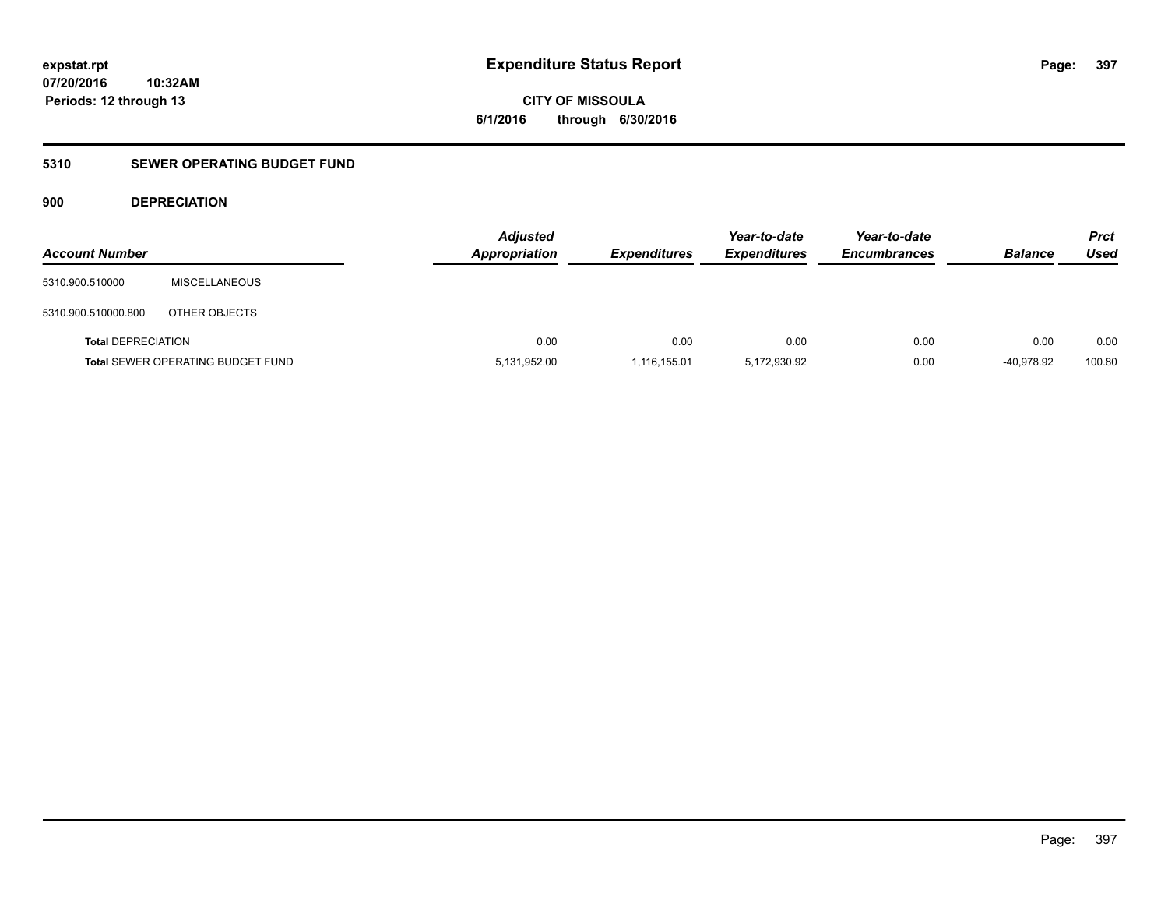**CITY OF MISSOULA 6/1/2016 through 6/30/2016**

### **5310 SEWER OPERATING BUDGET FUND**

### **900 DEPRECIATION**

| <b>Account Number</b>     |                                          | <b>Adjusted</b><br><b>Appropriation</b> | <b>Expenditures</b> | Year-to-date<br><b>Expenditures</b> | Year-to-date<br><b>Encumbrances</b> | <b>Balance</b> | Prct<br><b>Used</b> |
|---------------------------|------------------------------------------|-----------------------------------------|---------------------|-------------------------------------|-------------------------------------|----------------|---------------------|
| 5310.900.510000           | <b>MISCELLANEOUS</b>                     |                                         |                     |                                     |                                     |                |                     |
| 5310.900.510000.800       | OTHER OBJECTS                            |                                         |                     |                                     |                                     |                |                     |
| <b>Total DEPRECIATION</b> |                                          | 0.00                                    | 0.00                | 0.00                                | 0.00                                | 0.00           | 0.00                |
|                           | <b>Total SEWER OPERATING BUDGET FUND</b> | 5,131,952.00                            | 1,116,155.01        | 5,172,930.92                        | 0.00                                | -40.978.92     | 100.80              |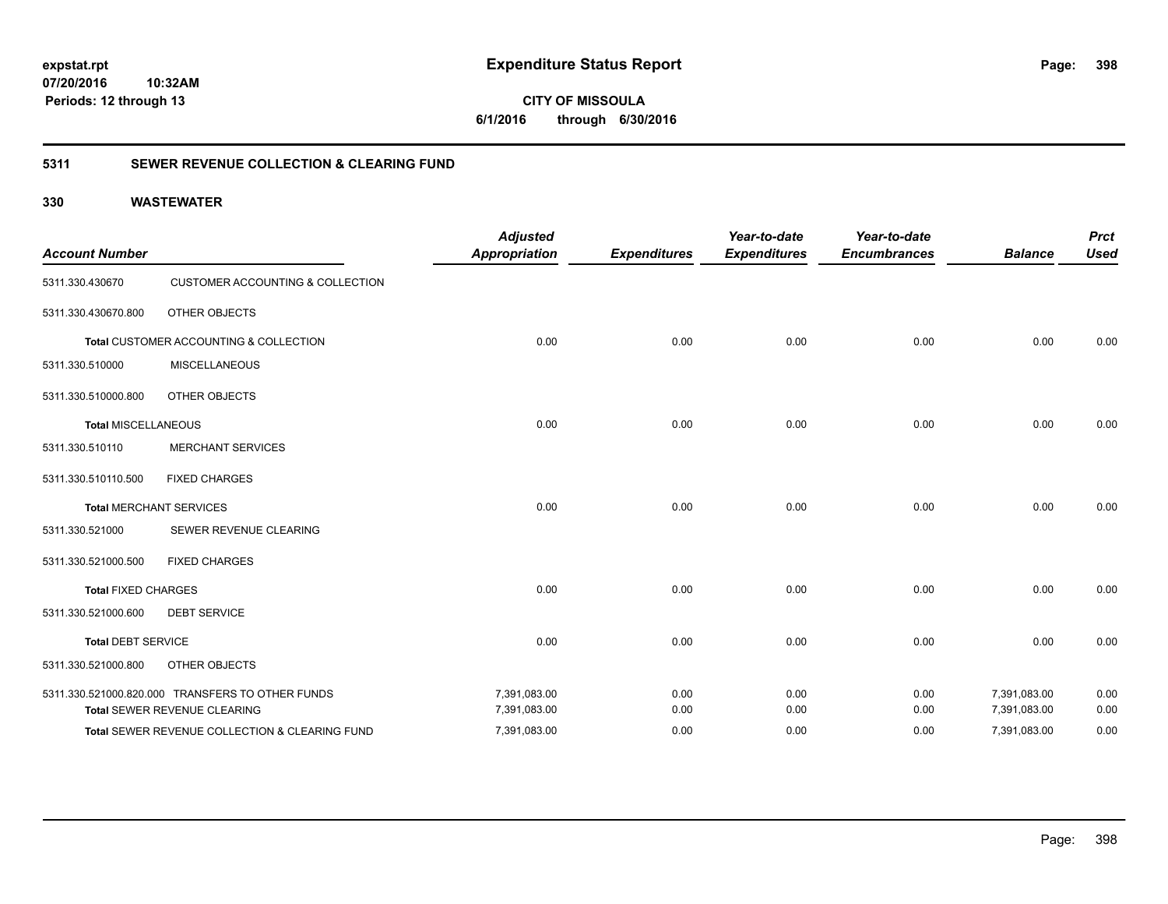**CITY OF MISSOULA 6/1/2016 through 6/30/2016**

### **5311 SEWER REVENUE COLLECTION & CLEARING FUND**

| <b>Account Number</b>      |                                                  | <b>Adjusted</b><br><b>Appropriation</b> | <b>Expenditures</b> | Year-to-date<br><b>Expenditures</b> | Year-to-date<br><b>Encumbrances</b> | <b>Balance</b> | <b>Prct</b><br><b>Used</b> |
|----------------------------|--------------------------------------------------|-----------------------------------------|---------------------|-------------------------------------|-------------------------------------|----------------|----------------------------|
| 5311.330.430670            | <b>CUSTOMER ACCOUNTING &amp; COLLECTION</b>      |                                         |                     |                                     |                                     |                |                            |
| 5311.330.430670.800        | OTHER OBJECTS                                    |                                         |                     |                                     |                                     |                |                            |
|                            | Total CUSTOMER ACCOUNTING & COLLECTION           | 0.00                                    | 0.00                | 0.00                                | 0.00                                | 0.00           | 0.00                       |
| 5311.330.510000            | <b>MISCELLANEOUS</b>                             |                                         |                     |                                     |                                     |                |                            |
| 5311.330.510000.800        | OTHER OBJECTS                                    |                                         |                     |                                     |                                     |                |                            |
| <b>Total MISCELLANEOUS</b> |                                                  | 0.00                                    | 0.00                | 0.00                                | 0.00                                | 0.00           | 0.00                       |
| 5311.330.510110            | <b>MERCHANT SERVICES</b>                         |                                         |                     |                                     |                                     |                |                            |
| 5311.330.510110.500        | <b>FIXED CHARGES</b>                             |                                         |                     |                                     |                                     |                |                            |
|                            | <b>Total MERCHANT SERVICES</b>                   | 0.00                                    | 0.00                | 0.00                                | 0.00                                | 0.00           | 0.00                       |
| 5311.330.521000            | SEWER REVENUE CLEARING                           |                                         |                     |                                     |                                     |                |                            |
| 5311.330.521000.500        | <b>FIXED CHARGES</b>                             |                                         |                     |                                     |                                     |                |                            |
| <b>Total FIXED CHARGES</b> |                                                  | 0.00                                    | 0.00                | 0.00                                | 0.00                                | 0.00           | 0.00                       |
| 5311.330.521000.600        | <b>DEBT SERVICE</b>                              |                                         |                     |                                     |                                     |                |                            |
| <b>Total DEBT SERVICE</b>  |                                                  | 0.00                                    | 0.00                | 0.00                                | 0.00                                | 0.00           | 0.00                       |
| 5311.330.521000.800        | OTHER OBJECTS                                    |                                         |                     |                                     |                                     |                |                            |
|                            | 5311.330.521000.820.000 TRANSFERS TO OTHER FUNDS | 7,391,083.00                            | 0.00                | 0.00                                | 0.00                                | 7,391,083.00   | 0.00                       |
|                            | Total SEWER REVENUE CLEARING                     | 7,391,083.00                            | 0.00                | 0.00                                | 0.00                                | 7,391,083.00   | 0.00                       |
|                            | Total SEWER REVENUE COLLECTION & CLEARING FUND   | 7,391,083.00                            | 0.00                | 0.00                                | 0.00                                | 7,391,083.00   | 0.00                       |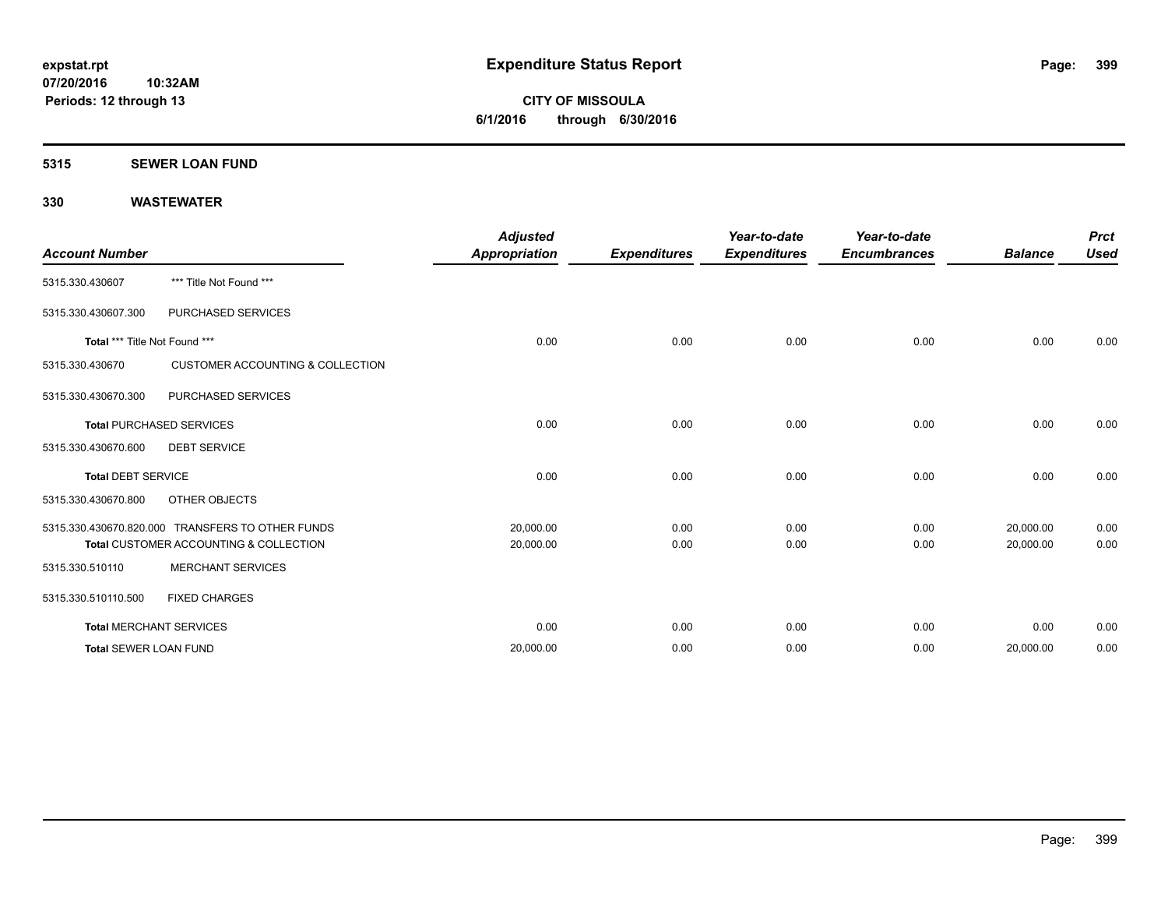### **5315 SEWER LOAN FUND**

| <b>Account Number</b>         |                                                  | <b>Adjusted</b><br><b>Appropriation</b> | <b>Expenditures</b> | Year-to-date<br><b>Expenditures</b> | Year-to-date<br><b>Encumbrances</b> | <b>Balance</b> | <b>Prct</b><br><b>Used</b> |
|-------------------------------|--------------------------------------------------|-----------------------------------------|---------------------|-------------------------------------|-------------------------------------|----------------|----------------------------|
| 5315.330.430607               | *** Title Not Found ***                          |                                         |                     |                                     |                                     |                |                            |
| 5315.330.430607.300           | PURCHASED SERVICES                               |                                         |                     |                                     |                                     |                |                            |
| Total *** Title Not Found *** |                                                  | 0.00                                    | 0.00                | 0.00                                | 0.00                                | 0.00           | 0.00                       |
| 5315.330.430670               | <b>CUSTOMER ACCOUNTING &amp; COLLECTION</b>      |                                         |                     |                                     |                                     |                |                            |
| 5315.330.430670.300           | PURCHASED SERVICES                               |                                         |                     |                                     |                                     |                |                            |
|                               | <b>Total PURCHASED SERVICES</b>                  | 0.00                                    | 0.00                | 0.00                                | 0.00                                | 0.00           | 0.00                       |
| 5315.330.430670.600           | <b>DEBT SERVICE</b>                              |                                         |                     |                                     |                                     |                |                            |
| <b>Total DEBT SERVICE</b>     |                                                  | 0.00                                    | 0.00                | 0.00                                | 0.00                                | 0.00           | 0.00                       |
| 5315.330.430670.800           | OTHER OBJECTS                                    |                                         |                     |                                     |                                     |                |                            |
|                               | 5315.330.430670.820.000 TRANSFERS TO OTHER FUNDS | 20,000.00                               | 0.00                | 0.00                                | 0.00                                | 20,000.00      | 0.00                       |
|                               | Total CUSTOMER ACCOUNTING & COLLECTION           | 20,000.00                               | 0.00                | 0.00                                | 0.00                                | 20,000.00      | 0.00                       |
| 5315.330.510110               | <b>MERCHANT SERVICES</b>                         |                                         |                     |                                     |                                     |                |                            |
| 5315.330.510110.500           | <b>FIXED CHARGES</b>                             |                                         |                     |                                     |                                     |                |                            |
|                               | <b>Total MERCHANT SERVICES</b>                   | 0.00                                    | 0.00                | 0.00                                | 0.00                                | 0.00           | 0.00                       |
| <b>Total SEWER LOAN FUND</b>  |                                                  | 20,000.00                               | 0.00                | 0.00                                | 0.00                                | 20,000.00      | 0.00                       |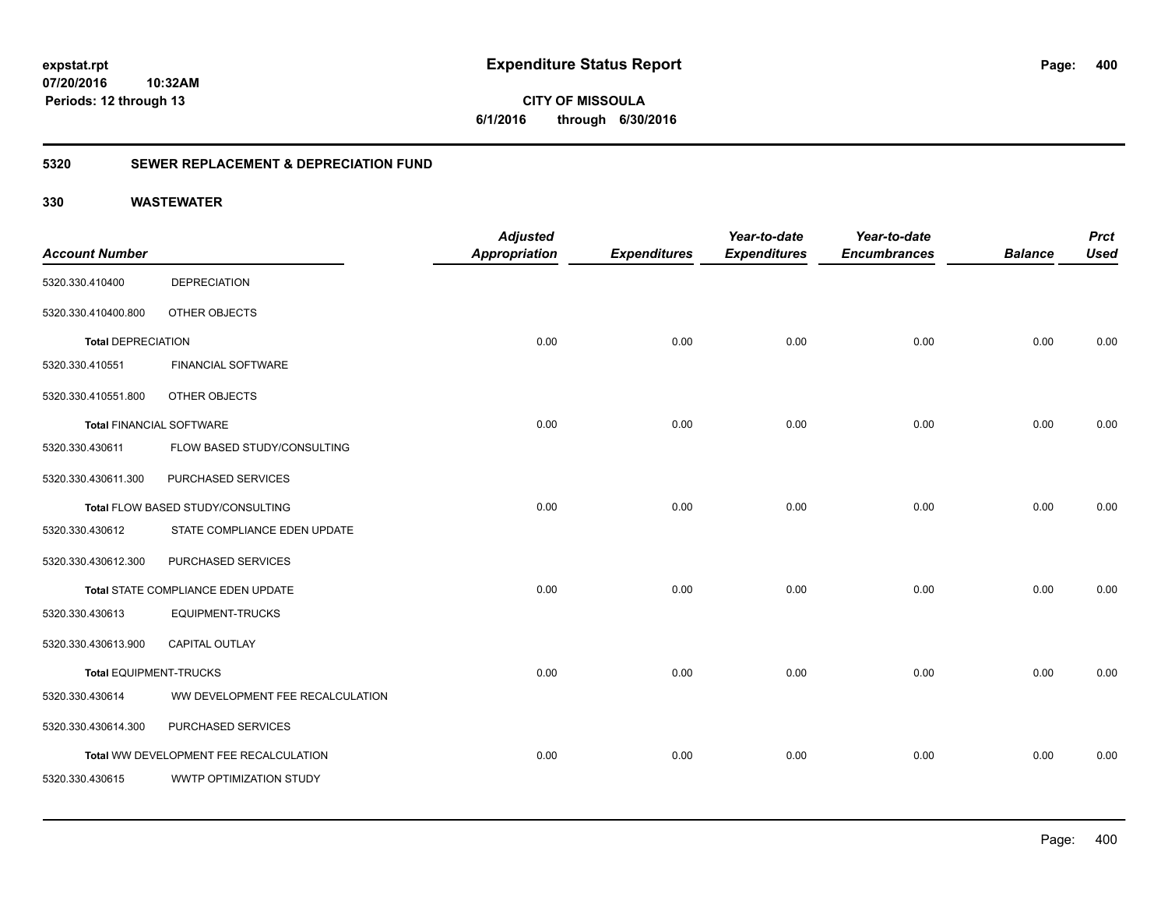**CITY OF MISSOULA 6/1/2016 through 6/30/2016**

### **5320 SEWER REPLACEMENT & DEPRECIATION FUND**

|                                 |                                        | <b>Adjusted</b>      |                     | Year-to-date        | Year-to-date        |                | <b>Prct</b> |
|---------------------------------|----------------------------------------|----------------------|---------------------|---------------------|---------------------|----------------|-------------|
| <b>Account Number</b>           |                                        | <b>Appropriation</b> | <b>Expenditures</b> | <b>Expenditures</b> | <b>Encumbrances</b> | <b>Balance</b> | <b>Used</b> |
| 5320.330.410400                 | <b>DEPRECIATION</b>                    |                      |                     |                     |                     |                |             |
| 5320.330.410400.800             | OTHER OBJECTS                          |                      |                     |                     |                     |                |             |
| <b>Total DEPRECIATION</b>       |                                        | 0.00                 | 0.00                | 0.00                | 0.00                | 0.00           | 0.00        |
| 5320.330.410551                 | <b>FINANCIAL SOFTWARE</b>              |                      |                     |                     |                     |                |             |
| 5320.330.410551.800             | OTHER OBJECTS                          |                      |                     |                     |                     |                |             |
| <b>Total FINANCIAL SOFTWARE</b> |                                        | 0.00                 | 0.00                | 0.00                | 0.00                | 0.00           | 0.00        |
| 5320.330.430611                 | FLOW BASED STUDY/CONSULTING            |                      |                     |                     |                     |                |             |
| 5320.330.430611.300             | PURCHASED SERVICES                     |                      |                     |                     |                     |                |             |
|                                 | Total FLOW BASED STUDY/CONSULTING      | 0.00                 | 0.00                | 0.00                | 0.00                | 0.00           | 0.00        |
| 5320.330.430612                 | STATE COMPLIANCE EDEN UPDATE           |                      |                     |                     |                     |                |             |
| 5320.330.430612.300             | PURCHASED SERVICES                     |                      |                     |                     |                     |                |             |
|                                 | Total STATE COMPLIANCE EDEN UPDATE     | 0.00                 | 0.00                | 0.00                | 0.00                | 0.00           | 0.00        |
| 5320.330.430613                 | <b>EQUIPMENT-TRUCKS</b>                |                      |                     |                     |                     |                |             |
| 5320.330.430613.900             | <b>CAPITAL OUTLAY</b>                  |                      |                     |                     |                     |                |             |
| <b>Total EQUIPMENT-TRUCKS</b>   |                                        | 0.00                 | 0.00                | 0.00                | 0.00                | 0.00           | 0.00        |
| 5320.330.430614                 | WW DEVELOPMENT FEE RECALCULATION       |                      |                     |                     |                     |                |             |
| 5320.330.430614.300             | PURCHASED SERVICES                     |                      |                     |                     |                     |                |             |
|                                 | Total WW DEVELOPMENT FEE RECALCULATION | 0.00                 | 0.00                | 0.00                | 0.00                | 0.00           | 0.00        |
| 5320.330.430615                 | WWTP OPTIMIZATION STUDY                |                      |                     |                     |                     |                |             |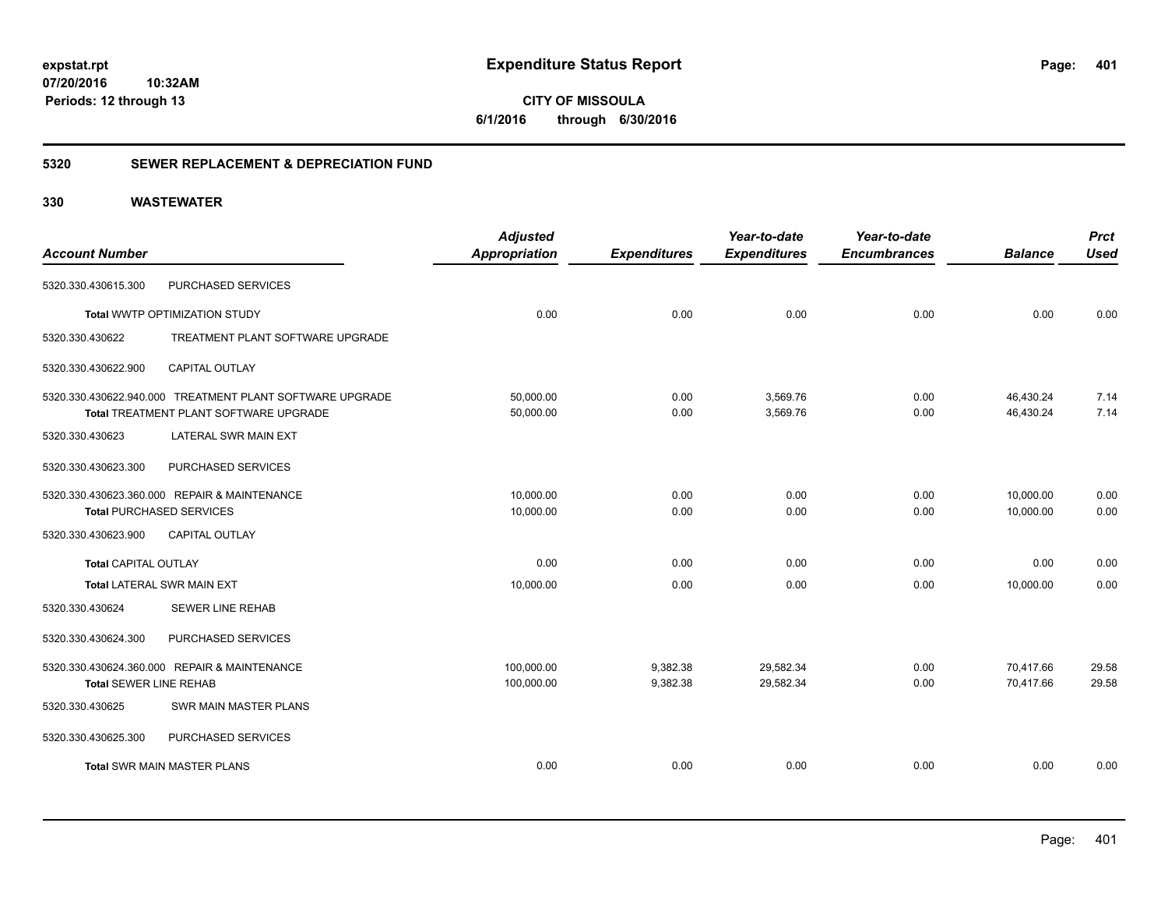### **5320 SEWER REPLACEMENT & DEPRECIATION FUND**

| <b>Account Number</b>         |                                                                                                    | <b>Adjusted</b><br><b>Appropriation</b> | <b>Expenditures</b>  | Year-to-date<br><b>Expenditures</b> | Year-to-date<br><b>Encumbrances</b> | <b>Balance</b>         | <b>Prct</b><br><b>Used</b> |
|-------------------------------|----------------------------------------------------------------------------------------------------|-----------------------------------------|----------------------|-------------------------------------|-------------------------------------|------------------------|----------------------------|
| 5320.330.430615.300           | PURCHASED SERVICES                                                                                 |                                         |                      |                                     |                                     |                        |                            |
|                               | Total WWTP OPTIMIZATION STUDY                                                                      | 0.00                                    | 0.00                 | 0.00                                | 0.00                                | 0.00                   | 0.00                       |
| 5320.330.430622               | TREATMENT PLANT SOFTWARE UPGRADE                                                                   |                                         |                      |                                     |                                     |                        |                            |
| 5320.330.430622.900           | <b>CAPITAL OUTLAY</b>                                                                              |                                         |                      |                                     |                                     |                        |                            |
|                               | 5320.330.430622.940.000 TREATMENT PLANT SOFTWARE UPGRADE<br>Total TREATMENT PLANT SOFTWARE UPGRADE | 50,000.00<br>50,000.00                  | 0.00<br>0.00         | 3,569.76<br>3,569.76                | 0.00<br>0.00                        | 46,430.24<br>46,430.24 | 7.14<br>7.14               |
| 5320.330.430623               | LATERAL SWR MAIN EXT                                                                               |                                         |                      |                                     |                                     |                        |                            |
| 5320.330.430623.300           | PURCHASED SERVICES                                                                                 |                                         |                      |                                     |                                     |                        |                            |
|                               | 5320.330.430623.360.000 REPAIR & MAINTENANCE<br><b>Total PURCHASED SERVICES</b>                    | 10,000.00<br>10,000.00                  | 0.00<br>0.00         | 0.00<br>0.00                        | 0.00<br>0.00                        | 10,000.00<br>10,000.00 | 0.00<br>0.00               |
| 5320.330.430623.900           | <b>CAPITAL OUTLAY</b>                                                                              |                                         |                      |                                     |                                     |                        |                            |
| <b>Total CAPITAL OUTLAY</b>   |                                                                                                    | 0.00                                    | 0.00                 | 0.00                                | 0.00                                | 0.00                   | 0.00                       |
|                               | Total LATERAL SWR MAIN EXT                                                                         | 10,000.00                               | 0.00                 | 0.00                                | 0.00                                | 10,000.00              | 0.00                       |
| 5320.330.430624               | <b>SEWER LINE REHAB</b>                                                                            |                                         |                      |                                     |                                     |                        |                            |
| 5320.330.430624.300           | PURCHASED SERVICES                                                                                 |                                         |                      |                                     |                                     |                        |                            |
| <b>Total SEWER LINE REHAB</b> | 5320.330.430624.360.000 REPAIR & MAINTENANCE                                                       | 100,000.00<br>100,000.00                | 9,382.38<br>9,382.38 | 29,582.34<br>29,582.34              | 0.00<br>0.00                        | 70,417.66<br>70,417.66 | 29.58<br>29.58             |
| 5320.330.430625               | SWR MAIN MASTER PLANS                                                                              |                                         |                      |                                     |                                     |                        |                            |
| 5320.330.430625.300           | PURCHASED SERVICES                                                                                 |                                         |                      |                                     |                                     |                        |                            |
|                               | <b>Total SWR MAIN MASTER PLANS</b>                                                                 | 0.00                                    | 0.00                 | 0.00                                | 0.00                                | 0.00                   | 0.00                       |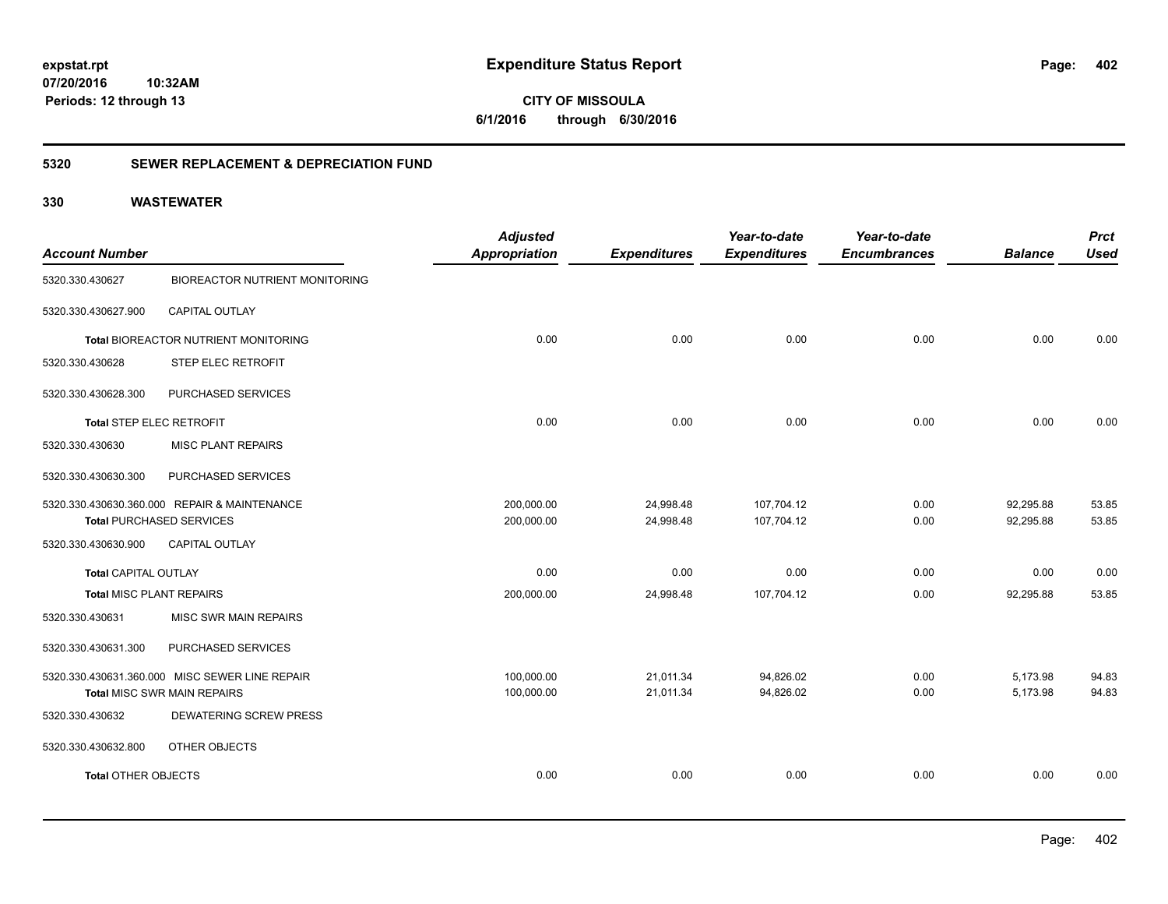**402**

**CITY OF MISSOULA 6/1/2016 through 6/30/2016**

### **5320 SEWER REPLACEMENT & DEPRECIATION FUND**

| <b>Account Number</b>           |                                                | <b>Adjusted</b><br>Appropriation | <b>Expenditures</b> | Year-to-date<br><b>Expenditures</b> | Year-to-date<br><b>Encumbrances</b> | <b>Balance</b> | <b>Prct</b><br><b>Used</b> |
|---------------------------------|------------------------------------------------|----------------------------------|---------------------|-------------------------------------|-------------------------------------|----------------|----------------------------|
|                                 |                                                |                                  |                     |                                     |                                     |                |                            |
| 5320.330.430627                 | <b>BIOREACTOR NUTRIENT MONITORING</b>          |                                  |                     |                                     |                                     |                |                            |
| 5320.330.430627.900             | CAPITAL OUTLAY                                 |                                  |                     |                                     |                                     |                |                            |
|                                 | Total BIOREACTOR NUTRIENT MONITORING           | 0.00                             | 0.00                | 0.00                                | 0.00                                | 0.00           | 0.00                       |
| 5320.330.430628                 | STEP ELEC RETROFIT                             |                                  |                     |                                     |                                     |                |                            |
| 5320.330.430628.300             | PURCHASED SERVICES                             |                                  |                     |                                     |                                     |                |                            |
| <b>Total STEP ELEC RETROFIT</b> |                                                | 0.00                             | 0.00                | 0.00                                | 0.00                                | 0.00           | 0.00                       |
| 5320.330.430630                 | <b>MISC PLANT REPAIRS</b>                      |                                  |                     |                                     |                                     |                |                            |
| 5320.330.430630.300             | PURCHASED SERVICES                             |                                  |                     |                                     |                                     |                |                            |
|                                 | 5320.330.430630.360.000 REPAIR & MAINTENANCE   | 200,000.00                       | 24,998.48           | 107,704.12                          | 0.00                                | 92,295.88      | 53.85                      |
|                                 | <b>Total PURCHASED SERVICES</b>                | 200,000.00                       | 24,998.48           | 107,704.12                          | 0.00                                | 92,295.88      | 53.85                      |
| 5320.330.430630.900             | <b>CAPITAL OUTLAY</b>                          |                                  |                     |                                     |                                     |                |                            |
| <b>Total CAPITAL OUTLAY</b>     |                                                | 0.00                             | 0.00                | 0.00                                | 0.00                                | 0.00           | 0.00                       |
| <b>Total MISC PLANT REPAIRS</b> |                                                | 200,000.00                       | 24,998.48           | 107,704.12                          | 0.00                                | 92,295.88      | 53.85                      |
| 5320.330.430631                 | <b>MISC SWR MAIN REPAIRS</b>                   |                                  |                     |                                     |                                     |                |                            |
| 5320.330.430631.300             | PURCHASED SERVICES                             |                                  |                     |                                     |                                     |                |                            |
|                                 | 5320.330.430631.360.000 MISC SEWER LINE REPAIR | 100,000.00                       | 21,011.34           | 94,826.02                           | 0.00                                | 5,173.98       | 94.83                      |
|                                 | <b>Total MISC SWR MAIN REPAIRS</b>             | 100,000.00                       | 21,011.34           | 94,826.02                           | 0.00                                | 5,173.98       | 94.83                      |
| 5320.330.430632                 | <b>DEWATERING SCREW PRESS</b>                  |                                  |                     |                                     |                                     |                |                            |
| 5320.330.430632.800             | OTHER OBJECTS                                  |                                  |                     |                                     |                                     |                |                            |
| <b>Total OTHER OBJECTS</b>      |                                                | 0.00                             | 0.00                | 0.00                                | 0.00                                | 0.00           | 0.00                       |
|                                 |                                                |                                  |                     |                                     |                                     |                |                            |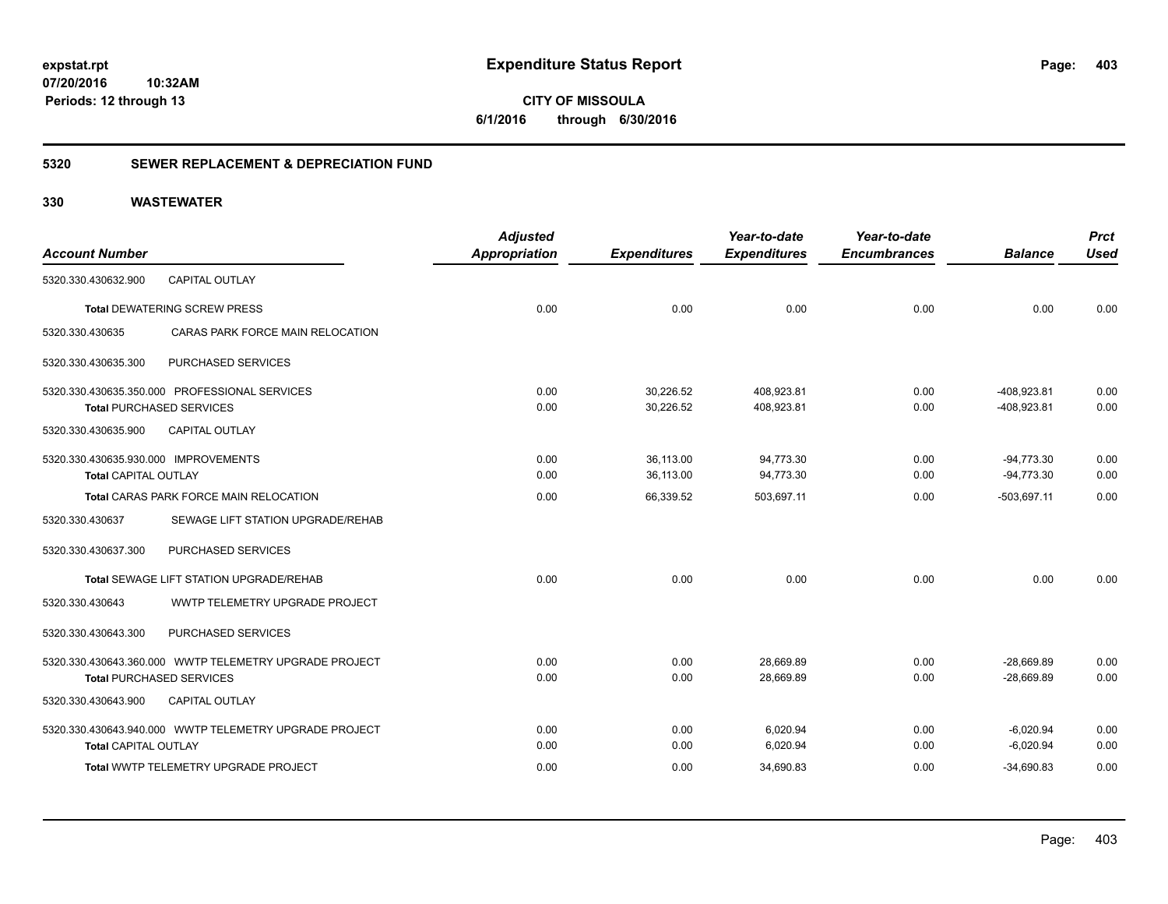### **5320 SEWER REPLACEMENT & DEPRECIATION FUND**

### **330 WASTEWATER**

|                                      |                                                        | <b>Adjusted</b>      |                     | Year-to-date        | Year-to-date        |                | <b>Prct</b> |
|--------------------------------------|--------------------------------------------------------|----------------------|---------------------|---------------------|---------------------|----------------|-------------|
| <b>Account Number</b>                |                                                        | <b>Appropriation</b> | <b>Expenditures</b> | <b>Expenditures</b> | <b>Encumbrances</b> | <b>Balance</b> | <b>Used</b> |
| 5320.330.430632.900                  | <b>CAPITAL OUTLAY</b>                                  |                      |                     |                     |                     |                |             |
|                                      | <b>Total DEWATERING SCREW PRESS</b>                    | 0.00                 | 0.00                | 0.00                | 0.00                | 0.00           | 0.00        |
| 5320.330.430635                      | CARAS PARK FORCE MAIN RELOCATION                       |                      |                     |                     |                     |                |             |
| 5320.330.430635.300                  | PURCHASED SERVICES                                     |                      |                     |                     |                     |                |             |
|                                      | 5320.330.430635.350.000 PROFESSIONAL SERVICES          | 0.00                 | 30,226.52           | 408,923.81          | 0.00                | -408.923.81    | 0.00        |
|                                      | <b>Total PURCHASED SERVICES</b>                        | 0.00                 | 30,226.52           | 408,923.81          | 0.00                | -408,923.81    | 0.00        |
| 5320.330.430635.900                  | <b>CAPITAL OUTLAY</b>                                  |                      |                     |                     |                     |                |             |
| 5320.330.430635.930.000 IMPROVEMENTS |                                                        | 0.00                 | 36,113.00           | 94,773.30           | 0.00                | $-94.773.30$   | 0.00        |
| <b>Total CAPITAL OUTLAY</b>          |                                                        | 0.00                 | 36,113.00           | 94,773.30           | 0.00                | $-94,773.30$   | 0.00        |
|                                      | Total CARAS PARK FORCE MAIN RELOCATION                 | 0.00                 | 66,339.52           | 503,697.11          | 0.00                | $-503,697.11$  | 0.00        |
| 5320.330.430637                      | SEWAGE LIFT STATION UPGRADE/REHAB                      |                      |                     |                     |                     |                |             |
| 5320.330.430637.300                  | PURCHASED SERVICES                                     |                      |                     |                     |                     |                |             |
|                                      | Total SEWAGE LIFT STATION UPGRADE/REHAB                | 0.00                 | 0.00                | 0.00                | 0.00                | 0.00           | 0.00        |
| 5320.330.430643                      | <b>WWTP TELEMETRY UPGRADE PROJECT</b>                  |                      |                     |                     |                     |                |             |
| 5320.330.430643.300                  | PURCHASED SERVICES                                     |                      |                     |                     |                     |                |             |
|                                      |                                                        | 0.00                 | 0.00                | 28.669.89           | 0.00                | $-28.669.89$   | 0.00        |
|                                      | <b>Total PURCHASED SERVICES</b>                        | 0.00                 | 0.00                | 28,669.89           | 0.00                | $-28,669.89$   | 0.00        |
| 5320.330.430643.900                  | <b>CAPITAL OUTLAY</b>                                  |                      |                     |                     |                     |                |             |
|                                      | 5320.330.430643.940.000 WWTP TELEMETRY UPGRADE PROJECT | 0.00                 | 0.00                | 6.020.94            | 0.00                | $-6,020.94$    | 0.00        |
| <b>Total CAPITAL OUTLAY</b>          |                                                        | 0.00                 | 0.00                | 6,020.94            | 0.00                | $-6,020.94$    | 0.00        |
|                                      | <b>Total WWTP TELEMETRY UPGRADE PROJECT</b>            | 0.00                 | 0.00                | 34,690.83           | 0.00                | $-34,690.83$   | 0.00        |

Page: 403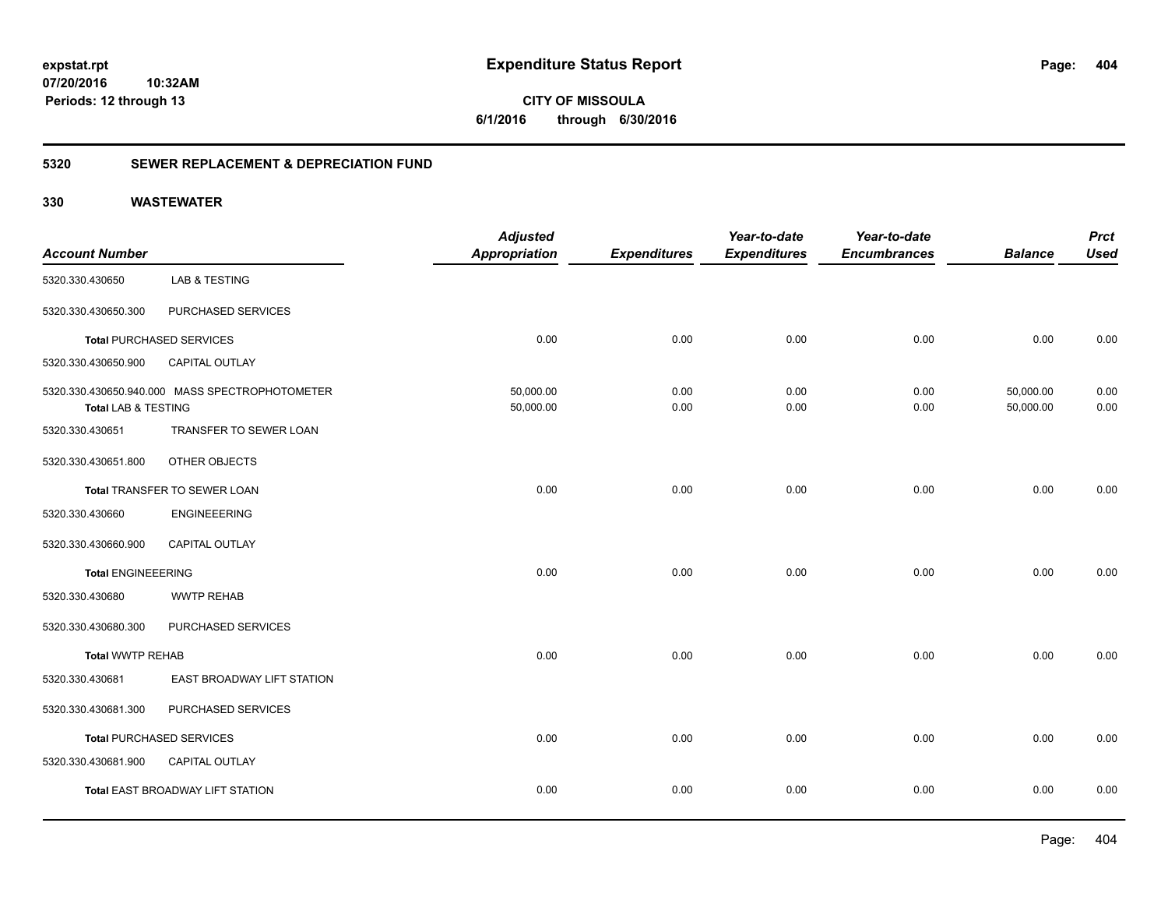**CITY OF MISSOULA 6/1/2016 through 6/30/2016**

### **5320 SEWER REPLACEMENT & DEPRECIATION FUND**

|                                |                                                | <b>Adjusted</b>      |                     | Year-to-date        | Year-to-date        |                | <b>Prct</b> |
|--------------------------------|------------------------------------------------|----------------------|---------------------|---------------------|---------------------|----------------|-------------|
| <b>Account Number</b>          |                                                | <b>Appropriation</b> | <b>Expenditures</b> | <b>Expenditures</b> | <b>Encumbrances</b> | <b>Balance</b> | <b>Used</b> |
| 5320.330.430650                | <b>LAB &amp; TESTING</b>                       |                      |                     |                     |                     |                |             |
| 5320.330.430650.300            | PURCHASED SERVICES                             |                      |                     |                     |                     |                |             |
|                                | <b>Total PURCHASED SERVICES</b>                | 0.00                 | 0.00                | 0.00                | 0.00                | 0.00           | 0.00        |
| 5320.330.430650.900            | CAPITAL OUTLAY                                 |                      |                     |                     |                     |                |             |
|                                | 5320.330.430650.940.000 MASS SPECTROPHOTOMETER | 50,000.00            | 0.00                | 0.00                | 0.00                | 50,000.00      | 0.00        |
| <b>Total LAB &amp; TESTING</b> |                                                | 50,000.00            | 0.00                | 0.00                | 0.00                | 50,000.00      | 0.00        |
| 5320.330.430651                | TRANSFER TO SEWER LOAN                         |                      |                     |                     |                     |                |             |
| 5320.330.430651.800            | OTHER OBJECTS                                  |                      |                     |                     |                     |                |             |
|                                | Total TRANSFER TO SEWER LOAN                   | 0.00                 | 0.00                | 0.00                | 0.00                | 0.00           | 0.00        |
| 5320.330.430660                | <b>ENGINEEERING</b>                            |                      |                     |                     |                     |                |             |
| 5320.330.430660.900            | CAPITAL OUTLAY                                 |                      |                     |                     |                     |                |             |
| <b>Total ENGINEEERING</b>      |                                                | 0.00                 | 0.00                | 0.00                | 0.00                | 0.00           | 0.00        |
| 5320.330.430680                | <b>WWTP REHAB</b>                              |                      |                     |                     |                     |                |             |
| 5320.330.430680.300            | PURCHASED SERVICES                             |                      |                     |                     |                     |                |             |
| <b>Total WWTP REHAB</b>        |                                                | 0.00                 | 0.00                | 0.00                | 0.00                | 0.00           | 0.00        |
| 5320.330.430681                | EAST BROADWAY LIFT STATION                     |                      |                     |                     |                     |                |             |
| 5320.330.430681.300            | PURCHASED SERVICES                             |                      |                     |                     |                     |                |             |
|                                | <b>Total PURCHASED SERVICES</b>                | 0.00                 | 0.00                | 0.00                | 0.00                | 0.00           | 0.00        |
| 5320.330.430681.900            | CAPITAL OUTLAY                                 |                      |                     |                     |                     |                |             |
|                                | Total EAST BROADWAY LIFT STATION               | 0.00                 | 0.00                | 0.00                | 0.00                | 0.00           | 0.00        |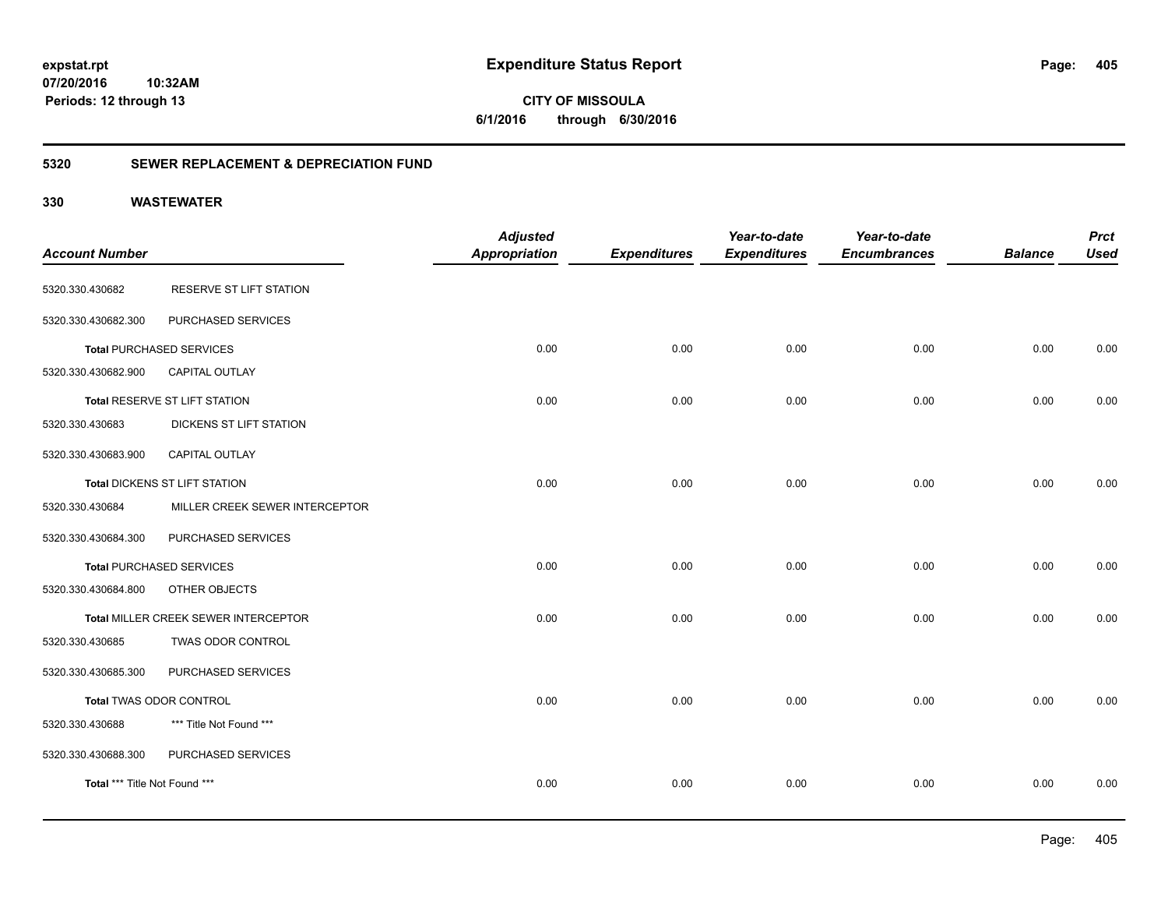### **5320 SEWER REPLACEMENT & DEPRECIATION FUND**

|                                | <b>Adjusted</b>                                                                                                                                                                                                                          |                      | Year-to-date        | Year-to-date        |                     | <b>Prct</b>    |
|--------------------------------|------------------------------------------------------------------------------------------------------------------------------------------------------------------------------------------------------------------------------------------|----------------------|---------------------|---------------------|---------------------|----------------|
|                                |                                                                                                                                                                                                                                          |                      |                     |                     |                     | <b>Used</b>    |
| RESERVE ST LIFT STATION        |                                                                                                                                                                                                                                          |                      |                     |                     |                     |                |
| PURCHASED SERVICES             |                                                                                                                                                                                                                                          |                      |                     |                     |                     |                |
|                                | 0.00                                                                                                                                                                                                                                     | 0.00                 | 0.00                | 0.00                | 0.00                | 0.00           |
| CAPITAL OUTLAY                 |                                                                                                                                                                                                                                          |                      |                     |                     |                     |                |
|                                | 0.00                                                                                                                                                                                                                                     | 0.00                 | 0.00                | 0.00                | 0.00                | 0.00           |
| DICKENS ST LIFT STATION        |                                                                                                                                                                                                                                          |                      |                     |                     |                     |                |
| <b>CAPITAL OUTLAY</b>          |                                                                                                                                                                                                                                          |                      |                     |                     |                     |                |
|                                | 0.00                                                                                                                                                                                                                                     | 0.00                 | 0.00                | 0.00                | 0.00                | 0.00           |
| MILLER CREEK SEWER INTERCEPTOR |                                                                                                                                                                                                                                          |                      |                     |                     |                     |                |
| PURCHASED SERVICES             |                                                                                                                                                                                                                                          |                      |                     |                     |                     |                |
|                                | 0.00                                                                                                                                                                                                                                     | 0.00                 | 0.00                | 0.00                | 0.00                | 0.00           |
| OTHER OBJECTS                  |                                                                                                                                                                                                                                          |                      |                     |                     |                     |                |
|                                | 0.00                                                                                                                                                                                                                                     | 0.00                 | 0.00                | 0.00                | 0.00                | 0.00           |
| TWAS ODOR CONTROL              |                                                                                                                                                                                                                                          |                      |                     |                     |                     |                |
| PURCHASED SERVICES             |                                                                                                                                                                                                                                          |                      |                     |                     |                     |                |
|                                | 0.00                                                                                                                                                                                                                                     | 0.00                 | 0.00                | 0.00                | 0.00                | 0.00           |
| *** Title Not Found ***        |                                                                                                                                                                                                                                          |                      |                     |                     |                     |                |
| PURCHASED SERVICES             |                                                                                                                                                                                                                                          |                      |                     |                     |                     |                |
|                                | 0.00                                                                                                                                                                                                                                     | 0.00                 | 0.00                | 0.00                | 0.00                | 0.00           |
|                                | <b>Total PURCHASED SERVICES</b><br>Total RESERVE ST LIFT STATION<br>Total DICKENS ST LIFT STATION<br><b>Total PURCHASED SERVICES</b><br>Total MILLER CREEK SEWER INTERCEPTOR<br>Total TWAS ODOR CONTROL<br>Total *** Title Not Found *** | <b>Appropriation</b> | <b>Expenditures</b> | <b>Expenditures</b> | <b>Encumbrances</b> | <b>Balance</b> |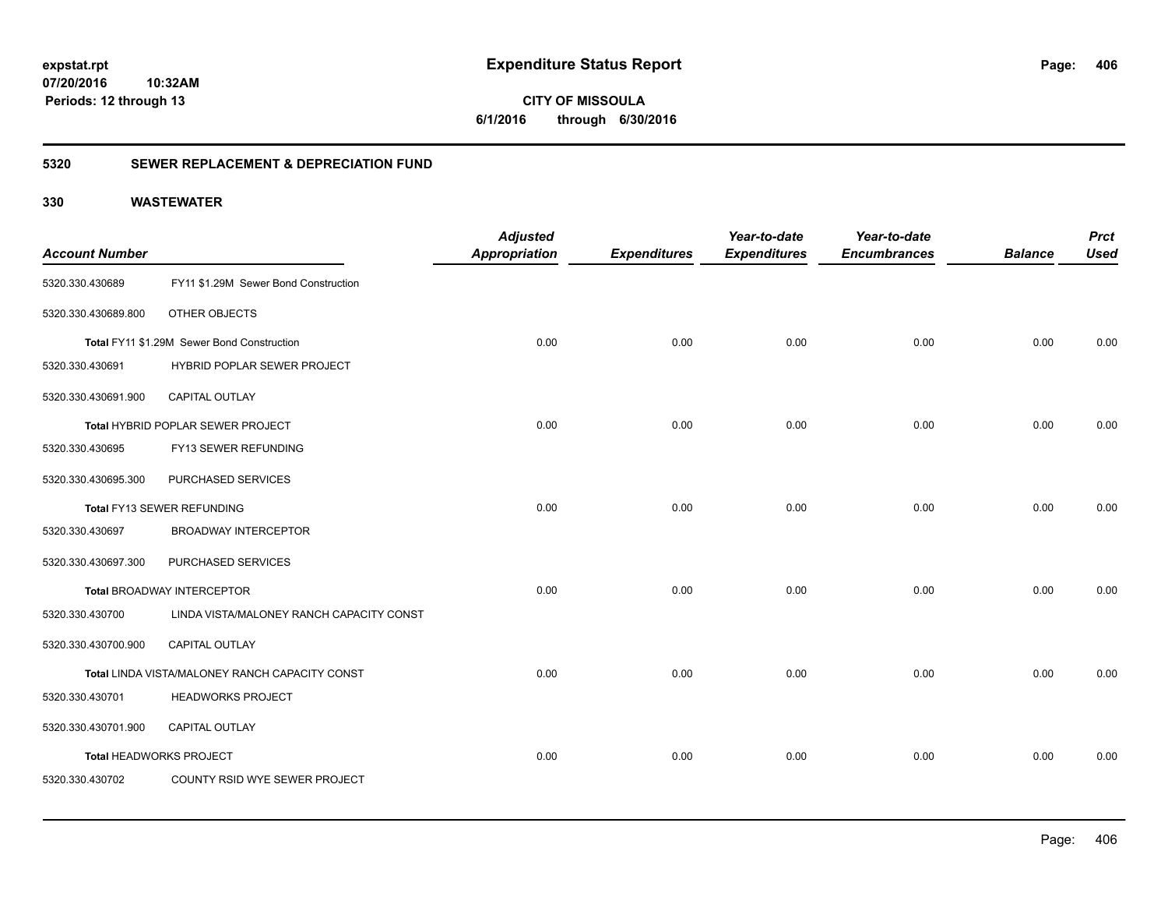**CITY OF MISSOULA 6/1/2016 through 6/30/2016**

### **5320 SEWER REPLACEMENT & DEPRECIATION FUND**

| <b>Account Number</b>   |                                                | <b>Adjusted</b><br><b>Appropriation</b> | <b>Expenditures</b> | Year-to-date<br><b>Expenditures</b> | Year-to-date<br><b>Encumbrances</b> | <b>Balance</b> | <b>Prct</b><br><b>Used</b> |
|-------------------------|------------------------------------------------|-----------------------------------------|---------------------|-------------------------------------|-------------------------------------|----------------|----------------------------|
| 5320.330.430689         | FY11 \$1.29M Sewer Bond Construction           |                                         |                     |                                     |                                     |                |                            |
| 5320.330.430689.800     | OTHER OBJECTS                                  |                                         |                     |                                     |                                     |                |                            |
|                         | Total FY11 \$1.29M Sewer Bond Construction     | 0.00                                    | 0.00                | 0.00                                | 0.00                                | 0.00           | 0.00                       |
| 5320.330.430691         | HYBRID POPLAR SEWER PROJECT                    |                                         |                     |                                     |                                     |                |                            |
| 5320.330.430691.900     | <b>CAPITAL OUTLAY</b>                          |                                         |                     |                                     |                                     |                |                            |
|                         | Total HYBRID POPLAR SEWER PROJECT              | 0.00                                    | 0.00                | 0.00                                | 0.00                                | 0.00           | 0.00                       |
| 5320.330.430695         | FY13 SEWER REFUNDING                           |                                         |                     |                                     |                                     |                |                            |
| 5320.330.430695.300     | PURCHASED SERVICES                             |                                         |                     |                                     |                                     |                |                            |
|                         | Total FY13 SEWER REFUNDING                     | 0.00                                    | 0.00                | 0.00                                | 0.00                                | 0.00           | 0.00                       |
| 5320.330.430697         | <b>BROADWAY INTERCEPTOR</b>                    |                                         |                     |                                     |                                     |                |                            |
| 5320.330.430697.300     | PURCHASED SERVICES                             |                                         |                     |                                     |                                     |                |                            |
|                         | <b>Total BROADWAY INTERCEPTOR</b>              | 0.00                                    | 0.00                | 0.00                                | 0.00                                | 0.00           | 0.00                       |
| 5320.330.430700         | LINDA VISTA/MALONEY RANCH CAPACITY CONST       |                                         |                     |                                     |                                     |                |                            |
| 5320.330.430700.900     | CAPITAL OUTLAY                                 |                                         |                     |                                     |                                     |                |                            |
|                         | Total LINDA VISTA/MALONEY RANCH CAPACITY CONST | 0.00                                    | 0.00                | 0.00                                | 0.00                                | 0.00           | 0.00                       |
| 5320.330.430701         | <b>HEADWORKS PROJECT</b>                       |                                         |                     |                                     |                                     |                |                            |
| 5320.330.430701.900     | <b>CAPITAL OUTLAY</b>                          |                                         |                     |                                     |                                     |                |                            |
| Total HEADWORKS PROJECT |                                                | 0.00                                    | 0.00                | 0.00                                | 0.00                                | 0.00           | 0.00                       |
| 5320.330.430702         | COUNTY RSID WYE SEWER PROJECT                  |                                         |                     |                                     |                                     |                |                            |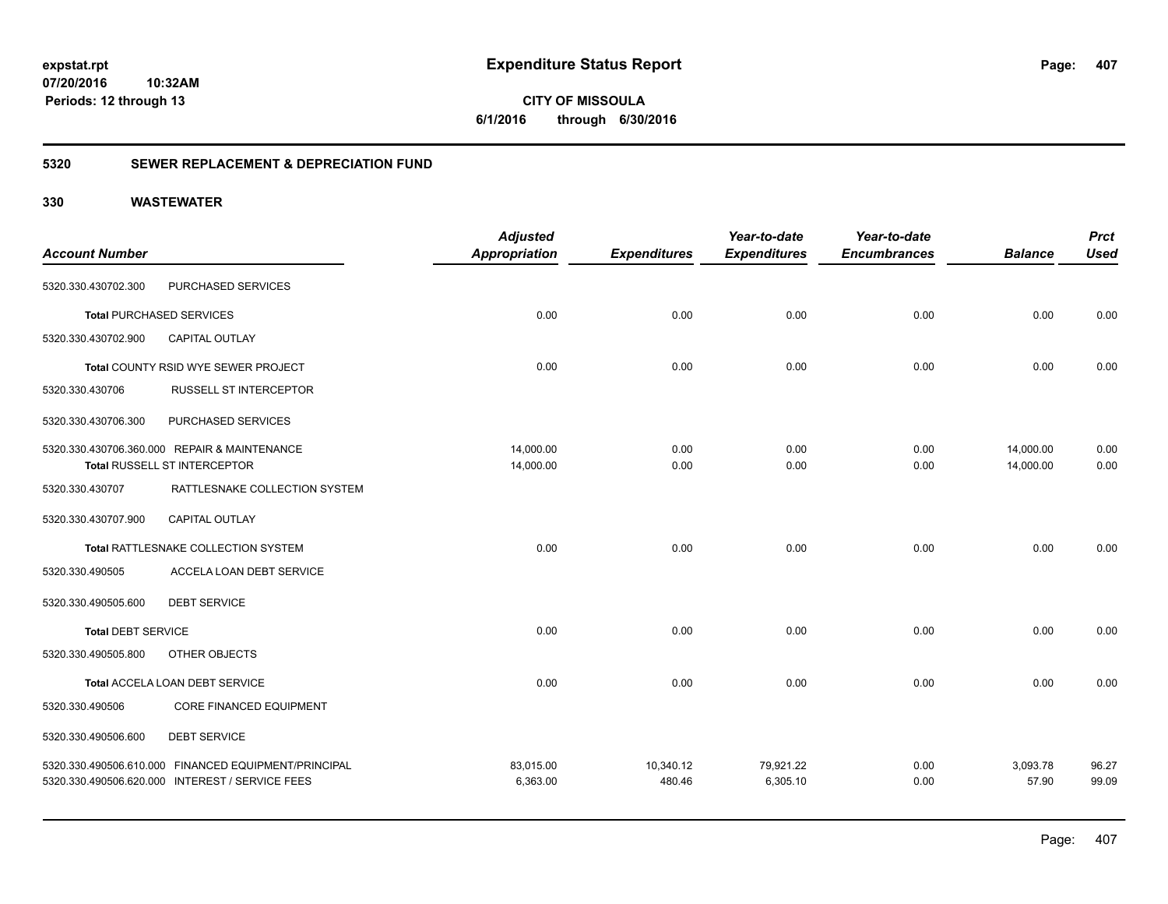### **5320 SEWER REPLACEMENT & DEPRECIATION FUND**

| <b>Account Number</b>     |                                                                                 | <b>Adjusted</b><br><b>Appropriation</b> | <b>Expenditures</b> | Year-to-date<br><b>Expenditures</b> | Year-to-date<br><b>Encumbrances</b> | <b>Balance</b>         | <b>Prct</b><br><b>Used</b> |
|---------------------------|---------------------------------------------------------------------------------|-----------------------------------------|---------------------|-------------------------------------|-------------------------------------|------------------------|----------------------------|
| 5320.330.430702.300       | PURCHASED SERVICES                                                              |                                         |                     |                                     |                                     |                        |                            |
|                           | <b>Total PURCHASED SERVICES</b>                                                 | 0.00                                    | 0.00                | 0.00                                | 0.00                                | 0.00                   | 0.00                       |
| 5320.330.430702.900       | <b>CAPITAL OUTLAY</b>                                                           |                                         |                     |                                     |                                     |                        |                            |
|                           | Total COUNTY RSID WYE SEWER PROJECT                                             | 0.00                                    | 0.00                | 0.00                                | 0.00                                | 0.00                   | 0.00                       |
| 5320.330.430706           | RUSSELL ST INTERCEPTOR                                                          |                                         |                     |                                     |                                     |                        |                            |
| 5320.330.430706.300       | PURCHASED SERVICES                                                              |                                         |                     |                                     |                                     |                        |                            |
|                           | 5320.330.430706.360.000 REPAIR & MAINTENANCE<br>Total RUSSELL ST INTERCEPTOR    | 14,000.00<br>14,000.00                  | 0.00<br>0.00        | 0.00<br>0.00                        | 0.00<br>0.00                        | 14,000.00<br>14,000.00 | 0.00<br>0.00               |
| 5320.330.430707           | RATTLESNAKE COLLECTION SYSTEM                                                   |                                         |                     |                                     |                                     |                        |                            |
| 5320.330.430707.900       | <b>CAPITAL OUTLAY</b>                                                           |                                         |                     |                                     |                                     |                        |                            |
|                           | Total RATTLESNAKE COLLECTION SYSTEM                                             | 0.00                                    | 0.00                | 0.00                                | 0.00                                | 0.00                   | 0.00                       |
| 5320.330.490505           | ACCELA LOAN DEBT SERVICE                                                        |                                         |                     |                                     |                                     |                        |                            |
| 5320.330.490505.600       | <b>DEBT SERVICE</b>                                                             |                                         |                     |                                     |                                     |                        |                            |
| <b>Total DEBT SERVICE</b> |                                                                                 | 0.00                                    | 0.00                | 0.00                                | 0.00                                | 0.00                   | 0.00                       |
| 5320.330.490505.800       | OTHER OBJECTS                                                                   |                                         |                     |                                     |                                     |                        |                            |
|                           | Total ACCELA LOAN DEBT SERVICE                                                  | 0.00                                    | 0.00                | 0.00                                | 0.00                                | 0.00                   | 0.00                       |
| 5320.330.490506           | <b>CORE FINANCED EQUIPMENT</b>                                                  |                                         |                     |                                     |                                     |                        |                            |
| 5320.330.490506.600       | <b>DEBT SERVICE</b>                                                             |                                         |                     |                                     |                                     |                        |                            |
| 5320.330.490506.610.000   | FINANCED EQUIPMENT/PRINCIPAL<br>5320.330.490506.620.000 INTEREST / SERVICE FEES | 83,015.00<br>6,363.00                   | 10,340.12<br>480.46 | 79,921.22<br>6,305.10               | 0.00<br>0.00                        | 3,093.78<br>57.90      | 96.27<br>99.09             |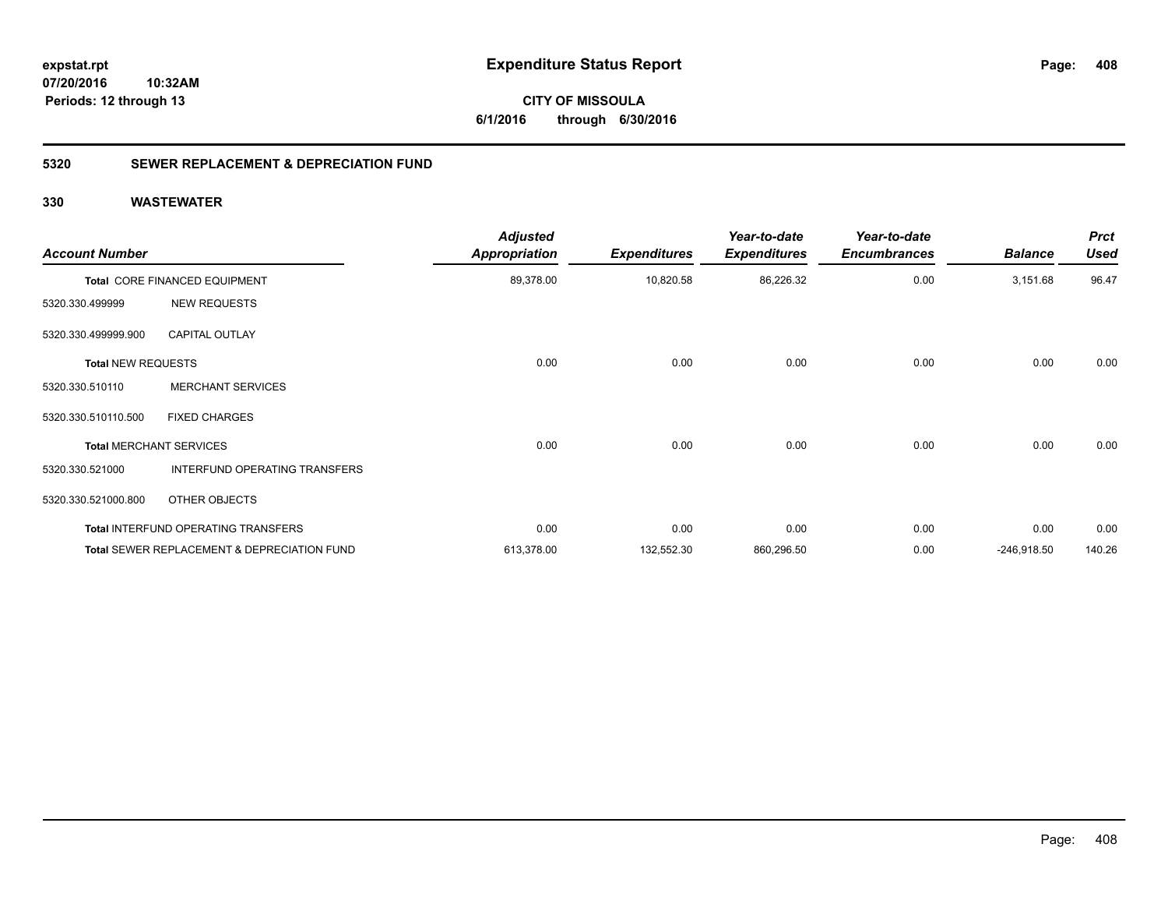**CITY OF MISSOULA 6/1/2016 through 6/30/2016**

### **5320 SEWER REPLACEMENT & DEPRECIATION FUND**

| <b>Account Number</b>     |                                             | <b>Adjusted</b><br><b>Appropriation</b> | <b>Expenditures</b> | Year-to-date<br><b>Expenditures</b> | Year-to-date<br><b>Encumbrances</b> | <b>Balance</b> | <b>Prct</b><br><b>Used</b> |
|---------------------------|---------------------------------------------|-----------------------------------------|---------------------|-------------------------------------|-------------------------------------|----------------|----------------------------|
|                           | Total CORE FINANCED EQUIPMENT               | 89,378.00                               | 10,820.58           | 86,226.32                           | 0.00                                | 3,151.68       | 96.47                      |
| 5320.330.499999           | <b>NEW REQUESTS</b>                         |                                         |                     |                                     |                                     |                |                            |
| 5320.330.499999.900       | <b>CAPITAL OUTLAY</b>                       |                                         |                     |                                     |                                     |                |                            |
| <b>Total NEW REQUESTS</b> |                                             | 0.00                                    | 0.00                | 0.00                                | 0.00                                | 0.00           | 0.00                       |
| 5320.330.510110           | <b>MERCHANT SERVICES</b>                    |                                         |                     |                                     |                                     |                |                            |
| 5320.330.510110.500       | <b>FIXED CHARGES</b>                        |                                         |                     |                                     |                                     |                |                            |
|                           | <b>Total MERCHANT SERVICES</b>              | 0.00                                    | 0.00                | 0.00                                | 0.00                                | 0.00           | 0.00                       |
| 5320.330.521000           | <b>INTERFUND OPERATING TRANSFERS</b>        |                                         |                     |                                     |                                     |                |                            |
| 5320.330.521000.800       | OTHER OBJECTS                               |                                         |                     |                                     |                                     |                |                            |
|                           | Total INTERFUND OPERATING TRANSFERS         | 0.00                                    | 0.00                | 0.00                                | 0.00                                | 0.00           | 0.00                       |
|                           | Total SEWER REPLACEMENT & DEPRECIATION FUND | 613,378.00                              | 132,552.30          | 860,296.50                          | 0.00                                | $-246,918.50$  | 140.26                     |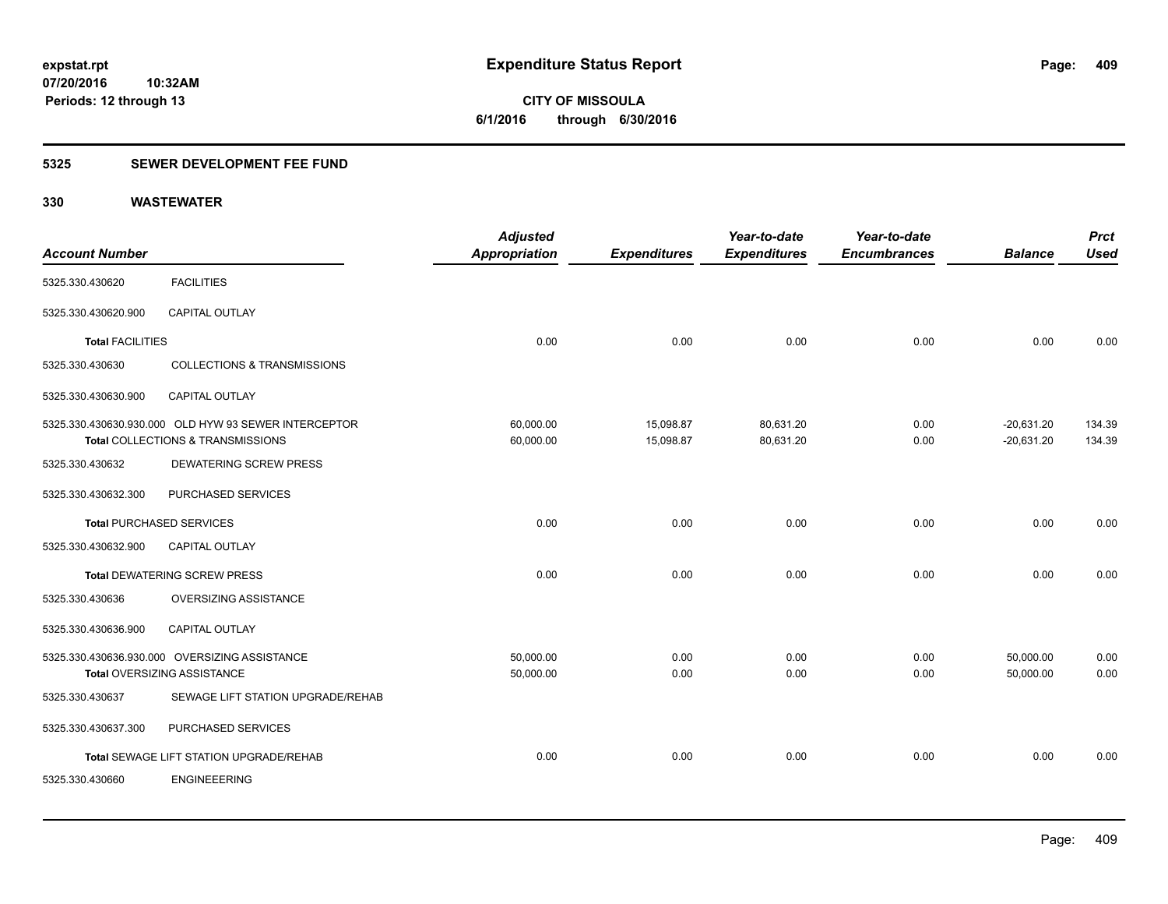**409**

**07/20/2016 10:32AM Periods: 12 through 13**

**CITY OF MISSOULA 6/1/2016 through 6/30/2016**

### **5325 SEWER DEVELOPMENT FEE FUND**

| <b>Account Number</b>           |                                                                                           | <b>Adjusted</b><br>Appropriation | <b>Expenditures</b>    | Year-to-date<br><b>Expenditures</b> | Year-to-date<br><b>Encumbrances</b> | <b>Balance</b>               | <b>Prct</b><br><b>Used</b> |
|---------------------------------|-------------------------------------------------------------------------------------------|----------------------------------|------------------------|-------------------------------------|-------------------------------------|------------------------------|----------------------------|
| 5325.330.430620                 | <b>FACILITIES</b>                                                                         |                                  |                        |                                     |                                     |                              |                            |
| 5325.330.430620.900             | CAPITAL OUTLAY                                                                            |                                  |                        |                                     |                                     |                              |                            |
| <b>Total FACILITIES</b>         |                                                                                           | 0.00                             | 0.00                   | 0.00                                | 0.00                                | 0.00                         | 0.00                       |
| 5325.330.430630                 | <b>COLLECTIONS &amp; TRANSMISSIONS</b>                                                    |                                  |                        |                                     |                                     |                              |                            |
| 5325.330.430630.900             | <b>CAPITAL OUTLAY</b>                                                                     |                                  |                        |                                     |                                     |                              |                            |
|                                 | 5325.330.430630.930.000 OLD HYW 93 SEWER INTERCEPTOR<br>Total COLLECTIONS & TRANSMISSIONS | 60,000.00<br>60,000.00           | 15,098.87<br>15,098.87 | 80,631.20<br>80,631.20              | 0.00<br>0.00                        | $-20,631.20$<br>$-20,631.20$ | 134.39<br>134.39           |
| 5325.330.430632                 | <b>DEWATERING SCREW PRESS</b>                                                             |                                  |                        |                                     |                                     |                              |                            |
| 5325.330.430632.300             | PURCHASED SERVICES                                                                        |                                  |                        |                                     |                                     |                              |                            |
| <b>Total PURCHASED SERVICES</b> |                                                                                           | 0.00                             | 0.00                   | 0.00                                | 0.00                                | 0.00                         | 0.00                       |
| 5325.330.430632.900             | CAPITAL OUTLAY                                                                            |                                  |                        |                                     |                                     |                              |                            |
|                                 | <b>Total DEWATERING SCREW PRESS</b>                                                       | 0.00                             | 0.00                   | 0.00                                | 0.00                                | 0.00                         | 0.00                       |
| 5325.330.430636                 | OVERSIZING ASSISTANCE                                                                     |                                  |                        |                                     |                                     |                              |                            |
| 5325.330.430636.900             | <b>CAPITAL OUTLAY</b>                                                                     |                                  |                        |                                     |                                     |                              |                            |
|                                 | 5325.330.430636.930.000 OVERSIZING ASSISTANCE<br><b>Total OVERSIZING ASSISTANCE</b>       | 50,000.00<br>50,000.00           | 0.00<br>0.00           | 0.00<br>0.00                        | 0.00<br>0.00                        | 50,000.00<br>50.000.00       | 0.00<br>0.00               |
| 5325.330.430637                 | SEWAGE LIFT STATION UPGRADE/REHAB                                                         |                                  |                        |                                     |                                     |                              |                            |
| 5325.330.430637.300             | PURCHASED SERVICES                                                                        |                                  |                        |                                     |                                     |                              |                            |
|                                 | Total SEWAGE LIFT STATION UPGRADE/REHAB                                                   | 0.00                             | 0.00                   | 0.00                                | 0.00                                | 0.00                         | 0.00                       |
| 5325.330.430660                 | <b>ENGINEEERING</b>                                                                       |                                  |                        |                                     |                                     |                              |                            |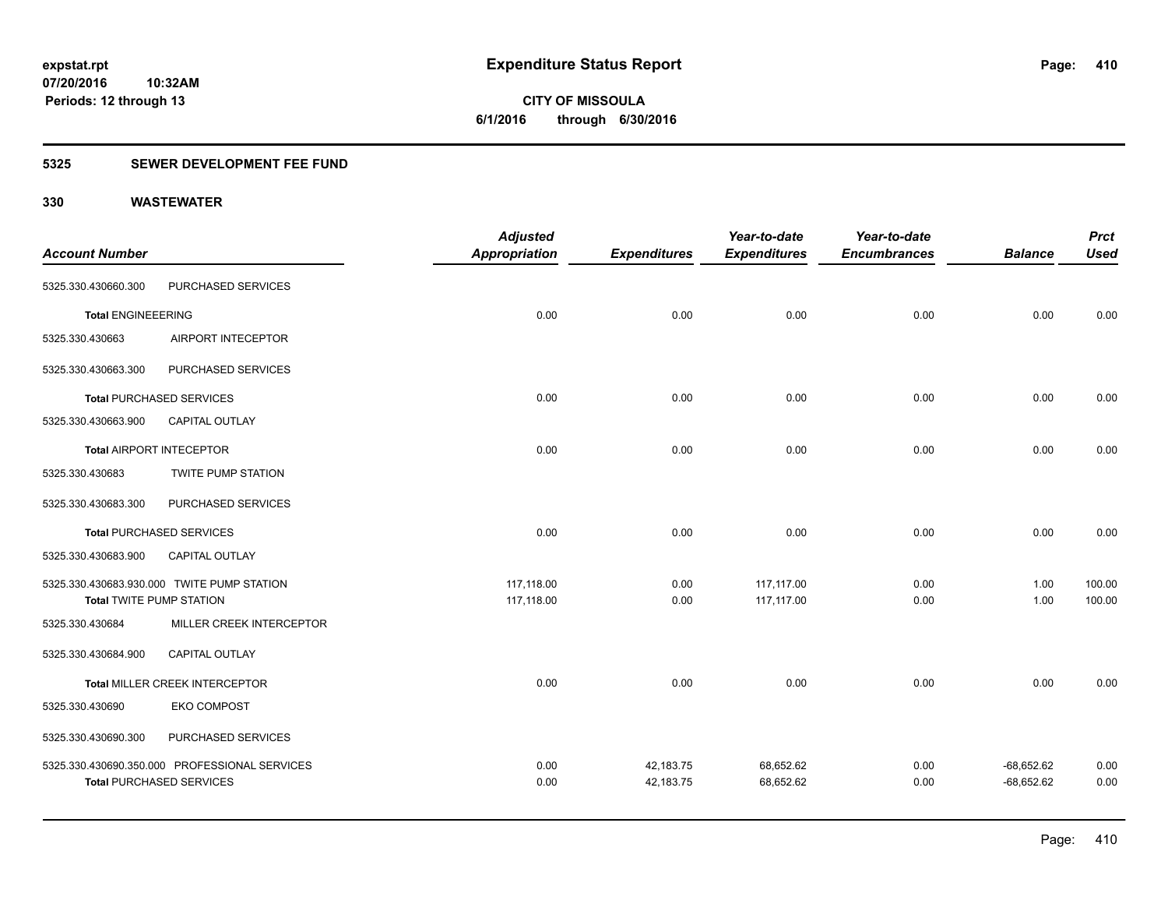**CITY OF MISSOULA 6/1/2016 through 6/30/2016**

### **5325 SEWER DEVELOPMENT FEE FUND**

|                                 |                                               | <b>Adjusted</b> |                     | Year-to-date        | Year-to-date        |                | <b>Prct</b> |
|---------------------------------|-----------------------------------------------|-----------------|---------------------|---------------------|---------------------|----------------|-------------|
| <b>Account Number</b>           |                                               | Appropriation   | <b>Expenditures</b> | <b>Expenditures</b> | <b>Encumbrances</b> | <b>Balance</b> | <b>Used</b> |
| 5325.330.430660.300             | PURCHASED SERVICES                            |                 |                     |                     |                     |                |             |
| <b>Total ENGINEEERING</b>       |                                               | 0.00            | 0.00                | 0.00                | 0.00                | 0.00           | 0.00        |
| 5325.330.430663                 | AIRPORT INTECEPTOR                            |                 |                     |                     |                     |                |             |
| 5325.330.430663.300             | PURCHASED SERVICES                            |                 |                     |                     |                     |                |             |
|                                 | <b>Total PURCHASED SERVICES</b>               | 0.00            | 0.00                | 0.00                | 0.00                | 0.00           | 0.00        |
| 5325.330.430663.900             | <b>CAPITAL OUTLAY</b>                         |                 |                     |                     |                     |                |             |
|                                 | <b>Total AIRPORT INTECEPTOR</b>               | 0.00            | 0.00                | 0.00                | 0.00                | 0.00           | 0.00        |
| 5325.330.430683                 | <b>TWITE PUMP STATION</b>                     |                 |                     |                     |                     |                |             |
| 5325.330.430683.300             | PURCHASED SERVICES                            |                 |                     |                     |                     |                |             |
|                                 | <b>Total PURCHASED SERVICES</b>               | 0.00            | 0.00                | 0.00                | 0.00                | 0.00           | 0.00        |
| 5325.330.430683.900             | CAPITAL OUTLAY                                |                 |                     |                     |                     |                |             |
|                                 | 5325.330.430683.930.000 TWITE PUMP STATION    | 117,118.00      | 0.00                | 117,117.00          | 0.00                | 1.00           | 100.00      |
| <b>Total TWITE PUMP STATION</b> |                                               | 117,118.00      | 0.00                | 117,117.00          | 0.00                | 1.00           | 100.00      |
| 5325.330.430684                 | MILLER CREEK INTERCEPTOR                      |                 |                     |                     |                     |                |             |
| 5325.330.430684.900             | CAPITAL OUTLAY                                |                 |                     |                     |                     |                |             |
|                                 | Total MILLER CREEK INTERCEPTOR                | 0.00            | 0.00                | 0.00                | 0.00                | 0.00           | 0.00        |
| 5325.330.430690                 | <b>EKO COMPOST</b>                            |                 |                     |                     |                     |                |             |
| 5325.330.430690.300             | PURCHASED SERVICES                            |                 |                     |                     |                     |                |             |
|                                 | 5325.330.430690.350.000 PROFESSIONAL SERVICES | 0.00            | 42,183.75           | 68,652.62           | 0.00                | $-68,652.62$   | 0.00        |
|                                 | <b>Total PURCHASED SERVICES</b>               | 0.00            | 42,183.75           | 68,652.62           | 0.00                | $-68,652.62$   | 0.00        |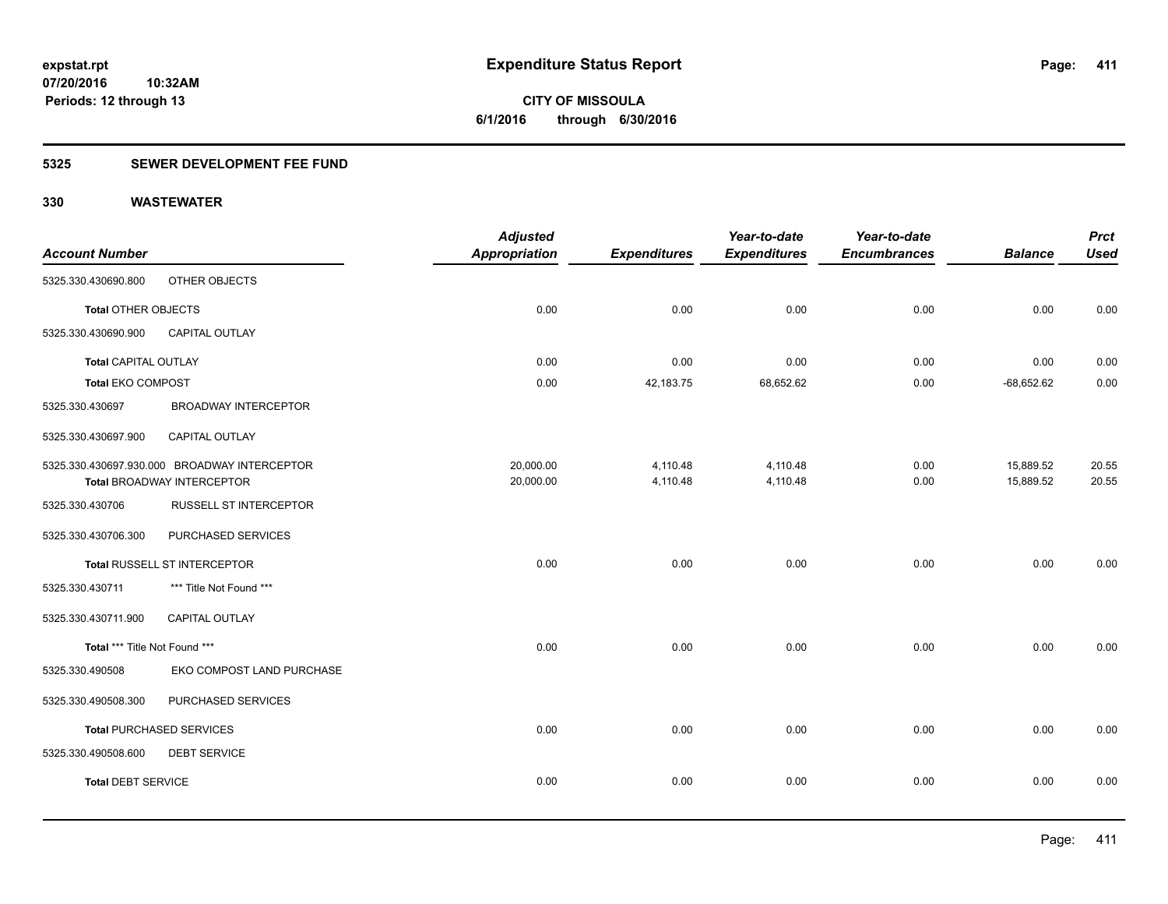**Periods: 12 through 13**

**CITY OF MISSOULA 6/1/2016 through 6/30/2016**

### **5325 SEWER DEVELOPMENT FEE FUND**

|                               |                                              | <b>Adjusted</b>      |                     | Year-to-date        | Year-to-date        |                | <b>Prct</b> |
|-------------------------------|----------------------------------------------|----------------------|---------------------|---------------------|---------------------|----------------|-------------|
| <b>Account Number</b>         |                                              | <b>Appropriation</b> | <b>Expenditures</b> | <b>Expenditures</b> | <b>Encumbrances</b> | <b>Balance</b> | <b>Used</b> |
| 5325.330.430690.800           | OTHER OBJECTS                                |                      |                     |                     |                     |                |             |
| <b>Total OTHER OBJECTS</b>    |                                              | 0.00                 | 0.00                | 0.00                | 0.00                | 0.00           | 0.00        |
| 5325.330.430690.900           | <b>CAPITAL OUTLAY</b>                        |                      |                     |                     |                     |                |             |
| Total CAPITAL OUTLAY          |                                              | 0.00                 | 0.00                | 0.00                | 0.00                | 0.00           | 0.00        |
| <b>Total EKO COMPOST</b>      |                                              | 0.00                 | 42,183.75           | 68,652.62           | 0.00                | $-68,652.62$   | 0.00        |
| 5325.330.430697               | <b>BROADWAY INTERCEPTOR</b>                  |                      |                     |                     |                     |                |             |
| 5325.330.430697.900           | CAPITAL OUTLAY                               |                      |                     |                     |                     |                |             |
|                               | 5325.330.430697.930.000 BROADWAY INTERCEPTOR | 20,000.00            | 4,110.48            | 4,110.48            | 0.00                | 15,889.52      | 20.55       |
|                               | Total BROADWAY INTERCEPTOR                   | 20,000.00            | 4,110.48            | 4,110.48            | 0.00                | 15,889.52      | 20.55       |
| 5325.330.430706               | <b>RUSSELL ST INTERCEPTOR</b>                |                      |                     |                     |                     |                |             |
| 5325.330.430706.300           | PURCHASED SERVICES                           |                      |                     |                     |                     |                |             |
|                               | Total RUSSELL ST INTERCEPTOR                 | 0.00                 | 0.00                | 0.00                | 0.00                | 0.00           | 0.00        |
| 5325.330.430711               | *** Title Not Found ***                      |                      |                     |                     |                     |                |             |
| 5325.330.430711.900           | CAPITAL OUTLAY                               |                      |                     |                     |                     |                |             |
| Total *** Title Not Found *** |                                              | 0.00                 | 0.00                | 0.00                | 0.00                | 0.00           | 0.00        |
| 5325.330.490508               | EKO COMPOST LAND PURCHASE                    |                      |                     |                     |                     |                |             |
| 5325.330.490508.300           | PURCHASED SERVICES                           |                      |                     |                     |                     |                |             |
|                               | <b>Total PURCHASED SERVICES</b>              | 0.00                 | 0.00                | 0.00                | 0.00                | 0.00           | 0.00        |
| 5325.330.490508.600           | <b>DEBT SERVICE</b>                          |                      |                     |                     |                     |                |             |
| <b>Total DEBT SERVICE</b>     |                                              | 0.00                 | 0.00                | 0.00                | 0.00                | 0.00           | 0.00        |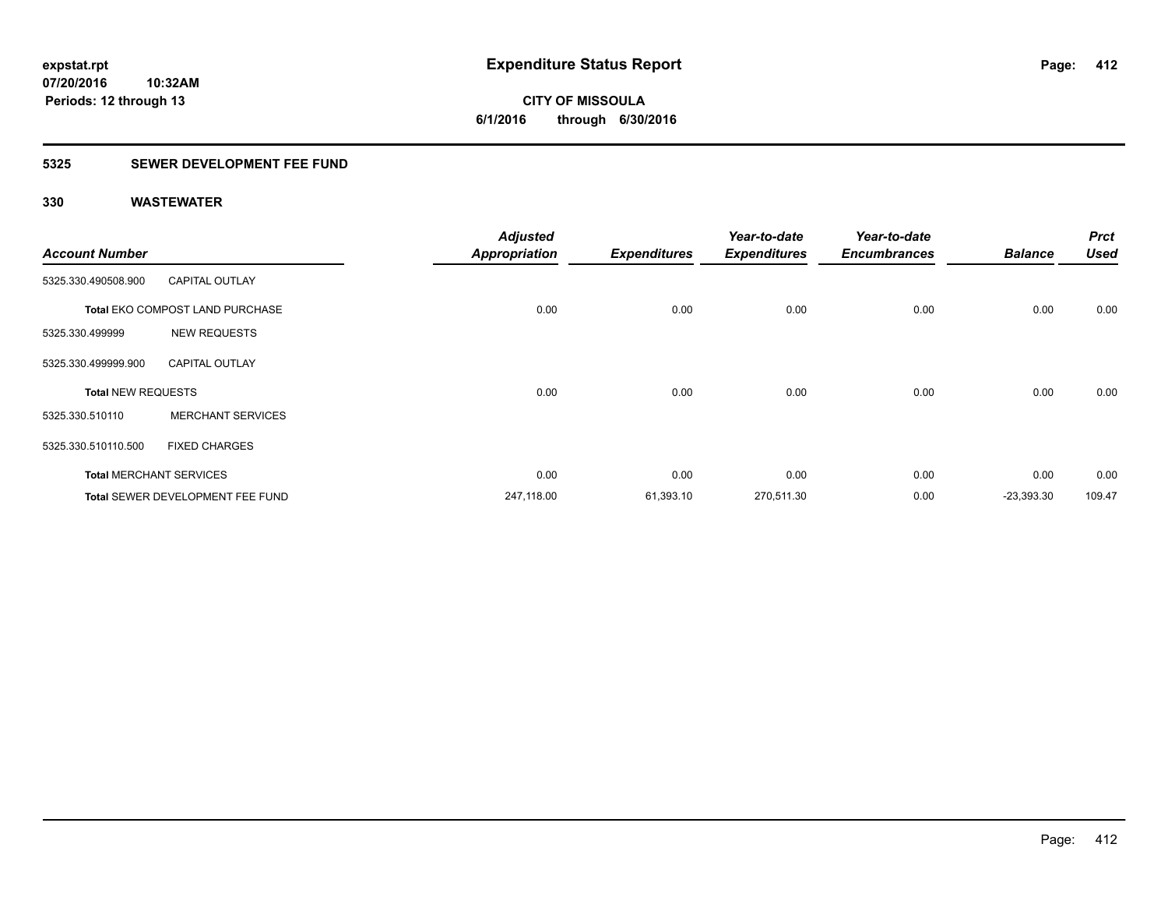### **5325 SEWER DEVELOPMENT FEE FUND**

| <b>Account Number</b>     |                                         | <b>Adjusted</b><br><b>Appropriation</b> | <b>Expenditures</b> | Year-to-date<br><b>Expenditures</b> | Year-to-date<br><b>Encumbrances</b> | <b>Balance</b> | <b>Prct</b><br><b>Used</b> |
|---------------------------|-----------------------------------------|-----------------------------------------|---------------------|-------------------------------------|-------------------------------------|----------------|----------------------------|
| 5325.330.490508.900       | <b>CAPITAL OUTLAY</b>                   |                                         |                     |                                     |                                     |                |                            |
|                           | <b>Total EKO COMPOST LAND PURCHASE</b>  | 0.00                                    | 0.00                | 0.00                                | 0.00                                | 0.00           | 0.00                       |
| 5325.330.499999           | <b>NEW REQUESTS</b>                     |                                         |                     |                                     |                                     |                |                            |
| 5325.330.499999.900       | <b>CAPITAL OUTLAY</b>                   |                                         |                     |                                     |                                     |                |                            |
| <b>Total NEW REQUESTS</b> |                                         | 0.00                                    | 0.00                | 0.00                                | 0.00                                | 0.00           | 0.00                       |
| 5325.330.510110           | <b>MERCHANT SERVICES</b>                |                                         |                     |                                     |                                     |                |                            |
| 5325.330.510110.500       | <b>FIXED CHARGES</b>                    |                                         |                     |                                     |                                     |                |                            |
|                           | <b>Total MERCHANT SERVICES</b>          | 0.00                                    | 0.00                | 0.00                                | 0.00                                | 0.00           | 0.00                       |
|                           | <b>Total SEWER DEVELOPMENT FEE FUND</b> | 247,118.00                              | 61,393.10           | 270,511.30                          | 0.00                                | $-23,393.30$   | 109.47                     |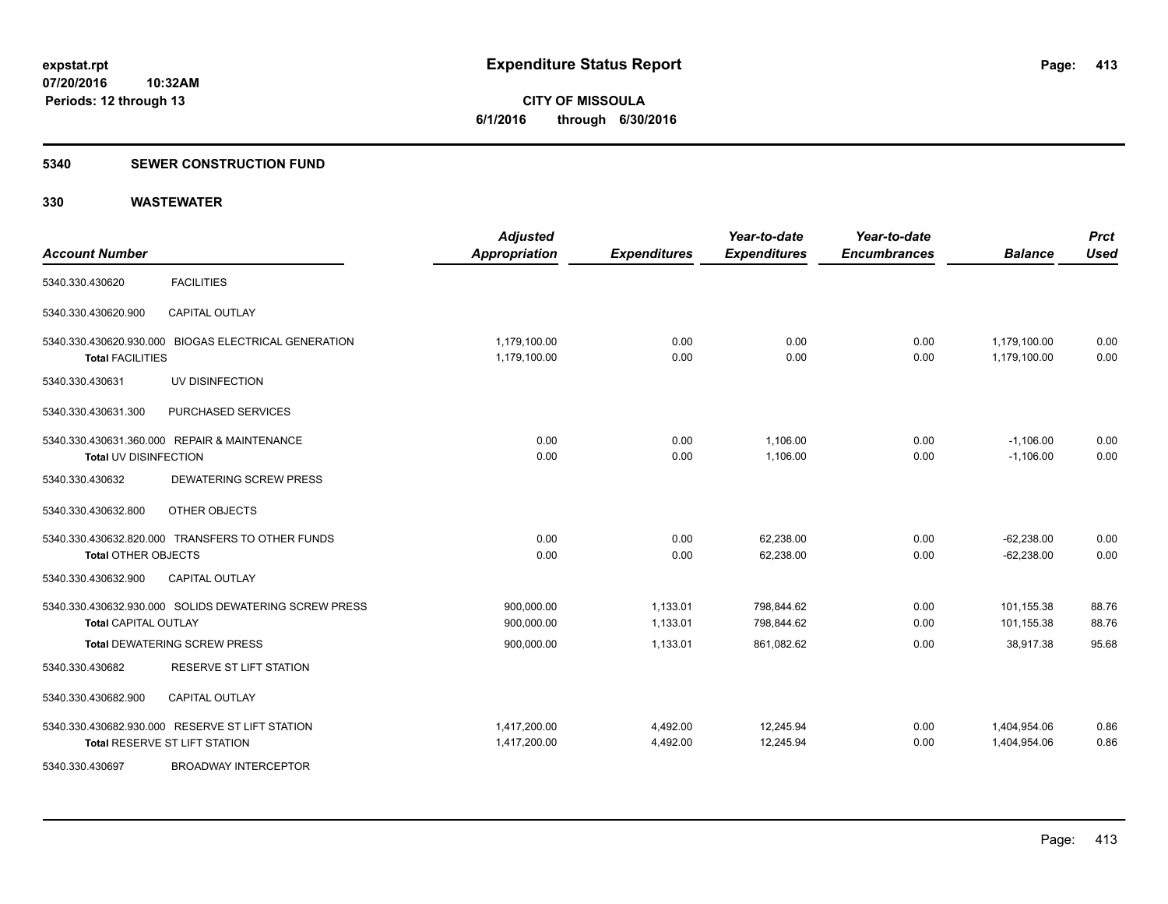### **5340 SEWER CONSTRUCTION FUND**

| <b>Account Number</b>                                                                | <b>Adjusted</b><br><b>Appropriation</b> | <b>Expenditures</b>  | Year-to-date<br><b>Expenditures</b> | Year-to-date<br><b>Encumbrances</b> | <b>Balance</b>               | <b>Prct</b><br><b>Used</b> |
|--------------------------------------------------------------------------------------|-----------------------------------------|----------------------|-------------------------------------|-------------------------------------|------------------------------|----------------------------|
| <b>FACILITIES</b><br>5340.330.430620                                                 |                                         |                      |                                     |                                     |                              |                            |
| 5340.330.430620.900<br><b>CAPITAL OUTLAY</b>                                         |                                         |                      |                                     |                                     |                              |                            |
| 5340.330.430620.930.000 BIOGAS ELECTRICAL GENERATION<br><b>Total FACILITIES</b>      | 1,179,100.00<br>1,179,100.00            | 0.00<br>0.00         | 0.00<br>0.00                        | 0.00<br>0.00                        | 1,179,100.00<br>1.179.100.00 | 0.00<br>0.00               |
| UV DISINFECTION<br>5340.330.430631                                                   |                                         |                      |                                     |                                     |                              |                            |
| PURCHASED SERVICES<br>5340.330.430631.300                                            |                                         |                      |                                     |                                     |                              |                            |
| 5340.330.430631.360.000 REPAIR & MAINTENANCE<br>Total UV DISINFECTION                | 0.00<br>0.00                            | 0.00<br>0.00         | 1,106.00<br>1,106.00                | 0.00<br>0.00                        | $-1,106.00$<br>$-1,106.00$   | 0.00<br>0.00               |
| <b>DEWATERING SCREW PRESS</b><br>5340.330.430632                                     |                                         |                      |                                     |                                     |                              |                            |
| 5340.330.430632.800<br>OTHER OBJECTS                                                 |                                         |                      |                                     |                                     |                              |                            |
| 5340.330.430632.820.000 TRANSFERS TO OTHER FUNDS<br><b>Total OTHER OBJECTS</b>       | 0.00<br>0.00                            | 0.00<br>0.00         | 62,238.00<br>62,238.00              | 0.00<br>0.00                        | $-62.238.00$<br>$-62,238.00$ | 0.00<br>0.00               |
| <b>CAPITAL OUTLAY</b><br>5340.330.430632.900                                         |                                         |                      |                                     |                                     |                              |                            |
| 5340.330.430632.930.000 SOLIDS DEWATERING SCREW PRESS<br><b>Total CAPITAL OUTLAY</b> | 900,000.00<br>900,000.00                | 1,133.01<br>1,133.01 | 798,844.62<br>798,844.62            | 0.00<br>0.00                        | 101,155.38<br>101,155.38     | 88.76<br>88.76             |
| <b>Total DEWATERING SCREW PRESS</b>                                                  | 900,000.00                              | 1,133.01             | 861,082.62                          | 0.00                                | 38,917.38                    | 95.68                      |
| <b>RESERVE ST LIFT STATION</b><br>5340.330.430682                                    |                                         |                      |                                     |                                     |                              |                            |
| 5340.330.430682.900<br><b>CAPITAL OUTLAY</b>                                         |                                         |                      |                                     |                                     |                              |                            |
| 5340.330.430682.930.000 RESERVE ST LIFT STATION<br>Total RESERVE ST LIFT STATION     | 1,417,200.00<br>1,417,200.00            | 4,492.00<br>4,492.00 | 12,245.94<br>12,245.94              | 0.00<br>0.00                        | 1,404,954.06<br>1,404,954.06 | 0.86<br>0.86               |
| <b>BROADWAY INTERCEPTOR</b><br>5340.330.430697                                       |                                         |                      |                                     |                                     |                              |                            |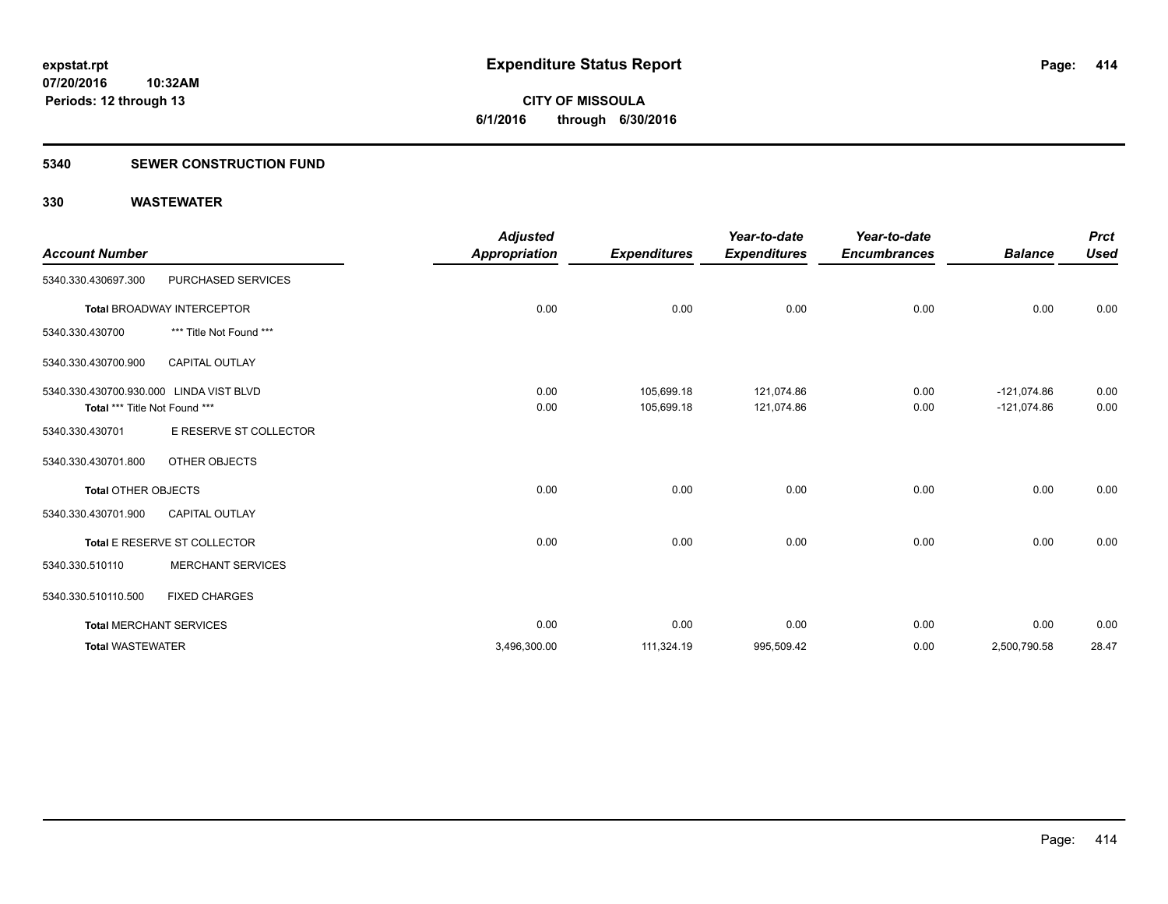### **5340 SEWER CONSTRUCTION FUND**

| <b>Account Number</b>                                                    |                                   | <b>Adjusted</b><br><b>Appropriation</b> | <b>Expenditures</b>      | Year-to-date<br><b>Expenditures</b> | Year-to-date<br><b>Encumbrances</b> | <b>Balance</b>                 | <b>Prct</b><br><b>Used</b> |
|--------------------------------------------------------------------------|-----------------------------------|-----------------------------------------|--------------------------|-------------------------------------|-------------------------------------|--------------------------------|----------------------------|
| 5340.330.430697.300                                                      | PURCHASED SERVICES                |                                         |                          |                                     |                                     |                                |                            |
|                                                                          | <b>Total BROADWAY INTERCEPTOR</b> | 0.00                                    | 0.00                     | 0.00                                | 0.00                                | 0.00                           | 0.00                       |
| 5340.330.430700                                                          | *** Title Not Found ***           |                                         |                          |                                     |                                     |                                |                            |
| 5340.330.430700.900                                                      | <b>CAPITAL OUTLAY</b>             |                                         |                          |                                     |                                     |                                |                            |
| 5340.330.430700.930.000 LINDA VIST BLVD<br>Total *** Title Not Found *** |                                   | 0.00<br>0.00                            | 105,699.18<br>105,699.18 | 121,074.86<br>121,074.86            | 0.00<br>0.00                        | $-121,074.86$<br>$-121,074.86$ | 0.00<br>0.00               |
| 5340.330.430701                                                          | E RESERVE ST COLLECTOR            |                                         |                          |                                     |                                     |                                |                            |
| 5340.330.430701.800                                                      | OTHER OBJECTS                     |                                         |                          |                                     |                                     |                                |                            |
| <b>Total OTHER OBJECTS</b>                                               |                                   | 0.00                                    | 0.00                     | 0.00                                | 0.00                                | 0.00                           | 0.00                       |
| 5340.330.430701.900                                                      | <b>CAPITAL OUTLAY</b>             |                                         |                          |                                     |                                     |                                |                            |
|                                                                          | Total E RESERVE ST COLLECTOR      | 0.00                                    | 0.00                     | 0.00                                | 0.00                                | 0.00                           | 0.00                       |
| 5340.330.510110                                                          | <b>MERCHANT SERVICES</b>          |                                         |                          |                                     |                                     |                                |                            |
| 5340.330.510110.500                                                      | <b>FIXED CHARGES</b>              |                                         |                          |                                     |                                     |                                |                            |
|                                                                          | <b>Total MERCHANT SERVICES</b>    | 0.00                                    | 0.00                     | 0.00                                | 0.00                                | 0.00                           | 0.00                       |
| <b>Total WASTEWATER</b>                                                  |                                   | 3,496,300.00                            | 111,324.19               | 995,509.42                          | 0.00                                | 2,500,790.58                   | 28.47                      |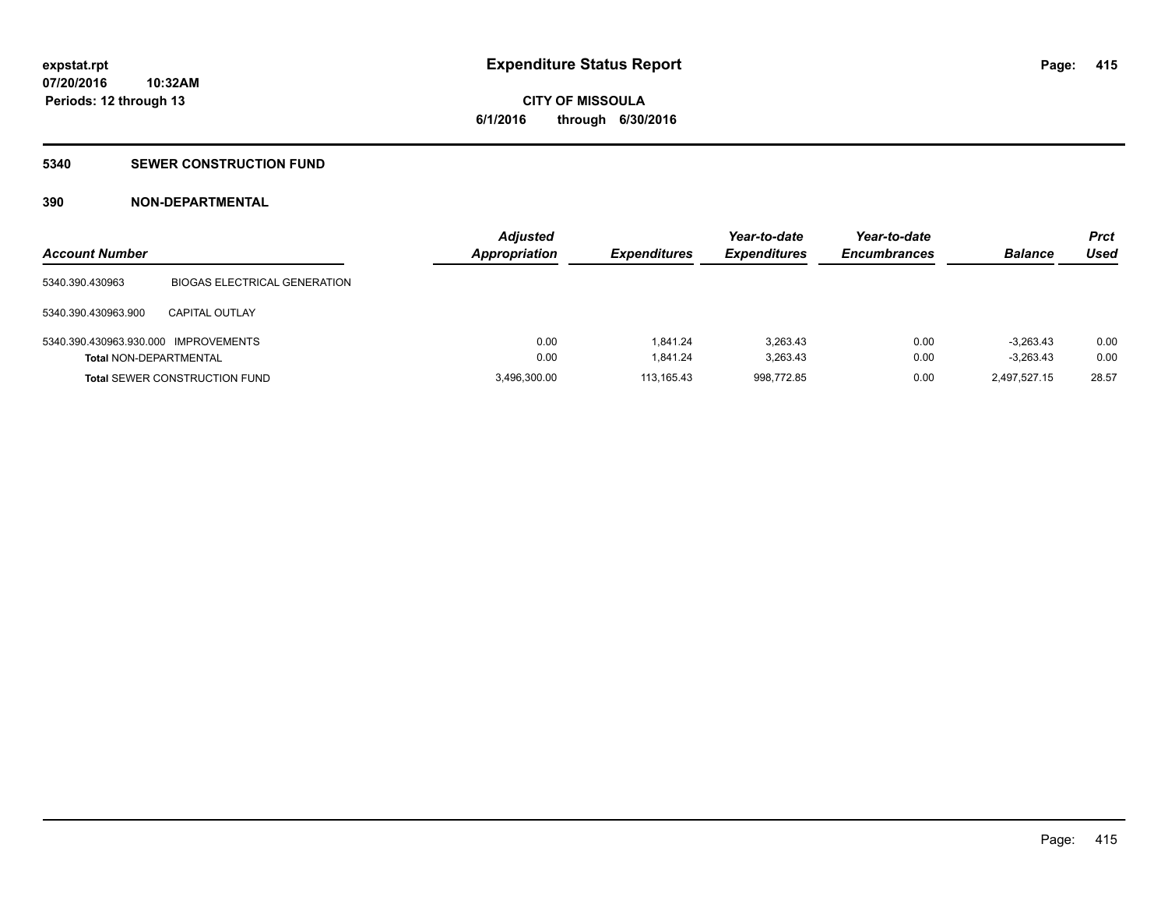### **5340 SEWER CONSTRUCTION FUND**

### **390 NON-DEPARTMENTAL**

| <b>Account Number</b>                |                                      | <b>Adjusted</b><br><b>Appropriation</b> | <b>Expenditures</b> | Year-to-date<br><b>Expenditures</b> | Year-to-date<br><b>Encumbrances</b> | <b>Balance</b> | <b>Prct</b><br>Used |
|--------------------------------------|--------------------------------------|-----------------------------------------|---------------------|-------------------------------------|-------------------------------------|----------------|---------------------|
| 5340.390.430963                      | <b>BIOGAS ELECTRICAL GENERATION</b>  |                                         |                     |                                     |                                     |                |                     |
| 5340.390.430963.900                  | <b>CAPITAL OUTLAY</b>                |                                         |                     |                                     |                                     |                |                     |
| 5340.390.430963.930.000 IMPROVEMENTS |                                      | 0.00                                    | 1.841.24            | 3.263.43                            | 0.00                                | $-3.263.43$    | 0.00                |
| <b>Total NON-DEPARTMENTAL</b>        |                                      | 0.00                                    | 1.841.24            | 3,263.43                            | 0.00                                | $-3,263.43$    | 0.00                |
|                                      | <b>Total SEWER CONSTRUCTION FUND</b> | 3,496,300.00                            | 113.165.43          | 998.772.85                          | 0.00                                | 2,497,527.15   | 28.57               |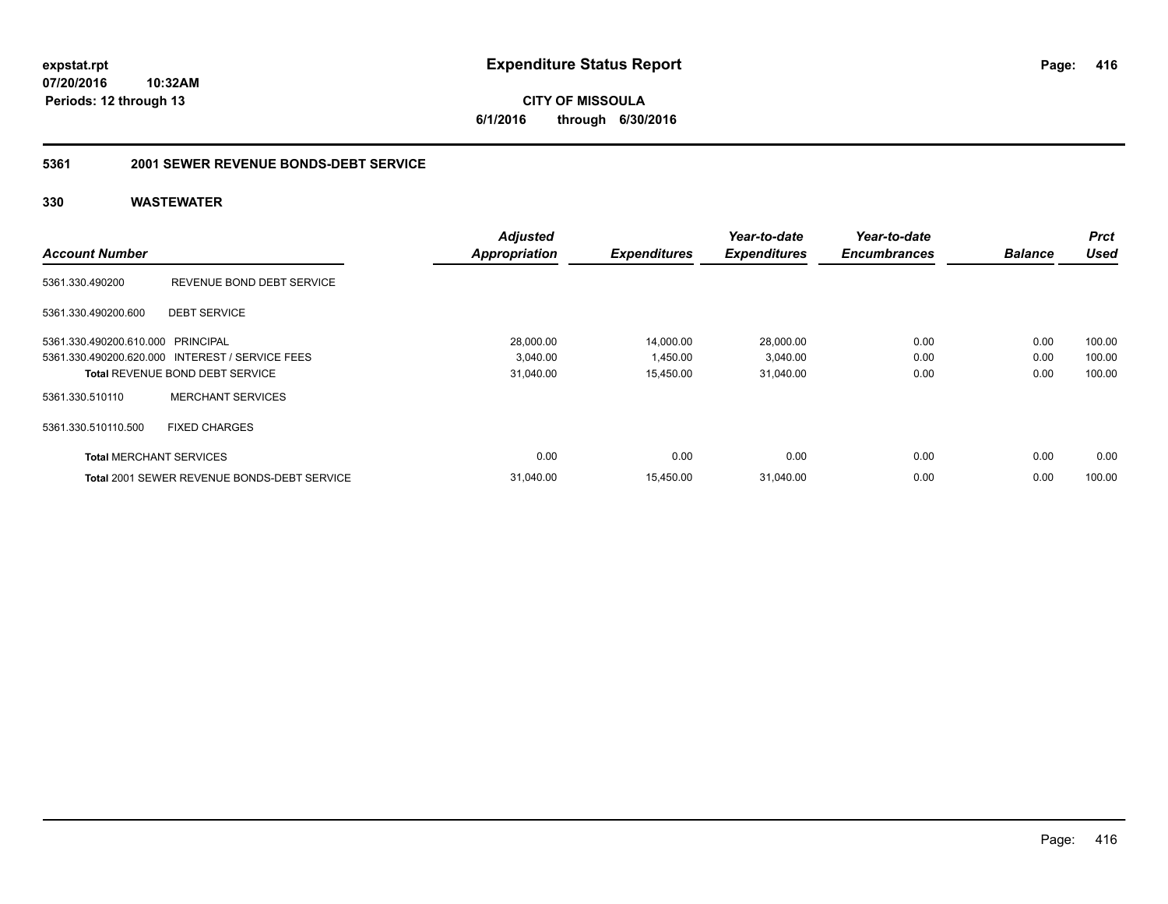**CITY OF MISSOULA 6/1/2016 through 6/30/2016**

### **5361 2001 SEWER REVENUE BONDS-DEBT SERVICE**

| <b>Account Number</b>             |                                                    | <b>Adjusted</b><br><b>Appropriation</b> | <b>Expenditures</b> | Year-to-date<br><b>Expenditures</b> | Year-to-date<br><b>Encumbrances</b> | <b>Balance</b> | <b>Prct</b><br><b>Used</b> |
|-----------------------------------|----------------------------------------------------|-----------------------------------------|---------------------|-------------------------------------|-------------------------------------|----------------|----------------------------|
|                                   |                                                    |                                         |                     |                                     |                                     |                |                            |
| 5361.330.490200                   | REVENUE BOND DEBT SERVICE                          |                                         |                     |                                     |                                     |                |                            |
| 5361.330.490200.600               | <b>DEBT SERVICE</b>                                |                                         |                     |                                     |                                     |                |                            |
| 5361.330.490200.610.000 PRINCIPAL |                                                    | 28,000.00                               | 14,000.00           | 28,000.00                           | 0.00                                | 0.00           | 100.00                     |
|                                   | 5361.330.490200.620.000 INTEREST / SERVICE FEES    | 3,040.00                                | 1,450.00            | 3,040.00                            | 0.00                                | 0.00           | 100.00                     |
|                                   | <b>Total REVENUE BOND DEBT SERVICE</b>             | 31,040.00                               | 15,450.00           | 31,040.00                           | 0.00                                | 0.00           | 100.00                     |
| 5361.330.510110                   | <b>MERCHANT SERVICES</b>                           |                                         |                     |                                     |                                     |                |                            |
| 5361.330.510110.500               | <b>FIXED CHARGES</b>                               |                                         |                     |                                     |                                     |                |                            |
| <b>Total MERCHANT SERVICES</b>    |                                                    | 0.00                                    | 0.00                | 0.00                                | 0.00                                | 0.00           | 0.00                       |
|                                   | <b>Total 2001 SEWER REVENUE BONDS-DEBT SERVICE</b> | 31.040.00                               | 15.450.00           | 31,040.00                           | 0.00                                | 0.00           | 100.00                     |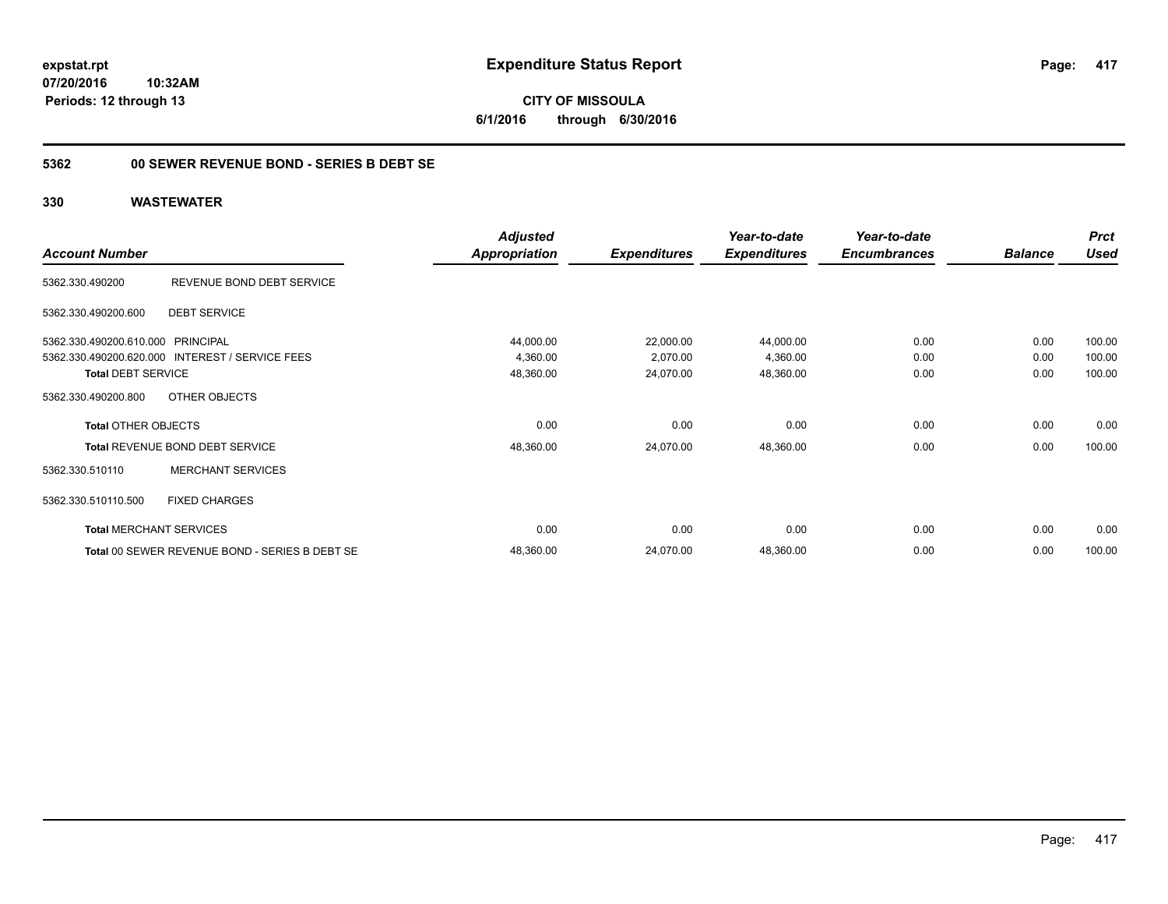### **5362 00 SEWER REVENUE BOND - SERIES B DEBT SE**

|                                   |                                                 | <b>Adjusted</b>      |                     | Year-to-date        | Year-to-date        |                | <b>Prct</b> |
|-----------------------------------|-------------------------------------------------|----------------------|---------------------|---------------------|---------------------|----------------|-------------|
| <b>Account Number</b>             |                                                 | <b>Appropriation</b> | <b>Expenditures</b> | <b>Expenditures</b> | <b>Encumbrances</b> | <b>Balance</b> | <b>Used</b> |
| 5362.330.490200                   | REVENUE BOND DEBT SERVICE                       |                      |                     |                     |                     |                |             |
| 5362.330.490200.600               | <b>DEBT SERVICE</b>                             |                      |                     |                     |                     |                |             |
| 5362.330.490200.610.000 PRINCIPAL |                                                 | 44,000.00            | 22,000.00           | 44,000.00           | 0.00                | 0.00           | 100.00      |
|                                   | 5362.330.490200.620.000 INTEREST / SERVICE FEES | 4,360.00             | 2,070.00            | 4,360.00            | 0.00                | 0.00           | 100.00      |
| <b>Total DEBT SERVICE</b>         |                                                 | 48,360.00            | 24,070.00           | 48,360.00           | 0.00                | 0.00           | 100.00      |
| 5362.330.490200.800               | OTHER OBJECTS                                   |                      |                     |                     |                     |                |             |
| <b>Total OTHER OBJECTS</b>        |                                                 | 0.00                 | 0.00                | 0.00                | 0.00                | 0.00           | 0.00        |
|                                   | Total REVENUE BOND DEBT SERVICE                 | 48,360.00            | 24,070.00           | 48,360.00           | 0.00                | 0.00           | 100.00      |
| 5362.330.510110                   | <b>MERCHANT SERVICES</b>                        |                      |                     |                     |                     |                |             |
| 5362.330.510110.500               | <b>FIXED CHARGES</b>                            |                      |                     |                     |                     |                |             |
|                                   | <b>Total MERCHANT SERVICES</b>                  | 0.00                 | 0.00                | 0.00                | 0.00                | 0.00           | 0.00        |
|                                   | Total 00 SEWER REVENUE BOND - SERIES B DEBT SE  | 48,360.00            | 24,070.00           | 48,360.00           | 0.00                | 0.00           | 100.00      |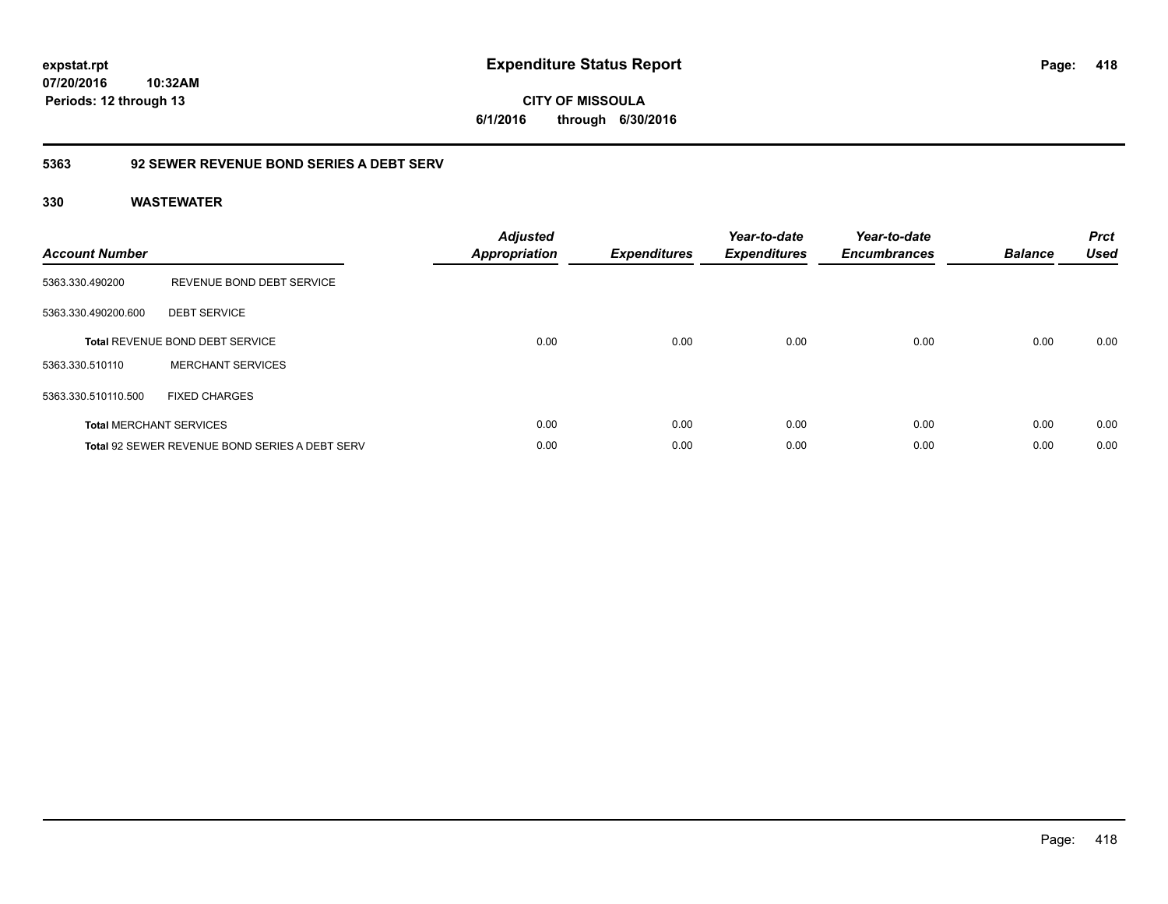**418**

**07/20/2016 10:32AM Periods: 12 through 13**

**CITY OF MISSOULA 6/1/2016 through 6/30/2016**

### **5363 92 SEWER REVENUE BOND SERIES A DEBT SERV**

| <b>Account Number</b> |                                                       | <b>Adjusted</b><br><b>Appropriation</b> | <b>Expenditures</b> | Year-to-date<br><b>Expenditures</b> | Year-to-date<br><b>Encumbrances</b> | <b>Balance</b> | <b>Prct</b><br><b>Used</b> |
|-----------------------|-------------------------------------------------------|-----------------------------------------|---------------------|-------------------------------------|-------------------------------------|----------------|----------------------------|
| 5363.330.490200       | REVENUE BOND DEBT SERVICE                             |                                         |                     |                                     |                                     |                |                            |
| 5363.330.490200.600   | <b>DEBT SERVICE</b>                                   |                                         |                     |                                     |                                     |                |                            |
|                       | <b>Total REVENUE BOND DEBT SERVICE</b>                | 0.00                                    | 0.00                | 0.00                                | 0.00                                | 0.00           | 0.00                       |
| 5363.330.510110       | <b>MERCHANT SERVICES</b>                              |                                         |                     |                                     |                                     |                |                            |
| 5363.330.510110.500   | <b>FIXED CHARGES</b>                                  |                                         |                     |                                     |                                     |                |                            |
|                       | <b>Total MERCHANT SERVICES</b>                        | 0.00                                    | 0.00                | 0.00                                | 0.00                                | 0.00           | 0.00                       |
|                       | <b>Total 92 SEWER REVENUE BOND SERIES A DEBT SERV</b> | 0.00                                    | 0.00                | 0.00                                | 0.00                                | 0.00           | 0.00                       |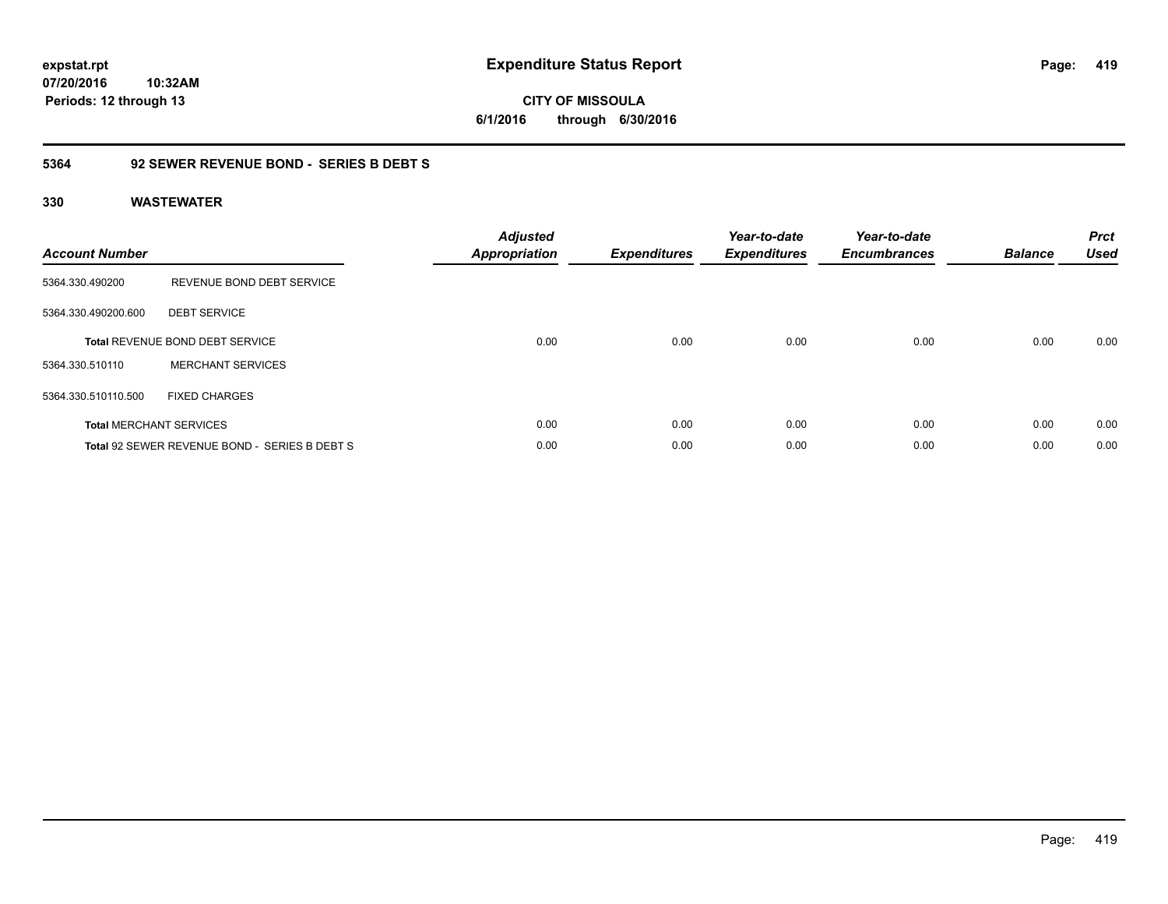**CITY OF MISSOULA 6/1/2016 through 6/30/2016**

### **5364 92 SEWER REVENUE BOND - SERIES B DEBT S**

| <b>Account Number</b> |                                               | <b>Adjusted</b><br><b>Appropriation</b> | <b>Expenditures</b> | Year-to-date<br><b>Expenditures</b> | Year-to-date<br><b>Encumbrances</b> | <b>Balance</b> | <b>Prct</b><br><b>Used</b> |
|-----------------------|-----------------------------------------------|-----------------------------------------|---------------------|-------------------------------------|-------------------------------------|----------------|----------------------------|
| 5364.330.490200       | REVENUE BOND DEBT SERVICE                     |                                         |                     |                                     |                                     |                |                            |
| 5364.330.490200.600   | <b>DEBT SERVICE</b>                           |                                         |                     |                                     |                                     |                |                            |
|                       | <b>Total REVENUE BOND DEBT SERVICE</b>        | 0.00                                    | 0.00                | 0.00                                | 0.00                                | 0.00           | 0.00                       |
| 5364.330.510110       | <b>MERCHANT SERVICES</b>                      |                                         |                     |                                     |                                     |                |                            |
| 5364.330.510110.500   | <b>FIXED CHARGES</b>                          |                                         |                     |                                     |                                     |                |                            |
|                       | <b>Total MERCHANT SERVICES</b>                | 0.00                                    | 0.00                | 0.00                                | 0.00                                | 0.00           | 0.00                       |
|                       | Total 92 SEWER REVENUE BOND - SERIES B DEBT S | 0.00                                    | 0.00                | 0.00                                | 0.00                                | 0.00           | 0.00                       |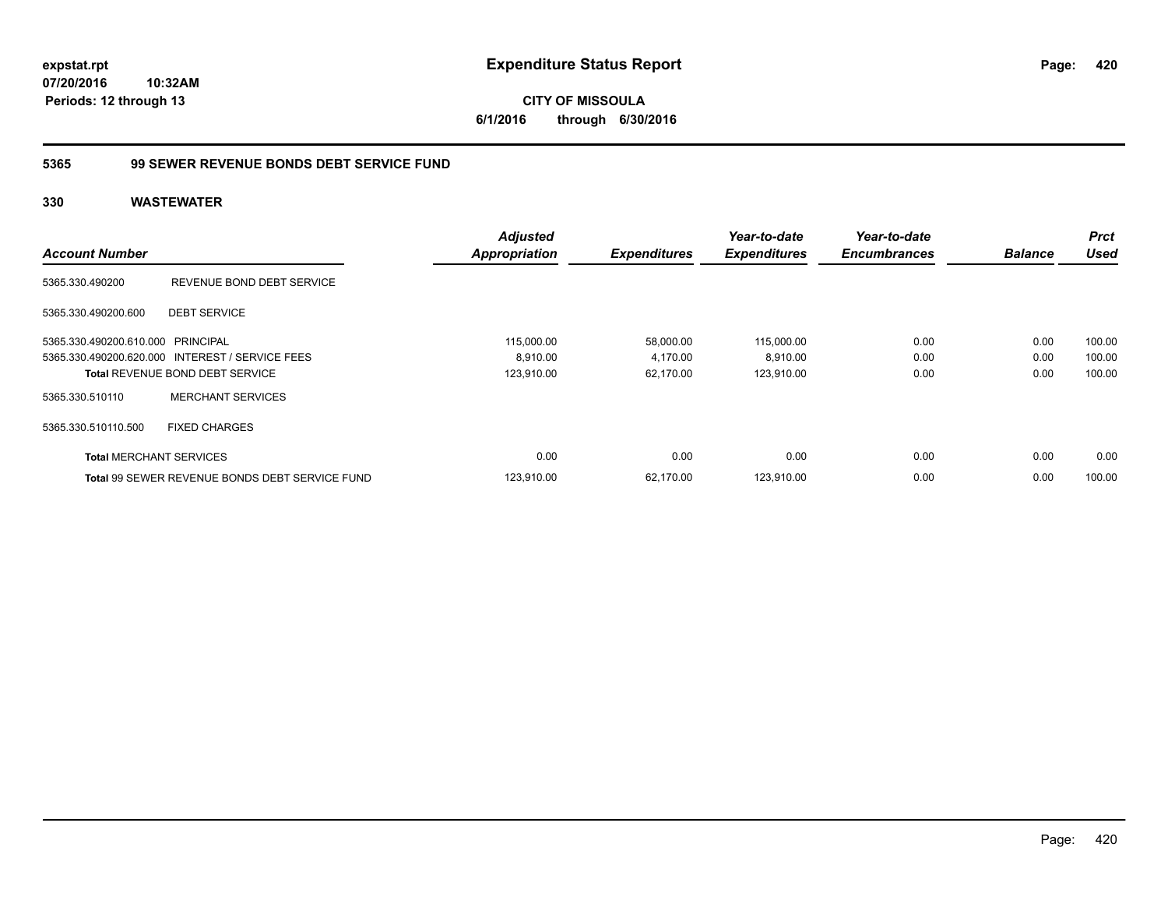### **5365 99 SEWER REVENUE BONDS DEBT SERVICE FUND**

| <b>Account Number</b>             |                                                 | <b>Adjusted</b><br><b>Appropriation</b> | <b>Expenditures</b> | Year-to-date<br><b>Expenditures</b> | Year-to-date<br><b>Encumbrances</b> | <b>Balance</b> | <b>Prct</b><br><b>Used</b> |
|-----------------------------------|-------------------------------------------------|-----------------------------------------|---------------------|-------------------------------------|-------------------------------------|----------------|----------------------------|
|                                   |                                                 |                                         |                     |                                     |                                     |                |                            |
| 5365.330.490200                   | REVENUE BOND DEBT SERVICE                       |                                         |                     |                                     |                                     |                |                            |
| 5365.330.490200.600               | <b>DEBT SERVICE</b>                             |                                         |                     |                                     |                                     |                |                            |
| 5365.330.490200.610.000 PRINCIPAL |                                                 | 115,000.00                              | 58,000.00           | 115,000.00                          | 0.00                                | 0.00           | 100.00                     |
|                                   | 5365.330.490200.620.000 INTEREST / SERVICE FEES | 8,910.00                                | 4,170.00            | 8,910.00                            | 0.00                                | 0.00           | 100.00                     |
|                                   | <b>Total REVENUE BOND DEBT SERVICE</b>          | 123,910.00                              | 62.170.00           | 123,910.00                          | 0.00                                | 0.00           | 100.00                     |
| 5365.330.510110                   | <b>MERCHANT SERVICES</b>                        |                                         |                     |                                     |                                     |                |                            |
| 5365.330.510110.500               | <b>FIXED CHARGES</b>                            |                                         |                     |                                     |                                     |                |                            |
| <b>Total MERCHANT SERVICES</b>    |                                                 | 0.00                                    | 0.00                | 0.00                                | 0.00                                | 0.00           | 0.00                       |
|                                   | Total 99 SEWER REVENUE BONDS DEBT SERVICE FUND  | 123,910.00                              | 62,170.00           | 123,910.00                          | 0.00                                | 0.00           | 100.00                     |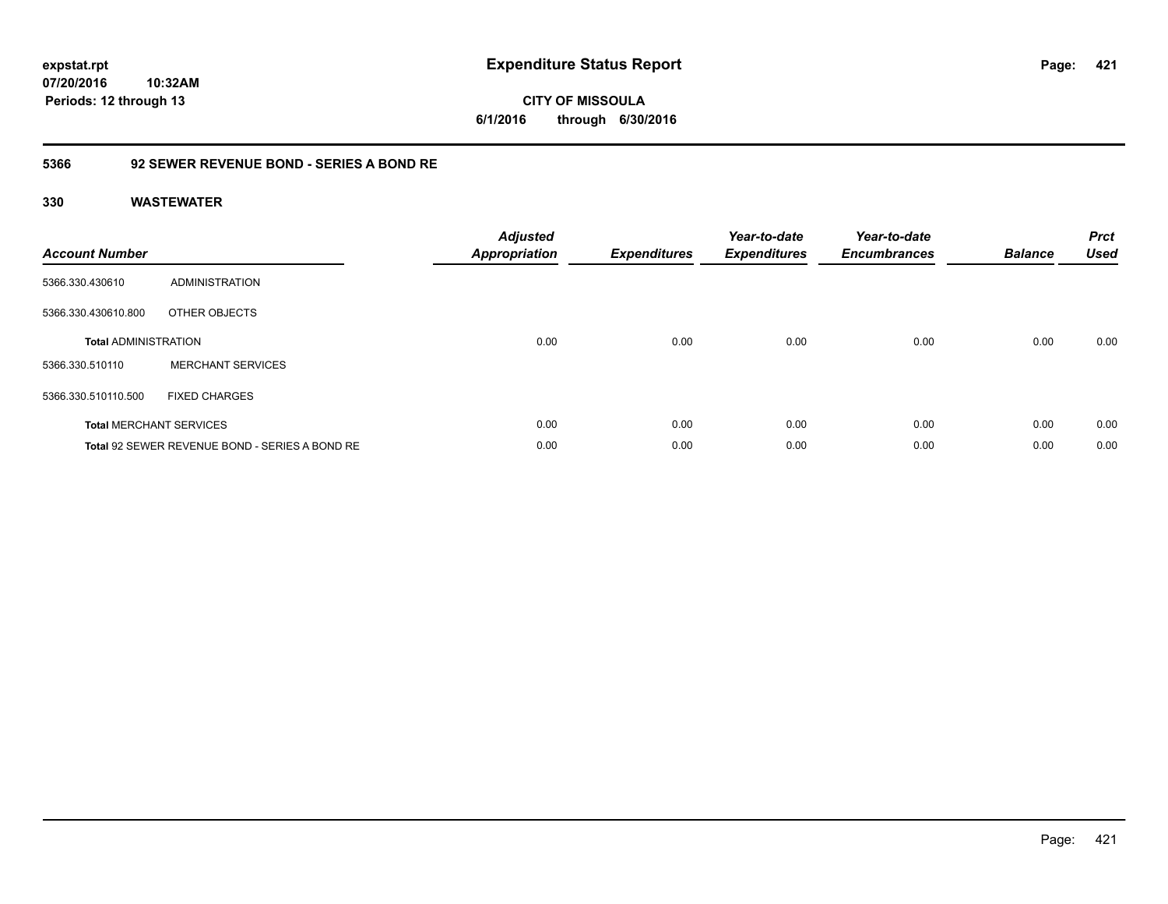### **5366 92 SEWER REVENUE BOND - SERIES A BOND RE**

| <b>Account Number</b>       |                                                | <b>Adjusted</b><br><b>Appropriation</b> | <b>Expenditures</b> | Year-to-date<br><b>Expenditures</b> | Year-to-date<br><b>Encumbrances</b> | <b>Balance</b> | <b>Prct</b><br><b>Used</b> |
|-----------------------------|------------------------------------------------|-----------------------------------------|---------------------|-------------------------------------|-------------------------------------|----------------|----------------------------|
| 5366.330.430610             | ADMINISTRATION                                 |                                         |                     |                                     |                                     |                |                            |
| 5366.330.430610.800         | OTHER OBJECTS                                  |                                         |                     |                                     |                                     |                |                            |
| <b>Total ADMINISTRATION</b> |                                                | 0.00                                    | 0.00                | 0.00                                | 0.00                                | 0.00           | 0.00                       |
| 5366.330.510110             | <b>MERCHANT SERVICES</b>                       |                                         |                     |                                     |                                     |                |                            |
| 5366.330.510110.500         | <b>FIXED CHARGES</b>                           |                                         |                     |                                     |                                     |                |                            |
|                             | <b>Total MERCHANT SERVICES</b>                 | 0.00                                    | 0.00                | 0.00                                | 0.00                                | 0.00           | 0.00                       |
|                             | Total 92 SEWER REVENUE BOND - SERIES A BOND RE | 0.00                                    | 0.00                | 0.00                                | 0.00                                | 0.00           | 0.00                       |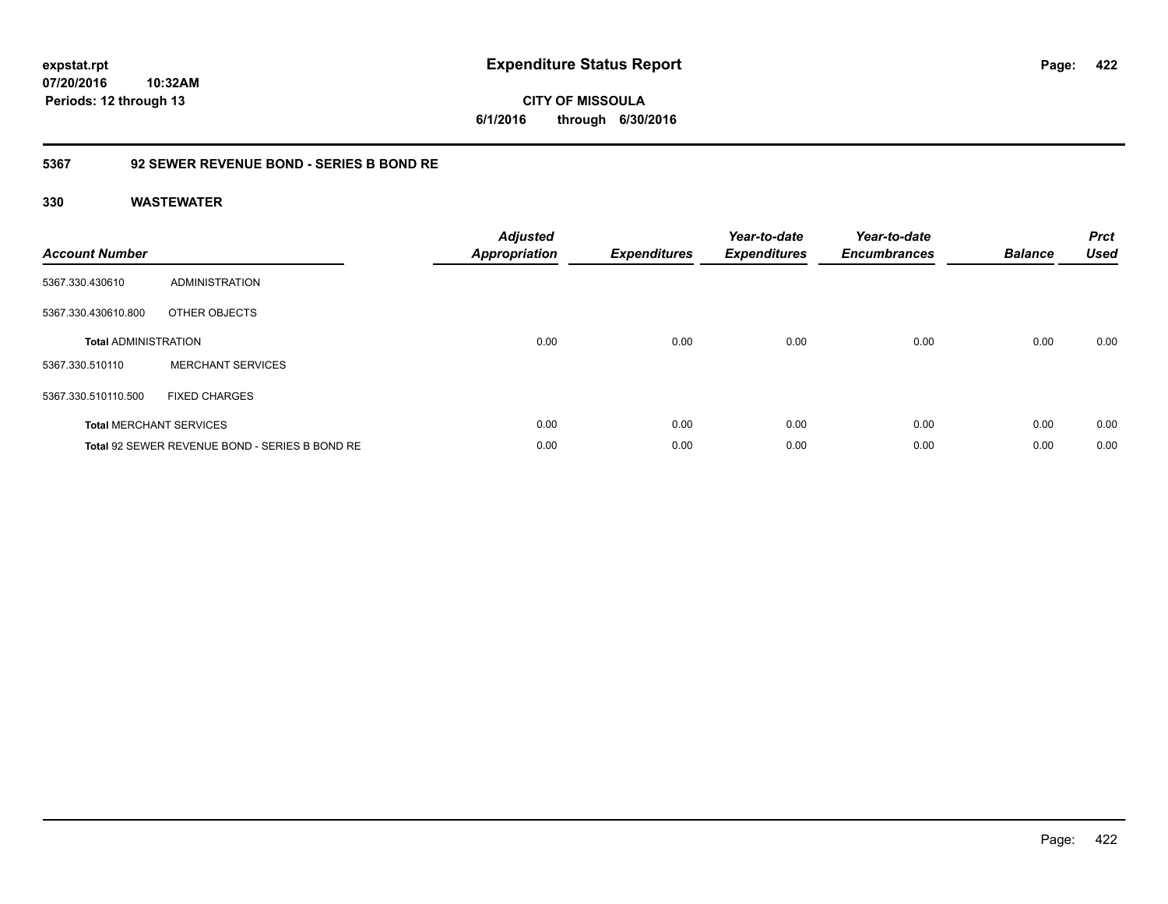# **CITY OF MISSOULA 6/1/2016 through 6/30/2016**

### **5367 92 SEWER REVENUE BOND - SERIES B BOND RE**

| <b>Account Number</b>       |                                                | <b>Adjusted</b><br>Appropriation | <b>Expenditures</b> | Year-to-date<br><b>Expenditures</b> | Year-to-date<br><b>Encumbrances</b> | <b>Balance</b> | <b>Prct</b><br><b>Used</b> |
|-----------------------------|------------------------------------------------|----------------------------------|---------------------|-------------------------------------|-------------------------------------|----------------|----------------------------|
| 5367.330.430610             | ADMINISTRATION                                 |                                  |                     |                                     |                                     |                |                            |
| 5367.330.430610.800         | OTHER OBJECTS                                  |                                  |                     |                                     |                                     |                |                            |
| <b>Total ADMINISTRATION</b> |                                                | 0.00                             | 0.00                | 0.00                                | 0.00                                | 0.00           | 0.00                       |
| 5367.330.510110             | <b>MERCHANT SERVICES</b>                       |                                  |                     |                                     |                                     |                |                            |
| 5367.330.510110.500         | <b>FIXED CHARGES</b>                           |                                  |                     |                                     |                                     |                |                            |
|                             | <b>Total MERCHANT SERVICES</b>                 | 0.00                             | 0.00                | 0.00                                | 0.00                                | 0.00           | 0.00                       |
|                             | Total 92 SEWER REVENUE BOND - SERIES B BOND RE | 0.00                             | 0.00                | 0.00                                | 0.00                                | 0.00           | 0.00                       |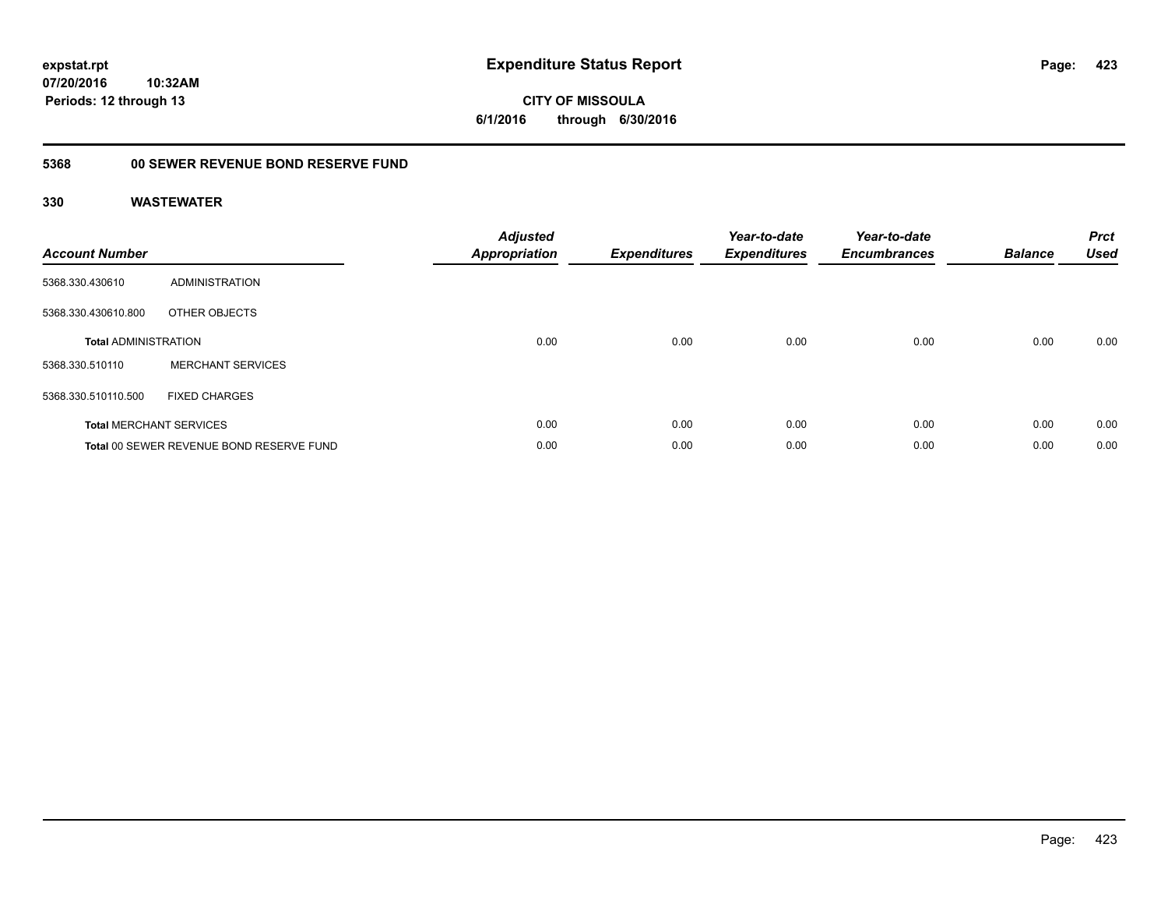**CITY OF MISSOULA 6/1/2016 through 6/30/2016**

## **5368 00 SEWER REVENUE BOND RESERVE FUND**

| <b>Account Number</b>       |                                          | <b>Adjusted</b><br>Appropriation | <b>Expenditures</b> | Year-to-date<br><b>Expenditures</b> | Year-to-date<br><b>Encumbrances</b> | <b>Balance</b> | <b>Prct</b><br><b>Used</b> |
|-----------------------------|------------------------------------------|----------------------------------|---------------------|-------------------------------------|-------------------------------------|----------------|----------------------------|
| 5368.330.430610             | <b>ADMINISTRATION</b>                    |                                  |                     |                                     |                                     |                |                            |
| 5368.330.430610.800         | OTHER OBJECTS                            |                                  |                     |                                     |                                     |                |                            |
| <b>Total ADMINISTRATION</b> |                                          | 0.00                             | 0.00                | 0.00                                | 0.00                                | 0.00           | 0.00                       |
| 5368.330.510110             | <b>MERCHANT SERVICES</b>                 |                                  |                     |                                     |                                     |                |                            |
| 5368.330.510110.500         | <b>FIXED CHARGES</b>                     |                                  |                     |                                     |                                     |                |                            |
|                             | <b>Total MERCHANT SERVICES</b>           | 0.00                             | 0.00                | 0.00                                | 0.00                                | 0.00           | 0.00                       |
|                             | Total 00 SEWER REVENUE BOND RESERVE FUND | 0.00                             | 0.00                | 0.00                                | 0.00                                | 0.00           | 0.00                       |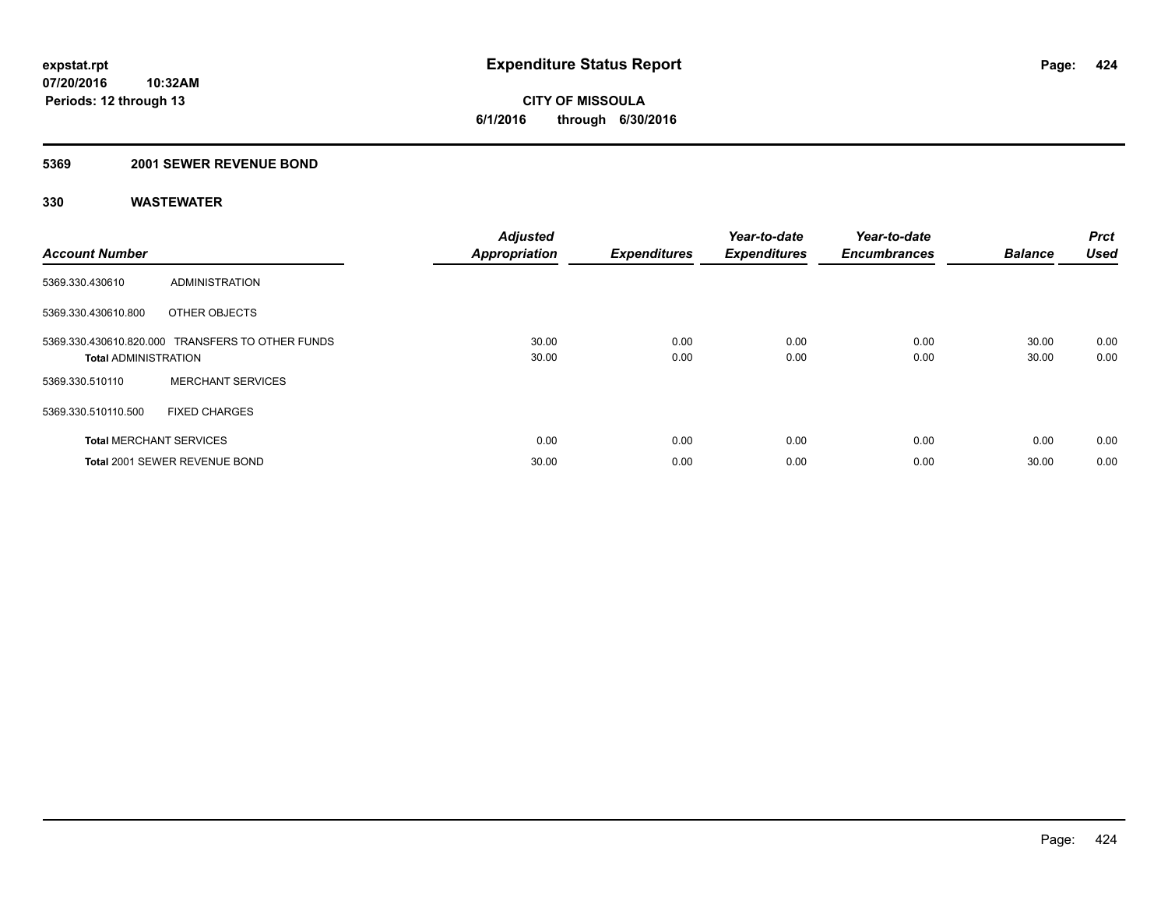### **5369 2001 SEWER REVENUE BOND**

| <b>Account Number</b>          |                                                  | <b>Adjusted</b><br><b>Appropriation</b> | <b>Expenditures</b> | Year-to-date<br><b>Expenditures</b> | Year-to-date<br><b>Encumbrances</b> | <b>Balance</b> | Prct<br><b>Used</b> |
|--------------------------------|--------------------------------------------------|-----------------------------------------|---------------------|-------------------------------------|-------------------------------------|----------------|---------------------|
| 5369.330.430610                | ADMINISTRATION                                   |                                         |                     |                                     |                                     |                |                     |
| 5369.330.430610.800            | OTHER OBJECTS                                    |                                         |                     |                                     |                                     |                |                     |
| <b>Total ADMINISTRATION</b>    | 5369.330.430610.820.000 TRANSFERS TO OTHER FUNDS | 30.00<br>30.00                          | 0.00<br>0.00        | 0.00<br>0.00                        | 0.00<br>0.00                        | 30.00<br>30.00 | 0.00<br>0.00        |
| 5369.330.510110                | <b>MERCHANT SERVICES</b>                         |                                         |                     |                                     |                                     |                |                     |
| 5369.330.510110.500            | <b>FIXED CHARGES</b>                             |                                         |                     |                                     |                                     |                |                     |
| <b>Total MERCHANT SERVICES</b> |                                                  | 0.00                                    | 0.00                | 0.00                                | 0.00                                | 0.00           | 0.00                |
|                                | Total 2001 SEWER REVENUE BOND                    | 30.00                                   | 0.00                | 0.00                                | 0.00                                | 30.00          | 0.00                |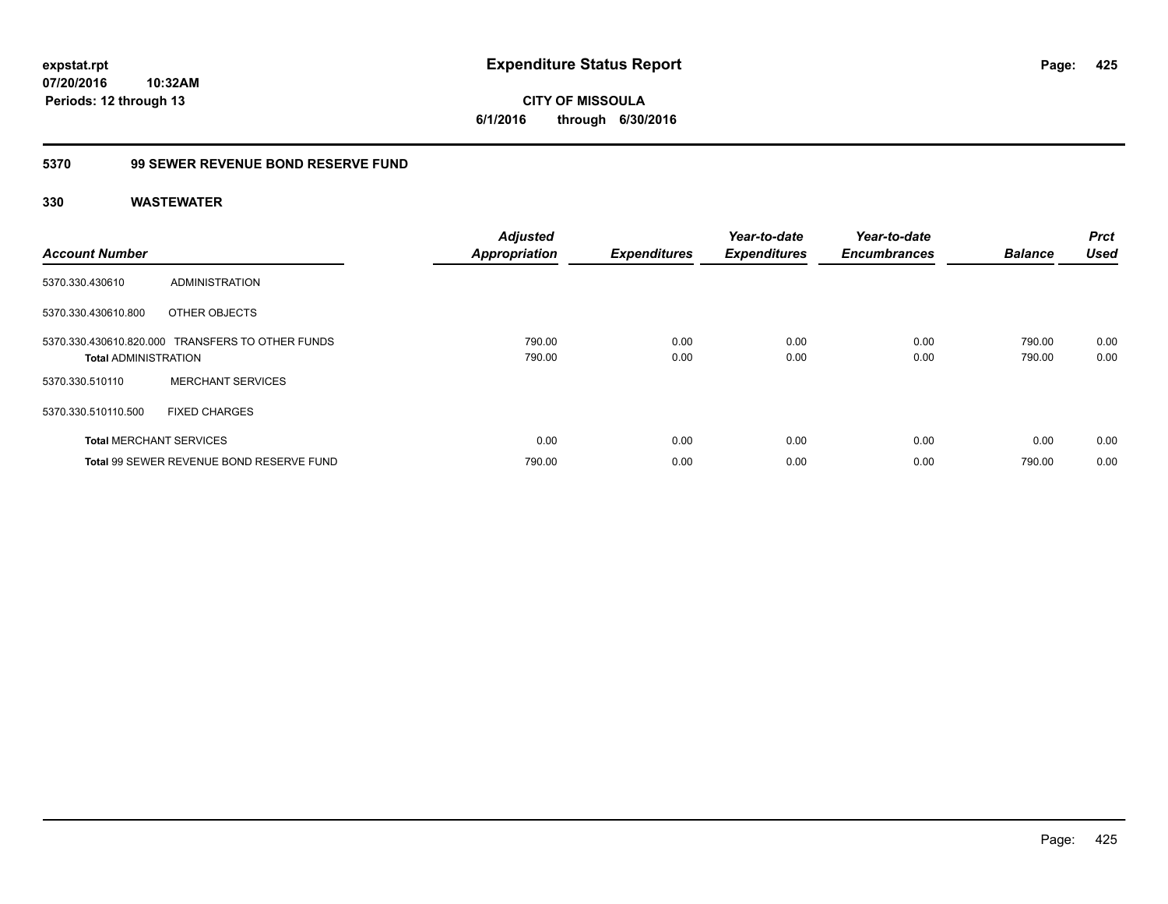**CITY OF MISSOULA 6/1/2016 through 6/30/2016**

## **5370 99 SEWER REVENUE BOND RESERVE FUND**

| <b>Account Number</b>          |                                                  | <b>Adjusted</b><br><b>Appropriation</b> | <b>Expenditures</b> | Year-to-date<br><b>Expenditures</b> | Year-to-date<br><b>Encumbrances</b> | <b>Balance</b>   | <b>Prct</b><br><b>Used</b> |
|--------------------------------|--------------------------------------------------|-----------------------------------------|---------------------|-------------------------------------|-------------------------------------|------------------|----------------------------|
| 5370.330.430610                | ADMINISTRATION                                   |                                         |                     |                                     |                                     |                  |                            |
| 5370.330.430610.800            | OTHER OBJECTS                                    |                                         |                     |                                     |                                     |                  |                            |
| <b>Total ADMINISTRATION</b>    | 5370.330.430610.820.000 TRANSFERS TO OTHER FUNDS | 790.00<br>790.00                        | 0.00<br>0.00        | 0.00<br>0.00                        | 0.00<br>0.00                        | 790.00<br>790.00 | 0.00<br>0.00               |
| 5370.330.510110                | <b>MERCHANT SERVICES</b>                         |                                         |                     |                                     |                                     |                  |                            |
| 5370.330.510110.500            | <b>FIXED CHARGES</b>                             |                                         |                     |                                     |                                     |                  |                            |
| <b>Total MERCHANT SERVICES</b> |                                                  | 0.00                                    | 0.00                | 0.00                                | 0.00                                | 0.00             | 0.00                       |
|                                | Total 99 SEWER REVENUE BOND RESERVE FUND         | 790.00                                  | 0.00                | 0.00                                | 0.00                                | 790.00           | 0.00                       |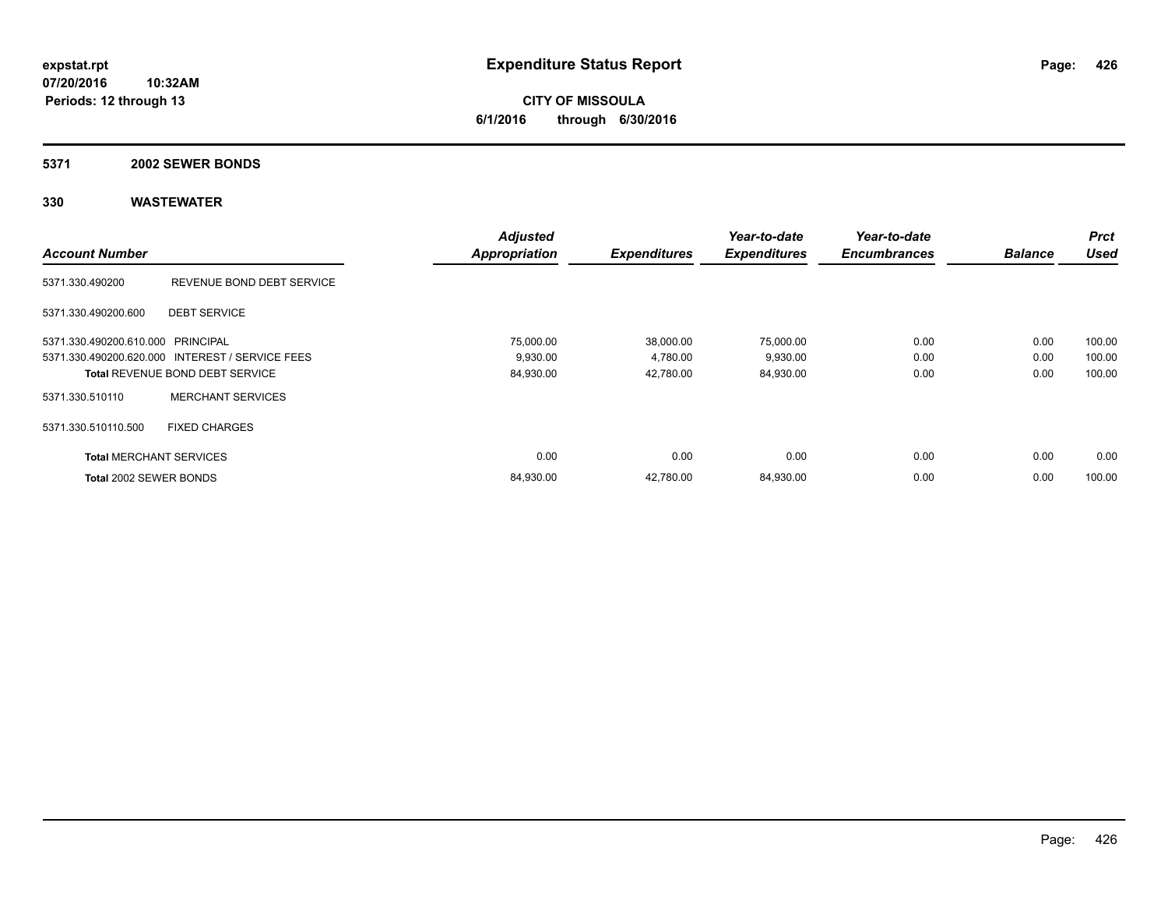**CITY OF MISSOULA 6/1/2016 through 6/30/2016**

### **5371 2002 SEWER BONDS**

|                                   |                                                 | <b>Adjusted</b>      |                     | Year-to-date        | Year-to-date        |                | <b>Prct</b> |
|-----------------------------------|-------------------------------------------------|----------------------|---------------------|---------------------|---------------------|----------------|-------------|
| <b>Account Number</b>             |                                                 | <b>Appropriation</b> | <b>Expenditures</b> | <b>Expenditures</b> | <b>Encumbrances</b> | <b>Balance</b> | <b>Used</b> |
| 5371.330.490200                   | REVENUE BOND DEBT SERVICE                       |                      |                     |                     |                     |                |             |
| 5371.330.490200.600               | <b>DEBT SERVICE</b>                             |                      |                     |                     |                     |                |             |
| 5371.330.490200.610.000 PRINCIPAL |                                                 | 75,000.00            | 38,000.00           | 75,000.00           | 0.00                | 0.00           | 100.00      |
|                                   | 5371.330.490200.620.000 INTEREST / SERVICE FEES | 9,930.00             | 4,780.00            | 9,930.00            | 0.00                | 0.00           | 100.00      |
|                                   | <b>Total REVENUE BOND DEBT SERVICE</b>          | 84,930.00            | 42,780.00           | 84,930.00           | 0.00                | 0.00           | 100.00      |
| 5371.330.510110                   | <b>MERCHANT SERVICES</b>                        |                      |                     |                     |                     |                |             |
| 5371.330.510110.500               | <b>FIXED CHARGES</b>                            |                      |                     |                     |                     |                |             |
| <b>Total MERCHANT SERVICES</b>    |                                                 | 0.00                 | 0.00                | 0.00                | 0.00                | 0.00           | 0.00        |
| Total 2002 SEWER BONDS            |                                                 | 84,930.00            | 42.780.00           | 84,930.00           | 0.00                | 0.00           | 100.00      |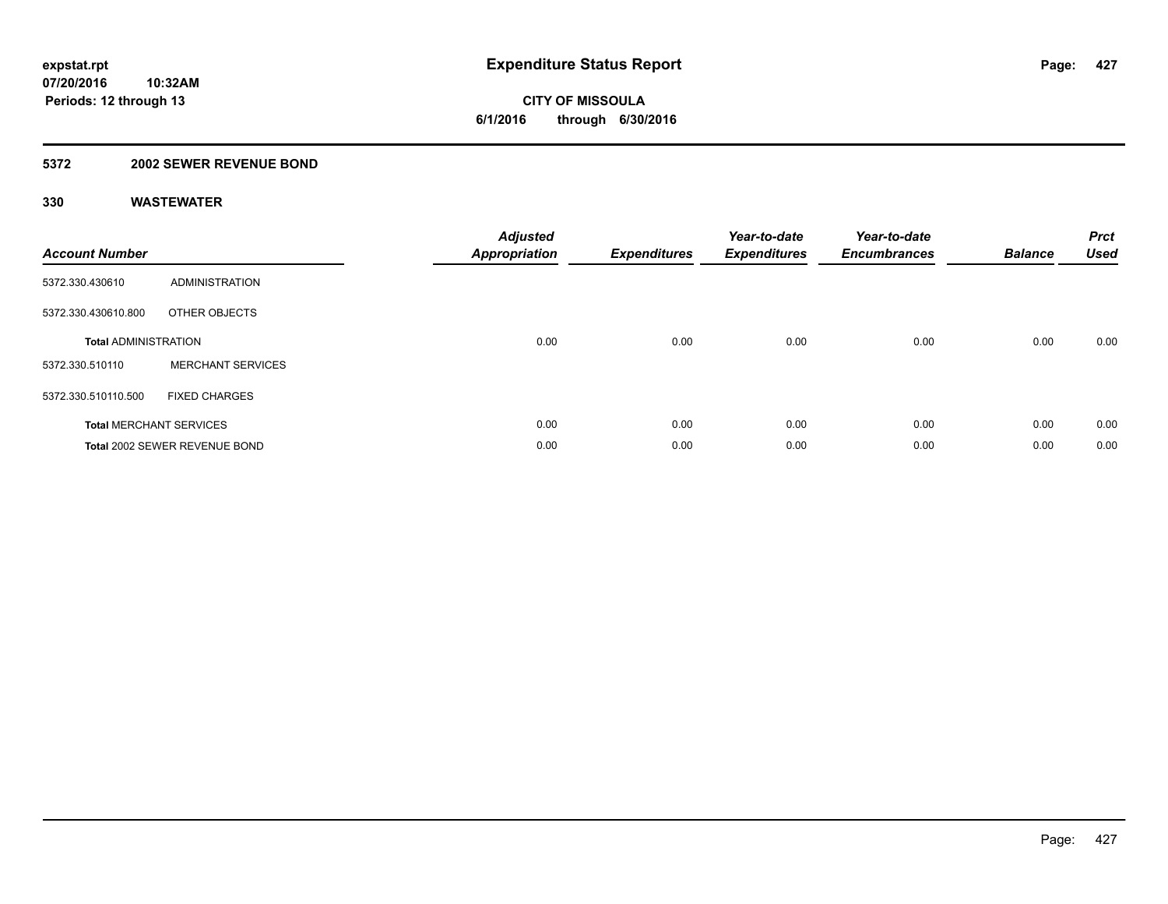### **5372 2002 SEWER REVENUE BOND**

| <b>Account Number</b>       |                                | <b>Adjusted</b><br><b>Appropriation</b> | <b>Expenditures</b> | Year-to-date<br><b>Expenditures</b> | Year-to-date<br><b>Encumbrances</b> | <b>Balance</b> | <b>Prct</b><br><b>Used</b> |
|-----------------------------|--------------------------------|-----------------------------------------|---------------------|-------------------------------------|-------------------------------------|----------------|----------------------------|
| 5372.330.430610             | ADMINISTRATION                 |                                         |                     |                                     |                                     |                |                            |
| 5372.330.430610.800         | OTHER OBJECTS                  |                                         |                     |                                     |                                     |                |                            |
| <b>Total ADMINISTRATION</b> |                                | 0.00                                    | 0.00                | 0.00                                | 0.00                                | 0.00           | 0.00                       |
| 5372.330.510110             | <b>MERCHANT SERVICES</b>       |                                         |                     |                                     |                                     |                |                            |
| 5372.330.510110.500         | <b>FIXED CHARGES</b>           |                                         |                     |                                     |                                     |                |                            |
|                             | <b>Total MERCHANT SERVICES</b> | 0.00                                    | 0.00                | 0.00                                | 0.00                                | 0.00           | 0.00                       |
|                             | Total 2002 SEWER REVENUE BOND  | 0.00                                    | 0.00                | 0.00                                | 0.00                                | 0.00           | 0.00                       |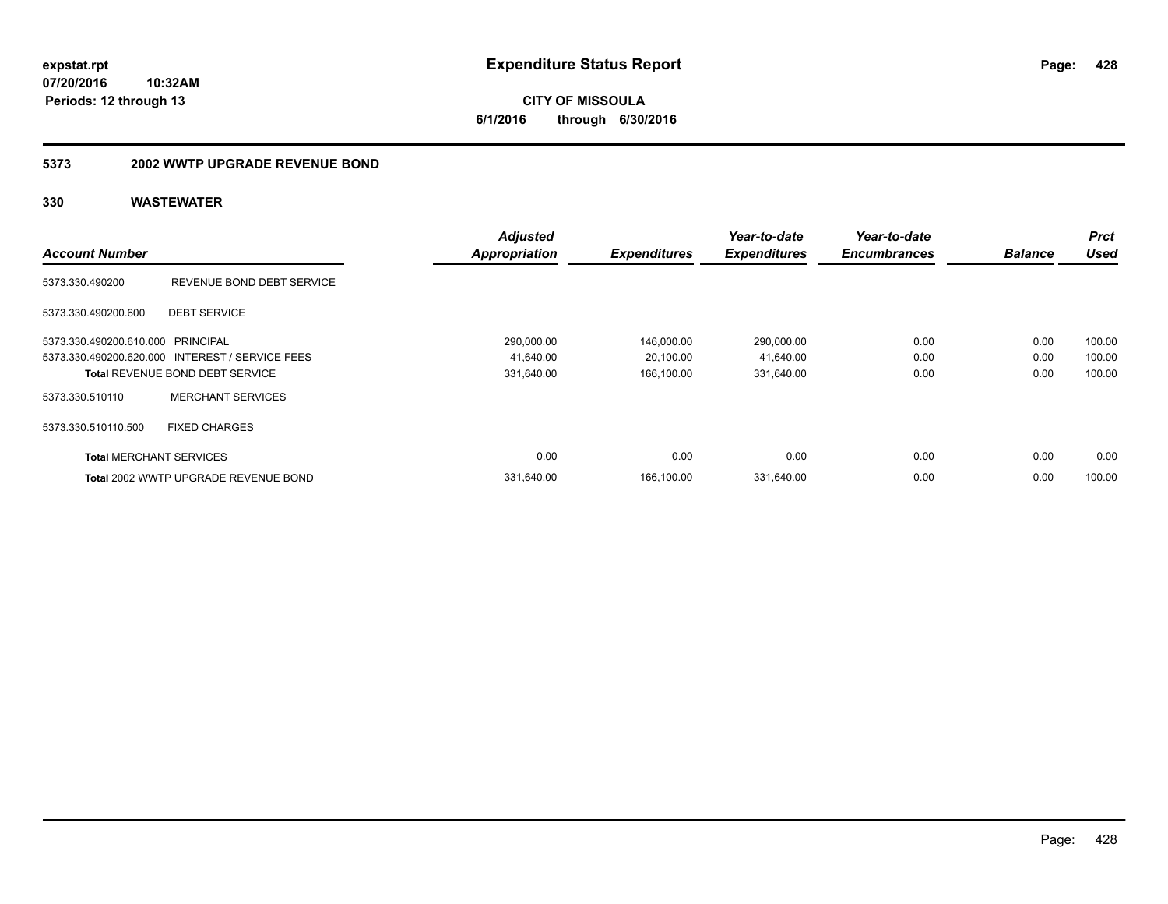**CITY OF MISSOULA 6/1/2016 through 6/30/2016**

### **5373 2002 WWTP UPGRADE REVENUE BOND**

|                                   |                                                 | <b>Adjusted</b>      |                     | Year-to-date        | Year-to-date        |                | <b>Prct</b> |
|-----------------------------------|-------------------------------------------------|----------------------|---------------------|---------------------|---------------------|----------------|-------------|
| <b>Account Number</b>             |                                                 | <b>Appropriation</b> | <b>Expenditures</b> | <b>Expenditures</b> | <b>Encumbrances</b> | <b>Balance</b> | <b>Used</b> |
| 5373.330.490200                   | REVENUE BOND DEBT SERVICE                       |                      |                     |                     |                     |                |             |
| 5373.330.490200.600               | <b>DEBT SERVICE</b>                             |                      |                     |                     |                     |                |             |
| 5373.330.490200.610.000 PRINCIPAL |                                                 | 290,000.00           | 146,000.00          | 290,000.00          | 0.00                | 0.00           | 100.00      |
|                                   | 5373.330.490200.620.000 INTEREST / SERVICE FEES | 41.640.00            | 20,100.00           | 41,640.00           | 0.00                | 0.00           | 100.00      |
|                                   | <b>Total REVENUE BOND DEBT SERVICE</b>          | 331,640.00           | 166,100.00          | 331,640.00          | 0.00                | 0.00           | 100.00      |
| 5373.330.510110                   | <b>MERCHANT SERVICES</b>                        |                      |                     |                     |                     |                |             |
| 5373.330.510110.500               | <b>FIXED CHARGES</b>                            |                      |                     |                     |                     |                |             |
| <b>Total MERCHANT SERVICES</b>    |                                                 | 0.00                 | 0.00                | 0.00                | 0.00                | 0.00           | 0.00        |
|                                   | Total 2002 WWTP UPGRADE REVENUE BOND            | 331,640.00           | 166,100.00          | 331,640.00          | 0.00                | 0.00           | 100.00      |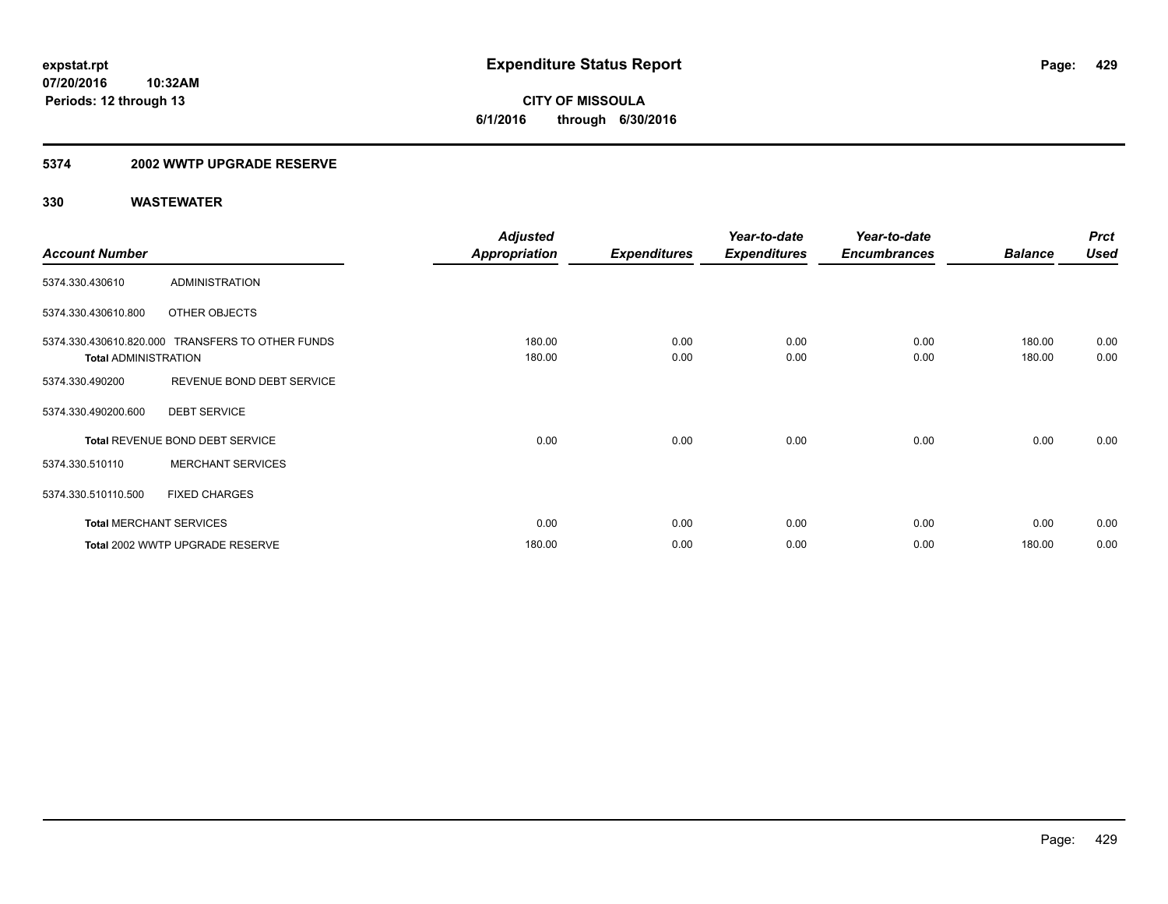### **5374 2002 WWTP UPGRADE RESERVE**

|                             |                                                  | <b>Adjusted</b>      |                     | Year-to-date        | Year-to-date        |                | <b>Prct</b> |
|-----------------------------|--------------------------------------------------|----------------------|---------------------|---------------------|---------------------|----------------|-------------|
| <b>Account Number</b>       |                                                  | <b>Appropriation</b> | <b>Expenditures</b> | <b>Expenditures</b> | <b>Encumbrances</b> | <b>Balance</b> | <b>Used</b> |
| 5374.330.430610             | <b>ADMINISTRATION</b>                            |                      |                     |                     |                     |                |             |
| 5374.330.430610.800         | OTHER OBJECTS                                    |                      |                     |                     |                     |                |             |
|                             | 5374.330.430610.820.000 TRANSFERS TO OTHER FUNDS | 180.00               | 0.00                | 0.00                | 0.00                | 180.00         | 0.00        |
| <b>Total ADMINISTRATION</b> |                                                  | 180.00               | 0.00                | 0.00                | 0.00                | 180.00         | 0.00        |
| 5374.330.490200             | REVENUE BOND DEBT SERVICE                        |                      |                     |                     |                     |                |             |
| 5374.330.490200.600         | <b>DEBT SERVICE</b>                              |                      |                     |                     |                     |                |             |
|                             | Total REVENUE BOND DEBT SERVICE                  | 0.00                 | 0.00                | 0.00                | 0.00                | 0.00           | 0.00        |
| 5374.330.510110             | <b>MERCHANT SERVICES</b>                         |                      |                     |                     |                     |                |             |
| 5374.330.510110.500         | <b>FIXED CHARGES</b>                             |                      |                     |                     |                     |                |             |
|                             | <b>Total MERCHANT SERVICES</b>                   | 0.00                 | 0.00                | 0.00                | 0.00                | 0.00           | 0.00        |
|                             | Total 2002 WWTP UPGRADE RESERVE                  | 180.00               | 0.00                | 0.00                | 0.00                | 180.00         | 0.00        |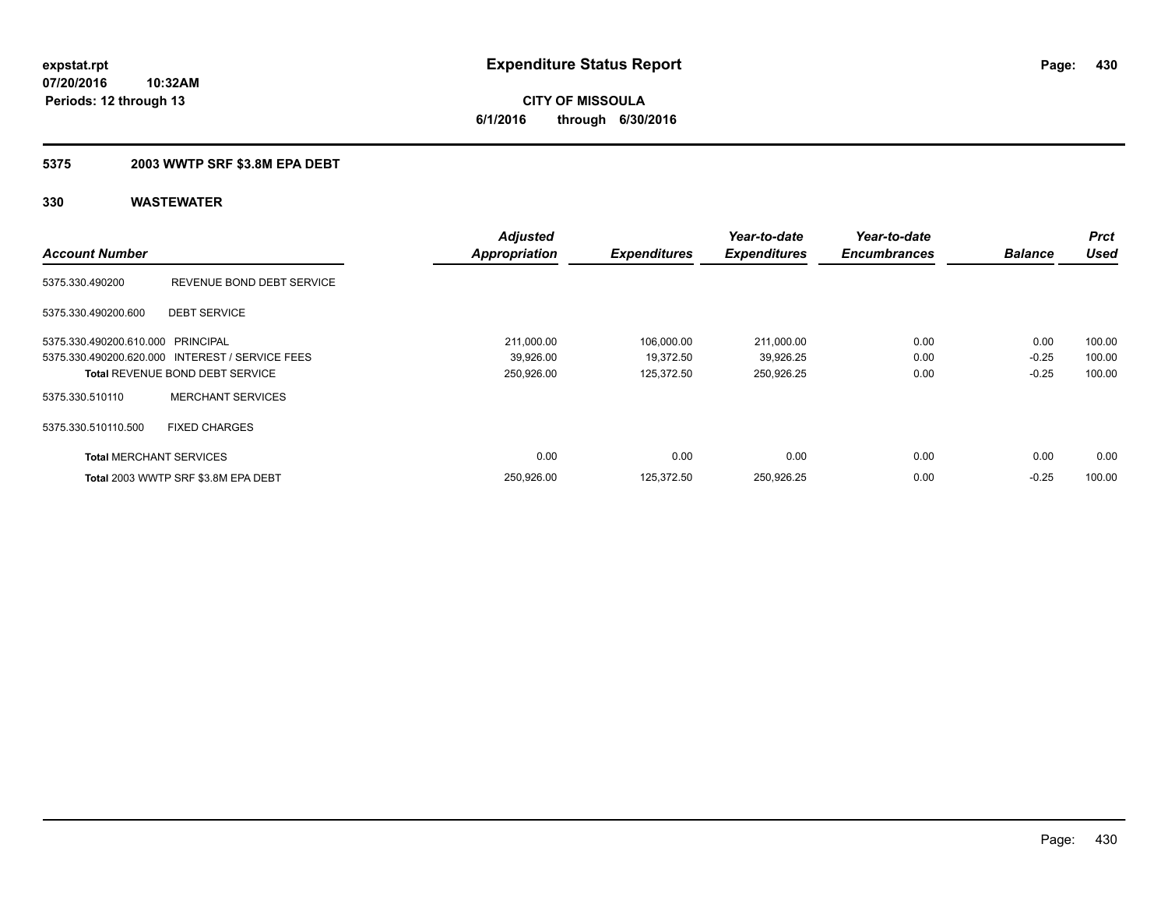**430**

**07/20/2016 10:32AM Periods: 12 through 13**

**CITY OF MISSOULA 6/1/2016 through 6/30/2016**

### **5375 2003 WWTP SRF \$3.8M EPA DEBT**

| <b>Account Number</b>             |                                                 | <b>Adjusted</b><br><b>Appropriation</b> | <b>Expenditures</b> | Year-to-date<br><b>Expenditures</b> | Year-to-date<br><b>Encumbrances</b> | <b>Balance</b> | Prct<br>Used |
|-----------------------------------|-------------------------------------------------|-----------------------------------------|---------------------|-------------------------------------|-------------------------------------|----------------|--------------|
| 5375.330.490200                   | REVENUE BOND DEBT SERVICE                       |                                         |                     |                                     |                                     |                |              |
| 5375.330.490200.600               | <b>DEBT SERVICE</b>                             |                                         |                     |                                     |                                     |                |              |
| 5375.330.490200.610.000 PRINCIPAL |                                                 | 211,000.00                              | 106,000.00          | 211,000.00                          | 0.00                                | 0.00           | 100.00       |
|                                   | 5375.330.490200.620.000 INTEREST / SERVICE FEES | 39,926.00                               | 19,372.50           | 39,926.25                           | 0.00                                | $-0.25$        | 100.00       |
|                                   | <b>Total REVENUE BOND DEBT SERVICE</b>          | 250,926.00                              | 125,372.50          | 250,926.25                          | 0.00                                | $-0.25$        | 100.00       |
| 5375.330.510110                   | <b>MERCHANT SERVICES</b>                        |                                         |                     |                                     |                                     |                |              |
| 5375.330.510110.500               | <b>FIXED CHARGES</b>                            |                                         |                     |                                     |                                     |                |              |
| <b>Total MERCHANT SERVICES</b>    |                                                 | 0.00                                    | 0.00                | 0.00                                | 0.00                                | 0.00           | 0.00         |
|                                   | Total 2003 WWTP SRF \$3.8M EPA DEBT             | 250.926.00                              | 125.372.50          | 250.926.25                          | 0.00                                | $-0.25$        | 100.00       |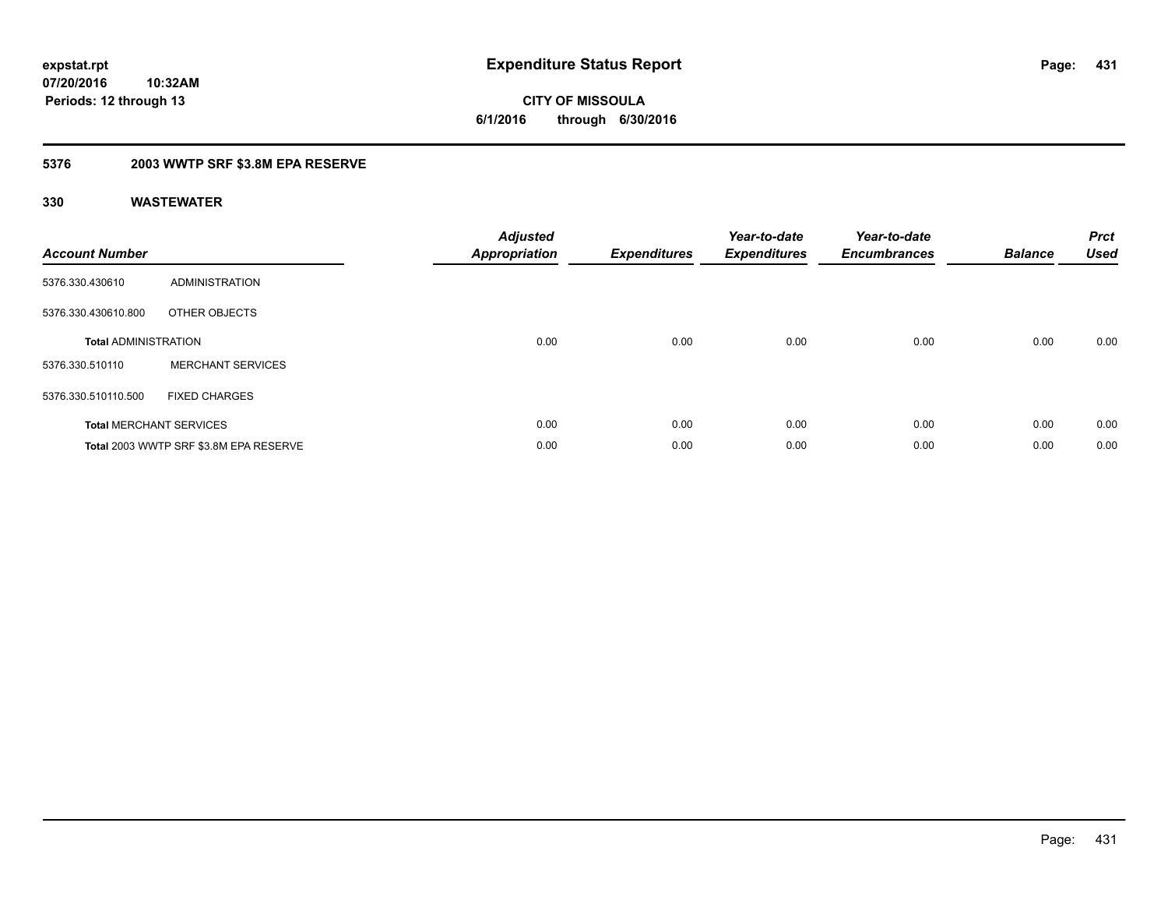**10:32AM Periods: 12 through 13**

# **CITY OF MISSOULA 6/1/2016 through 6/30/2016**

### **5376 2003 WWTP SRF \$3.8M EPA RESERVE**

| <b>Account Number</b>       |                                        | <b>Adjusted</b><br><b>Appropriation</b> | <b>Expenditures</b> | Year-to-date<br><b>Expenditures</b> | Year-to-date<br><b>Encumbrances</b> | <b>Balance</b> | <b>Prct</b><br><b>Used</b> |
|-----------------------------|----------------------------------------|-----------------------------------------|---------------------|-------------------------------------|-------------------------------------|----------------|----------------------------|
| 5376.330.430610             | ADMINISTRATION                         |                                         |                     |                                     |                                     |                |                            |
| 5376.330.430610.800         | OTHER OBJECTS                          |                                         |                     |                                     |                                     |                |                            |
| <b>Total ADMINISTRATION</b> |                                        | 0.00                                    | 0.00                | 0.00                                | 0.00                                | 0.00           | 0.00                       |
| 5376.330.510110             | <b>MERCHANT SERVICES</b>               |                                         |                     |                                     |                                     |                |                            |
| 5376.330.510110.500         | <b>FIXED CHARGES</b>                   |                                         |                     |                                     |                                     |                |                            |
|                             | <b>Total MERCHANT SERVICES</b>         | 0.00                                    | 0.00                | 0.00                                | 0.00                                | 0.00           | 0.00                       |
|                             | Total 2003 WWTP SRF \$3.8M EPA RESERVE | 0.00                                    | 0.00                | 0.00                                | 0.00                                | 0.00           | 0.00                       |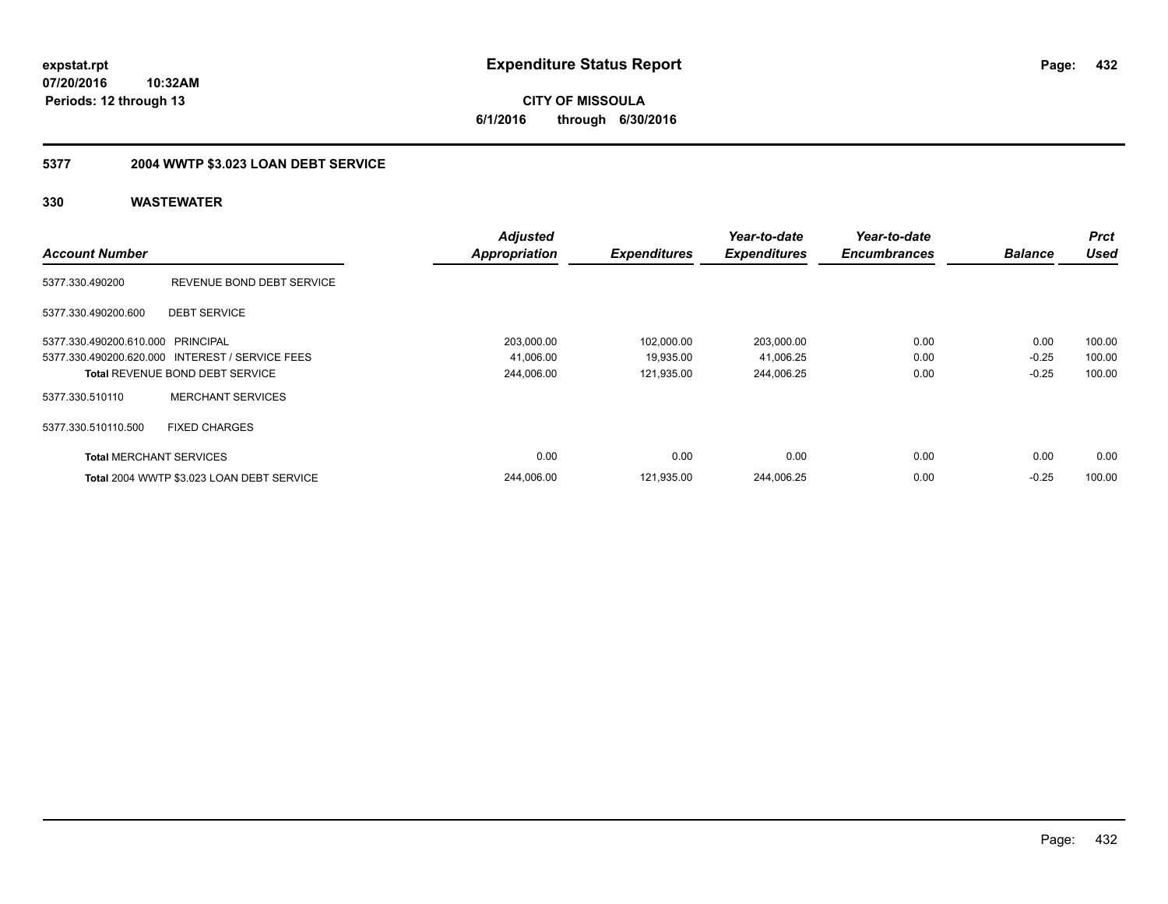**CITY OF MISSOULA 6/1/2016 through 6/30/2016**

## **5377 2004 WWTP \$3.023 LOAN DEBT SERVICE**

| <b>Account Number</b>             |                                                 | <b>Adjusted</b><br>Appropriation | <b>Expenditures</b> | Year-to-date<br><b>Expenditures</b> | Year-to-date<br><b>Encumbrances</b> | <b>Balance</b> | Prct<br>Used |
|-----------------------------------|-------------------------------------------------|----------------------------------|---------------------|-------------------------------------|-------------------------------------|----------------|--------------|
| 5377.330.490200                   | REVENUE BOND DEBT SERVICE                       |                                  |                     |                                     |                                     |                |              |
| 5377.330.490200.600               | <b>DEBT SERVICE</b>                             |                                  |                     |                                     |                                     |                |              |
| 5377.330.490200.610.000 PRINCIPAL |                                                 | 203,000.00                       | 102,000.00          | 203,000.00                          | 0.00                                | 0.00           | 100.00       |
|                                   | 5377.330.490200.620.000 INTEREST / SERVICE FEES | 41.006.00                        | 19,935.00           | 41,006.25                           | 0.00                                | $-0.25$        | 100.00       |
|                                   | <b>Total REVENUE BOND DEBT SERVICE</b>          | 244,006.00                       | 121.935.00          | 244,006.25                          | 0.00                                | $-0.25$        | 100.00       |
| 5377.330.510110                   | <b>MERCHANT SERVICES</b>                        |                                  |                     |                                     |                                     |                |              |
| 5377.330.510110.500               | <b>FIXED CHARGES</b>                            |                                  |                     |                                     |                                     |                |              |
| <b>Total MERCHANT SERVICES</b>    |                                                 | 0.00                             | 0.00                | 0.00                                | 0.00                                | 0.00           | 0.00         |
|                                   | Total 2004 WWTP \$3.023 LOAN DEBT SERVICE       | 244.006.00                       | 121.935.00          | 244.006.25                          | 0.00                                | $-0.25$        | 100.00       |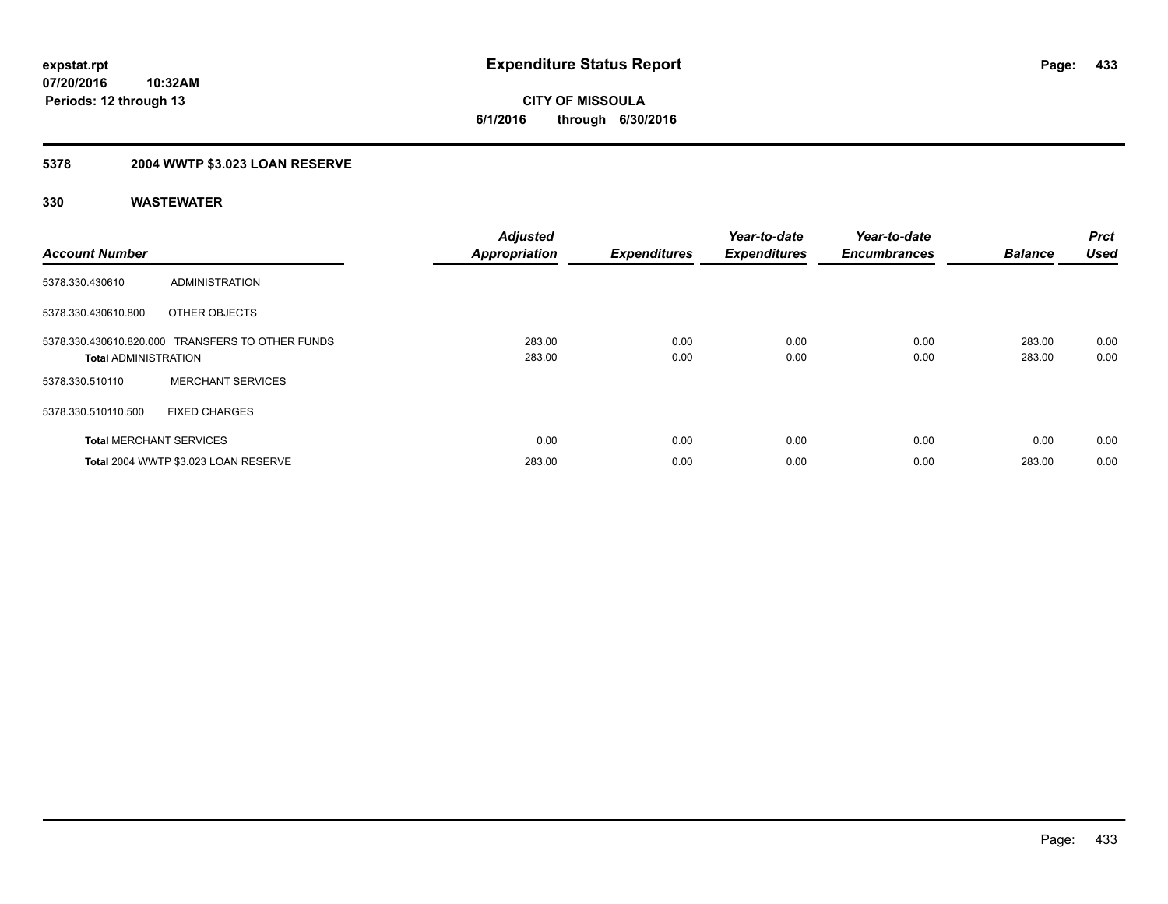## **5378 2004 WWTP \$3.023 LOAN RESERVE**

| <b>Account Number</b>          |                                                  | <b>Adjusted</b><br><b>Appropriation</b> | <b>Expenditures</b> | Year-to-date<br><b>Expenditures</b> | Year-to-date<br><b>Encumbrances</b> | <b>Balance</b>   | Prct<br><b>Used</b> |
|--------------------------------|--------------------------------------------------|-----------------------------------------|---------------------|-------------------------------------|-------------------------------------|------------------|---------------------|
| 5378.330.430610                | ADMINISTRATION                                   |                                         |                     |                                     |                                     |                  |                     |
| 5378.330.430610.800            | OTHER OBJECTS                                    |                                         |                     |                                     |                                     |                  |                     |
| <b>Total ADMINISTRATION</b>    | 5378.330.430610.820.000 TRANSFERS TO OTHER FUNDS | 283.00<br>283.00                        | 0.00<br>0.00        | 0.00<br>0.00                        | 0.00<br>0.00                        | 283.00<br>283.00 | 0.00<br>0.00        |
| 5378.330.510110                | <b>MERCHANT SERVICES</b>                         |                                         |                     |                                     |                                     |                  |                     |
| 5378.330.510110.500            | <b>FIXED CHARGES</b>                             |                                         |                     |                                     |                                     |                  |                     |
| <b>Total MERCHANT SERVICES</b> |                                                  | 0.00                                    | 0.00                | 0.00                                | 0.00                                | 0.00             | 0.00                |
|                                | Total 2004 WWTP \$3.023 LOAN RESERVE             | 283.00                                  | 0.00                | 0.00                                | 0.00                                | 283.00           | 0.00                |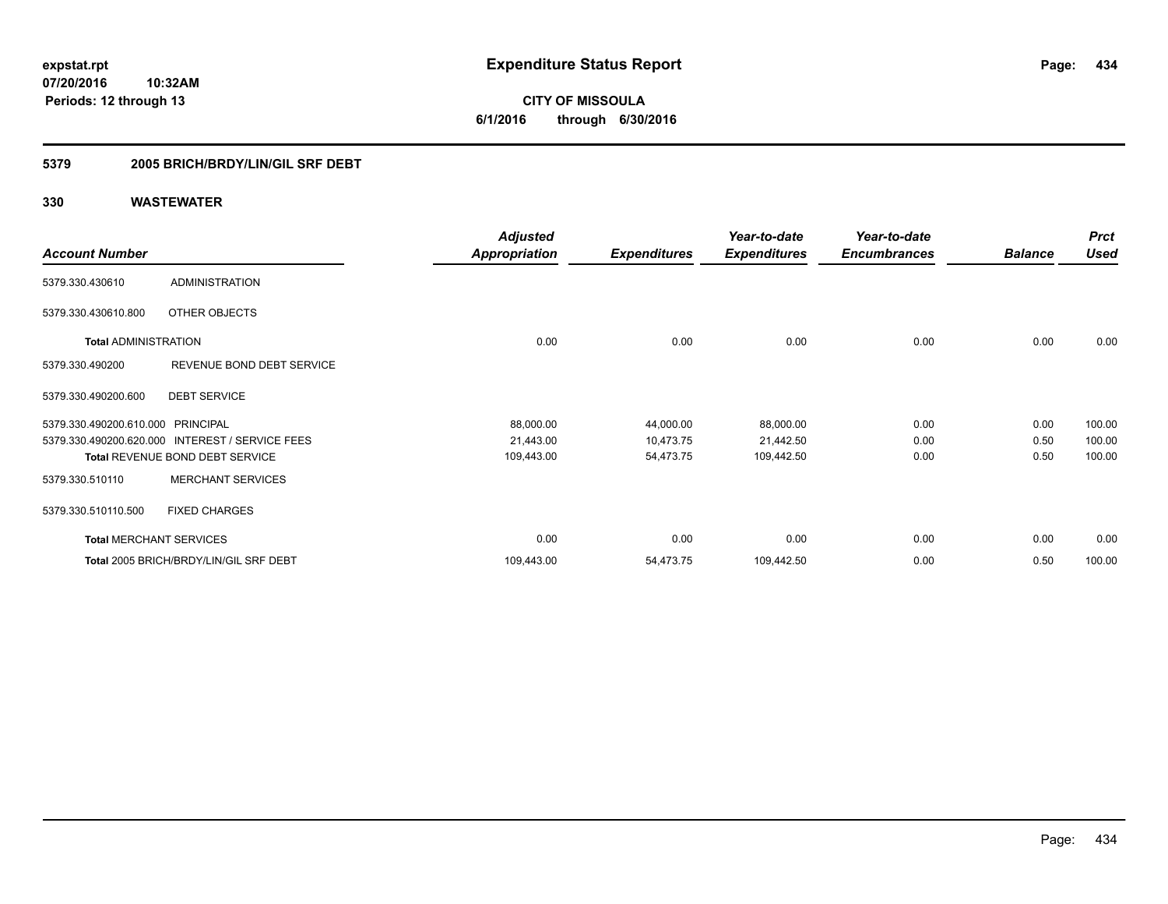**CITY OF MISSOULA 6/1/2016 through 6/30/2016**

## **5379 2005 BRICH/BRDY/LIN/GIL SRF DEBT**

|                                   |                                                 | <b>Adjusted</b>      |                     | Year-to-date        | Year-to-date        |                | <b>Prct</b> |
|-----------------------------------|-------------------------------------------------|----------------------|---------------------|---------------------|---------------------|----------------|-------------|
| <b>Account Number</b>             |                                                 | <b>Appropriation</b> | <b>Expenditures</b> | <b>Expenditures</b> | <b>Encumbrances</b> | <b>Balance</b> | <b>Used</b> |
| 5379.330.430610                   | <b>ADMINISTRATION</b>                           |                      |                     |                     |                     |                |             |
| 5379.330.430610.800               | OTHER OBJECTS                                   |                      |                     |                     |                     |                |             |
| <b>Total ADMINISTRATION</b>       |                                                 | 0.00                 | 0.00                | 0.00                | 0.00                | 0.00           | 0.00        |
| 5379.330.490200                   | REVENUE BOND DEBT SERVICE                       |                      |                     |                     |                     |                |             |
| 5379.330.490200.600               | <b>DEBT SERVICE</b>                             |                      |                     |                     |                     |                |             |
| 5379.330.490200.610.000 PRINCIPAL |                                                 | 88,000.00            | 44,000.00           | 88,000.00           | 0.00                | 0.00           | 100.00      |
|                                   | 5379.330.490200.620.000 INTEREST / SERVICE FEES | 21,443.00            | 10,473.75           | 21,442.50           | 0.00                | 0.50           | 100.00      |
|                                   | <b>Total REVENUE BOND DEBT SERVICE</b>          | 109,443.00           | 54,473.75           | 109,442.50          | 0.00                | 0.50           | 100.00      |
| 5379.330.510110                   | <b>MERCHANT SERVICES</b>                        |                      |                     |                     |                     |                |             |
| 5379.330.510110.500               | <b>FIXED CHARGES</b>                            |                      |                     |                     |                     |                |             |
| <b>Total MERCHANT SERVICES</b>    |                                                 | 0.00                 | 0.00                | 0.00                | 0.00                | 0.00           | 0.00        |
|                                   | Total 2005 BRICH/BRDY/LIN/GIL SRF DEBT          | 109,443.00           | 54,473.75           | 109,442.50          | 0.00                | 0.50           | 100.00      |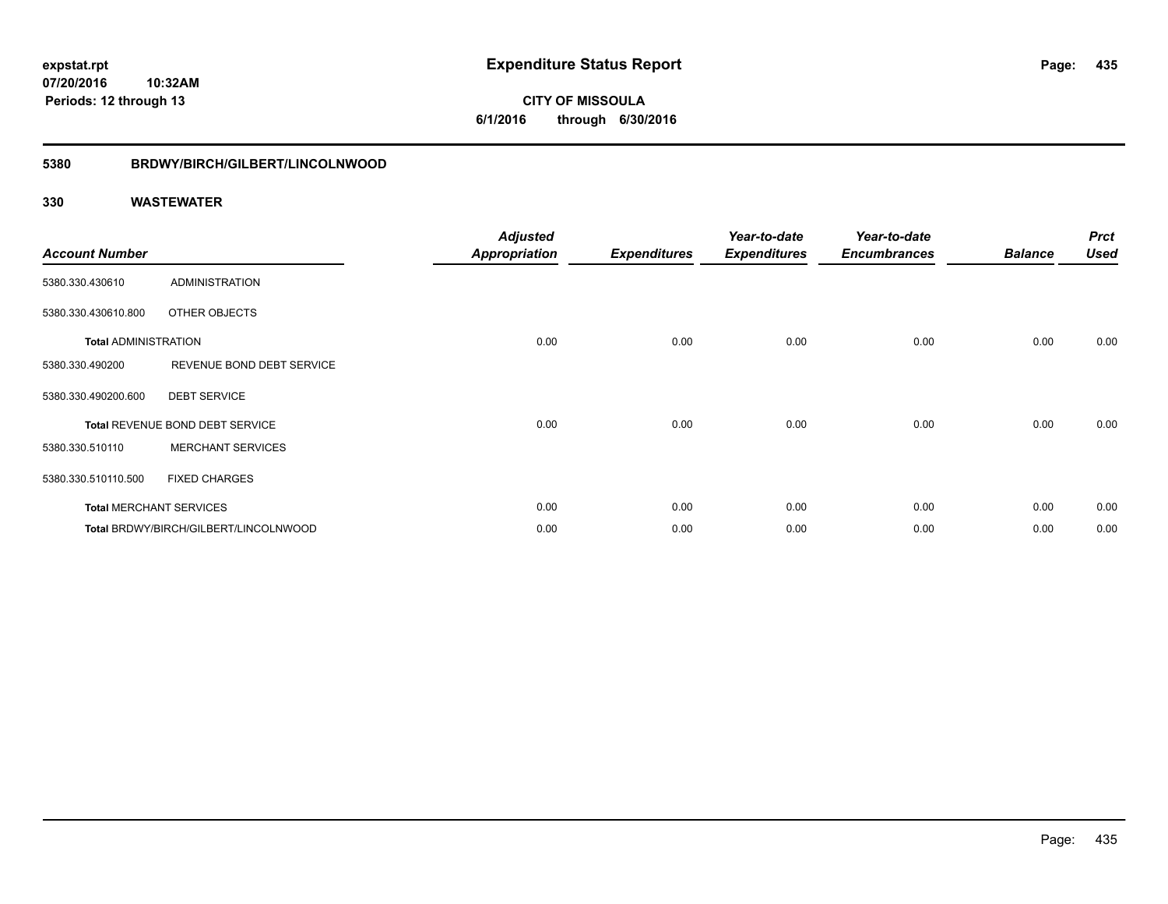**CITY OF MISSOULA 6/1/2016 through 6/30/2016**

#### **5380 BRDWY/BIRCH/GILBERT/LINCOLNWOOD**

| <b>Account Number</b>       |                                       | <b>Adjusted</b><br><b>Appropriation</b> | <b>Expenditures</b> | Year-to-date<br><b>Expenditures</b> | Year-to-date<br><b>Encumbrances</b> | <b>Balance</b> | <b>Prct</b><br><b>Used</b> |
|-----------------------------|---------------------------------------|-----------------------------------------|---------------------|-------------------------------------|-------------------------------------|----------------|----------------------------|
| 5380.330.430610             | <b>ADMINISTRATION</b>                 |                                         |                     |                                     |                                     |                |                            |
| 5380.330.430610.800         | OTHER OBJECTS                         |                                         |                     |                                     |                                     |                |                            |
| <b>Total ADMINISTRATION</b> |                                       | 0.00                                    | 0.00                | 0.00                                | 0.00                                | 0.00           | 0.00                       |
| 5380.330.490200             | REVENUE BOND DEBT SERVICE             |                                         |                     |                                     |                                     |                |                            |
| 5380.330.490200.600         | <b>DEBT SERVICE</b>                   |                                         |                     |                                     |                                     |                |                            |
|                             | Total REVENUE BOND DEBT SERVICE       | 0.00                                    | 0.00                | 0.00                                | 0.00                                | 0.00           | 0.00                       |
| 5380.330.510110             | <b>MERCHANT SERVICES</b>              |                                         |                     |                                     |                                     |                |                            |
| 5380.330.510110.500         | <b>FIXED CHARGES</b>                  |                                         |                     |                                     |                                     |                |                            |
|                             | <b>Total MERCHANT SERVICES</b>        | 0.00                                    | 0.00                | 0.00                                | 0.00                                | 0.00           | 0.00                       |
|                             | Total BRDWY/BIRCH/GILBERT/LINCOLNWOOD | 0.00                                    | 0.00                | 0.00                                | 0.00                                | 0.00           | 0.00                       |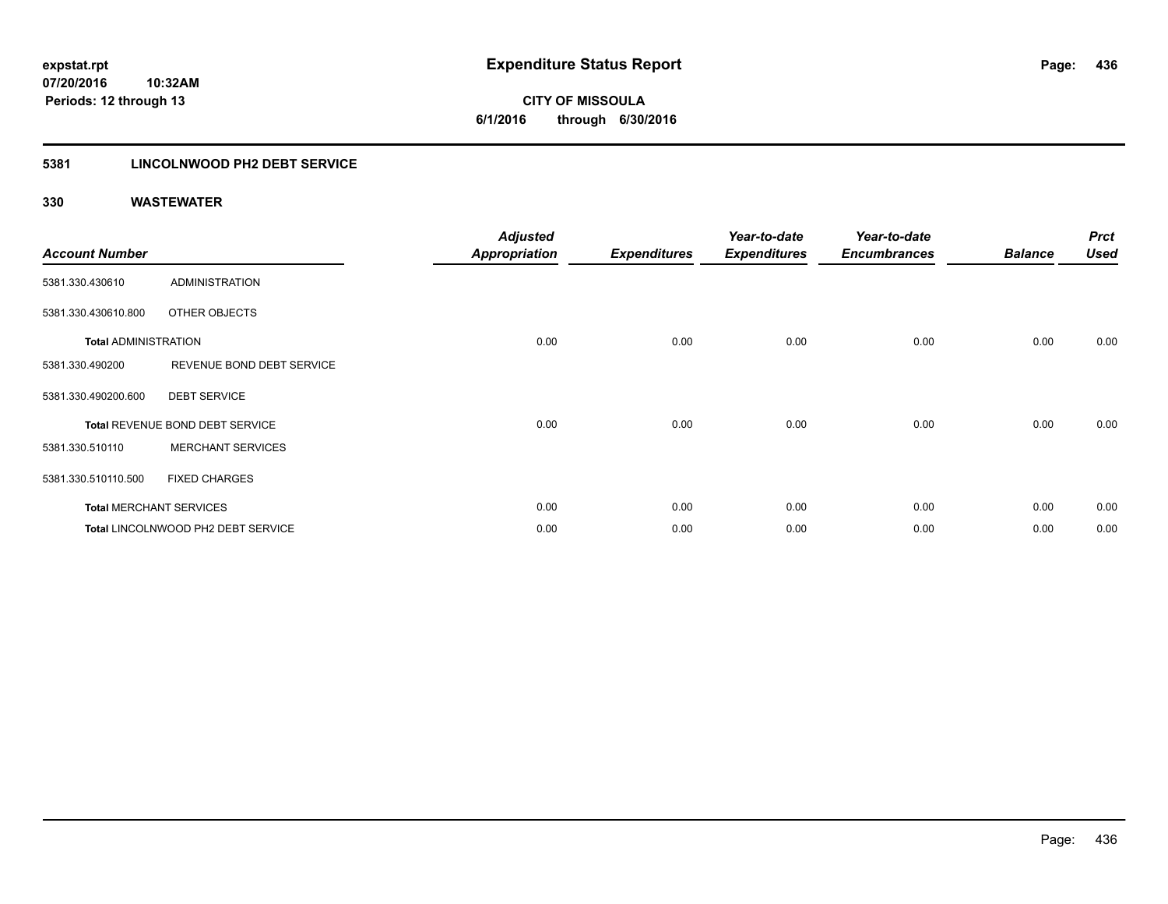**436**

**07/20/2016 10:32AM Periods: 12 through 13**

**CITY OF MISSOULA 6/1/2016 through 6/30/2016**

## **5381 LINCOLNWOOD PH2 DEBT SERVICE**

| <b>Account Number</b>       |                                    | <b>Adjusted</b><br><b>Appropriation</b> | <b>Expenditures</b> | Year-to-date<br><b>Expenditures</b> | Year-to-date<br><b>Encumbrances</b> | <b>Balance</b> | <b>Prct</b><br><b>Used</b> |
|-----------------------------|------------------------------------|-----------------------------------------|---------------------|-------------------------------------|-------------------------------------|----------------|----------------------------|
| 5381.330.430610             | <b>ADMINISTRATION</b>              |                                         |                     |                                     |                                     |                |                            |
| 5381.330.430610.800         | OTHER OBJECTS                      |                                         |                     |                                     |                                     |                |                            |
| <b>Total ADMINISTRATION</b> |                                    | 0.00                                    | 0.00                | 0.00                                | 0.00                                | 0.00           | 0.00                       |
| 5381.330.490200             | REVENUE BOND DEBT SERVICE          |                                         |                     |                                     |                                     |                |                            |
| 5381.330.490200.600         | <b>DEBT SERVICE</b>                |                                         |                     |                                     |                                     |                |                            |
|                             | Total REVENUE BOND DEBT SERVICE    | 0.00                                    | 0.00                | 0.00                                | 0.00                                | 0.00           | 0.00                       |
| 5381.330.510110             | <b>MERCHANT SERVICES</b>           |                                         |                     |                                     |                                     |                |                            |
| 5381.330.510110.500         | <b>FIXED CHARGES</b>               |                                         |                     |                                     |                                     |                |                            |
|                             | <b>Total MERCHANT SERVICES</b>     | 0.00                                    | 0.00                | 0.00                                | 0.00                                | 0.00           | 0.00                       |
|                             | Total LINCOLNWOOD PH2 DEBT SERVICE | 0.00                                    | 0.00                | 0.00                                | 0.00                                | 0.00           | 0.00                       |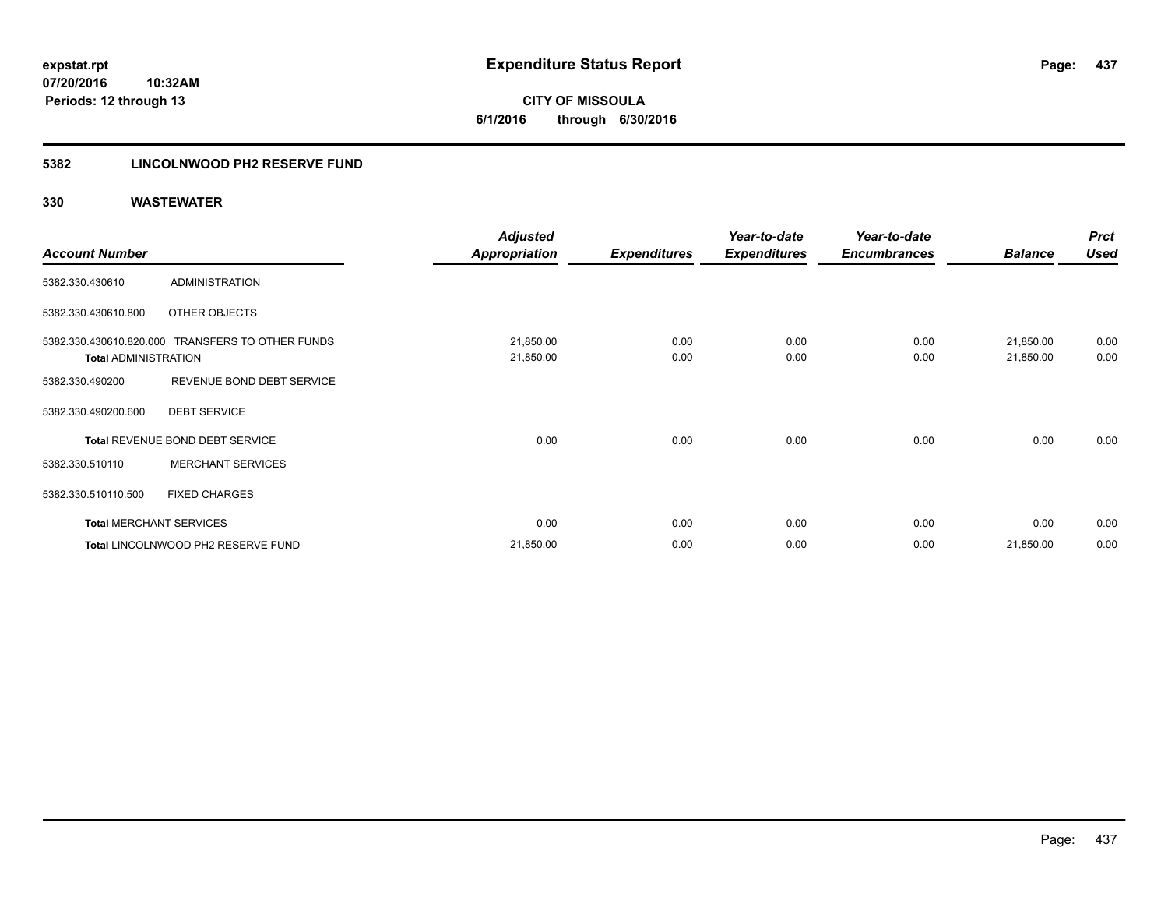**CITY OF MISSOULA 6/1/2016 through 6/30/2016**

## **5382 LINCOLNWOOD PH2 RESERVE FUND**

|                                |                                                  | <b>Adjusted</b>        |                     | Year-to-date        | Year-to-date        |                        | <b>Prct</b>  |
|--------------------------------|--------------------------------------------------|------------------------|---------------------|---------------------|---------------------|------------------------|--------------|
| <b>Account Number</b>          |                                                  | <b>Appropriation</b>   | <b>Expenditures</b> | <b>Expenditures</b> | <b>Encumbrances</b> | <b>Balance</b>         | <b>Used</b>  |
| 5382.330.430610                | <b>ADMINISTRATION</b>                            |                        |                     |                     |                     |                        |              |
| 5382.330.430610.800            | OTHER OBJECTS                                    |                        |                     |                     |                     |                        |              |
| <b>Total ADMINISTRATION</b>    | 5382.330.430610.820.000 TRANSFERS TO OTHER FUNDS | 21,850.00<br>21,850.00 | 0.00<br>0.00        | 0.00<br>0.00        | 0.00<br>0.00        | 21,850.00<br>21,850.00 | 0.00<br>0.00 |
| 5382.330.490200                | REVENUE BOND DEBT SERVICE                        |                        |                     |                     |                     |                        |              |
| 5382.330.490200.600            | <b>DEBT SERVICE</b>                              |                        |                     |                     |                     |                        |              |
|                                | Total REVENUE BOND DEBT SERVICE                  | 0.00                   | 0.00                | 0.00                | 0.00                | 0.00                   | 0.00         |
| 5382.330.510110                | <b>MERCHANT SERVICES</b>                         |                        |                     |                     |                     |                        |              |
| 5382.330.510110.500            | <b>FIXED CHARGES</b>                             |                        |                     |                     |                     |                        |              |
| <b>Total MERCHANT SERVICES</b> |                                                  | 0.00                   | 0.00                | 0.00                | 0.00                | 0.00                   | 0.00         |
|                                | Total LINCOLNWOOD PH2 RESERVE FUND               | 21,850.00              | 0.00                | 0.00                | 0.00                | 21,850.00              | 0.00         |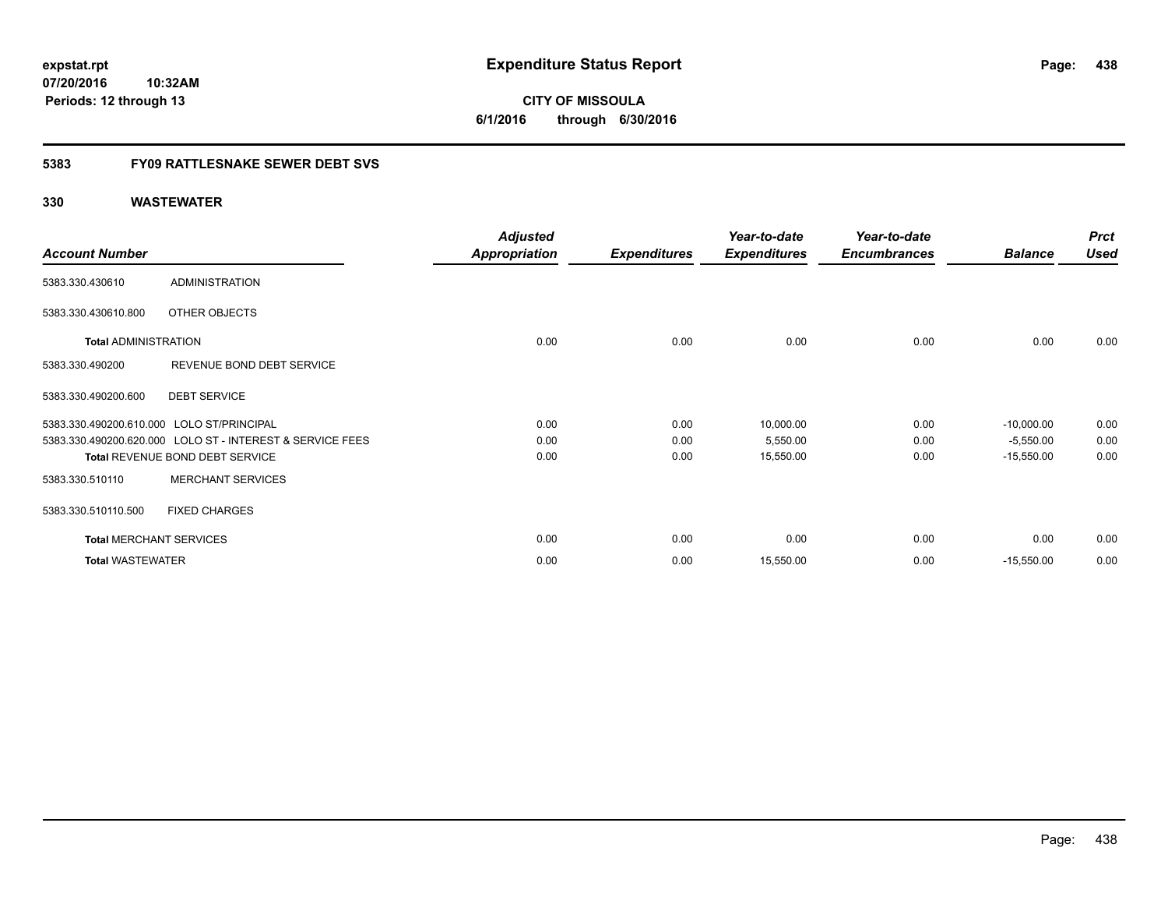**CITY OF MISSOULA 6/1/2016 through 6/30/2016**

## **5383 FY09 RATTLESNAKE SEWER DEBT SVS**

|                                           |                                                           | <b>Adjusted</b>      |                     | Year-to-date        | Year-to-date        |                | <b>Prct</b> |
|-------------------------------------------|-----------------------------------------------------------|----------------------|---------------------|---------------------|---------------------|----------------|-------------|
| <b>Account Number</b>                     |                                                           | <b>Appropriation</b> | <b>Expenditures</b> | <b>Expenditures</b> | <b>Encumbrances</b> | <b>Balance</b> | <b>Used</b> |
| 5383.330.430610                           | <b>ADMINISTRATION</b>                                     |                      |                     |                     |                     |                |             |
| 5383.330.430610.800                       | OTHER OBJECTS                                             |                      |                     |                     |                     |                |             |
| <b>Total ADMINISTRATION</b>               |                                                           | 0.00                 | 0.00                | 0.00                | 0.00                | 0.00           | 0.00        |
| 5383.330.490200                           | REVENUE BOND DEBT SERVICE                                 |                      |                     |                     |                     |                |             |
| 5383.330.490200.600                       | <b>DEBT SERVICE</b>                                       |                      |                     |                     |                     |                |             |
| 5383.330.490200.610.000 LOLO ST/PRINCIPAL |                                                           | 0.00                 | 0.00                | 10,000.00           | 0.00                | $-10,000.00$   | 0.00        |
|                                           | 5383.330.490200.620.000 LOLO ST - INTEREST & SERVICE FEES | 0.00                 | 0.00                | 5,550.00            | 0.00                | $-5,550.00$    | 0.00        |
|                                           | Total REVENUE BOND DEBT SERVICE                           | 0.00                 | 0.00                | 15,550.00           | 0.00                | $-15,550.00$   | 0.00        |
| 5383.330.510110                           | <b>MERCHANT SERVICES</b>                                  |                      |                     |                     |                     |                |             |
| 5383.330.510110.500                       | <b>FIXED CHARGES</b>                                      |                      |                     |                     |                     |                |             |
| <b>Total MERCHANT SERVICES</b>            |                                                           | 0.00                 | 0.00                | 0.00                | 0.00                | 0.00           | 0.00        |
| <b>Total WASTEWATER</b>                   |                                                           | 0.00                 | 0.00                | 15,550.00           | 0.00                | $-15,550.00$   | 0.00        |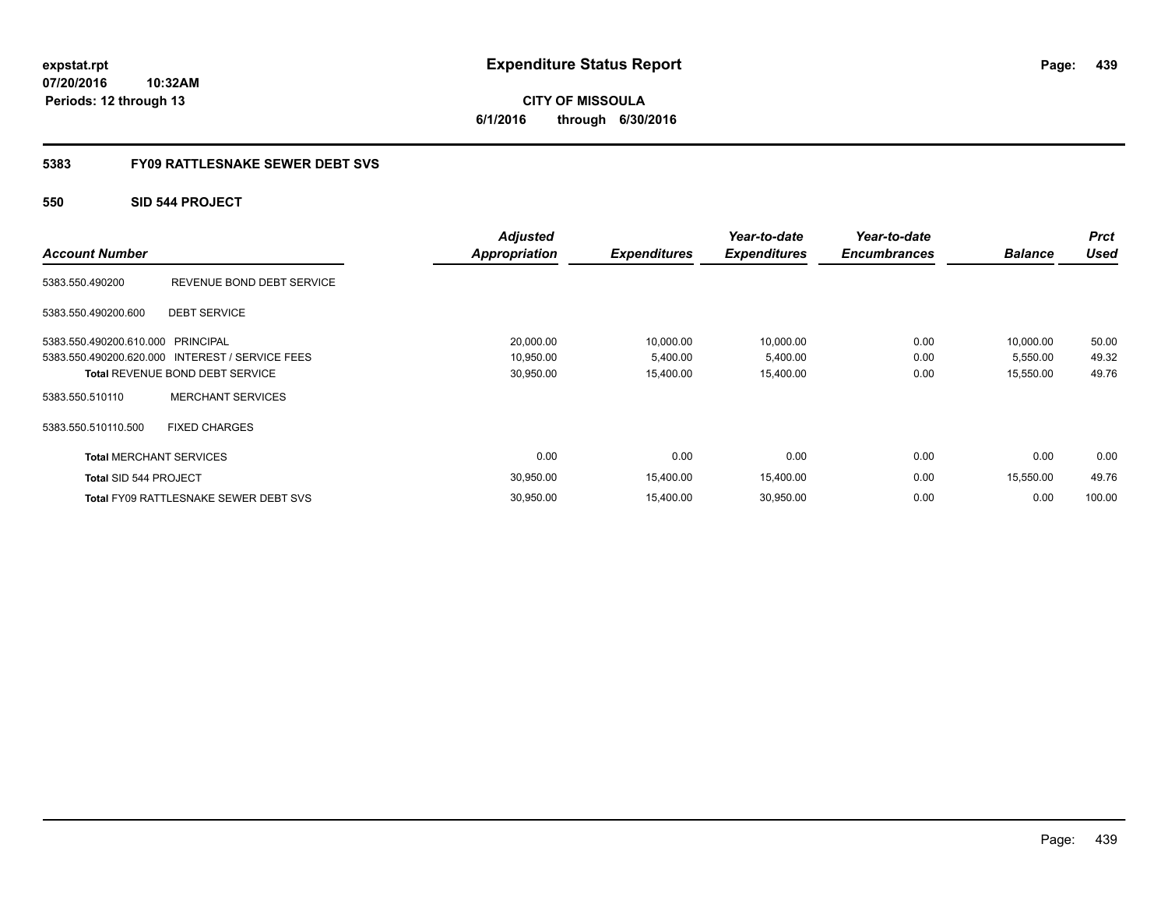**CITY OF MISSOULA 6/1/2016 through 6/30/2016**

## **5383 FY09 RATTLESNAKE SEWER DEBT SVS**

## **550 SID 544 PROJECT**

| <b>Account Number</b>          |                                                 | <b>Adjusted</b><br>Appropriation | <b>Expenditures</b> | Year-to-date<br><b>Expenditures</b> | Year-to-date<br><b>Encumbrances</b> | <b>Balance</b> | <b>Prct</b><br><b>Used</b> |
|--------------------------------|-------------------------------------------------|----------------------------------|---------------------|-------------------------------------|-------------------------------------|----------------|----------------------------|
|                                |                                                 |                                  |                     |                                     |                                     |                |                            |
| 5383.550.490200                | REVENUE BOND DEBT SERVICE                       |                                  |                     |                                     |                                     |                |                            |
| 5383.550.490200.600            | <b>DEBT SERVICE</b>                             |                                  |                     |                                     |                                     |                |                            |
| 5383.550.490200.610.000        | PRINCIPAL                                       | 20,000.00                        | 10,000.00           | 10,000.00                           | 0.00                                | 10,000.00      | 50.00                      |
|                                | 5383.550.490200.620.000 INTEREST / SERVICE FEES | 10,950.00                        | 5,400.00            | 5,400.00                            | 0.00                                | 5,550.00       | 49.32                      |
|                                | <b>Total REVENUE BOND DEBT SERVICE</b>          | 30,950.00                        | 15,400.00           | 15,400.00                           | 0.00                                | 15,550.00      | 49.76                      |
| 5383.550.510110                | <b>MERCHANT SERVICES</b>                        |                                  |                     |                                     |                                     |                |                            |
| 5383.550.510110.500            | <b>FIXED CHARGES</b>                            |                                  |                     |                                     |                                     |                |                            |
| <b>Total MERCHANT SERVICES</b> |                                                 | 0.00                             | 0.00                | 0.00                                | 0.00                                | 0.00           | 0.00                       |
| Total SID 544 PROJECT          |                                                 | 30,950.00                        | 15,400.00           | 15,400.00                           | 0.00                                | 15,550.00      | 49.76                      |
|                                | <b>Total FY09 RATTLESNAKE SEWER DEBT SVS</b>    | 30,950.00                        | 15,400.00           | 30,950.00                           | 0.00                                | 0.00           | 100.00                     |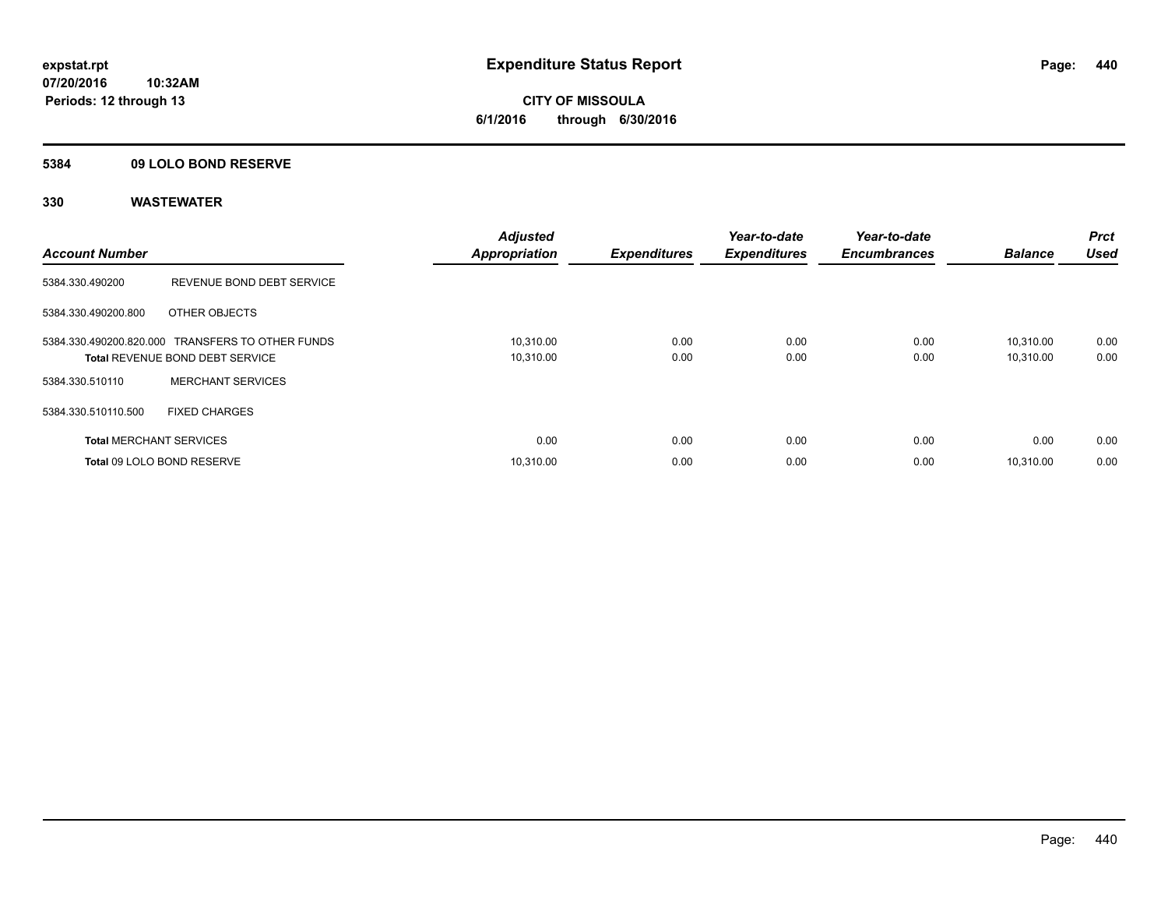## **5384 09 LOLO BOND RESERVE**

| <b>Account Number</b> |                                                                                            | <b>Adjusted</b><br><b>Appropriation</b> | <b>Expenditures</b> | Year-to-date<br><b>Expenditures</b> | Year-to-date<br><b>Encumbrances</b> | <b>Balance</b>         | <b>Prct</b><br><b>Used</b> |
|-----------------------|--------------------------------------------------------------------------------------------|-----------------------------------------|---------------------|-------------------------------------|-------------------------------------|------------------------|----------------------------|
| 5384.330.490200       | REVENUE BOND DEBT SERVICE                                                                  |                                         |                     |                                     |                                     |                        |                            |
| 5384.330.490200.800   | OTHER OBJECTS                                                                              |                                         |                     |                                     |                                     |                        |                            |
|                       | 5384.330.490200.820.000 TRANSFERS TO OTHER FUNDS<br><b>Total REVENUE BOND DEBT SERVICE</b> | 10,310.00<br>10,310.00                  | 0.00<br>0.00        | 0.00<br>0.00                        | 0.00<br>0.00                        | 10.310.00<br>10,310.00 | 0.00<br>0.00               |
| 5384.330.510110       | <b>MERCHANT SERVICES</b>                                                                   |                                         |                     |                                     |                                     |                        |                            |
| 5384.330.510110.500   | <b>FIXED CHARGES</b>                                                                       |                                         |                     |                                     |                                     |                        |                            |
|                       | <b>Total MERCHANT SERVICES</b>                                                             | 0.00                                    | 0.00                | 0.00                                | 0.00                                | 0.00                   | 0.00                       |
|                       | Total 09 LOLO BOND RESERVE                                                                 | 10.310.00                               | 0.00                | 0.00                                | 0.00                                | 10.310.00              | 0.00                       |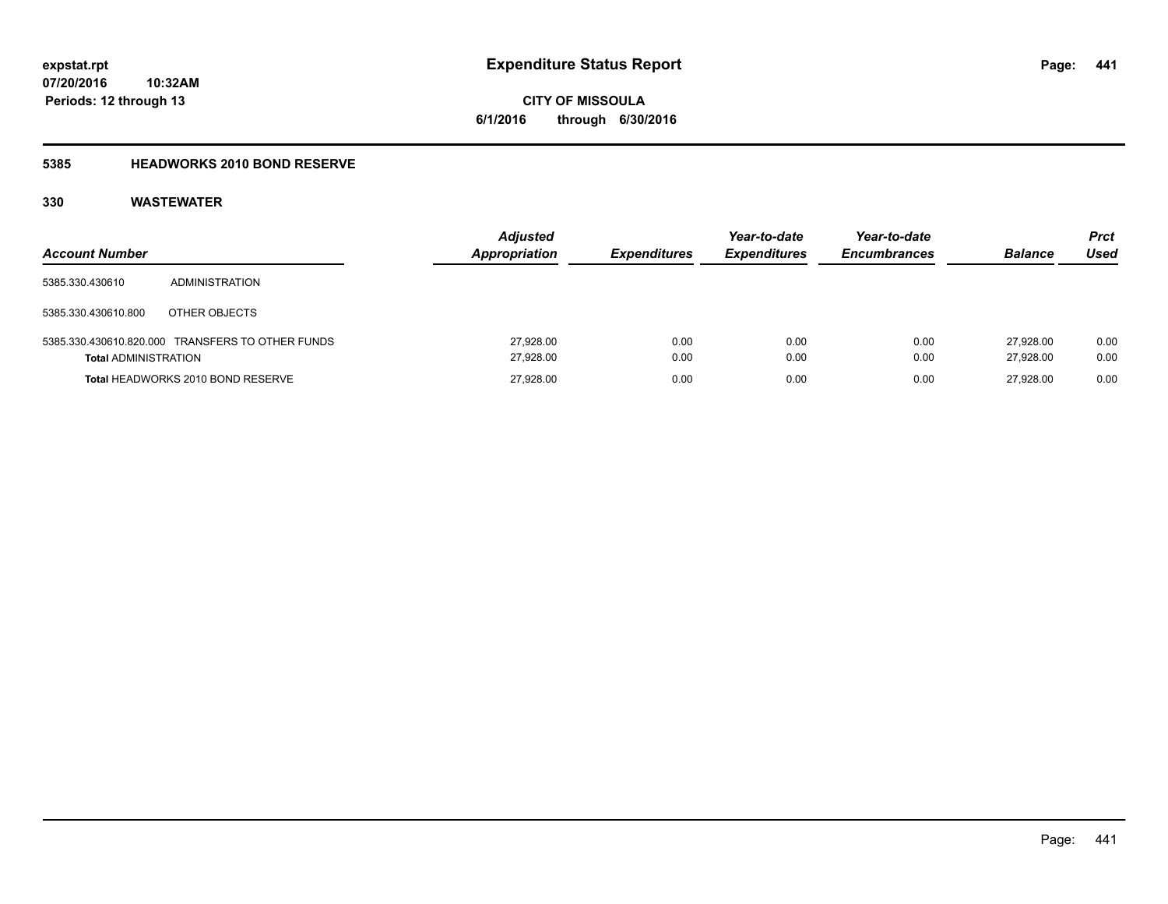# **CITY OF MISSOULA 6/1/2016 through 6/30/2016**

## **5385 HEADWORKS 2010 BOND RESERVE**

| <b>Account Number</b>       |                                                  | <b>Adjusted</b><br><b>Appropriation</b> | <b>Expenditures</b> | Year-to-date<br><b>Expenditures</b> | Year-to-date<br><b>Encumbrances</b> | <b>Balance</b>         | <b>Prct</b><br>Used |
|-----------------------------|--------------------------------------------------|-----------------------------------------|---------------------|-------------------------------------|-------------------------------------|------------------------|---------------------|
| 5385.330.430610             | ADMINISTRATION                                   |                                         |                     |                                     |                                     |                        |                     |
| 5385.330.430610.800         | OTHER OBJECTS                                    |                                         |                     |                                     |                                     |                        |                     |
| <b>Total ADMINISTRATION</b> | 5385.330.430610.820.000 TRANSFERS TO OTHER FUNDS | 27,928.00<br>27,928.00                  | 0.00<br>0.00        | 0.00<br>0.00                        | 0.00<br>0.00                        | 27.928.00<br>27.928.00 | 0.00<br>0.00        |
|                             | Total HEADWORKS 2010 BOND RESERVE                | 27,928.00                               | 0.00                | 0.00                                | 0.00                                | 27.928.00              | 0.00                |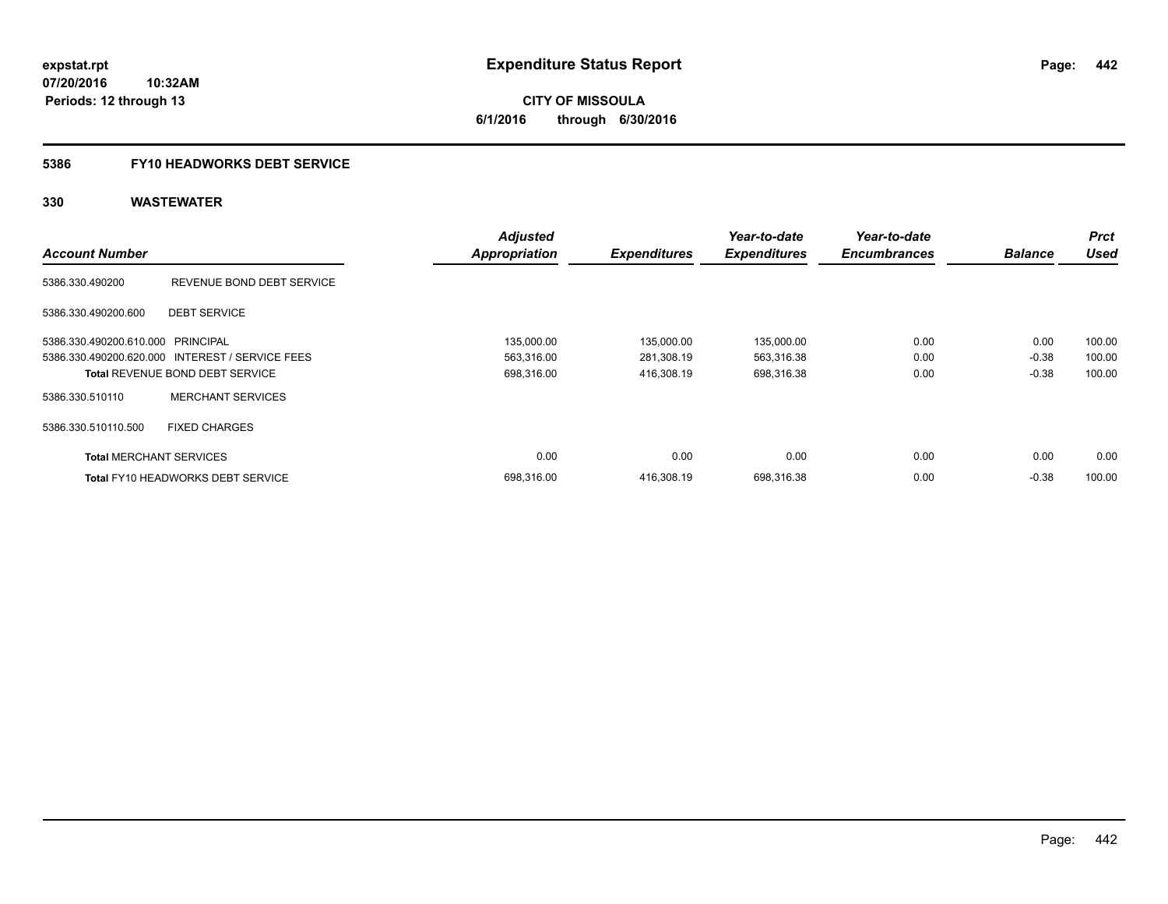**442**

**07/20/2016 10:32AM Periods: 12 through 13**

**CITY OF MISSOULA 6/1/2016 through 6/30/2016**

## **5386 FY10 HEADWORKS DEBT SERVICE**

|                                   |                                                 | <b>Adjusted</b>      |                     | Year-to-date        | Year-to-date        |                | <b>Prct</b> |
|-----------------------------------|-------------------------------------------------|----------------------|---------------------|---------------------|---------------------|----------------|-------------|
| <b>Account Number</b>             |                                                 | <b>Appropriation</b> | <b>Expenditures</b> | <b>Expenditures</b> | <b>Encumbrances</b> | <b>Balance</b> | Used        |
| 5386.330.490200                   | REVENUE BOND DEBT SERVICE                       |                      |                     |                     |                     |                |             |
| 5386.330.490200.600               | <b>DEBT SERVICE</b>                             |                      |                     |                     |                     |                |             |
| 5386.330.490200.610.000 PRINCIPAL |                                                 | 135,000.00           | 135,000.00          | 135,000.00          | 0.00                | 0.00           | 100.00      |
|                                   | 5386.330.490200.620.000 INTEREST / SERVICE FEES | 563,316.00           | 281,308.19          | 563,316.38          | 0.00                | $-0.38$        | 100.00      |
|                                   | <b>Total REVENUE BOND DEBT SERVICE</b>          | 698,316.00           | 416,308.19          | 698,316.38          | 0.00                | $-0.38$        | 100.00      |
| 5386.330.510110                   | <b>MERCHANT SERVICES</b>                        |                      |                     |                     |                     |                |             |
| 5386.330.510110.500               | <b>FIXED CHARGES</b>                            |                      |                     |                     |                     |                |             |
| <b>Total MERCHANT SERVICES</b>    |                                                 | 0.00                 | 0.00                | 0.00                | 0.00                | 0.00           | 0.00        |
|                                   | <b>Total FY10 HEADWORKS DEBT SERVICE</b>        | 698.316.00           | 416.308.19          | 698.316.38          | 0.00                | $-0.38$        | 100.00      |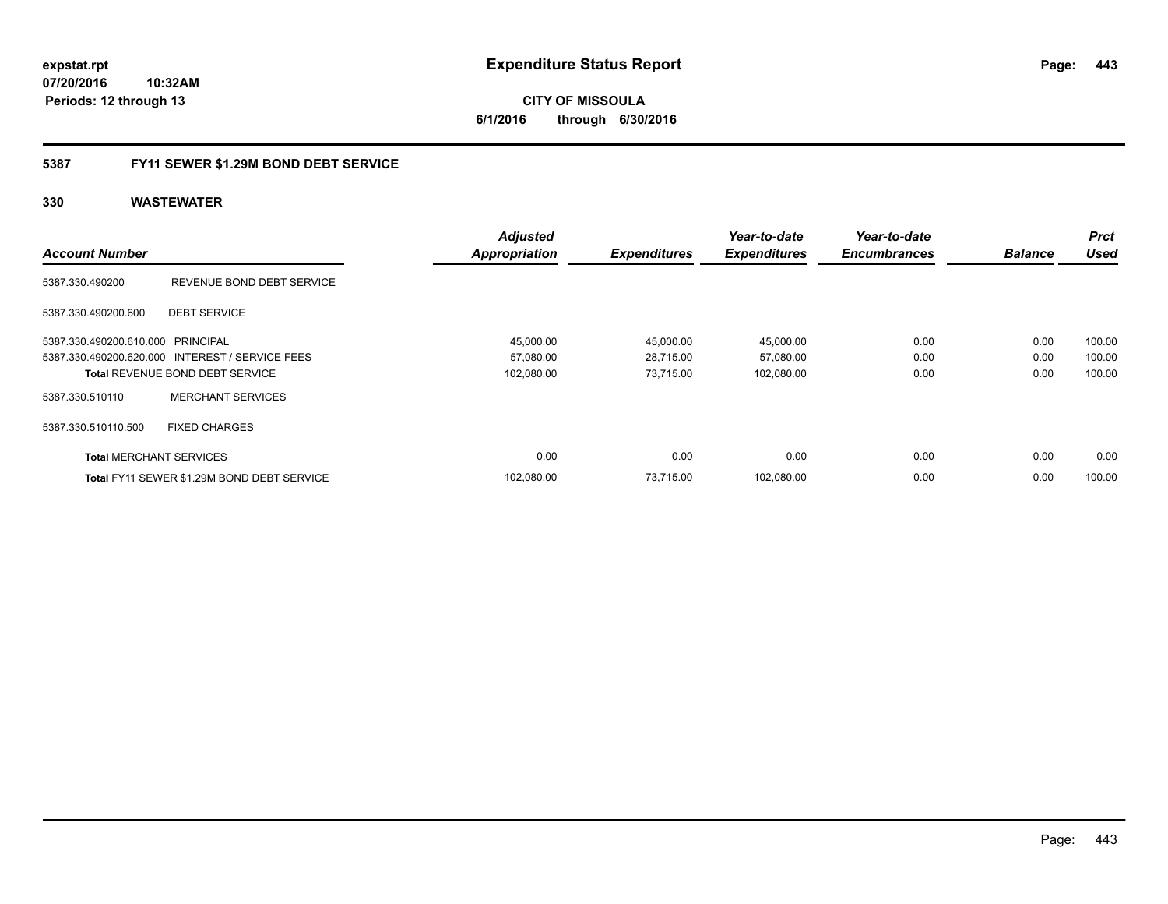**CITY OF MISSOULA 6/1/2016 through 6/30/2016**

## **5387 FY11 SEWER \$1.29M BOND DEBT SERVICE**

|                                   |                                                 | <b>Adjusted</b>      |                     | Year-to-date        | Year-to-date        |                | <b>Prct</b> |
|-----------------------------------|-------------------------------------------------|----------------------|---------------------|---------------------|---------------------|----------------|-------------|
| <b>Account Number</b>             |                                                 | <b>Appropriation</b> | <b>Expenditures</b> | <b>Expenditures</b> | <b>Encumbrances</b> | <b>Balance</b> | <b>Used</b> |
| 5387.330.490200                   | REVENUE BOND DEBT SERVICE                       |                      |                     |                     |                     |                |             |
| 5387.330.490200.600               | <b>DEBT SERVICE</b>                             |                      |                     |                     |                     |                |             |
| 5387.330.490200.610.000 PRINCIPAL |                                                 | 45,000.00            | 45,000.00           | 45,000.00           | 0.00                | 0.00           | 100.00      |
|                                   | 5387.330.490200.620.000 INTEREST / SERVICE FEES | 57,080.00            | 28,715.00           | 57,080.00           | 0.00                | 0.00           | 100.00      |
|                                   | <b>Total REVENUE BOND DEBT SERVICE</b>          | 102,080.00           | 73.715.00           | 102,080.00          | 0.00                | 0.00           | 100.00      |
| 5387.330.510110                   | <b>MERCHANT SERVICES</b>                        |                      |                     |                     |                     |                |             |
| 5387.330.510110.500               | <b>FIXED CHARGES</b>                            |                      |                     |                     |                     |                |             |
| <b>Total MERCHANT SERVICES</b>    |                                                 | 0.00                 | 0.00                | 0.00                | 0.00                | 0.00           | 0.00        |
|                                   | Total FY11 SEWER \$1.29M BOND DEBT SERVICE      | 102.080.00           | 73.715.00           | 102.080.00          | 0.00                | 0.00           | 100.00      |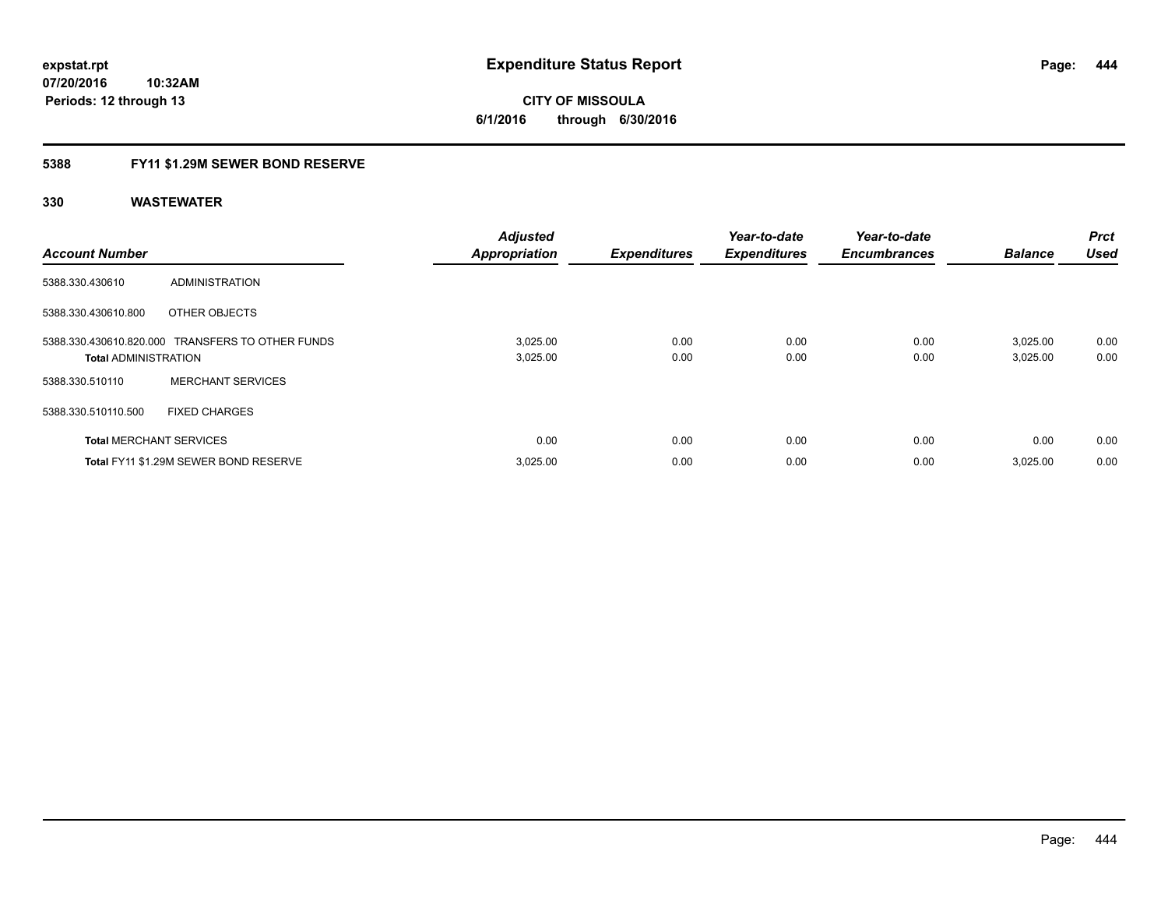**10:32AM Periods: 12 through 13**

**CITY OF MISSOULA 6/1/2016 through 6/30/2016**

## **5388 FY11 \$1.29M SEWER BOND RESERVE**

| <b>Account Number</b>          |                                                  | <b>Adjusted</b><br><b>Appropriation</b> | <b>Expenditures</b> | Year-to-date<br><b>Expenditures</b> | Year-to-date<br><b>Encumbrances</b> | <b>Balance</b>       | <b>Prct</b><br><b>Used</b> |
|--------------------------------|--------------------------------------------------|-----------------------------------------|---------------------|-------------------------------------|-------------------------------------|----------------------|----------------------------|
| 5388.330.430610                | ADMINISTRATION                                   |                                         |                     |                                     |                                     |                      |                            |
| 5388.330.430610.800            | OTHER OBJECTS                                    |                                         |                     |                                     |                                     |                      |                            |
| <b>Total ADMINISTRATION</b>    | 5388.330.430610.820.000 TRANSFERS TO OTHER FUNDS | 3,025.00<br>3,025.00                    | 0.00<br>0.00        | 0.00<br>0.00                        | 0.00<br>0.00                        | 3,025.00<br>3,025.00 | 0.00<br>0.00               |
| 5388.330.510110                | <b>MERCHANT SERVICES</b>                         |                                         |                     |                                     |                                     |                      |                            |
| 5388.330.510110.500            | <b>FIXED CHARGES</b>                             |                                         |                     |                                     |                                     |                      |                            |
| <b>Total MERCHANT SERVICES</b> |                                                  | 0.00                                    | 0.00                | 0.00                                | 0.00                                | 0.00                 | 0.00                       |
|                                | Total FY11 \$1.29M SEWER BOND RESERVE            | 3,025.00                                | 0.00                | 0.00                                | 0.00                                | 3.025.00             | 0.00                       |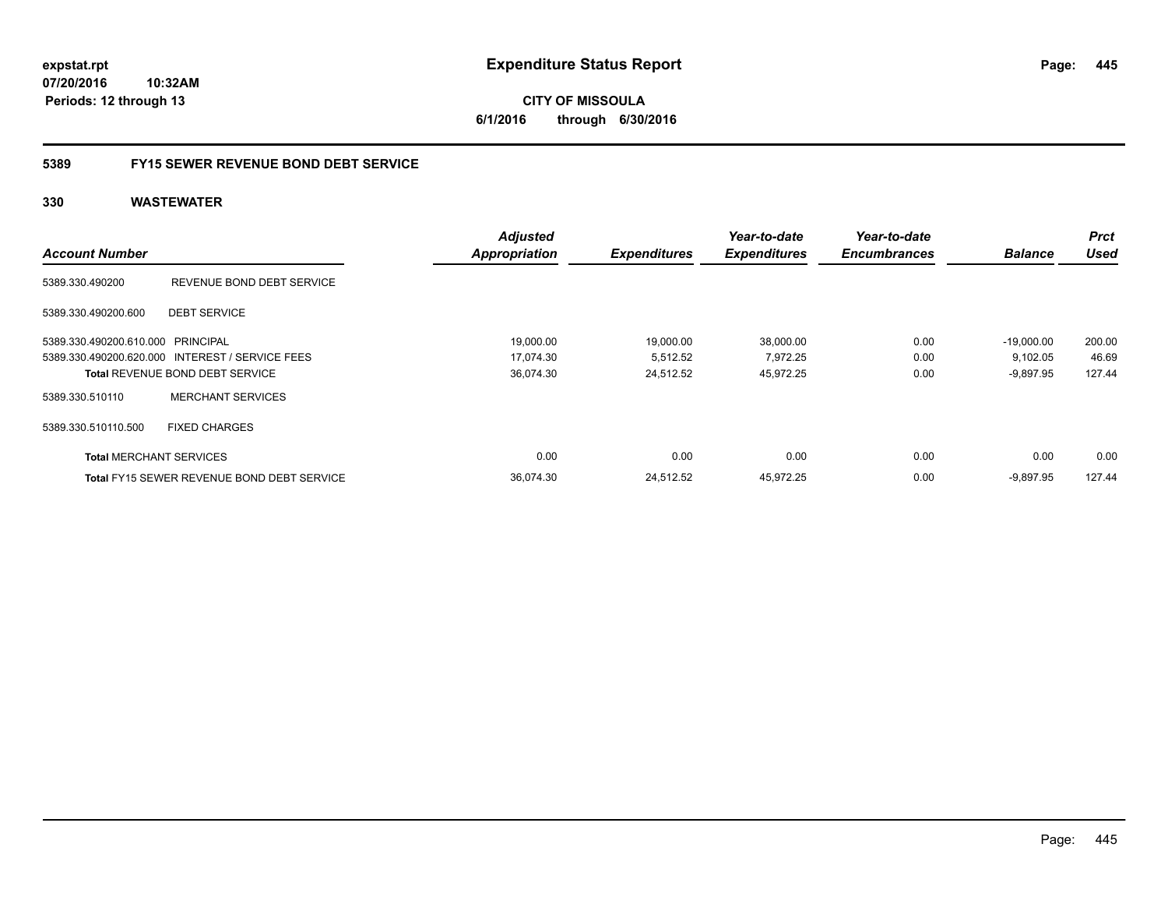## **5389 FY15 SEWER REVENUE BOND DEBT SERVICE**

| <b>Account Number</b>             |                                                 | <b>Adjusted</b><br><b>Appropriation</b> | <b>Expenditures</b> | Year-to-date<br><b>Expenditures</b> | Year-to-date<br><b>Encumbrances</b> | <b>Balance</b> | <b>Prct</b><br><b>Used</b> |
|-----------------------------------|-------------------------------------------------|-----------------------------------------|---------------------|-------------------------------------|-------------------------------------|----------------|----------------------------|
|                                   |                                                 |                                         |                     |                                     |                                     |                |                            |
| 5389.330.490200                   | REVENUE BOND DEBT SERVICE                       |                                         |                     |                                     |                                     |                |                            |
| 5389.330.490200.600               | <b>DEBT SERVICE</b>                             |                                         |                     |                                     |                                     |                |                            |
| 5389.330.490200.610.000 PRINCIPAL |                                                 | 19,000.00                               | 19,000.00           | 38,000.00                           | 0.00                                | $-19.000.00$   | 200.00                     |
|                                   | 5389.330.490200.620.000 INTEREST / SERVICE FEES | 17,074.30                               | 5,512.52            | 7,972.25                            | 0.00                                | 9,102.05       | 46.69                      |
|                                   | <b>Total REVENUE BOND DEBT SERVICE</b>          | 36,074.30                               | 24,512.52           | 45,972.25                           | 0.00                                | $-9,897.95$    | 127.44                     |
| 5389.330.510110                   | <b>MERCHANT SERVICES</b>                        |                                         |                     |                                     |                                     |                |                            |
| 5389.330.510110.500               | <b>FIXED CHARGES</b>                            |                                         |                     |                                     |                                     |                |                            |
| <b>Total MERCHANT SERVICES</b>    |                                                 | 0.00                                    | 0.00                | 0.00                                | 0.00                                | 0.00           | 0.00                       |
|                                   | Total FY15 SEWER REVENUE BOND DEBT SERVICE      | 36.074.30                               | 24,512.52           | 45,972.25                           | 0.00                                | $-9,897.95$    | 127.44                     |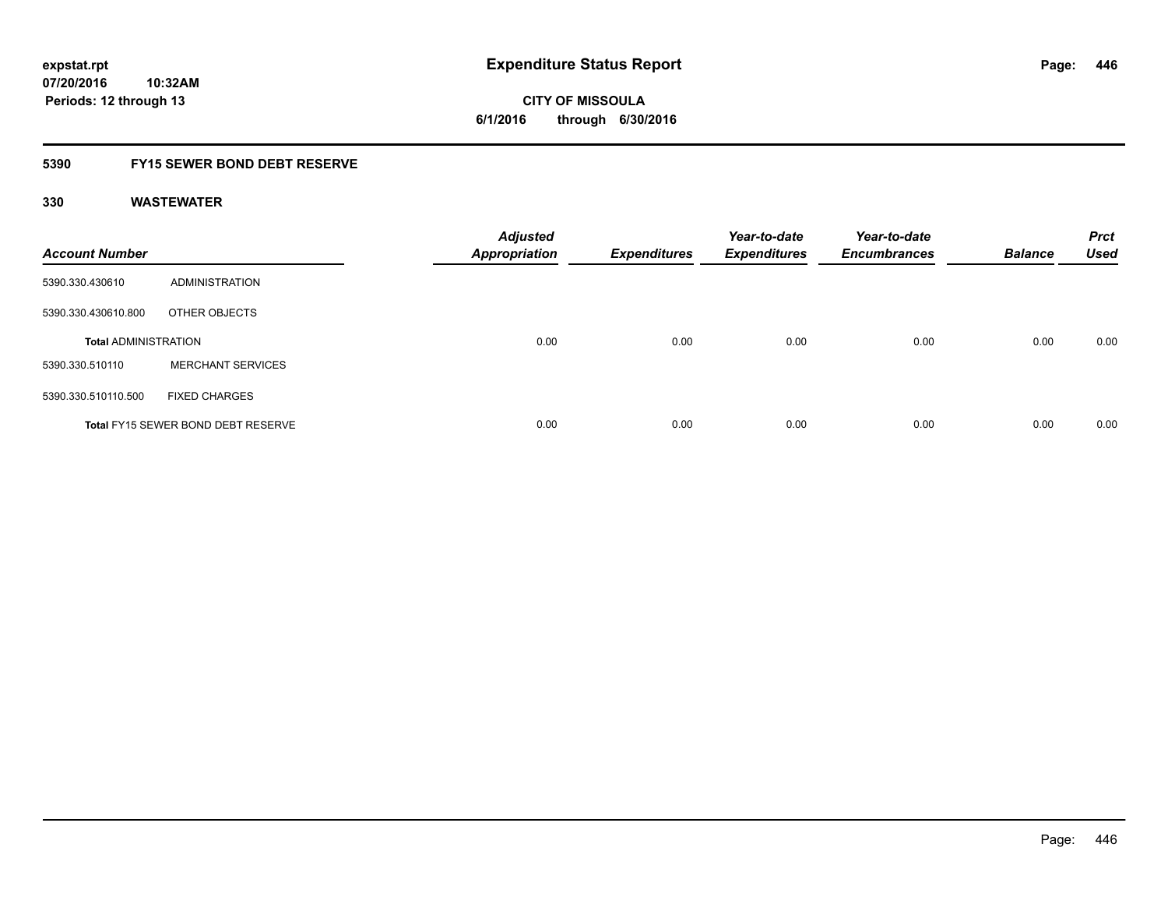# **CITY OF MISSOULA 6/1/2016 through 6/30/2016**

## **5390 FY15 SEWER BOND DEBT RESERVE**

| <b>Account Number</b>       |                                           | <b>Adjusted</b><br><b>Appropriation</b> | <b>Expenditures</b> | Year-to-date<br><b>Expenditures</b> | Year-to-date<br><b>Encumbrances</b> | <b>Balance</b> | <b>Prct</b><br><b>Used</b> |
|-----------------------------|-------------------------------------------|-----------------------------------------|---------------------|-------------------------------------|-------------------------------------|----------------|----------------------------|
| 5390.330.430610             | ADMINISTRATION                            |                                         |                     |                                     |                                     |                |                            |
| 5390.330.430610.800         | OTHER OBJECTS                             |                                         |                     |                                     |                                     |                |                            |
| <b>Total ADMINISTRATION</b> |                                           | 0.00                                    | 0.00                | 0.00                                | 0.00                                | 0.00           | 0.00                       |
| 5390.330.510110             | <b>MERCHANT SERVICES</b>                  |                                         |                     |                                     |                                     |                |                            |
| 5390.330.510110.500         | <b>FIXED CHARGES</b>                      |                                         |                     |                                     |                                     |                |                            |
|                             | <b>Total FY15 SEWER BOND DEBT RESERVE</b> | 0.00                                    | 0.00                | 0.00                                | 0.00                                | 0.00           | 0.00                       |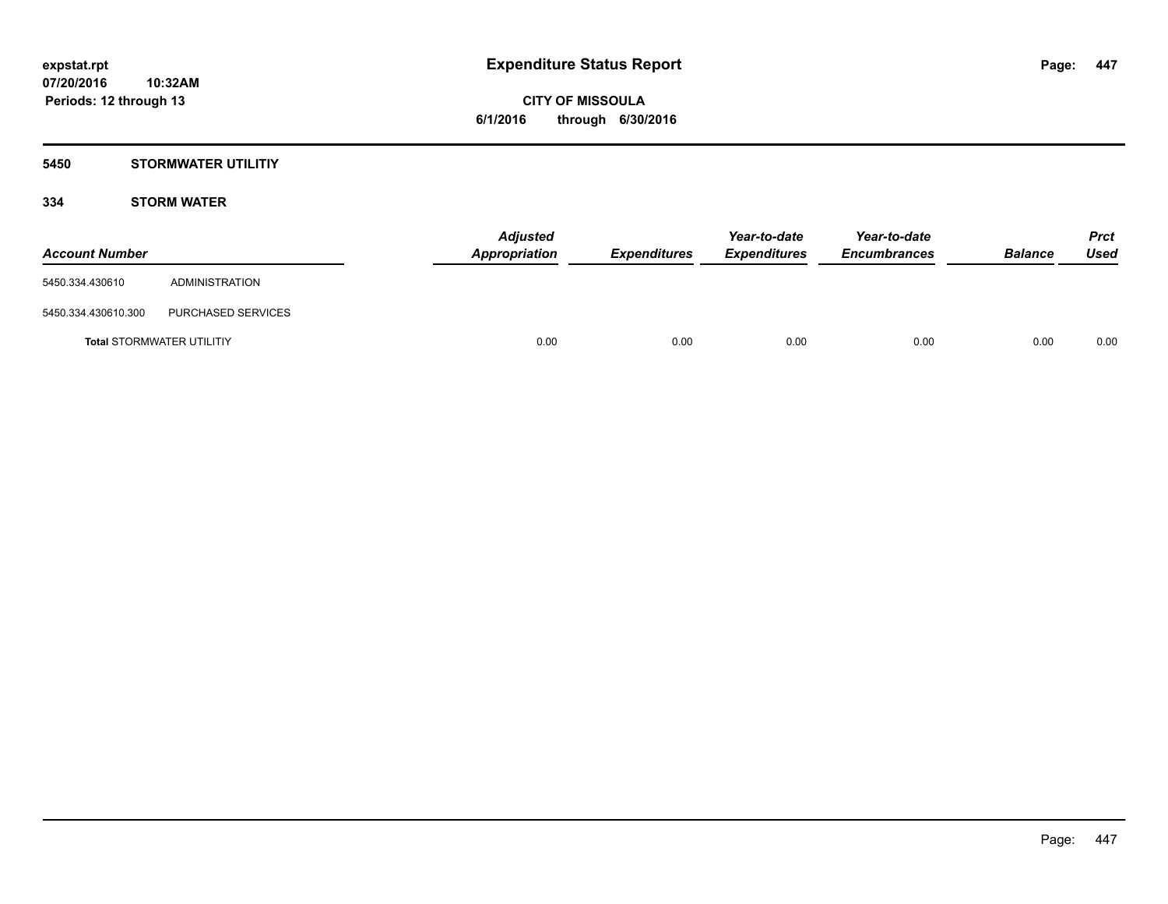## **5450 STORMWATER UTILITIY**

## **334 STORM WATER**

| <b>Account Number</b> |                                  | <b>Adjusted</b><br>Appropriation | <b>Expenditures</b> | Year-to-date<br><b>Expenditures</b> | Year-to-date<br><b>Encumbrances</b> | <b>Balance</b> | <b>Prct</b><br>Used |
|-----------------------|----------------------------------|----------------------------------|---------------------|-------------------------------------|-------------------------------------|----------------|---------------------|
| 5450.334.430610       | ADMINISTRATION                   |                                  |                     |                                     |                                     |                |                     |
| 5450.334.430610.300   | PURCHASED SERVICES               |                                  |                     |                                     |                                     |                |                     |
|                       | <b>Total STORMWATER UTILITIY</b> | 0.00                             | 0.00                | 0.00                                | 0.00                                | 0.00           | 0.00                |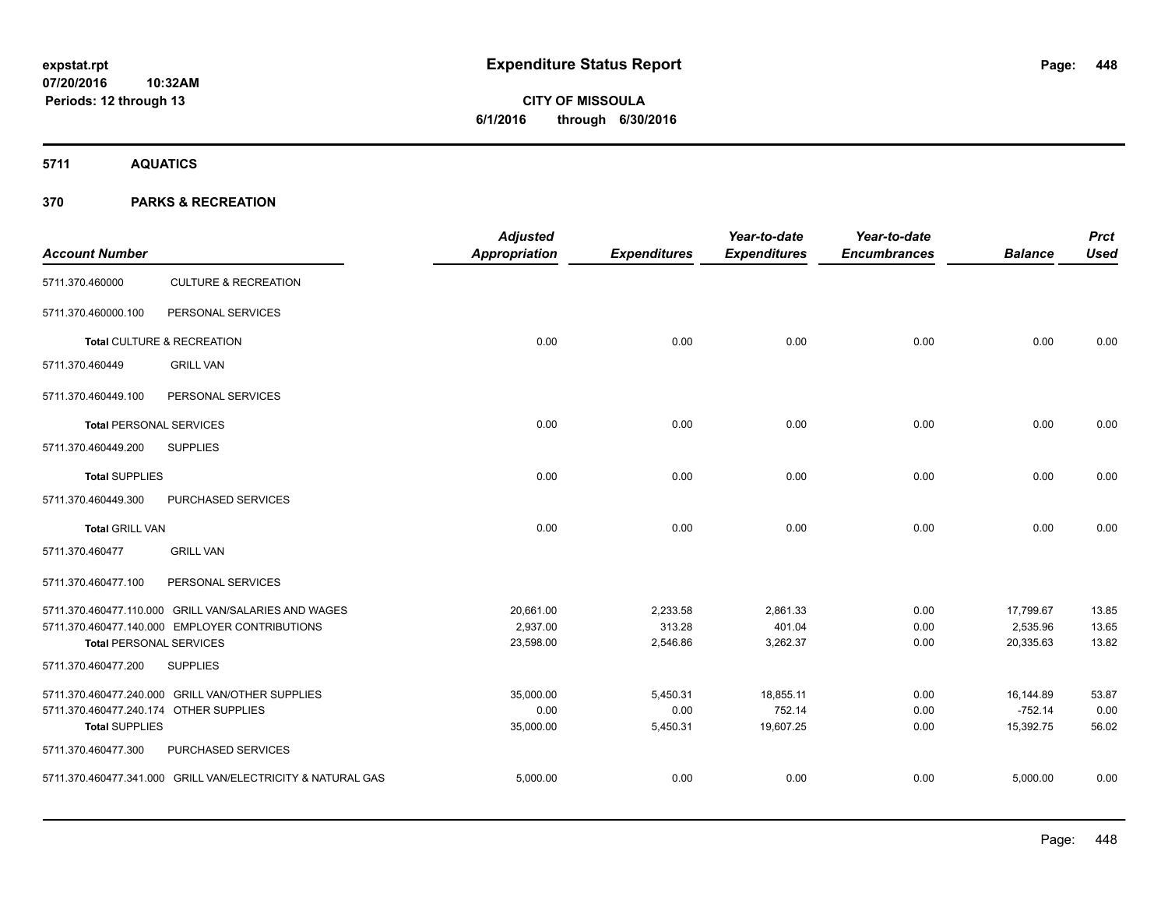**5711 AQUATICS**

| <b>Account Number</b>                  |                                                             | <b>Adjusted</b><br><b>Appropriation</b> | <b>Expenditures</b> | Year-to-date<br><b>Expenditures</b> | Year-to-date<br><b>Encumbrances</b> | <b>Balance</b> | <b>Prct</b><br><b>Used</b> |
|----------------------------------------|-------------------------------------------------------------|-----------------------------------------|---------------------|-------------------------------------|-------------------------------------|----------------|----------------------------|
| 5711.370.460000                        | <b>CULTURE &amp; RECREATION</b>                             |                                         |                     |                                     |                                     |                |                            |
| 5711.370.460000.100                    | PERSONAL SERVICES                                           |                                         |                     |                                     |                                     |                |                            |
|                                        | Total CULTURE & RECREATION                                  | 0.00                                    | 0.00                | 0.00                                | 0.00                                | 0.00           | 0.00                       |
| 5711.370.460449                        | <b>GRILL VAN</b>                                            |                                         |                     |                                     |                                     |                |                            |
| 5711.370.460449.100                    | PERSONAL SERVICES                                           |                                         |                     |                                     |                                     |                |                            |
| <b>Total PERSONAL SERVICES</b>         |                                                             | 0.00                                    | 0.00                | 0.00                                | 0.00                                | 0.00           | 0.00                       |
| 5711.370.460449.200                    | <b>SUPPLIES</b>                                             |                                         |                     |                                     |                                     |                |                            |
| <b>Total SUPPLIES</b>                  |                                                             | 0.00                                    | 0.00                | 0.00                                | 0.00                                | 0.00           | 0.00                       |
| 5711.370.460449.300                    | PURCHASED SERVICES                                          |                                         |                     |                                     |                                     |                |                            |
| <b>Total GRILL VAN</b>                 |                                                             | 0.00                                    | 0.00                | 0.00                                | 0.00                                | 0.00           | 0.00                       |
| 5711.370.460477                        | <b>GRILL VAN</b>                                            |                                         |                     |                                     |                                     |                |                            |
| 5711.370.460477.100                    | PERSONAL SERVICES                                           |                                         |                     |                                     |                                     |                |                            |
|                                        | 5711.370.460477.110.000 GRILL VAN/SALARIES AND WAGES        | 20,661.00                               | 2,233.58            | 2,861.33                            | 0.00                                | 17,799.67      | 13.85                      |
|                                        | 5711.370.460477.140.000 EMPLOYER CONTRIBUTIONS              | 2,937.00                                | 313.28              | 401.04                              | 0.00                                | 2,535.96       | 13.65                      |
| <b>Total PERSONAL SERVICES</b>         |                                                             | 23,598.00                               | 2,546.86            | 3,262.37                            | 0.00                                | 20,335.63      | 13.82                      |
| 5711.370.460477.200                    | <b>SUPPLIES</b>                                             |                                         |                     |                                     |                                     |                |                            |
|                                        | 5711.370.460477.240.000 GRILL VAN/OTHER SUPPLIES            | 35,000.00                               | 5,450.31            | 18,855.11                           | 0.00                                | 16,144.89      | 53.87                      |
| 5711.370.460477.240.174 OTHER SUPPLIES |                                                             | 0.00                                    | 0.00                | 752.14                              | 0.00                                | $-752.14$      | 0.00                       |
| <b>Total SUPPLIES</b>                  |                                                             | 35,000.00                               | 5,450.31            | 19,607.25                           | 0.00                                | 15,392.75      | 56.02                      |
| 5711.370.460477.300                    | PURCHASED SERVICES                                          |                                         |                     |                                     |                                     |                |                            |
|                                        | 5711.370.460477.341.000 GRILL VAN/ELECTRICITY & NATURAL GAS | 5,000.00                                | 0.00                | 0.00                                | 0.00                                | 5,000.00       | 0.00                       |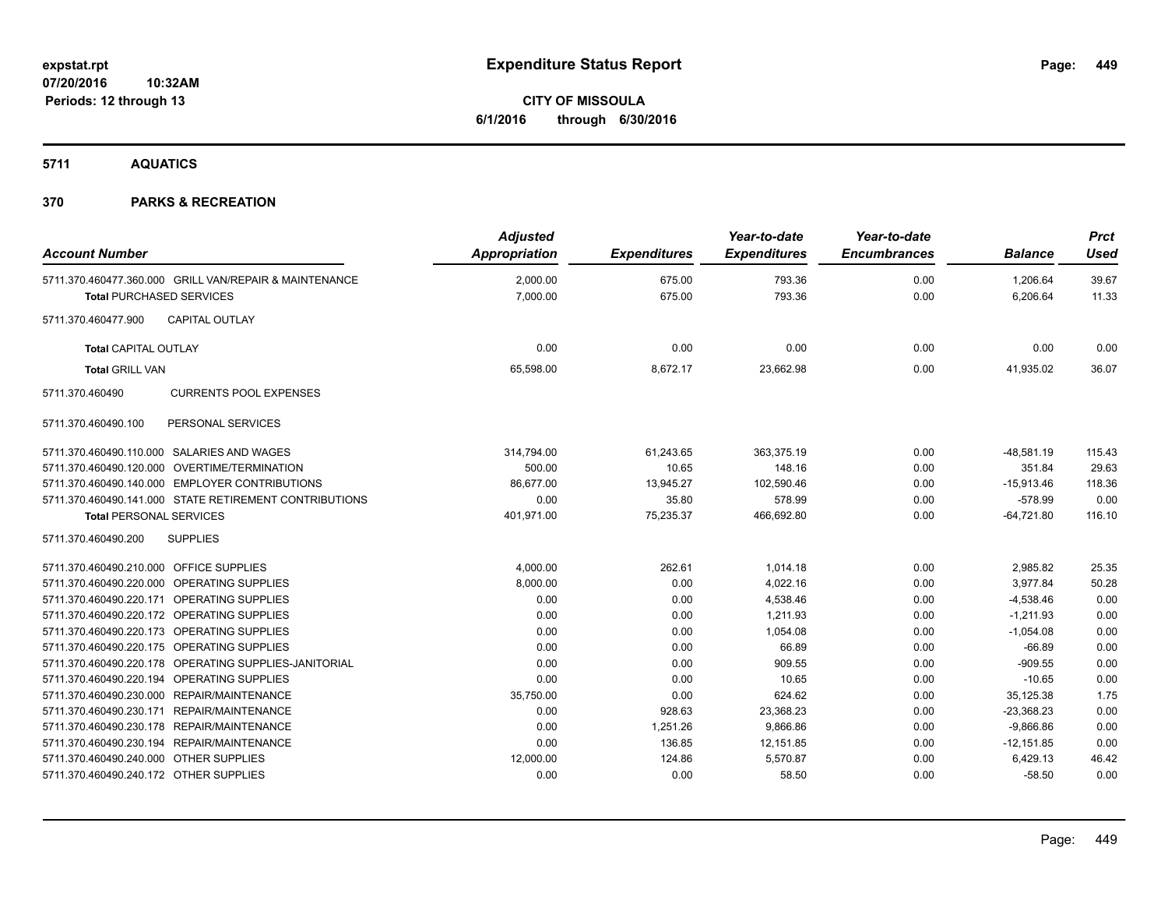# **CITY OF MISSOULA 6/1/2016 through 6/30/2016**

**5711 AQUATICS**

| <b>Account Number</b>                      |                                                        | <b>Adjusted</b><br>Appropriation | <b>Expenditures</b> | Year-to-date<br><b>Expenditures</b> | Year-to-date<br><b>Encumbrances</b> | <b>Balance</b>       | <b>Prct</b><br>Used |
|--------------------------------------------|--------------------------------------------------------|----------------------------------|---------------------|-------------------------------------|-------------------------------------|----------------------|---------------------|
| <b>Total PURCHASED SERVICES</b>            | 5711.370.460477.360.000 GRILL VAN/REPAIR & MAINTENANCE | 2.000.00<br>7,000.00             | 675.00<br>675.00    | 793.36<br>793.36                    | 0.00<br>0.00                        | 1.206.64<br>6,206.64 | 39.67<br>11.33      |
| 5711.370.460477.900                        | <b>CAPITAL OUTLAY</b>                                  |                                  |                     |                                     |                                     |                      |                     |
| <b>Total CAPITAL OUTLAY</b>                |                                                        | 0.00                             | 0.00                | 0.00                                | 0.00                                | 0.00                 | 0.00                |
| <b>Total GRILL VAN</b>                     |                                                        | 65,598.00                        | 8,672.17            | 23,662.98                           | 0.00                                | 41,935.02            | 36.07               |
| 5711.370.460490                            | <b>CURRENTS POOL EXPENSES</b>                          |                                  |                     |                                     |                                     |                      |                     |
| 5711.370.460490.100                        | PERSONAL SERVICES                                      |                                  |                     |                                     |                                     |                      |                     |
|                                            | 5711.370.460490.110.000 SALARIES AND WAGES             | 314,794.00                       | 61,243.65           | 363,375.19                          | 0.00                                | $-48.581.19$         | 115.43              |
|                                            | 5711.370.460490.120.000 OVERTIME/TERMINATION           | 500.00                           | 10.65               | 148.16                              | 0.00                                | 351.84               | 29.63               |
|                                            | 5711.370.460490.140.000 EMPLOYER CONTRIBUTIONS         | 86,677.00                        | 13,945.27           | 102,590.46                          | 0.00                                | $-15,913.46$         | 118.36              |
|                                            | 5711.370.460490.141.000 STATE RETIREMENT CONTRIBUTIONS | 0.00                             | 35.80               | 578.99                              | 0.00                                | $-578.99$            | 0.00                |
| <b>Total PERSONAL SERVICES</b>             |                                                        | 401,971.00                       | 75,235.37           | 466,692.80                          | 0.00                                | $-64,721.80$         | 116.10              |
| 5711.370.460490.200                        | <b>SUPPLIES</b>                                        |                                  |                     |                                     |                                     |                      |                     |
| 5711.370.460490.210.000 OFFICE SUPPLIES    |                                                        | 4,000.00                         | 262.61              | 1,014.18                            | 0.00                                | 2,985.82             | 25.35               |
| 5711.370.460490.220.000 OPERATING SUPPLIES |                                                        | 8,000.00                         | 0.00                | 4,022.16                            | 0.00                                | 3,977.84             | 50.28               |
| 5711.370.460490.220.171 OPERATING SUPPLIES |                                                        | 0.00                             | 0.00                | 4,538.46                            | 0.00                                | $-4,538.46$          | 0.00                |
| 5711.370.460490.220.172 OPERATING SUPPLIES |                                                        | 0.00                             | 0.00                | 1,211.93                            | 0.00                                | $-1,211.93$          | 0.00                |
| 5711.370.460490.220.173 OPERATING SUPPLIES |                                                        | 0.00                             | 0.00                | 1,054.08                            | 0.00                                | $-1,054.08$          | 0.00                |
| 5711.370.460490.220.175 OPERATING SUPPLIES |                                                        | 0.00                             | 0.00                | 66.89                               | 0.00                                | $-66.89$             | 0.00                |
|                                            | 5711.370.460490.220.178 OPERATING SUPPLIES-JANITORIAL  | 0.00                             | 0.00                | 909.55                              | 0.00                                | $-909.55$            | 0.00                |
| 5711.370.460490.220.194 OPERATING SUPPLIES |                                                        | 0.00                             | 0.00                | 10.65                               | 0.00                                | $-10.65$             | 0.00                |
|                                            | 5711.370.460490.230.000 REPAIR/MAINTENANCE             | 35,750.00                        | 0.00                | 624.62                              | 0.00                                | 35,125.38            | 1.75                |
|                                            | 5711.370.460490.230.171 REPAIR/MAINTENANCE             | 0.00                             | 928.63              | 23,368.23                           | 0.00                                | $-23,368.23$         | 0.00                |
|                                            | 5711.370.460490.230.178 REPAIR/MAINTENANCE             | 0.00                             | 1,251.26            | 9.866.86                            | 0.00                                | $-9.866.86$          | 0.00                |
|                                            | 5711.370.460490.230.194 REPAIR/MAINTENANCE             | 0.00                             | 136.85              | 12,151.85                           | 0.00                                | $-12,151.85$         | 0.00                |
| 5711.370.460490.240.000 OTHER SUPPLIES     |                                                        | 12,000.00                        | 124.86              | 5,570.87                            | 0.00                                | 6,429.13             | 46.42               |
| 5711.370.460490.240.172 OTHER SUPPLIES     |                                                        | 0.00                             | 0.00                | 58.50                               | 0.00                                | $-58.50$             | 0.00                |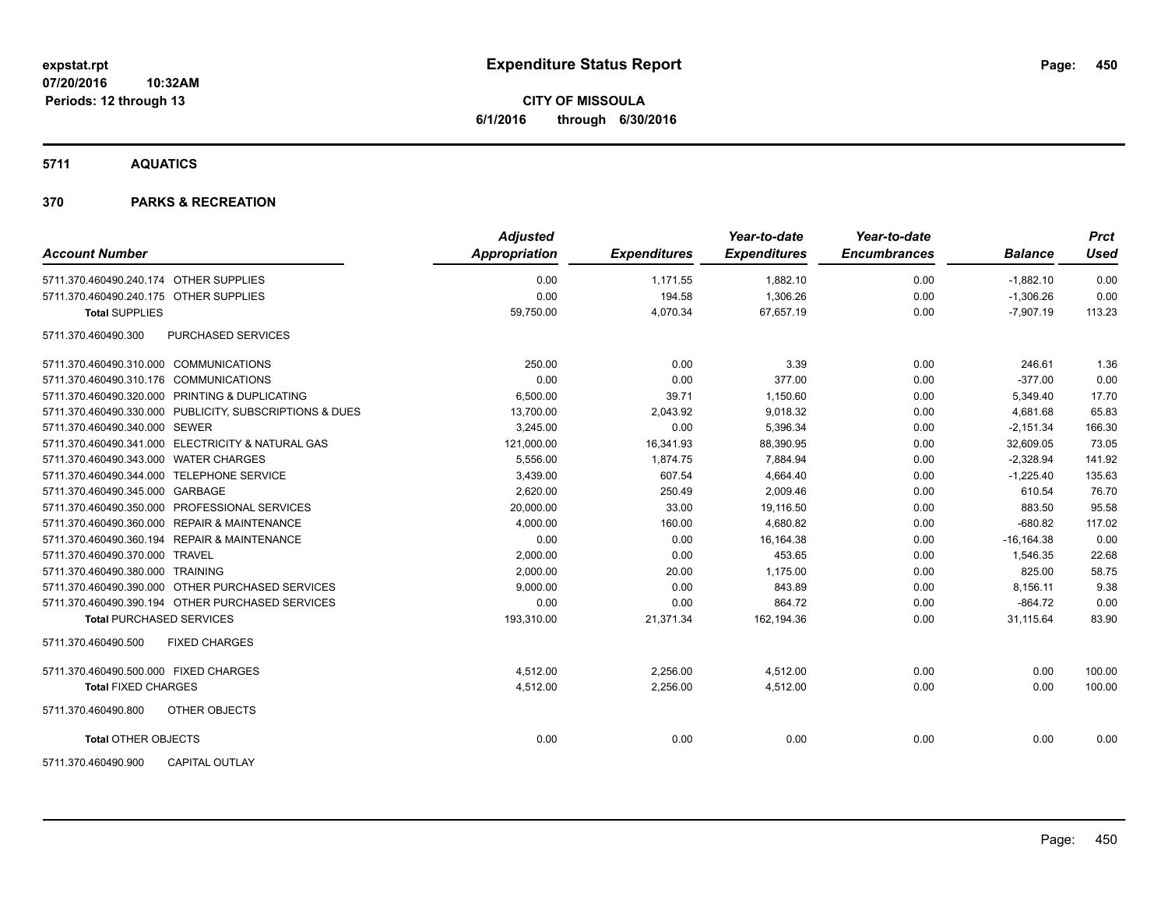**CITY OF MISSOULA 6/1/2016 through 6/30/2016**

**5711 AQUATICS**

| <b>Account Number</b>                     |                                                         | <b>Adjusted</b><br><b>Appropriation</b> | <b>Expenditures</b> | Year-to-date<br><b>Expenditures</b> | Year-to-date<br><b>Encumbrances</b> | <b>Balance</b> | <b>Prct</b><br>Used |
|-------------------------------------------|---------------------------------------------------------|-----------------------------------------|---------------------|-------------------------------------|-------------------------------------|----------------|---------------------|
| 5711.370.460490.240.174 OTHER SUPPLIES    |                                                         | 0.00                                    | 1,171.55            | 1,882.10                            | 0.00                                | $-1,882.10$    | 0.00                |
| 5711.370.460490.240.175 OTHER SUPPLIES    |                                                         | 0.00                                    | 194.58              | 1,306.26                            | 0.00                                | $-1,306.26$    | 0.00                |
| <b>Total SUPPLIES</b>                     |                                                         | 59,750.00                               | 4,070.34            | 67,657.19                           | 0.00                                | $-7,907.19$    | 113.23              |
| 5711.370.460490.300                       | PURCHASED SERVICES                                      |                                         |                     |                                     |                                     |                |                     |
| 5711.370.460490.310.000 COMMUNICATIONS    |                                                         | 250.00                                  | 0.00                | 3.39                                | 0.00                                | 246.61         | 1.36                |
| 5711.370.460490.310.176 COMMUNICATIONS    |                                                         | 0.00                                    | 0.00                | 377.00                              | 0.00                                | $-377.00$      | 0.00                |
|                                           | 5711.370.460490.320.000 PRINTING & DUPLICATING          | 6,500.00                                | 39.71               | 1,150.60                            | 0.00                                | 5,349.40       | 17.70               |
|                                           | 5711.370.460490.330.000 PUBLICITY, SUBSCRIPTIONS & DUES | 13,700.00                               | 2,043.92            | 9,018.32                            | 0.00                                | 4,681.68       | 65.83               |
| 5711.370.460490.340.000 SEWER             |                                                         | 3.245.00                                | 0.00                | 5,396.34                            | 0.00                                | $-2,151.34$    | 166.30              |
|                                           | 5711.370.460490.341.000 ELECTRICITY & NATURAL GAS       | 121,000.00                              | 16,341.93           | 88,390.95                           | 0.00                                | 32,609.05      | 73.05               |
| 5711.370.460490.343.000 WATER CHARGES     |                                                         | 5,556.00                                | 1,874.75            | 7,884.94                            | 0.00                                | $-2,328.94$    | 141.92              |
| 5711.370.460490.344.000 TELEPHONE SERVICE |                                                         | 3,439.00                                | 607.54              | 4,664.40                            | 0.00                                | $-1,225.40$    | 135.63              |
| 5711.370.460490.345.000 GARBAGE           |                                                         | 2,620.00                                | 250.49              | 2,009.46                            | 0.00                                | 610.54         | 76.70               |
|                                           | 5711.370.460490.350.000 PROFESSIONAL SERVICES           | 20,000.00                               | 33.00               | 19,116.50                           | 0.00                                | 883.50         | 95.58               |
|                                           | 5711.370.460490.360.000 REPAIR & MAINTENANCE            | 4,000.00                                | 160.00              | 4,680.82                            | 0.00                                | $-680.82$      | 117.02              |
|                                           | 5711.370.460490.360.194 REPAIR & MAINTENANCE            | 0.00                                    | 0.00                | 16,164.38                           | 0.00                                | $-16, 164.38$  | 0.00                |
| 5711.370.460490.370.000 TRAVEL            |                                                         | 2,000.00                                | 0.00                | 453.65                              | 0.00                                | 1,546.35       | 22.68               |
| 5711.370.460490.380.000 TRAINING          |                                                         | 2,000.00                                | 20.00               | 1,175.00                            | 0.00                                | 825.00         | 58.75               |
|                                           | 5711.370.460490.390.000 OTHER PURCHASED SERVICES        | 9,000.00                                | 0.00                | 843.89                              | 0.00                                | 8,156.11       | 9.38                |
|                                           | 5711.370.460490.390.194 OTHER PURCHASED SERVICES        | 0.00                                    | 0.00                | 864.72                              | 0.00                                | $-864.72$      | 0.00                |
| <b>Total PURCHASED SERVICES</b>           |                                                         | 193,310.00                              | 21,371.34           | 162,194.36                          | 0.00                                | 31,115.64      | 83.90               |
| 5711.370.460490.500                       | <b>FIXED CHARGES</b>                                    |                                         |                     |                                     |                                     |                |                     |
| 5711.370.460490.500.000 FIXED CHARGES     |                                                         | 4,512.00                                | 2,256.00            | 4,512.00                            | 0.00                                | 0.00           | 100.00              |
| <b>Total FIXED CHARGES</b>                |                                                         | 4,512.00                                | 2,256.00            | 4,512.00                            | 0.00                                | 0.00           | 100.00              |
| 5711.370.460490.800                       | OTHER OBJECTS                                           |                                         |                     |                                     |                                     |                |                     |
| <b>Total OTHER OBJECTS</b>                |                                                         | 0.00                                    | 0.00                | 0.00                                | 0.00                                | 0.00           | 0.00                |
| 5711.370.460490.900                       | <b>CAPITAL OUTLAY</b>                                   |                                         |                     |                                     |                                     |                |                     |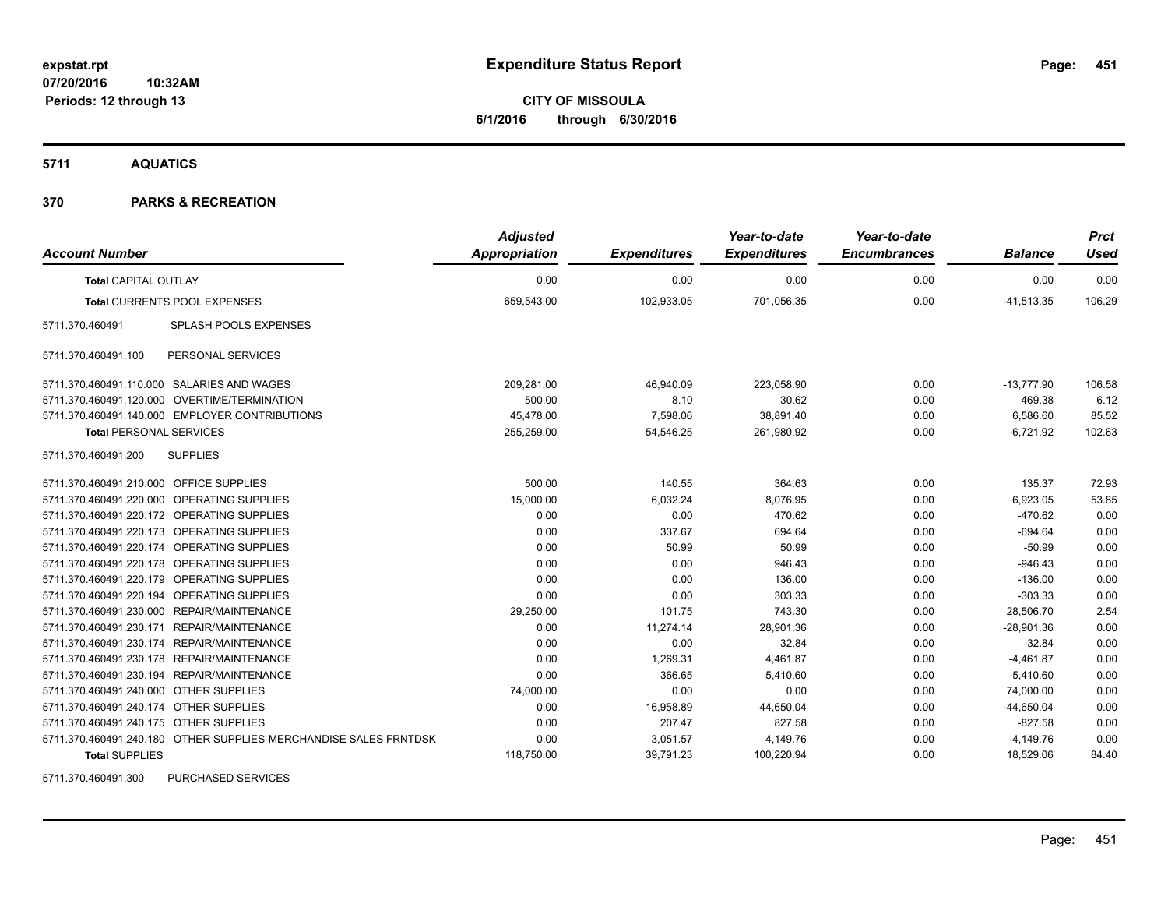**CITY OF MISSOULA 6/1/2016 through 6/30/2016**

**5711 AQUATICS**

## **370 PARKS & RECREATION**

| <b>Account Number</b>                                            | <b>Adjusted</b><br><b>Appropriation</b> | <b>Expenditures</b> | Year-to-date<br><b>Expenditures</b> | Year-to-date<br><b>Encumbrances</b> | <b>Balance</b> | <b>Prct</b><br><b>Used</b> |
|------------------------------------------------------------------|-----------------------------------------|---------------------|-------------------------------------|-------------------------------------|----------------|----------------------------|
| <b>Total CAPITAL OUTLAY</b>                                      | 0.00                                    | 0.00                | 0.00                                | 0.00                                | 0.00           | 0.00                       |
| <b>Total CURRENTS POOL EXPENSES</b>                              | 659,543.00                              | 102,933.05          | 701,056.35                          | 0.00                                | $-41,513.35$   | 106.29                     |
| <b>SPLASH POOLS EXPENSES</b><br>5711.370.460491                  |                                         |                     |                                     |                                     |                |                            |
| PERSONAL SERVICES<br>5711.370.460491.100                         |                                         |                     |                                     |                                     |                |                            |
| 5711.370.460491.110.000 SALARIES AND WAGES                       | 209,281.00                              | 46,940.09           | 223,058.90                          | 0.00                                | $-13,777.90$   | 106.58                     |
| 5711.370.460491.120.000 OVERTIME/TERMINATION                     | 500.00                                  | 8.10                | 30.62                               | 0.00                                | 469.38         | 6.12                       |
| 5711.370.460491.140.000 EMPLOYER CONTRIBUTIONS                   | 45,478.00                               | 7,598.06            | 38,891.40                           | 0.00                                | 6,586.60       | 85.52                      |
| <b>Total PERSONAL SERVICES</b>                                   | 255,259.00                              | 54,546.25           | 261,980.92                          | 0.00                                | $-6,721.92$    | 102.63                     |
| <b>SUPPLIES</b><br>5711.370.460491.200                           |                                         |                     |                                     |                                     |                |                            |
| 5711.370.460491.210.000 OFFICE SUPPLIES                          | 500.00                                  | 140.55              | 364.63                              | 0.00                                | 135.37         | 72.93                      |
| 5711.370.460491.220.000 OPERATING SUPPLIES                       | 15,000.00                               | 6,032.24            | 8.076.95                            | 0.00                                | 6,923.05       | 53.85                      |
| 5711.370.460491.220.172 OPERATING SUPPLIES                       | 0.00                                    | 0.00                | 470.62                              | 0.00                                | $-470.62$      | 0.00                       |
| 5711.370.460491.220.173 OPERATING SUPPLIES                       | 0.00                                    | 337.67              | 694.64                              | 0.00                                | $-694.64$      | 0.00                       |
| 5711.370.460491.220.174 OPERATING SUPPLIES                       | 0.00                                    | 50.99               | 50.99                               | 0.00                                | $-50.99$       | 0.00                       |
| 5711.370.460491.220.178 OPERATING SUPPLIES                       | 0.00                                    | 0.00                | 946.43                              | 0.00                                | $-946.43$      | 0.00                       |
| 5711.370.460491.220.179 OPERATING SUPPLIES                       | 0.00                                    | 0.00                | 136.00                              | 0.00                                | $-136.00$      | 0.00                       |
| 5711.370.460491.220.194 OPERATING SUPPLIES                       | 0.00                                    | 0.00                | 303.33                              | 0.00                                | $-303.33$      | 0.00                       |
| 5711.370.460491.230.000 REPAIR/MAINTENANCE                       | 29,250.00                               | 101.75              | 743.30                              | 0.00                                | 28,506.70      | 2.54                       |
| 5711.370.460491.230.171 REPAIR/MAINTENANCE                       | 0.00                                    | 11,274.14           | 28,901.36                           | 0.00                                | $-28,901.36$   | 0.00                       |
| 5711.370.460491.230.174 REPAIR/MAINTENANCE                       | 0.00                                    | 0.00                | 32.84                               | 0.00                                | $-32.84$       | 0.00                       |
| 5711.370.460491.230.178 REPAIR/MAINTENANCE                       | 0.00                                    | 1,269.31            | 4,461.87                            | 0.00                                | $-4,461.87$    | 0.00                       |
| 5711.370.460491.230.194 REPAIR/MAINTENANCE                       | 0.00                                    | 366.65              | 5,410.60                            | 0.00                                | $-5,410.60$    | 0.00                       |
| 5711.370.460491.240.000 OTHER SUPPLIES                           | 74,000.00                               | 0.00                | 0.00                                | 0.00                                | 74,000.00      | 0.00                       |
| 5711.370.460491.240.174 OTHER SUPPLIES                           | 0.00                                    | 16,958.89           | 44,650.04                           | 0.00                                | $-44,650.04$   | 0.00                       |
| 5711.370.460491.240.175 OTHER SUPPLIES                           | 0.00                                    | 207.47              | 827.58                              | 0.00                                | $-827.58$      | 0.00                       |
| 5711.370.460491.240.180 OTHER SUPPLIES-MERCHANDISE SALES FRNTDSK | 0.00                                    | 3,051.57            | 4,149.76                            | 0.00                                | $-4,149.76$    | 0.00                       |
| <b>Total SUPPLIES</b>                                            | 118,750.00                              | 39,791.23           | 100,220.94                          | 0.00                                | 18,529.06      | 84.40                      |

5711.370.460491.300 PURCHASED SERVICES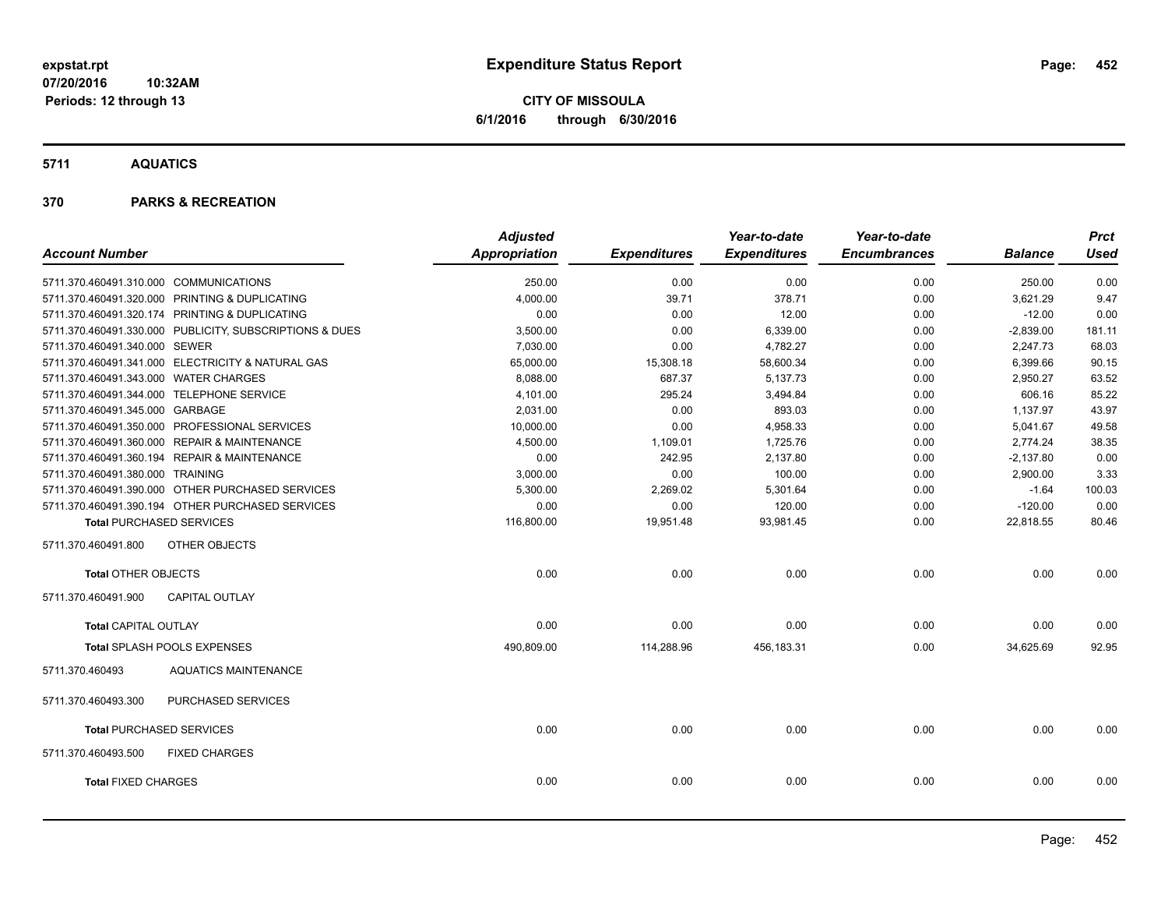**CITY OF MISSOULA 6/1/2016 through 6/30/2016**

**5711 AQUATICS**

|                                        |                                                         | <b>Adjusted</b> |                     | Year-to-date        | Year-to-date        |                | <b>Prct</b> |
|----------------------------------------|---------------------------------------------------------|-----------------|---------------------|---------------------|---------------------|----------------|-------------|
| <b>Account Number</b>                  |                                                         | Appropriation   | <b>Expenditures</b> | <b>Expenditures</b> | <b>Encumbrances</b> | <b>Balance</b> | <b>Used</b> |
| 5711.370.460491.310.000 COMMUNICATIONS |                                                         | 250.00          | 0.00                | 0.00                | 0.00                | 250.00         | 0.00        |
|                                        | 5711.370.460491.320.000 PRINTING & DUPLICATING          | 4,000.00        | 39.71               | 378.71              | 0.00                | 3,621.29       | 9.47        |
|                                        | 5711.370.460491.320.174 PRINTING & DUPLICATING          | 0.00            | 0.00                | 12.00               | 0.00                | $-12.00$       | 0.00        |
|                                        | 5711.370.460491.330.000 PUBLICITY, SUBSCRIPTIONS & DUES | 3,500.00        | 0.00                | 6,339.00            | 0.00                | $-2,839.00$    | 181.11      |
| 5711.370.460491.340.000 SEWER          |                                                         | 7,030.00        | 0.00                | 4,782.27            | 0.00                | 2,247.73       | 68.03       |
|                                        | 5711.370.460491.341.000 ELECTRICITY & NATURAL GAS       | 65,000.00       | 15,308.18           | 58,600.34           | 0.00                | 6,399.66       | 90.15       |
| 5711.370.460491.343.000 WATER CHARGES  |                                                         | 8,088.00        | 687.37              | 5,137.73            | 0.00                | 2,950.27       | 63.52       |
|                                        | 5711.370.460491.344.000 TELEPHONE SERVICE               | 4,101.00        | 295.24              | 3,494.84            | 0.00                | 606.16         | 85.22       |
| 5711.370.460491.345.000 GARBAGE        |                                                         | 2,031.00        | 0.00                | 893.03              | 0.00                | 1,137.97       | 43.97       |
|                                        | 5711.370.460491.350.000 PROFESSIONAL SERVICES           | 10,000.00       | 0.00                | 4,958.33            | 0.00                | 5,041.67       | 49.58       |
|                                        | 5711.370.460491.360.000 REPAIR & MAINTENANCE            | 4,500.00        | 1,109.01            | 1,725.76            | 0.00                | 2,774.24       | 38.35       |
|                                        | 5711.370.460491.360.194 REPAIR & MAINTENANCE            | 0.00            | 242.95              | 2,137.80            | 0.00                | $-2,137.80$    | 0.00        |
| 5711.370.460491.380.000 TRAINING       |                                                         | 3,000.00        | 0.00                | 100.00              | 0.00                | 2,900.00       | 3.33        |
|                                        | 5711.370.460491.390.000 OTHER PURCHASED SERVICES        | 5,300.00        | 2,269.02            | 5,301.64            | 0.00                | $-1.64$        | 100.03      |
|                                        | 5711.370.460491.390.194 OTHER PURCHASED SERVICES        | 0.00            | 0.00                | 120.00              | 0.00                | $-120.00$      | 0.00        |
|                                        | <b>Total PURCHASED SERVICES</b>                         | 116,800.00      | 19,951.48           | 93,981.45           | 0.00                | 22,818.55      | 80.46       |
| 5711.370.460491.800                    | OTHER OBJECTS                                           |                 |                     |                     |                     |                |             |
| <b>Total OTHER OBJECTS</b>             |                                                         | 0.00            | 0.00                | 0.00                | 0.00                | 0.00           | 0.00        |
| 5711.370.460491.900                    | <b>CAPITAL OUTLAY</b>                                   |                 |                     |                     |                     |                |             |
| <b>Total CAPITAL OUTLAY</b>            |                                                         | 0.00            | 0.00                | 0.00                | 0.00                | 0.00           | 0.00        |
|                                        | <b>Total SPLASH POOLS EXPENSES</b>                      | 490,809.00      | 114,288.96          | 456,183.31          | 0.00                | 34,625.69      | 92.95       |
| 5711.370.460493                        | <b>AQUATICS MAINTENANCE</b>                             |                 |                     |                     |                     |                |             |
| 5711.370.460493.300                    | <b>PURCHASED SERVICES</b>                               |                 |                     |                     |                     |                |             |
|                                        | <b>Total PURCHASED SERVICES</b>                         | 0.00            | 0.00                | 0.00                | 0.00                | 0.00           | 0.00        |
| 5711.370.460493.500                    | <b>FIXED CHARGES</b>                                    |                 |                     |                     |                     |                |             |
| <b>Total FIXED CHARGES</b>             |                                                         | 0.00            | 0.00                | 0.00                | 0.00                | 0.00           | 0.00        |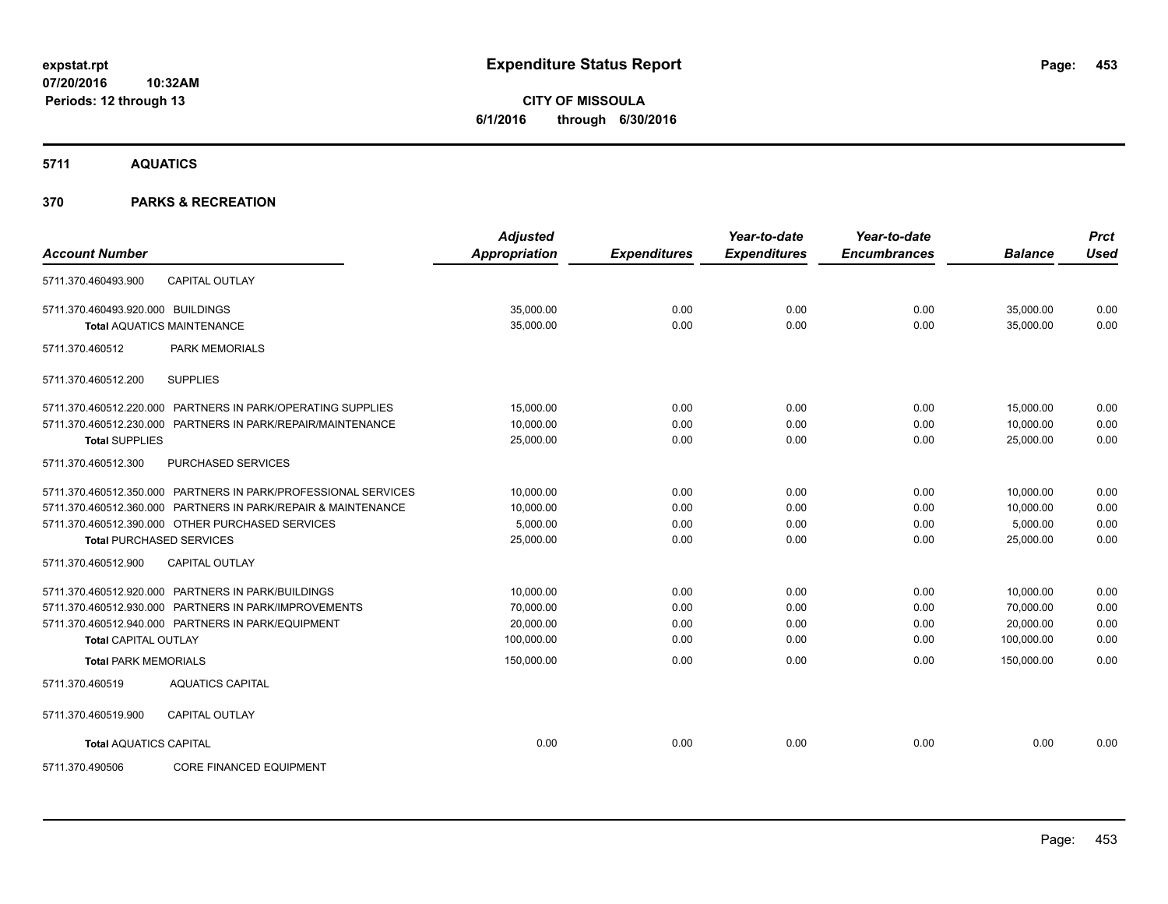**CITY OF MISSOULA 6/1/2016 through 6/30/2016**

**5711 AQUATICS**

| <b>Account Number</b>             |                                                                | <b>Adjusted</b><br>Appropriation | <b>Expenditures</b> | Year-to-date<br><b>Expenditures</b> | Year-to-date<br><b>Encumbrances</b> | <b>Balance</b> | <b>Prct</b><br><b>Used</b> |
|-----------------------------------|----------------------------------------------------------------|----------------------------------|---------------------|-------------------------------------|-------------------------------------|----------------|----------------------------|
| 5711.370.460493.900               | <b>CAPITAL OUTLAY</b>                                          |                                  |                     |                                     |                                     |                |                            |
| 5711.370.460493.920.000 BUILDINGS |                                                                | 35,000.00                        | 0.00                | 0.00                                | 0.00                                | 35,000.00      | 0.00                       |
|                                   | <b>Total AQUATICS MAINTENANCE</b>                              | 35,000.00                        | 0.00                | 0.00                                | 0.00                                | 35,000.00      | 0.00                       |
| 5711.370.460512                   | <b>PARK MEMORIALS</b>                                          |                                  |                     |                                     |                                     |                |                            |
| 5711.370.460512.200               | <b>SUPPLIES</b>                                                |                                  |                     |                                     |                                     |                |                            |
|                                   | 5711.370.460512.220.000 PARTNERS IN PARK/OPERATING SUPPLIES    | 15,000.00                        | 0.00                | 0.00                                | 0.00                                | 15,000.00      | 0.00                       |
|                                   | 5711.370.460512.230.000 PARTNERS IN PARK/REPAIR/MAINTENANCE    | 10,000.00                        | 0.00                | 0.00                                | 0.00                                | 10,000.00      | 0.00                       |
| <b>Total SUPPLIES</b>             |                                                                | 25,000.00                        | 0.00                | 0.00                                | 0.00                                | 25,000.00      | 0.00                       |
| 5711.370.460512.300               | <b>PURCHASED SERVICES</b>                                      |                                  |                     |                                     |                                     |                |                            |
|                                   | 5711.370.460512.350.000 PARTNERS IN PARK/PROFESSIONAL SERVICES | 10,000.00                        | 0.00                | 0.00                                | 0.00                                | 10,000.00      | 0.00                       |
|                                   | 5711.370.460512.360.000 PARTNERS IN PARK/REPAIR & MAINTENANCE  | 10.000.00                        | 0.00                | 0.00                                | 0.00                                | 10,000.00      | 0.00                       |
|                                   | 5711.370.460512.390.000 OTHER PURCHASED SERVICES               | 5,000.00                         | 0.00                | 0.00                                | 0.00                                | 5,000.00       | 0.00                       |
| <b>Total PURCHASED SERVICES</b>   |                                                                | 25,000.00                        | 0.00                | 0.00                                | 0.00                                | 25,000.00      | 0.00                       |
| 5711.370.460512.900               | <b>CAPITAL OUTLAY</b>                                          |                                  |                     |                                     |                                     |                |                            |
|                                   | 5711.370.460512.920.000 PARTNERS IN PARK/BUILDINGS             | 10,000.00                        | 0.00                | 0.00                                | 0.00                                | 10,000.00      | 0.00                       |
|                                   | 5711.370.460512.930.000 PARTNERS IN PARK/IMPROVEMENTS          | 70,000.00                        | 0.00                | 0.00                                | 0.00                                | 70,000.00      | 0.00                       |
|                                   | 5711.370.460512.940.000 PARTNERS IN PARK/EQUIPMENT             | 20,000.00                        | 0.00                | 0.00                                | 0.00                                | 20,000.00      | 0.00                       |
| <b>Total CAPITAL OUTLAY</b>       |                                                                | 100,000.00                       | 0.00                | 0.00                                | 0.00                                | 100,000.00     | 0.00                       |
| <b>Total PARK MEMORIALS</b>       |                                                                | 150,000.00                       | 0.00                | 0.00                                | 0.00                                | 150.000.00     | 0.00                       |
| 5711.370.460519                   | <b>AQUATICS CAPITAL</b>                                        |                                  |                     |                                     |                                     |                |                            |
| 5711.370.460519.900               | <b>CAPITAL OUTLAY</b>                                          |                                  |                     |                                     |                                     |                |                            |
| <b>Total AQUATICS CAPITAL</b>     |                                                                | 0.00                             | 0.00                | 0.00                                | 0.00                                | 0.00           | 0.00                       |
| 5711.370.490506                   | <b>CORE FINANCED EQUIPMENT</b>                                 |                                  |                     |                                     |                                     |                |                            |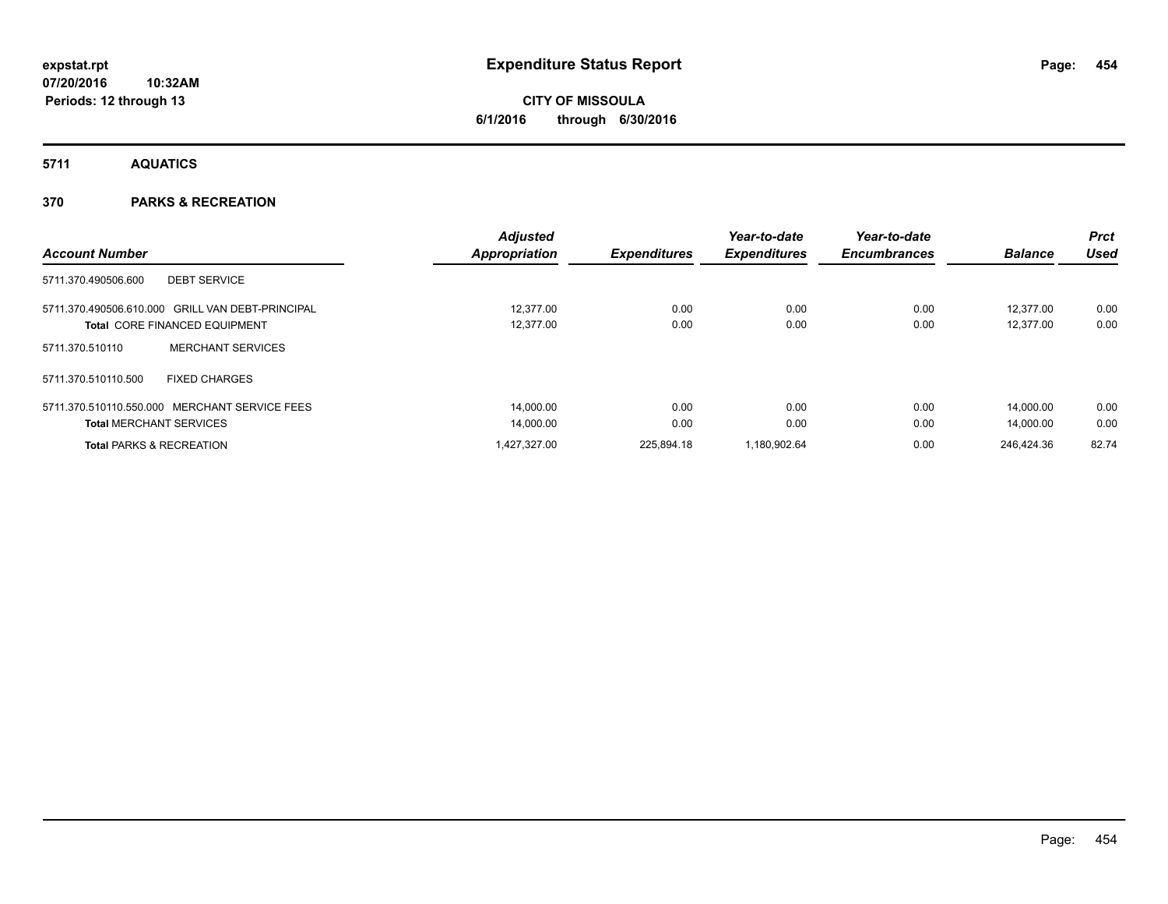# **CITY OF MISSOULA 6/1/2016 through 6/30/2016**

**5711 AQUATICS**

|                                                  | <b>Adjusted</b>      |                     | Year-to-date        | Year-to-date        |                | Prct  |
|--------------------------------------------------|----------------------|---------------------|---------------------|---------------------|----------------|-------|
| <b>Account Number</b>                            | <b>Appropriation</b> | <b>Expenditures</b> | <b>Expenditures</b> | <b>Encumbrances</b> | <b>Balance</b> | Used  |
| <b>DEBT SERVICE</b><br>5711.370.490506.600       |                      |                     |                     |                     |                |       |
| 5711.370.490506.610.000 GRILL VAN DEBT-PRINCIPAL | 12.377.00            | 0.00                | 0.00                | 0.00                | 12.377.00      | 0.00  |
| <b>Total CORE FINANCED EQUIPMENT</b>             | 12,377.00            | 0.00                | 0.00                | 0.00                | 12,377.00      | 0.00  |
| <b>MERCHANT SERVICES</b><br>5711.370.510110      |                      |                     |                     |                     |                |       |
| <b>FIXED CHARGES</b><br>5711.370.510110.500      |                      |                     |                     |                     |                |       |
| 5711.370.510110.550.000 MERCHANT SERVICE FEES    | 14.000.00            | 0.00                | 0.00                | 0.00                | 14.000.00      | 0.00  |
| <b>Total MERCHANT SERVICES</b>                   | 14,000.00            | 0.00                | 0.00                | 0.00                | 14.000.00      | 0.00  |
| <b>Total PARKS &amp; RECREATION</b>              | 1.427.327.00         | 225.894.18          | 1.180.902.64        | 0.00                | 246.424.36     | 82.74 |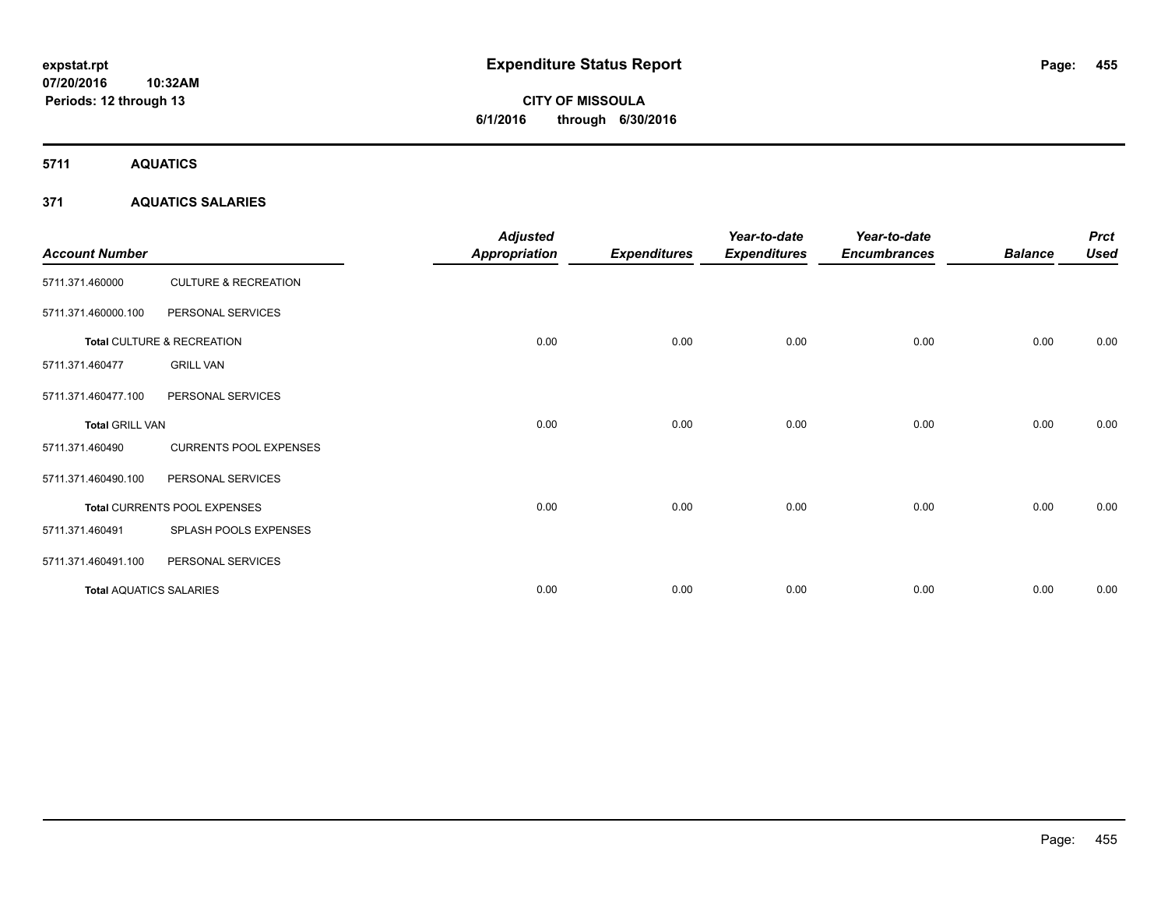# **CITY OF MISSOULA 6/1/2016 through 6/30/2016**

**5711 AQUATICS**

## **371 AQUATICS SALARIES**

| <b>Account Number</b>          |                                 | <b>Adjusted</b><br><b>Appropriation</b> | <b>Expenditures</b> | Year-to-date<br><b>Expenditures</b> | Year-to-date<br><b>Encumbrances</b> | <b>Balance</b> | <b>Prct</b><br><b>Used</b> |
|--------------------------------|---------------------------------|-----------------------------------------|---------------------|-------------------------------------|-------------------------------------|----------------|----------------------------|
| 5711.371.460000                | <b>CULTURE &amp; RECREATION</b> |                                         |                     |                                     |                                     |                |                            |
| 5711.371.460000.100            | PERSONAL SERVICES               |                                         |                     |                                     |                                     |                |                            |
|                                | Total CULTURE & RECREATION      | 0.00                                    | 0.00                | 0.00                                | 0.00                                | 0.00           | 0.00                       |
| 5711.371.460477                | <b>GRILL VAN</b>                |                                         |                     |                                     |                                     |                |                            |
| 5711.371.460477.100            | PERSONAL SERVICES               |                                         |                     |                                     |                                     |                |                            |
| <b>Total GRILL VAN</b>         |                                 | 0.00                                    | 0.00                | 0.00                                | 0.00                                | 0.00           | 0.00                       |
| 5711.371.460490                | <b>CURRENTS POOL EXPENSES</b>   |                                         |                     |                                     |                                     |                |                            |
| 5711.371.460490.100            | PERSONAL SERVICES               |                                         |                     |                                     |                                     |                |                            |
|                                | Total CURRENTS POOL EXPENSES    | 0.00                                    | 0.00                | 0.00                                | 0.00                                | 0.00           | 0.00                       |
| 5711.371.460491                | SPLASH POOLS EXPENSES           |                                         |                     |                                     |                                     |                |                            |
| 5711.371.460491.100            | PERSONAL SERVICES               |                                         |                     |                                     |                                     |                |                            |
| <b>Total AQUATICS SALARIES</b> |                                 | 0.00                                    | 0.00                | 0.00                                | 0.00                                | 0.00           | 0.00                       |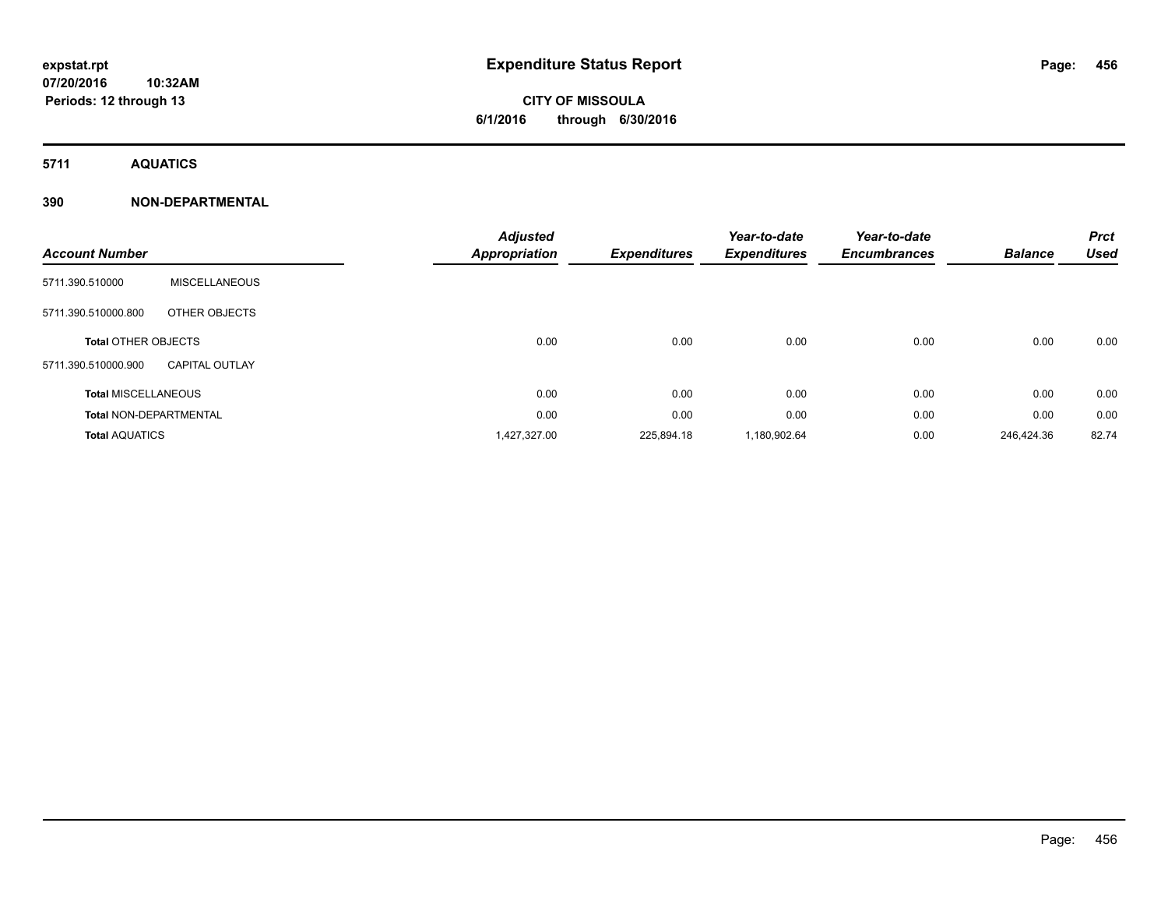# **CITY OF MISSOULA 6/1/2016 through 6/30/2016**

**5711 AQUATICS**

## **390 NON-DEPARTMENTAL**

| <b>Account Number</b>         |                       | <b>Adjusted</b><br><b>Appropriation</b> | <b>Expenditures</b> | Year-to-date<br><b>Expenditures</b> | Year-to-date<br><b>Encumbrances</b> | <b>Balance</b> | <b>Prct</b><br><b>Used</b> |
|-------------------------------|-----------------------|-----------------------------------------|---------------------|-------------------------------------|-------------------------------------|----------------|----------------------------|
| 5711.390.510000               | <b>MISCELLANEOUS</b>  |                                         |                     |                                     |                                     |                |                            |
| 5711.390.510000.800           | OTHER OBJECTS         |                                         |                     |                                     |                                     |                |                            |
| <b>Total OTHER OBJECTS</b>    |                       | 0.00                                    | 0.00                | 0.00                                | 0.00                                | 0.00           | 0.00                       |
| 5711.390.510000.900           | <b>CAPITAL OUTLAY</b> |                                         |                     |                                     |                                     |                |                            |
| <b>Total MISCELLANEOUS</b>    |                       | 0.00                                    | 0.00                | 0.00                                | 0.00                                | 0.00           | 0.00                       |
| <b>Total NON-DEPARTMENTAL</b> |                       | 0.00                                    | 0.00                | 0.00                                | 0.00                                | 0.00           | 0.00                       |
| <b>Total AQUATICS</b>         |                       | 1,427,327.00                            | 225,894.18          | 1,180,902.64                        | 0.00                                | 246.424.36     | 82.74                      |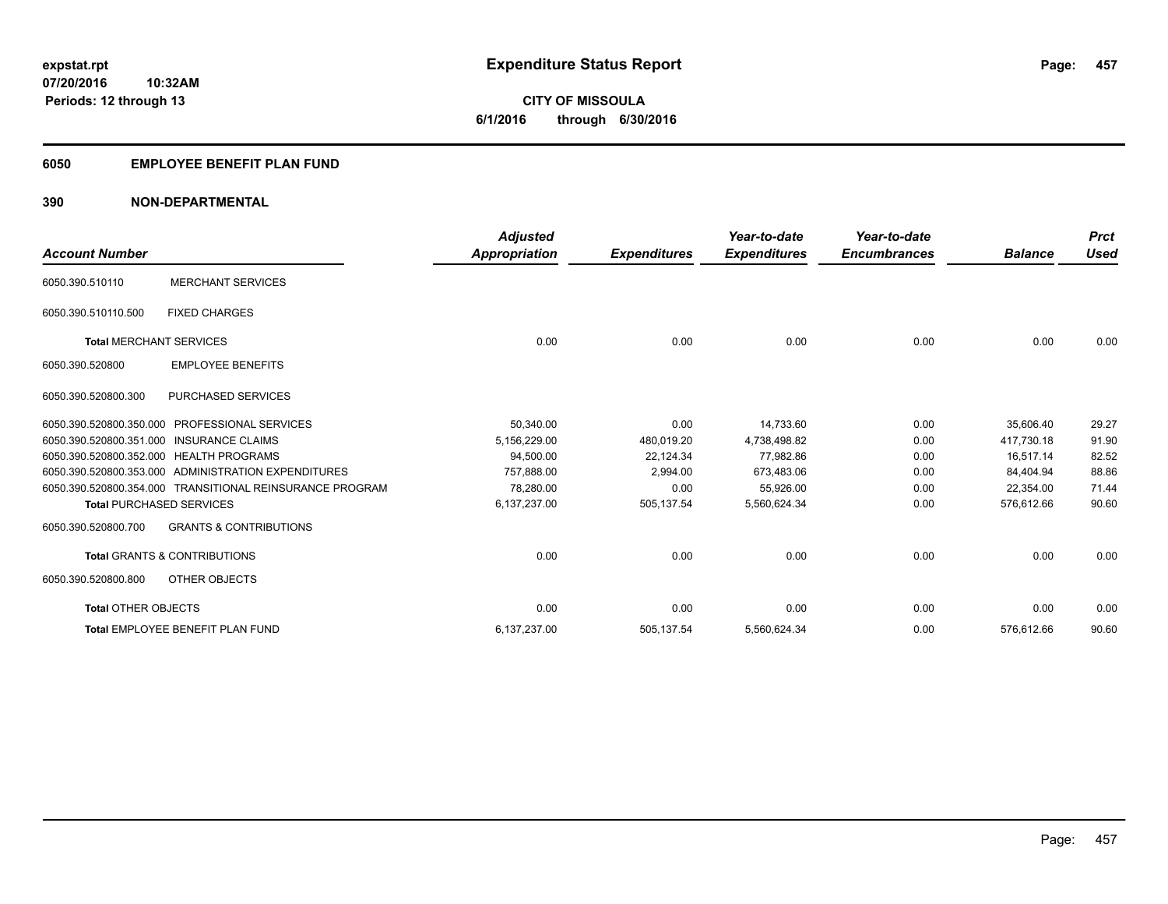**Periods: 12 through 13**

**CITY OF MISSOULA 6/1/2016 through 6/30/2016**

#### **6050 EMPLOYEE BENEFIT PLAN FUND**

**10:32AM**

## **390 NON-DEPARTMENTAL**

|                                          |                                                          | <b>Adjusted</b> |                     | Year-to-date        | Year-to-date        |                | <b>Prct</b> |
|------------------------------------------|----------------------------------------------------------|-----------------|---------------------|---------------------|---------------------|----------------|-------------|
| <b>Account Number</b>                    |                                                          | Appropriation   | <b>Expenditures</b> | <b>Expenditures</b> | <b>Encumbrances</b> | <b>Balance</b> | <b>Used</b> |
| 6050.390.510110                          | <b>MERCHANT SERVICES</b>                                 |                 |                     |                     |                     |                |             |
| 6050.390.510110.500                      | <b>FIXED CHARGES</b>                                     |                 |                     |                     |                     |                |             |
| <b>Total MERCHANT SERVICES</b>           |                                                          | 0.00            | 0.00                | 0.00                | 0.00                | 0.00           | 0.00        |
| 6050.390.520800                          | <b>EMPLOYEE BENEFITS</b>                                 |                 |                     |                     |                     |                |             |
| 6050.390.520800.300                      | PURCHASED SERVICES                                       |                 |                     |                     |                     |                |             |
| 6050.390.520800.350.000                  | <b>PROFESSIONAL SERVICES</b>                             | 50,340.00       | 0.00                | 14,733.60           | 0.00                | 35,606.40      | 29.27       |
| 6050.390.520800.351.000 INSURANCE CLAIMS |                                                          | 5,156,229.00    | 480,019.20          | 4,738,498.82        | 0.00                | 417.730.18     | 91.90       |
| 6050.390.520800.352.000 HEALTH PROGRAMS  |                                                          | 94,500.00       | 22,124.34           | 77,982.86           | 0.00                | 16.517.14      | 82.52       |
|                                          | 6050.390.520800.353.000 ADMINISTRATION EXPENDITURES      | 757.888.00      | 2,994.00            | 673,483.06          | 0.00                | 84,404.94      | 88.86       |
|                                          | 6050.390.520800.354.000 TRANSITIONAL REINSURANCE PROGRAM | 78,280.00       | 0.00                | 55,926.00           | 0.00                | 22,354.00      | 71.44       |
| <b>Total PURCHASED SERVICES</b>          |                                                          | 6,137,237.00    | 505,137.54          | 5,560,624.34        | 0.00                | 576,612.66     | 90.60       |
| 6050.390.520800.700                      | <b>GRANTS &amp; CONTRIBUTIONS</b>                        |                 |                     |                     |                     |                |             |
|                                          | <b>Total GRANTS &amp; CONTRIBUTIONS</b>                  | 0.00            | 0.00                | 0.00                | 0.00                | 0.00           | 0.00        |
| 6050.390.520800.800                      | OTHER OBJECTS                                            |                 |                     |                     |                     |                |             |
| <b>Total OTHER OBJECTS</b>               |                                                          | 0.00            | 0.00                | 0.00                | 0.00                | 0.00           | 0.00        |
|                                          | Total EMPLOYEE BENEFIT PLAN FUND                         | 6,137,237.00    | 505,137.54          | 5,560,624.34        | 0.00                | 576,612.66     | 90.60       |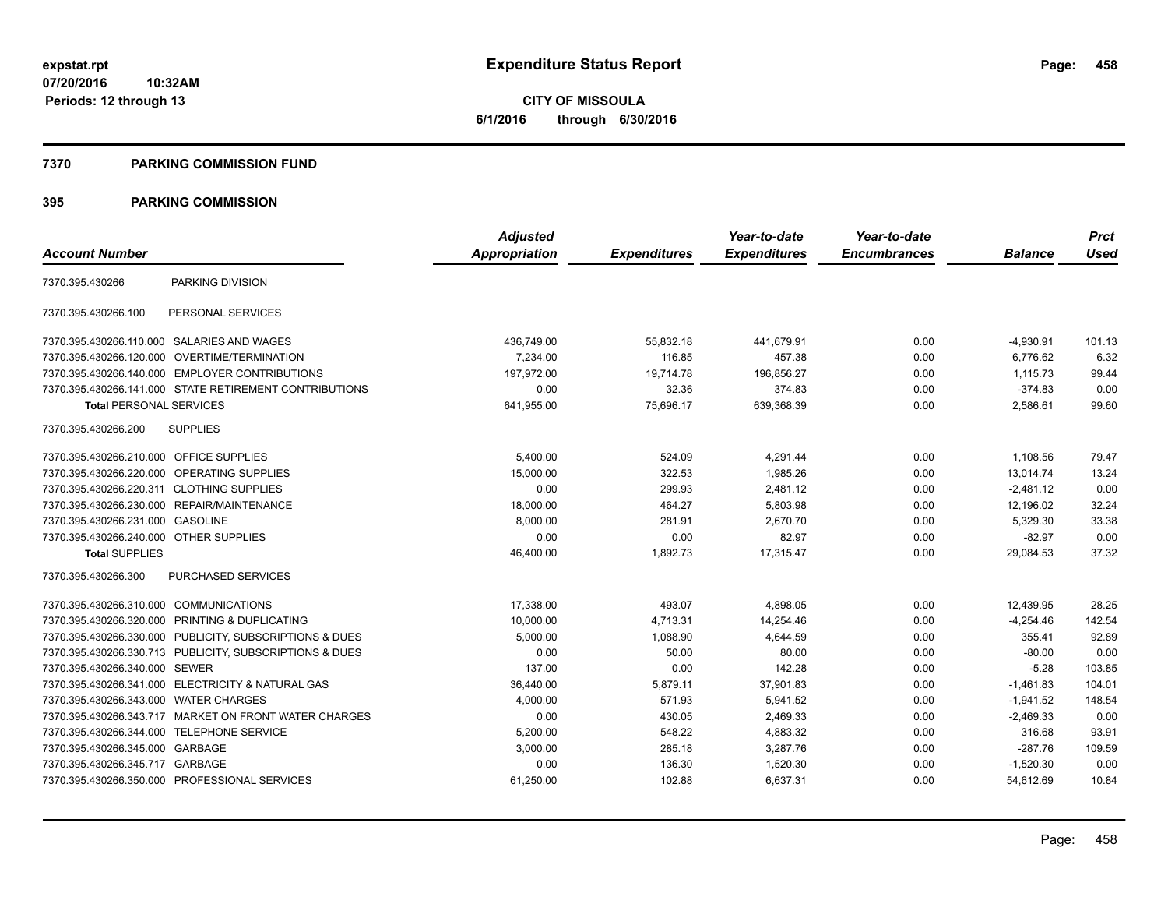#### **7370 PARKING COMMISSION FUND**

## **395 PARKING COMMISSION**

|                                           |                                                         | <b>Adjusted</b> |                     | Year-to-date        | Year-to-date        |                | <b>Prct</b> |
|-------------------------------------------|---------------------------------------------------------|-----------------|---------------------|---------------------|---------------------|----------------|-------------|
| <b>Account Number</b>                     |                                                         | Appropriation   | <b>Expenditures</b> | <b>Expenditures</b> | <b>Encumbrances</b> | <b>Balance</b> | <b>Used</b> |
| 7370.395.430266                           | PARKING DIVISION                                        |                 |                     |                     |                     |                |             |
| 7370.395.430266.100                       | PERSONAL SERVICES                                       |                 |                     |                     |                     |                |             |
|                                           | 7370.395.430266.110.000 SALARIES AND WAGES              | 436,749.00      | 55,832.18           | 441,679.91          | 0.00                | $-4,930.91$    | 101.13      |
| 7370.395.430266.120.000                   | OVERTIME/TERMINATION                                    | 7,234.00        | 116.85              | 457.38              | 0.00                | 6,776.62       | 6.32        |
|                                           | 7370.395.430266.140.000 EMPLOYER CONTRIBUTIONS          | 197.972.00      | 19,714.78           | 196,856.27          | 0.00                | 1,115.73       | 99.44       |
|                                           | 7370.395.430266.141.000 STATE RETIREMENT CONTRIBUTIONS  | 0.00            | 32.36               | 374.83              | 0.00                | $-374.83$      | 0.00        |
| <b>Total PERSONAL SERVICES</b>            |                                                         | 641,955.00      | 75,696.17           | 639,368.39          | 0.00                | 2,586.61       | 99.60       |
| 7370.395.430266.200                       | <b>SUPPLIES</b>                                         |                 |                     |                     |                     |                |             |
| 7370.395.430266.210.000 OFFICE SUPPLIES   |                                                         | 5,400.00        | 524.09              | 4,291.44            | 0.00                | 1,108.56       | 79.47       |
| 7370.395.430266.220.000                   | OPERATING SUPPLIES                                      | 15,000.00       | 322.53              | 1,985.26            | 0.00                | 13,014.74      | 13.24       |
| 7370.395.430266.220.311 CLOTHING SUPPLIES |                                                         | 0.00            | 299.93              | 2,481.12            | 0.00                | $-2,481.12$    | 0.00        |
|                                           | 7370.395.430266.230.000 REPAIR/MAINTENANCE              | 18,000.00       | 464.27              | 5,803.98            | 0.00                | 12,196.02      | 32.24       |
| 7370.395.430266.231.000                   | <b>GASOLINE</b>                                         | 8,000.00        | 281.91              | 2,670.70            | 0.00                | 5,329.30       | 33.38       |
| 7370.395.430266.240.000 OTHER SUPPLIES    |                                                         | 0.00            | 0.00                | 82.97               | 0.00                | $-82.97$       | 0.00        |
| <b>Total SUPPLIES</b>                     |                                                         | 46,400.00       | 1,892.73            | 17,315.47           | 0.00                | 29,084.53      | 37.32       |
| 7370.395.430266.300                       | PURCHASED SERVICES                                      |                 |                     |                     |                     |                |             |
| 7370.395.430266.310.000 COMMUNICATIONS    |                                                         | 17,338.00       | 493.07              | 4,898.05            | 0.00                | 12,439.95      | 28.25       |
|                                           | 7370.395.430266.320.000 PRINTING & DUPLICATING          | 10,000.00       | 4,713.31            | 14,254.46           | 0.00                | $-4,254.46$    | 142.54      |
|                                           | 7370.395.430266.330.000 PUBLICITY, SUBSCRIPTIONS & DUES | 5,000.00        | 1,088.90            | 4,644.59            | 0.00                | 355.41         | 92.89       |
|                                           | 7370.395.430266.330.713 PUBLICITY, SUBSCRIPTIONS & DUES | 0.00            | 50.00               | 80.00               | 0.00                | $-80.00$       | 0.00        |
| 7370.395.430266.340.000 SEWER             |                                                         | 137.00          | 0.00                | 142.28              | 0.00                | $-5.28$        | 103.85      |
|                                           | 7370.395.430266.341.000 ELECTRICITY & NATURAL GAS       | 36,440.00       | 5,879.11            | 37,901.83           | 0.00                | $-1,461.83$    | 104.01      |
| 7370.395.430266.343.000                   | <b>WATER CHARGES</b>                                    | 4,000.00        | 571.93              | 5,941.52            | 0.00                | $-1,941.52$    | 148.54      |
|                                           | 7370.395.430266.343.717 MARKET ON FRONT WATER CHARGES   | 0.00            | 430.05              | 2,469.33            | 0.00                | $-2,469.33$    | 0.00        |
| 7370.395.430266.344.000 TELEPHONE SERVICE |                                                         | 5,200.00        | 548.22              | 4,883.32            | 0.00                | 316.68         | 93.91       |
| 7370.395.430266.345.000 GARBAGE           |                                                         | 3,000.00        | 285.18              | 3,287.76            | 0.00                | $-287.76$      | 109.59      |
| 7370.395.430266.345.717 GARBAGE           |                                                         | 0.00            | 136.30              | 1,520.30            | 0.00                | $-1,520.30$    | 0.00        |
|                                           | 7370.395.430266.350.000 PROFESSIONAL SERVICES           | 61,250.00       | 102.88              | 6,637.31            | 0.00                | 54,612.69      | 10.84       |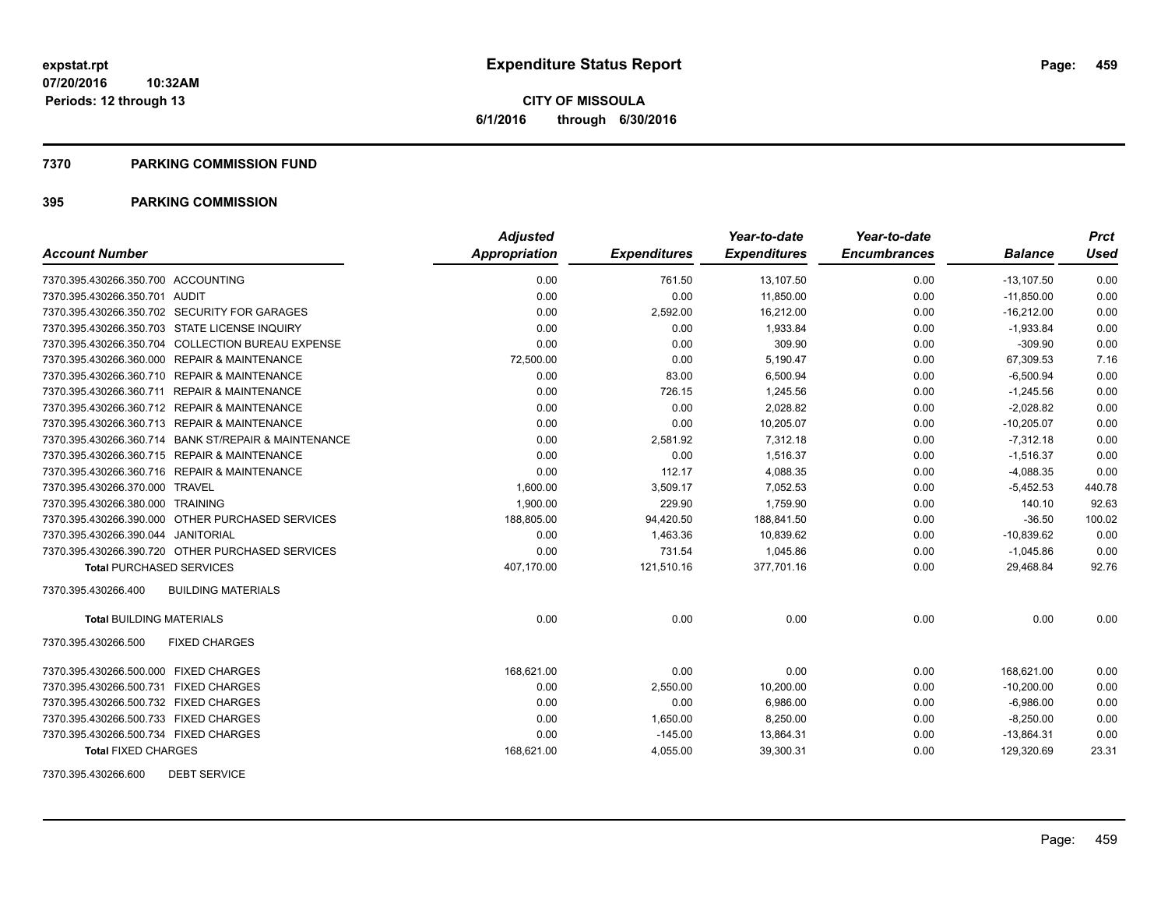#### **7370 PARKING COMMISSION FUND**

## **395 PARKING COMMISSION**

|                                                      | <b>Adjusted</b>      |                     | Year-to-date        | Year-to-date        |                | <b>Prct</b> |
|------------------------------------------------------|----------------------|---------------------|---------------------|---------------------|----------------|-------------|
| <b>Account Number</b>                                | <b>Appropriation</b> | <b>Expenditures</b> | <b>Expenditures</b> | <b>Encumbrances</b> | <b>Balance</b> | <b>Used</b> |
| 7370.395.430266.350.700 ACCOUNTING                   | 0.00                 | 761.50              | 13,107.50           | 0.00                | $-13,107.50$   | 0.00        |
| 7370.395.430266.350.701 AUDIT                        | 0.00                 | 0.00                | 11,850.00           | 0.00                | $-11,850.00$   | 0.00        |
| 7370.395.430266.350.702 SECURITY FOR GARAGES         | 0.00                 | 2,592.00            | 16,212.00           | 0.00                | $-16.212.00$   | 0.00        |
| 7370.395.430266.350.703 STATE LICENSE INQUIRY        | 0.00                 | 0.00                | 1,933.84            | 0.00                | $-1,933.84$    | 0.00        |
| 7370.395.430266.350.704 COLLECTION BUREAU EXPENSE    | 0.00                 | 0.00                | 309.90              | 0.00                | $-309.90$      | 0.00        |
| 7370.395.430266.360.000 REPAIR & MAINTENANCE         | 72,500.00            | 0.00                | 5,190.47            | 0.00                | 67,309.53      | 7.16        |
| 7370.395.430266.360.710 REPAIR & MAINTENANCE         | 0.00                 | 83.00               | 6,500.94            | 0.00                | $-6,500.94$    | 0.00        |
| 7370.395.430266.360.711 REPAIR & MAINTENANCE         | 0.00                 | 726.15              | 1,245.56            | 0.00                | $-1,245.56$    | 0.00        |
| 7370.395.430266.360.712 REPAIR & MAINTENANCE         | 0.00                 | 0.00                | 2,028.82            | 0.00                | $-2,028.82$    | 0.00        |
| 7370.395.430266.360.713 REPAIR & MAINTENANCE         | 0.00                 | 0.00                | 10,205.07           | 0.00                | $-10,205.07$   | 0.00        |
| 7370.395.430266.360.714 BANK ST/REPAIR & MAINTENANCE | 0.00                 | 2,581.92            | 7,312.18            | 0.00                | $-7,312.18$    | 0.00        |
| 7370.395.430266.360.715 REPAIR & MAINTENANCE         | 0.00                 | 0.00                | 1,516.37            | 0.00                | $-1,516.37$    | 0.00        |
| 7370.395.430266.360.716 REPAIR & MAINTENANCE         | 0.00                 | 112.17              | 4,088.35            | 0.00                | $-4,088.35$    | 0.00        |
| 7370.395.430266.370.000 TRAVEL                       | 1,600.00             | 3,509.17            | 7,052.53            | 0.00                | $-5,452.53$    | 440.78      |
| 7370.395.430266.380.000 TRAINING                     | 1,900.00             | 229.90              | 1,759.90            | 0.00                | 140.10         | 92.63       |
| 7370.395.430266.390.000 OTHER PURCHASED SERVICES     | 188,805.00           | 94,420.50           | 188,841.50          | 0.00                | $-36.50$       | 100.02      |
| 7370.395.430266.390.044 JANITORIAL                   | 0.00                 | 1,463.36            | 10,839.62           | 0.00                | $-10,839.62$   | 0.00        |
| 7370.395.430266.390.720 OTHER PURCHASED SERVICES     | 0.00                 | 731.54              | 1.045.86            | 0.00                | $-1,045.86$    | 0.00        |
| <b>Total PURCHASED SERVICES</b>                      | 407,170.00           | 121,510.16          | 377,701.16          | 0.00                | 29,468.84      | 92.76       |
| <b>BUILDING MATERIALS</b><br>7370.395.430266.400     |                      |                     |                     |                     |                |             |
| <b>Total BUILDING MATERIALS</b>                      | 0.00                 | 0.00                | 0.00                | 0.00                | 0.00           | 0.00        |
| 7370.395.430266.500<br><b>FIXED CHARGES</b>          |                      |                     |                     |                     |                |             |
| 7370.395.430266.500.000 FIXED CHARGES                | 168,621.00           | 0.00                | 0.00                | 0.00                | 168,621.00     | 0.00        |
| 7370.395.430266.500.731 FIXED CHARGES                | 0.00                 | 2,550.00            | 10,200.00           | 0.00                | $-10.200.00$   | 0.00        |
| 7370.395.430266.500.732 FIXED CHARGES                | 0.00                 | 0.00                | 6,986.00            | 0.00                | $-6,986.00$    | 0.00        |
| 7370.395.430266.500.733 FIXED CHARGES                | 0.00                 | 1,650.00            | 8,250.00            | 0.00                | $-8,250.00$    | 0.00        |
| 7370.395.430266.500.734 FIXED CHARGES                | 0.00                 | $-145.00$           | 13,864.31           | 0.00                | $-13,864.31$   | 0.00        |
| <b>Total FIXED CHARGES</b>                           | 168,621.00           | 4,055.00            | 39,300.31           | 0.00                | 129,320.69     | 23.31       |

7370.395.430266.600 DEBT SERVICE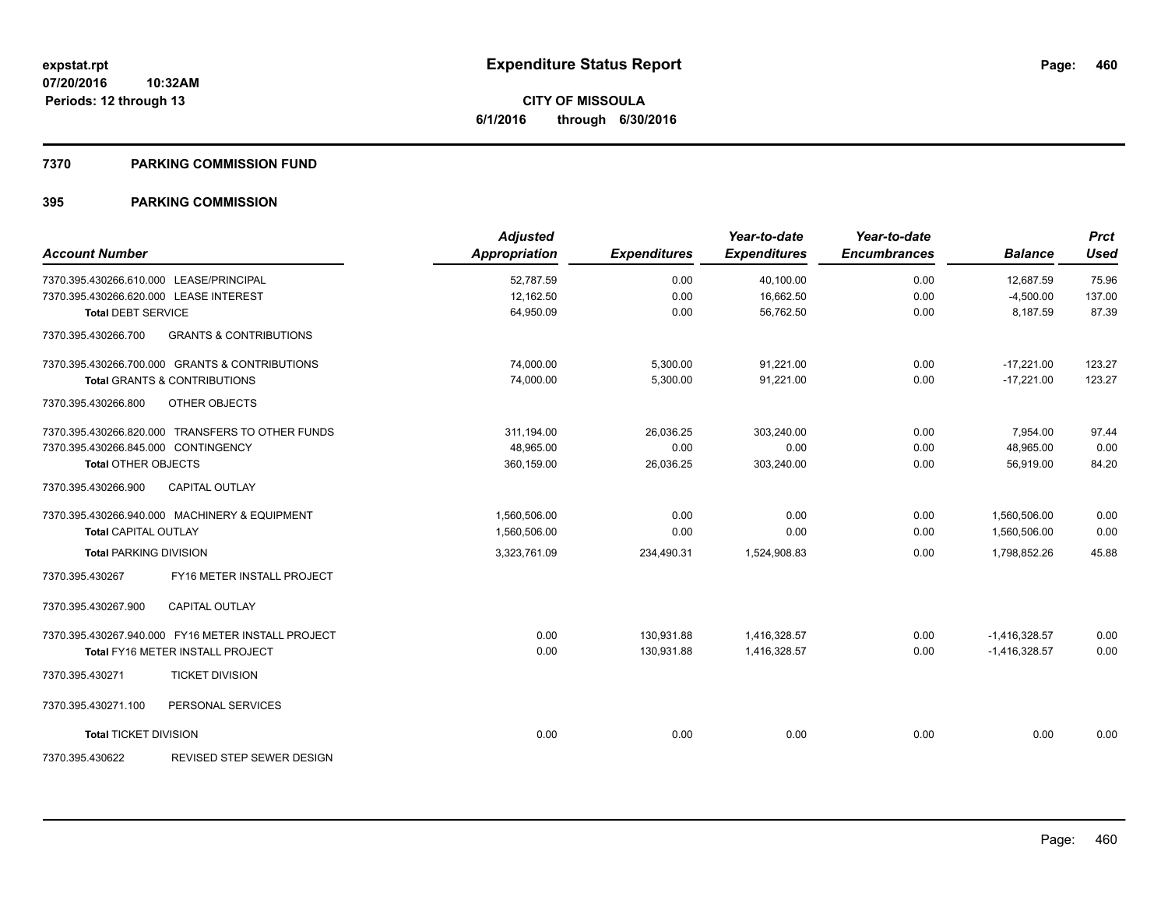#### **7370 PARKING COMMISSION FUND**

## **395 PARKING COMMISSION**

| <b>Account Number</b>                                    | <b>Adjusted</b><br>Appropriation | <b>Expenditures</b> | Year-to-date<br><b>Expenditures</b> | Year-to-date<br><b>Encumbrances</b> | <b>Balance</b>  | <b>Prct</b><br><b>Used</b> |
|----------------------------------------------------------|----------------------------------|---------------------|-------------------------------------|-------------------------------------|-----------------|----------------------------|
| 7370.395.430266.610.000 LEASE/PRINCIPAL                  | 52,787.59                        | 0.00                | 40,100.00                           | 0.00                                | 12,687.59       | 75.96                      |
| 7370.395.430266.620.000 LEASE INTEREST                   | 12,162.50                        | 0.00                | 16,662.50                           | 0.00                                | $-4,500.00$     | 137.00                     |
| <b>Total DEBT SERVICE</b>                                | 64,950.09                        | 0.00                | 56.762.50                           | 0.00                                | 8.187.59        | 87.39                      |
| 7370.395.430266.700<br><b>GRANTS &amp; CONTRIBUTIONS</b> |                                  |                     |                                     |                                     |                 |                            |
| 7370.395.430266.700.000 GRANTS & CONTRIBUTIONS           | 74,000.00                        | 5,300.00            | 91,221.00                           | 0.00                                | $-17,221.00$    | 123.27                     |
| <b>Total GRANTS &amp; CONTRIBUTIONS</b>                  | 74,000.00                        | 5,300.00            | 91,221.00                           | 0.00                                | $-17,221.00$    | 123.27                     |
| 7370.395.430266.800<br>OTHER OBJECTS                     |                                  |                     |                                     |                                     |                 |                            |
| 7370.395.430266.820.000 TRANSFERS TO OTHER FUNDS         | 311.194.00                       | 26,036.25           | 303.240.00                          | 0.00                                | 7,954.00        | 97.44                      |
| 7370.395.430266.845.000 CONTINGENCY                      | 48.965.00                        | 0.00                | 0.00                                | 0.00                                | 48,965.00       | 0.00                       |
| <b>Total OTHER OBJECTS</b>                               | 360,159.00                       | 26,036.25           | 303,240.00                          | 0.00                                | 56,919.00       | 84.20                      |
| <b>CAPITAL OUTLAY</b><br>7370.395.430266.900             |                                  |                     |                                     |                                     |                 |                            |
| 7370.395.430266.940.000 MACHINERY & EQUIPMENT            | 1,560,506.00                     | 0.00                | 0.00                                | 0.00                                | 1,560,506.00    | 0.00                       |
| Total CAPITAL OUTLAY                                     | 1,560,506.00                     | 0.00                | 0.00                                | 0.00                                | 1,560,506.00    | 0.00                       |
| <b>Total PARKING DIVISION</b>                            | 3,323,761.09                     | 234,490.31          | 1,524,908.83                        | 0.00                                | 1,798,852.26    | 45.88                      |
| FY16 METER INSTALL PROJECT<br>7370.395.430267            |                                  |                     |                                     |                                     |                 |                            |
| 7370.395.430267.900<br><b>CAPITAL OUTLAY</b>             |                                  |                     |                                     |                                     |                 |                            |
| 7370.395.430267.940.000 FY16 METER INSTALL PROJECT       | 0.00                             | 130,931.88          | 1,416,328.57                        | 0.00                                | $-1,416,328.57$ | 0.00                       |
| <b>Total FY16 METER INSTALL PROJECT</b>                  | 0.00                             | 130,931.88          | 1,416,328.57                        | 0.00                                | $-1,416,328.57$ | 0.00                       |
| <b>TICKET DIVISION</b><br>7370.395.430271                |                                  |                     |                                     |                                     |                 |                            |
| PERSONAL SERVICES<br>7370.395.430271.100                 |                                  |                     |                                     |                                     |                 |                            |
| <b>Total TICKET DIVISION</b>                             | 0.00                             | 0.00                | 0.00                                | 0.00                                | 0.00            | 0.00                       |
| <b>REVISED STEP SEWER DESIGN</b><br>7370.395.430622      |                                  |                     |                                     |                                     |                 |                            |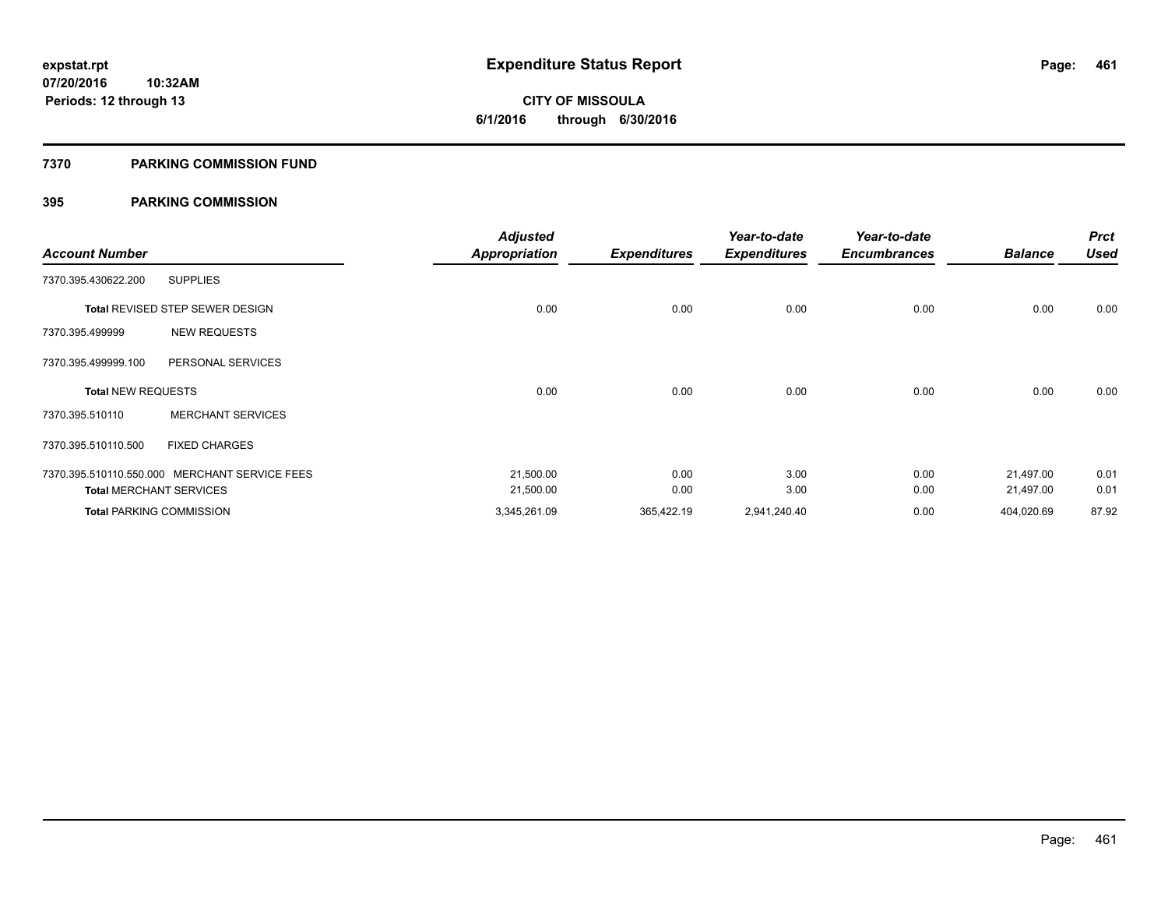### **7370 PARKING COMMISSION FUND**

## **395 PARKING COMMISSION**

| <b>Account Number</b>     |                                               | <b>Adjusted</b><br><b>Appropriation</b> | <b>Expenditures</b> | Year-to-date<br><b>Expenditures</b> | Year-to-date<br><b>Encumbrances</b> | <b>Balance</b> | <b>Prct</b><br><b>Used</b> |
|---------------------------|-----------------------------------------------|-----------------------------------------|---------------------|-------------------------------------|-------------------------------------|----------------|----------------------------|
| 7370.395.430622.200       | <b>SUPPLIES</b>                               |                                         |                     |                                     |                                     |                |                            |
|                           |                                               |                                         |                     |                                     |                                     |                |                            |
|                           | Total REVISED STEP SEWER DESIGN               | 0.00                                    | 0.00                | 0.00                                | 0.00                                | 0.00           | 0.00                       |
| 7370.395.499999           | <b>NEW REQUESTS</b>                           |                                         |                     |                                     |                                     |                |                            |
| 7370.395.499999.100       | PERSONAL SERVICES                             |                                         |                     |                                     |                                     |                |                            |
| <b>Total NEW REQUESTS</b> |                                               | 0.00                                    | 0.00                | 0.00                                | 0.00                                | 0.00           | 0.00                       |
| 7370.395.510110           | <b>MERCHANT SERVICES</b>                      |                                         |                     |                                     |                                     |                |                            |
| 7370.395.510110.500       | <b>FIXED CHARGES</b>                          |                                         |                     |                                     |                                     |                |                            |
|                           | 7370.395.510110.550.000 MERCHANT SERVICE FEES | 21,500.00                               | 0.00                | 3.00                                | 0.00                                | 21,497.00      | 0.01                       |
|                           | <b>Total MERCHANT SERVICES</b>                | 21,500.00                               | 0.00                | 3.00                                | 0.00                                | 21,497.00      | 0.01                       |
|                           | <b>Total PARKING COMMISSION</b>               | 3,345,261.09                            | 365,422.19          | 2,941,240.40                        | 0.00                                | 404,020.69     | 87.92                      |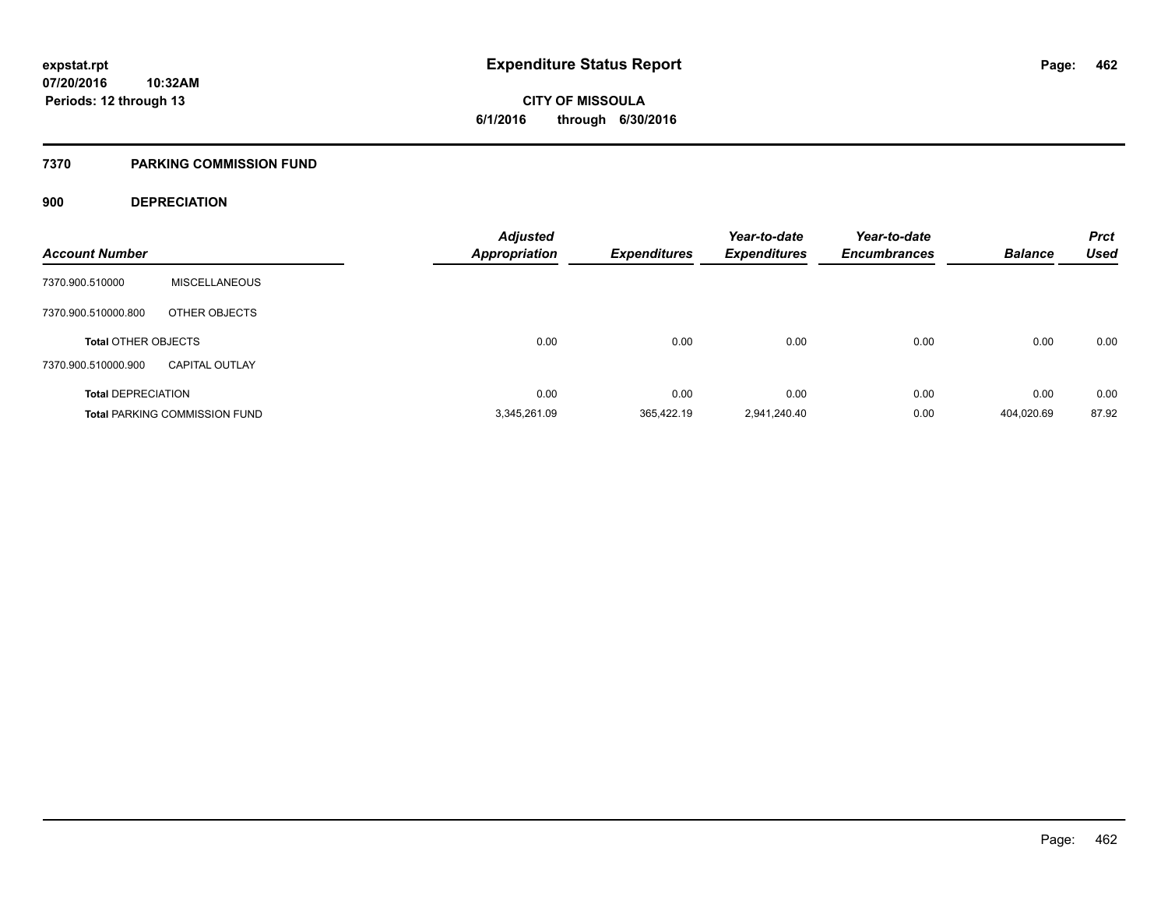**CITY OF MISSOULA 6/1/2016 through 6/30/2016**

#### **7370 PARKING COMMISSION FUND**

## **900 DEPRECIATION**

| <b>Account Number</b>      |                                      | <b>Adjusted</b><br><b>Appropriation</b> | <b>Expenditures</b> | Year-to-date<br><b>Expenditures</b> | Year-to-date<br><b>Encumbrances</b> | <b>Balance</b> | <b>Prct</b><br><b>Used</b> |
|----------------------------|--------------------------------------|-----------------------------------------|---------------------|-------------------------------------|-------------------------------------|----------------|----------------------------|
|                            |                                      |                                         |                     |                                     |                                     |                |                            |
| 7370.900.510000            | <b>MISCELLANEOUS</b>                 |                                         |                     |                                     |                                     |                |                            |
| 7370.900.510000.800        | OTHER OBJECTS                        |                                         |                     |                                     |                                     |                |                            |
| <b>Total OTHER OBJECTS</b> |                                      | 0.00                                    | 0.00                | 0.00                                | 0.00                                | 0.00           | 0.00                       |
| 7370.900.510000.900        | <b>CAPITAL OUTLAY</b>                |                                         |                     |                                     |                                     |                |                            |
| <b>Total DEPRECIATION</b>  |                                      | 0.00                                    | 0.00                | 0.00                                | 0.00                                | 0.00           | 0.00                       |
|                            | <b>Total PARKING COMMISSION FUND</b> | 3,345,261.09                            | 365.422.19          | 2,941,240.40                        | 0.00                                | 404.020.69     | 87.92                      |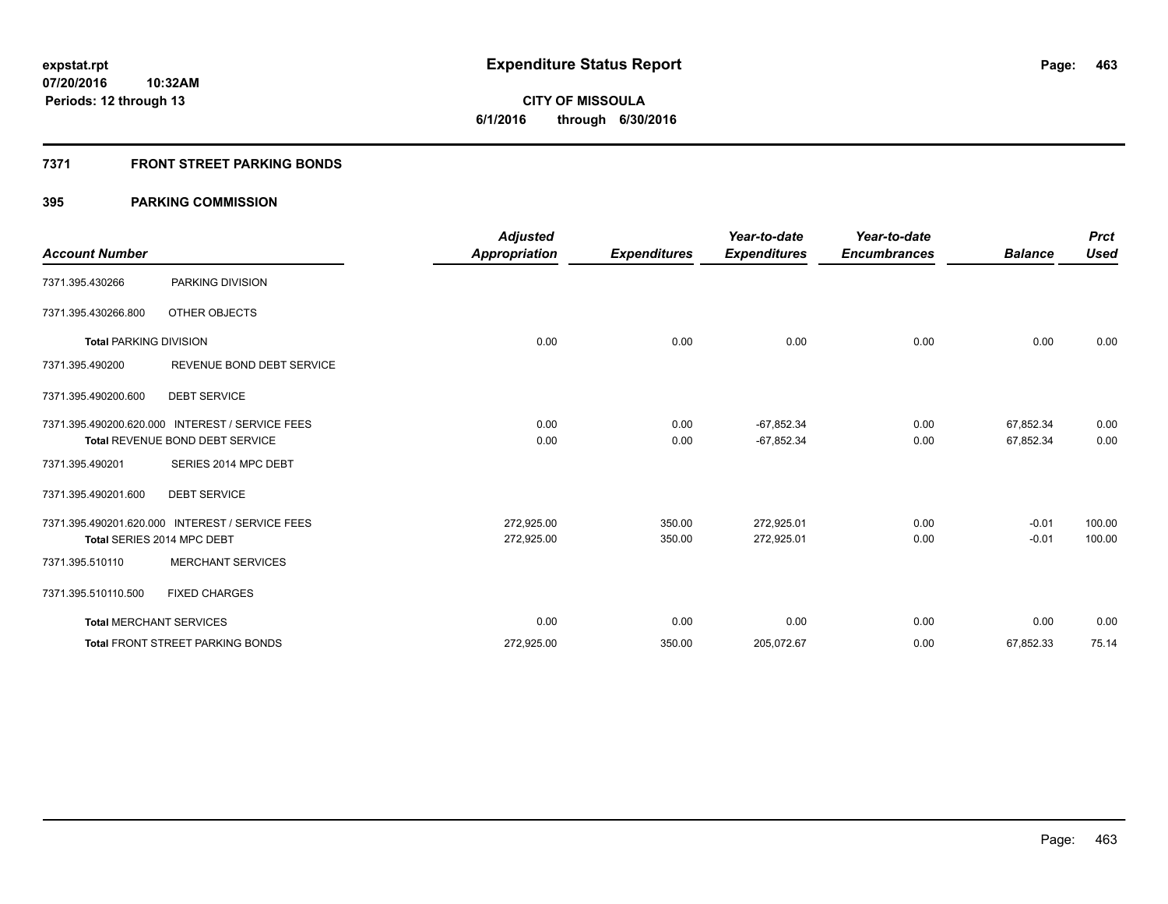## **7371 FRONT STREET PARKING BONDS**

## **395 PARKING COMMISSION**

|                               |                                                 | <b>Adjusted</b>      |                     | Year-to-date        | Year-to-date        |                | <b>Prct</b> |
|-------------------------------|-------------------------------------------------|----------------------|---------------------|---------------------|---------------------|----------------|-------------|
| <b>Account Number</b>         |                                                 | <b>Appropriation</b> | <b>Expenditures</b> | <b>Expenditures</b> | <b>Encumbrances</b> | <b>Balance</b> | <b>Used</b> |
| 7371.395.430266               | PARKING DIVISION                                |                      |                     |                     |                     |                |             |
| 7371.395.430266.800           | OTHER OBJECTS                                   |                      |                     |                     |                     |                |             |
| <b>Total PARKING DIVISION</b> |                                                 | 0.00                 | 0.00                | 0.00                | 0.00                | 0.00           | 0.00        |
| 7371.395.490200               | REVENUE BOND DEBT SERVICE                       |                      |                     |                     |                     |                |             |
| 7371.395.490200.600           | <b>DEBT SERVICE</b>                             |                      |                     |                     |                     |                |             |
|                               | 7371.395.490200.620.000 INTEREST / SERVICE FEES | 0.00                 | 0.00                | $-67,852.34$        | 0.00                | 67,852.34      | 0.00        |
|                               | Total REVENUE BOND DEBT SERVICE                 | 0.00                 | 0.00                | $-67,852.34$        | 0.00                | 67,852.34      | 0.00        |
| 7371.395.490201               | SERIES 2014 MPC DEBT                            |                      |                     |                     |                     |                |             |
| 7371.395.490201.600           | <b>DEBT SERVICE</b>                             |                      |                     |                     |                     |                |             |
|                               | 7371.395.490201.620.000 INTEREST / SERVICE FEES | 272,925.00           | 350.00              | 272,925.01          | 0.00                | $-0.01$        | 100.00      |
|                               | Total SERIES 2014 MPC DEBT                      | 272,925.00           | 350.00              | 272,925.01          | 0.00                | $-0.01$        | 100.00      |
| 7371.395.510110               | <b>MERCHANT SERVICES</b>                        |                      |                     |                     |                     |                |             |
| 7371.395.510110.500           | <b>FIXED CHARGES</b>                            |                      |                     |                     |                     |                |             |
|                               | <b>Total MERCHANT SERVICES</b>                  | 0.00                 | 0.00                | 0.00                | 0.00                | 0.00           | 0.00        |
|                               | <b>Total FRONT STREET PARKING BONDS</b>         | 272,925.00           | 350.00              | 205,072.67          | 0.00                | 67,852.33      | 75.14       |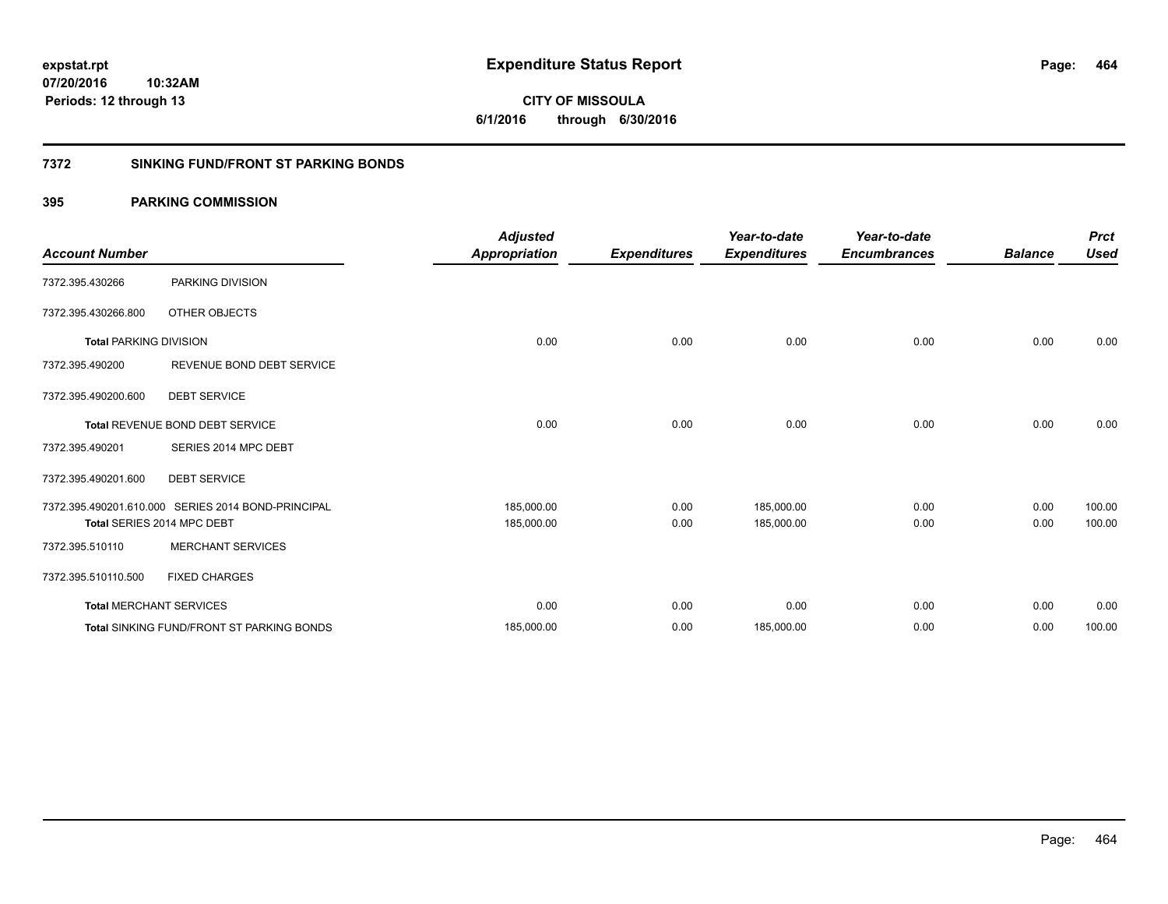**464**

**07/20/2016 10:32AM Periods: 12 through 13**

# **CITY OF MISSOULA 6/1/2016 through 6/30/2016**

## **7372 SINKING FUND/FRONT ST PARKING BONDS**

## **395 PARKING COMMISSION**

| <b>Account Number</b>         |                                                    | <b>Adjusted</b><br><b>Appropriation</b> | <b>Expenditures</b> | Year-to-date<br><b>Expenditures</b> | Year-to-date<br><b>Encumbrances</b> | <b>Balance</b> | <b>Prct</b><br><b>Used</b> |
|-------------------------------|----------------------------------------------------|-----------------------------------------|---------------------|-------------------------------------|-------------------------------------|----------------|----------------------------|
| 7372.395.430266               | PARKING DIVISION                                   |                                         |                     |                                     |                                     |                |                            |
| 7372.395.430266.800           | OTHER OBJECTS                                      |                                         |                     |                                     |                                     |                |                            |
| <b>Total PARKING DIVISION</b> |                                                    | 0.00                                    | 0.00                | 0.00                                | 0.00                                | 0.00           | 0.00                       |
| 7372.395.490200               | REVENUE BOND DEBT SERVICE                          |                                         |                     |                                     |                                     |                |                            |
| 7372.395.490200.600           | <b>DEBT SERVICE</b>                                |                                         |                     |                                     |                                     |                |                            |
|                               | Total REVENUE BOND DEBT SERVICE                    | 0.00                                    | 0.00                | 0.00                                | 0.00                                | 0.00           | 0.00                       |
| 7372.395.490201               | SERIES 2014 MPC DEBT                               |                                         |                     |                                     |                                     |                |                            |
| 7372.395.490201.600           | <b>DEBT SERVICE</b>                                |                                         |                     |                                     |                                     |                |                            |
|                               | 7372.395.490201.610.000 SERIES 2014 BOND-PRINCIPAL | 185,000.00                              | 0.00                | 185,000.00                          | 0.00                                | 0.00           | 100.00                     |
|                               | Total SERIES 2014 MPC DEBT                         | 185,000.00                              | 0.00                | 185,000.00                          | 0.00                                | 0.00           | 100.00                     |
| 7372.395.510110               | <b>MERCHANT SERVICES</b>                           |                                         |                     |                                     |                                     |                |                            |
| 7372.395.510110.500           | <b>FIXED CHARGES</b>                               |                                         |                     |                                     |                                     |                |                            |
|                               | <b>Total MERCHANT SERVICES</b>                     | 0.00                                    | 0.00                | 0.00                                | 0.00                                | 0.00           | 0.00                       |
|                               | <b>Total SINKING FUND/FRONT ST PARKING BONDS</b>   | 185,000.00                              | 0.00                | 185,000.00                          | 0.00                                | 0.00           | 100.00                     |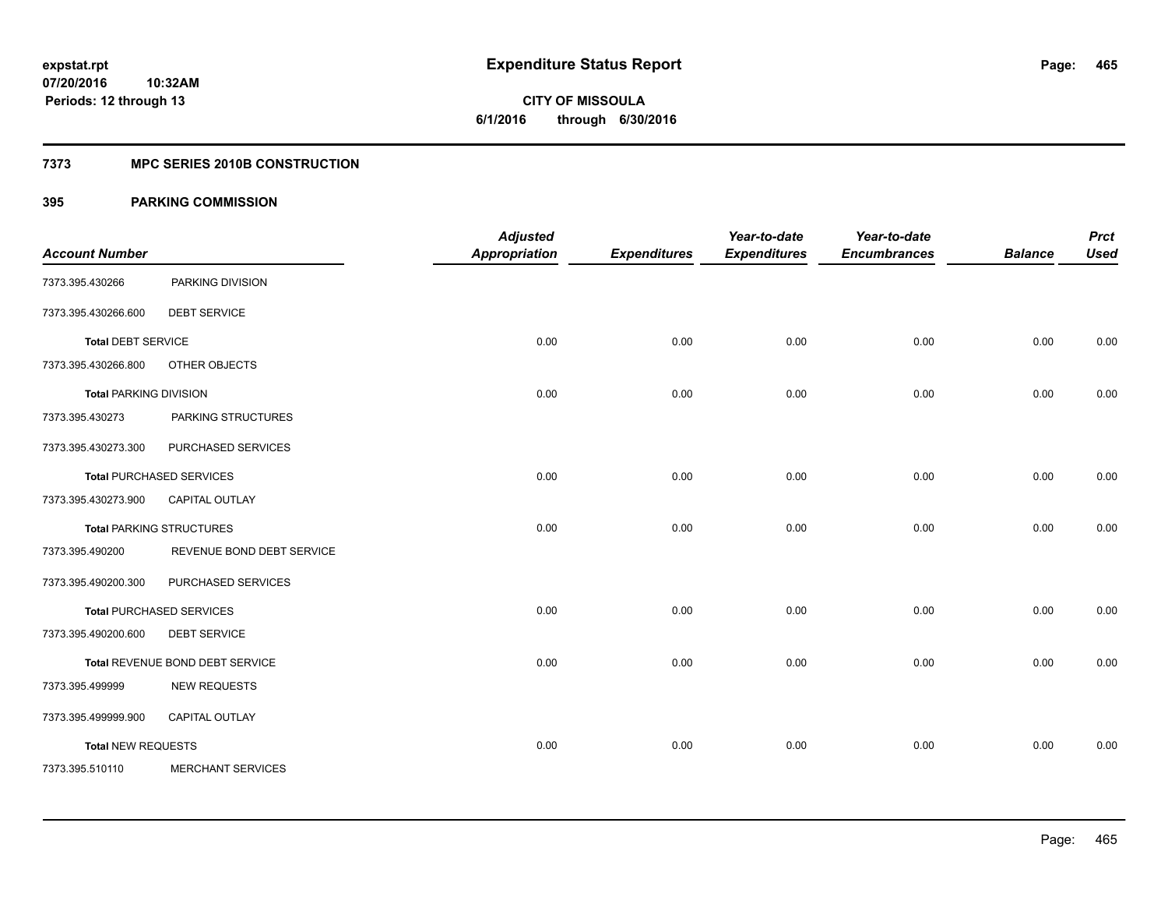**Periods: 12 through 13**

**CITY OF MISSOULA 6/1/2016 through 6/30/2016**

#### **7373 MPC SERIES 2010B CONSTRUCTION**

## **395 PARKING COMMISSION**

**10:32AM**

|                               |                                 | <b>Adjusted</b>      |                     | Year-to-date        | Year-to-date        |                | <b>Prct</b> |
|-------------------------------|---------------------------------|----------------------|---------------------|---------------------|---------------------|----------------|-------------|
| <b>Account Number</b>         |                                 | <b>Appropriation</b> | <b>Expenditures</b> | <b>Expenditures</b> | <b>Encumbrances</b> | <b>Balance</b> | <b>Used</b> |
| 7373.395.430266               | PARKING DIVISION                |                      |                     |                     |                     |                |             |
| 7373.395.430266.600           | <b>DEBT SERVICE</b>             |                      |                     |                     |                     |                |             |
| <b>Total DEBT SERVICE</b>     |                                 | 0.00                 | 0.00                | 0.00                | 0.00                | 0.00           | 0.00        |
| 7373.395.430266.800           | OTHER OBJECTS                   |                      |                     |                     |                     |                |             |
| <b>Total PARKING DIVISION</b> |                                 | 0.00                 | 0.00                | 0.00                | 0.00                | 0.00           | 0.00        |
| 7373.395.430273               | PARKING STRUCTURES              |                      |                     |                     |                     |                |             |
| 7373.395.430273.300           | PURCHASED SERVICES              |                      |                     |                     |                     |                |             |
|                               | <b>Total PURCHASED SERVICES</b> | 0.00                 | 0.00                | 0.00                | 0.00                | 0.00           | 0.00        |
| 7373.395.430273.900           | <b>CAPITAL OUTLAY</b>           |                      |                     |                     |                     |                |             |
|                               | <b>Total PARKING STRUCTURES</b> | 0.00                 | 0.00                | 0.00                | 0.00                | 0.00           | 0.00        |
| 7373.395.490200               | REVENUE BOND DEBT SERVICE       |                      |                     |                     |                     |                |             |
| 7373.395.490200.300           | PURCHASED SERVICES              |                      |                     |                     |                     |                |             |
|                               | <b>Total PURCHASED SERVICES</b> | 0.00                 | 0.00                | 0.00                | 0.00                | 0.00           | 0.00        |
| 7373.395.490200.600           | <b>DEBT SERVICE</b>             |                      |                     |                     |                     |                |             |
|                               | Total REVENUE BOND DEBT SERVICE | 0.00                 | 0.00                | 0.00                | 0.00                | 0.00           | 0.00        |
| 7373.395.499999               | <b>NEW REQUESTS</b>             |                      |                     |                     |                     |                |             |
| 7373.395.499999.900           | <b>CAPITAL OUTLAY</b>           |                      |                     |                     |                     |                |             |
| <b>Total NEW REQUESTS</b>     |                                 | 0.00                 | 0.00                | 0.00                | 0.00                | 0.00           | 0.00        |
| 7373.395.510110               | <b>MERCHANT SERVICES</b>        |                      |                     |                     |                     |                |             |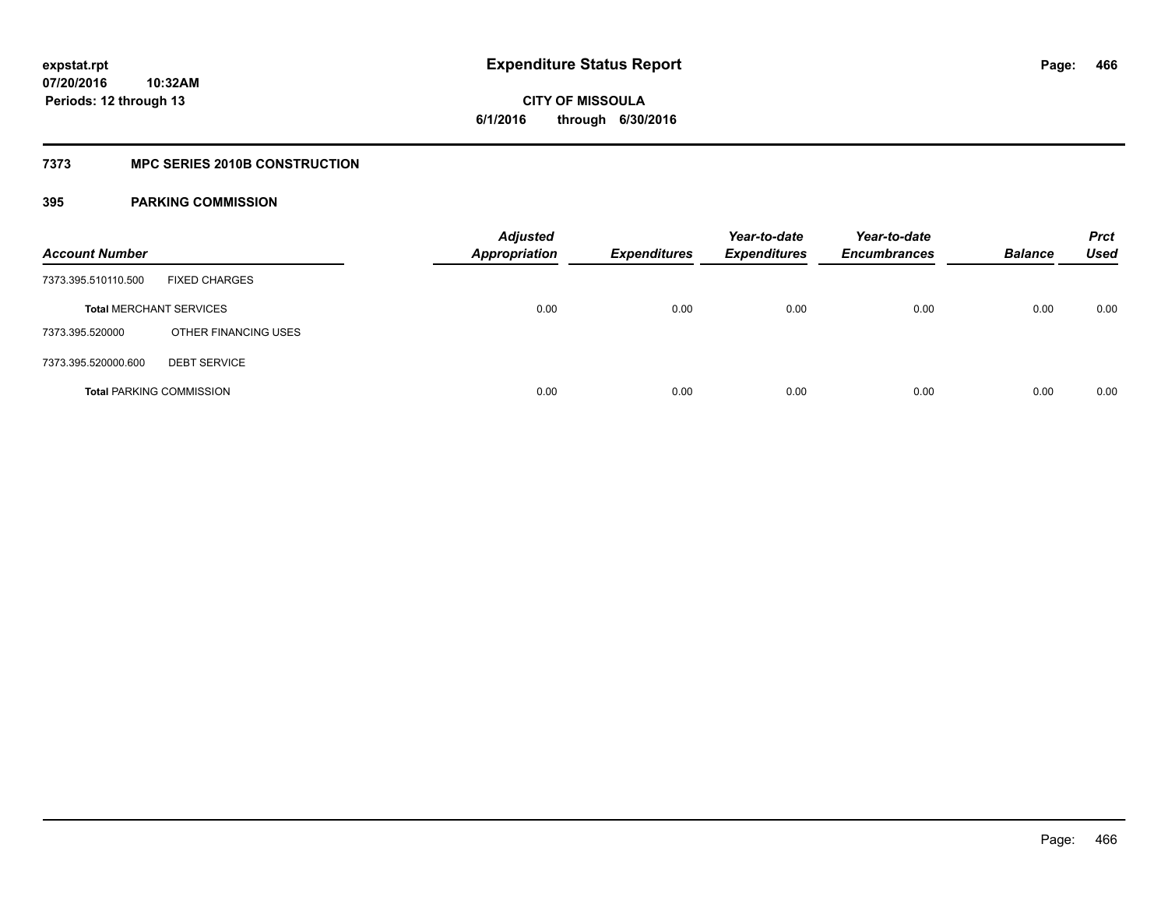**CITY OF MISSOULA 6/1/2016 through 6/30/2016**

## **7373 MPC SERIES 2010B CONSTRUCTION**

## **395 PARKING COMMISSION**

| <b>Account Number</b>           |                      | <b>Adjusted</b><br><b>Appropriation</b> | <b>Expenditures</b> | Year-to-date<br>Expenditures | Year-to-date<br><b>Encumbrances</b> | <b>Balance</b> | <b>Prct</b><br>Used |
|---------------------------------|----------------------|-----------------------------------------|---------------------|------------------------------|-------------------------------------|----------------|---------------------|
| 7373.395.510110.500             | <b>FIXED CHARGES</b> |                                         |                     |                              |                                     |                |                     |
| <b>Total MERCHANT SERVICES</b>  |                      | 0.00                                    | 0.00                | 0.00                         | 0.00                                | 0.00           | 0.00                |
| 7373.395.520000                 | OTHER FINANCING USES |                                         |                     |                              |                                     |                |                     |
| 7373.395.520000.600             | <b>DEBT SERVICE</b>  |                                         |                     |                              |                                     |                |                     |
| <b>Total PARKING COMMISSION</b> |                      | 0.00                                    | 0.00                | 0.00                         | 0.00                                | 0.00           | 0.00                |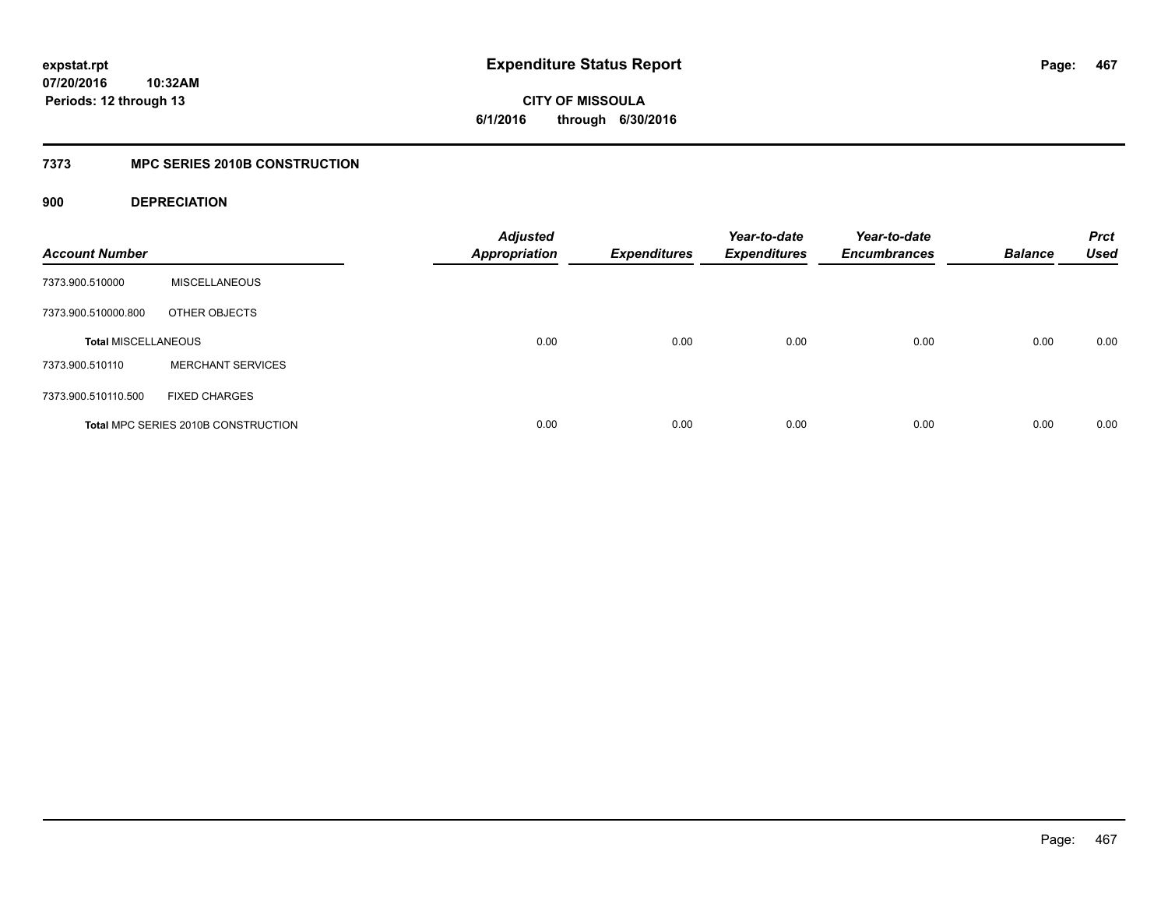**CITY OF MISSOULA 6/1/2016 through 6/30/2016**

## **7373 MPC SERIES 2010B CONSTRUCTION**

## **900 DEPRECIATION**

| <b>Account Number</b>      |                                            | <b>Adjusted</b><br><b>Appropriation</b> | <b>Expenditures</b> | Year-to-date<br><b>Expenditures</b> | Year-to-date<br><b>Encumbrances</b> | <b>Balance</b> | <b>Prct</b><br><b>Used</b> |
|----------------------------|--------------------------------------------|-----------------------------------------|---------------------|-------------------------------------|-------------------------------------|----------------|----------------------------|
| 7373.900.510000            | <b>MISCELLANEOUS</b>                       |                                         |                     |                                     |                                     |                |                            |
| 7373.900.510000.800        | OTHER OBJECTS                              |                                         |                     |                                     |                                     |                |                            |
| <b>Total MISCELLANEOUS</b> |                                            | 0.00                                    | 0.00                | 0.00                                | 0.00                                | 0.00           | 0.00                       |
| 7373.900.510110            | <b>MERCHANT SERVICES</b>                   |                                         |                     |                                     |                                     |                |                            |
| 7373.900.510110.500        | <b>FIXED CHARGES</b>                       |                                         |                     |                                     |                                     |                |                            |
|                            | <b>Total MPC SERIES 2010B CONSTRUCTION</b> | 0.00                                    | 0.00                | 0.00                                | 0.00                                | 0.00           | 0.00                       |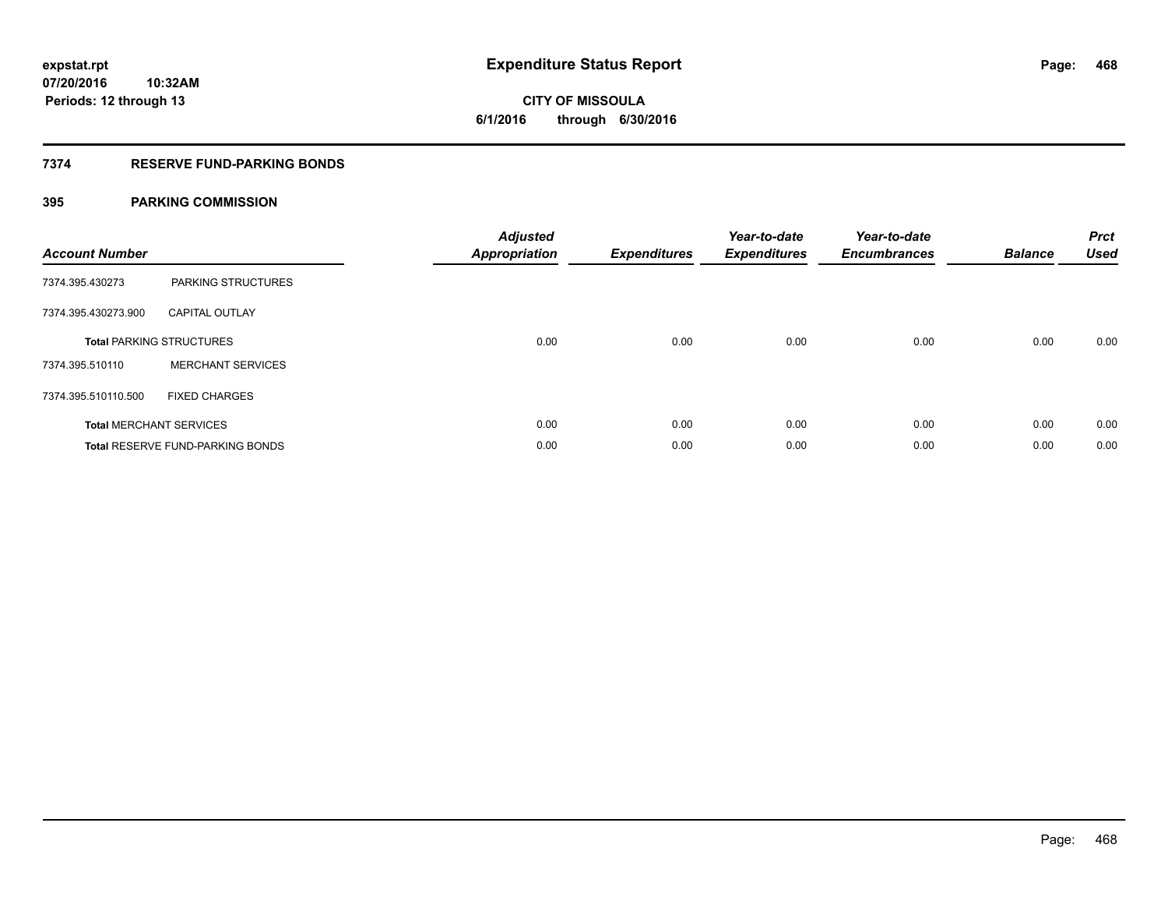### **7374 RESERVE FUND-PARKING BONDS**

## **395 PARKING COMMISSION**

| <b>Account Number</b> |                                         | <b>Adjusted</b><br><b>Appropriation</b> | <b>Expenditures</b> | Year-to-date<br><b>Expenditures</b> | Year-to-date<br><b>Encumbrances</b> | <b>Balance</b> | <b>Prct</b><br><b>Used</b> |
|-----------------------|-----------------------------------------|-----------------------------------------|---------------------|-------------------------------------|-------------------------------------|----------------|----------------------------|
| 7374.395.430273       | PARKING STRUCTURES                      |                                         |                     |                                     |                                     |                |                            |
| 7374.395.430273.900   | <b>CAPITAL OUTLAY</b>                   |                                         |                     |                                     |                                     |                |                            |
|                       | <b>Total PARKING STRUCTURES</b>         | 0.00                                    | 0.00                | 0.00                                | 0.00                                | 0.00           | 0.00                       |
| 7374.395.510110       | <b>MERCHANT SERVICES</b>                |                                         |                     |                                     |                                     |                |                            |
| 7374.395.510110.500   | <b>FIXED CHARGES</b>                    |                                         |                     |                                     |                                     |                |                            |
|                       | <b>Total MERCHANT SERVICES</b>          | 0.00                                    | 0.00                | 0.00                                | 0.00                                | 0.00           | 0.00                       |
|                       | <b>Total RESERVE FUND-PARKING BONDS</b> | 0.00                                    | 0.00                | 0.00                                | 0.00                                | 0.00           | 0.00                       |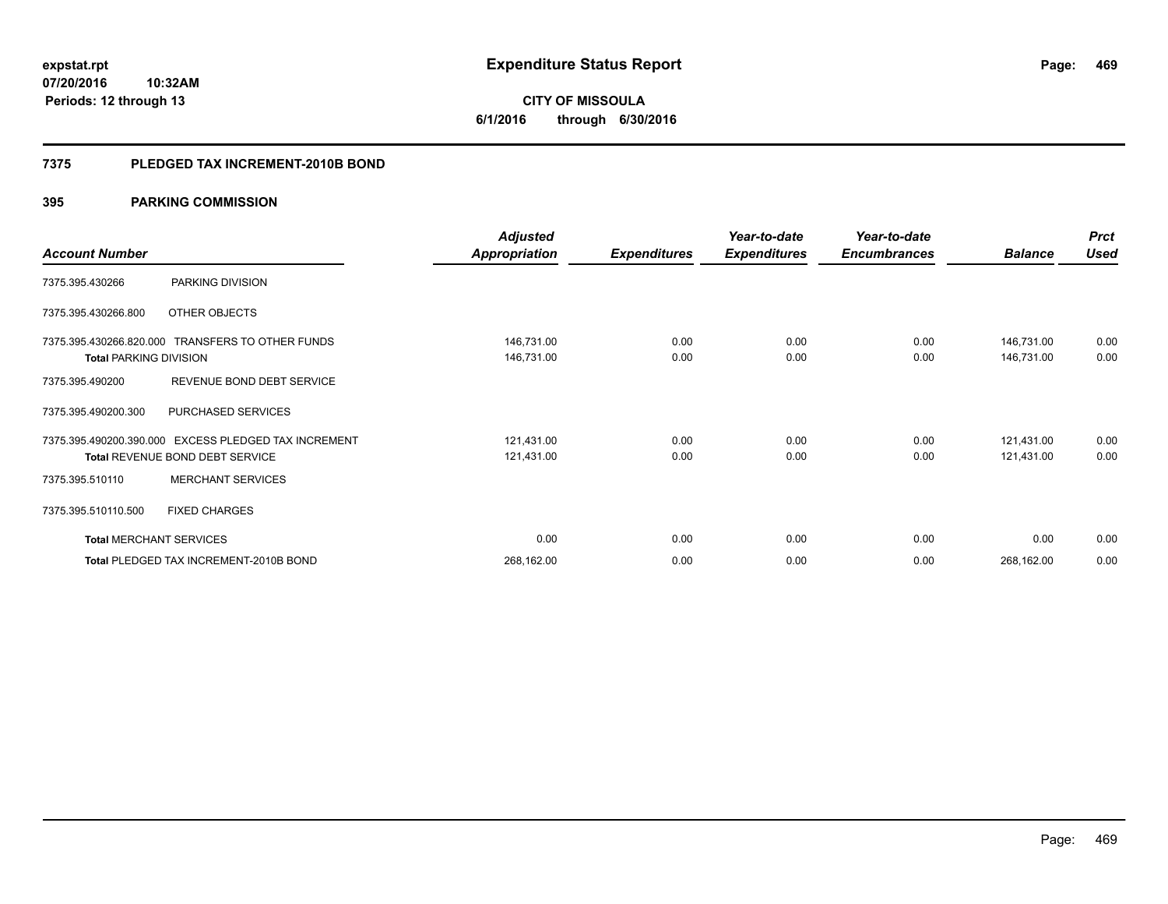**469**

**07/20/2016 10:32AM Periods: 12 through 13**

# **CITY OF MISSOULA 6/1/2016 through 6/30/2016**

#### **7375 PLEDGED TAX INCREMENT-2010B BOND**

|                                |                                                  | <b>Adjusted</b>      |                     | Year-to-date        | Year-to-date        |                | <b>Prct</b> |
|--------------------------------|--------------------------------------------------|----------------------|---------------------|---------------------|---------------------|----------------|-------------|
| <b>Account Number</b>          |                                                  | <b>Appropriation</b> | <b>Expenditures</b> | <b>Expenditures</b> | <b>Encumbrances</b> | <b>Balance</b> | <b>Used</b> |
| 7375.395.430266                | PARKING DIVISION                                 |                      |                     |                     |                     |                |             |
| 7375.395.430266.800            | OTHER OBJECTS                                    |                      |                     |                     |                     |                |             |
|                                | 7375.395.430266.820.000 TRANSFERS TO OTHER FUNDS | 146,731.00           | 0.00                | 0.00                | 0.00                | 146,731.00     | 0.00        |
| <b>Total PARKING DIVISION</b>  |                                                  | 146,731.00           | 0.00                | 0.00                | 0.00                | 146,731.00     | 0.00        |
| 7375.395.490200                | REVENUE BOND DEBT SERVICE                        |                      |                     |                     |                     |                |             |
| 7375.395.490200.300            | PURCHASED SERVICES                               |                      |                     |                     |                     |                |             |
| 7375.395.490200.390.000        | EXCESS PLEDGED TAX INCREMENT                     | 121,431.00           | 0.00                | 0.00                | 0.00                | 121,431.00     | 0.00        |
|                                | <b>Total REVENUE BOND DEBT SERVICE</b>           | 121,431.00           | 0.00                | 0.00                | 0.00                | 121,431.00     | 0.00        |
| 7375.395.510110                | <b>MERCHANT SERVICES</b>                         |                      |                     |                     |                     |                |             |
| 7375.395.510110.500            | <b>FIXED CHARGES</b>                             |                      |                     |                     |                     |                |             |
| <b>Total MERCHANT SERVICES</b> |                                                  | 0.00                 | 0.00                | 0.00                | 0.00                | 0.00           | 0.00        |
|                                | Total PLEDGED TAX INCREMENT-2010B BOND           | 268,162.00           | 0.00                | 0.00                | 0.00                | 268,162.00     | 0.00        |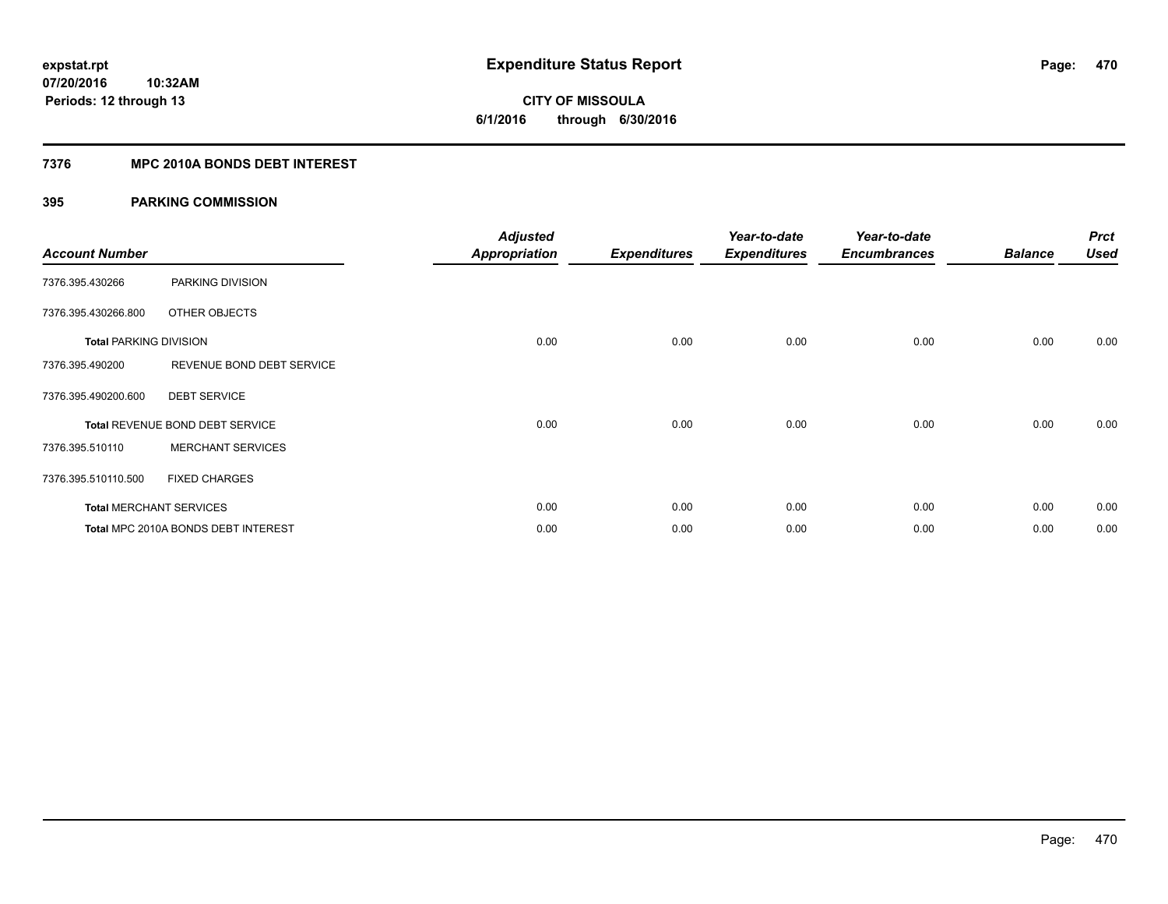**CITY OF MISSOULA 6/1/2016 through 6/30/2016**

### **7376 MPC 2010A BONDS DEBT INTEREST**

| <b>Account Number</b>         |                                     | <b>Adjusted</b><br><b>Appropriation</b> | <b>Expenditures</b> | Year-to-date<br><b>Expenditures</b> | Year-to-date<br><b>Encumbrances</b> | <b>Balance</b> | <b>Prct</b><br><b>Used</b> |
|-------------------------------|-------------------------------------|-----------------------------------------|---------------------|-------------------------------------|-------------------------------------|----------------|----------------------------|
| 7376.395.430266               | PARKING DIVISION                    |                                         |                     |                                     |                                     |                |                            |
| 7376.395.430266.800           | OTHER OBJECTS                       |                                         |                     |                                     |                                     |                |                            |
| <b>Total PARKING DIVISION</b> |                                     | 0.00                                    | 0.00                | 0.00                                | 0.00                                | 0.00           | 0.00                       |
| 7376.395.490200               | REVENUE BOND DEBT SERVICE           |                                         |                     |                                     |                                     |                |                            |
| 7376.395.490200.600           | <b>DEBT SERVICE</b>                 |                                         |                     |                                     |                                     |                |                            |
|                               | Total REVENUE BOND DEBT SERVICE     | 0.00                                    | 0.00                | 0.00                                | 0.00                                | 0.00           | 0.00                       |
| 7376.395.510110               | <b>MERCHANT SERVICES</b>            |                                         |                     |                                     |                                     |                |                            |
| 7376.395.510110.500           | <b>FIXED CHARGES</b>                |                                         |                     |                                     |                                     |                |                            |
|                               | <b>Total MERCHANT SERVICES</b>      | 0.00                                    | 0.00                | 0.00                                | 0.00                                | 0.00           | 0.00                       |
|                               | Total MPC 2010A BONDS DEBT INTEREST | 0.00                                    | 0.00                | 0.00                                | 0.00                                | 0.00           | 0.00                       |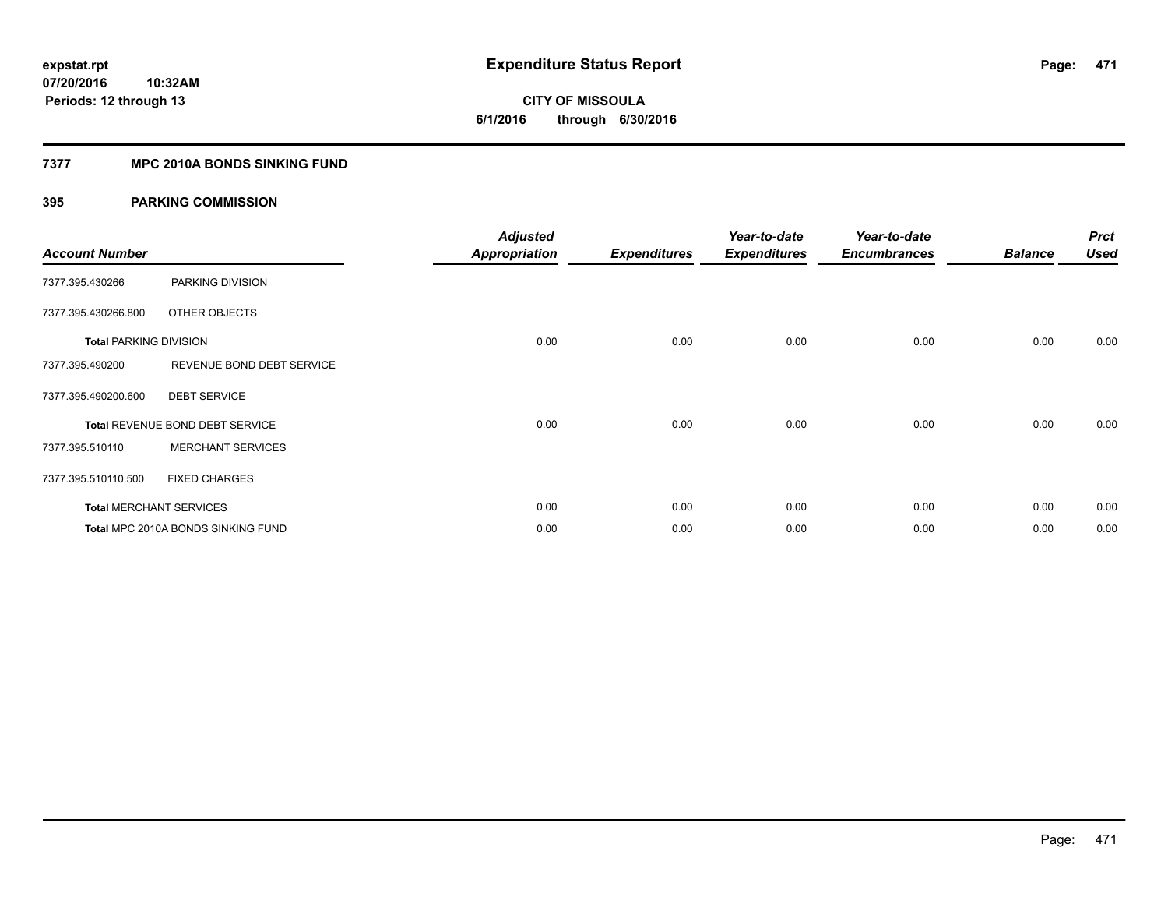# **CITY OF MISSOULA 6/1/2016 through 6/30/2016**

### **7377 MPC 2010A BONDS SINKING FUND**

| <b>Account Number</b>         |                                        | <b>Adjusted</b><br><b>Appropriation</b> | <b>Expenditures</b> | Year-to-date<br><b>Expenditures</b> | Year-to-date<br><b>Encumbrances</b> | <b>Balance</b> | <b>Prct</b><br><b>Used</b> |
|-------------------------------|----------------------------------------|-----------------------------------------|---------------------|-------------------------------------|-------------------------------------|----------------|----------------------------|
| 7377.395.430266               | PARKING DIVISION                       |                                         |                     |                                     |                                     |                |                            |
| 7377.395.430266.800           | OTHER OBJECTS                          |                                         |                     |                                     |                                     |                |                            |
| <b>Total PARKING DIVISION</b> |                                        | 0.00                                    | 0.00                | 0.00                                | 0.00                                | 0.00           | 0.00                       |
| 7377.395.490200               | REVENUE BOND DEBT SERVICE              |                                         |                     |                                     |                                     |                |                            |
| 7377.395.490200.600           | <b>DEBT SERVICE</b>                    |                                         |                     |                                     |                                     |                |                            |
|                               | <b>Total REVENUE BOND DEBT SERVICE</b> | 0.00                                    | 0.00                | 0.00                                | 0.00                                | 0.00           | 0.00                       |
| 7377.395.510110               | <b>MERCHANT SERVICES</b>               |                                         |                     |                                     |                                     |                |                            |
| 7377.395.510110.500           | <b>FIXED CHARGES</b>                   |                                         |                     |                                     |                                     |                |                            |
|                               | <b>Total MERCHANT SERVICES</b>         | 0.00                                    | 0.00                | 0.00                                | 0.00                                | 0.00           | 0.00                       |
|                               | Total MPC 2010A BONDS SINKING FUND     | 0.00                                    | 0.00                | 0.00                                | 0.00                                | 0.00           | 0.00                       |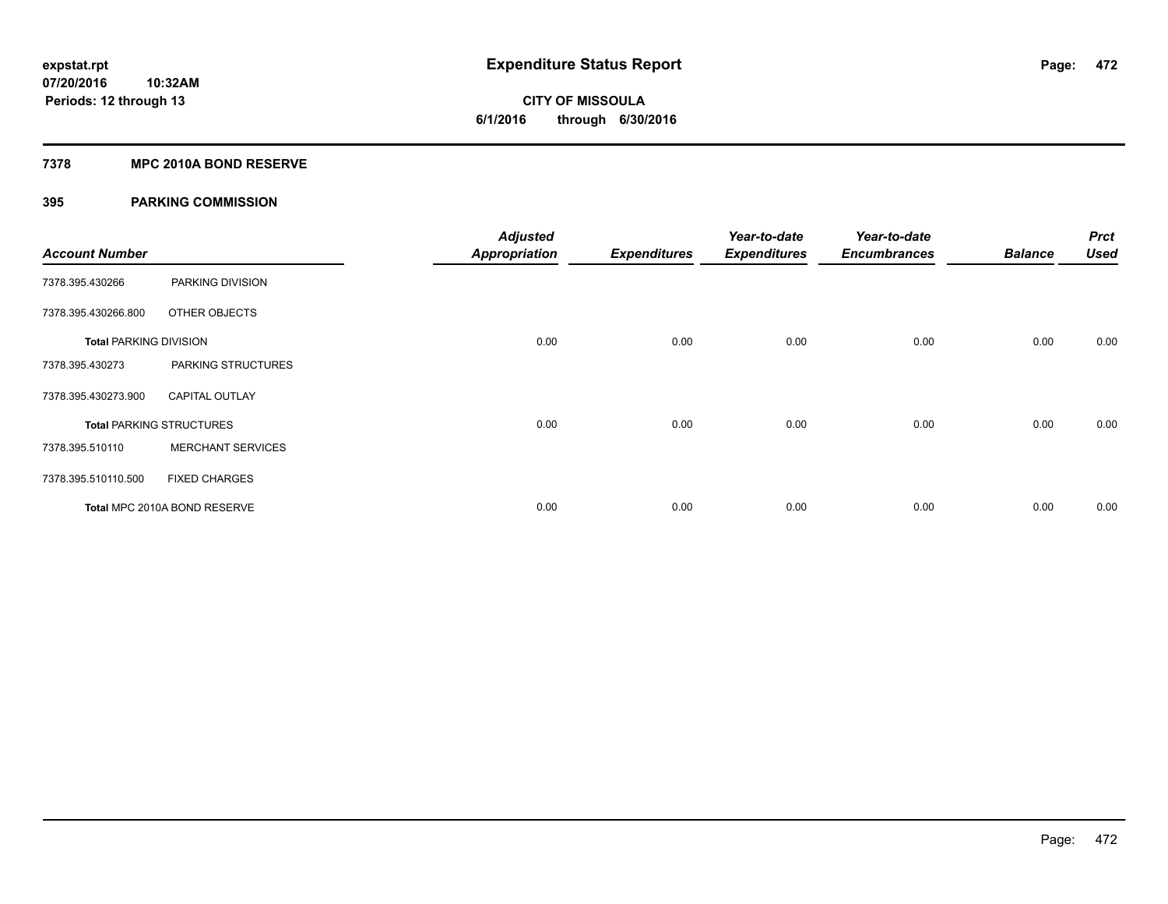# **CITY OF MISSOULA 6/1/2016 through 6/30/2016**

### **7378 MPC 2010A BOND RESERVE**

| <b>Account Number</b>         |                                 | <b>Adjusted</b><br><b>Appropriation</b> | <b>Expenditures</b> | Year-to-date<br><b>Expenditures</b> | Year-to-date<br><b>Encumbrances</b> | <b>Balance</b> | <b>Prct</b><br><b>Used</b> |
|-------------------------------|---------------------------------|-----------------------------------------|---------------------|-------------------------------------|-------------------------------------|----------------|----------------------------|
| 7378.395.430266               | PARKING DIVISION                |                                         |                     |                                     |                                     |                |                            |
| 7378.395.430266.800           | OTHER OBJECTS                   |                                         |                     |                                     |                                     |                |                            |
| <b>Total PARKING DIVISION</b> |                                 | 0.00                                    | 0.00                | 0.00                                | 0.00                                | 0.00           | 0.00                       |
| 7378.395.430273               | PARKING STRUCTURES              |                                         |                     |                                     |                                     |                |                            |
| 7378.395.430273.900           | <b>CAPITAL OUTLAY</b>           |                                         |                     |                                     |                                     |                |                            |
|                               | <b>Total PARKING STRUCTURES</b> | 0.00                                    | 0.00                | 0.00                                | 0.00                                | 0.00           | 0.00                       |
| 7378.395.510110               | <b>MERCHANT SERVICES</b>        |                                         |                     |                                     |                                     |                |                            |
| 7378.395.510110.500           | <b>FIXED CHARGES</b>            |                                         |                     |                                     |                                     |                |                            |
|                               | Total MPC 2010A BOND RESERVE    | 0.00                                    | 0.00                | 0.00                                | 0.00                                | 0.00           | 0.00                       |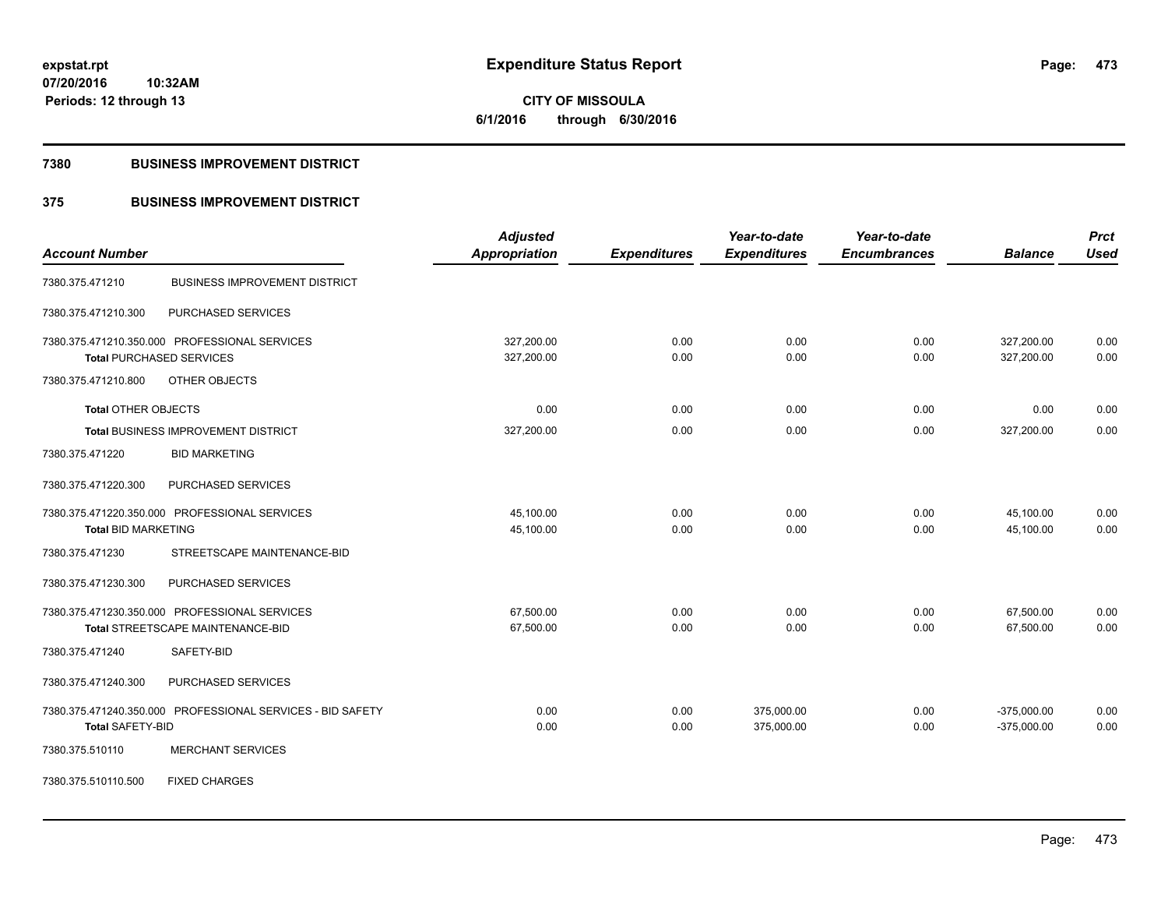**CITY OF MISSOULA 6/1/2016 through 6/30/2016**

#### **7380 BUSINESS IMPROVEMENT DISTRICT**

### **375 BUSINESS IMPROVEMENT DISTRICT**

|                                                            | <b>Adjusted</b>      |                     | Year-to-date        | Year-to-date        |                | <b>Prct</b> |
|------------------------------------------------------------|----------------------|---------------------|---------------------|---------------------|----------------|-------------|
| <b>Account Number</b>                                      | <b>Appropriation</b> | <b>Expenditures</b> | <b>Expenditures</b> | <b>Encumbrances</b> | <b>Balance</b> | <b>Used</b> |
| <b>BUSINESS IMPROVEMENT DISTRICT</b><br>7380.375.471210    |                      |                     |                     |                     |                |             |
| PURCHASED SERVICES<br>7380.375.471210.300                  |                      |                     |                     |                     |                |             |
| 7380.375.471210.350.000 PROFESSIONAL SERVICES              | 327,200.00           | 0.00                | 0.00                | 0.00                | 327,200.00     | 0.00        |
| <b>Total PURCHASED SERVICES</b>                            | 327,200.00           | 0.00                | 0.00                | 0.00                | 327,200.00     | 0.00        |
| 7380.375.471210.800<br>OTHER OBJECTS                       |                      |                     |                     |                     |                |             |
| <b>Total OTHER OBJECTS</b>                                 | 0.00                 | 0.00                | 0.00                | 0.00                | 0.00           | 0.00        |
| <b>Total BUSINESS IMPROVEMENT DISTRICT</b>                 | 327,200.00           | 0.00                | 0.00                | 0.00                | 327,200.00     | 0.00        |
| <b>BID MARKETING</b><br>7380.375.471220                    |                      |                     |                     |                     |                |             |
| 7380.375.471220.300<br>PURCHASED SERVICES                  |                      |                     |                     |                     |                |             |
| 7380.375.471220.350.000 PROFESSIONAL SERVICES              | 45,100.00            | 0.00                | 0.00                | 0.00                | 45,100.00      | 0.00        |
| <b>Total BID MARKETING</b>                                 | 45,100.00            | 0.00                | 0.00                | 0.00                | 45,100.00      | 0.00        |
| STREETSCAPE MAINTENANCE-BID<br>7380.375.471230             |                      |                     |                     |                     |                |             |
| PURCHASED SERVICES<br>7380.375.471230.300                  |                      |                     |                     |                     |                |             |
| 7380.375.471230.350.000 PROFESSIONAL SERVICES              | 67,500.00            | 0.00                | 0.00                | 0.00                | 67,500.00      | 0.00        |
| Total STREETSCAPE MAINTENANCE-BID                          | 67,500.00            | 0.00                | 0.00                | 0.00                | 67,500.00      | 0.00        |
| 7380.375.471240<br>SAFETY-BID                              |                      |                     |                     |                     |                |             |
| PURCHASED SERVICES<br>7380.375.471240.300                  |                      |                     |                     |                     |                |             |
| 7380.375.471240.350.000 PROFESSIONAL SERVICES - BID SAFETY | 0.00                 | 0.00                | 375,000.00          | 0.00                | $-375,000.00$  | 0.00        |
| <b>Total SAFETY-BID</b>                                    | 0.00                 | 0.00                | 375,000.00          | 0.00                | $-375,000.00$  | 0.00        |
| <b>MERCHANT SERVICES</b><br>7380.375.510110                |                      |                     |                     |                     |                |             |
| 7380.375.510110.500<br><b>FIXED CHARGES</b>                |                      |                     |                     |                     |                |             |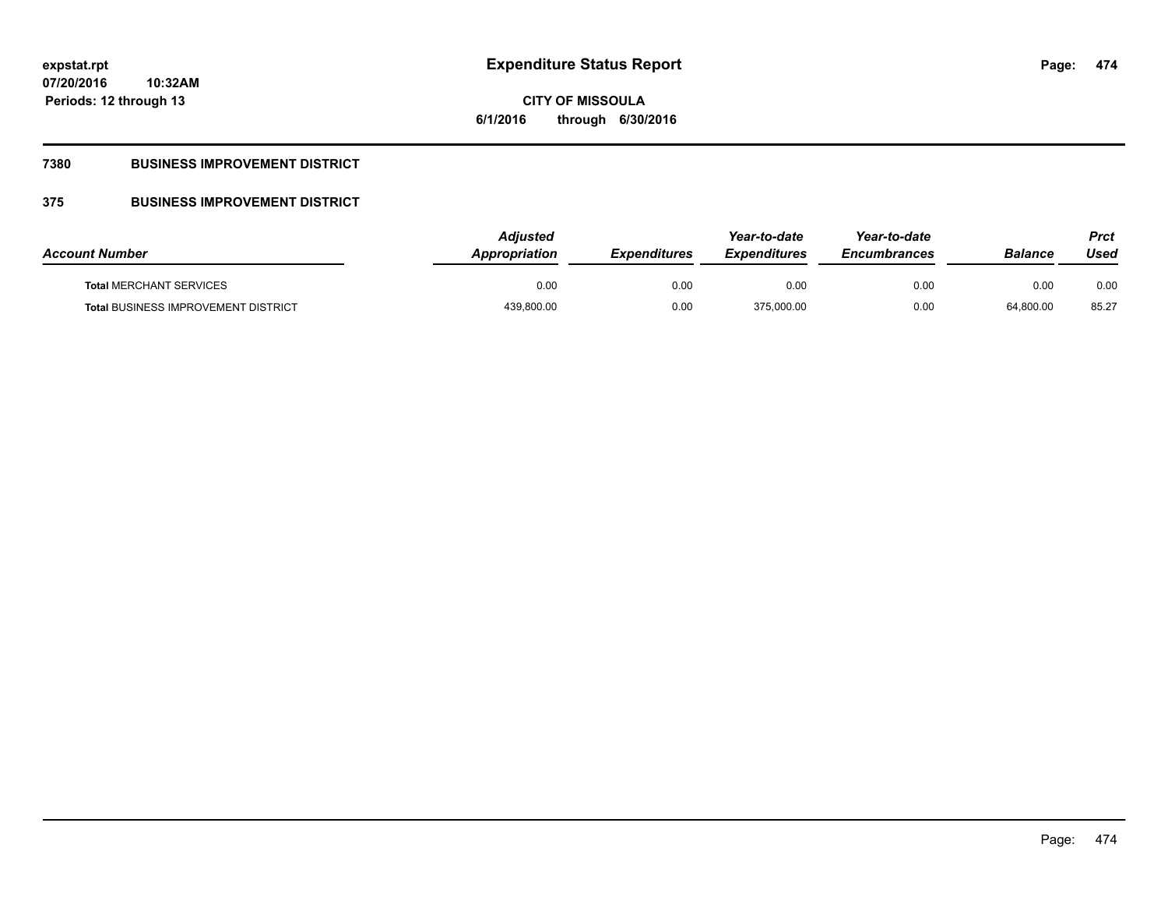**474**

**07/20/2016 10:32AM Periods: 12 through 13**

# **CITY OF MISSOULA 6/1/2016 through 6/30/2016**

### **7380 BUSINESS IMPROVEMENT DISTRICT**

### **375 BUSINESS IMPROVEMENT DISTRICT**

| <b>Account Number</b>                      | Adjusted<br>Appropriation | <b>Expenditures</b> | Year-to-date<br><b>Expenditures</b> | Year-to-date<br><b>Encumbrances</b> | <b>Balance</b> | Prct<br>Used |
|--------------------------------------------|---------------------------|---------------------|-------------------------------------|-------------------------------------|----------------|--------------|
| <b>Total MERCHANT SERVICES</b>             | 0.00                      | 0.00                | 0.00                                | 0.00                                | 0.00           | 0.00         |
| <b>Total BUSINESS IMPROVEMENT DISTRICT</b> | 439,800.00                | 0.00                | 375,000.00                          | 0.00                                | 64,800.00      | 85.27        |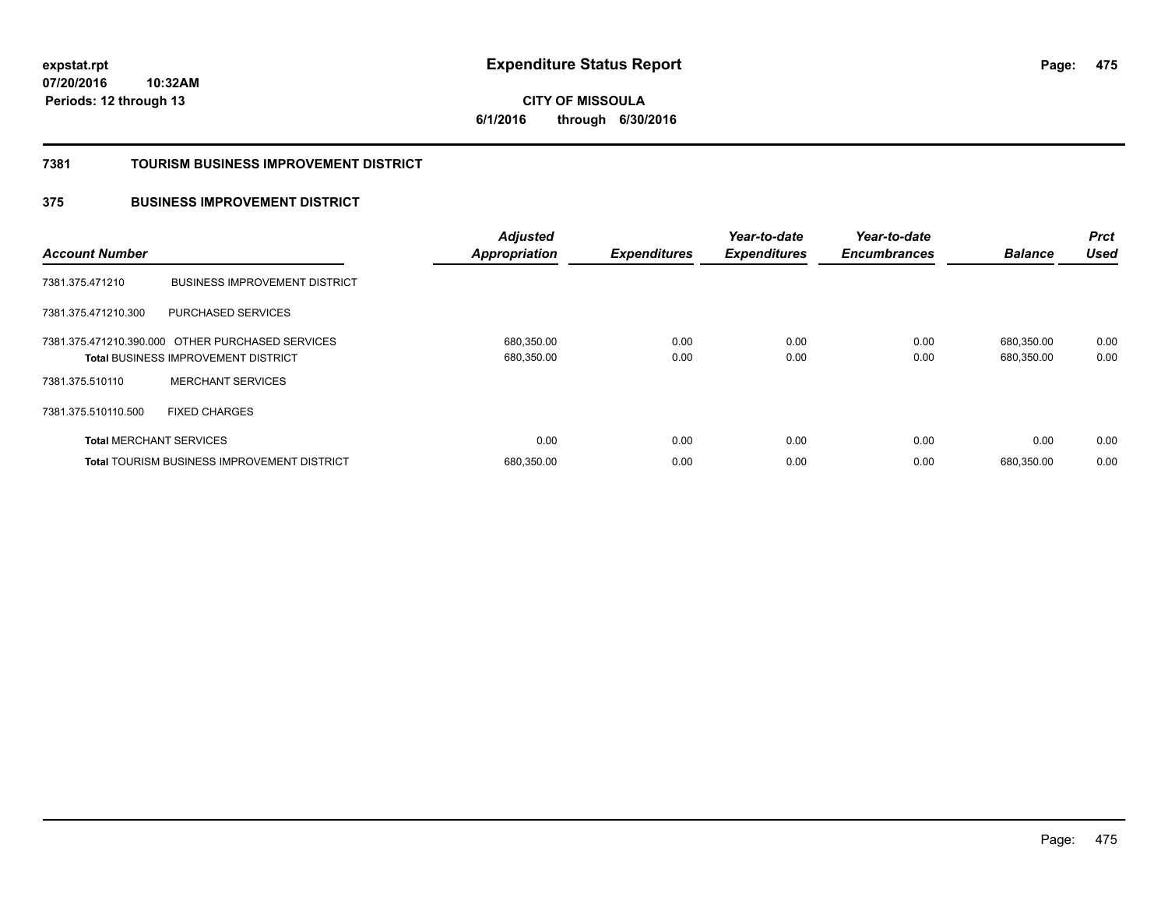**475**

**07/20/2016 10:32AM Periods: 12 through 13**

**CITY OF MISSOULA 6/1/2016 through 6/30/2016**

#### **7381 TOURISM BUSINESS IMPROVEMENT DISTRICT**

### **375 BUSINESS IMPROVEMENT DISTRICT**

| <b>Account Number</b>          |                                                                                                | <b>Adjusted</b><br><b>Appropriation</b> | <b>Expenditures</b> | Year-to-date<br><b>Expenditures</b> | Year-to-date<br><b>Encumbrances</b> | <b>Balance</b>           | <b>Prct</b><br><b>Used</b> |
|--------------------------------|------------------------------------------------------------------------------------------------|-----------------------------------------|---------------------|-------------------------------------|-------------------------------------|--------------------------|----------------------------|
| 7381.375.471210                | <b>BUSINESS IMPROVEMENT DISTRICT</b>                                                           |                                         |                     |                                     |                                     |                          |                            |
| 7381.375.471210.300            | PURCHASED SERVICES                                                                             |                                         |                     |                                     |                                     |                          |                            |
|                                | 7381.375.471210.390.000 OTHER PURCHASED SERVICES<br><b>Total BUSINESS IMPROVEMENT DISTRICT</b> | 680,350.00<br>680,350.00                | 0.00<br>0.00        | 0.00<br>0.00                        | 0.00<br>0.00                        | 680.350.00<br>680,350.00 | 0.00<br>0.00               |
| 7381.375.510110                | <b>MERCHANT SERVICES</b>                                                                       |                                         |                     |                                     |                                     |                          |                            |
| 7381.375.510110.500            | <b>FIXED CHARGES</b>                                                                           |                                         |                     |                                     |                                     |                          |                            |
| <b>Total MERCHANT SERVICES</b> |                                                                                                | 0.00                                    | 0.00                | 0.00                                | 0.00                                | 0.00                     | 0.00                       |
|                                | <b>Total TOURISM BUSINESS IMPROVEMENT DISTRICT</b>                                             | 680,350.00                              | 0.00                | 0.00                                | 0.00                                | 680.350.00               | 0.00                       |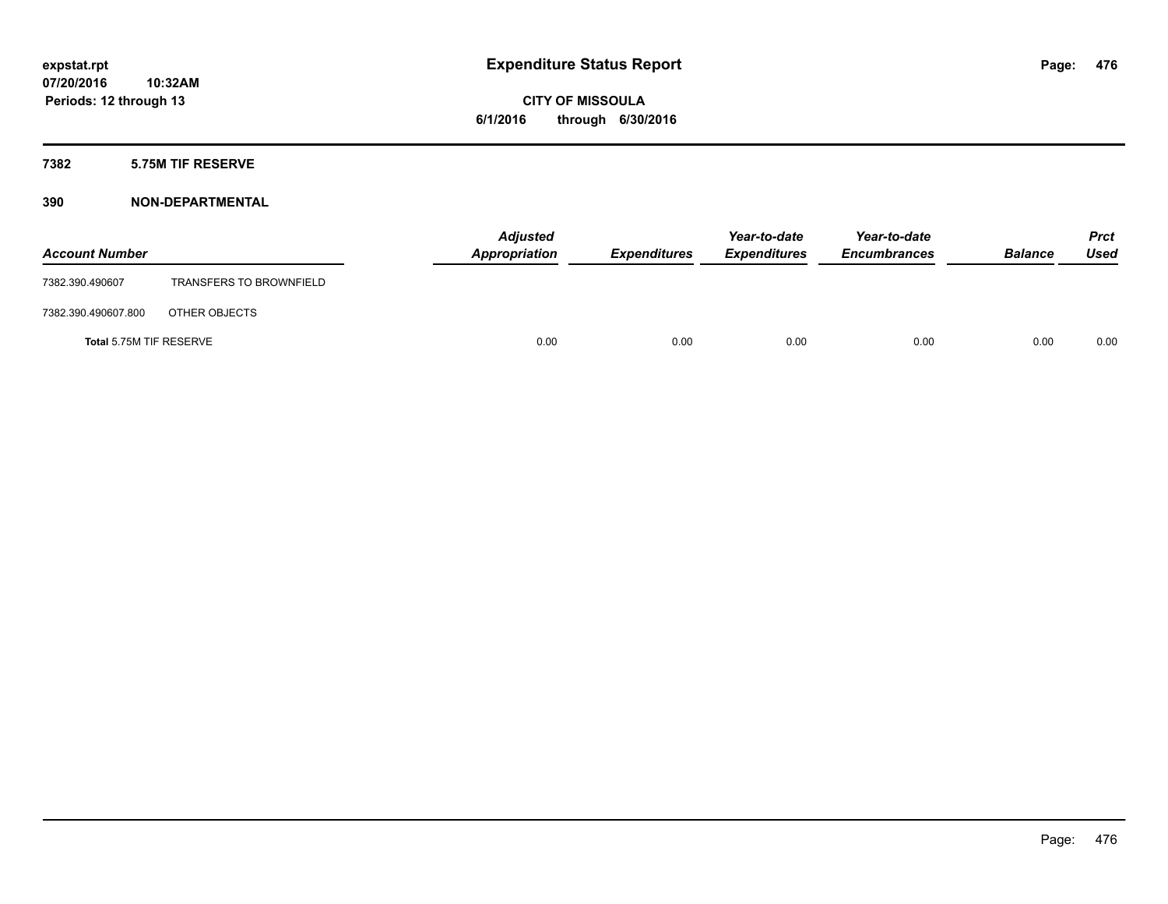**CITY OF MISSOULA 6/1/2016 through 6/30/2016**

### **7382 5.75M TIF RESERVE**

### **390 NON-DEPARTMENTAL**

| <b>Account Number</b>   |                                | <b>Adjusted</b><br>Appropriation | <b>Expenditures</b> | Year-to-date<br><b>Expenditures</b> | Year-to-date<br><b>Encumbrances</b> | <b>Balance</b> | <b>Prct</b><br>Used |
|-------------------------|--------------------------------|----------------------------------|---------------------|-------------------------------------|-------------------------------------|----------------|---------------------|
| 7382.390.490607         | <b>TRANSFERS TO BROWNFIELD</b> |                                  |                     |                                     |                                     |                |                     |
| 7382.390.490607.800     | OTHER OBJECTS                  |                                  |                     |                                     |                                     |                |                     |
| Total 5.75M TIF RESERVE |                                | 0.00                             | 0.00                | 0.00                                | 0.00                                | 0.00           | 0.00                |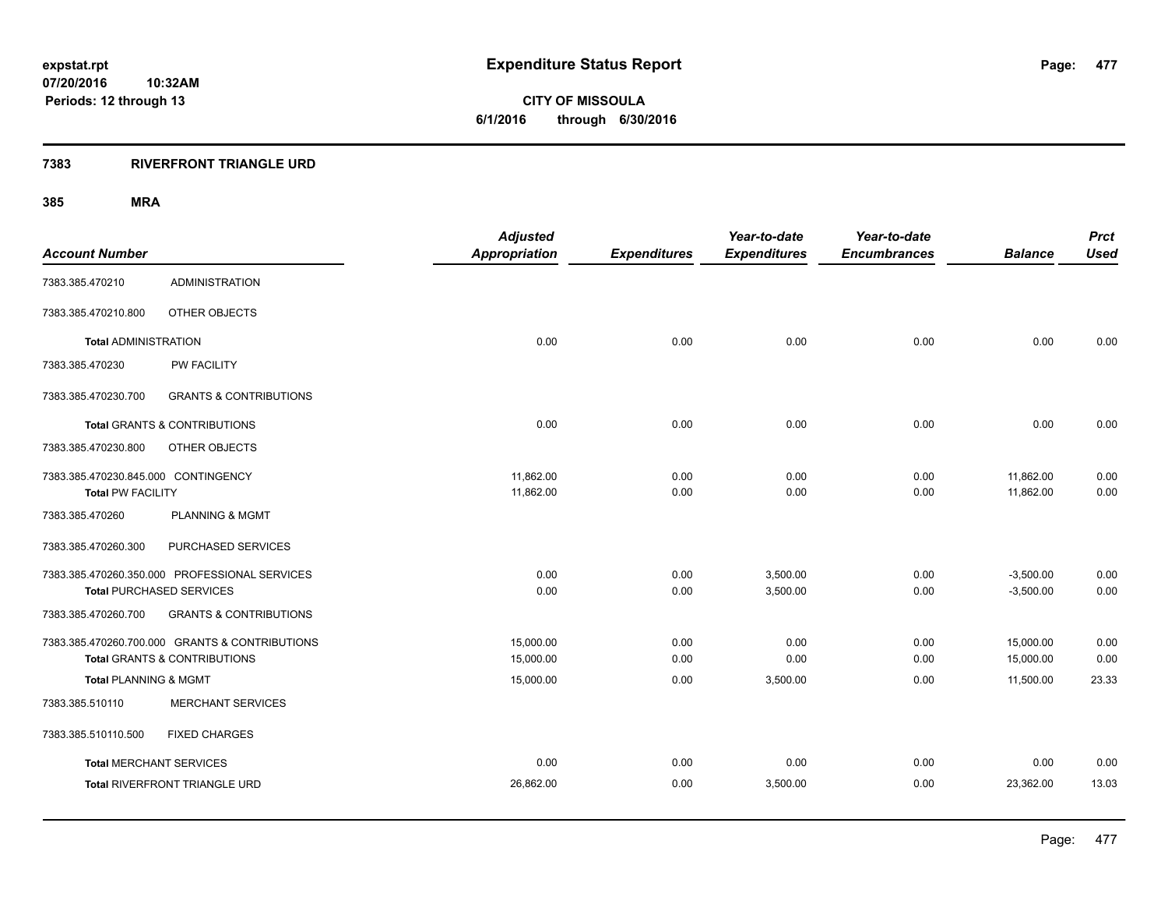**CITY OF MISSOULA 6/1/2016 through 6/30/2016**

### **7383 RIVERFRONT TRIANGLE URD**

| <b>Account Number</b>                                           |                                                                                           | <b>Adjusted</b><br><b>Appropriation</b> | <b>Expenditures</b> | Year-to-date<br><b>Expenditures</b> | Year-to-date<br><b>Encumbrances</b> | <b>Balance</b>             | <b>Prct</b><br><b>Used</b> |
|-----------------------------------------------------------------|-------------------------------------------------------------------------------------------|-----------------------------------------|---------------------|-------------------------------------|-------------------------------------|----------------------------|----------------------------|
| 7383.385.470210                                                 | <b>ADMINISTRATION</b>                                                                     |                                         |                     |                                     |                                     |                            |                            |
| 7383.385.470210.800                                             | OTHER OBJECTS                                                                             |                                         |                     |                                     |                                     |                            |                            |
| <b>Total ADMINISTRATION</b>                                     |                                                                                           | 0.00                                    | 0.00                | 0.00                                | 0.00                                | 0.00                       | 0.00                       |
| 7383.385.470230                                                 | PW FACILITY                                                                               |                                         |                     |                                     |                                     |                            |                            |
| 7383.385.470230.700                                             | <b>GRANTS &amp; CONTRIBUTIONS</b>                                                         |                                         |                     |                                     |                                     |                            |                            |
|                                                                 | <b>Total GRANTS &amp; CONTRIBUTIONS</b>                                                   | 0.00                                    | 0.00                | 0.00                                | 0.00                                | 0.00                       | 0.00                       |
| 7383.385.470230.800                                             | OTHER OBJECTS                                                                             |                                         |                     |                                     |                                     |                            |                            |
| 7383.385.470230.845.000 CONTINGENCY<br><b>Total PW FACILITY</b> |                                                                                           | 11,862.00<br>11,862.00                  | 0.00<br>0.00        | 0.00<br>0.00                        | 0.00<br>0.00                        | 11,862.00<br>11,862.00     | 0.00<br>0.00               |
| 7383.385.470260                                                 | <b>PLANNING &amp; MGMT</b>                                                                |                                         |                     |                                     |                                     |                            |                            |
| 7383.385.470260.300                                             | PURCHASED SERVICES                                                                        |                                         |                     |                                     |                                     |                            |                            |
|                                                                 | 7383.385.470260.350.000 PROFESSIONAL SERVICES<br><b>Total PURCHASED SERVICES</b>          | 0.00<br>0.00                            | 0.00<br>0.00        | 3,500.00<br>3,500.00                | 0.00<br>0.00                        | $-3,500.00$<br>$-3,500.00$ | 0.00<br>0.00               |
| 7383.385.470260.700                                             | <b>GRANTS &amp; CONTRIBUTIONS</b>                                                         |                                         |                     |                                     |                                     |                            |                            |
|                                                                 | 7383.385.470260.700.000 GRANTS & CONTRIBUTIONS<br><b>Total GRANTS &amp; CONTRIBUTIONS</b> | 15.000.00<br>15,000.00                  | 0.00<br>0.00        | 0.00<br>0.00                        | 0.00<br>0.00                        | 15,000.00<br>15,000.00     | 0.00<br>0.00               |
| Total PLANNING & MGMT                                           |                                                                                           | 15,000.00                               | 0.00                | 3,500.00                            | 0.00                                | 11,500.00                  | 23.33                      |
| 7383.385.510110                                                 | <b>MERCHANT SERVICES</b>                                                                  |                                         |                     |                                     |                                     |                            |                            |
| 7383.385.510110.500                                             | <b>FIXED CHARGES</b>                                                                      |                                         |                     |                                     |                                     |                            |                            |
| <b>Total MERCHANT SERVICES</b>                                  |                                                                                           | 0.00                                    | 0.00                | 0.00                                | 0.00                                | 0.00                       | 0.00                       |
|                                                                 | Total RIVERFRONT TRIANGLE URD                                                             | 26,862.00                               | 0.00                | 3,500.00                            | 0.00                                | 23,362.00                  | 13.03                      |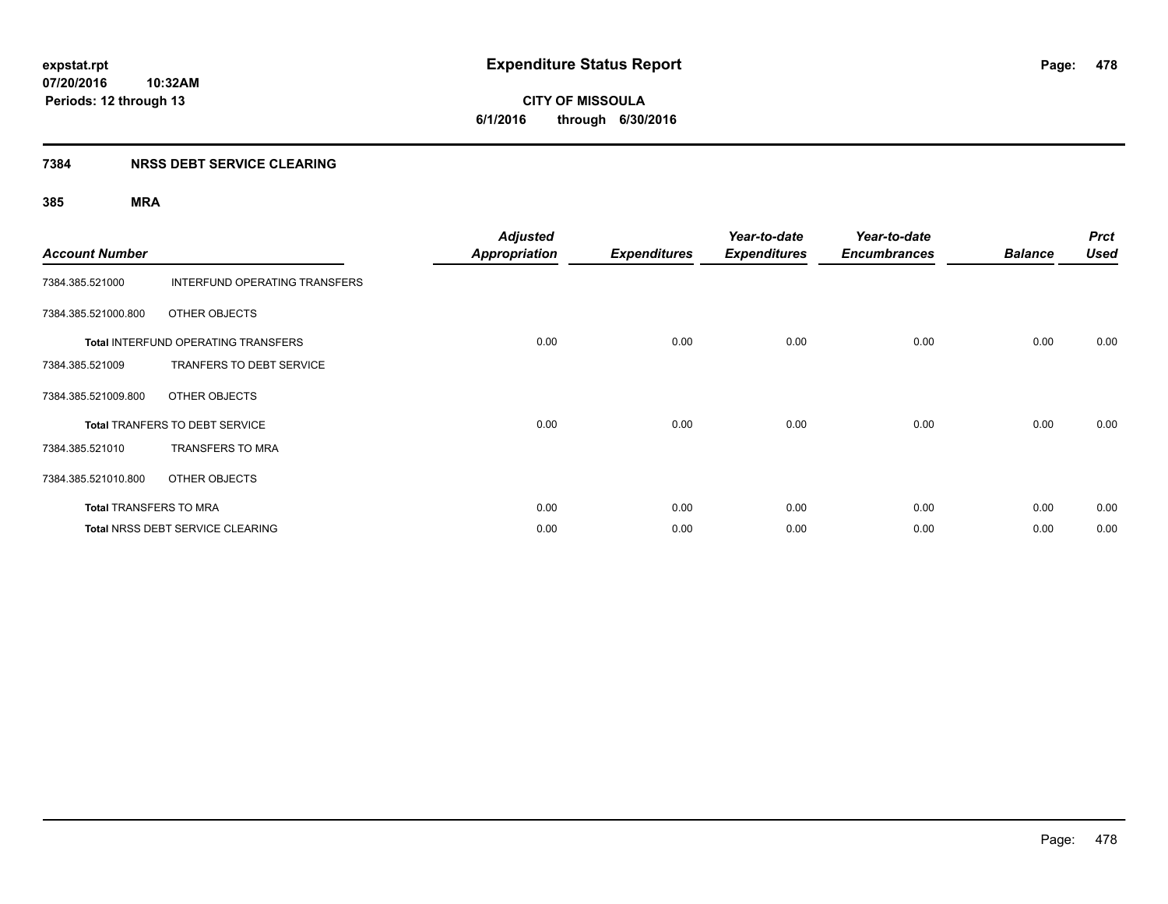**Periods: 12 through 13**

**CITY OF MISSOULA 6/1/2016 through 6/30/2016**

### **7384 NRSS DEBT SERVICE CLEARING**

| <b>Account Number</b>         |                                     | <b>Adjusted</b><br><b>Appropriation</b> | <b>Expenditures</b> | Year-to-date<br><b>Expenditures</b> | Year-to-date<br><b>Encumbrances</b> | <b>Balance</b> | <b>Prct</b><br><b>Used</b> |
|-------------------------------|-------------------------------------|-----------------------------------------|---------------------|-------------------------------------|-------------------------------------|----------------|----------------------------|
| 7384.385.521000               | INTERFUND OPERATING TRANSFERS       |                                         |                     |                                     |                                     |                |                            |
| 7384.385.521000.800           | OTHER OBJECTS                       |                                         |                     |                                     |                                     |                |                            |
|                               | Total INTERFUND OPERATING TRANSFERS | 0.00                                    | 0.00                | 0.00                                | 0.00                                | 0.00           | 0.00                       |
| 7384.385.521009               | TRANFERS TO DEBT SERVICE            |                                         |                     |                                     |                                     |                |                            |
| 7384.385.521009.800           | OTHER OBJECTS                       |                                         |                     |                                     |                                     |                |                            |
|                               | Total TRANFERS TO DEBT SERVICE      | 0.00                                    | 0.00                | 0.00                                | 0.00                                | 0.00           | 0.00                       |
| 7384.385.521010               | <b>TRANSFERS TO MRA</b>             |                                         |                     |                                     |                                     |                |                            |
| 7384.385.521010.800           | OTHER OBJECTS                       |                                         |                     |                                     |                                     |                |                            |
| <b>Total TRANSFERS TO MRA</b> |                                     | 0.00                                    | 0.00                | 0.00                                | 0.00                                | 0.00           | 0.00                       |
|                               | Total NRSS DEBT SERVICE CLEARING    | 0.00                                    | 0.00                | 0.00                                | 0.00                                | 0.00           | 0.00                       |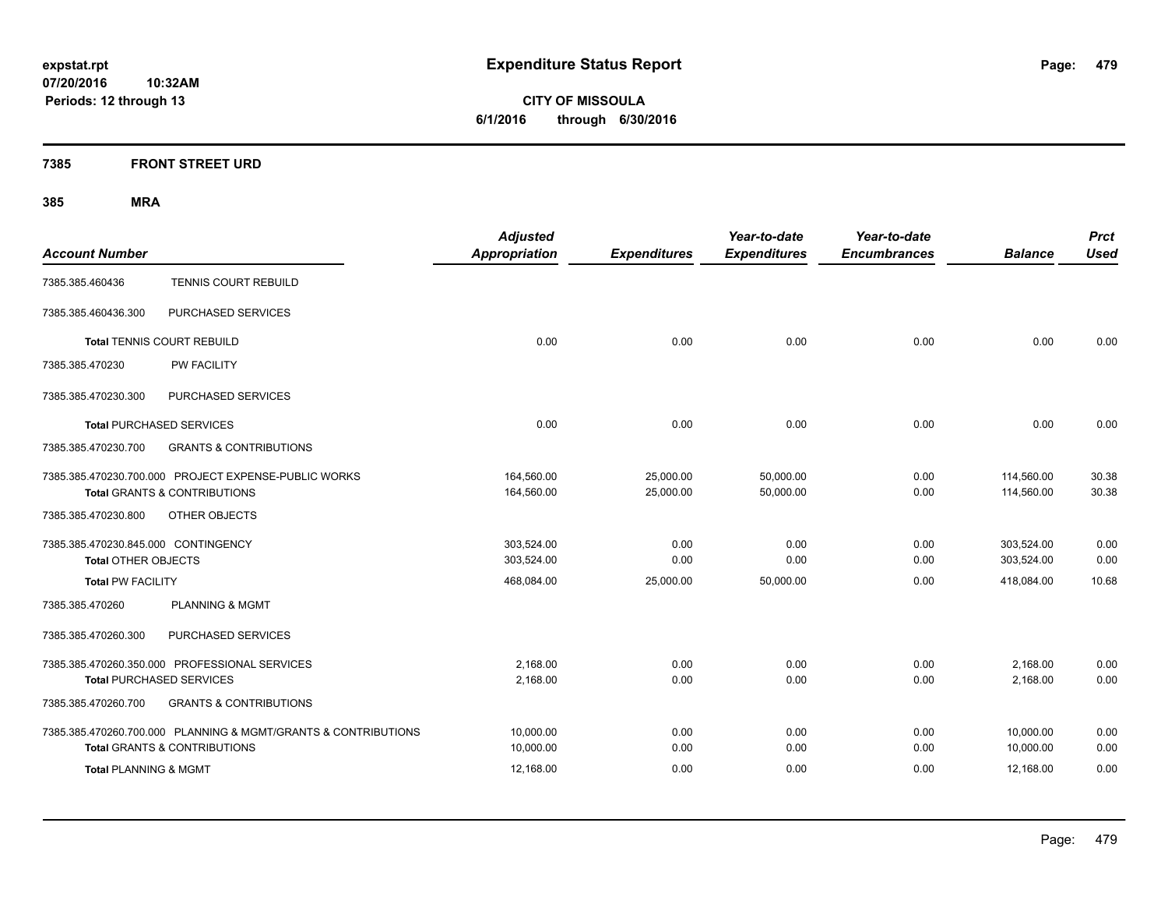**CITY OF MISSOULA 6/1/2016 through 6/30/2016**

### **7385 FRONT STREET URD**

| <b>Account Number</b>               |                                                                                                 | <b>Adjusted</b><br><b>Appropriation</b> | <b>Expenditures</b>    | Year-to-date<br><b>Expenditures</b> | Year-to-date<br><b>Encumbrances</b> | <b>Balance</b>           | <b>Prct</b><br><b>Used</b> |
|-------------------------------------|-------------------------------------------------------------------------------------------------|-----------------------------------------|------------------------|-------------------------------------|-------------------------------------|--------------------------|----------------------------|
| 7385.385.460436                     | <b>TENNIS COURT REBUILD</b>                                                                     |                                         |                        |                                     |                                     |                          |                            |
| 7385.385.460436.300                 | PURCHASED SERVICES                                                                              |                                         |                        |                                     |                                     |                          |                            |
|                                     | <b>Total TENNIS COURT REBUILD</b>                                                               | 0.00                                    | 0.00                   | 0.00                                | 0.00                                | 0.00                     | 0.00                       |
| 7385.385.470230                     | <b>PW FACILITY</b>                                                                              |                                         |                        |                                     |                                     |                          |                            |
| 7385.385.470230.300                 | PURCHASED SERVICES                                                                              |                                         |                        |                                     |                                     |                          |                            |
|                                     | <b>Total PURCHASED SERVICES</b>                                                                 | 0.00                                    | 0.00                   | 0.00                                | 0.00                                | 0.00                     | 0.00                       |
| 7385.385.470230.700                 | <b>GRANTS &amp; CONTRIBUTIONS</b>                                                               |                                         |                        |                                     |                                     |                          |                            |
|                                     | 7385.385.470230.700.000 PROJECT EXPENSE-PUBLIC WORKS<br><b>Total GRANTS &amp; CONTRIBUTIONS</b> | 164,560.00<br>164,560.00                | 25,000.00<br>25,000.00 | 50,000.00<br>50,000.00              | 0.00<br>0.00                        | 114,560.00<br>114,560.00 | 30.38<br>30.38             |
| 7385.385.470230.800                 | OTHER OBJECTS                                                                                   |                                         |                        |                                     |                                     |                          |                            |
| 7385.385.470230.845.000 CONTINGENCY |                                                                                                 | 303,524.00                              | 0.00                   | 0.00                                | 0.00                                | 303,524.00               | 0.00                       |
| <b>Total OTHER OBJECTS</b>          |                                                                                                 | 303,524.00                              | 0.00                   | 0.00                                | 0.00                                | 303,524.00               | 0.00                       |
| <b>Total PW FACILITY</b>            |                                                                                                 | 468,084.00                              | 25,000.00              | 50,000.00                           | 0.00                                | 418,084.00               | 10.68                      |
| 7385.385.470260                     | <b>PLANNING &amp; MGMT</b>                                                                      |                                         |                        |                                     |                                     |                          |                            |
| 7385.385.470260.300                 | PURCHASED SERVICES                                                                              |                                         |                        |                                     |                                     |                          |                            |
|                                     | 7385.385.470260.350.000 PROFESSIONAL SERVICES                                                   | 2,168.00                                | 0.00                   | 0.00                                | 0.00                                | 2,168.00                 | 0.00                       |
|                                     | <b>Total PURCHASED SERVICES</b>                                                                 | 2.168.00                                | 0.00                   | 0.00                                | 0.00                                | 2.168.00                 | 0.00                       |
| 7385.385.470260.700                 | <b>GRANTS &amp; CONTRIBUTIONS</b>                                                               |                                         |                        |                                     |                                     |                          |                            |
|                                     | 7385.385.470260.700.000 PLANNING & MGMT/GRANTS & CONTRIBUTIONS                                  | 10,000.00                               | 0.00                   | 0.00                                | 0.00                                | 10,000.00                | 0.00                       |
|                                     | <b>Total GRANTS &amp; CONTRIBUTIONS</b>                                                         | 10,000.00                               | 0.00                   | 0.00                                | 0.00                                | 10,000.00                | 0.00                       |
| <b>Total PLANNING &amp; MGMT</b>    |                                                                                                 | 12,168.00                               | 0.00                   | 0.00                                | 0.00                                | 12,168.00                | 0.00                       |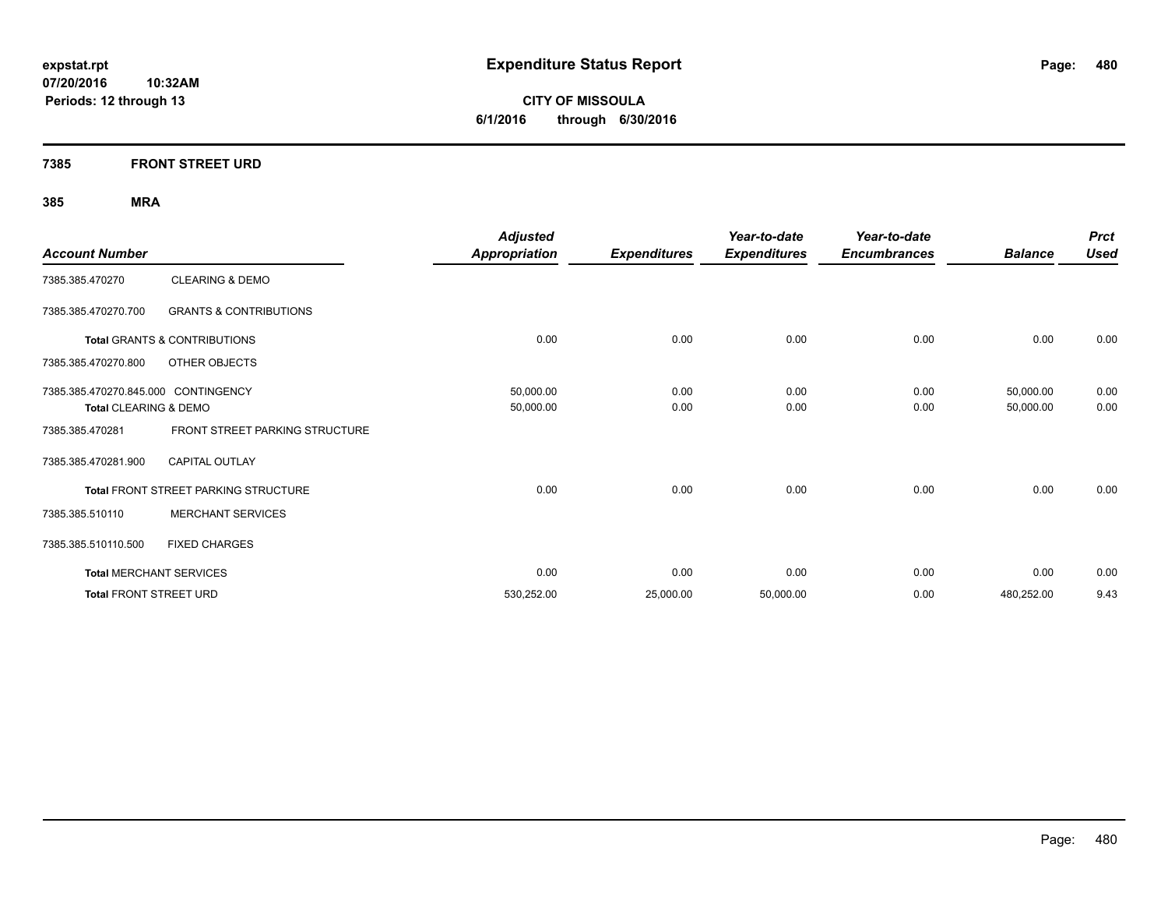**CITY OF MISSOULA 6/1/2016 through 6/30/2016**

### **7385 FRONT STREET URD**

| <b>Account Number</b>               |                                             | <b>Adjusted</b><br><b>Appropriation</b> | <b>Expenditures</b> | Year-to-date<br><b>Expenditures</b> | Year-to-date<br><b>Encumbrances</b> | <b>Balance</b> | <b>Prct</b><br><b>Used</b> |
|-------------------------------------|---------------------------------------------|-----------------------------------------|---------------------|-------------------------------------|-------------------------------------|----------------|----------------------------|
| 7385.385.470270                     | <b>CLEARING &amp; DEMO</b>                  |                                         |                     |                                     |                                     |                |                            |
| 7385.385.470270.700                 | <b>GRANTS &amp; CONTRIBUTIONS</b>           |                                         |                     |                                     |                                     |                |                            |
|                                     | <b>Total GRANTS &amp; CONTRIBUTIONS</b>     | 0.00                                    | 0.00                | 0.00                                | 0.00                                | 0.00           | 0.00                       |
| 7385.385.470270.800                 | OTHER OBJECTS                               |                                         |                     |                                     |                                     |                |                            |
| 7385.385.470270.845.000 CONTINGENCY |                                             | 50,000.00                               | 0.00                | 0.00                                | 0.00                                | 50,000.00      | 0.00                       |
| Total CLEARING & DEMO               |                                             | 50,000.00                               | 0.00                | 0.00                                | 0.00                                | 50,000.00      | 0.00                       |
| 7385.385.470281                     | FRONT STREET PARKING STRUCTURE              |                                         |                     |                                     |                                     |                |                            |
| 7385.385.470281.900                 | <b>CAPITAL OUTLAY</b>                       |                                         |                     |                                     |                                     |                |                            |
|                                     | <b>Total FRONT STREET PARKING STRUCTURE</b> | 0.00                                    | 0.00                | 0.00                                | 0.00                                | 0.00           | 0.00                       |
| 7385.385.510110                     | <b>MERCHANT SERVICES</b>                    |                                         |                     |                                     |                                     |                |                            |
| 7385.385.510110.500                 | <b>FIXED CHARGES</b>                        |                                         |                     |                                     |                                     |                |                            |
| <b>Total MERCHANT SERVICES</b>      |                                             | 0.00                                    | 0.00                | 0.00                                | 0.00                                | 0.00           | 0.00                       |
| <b>Total FRONT STREET URD</b>       |                                             | 530,252.00                              | 25,000.00           | 50,000.00                           | 0.00                                | 480,252.00     | 9.43                       |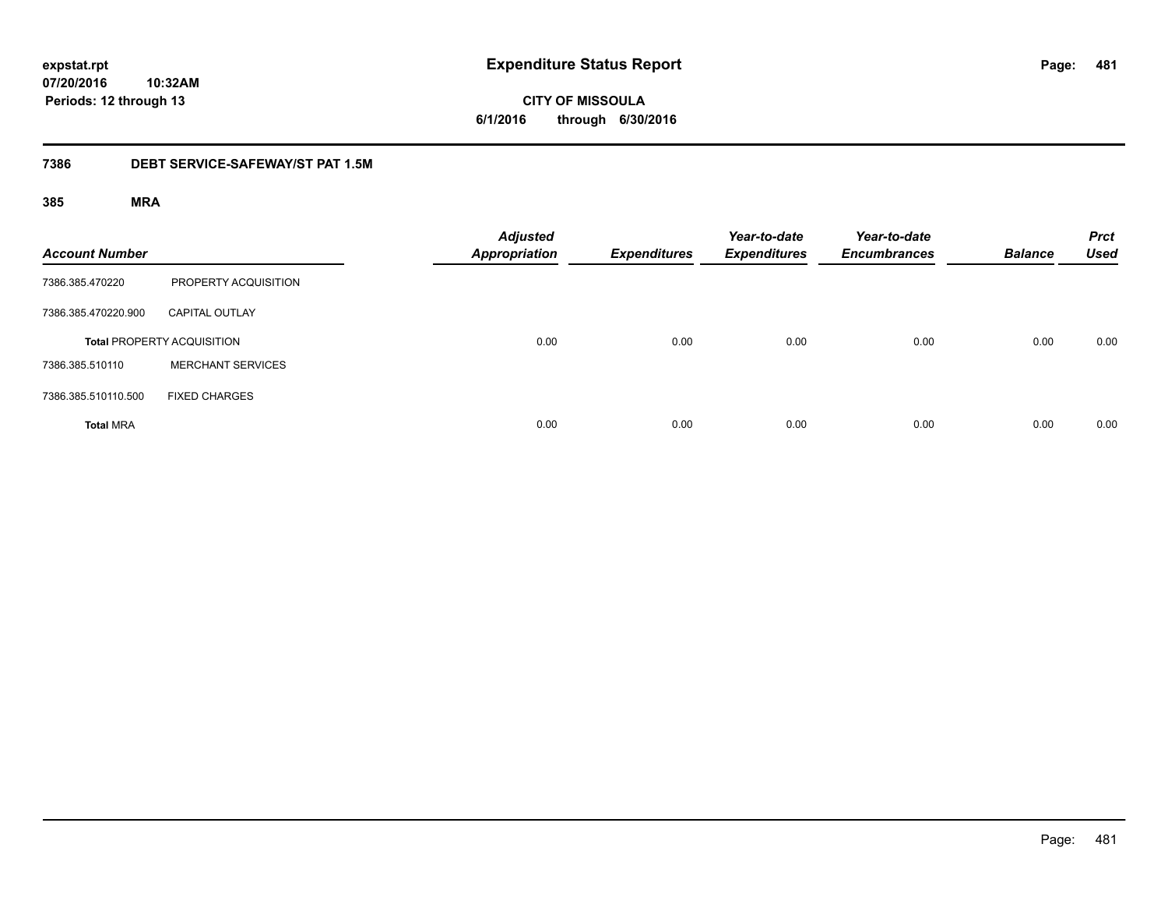# **CITY OF MISSOULA 6/1/2016 through 6/30/2016**

### **7386 DEBT SERVICE-SAFEWAY/ST PAT 1.5M**

| <b>Account Number</b> |                                   | <b>Adjusted</b><br>Appropriation | <b>Expenditures</b> | Year-to-date<br><b>Expenditures</b> | Year-to-date<br><b>Encumbrances</b> | <b>Balance</b> | <b>Prct</b><br><b>Used</b> |
|-----------------------|-----------------------------------|----------------------------------|---------------------|-------------------------------------|-------------------------------------|----------------|----------------------------|
| 7386.385.470220       | PROPERTY ACQUISITION              |                                  |                     |                                     |                                     |                |                            |
| 7386.385.470220.900   | <b>CAPITAL OUTLAY</b>             |                                  |                     |                                     |                                     |                |                            |
|                       | <b>Total PROPERTY ACQUISITION</b> | 0.00                             | 0.00                | 0.00                                | 0.00                                | 0.00           | 0.00                       |
| 7386.385.510110       | <b>MERCHANT SERVICES</b>          |                                  |                     |                                     |                                     |                |                            |
| 7386.385.510110.500   | <b>FIXED CHARGES</b>              |                                  |                     |                                     |                                     |                |                            |
| <b>Total MRA</b>      |                                   | 0.00                             | 0.00                | 0.00                                | 0.00                                | 0.00           | 0.00                       |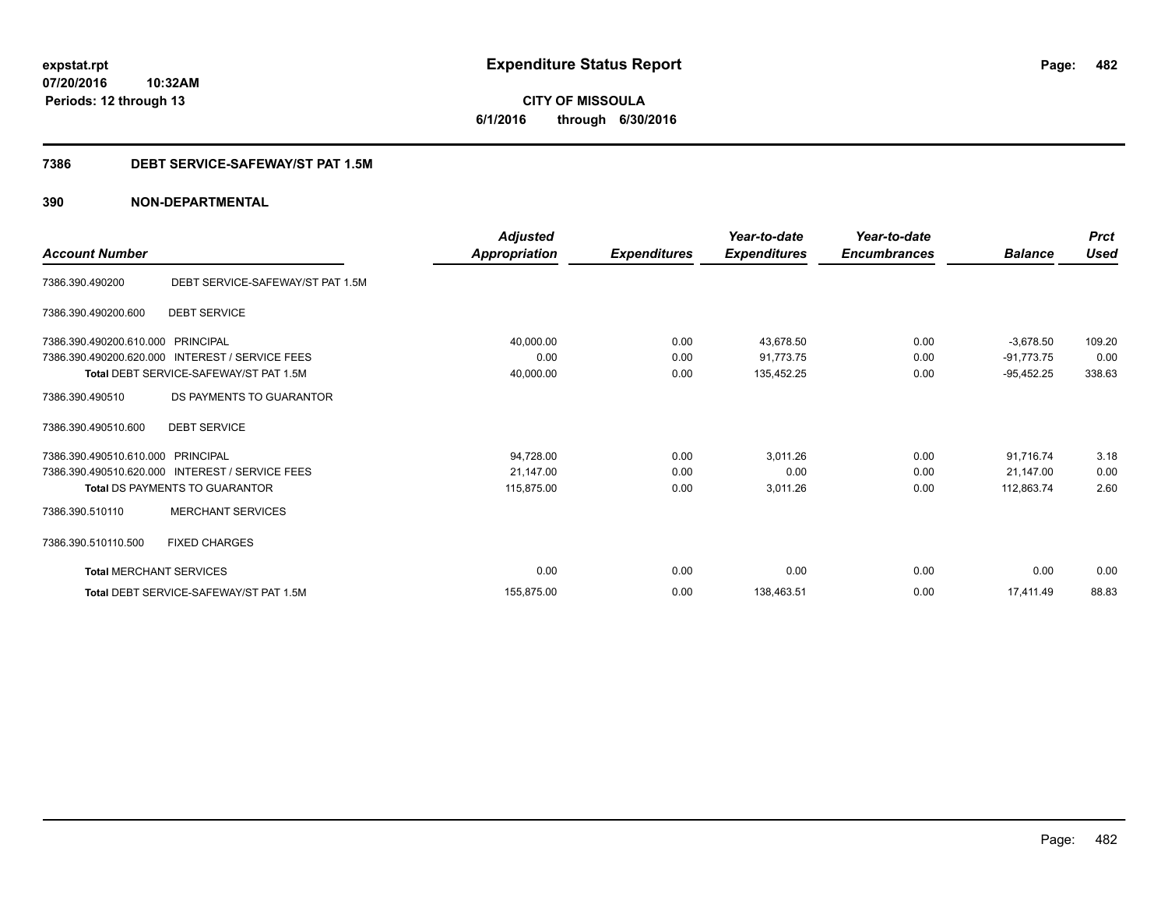**6/1/2016 through 6/30/2016**

### **7386 DEBT SERVICE-SAFEWAY/ST PAT 1.5M**

### **390 NON-DEPARTMENTAL**

| <b>Account Number</b>          |                                                 | <b>Adjusted</b><br><b>Appropriation</b> | <b>Expenditures</b> | Year-to-date<br><b>Expenditures</b> | Year-to-date<br><b>Encumbrances</b> | <b>Balance</b> | <b>Prct</b><br><b>Used</b> |
|--------------------------------|-------------------------------------------------|-----------------------------------------|---------------------|-------------------------------------|-------------------------------------|----------------|----------------------------|
| 7386.390.490200                | DEBT SERVICE-SAFEWAY/ST PAT 1.5M                |                                         |                     |                                     |                                     |                |                            |
| 7386.390.490200.600            | <b>DEBT SERVICE</b>                             |                                         |                     |                                     |                                     |                |                            |
| 7386.390.490200.610.000        | <b>PRINCIPAL</b>                                | 40,000.00                               | 0.00                | 43,678.50                           | 0.00                                | $-3,678.50$    | 109.20                     |
| 7386.390.490200.620.000        | <b>INTEREST / SERVICE FEES</b>                  | 0.00                                    | 0.00                | 91,773.75                           | 0.00                                | $-91,773.75$   | 0.00                       |
|                                | Total DEBT SERVICE-SAFEWAY/ST PAT 1.5M          | 40,000.00                               | 0.00                | 135,452.25                          | 0.00                                | $-95,452.25$   | 338.63                     |
| 7386.390.490510                | DS PAYMENTS TO GUARANTOR                        |                                         |                     |                                     |                                     |                |                            |
| 7386.390.490510.600            | <b>DEBT SERVICE</b>                             |                                         |                     |                                     |                                     |                |                            |
| 7386.390.490510.610.000        | PRINCIPAL                                       | 94,728.00                               | 0.00                | 3,011.26                            | 0.00                                | 91,716.74      | 3.18                       |
|                                | 7386.390.490510.620.000 INTEREST / SERVICE FEES | 21,147.00                               | 0.00                | 0.00                                | 0.00                                | 21,147.00      | 0.00                       |
|                                | <b>Total DS PAYMENTS TO GUARANTOR</b>           | 115,875.00                              | 0.00                | 3,011.26                            | 0.00                                | 112,863.74     | 2.60                       |
| 7386.390.510110                | <b>MERCHANT SERVICES</b>                        |                                         |                     |                                     |                                     |                |                            |
| 7386.390.510110.500            | <b>FIXED CHARGES</b>                            |                                         |                     |                                     |                                     |                |                            |
| <b>Total MERCHANT SERVICES</b> |                                                 | 0.00                                    | 0.00                | 0.00                                | 0.00                                | 0.00           | 0.00                       |
|                                | Total DEBT SERVICE-SAFEWAY/ST PAT 1.5M          | 155,875.00                              | 0.00                | 138,463.51                          | 0.00                                | 17.411.49      | 88.83                      |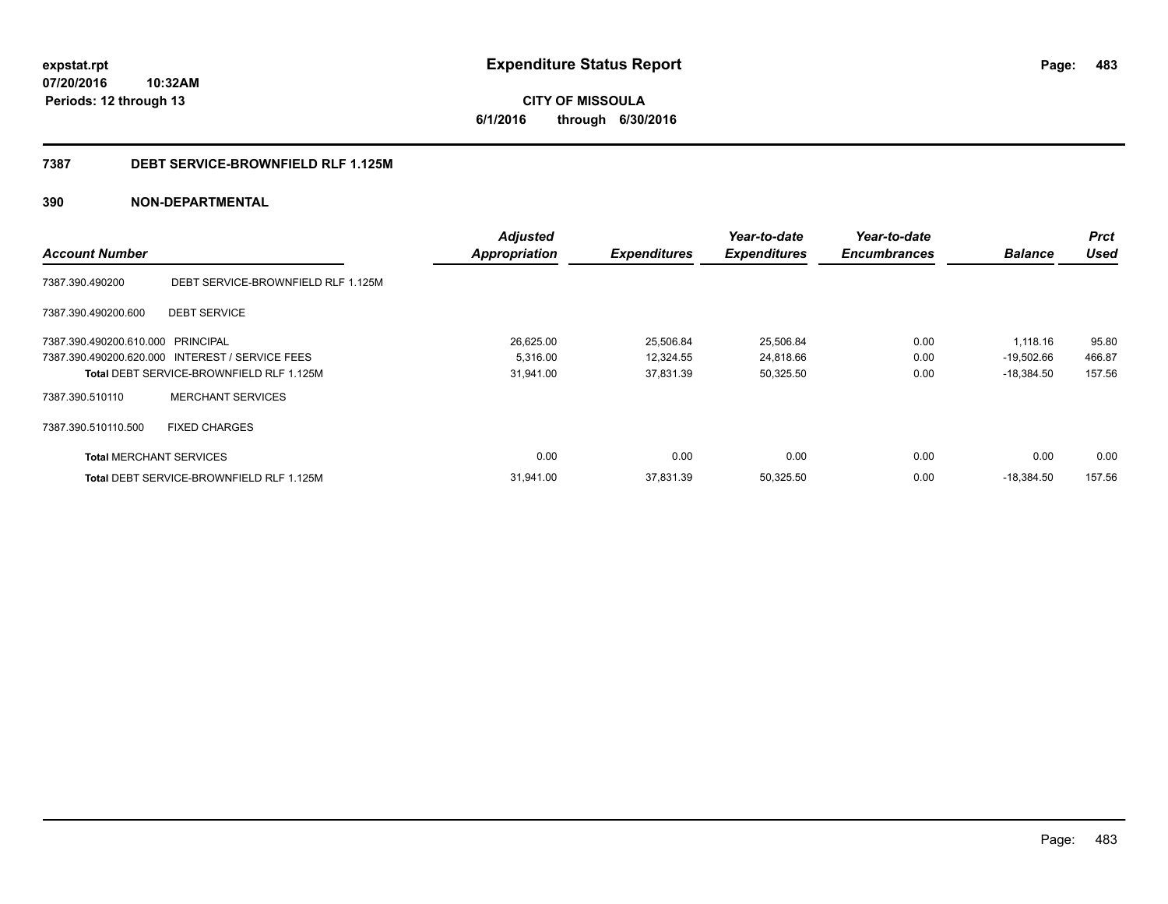#### **7387 DEBT SERVICE-BROWNFIELD RLF 1.125M**

### **390 NON-DEPARTMENTAL**

| <b>Account Number</b>             |                                                 | <b>Adjusted</b><br><b>Appropriation</b> | <b>Expenditures</b> | Year-to-date<br><b>Expenditures</b> | Year-to-date<br><b>Encumbrances</b> | <b>Balance</b> | <b>Prct</b><br><b>Used</b> |
|-----------------------------------|-------------------------------------------------|-----------------------------------------|---------------------|-------------------------------------|-------------------------------------|----------------|----------------------------|
| 7387.390.490200                   | DEBT SERVICE-BROWNFIELD RLF 1.125M              |                                         |                     |                                     |                                     |                |                            |
| 7387.390.490200.600               | <b>DEBT SERVICE</b>                             |                                         |                     |                                     |                                     |                |                            |
| 7387.390.490200.610.000 PRINCIPAL |                                                 | 26,625.00                               | 25,506.84           | 25,506.84                           | 0.00                                | 1,118.16       | 95.80                      |
|                                   | 7387.390.490200.620.000 INTEREST / SERVICE FEES | 5,316.00                                | 12,324.55           | 24,818.66                           | 0.00                                | $-19,502.66$   | 466.87                     |
|                                   | Total DEBT SERVICE-BROWNFIELD RLF 1.125M        | 31.941.00                               | 37,831.39           | 50,325.50                           | 0.00                                | $-18.384.50$   | 157.56                     |
| 7387.390.510110                   | <b>MERCHANT SERVICES</b>                        |                                         |                     |                                     |                                     |                |                            |
| 7387.390.510110.500               | <b>FIXED CHARGES</b>                            |                                         |                     |                                     |                                     |                |                            |
| <b>Total MERCHANT SERVICES</b>    |                                                 | 0.00                                    | 0.00                | 0.00                                | 0.00                                | 0.00           | 0.00                       |
|                                   | Total DEBT SERVICE-BROWNFIELD RLF 1.125M        | 31.941.00                               | 37.831.39           | 50,325.50                           | 0.00                                | $-18.384.50$   | 157.56                     |

**483**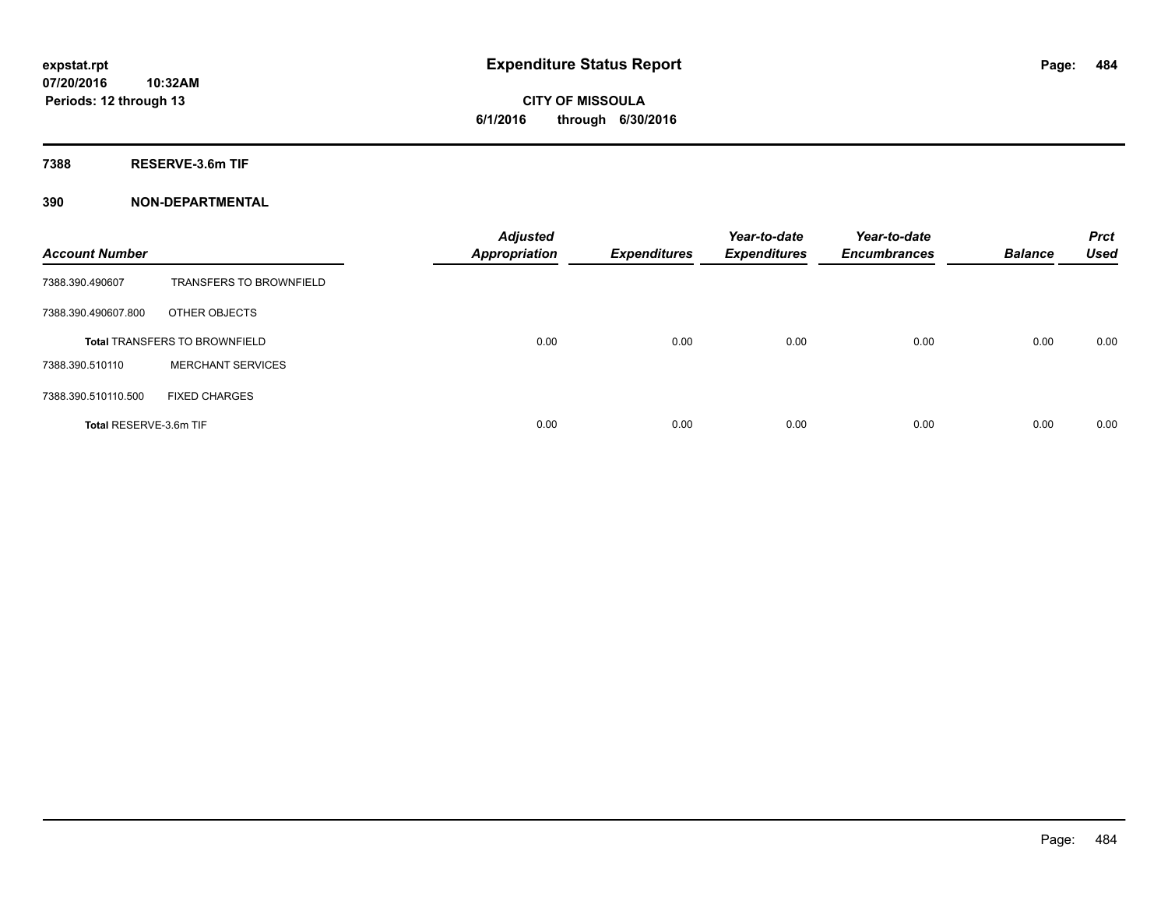# **CITY OF MISSOULA 6/1/2016 through 6/30/2016**

**7388 RESERVE-3.6m TIF**

### **390 NON-DEPARTMENTAL**

| <b>Account Number</b>  |                                      | <b>Adjusted</b><br><b>Appropriation</b> | <b>Expenditures</b> | Year-to-date<br><b>Expenditures</b> | Year-to-date<br><b>Encumbrances</b> | <b>Balance</b> | <b>Prct</b><br><b>Used</b> |
|------------------------|--------------------------------------|-----------------------------------------|---------------------|-------------------------------------|-------------------------------------|----------------|----------------------------|
| 7388.390.490607        | <b>TRANSFERS TO BROWNFIELD</b>       |                                         |                     |                                     |                                     |                |                            |
| 7388.390.490607.800    | OTHER OBJECTS                        |                                         |                     |                                     |                                     |                |                            |
|                        | <b>Total TRANSFERS TO BROWNFIELD</b> | 0.00                                    | 0.00                | 0.00                                | 0.00                                | 0.00           | 0.00                       |
| 7388.390.510110        | <b>MERCHANT SERVICES</b>             |                                         |                     |                                     |                                     |                |                            |
| 7388.390.510110.500    | <b>FIXED CHARGES</b>                 |                                         |                     |                                     |                                     |                |                            |
| Total RESERVE-3.6m TIF |                                      | 0.00                                    | 0.00                | 0.00                                | 0.00                                | 0.00           | 0.00                       |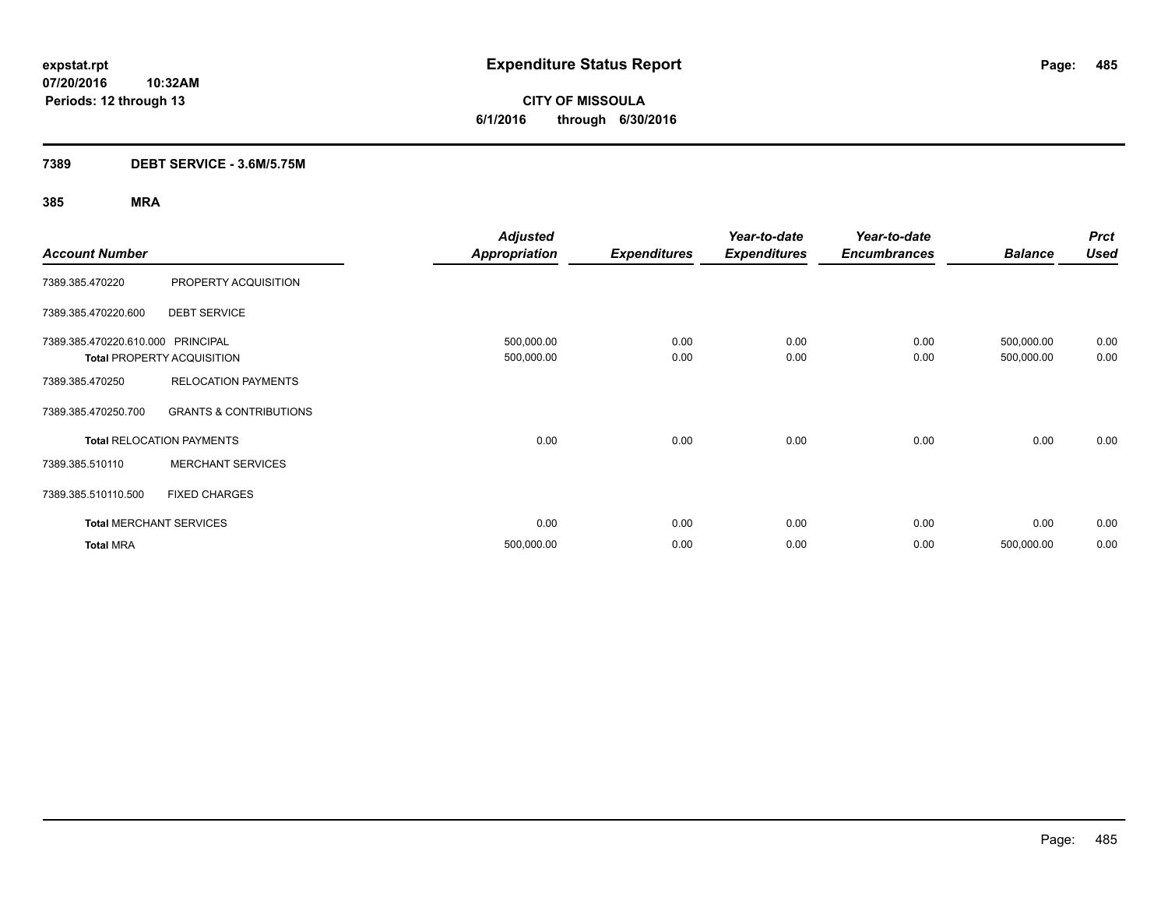**CITY OF MISSOULA 6/1/2016 through 6/30/2016**

### **7389 DEBT SERVICE - 3.6M/5.75M**

| <b>Account Number</b>             |                                   | <b>Adjusted</b><br><b>Appropriation</b> | <b>Expenditures</b> | Year-to-date<br><b>Expenditures</b> | Year-to-date<br><b>Encumbrances</b> | <b>Balance</b>           | <b>Prct</b><br><b>Used</b> |
|-----------------------------------|-----------------------------------|-----------------------------------------|---------------------|-------------------------------------|-------------------------------------|--------------------------|----------------------------|
| 7389.385.470220                   | PROPERTY ACQUISITION              |                                         |                     |                                     |                                     |                          |                            |
| 7389.385.470220.600               | <b>DEBT SERVICE</b>               |                                         |                     |                                     |                                     |                          |                            |
| 7389.385.470220.610.000 PRINCIPAL | <b>Total PROPERTY ACQUISITION</b> | 500,000.00<br>500,000.00                | 0.00<br>0.00        | 0.00<br>0.00                        | 0.00<br>0.00                        | 500,000.00<br>500,000.00 | 0.00<br>0.00               |
| 7389.385.470250                   | <b>RELOCATION PAYMENTS</b>        |                                         |                     |                                     |                                     |                          |                            |
| 7389.385.470250.700               | <b>GRANTS &amp; CONTRIBUTIONS</b> |                                         |                     |                                     |                                     |                          |                            |
|                                   | <b>Total RELOCATION PAYMENTS</b>  | 0.00                                    | 0.00                | 0.00                                | 0.00                                | 0.00                     | 0.00                       |
| 7389.385.510110                   | <b>MERCHANT SERVICES</b>          |                                         |                     |                                     |                                     |                          |                            |
| 7389.385.510110.500               | <b>FIXED CHARGES</b>              |                                         |                     |                                     |                                     |                          |                            |
|                                   | <b>Total MERCHANT SERVICES</b>    | 0.00                                    | 0.00                | 0.00                                | 0.00                                | 0.00                     | 0.00                       |
| <b>Total MRA</b>                  |                                   | 500,000.00                              | 0.00                | 0.00                                | 0.00                                | 500,000.00               | 0.00                       |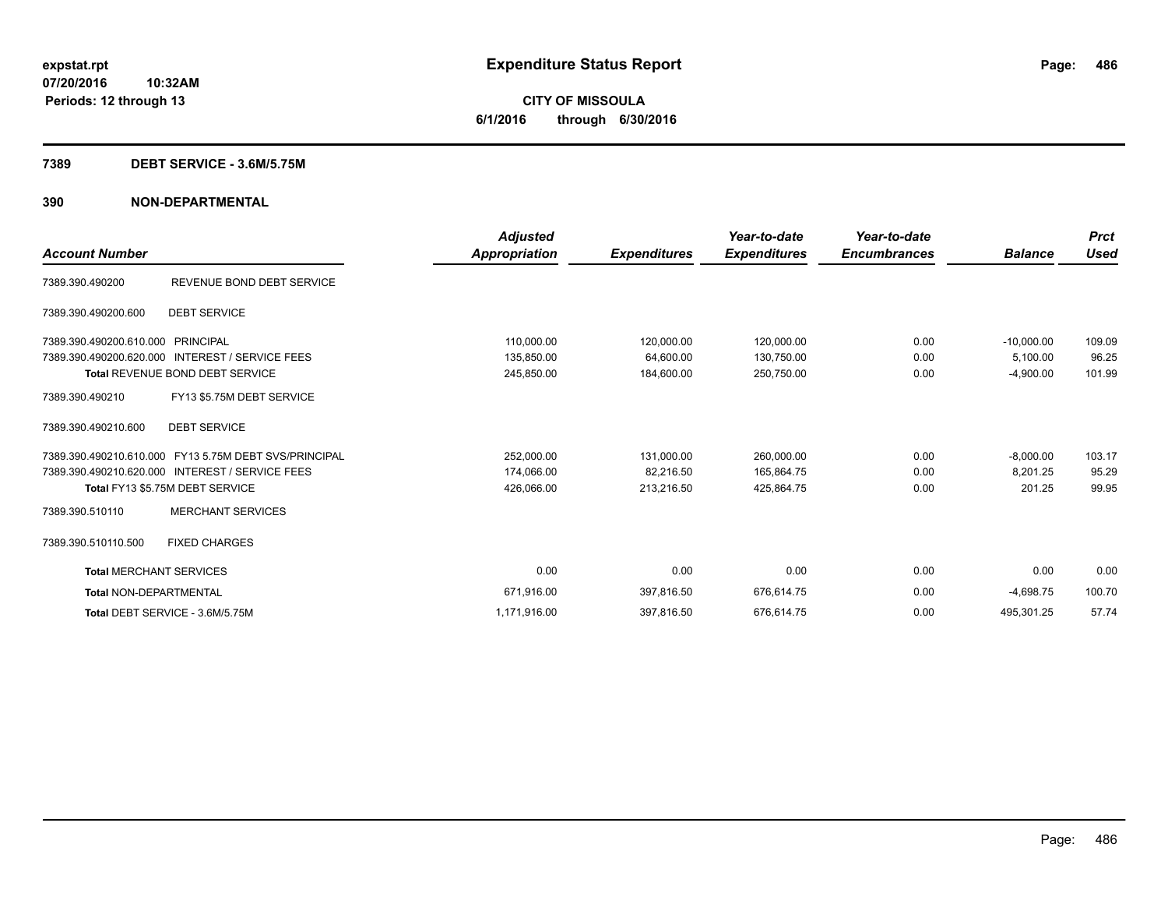# **CITY OF MISSOULA 6/1/2016 through 6/30/2016**

#### **7389 DEBT SERVICE - 3.6M/5.75M**

### **390 NON-DEPARTMENTAL**

|                                |                                                       | <b>Adjusted</b>      |                     | Year-to-date        | Year-to-date        |                | <b>Prct</b> |
|--------------------------------|-------------------------------------------------------|----------------------|---------------------|---------------------|---------------------|----------------|-------------|
| <b>Account Number</b>          |                                                       | <b>Appropriation</b> | <b>Expenditures</b> | <b>Expenditures</b> | <b>Encumbrances</b> | <b>Balance</b> | <b>Used</b> |
| 7389.390.490200                | REVENUE BOND DEBT SERVICE                             |                      |                     |                     |                     |                |             |
| 7389.390.490200.600            | <b>DEBT SERVICE</b>                                   |                      |                     |                     |                     |                |             |
| 7389.390.490200.610.000        | PRINCIPAL                                             | 110,000.00           | 120,000.00          | 120,000.00          | 0.00                | $-10.000.00$   | 109.09      |
| 7389.390.490200.620.000        | <b>INTEREST / SERVICE FEES</b>                        | 135,850.00           | 64,600.00           | 130,750.00          | 0.00                | 5,100.00       | 96.25       |
|                                | <b>Total REVENUE BOND DEBT SERVICE</b>                | 245,850.00           | 184,600.00          | 250,750.00          | 0.00                | $-4,900.00$    | 101.99      |
| 7389.390.490210                | FY13 \$5.75M DEBT SERVICE                             |                      |                     |                     |                     |                |             |
| 7389.390.490210.600            | <b>DEBT SERVICE</b>                                   |                      |                     |                     |                     |                |             |
|                                | 7389.390.490210.610.000 FY13 5.75M DEBT SVS/PRINCIPAL | 252,000.00           | 131,000.00          | 260,000.00          | 0.00                | $-8,000.00$    | 103.17      |
|                                | 7389.390.490210.620.000 INTEREST / SERVICE FEES       | 174,066.00           | 82,216.50           | 165,864.75          | 0.00                | 8,201.25       | 95.29       |
|                                | Total FY13 \$5.75M DEBT SERVICE                       | 426,066.00           | 213,216.50          | 425,864.75          | 0.00                | 201.25         | 99.95       |
| 7389.390.510110                | <b>MERCHANT SERVICES</b>                              |                      |                     |                     |                     |                |             |
| 7389.390.510110.500            | <b>FIXED CHARGES</b>                                  |                      |                     |                     |                     |                |             |
| <b>Total MERCHANT SERVICES</b> |                                                       | 0.00                 | 0.00                | 0.00                | 0.00                | 0.00           | 0.00        |
| <b>Total NON-DEPARTMENTAL</b>  |                                                       | 671,916.00           | 397,816.50          | 676,614.75          | 0.00                | $-4,698.75$    | 100.70      |
|                                | Total DEBT SERVICE - 3.6M/5.75M                       | 1,171,916.00         | 397,816.50          | 676,614.75          | 0.00                | 495,301.25     | 57.74       |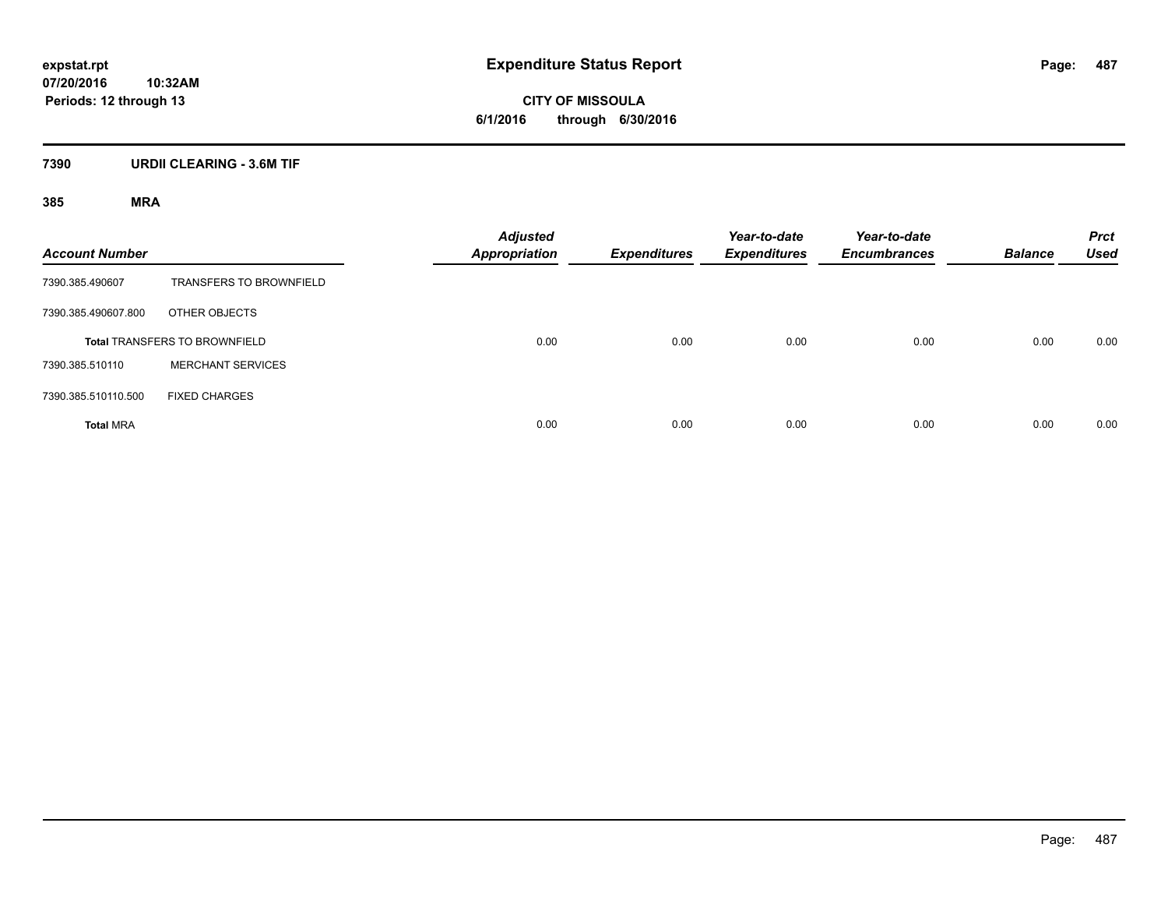**CITY OF MISSOULA 6/1/2016 through 6/30/2016**

### **7390 URDII CLEARING - 3.6M TIF**

| <b>Account Number</b> |                                      | <b>Adjusted</b><br><b>Appropriation</b> | <b>Expenditures</b> | Year-to-date<br><b>Expenditures</b> | Year-to-date<br><b>Encumbrances</b> | <b>Balance</b> | <b>Prct</b><br><b>Used</b> |
|-----------------------|--------------------------------------|-----------------------------------------|---------------------|-------------------------------------|-------------------------------------|----------------|----------------------------|
| 7390.385.490607       | <b>TRANSFERS TO BROWNFIELD</b>       |                                         |                     |                                     |                                     |                |                            |
| 7390.385.490607.800   | OTHER OBJECTS                        |                                         |                     |                                     |                                     |                |                            |
|                       | <b>Total TRANSFERS TO BROWNFIELD</b> | 0.00                                    | 0.00                | 0.00                                | 0.00                                | 0.00           | 0.00                       |
| 7390.385.510110       | <b>MERCHANT SERVICES</b>             |                                         |                     |                                     |                                     |                |                            |
| 7390.385.510110.500   | <b>FIXED CHARGES</b>                 |                                         |                     |                                     |                                     |                |                            |
| <b>Total MRA</b>      |                                      | 0.00                                    | 0.00                | 0.00                                | 0.00                                | 0.00           | 0.00                       |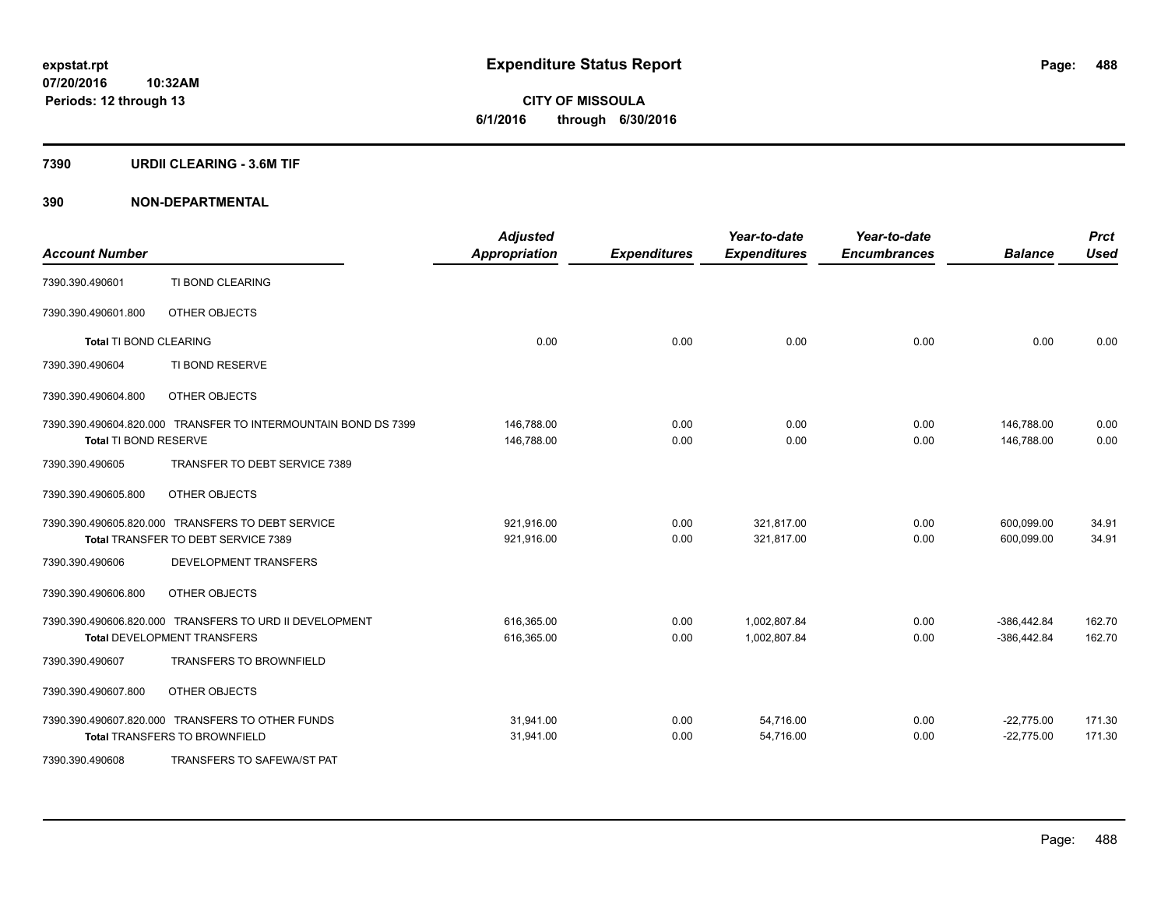**Periods: 12 through 13**

**CITY OF MISSOULA 6/1/2016 through 6/30/2016**

#### **7390 URDII CLEARING - 3.6M TIF**

**10:32AM**

### **390 NON-DEPARTMENTAL**

| <b>Account Number</b>  |                                                                | <b>Adjusted</b><br><b>Appropriation</b> | <b>Expenditures</b> | Year-to-date<br><b>Expenditures</b> | Year-to-date<br><b>Encumbrances</b> | <b>Balance</b> | <b>Prct</b><br><b>Used</b> |
|------------------------|----------------------------------------------------------------|-----------------------------------------|---------------------|-------------------------------------|-------------------------------------|----------------|----------------------------|
| 7390.390.490601        | TI BOND CLEARING                                               |                                         |                     |                                     |                                     |                |                            |
| 7390.390.490601.800    | OTHER OBJECTS                                                  |                                         |                     |                                     |                                     |                |                            |
| Total TI BOND CLEARING |                                                                | 0.00                                    | 0.00                | 0.00                                | 0.00                                | 0.00           | 0.00                       |
| 7390.390.490604        | TI BOND RESERVE                                                |                                         |                     |                                     |                                     |                |                            |
| 7390.390.490604.800    | OTHER OBJECTS                                                  |                                         |                     |                                     |                                     |                |                            |
|                        | 7390.390.490604.820.000 TRANSFER TO INTERMOUNTAIN BOND DS 7399 | 146,788.00                              | 0.00                | 0.00                                | 0.00                                | 146,788.00     | 0.00                       |
| Total TI BOND RESERVE  |                                                                | 146.788.00                              | 0.00                | 0.00                                | 0.00                                | 146.788.00     | 0.00                       |
| 7390.390.490605        | TRANSFER TO DEBT SERVICE 7389                                  |                                         |                     |                                     |                                     |                |                            |
| 7390.390.490605.800    | OTHER OBJECTS                                                  |                                         |                     |                                     |                                     |                |                            |
|                        | 7390.390.490605.820.000 TRANSFERS TO DEBT SERVICE              | 921,916.00                              | 0.00                | 321.817.00                          | 0.00                                | 600,099.00     | 34.91                      |
|                        | Total TRANSFER TO DEBT SERVICE 7389                            | 921,916.00                              | 0.00                | 321,817.00                          | 0.00                                | 600.099.00     | 34.91                      |
| 7390.390.490606        | <b>DEVELOPMENT TRANSFERS</b>                                   |                                         |                     |                                     |                                     |                |                            |
| 7390.390.490606.800    | OTHER OBJECTS                                                  |                                         |                     |                                     |                                     |                |                            |
|                        | 7390.390.490606.820.000 TRANSFERS TO URD II DEVELOPMENT        | 616,365.00                              | 0.00                | 1,002,807.84                        | 0.00                                | $-386,442.84$  | 162.70                     |
|                        | <b>Total DEVELOPMENT TRANSFERS</b>                             | 616,365.00                              | 0.00                | 1,002,807.84                        | 0.00                                | $-386,442.84$  | 162.70                     |
| 7390.390.490607        | <b>TRANSFERS TO BROWNFIELD</b>                                 |                                         |                     |                                     |                                     |                |                            |
| 7390.390.490607.800    | OTHER OBJECTS                                                  |                                         |                     |                                     |                                     |                |                            |
|                        | 7390.390.490607.820.000 TRANSFERS TO OTHER FUNDS               | 31,941.00                               | 0.00                | 54,716.00                           | 0.00                                | $-22,775.00$   | 171.30                     |
|                        | <b>Total TRANSFERS TO BROWNFIELD</b>                           | 31,941.00                               | 0.00                | 54,716.00                           | 0.00                                | $-22,775.00$   | 171.30                     |
| 7390.390.490608        | TRANSFERS TO SAFEWA/ST PAT                                     |                                         |                     |                                     |                                     |                |                            |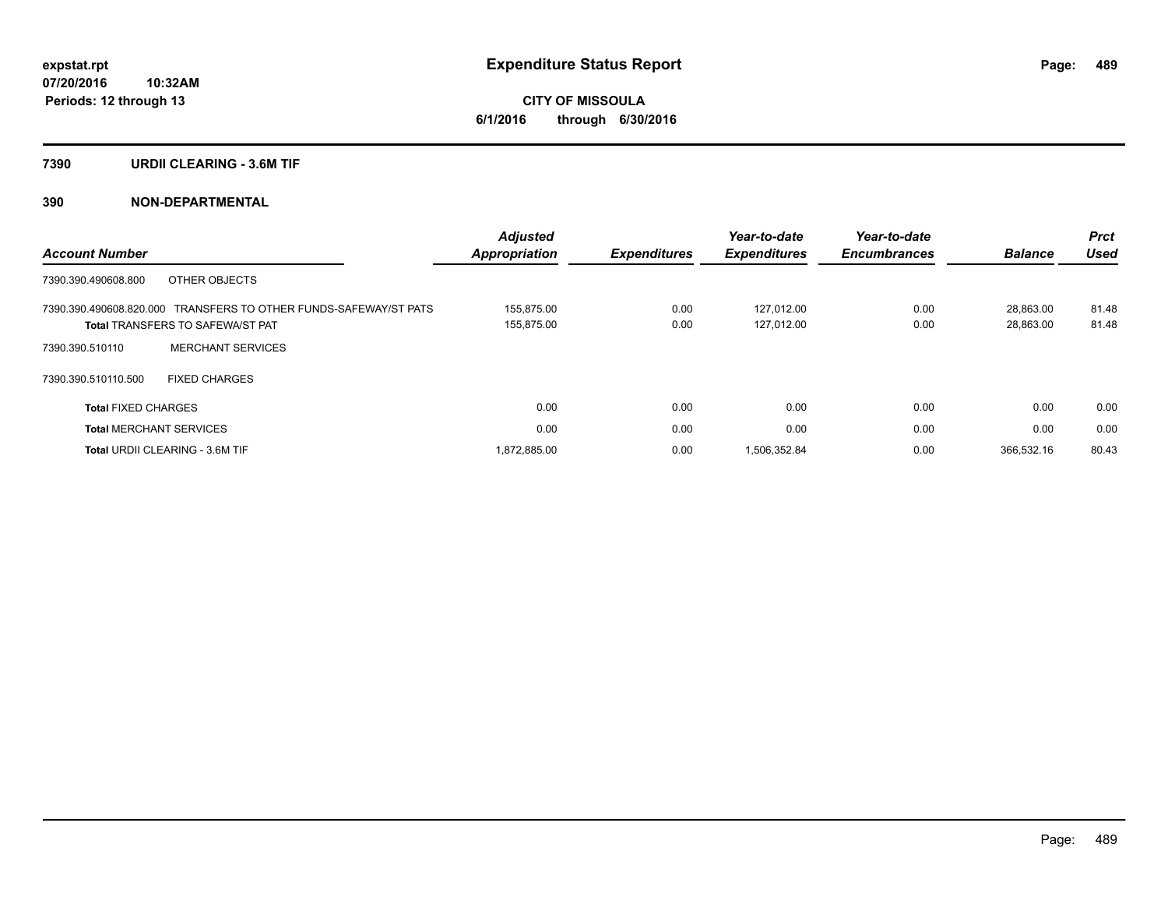**CITY OF MISSOULA 6/1/2016 through 6/30/2016**

#### **7390 URDII CLEARING - 3.6M TIF**

### **390 NON-DEPARTMENTAL**

|                                                                  | Adjusted      |                     | Year-to-date        | Year-to-date        |                | <b>Prct</b> |
|------------------------------------------------------------------|---------------|---------------------|---------------------|---------------------|----------------|-------------|
| <b>Account Number</b>                                            | Appropriation | <b>Expenditures</b> | <b>Expenditures</b> | <b>Encumbrances</b> | <b>Balance</b> | <b>Used</b> |
| OTHER OBJECTS<br>7390.390.490608.800                             |               |                     |                     |                     |                |             |
| 7390.390.490608.820.000 TRANSFERS TO OTHER FUNDS-SAFEWAY/ST PATS | 155.875.00    | 0.00                | 127.012.00          | 0.00                | 28.863.00      | 81.48       |
| <b>Total TRANSFERS TO SAFEWA/ST PAT</b>                          | 155,875.00    | 0.00                | 127,012.00          | 0.00                | 28,863.00      | 81.48       |
| <b>MERCHANT SERVICES</b><br>7390.390.510110                      |               |                     |                     |                     |                |             |
| <b>FIXED CHARGES</b><br>7390.390.510110.500                      |               |                     |                     |                     |                |             |
| <b>Total FIXED CHARGES</b>                                       | 0.00          | 0.00                | 0.00                | 0.00                | 0.00           | 0.00        |
| <b>Total MERCHANT SERVICES</b>                                   | 0.00          | 0.00                | 0.00                | 0.00                | 0.00           | 0.00        |
| Total URDII CLEARING - 3.6M TIF                                  | 1,872,885.00  | 0.00                | 1,506,352.84        | 0.00                | 366.532.16     | 80.43       |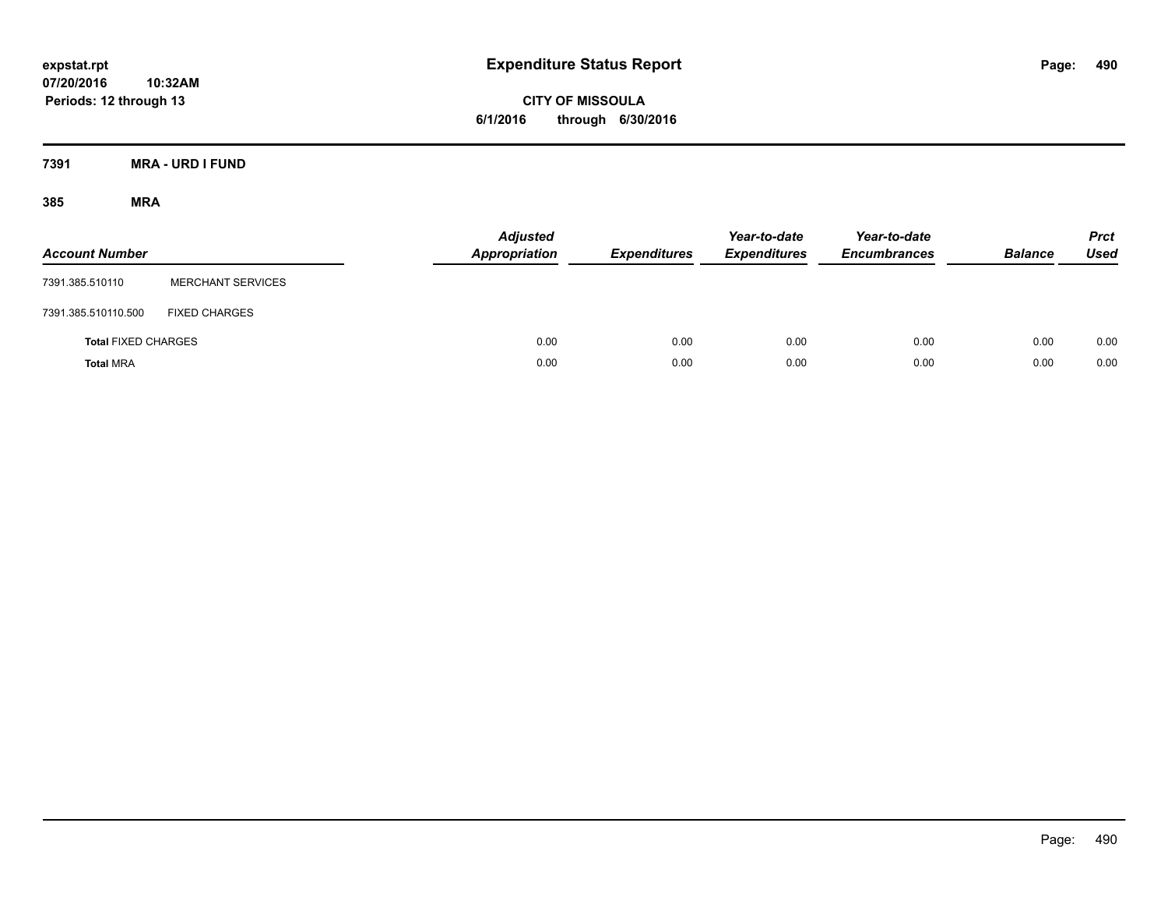**CITY OF MISSOULA 6/1/2016 through 6/30/2016**

**7391 MRA - URD I FUND**

| <b>Account Number</b>      |                          | <b>Adjusted</b><br>Appropriation | <b>Expenditures</b> | Year-to-date<br><b>Expenditures</b> | Year-to-date<br><b>Encumbrances</b> | <b>Balance</b> | <b>Prct</b><br><b>Used</b> |
|----------------------------|--------------------------|----------------------------------|---------------------|-------------------------------------|-------------------------------------|----------------|----------------------------|
| 7391.385.510110            | <b>MERCHANT SERVICES</b> |                                  |                     |                                     |                                     |                |                            |
| 7391.385.510110.500        | <b>FIXED CHARGES</b>     |                                  |                     |                                     |                                     |                |                            |
| <b>Total FIXED CHARGES</b> |                          | 0.00                             | 0.00                | 0.00                                | 0.00                                | 0.00           | 0.00                       |
| <b>Total MRA</b>           |                          | 0.00                             | 0.00                | 0.00                                | 0.00                                | 0.00           | 0.00                       |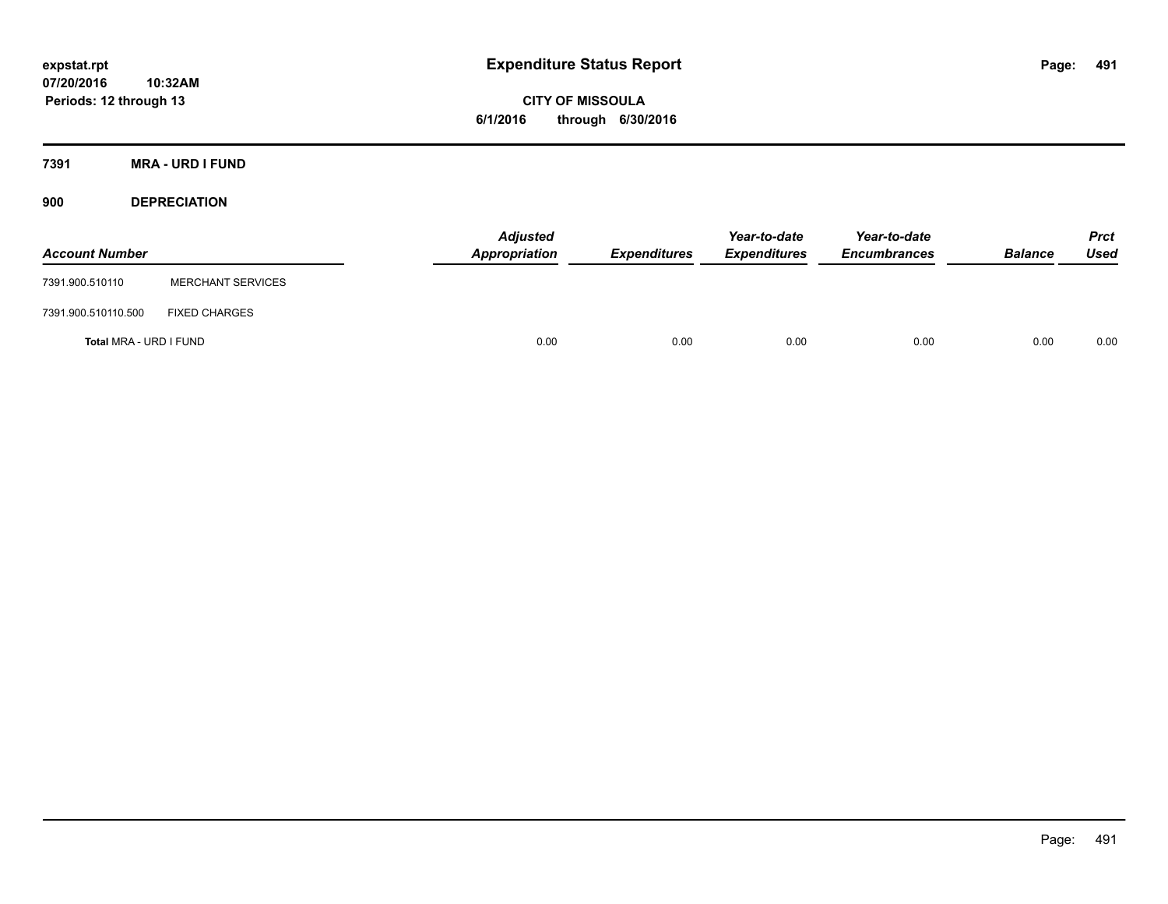**CITY OF MISSOULA 6/1/2016 through 6/30/2016**

**7391 MRA - URD I FUND**

**900 DEPRECIATION**

| <b>Account Number</b>  |                          | Adjusted<br>Appropriation | <b>Expenditures</b> | Year-to-date<br><b>Expenditures</b> | Year-to-date<br><b>Encumbrances</b> | <b>Balance</b> | Prct<br><b>Used</b> |
|------------------------|--------------------------|---------------------------|---------------------|-------------------------------------|-------------------------------------|----------------|---------------------|
| 7391.900.510110        | <b>MERCHANT SERVICES</b> |                           |                     |                                     |                                     |                |                     |
| 7391.900.510110.500    | <b>FIXED CHARGES</b>     |                           |                     |                                     |                                     |                |                     |
| Total MRA - URD I FUND |                          | 0.00                      | 0.00                | 0.00                                | 0.00                                | 0.00           | 0.00                |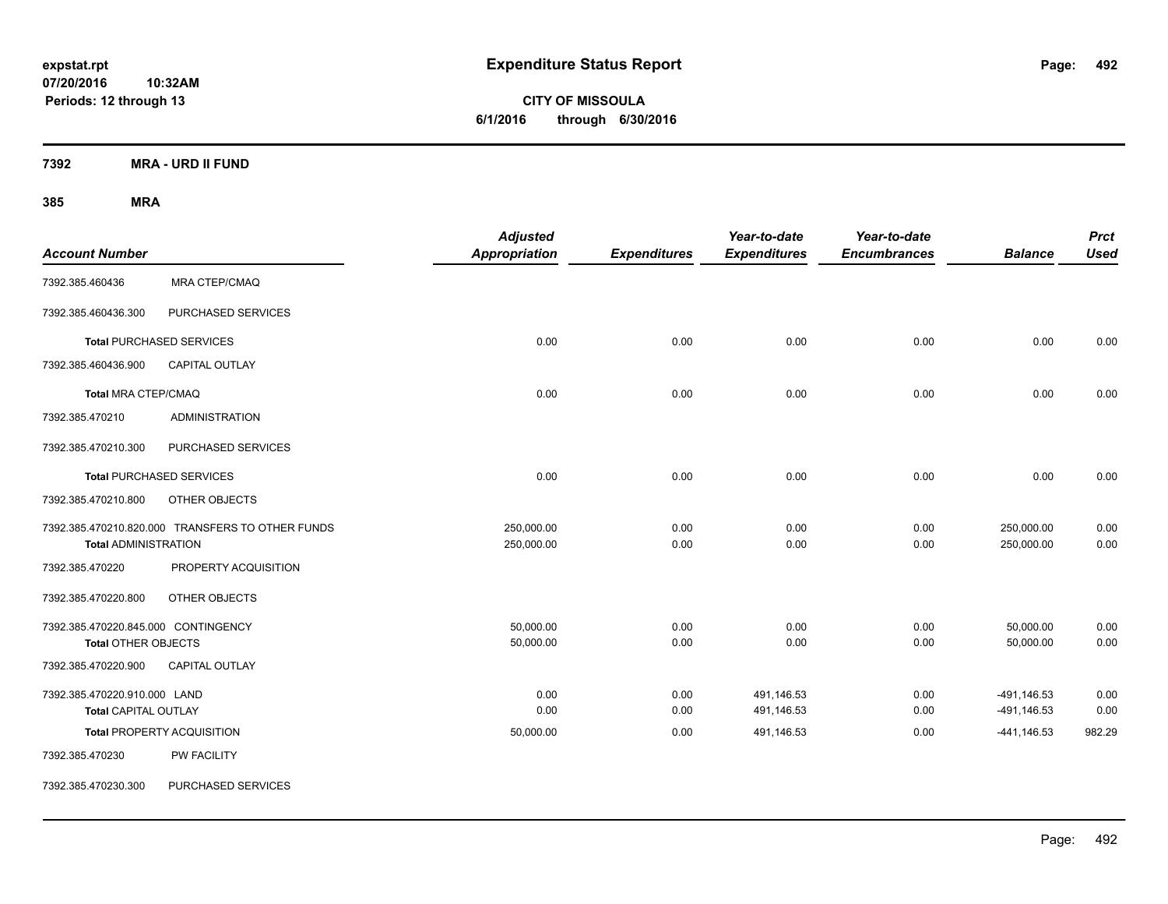**CITY OF MISSOULA 6/1/2016 through 6/30/2016**

**7392 MRA - URD II FUND**

| <b>Account Number</b>                                             |                                                  | <b>Adjusted</b><br><b>Appropriation</b> | <b>Expenditures</b> | Year-to-date<br><b>Expenditures</b> | Year-to-date<br><b>Encumbrances</b> | <b>Balance</b>                | <b>Prct</b><br><b>Used</b> |
|-------------------------------------------------------------------|--------------------------------------------------|-----------------------------------------|---------------------|-------------------------------------|-------------------------------------|-------------------------------|----------------------------|
| 7392.385.460436                                                   | <b>MRA CTEP/CMAQ</b>                             |                                         |                     |                                     |                                     |                               |                            |
| 7392.385.460436.300                                               | PURCHASED SERVICES                               |                                         |                     |                                     |                                     |                               |                            |
|                                                                   | <b>Total PURCHASED SERVICES</b>                  | 0.00                                    | 0.00                | 0.00                                | 0.00                                | 0.00                          | 0.00                       |
| 7392.385.460436.900                                               | <b>CAPITAL OUTLAY</b>                            |                                         |                     |                                     |                                     |                               |                            |
| Total MRA CTEP/CMAQ                                               |                                                  | 0.00                                    | 0.00                | 0.00                                | 0.00                                | 0.00                          | 0.00                       |
| 7392.385.470210                                                   | <b>ADMINISTRATION</b>                            |                                         |                     |                                     |                                     |                               |                            |
| 7392.385.470210.300                                               | PURCHASED SERVICES                               |                                         |                     |                                     |                                     |                               |                            |
|                                                                   | <b>Total PURCHASED SERVICES</b>                  | 0.00                                    | 0.00                | 0.00                                | 0.00                                | 0.00                          | 0.00                       |
| 7392.385.470210.800                                               | OTHER OBJECTS                                    |                                         |                     |                                     |                                     |                               |                            |
| <b>Total ADMINISTRATION</b>                                       | 7392.385.470210.820.000 TRANSFERS TO OTHER FUNDS | 250,000.00<br>250,000.00                | 0.00<br>0.00        | 0.00<br>0.00                        | 0.00<br>0.00                        | 250,000.00<br>250,000.00      | 0.00<br>0.00               |
| 7392.385.470220                                                   | PROPERTY ACQUISITION                             |                                         |                     |                                     |                                     |                               |                            |
| 7392.385.470220.800                                               | OTHER OBJECTS                                    |                                         |                     |                                     |                                     |                               |                            |
| 7392.385.470220.845.000 CONTINGENCY<br><b>Total OTHER OBJECTS</b> |                                                  | 50,000.00<br>50,000.00                  | 0.00<br>0.00        | 0.00<br>0.00                        | 0.00<br>0.00                        | 50,000.00<br>50,000.00        | 0.00<br>0.00               |
| 7392.385.470220.900                                               | <b>CAPITAL OUTLAY</b>                            |                                         |                     |                                     |                                     |                               |                            |
| 7392.385.470220.910.000 LAND<br><b>Total CAPITAL OUTLAY</b>       |                                                  | 0.00<br>0.00                            | 0.00<br>0.00        | 491,146.53<br>491,146.53            | 0.00<br>0.00                        | $-491, 146.53$<br>-491,146.53 | 0.00<br>0.00               |
|                                                                   | Total PROPERTY ACQUISITION                       | 50,000.00                               | 0.00                | 491,146.53                          | 0.00                                | $-441,146.53$                 | 982.29                     |
| 7392.385.470230                                                   | PW FACILITY                                      |                                         |                     |                                     |                                     |                               |                            |
| 7392.385.470230.300                                               | PURCHASED SERVICES                               |                                         |                     |                                     |                                     |                               |                            |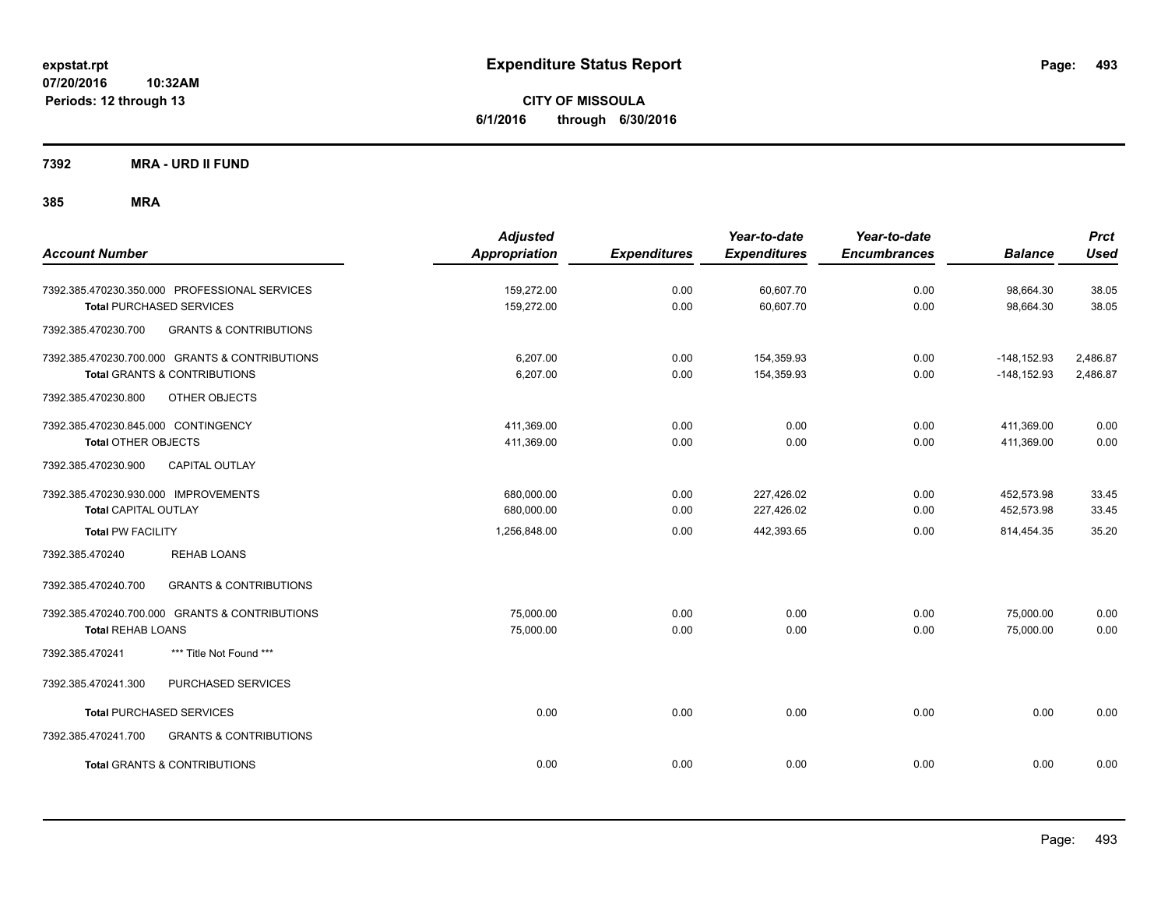**CITY OF MISSOULA 6/1/2016 through 6/30/2016**

**7392 MRA - URD II FUND**

| <b>Account Number</b>                                                                                                                                     | <b>Adjusted</b><br><b>Appropriation</b>  | <b>Expenditures</b>  | Year-to-date<br><b>Expenditures</b>    | Year-to-date<br><b>Encumbrances</b> | <b>Balance</b>                         | <b>Prct</b><br><b>Used</b> |
|-----------------------------------------------------------------------------------------------------------------------------------------------------------|------------------------------------------|----------------------|----------------------------------------|-------------------------------------|----------------------------------------|----------------------------|
| 7392.385.470230.350.000 PROFESSIONAL SERVICES<br><b>Total PURCHASED SERVICES</b>                                                                          | 159,272.00<br>159,272.00                 | 0.00<br>0.00         | 60,607.70<br>60,607.70                 | 0.00<br>0.00                        | 98,664.30<br>98,664.30                 | 38.05<br>38.05             |
| 7392.385.470230.700<br><b>GRANTS &amp; CONTRIBUTIONS</b>                                                                                                  |                                          |                      |                                        |                                     |                                        |                            |
| 7392.385.470230.700.000 GRANTS & CONTRIBUTIONS<br><b>Total GRANTS &amp; CONTRIBUTIONS</b>                                                                 | 6,207.00<br>6,207.00                     | 0.00<br>0.00         | 154,359.93<br>154,359.93               | 0.00<br>0.00                        | $-148, 152.93$<br>$-148, 152.93$       | 2,486.87<br>2,486.87       |
| 7392.385.470230.800<br>OTHER OBJECTS<br>7392.385.470230.845.000 CONTINGENCY<br><b>Total OTHER OBJECTS</b><br>7392.385.470230.900<br><b>CAPITAL OUTLAY</b> | 411,369.00<br>411,369.00                 | 0.00<br>0.00         | 0.00<br>0.00                           | 0.00<br>0.00                        | 411,369.00<br>411,369.00               | 0.00<br>0.00               |
| 7392.385.470230.930.000 IMPROVEMENTS<br><b>Total CAPITAL OUTLAY</b><br><b>Total PW FACILITY</b>                                                           | 680,000.00<br>680,000.00<br>1,256,848.00 | 0.00<br>0.00<br>0.00 | 227,426.02<br>227,426.02<br>442,393.65 | 0.00<br>0.00<br>0.00                | 452,573.98<br>452,573.98<br>814,454.35 | 33.45<br>33.45<br>35.20    |
| <b>REHAB LOANS</b><br>7392.385.470240                                                                                                                     |                                          |                      |                                        |                                     |                                        |                            |
| 7392.385.470240.700<br><b>GRANTS &amp; CONTRIBUTIONS</b>                                                                                                  |                                          |                      |                                        |                                     |                                        |                            |
| 7392.385.470240.700.000 GRANTS & CONTRIBUTIONS<br><b>Total REHAB LOANS</b>                                                                                | 75,000.00<br>75,000.00                   | 0.00<br>0.00         | 0.00<br>0.00                           | 0.00<br>0.00                        | 75,000.00<br>75,000.00                 | 0.00<br>0.00               |
| *** Title Not Found ***<br>7392.385.470241                                                                                                                |                                          |                      |                                        |                                     |                                        |                            |
| 7392.385.470241.300<br>PURCHASED SERVICES                                                                                                                 |                                          |                      |                                        |                                     |                                        |                            |
| <b>Total PURCHASED SERVICES</b>                                                                                                                           | 0.00                                     | 0.00                 | 0.00                                   | 0.00                                | 0.00                                   | 0.00                       |
| 7392.385.470241.700<br><b>GRANTS &amp; CONTRIBUTIONS</b>                                                                                                  |                                          |                      |                                        |                                     |                                        |                            |
| <b>Total GRANTS &amp; CONTRIBUTIONS</b>                                                                                                                   | 0.00                                     | 0.00                 | 0.00                                   | 0.00                                | 0.00                                   | 0.00                       |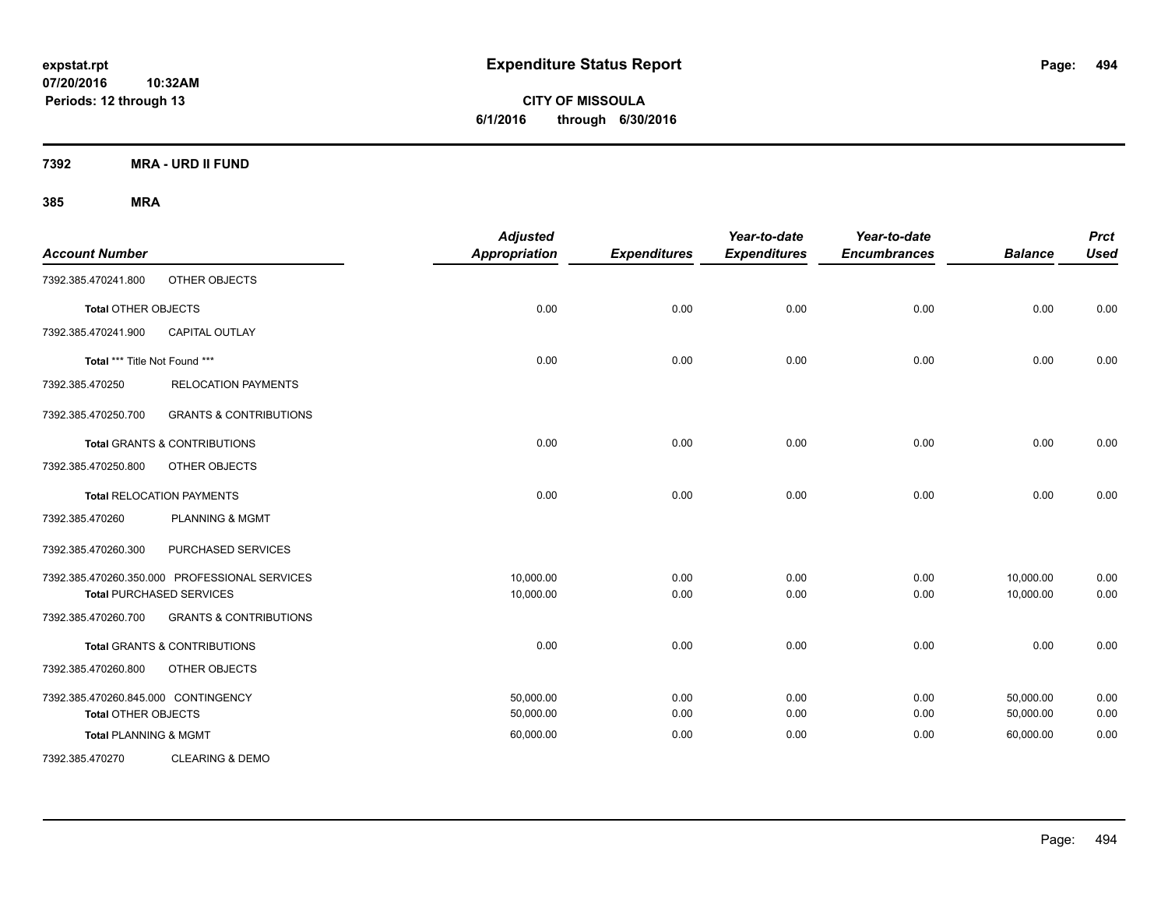**CITY OF MISSOULA 6/1/2016 through 6/30/2016**

**7392 MRA - URD II FUND**

| <b>Account Number</b>               |                                               | <b>Adjusted</b><br><b>Appropriation</b> | <b>Expenditures</b> | Year-to-date<br><b>Expenditures</b> | Year-to-date<br><b>Encumbrances</b> | <b>Balance</b> | <b>Prct</b><br><b>Used</b> |
|-------------------------------------|-----------------------------------------------|-----------------------------------------|---------------------|-------------------------------------|-------------------------------------|----------------|----------------------------|
| 7392.385.470241.800                 | OTHER OBJECTS                                 |                                         |                     |                                     |                                     |                |                            |
| <b>Total OTHER OBJECTS</b>          |                                               | 0.00                                    | 0.00                | 0.00                                | 0.00                                | 0.00           | 0.00                       |
| 7392.385.470241.900                 | <b>CAPITAL OUTLAY</b>                         |                                         |                     |                                     |                                     |                |                            |
| Total *** Title Not Found ***       |                                               | 0.00                                    | 0.00                | 0.00                                | 0.00                                | 0.00           | 0.00                       |
| 7392.385.470250                     | <b>RELOCATION PAYMENTS</b>                    |                                         |                     |                                     |                                     |                |                            |
| 7392.385.470250.700                 | <b>GRANTS &amp; CONTRIBUTIONS</b>             |                                         |                     |                                     |                                     |                |                            |
|                                     | <b>Total GRANTS &amp; CONTRIBUTIONS</b>       | 0.00                                    | 0.00                | 0.00                                | 0.00                                | 0.00           | 0.00                       |
| 7392.385.470250.800                 | OTHER OBJECTS                                 |                                         |                     |                                     |                                     |                |                            |
|                                     | <b>Total RELOCATION PAYMENTS</b>              | 0.00                                    | 0.00                | 0.00                                | 0.00                                | 0.00           | 0.00                       |
| 7392.385.470260                     | <b>PLANNING &amp; MGMT</b>                    |                                         |                     |                                     |                                     |                |                            |
| 7392.385.470260.300                 | PURCHASED SERVICES                            |                                         |                     |                                     |                                     |                |                            |
|                                     | 7392.385.470260.350.000 PROFESSIONAL SERVICES | 10,000.00                               | 0.00                | 0.00                                | 0.00                                | 10,000.00      | 0.00                       |
|                                     | <b>Total PURCHASED SERVICES</b>               | 10,000.00                               | 0.00                | 0.00                                | 0.00                                | 10,000.00      | 0.00                       |
| 7392.385.470260.700                 | <b>GRANTS &amp; CONTRIBUTIONS</b>             |                                         |                     |                                     |                                     |                |                            |
|                                     | <b>Total GRANTS &amp; CONTRIBUTIONS</b>       | 0.00                                    | 0.00                | 0.00                                | 0.00                                | 0.00           | 0.00                       |
| 7392.385.470260.800                 | OTHER OBJECTS                                 |                                         |                     |                                     |                                     |                |                            |
| 7392.385.470260.845.000 CONTINGENCY |                                               | 50.000.00                               | 0.00                | 0.00                                | 0.00                                | 50.000.00      | 0.00                       |
| <b>Total OTHER OBJECTS</b>          |                                               | 50,000.00                               | 0.00                | 0.00                                | 0.00                                | 50,000.00      | 0.00                       |
| <b>Total PLANNING &amp; MGMT</b>    |                                               | 60,000.00                               | 0.00                | 0.00                                | 0.00                                | 60,000.00      | 0.00                       |
| 7392.385.470270                     | <b>CLEARING &amp; DEMO</b>                    |                                         |                     |                                     |                                     |                |                            |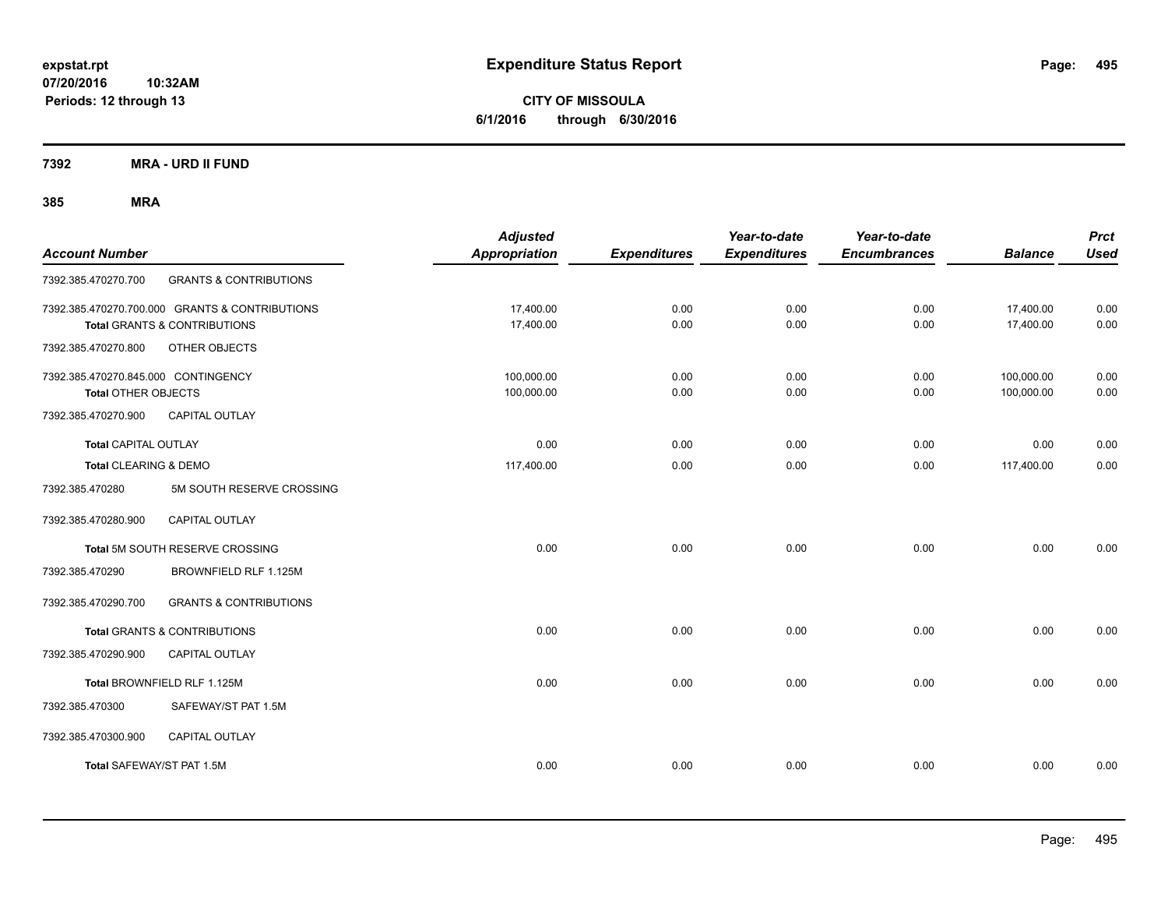**CITY OF MISSOULA 6/1/2016 through 6/30/2016**

**7392 MRA - URD II FUND**

| <b>Account Number</b>                                             |                                                                                           | <b>Adjusted</b><br><b>Appropriation</b> | <b>Expenditures</b> | Year-to-date<br><b>Expenditures</b> | Year-to-date<br><b>Encumbrances</b> | <b>Balance</b>           | <b>Prct</b><br><b>Used</b> |
|-------------------------------------------------------------------|-------------------------------------------------------------------------------------------|-----------------------------------------|---------------------|-------------------------------------|-------------------------------------|--------------------------|----------------------------|
| 7392.385.470270.700                                               | <b>GRANTS &amp; CONTRIBUTIONS</b>                                                         |                                         |                     |                                     |                                     |                          |                            |
|                                                                   | 7392.385.470270.700.000 GRANTS & CONTRIBUTIONS<br><b>Total GRANTS &amp; CONTRIBUTIONS</b> | 17,400.00<br>17,400.00                  | 0.00<br>0.00        | 0.00<br>0.00                        | 0.00<br>0.00                        | 17,400.00<br>17,400.00   | 0.00<br>0.00               |
| 7392.385.470270.800                                               | OTHER OBJECTS                                                                             |                                         |                     |                                     |                                     |                          |                            |
| 7392.385.470270.845.000 CONTINGENCY<br><b>Total OTHER OBJECTS</b> |                                                                                           | 100,000.00<br>100,000.00                | 0.00<br>0.00        | 0.00<br>0.00                        | 0.00<br>0.00                        | 100,000.00<br>100,000.00 | 0.00<br>0.00               |
| 7392.385.470270.900                                               | CAPITAL OUTLAY                                                                            |                                         |                     |                                     |                                     |                          |                            |
| Total CAPITAL OUTLAY                                              |                                                                                           | 0.00                                    | 0.00                | 0.00                                | 0.00                                | 0.00                     | 0.00                       |
| Total CLEARING & DEMO                                             |                                                                                           | 117,400.00                              | 0.00                | 0.00                                | 0.00                                | 117,400.00               | 0.00                       |
| 7392.385.470280                                                   | 5M SOUTH RESERVE CROSSING                                                                 |                                         |                     |                                     |                                     |                          |                            |
| 7392.385.470280.900                                               | <b>CAPITAL OUTLAY</b>                                                                     |                                         |                     |                                     |                                     |                          |                            |
|                                                                   | Total 5M SOUTH RESERVE CROSSING                                                           | 0.00                                    | 0.00                | 0.00                                | 0.00                                | 0.00                     | 0.00                       |
| 7392.385.470290                                                   | BROWNFIELD RLF 1.125M                                                                     |                                         |                     |                                     |                                     |                          |                            |
| 7392.385.470290.700                                               | <b>GRANTS &amp; CONTRIBUTIONS</b>                                                         |                                         |                     |                                     |                                     |                          |                            |
|                                                                   | <b>Total GRANTS &amp; CONTRIBUTIONS</b>                                                   | 0.00                                    | 0.00                | 0.00                                | 0.00                                | 0.00                     | 0.00                       |
| 7392.385.470290.900                                               | <b>CAPITAL OUTLAY</b>                                                                     |                                         |                     |                                     |                                     |                          |                            |
|                                                                   | Total BROWNFIELD RLF 1.125M                                                               | 0.00                                    | 0.00                | 0.00                                | 0.00                                | 0.00                     | 0.00                       |
| 7392.385.470300                                                   | SAFEWAY/ST PAT 1.5M                                                                       |                                         |                     |                                     |                                     |                          |                            |
| 7392.385.470300.900                                               | <b>CAPITAL OUTLAY</b>                                                                     |                                         |                     |                                     |                                     |                          |                            |
| Total SAFEWAY/ST PAT 1.5M                                         |                                                                                           | 0.00                                    | 0.00                | 0.00                                | 0.00                                | 0.00                     | 0.00                       |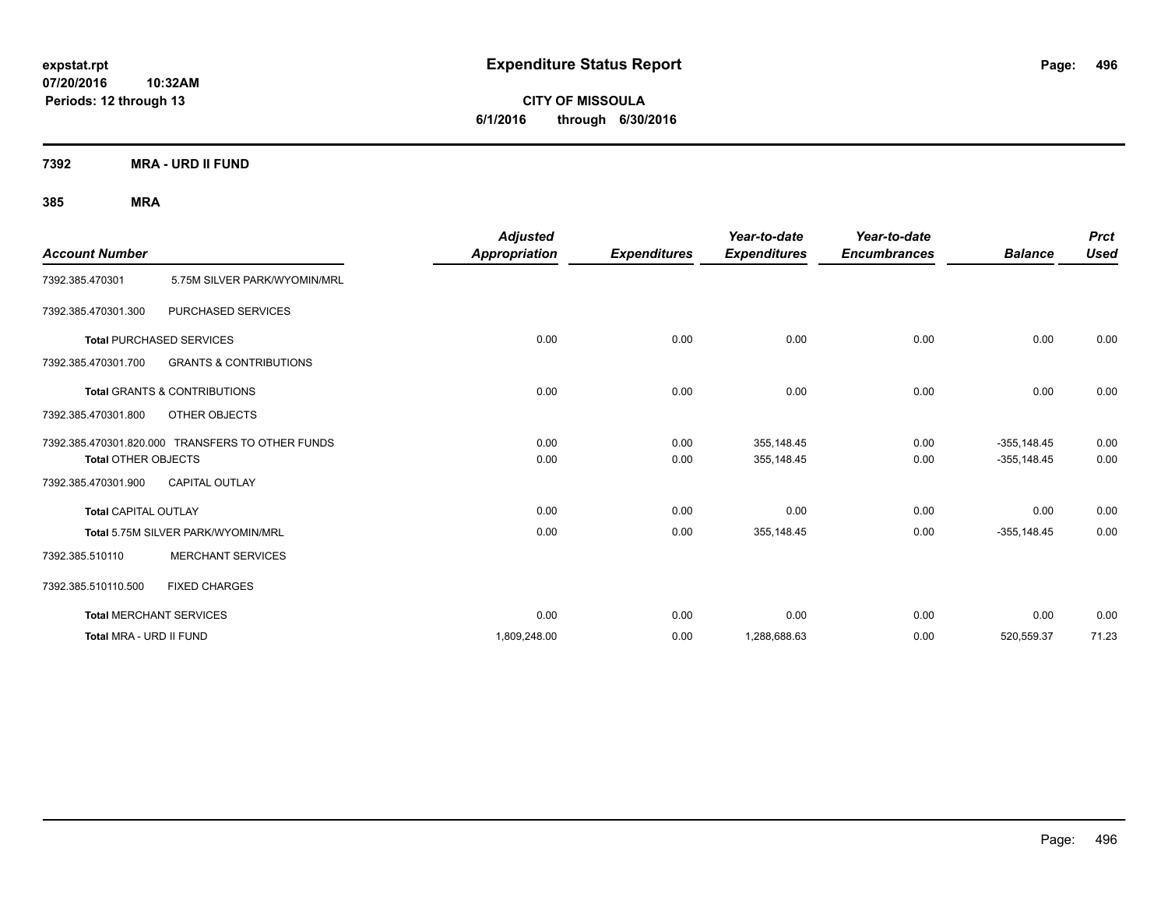**CITY OF MISSOULA 6/1/2016 through 6/30/2016**

**7392 MRA - URD II FUND**

| <b>Account Number</b>      |                                                  | <b>Adjusted</b><br>Appropriation | <b>Expenditures</b> | Year-to-date<br><b>Expenditures</b> | Year-to-date<br><b>Encumbrances</b> | <b>Balance</b>                  | <b>Prct</b><br><b>Used</b> |
|----------------------------|--------------------------------------------------|----------------------------------|---------------------|-------------------------------------|-------------------------------------|---------------------------------|----------------------------|
| 7392.385.470301            | 5.75M SILVER PARK/WYOMIN/MRL                     |                                  |                     |                                     |                                     |                                 |                            |
| 7392.385.470301.300        | PURCHASED SERVICES                               |                                  |                     |                                     |                                     |                                 |                            |
|                            | <b>Total PURCHASED SERVICES</b>                  | 0.00                             | 0.00                | 0.00                                | 0.00                                | 0.00                            | 0.00                       |
| 7392.385.470301.700        | <b>GRANTS &amp; CONTRIBUTIONS</b>                |                                  |                     |                                     |                                     |                                 |                            |
|                            | <b>Total GRANTS &amp; CONTRIBUTIONS</b>          | 0.00                             | 0.00                | 0.00                                | 0.00                                | 0.00                            | 0.00                       |
| 7392.385.470301.800        | OTHER OBJECTS                                    |                                  |                     |                                     |                                     |                                 |                            |
| <b>Total OTHER OBJECTS</b> | 7392.385.470301.820.000 TRANSFERS TO OTHER FUNDS | 0.00<br>0.00                     | 0.00<br>0.00        | 355,148.45<br>355,148.45            | 0.00<br>0.00                        | $-355, 148.45$<br>$-355,148.45$ | 0.00<br>0.00               |
| 7392.385.470301.900        | <b>CAPITAL OUTLAY</b>                            |                                  |                     |                                     |                                     |                                 |                            |
| Total CAPITAL OUTLAY       |                                                  | 0.00                             | 0.00                | 0.00                                | 0.00                                | 0.00                            | 0.00                       |
|                            | Total 5.75M SILVER PARK/WYOMIN/MRL               | 0.00                             | 0.00                | 355,148.45                          | 0.00                                | $-355,148.45$                   | 0.00                       |
| 7392.385.510110            | <b>MERCHANT SERVICES</b>                         |                                  |                     |                                     |                                     |                                 |                            |
| 7392.385.510110.500        | <b>FIXED CHARGES</b>                             |                                  |                     |                                     |                                     |                                 |                            |
|                            | <b>Total MERCHANT SERVICES</b>                   | 0.00                             | 0.00                | 0.00                                | 0.00                                | 0.00                            | 0.00                       |
| Total MRA - URD II FUND    |                                                  | 1,809,248.00                     | 0.00                | 1,288,688.63                        | 0.00                                | 520,559.37                      | 71.23                      |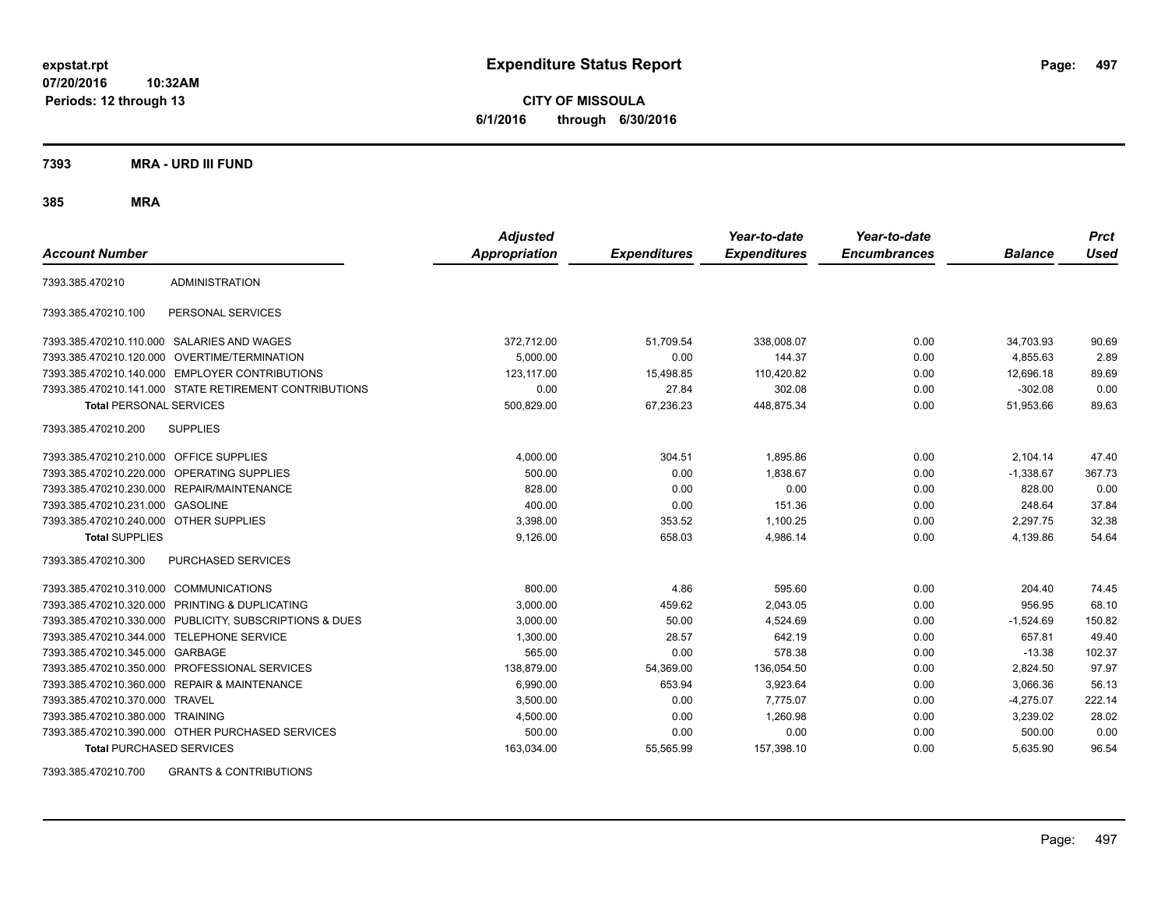**CITY OF MISSOULA 6/1/2016 through 6/30/2016**

**7393 MRA - URD III FUND**

**385 MRA**

| <b>Account Number</b>                   |                                                         | <b>Adjusted</b><br><b>Appropriation</b> | <b>Expenditures</b> | Year-to-date<br><b>Expenditures</b> | Year-to-date<br><b>Encumbrances</b> | <b>Balance</b> | <b>Prct</b><br><b>Used</b> |
|-----------------------------------------|---------------------------------------------------------|-----------------------------------------|---------------------|-------------------------------------|-------------------------------------|----------------|----------------------------|
|                                         |                                                         |                                         |                     |                                     |                                     |                |                            |
| 7393.385.470210                         | <b>ADMINISTRATION</b>                                   |                                         |                     |                                     |                                     |                |                            |
| 7393.385.470210.100                     | PERSONAL SERVICES                                       |                                         |                     |                                     |                                     |                |                            |
|                                         | 7393.385.470210.110.000 SALARIES AND WAGES              | 372,712.00                              | 51,709.54           | 338,008.07                          | 0.00                                | 34,703.93      | 90.69                      |
|                                         | 7393.385.470210.120.000 OVERTIME/TERMINATION            | 5,000.00                                | 0.00                | 144.37                              | 0.00                                | 4,855.63       | 2.89                       |
|                                         | 7393.385.470210.140.000 EMPLOYER CONTRIBUTIONS          | 123.117.00                              | 15,498.85           | 110,420.82                          | 0.00                                | 12.696.18      | 89.69                      |
|                                         | 7393.385.470210.141.000 STATE RETIREMENT CONTRIBUTIONS  | 0.00                                    | 27.84               | 302.08                              | 0.00                                | $-302.08$      | 0.00                       |
| <b>Total PERSONAL SERVICES</b>          |                                                         | 500,829.00                              | 67,236.23           | 448,875.34                          | 0.00                                | 51,953.66      | 89.63                      |
| 7393.385.470210.200                     | <b>SUPPLIES</b>                                         |                                         |                     |                                     |                                     |                |                            |
| 7393.385.470210.210.000 OFFICE SUPPLIES |                                                         | 4,000.00                                | 304.51              | 1,895.86                            | 0.00                                | 2,104.14       | 47.40                      |
|                                         | 7393.385.470210.220.000 OPERATING SUPPLIES              | 500.00                                  | 0.00                | 1.838.67                            | 0.00                                | $-1,338.67$    | 367.73                     |
|                                         | 7393.385.470210.230.000 REPAIR/MAINTENANCE              | 828.00                                  | 0.00                | 0.00                                | 0.00                                | 828.00         | 0.00                       |
| 7393.385.470210.231.000 GASOLINE        |                                                         | 400.00                                  | 0.00                | 151.36                              | 0.00                                | 248.64         | 37.84                      |
| 7393.385.470210.240.000 OTHER SUPPLIES  |                                                         | 3,398.00                                | 353.52              | 1,100.25                            | 0.00                                | 2,297.75       | 32.38                      |
| <b>Total SUPPLIES</b>                   |                                                         | 9,126.00                                | 658.03              | 4,986.14                            | 0.00                                | 4,139.86       | 54.64                      |
| 7393.385.470210.300                     | <b>PURCHASED SERVICES</b>                               |                                         |                     |                                     |                                     |                |                            |
| 7393.385.470210.310.000 COMMUNICATIONS  |                                                         | 800.00                                  | 4.86                | 595.60                              | 0.00                                | 204.40         | 74.45                      |
|                                         | 7393.385.470210.320.000 PRINTING & DUPLICATING          | 3.000.00                                | 459.62              | 2.043.05                            | 0.00                                | 956.95         | 68.10                      |
|                                         | 7393.385.470210.330.000 PUBLICITY, SUBSCRIPTIONS & DUES | 3.000.00                                | 50.00               | 4,524.69                            | 0.00                                | $-1,524.69$    | 150.82                     |
| 7393.385.470210.344.000                 | <b>TELEPHONE SERVICE</b>                                | 1,300.00                                | 28.57               | 642.19                              | 0.00                                | 657.81         | 49.40                      |
| 7393.385.470210.345.000 GARBAGE         |                                                         | 565.00                                  | 0.00                | 578.38                              | 0.00                                | $-13.38$       | 102.37                     |
|                                         | 7393.385.470210.350.000 PROFESSIONAL SERVICES           | 138.879.00                              | 54,369.00           | 136,054.50                          | 0.00                                | 2,824.50       | 97.97                      |
| 7393.385.470210.360.000                 | <b>REPAIR &amp; MAINTENANCE</b>                         | 6.990.00                                | 653.94              | 3,923.64                            | 0.00                                | 3.066.36       | 56.13                      |
| 7393.385.470210.370.000 TRAVEL          |                                                         | 3,500.00                                | 0.00                | 7,775.07                            | 0.00                                | $-4,275.07$    | 222.14                     |
| 7393.385.470210.380.000 TRAINING        |                                                         | 4,500.00                                | 0.00                | 1,260.98                            | 0.00                                | 3,239.02       | 28.02                      |
|                                         | 7393.385.470210.390.000 OTHER PURCHASED SERVICES        | 500.00                                  | 0.00                | 0.00                                | 0.00                                | 500.00         | 0.00                       |
| <b>Total PURCHASED SERVICES</b>         |                                                         | 163,034.00                              | 55,565.99           | 157,398.10                          | 0.00                                | 5,635.90       | 96.54                      |

7393.385.470210.700 GRANTS & CONTRIBUTIONS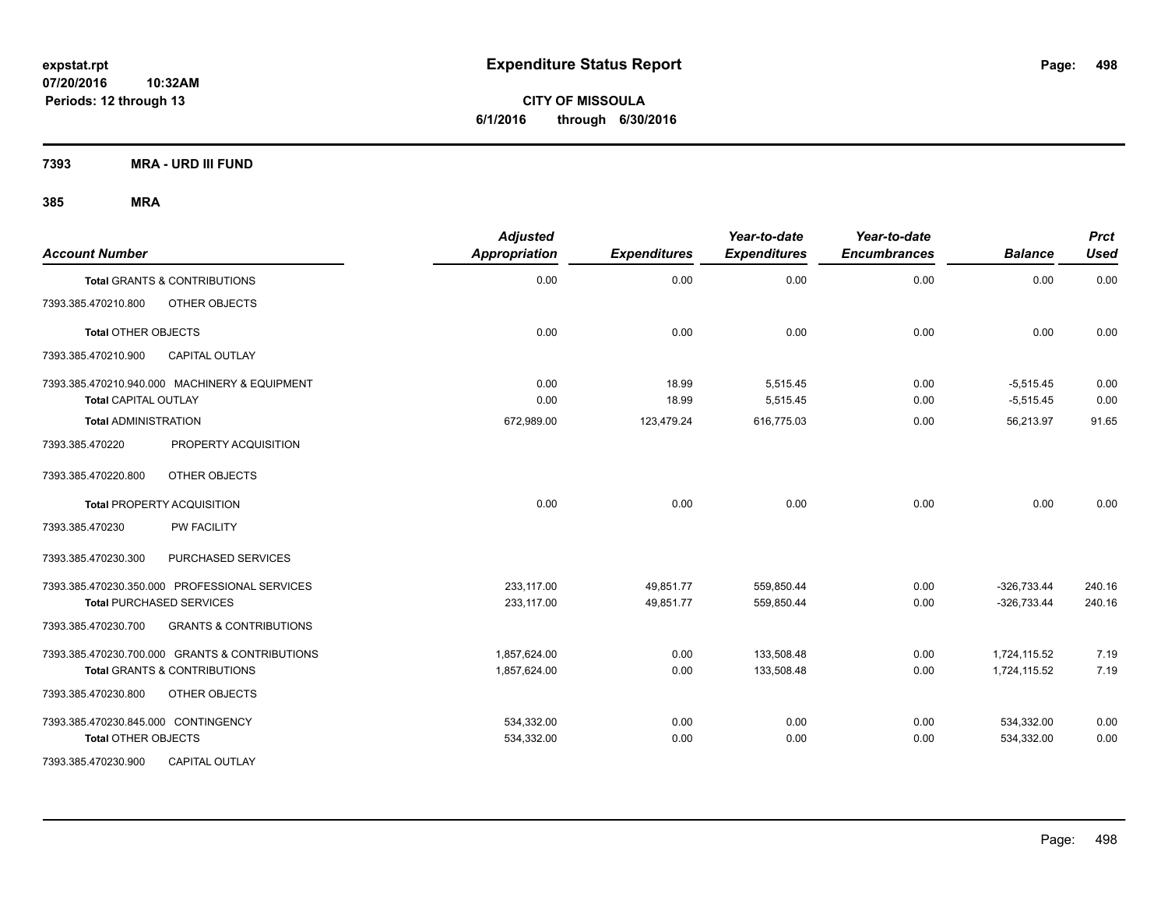**CITY OF MISSOULA 6/1/2016 through 6/30/2016**

**7393 MRA - URD III FUND**

| <b>Account Number</b>                                                        | <b>Adjusted</b><br><b>Appropriation</b> | <b>Expenditures</b> | Year-to-date<br><b>Expenditures</b> | Year-to-date<br><b>Encumbrances</b> | <b>Balance</b>             | <b>Prct</b><br><b>Used</b> |
|------------------------------------------------------------------------------|-----------------------------------------|---------------------|-------------------------------------|-------------------------------------|----------------------------|----------------------------|
| Total GRANTS & CONTRIBUTIONS                                                 | 0.00                                    | 0.00                | 0.00                                | 0.00                                | 0.00                       | 0.00                       |
| 7393.385.470210.800<br>OTHER OBJECTS                                         |                                         |                     |                                     |                                     |                            |                            |
| <b>Total OTHER OBJECTS</b>                                                   | 0.00                                    | 0.00                | 0.00                                | 0.00                                | 0.00                       | 0.00                       |
| 7393.385.470210.900<br><b>CAPITAL OUTLAY</b>                                 |                                         |                     |                                     |                                     |                            |                            |
| 7393.385.470210.940.000 MACHINERY & EQUIPMENT<br><b>Total CAPITAL OUTLAY</b> | 0.00<br>0.00                            | 18.99<br>18.99      | 5,515.45<br>5,515.45                | 0.00<br>0.00                        | $-5,515.45$<br>$-5,515.45$ | 0.00<br>0.00               |
| <b>Total ADMINISTRATION</b>                                                  | 672,989.00                              | 123,479.24          | 616,775.03                          | 0.00                                | 56.213.97                  | 91.65                      |
| 7393.385.470220<br>PROPERTY ACQUISITION                                      |                                         |                     |                                     |                                     |                            |                            |
| OTHER OBJECTS<br>7393.385.470220.800                                         |                                         |                     |                                     |                                     |                            |                            |
| <b>Total PROPERTY ACQUISITION</b>                                            | 0.00                                    | 0.00                | 0.00                                | 0.00                                | 0.00                       | 0.00                       |
| 7393.385.470230<br><b>PW FACILITY</b>                                        |                                         |                     |                                     |                                     |                            |                            |
| 7393.385.470230.300<br>PURCHASED SERVICES                                    |                                         |                     |                                     |                                     |                            |                            |
| 7393.385.470230.350.000 PROFESSIONAL SERVICES                                | 233.117.00                              | 49,851.77           | 559,850.44                          | 0.00                                | $-326,733.44$              | 240.16                     |
| <b>Total PURCHASED SERVICES</b>                                              | 233,117.00                              | 49,851.77           | 559,850.44                          | 0.00                                | $-326,733.44$              | 240.16                     |
| 7393.385.470230.700<br><b>GRANTS &amp; CONTRIBUTIONS</b>                     |                                         |                     |                                     |                                     |                            |                            |
| 7393.385.470230.700.000 GRANTS & CONTRIBUTIONS                               | 1,857,624.00                            | 0.00                | 133,508.48                          | 0.00                                | 1,724,115.52               | 7.19                       |
| <b>Total GRANTS &amp; CONTRIBUTIONS</b>                                      | 1,857,624.00                            | 0.00                | 133,508.48                          | 0.00                                | 1,724,115.52               | 7.19                       |
| 7393.385.470230.800<br>OTHER OBJECTS                                         |                                         |                     |                                     |                                     |                            |                            |
| 7393.385.470230.845.000 CONTINGENCY                                          | 534,332.00                              | 0.00                | 0.00                                | 0.00                                | 534,332.00                 | 0.00                       |
| <b>Total OTHER OBJECTS</b>                                                   | 534,332.00                              | 0.00                | 0.00                                | 0.00                                | 534,332.00                 | 0.00                       |
| 7393.385.470230.900<br><b>CAPITAL OUTLAY</b>                                 |                                         |                     |                                     |                                     |                            |                            |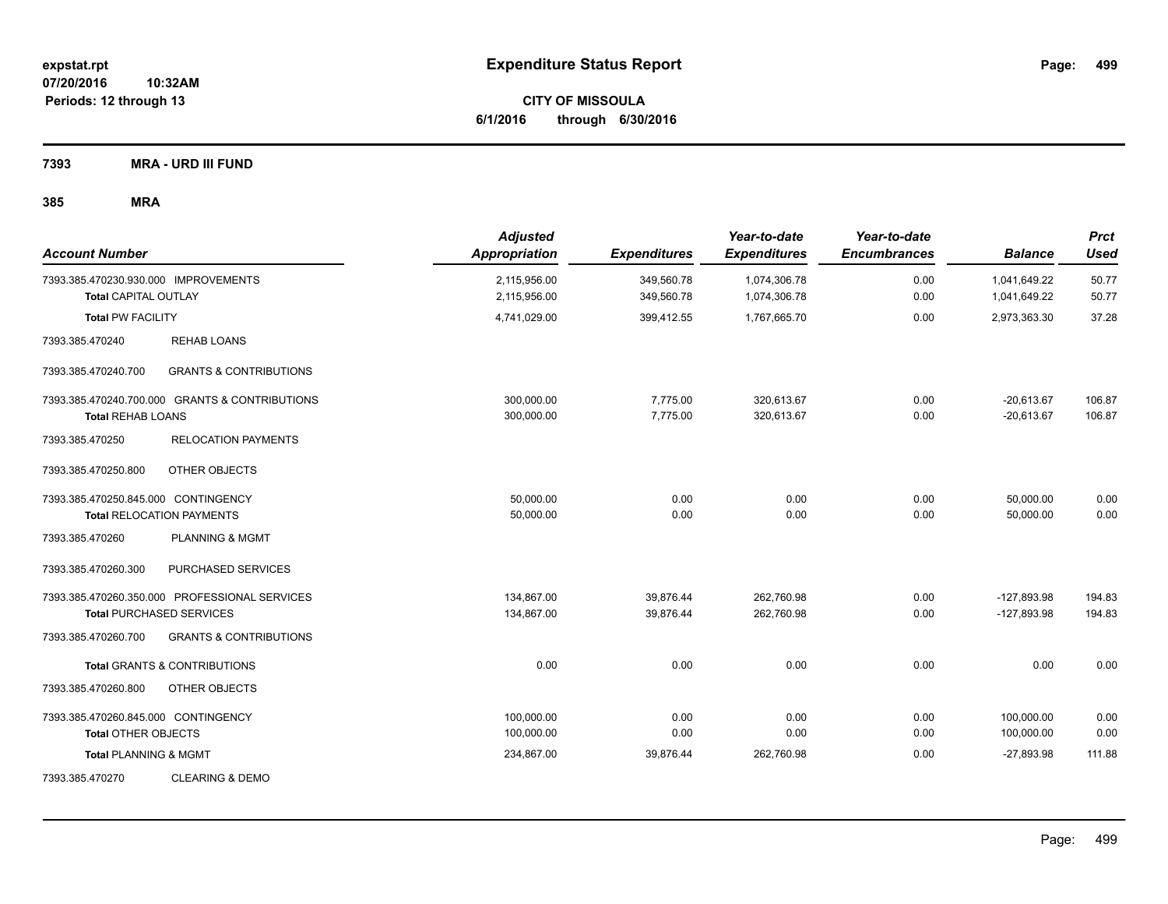**CITY OF MISSOULA 6/1/2016 through 6/30/2016**

**7393 MRA - URD III FUND**

| <b>Account Number</b>                                               |                                                                                  | <b>Adjusted</b><br><b>Appropriation</b> | <b>Expenditures</b>      | Year-to-date<br><b>Expenditures</b> | Year-to-date<br><b>Encumbrances</b> | <b>Balance</b>                 | <b>Prct</b><br>Used |
|---------------------------------------------------------------------|----------------------------------------------------------------------------------|-----------------------------------------|--------------------------|-------------------------------------|-------------------------------------|--------------------------------|---------------------|
| 7393.385.470230.930.000 IMPROVEMENTS<br><b>Total CAPITAL OUTLAY</b> |                                                                                  | 2,115,956.00<br>2,115,956.00            | 349,560.78<br>349,560.78 | 1,074,306.78<br>1,074,306.78        | 0.00<br>0.00                        | 1,041,649.22<br>1,041,649.22   | 50.77<br>50.77      |
| <b>Total PW FACILITY</b>                                            |                                                                                  | 4,741,029.00                            | 399,412.55               | 1,767,665.70                        | 0.00                                | 2,973,363.30                   | 37.28               |
| 7393.385.470240                                                     | <b>REHAB LOANS</b>                                                               |                                         |                          |                                     |                                     |                                |                     |
| 7393.385.470240.700                                                 | <b>GRANTS &amp; CONTRIBUTIONS</b>                                                |                                         |                          |                                     |                                     |                                |                     |
| <b>Total REHAB LOANS</b>                                            | 7393.385.470240.700.000 GRANTS & CONTRIBUTIONS                                   | 300,000.00<br>300,000.00                | 7,775.00<br>7,775.00     | 320,613.67<br>320,613.67            | 0.00<br>0.00                        | $-20,613.67$<br>$-20,613.67$   | 106.87<br>106.87    |
| 7393.385.470250                                                     | <b>RELOCATION PAYMENTS</b>                                                       |                                         |                          |                                     |                                     |                                |                     |
| 7393.385.470250.800                                                 | OTHER OBJECTS                                                                    |                                         |                          |                                     |                                     |                                |                     |
| 7393.385.470250.845.000 CONTINGENCY                                 | <b>Total RELOCATION PAYMENTS</b>                                                 | 50,000.00<br>50,000.00                  | 0.00<br>0.00             | 0.00<br>0.00                        | 0.00<br>0.00                        | 50,000.00<br>50,000.00         | 0.00<br>0.00        |
| 7393.385.470260                                                     | <b>PLANNING &amp; MGMT</b>                                                       |                                         |                          |                                     |                                     |                                |                     |
| 7393.385.470260.300                                                 | PURCHASED SERVICES                                                               |                                         |                          |                                     |                                     |                                |                     |
|                                                                     | 7393.385.470260.350.000 PROFESSIONAL SERVICES<br><b>Total PURCHASED SERVICES</b> | 134,867.00<br>134,867.00                | 39,876.44<br>39.876.44   | 262,760.98<br>262,760.98            | 0.00<br>0.00                        | $-127,893.98$<br>$-127.893.98$ | 194.83<br>194.83    |
| 7393.385.470260.700                                                 | <b>GRANTS &amp; CONTRIBUTIONS</b>                                                |                                         |                          |                                     |                                     |                                |                     |
|                                                                     | <b>Total GRANTS &amp; CONTRIBUTIONS</b>                                          | 0.00                                    | 0.00                     | 0.00                                | 0.00                                | 0.00                           | 0.00                |
| 7393.385.470260.800                                                 | OTHER OBJECTS                                                                    |                                         |                          |                                     |                                     |                                |                     |
| 7393.385.470260.845.000 CONTINGENCY<br><b>Total OTHER OBJECTS</b>   |                                                                                  | 100,000.00<br>100,000.00                | 0.00<br>0.00             | 0.00<br>0.00                        | 0.00<br>0.00                        | 100,000.00<br>100,000.00       | 0.00<br>0.00        |
| <b>Total PLANNING &amp; MGMT</b>                                    |                                                                                  | 234,867.00                              | 39,876.44                | 262,760.98                          | 0.00                                | $-27,893.98$                   | 111.88              |
| 7393.385.470270                                                     | <b>CLEARING &amp; DEMO</b>                                                       |                                         |                          |                                     |                                     |                                |                     |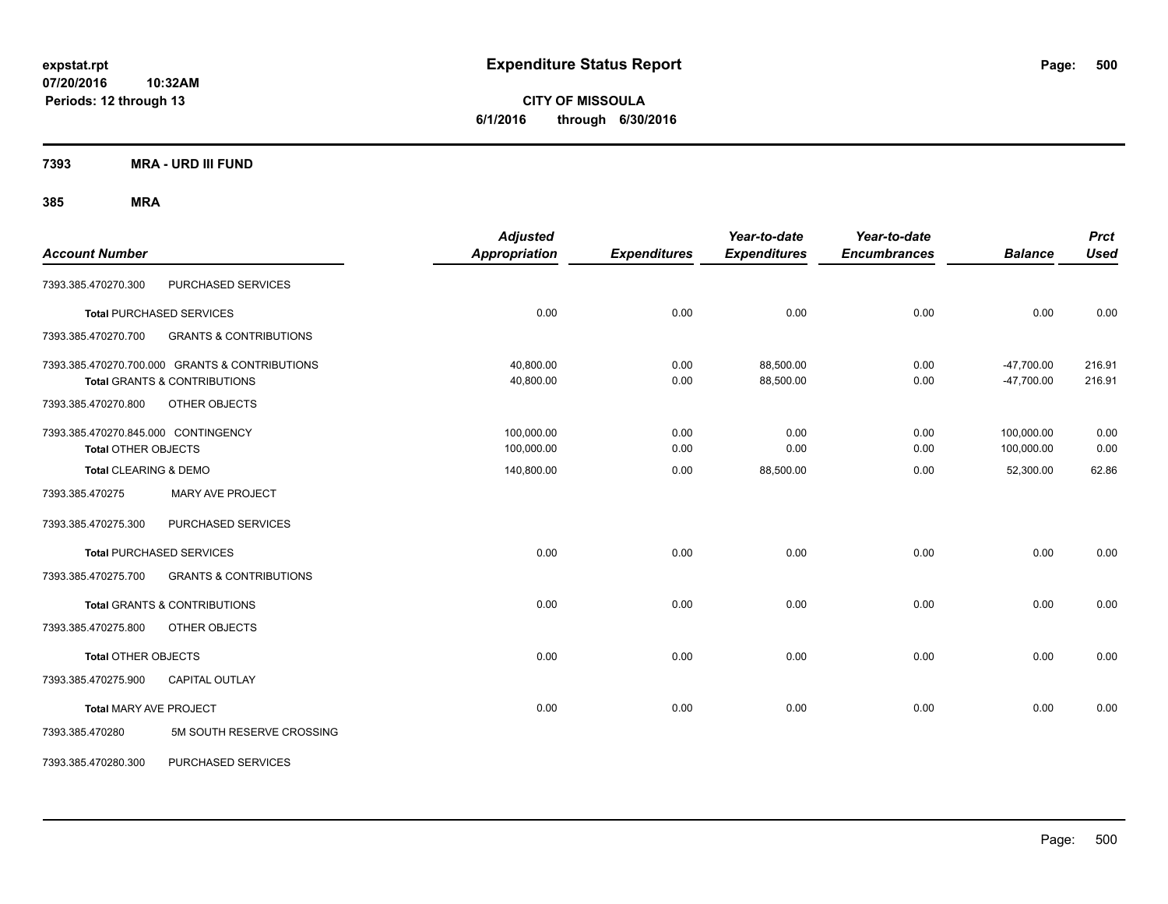**CITY OF MISSOULA 6/1/2016 through 6/30/2016**

**7393 MRA - URD III FUND**

| <b>Account Number</b>                                             |                                                                                           | <b>Adjusted</b><br><b>Appropriation</b> | <b>Expenditures</b> | Year-to-date<br><b>Expenditures</b> | Year-to-date<br><b>Encumbrances</b> | <b>Balance</b>               | <b>Prct</b><br><b>Used</b> |
|-------------------------------------------------------------------|-------------------------------------------------------------------------------------------|-----------------------------------------|---------------------|-------------------------------------|-------------------------------------|------------------------------|----------------------------|
| 7393.385.470270.300                                               | PURCHASED SERVICES                                                                        |                                         |                     |                                     |                                     |                              |                            |
|                                                                   | <b>Total PURCHASED SERVICES</b>                                                           | 0.00                                    | 0.00                | 0.00                                | 0.00                                | 0.00                         | 0.00                       |
| 7393.385.470270.700                                               | <b>GRANTS &amp; CONTRIBUTIONS</b>                                                         |                                         |                     |                                     |                                     |                              |                            |
|                                                                   | 7393.385.470270.700.000 GRANTS & CONTRIBUTIONS<br><b>Total GRANTS &amp; CONTRIBUTIONS</b> | 40,800.00<br>40,800.00                  | 0.00<br>0.00        | 88,500.00<br>88,500.00              | 0.00<br>0.00                        | $-47,700.00$<br>$-47,700.00$ | 216.91<br>216.91           |
| 7393.385.470270.800                                               | OTHER OBJECTS                                                                             |                                         |                     |                                     |                                     |                              |                            |
| 7393.385.470270.845.000 CONTINGENCY<br><b>Total OTHER OBJECTS</b> |                                                                                           | 100,000.00<br>100,000.00                | 0.00<br>0.00        | 0.00<br>0.00                        | 0.00<br>0.00                        | 100,000.00<br>100,000.00     | 0.00<br>0.00               |
| Total CLEARING & DEMO                                             |                                                                                           | 140,800.00                              | 0.00                | 88,500.00                           | 0.00                                | 52,300.00                    | 62.86                      |
| 7393.385.470275                                                   | <b>MARY AVE PROJECT</b>                                                                   |                                         |                     |                                     |                                     |                              |                            |
| 7393.385.470275.300                                               | PURCHASED SERVICES                                                                        |                                         |                     |                                     |                                     |                              |                            |
|                                                                   | <b>Total PURCHASED SERVICES</b>                                                           | 0.00                                    | 0.00                | 0.00                                | 0.00                                | 0.00                         | 0.00                       |
| 7393.385.470275.700                                               | <b>GRANTS &amp; CONTRIBUTIONS</b>                                                         |                                         |                     |                                     |                                     |                              |                            |
|                                                                   | <b>Total GRANTS &amp; CONTRIBUTIONS</b>                                                   | 0.00                                    | 0.00                | 0.00                                | 0.00                                | 0.00                         | 0.00                       |
| 7393.385.470275.800                                               | OTHER OBJECTS                                                                             |                                         |                     |                                     |                                     |                              |                            |
| Total OTHER OBJECTS                                               |                                                                                           | 0.00                                    | 0.00                | 0.00                                | 0.00                                | 0.00                         | 0.00                       |
| 7393.385.470275.900                                               | <b>CAPITAL OUTLAY</b>                                                                     |                                         |                     |                                     |                                     |                              |                            |
| <b>Total MARY AVE PROJECT</b>                                     |                                                                                           | 0.00                                    | 0.00                | 0.00                                | 0.00                                | 0.00                         | 0.00                       |
| 7393.385.470280                                                   | 5M SOUTH RESERVE CROSSING                                                                 |                                         |                     |                                     |                                     |                              |                            |
| 7393.385.470280.300                                               | PURCHASED SERVICES                                                                        |                                         |                     |                                     |                                     |                              |                            |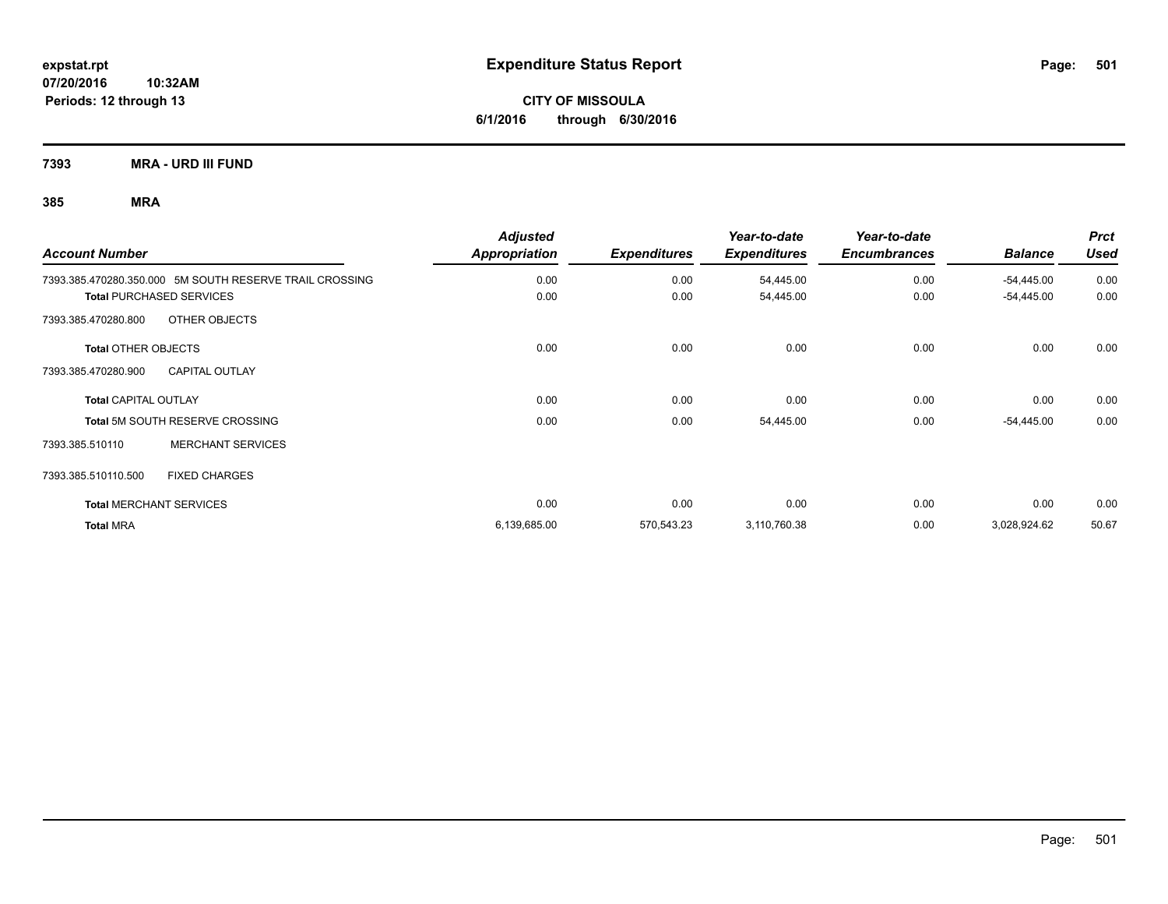**CITY OF MISSOULA 6/1/2016 through 6/30/2016**

**7393 MRA - URD III FUND**

| <b>Account Number</b>                                   | <b>Adjusted</b><br>Appropriation | <b>Expenditures</b> | Year-to-date<br><b>Expenditures</b> | Year-to-date<br><b>Encumbrances</b> | <b>Balance</b> | <b>Prct</b><br><b>Used</b> |
|---------------------------------------------------------|----------------------------------|---------------------|-------------------------------------|-------------------------------------|----------------|----------------------------|
| 7393.385.470280.350.000 5M SOUTH RESERVE TRAIL CROSSING | 0.00                             | 0.00                | 54,445.00                           | 0.00                                | $-54,445.00$   | 0.00                       |
| <b>Total PURCHASED SERVICES</b>                         | 0.00                             | 0.00                | 54,445.00                           | 0.00                                | $-54,445.00$   | 0.00                       |
| OTHER OBJECTS<br>7393.385.470280.800                    |                                  |                     |                                     |                                     |                |                            |
| <b>Total OTHER OBJECTS</b>                              | 0.00                             | 0.00                | 0.00                                | 0.00                                | 0.00           | 0.00                       |
| 7393.385.470280.900<br><b>CAPITAL OUTLAY</b>            |                                  |                     |                                     |                                     |                |                            |
| <b>Total CAPITAL OUTLAY</b>                             | 0.00                             | 0.00                | 0.00                                | 0.00                                | 0.00           | 0.00                       |
| <b>Total 5M SOUTH RESERVE CROSSING</b>                  | 0.00                             | 0.00                | 54,445.00                           | 0.00                                | $-54,445.00$   | 0.00                       |
| <b>MERCHANT SERVICES</b><br>7393.385.510110             |                                  |                     |                                     |                                     |                |                            |
| <b>FIXED CHARGES</b><br>7393.385.510110.500             |                                  |                     |                                     |                                     |                |                            |
| <b>Total MERCHANT SERVICES</b>                          | 0.00                             | 0.00                | 0.00                                | 0.00                                | 0.00           | 0.00                       |
| <b>Total MRA</b>                                        | 6,139,685.00                     | 570,543.23          | 3,110,760.38                        | 0.00                                | 3,028,924.62   | 50.67                      |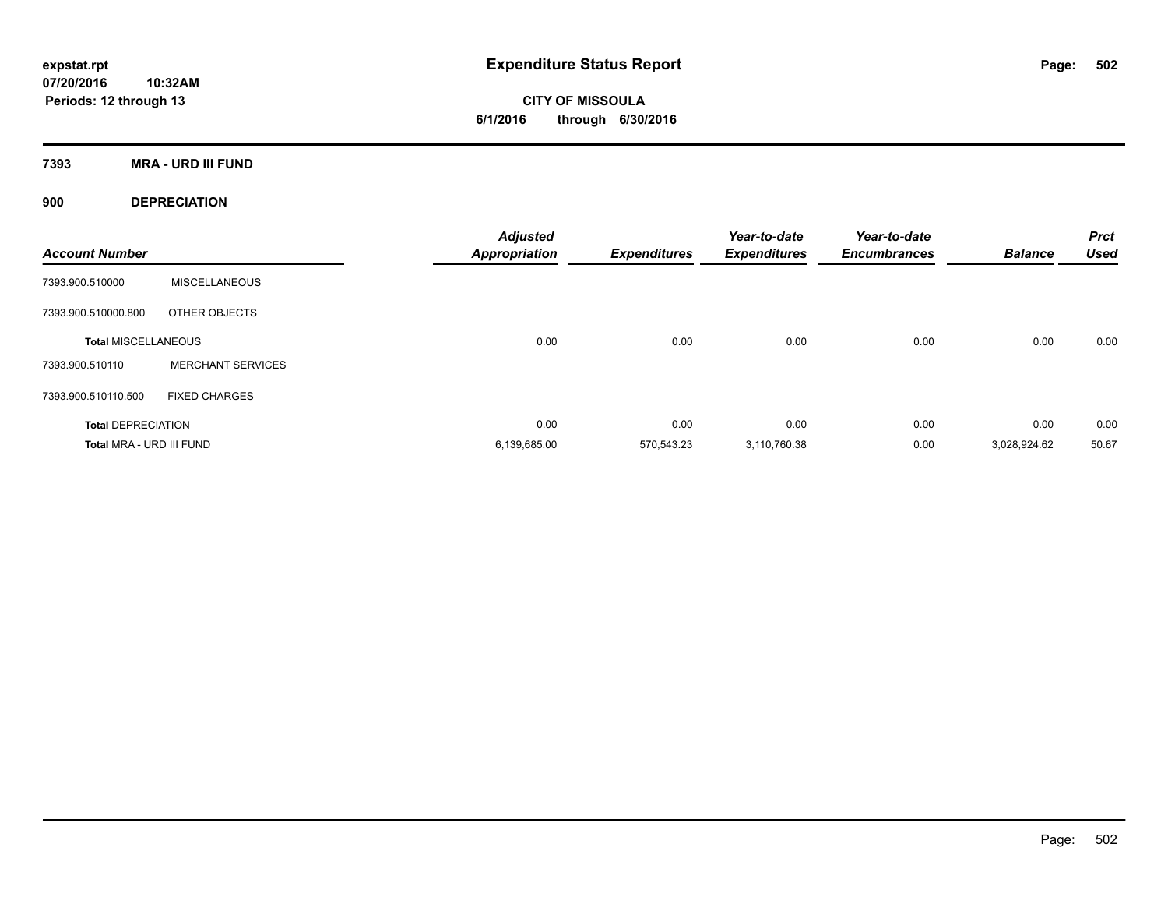**CITY OF MISSOULA 6/1/2016 through 6/30/2016**

**7393 MRA - URD III FUND**

**900 DEPRECIATION**

| <b>Account Number</b>      |                          | <b>Adjusted</b><br><b>Appropriation</b> | <b>Expenditures</b> | Year-to-date<br><b>Expenditures</b> | Year-to-date<br><b>Encumbrances</b> | <b>Balance</b> | <b>Prct</b><br><b>Used</b> |
|----------------------------|--------------------------|-----------------------------------------|---------------------|-------------------------------------|-------------------------------------|----------------|----------------------------|
| 7393.900.510000            | <b>MISCELLANEOUS</b>     |                                         |                     |                                     |                                     |                |                            |
| 7393.900.510000.800        | OTHER OBJECTS            |                                         |                     |                                     |                                     |                |                            |
| <b>Total MISCELLANEOUS</b> |                          | 0.00                                    | 0.00                | 0.00                                | 0.00                                | 0.00           | 0.00                       |
| 7393.900.510110            | <b>MERCHANT SERVICES</b> |                                         |                     |                                     |                                     |                |                            |
| 7393.900.510110.500        | <b>FIXED CHARGES</b>     |                                         |                     |                                     |                                     |                |                            |
| <b>Total DEPRECIATION</b>  |                          | 0.00                                    | 0.00                | 0.00                                | 0.00                                | 0.00           | 0.00                       |
| Total MRA - URD III FUND   |                          | 6,139,685.00                            | 570,543.23          | 3.110.760.38                        | 0.00                                | 3.028.924.62   | 50.67                      |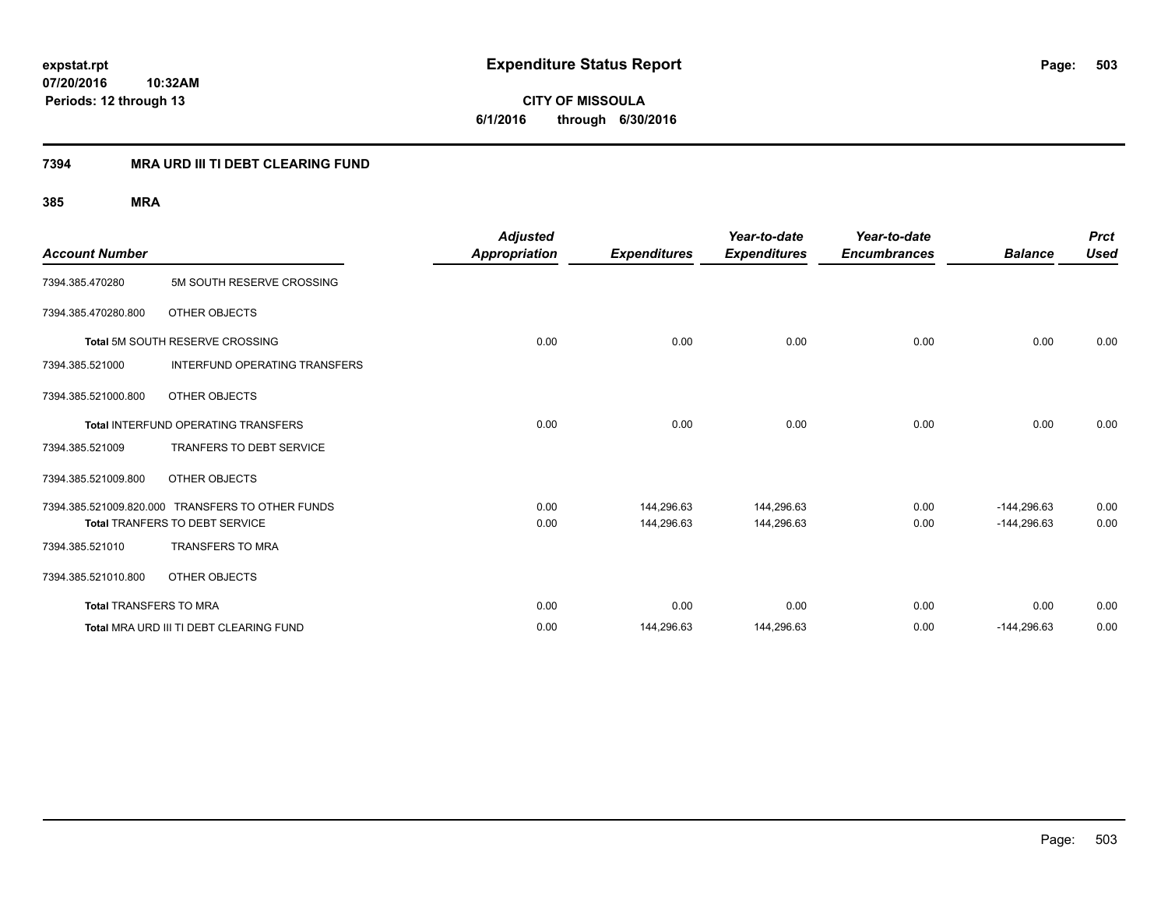**CITY OF MISSOULA 6/1/2016 through 6/30/2016**

### **7394 MRA URD III TI DEBT CLEARING FUND**

| <b>Account Number</b>         |                                                  | <b>Adjusted</b><br>Appropriation | <b>Expenditures</b> | Year-to-date<br><b>Expenditures</b> | Year-to-date<br><b>Encumbrances</b> | <b>Balance</b> | <b>Prct</b><br><b>Used</b> |
|-------------------------------|--------------------------------------------------|----------------------------------|---------------------|-------------------------------------|-------------------------------------|----------------|----------------------------|
| 7394.385.470280               | 5M SOUTH RESERVE CROSSING                        |                                  |                     |                                     |                                     |                |                            |
| 7394.385.470280.800           | OTHER OBJECTS                                    |                                  |                     |                                     |                                     |                |                            |
|                               | Total 5M SOUTH RESERVE CROSSING                  | 0.00                             | 0.00                | 0.00                                | 0.00                                | 0.00           | 0.00                       |
| 7394.385.521000               | <b>INTERFUND OPERATING TRANSFERS</b>             |                                  |                     |                                     |                                     |                |                            |
| 7394.385.521000.800           | OTHER OBJECTS                                    |                                  |                     |                                     |                                     |                |                            |
|                               | <b>Total INTERFUND OPERATING TRANSFERS</b>       | 0.00                             | 0.00                | 0.00                                | 0.00                                | 0.00           | 0.00                       |
| 7394.385.521009               | <b>TRANFERS TO DEBT SERVICE</b>                  |                                  |                     |                                     |                                     |                |                            |
| 7394.385.521009.800           | OTHER OBJECTS                                    |                                  |                     |                                     |                                     |                |                            |
|                               | 7394.385.521009.820.000 TRANSFERS TO OTHER FUNDS | 0.00                             | 144.296.63          | 144,296.63                          | 0.00                                | $-144.296.63$  | 0.00                       |
|                               | <b>Total TRANFERS TO DEBT SERVICE</b>            | 0.00                             | 144,296.63          | 144,296.63                          | 0.00                                | $-144,296.63$  | 0.00                       |
| 7394.385.521010               | <b>TRANSFERS TO MRA</b>                          |                                  |                     |                                     |                                     |                |                            |
| 7394.385.521010.800           | OTHER OBJECTS                                    |                                  |                     |                                     |                                     |                |                            |
| <b>Total TRANSFERS TO MRA</b> |                                                  | 0.00                             | 0.00                | 0.00                                | 0.00                                | 0.00           | 0.00                       |
|                               | Total MRA URD III TI DEBT CLEARING FUND          | 0.00                             | 144,296.63          | 144,296.63                          | 0.00                                | $-144,296.63$  | 0.00                       |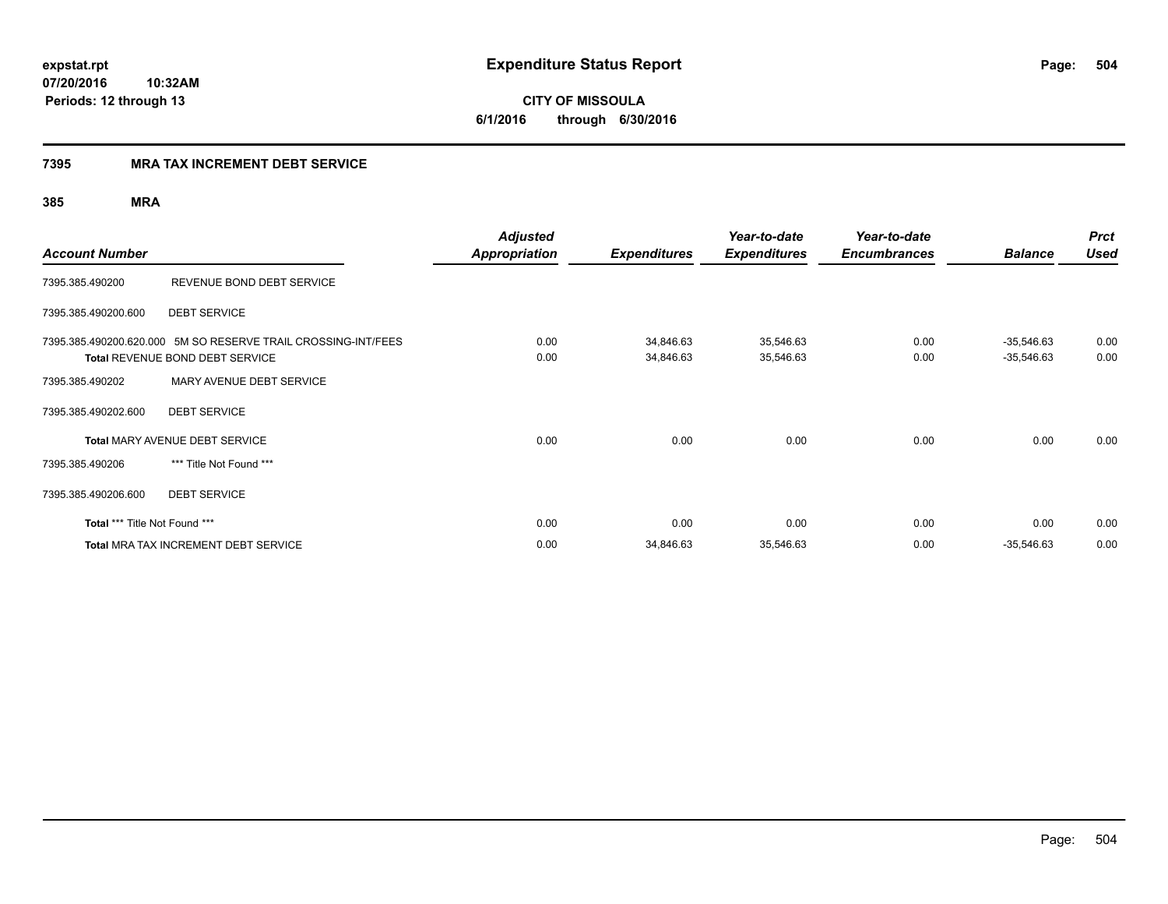**CITY OF MISSOULA 6/1/2016 through 6/30/2016**

### **7395 MRA TAX INCREMENT DEBT SERVICE**

| <b>Account Number</b>         |                                                                                                  | <b>Adjusted</b><br>Appropriation | <b>Expenditures</b>    | Year-to-date<br><b>Expenditures</b> | Year-to-date<br><b>Encumbrances</b> | <b>Balance</b>               | <b>Prct</b><br><b>Used</b> |
|-------------------------------|--------------------------------------------------------------------------------------------------|----------------------------------|------------------------|-------------------------------------|-------------------------------------|------------------------------|----------------------------|
| 7395.385.490200               | REVENUE BOND DEBT SERVICE                                                                        |                                  |                        |                                     |                                     |                              |                            |
| 7395.385.490200.600           | <b>DEBT SERVICE</b>                                                                              |                                  |                        |                                     |                                     |                              |                            |
|                               | 7395.385.490200.620.000 5M SO RESERVE TRAIL CROSSING-INT/FEES<br>Total REVENUE BOND DEBT SERVICE | 0.00<br>0.00                     | 34,846.63<br>34,846.63 | 35,546.63<br>35,546.63              | 0.00<br>0.00                        | $-35,546.63$<br>$-35,546.63$ | 0.00<br>0.00               |
| 7395.385.490202               | MARY AVENUE DEBT SERVICE                                                                         |                                  |                        |                                     |                                     |                              |                            |
| 7395.385.490202.600           | <b>DEBT SERVICE</b>                                                                              |                                  |                        |                                     |                                     |                              |                            |
|                               | <b>Total MARY AVENUE DEBT SERVICE</b>                                                            | 0.00                             | 0.00                   | 0.00                                | 0.00                                | 0.00                         | 0.00                       |
| 7395.385.490206               | *** Title Not Found ***                                                                          |                                  |                        |                                     |                                     |                              |                            |
| 7395.385.490206.600           | <b>DEBT SERVICE</b>                                                                              |                                  |                        |                                     |                                     |                              |                            |
| Total *** Title Not Found *** |                                                                                                  | 0.00                             | 0.00                   | 0.00                                | 0.00                                | 0.00                         | 0.00                       |
|                               | <b>Total MRA TAX INCREMENT DEBT SERVICE</b>                                                      | 0.00                             | 34,846.63              | 35,546.63                           | 0.00                                | $-35,546.63$                 | 0.00                       |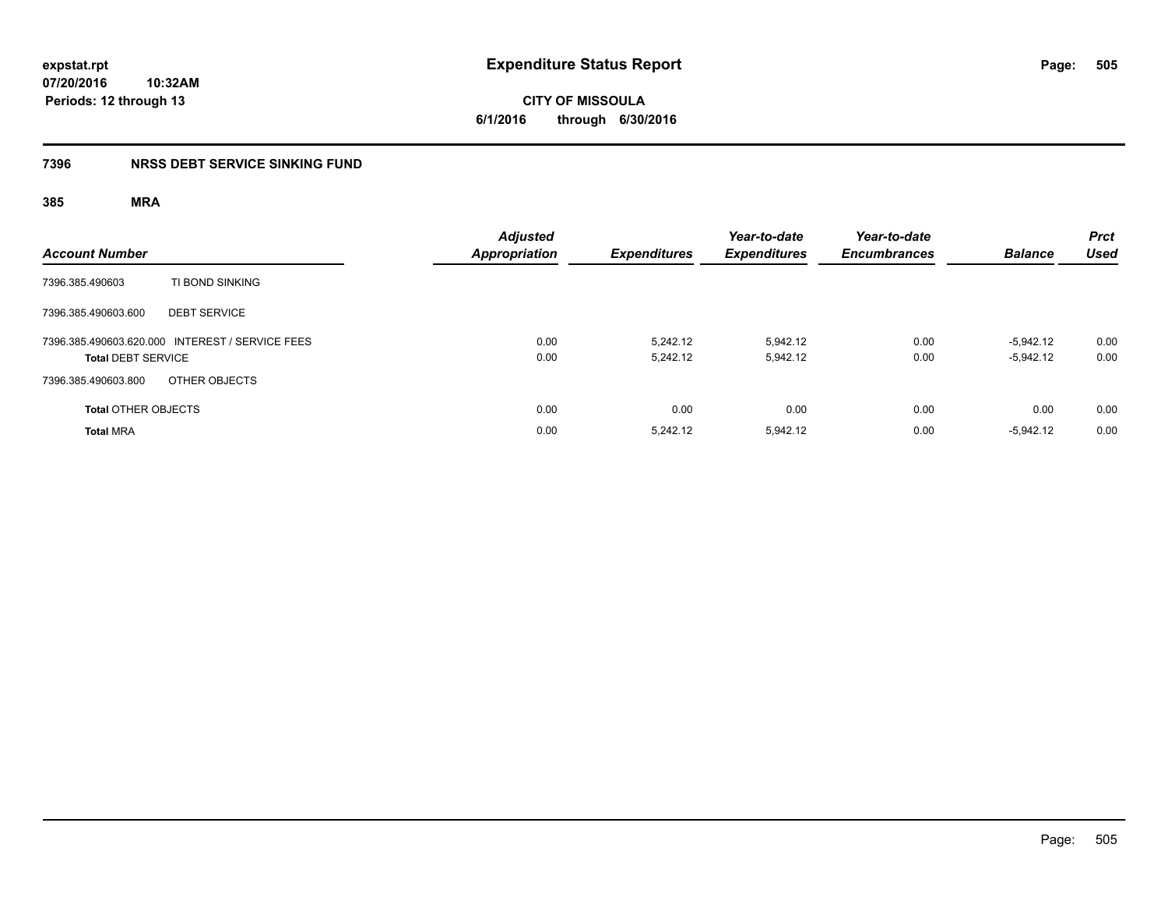# **CITY OF MISSOULA 6/1/2016 through 6/30/2016**

# **7396 NRSS DEBT SERVICE SINKING FUND**

| <b>Account Number</b>                                                        | Adjusted<br><b>Appropriation</b> | <b>Expenditures</b>  | Year-to-date<br><b>Expenditures</b> | Year-to-date<br><b>Encumbrances</b> | <b>Balance</b>             | <b>Prct</b><br><b>Used</b> |
|------------------------------------------------------------------------------|----------------------------------|----------------------|-------------------------------------|-------------------------------------|----------------------------|----------------------------|
| TI BOND SINKING<br>7396.385.490603                                           |                                  |                      |                                     |                                     |                            |                            |
| 7396.385.490603.600<br><b>DEBT SERVICE</b>                                   |                                  |                      |                                     |                                     |                            |                            |
| 7396.385.490603.620.000 INTEREST / SERVICE FEES<br><b>Total DEBT SERVICE</b> | 0.00<br>0.00                     | 5.242.12<br>5.242.12 | 5.942.12<br>5,942.12                | 0.00<br>0.00                        | $-5.942.12$<br>$-5.942.12$ | 0.00<br>0.00               |
| OTHER OBJECTS<br>7396.385.490603.800                                         |                                  |                      |                                     |                                     |                            |                            |
| <b>Total OTHER OBJECTS</b>                                                   | 0.00                             | 0.00                 | 0.00                                | 0.00                                | 0.00                       | 0.00                       |
| <b>Total MRA</b>                                                             | 0.00                             | 5.242.12             | 5.942.12                            | 0.00                                | $-5.942.12$                | 0.00                       |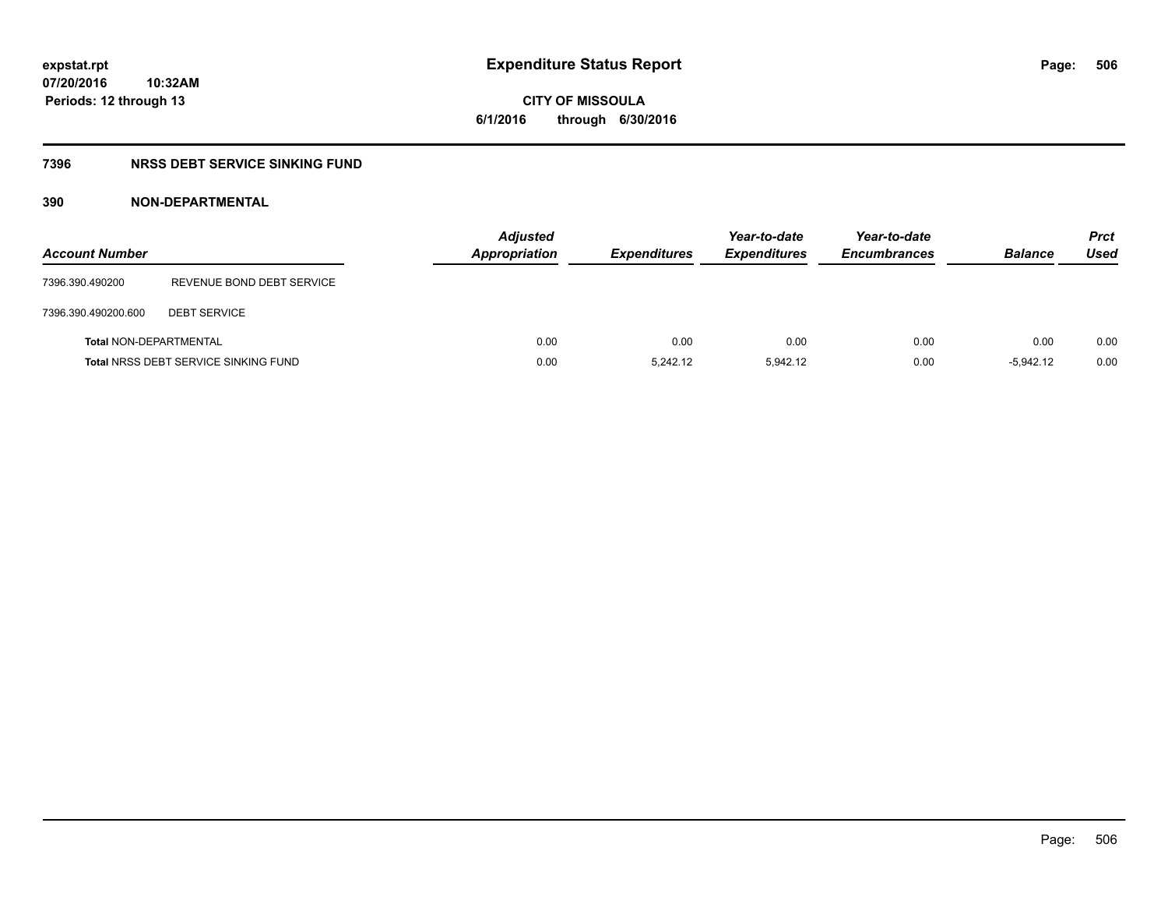# **7396 NRSS DEBT SERVICE SINKING FUND**

# **390 NON-DEPARTMENTAL**

| <b>Account Number</b>         |                                             | <b>Adjusted</b><br>Appropriation | <b>Expenditures</b> | Year-to-date<br><b>Expenditures</b> | Year-to-date<br><b>Encumbrances</b> | <b>Balance</b> | <b>Prct</b><br>Used |
|-------------------------------|---------------------------------------------|----------------------------------|---------------------|-------------------------------------|-------------------------------------|----------------|---------------------|
| 7396.390.490200               | REVENUE BOND DEBT SERVICE                   |                                  |                     |                                     |                                     |                |                     |
| 7396.390.490200.600           | <b>DEBT SERVICE</b>                         |                                  |                     |                                     |                                     |                |                     |
| <b>Total NON-DEPARTMENTAL</b> |                                             | 0.00                             | 0.00                | 0.00                                | 0.00                                | 0.00           | 0.00                |
|                               | <b>Total NRSS DEBT SERVICE SINKING FUND</b> | 0.00                             | 5.242.12            | 5.942.12                            | 0.00                                | $-5.942.12$    | 0.00                |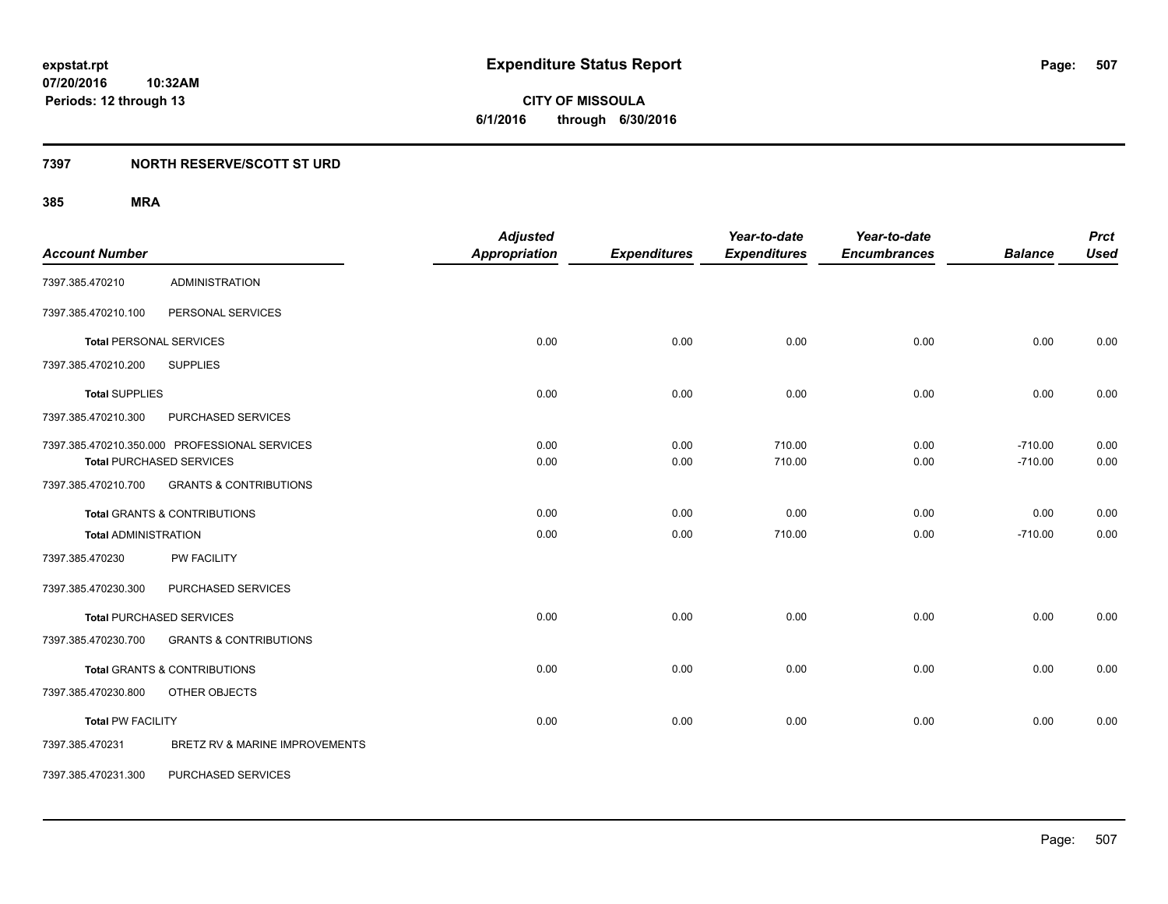**507**

**07/20/2016 10:32AM Periods: 12 through 13**

**CITY OF MISSOULA 6/1/2016 through 6/30/2016**

# **7397 NORTH RESERVE/SCOTT ST URD**

| <b>Account Number</b>       |                                                                                  | <b>Adjusted</b><br><b>Appropriation</b> | <b>Expenditures</b> | Year-to-date<br><b>Expenditures</b> | Year-to-date<br><b>Encumbrances</b> | <b>Balance</b>         | <b>Prct</b><br><b>Used</b> |
|-----------------------------|----------------------------------------------------------------------------------|-----------------------------------------|---------------------|-------------------------------------|-------------------------------------|------------------------|----------------------------|
| 7397.385.470210             | <b>ADMINISTRATION</b>                                                            |                                         |                     |                                     |                                     |                        |                            |
| 7397.385.470210.100         | PERSONAL SERVICES                                                                |                                         |                     |                                     |                                     |                        |                            |
|                             | <b>Total PERSONAL SERVICES</b>                                                   | 0.00                                    | 0.00                | 0.00                                | 0.00                                | 0.00                   | 0.00                       |
| 7397.385.470210.200         | <b>SUPPLIES</b>                                                                  |                                         |                     |                                     |                                     |                        |                            |
| <b>Total SUPPLIES</b>       |                                                                                  | 0.00                                    | 0.00                | 0.00                                | 0.00                                | 0.00                   | 0.00                       |
| 7397.385.470210.300         | PURCHASED SERVICES                                                               |                                         |                     |                                     |                                     |                        |                            |
|                             | 7397.385.470210.350.000 PROFESSIONAL SERVICES<br><b>Total PURCHASED SERVICES</b> | 0.00<br>0.00                            | 0.00<br>0.00        | 710.00<br>710.00                    | 0.00<br>0.00                        | $-710.00$<br>$-710.00$ | 0.00<br>0.00               |
| 7397.385.470210.700         | <b>GRANTS &amp; CONTRIBUTIONS</b>                                                |                                         |                     |                                     |                                     |                        |                            |
|                             | <b>Total GRANTS &amp; CONTRIBUTIONS</b>                                          | 0.00                                    | 0.00                | 0.00                                | 0.00                                | 0.00                   | 0.00                       |
| <b>Total ADMINISTRATION</b> |                                                                                  | 0.00                                    | 0.00                | 710.00                              | 0.00                                | $-710.00$              | 0.00                       |
| 7397.385.470230             | <b>PW FACILITY</b>                                                               |                                         |                     |                                     |                                     |                        |                            |
| 7397.385.470230.300         | PURCHASED SERVICES                                                               |                                         |                     |                                     |                                     |                        |                            |
|                             | <b>Total PURCHASED SERVICES</b>                                                  | 0.00                                    | 0.00                | 0.00                                | 0.00                                | 0.00                   | 0.00                       |
| 7397.385.470230.700         | <b>GRANTS &amp; CONTRIBUTIONS</b>                                                |                                         |                     |                                     |                                     |                        |                            |
|                             | <b>Total GRANTS &amp; CONTRIBUTIONS</b>                                          | 0.00                                    | 0.00                | 0.00                                | 0.00                                | 0.00                   | 0.00                       |
| 7397.385.470230.800         | OTHER OBJECTS                                                                    |                                         |                     |                                     |                                     |                        |                            |
| <b>Total PW FACILITY</b>    |                                                                                  | 0.00                                    | 0.00                | 0.00                                | 0.00                                | 0.00                   | 0.00                       |
| 7397.385.470231             | BRETZ RV & MARINE IMPROVEMENTS                                                   |                                         |                     |                                     |                                     |                        |                            |
| 7397.385.470231.300         | PURCHASED SERVICES                                                               |                                         |                     |                                     |                                     |                        |                            |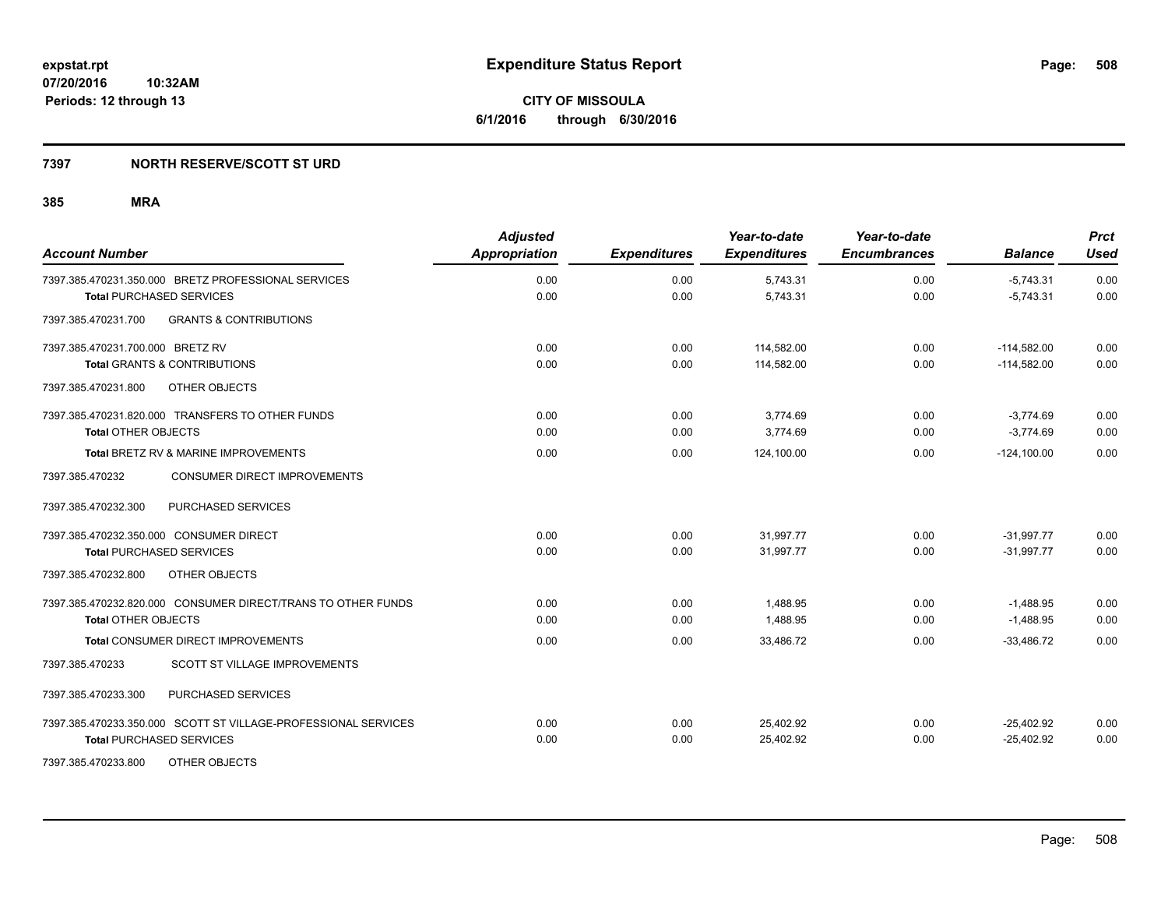# **7397 NORTH RESERVE/SCOTT ST URD**

| <b>Account Number</b>                                          | <b>Adjusted</b><br><b>Appropriation</b> | <b>Expenditures</b> | Year-to-date<br><b>Expenditures</b> | Year-to-date<br><b>Encumbrances</b> | <b>Balance</b> | <b>Prct</b><br><b>Used</b> |
|----------------------------------------------------------------|-----------------------------------------|---------------------|-------------------------------------|-------------------------------------|----------------|----------------------------|
| 7397.385.470231.350.000 BRETZ PROFESSIONAL SERVICES            | 0.00                                    | 0.00                | 5,743.31                            | 0.00                                | $-5,743.31$    | 0.00                       |
| <b>Total PURCHASED SERVICES</b>                                | 0.00                                    | 0.00                | 5.743.31                            | 0.00                                | $-5.743.31$    | 0.00                       |
| <b>GRANTS &amp; CONTRIBUTIONS</b><br>7397.385.470231.700       |                                         |                     |                                     |                                     |                |                            |
| 7397.385.470231.700.000 BRETZ RV                               | 0.00                                    | 0.00                | 114,582.00                          | 0.00                                | $-114,582.00$  | 0.00                       |
| <b>Total GRANTS &amp; CONTRIBUTIONS</b>                        | 0.00                                    | 0.00                | 114,582.00                          | 0.00                                | $-114,582.00$  | 0.00                       |
| OTHER OBJECTS<br>7397.385.470231.800                           |                                         |                     |                                     |                                     |                |                            |
| 7397.385.470231.820.000 TRANSFERS TO OTHER FUNDS               | 0.00                                    | 0.00                | 3.774.69                            | 0.00                                | $-3,774.69$    | 0.00                       |
| <b>Total OTHER OBJECTS</b>                                     | 0.00                                    | 0.00                | 3,774.69                            | 0.00                                | $-3,774.69$    | 0.00                       |
| Total BRETZ RV & MARINE IMPROVEMENTS                           | 0.00                                    | 0.00                | 124.100.00                          | 0.00                                | $-124.100.00$  | 0.00                       |
| 7397.385.470232<br><b>CONSUMER DIRECT IMPROVEMENTS</b>         |                                         |                     |                                     |                                     |                |                            |
| PURCHASED SERVICES<br>7397.385.470232.300                      |                                         |                     |                                     |                                     |                |                            |
| 7397.385.470232.350.000 CONSUMER DIRECT                        | 0.00                                    | 0.00                | 31,997.77                           | 0.00                                | $-31,997.77$   | 0.00                       |
| <b>Total PURCHASED SERVICES</b>                                | 0.00                                    | 0.00                | 31,997.77                           | 0.00                                | $-31,997.77$   | 0.00                       |
| 7397.385.470232.800<br>OTHER OBJECTS                           |                                         |                     |                                     |                                     |                |                            |
| 7397.385.470232.820.000 CONSUMER DIRECT/TRANS TO OTHER FUNDS   | 0.00                                    | 0.00                | 1,488.95                            | 0.00                                | $-1,488.95$    | 0.00                       |
| <b>Total OTHER OBJECTS</b>                                     | 0.00                                    | 0.00                | 1,488.95                            | 0.00                                | $-1,488.95$    | 0.00                       |
| Total CONSUMER DIRECT IMPROVEMENTS                             | 0.00                                    | 0.00                | 33,486.72                           | 0.00                                | $-33,486.72$   | 0.00                       |
| <b>SCOTT ST VILLAGE IMPROVEMENTS</b><br>7397.385.470233        |                                         |                     |                                     |                                     |                |                            |
| 7397.385.470233.300<br>PURCHASED SERVICES                      |                                         |                     |                                     |                                     |                |                            |
| 7397.385.470233.350.000 SCOTT ST VILLAGE-PROFESSIONAL SERVICES | 0.00                                    | 0.00                | 25,402.92                           | 0.00                                | $-25,402.92$   | 0.00                       |
| <b>Total PURCHASED SERVICES</b>                                | 0.00                                    | 0.00                | 25,402.92                           | 0.00                                | $-25,402.92$   | 0.00                       |
| 7397.385.470233.800<br>OTHER OBJECTS                           |                                         |                     |                                     |                                     |                |                            |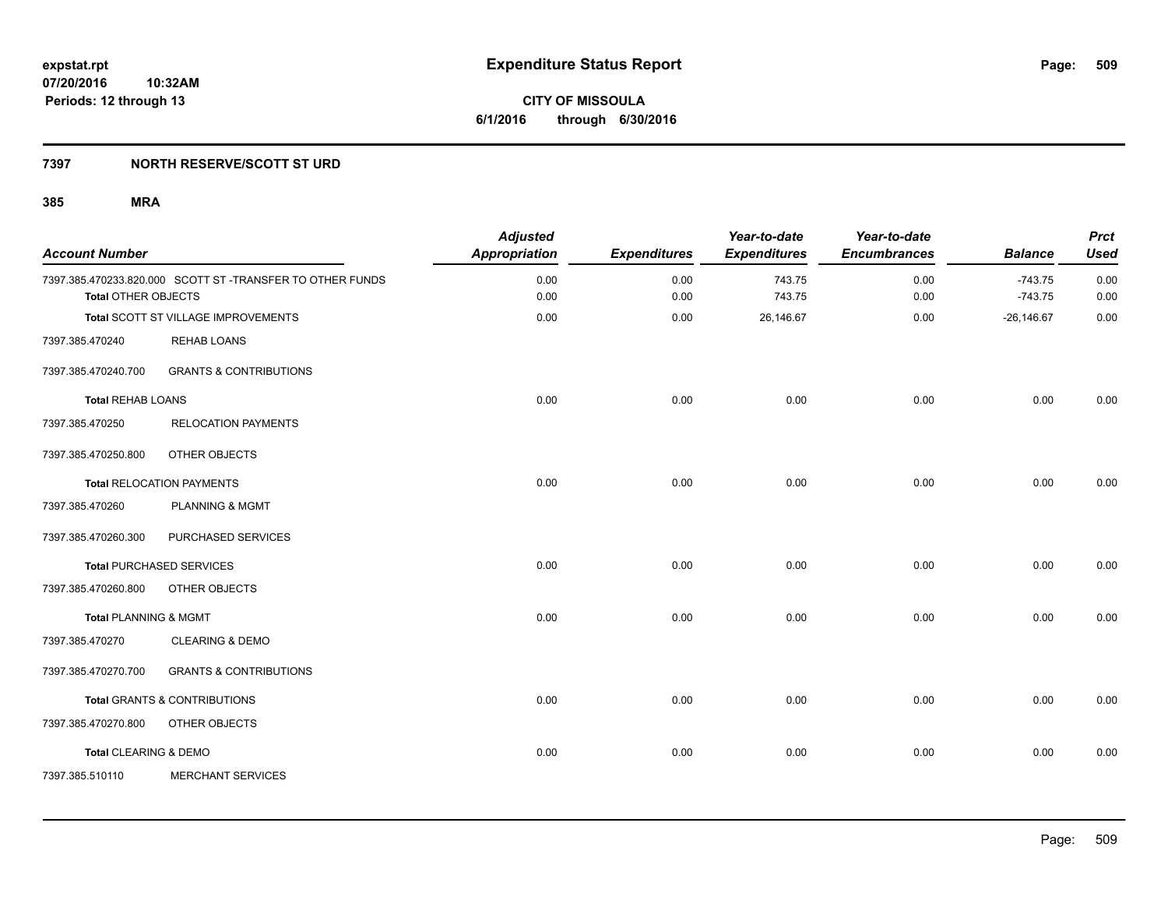# **7397 NORTH RESERVE/SCOTT ST URD**

| <b>Account Number</b>            |                                                          | <b>Adjusted</b><br><b>Appropriation</b> | <b>Expenditures</b> | Year-to-date<br><b>Expenditures</b> | Year-to-date<br><b>Encumbrances</b> | <b>Balance</b>         | <b>Prct</b><br><b>Used</b> |
|----------------------------------|----------------------------------------------------------|-----------------------------------------|---------------------|-------------------------------------|-------------------------------------|------------------------|----------------------------|
| <b>Total OTHER OBJECTS</b>       | 7397.385.470233.820.000 SCOTT ST-TRANSFER TO OTHER FUNDS | 0.00<br>0.00                            | 0.00<br>0.00        | 743.75<br>743.75                    | 0.00<br>0.00                        | $-743.75$<br>$-743.75$ | 0.00<br>0.00               |
|                                  | Total SCOTT ST VILLAGE IMPROVEMENTS                      | 0.00                                    | 0.00                | 26,146.67                           | 0.00                                | $-26, 146.67$          | 0.00                       |
| 7397.385.470240                  | <b>REHAB LOANS</b>                                       |                                         |                     |                                     |                                     |                        |                            |
| 7397.385.470240.700              | <b>GRANTS &amp; CONTRIBUTIONS</b>                        |                                         |                     |                                     |                                     |                        |                            |
| <b>Total REHAB LOANS</b>         |                                                          | 0.00                                    | 0.00                | 0.00                                | 0.00                                | 0.00                   | 0.00                       |
| 7397.385.470250                  | <b>RELOCATION PAYMENTS</b>                               |                                         |                     |                                     |                                     |                        |                            |
| 7397.385.470250.800              | OTHER OBJECTS                                            |                                         |                     |                                     |                                     |                        |                            |
|                                  | <b>Total RELOCATION PAYMENTS</b>                         | 0.00                                    | 0.00                | 0.00                                | 0.00                                | 0.00                   | 0.00                       |
| 7397.385.470260                  | <b>PLANNING &amp; MGMT</b>                               |                                         |                     |                                     |                                     |                        |                            |
| 7397.385.470260.300              | PURCHASED SERVICES                                       |                                         |                     |                                     |                                     |                        |                            |
|                                  | Total PURCHASED SERVICES                                 | 0.00                                    | 0.00                | 0.00                                | 0.00                                | 0.00                   | 0.00                       |
| 7397.385.470260.800              | OTHER OBJECTS                                            |                                         |                     |                                     |                                     |                        |                            |
| <b>Total PLANNING &amp; MGMT</b> |                                                          | 0.00                                    | 0.00                | 0.00                                | 0.00                                | 0.00                   | 0.00                       |
| 7397.385.470270                  | <b>CLEARING &amp; DEMO</b>                               |                                         |                     |                                     |                                     |                        |                            |
| 7397.385.470270.700              | <b>GRANTS &amp; CONTRIBUTIONS</b>                        |                                         |                     |                                     |                                     |                        |                            |
|                                  | Total GRANTS & CONTRIBUTIONS                             | 0.00                                    | 0.00                | 0.00                                | 0.00                                | 0.00                   | 0.00                       |
| 7397.385.470270.800              | OTHER OBJECTS                                            |                                         |                     |                                     |                                     |                        |                            |
| Total CLEARING & DEMO            |                                                          | 0.00                                    | 0.00                | 0.00                                | 0.00                                | 0.00                   | 0.00                       |
| 7397.385.510110                  | <b>MERCHANT SERVICES</b>                                 |                                         |                     |                                     |                                     |                        |                            |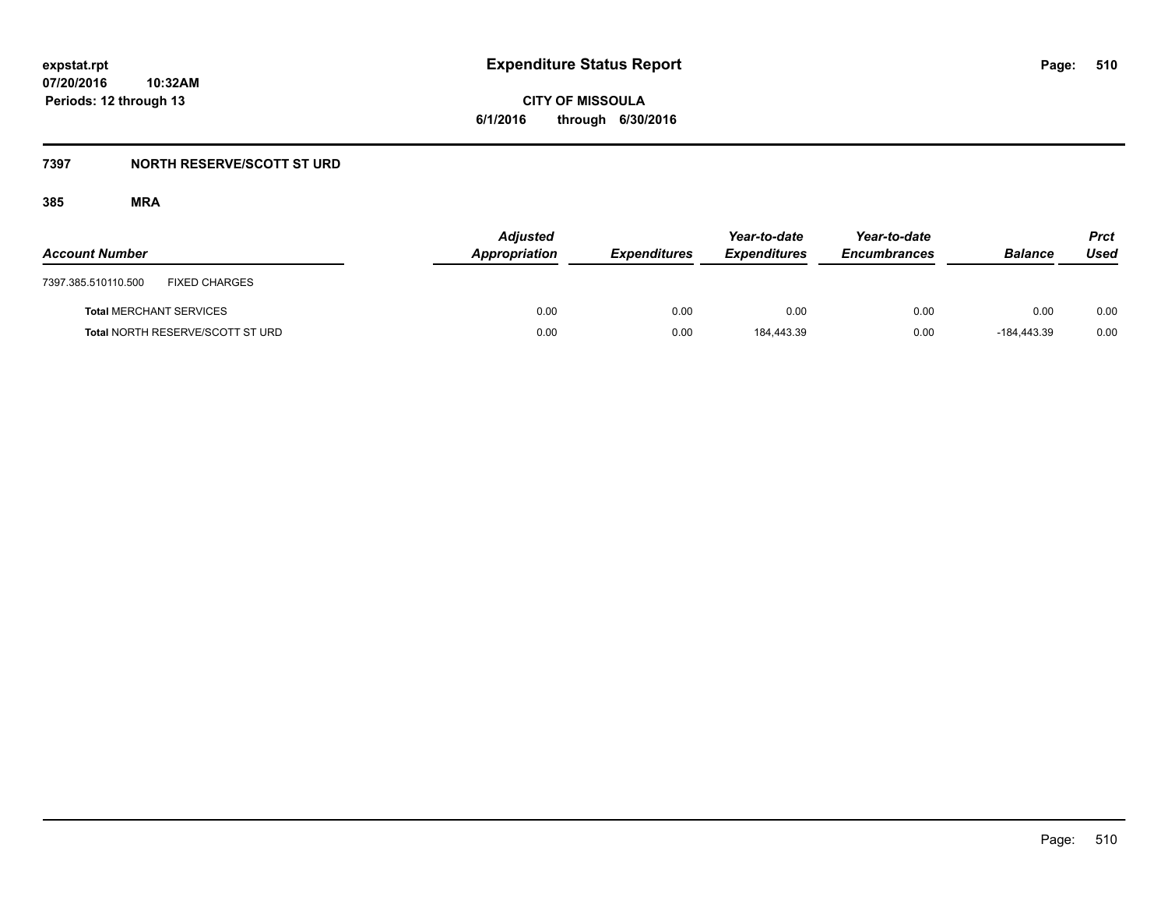**CITY OF MISSOULA 6/1/2016 through 6/30/2016**

# **7397 NORTH RESERVE/SCOTT ST URD**

| <b>Account Number</b>                       | <b>Adjusted</b><br>Appropriation | <b>Expenditures</b> | Year-to-date<br><b>Expenditures</b> | Year-to-date<br><b>Encumbrances</b> | <b>Balance</b> | <b>Prct</b><br>Used |
|---------------------------------------------|----------------------------------|---------------------|-------------------------------------|-------------------------------------|----------------|---------------------|
| 7397.385.510110.500<br><b>FIXED CHARGES</b> |                                  |                     |                                     |                                     |                |                     |
| <b>Total MERCHANT SERVICES</b>              | 0.00                             | 0.00                | 0.00                                | 0.00                                | 0.00           | 0.00                |
| <b>Total NORTH RESERVE/SCOTT ST URD</b>     | 0.00                             | 0.00                | 184.443.39                          | 0.00                                | $-184.443.39$  | 0.00                |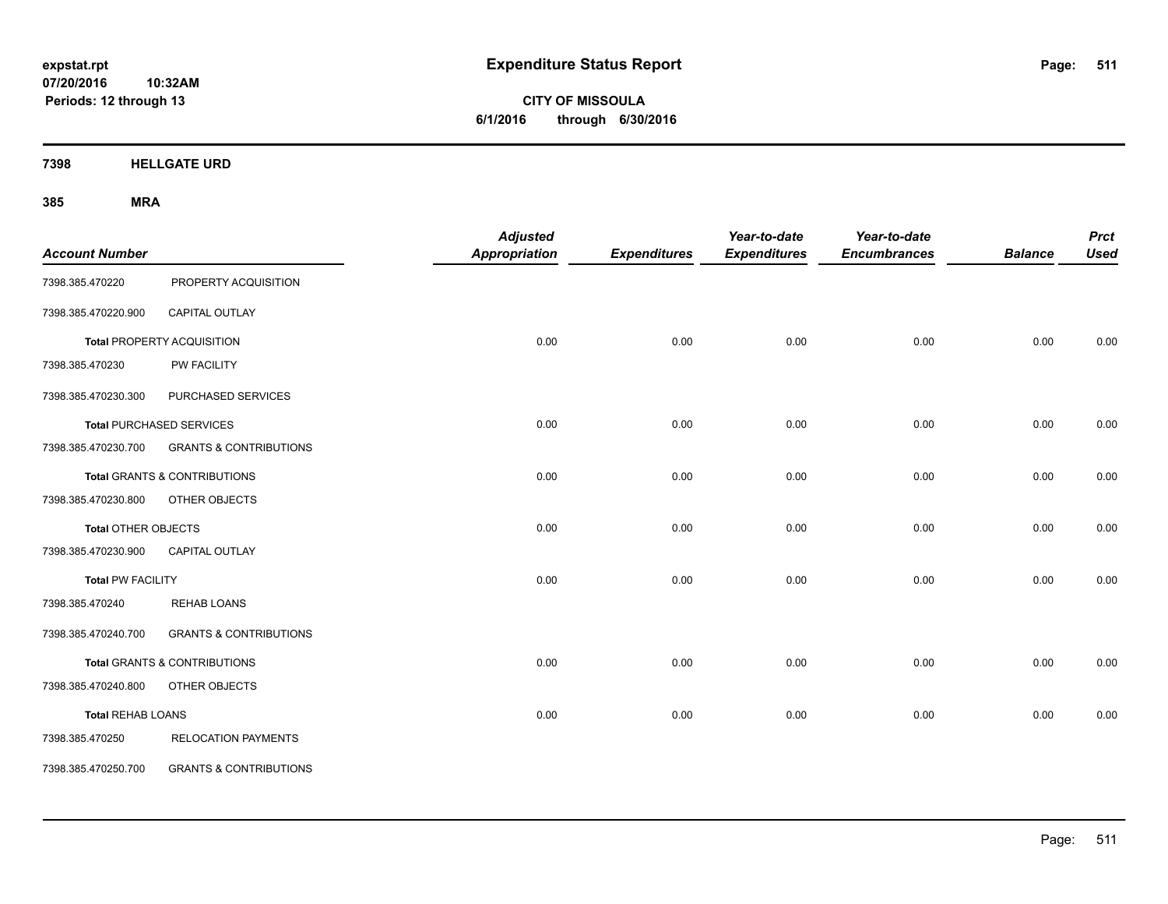**CITY OF MISSOULA 6/1/2016 through 6/30/2016**

**7398 HELLGATE URD**

| <b>Account Number</b>    |                                         | <b>Adjusted</b><br><b>Appropriation</b> | <b>Expenditures</b> | Year-to-date<br><b>Expenditures</b> | Year-to-date<br><b>Encumbrances</b> | <b>Balance</b> | <b>Prct</b><br><b>Used</b> |
|--------------------------|-----------------------------------------|-----------------------------------------|---------------------|-------------------------------------|-------------------------------------|----------------|----------------------------|
| 7398.385.470220          | PROPERTY ACQUISITION                    |                                         |                     |                                     |                                     |                |                            |
| 7398.385.470220.900      | CAPITAL OUTLAY                          |                                         |                     |                                     |                                     |                |                            |
|                          | Total PROPERTY ACQUISITION              | 0.00                                    | 0.00                | 0.00                                | 0.00                                | 0.00           | 0.00                       |
| 7398.385.470230          | PW FACILITY                             |                                         |                     |                                     |                                     |                |                            |
| 7398.385.470230.300      | PURCHASED SERVICES                      |                                         |                     |                                     |                                     |                |                            |
|                          | <b>Total PURCHASED SERVICES</b>         | 0.00                                    | 0.00                | 0.00                                | 0.00                                | 0.00           | 0.00                       |
| 7398.385.470230.700      | <b>GRANTS &amp; CONTRIBUTIONS</b>       |                                         |                     |                                     |                                     |                |                            |
|                          | <b>Total GRANTS &amp; CONTRIBUTIONS</b> | 0.00                                    | 0.00                | 0.00                                | 0.00                                | 0.00           | 0.00                       |
| 7398.385.470230.800      | OTHER OBJECTS                           |                                         |                     |                                     |                                     |                |                            |
| Total OTHER OBJECTS      |                                         | 0.00                                    | 0.00                | 0.00                                | 0.00                                | 0.00           | 0.00                       |
| 7398.385.470230.900      | CAPITAL OUTLAY                          |                                         |                     |                                     |                                     |                |                            |
| <b>Total PW FACILITY</b> |                                         | 0.00                                    | 0.00                | 0.00                                | 0.00                                | 0.00           | 0.00                       |
| 7398.385.470240          | <b>REHAB LOANS</b>                      |                                         |                     |                                     |                                     |                |                            |
| 7398.385.470240.700      | <b>GRANTS &amp; CONTRIBUTIONS</b>       |                                         |                     |                                     |                                     |                |                            |
|                          | Total GRANTS & CONTRIBUTIONS            | 0.00                                    | 0.00                | 0.00                                | 0.00                                | 0.00           | 0.00                       |
| 7398.385.470240.800      | OTHER OBJECTS                           |                                         |                     |                                     |                                     |                |                            |
| <b>Total REHAB LOANS</b> |                                         | 0.00                                    | 0.00                | 0.00                                | 0.00                                | 0.00           | 0.00                       |
| 7398.385.470250          | <b>RELOCATION PAYMENTS</b>              |                                         |                     |                                     |                                     |                |                            |
| 7398.385.470250.700      | <b>GRANTS &amp; CONTRIBUTIONS</b>       |                                         |                     |                                     |                                     |                |                            |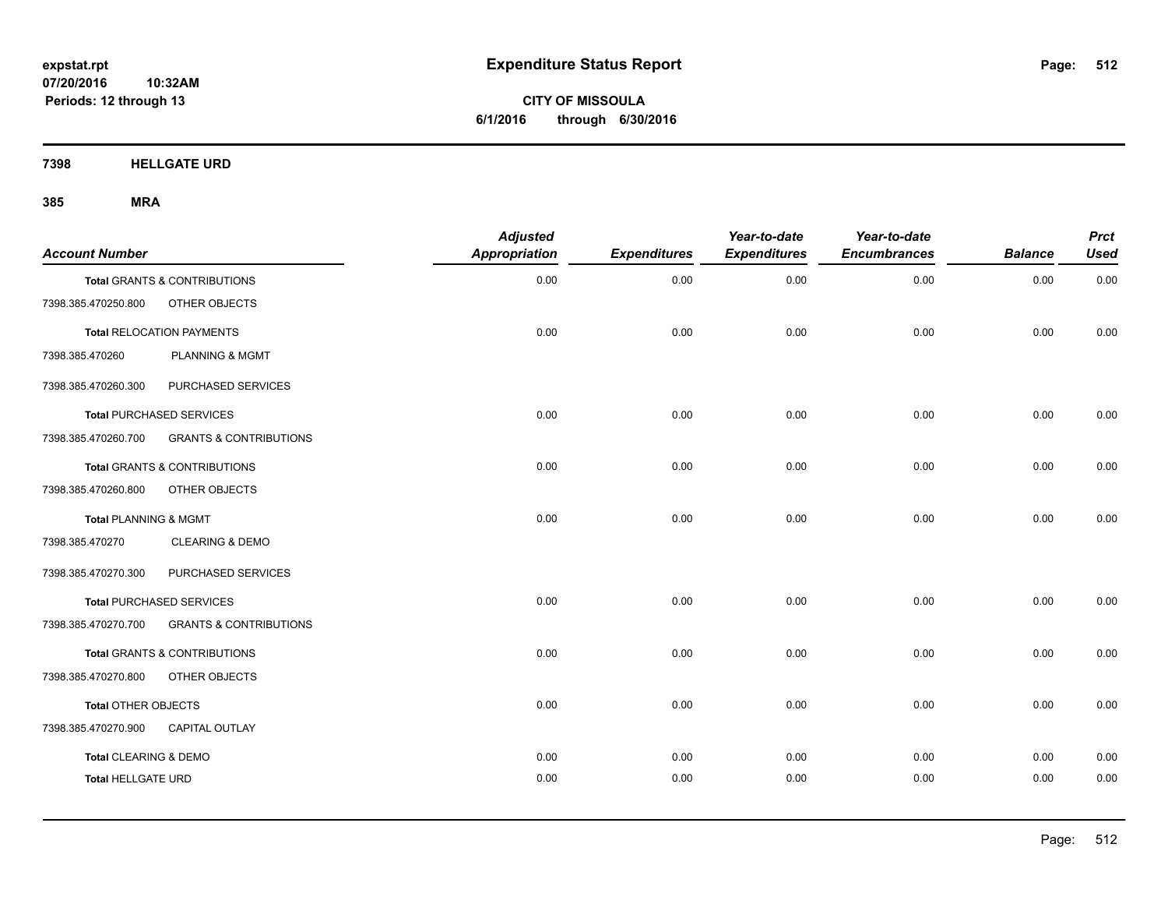**CITY OF MISSOULA 6/1/2016 through 6/30/2016**

**7398 HELLGATE URD**

| <b>Account Number</b>     |                                   | <b>Adjusted</b><br>Appropriation | <b>Expenditures</b> | Year-to-date<br><b>Expenditures</b> | Year-to-date<br><b>Encumbrances</b> | <b>Balance</b> | <b>Prct</b><br><b>Used</b> |
|---------------------------|-----------------------------------|----------------------------------|---------------------|-------------------------------------|-------------------------------------|----------------|----------------------------|
|                           | Total GRANTS & CONTRIBUTIONS      | 0.00                             | 0.00                | 0.00                                | 0.00                                | 0.00           | 0.00                       |
| 7398.385.470250.800       | OTHER OBJECTS                     |                                  |                     |                                     |                                     |                |                            |
|                           | <b>Total RELOCATION PAYMENTS</b>  | 0.00                             | 0.00                | 0.00                                | 0.00                                | 0.00           | 0.00                       |
| 7398.385.470260           | <b>PLANNING &amp; MGMT</b>        |                                  |                     |                                     |                                     |                |                            |
| 7398.385.470260.300       | PURCHASED SERVICES                |                                  |                     |                                     |                                     |                |                            |
|                           | <b>Total PURCHASED SERVICES</b>   | 0.00                             | 0.00                | 0.00                                | 0.00                                | 0.00           | 0.00                       |
| 7398.385.470260.700       | <b>GRANTS &amp; CONTRIBUTIONS</b> |                                  |                     |                                     |                                     |                |                            |
|                           | Total GRANTS & CONTRIBUTIONS      | 0.00                             | 0.00                | 0.00                                | 0.00                                | 0.00           | 0.00                       |
| 7398.385.470260.800       | OTHER OBJECTS                     |                                  |                     |                                     |                                     |                |                            |
| Total PLANNING & MGMT     |                                   | 0.00                             | 0.00                | 0.00                                | 0.00                                | 0.00           | 0.00                       |
| 7398.385.470270           | <b>CLEARING &amp; DEMO</b>        |                                  |                     |                                     |                                     |                |                            |
| 7398.385.470270.300       | PURCHASED SERVICES                |                                  |                     |                                     |                                     |                |                            |
|                           | <b>Total PURCHASED SERVICES</b>   | 0.00                             | 0.00                | 0.00                                | 0.00                                | 0.00           | 0.00                       |
| 7398.385.470270.700       | <b>GRANTS &amp; CONTRIBUTIONS</b> |                                  |                     |                                     |                                     |                |                            |
|                           | Total GRANTS & CONTRIBUTIONS      | 0.00                             | 0.00                | 0.00                                | 0.00                                | 0.00           | 0.00                       |
| 7398.385.470270.800       | OTHER OBJECTS                     |                                  |                     |                                     |                                     |                |                            |
| Total OTHER OBJECTS       |                                   | 0.00                             | 0.00                | 0.00                                | 0.00                                | 0.00           | 0.00                       |
| 7398.385.470270.900       | <b>CAPITAL OUTLAY</b>             |                                  |                     |                                     |                                     |                |                            |
| Total CLEARING & DEMO     |                                   | 0.00                             | 0.00                | 0.00                                | 0.00                                | 0.00           | 0.00                       |
| <b>Total HELLGATE URD</b> |                                   | 0.00                             | 0.00                | 0.00                                | 0.00                                | 0.00           | 0.00                       |
|                           |                                   |                                  |                     |                                     |                                     |                |                            |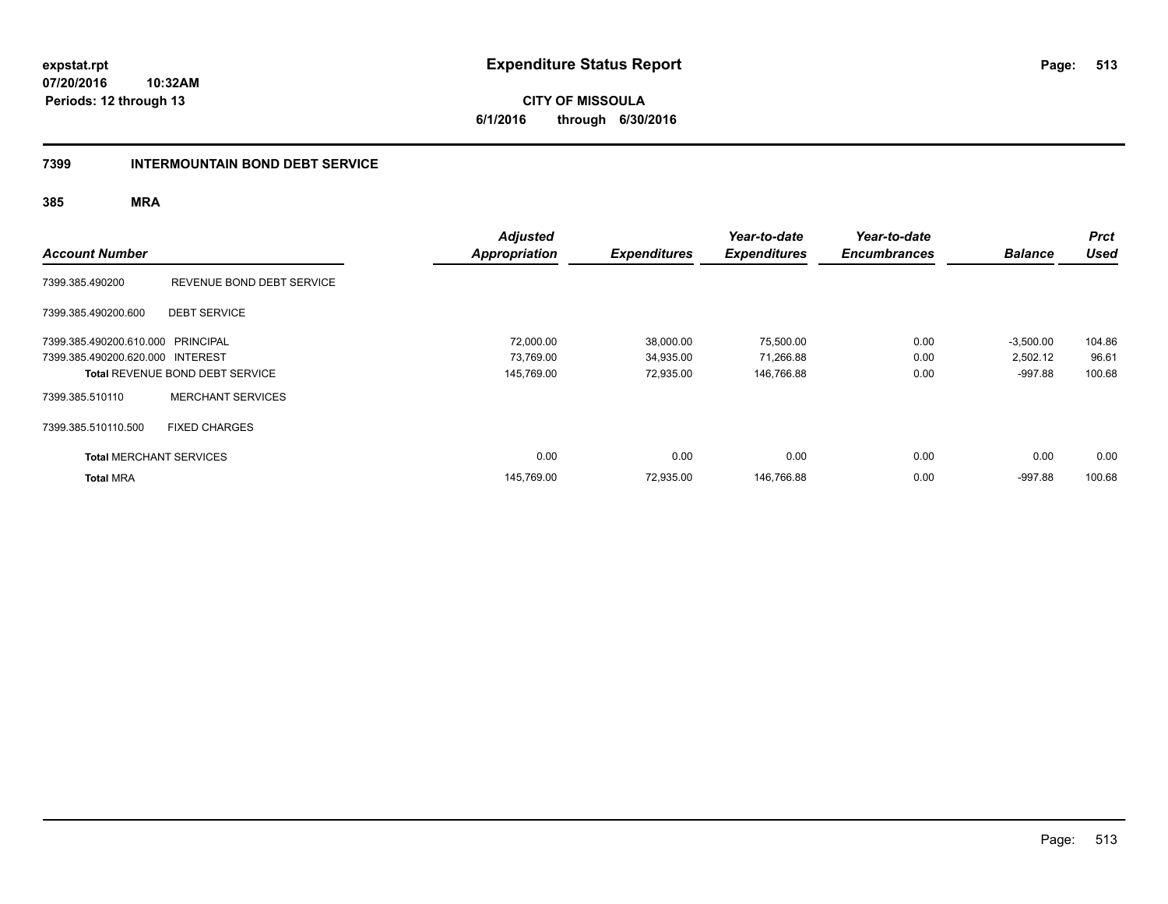**CITY OF MISSOULA 6/1/2016 through 6/30/2016**

### **7399 INTERMOUNTAIN BOND DEBT SERVICE**

| <b>Account Number</b>             |                                        | <b>Adjusted</b><br><b>Appropriation</b> | <b>Expenditures</b> | Year-to-date<br><b>Expenditures</b> | Year-to-date<br><b>Encumbrances</b> | <b>Balance</b> | <b>Prct</b><br><b>Used</b> |
|-----------------------------------|----------------------------------------|-----------------------------------------|---------------------|-------------------------------------|-------------------------------------|----------------|----------------------------|
| 7399.385.490200                   | REVENUE BOND DEBT SERVICE              |                                         |                     |                                     |                                     |                |                            |
| 7399.385.490200.600               | <b>DEBT SERVICE</b>                    |                                         |                     |                                     |                                     |                |                            |
| 7399.385.490200.610.000 PRINCIPAL |                                        | 72,000.00                               | 38,000.00           | 75,500.00                           | 0.00                                | $-3,500.00$    | 104.86                     |
| 7399.385.490200.620.000 INTEREST  |                                        | 73.769.00                               | 34,935.00           | 71,266.88                           | 0.00                                | 2,502.12       | 96.61                      |
|                                   | <b>Total REVENUE BOND DEBT SERVICE</b> | 145,769.00                              | 72,935.00           | 146,766.88                          | 0.00                                | $-997.88$      | 100.68                     |
| 7399.385.510110                   | <b>MERCHANT SERVICES</b>               |                                         |                     |                                     |                                     |                |                            |
| 7399.385.510110.500               | <b>FIXED CHARGES</b>                   |                                         |                     |                                     |                                     |                |                            |
| <b>Total MERCHANT SERVICES</b>    |                                        | 0.00                                    | 0.00                | 0.00                                | 0.00                                | 0.00           | 0.00                       |
| <b>Total MRA</b>                  |                                        | 145,769.00                              | 72,935.00           | 146,766.88                          | 0.00                                | $-997.88$      | 100.68                     |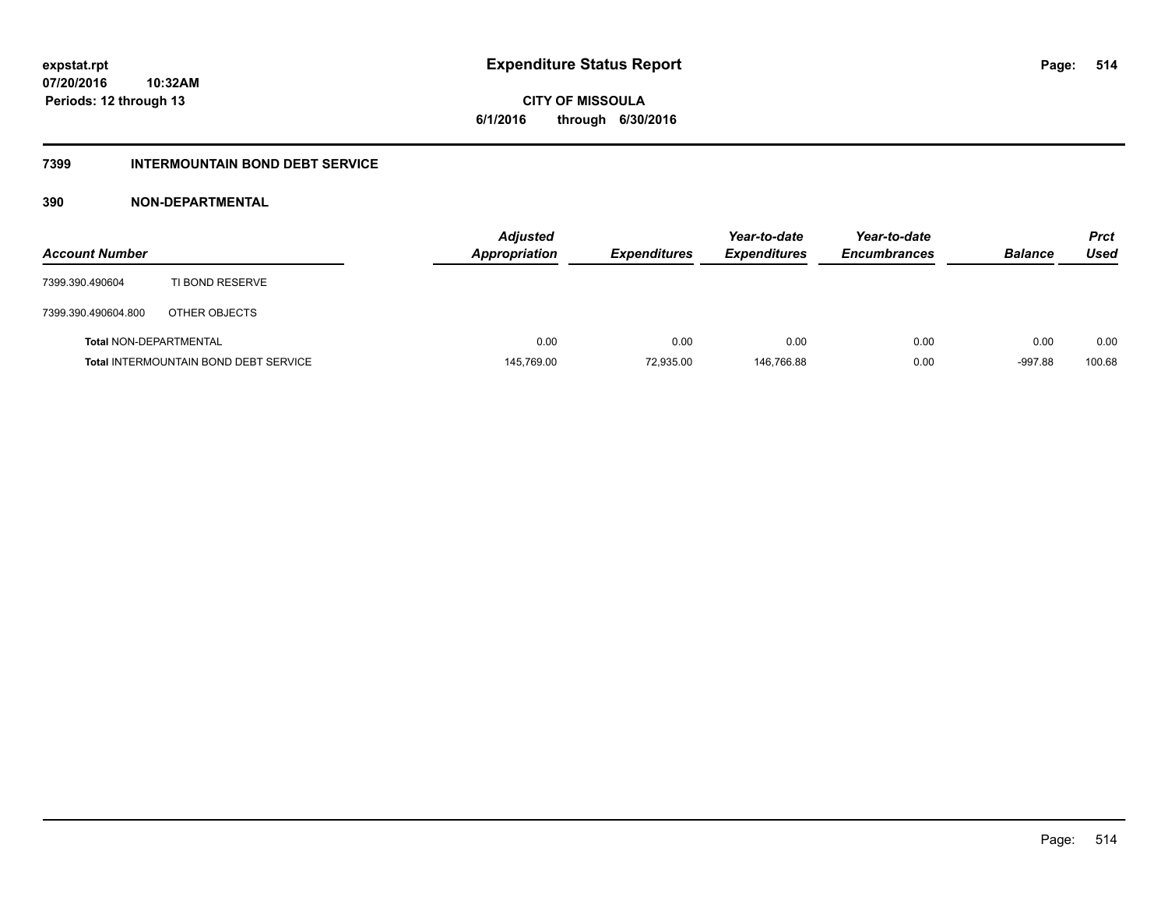# **CITY OF MISSOULA 6/1/2016 through 6/30/2016**

# **7399 INTERMOUNTAIN BOND DEBT SERVICE**

# **390 NON-DEPARTMENTAL**

| <b>Account Number</b>         |                                              | <b>Adjusted</b><br>Appropriation | <b>Expenditures</b> | Year-to-date<br><b>Expenditures</b> | Year-to-date<br><b>Encumbrances</b> | <b>Balance</b> | <b>Prct</b><br>Used |
|-------------------------------|----------------------------------------------|----------------------------------|---------------------|-------------------------------------|-------------------------------------|----------------|---------------------|
| 7399.390.490604               | TI BOND RESERVE                              |                                  |                     |                                     |                                     |                |                     |
| 7399.390.490604.800           | OTHER OBJECTS                                |                                  |                     |                                     |                                     |                |                     |
| <b>Total NON-DEPARTMENTAL</b> |                                              | 0.00                             | 0.00                | 0.00                                | 0.00                                | 0.00           | 0.00                |
|                               | <b>Total INTERMOUNTAIN BOND DEBT SERVICE</b> | 145,769.00                       | 72,935.00           | 146.766.88                          | 0.00                                | $-997.88$      | 100.68              |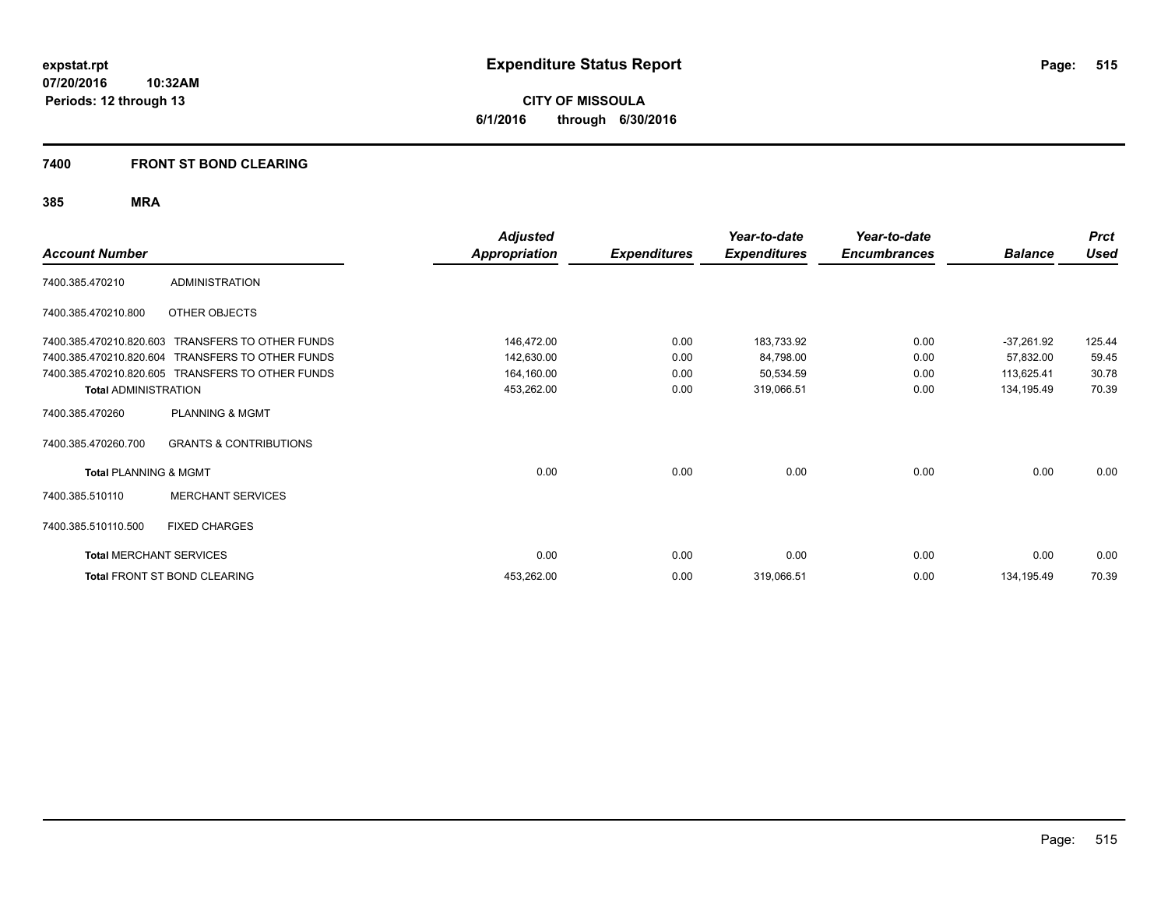**CITY OF MISSOULA 6/1/2016 through 6/30/2016**

# **7400 FRONT ST BOND CLEARING**

|                                  |                                                  | <b>Adjusted</b>      |                     | Year-to-date        | Year-to-date        |                | <b>Prct</b> |
|----------------------------------|--------------------------------------------------|----------------------|---------------------|---------------------|---------------------|----------------|-------------|
| <b>Account Number</b>            |                                                  | <b>Appropriation</b> | <b>Expenditures</b> | <b>Expenditures</b> | <b>Encumbrances</b> | <b>Balance</b> | <b>Used</b> |
| 7400.385.470210                  | <b>ADMINISTRATION</b>                            |                      |                     |                     |                     |                |             |
| 7400.385.470210.800              | OTHER OBJECTS                                    |                      |                     |                     |                     |                |             |
| 7400.385.470210.820.603          | TRANSFERS TO OTHER FUNDS                         | 146,472.00           | 0.00                | 183,733.92          | 0.00                | $-37,261.92$   | 125.44      |
| 7400.385.470210.820.604          | <b>TRANSFERS TO OTHER FUNDS</b>                  | 142,630.00           | 0.00                | 84,798.00           | 0.00                | 57,832.00      | 59.45       |
|                                  | 7400.385.470210.820.605 TRANSFERS TO OTHER FUNDS | 164,160.00           | 0.00                | 50,534.59           | 0.00                | 113,625.41     | 30.78       |
| <b>Total ADMINISTRATION</b>      |                                                  | 453,262.00           | 0.00                | 319,066.51          | 0.00                | 134,195.49     | 70.39       |
| 7400.385.470260                  | <b>PLANNING &amp; MGMT</b>                       |                      |                     |                     |                     |                |             |
| 7400.385.470260.700              | <b>GRANTS &amp; CONTRIBUTIONS</b>                |                      |                     |                     |                     |                |             |
| <b>Total PLANNING &amp; MGMT</b> |                                                  | 0.00                 | 0.00                | 0.00                | 0.00                | 0.00           | 0.00        |
| 7400.385.510110                  | <b>MERCHANT SERVICES</b>                         |                      |                     |                     |                     |                |             |
| 7400.385.510110.500              | <b>FIXED CHARGES</b>                             |                      |                     |                     |                     |                |             |
| <b>Total MERCHANT SERVICES</b>   |                                                  | 0.00                 | 0.00                | 0.00                | 0.00                | 0.00           | 0.00        |
|                                  | Total FRONT ST BOND CLEARING                     | 453,262.00           | 0.00                | 319,066.51          | 0.00                | 134,195.49     | 70.39       |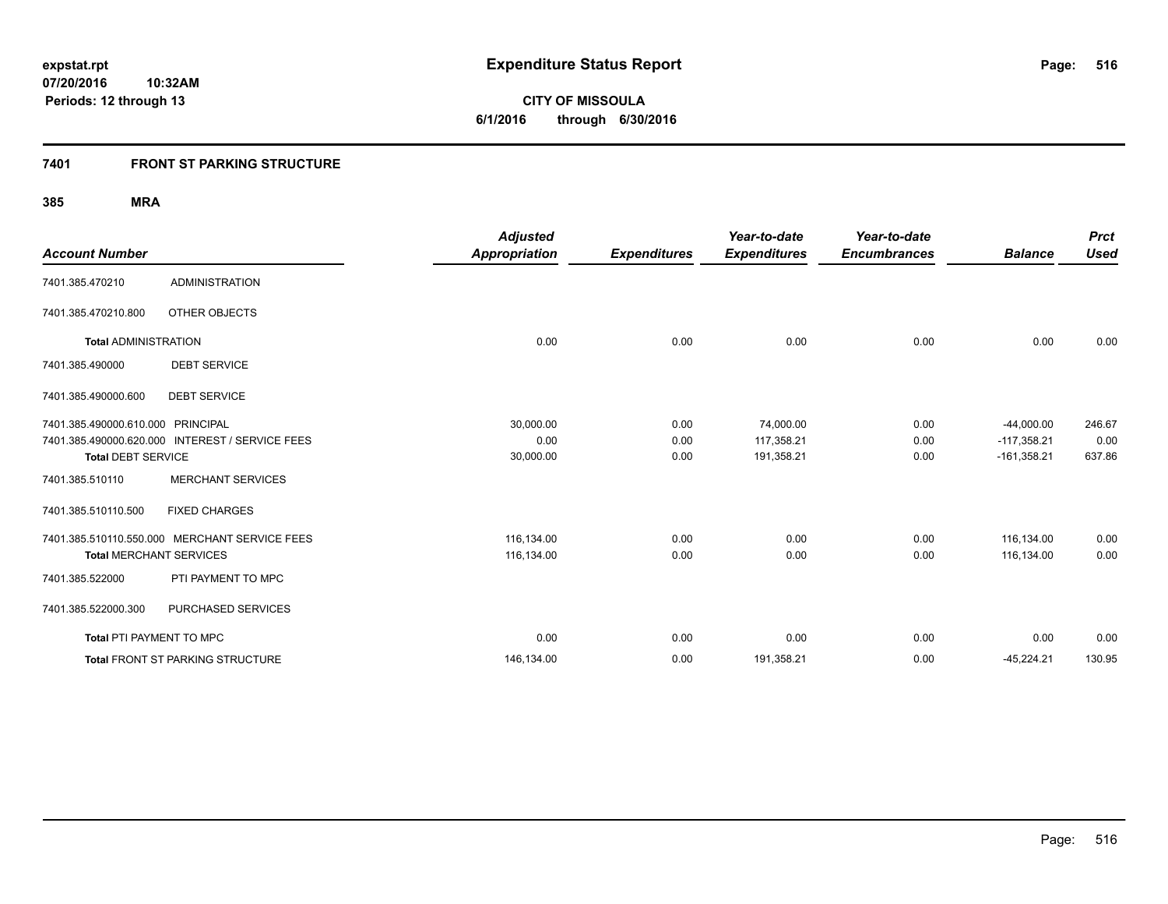**516**

**07/20/2016 10:32AM Periods: 12 through 13**

**CITY OF MISSOULA 6/1/2016 through 6/30/2016**

# **7401 FRONT ST PARKING STRUCTURE**

| <b>Account Number</b>             |                                                 | <b>Adjusted</b><br><b>Appropriation</b> | <b>Expenditures</b> | Year-to-date<br><b>Expenditures</b> | Year-to-date<br><b>Encumbrances</b> | <b>Balance</b> | <b>Prct</b><br><b>Used</b> |
|-----------------------------------|-------------------------------------------------|-----------------------------------------|---------------------|-------------------------------------|-------------------------------------|----------------|----------------------------|
|                                   |                                                 |                                         |                     |                                     |                                     |                |                            |
| 7401.385.470210                   | <b>ADMINISTRATION</b>                           |                                         |                     |                                     |                                     |                |                            |
| 7401.385.470210.800               | OTHER OBJECTS                                   |                                         |                     |                                     |                                     |                |                            |
| <b>Total ADMINISTRATION</b>       |                                                 | 0.00                                    | 0.00                | 0.00                                | 0.00                                | 0.00           | 0.00                       |
| 7401.385.490000                   | <b>DEBT SERVICE</b>                             |                                         |                     |                                     |                                     |                |                            |
| 7401.385.490000.600               | <b>DEBT SERVICE</b>                             |                                         |                     |                                     |                                     |                |                            |
| 7401.385.490000.610.000 PRINCIPAL |                                                 | 30,000.00                               | 0.00                | 74,000.00                           | 0.00                                | $-44,000.00$   | 246.67                     |
|                                   | 7401.385.490000.620.000 INTEREST / SERVICE FEES | 0.00                                    | 0.00                | 117,358.21                          | 0.00                                | $-117,358.21$  | 0.00                       |
| <b>Total DEBT SERVICE</b>         |                                                 | 30,000.00                               | 0.00                | 191,358.21                          | 0.00                                | $-161,358.21$  | 637.86                     |
| 7401.385.510110                   | <b>MERCHANT SERVICES</b>                        |                                         |                     |                                     |                                     |                |                            |
| 7401.385.510110.500               | <b>FIXED CHARGES</b>                            |                                         |                     |                                     |                                     |                |                            |
|                                   | 7401.385.510110.550.000 MERCHANT SERVICE FEES   | 116,134.00                              | 0.00                | 0.00                                | 0.00                                | 116.134.00     | 0.00                       |
| <b>Total MERCHANT SERVICES</b>    |                                                 | 116,134.00                              | 0.00                | 0.00                                | 0.00                                | 116,134.00     | 0.00                       |
| 7401.385.522000                   | PTI PAYMENT TO MPC                              |                                         |                     |                                     |                                     |                |                            |
| 7401.385.522000.300               | PURCHASED SERVICES                              |                                         |                     |                                     |                                     |                |                            |
| Total PTI PAYMENT TO MPC          |                                                 | 0.00                                    | 0.00                | 0.00                                | 0.00                                | 0.00           | 0.00                       |
|                                   | Total FRONT ST PARKING STRUCTURE                | 146,134.00                              | 0.00                | 191,358.21                          | 0.00                                | $-45,224.21$   | 130.95                     |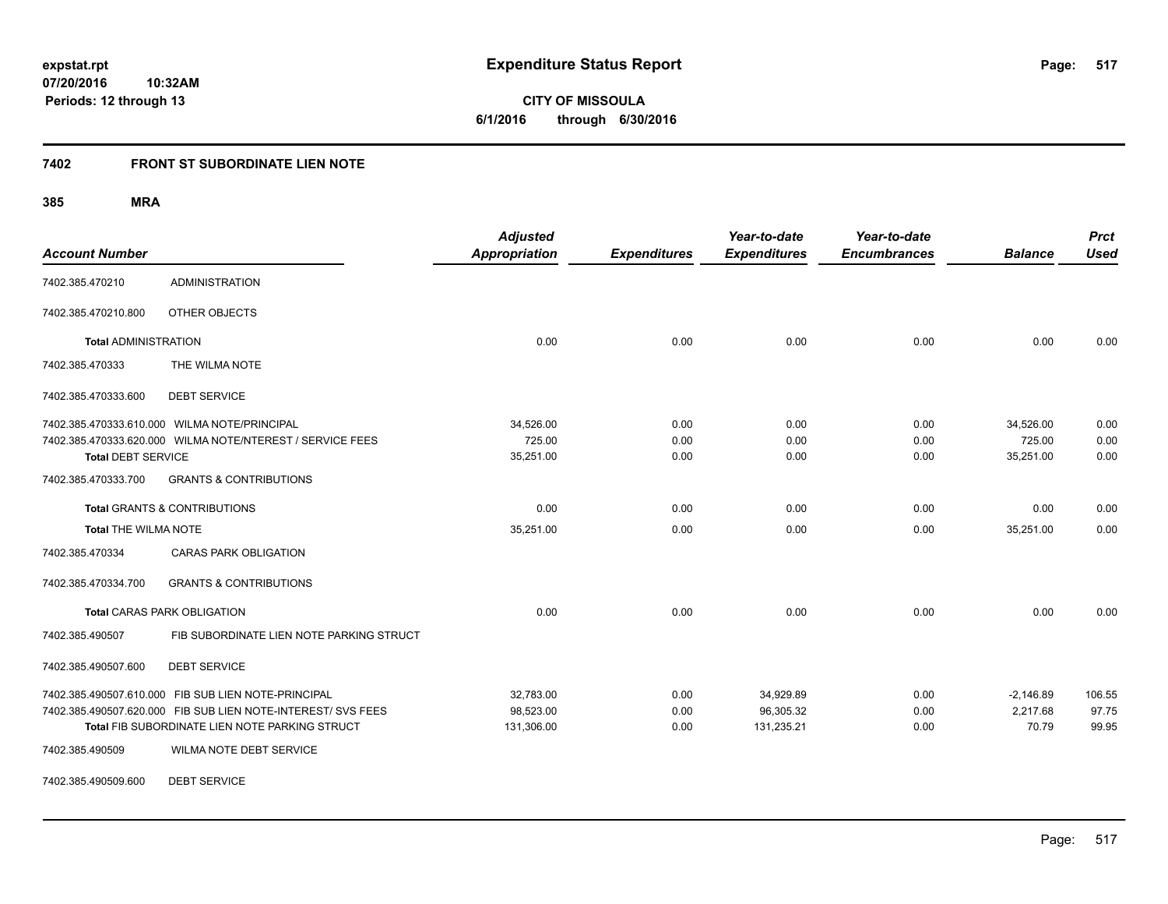**517**

**07/20/2016 10:32AM Periods: 12 through 13**

**CITY OF MISSOULA 6/1/2016 through 6/30/2016**

## **7402 FRONT ST SUBORDINATE LIEN NOTE**

**385 MRA**

| <b>Account Number</b>       |                                                              | <b>Adjusted</b><br><b>Appropriation</b> | <b>Expenditures</b> | Year-to-date<br><b>Expenditures</b> | Year-to-date<br><b>Encumbrances</b> | <b>Balance</b> | <b>Prct</b><br><b>Used</b> |
|-----------------------------|--------------------------------------------------------------|-----------------------------------------|---------------------|-------------------------------------|-------------------------------------|----------------|----------------------------|
| 7402.385.470210             | <b>ADMINISTRATION</b>                                        |                                         |                     |                                     |                                     |                |                            |
| 7402.385.470210.800         | OTHER OBJECTS                                                |                                         |                     |                                     |                                     |                |                            |
| <b>Total ADMINISTRATION</b> |                                                              | 0.00                                    | 0.00                | 0.00                                | 0.00                                | 0.00           | 0.00                       |
| 7402.385.470333             | THE WILMA NOTE                                               |                                         |                     |                                     |                                     |                |                            |
| 7402.385.470333.600         | <b>DEBT SERVICE</b>                                          |                                         |                     |                                     |                                     |                |                            |
|                             | 7402.385.470333.610.000 WILMA NOTE/PRINCIPAL                 | 34,526.00                               | 0.00                | 0.00                                | 0.00                                | 34,526.00      | 0.00                       |
|                             | 7402.385.470333.620.000 WILMA NOTE/NTEREST / SERVICE FEES    | 725.00                                  | 0.00                | 0.00                                | 0.00                                | 725.00         | 0.00                       |
| <b>Total DEBT SERVICE</b>   |                                                              | 35,251.00                               | 0.00                | 0.00                                | 0.00                                | 35,251.00      | 0.00                       |
| 7402.385.470333.700         | <b>GRANTS &amp; CONTRIBUTIONS</b>                            |                                         |                     |                                     |                                     |                |                            |
|                             | <b>Total GRANTS &amp; CONTRIBUTIONS</b>                      | 0.00                                    | 0.00                | 0.00                                | 0.00                                | 0.00           | 0.00                       |
| <b>Total THE WILMA NOTE</b> |                                                              | 35,251.00                               | 0.00                | 0.00                                | 0.00                                | 35,251.00      | 0.00                       |
| 7402.385.470334             | <b>CARAS PARK OBLIGATION</b>                                 |                                         |                     |                                     |                                     |                |                            |
| 7402.385.470334.700         | <b>GRANTS &amp; CONTRIBUTIONS</b>                            |                                         |                     |                                     |                                     |                |                            |
|                             | <b>Total CARAS PARK OBLIGATION</b>                           | 0.00                                    | 0.00                | 0.00                                | 0.00                                | 0.00           | 0.00                       |
| 7402.385.490507             | FIB SUBORDINATE LIEN NOTE PARKING STRUCT                     |                                         |                     |                                     |                                     |                |                            |
| 7402.385.490507.600         | <b>DEBT SERVICE</b>                                          |                                         |                     |                                     |                                     |                |                            |
|                             | 7402.385.490507.610.000 FIB SUB LIEN NOTE-PRINCIPAL          | 32,783.00                               | 0.00                | 34,929.89                           | 0.00                                | $-2,146.89$    | 106.55                     |
|                             | 7402.385.490507.620.000 FIB SUB LIEN NOTE-INTEREST/ SVS FEES | 98,523.00                               | 0.00                | 96,305.32                           | 0.00                                | 2,217.68       | 97.75                      |
|                             | Total FIB SUBORDINATE LIEN NOTE PARKING STRUCT               | 131,306.00                              | 0.00                | 131,235.21                          | 0.00                                | 70.79          | 99.95                      |
| 7402.385.490509             | WILMA NOTE DEBT SERVICE                                      |                                         |                     |                                     |                                     |                |                            |

7402.385.490509.600 DEBT SERVICE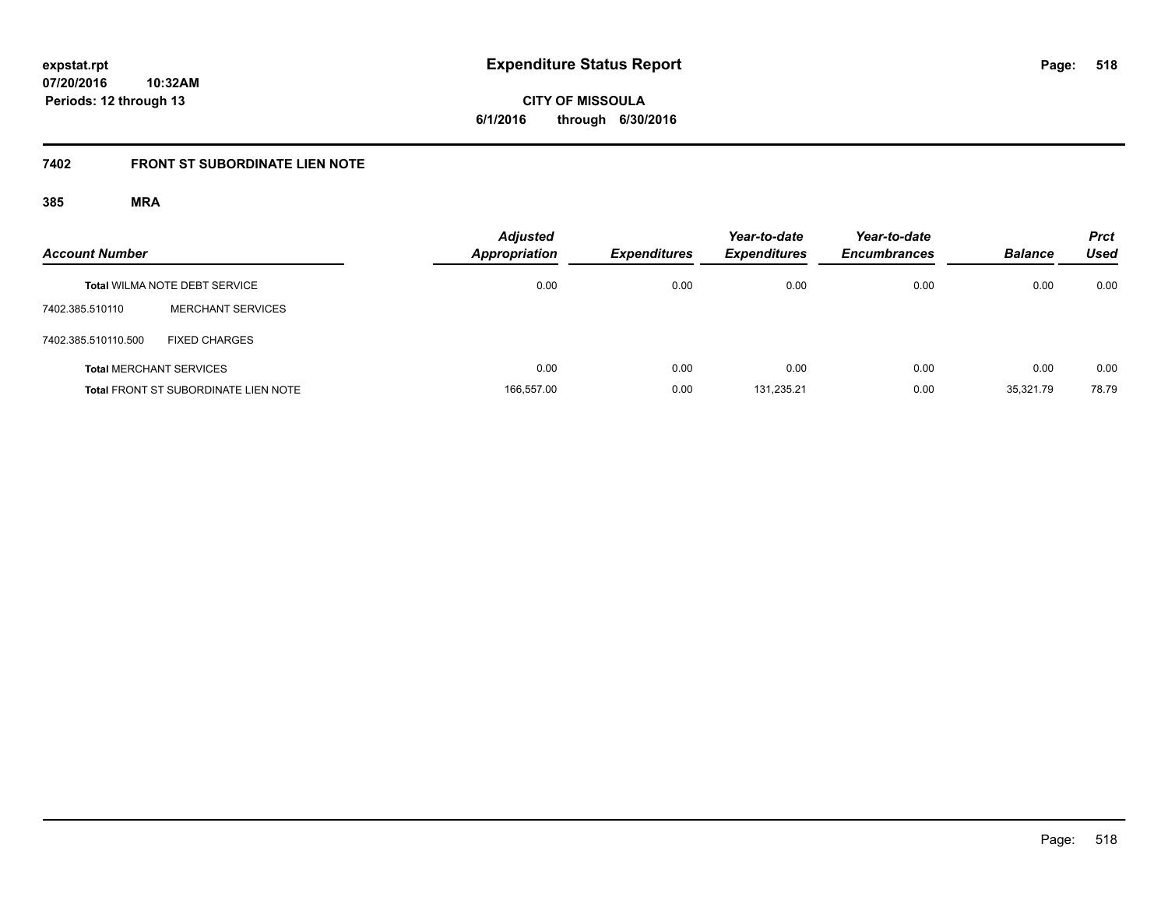**CITY OF MISSOULA 6/1/2016 through 6/30/2016**

# **7402 FRONT ST SUBORDINATE LIEN NOTE**

| <b>Account Number</b> |                                             | <b>Adjusted</b><br><b>Appropriation</b> | <b>Expenditures</b> | Year-to-date<br><b>Expenditures</b> | Year-to-date<br><b>Encumbrances</b> | <b>Balance</b> | <b>Prct</b><br>Used |
|-----------------------|---------------------------------------------|-----------------------------------------|---------------------|-------------------------------------|-------------------------------------|----------------|---------------------|
|                       | <b>Total WILMA NOTE DEBT SERVICE</b>        | 0.00                                    | 0.00                | 0.00                                | 0.00                                | 0.00           | 0.00                |
| 7402.385.510110       | <b>MERCHANT SERVICES</b>                    |                                         |                     |                                     |                                     |                |                     |
| 7402.385.510110.500   | <b>FIXED CHARGES</b>                        |                                         |                     |                                     |                                     |                |                     |
|                       | <b>Total MERCHANT SERVICES</b>              | 0.00                                    | 0.00                | 0.00                                | 0.00                                | 0.00           | 0.00                |
|                       | <b>Total FRONT ST SUBORDINATE LIEN NOTE</b> | 166,557.00                              | 0.00                | 131.235.21                          | 0.00                                | 35.321.79      | 78.79               |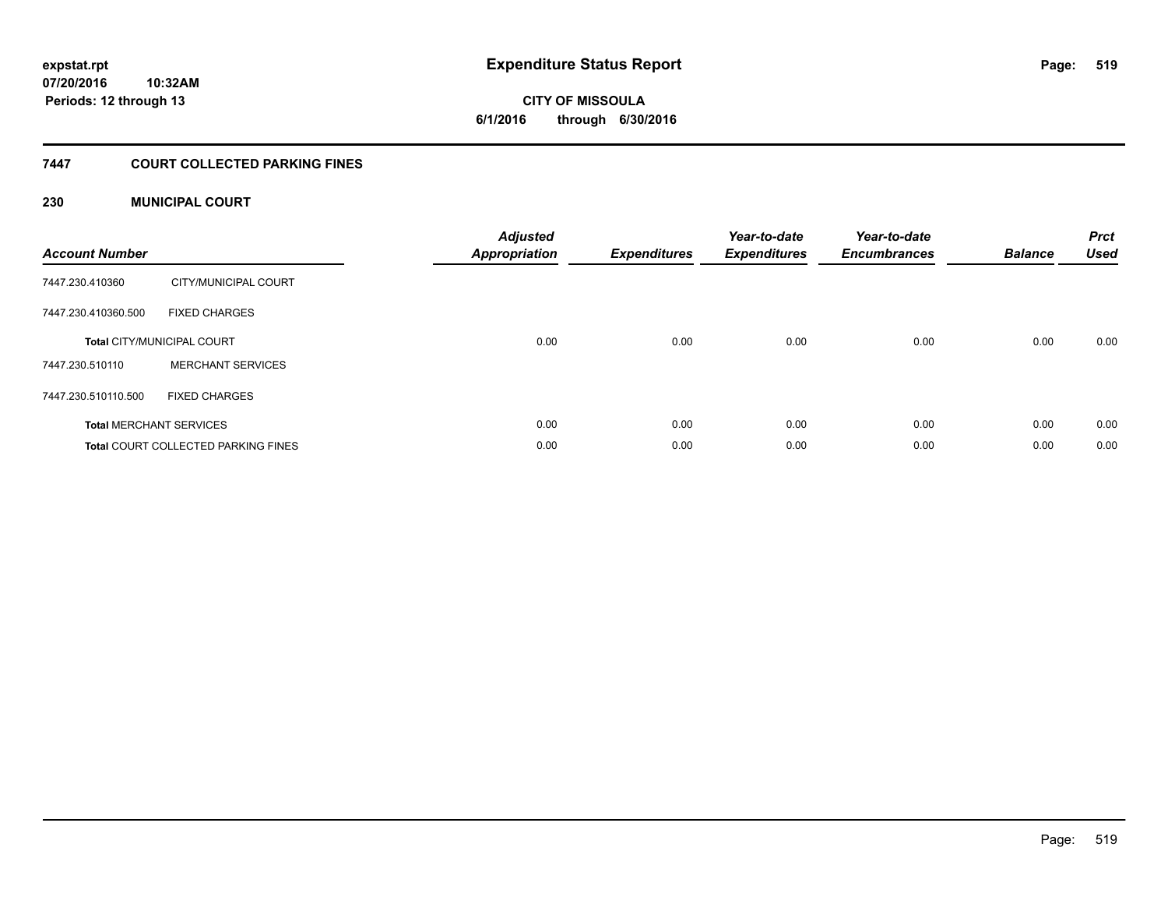# **CITY OF MISSOULA 6/1/2016 through 6/30/2016**

# **7447 COURT COLLECTED PARKING FINES**

# **230 MUNICIPAL COURT**

| <b>Account Number</b> |                                            | <b>Adjusted</b><br><b>Appropriation</b> | <b>Expenditures</b> | Year-to-date<br><b>Expenditures</b> | Year-to-date<br><b>Encumbrances</b> | <b>Balance</b> | <b>Prct</b><br><b>Used</b> |
|-----------------------|--------------------------------------------|-----------------------------------------|---------------------|-------------------------------------|-------------------------------------|----------------|----------------------------|
| 7447.230.410360       | CITY/MUNICIPAL COURT                       |                                         |                     |                                     |                                     |                |                            |
| 7447.230.410360.500   | <b>FIXED CHARGES</b>                       |                                         |                     |                                     |                                     |                |                            |
|                       | <b>Total CITY/MUNICIPAL COURT</b>          | 0.00                                    | 0.00                | 0.00                                | 0.00                                | 0.00           | 0.00                       |
| 7447.230.510110       | <b>MERCHANT SERVICES</b>                   |                                         |                     |                                     |                                     |                |                            |
| 7447.230.510110.500   | <b>FIXED CHARGES</b>                       |                                         |                     |                                     |                                     |                |                            |
|                       | <b>Total MERCHANT SERVICES</b>             | 0.00                                    | 0.00                | 0.00                                | 0.00                                | 0.00           | 0.00                       |
|                       | <b>Total COURT COLLECTED PARKING FINES</b> | 0.00                                    | 0.00                | 0.00                                | 0.00                                | 0.00           | 0.00                       |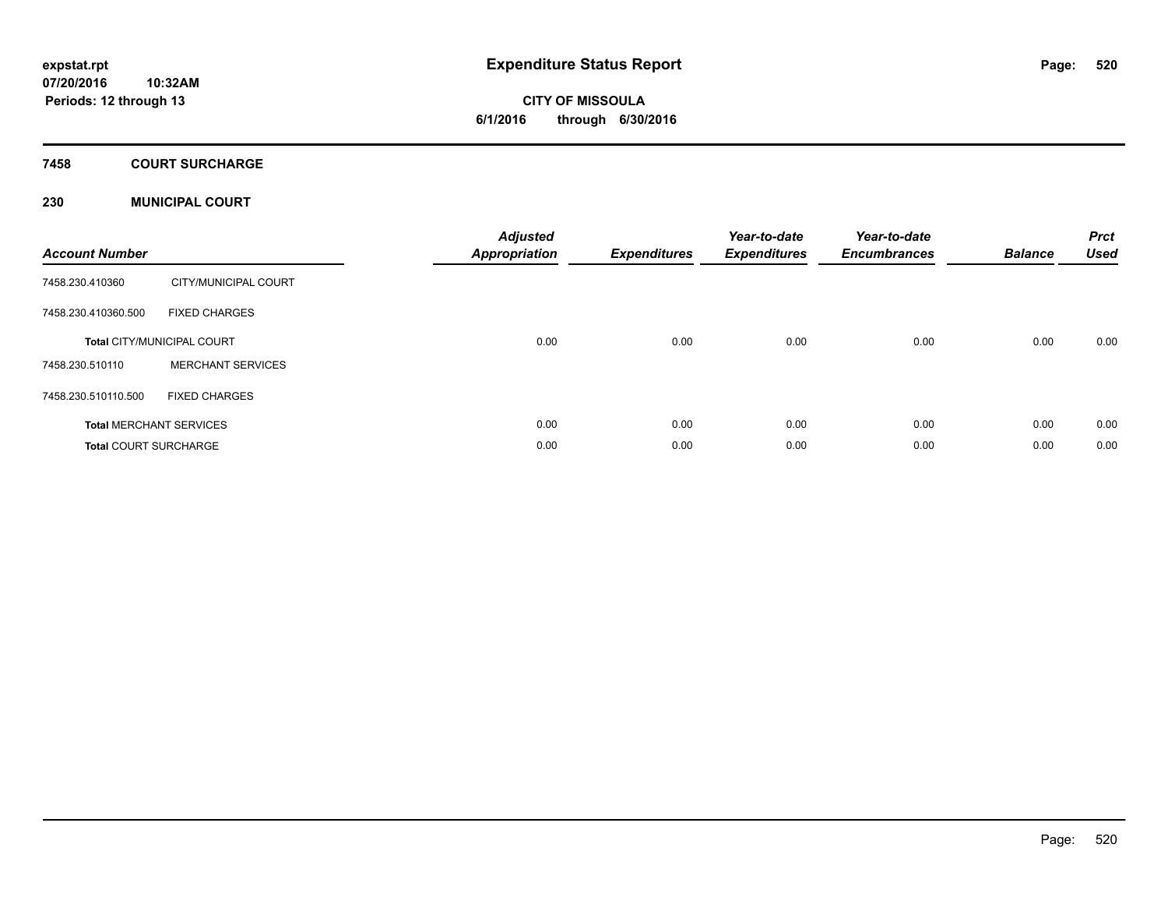# **CITY OF MISSOULA 6/1/2016 through 6/30/2016**

# **7458 COURT SURCHARGE**

# **230 MUNICIPAL COURT**

| <b>Account Number</b>        |                                   | <b>Adjusted</b><br><b>Appropriation</b> | <b>Expenditures</b> | Year-to-date<br><b>Expenditures</b> | Year-to-date<br><b>Encumbrances</b> | <b>Balance</b> | <b>Prct</b><br><b>Used</b> |
|------------------------------|-----------------------------------|-----------------------------------------|---------------------|-------------------------------------|-------------------------------------|----------------|----------------------------|
| 7458.230.410360              | CITY/MUNICIPAL COURT              |                                         |                     |                                     |                                     |                |                            |
| 7458.230.410360.500          | <b>FIXED CHARGES</b>              |                                         |                     |                                     |                                     |                |                            |
|                              | <b>Total CITY/MUNICIPAL COURT</b> | 0.00                                    | 0.00                | 0.00                                | 0.00                                | 0.00           | 0.00                       |
| 7458.230.510110              | <b>MERCHANT SERVICES</b>          |                                         |                     |                                     |                                     |                |                            |
| 7458.230.510110.500          | <b>FIXED CHARGES</b>              |                                         |                     |                                     |                                     |                |                            |
|                              | <b>Total MERCHANT SERVICES</b>    | 0.00                                    | 0.00                | 0.00                                | 0.00                                | 0.00           | 0.00                       |
| <b>Total COURT SURCHARGE</b> |                                   | 0.00                                    | 0.00                | 0.00                                | 0.00                                | 0.00           | 0.00                       |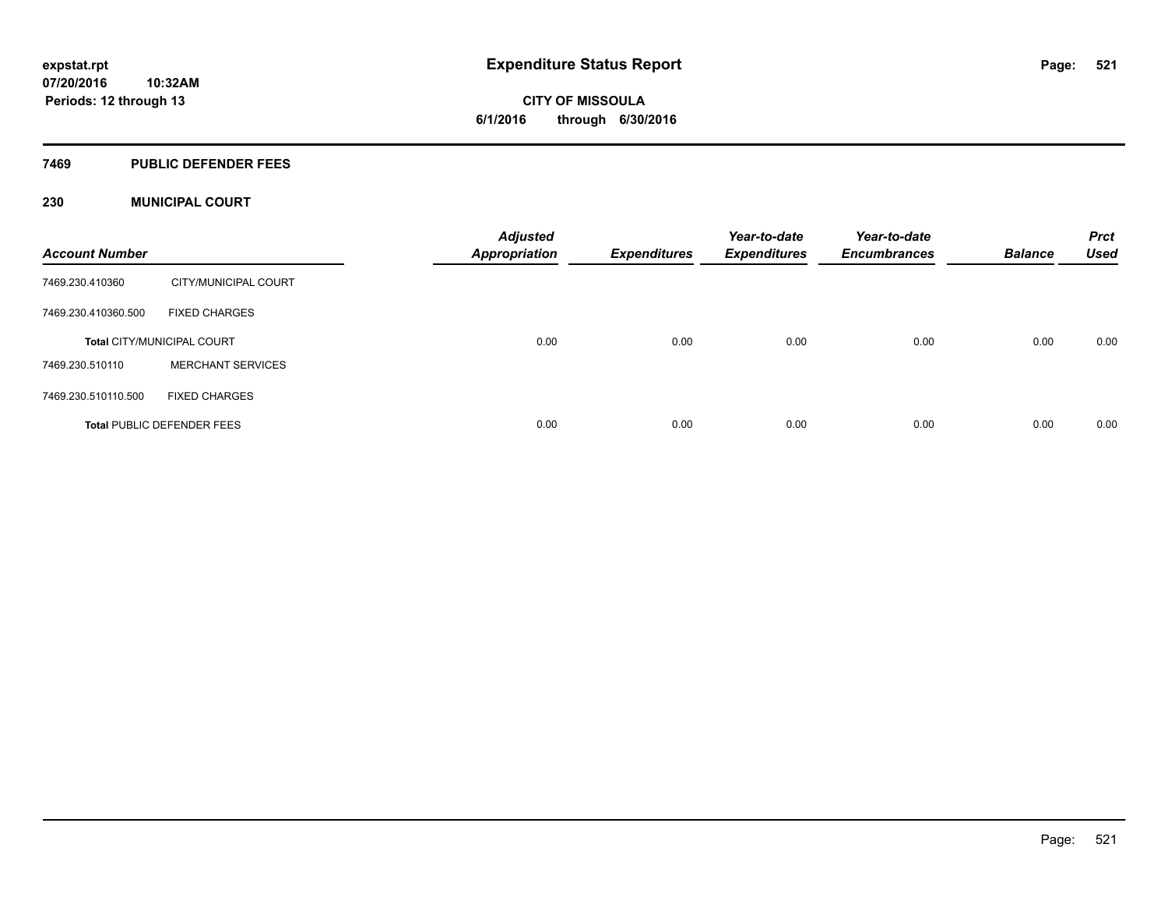**Periods: 12 through 13**

**CITY OF MISSOULA 6/1/2016 through 6/30/2016**

### **7469 PUBLIC DEFENDER FEES**

**10:32AM**

# **230 MUNICIPAL COURT**

| <b>Account Number</b> |                                   | <b>Adjusted</b><br><b>Appropriation</b> | <b>Expenditures</b> | Year-to-date<br><b>Expenditures</b> | Year-to-date<br><b>Encumbrances</b> | <b>Balance</b> | <b>Prct</b><br><b>Used</b> |
|-----------------------|-----------------------------------|-----------------------------------------|---------------------|-------------------------------------|-------------------------------------|----------------|----------------------------|
| 7469.230.410360       | CITY/MUNICIPAL COURT              |                                         |                     |                                     |                                     |                |                            |
| 7469.230.410360.500   | <b>FIXED CHARGES</b>              |                                         |                     |                                     |                                     |                |                            |
|                       | <b>Total CITY/MUNICIPAL COURT</b> | 0.00                                    | 0.00                | 0.00                                | 0.00                                | 0.00           | 0.00                       |
| 7469.230.510110       | <b>MERCHANT SERVICES</b>          |                                         |                     |                                     |                                     |                |                            |
| 7469.230.510110.500   | <b>FIXED CHARGES</b>              |                                         |                     |                                     |                                     |                |                            |
|                       | <b>Total PUBLIC DEFENDER FEES</b> | 0.00                                    | 0.00                | 0.00                                | 0.00                                | 0.00           | 0.00                       |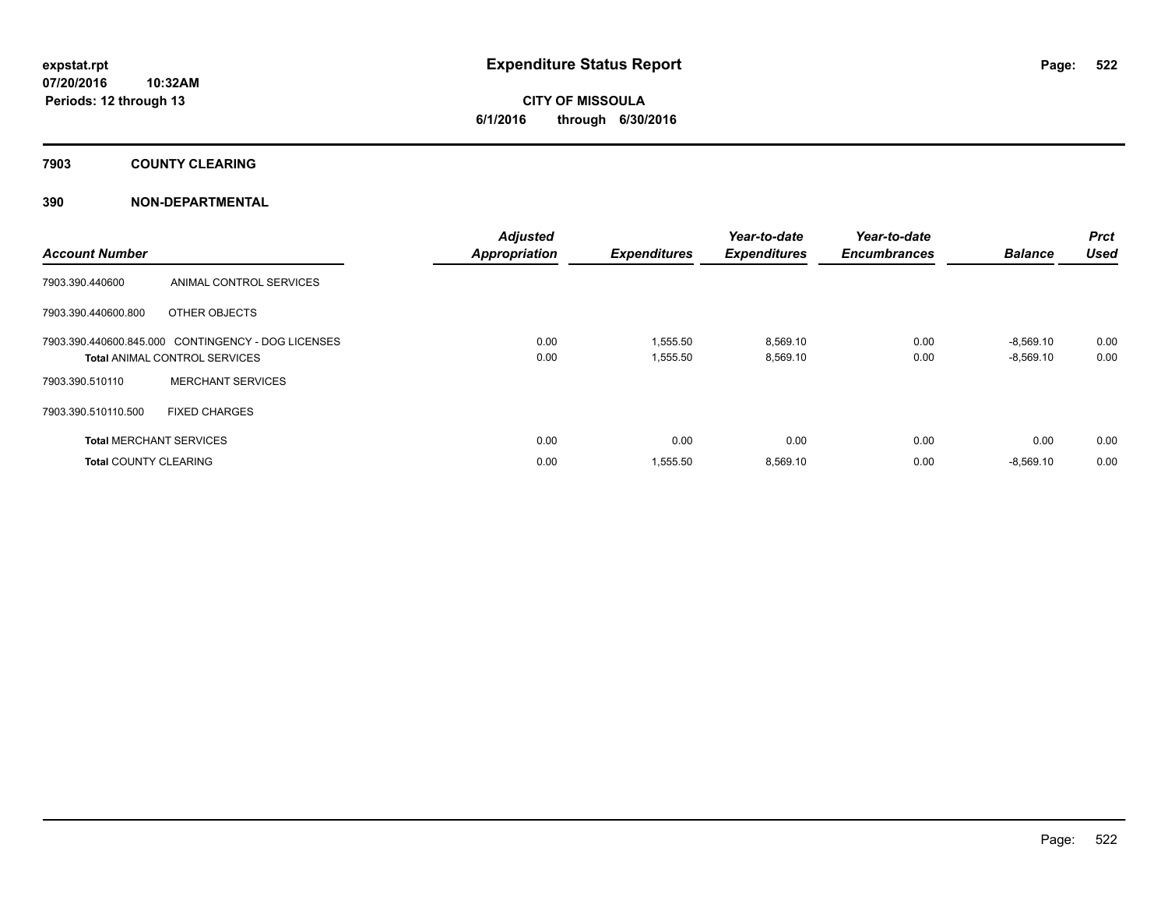# **7903 COUNTY CLEARING**

# **390 NON-DEPARTMENTAL**

| <b>Account Number</b>          |                                                    | <b>Adjusted</b><br><b>Appropriation</b> | <b>Expenditures</b> | Year-to-date<br><b>Expenditures</b> | Year-to-date<br><b>Encumbrances</b> | <b>Balance</b> | <b>Prct</b><br><b>Used</b> |
|--------------------------------|----------------------------------------------------|-----------------------------------------|---------------------|-------------------------------------|-------------------------------------|----------------|----------------------------|
| 7903.390.440600                | ANIMAL CONTROL SERVICES                            |                                         |                     |                                     |                                     |                |                            |
| 7903.390.440600.800            | OTHER OBJECTS                                      |                                         |                     |                                     |                                     |                |                            |
|                                | 7903.390.440600.845.000 CONTINGENCY - DOG LICENSES | 0.00                                    | 1,555.50            | 8,569.10                            | 0.00                                | $-8,569.10$    | 0.00                       |
|                                | <b>Total ANIMAL CONTROL SERVICES</b>               | 0.00                                    | 1,555.50            | 8,569.10                            | 0.00                                | $-8,569.10$    | 0.00                       |
| 7903.390.510110                | <b>MERCHANT SERVICES</b>                           |                                         |                     |                                     |                                     |                |                            |
| 7903.390.510110.500            | <b>FIXED CHARGES</b>                               |                                         |                     |                                     |                                     |                |                            |
| <b>Total MERCHANT SERVICES</b> |                                                    | 0.00                                    | 0.00                | 0.00                                | 0.00                                | 0.00           | 0.00                       |
| <b>Total COUNTY CLEARING</b>   |                                                    | 0.00                                    | 1,555.50            | 8,569.10                            | 0.00                                | $-8,569.10$    | 0.00                       |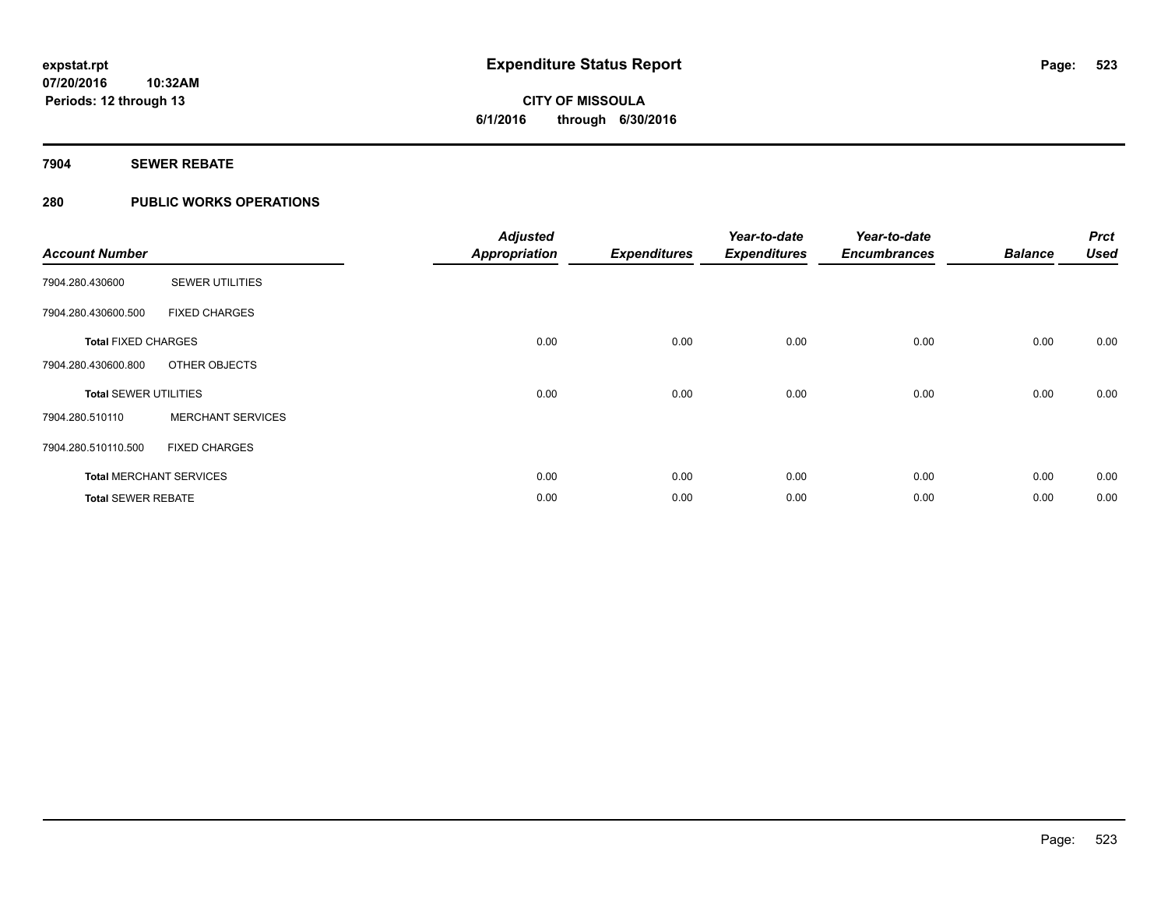# **7904 SEWER REBATE**

# **280 PUBLIC WORKS OPERATIONS**

| <b>Account Number</b>        |                                | <b>Adjusted</b><br><b>Appropriation</b> | <b>Expenditures</b> | Year-to-date<br><b>Expenditures</b> | Year-to-date<br><b>Encumbrances</b> | <b>Balance</b> | <b>Prct</b><br><b>Used</b> |
|------------------------------|--------------------------------|-----------------------------------------|---------------------|-------------------------------------|-------------------------------------|----------------|----------------------------|
| 7904.280.430600              | <b>SEWER UTILITIES</b>         |                                         |                     |                                     |                                     |                |                            |
| 7904.280.430600.500          | <b>FIXED CHARGES</b>           |                                         |                     |                                     |                                     |                |                            |
| <b>Total FIXED CHARGES</b>   |                                | 0.00                                    | 0.00                | 0.00                                | 0.00                                | 0.00           | 0.00                       |
| 7904.280.430600.800          | OTHER OBJECTS                  |                                         |                     |                                     |                                     |                |                            |
| <b>Total SEWER UTILITIES</b> |                                | 0.00                                    | 0.00                | 0.00                                | 0.00                                | 0.00           | 0.00                       |
| 7904.280.510110              | <b>MERCHANT SERVICES</b>       |                                         |                     |                                     |                                     |                |                            |
| 7904.280.510110.500          | <b>FIXED CHARGES</b>           |                                         |                     |                                     |                                     |                |                            |
|                              | <b>Total MERCHANT SERVICES</b> | 0.00                                    | 0.00                | 0.00                                | 0.00                                | 0.00           | 0.00                       |
| <b>Total SEWER REBATE</b>    |                                | 0.00                                    | 0.00                | 0.00                                | 0.00                                | 0.00           | 0.00                       |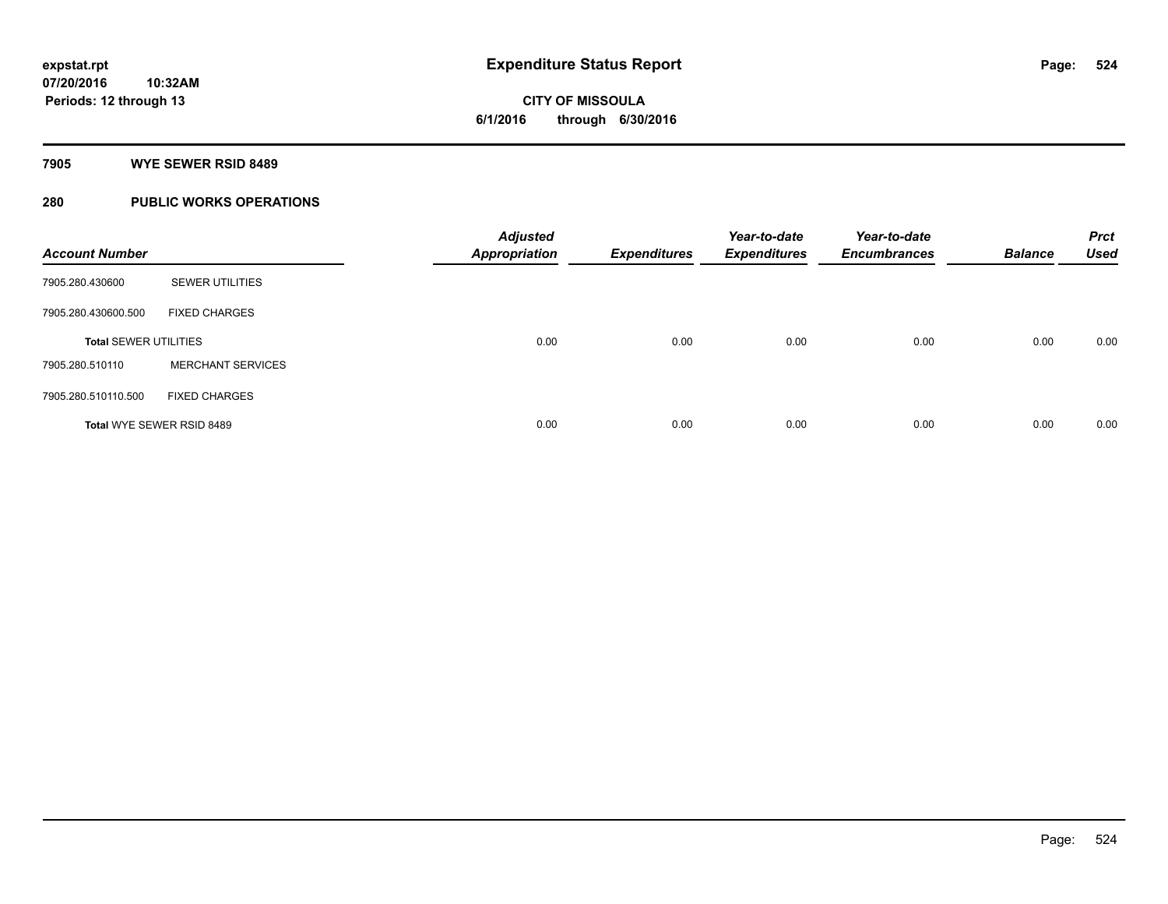## **7905 WYE SEWER RSID 8489**

# **280 PUBLIC WORKS OPERATIONS**

| <b>Account Number</b>        |                                  | <b>Adjusted</b><br><b>Appropriation</b> | <b>Expenditures</b> | Year-to-date<br><b>Expenditures</b> | Year-to-date<br><b>Encumbrances</b> | <b>Balance</b> | <b>Prct</b><br><b>Used</b> |
|------------------------------|----------------------------------|-----------------------------------------|---------------------|-------------------------------------|-------------------------------------|----------------|----------------------------|
| 7905.280.430600              | <b>SEWER UTILITIES</b>           |                                         |                     |                                     |                                     |                |                            |
| 7905.280.430600.500          | <b>FIXED CHARGES</b>             |                                         |                     |                                     |                                     |                |                            |
| <b>Total SEWER UTILITIES</b> |                                  | 0.00                                    | 0.00                | 0.00                                | 0.00                                | 0.00           | 0.00                       |
| 7905.280.510110              | <b>MERCHANT SERVICES</b>         |                                         |                     |                                     |                                     |                |                            |
| 7905.280.510110.500          | <b>FIXED CHARGES</b>             |                                         |                     |                                     |                                     |                |                            |
|                              | <b>Total WYE SEWER RSID 8489</b> | 0.00                                    | 0.00                | 0.00                                | 0.00                                | 0.00           | 0.00                       |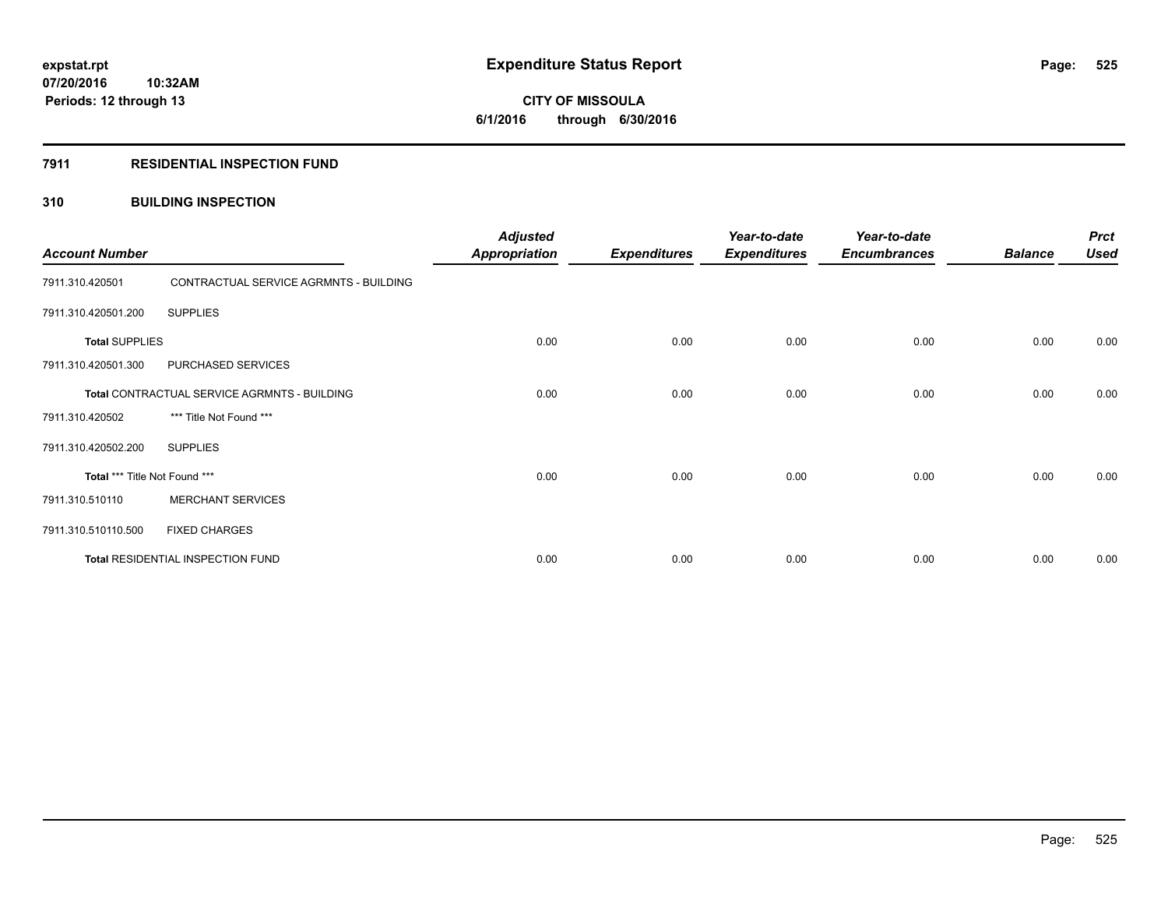**Periods: 12 through 13**

**CITY OF MISSOULA 6/1/2016 through 6/30/2016**

## **7911 RESIDENTIAL INSPECTION FUND**

# **310 BUILDING INSPECTION**

| <b>Account Number</b>         |                                              | <b>Adjusted</b><br><b>Appropriation</b> | <b>Expenditures</b> | Year-to-date<br><b>Expenditures</b> | Year-to-date<br><b>Encumbrances</b> | <b>Balance</b> | <b>Prct</b><br><b>Used</b> |
|-------------------------------|----------------------------------------------|-----------------------------------------|---------------------|-------------------------------------|-------------------------------------|----------------|----------------------------|
| 7911.310.420501               | CONTRACTUAL SERVICE AGRMNTS - BUILDING       |                                         |                     |                                     |                                     |                |                            |
| 7911.310.420501.200           | <b>SUPPLIES</b>                              |                                         |                     |                                     |                                     |                |                            |
| <b>Total SUPPLIES</b>         |                                              | 0.00                                    | 0.00                | 0.00                                | 0.00                                | 0.00           | 0.00                       |
| 7911.310.420501.300           | PURCHASED SERVICES                           |                                         |                     |                                     |                                     |                |                            |
|                               | Total CONTRACTUAL SERVICE AGRMNTS - BUILDING | 0.00                                    | 0.00                | 0.00                                | 0.00                                | 0.00           | 0.00                       |
| 7911.310.420502               | *** Title Not Found ***                      |                                         |                     |                                     |                                     |                |                            |
| 7911.310.420502.200           | <b>SUPPLIES</b>                              |                                         |                     |                                     |                                     |                |                            |
| Total *** Title Not Found *** |                                              | 0.00                                    | 0.00                | 0.00                                | 0.00                                | 0.00           | 0.00                       |
| 7911.310.510110               | <b>MERCHANT SERVICES</b>                     |                                         |                     |                                     |                                     |                |                            |
| 7911.310.510110.500           | <b>FIXED CHARGES</b>                         |                                         |                     |                                     |                                     |                |                            |
|                               | Total RESIDENTIAL INSPECTION FUND            | 0.00                                    | 0.00                | 0.00                                | 0.00                                | 0.00           | 0.00                       |